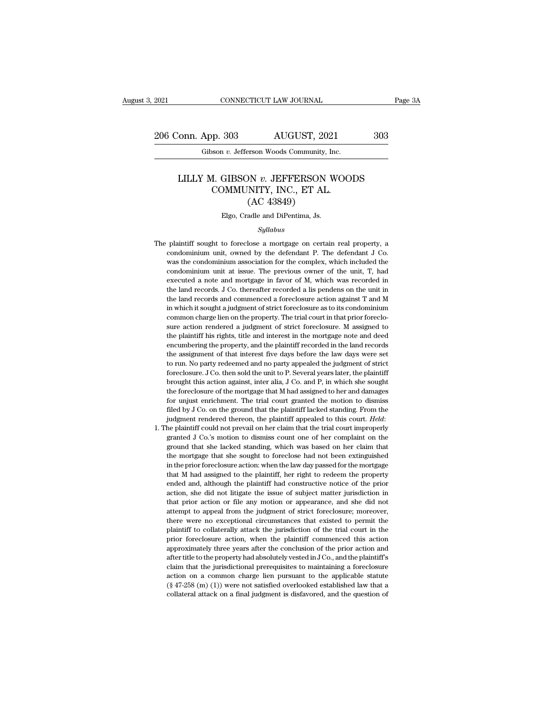2021 CONNECTICUT LAW JOURNAL Page 3A<br>206 Conn. App. 303 AUGUST, 2021 303<br>Gibson v. Jefferson Woods Community, Inc. Eq. 2021 CONNECTICUT LAW JOURNAL<br>206 Conn. App. 303 AUGUST, 2021<br>Gibson *v.* Jefferson Woods Community, Inc.

### onn. App. 303 AUGUST, 2021 303<br>
Gibson *v.* Jefferson Woods Community, Inc.<br>
LILLY M. GIBSON *v.* JEFFERSON WOODS<br>
COMMUNITY, INC., ET AL. P. 303 AUGUST, 2021<br>
Son v. Jefferson Woods Community, Inc.<br>
1. GIBSON v. JEFFERSON WOO:<br>
COMMUNITY, INC., ET AL.<br>
(AC 43849) AUGUST, 20:<br>
From Woods Community,<br>
DN v. JEFFERSON<br>
NITY, INC., ET AL<br>
(AC 43849)<br>
adle and DiPentima, Js. LILLY M. GIBSON  $v$ . JEFFERSON WOODS<br>COMMUNITY, INC., ET AL.<br>(AC 43849)<br>Elgo, Cradle and DiPentima, Js.

### *Syllabus*

- COMMUNITT, INC., ET AL.<br>
(AC 43849)<br>
Elgo, Cradle and DiPentima, Js.<br>
Syllabus<br>
The plaintiff sought to foreclose a mortgage on certain real property, a<br>
condominium unit, owned by the defendant P. The defendant J Co.  $(AC 43849)$ <br>Elgo, Cradle and DiPentima, Js.<br>Syllabus<br>plaintiff sought to foreclose a mortgage on certain real property, a<br>condominium unit, owned by the defendant P. The defendant J Co.<br>was the condominium association for Elgo, Cradle and DiPentima, Js.<br>
Syllabus<br>
plaintiff sought to foreclose a mortgage on certain real property, a<br>
condominium unit, owned by the defendant P. The defendant J Co.<br>
was the condominium association for the comp *Syllabus*<br>*Syllabus*<br>plaintiff sought to foreclose a mortgage on certain real property, a<br>condominium unit, owned by the defendant P. The defendant J Co.<br>was the condominium association for the complex, which included the Syllabus<br>plaintiff sought to foreclose a mortgage on certain real property, a<br>condominium unit, owned by the defendant P. The defendant J Co.<br>was the condominium association for the complex, which included the<br>condominium plaintiff sought to foreclose a mortgage on certain real property, a condominium unit, owned by the defendant P. The defendant J Co. was the condominium association for the complex, which included the condominium unit at plantari sought to forcelose a filoridage of ecritain relation property, a condominium unit, owned by the defendant P. The defendant J Co. was the condominium unit at issue. The previous owner of the unit, T, had executed Exploration in the condominium association for the complex, which included the condominium unit at issue. The previous owner of the unit, T, had executed a note and mortgage in favor of M, which was recorded in the land r was are condominium association for are complex, which included are condominium unit at issue. The previous owner of the unit, T, had executed a note and mortgage in favor of M, which was recorded in the land records. J Co exacuted a note and mortgage in favor of M, which was recorded in the land records. J Co. thereafter recorded a lis pendens on the unit in the land records and commenced a foreclosure action against T and M in which it sou the land records. J Co. thereafter recorded a lis pendens on the unit in the land records. J Co. thereafter recorded a lis pendens on the unit in the land records and commenced a foreclosure action against T and M in which the land records.  $\bullet$  oo. decleaded recorded a insperiencies on the direction and the land records and commenced a foreclosure action against T and M in which it sought a judgment of strict foreclosure as to its condomini the assignment of that interest foreclosure as to its condominium<br>common charge lien on the property. The trial court in that prior foreclo-<br>sure action rendered a judgment of strict foreclosure. M assigned to<br>the plaintif common charge lien on the property. The trial court in that prior foreclosure action rendered a judgment of strict foreclosure. M assigned to the plaintiff his rights, title and interest in the mortgage note and deed encum foreclosure. J Co. then sold the unit to P. Several years later, the solution can be plaintiff his rights, title and interest in the mortgage note and deed encumbering the property, and the plaintiff recorded in the land r brought this ights, title and interest in the mortgage note and deed<br>encumbering the property, and the plaintiff recorded in the land records<br>the assignment of that interest five days before the law days were set<br>to run. N the foreclosure of that interest in the mortgage froce and decernation encumbering the property, and the plaintiff recorded in the land records the assignment of that interest five days before the law days were set to run. for example and that interest five days before the law days were set<br>to run. No party redeemed and no party appealed the judgment of strict<br>foreclosure. J Co. then sold the unit to P. Several years later, the plaintiff<br>bro filed by J Co. on the ground that the plaintiff appealed to this court. Held:<br>filed by J Co. then sold the unit to P. Several years later, the plaintiff<br>brought this action against, inter alia, J Co. and P, in which she so foreclosure. J Co. then sold the unit to P. Several years later, the plaintiff brought this action against, inter alia, J Co. and P, in which she sought the foreclosure of the mortgage that M had assigned to her and damage granted of the mortgage that M had assigned to her and damages<br>for unjust enrichment. The trial court granted the motion to dismiss<br>filed by J Co. on the ground that the plaintiff lacked standing. From the<br>judgment rendere
- for unjust enrichment. The trial court granted the motion to dismiss<br>filed by J Co. on the ground that the plaintiff lacked standing. From the<br>judgment rendered thereon, the plaintiff appealed to this court. *Held*:<br>the pl filed by J Co. on the ground that the plaintiff lacked standing. From the judgment rendered thereon, the plaintiff lacked standing. From the plaintiff could not prevail on her claim that the trial court improperly granted in the prior of the property of the property of the prior forecal states of the plaintiff appealed to this court. *Held*:<br>the plaintiff could not prevail on her claim that the trial court improperly<br>granted J Co.'s motion the plaintiff could not prevail on her claim that the trial court improperly granted J Co.'s motion to dismiss count one of her complaint on the ground that she lacked standing, which was based on her claim that the mortga ended and, although the plaintiff had constructive notice of the product the provident of the provident of the provident of the mortgage that she sought to foreclose had not been extinguished in the prior foreclosure actio granted  $\theta$  co. should to dishibits count of the of her complaint on the ground that she lacked standing, which was based on her claim that the mortgage that she sought to foreclose had not been extinguished in the prior the mortgage that she kacked standing, which was stated on her claim and the mortgage that she sought to foreclose had not been extinguished in the prior foreclosure action: when the law day passed for the mortgage that M at the prior foreclosure action: when the law day passed for the mortgage that M had assigned to the plaintiff, her right to redeem the property ended and, although the plaintiff had constructive notice of the prior action It at M had assigned to the plaintiff, her right to redeem the property ended and, although the plaintiff, her right to redeem the property ended and, although the plaintiff had constructive notice of the prior action, she plant and alterally the plaintiff had constructive notice of the prior action, she did not litigate the issue of subject matter jurisdiction in that prior action or file any motion or appearance, and she did not attempt to entation, she did not litigate the issue of subject matter jurisdiction in that prior action or file any motion or appearance, and she did not attempt to appeal from the judgment of strict foreclosure; moreover, there were action, she did not higher are issue of subject matter jarisdiction in<br>that prior action or file any motion or appearance, and she did not<br>attempt to appeal from the judgment of strict foreclosure; moreover,<br>there were no attempt to appeal from the judgment of strict foreclosure; moreover, there were no exceptional circumstances that existed to permit the plaintiff to collaterally attack the jurisdiction of the trial court in the prior fore determ of expectational circumstances that existed to permit the plaintiff to collaterally attack the jurisdiction of the trial court in the prior foreclosure action, when the plaintiff commenced this action approximately plaintiff to collaterally attack the jurisdiction of the trial court in the prior foreclosure action, when the plaintiff commenced this action approximately three years after the conclusion of the prior action and after ti prior foreclosure action, when the plaintiff commenced this action<br>approximately three years after the conclusion of the prior action and<br>after title to the property had absolutely vested in J Co., and the plaintiff's<br>clai prior foreclosure action, when the plaintiff commenced this action approximately three years after the conclusion of the prior action and after title to the property had absolutely vested in J Co., and the plaintiff's cla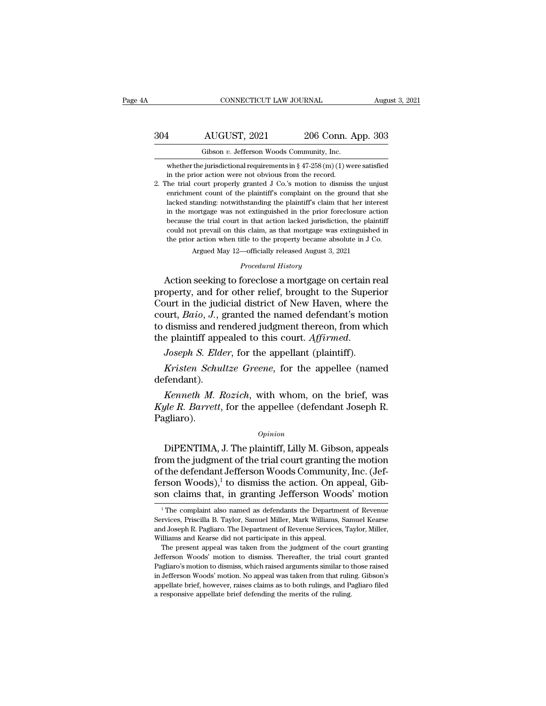|     | CONNECTICUT LAW JOURNAL                                                       |                    | August 3, 2021 |
|-----|-------------------------------------------------------------------------------|--------------------|----------------|
| 304 | AUGUST, 2021                                                                  | 206 Conn. App. 303 |                |
|     | Gibson v. Jefferson Woods Community, Inc.                                     |                    |                |
|     | whether the jurisdictional requirements in $\S 47-258$ (m) (1) were satisfied |                    |                |

AUGUST, 2021 206 Conn. App. 303<br>
Gibson v. Jefferson Woods Community, Inc.<br>
whether the jurisdictional requirements in § 47-258 (m) (1) were satisfied<br>
in the prior action were not obvious from the record. **in the prior action were not** obvious from munity, Inc.<br> **in the prior action were not obvious from the record.**<br>
The prior action were not obvious from the record.<br>
The trial court properly granted J Co.'s motion to dism

2004 2006 Conn. App. 303<br>
206 Conn. App. 303<br>
6 Gibson v. Jefferson Woods Community, Inc.<br>
whether the jurisdictional requirements in § 47-258 (m) (1) were satisfied<br>
in the prior action were not obvious from the record.<br> Gibson v. Jefferson Woods Community, Inc.<br>whether the jurisdictional requirements in § 47-258 (m) (1) were satisfied<br>in the prior action were not obvious from the record.<br>The trial court properly granted J Co.'s motion to Gibson v. Jefferson Woods Community, Inc.<br>whether the jurisdictional requirements in § 47-258 (m) (1) were satisfied<br>in the prior action were not obvious from the record.<br>he trial court properly granted J Co.'s motion to whether the jurisdictional requirements in  $\S$  47-258 (m) (1) were satisfied<br>in the prior action were not obvious from the record.<br>he trial court properly granted J Co.'s motion to dismiss the unjust<br>enrichment count of t because the trial court in the trial court in the prior stational requirements in  $\frac{1}{2}$  and  $\frac{1}{2}$  co.  $\frac{1}{2}$  and  $\frac{1}{2}$  court in the prior action to dismiss the unjust enrichment count of the plaintiff's com In the prior action were not obvious from the record.<br>The trial court properly granted J Co.'s motion to dismiss the unjust<br>enrichment count of the plaintiff's complaint on the ground that she<br>lacked standing: notwithstan the and soarce property granded 3 of 3 model to distinguish entirely<br>entrichment count of the plaintiff's complaint on the ground that she<br>lacked standing: notwithstanding the plaintiff's claim that her interest<br>in the mor Argued May 12—officially the plaintiff's claim that her interestionary and extinguished in the prior foreclosure action the trial court in that action lacked jurisdiction, the plaint of prevail on this claim, as that mortg *Procedural History*<br>*Procedural Atlanta Atlanta Atlanta Atlanta Atlanta Atlanta Atlanta Atlanta Atlanta Atlanta Atlanta Atlanta Atlanta Atlanta Atlanta Atlanta Atlanta Atlanta Atlanta Atlanta Atlanta Atlanta Atlanta Atlan* in the mortgage was not extinguished in the prior foreclosure action<br>because the trial court in that action lacked jurisdiction, the plaintiff<br>could not prevail on this claim, as that mortgage was extinguished in<br>the prior

because the trial court in that action lacked jurisdiction, the plaintiff<br>could not prevail on this claim, as that mortgage was extinguished in<br>the prior action when title to the property became absolute in J Co.<br>Argued Ma could not prevail on this claim, as that mortgage was extinguished in<br>the prior action when title to the property became absolute in J Co.<br>Argued May 12—officially released August 3, 2021<br>*Procedural History*<br>Action seekin *Court in the just also when the to the property became absolut in*  $\theta$  *oc.*<br>*Procedural History*<br>**Action seeking to foreclose a mortgage on certain real**<br>property, and for other relief, brought to the Superior<br>Court in th Frocedural History<br>
Procedural History<br>
Action seeking to foreclose a mortgage on certain real<br>
property, and for other relief, brought to the Superior<br>
Court in the judicial district of New Haven, where the<br>
court, *Baio* Frocedural History<br>Action seeking to foreclose a mortgage on certain reproperty, and for other relief, brought to the Superi<br>Court in the judicial district of New Haven, where t<br>court, *Baio*, *J*., granted the named defen *Kristen Schultze Greene*, for the appeller (named defendant) wurt in the judicial district of New Haven, where the urt, *Baio*, *J.*, granted the named defendant's motion dismiss and rendered judgment thereon, from which

defendant).

dismiss and rendered judgment thereon, from which<br>
e plaintiff appealed to this court. *Affirmed.*<br> *Joseph S. Elder*, for the appellant (plaintiff).<br> *Kristen Schultze Greene*, for the appellee (named<br>
fendant).<br> *Kenneth* the plaintiff appealed to this court. Affirmed.<br> *Joseph S. Elder*, for the appellant (plaintiff).<br> *Kristen Schultze Greene*, for the appellee (named<br>
defendant).<br> *Kenneth M. Rozich*, with whom, on the brief, was<br> *Kyle* Pagliaro). fendant).<br> *Kenneth M. Rozich*, with whom, on the brief, was<br> *Jle R. Barrett*, for the appellee (defendant Joseph R.<br>
gliaro).<br> *Opinion*<br>
DiPENTIMA, J. The plaintiff, Lilly M. Gibson, appeals<br>
bm the judgment of the tria

### *Opinion*

*Kenneth M. Rozich*, with whom, on the brief, was<br> *Kyle R. Barrett*, for the appellee (defendant Joseph R.<br>
Pagliaro).<br> *Opinion*<br>
DiPENTIMA, J. The plaintiff, Lilly M. Gibson, appeals<br>
from the judgment of the trial cou *Kyle R. Barrett*, for the appellee (defendant Joseph R. Pagliaro).<br>  $o_{pinion}$ <br>
DiPENTIMA, J. The plaintiff, Lilly M. Gibson, appeals from the judgment of the trial court granting the motion of the defendant Jefferson Woods ferson Woods), the appear (detendant boseph it.<br>Pagliaro).<br>DiPENTIMA, J. The plaintiff, Lilly M. Gibson, appeals<br>from the judgment of the trial court granting the motion<br>of the defendant Jefferson Woods Community, Inc. (Je  $\Omega_{\text{spinion}}$ <br>DiPENTIMA, J. The plaintiff, Lilly M. Gibson, appeals<br>from the judgment of the trial court granting the motion<br>of the defendant Jefferson Woods Community, Inc. (Jef-<br>ferson Woods),<sup>1</sup> to dismiss the action. On om the judgment of the trial court granting the motion<br>f the defendant Jefferson Woods Community, Inc. (Jef-<br>rson Woods),<sup>1</sup> to dismiss the action. On appeal, Gib-<br>por claims that, in granting Jefferson Woods' motion<br><sup>1</sup>Th of the defendant Jefferson Woods Community, Inc. (Jefferson Woods),<sup>1</sup> to dismiss the action. On appeal, Gibson claims that, in granting Jefferson Woods' motion<br><sup>1</sup> The complaint also named as defendants the Department of

ferson Woods),<sup>1</sup> to dismiss the action. On appeal, Gibson claims that, in granting Jefferson Woods' motion<br> $\frac{1}{1}$ The complaint also named as defendants the Department of Revenue Services, Priscilla B. Taylor, Samuel M Son claims that, in granting Jefferson Woo<br>
<sup>1</sup>The complaint also named as defendants the Departme<br>
Services, Priscilla B. Taylor, Samuel Miller, Mark Williams,<br>
and Joseph R. Pagliaro. The Department of Revenue Services<br> The complaint also named as defendants the Department of Revenue<br>
<sup>1</sup> The complaint also named as defendants the Department of Revenue<br>
rvices, Priscilla B. Taylor, Samuel Miller, Mark Williams, Samuel Kearse<br>
d Joseph R. <sup>1</sup> The complaint also named as defendants the Department of Revenue Services, Priscilla B. Taylor, Samuel Miller, Mark Williams, Samuel Kearse and Joseph R. Pagliaro. The Department of Revenue Services, Taylor, Miller, Wi

Services, Priscilla B. Taylor, Samuel Miller, Mark Williams, Samuel Kearse<br>and Joseph R. Pagliaro. The Department of Revenue Services, Taylor, Miller,<br>Williams and Kearse did not participate in this appeal.<br>The present app Services, Priscilla B. Taylor, Samuel Miller, Mark Williams, Samuel Kearse<br>and Joseph R. Pagliaro. The Department of Revenue Services, Taylor, Miller,<br>Williams and Kearse did not participate in this appeal.<br>The present app Williams and Kearse did not participate in this appeal.<br>The present appeal was taken from the judgment of the court granting<br>Jefferson Woods' motion to dismiss. Thereafter, the trial court granted<br>Pagliaro's motion to dism Jefferson Woods' motion to dismiss. Thereafter, the trial court granted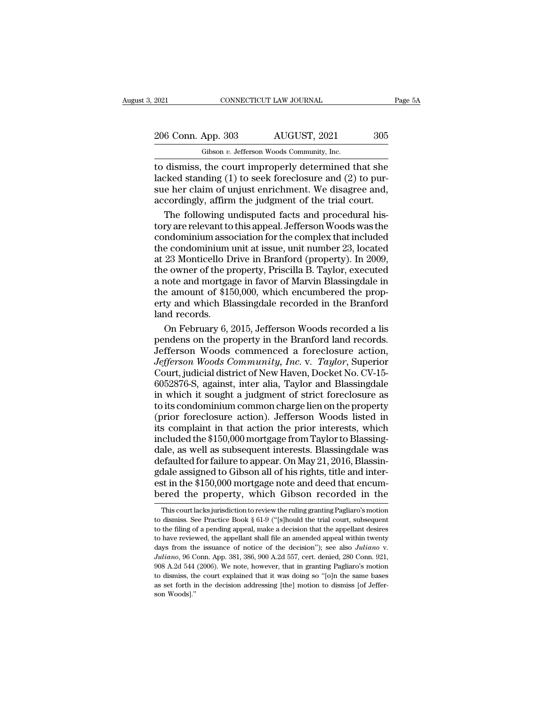| 2021               | CONNECTICUT LAW JOURNAL                   | Page 5A |  |
|--------------------|-------------------------------------------|---------|--|
|                    |                                           |         |  |
| 206 Conn. App. 303 | AUGUST, 2021                              | 305     |  |
|                    | Gibson v. Jefferson Woods Community, Inc. |         |  |

Fig. 2021 CONNECTICUT LAW JOURNAL<br>206 Conn. App. 303 AUGUST, 2021 305<br>Gibson *v.* Jefferson Woods Community, Inc.<br>to dismiss, the court improperly determined that she The connective connective transformation of the court improperly determined that she<br>dismiss, the court improperly determined that she<br>lacked standing (1) to seek foreclosure and (2) to pursue her claim of uniust enrichmen 206 Conn. App. 303 AUGUST, 2021 305<br>
Gibson v. Jefferson Woods Community, Inc.<br>
to dismiss, the court improperly determined that she<br>
lacked standing (1) to seek foreclosure and (2) to pur-<br>
sue her claim of unjust enrichm 206 Conn. App. 303 AUGUST, 2021 305<br>
Gibson v. Jefferson Woods Community, Inc.<br>
to dismiss, the court improperly determined that she<br>
lacked standing (1) to seek foreclosure and (2) to pur-<br>
sue her claim of unjust enrich 206 Conn. App. 303 AUGUST, 2021 305<br>
Gibson v. Jefferson Woods Community, Inc.<br>
to dismiss, the court improperly determined that she<br>
lacked standing (1) to seek foreclosure and (2) to pur-<br>
sue her claim of unjust enrichm Gibson  $v$ . Jefferson Woods Community, Inc.<br>
dismiss, the court improperly determined that she<br>
cked standing (1) to seek foreclosure and (2) to pur-<br>
e her claim of unjust enrichment. We disagree and,<br>
cordingly, affirm The disson v. seners<br>on woods commany, me.<br>to dismiss, the court improperly determined that she<br>lacked standing (1) to seek foreclosure and (2) to pur-<br>sue her claim of unjust enrichment. We disagree and,<br>accordingly, aff

to dismiss, the court improperly determined that she<br>lacked standing (1) to seek foreclosure and (2) to pur-<br>sue her claim of unjust enrichment. We disagree and,<br>accordingly, affirm the judgment of the trial court.<br>The fol lacked standing (1) to seek foreclosure and (2) to pursue her claim of unjust enrichment. We disagree and,<br>accordingly, affirm the judgment of the trial court.<br>The following undisputed facts and procedural his-<br>tory are re sue her claim of unjust enrichment. We disagree and,<br>accordingly, affirm the judgment of the trial court.<br>The following undisputed facts and procedural his-<br>tory are relevant to this appeal. Jefferson Woods was the<br>condomi accordingly, affirm the judgment of the trial court.<br>The following undisputed facts and procedural his-<br>tory are relevant to this appeal. Jefferson Woods was the<br>condominium association for the complex that included<br>the co The following undisputed facts and procedural his-<br>tory are relevant to this appeal. Jefferson Woods was the<br>condominium association for the complex that included<br>the condominium unit at issue, unit number 23, located<br>at 2 The Ferromay distributed Ideal Jefferson Woods was the<br>condominium association for the complex that included<br>the condominium unit at issue, unit number 23, located<br>at 23 Monticello Drive in Branford (property). In 2009,<br>th condominium association for the complex that included<br>the condominium unit at issue, unit number 23, located<br>at 23 Monticello Drive in Branford (property). In 2009,<br>the owner of the property, Priscilla B. Taylor, executed the condominium<br>at 23 Monticello D<br>the owner of the pi<br>a note and mortga<sub>i</sub><br>the amount of \$15<br>erty and which Bli<br>land records.<br>On February 6, 2 23 Monticello Drive in Branford (property). In 2009,<br>e owner of the property, Priscilla B. Taylor, executed<br>note and mortgage in favor of Marvin Blassingdale in<br>e amount of \$150,000, which encumbered the prop-<br>ty and which the owner of the property, Priscilla B. Taylor, executed<br>a note and mortgage in favor of Marvin Blassingdale in<br>the amount of \$150,000, which encumbered the prop-<br>erty and which Blassingdale recorded in the Branford<br>land r

a note and mortgage in favor of Marvin Blassingdale in<br>the amount of \$150,000, which encumbered the prop-<br>erty and which Blassingdale recorded in the Branford<br>land records.<br>On February 6, 2015, Jefferson Woods recorded a l the amount of \$150,000, which encumbered the property and which Blassingdale recorded in the Branford<br>land records.<br>On February 6, 2015, Jefferson Woods recorded a lis<br>pendens on the property in the Branford land records.<br> erty and which Blassingdale recorded in the Branford<br>land records.<br>On February 6, 2015, Jefferson Woods recorded a lis<br>pendens on the property in the Branford land records.<br>Jefferson Woods community, Inc. v. Taylor, Superi land records.<br>
On February 6, 2015, Jefferson Woods recorded a lis<br>
pendens on the property in the Branford land records.<br>
Jefferson Woods community, Inc. v. Taylor, Superior<br>
Court, judicial district of New Haven, Docket On February 6, 2015, Jefferson Woods recorded a lis<br>pendens on the property in the Branford land records.<br>Jefferson Woods commenced a foreclosure action,<br>*Jefferson Woods Community, Inc.* v. *Taylor*, Superior<br>Court, judic pendens on the property in the Branford land records.<br>Jefferson Woods commenced a foreclosure action,<br>*Jefferson Woods Community, Inc.* v. *Taylor*, Superior<br>Court, judicial district of New Haven, Docket No. CV-15-<br>6052876 Jefferson Woods commenced a foreclosure action,<br>Jefferson Woods Community, Inc. v. Taylor, Superior<br>Court, judicial district of New Haven, Docket No. CV-15-<br>6052876-S, against, inter alia, Taylor and Blassingdale<br>in which *Jefferson Woods Community, Inc.* v. *Taylor*, Superior Court, judicial district of New Haven, Docket No. CV-15-6052876-S, against, inter alia, Taylor and Blassingdale in which it sought a judgment of strict foreclosure as Court, judicial district of New Haven, Docket No. CV-15-6052876-S, against, inter alia, Taylor and Blassingdale<br>in which it sought a judgment of strict foreclosure as<br>to its condominium common charge lien on the property<br> 6052876-S, against, inter alia, Taylor and Blassingdale<br>in which it sought a judgment of strict foreclosure as<br>to its condominium common charge lien on the property<br>(prior foreclosure action). Jefferson Woods listed in<br>it defaulted for failure to appear. On May 21, 2016, Blassing<br>defaulted for foreclosure as to its condominium common charge lien on the property<br>(prior foreclosure action). Jefferson Woods listed in<br>its complaint in that acti In matrix is seagared a jargencer or states orto the property<br>to its condominium common charge lien on the property<br>(prior foreclosure action). Jefferson Woods listed in<br>its complaint in that action the prior interests, w est in the state in that action). Jefferson Woods listed in its complaint in that action the prior interests, which included the \$150,000 mortgage from Taylor to Blassing-<br>dale, as well as subsequent interests. Blassingdal the complaint in that action the prior interests, which included the \$150,000 mortgage from Taylor to Blassing-<br>dale, as well as subsequent interests. Blassingdale was<br>defaulted for failure to appear. On May 21, 2016, Bla efaulted for failure to appear. On May 21, 2016, Blassin-<br>dale assigned to Gibson all of his rights, title and inter-<br>st in the \$150,000 mortgage note and deed that encum-<br>ered the property, which Gibson recorded in the<br>Th gdale assigned to Gibson all of his rights, title and inter-<br>est in the \$150,000 mortgage note and deed that encum-<br>bered the property, which Gibson recorded in the<br>This court lacks jurisdiction to review the ruling granti

est in the \$150,000 mortgage note and deed that encum-<br>bered the property, which Gibson recorded in the<br>This court lacks jurisdiction to review the ruling granting Pagliaro's motion<br>to dismiss. See Practice Book § 61-9 ("[ bered the property, which Gibson recorded in the This court lacks jurisdiction to review the ruling granting Pagliaro's motion to dismiss. See Practice Book § 61-9 ("[s]hould the trial court, subsequent to the filing of a decision: This court lacks jurisdiction to review the ruling granting Pagliaro's motion<br>to dismiss. See Practice Book § 61-9 ("[s]hould the trial court, subsequent<br>to the filing of a pending appeal, make a decision that th to dismiss. See Practice Book § 61-9 ("[s]hould the trial court, subsequent to the filing of a pending appeal, make a decision that the appellant desires to have reviewed, the appellant shall file an amended appeal within to dismiss. See Practice Book § 61-9 ("[s]hould the trial court, subsequent to the filing of a pending appeal, make a decision that the appellant desires to have reviewed, the appellant shall file an amended appeal within to have reviewed, the appellant shall file an amended appeal within twenty days from the issuance of notice of the decision"); see also Juliano v.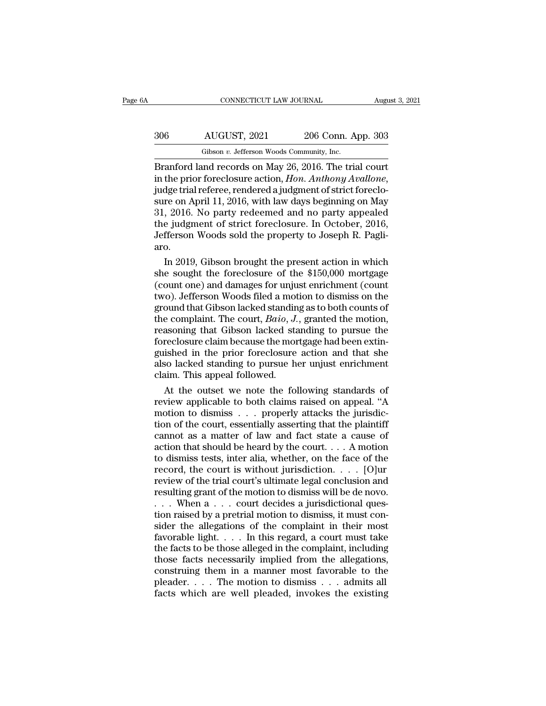# CONNECTICUT LAW JOURNAL August 3, 2021<br>306 AUGUST, 2021 206 Conn. App. 303<br>Gibson v. Jefferson Woods Community, Inc. CONNECTICUT LAW JOURNAL Augu<br>
Gibson *v.* Jefferson Woods Community, Inc.<br>
Gibson *v.* Jefferson Woods Community, Inc.<br>
Branford land records on May 26, 2016. The trial court

CONNECTICUT LAW JOURNAL August 3, 202<br>
Branford land records on May 26, 2016. The trial court<br>
in the prior foreclosure action, *Hon. Anthony Avallone*,<br>
and the prior foreclosure action, *Hon. Anthony Avallone*, in the prior foreclosure action, *Hon. App.* 303<br>
Gibson *v*. Jefferson Woods Community, Inc.<br>
Branford land records on May 26, 2016. The trial court<br>
in the prior foreclosure action, *Hon. Anthony Avallone*,<br>
judge trial  $\frac{\text{S06}}{\text{Gibson } v. \text{ Jefferson Woods Community, Inc.}}$ <br>  $\frac{\text{Gibson } v. \text{ Jefferson Woods Community, Inc.}}{\text{Branchford land records on May 26, 2016. The trial court in the prior forcelosure action, *Hon. Anthony Available*, judge trial reference, rendered a judgment of strict forceclosure on April 11, 2016, with law days beginning on May 31, 2016. No party redeemed and no party appended.$ Gibson v. Jefferson Woods Community, Inc.<br>
Branford land records on May 26, 2016. The trial court<br>
in the prior foreclosure action, *Hon. Anthony Avallone*,<br>
judge trial referee, rendered a judgment of strict foreclo-<br>
sur Gibson v. Jefferson Woods Community, Inc.<br>Branford land records on May 26, 2016. The trial court<br>in the prior foreclosure action, *Hon. Anthony Avallone*,<br>judge trial referee, rendered a judgment of strict foreclo-<br>sure on Branford land records on May 26, 2016. The trial court<br>in the prior foreclosure action, *Hon. Anthony Avallone*,<br>judge trial referee, rendered a judgment of strict foreclo-<br>sure on April 11, 2016, with law days beginning o aro. dge trial referee, rendered a judgment of strict foreclo-<br>re on April 11, 2016, with law days beginning on May<br>, 2016. No party redeemed and no party appealed<br>e judgment of strict foreclosure. In October, 2016,<br>fferson Woo sure on April 11, 2016, with law days beginning on May<br>31, 2016. No party redeemed and no party appealed<br>the judgment of strict foreclosure. In October, 2016,<br>Jefferson Woods sold the property to Joseph R. Pagli-<br>aro.<br>In 2

31, 2016. No party redeemed and no party appealed<br>the judgment of strict foreclosure. In October, 2016,<br>Jefferson Woods sold the property to Joseph R. Pagli-<br>aro.<br>In 2019, Gibson brought the present action in which<br>she sou the judgment of strict foreclosure. In October, 2016,<br>Jefferson Woods sold the property to Joseph R. Pagli-<br>aro.<br>In 2019, Gibson brought the present action in which<br>she sought the foreclosure of the \$150,000 mortgage<br>(coun Jefferson Woods sold the property to Joseph R. Pagli-<br>aro.<br>In 2019, Gibson brought the present action in which<br>she sought the foreclosure of the \$150,000 mortgage<br>(count one) and damages for unjust enrichment (count<br>two). aro.<br>In 2019, Gibson brought the present action in which<br>she sought the foreclosure of the \$150,000 mortgage<br>(count one) and damages for unjust enrichment (count<br>two). Jefferson Woods filed a motion to dismiss on the<br>groun In 2019, Gibson brought the present action in which<br>she sought the foreclosure of the \$150,000 mortgage<br>(count one) and damages for unjust enrichment (count<br>two). Jefferson Woods filed a motion to dismiss on the<br>ground th she sought the foreclosure of the \$150,000 mortgage (count one) and damages for unjust enrichment (count two). Jefferson Woods filed a motion to dismiss on the ground that Gibson lacked standing as to both counts of the co (count one) and damages for unjust enrichment (count<br>two). Jefferson Woods filed a motion to dismiss on the<br>ground that Gibson lacked standing as to both counts of<br>the complaint. The court, *Baio*, *J*., granted the motion two). Jefferson Woods filed a motion to dismiss on the ground that Gibson lacked standing as to both counts of the complaint. The court, *Baio*, *J*., granted the motion, reasoning that Gibson lacked standing to pursue the ground that Gibson lacked standin<br>the complaint. The court, *Baio*, *J.*<br>reasoning that Gibson lacked sta<br>foreclosure claim because the mor<br>guished in the prior foreclosure<br>also lacked standing to pursue he<br>claim. This app Example 1. The court, *Baio*, *J*., granted the motion,<br>asoning that Gibson lacked standing to pursue the<br>reclosure claim because the mortgage had been extin-<br>ished in the prior foreclosure action and that she<br>so lacked s reasoning that Gibson lacked standing to pursue the<br>foreclosure claim because the mortgage had been extin-<br>guished in the prior foreclosure action and that she<br>also lacked standing to pursue her unjust enrichment<br>claim. Th

foreclosure claim because the mortgage had been extinguished in the prior foreclosure action and that she<br>also lacked standing to pursue her unjust enrichment<br>claim. This appeal followed.<br>At the outset we note the followin guished in the prior foreclosure action and that she<br>also lacked standing to pursue her unjust enrichment<br>claim. This appeal followed.<br>At the outset we note the following standards of<br>review applicable to both claims raise also lacked standing to pursue her unjust enrichment<br>claim. This appeal followed.<br>At the outset we note the following standards of<br>review applicable to both claims raised on appeal. "A<br>motion to dismiss . . . properly att claim. This appeal followed.<br>
At the outset we note the following standards of<br>
review applicable to both claims raised on appeal. "A<br>
motion to dismiss . . . properly attacks the jurisdic-<br>
tion of the court, essentially At the outset we note the following standards of<br>review applicable to both claims raised on appeal. "A<br>motion to dismiss . . . properly attacks the jurisdic-<br>tion of the court, essentially asserting that the plaintiff<br>can review applicable to both claims raised on appeal. "A<br>motion to dismiss . . . properly attacks the jurisdic-<br>tion of the court, essentially asserting that the plaintiff<br>cannot as a matter of law and fact state a cause of<br> motion to dismiss . . . properly attacks the jurisdiction of the court, essentially asserting that the plaintiff cannot as a matter of law and fact state a cause of action that should be heard by the court. . . . A motion tion of the court, essentially asserting that the plaintiff<br>cannot as a matter of law and fact state a cause of<br>action that should be heard by the court.... A motion<br>to dismiss tests, inter alia, whether, on the face of t cannot as a matter of law and fact state a cause of<br>action that should be heard by the court.... A motion<br>to dismiss tests, inter alia, whether, on the face of the<br>record, the court is without jurisdiction.... [O]ur<br>revie action that should be heard by the court.... A motion<br>to dismiss tests, inter alia, whether, on the face of the<br>record, the court is without jurisdiction.... [O]ur<br>review of the trial court's ultimate legal conclusion and to dismiss tests, inter alia, whether, on the face of the record, the court is without jurisdiction. . . . [O]ur review of the trial court's ultimate legal conclusion and resulting grant of the motion to dismiss will be d record, the court is without jurisdiction. . . . [O]ur<br>review of the trial court's ultimate legal conclusion and<br>resulting grant of the motion to dismiss will be de novo.<br>. . . When  $a \tldots$  court decides a jurisdictional review of the trial court's ultimate legal conclusion and<br>resulting grant of the motion to dismiss will be de novo.<br>... When  $a \dots$  court decides a jurisdictional ques-<br>tion raised by a pretrial motion to dismiss, it must resulting grant of the motion to dismiss will be de novo.<br>  $\dots$  When  $a \dots$  court decides a jurisdictional question raised by a pretrial motion to dismiss, it must consider the allegations of the complaint in their most<br>
f ... When a ... court decides a jurisdictional question raised by a pretrial motion to dismiss, it must consider the allegations of the complaint in their most favorable light.... In this regard, a court must take the fact tion raised by a pretrial motion to dismiss, it must consider the allegations of the complaint in their most favorable light. . . . In this regard, a court must take the facts to be those alleged in the complaint, includi sider the allegations of the complaint in their most favorable light. . . . In this regard, a court must take the facts to be those alleged in the complaint, including those facts necessarily implied from the allegations,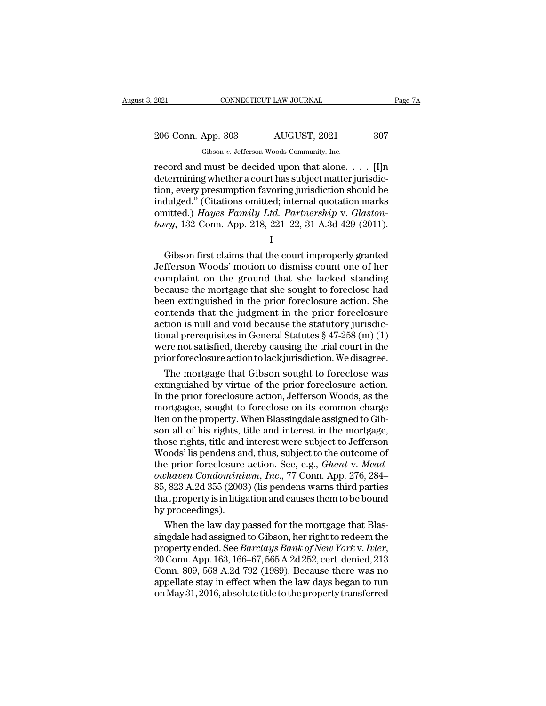Gibson *v.* Jefferson Woods Community, Inc. CONNECTICUT LAW JOURNAL Page 7A<br>
206 Conn. App. 303 AUGUST, 2021 307<br>
6 Gibson v. Jefferson Woods Community, Inc.<br>
Fecord and must be decided upon that alone. . . . . [I]n<br>
determining whether a court has subject matter ju 206 Conn. App. 303 AUGUST, 2021 307<br>
Gibson v. Jefferson Woods Community, Inc.<br>
record and must be decided upon that alone. . . . . [I]n<br>
determining whether a court has subject matter jurisdic-<br>
tion, every presumption fa 206 Conn. App. 303 AUGUST, 2021 307<br>
Gibson v. Jefferson Woods Community, Inc.<br>
record and must be decided upon that alone. . . . . [I]n<br>
determining whether a court has subject matter jurisdic-<br>
tion, every presumption f 206 Conn. App. 303 AUGUST, 2021 307<br>
Gibson v. Jefferson Woods Community, Inc.<br>
record and must be decided upon that alone. . . . [I]n<br>
determining whether a court has subject matter jurisdic-<br>
tion, every presumption fav Gibson *v.* Jefferson Woods Community, Inc.<br>
record and must be decided upon that alone. . . . [I]n<br>
determining whether a court has subject matter jurisdic-<br>
tion, every presumption favoring jurisdiction should be<br>
indulg Gibson *v*. Jefferson Woods Community, Inc.<br> **corrord** and must be decided upon that alone. . . . . [I]n<br>
determining whether a court has subject matter jurisdic-<br>
tion, every presumption favoring jurisdiction should be<br>
i Framma wheater a court into state of guitaristic functions on, every presumption favoring jurisdiction should be dulged." (Citations omitted; internal quotation marks initted.) Hayes Family Ltd. Partnership v. Glaston-<br>ry,

I and the set of  $\mathbf{I}$ 

indulged." (Citations omitted; internal quotation marks<br>
omitted.) *Hayes Family Ltd. Partnership v. Glaston-*<br>
bury, 132 Conn. App. 218, 221–22, 31 A.3d 429 (2011).<br>
I<br>
Gibson first claims that the court improperly grante completed.) Hayes Family Ltd. Partnership v. Glaston-<br>bury, 132 Conn. App. 218, 221–22, 31 A.3d 429 (2011).<br> $\frac{1}{1}$ <br>Gibson first claims that the court improperly granted<br>Jefferson Woods' motion to dismiss count one of h bury, 132 Conn. App. 218, 221–22, 31 A.3d 429 (2011).<br>
I<br>
Gibson first claims that the court improperly granted<br>
Jefferson Woods' motion to dismiss count one of her<br>
complaint on the ground that she lacked standing<br>
becau  $\begin{bmatrix} 1 & 0 & 0 & 0 \\ 0 & 0 & 0 & 0 \\ 0 & 0 & 0 & 0 \\ 0 & 0 & 0 & 0 \\ 0 & 0 & 0 & 0 \\ 0 & 0 & 0 & 0 \\ 0 & 0 & 0 & 0 \\ 0 & 0 & 0 & 0 \\ 0 & 0 & 0 & 0 \\ 0 & 0 & 0 & 0 \\ 0 & 0 & 0 & 0 \\ 0 & 0 & 0 & 0 \\ 0 & 0 & 0 & 0 \\ 0 & 0 & 0 & 0 \\ 0 & 0 & 0 & 0 \\ 0 & 0 & 0 & 0 \\ 0 & 0 & 0 & 0 \\ 0 & 0 & 0 &$ Gibson first claims that the court improperly granted<br>Jefferson Woods' motion to dismiss count one of her<br>complaint on the ground that she lacked standing<br>because the mortgage that she sought to foreclose had<br>been extingu Gibson first claims that the court improperly granted<br>Jefferson Woods' motion to dismiss count one of her<br>complaint on the ground that she lacked standing<br>because the mortgage that she sought to foreclose had<br>been extingu Jefferson Woods' motion to dismiss count one of her<br>complaint on the ground that she lacked standing<br>because the mortgage that she sought to foreclose had<br>been extinguished in the prior foreclosure action. She<br>contends tha complaint on the ground that she lacked standing<br>because the mortgage that she sought to foreclose had<br>been extinguished in the prior foreclosure action. She<br>contends that the judgment in the prior foreclosure<br>action is nu priorforeclosureactiontolackjurisdiction.Wedisagree. en extinguished in the prior foreclosure action. She<br>intends that the judgment in the prior foreclosure<br>tion is null and void because the statutory jurisdic-<br>nal prerequisites in General Statutes § 47-258 (m) (1)<br>per not s contends that the judgment in the prior foreclosure<br>action is null and void because the statutory jurisdic-<br>tional prerequisites in General Statutes § 47-258 (m) (1)<br>were not satisfied, thereby causing the trial court in t

action is null and void because the statutory jurisdictional prerequisites in General Statutes § 47-258 (m) (1)<br>were not satisfied, thereby causing the trial court in the<br>prior foreclosure action to lack jurisdiction. We d tional prerequisites in General Statutes § 47-258 (m) (1)<br>were not satisfied, thereby causing the trial court in the<br>prior foreclosure action to lack jurisdiction. We disagree.<br>The mortgage that Gibson sought to foreclosur were not satisfied, thereby causing the trial court in the<br>prior foreclosure action to lack jurisdiction. We disagree.<br>The mortgage that Gibson sought to foreclosure action.<br>In the prior foreclosure action, Jefferson Woods prior foreclosure action to lack jurisdiction. We disagree.<br>The mortgage that Gibson sought to foreclose was<br>extinguished by virtue of the prior foreclosure action.<br>In the prior foreclosure action, Jefferson Woods, as the<br> The mortgage that Gibson sought to foreclose was<br>extinguished by virtue of the prior foreclosure action.<br>In the prior foreclosure action, Jefferson Woods, as the<br>mortgagee, sought to foreclose on its common charge<br>lien on extinguished by virtue of the prior foreclosure action.<br>In the prior foreclosure action, Jefferson Woods, as the<br>mortgagee, sought to foreclose on its common charge<br>lien on the property. When Blassingdale assigned to Gib-<br> In the prior foreclosure action, Jefferson Woods, as the<br>mortgagee, sought to foreclose on its common charge<br>lien on the property. When Blassingdale assigned to Gib-<br>son all of his rights, title and interest in the mortgag mortgagee, sought to foreclose on its common charge<br>lien on the property. When Blassingdale assigned to Gib-<br>son all of his rights, title and interest in the mortgage,<br>those rights, title and interest were subject to Jeffe lien on the property. When Blassingdale assigned to Gibson all of his rights, title and interest in the mortgage, those rights, title and interest were subject to Jefferson Woods' lis pendens and, thus, subject to the outc son all of his rights, title and interest in the mortgage,<br>those rights, title and interest were subject to Jefferson<br>Woods' lis pendens and, thus, subject to the outcome of<br>the prior foreclosure action. See, e.g., *Ghent* those rights, title and i<br>Woods' lis pendens an<br>the prior foreclosure<br>*owhaven Condominii*<br>85, 823 A.2d 355 (2003<br>that property is in litig:<br>by proceedings).<br>When the law day p oods' its pendens and, thus, subject to the outcome of<br>e prior foreclosure action. See, e.g., *Ghent v. Mead-<br>phaven Condominium, Inc.*, 77 Conn. App. 276, 284–<br>, 823 A.2d 355 (2003) (lis pendens warns third parties<br>at pro the prior foreclosure action. See, e.g., *Ghent v. Mead-owhaven Condominium, Inc.*, 77 Conn. App. 276, 284–85, 823 A.2d 355 (2003) (lis pendens warns third parties that property is in litigation and causes them to be boun

owhaven Condominium, Inc., TT Conn. App. 276, 284–<br>85, 823 A.2d 355 (2003) (lis pendens warns third parties<br>that property is in litigation and causes them to be bound<br>by proceedings).<br>When the law day passed for the mortga that property is in litigation and causes them to be bound<br>by proceedings).<br>When the law day passed for the mortgage that Blas-<br>singdale had assigned to Gibson, her right to redeem the<br>property ended. See *Barclays Bank o* by proceedings).<br>
When the law day passed for the mortgage that Blas-<br>
singdale had assigned to Gibson, her right to redeem the<br>
property ended. See *Barclays Bank of New York v. Ivler*,<br>
20 Conn. App. 163, 166–67, 565 A.2 When the law day passed for the mortgage that Blas-<br>singdale had assigned to Gibson, her right to redeem the<br>property ended. See *Barclays Bank of New York v. Ivler*,<br>20 Conn. App. 163, 166–67, 565 A.2d 252, cert. denied,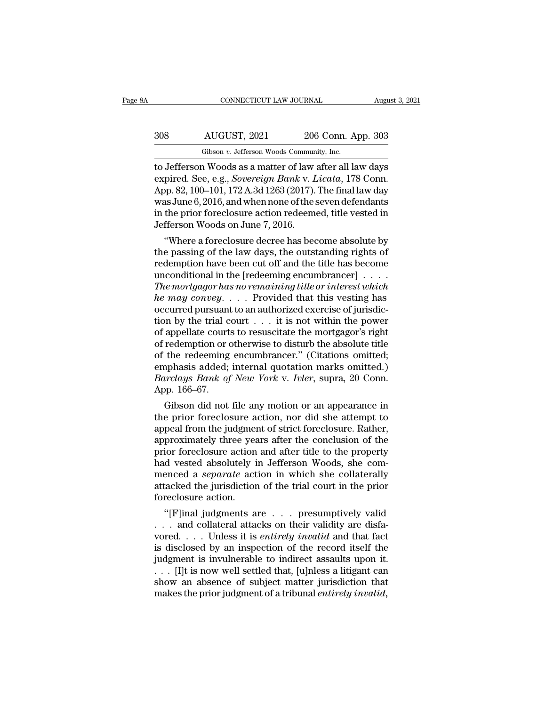# CONNECTICUT LAW JOURNAL August 3, 2021<br>308 AUGUST, 2021 206 Conn. App. 303<br>Gibson v. Jefferson Woods Community, Inc. CONNECTICUT LAW JOURNAL Augu<br>
Gibson *v.* Jefferson Woods Community, Inc.<br>
The Jefferson Woods as a matter of law after all law days

CONNECTICUT LAW JOURNAL August 3, 2021<br>
308 AUGUST, 2021 206 Conn. App. 303<br>
Gibson v. Jefferson Woods Community, Inc.<br>
to Jefferson Woods as a matter of law after all law days<br>
expired. See, e.g., *Sovereign Bank v. Licat* AUGUST, 2021 206 Conn. App. 303<br>Gibson v. Jefferson Woods Community, Inc.<br>to Jefferson Woods as a matter of law after all law days<br>expired. See, e.g., *Sovereign Bank* v. *Licata*, 178 Conn.<br>App. 82, 100–101, 172 A.3d 1263 AUGUST, 2021 206 Conn. App. 303<br>
Gibson v. Jefferson Woods Community, Inc.<br>
to Jefferson Woods as a matter of law after all law days<br>
expired. See, e.g., *Sovereign Bank* v. *Licata*, 178 Conn.<br>
App. 82, 100–101, 172 A.3d  $\frac{\text{AUGUST, 2021}}{\text{Gibson } v. \text{ Jefferson Woods Community, Inc.}}$ <br>to Jefferson Woods as a matter of law after all law days<br>expired. See, e.g., *Sovereign Bank v. Licata*, 178 Conn.<br>App. 82, 100–101, 172 A.3d 1263 (2017). The final law day<br>was June 6, Gibson v. Jefferson Woods Community, Inc.<br>to Jefferson Woods as a matter of law after all law days<br>expired. See, e.g., *Sovereign Bank v. Licata*, 178 Conn.<br>App. 82, 100–101, 172 A.3d 1263 (2017). The final law day<br>was Jun Gibson v. Jefferson Woods Commun<br>to Jefferson Woods as a matter of law<br>expired. See, e.g., *Sovereign Bank v. I*<br>App. 82, 100–101, 172 A.3d 1263 (2017).<br>was June 6, 2016, and when none of the :<br>in the prior foreclosure act Jefferson woods as a matter of law after all law days<br>pired. See, e.g., *Sovereign Bank v. Licata*, 178 Conn.<br>pp. 82, 100–101, 172 A.3d 1263 (2017). The final law day<br>as June 6, 2016, and when none of the seven defendants<br> expired. see, e.g., *sovereign Bank v. Licaia*, 178 Conn.<br>App. 82, 100–101, 172 A.3d 1263 (2017). The final law day<br>was June 6, 2016, and when none of the seven defendants<br>in the prior foreclosure action redeemed, title ve

App. 82, 100–101, 172 A.3d 1203 (2017). The final law day<br>was June 6, 2016, and when none of the seven defendants<br>in the prior foreclosure action redeemed, title vested in<br>Jefferson Woods on June 7, 2016.<br>"Where a foreclo was June 6, 2016, and when none of the seven defendants<br>in the prior foreclosure action redeemed, title vested in<br>Jefferson Woods on June 7, 2016.<br>"Where a foreclosure decree has become absolute by<br>the passing of the law In the prior foreclosure action redeemed, title vested in<br>Jefferson Woods on June 7, 2016.<br>
"Where a foreclosure decree has become absolute by<br>
the passing of the law days, the outstanding rights of<br>
redemption have been c *he* may convert in the may convert in the passing of the law days, the outstanding rights of redemption have been cut off and the title has become unconditional in the [redeeming encumbrancer] . . . . . The mortgagor has "Where a foreclosure decree has become absolute by<br>the passing of the law days, the outstanding rights of<br>redemption have been cut off and the title has become<br>unconditional in the [redeeming encumbrancer] . . . .<br>The mor the passing of the law days, the outstanding rights of<br>redemption have been cut off and the title has become<br>unconditional in the [redeeming encumbrancer] . . . .<br>The mortgagor has no remaining title or interest which<br>he redemption have been cut off and the title has become<br>unconditional in the [redeeming encumbrancer] . . . . The mortgagor has no remaining title or interest which<br>he may convey. . . . Provided that this vesting has<br>occurr unconditional in the [redeeming encumbrancer]  $\ldots$  .<br>The mortgagor has no remaining title or interest which<br>he may convey.  $\ldots$  Provided that this vesting has<br>occurred pursuant to an authorized exercise of jurisdic-<br>tio The mortgagor has no remaining title or interest which<br>he may convey.... Provided that this vesting has<br>occurred pursuant to an authorized exercise of jurisdic-<br>tion by the trial court ... it is not within the power<br>of ap he may convey. . . . . Provided that this vesting has<br>occurred pursuant to an authorized exercise of jurisdic-<br>tion by the trial court . . . it is not within the power<br>of appellate courts to resuscitate the mortgagor's ri occurred pursuant to an authorized exercise of jurisdiction by the trial court . . . it is not within the power of appellate courts to resuscitate the mortgagor's right of redemption or otherwise to disturb the absolute ti tion by the trial c<br>of appellate court:<br>of redemption or of<br>of the redeeming<br>emphasis added;<br>*Barclays Bank of*<br>App. 166–67.<br>Gibson did not appenate courts to resuscitate the mortgagor's right<br>redemption or otherwise to disturb the absolute title<br>the redeeming encumbrancer." (Citations omitted;<br>inphasis added; internal quotation marks omitted.)<br>*urclays Bank o* or reaemption or otherwise to disturb the absolute title<br>of the redeeming encumbrancer." (Citations omitted;<br>emphasis added; internal quotation marks omitted.)<br>Barclays Bank of New York v. Ivler, supra, 20 Conn.<br>App. 166–6

or the redeeming encumbrancer. (Citations omitted;<br>emphasis added; internal quotation marks omitted.)<br>Barclays Bank of New York v. Ivler, supra, 20 Conn.<br>App. 166–67.<br>Gibson did not file any motion or an appearance in<br>the emphasis added; internal quotation marks omitted.)<br> *Barclays Bank of New York v. Ivler*, supra, 20 Conn.<br>
App. 166–67.<br>
Gibson did not file any motion or an appearance in<br>
the prior foreclosure action, nor did she attempt Barctays Bank of New York V. Tvter, supra, 20 Conn.<br>App. 166–67.<br>Gibson did not file any motion or an appearance in<br>the prior foreclosure action, nor did she attempt to<br>appeal from the judgment of strict foreclosure. Rathe App. 100–07.<br>
Gibson did not file any motion or an appearance in<br>
the prior foreclosure action, nor did she attempt to<br>
appeal from the judgment of strict foreclosure. Rather,<br>
approximately three years after the conclusi Gibson did not file any motion or an appearance in<br>the prior foreclosure action, nor did she attempt to<br>appeal from the judgment of strict foreclosure. Rather,<br>approximately three years after the conclusion of the<br>prior fo the prior foreclosure action, nor did she attempt to<br>appeal from the judgment of strict foreclosure. Rather,<br>approximately three years after the conclusion of the<br>prior foreclosure action and after title to the property<br>ha appeal from the judgmen<br>approximately three yea<br>prior foreclosure action<br>had vested absolutely i<br>menced a *separate* act<br>attacked the jurisdictior<br>foreclosure action.<br>"[F]inal judgments a proximately three years after the conclusion of the<br>ior foreclosure action and after title to the property<br>d vested absolutely in Jefferson Woods, she com-<br>enced a *separate* action in which she collaterally<br>tacked the jur prior foreclosure action and after title to the property<br>had vested absolutely in Jefferson Woods, she com-<br>menced a *separate* action in which she collaterally<br>attacked the jurisdiction of the trial court in the prior<br>fo

nad vested absolutely in Jetterson Woods, she com-<br>menced a *separate* action in which she collaterally<br>attacked the jurisdiction of the trial court in the prior<br>foreclosure action.<br>"[F]inal judgments are . . . presumptive menced a *separate* action in which she collaterally<br>attacked the jurisdiction of the trial court in the prior<br>foreclosure action.<br>"[F]inal judgments are  $\ldots$  presumptively valid<br> $\ldots$  and collateral attacks on their val attacked the jurisdiction of the trial court in the prior<br>foreclosure action.<br>"[F]inal judgments are . . . presumptively valid<br>. . . and collateral attacks on their validity are disfa-<br>vored. . . . Unless it is *entirely i* foreclosure action.<br>
"[F]inal judgments are  $\ldots$  presumptively valid<br>  $\ldots$  and collateral attacks on their validity are disfa-<br>
vored.  $\ldots$  Unless it is *entirely invalid* and that fact<br>
is disclosed by an inspection o "[F]inal judgments are  $\ldots$  presumptively valid  $\ldots$  and collateral attacks on their validity are disfavored.  $\ldots$  Unless it is *entirely invalid* and that fact is disclosed by an inspection of the record itself the ju ... and collateral attacks on their validity are disfavored.... Unless it is *entirely invalid* and that fact is disclosed by an inspection of the record itself the judgment is invulnerable to indirect assaults upon it...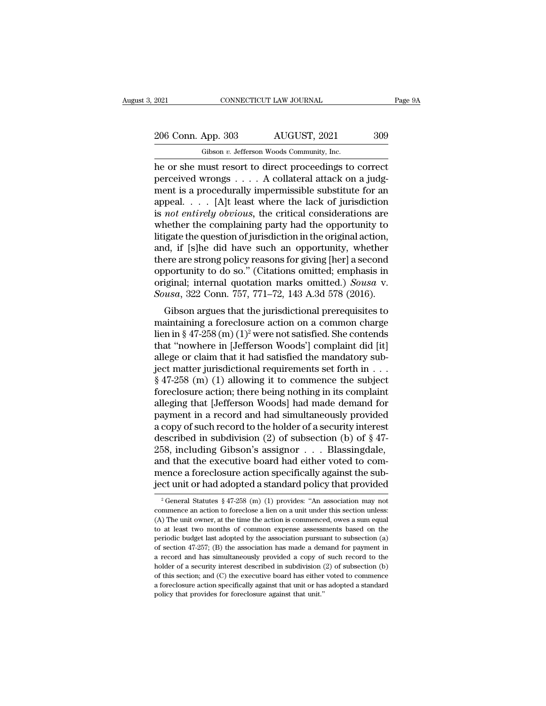2021 CONNECTICUT LAW JOURNAL Page 9A<br>206 Conn. App. 303 AUGUST, 2021 309<br>Gibson v. Jefferson Woods Community, Inc.

Fig. 2021 CONNECTICUT LAW JOURNAL<br>
206 Conn. App. 303 AUGUST, 2021 309<br>
Gibson *v.* Jefferson Woods Community, Inc.<br>
he or she must resort to direct proceedings to correct Fage 91<br>
2021 CONNECTICUT LAW JOURNAL Page 91<br>
206 Conn. App. 303 AUGUST, 2021 309<br>
6 Gibson v. Jefferson Woods Community, Inc.<br>
he or she must resort to direct proceedings to correct<br>
perceived wrongs . . . . A collateral 206 Conn. App. 303 AUGUST, 2021 309<br>
Gibson v. Jefferson Woods Community, Inc.<br>
he or she must resort to direct proceedings to correct<br>
perceived wrongs . . . . A collateral attack on a judg-<br>
ment is a procedurally imperm 206 Conn. App. 303 AUGUST, 2021 309<br>
Gibson v. Jefferson Woods Community, Inc.<br>
he or she must resort to direct proceedings to correct<br>
perceived wrongs . . . . A collateral attack on a judg-<br>
ment is a procedurally imper 206 Conn. App. 303 AUGUST, 2021 309<br>
Gibson v. Jefferson Woods Community, Inc.<br>
he or she must resort to direct proceedings to correct<br>
perceived wrongs . . . . A collateral attack on a judg-<br>
ment is a procedurally imper Gibson *v.* Jefferson Woods Community, Inc.<br>
he or she must resort to direct proceedings to correct<br>
perceived wrongs . . . . A collateral attack on a judg-<br>
ment is a procedurally impermissible substitute for an<br>
appeal. Gibson v. Jetterson Woods Community, Inc.<br>
he or she must resort to direct proceedings to correct<br>
perceived wrongs . . . . A collateral attack on a judg-<br>
ment is a procedurally impermissible substitute for an<br>
appeal. . he or she must resort to direct proceedings to correct<br>perceived wrongs  $\dots$ . A collateral attack on a judg-<br>ment is a procedurally impermissible substitute for an<br>appeal.  $\dots$  [A]t least where the lack of jurisdiction<br>is perceived wrongs  $\dots$  . A collateral attack on a judgment is a procedurally impermissible substitute for an appeal.  $\dots$  [A]t least where the lack of jurisdiction is *not entirely obvious*, the critical considerations are ment is a procedurally impermissible substitute for an appeal. . . . [A]t least where the lack of jurisdiction is *not entirely obvious*, the critical considerations are whether the complaining party had the opportunity t appeal. . . . [A]t least where the lack of jurisdiction<br>is *not entirely obvious*, the critical considerations are<br>whether the complaining party had the opportunity to<br>litigate the question of jurisdiction in the original is *not entirely obvious*, the critical considerations are<br>whether the complaining party had the opportunity to<br>litigate the question of jurisdiction in the original action,<br>and, if [s]he did have such an opportunity, whet whether the complaining party had the opportunity to litigate the question of jurisdiction in the original action, and, if [s]he did have such an opportunity, whether there are strong policy reasons for giving [her] a seco d, if [s]he did have such an opportunity, whether<br>ere are strong policy reasons for giving [her] a second<br>portunity to do so." (Citations omitted; emphasis in<br>iginal; internal quotation marks omitted.) Sousa v.<br>usa, 322 C and, if [s]ne did have such an opportunity, whether<br>there are strong policy reasons for giving [her] a second<br>opportunity to do so." (Citations omitted; emphasis in<br>original; internal quotation marks omitted.) Sousa v.<br>So

there are strong poncy reasons for giving [her] a second<br>opportunity to do so." (Citations omitted.) Sousa v.<br>Sousa, 322 Conn. 757, 771–72, 143 A.3d 578 (2016).<br>Gibson argues that the jurisdictional prerequisites to<br>mainta opportuntly to do so. (Citations omitted, emphasis in<br>original; internal quotation marks omitted.) Sousa v.<br>Sousa, 322 Conn. 757, 771–72, 143 A.3d 578 (2016).<br>Gibson argues that the jurisdictional prerequisites to<br>maintai original; internal quotation marks omitted.) Sousa v.<br>
Sousa, 322 Conn. 757, 771–72, 143 A.3d 578 (2016).<br>
Gibson argues that the jurisdictional prerequisites to<br>
maintaining a foreclosure action on a common charge<br>
lien Sousa, 322 Conn. 151, 111–12, 143 A.5d 516 (2010).<br>
Gibson argues that the jurisdictional prerequisites to<br>
maintaining a foreclosure action on a common charge<br>
lien in § 47-258 (m) (1)<sup>2</sup> were not satisfied. She contends Gibson argues that the jurisdictional prerequisites to<br>maintaining a foreclosure action on a common charge<br>lien in § 47-258 (m)  $(1)^2$  were not satisfied. She contends<br>that "nowhere in [Jefferson Woods'] complaint did [it maintaining a foreclosure action on a common charge<br>lien in § 47-258 (m)  $(1)^2$  were not satisfied. She contends<br>that "nowhere in [Jefferson Woods'] complaint did [it]<br>allege or claim that it had satisfied the mandatory s lien in § 47-258 (m)  $(1)^2$  were not satisfied. She contends<br>that "nowhere in [Jefferson Woods'] complaint did [it]<br>allege or claim that it had satisfied the mandatory sub-<br>ject matter jurisdictional requirements set fort that "nowhere in [Jefferson Woods'] complaint did [it]<br>allege or claim that it had satisfied the mandatory sub-<br>ject matter jurisdictional requirements set forth in . . .<br>§ 47-258 (m) (1) allowing it to commence the subje allege or claim that it had satisfied the mandatory sub-<br>ject matter jurisdictional requirements set forth in  $\dots$  \$ 47-258 (m) (1) allowing it to commence the subject<br>foreclosure action; there being nothing in its compla ject matter jurisdictional requirements set forth in . . .<br>
§ 47-258 (m) (1) allowing it to commence the subject<br>
foreclosure action; there being nothing in its complaint<br>
alleging that [Jefferson Woods] had made demand f  $§$  47-258 (m) (1) allowing it to commence the subject<br>foreclosure action; there being nothing in its complaint<br>alleging that [Jefferson Woods] had made demand for<br>payment in a record and had simultaneously provided<br>a cop foreclosure action; there being nothing in its complaint<br>alleging that [Jefferson Woods] had made demand for<br>payment in a record and had simultaneously provided<br>a copy of such record to the holder of a security interest<br>de alleging that [Jefferson Woods] had made demand for<br>payment in a record and had simultaneously provided<br>a copy of such record to the holder of a security interest<br>described in subdivision (2) of subsection (b) of § 47-<br>258 payment in a record and had simultaneously provided<br>a copy of such record to the holder of a security interest<br>described in subdivision (2) of subsection (b) of  $\S$  47-<br>258, including Gibson's assignor . . . Blassingdale, 258, including Gibson's assignor . . . Blassingdale, and that the executive board had either voted to commence a foreclosure action specifically against the subject unit or had adopted a standard policy that provided  $\frac{$ and that the executive board had either voted to com-<br>mence a foreclosure action specifically against the sub-<br>ject unit or had adopted a standard policy that provided<br> $\frac{1}{2}$  General Statutes § 47-258 (m) (1) provides:

mence a foreclosure action specifically against the subject unit or had adopted a standard policy that provided<br> $\frac{1}{2}$  General Statutes § 47-258 (m) (1) provides: "An association may not commence an action to foreclose the at least two months of common expense assessments based on the periodic budget last adopted by the association may not commence an action to foreclose a lien on a unit under this section unless:<br>(A) The unit owner, at pect unit of flau adopted a standard policy that provided<br>
<sup>2</sup> General Statutes § 47-258 (m) (1) provides: "An association may not<br>
commence an action to foreclose a lien on a unit under this section unless:<br>
(A) The unit <sup>2</sup> General Statutes § 47-258 (m) (1) provides: "An association may not commence an action to foreclose a lien on a unit under this section unless: (A) The unit owner, at the time the action is commenced, owes a sum equal commence an action to foreclose a lien on a unit under this section unless:<br>(A) The unit owner, at the time the action is commenced, owes a sum equal<br>to at least two months of common expense assessments based on the<br>perio (A) The unit owner, at the time the action is commenced, owes a sum equal<br>to at least two months of common expense assessments based on the<br>periodic budget last adopted by the association pursuant to subsection (a)<br>of sec The section section; and (C) the association pursuant to subsection (a) of section 47-257; (B) the association pursuant to subsection (a) of section 47-257; (B) the association has made a demand for payment in a record an periodic budget last adopted by the association pursuant to subsection (a) of section 47-257; (B) the association has made a demand for payment in a record and has simultaneously provided a copy of such record to the hold periodic budget last adopted by the association pursuant to subsection (a) of section 47-257; (B) the association has made a demand for payment in a record and has simultaneously provided a copy of such record to the hold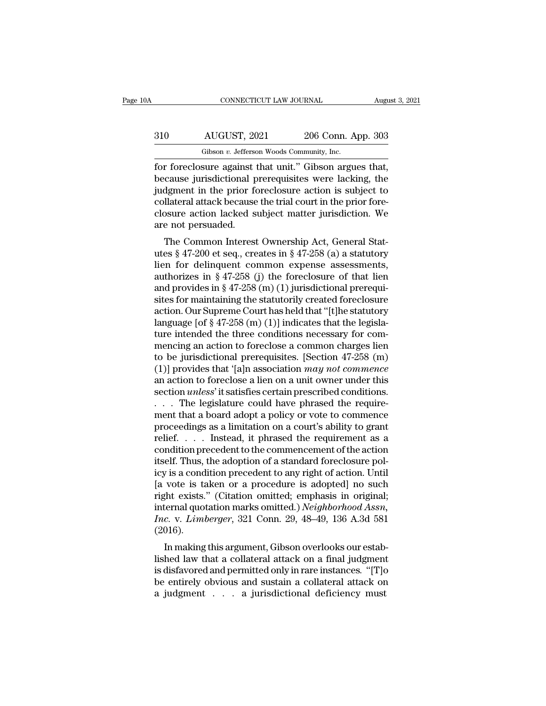### CONNECTICUT LAW JOURNAL August 3, 2021<br>310 AUGUST, 2021 206 Conn. App. 303<br>Gibson v. Jefferson Woods Community, Inc. CONNECTICUT LAW JOURNAL Augu<br>
Gibson *v.* Jefferson Woods Community, Inc.<br>
for foreclosure against that unit." Gibson argues that, FORMECTICUT LAW JOURNAL August 3, 2<br>
310 AUGUST, 2021 206 Conn. App. 303<br>
6 Gibson v. Jefferson Woods Community, Inc.<br>
for foreclosure against that unit.'' Gibson argues that,<br>
because jurisdictional prerequisites were lac

Because jurisdictional prerequisites were lacking, the<br>dison v. Jefferson Woods Community, Inc.<br>for foreclosure against that unit." Gibson argues that,<br>because jurisdictional prerequisites were lacking, the<br>judgment in the  $\frac{\text{d}}{\text{d}}$  AUGUST, 2021 206 Conn. App. 303<br>  $\frac{\text{Gibson } v. \text{ Jefferson Woods Community, Inc.}}{\text{for foreclosure against that unit." Gibson argues that, because jurisdictional prerequisites were lacking, the judgment in the prior foreclosure action is subject to collateral attack because the trial court in the prior foreclosure.}$  $\frac{310}{\text{Gibson } v. \text{ Jefferson Woods Community, Inc.}}$ <br>
fibson  $v. \text{ Jefferson Woods Community, Inc.}$ <br>
for foreclosure against that unit." Gibson argues that,<br>
because jurisdictional prerequisites were lacking, the<br>
judgment in the prior foreclosure action is subject to<br> Gibson *v.* Jefferson Woods Community, Inc.<br>
for foreclosure against that unit." Gibson argues that,<br>
because jurisdictional prerequisites were lacking, the<br>
judgment in the prior foreclosure action is subject to<br>
collater  $\begin{tabular}{ll} \hline \textbf{Gibson } \textit{v. Jettersc} \\ \hline \textbf{for foreclosure against 1} \\ \textbf{because jurisdictional p} \\ \textbf{judgment in the prior f} \\ \textbf{collateral attack because} \\ \textbf{closure action lacked s} \\ \textbf{are not persuaded.} \\ \hline \textbf{The Common Interest} \\ \end{tabular}$ The Common Interest Ownership Act, General Stat-<br>The Common Interest Ownership Act, Common Interest Ownership Act, General States § 47-200 et seq., creates in § 47-258 (a) a statutory and for delinguant common oxnonsol ass because jurisuicional prerequisites were facking, the<br>judgment in the prior foreclosure action is subject to<br>collateral attack because the trial court in the prior fore-<br>closure action lacked subject matter jurisdiction.

diagnment in the prior foreclosure action is subject to<br>collateral attack because the trial court in the prior fore-<br>closure action lacked subject matter jurisdiction. We<br>are not persuaded.<br>The Common Interest Ownership A conateral attack because the that court in the prior fore-<br>closure action lacked subject matter jurisdiction. We<br>are not persuaded.<br>The Common Interest Ownership Act, General Stat-<br>utes § 47-200 et seq., creates in § 47-2 closure action lacked subject matter jurisdiction. We<br>are not persuaded.<br>The Common Interest Ownership Act, General Stat-<br>utes § 47-200 et seq., creates in § 47-258 (a) a statutory<br>lien for delinquent common expense assess The Common Interest Ownership Act, General Stat-<br>utes § 47-200 et seq., creates in § 47-258 (a) a statutory<br>lien for delinquent common expense assessments,<br>authorizes in § 47-258 (j) the foreclosure of that lien<br>and provi The Common Interest Ownership Act, General Stat-<br>utes § 47-200 et seq., creates in § 47-258 (a) a statutory<br>lien for delinquent common expense assessments,<br>authorizes in § 47-258 (j) the foreclosure of that lien<br>and provi utes § 47-200 et seq., creates in § 47-258 (a) a statutory<br>lien for delinquent common expense assessments,<br>authorizes in § 47-258 (j) the foreclosure of that lien<br>and provides in § 47-258 (m) (1) jurisdictional prerequi-<br> lien for delinquent common expense assessments,<br>authorizes in § 47-258 (j) the foreclosure of that lien<br>and provides in § 47-258 (m) (1) jurisdictional prerequi-<br>sites for maintaining the statutorily created foreclosure<br>a authorizes in § 47-258 (j) the foreclosure of that lien<br>and provides in § 47-258 (m) (1) jurisdictional prerequi-<br>sites for maintaining the statutorily created foreclosure<br>action. Our Supreme Court has held that "[t]he st and provides in § 47-258 (m) (1) jurisdictional prerequisites for maintaining the statutorily created foreclosure<br>action. Our Supreme Court has held that "[t]he statutory<br>language [of § 47-258 (m) (1)] indicates that the sites for maintaining the statutorily created foreclosure<br>action. Our Supreme Court has held that "[t]he statutory<br>language [of § 47-258 (m) (1)] indicates that the legisla-<br>ture intended the three conditions necessary for action. Our Supreme Court has held that "[t]he statutory<br>language [of § 47-258 (m) (1)] indicates that the legisla-<br>ture intended the three conditions necessary for com-<br>mencing an action to foreclose a common charges lie language [of  $\S$  47-258 (m) (1)] indicates that the legislature intended the three conditions necessary for commencing an action to foreclose a common charges lien<br>to be jurisdictional prerequisites. [Section 47-258 (m)<br>( ture intended the three conditions necessary for com-<br>mencing an action to foreclose a common charges lien<br>to be jurisdictional prerequisites. [Section 47-258 (m)<br>(1)] provides that '[a]n association *may not commence*<br>an mencing an action to foreclose a common charges lien<br>to be jurisdictional prerequisites. [Section 47-258 (m)<br>(1)] provides that '[a]n association *may not commence*<br>an action to foreclose a lien on a unit owner under this to be jurisdictional prerequisites. [Section 47-258 (m) (1)] provides that '[a]n association *may not commence* an action to foreclose a lien on a unit owner under this section *unless*' it satisfies certain prescribed co (1)] provides that '[a]n association *may not commence*<br>an action to foreclose a lien on a unit owner under this<br>section *unless*' it satisfies certain prescribed conditions.<br>. . . The legislature could have phrased the r an action to foreclose a lien on a unit owner under this<br>section *unless*' it satisfies certain prescribed conditions.<br>... The legislature could have phrased the require-<br>ment that a board adopt a policy or vote to commen section *unless*' it satisfies certain prescribed conditions.<br>  $\ldots$  The legislature could have phrased the require-<br>
ment that a board adopt a policy or vote to commence<br>
proceedings as a limitation on a court's ability . . . The legislature could have phrased the requirement that a board adopt a policy or vote to commence proceedings as a limitation on a court's ability to grant relief. . . . Instead, it phrased the requirement as a con ment that a board adopt a policy or vote to commence<br>proceedings as a limitation on a court's ability to grant<br>relief.  $\dots$  . Instead, it phrased the requirement as a<br>condition precedent to the commencement of the action<br> proceedings as a limitation on a court's ability to grant<br>relief. . . . . Instead, it phrased the requirement as a<br>condition precedent to the commencement of the action<br>itself. Thus, the adoption of a standard foreclosure relief. . . . . Instead, it phrased the requirement as a condition precedent to the commencement of the action itself. Thus, the adoption of a standard foreclosure policy is a condition precedent to any right of action. Un condition precedent to the commencement of the action<br>itself. Thus, the adoption of a standard foreclosure pol-<br>icy is a condition precedent to any right of action. Until<br>[a vote is taken or a procedure is adopted] no such (2016). In making this argument, Gibson overlooks our estab-<br>In making this argument of a procedure is adopted] no such<br>the exists." (Citation omitted; emphasis in original;<br>ternal quotation marks omitted.) *Neighborhood Assn.*<br>c. Let vote is taken of a procedure is adopted in such<br>right exists." (Citation omitted; emphasis in original;<br>internal quotation marks omitted.) *Neighborhood Assn*,<br> $Inc. v. Limberger, 321$  Conn. 29, 48–49, 136 A.3d 581<br>(2016).<br>In ma

ingite exists. (Citation onlitted, emphasis in original,<br>internal quotation marks omitted.) *Neighborhood Assn*,<br>*Inc.* v. *Limberger*, 321 Conn. 29, 48–49, 136 A.3d 581<br>(2016).<br>In making this argument, Gibson overlooks ou mernal quotation marks onlitted.) *Neughoomood Assn.*<br> *Inc.* v. *Limberger*, 321 Conn. 29, 48–49, 136 A.3d 581<br>
(2016).<br>
In making this argument, Gibson overlooks our established law that a collateral attack on a final ju Find the V. *Limberger*, 321 Confl. 23, 40–43, 150 A.5d 361<br>(2016).<br>In making this argument, Gibson overlooks our established law that a collateral attack on a final judgment<br>is disfavored and permitted only in rare insta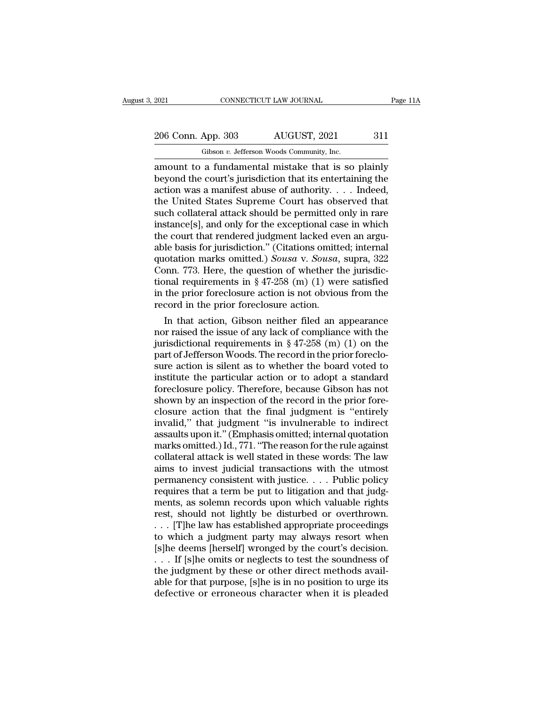2021 CONNECTICUT LAW JOURNAL Page 11A<br>206 Conn. App. 303 AUGUST, 2021 311<br>Gibson v. Jefferson Woods Community, Inc.

Fig. 2021 CONNECTICUT LAW JOURNAL<br>206 Conn. App. 303 AUGUST, 2021 311<br>Gibson *v.* Jefferson Woods Community, Inc.<br>amount to a fundamental mistake that is so plainly CONNECTICUT LAW JOURNAL Page 11A<br>
206 Conn. App. 303 AUGUST, 2021 311<br>
6 Gibson v. Jefferson Woods Community, Inc.<br>
2001 amount to a fundamental mistake that is so plainly<br>
beyond the court's jurisdiction that its entertai 206 Conn. App. 303 AUGUST, 2021 311<br>
Gibson v. Jefferson Woods Community, Inc.<br>
amount to a fundamental mistake that is so plainly<br>
beyond the court's jurisdiction that its entertaining the<br>
action was a manifest abuse of 206 Conn. App. 303 AUGUST, 2021 311<br>
Gibson v. Jefferson Woods Community, Inc.<br>
amount to a fundamental mistake that is so plainly<br>
beyond the court's jurisdiction that its entertaining the<br>
action was a manifest abuse of 206 Conn. App. 303 AUGUST, 2021 311<br>
Gibson v. Jefferson Woods Community, Inc.<br>
amount to a fundamental mistake that is so plainly<br>
beyond the court's jurisdiction that its entertaining the<br>
action was a manifest abuse of Gibson *v*. Jefferson Woods Community, Inc.<br>
amount to a fundamental mistake that is so plainly<br>
beyond the court's jurisdiction that its entertaining the<br>
action was a manifest abuse of authority. . . . Indeed,<br>
the Unite Gibson v. Jefferson Woods Community, Inc.<br>
amount to a fundamental mistake that is so plainly<br>
beyond the court's jurisdiction that its entertaining the<br>
action was a manifest abuse of authority.... Indeed,<br>
the United St amount to a fundamental mistake that is so plainly<br>beyond the court's jurisdiction that its entertaining the<br>action was a manifest abuse of authority. . . . Indeed,<br>the United States Supreme Court has observed that<br>such c beyond the court's jurisdiction that its entertaining the action was a manifest abuse of authority. . . . Indeed, the United States Supreme Court has observed that such collateral attack should be permitted only in rare i action was a manifest abuse of authority. . . . . Indeed,<br>the United States Supreme Court has observed that<br>such collateral attack should be permitted only in rare<br>instance[s], and only for the exceptional case in which<br>th the United States Supreme Court has observed that<br>such collateral attack should be permitted only in rare<br>instance[s], and only for the exceptional case in which<br>the court that rendered judgment lacked even an argu-<br>able such collateral attack should be permitted only in rare<br>instance[s], and only for the exceptional case in which<br>the court that rendered judgment lacked even an argu-<br>able basis for jurisdiction." (Citations omitted; intern in the court that rendered judgment lacked even an arguable basis for jurisdiction." (Citations omitted; internal quotation marks omitted.) *Sousa v. Sousa*, supra, 322 Conn. 773. Here, the question of whether the jurisdi the court that rendered judgment lacked evable basis for jurisdiction." (Citations omitted quotation marks omitted.) Sousa v. Sousa, Conn. 773. Here, the question of whether the prior foreclosure action is not obvious rec In that action,  $\Gamma$  (Citations omitted; internal otation marks omitted.) *Sousa v. Sousa*, supra, 322 pnn. 773. Here, the question of whether the jurisdic-<br>pnal requirements in § 47-258 (m) (1) were satisfied<br>the prior f quotation marks omitted.) Sousa v. Sousa, supra, 322<br>Conn. 773. Here, the question of whether the jurisdic-<br>tional requirements in § 47-258 (m) (1) were satisfied<br>in the prior foreclosure action is not obvious from the<br>re

Conn. 773. Here, the question of whether the jurisdictional requirements in § 47-258 (m) (1) were satisfied<br>in the prior foreclosure action is not obvious from the<br>record in the prior foreclosure action.<br>In that action, G tional requirements in  $\S 47-258$  (m) (1) were satisfied<br>in the prior foreclosure action is not obvious from the<br>record in the prior foreclosure action.<br>In that action, Gibson neither filed an appearance<br>nor raised the is In the prior foreclosure action is not obvious from the<br>record in the prior foreclosure action.<br>In that action, Gibson neither filed an appearance<br>nor raised the issue of any lack of compliance with the<br>jurisdictional req record in the prior foreclosure action.<br>
In that action, Gibson neither filed an appearance<br>
nor raised the issue of any lack of compliance with the<br>
jurisdictional requirements in § 47-258 (m) (1) on the<br>
part of Jeffers In that action, Gibson neither filed an appearance<br>nor raised the issue of any lack of compliance with the<br>jurisdictional requirements in  $\S 47-258$  (m) (1) on the<br>part of Jefferson Woods. The record in the prior foreclonor raised the issue of any lack of compliance with the<br>jurisdictional requirements in  $\S 47-258$  (m) (1) on the<br>part of Jefferson Woods. The record in the prior foreclo-<br>sure action is silent as to whether the board vote jurisdictional requirements in § 47-258 (m) (1) on the<br>part of Jefferson Woods. The record in the prior foreclo-<br>sure action is silent as to whether the board voted to<br>institute the particular action or to adopt a standard part of Jefferson Woods. The record in the prior foreclosure action is silent as to whether the board voted to institute the particular action or to adopt a standard foreclosure policy. Therefore, because Gibson has not sh sure action is silent as to whether the board voted to<br>institute the particular action or to adopt a standard<br>foreclosure policy. Therefore, because Gibson has not<br>shown by an inspection of the record in the prior fore-<br>cl institute the particular action or to adopt a standard<br>foreclosure policy. Therefore, because Gibson has not<br>shown by an inspection of the record in the prior fore-<br>closure action that the final judgment is "entirely<br>inval foreclosure policy. Therefore, because Gibson has not<br>shown by an inspection of the record in the prior fore-<br>closure action that the final judgment is "entirely<br>invalid," that judgment "is invulnerable to indirect<br>assault shown by an inspection of the record in the prior fore-<br>closure action that the final judgment is "entirely<br>invalid," that judgment "is invulnerable to indirect<br>assaults upon it." (Emphasis omitted; internal quotation<br>mar closure action that the final judgment is "entirely<br>invalid," that judgment "is invulnerable to indirect<br>assaults upon it." (Emphasis omitted; internal quotation<br>marks omitted.) Id., 771. "The reason for the rule against<br>c invalid," that judgment "is invulnerable to indirect<br>assaults upon it." (Emphasis omitted; internal quotation<br>marks omitted.) Id., 771. "The reason for the rule against<br>collateral attack is well stated in these words: The assaults upon it." (Emphasis omitted; internal quotation<br>marks omitted.) Id., 771. "The reason for the rule against<br>collateral attack is well stated in these words: The law<br>aims to invest judicial transactions with the utm marks omitted.) Id., 771. "The reason for the rule against<br>collateral attack is well stated in these words: The law<br>aims to invest judicial transactions with the utmost<br>permanency consistent with justice. . . . Public poli collateral attack is well stated in these words: The law<br>aims to invest judicial transactions with the utmost<br>permanency consistent with justice. . . . Public policy<br>requires that a term be put to litigation and that judgaims to invest judicial transactions with the utmost<br>permanency consistent with justice. . . . Public policy<br>requires that a term be put to litigation and that judg-<br>ments, as solemn records upon which valuable rights<br>res permanency consistent with justice. . . . Public policy<br>requires that a term be put to litigation and that judg-<br>ments, as solemn records upon which valuable rights<br>rest, should not lightly be disturbed or overthrown.<br>. . requires that a term be put to litigation and that judg-<br>ments, as solemn records upon which valuable rights<br>rest, should not lightly be disturbed or overthrown.<br>. . . [T]he law has established appropriate proceedings<br>to w ments, as solemn records upon which valuable rights<br>rest, should not lightly be disturbed or overthrown.<br>... [T]he law has established appropriate proceedings<br>to which a judgment party may always resort when<br>[s]he deems [h rest, should not lightly be disturbed or overthrown.<br>
... [T]he law has established appropriate proceedings<br>
to which a judgment party may always resort when<br>
[s]he deems [herself] wronged by the court's decision.<br>
... If ... [T]<br>he law has established appropriate proceedings to which a judgment party may always resort when<br>[s]he deems [herself] wronged by the court's decision.<br>... If [s]he omits or neglects to test the soundness of<br>the ju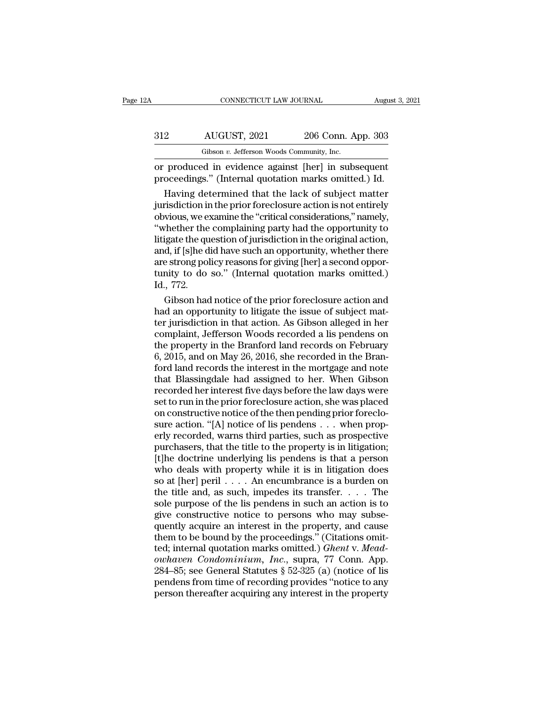| 2A  | CONNECTICUT LAW JOURNAL                                                                                      |                    | August 3, 2021 |
|-----|--------------------------------------------------------------------------------------------------------------|--------------------|----------------|
| 312 | AUGUST, 2021                                                                                                 | 206 Conn. App. 303 |                |
|     | Gibson v. Jefferson Woods Community, Inc.                                                                    |                    |                |
|     | or produced in evidence against [her] in subsequent<br>proceedings." (Internal quotation marks omitted.) Id. |                    |                |
|     | Having determined that the lack of subject matter                                                            |                    |                |

2 AUGUST, 2021 206 Conn. App. 303<br>
Gibson v. Jefferson Woods Community, Inc.<br>
produced in evidence against [her] in subsequent<br>
oceedings." (Internal quotation marks omitted.) Id.<br>
Having determined that the lack of subjec  $\frac{312}{\text{Gibson }v}$ .  $\frac{2021}{\text{Gibson }v}$ .  $\frac{206}{\text{Community, Inc.}}$ <br>
or produced in evidence against [her] in subsequent<br>
proceedings." (Internal quotation marks omitted.) Id.<br>
Having determined that the lack of subject matter<br>
j Gibson v. Jefferson Woods Community, Inc.<br>
or produced in evidence against [her] in subsequent<br>
proceedings." (Internal quotation marks omitted.) Id.<br>
Having determined that the lack of subject matter<br>
jurisdiction in the The complete of the complement of the complement proceedings." (Internal quotation marks omitted.) Id.<br>
Having determined that the lack of subject matter<br>
jurisdiction in the prior foreclosure action is not entirely<br>
obvio or produced in evidence against [her] in subsequent<br>proceedings." (Internal quotation marks omitted.) Id.<br>Having determined that the lack of subject matter<br>jurisdiction in the prior foreclosure action is not entirely<br>obvio proceedings." (Internal quotation marks omitted.) Id.<br>
Having determined that the lack of subject matter<br>
jurisdiction in the prior foreclosure action is not entirely<br>
obvious, we examine the "critical considerations," nam Having determined that the lack of subject matter<br>jurisdiction in the prior foreclosure action is not entirely<br>obvious, we examine the "critical considerations," namely,<br>"whether the complaining party had the opportunity t jurisdiction in the prior foreclosure action is not entirely<br>obvious, we examine the "critical considerations," namely,<br>"whether the complaining party had the opportunity to<br>litigate the question of jurisdiction in the ori obvious, we exercy whether the<br>Ittigate the quand, if [s]he d<br>are strong pol<br>tunity to do<br>Id., 772.<br>Gibson had The the reflexand of jurisdiction in the original action,<br>d, if [s]he did have such an opportunity, whether there<br>e strong policy reasons for giving [her] a second oppor-<br>nity to do so." (Internal quotation marks omitted. litigate the question of jurisdiction in the original action,<br>and, if [s]he did have such an opportunity, whether there<br>are strong policy reasons for giving [her] a second oppor-<br>tunity to do so." (Internal quotation marks

and, if [s]he did have such an opportunity, whether there<br>are strong policy reasons for giving [her] a second oppor-<br>tunity to do so." (Internal quotation marks omitted.)<br>Id., 772.<br>Gibson had notice of the prior foreclosur are strong policy reasons for giving [her] a second opportunity to do so." (Internal quotation marks omitted.)<br>Id., 772.<br>Gibson had notice of the prior foreclosure action and<br>had an opportunity to litigate the issue of sub tunity to do so." (Internal quotation marks omitted.)<br>Id., 772.<br>Gibson had notice of the prior foreclosure action and<br>had an opportunity to litigate the issue of subject mat-<br>ter jurisdiction in that action. As Gibson alle Id., 772.<br>Gibson had notice of the prior foreclosure action and<br>had an opportunity to litigate the issue of subject mat-<br>ter jurisdiction in that action. As Gibson alleged in her<br>complaint, Jefferson Woods recorded a lis p Gibson had notice of the prior foreclosure action and<br>had an opportunity to litigate the issue of subject mat-<br>ter jurisdiction in that action. As Gibson alleged in her<br>complaint, Jefferson Woods recorded a lis pendens on<br> had an opportunity to litigate the issue of subject matter jurisdiction in that action. As Gibson alleged in her<br>complaint, Jefferson Woods recorded a lis pendens on<br>the property in the Branford land records on February<br>6, ter jurisdiction in that action. As Gibson alleged in her complaint, Jefferson Woods recorded a lis pendens on<br>the property in the Branford land records on February<br>6, 2015, and on May 26, 2016, she recorded in the Bran-<br>f complaint, Jefferson Woods recorded a lis pendens on<br>the property in the Branford land records on February<br>6, 2015, and on May 26, 2016, she recorded in the Bran-<br>ford land records the interest in the mortgage and note<br>tha the property in the Branford land records on February<br>6, 2015, and on May 26, 2016, she recorded in the Bran-<br>ford land records the interest in the mortgage and note<br>that Blassingdale had assigned to her. When Gibson<br>recor 6, 2015, and on May 26, 2016, she recorded in the Bran-<br>ford land records the interest in the mortgage and note<br>that Blassingdale had assigned to her. When Gibson<br>recorded her interest five days before the law days were<br>s ford land records the interest in the mortgage and note<br>that Blassingdale had assigned to her. When Gibson<br>recorded her interest five days before the law days were<br>set to run in the prior foreclosure action, she was placed that Blassingdale had assigned to her. When Gibson<br>recorded her interest five days before the law days were<br>set to run in the prior foreclosure action, she was placed<br>on constructive notice of the then pending prior forecl recorded her interest five days before the law days were<br>set to run in the prior foreclosure action, she was placed<br>on constructive notice of the then pending prior foreclo-<br>sure action. "[A] notice of lis pendens . . . wh set to run in the prior foreclosure action, she was placed<br>on constructive notice of the then pending prior foreclo-<br>sure action. "[A] notice of lis pendens . . . when prop-<br>erly recorded, warns third parties, such as pros on constructive notice of the then pending prior foreclosure action. "[A] notice of lis pendens . . . when properly recorded, warns third parties, such as prospective purchasers, that the title to the property is in litig sure action. "[A] notice of lis pendens  $\ldots$  when properly recorded, warns third parties, such as prospective<br>purchasers, that the title to the property is in litigation;<br>[t]he doctrine underlying lis pendens is that a p erly recorded, warns third parties, such as prospective<br>purchasers, that the title to the property is in litigation;<br>[t]he doctrine underlying lis pendens is that a person<br>who deals with property while it is in litigation purchasers, that the title to the property is in litigation;<br>[t]he doctrine underlying lis pendens is that a person<br>who deals with property while it is in litigation does<br>so at [her] peril  $\ldots$ . An encumbrance is a burde [t]he doctrine underlying lis pendens is that a person<br>who deals with property while it is in litigation does<br>so at [her] peril . . . . An encumbrance is a burden on<br>the title and, as such, impedes its transfer. . . . The who deals with property while it is in litigation does<br>so at [her] peril . . . . An encumbrance is a burden on<br>the title and, as such, impedes its transfer. . . . . The<br>sole purpose of the lis pendens in such an action is so at [her] peril  $\ldots$  An encumbrance is a burden on the title and, as such, impedes its transfer.  $\ldots$  The sole purpose of the lis pendens in such an action is to give constructive notice to persons who may subsequentl the title and, as such, impedes its transfer. . . . . The<br>sole purpose of the lis pendens in such an action is to<br>give constructive notice to persons who may subse-<br>quently acquire an interest in the property, and cause<br>th sole purpose of the lis pendens in such an action is to<br>give constructive notice to persons who may subse-<br>quently acquire an interest in the property, and cause<br>them to be bound by the proceedings." (Citations omit-<br>ted; give constructive notice to persons who may subsequently acquire an interest in the property, and cause<br>them to be bound by the proceedings." (Citations omitted; internal quotation marks omitted.) *Ghent* v. Mead-<br>*owhaven* quently acquire an interest in the property, and cause<br>them to be bound by the proceedings." (Citations omit-<br>ted; internal quotation marks omitted.) *Ghent* v. Mead-<br>*owhaven Condominium, Inc.*, supra, 77 Conn. App.<br>284–8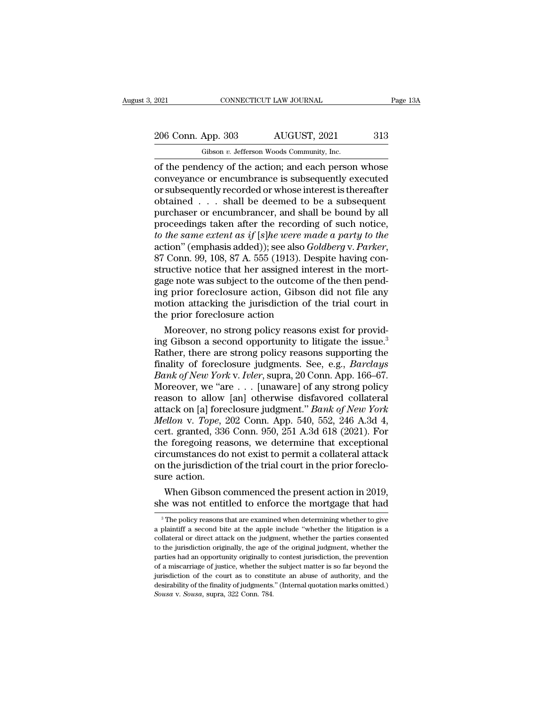2021 CONNECTICUT LAW JOURNAL Page 13A<br>206 Conn. App. 303 AUGUST, 2021 313<br>Gibson v. Jefferson Woods Community, Inc.

Fig. 2021 CONNECTICUT LAW JOURNAL<br>
206 Conn. App. 303 AUGUST, 2021 313<br>
Gibson *v.* Jefferson Woods Community, Inc.<br>
of the pendency of the action; and each person whose CONNECTICUT LAW JOURNAL Page 13A<br>
206 Conn. App. 303 AUGUST, 2021 313<br>
6 Gibson v. Jefferson Woods Community, Inc.<br>
10 Gibson v. Jefferson Woods Community, Inc.<br>
2006 Conveyance or encumbrance is subsequently executed<br>
201 206 Conn. App. 303 AUGUST, 2021 313<br>
Gibson v. Jefferson Woods Community, Inc.<br>
of the pendency of the action; and each person whose<br>
conveyance or encumbrance is subsequently executed<br>
or subsequently recorded or whose in 206 Conn. App. 303 AUGUST, 2021 313<br>
Gibson v. Jefferson Woods Community, Inc.<br>
of the pendency of the action; and each person whose<br>
conveyance or encumbrance is subsequently executed<br>
or subsequently recorded or whose i 206 Conn. App. 303 AUGUST, 2021 313<br>
Gibson v. Jefferson Woods Community, Inc.<br>
of the pendency of the action; and each person whose<br>
conveyance or encumbrance is subsequently executed<br>
or subsequently recorded or whose i Gibson v. Jefferson Woods Community, Inc.<br>
of the pendency of the action; and each person whose<br>
conveyance or encumbrance is subsequently executed<br>
or subsequently recorded or whose interest is thereafter<br>
obtained . . . Gibson v. Jefferson Woods Community, Inc.<br>
of the pendency of the action; and each person whose<br>
conveyance or encumbrance is subsequently executed<br>
or subsequently recorded or whose interest is thereafter<br>
obtained . . . of the pendency of the action; and each person whose<br>conveyance or encumbrance is subsequently executed<br>or subsequently recorded or whose interest is thereafter<br>obtained . . . shall be deemed to be a subsequent<br>purchaser o conveyance or encumbrance is subsequently executed<br>or subsequently recorded or whose interest is thereafter<br>obtained . . . shall be deemed to be a subsequent<br>purchaser or encumbrancer, and shall be bound by all<br>proceedings obtained . . . shall be deemed to be a subsequent<br>purchaser or encumbrancer, and shall be bound by all<br>proceedings taken after the recording of such notice,<br>*to the same extent as if* [*s*]*he were made a party to the*<br>act purchaser or encumbrancer, and shall be bound by all<br>proceedings taken after the recording of such notice,<br>*to the same extent as if* [*s*]*he were made a party to the*<br>action" (emphasis added)); see also *Goldberg* v. *Pa* proceedings taken after the recording of such notice,<br>to the same extent as if [s]he were made a party to the<br>action" (emphasis added)); see also *Goldberg* v. Parker,<br>87 Conn. 99, 108, 87 A. 555 (1913). Despite having con to the same extent as if [s]he were made a party to the<br>action" (emphasis added)); see also *Goldberg* v. Parker,<br>87 Conn. 99, 108, 87 A. 555 (1913). Despite having con-<br>structive notice that her assigned interest in the m action" (emphasis added)); see also *Gole*<br>87 Conn. 99, 108, 87 A. 555 (1913). Desp<br>structive notice that her assigned intere<br>gage note was subject to the outcome of<br>ing prior foreclosure action, Gibson d<br>motion attacking Conn. 99, 108, 87 A. 555 (1913). Despite having con-<br>
uctive notice that her assigned interest in the mort-<br>
ge note was subject to the outcome of the then pend-<br>
g prior foreclosure action, Gibson did not file any<br>
otion structive notice that her assigned interest in the mort-<br>gage note was subject to the outcome of the then pend-<br>ing prior foreclosure action, Gibson did not file any<br>motion attacking the jurisdiction of the trial court in<br>

gage note was subject to the outcome of the then pend-<br>ing prior foreclosure action, Gibson did not file any<br>motion attacking the jurisdiction of the trial court in<br>the prior foreclosure action<br>Moreover, no strong policy r ing prior foreclosure action, Gibson did not file any<br>motion attacking the jurisdiction of the trial court in<br>the prior foreclosure action<br>Moreover, no strong policy reasons exist for provid-<br>ing Gibson a second opportunit motion attacking the jurisdiction of the trial court in<br>the prior foreclosure action<br>*Moreover, no strong policy reasons exist for provid-*<br>ing Gibson a second opportunity to litigate the issue.<sup>3</sup><br>Rather, there are strong the prior foreclosure action<br>
Moreover, no strong policy reasons exist for provid-<br>
ing Gibson a second opportunity to litigate the issue.<sup>3</sup><br>
Rather, there are strong policy reasons supporting the<br>
finality of foreclosure Moreover, no strong policy reasons exist for providing Gibson a second opportunity to litigate the issue.<sup>3</sup><br>Rather, there are strong policy reasons supporting the<br>finality of foreclosure judgments. See, e.g., *Barclays*<br> ing Gibson a second opportunity to litigate the issue.<sup>3</sup><br>Rather, there are strong policy reasons supporting the<br>finality of foreclosure judgments. See, e.g., *Barclays*<br>*Bank of New York* v. *Ivler*, supra, 20 Conn. App. *Rather, there are strong policy reasons supporting the finality of foreclosure judgments. See, e.g., <i>Barclays Bank of New York v. Ivler*, supra, 20 Conn. App. 166–67. Moreover, we "are . . . [unaware] of any strong pol finality of foreclosure judgments. See, e.g., *Barclays*<br> *Bank of New York v. Ivler*, supra, 20 Conn. App. 166–67.<br>
Moreover, we "are . . . [unaware] of any strong policy<br>
reason to allow [an] otherwise disfavored collat Bank of New York v. Ivler, supra, 20 Conn. App. 166–67.<br>Moreover, we "are  $\ldots$  [unaware] of any strong policy<br>reason to allow [an] otherwise disfavored collateral<br>attack on [a] foreclosure judgment." Bank of New York<br>Mel Moreover, we "are  $\dots$  [unaware] of any strong policy<br>reason to allow [an] otherwise disfavored collateral<br>attack on [a] foreclosure judgment." *Bank of New York*<br>*Mellon v. Tope*, 202 Conn. App. 540, 552, 246 A.3d 4,<br>cer reason to allow [an] otherwise disfavored collateral<br>attack on [a] foreclosure judgment." *Bank of New York*<br>*Mellon v. Tope*, 202 Conn. App. 540, 552, 246 A.3d 4,<br>cert. granted, 336 Conn. 950, 251 A.3d 618 (2021). For<br>the attack on [a] fore<br> *Mellon v. Tope, 'a*<br>
cert. granted, 336<br>
the foregoing reacircumstances do<br>
on the jurisdictio<br>
sure action.<br>
When Gibson c ellon v. Tope, 202 Conn. App. 540, 552, 246 A.3d 4, rt. granted, 336 Conn. 950, 251 A.3d 618 (2021). For e foregoing reasons, we determine that exceptional cumstances do not exist to permit a collateral attack it the juris circumstances do not exist to permine that exceptional<br>circumstances do not exist to permit a collateral attack<br>on the jurisdiction of the trial court in the prior foreclo-<br>sure action.<br>When Gibson commenced the present ac

The policy reasons that are examined when determining whether to give<br>plantiff a second bite at the apple include "whether the litigation is a<br>plaintiff a second bite at the apple include "whether the litigation is a

sure action.<br>
When Gibson commenced the present action in 2019,<br>
she was not entitled to enforce the mortgage that had<br>
<sup>3</sup>The policy reasons that are examined when determining whether to give<br>
a plaintiff a second bite at When Gibson commenced the present action in 2019,<br>she was not entitled to enforce the mortgage that had<br> $\frac{3}{\pi}$ The policy reasons that are examined when determining whether to give<br>a plaintiff a second bite at the appl The was not entitled to enforce the mortgage that had<br><sup>3</sup> The policy reasons that are examined when determining whether to give<br>a plaintiff a second bite at the apple include "whether the litigation is a<br>collateral or dire SHE WAS HOU EILITUED TO EILITOCE THE HIOTURE THAT THAT THE PROPORT THE PROPORT THE PROPORT THE PROPORT AND AN ORIGINALLY IN SCILLET AND COLLET A COLLET AND AN ORIGINALLY AND AN ORIGINALLY OF THE PARTIES AND AN OPPORTUNITY <sup>3</sup> The policy reasons that are examined when determining whether to give a plaintiff a second bite at the apple include "whether the litigation is a collateral or direct attack on the judgment, whether the parties consen a plaintiff a second bite at the apple include "whether the litigation is a collateral or direct attack on the judgment, whether the parties consented to the jurisdiction originally, the age of the original judgment, wheth a plaintiff a second bite at the apple include "whether the litigation is a collateral or direct attack on the judgment, whether the parties consented to the jurisdiction originally, the age of the original judgment, whet to the jurisdiction originally, the age of the original judgment, whether the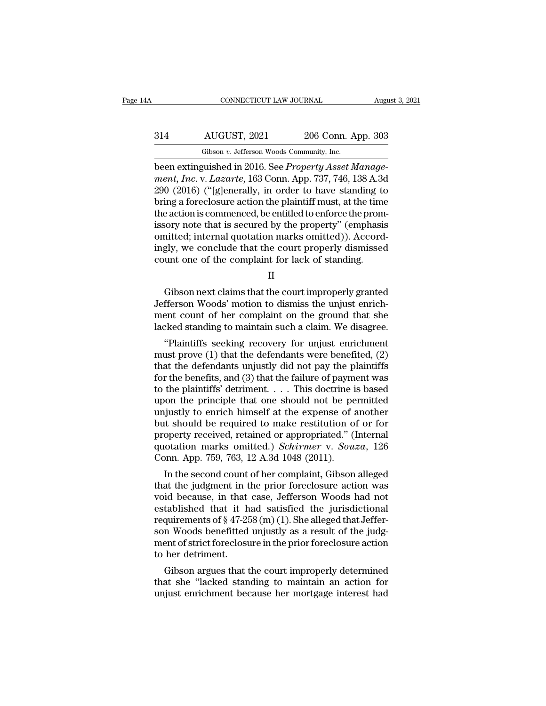# CONNECTICUT LAW JOURNAL August 3, 2021<br>314 AUGUST, 2021 206 Conn. App. 303<br>Gibson v. Jefferson Woods Community, Inc. CONNECTICUT LAW JOURNAL Augu<br>
Gibson *v.* Jefferson Woods Community, Inc.<br>
Deen extinguished in 2016. See *Property Asset Manage*

CONNECTICUT LAW JOURNAL<br>
Bugger States (See 2016)<br>
Bugger Schen extinguished in 2016. See *Property Asset Manage-<br>
ment, Inc.* v. *Lazarte*, 163 Conn. App. 737, 746, 138 A.3d<br>
Bugger Connection ("Islamaryly in order to be *ment, Inc.* v. *Lefferson Woods Community, Inc.* (*ment, Inc.* v. *Lazarte, 163 Conn. App. 737, 746, 138 A.3d* (*ment, Inc.* v. *Lazarte, 163 Conn. App. 737, 746, 138 A.3d* (*ment, Inc.* v. *Lazarte, 163 Conn. App. 737, 7*  $204$  AUGUST, 2021 206 Conn. App. 303<br>
Gibson v. Jefferson Woods Community, Inc.<br>
been extinguished in 2016. See *Property Asset Manage-<br>
ment, Inc.* v. *Lazarte*, 163 Conn. App. 737, 746, 138 A.3d<br>
290 (2016) ("[g]eneral  $\begin{array}{r} \text{B314} \text{AUGUST, 2021} \text{206 Conn. App. 303} \ \hline \text{Gibson } v. \text{ Jefferson Woods Community, Inc.} \ \end{array}$ <br>been extinguished in 2016. See *Property Asset Management, Inc.* v. *Lazarte*, 163 Conn. App. 737, 746, 138 A.3d 290 (2016) ("[g]enerally, in orde Gibson v. Jefferson Woods Community, Inc.<br>
been extinguished in 2016. See *Property Asset Management, Inc.* v. *Lazarte*, 163 Conn. App. 737, 746, 138 A.3d<br>
290 (2016) ("[g]enerally, in order to have standing to<br>
bring a Gibson v. Jetterson Woods Community, Inc.<br>
been extinguished in 2016. See *Property Asset Manage-*<br>
ment, Inc. v. Lazarte, 163 Conn. App. 737, 746, 138 A.3d<br>
290 (2016) ("[g]enerally, in order to have standing to<br>
bring a been extinguished in 2016. See *Property Asset Manage-*<br>ment, Inc. v. Lazarte, 163 Conn. App. 737, 746, 138 A.3d<br>290 (2016) ("[g]enerally, in order to have standing to<br>bring a foreclosure action the plaintiff must, at the ment, Inc. v. Lazarte, 163 Conn. App. 737, 746, 138 A.3d<br>290 (2016) ("[g]enerally, in order to have standing to<br>bring a foreclosure action the plaintiff must, at the time<br>the action is commenced, be entitled to enforce the 290 (2016) ("[g]enerally, in order to have standing to bring a foreclosure action the plaintiff must, at the time the action is commenced, be entitled to enforce the promissory note that is secured by the property" (empha Sory note that is secured by the property" (emphasis<br>initted; internal quotation marks omitted)). Accord-<br>gly, we conclude that the court properly dismissed<br>unt one of the complaint for lack of standing.<br>II<br>Gibson next cla

II

omitted; internal quotation marks omitted)). Accord-<br>ingly, we conclude that the court properly dismissed<br>count one of the complaint for lack of standing.<br>II<br>Gibson next claims that the court improperly granted<br>Jefferson W ment count one of the count properly dismissed<br>count one of the complaint for lack of standing.<br> $\rm II$ <br>Gibson next claims that the court improperly granted<br>Jefferson Woods' motion to dismiss the unjust enrich-<br>ment count o count one of the complaint for lack of standing.<br>
II<br>
Gibson next claims that the court improperly granted<br>
Jefferson Woods' motion to dismiss the unjust enrich-<br>
ment count of her complaint on the ground that she<br>
lacked II<br>
Gibson next claims that the court improperly granted<br>
fferson Woods' motion to dismiss the unjust enrich-<br>
ent count of her complaint on the ground that she<br>
cked standing to maintain such a claim. We disagree.<br>
"Plain Gibson next claims that the court improperly granted<br>Jefferson Woods' motion to dismiss the unjust enrich-<br>ment count of her complaint on the ground that she<br>lacked standing to maintain such a claim. We disagree.<br>"Plainti

Gibson hext claims that the court improperty granted<br>Jefferson Woods' motion to dismiss the unjust enrich-<br>ment count of her complaint on the ground that she<br>lacked standing to maintain such a claim. We disagree.<br>"Plaintif For the benefits of the benefits, and (3) that the failure of payment benefited, that the defendants were benefited, (2) that the defendants unjustly did not pay the plaintiffs for the benefits, and (3) that the failure of Inent count of her complaint on the ground that she<br>lacked standing to maintain such a claim. We disagree.<br>"Plaintiffs seeking recovery for unjust enrichment<br>must prove (1) that the defendants were benefited, (2)<br>that the racked standing to maintain such a claim, we disagree.<br>
"Plaintiffs seeking recovery for unjust enrichment<br>
must prove (1) that the defendants were benefited, (2)<br>
that the defendants unjustly did not pay the plaintiffs<br>
f "Plaintiffs seeking recovery for unjust enrichment<br>must prove (1) that the defendants were benefited, (2)<br>that the defendants unjustly did not pay the plaintiffs<br>for the benefits, and (3) that the failure of payment was<br>t must prove (1) that the defendants were benefited, (2)<br>that the defendants unjustly did not pay the plaintiffs<br>for the benefits, and (3) that the failure of payment was<br>to the plaintiffs' detriment. . . . This doctrine is that the defendants unjustly did not pay the plaintiffs<br>for the benefits, and (3) that the failure of payment was<br>to the plaintiffs' detriment.... This doctrine is based<br>upon the principle that one should not be permitted for the benefits, and (3) that the failure of payment was<br>to the plaintiffs' detriment. . . . This doctrine is based<br>upon the principle that one should not be permitted<br>unjustly to enrich himself at the expense of another<br> to the plaintiffs' detriment. . . . This doctrine i<br>upon the principle that one should not be pe<br>unjustly to enrich himself at the expense of a<br>but should be required to make restitution of<br>property received, retained or giustly to enrich himself at the expense of another<br>it should be required to make restitution of or for<br>operty received, retained or appropriated." (Internal<br>otation marks omitted.) *Schirmer* v. *Souza*, 126<br>pnn. App. 75 unjustly to enrich filmsell at the expense of another<br>but should be required to make restitution of or for<br>property received, retained or appropriated." (Internal<br>quotation marks omitted.) *Schirmer* v. *Souza*, 126<br>Conn.

but should be required to make restitution of or for<br>property received, retained or appropriated." (Internal<br>quotation marks omitted.) *Schirmer* v. *Souza*, 126<br>Conn. App. 759, 763, 12 A.3d 1048 (2011).<br>In the second cou property received, retained or appropriated. (internal quotation marks omitted.) *Schirmer* v. *Souza*, 126 Conn. App. 759, 763, 12 A.3d 1048 (2011).<br>In the second count of her complaint, Gibson alleged that the judgment quotation marks officient.) Schirmer V. Souza, 126<br>Conn. App. 759, 763, 12 A.3d 1048 (2011).<br>In the second count of her complaint, Gibson alleged<br>that the judgment in the prior foreclosure action was<br>void because, in that Conn. App. 759, 765, 12 A.5d 1048 (2011).<br>In the second count of her complaint, Gibson alleged<br>that the judgment in the prior foreclosure action was<br>void because, in that case, Jefferson Woods had not<br>established that it h In the second count of her complaint, Gibson alleged<br>that the judgment in the prior foreclosure action was<br>void because, in that case, Jefferson Woods had not<br>established that it had satisfied the jurisdictional<br>requireme that the judgment in t<br>void because, in that<br>established that it h<br>requirements of § 47-28<br>son Woods benefitted<br>ment of strict foreclosu<br>to her detriment.<br>Gibson argues that t In because, in that case, Jenerson woods had not<br>tablished that it had satisfied the jurisdictional<br>quirements of  $\S 47-258$  (m) (1). She alleged that Jeffer-<br>n Woods benefitted unjustly as a result of the judg-<br>ent of st established that it had satisfied the jurisdictional<br>requirements of  $\S$  47-258 (m) (1). She alleged that Jeffer-<br>son Woods benefitted unjustly as a result of the judg-<br>ment of strict foreclosure in the prior foreclosure requirements of  $\S$  47-258 (m) (1). She alleged that Jener-son Woods benefitted unjustly as a result of the judg-<br>ment of strict foreclosure in the prior foreclosure action<br>to her detriment.<br>Gibson argues that the court i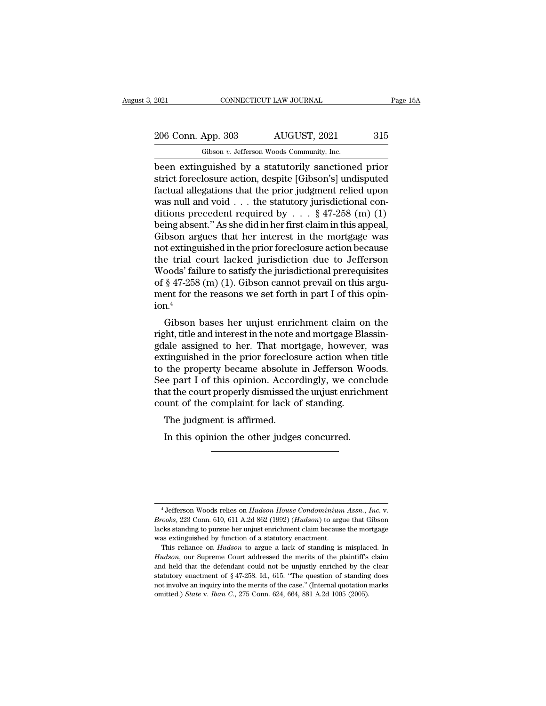2021 CONNECTICUT LAW JOURNAL Page 15A<br>
206 Conn. App. 303 AUGUST, 2021 315<br>
Gibson v. Jefferson Woods Community, Inc.

Fig. 2021 CONNECTICUT LAW JOURNAL<br>
206 Conn. App. 303 AUGUST, 2021 315<br>
Gibson *v.* Jefferson Woods Community, Inc.<br>
been extinguished by a statutorily sanctioned prior EXECUTE 2021 CONNECTICUT LAW JOURNAL Page 15A<br>
206 Conn. App. 303 AUGUST, 2021 315<br>
6 Gibson v. Jefferson Woods Community, Inc.<br>
been extinguished by a statutorily sanctioned prior<br>
strict foreclosure action, despite [Gibs 206 Conn. App. 303 AUGUST, 2021 315<br>
Gibson v. Jefferson Woods Community, Inc.<br>
been extinguished by a statutorily sanctioned prior<br>
strict foreclosure action, despite [Gibson's] undisputed<br>
factual allegations that the pr 206 Conn. App. 303 AUGUST, 2021 315<br>
Gibson v. Jefferson Woods Community, Inc.<br>
been extinguished by a statutorily sanctioned prior<br>
strict foreclosure action, despite [Gibson's] undisputed<br>
factual allegations that the p 206 Conn. App. 303 AUGUST, 2021 315<br>
Gibson v. Jefferson Woods Community, Inc.<br>
been extinguished by a statutorily sanctioned prior<br>
strict foreclosure action, despite [Gibson's] undisputed<br>
factual allegations that the p Gibson v. Jefferson Woods Community, Inc.<br>
been extinguished by a statutorily sanctioned prior<br>
strict foreclosure action, despite [Gibson's] undisputed<br>
factual allegations that the prior judgment relied upon<br>
was null a Gibson v. Jetterson Woods Community, Inc.<br>
been extinguished by a statutorily sanctioned prior<br>
strict foreclosure action, despite [Gibson's] undisputed<br>
factual allegations that the prior judgment relied upon<br>
was null a been extinguished by a statutorily sanctioned prior<br>strict foreclosure action, despite [Gibson's] undisputed<br>factual allegations that the prior judgment relied upon<br>was null and void . . . the statutory jurisdictional con strict foreclosure action, despite [Gibson's] undisputed<br>factual allegations that the prior judgment relied upon<br>was null and void . . . the statutory jurisdictional con-<br>ditions precedent required by . . . § 47-258 (m) ( factual allegations that the prior judgment relied upon<br>was null and void . . . the statutory jurisdictional con-<br>ditions precedent required by . . . § 47-258 (m) (1)<br>being absent." As she did in her first claim in this a was null and void . . . the statutory jurisdictional conditions precedent required by . . . § 47-258 (m) (1)<br>being absent." As she did in her first claim in this appeal,<br>Gibson argues that her interest in the mortgage was ditions precedent required by . . . § 47-258 (m) (1)<br>being absent." As she did in her first claim in this appeal,<br>Gibson argues that her interest in the mortgage was<br>not extinguished in the prior foreclosure action becaus being absent." As she did in her first claim in this appeal,<br>Gibson argues that her interest in the mortgage was<br>not extinguished in the prior foreclosure action because<br>the trial court lacked jurisdiction due to Jefferson  $ion.<sup>4</sup>$ textinguished in the prior foreclosure action because<br>e trial court lacked jurisdiction due to Jefferson<br>oods' failure to satisfy the jurisdictional prerequisites<br> $\S 47-258$  (m) (1). Gibson cannot prevail on this argu-<br>ent right) the trial court facked jurisdiction due to deflered<br>woods' failure to satisfy the jurisdictional prerequisites<br>of § 47-258 (m) (1). Gibson cannot prevail on this argu-<br>ment for the reasons we set forth in part I of

woods faintie to satisfy the jurisdictional prefequisites<br>of § 47-258 (m) (1). Gibson cannot prevail on this argu-<br>ment for the reasons we set forth in part I of this opin-<br>ion.<sup>4</sup><br>Gibson bases her unjust enrichment claim or  $g$  47-258 (iii) (1). Shoon cannot prevail on this argument for the reasons we set forth in part I of this opin-<br>ion.<sup>4</sup><br>Gibson bases her unjust enrichment claim on the<br>right, title and interest in the note and mortgag ment for the reasons we set forth in part I of this opin-<br>ion.<sup>4</sup><br>Gibson bases her unjust enrichment claim on the<br>right, title and interest in the note and mortgage Blassin-<br>gdale assigned to her. That mortgage, however, w Gibson bases her unjust enrichment claim on the<br>right, title and interest in the note and mortgage Blassin-<br>gdale assigned to her. That mortgage, however, was<br>extinguished in the prior foreclosure action when title<br>to the Gibson bases her unjust enrichment claim on the<br>right, title and interest in the note and mortgage Blassin-<br>gdale assigned to her. That mortgage, however, was<br>extinguished in the prior foreclosure action when title<br>to the right, title and interest in the note and mortgage Blagdale assigned to her. That mortgage, however, extinguished in the prior foreclosure action wher to the property became absolute in Jefferson West of the property becam gdale assigned to her. That mortgage, however, was<br>extinguished in the prior foreclosure action when title<br>to the property became absolute in Jefferson Woods.<br>See part I of this opinion. Accordingly, we conclude<br>that the c the property became absolute in Jefferson Wooke part I of this opinion. Accordingly, we conclust the court properly dismissed the unjust enrichm unt of the complaint for lack of standing.<br>The judgment is affirmed.<br>In this

<sup>4</sup> Jefferson Woods relies on *Hudson House Condominium Assn., Inc*. v. *Brooks*, 223 Conn. 610, 611 A.2d 862 (1992) (*Hudson*) to argue that Gibson <sup>4</sup> Jefferson Woods relies on *Hudson House Condominium Assn., Inc.* v.<br>*Brooks*, 223 Conn. 610, 611 A.2d 862 (1992) (*Hudson*) to argue that Gibson<br>lacks standing to pursue her unjust enrichment claim because the mortgag <sup>4</sup> Jefferson Woods relies on *Hudson House Condominium*<br>*Brooks*, 223 Conn. 610, 611 A.2d 862 (1992) (*Hudson*) to argulacks standing to pursue her unjust enrichment claim because<br>was extinguished by function of a statuto <sup>4</sup> Jefferson Woods relies on *Hudson House Condominium Assn.*, *Inc.* v.<br>rooks, 223 Conn. 610, 611 A.2d 862 (1992) (*Hudson*) to argue that Gibson<br>cks standing to pursue her unjust enrichment claim because the mortgage<br>as <sup>4</sup> Jefferson Woods relies on *Hudson House Condominium Assn., Inc.* v.<br>*Brooks*, 223 Conn. 610, 611 A.2d 862 (1992) (*Hudson*) to argue that Gibson<br>lacks standing to pursue her unjust enrichment claim because the mortgag

*Brooks*, 223 Conn. 610, 611 A.2d 862 (1992) (*Hudson*) to argue that Gibson lacks standing to pursue her unjust enrichment claim because the mortgage was extinguished by function of a statutory enactment. This reliance o lacks standing to pursue her unjust enrichment claim because the mortgage was extinguished by function of a statutory enactment.<br>This reliance on *Hudson* to argue a lack of standing is misplaced. In *Hudson*, our Supreme was extinguished by function of a statutory enactment.<br>This reliance on *Hudson* to argue a lack of standing is misplaced. In *Hudson*, our Supreme Court addressed the merits of the plaintiff's claim and held that the def This reliance on *Hudson* to argue a lack of standing is misplaced. In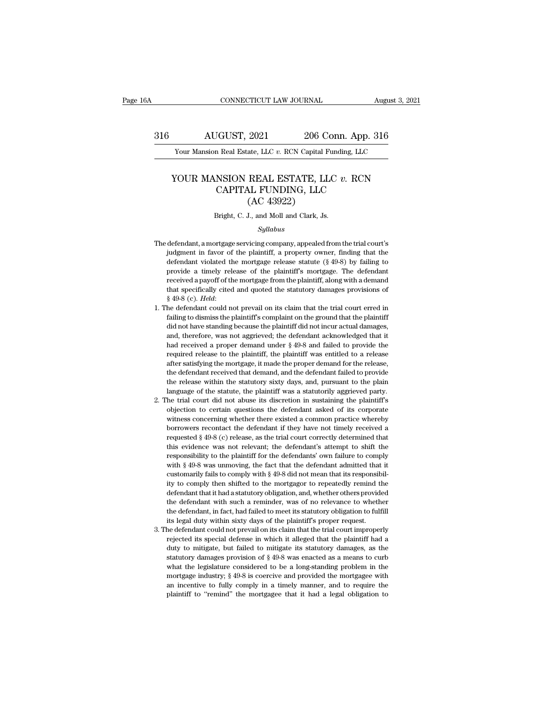### AUGUST, 2021 206 Conn. App. 316<br>
Your Mansion Real Estate, LLC *v.* RCN Capital Funding, LLC<br>
YOUR MANSION REAL ESTATE, LLC *v.* RCN<br>
CAPITAL FUNDING, LLC<br>
(AC 43992) EXECT, 2021 206 Conn. App. 316<br>
206 Conn. App. 316<br>
206 Conn. App. 316<br>
REAL ESTATE, LLC v. RCN<br>
CAPITAL FUNDING, LLC (AC 43922) 2021 206 Contract 2006<br>
2021 206 Contract 2016<br>
2021 ESTATE, LL<br>
2021 L. FUNDING, LLC<br>
(AC 43922)<br>
2021 J., and Moll and Clark, Js. YOUR MANSION REAL ESTATE, LLC  $v$ . RCN<br>CAPITAL FUNDING, LLC<br>(AC 43922)<br>Bright, C. J., and Moll and Clark, Js.

### *Syllabus*

- CAPTIAL FUNDING, LLC<br>
(AC 43922)<br>
Bright, C. J., and Moll and Clark, Js.<br>
Syllabus<br>
The defendant, a mortgage servicing company, appealed from the trial court's<br>
judgment in favor of the plaintiff, a property owner, findin (AC 43922)<br>
Bright, C. J., and Moll and Clark, Js.<br> *Syllabus*<br>
defendant, a mortgage servicing company, appealed from the trial court's<br>
judgment in favor of the plaintiff, a property owner, finding that the<br>
defendant v Bright, C. J., and Moll and Clark, Js.<br>
Syllabus<br>
defendant, a mortgage servicing company, appealed from the trial court's<br>
judgment in favor of the plaintiff, a property owner, finding that the<br>
defendant violated the mor *Syllabus*<br>*Syllabus*<br>defendant, a mortgage servicing company, appealed from the trial court's<br>judgment in favor of the plaintiff, a property owner, finding that the<br>defendant violated the mortgage release statute (§ 49-8) *Syllabus*<br>defendant, a mortgage servicing company, appealed from the trial court's<br>judgment in favor of the plaintiff, a property owner, finding that the<br>defendant violated the mortgage release statute ( $\$  49-8) by fail defendant, a mortgage servicing company, appealed from the trial court's judgment in favor of the plaintiff, a property owner, finding that the defendant violated the mortgage release statute  $(\S 49-8)$  by failing to prov identify the defendant violated the mortgage server all property owner, finding that the defendant violated the mortgage release statute (§ 49-8) by failing to provide a timely release of the plaintiff's mortgage. The defe factorianal violated are inotigate release statute ( $\frac{1}{3}$  to  $\frac{1}{2}$ ) by large dispersived a payoff of the mortgage from the plaintiff's mortgage. The defendant received a payoff of the mortgage from the plaintiff,
- provide a anticity release of the plaintiff s interligate. The defendant received a payoff of the mortgage from the plaintiff, along with a demand that specifically cited and quoted the statutory damages provisions of § 49 Ecceived a payor of alc intrigage from are plantain, along what a definant<br>  $\frac{1}{2}$  and specifically cited and quoted the statutory damages provisions of<br>  $\frac{1}{2}$  49-8 (c). Held:<br>
the defendant could not prevail on its  $$49-8$  (c). *Held*:<br>he defendant could not prevail on its claim that the trial court erred in failing to dismiss the plaintiff's complaint on the ground that the plaintiff<br>did not have standing because the plaintiff did is the defendant could not prevail on its claim that the trial court erred in failing to dismiss the plaintiff's complaint on the ground that the plaintiff did not have standing because the plaintiff did not incur actual failing to dismiss the plaintiff's complaint on the ground that the plaintiff<br>failing to dismiss the plaintiff's complaint on the ground that the plaintiff<br>did not have standing because the plaintiff did not incur actual the defendant received that demand, and the defendant failed to provide that defendant acknowledged that it had received a proper demand under  $§$  49-8 and failed to provide the required release to the plaintiff, the plai and not have standing occlude are planned in the release that it had received a proper demand under  $§$  49-8 and failed to provide the required release to the plaintiff, the plaintiff was entitled to a release after satis and, therefore, was not aggrieved; the defendant acknowledged that it had received a proper demand under  $\S$  49-8 and failed to provide the required release to the plaintiff, the plaintiff was entitled to a release after required release to the plaintiff, the plaintiff was entitled to a release after satisfying the mortgage, it made the proper demand for the release, the defendant received that demand, and the defendant failed to provide t required release to the plannin, the plannin was entired to a release, after satisfying the mortgage, it made the proper demand for the release, the defendant received that demand, and the defendant failed to provide the r
- and stars, and the defendant received that demand, and the defendant failed to provide<br>the defendant received that demand, and the defendant failed to provide<br>the release within the statutory sixty days, and, pursuant to t the release within the statutory sixty days, and, pursuant to the plain language of the statute, the plaintiff was a statutorily aggrieved party.<br>he trial court did not abuse its discretion in sustaining the plaintiff's ob in and statest when the statesty stay and the particular court paint<br>alanguage of the statue, the plaintiff was a statutorily aggrieved party.<br>the trial court did not abuse its discretion in sustaining the plaintiff's<br>obje the trial court did not abuse its discretion in sustaining the plaintiff's objection to certain questions the defendant asked of its corporate witness concerning whether there existed a common practice whereby borrowers re responsiblity to the plaintiff for the defendant asked of its corporate witness concerning whether there existed a common practice whereby borrowers recontact the defendant if they have not timely received a requested § 49 withess concerning whether there existed a common practice whereby borrowers recontact the defendant if they have not timely received a requested  $\S$  49-8 (c) release, as the trial court correctly determined that this evi marcs concerning meants are chosed a common practice merces, borrowers recontact the defendant if they have not timely received a requested  $\S$  49-8 (c) release, as the trial court correctly determined that this evidence is expressed  $\S 49-8$  (c) release, as the trial court correctly determined that this evidence was not relevant; the defendant's attempt to shift the responsibility to the plaintiff for the defendants' own failure to compl requested *s* 40 0 (c) release, as are that court correctly determined that<br>this evidence was not relevant; the defendant's attempt to shift the<br>responsibility to the plaintiff for the defendants' own failure to comply<br>wit and extender was hot relevant, are defendants' added the defendant such a responsibility to the plaintiff for the defendant admitted that it customarily fails to comply with § 49-8 did not mean that its responsibility to c the defendant, in fact, had failed to meet its statutory obligation to fulfill its exponsibility to comply then shifted to the mortgagor to repeatedly remind the defendant that it had a statutory obligation, and, whether o with § 49-8 was unmoving, the fact that the defendant admitted that it customarily fails to comply with § 49-8 did not mean that its responsibility to comply then shifted to the mortgagor to repeatedly remind the defendan Example 1. The defendant that it had a statutory obligation, and, whether others provided the defendant with such a reminder, was of no relevance to whether the defendant with such a reminder, was of no relevance to whethe rejected its special defense in which it alleged that the plaintiff had a defendant that it had a statutory obligation, and, whether others provided the defendant, in fact, had failed to meet its statutory obligation to fu
- determination distributed statutes, but failed to mitigate its statutory obligation to fulfill<br>the defendant, in fact, had failed to meet its statutory obligation to fulfill<br>its legal duty within sixty days of the plaintif the defendant what statute a remarked, was of the located as wheater<br>the defendant, in fact, had failed to meet its statutory obligation to fulfill<br>its legal duty within sixty days of the plaintiff's proper request.<br>he def its legal duty within sixty days of the plaintiff's proper request.<br>
the defendant could not prevail on its claim that the trial court improperly<br>
rejected its special defense in which it alleged that the plaintiff had a<br> mortgage industry; § 49-8 is coercive and provided the mortgagee with an incentive to fully considered to mortgage industry damages, as the statutory damages provision of § 49-8 was enacted as a means to curb what the legi rejected its special defense in which it alleged that the plaintiff had a duty to mitigate, but failed to mitigate its statutory damages, as the statutory damages provision of § 49-8 was enacted as a means to curb what the duty to mitigate, but failed to mitigate its statutory damages, as the statutory damages provision of  $\S$  49-8 was enacted as a means to curb what the legislature considered to be a long-standing problem in the mortgage i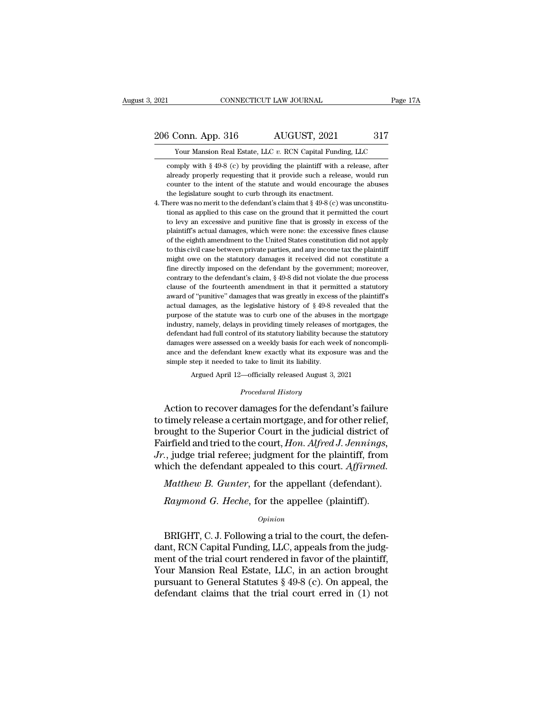CONNECTICUT LAW JOURNAL Page 1<br>
Your Mansion Real Estate, LLC *v.* RCN Capital Funding, LLC<br>
Your Mansion Real Estate, LLC *v.* RCN Capital Funding, LLC<br>
mply with § 49-8 (c) by providing the plaintiff with a release, afte  $\frac{30}{17}$  Conn. App. 316 AUGUST, 2021 317<br>
Your Mansion Real Estate, LLC v. RCN Capital Funding, LLC<br>
comply with § 49-8 (c) by providing the plaintiff with a release, after<br>
already properly requesting that it provide 3 Conn. App. 316 AUGUST, 2021 317<br>
Your Mansion Real Estate, LLC v. RCN Capital Funding, LLC<br>
comply with § 49-8 (c) by providing the plaintiff with a release, after<br>
already properly requesting that it provide such a rel  $\frac{317}{17}$  Your Mansion Real Estate, LLC v. RCN Capital Funding, LLC comply with § 49-8 (c) by providing the plaintiff with a release, after already properly requesting that it provide such a release, would run counter Framework Text Correction Real Estate, LLC v. RCN Capital Funding<br>comply with § 49-8 (c) by providing the plaintiff with a r<br>already properly requesting that it provide such a release<br>counter to the intent of the statute From Mansion Real Estate, LLC v. RCN Capital Funding, LLC<br>
comply with § 49-8 (c) by providing the plaintiff with a release, after<br>
already properly requesting that it provide such a release, would run<br>
counter to the int comply with  $\S 49-8$  (c) by providing the plaintiff with a release, after already properly requesting that it provide such a release, would run counter to the intent of the statute and would encourage the abuses the legis

already properly requesting that it provide such a release, would run<br>counter to the intent of the statute and would encourage the abuses<br>the legislature sought to curb through its enactment.<br>here was no merit to the defe plantiff's actual damages, which were none: the excessive fineshine fineshine example to curb through its enactment.<br>here was no merit to the defendant's claim that § 49-8 (c) was unconstitu-<br>tional as applied to this case the legislature sought to curb through its enactment.<br>the legislature sought to curb through its enactment.<br>here was no merit to the defendant's claim that  $\S$  49-8 (c) was unconstitu-<br>tional as applied to this case on th the register was no merit to the defendant's claim that  $\S 49-8$  (c) was unconstitutional as applied to this case on the ground that it permitted the court to levy an excessive and punitive fine that is grossly in excess tional as applied to this case on the ground that it permitted the court<br>to levy an excessive and punitive fine that is grossly in excess of the<br>plaintiff's actual damages, which were none: the excessive fines clause<br>of th for levy an excessive and punitive fine that is grossly in excess of the plaintiff's actual damages, which were none: the excessive fines clause of the eighth amendment to the United States constitution did not apply to th plaintiff's actual damages, which were none: the excessive fines clause<br>of the eighth amendment to the United States constitution did not apply<br>to this civil case between private parties, and any income tax the plaintiff<br>m of the eighth amendment to the United States constitution did not apply to this civil case between private parties, and any income tax the plaintiff might owe on the statutory damages it received did not constitute a fine are the signal and any income tax the plaintiff to this civil case between private parties, and any income tax the plaintiff might owe on the statutory damages it received did not constitute a fine directly imposed on the might owe on the statutory damages it received did not constitute a<br>fine directly imposed on the defendant by the government; moreover,<br>contrary to the defendant's claim, § 49-8 did not violate the due process<br>clause of t ing the directly imposed on the defendant by the government; moreover, contrary to the defendant's claim,  $\S$  49-8 did not violate the due process clause of the fourteenth amendment in that it permitted a statutory award contrary to the defendant's claim, § 49-8 did not violate the due process<br>clause of the fourteenth amendment in that it permitted a statutory<br>award of "punitive" damages that was greatly in excess of the plaintiff's<br>actual clause of the fourteenth amendment in that it permitted a statutory award of "punitive" damages that was greatly in excess of the plaintiff's actual damages, as the legislative history of  $\S$  49-8 revealed that the purpos award of "punitive" damages that was greatly in excess of the plaintiff's actual damages, as the legislative history of  $\S$  49-8 revealed that the purpose of the statute was to curb one of the abuses in the mortgage indus anctual damages, as the legislative history of  $\S$  49-8 revealed that the purpose of the statute was to curb one of the abuses in the mortgage industry, namely, delays in providing timely releases of mortgages, the defend simulative static was to curb one of the abuses<br>purpose of the statute was to curb one of the abuses<br>industry, namely, delays in providing timely releases of<br>defendant had full control of its statutory liability becan<br>dama %, namely, delays in providing timely releases of mortgages, the statutor of its statutory liability because the statutors were assessed on a weekly basis for each week of noncompled the defendant knew exactly what its ex damages were assessed on a weekly basis for each week of noncompliance and the defendant knew exactly what its exposure was and the simple step it needed to take to limit its liability.<br>Argued April 12—officially released derendant had run control of its statutory hability because the statutory<br>damages were assessed on a weekly basis for each week of noncompli-<br>ance and the defendant knew exactly what its exposure was and the<br>simple step it

ance and the defendant knew exactly what its exposure was and the<br>simple step it needed to take to limit its liability.<br>Argued April 12—officially released August 3, 2021<br>*Procedural History*<br>Action to recover damages for simple step it needed to take to limit its liability.<br>
Argued April 12—officially released August 3, 2021<br>
Procedural History<br>
Action to recover damages for the defendant's failure<br>
to timely release a certain mortgage, an Argued April 12—officially released August 3, 2021<br> *Procedural History*<br> **Action to recover damages for the defendant's failure**<br>
to timely release a certain mortgage, and for other relief,<br>
brought to the Superior Court *Procedural History*<br>Action to recover damages for the defendant's failure<br>to timely release a certain mortgage, and for other relief,<br>brought to the Superior Court in the judicial district of<br>Fairfield and tried to the co Froceaard Essary<br>Action to recover damages for the defendant's failure<br>to timely release a certain mortgage, and for other relief,<br>brought to the Superior Court in the judicial district of<br>Fairfield and tried to the court, *Matthew B. Gunter, for the appellant (defendant).*<br>*Matthew B. Guperior Court in the judicial district of* irrfield and tried to the court, *Hon. Alfred J. Jennings*,<br>*J.* judge trial referee; judgment for the plaintiff, ought to the Superior Court in the judicial district of irfield and tried to the court, *Hon. Alfred J. Jennings*, ., judge trial referee; judgment for the plaintiff, from nich the defendant appealed to this court. *Affirm* 

### *Opinion*

ich the defendant appealed to this court. Affirmed.<br>
Matthew B. Gunter, for the appellant (defendant).<br>
Raymond G. Heche, for the appellee (plaintiff).<br>
Opinion<br>
BRIGHT, C. J. Following a trial to the court, the defen-<br>
In Matthew B. Gunter, for the appellant (defendant).<br>
Raymond G. Heche, for the appellee (plaintiff).<br>
opinion<br>
BRIGHT, C. J. Following a trial to the court, the defendant, RCN Capital Funding, LLC, appeals from the judg-<br>
me matthew D. Gallier, for the appellee (plaintiff).<br>  $Raymond$  G. Heche, for the appellee (plaintiff).<br>  $Opinion$ <br>
BRIGHT, C. J. Following a trial to the court, the defen-<br>
dant, RCN Capital Funding, LLC, appeals from the judg-<br>
ment Raymond G. Heche, for the appellee (plaintiff).<br>  $opinion$ <br>
BRIGHT, C. J. Following a trial to the court, the defen-<br>
dant, RCN Capital Funding, LLC, appeals from the judg-<br>
ment of the trial court rendered in favor of the pla opinion<br>
DRIGHT, C. J. Following a trial to the court, the defen-<br>
dant, RCN Capital Funding, LLC, appeals from the judg-<br>
ment of the trial court rendered in favor of the plaintiff,<br>
Your Mansion Real Estate, LLC, in an a EXECUTE: U.S. I. Following a trial to the court, the defendant, RCN Capital Funding, LLC, appeals from the judgment of the trial court rendered in favor of the plaintiff, Your Mansion Real Estate, LLC, in an action brough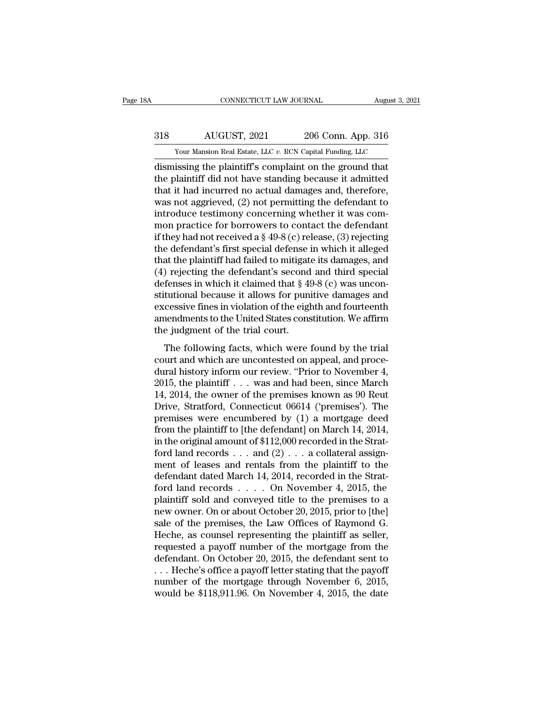# EXECUTE CONNECTICUT LAW JOURNAL August 3, 2021<br>318 AUGUST, 2021 206 Conn. App. 316<br>318 Nour Mansion Real Estate, LLC v. RCN Capital Funding, LLC CONNECTICUT LAW JOURNAL August 3, 2021<br>
318 AUGUST, 2021 206 Conn. App. 316<br>
Your Mansion Real Estate, LLC *v.* RCN Capital Funding, LLC<br>
dismissing the plaintiff's complaint on the ground that

CONNECTICUT LAW JOURNAL August 3, 202<br>
318 AUGUST, 2021 206 Conn. App. 316<br>
Your Mansion Real Estate, LLC v. RCN Capital Funding, LLC<br>
dismissing the plaintiff's complaint on the ground that<br>
the plaintiff did not have sta AUGUST, 2021 206 Conn. App. 316<br>
Your Mansion Real Estate, LLC v. RCN Capital Funding, LLC<br>
dismissing the plaintiff's complaint on the ground that<br>
the plaintiff did not have standing because it admitted<br>
that it had incu 318  $\overline{AUGUST}$ , 2021  $\overline{a}$  206 Conn. App. 316<br>
Your Mansion Real Estate, LLC v. RCN Capital Funding, LLC<br>
dismissing the plaintiff's complaint on the ground that<br>
the plaintiff did not have standing because it admitted was not aggrieved, (2) not permitting the defendant to the plaintiff did not have standing because it admitted<br>that it had incurred no actual damages and, therefore,<br>was not aggrieved,  $(2)$  not permitting the defendant to<br>introduce testimony concerning whether it was com-<br>mo Four Mansion Real Estate, LLC v. RCN Capital Funding, LLC<br>dismissing the plaintiff's complaint on the ground that<br>the plaintiff did not have standing because it admitted<br>that it had incurred no actual damages and, therefo dismissing the plaintiff's complaint on the ground that<br>the plaintiff did not have standing because it admitted<br>that it had incurred no actual damages and, therefore,<br>was not aggrieved, (2) not permitting the defendant to<br> the plaintiff did not have standing because it admitted<br>that it had incurred no actual damages and, therefore,<br>was not aggrieved, (2) not permitting the defendant to<br>introduce testimony concerning whether it was com-<br>mon p that it had incurred no actual damages and, therefore,<br>was not aggrieved, (2) not permitting the defendant to<br>introduce testimony concerning whether it was com-<br>mon practice for borrowers to contact the defendant<br>if they was not aggrieved, (2) not permitting the defendant to<br>introduce testimony concerning whether it was com-<br>mon practice for borrowers to contact the defendant<br>if they had not received a  $\S$  49-8 (c) release, (3) rejecting<br> introduce testimony concerning whether it was common practice for borrowers to contact the defendant<br>if they had not received a  $\S$  49-8 (c) release, (3) rejecting<br>the defendant's first special defense in which it alleged mon practice for borrowers to contact the defendant<br>if they had not received a  $\S$  49-8 (c) release, (3) rejecting<br>the defendant's first special defense in which it alleged<br>that the plaintiff had failed to mitigate its da if they had not received a § 49-8 (c) release, (3) rejecting<br>the defendant's first special defense in which it alleged<br>that the plaintiff had failed to mitigate its damages, and<br>(4) rejecting the defendant's second and th the defendant's first special defense in which it alleged<br>that the plaintiff had failed to mitigate its damages, and<br>(4) rejecting the defendant's second and third special<br>defenses in which it claimed that  $\S 49-8$  (c) wa that the plaintiff had failed to mitigat<br>(4) rejecting the defendant's second<br>defenses in which it claimed that § 4!<br>stitutional because it allows for pun<br>excessive fines in violation of the eigl<br>amendments to the United S The following factorian is second and all a special fenses in which it claimed that  $\S 49-8$  (c) was uncontutional because it allows for punitive damages and cessive fines in violation of the eighth and fourteenth nendmen stitutional because it allows for punitive damages and<br>excessive fines in violation of the eighth and fourteenth<br>amendments to the United States constitution. We affirm<br>the judgment of the trial court.<br>The following facts

Batalonia because it allows for pairative damages and<br>excessive fines in violation of the eighth and fourteenth<br>amendments to the United States constitution. We affirm<br>the judgment of the trial court.<br>The following facts, amendments to the United States constitution. We affirm<br>the judgment of the trial court.<br>The following facts, which were found by the trial<br>court and which are uncontested on appeal, and proce-<br>dural history inform our rev the judgment of the trial court.<br>
The following facts, which were found by the trial<br>
court and which are uncontested on appeal, and proce-<br>
dural history inform our review. "Prior to November 4,<br>
2015, the plaintiff . . The following facts, which were found by the trial<br>court and which are uncontested on appeal, and proce-<br>dural history inform our review. "Prior to November 4,<br>2015, the plaintiff . . . was and had been, since March<br>14, 2 The following facts, which were found by the trial<br>court and which are uncontested on appeal, and proce-<br>dural history inform our review. "Prior to November 4,<br>2015, the plaintiff  $\ldots$  was and had been, since March<br>14, 2 court and which are uncontested on appeal, and proce-<br>dural history inform our review. "Prior to November 4,<br>2015, the plaintiff . . . was and had been, since March<br>14, 2014, the owner of the premises known as 90 Reut<br>Dri dural history inform our review. "Prior to November 4, 2015, the plaintiff . . . was and had been, since March 14, 2014, the owner of the premises known as 90 Reut Drive, Stratford, Connecticut 06614 ('premises'). The pre 2015, the plaintiff . . . was and had been, since March 14, 2014, the owner of the premises known as 90 Reut Drive, Stratford, Connecticut 06614 ('premises'). The premises were encumbered by (1) a mortgage deed from the p 14, 2014, the owner of the premises known as 90 Reut<br>Drive, Stratford, Connecticut 06614 ('premises'). The<br>premises were encumbered by (1) a mortgage deed<br>from the plaintiff to [the defendant] on March 14, 2014,<br>in the or Drive, Stratford, Connecticut 06614 ('premises'). The<br>premises were encumbered by (1) a mortgage deed<br>from the plaintiff to [the defendant] on March 14, 2014,<br>in the original amount of \$112,000 recorded in the Strat-<br>ford premises were encumbered by (1) a mortgage deed<br>from the plaintiff to [the defendant] on March 14, 2014,<br>in the original amount of \$112,000 recorded in the Strat-<br>ford land records . . . and (2) . . . a collateral assignfrom the plaintiff to [the defendant] on March 14, 2014,<br>in the original amount of \$112,000 recorded in the Strat-<br>ford land records  $\dots$  and (2)  $\dots$  a collateral assign-<br>ment of leases and rentals from the plaintiff to in the original amount of \$112,000 recorded in the Strat-<br>ford land records . . . and  $(2)$  . . . a collateral assign-<br>ment of leases and rentals from the plaintiff to the<br>defendant dated March 14, 2014, recorded in the S ford land records . . . and  $(2)$  . . . a collateral assignment of leases and rentals from the plaintiff to the defendant dated March 14, 2014, recorded in the Stratford land records . . . . On November 4, 2015, the plain ment of leases and rentals from the plaintiff to the<br>defendant dated March 14, 2014, recorded in the Strat-<br>ford land records . . . . On November 4, 2015, the<br>plaintiff sold and conveyed title to the premises to a<br>new own defendant dated March 14, 2014, recorded in the Strat-<br>ford land records . . . . On November 4, 2015, the<br>plaintiff sold and conveyed title to the premises to a<br>new owner. On or about October 20, 2015, prior to [the]<br>sale ford land records . . . . On November 4, 2015, the<br>plaintiff sold and conveyed title to the premises to a<br>new owner. On or about October 20, 2015, prior to [the]<br>sale of the premises, the Law Offices of Raymond G.<br>Heche, plaintiff sold and conveyed title to the premises to a<br>new owner. On or about October 20, 2015, prior to [the]<br>sale of the premises, the Law Offices of Raymond G.<br>Heche, as counsel representing the plaintiff as seller,<br>req new owner. On or about October 20, 2015, prior to [the]<br>sale of the premises, the Law Offices of Raymond G.<br>Heche, as counsel representing the plaintiff as seller,<br>requested a payoff number of the mortgage from the<br>defenda sale of the premises, the Law Offices of Raymond G.<br>Heche, as counsel representing the plaintiff as seller,<br>requested a payoff number of the mortgage from the<br>defendant. On October 20, 2015, the defendant sent to<br> $\dots$  Hec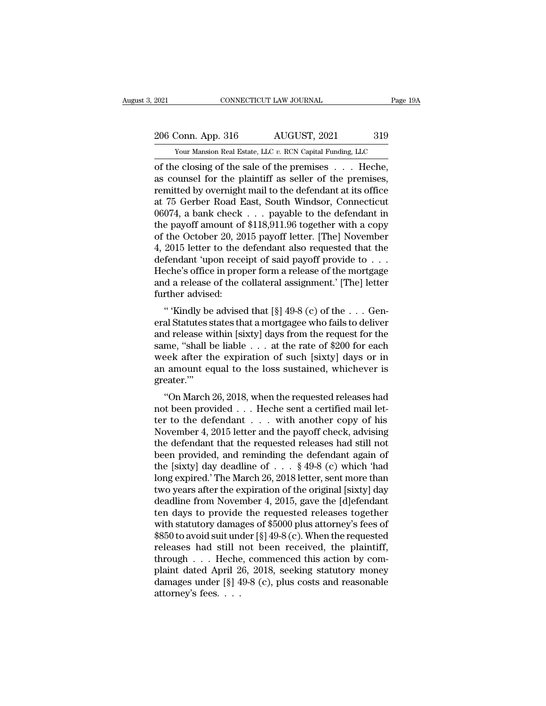2021 CONNECTICUT LAW JOURNAL Page 19A<br>206 Conn. App. 316 AUGUST, 2021 319<br>206 Vour Mansion Real Estate, LLC v. RCN Capital Funding, LLC

The 2021 CONNECTICUT LAW JOURNAL Page 19A<br>
206 Conn. App. 316 AUGUST, 2021 319<br>
Your Mansion Real Estate, LLC *v.* RCN Capital Funding, LLC<br>
of the closing of the sale of the premises . . . Heche, CONNECTICUT LAW JOURNAL Page 1<br>
206 Conn. App. 316 AUGUST, 2021 319<br>
Your Mansion Real Estate, LLC v. RCN Capital Funding, LLC<br>
of the closing of the sale of the premises . . . . Heche,<br>
as counsel for the plaintiff as sel 206 Conn. App. 316 AUGUST, 2021 319<br>
Your Mansion Real Estate, LLC v. RCN Capital Funding, LLC<br>
of the closing of the sale of the premises . . . Heche,<br>
as counsel for the plaintiff as seller of the premises,<br>
remitted by 206 Conn. App. 316 AUGUST, 2021 319<br>
Your Mansion Real Estate, LLC v. RCN Capital Funding, LLC<br>
of the closing of the sale of the premises . . . Heche,<br>
as counsel for the plaintiff as seller of the premises,<br>
remitted by 206 Conn. App. 316 AUGUST, 2021 319<br>
Your Mansion Real Estate, LLC v. RCN Capital Funding, LLC<br>
of the closing of the sale of the premises . . . Heche,<br>
as counsel for the plaintiff as seller of the premises,<br>
remitted by Your Mansion Real Estate, LLC v. RCN Capital Funding, LLC<br>
of the closing of the sale of the premises . . . . Heche,<br>
as counsel for the plaintiff as seller of the premises,<br>
remitted by overnight mail to the defendant at Four Mansion Real Estate, LLC  $v$ . RCN Capital Funding, LLC<br>
of the closing of the sale of the premises . . . . Heche,<br>
as counsel for the plaintiff as seller of the premises,<br>
remitted by overnight mail to the defendant of the closing of the sale of the premises . . . . Heche,<br>as counsel for the plaintiff as seller of the premises,<br>remitted by overnight mail to the defendant at its office<br>at 75 Gerber Road East, South Windsor, Connecticut as counsel for the plaintiff as seller of the premises,<br>remitted by overnight mail to the defendant at its office<br>at 75 Gerber Road East, South Windsor, Connecticut<br> $06074$ , a bank check . . . payable to the defendant in<br> remitted by overnight mail to the defendant at its office<br>at 75 Gerber Road East, South Windsor, Connecticut<br>06074, a bank check . . . payable to the defendant in<br>the payoff amount of \$118,911.96 together with a copy<br>of th at 75 Gerber Road East, South Windsor, Connecticut<br>06074, a bank check . . . payable to the defendant in<br>the payoff amount of \$118,911.96 together with a copy<br>of the October 20, 2015 payoff letter. [The] November<br>4, 2015 l 06074, a bank check . . . payable to the defendant in<br>the payoff amount of \$118,911.96 together with a copy<br>of the October 20, 2015 payoff letter. [The] November<br>4, 2015 letter to the defendant also requested that the<br>def the payoff amount of<br>of the October 20, 20<br>4, 2015 letter to the of<br>defendant 'upon rece<br>Heche's office in prop<br>and a release of the of<br>turther advised:<br>"Kindly be advise % of the October 20, 2015 payoff letter. [The] November 4, 2015 letter to the defendant also requested that the defendant 'upon receipt of said payoff provide to . . . Heche's office in proper form a release of the mortga 4, 2019 letter to the defendant also requested that the<br>defendant 'upon receipt of said payoff provide to  $\dots$ <br>Heche's office in proper form a release of the mortgage<br>and a release of the collateral assignment.' [The] let

defendant upon recept of said payon provide to . . .<br>Heche's office in proper form a release of the mortgage<br>and a release of the collateral assignment.' [The] letter<br>further advised:<br>" "Kindly be advised that [§] 49-8 (c) Freche's office in proper form a refease of the inortyage<br>and a release of the collateral assignment.' [The] letter<br>further advised:<br>"'Kindly be advised that [§] 49-8 (c) of the . . . Gen-<br>eral Statutes states that a mort and a release of the conateral assignment. [The] letter<br>further advised:<br>"'Kindly be advised that [§] 49-8 (c) of the . . . Gen-<br>eral Statutes states that a mortgagee who fails to deliver<br>and release within [sixty] days f and the advised.<br>
" 'Kindly be advised that [§] 49-8 (c) of the . . . General Statutes states that a mortgagee who fails to deliver<br>
and release within [sixty] days from the request for the<br>
same, "shall be liable . . . a greater.''' a statutes states that a mortgagee who rans to denver<br>
d release within [sixty] days from the request for the<br>
me, "shall be liable . . . at the rate of \$200 for each<br>
eek after the expiration of such [sixty] days or in<br>
a and release within [sixty] days from the request for the same, "shall be liable . . . at the rate of \$200 for each week after the expiration of such [sixty] days or in an amount equal to the loss sustained, whichever is g

same, shall be hable . . . at the rate of  $\ast$ 200 for each<br>week after the expiration of such [sixty] days or in<br>an amount equal to the loss sustained, whichever is<br>greater."<br>"On March 26, 2018, when the requested releases Week after the expiration of such [sixty] days of in<br>an amount equal to the loss sustained, whichever is<br>greater."<br>"On March 26, 2018, when the requested releases had<br>not been provided . . . Heche sent a certified mail let an amount equal to the loss sustained, whichever is<br>greater."<br>"On March 26, 2018, when the requested releases had<br>not been provided . . . Heche sent a certified mail let-<br>ter to the defendant . . . with another copy of hi "On March 26, 2018, when the requested releases had<br>not been provided . . . Heche sent a certified mail let-<br>ter to the defendant . . . with another copy of his<br>November 4, 2015 letter and the payoff check, advising<br>the d "On March 26, 2018, when the requested releases had<br>not been provided . . . Heche sent a certified mail let-<br>ter to the defendant . . . with another copy of his<br>November 4, 2015 letter and the payoff check, advising<br>the d not been provided . . . Heche sent a certified mail let-<br>ter to the defendant . . . with another copy of his<br>November 4, 2015 letter and the payoff check, advising<br>the defendant that the requested releases had still not<br>b ter to the defendant . . . with another copy of his<br>November 4, 2015 letter and the payoff check, advising<br>the defendant that the requested releases had still not<br>been provided, and reminding the defendant again of<br>the [si November 4, 2015 letter and the payoff check, advising<br>the defendant that the requested releases had still not<br>been provided, and reminding the defendant again of<br>the [sixty] day deadline of  $\ldots$  \$49-8 (c) which 'had<br>lon the defendant that the requested releases had still not<br>been provided, and reminding the defendant again of<br>the [sixty] day deadline of  $\ldots$  § 49-8 (c) which 'had<br>long expired.' The March 26, 2018 letter, sent more than<br> been provided, and reminding the defendant again of<br>the [sixty] day deadline of . . . § 49-8 (c) which 'had<br>long expired.' The March 26, 2018 letter, sent more than<br>two years after the expiration of the original [sixty] d the [sixty] day deadline of . . . § 49-8 (c) which 'had<br>long expired.' The March 26, 2018 letter, sent more than<br>two years after the expiration of the original [sixty] day<br>deadline from November 4, 2015, gave the [d]efend long expired.' The March 26, 2018 letter, sent more than<br>two years after the expiration of the original [sixty] day<br>deadline from November 4, 2015, gave the [d]efendant<br>ten days to provide the requested releases together<br> two years after the expiration of the original [sixty] day<br>deadline from November 4, 2015, gave the [d]efendant<br>ten days to provide the requested releases together<br>with statutory damages of \$5000 plus attorney's fees of<br>\$ deadline from November 4, 2015, gave the [d]efendant<br>ten days to provide the requested releases together<br>with statutory damages of \$5000 plus attorney's fees of<br>\$850 to avoid suit under [§] 49-8 (c). When the requested<br>rel ten days to provide the requested releases together<br>with statutory damages of \$5000 plus attorney's fees of<br>\$850 to avoid suit under [§] 49-8 (c). When the requested<br>releases had still not been received, the plaintiff,<br>th with statutory dama;<br>\$850 to avoid suit une<br>releases had still r<br>through . . . Heche<br>plaint dated April 2<br>damages under [§] 4<br>attorney's fees. . . .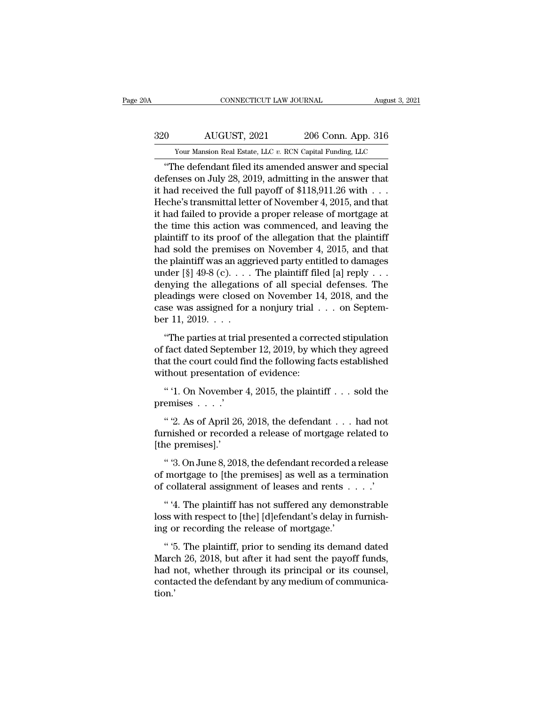# EXECUTE CONNECTICUT LAW JOURNAL August 3, 2021<br>320 AUGUST, 2021 206 Conn. App. 316<br>320 AUGUST, 2021 206 Conn. App. 316 EXECUTE CONNECTICUT LAW JOURNAL August 3, 2021<br>AUGUST, 2021 206 Conn. App. 316<br>Your Mansion Real Estate, LLC *v.* RCN Capital Funding, LLC

CONNECTICUT LAW JOURNAL August 3, 20<br>
O AUGUST, 2021 206 Conn. App. 316<br>
Your Mansion Real Estate, LLC v. RCN Capital Funding, LLC<br>
"The defendant filed its amended answer and special<br>
fenses on July 28, 2019, admitting in defenses on July 28, 2019, admitting in the answer that<br>defenses on July 28, 2019, admitting in the answer that<br>it had received the full payoff of \$118,911.26 with . . .<br>Heche's transmittel letter of Newember 4, 2015, and 320 AUGUST, 2021 206 Conn. App. 316<br>
Your Mansion Real Estate, LLC v. RCN Capital Funding, LLC<br>
"The defendant filed its amended answer and special<br>
defenses on July 28, 2019, admitting in the answer that<br>
it had received  $\frac{320}{\text{Your Mason Real Estate, LLC } v. \text{ RCN Capital Funding, LLC}}$ <br>
"The defendant filed its amended answer and special<br>
defenses on July 28, 2019, admitting in the answer that<br>
it had received the full payoff of \$118,911.26 with . . .<br>
Heche's transmitt Frame of Tailors (Frame of Tailors )<br>
The defendant filed its amended answer and special<br>
defenses on July 28, 2019, admitting in the answer that<br>
it had received the full payoff of \$118,911.26 with  $\dots$ <br>
Heche's transmit Tour mansion real estate, LLC v. RCN Capital Funding, LLC<br>
"The defendant filed its amended answer and special<br>
defenses on July 28, 2019, admitting in the answer that<br>
it had received the full payoff of \$118,911.26 with "The defendant filed its amended answer and special<br>defenses on July 28, 2019, admitting in the answer that<br>it had received the full payoff of \$118,911.26 with  $\dots$ <br>Heche's transmittal letter of November 4, 2015, and that defenses on July 28, 2019, admitting in the answer that<br>it had received the full payoff of \$118,911.26 with . . .<br>Heche's transmittal letter of November 4, 2015, and that<br>it had failed to provide a proper release of mortg it had received the full payoff of \$118,911.26 with . . .<br>Heche's transmittal letter of November 4, 2015, and that<br>it had failed to provide a proper release of mortgage at<br>the time this action was commenced, and leaving t Heche's transmittal letter of November 4, 2015, and that<br>it had failed to provide a proper release of mortgage at<br>the time this action was commenced, and leaving the<br>plaintiff to its proof of the allegation that the plain it had failed to provide a proper release of mortgage at<br>the time this action was commenced, and leaving the<br>plaintiff to its proof of the allegation that the plaintiff<br>had sold the premises on November 4, 2015, and that<br> the time this action was commenced, and leaving the<br>plaintiff to its proof of the allegation that the plaintiff<br>had sold the premises on November 4, 2015, and that<br>the plaintiff was an aggrieved party entitled to damages<br> plaintiff to its proof of the allegation that the plaintiff<br>had sold the premises on November 4, 2015, and that<br>the plaintiff was an aggrieved party entitled to damages<br>under [§] 49-8 (c).... The plaintiff filed [a] reply had sold the premises<br>the plaintiff was an agg<br>under [§] 49-8 (c)....<br>denying the allegation<br>pleadings were closed<br>case was assigned for :<br>ber 11, 2019....<br>"The parties at trial p of the parties at trial presented at the parties and the parties are values at the parties were closed on November 14, 2018, and the see was assigned for a nonjury trial  $\ldots$  on Septem-<br>r 11, 2019.  $\ldots$ <br>"The parties at denying the allegations of all special defenses. The<br>pleadings were closed on November 14, 2018, and the<br>case was assigned for a nonjury trial  $\ldots$  on Septem-<br>ber 11, 2019.  $\ldots$ <br>"The parties at trial presented a correct

pleadings were closed on November 14, 2018, and the case was assigned for a nonjury trial  $\ldots$  on September 11, 2019.  $\ldots$ <br>"The parties at trial presented a corrected stipulation of fact dated September 12, 2019, by whi case was assigned for a nonjury trial .<br>
ber 11, 2019.  $\dots$ <br>
"The parties at trial presented a corre<br>
of fact dated September 12, 2019, by wh<br>
that the court could find the following fa<br>
without presentation of evidence:<br> The parties at trial presented a corrected stipulation<br>
"The parties at trial presented a corrected stipulation<br>
fact dated September 12, 2019, by which they agreed<br>
at the court could find the following facts established "The parties at tria"<br>of fact dated Septem!<br>that the court could f<br>without presentation<br>"1. On November<br>premises  $\ldots$ ."<br>"2. As of April 26, fact dated September 12, 2019, by which they agreed<br>at the court could find the following facts established<br>thout presentation of evidence:<br>" '1. On November 4, 2015, the plaintiff . . . sold the<br>emises . . . .'<br>" '2. As

that the court could find the following facts established<br>without presentation of evidence:<br>"'1. On November 4, 2015, the plaintiff . . . sold the<br>premises . . . .'<br>"'2. As of April 26, 2018, the defendant . . . had not<br>f without presentation<br>
" '1. On November<br>
premises . . . .'<br>
" '2. As of April 26<br>
furnished or recorde<br>
[the premises].'<br>
" '3. On June 8, 201 " '1. On November 4, 2015, the plaintiff  $\ldots$  sold the<br>emises  $\ldots$ .'<br>" '2. As of April 26, 2018, the defendant  $\ldots$  had not<br>rnished or recorded a release of mortgage related to<br>ne premises].'<br>" 3. On June 8, 2018, the premises  $\ldots$  .<br>
" '2. As of April 26, 2018, the defendant  $\ldots$  had not<br>
furnished or recorded a release of mortgage related to<br>
[the premises].'<br>
" '3. On June 8, 2018, the defendant recorded a release<br>
of mortgage to " '2. As of April 26, 2018, the defendant . . . had not furnished or recorded a release of mortgage related to [the premises].'<br>" 3. On June 8, 2018, the defendant recorded a release of mortgage to [the premises] as well

rnished or recorded a release of mortgage related to<br>
ie premises].'<br>
" '3. On June 8, 2018, the defendant recorded a release<br>
mortgage to [the premises] as well as a termination<br>
collateral assignment of leases and rents [the premises].'<br>
"3. On June 8, 2018, the defendant recorded a release<br>
of mortgage to [the premises] as well as a termination<br>
of collateral assignment of leases and rents . . . . .<br>
"4. The plaintiff has not suffered a " 3. On June 8, 2018, the defendant recorded a<br>of mortgage to [the premises] as well as a terr<br>of collateral assignment of leases and rents.<br>"<br>"4. The plaintiff has not suffered any demo<br>loss with respect to [the] [d]efend

mortgage to [the premises] as well as a termination<br>
collateral assignment of leases and rents  $\dots$ .'<br>
"4. The plaintiff has not suffered any demonstrable<br>
ss with respect to [the] [d]efendant's delay in furnish-<br>
g or re

of collateral assignment of leases and rents . . . . "<br>
" '4. The plaintiff has not suffered any demonstrable<br>
loss with respect to [the] [d]efendant's delay in furnish-<br>
ing or recording the release of mortgage.'<br>
" '5. T " 4. The plaintiff has not suffered any demonstrable<br>loss with respect to [the] [d]efendant's delay in furnish-<br>ing or recording the release of mortgage.'<br>"5. The plaintiff, prior to sending its demand dated<br>March 26, 2018 contact the defendant of the defendant's delay in furnishing or recording the release of mortgage.'<br>"5. The plaintiff, prior to sending its demand dated<br>March 26, 2018, but after it had sent the payoff funds,<br>had not, whet tion.'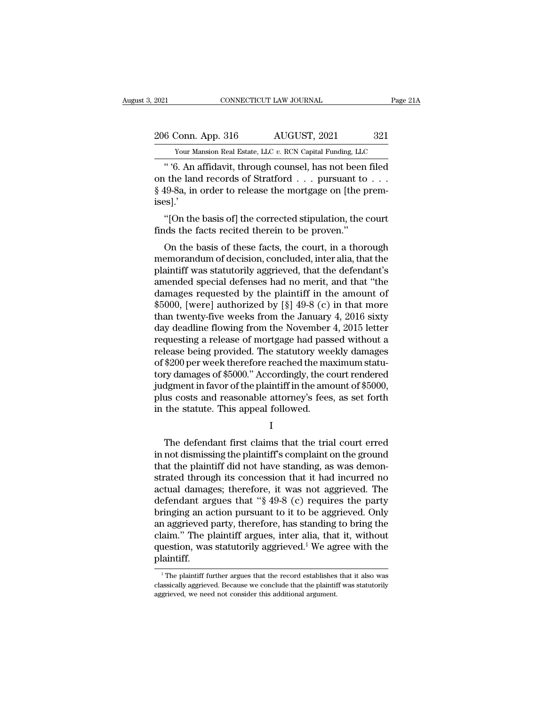# 2021 CONNECTICUT LAW JOURNAL Page 21A<br>206 Conn. App. 316 AUGUST, 2021 321<br>Your Mansion Real Estate, LLC v. RCN Capital Funding, LLC External Estate, LLC *v.* RCN Capital Funding, LLC Your Mansion Real Estate, LLC *v.* RCN Capital Funding, LLC

CONNECTICUT LAW JOURNAL Page 21A<br>
8 Conn. App. 316 AUGUST, 2021 321<br>
Your Mansion Real Estate, LLC v. RCN Capital Funding, LLC<br>
16 An affidavit, through counsel, has not been filed<br>
16 Land records of Stratford . . . pursu 206 Conn. App. 316 AUGUST, 2021 321<br>
Your Mansion Real Estate, LLC v. RCN Capital Funding, LLC<br>
"6. An affidavit, through counsel, has not been filed<br>
on the land records of Stratford . . . pursuant to . . .<br>
§ 49-8a, in o § 49-8a, in order to release the mortgage on [the premises].' Your Mansion Real Estate, LLC  $v$ . RCN Capital Funding, LLC<br>
"'6. An affidavit, through counsel, has not been filed<br>
the land records of Stratford . . . pursuant to . . .<br>
19-8a, in order to release the mortgage on [the p Finds the facts recited therein to be proven."<br>
Set also the facts of stratford  $\ldots$  pursuant to  $\S$  49-8a, in order to release the mortgage on [the p<br>
ises].'<br>
"[On the basis of] the corrected stipulation, the c<br>
finds It the land records of Stratford . . . pursuant to . . .<br>19-8a, in order to release the mortgage on [the prem-<br>s].'<br>"[On the basis of] the corrected stipulation, the court<br>ds the facts recited therein to be proven."<br>On the

§ 49-8a, in order to release the mortgage on [the premises].'<br>"[On the basis of] the corrected stipulation, the court<br>finds the facts recited therein to be proven."<br>On the basis of these facts, the court, in a thorough<br>mem ises].'<br>
"[On the basis of] the corrected stipulation, the court<br>
finds the facts recited therein to be proven."<br>
On the basis of these facts, the court, in a thorough<br>
memorandum of decision, concluded, inter alia, that t "[On the basis of] the corrected stipulation, the court<br>finds the facts recited therein to be proven."<br>On the basis of these facts, the court, in a thorough<br>memorandum of decision, concluded, inter alia, that the<br>plaintif finds the facts recited therein to be proven."<br>
On the basis of these facts, the court, in a thorough<br>
memorandum of decision, concluded, inter alia, that the<br>
plaintiff was statutorily aggrieved, that the defendant's<br>
am Thus the racts reched therent to be proven.<br>
On the basis of these facts, the court, in a thorough<br>
memorandum of decision, concluded, inter alia, that the<br>
plaintiff was statutorily aggrieved, that the defendant's<br>
amend On the basis of these facts, the court, in a thorough<br>memorandum of decision, concluded, inter alia, that the<br>plaintiff was statutorily aggrieved, that the defendant's<br>amended special defenses had no merit, and that "the<br> memorandum of decision, concluded, inter alia, that the plaintiff was statutorily aggrieved, that the defendant's amended special defenses had no merit, and that "the damages requested by the plaintiff in the amount of \$50 plaintiff was statutorily aggrieved, that the defendant's<br>amended special defenses had no merit, and that "the<br>damages requested by the plaintiff in the amount of<br>\$5000, [were] authorized by [§] 49-8 (c) in that more<br>than amended special defenses had no merit, and that "the<br>damages requested by the plaintiff in the amount of<br>\$5000, [were] authorized by [§] 49-8 (c) in that more<br>than twenty-five weeks from the January 4, 2016 sixty<br>day deadl damages requested by the plaintiff in the amount of  $$5000$ , [were] authorized by [§] 49-8 (c) in that more than twenty-five weeks from the January 4, 2016 sixty day deadline flowing from the November 4, 2015 letter reque \$5000, [were] authorized by [§] 49-8 (c) in that more<br>than twenty-five weeks from the January 4, 2016 sixty<br>day deadline flowing from the November 4, 2015 letter<br>requesting a release of mortgage had passed without a<br>releas than twenty-five weeks from the January 4, 2016 sixty<br>day deadline flowing from the November 4, 2015 letter<br>requesting a release of mortgage had passed without a<br>release being provided. The statutory weekly damages<br>of \$200 day deadline flowing from the November 4, 2015 letter<br>requesting a release of mortgage had passed without a<br>release being provided. The statutory weekly damages<br>of \$200 per week therefore reached the maximum statu-<br>tory da requesting a release of mortgage had pass<br>release being provided. The statutory wee<br>of \$200 per week therefore reached the ma<br>tory damages of \$5000." Accordingly, the c<br>judgment in favor of the plaintiff in the ame<br>plus co ry damages of \$5000." Accordingly, the court rendered<br>dgment in favor of the plaintiff in the amount of \$5000,<br>us costs and reasonable attorney's fees, as set forth<br>the statute. This appeal followed.<br>I<br>The defendant first

I and the set of  $\mathbf I$ 

judgment in favor of the plaintiff in the amount of \$5000,<br>plus costs and reasonable attorney's fees, as set forth<br>in the statute. This appeal followed.<br>I<br>The defendant first claims that the trial court erred<br>in not dismis plus costs and reasonable attorney's fees, as set forth<br>in the statute. This appeal followed.<br>I<br>The defendant first claims that the trial court erred<br>in not dismissing the plaintiff's complaint on the ground<br>that the plain in the statute. This appeal followed.<br>
I<br>
The defendant first claims that the trial court erred<br>
in not dismissing the plaintiff's complaint on the ground<br>
that the plaintiff did not have standing, as was demon-<br>
strated I<br>
I<br>
The defendant first claims that the trial court erred<br>
in not dismissing the plaintiff's complaint on the ground<br>
that the plaintiff did not have standing, as was demon-<br>
strated through its concession that it had in The defendant first claims that the trial court erred<br>in not dismissing the plaintiff's complaint on the ground<br>that the plaintiff did not have standing, as was demon-<br>strated through its concession that it had incurred no The defendant first claims that the trial court erred<br>in not dismissing the plaintiff's complaint on the ground<br>that the plaintiff did not have standing, as was demon-<br>strated through its concession that it had incurred no in not dismissing the plaintiff's complaint on the ground<br>that the plaintiff did not have standing, as was demon-<br>strated through its concession that it had incurred no<br>actual damages; therefore, it was not aggrieved. The that the plaintiff did not have standing, as was demonstrated through its concession that it had incurred no actual damages; therefore, it was not aggrieved. The defendant argues that "§ 49-8 (c) requires the party bringin strated through its concession that it had incurred no<br>actual damages; therefore, it was not aggrieved. The<br>defendant argues that "§ 49-8 (c) requires the party<br>bringing an action pursuant to it to be aggrieved. Only<br>an ag plaintiff. an aggrieved party, therefore, has standing to bring the claim." The plaintiff argues, inter alia, that it, without question, was statutorily aggrieved.<sup>1</sup> We agree with the plaintiff.<br> $\frac{1}{1}$  The plaintiff further argu claim." The plaintiff argues, inter alia, that it, without question, was statutorily aggrieved.<sup>1</sup> We agree with the plaintiff.<br> $\frac{1}{1}$ The plaintiff further argues that the record establishes that it also was classicall

question, was statutorily aggrieved.<sup>1</sup> We ageriantiff.<br>
The plaintiff further argues that the record establishes<br>
classically aggrieved. Because we conclude that the plaintif<br>
aggrieved, we need not consider this addition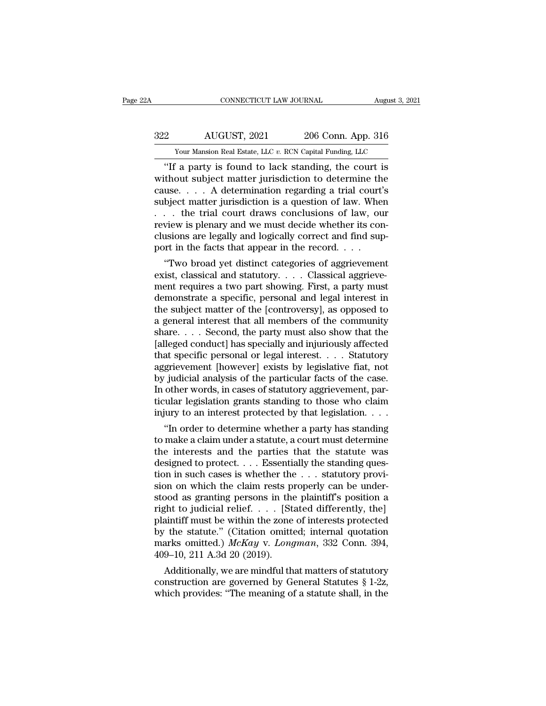# EXECUTE CONNECTICUT LAW JOURNAL August 3, 2021<br>322 AUGUST, 2021 206 Conn. App. 316<br>320 Your Mansion Real Estate, LLC v. RCN Capital Funding, LLC EXECUTE CONNECTICUT LAW JOURNAL August 3, 2021<br>AUGUST, 2021 206 Conn. App. 316<br>Your Mansion Real Estate, LLC *v.* RCN Capital Funding, LLC

CONNECTICUT LAW JOURNAL August 3, 2021<br>
206 Conn. App. 316<br>
Your Mansion Real Estate, LLC v. RCN Capital Funding, LLC<br>
"If a party is found to lack standing, the court is<br>
thout subject matter jurisdiction to determine the  $\frac{322}{\text{Your Mason Real State, LLC } v. \text{ RCN Capital Funding, LLC}}$ <br>
"If a party is found to lack standing, the court is<br>
without subject matter jurisdiction to determine the<br>
cause.... A determination regarding a trial court's<br>
subject matter jurisdiction 322 AUGUST, 2021 206 Conn. App. 316<br>
Your Mansion Real Estate, LLC v. RCN Capital Funding, LLC<br>
"If a party is found to lack standing, the court is<br>
without subject matter jurisdiction to determine the<br>
cause.... A determ  $\frac{322}{100}$  AUGUST, 2021 206 Conn. App. 316<br>
Your Mansion Real Estate, LLC v. RCN Capital Funding, LLC<br>
"If a party is found to lack standing, the court is<br>
without subject matter jurisdiction to determine the<br>
cause... Your Mansion Real Estate, LLC v. RCN Capital Funding, LLC<br>
"If a party is found to lack standing, the court is<br>
without subject matter jurisdiction to determine the<br>
cause.... A determination regarding a trial court's<br>
su Your Mansion Real Estate, LLC v. RCN Capital Funding, LLC<br>
"If a party is found to lack standing, the court is<br>
without subject matter jurisdiction to determine the<br>
cause.... A determination regarding a trial court's<br>
su "If a party is found to lack standing, the court is<br>without subject matter jurisdiction to determine the<br>cause. . . . A determination regarding a trial court's<br>subject matter jurisdiction is a question of law. When<br>. . . without subject matter jurisdiction to determine th cause. . . . A determination regarding a trial court subject matter jurisdiction is a question of law. Whe . . . the trial court draws conclusions of law, our review is use.... A determination regarding a trial court's<br>bject matter jurisdiction is a question of law. When<br>... the trial court draws conclusions of law, our<br>view is plenary and we must decide whether its con-<br>sions are legally subject matter jurisdiction is a question of law. when<br>  $\ldots$  the trial court draws conclusions of law, our<br>
review is plenary and we must decide whether its conclusions are legally and logically correct and find sup-<br>
po

means of law, our review is plenary and we must decide whether its conclusions are legally and logically correct and find support in the facts that appear in the record. . . . "Two broad yet distinct categories of aggriev review is pienary and we must decide whether its conclusions are legally and logically correct and find support in the facts that appear in the record. . . .<br>
"Two broad yet distinct categories of aggrievement<br>exist, class clusions are legally and logically correct and imd sup-<br>port in the facts that appear in the record. . . .<br>"Two broad yet distinct categories of aggrievement<br>exist, classical and statutory. . . . Classical aggrieve-<br>ment port in the racts that appear in the record. . . .<br>"Two broad yet distinct categories of aggrievement<br>exist, classical and statutory. . . . Classical aggrieve-<br>ment requires a two part showing. First, a party must<br>demonstr "Two broad yet distinct categories of aggrievement<br>exist, classical and statutory. . . . Classical aggrieve-<br>ment requires a two part showing. First, a party must<br>demonstrate a specific, personal and legal interest in<br>the exist, classical and statutory. . . . Classical aggrieve-<br>ment requires a two part showing. First, a party must<br>demonstrate a specific, personal and legal interest in<br>the subject matter of the [controversy], as opposed to<br> ment requires a two part showing. First, a party must<br>demonstrate a specific, personal and legal interest in<br>the subject matter of the [controversy], as opposed to<br>a general interest that all members of the community<br>share demonstrate a specific, personal and legal interest in<br>the subject matter of the [controversy], as opposed to<br>a general interest that all members of the community<br>share. . . . Second, the party must also show that the<br>[all the subject matter of the [controversy], as opposed to<br>a general interest that all members of the community<br>share. . . . Second, the party must also show that the<br>[alleged conduct] has specially and injuriously affected<br>th a general interest that all members of the community<br>share....Second, the party must also show that the<br>[alleged conduct] has specially and injuriously affected<br>that specific personal or legal interest....Statutory<br>aggriev share. . . . Second, the party must also show that the [alleged conduct] has specially and injuriously affected that specific personal or legal interest. . . . Statutory aggrievement [however] exists by legislative fiat, n [alleged conduct] has specially and injuriously affected that specific personal or legal interest. . . . Statutory aggrievement [however] exists by legislative fiat, not by judicial analysis of the particular facts of the at specinc personal or legal interest. . . . . Statutory<br>
grievement [however] exists by legislative fiat, not<br>
judicial analysis of the particular facts of the case.<br>
other words, in cases of statutory aggrievement, par-<br> aggrievement [nowever] exists by legislative riat, not<br>by judicial analysis of the particular facts of the case.<br>In other words, in cases of statutory aggrievement, par-<br>ticular legislation grants standing to those who cla

by judicial analysis of the particular facts of the case.<br>In other words, in cases of statutory aggrievement, particular legislation grants standing to those who claim<br>injury to an interest protected by that legislation. . In other words, in cases of statutory aggrevement, particular legislation grants standing to those who claim<br>injury to an interest protected by that legislation. . . .<br>"In order to determine whether a party has standing<br>t ticular legislation grants standing to those who claim<br>injury to an interest protected by that legislation. . . .<br>"In order to determine whether a party has standing<br>to make a claim under a statute, a court must determine mjury to an interest protected by that legislation. . . .<br>
"In order to determine whether a party has standing<br>
to make a claim under a statute, a court must determine<br>
the interests and the parties that the statute was<br> "In order to determine whether a party has standing<br>to make a claim under a statute, a court must determine<br>the interests and the parties that the statute was<br>designed to protect.... Essentially the standing ques-<br>tion in to make a claim under a statute, a court must determine<br>the interests and the parties that the statute was<br>designed to protect.... Essentially the standing ques-<br>tion in such cases is whether the ... statutory provi-<br>sion the interests and the parties that the statute was<br>designed to protect.... Essentially the standing ques-<br>tion in such cases is whether the ... statutory provi-<br>sion on which the claim rests properly can be under-<br>stood a designed to protect.... Essentially the standing question in such cases is whether the ... statutory provision on which the claim rests properly can be understood as granting persons in the plaintiff's position a right to tion in such cases is whether the . . . statutory provision on which the claim rests properly can be understood as granting persons in the plaintiff's position a right to judicial relief. . . . [Stated differently, the] pl sion on which the claim rests p<br>stood as granting persons in the<br>right to judicial relief. . . . [St<br>plaintiff must be within the zone<br>by the statute." (Citation omitter<br>marks omitted.)  $McKay$  v.  $Long$ <br>409–10, 211 A.3d 20 (20 bod as granting persons in the plaintiff s position a<br>ght to judicial relief. . . . [Stated differently, the]<br>aintiff must be within the zone of interests protected<br>the statute." (Citation omitted; internal quotation<br>arks right to judicial reflet.  $\ldots$  [Stated differently, the]<br>plaintiff must be within the zone of interests protected<br>by the statute." (Citation omitted; internal quotation<br>marks omitted.) McKay v. Longman, 332 Conn. 394,<br>40 plaintiff must be within the zone of interests protected<br>by the statute." (Citation omitted; internal quotation<br>marks omitted.) McKay v. Longman, 332 Conn. 394,<br>409–10, 211 A.3d 20 (2019).<br>Additionally, we are mindful tha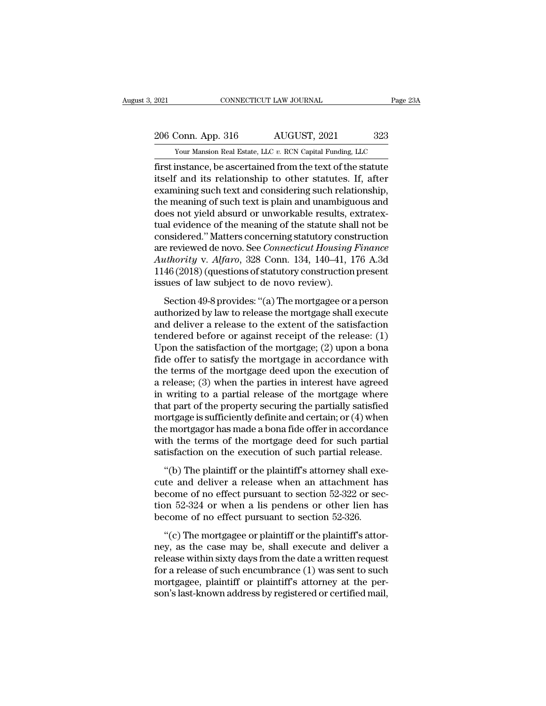External Estate, LLC *v.* RCN Capital Funding, LLC<br>Triangle Mansion Real Estate, LLC *v.* RCN Capital Funding, LLC<br>Tirst instance, be ascertained from the text of the statute First instance, be ascertained from the text of the statute<br>
itself and its relationship to other statutes. If, after<br>
are assembly to the statutes of the statute<br>
tiself and its relationship to other statutes. If, after<br> 206 Conn. App. 316 AUGUST, 2021 323<br>
Your Mansion Real Estate, LLC v. RCN Capital Funding, LLC<br>
first instance, be ascertained from the text of the statute<br>
itself and its relationship to other statutes. If, after<br>
examini 206 Conn. App. 316 AUGUST, 2021 323<br>
Your Mansion Real Estate, LLC v. RCN Capital Funding, LLC<br>
first instance, be ascertained from the text of the statute<br>
itself and its relationship to other statutes. If, after<br>
examin 206 Conn. App. 316  $\overline{AUGUST}$ , 2021  $\overline{a}$  323<br>
Your Mansion Real Estate, LLC v. RCN Capital Funding, LLC<br>
first instance, be ascertained from the text of the statute<br>
itself and its relationship to other statutes. If, Your Mansion Real Estate, LLC v. RCN Capital Funding, LLC<br>
first instance, be ascertained from the text of the statute<br>
itself and its relationship to other statutes. If, after<br>
examining such text and considering such rel Your Mansion Real Estate, LLC  $v$ . RCN Capital Funding, LLC<br>first instance, be ascertained from the text of the statute<br>itself and its relationship to other statutes. If, after<br>examining such text and considering such rel first instance, be ascertained from the text of the statute<br>itself and its relationship to other statutes. If, after<br>examining such text and considering such relationship,<br>the meaning of such text is plain and unambiguous itself and its relationship to other statutes. If, after<br>examining such text and considering such relationship,<br>the meaning of such text is plain and unambiguous and<br>does not yield absurd or unworkable results, extratex-<br>t examining such text and considering such relationship,<br>the meaning of such text is plain and unambiguous and<br>does not yield absurd or unworkable results, extratex-<br>tual evidence of the meaning of the statute shall not be<br>c the meaning of such text is plain and unambiguous and<br>does not yield absurd or unworkable results, extratex-<br>tual evidence of the meaning of the statute shall not be<br>considered." Matters concerning statutory construction<br>a does not yield absurd or unworkable results, e<br>tual evidence of the meaning of the statute shal<br>considered." Matters concerning statutory cons<br>are reviewed de novo. See *Connecticut Housing*.<br>Authority v. Alfaro, 328 Conn. is detection 49-8 provides: "(a) The mortgage or a person<br>thority v. Alfaro, 328 Conn. 134, 140–41, 176 A.3d<br>46 (2018) (questions of statutory construction present<br>sues of law subject to de novo review).<br>Section 49-8 provi are reviewed de novo. See *Connecticut Housing Finance*<br>Authority v. Alfaro, 328 Conn. 134, 140–41, 176 A.3d<br>1146 (2018) (questions of statutory construction present<br>issues of law subject to de novo review).<br>Section 49-8 p

Authority v. Alfaro, 328 Conn. 134, 140–41, 176 A.3d<br>1146 (2018) (questions of statutory construction present<br>issues of law subject to de novo review).<br>Section 49-8 provides: "(a) The mortgagee or a person<br>authorized by l Transform  $\frac{1}{2}$  is the relation of statutory construction present<br>issues of law subject to de novo review).<br>Section 49-8 provides: "(a) The mortgagee or a person<br>authorized by law to release the mortgage shall execute Example 1110 (2010) (questions of statisfact), construction present<br>issues of law subject to de novo review).<br>Section 49-8 provides: "(a) The mortgage or a person<br>authorized by law to release the mortgage shall execute<br>an Section 49-8 provides: "(a) The mortgagee or a person<br>authorized by law to release the mortgage shall execute<br>and deliver a release to the extent of the satisfaction<br>tendered before or against receipt of the release: (1)<br> Section 49-8 provides: "(a) The mortgagee or a person<br>authorized by law to release the mortgage shall execute<br>and deliver a release to the extent of the satisfaction<br>tendered before or against receipt of the release: (1)<br> authorized by law to release the mortgage shall execute<br>and deliver a release to the extent of the satisfaction<br>tendered before or against receipt of the release: (1)<br>Upon the satisfaction of the mortgage; (2) upon a bona<br> and deliver a release to the extent of the satisfaction<br>tendered before or against receipt of the release: (1)<br>Upon the satisfaction of the mortgage; (2) upon a bona<br>fide offer to satisfy the mortgage in accordance with<br>t tendered before or against receipt of the release:  $(1)$ <br>Upon the satisfaction of the mortgage;  $(2)$  upon a bona<br>fide offer to satisfy the mortgage in accordance with<br>the terms of the mortgage deed upon the execution of<br> Upon the satisfaction of the mortgage; (2) upon a bona<br>fide offer to satisfy the mortgage in accordance with<br>the terms of the mortgage deed upon the execution of<br>a release; (3) when the parties in interest have agreed<br>in fide offer to satisfy the mortgage in accordance with<br>the terms of the mortgage deed upon the execution of<br>a release; (3) when the parties in interest have agreed<br>in writing to a partial release of the mortgage where<br>that the terms of the mortgage deed upon the execution of<br>a release; (3) when the parties in interest have agreed<br>in writing to a partial release of the mortgage where<br>that part of the property securing the partially satisfied<br> a release; (3) when the parties in interest have agreed<br>in writing to a partial release of the mortgage where<br>that part of the property securing the partially satisfied<br>mortgage is sufficiently definite and certain; or (4) at part of the property securing the partially satisfied<br>at part of the property securing the partially satisfied<br>ortgage is sufficiently definite and certain; or  $(4)$  when<br>e mortgagor has made a bona fide offer in accor mortgage is sufficiently definite and certain; or  $(4)$  when<br>the mortgagor has made a bona fide offer in accordance<br>with the terms of the mortgage deed for such partial<br>satisfaction on the execution of such partial releas

the mortgage is summering, defined and section, or (1) when<br>the mortgagor has made a bona fide offer in accordance<br>with the terms of the mortgage deed for such partial<br>satisfaction on the execution of such partial release the mortgagor has made a bona had oner in accordance<br>with the terms of the mortgage deed for such partial<br>satisfaction on the execution of such partial release.<br>"(b) The plaintiff or the plaintiff's attorney shall exe-<br>cut satisfaction on the execution of such partial release.<br>
"(b) The plaintiff or the plaintiff's attorney shall execute and deliver a release when an attachment had<br>
become of no effect pursuant to section 52-322 or section "(b) The plaintiff or the plaintiff's attorney shall exert<br>te and deliver a release when an attachment has<br>come of no effect pursuant to section 52-322 or sec-<br>on 52-324 or when a lis pendens or other lien has<br>come of no The plant of the plant of statesting states care<br>cute and deliver a release when an attachment has<br>become of no effect pursuant to section 52-322 or sec-<br>tion 52-324 or when a lis pendens or other lien has<br>become of no ef

become of no effect pursuant to section 52-322 or section 52-324 or when a lis pendens or other lien has<br>become of no effect pursuant to section 52-326.<br>"(c) The mortgagee or plaintiff or the plaintiff's attor-<br>ney, as th become of no effect pursuant to section  $52 - 322$  of section  $52 - 324$  or when a lis pendens or other lien has become of no effect pursuant to section  $52-326$ .<br>"(c) The mortgagee or plaintiff or the plaintiff's attor-<br>ne become of no effect pursuant to section 52-326.<br>
"(c) The mortgagee or plaintiff or the plaintiff's attor-<br>
ney, as the case may be, shall execute and deliver a<br>
release within sixty days from the date a written request<br>
f  $\degree$  (c) The mortgagee or plaintiff or the plaintiff's attor-<br>ney, as the case may be, shall execute and deliver a<br>release within sixty days from the date a written request<br>for a release of such encumbrance (1) was sent t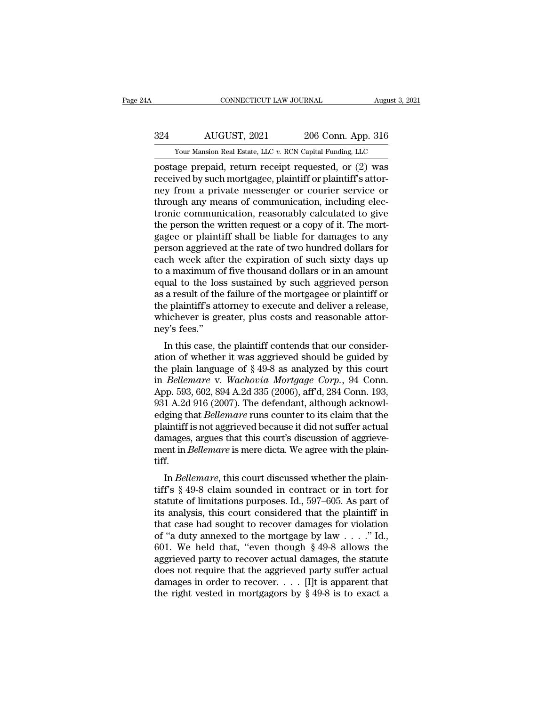# EXECUTE CONNECTICUT LAW JOURNAL August 3, 2021<br>324 AUGUST, 2021 206 Conn. App. 316<br>324 AUGUST, 2021 206 Conn. App. 316 CONNECTICUT LAW JOURNAL August 3, 2021<br>
204 AUGUST, 2021 206 Conn. App. 316<br>
Your Mansion Real Estate, LLC *v.* RCN Capital Funding, LLC<br>
postage prepaid, return receipt requested, or (2) was

FRAMEL CONNECTICUT LAW JOURNAL August 3, 2021<br>
206 Conn. App. 316<br>
Your Mansion Real Estate, LLC v. RCN Capital Funding, LLC<br>
postage prepaid, return receipt requested, or (2) was<br>
received by such mortgagee, plaintiff or Fig. 2021 206 Conn. App. 316<br>
Your Mansion Real Estate, LLC v. RCN Capital Funding, LLC<br>
postage prepaid, return receipt requested, or (2) was<br>
received by such mortgagee, plaintiff or plaintiff's attor-<br>
received any moon  $\frac{324}{N_{\text{our} \, \text{Mansion} \, \text{Real} \, \text{Extic, LLC } v. \, \text{RCN Capital Funding, LLC}}}$ <br>  $\frac{1}{N_{\text{power} \, \text{N, Capial} \, \text{Funding, LLC}}}$ <br>  $\frac{1}{N_{\text{power} \, \text{D}} \, \text{D}}$ <br>  $\frac{1}{N_{\text{error} \, \text{Cov}} \, \text{Cov}}$ <br>  $\frac{1}{N_{\text{error} \, \text{Cov}} \, \text{Cov}}$ <br>  $\frac{1}{N_{\text{error} \, \text{Cov}} \, \text{Cov$ through any means of communication, including elec-Your Mansion Real Estate, LLC  $v$ . RCN Capital Funding, LLC<br>postage prepaid, return receipt requested, or (2) was<br>received by such mortgagee, plaintiff or plaintiff's attor-<br>ney from a private messenger or courier service Your Mansion Real Estate, LLC v. RCN Capital Funding, LLC<br>postage prepaid, return receipt requested, or (2) was<br>received by such mortgagee, plaintiff or plaintiff's attor-<br>ney from a private messenger or courier service or postage prepaid, return receipt requested, or (2) was<br>received by such mortgagee, plaintiff or plaintiff's attor-<br>ney from a private messenger or courier service or<br>through any means of communication, including elec-<br>troni received by such mortgagee, plaintiff or plaintiff's attor-<br>ney from a private messenger or courier service or<br>through any means of communication, including elec-<br>tronic communication, reasonably calculated to give<br>the per ney from a private messenger or courier service or<br>through any means of communication, including elec-<br>tronic communication, reasonably calculated to give<br>the person the written request or a copy of it. The mort-<br>gagee or through any means of communication, including electronic communication, reasonably calculated to give<br>the person the written request or a copy of it. The mort-<br>gagee or plaintiff shall be liable for damages to any<br>person a tronic communication, reasonably calculated to give<br>the person the written request or a copy of it. The mort-<br>gagee or plaintiff shall be liable for damages to any<br>person aggrieved at the rate of two hundred dollars for<br>ea the person the written request or a copy of it. The mortgagee or plaintiff shall be liable for damages to any<br>person aggrieved at the rate of two hundred dollars for<br>each week after the expiration of such sixty days up<br>to gagee or plaintiff shall be liable for damages to any<br>person aggrieved at the rate of two hundred dollars for<br>each week after the expiration of such sixty days up<br>to a maximum of five thousand dollars or in an amount<br>equal person aggrieved at the rate of two hundred dollars for<br>each week after the expiration of such sixty days up<br>to a maximum of five thousand dollars or in an amount<br>equal to the loss sustained by such aggrieved person<br>as a r each week after<br>to a maximum o<br>equal to the los<br>as a result of the<br>the plaintiff's att<br>whichever is gre<br>ney's fees."<br>In this case, tl a maximum of five moussand donars of in an amount<br>ual to the loss sustained by such aggrieved person<br>a result of the failure of the mortgagee or plaintiff or<br>e plaintiff's attorney to execute and deliver a release,<br>nichev equal to the loss sustained by such aggrieved person<br>as a result of the failure of the mortgagee or plaintiff or<br>the plaintiff's attorney to execute and deliver a release,<br>whichever is greater, plus costs and reasonable at

as a result of the familie of the inortigagee of plaintiff of<br>the plaintiff's attorney to execute and deliver a release,<br>whichever is greater, plus costs and reasonable attor-<br>ney's fees."<br>In this case, the plaintiff cont In *Bellemare* is greater, plus costs and reasonable attor-<br>ney's fees."<br>In this case, the plaintiff contends that our consider-<br>ation of whether it was aggrieved should be guided by<br>the plain language of § 49-8 as analyze whichever is greater, plus costs and reasonable attorney's fees."<br>
In this case, the plaintiff contends that our consideration of whether it was aggrieved should be guided by<br>
the plain language of  $\S 49-8$  as analyzed by In this case, the plaintiff contends that our consideration of whether it was aggrieved should be guided by the plain language of § 49-8 as analyzed by this court in *Bellemare* v. *Wachovia Mortgage Corp.*, 94 Conn. App. In this case, the plaintiff contends that our consideration of whether it was aggrieved should be guided by the plain language of § 49-8 as analyzed by this court in *Bellemare* v. *Wachovia Mortgage Corp.*, 94 Conn. App. ation of whether it was aggrieved should be guided by<br>the plain language of § 49-8 as analyzed by this court<br>in *Bellemare* v. *Wachovia Mortgage Corp.*, 94 Conn.<br>App. 593, 602, 894 A.2d 335 (2006), aff'd, 284 Conn. 193,<br>9 the plain language of § 49-8 as analyzed by this court<br>in *Bellemare* v. *Wachovia Mortgage Corp.*, 94 Conn.<br>App. 593, 602, 894 A.2d 335 (2006), aff<sup>7</sup>d, 284 Conn. 193,<br>931 A.2d 916 (2007). The defendant, although acknowlin *Bellemare* v. *Wachovia Mortgage Corp.*, 94 Conn. App. 593, 602, 894 A.2d 335 (2006), aff'd, 284 Conn. 193, 931 A.2d 916 (2007). The defendant, although acknowledging that *Bellemare* runs counter to its claim that the tiff. I A.2d 910 (2007). The detendant, attributed margins that *Bellemare* runs counter to its claim that the aintiff is not aggrieved because it did not suffer actual mages, argues that this court's discussion of aggrieve-<br>ent Edging that *Dettemare* runs counter to its claim that the<br>plaintiff is not aggrieved because it did not suffer actual<br>damages, argues that this court's discussion of aggrieve-<br>ment in *Bellemare* is mere dicta. We agree w

plantif is not aggreved because it did not suffer actual<br>damages, argues that this court's discussion of aggrieve-<br>ment in *Bellemare* is mere dicta. We agree with the plain-<br>tiff.<br>In *Bellemare*, this court discussed whet dantages, argues that this court's discussion of aggreve-<br>ment in *Bellemare* is mere dicta. We agree with the plain-<br>tiff.<br>In *Bellemare*, this court discussed whether the plain-<br>tiff's  $\S$  49-8 claim sounded in contract In Bellemare is inere accustive agree with the plain-<br>tiff.<br>In Bellemare, this court discussed whether the plain-<br>tiff's § 49-8 claim sounded in contract or in tort for<br>statute of limitations purposes. Id., 597–605. As pa In Bellemare, this court discussed whether the plain-<br>tiff's  $\S$  49-8 claim sounded in contract or in tort for<br>statute of limitations purposes. Id., 597–605. As part of<br>its analysis, this court considered that the plainti In *Bellemare*, this court discussed whether the plaintiff's  $\S$  49-8 claim sounded in contract or in tort for statute of limitations purposes. Id., 597–605. As part of its analysis, this court considered that the plainti tiff's § 49-8 claim sounded in contract or in tort for<br>statute of limitations purposes. Id., 597–605. As part of<br>its analysis, this court considered that the plaintiff in<br>that case had sought to recover damages for violat statute of limitations purposes. Id., 597–605. As part of<br>its analysis, this court considered that the plaintiff in<br>that case had sought to recover damages for violation<br>of "a duty annexed to the mortgage by law . . . ." its analysis, this court considered that the plaintiff in<br>that case had sought to recover damages for violation<br>of "a duty annexed to the mortgage by law . . . ." Id.,<br>601. We held that, "even though § 49-8 allows the<br>agg that case had sought to recover damages for violation<br>of "a duty annexed to the mortgage by law . . . ." Id.,<br>601. We held that, "even though § 49-8 allows the<br>aggrieved party to recover actual damages, the statute<br>does n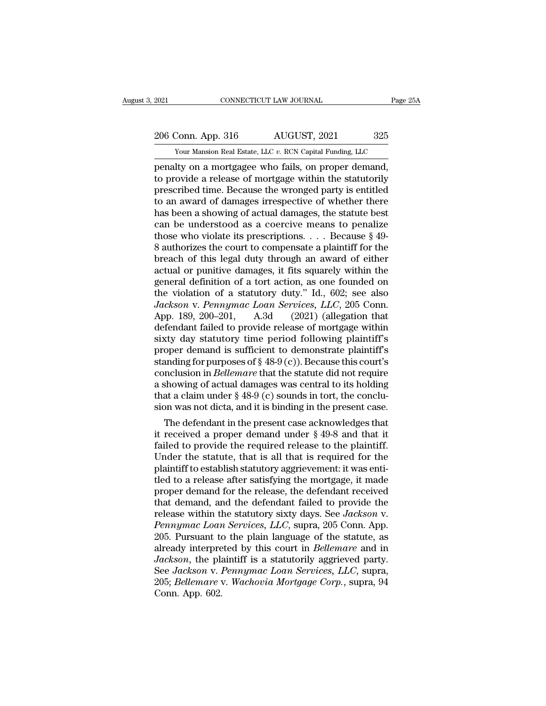# 2021 CONNECTICUT LAW JOURNAL Page 25A<br>206 Conn. App. 316 AUGUST, 2021 325<br>Your Mansion Real Estate, LLC v. RCN Capital Funding, LLC

The 2021 CONNECTICUT LAW JOURNAL Page 25A<br>
206 Conn. App. 316 AUGUST, 2021 325<br>
Your Mansion Real Estate, LLC *v.* RCN Capital Funding, LLC<br>
penalty on a mortgagee who fails, on proper demand, Page 2<br>
2006 Conn. App. 316 AUGUST, 2021 325<br>
2006 Conn. App. 316 AUGUST, 2021 325<br>
2007 Vour Mansion Real Estate, LLC v. RCN Capital Funding, LLC<br>
2011 penalty on a mortgagee who fails, on proper demand,<br>
2011 to provide 206 Conn. App. 316 AUGUST, 2021 325<br>
Your Mansion Real Estate, LLC v. RCN Capital Funding, LLC<br>
penalty on a mortgagee who fails, on proper demand,<br>
to provide a release of mortgage within the statutorily<br>
prescribed time. 206 Conn. App. 316 AUGUST, 2021 325<br>
Your Mansion Real Estate, LLC v. RCN Capital Funding, LLC<br>
penalty on a mortgagee who fails, on proper demand,<br>
to provide a release of mortgage within the statutorily<br>
prescribed time 206 Conn. App. 316  $\overline{AUGUST}$ , 2021  $\overline{325}$ <br>
Your Mansion Real Estate, LLC  $v$ . RCN Capital Funding, LLC<br>
penalty on a mortgagee who fails, on proper demand,<br>
to provide a release of mortgage within the statutorily<br>
pr From the state, LLC v. RCN Capital Funding, LLC<br>penalty on a mortgagee who fails, on proper demand,<br>to provide a release of mortgage within the statutorily<br>prescribed time. Because the wronged party is entitled<br>to an awar Your Mansion Real Estate, LLC  $v$ . RCN Capital Funding, LLC<br>penalty on a mortgagee who fails, on proper demand,<br>to provide a release of mortgage within the statutorily<br>prescribed time. Because the wronged party is entitle penalty on a mortgagee who fails, on proper demand,<br>to provide a release of mortgage within the statutorily<br>prescribed time. Because the wronged party is entitled<br>to an award of damages irrespective of whether there<br>has be to provide a release of mortgage within the statutorily<br>prescribed time. Because the wronged party is entitled<br>to an award of damages irrespective of whether there<br>has been a showing of actual damages, the statute best<br>can prescribed time. Because the wronged party is entitled<br>to an award of damages irrespective of whether there<br>has been a showing of actual damages, the statute best<br>can be understood as a coercive means to penalize<br>those wh to an award of damages irrespective of whether there<br>has been a showing of actual damages, the statute best<br>can be understood as a coercive means to penalize<br>those who violate its prescriptions. . . . Because § 49-<br>8 auth has been a showing of actual damages, the statute best<br>can be understood as a coercive means to penalize<br>those who violate its prescriptions. . . . Because § 49-<br>8 authorizes the court to compensate a plaintiff for the<br>br can be understood as a coercive means to penalize<br>those who violate its prescriptions.... Because § 49-<br>8 authorizes the court to compensate a plaintiff for the<br>breach of this legal duty through an award of either<br>actual those who violate its prescriptions. . . . Because § 49-8 authorizes the court to compensate a plaintiff for the breach of this legal duty through an award of either actual or punitive damages, it fits squarely within the 8 authorizes the court to compensate a plaintiff for the<br>breach of this legal duty through an award of either<br>actual or punitive damages, it fits squarely within the<br>general definition of a tort action, as one founded on<br> breach of this legal duty through an award of either<br>actual or punitive damages, it fits squarely within the<br>general definition of a tort action, as one founded on<br>the violation of a statutory duty." Id., 602; see also<br>Jac actual or punitive damages, it fits squarely within the<br>general definition of a tort action, as one founded on<br>the violation of a statutory duty." Id., 602; see also<br>Jackson v. Pennymac Loan Services, LLC, 205 Conn.<br>App. general definition of a tort action, as one founded on<br>the violation of a statutory duty." Id., 602; see also<br>Jackson v. Pennymac Loan Services, LLC, 205 Conn.<br>App. 189, 200–201, A.3d (2021) (allegation that<br>defendant fail the violation of a statutory duty." Id., 602; see also<br>
Jackson v. Pennymac Loan Services, LLC, 205 Conn.<br>
App. 189, 200–201, A.3d (2021) (allegation that<br>
defendant failed to provide release of mortgage within<br>
sixty day *Jackson v. Pennymac Loan Services, LLC,* 205 Conn.<br>App. 189, 200–201, A.3d (2021) (allegation that<br>defendant failed to provide release of mortgage within<br>sixty day statutory time period following plaintiff's<br>proper demand App. 189, 200–201, A.3d (2021) (allegation that<br>defendant failed to provide release of mortgage within<br>sixty day statutory time period following plaintiff's<br>proper demand is sufficient to demonstrate plaintiff's<br>standing defendant failed to provide release of mortgage within<br>sixty day statutory time period following plaintiff's<br>proper demand is sufficient to demonstrate plaintiff's<br>standing for purposes of § 48-9 (c)). Because this court' sixty day statutory time period following plaintiff's<br>proper demand is sufficient to demonstrate plaintiff's<br>standing for purposes of  $\S$  48-9 (c)). Because this court's<br>conclusion in *Bellemare* that the statute did not oper demand is sufficient to demonstrate plaintiffs<br>anding for purposes of § 48-9 (c)). Because this court's<br>nclusion in *Bellemare* that the statute did not require<br>showing of actual damages was central to its holding<br>at standing for purposes of  $\S$  48-9 (c)). Because this court's<br>conclusion in *Bellemare* that the statute did not require<br>a showing of actual damages was central to its holding<br>that a claim under  $\S$  48-9 (c) sounds in tort

conclusion in *Bettemare* that the statute did not require<br>a showing of actual damages was central to its holding<br>that a claim under  $\S$  48-9 (c) sounds in tort, the conclu-<br>sion was not dicta, and it is binding in the pr a showing or actual damages was central to its nolding<br>that a claim under  $\S 48-9$  (c) sounds in tort, the conclu-<br>sion was not dicta, and it is binding in the present case.<br>The defendant in the present case acknowledges that a claim under  $\S$  48-9 (c) sounds in tort, the conclusion was not dicta, and it is binding in the present case.<br>The defendant in the present case acknowledges that it received a proper demand under  $\S$  49-8 and that sion was not dicta, and it is binding in the present case.<br>
The defendant in the present case acknowledges that<br>
it received a proper demand under  $\S 49-8$  and that it<br>
failed to provide the required release to the plaint The defendant in the present case acknowledges that<br>it received a proper demand under  $\S$  49-8 and that it<br>failed to provide the required release to the plaintiff.<br>Under the statute, that is all that is required for the<br>p it received a proper demand under  $\S$  49-8 and that it failed to provide the required release to the plaintiff.<br>Under the statute, that is all that is required for the plaintiff to establish statutory aggrievement: it was failed to provide the required release to the plaintiff.<br>Under the statute, that is all that is required for the<br>plaintiff to establish statutory aggrievement: it was enti-<br>tled to a release after satisfying the mortgage, Under the statute, that is all that is required for the plaintiff to establish statutory aggrievement: it was enti-<br>tled to a release after satisfying the mortgage, it made<br>proper demand for the release, the defendant rece plaintiff to establish statutory aggrievement: it was enti-<br>tled to a release after satisfying the mortgage, it made<br>proper demand for the release, the defendant received<br>that demand, and the defendant failed to provide th tled to a release after satisfying the mortgage, it made<br>proper demand for the release, the defendant received<br>that demand, and the defendant failed to provide the<br>release within the statutory sixty days. See *Jackson* v.<br> proper demand for the release, the defendant received<br>that demand, and the defendant failed to provide the<br>release within the statutory sixty days. See *Jackson* v.<br>*Pennymac Loan Services*, *LLC*, supra, 205 Conn. App.<br>20 that demand, and the defendant failed to provide the release within the statutory sixty days. See *Jackson* v. *Pennymac Loan Services, LLC*, supra, 205 Conn. App. 205. Pursuant to the plain language of the statute, as alr release within the statutory sixty days. See *Jackson v.*<br>*Pennymac Loan Services, LLC*, supra, 205 Conn. App.<br>205. Pursuant to the plain language of the statute, as<br>already interpreted by this court in *Bellemare* and in<br> Pennymac Loan Services, LLC, supra, 205 Conn. App.<br>205. Pursuant to the plain language of the statute, as<br>already interpreted by this court in *Bellemare* and in<br>Jackson, the plaintiff is a statutorily aggrieved party.<br>See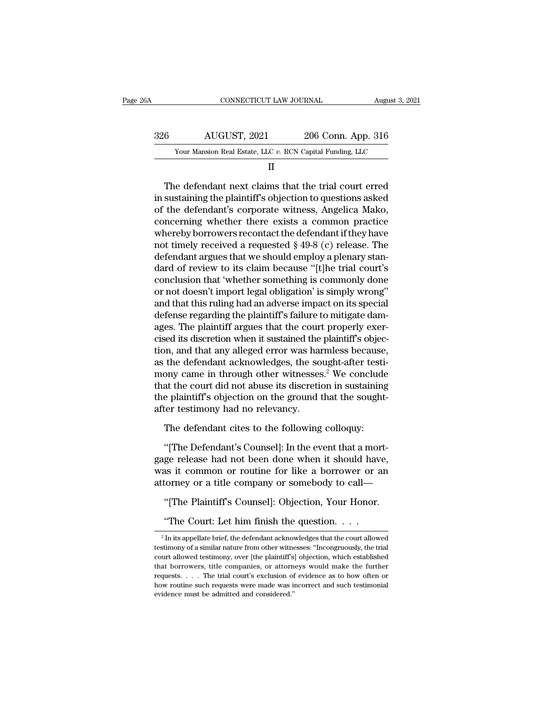| 26A | CONNECTICUT LAW JOURNAL                                   |                    | August 3, 2021 |
|-----|-----------------------------------------------------------|--------------------|----------------|
| 326 | AUGUST, 2021                                              | 206 Conn. App. 316 |                |
|     | Your Mansion Real Estate, LLC v. RCN Capital Funding, LLC |                    |                |
|     | Н                                                         |                    |                |

 $\frac{\text{AUGUST, 2021}}{\text{Your Mason Real Estate, LLC } v. \text{ RCN Capital Funding, LLC}}$ <br>
II<br>
The defendant next claims that the trial court erred<br>
in sustaining the plaintiff's objection to questions asked<br>
of the defendant's corporate witness, Angelica Mako,<br>
concer of the defendant's corporate witness, Angelica Mako, Your Mansion Real Estate, LLC  $v$ . RCN Capital Funding, LLC<br>
II<br>
The defendant next claims that the trial court erred<br>
in sustaining the plaintiff's objection to questions asked<br>
of the defendant's corporate witness, Ange II<br>In sustaining the plaintiff's objection to questions asked<br>of the defendant's corporate witness, Angelica Mako,<br>concerning whether there exists a common practice<br>whereby borrowers recontact the defendant if they have<br>n The defendant next claims that the trial court erred<br>in sustaining the plaintiff's objection to questions asked<br>of the defendant's corporate witness, Angelica Mako,<br>concerning whether there exists a common practice<br>whereby The defendant next claims that the trial court erred<br>in sustaining the plaintiff's objection to questions asked<br>of the defendant's corporate witness, Angelica Mako,<br>concerning whether there exists a common practice<br>whereby in sustaining the plaintiff's objection to questions asked<br>of the defendant's corporate witness, Angelica Mako,<br>concerning whether there exists a common practice<br>whereby borrowers recontact the defendant if they have<br>not t of the defendant's corporate witness, Angelica Mako,<br>concerning whether there exists a common practice<br>whereby borrowers recontact the defendant if they have<br>not timely received a requested § 49-8 (c) release. The<br>defendan concerning whether there exists a common practice<br>whereby borrowers recontact the defendant if they have<br>not timely received a requested § 49-8 (c) release. The<br>defendant argues that we should employ a plenary stan-<br>dard o whereby borrowers recontact the defendant if they have<br>not timely received a requested § 49-8 (c) release. The<br>defendant argues that we should employ a plenary stan-<br>dard of review to its claim because "[t]he trial court's not timely received a requested § 49-8 (c) release. The<br>defendant argues that we should employ a plenary stan-<br>dard of review to its claim because "[t]he trial court's<br>conclusion that 'whether something is commonly done<br>or defendant argues that we should employ a plenary standard of review to its claim because "[t]he trial court's conclusion that 'whether something is commonly done or not doesn't import legal obligation' is simply wrong" and dard of review to its claim because "[t]he trial court's<br>conclusion that 'whether something is commonly done<br>or not doesn't import legal obligation' is simply wrong"<br>and that this ruling had an adverse impact on its specia conclusion that 'whether something is commonly done<br>or not doesn't import legal obligation' is simply wrong"<br>and that this ruling had an adverse impact on its special<br>defense regarding the plaintiff's failure to mitigate d or not doesn't import legal obligation' is simply wrong"<br>and that this ruling had an adverse impact on its special<br>defense regarding the plaintiff's failure to mitigate dam-<br>ages. The plaintiff argues that the court proper and that this ruling had an adverse impact on its special<br>defense regarding the plaintiff's failure to mitigate dam-<br>ages. The plaintiff argues that the court properly exer-<br>cised its discretion when it sustained the plain defense regarding the plaintiff's failure to mitigate dam-<br>ages. The plaintiff argues that the court properly exer-<br>cised its discretion when it sustained the plaintiff's objec-<br>tion, and that any alleged error was harmles ages. The plaintiff argues that the court properly exercised its discretion when it sustained the plaintiff's objection, and that any alleged error was harmless because, as the defendant acknowledges, the sought-after test cised its discretion when it sustained the<br>tion, and that any alleged error was hai<br>as the defendant acknowledges, the so<br>mony came in through other witnesses<br>that the court did not abuse its discretic<br>the plaintiff's obje the defendant acknowledges, the sought-after testicany came in through other witnesses.<sup>2</sup> We conclude at the court did not abuse its discretion in sustaining e plaintiff's objection on the ground that the sought ter testi ony came in through other witnesses.<sup>5</sup> we conclude<br>at the court did not abuse its discretion in sustaining<br>e plaintiff's objection on the ground that the sought-<br>ter testimony had no relevancy.<br>The defendant cites to the

that the court did not abuse its discretion in sustaining<br>the plaintiff's objection on the ground that the sought-<br>after testimony had no relevancy.<br>The defendant cites to the following colloquy:<br>"[The Defendant's Counsel] the plaintin's objection on the ground that the sought-<br>after testimony had no relevancy.<br>The defendant cites to the following colloquy:<br>"[The Defendant's Counsel]: In the event that a mort-<br>gage release had not been done atter testimony had no retevantcy.<br>
The defendant cites to the following colloquy:<br>
"[The Defendant's Counsel]: In the event that a mortgage release had not been done when it should have,<br>
was it common or routine for like The detendant cites to the following conoquy:<br>
"[The Defendant's Counsel]: In the event that a mortge release had not been done when it should have,<br>
as it common or routine for like a borrower or an<br>
torney or a title com The Detendant s Counser]: In the event that a morge release had not been done when it should have as it common or routine for like a borrower or a torney or a title company or somebody to call—<br>"[The Plaintiff's Counsel]:

<sup>&</sup>quot;The Plaintiff's Counsel]: Objection, Your Honor.<br>"The Court: Let him finish the question...."<br>"In its appellate brief, the defendant acknowledges that the court allowed stimony of a similar nature from other witnesses: " "[The Plaintiff's Counsel]: Objection, Your Honor.<br>"The Court: Let him finish the question. . . .<br> $\frac{1}{2}$  In its appellate brief, the defendant acknowledges that the court allowed<br>testimony of a similar nature from othe "The Court: Let him finish the question. . . . .<br>"In its appellate brief, the defendant acknowledges that the court allowed testimony of a similar nature from other witnesses: "Incongruously, the trial court allowed testi "The Court: Let him finish the question. . . . .<br>
<sup>2</sup> In its appellate brief, the defendant acknowledges that the court allowed testimony of a similar nature from other witnesses: "Incongruously, the trial court allowed t The COUT. Let THIT IIIISIT the question. . . . .<br><sup>2</sup> In its appellate brief, the defendant acknowledges that the court allowed testimony of a similar nature from other witnesses: "Incongruously, the trial court's lought o <sup>2</sup> In its appellate brief, the defendant acknowledges that the court allowed testimony of a similar nature from other witnesses: "Incongruously, the trial court allowed testimony, over [the plaintiff's] objection, which testimony of a similar nature from other witnesses: "Incongruously, the trial court allowed testimony, over [the plaintiff's] objection, which established that borrowers, title companies, or attorneys would make the furth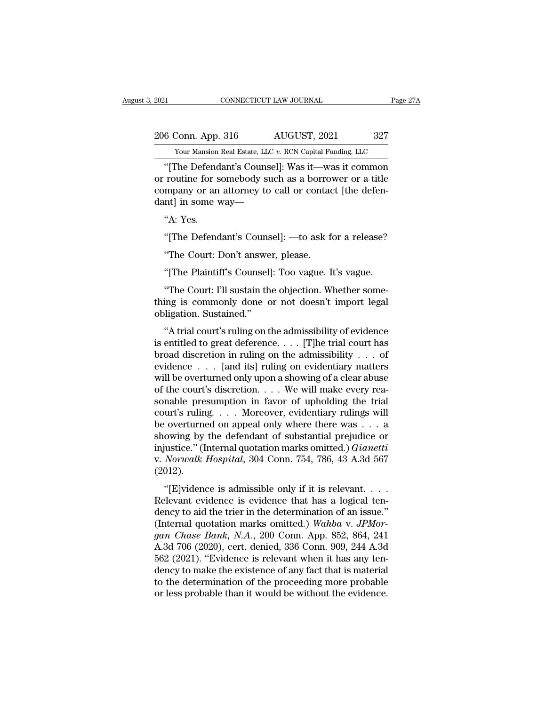2021 CONNECTICUT LAW JOURNAL Page 27A<br>206 Conn. App. 316 AUGUST, 2021 327<br>200 Your Mansion Real Estate, LLC v. RCN Capital Funding, LLC

External Estate, LLC *v.* RCN Capital Funding, LLC<br>
Your Mansion Real Estate, LLC *v.* RCN Capital Funding, LLC<br>
"The Defendant's Counsel]: Was it—was it common <sup>21</sup> CONNECTICUT LAW JOURNAL Page 27A<br>
6 Conn. App. 316 AUGUST, 2021 327<br>
<sup>27</sup> Your Mansion Real Estate, LLC v. RCN Capital Funding, LLC<br>
<sup>27</sup> The Defendant's Counsel]: Was it—was it common<br>
27 The Defendant's Counsel]: Wa 206 Conn. App. 316 AUGUST, 2021 327<br>
Your Mansion Real Estate, LLC v. RCN Capital Funding, LLC<br>
"[The Defendant's Counsel]: Was it—was it common<br>
or routine for somebody such as a borrower or a title<br>
company or an attorne 206 Conn. App. 316 AUGUST, 2021 327<br>
Your Mansion Real Estate, LLC v. RCN Capital Funding, LLC<br>
"[The Defendant's Counsel]: Was it—was it common<br>
or routine for somebody such as a borrower or a title<br>
company or an attorn 206 Conn. App. 316 AUGUST, 202<br>
Your Mansion Real Estate, LLC v. RCN Capital Fu<br>
"[The Defendant's Counsel]: Was it—way<br>
or routine for somebody such as a borror<br>
company or an attorney to call or contacteral in some way—<br> Your Mansion<br>
"[The Defend<br>
routine for s<br>
routine for s<br>
mpany or an<br>
mt] in some v<br>
"A: Yes.<br>
"[The Defend "[The Defendant's Counsel]: Was it—was it common<br>routine for somebody such as a borrower or a title<br>mpany or an attorney to call or contact [the defen-<br>nt] in some way—<br>"A: Yes.<br>"[The Defendant's Counsel]: —to ask for a re Touther for somebody start as a borround<br>
mpany or an attorney to call or contadered.<br>
"A: Yes.<br>
"The Defendant's Counsel]: —to ask for "The Court: Don't answer, please.<br>
"The Plaintiff's Counsel]: Too vague. I

nt] in some way—<br>"A: Yes.<br>"[The Defendant's Counsel]: —to ask for a release?<br>"The Court: Don't answer, please.<br>"[The Plaintiff's Counsel]: Too vague. It's vague.<br>"The Court: I'll sustain the objection. Whether some-"A: Yes.<br>"[The Defendant's Counsel]: —to ask for a release?<br>"The Court: Don't answer, please.<br>"[The Plaintiff's Counsel]: Too vague. It's vague.<br>"The Court: I'll sustain the objection. Whether some-<br>ing is commonly done or "[The Defendant's Counsel]: —to ask for a release?<br>"The Court: Don't answer, please.<br>"[The Plaintiff's Counsel]: Too vague. It's vague.<br>"The Court: I'll sustain the objection. Whether some-<br>thing is commonly done or not do "The Court: Don't answe<br>
"The Court: Don't answe<br>
"The Plaintiff's Counsel."<br>
"The Court: I'll sustain th<br>
thing is commonly done cobligation. Sustained."<br>
"A trial court's ruling on t "<br>
"The Plaintiff's Counsel]: Too vague. It's vague.<br>
"The Court: I'll sustain the objection. Whether some-<br>
ing is commonly done or not doesn't import legal<br>
ligation. Sustained."<br>"A trial court's ruling on the admissibil

"[The Plaintiff's Counsel]: Too vague. It's vague.<br>"The Court: I'll sustain the objection. Whether some-<br>thing is commonly done or not doesn't import legal<br>obligation. Sustained."<br>"A trial court's ruling on the admissibili "The Court: I'll sustain the objection. Whether some-<br>thing is commonly done or not doesn't import legal<br>obligation. Sustained."<br>"A trial court's ruling on the admissibility of evidence<br>is entitled to great deference.... Fine Solution. The substantial exploration. When the probability of evidence this entitled to great deference. . . . [T]he trial court has broad discretion in ruling on the admissibility . . . of evidence . . . . [and its while a columning to contain the distribution. Sustained."<br>
"A trial court's ruling on the admissibility of evidence<br>
is entitled to great deference.... [T]he trial court has<br>
broad discretion in ruling on the admissibili "A trial court's ruling on the admissibility of evidence<br>is entitled to great deference.... [T]he trial court has<br>broad discretion in ruling on the admissibility ... of<br>evidence ... [and its] ruling on evidentiary matters "A trial court's ruling on the admissibility of evidence<br>is entitled to great deference.... [T]he trial court has<br>broad discretion in ruling on the admissibility ... of<br>evidence ... [and its] ruling on evidentiary matters is entitled to great deference. . . . [T]he trial court has<br>broad discretion in ruling on the admissibility . . . of<br>evidence . . . [and its] ruling on evidentiary matters<br>will be overturned only upon a showing of a clear broad discretion in ruling on the admissibility . . . of<br>evidence . . . [and its] ruling on evidentiary matters<br>will be overturned only upon a showing of a clear abuse<br>of the court's discretion. . . . We will make every r evidence . . . . [and its] ruling on evidentiary matters<br>will be overturned only upon a showing of a clear abuse<br>of the court's discretion. . . . We will make every rea-<br>sonable presumption in favor of upholding the trial will be overturned only upon a showing of a clear abuse<br>of the court's discretion. . . . We will make every rea-<br>sonable presumption in favor of upholding the trial<br>court's ruling. . . . Moreover, evidentiary rulings will<br> of the court's discretion. . . . We will make every reasonable presumption in favor of upholding the trial court's ruling. . . . Moreover, evidentiary rulings will be overturned on appeal only where there was . . . a showi (2012). the coverturned on appeal only where there was  $\dots$  a<br>
owing by the defendant of substantial prejudice or<br>
justice." (Internal quotation marks omitted.) *Gianetti*<br> *Norwalk Hospital*, 304 Conn. 754, 786, 43 A.3d 567<br>
012 Be overtained on appear only where after was  $\therefore$  a showing by the defendant of substantial prejudice or injustice." (Internal quotation marks omitted.) *Gianetti* v. *Norwalk Hospital*, 304 Conn. 754, 786, 43 A.3d 567 (

injustice." (Internal quotation marks omitted.) *Gianetti*<br>v. *Norwalk Hospital*, 304 Conn. 754, 786, 43 A.3d 567<br>(2012).<br>"[E]vidence is admissible only if it is relevant....<br>Relevant evidence is evidence that has a logic myasace. (*Internal quotation marks omitted.) Journanty*<br>v. *Norwalk Hospital*, 304 Conn. 754, 786, 43 A.3d 567<br>(2012).<br>"[E]vidence is admissible only if it is relevant....<br>Relevant evidence is evidence that has a logical *gan Chase Bank, N.A.*, 200 Conn.  $104$ , 100, 40 *A.5d 561*<br>*gancy to aid the trier in the determination of an issue."*<br>(Internal quotation marks omitted.) *Wahba v. JPMorgan Chase Bank, N.A.*, 200 Conn. App. 852, 864, 24 "[E]vidence is admissible only if it is relevant. . . . .<br>Relevant evidence is evidence that has a logical tendency to aid the trier in the determination of an issue."<br>(Internal quotation marks omitted.) Wahba v. JPMor-<br>g "[E]vidence is admissible only if it is relevant. . . . Relevant evidence is evidence that has a logical ten-<br>dency to aid the trier in the determination of an issue."<br>(Internal quotation marks omitted.) Wahba v. JPMor-<br>g Relevant evidence is evidence that has a logical tendency to aid the trier in the determination of an issue."<br>(Internal quotation marks omitted.) Wahba v. JPMor-<br>gan Chase Bank, N.A., 200 Conn. App. 852, 864, 241<br>A.3d 706 dency to aid the trier in the determination of an issue."<br>(Internal quotation marks omitted.) Wahba v. JPMor-<br>gan Chase Bank, N.A., 200 Conn. App. 852, 864, 241<br>A.3d 706 (2020), cert. denied, 336 Conn. 909, 244 A.3d<br>562 ( (Internal quotation marks omitted.) Wahba v. JPMorgan Chase Bank, N.A., 200 Conn. App. 852, 864, 241 A.3d 706 (2020), cert. denied, 336 Conn. 909, 244 A.3d 562 (2021). "Evidence is relevant when it has any tendency to mak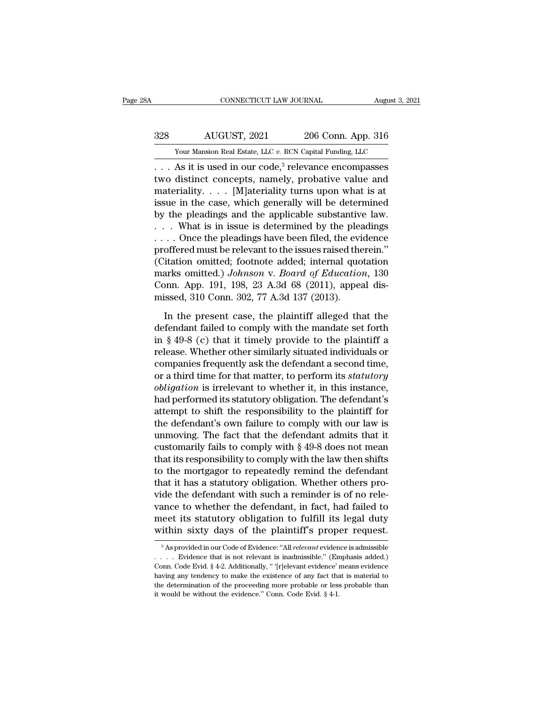# EXECUTE CONNECTICUT LAW JOURNAL August 3, 2021<br>328 AUGUST, 2021 206 Conn. App. 316<br>329 Your Mansion Real Estate, LLC v. RCN Capital Funding, LLC CONNECTICUT LAW JOURNAL August 3, 2021<br>  $\frac{328}{100}$  AUGUST, 2021 206 Conn. App. 316<br>
Your Mansion Real Estate, LLC *v.* RCN Capital Funding, LLC<br>
. . . As it is used in our code,<sup>3</sup> relevance encompasses

CONNECTICUT LAW JOURNAL August 3, 2021<br>
206 Conn. App. 316<br>
Your Mansion Real Estate, LLC v. RCN Capital Funding, LLC<br>
... As it is used in our code,<sup>3</sup> relevance encompasses<br>
two distinct concepts, namely, probative value  $\begin{array}{lll} \text{AUGUST, 2021} & \text{206 Conn. App. 316} \ \text{Your Mansion Real Estate, LLC } v. RCN Capital Funding, LLC \ \dots & \text{As it is used in our code,<sup>3</sup> relevance encompasses two distinct concepts, namely, probabilistic value and materiality. . . [M] afteriality turns upon what is at issue in the case, which generally will be determined.$ 328 AUGUST, 2021 206 Conn. App. 316<br>
Your Mansion Real Estate, LLC v. RCN Capital Funding, LLC<br>
... As it is used in our code,<sup>3</sup> relevance encompasses<br>
two distinct concepts, namely, probative value and<br>
materiality .... 328 AUGUST, 2021 206 Conn. App. 316<br>
Your Mansion Real Estate, LLC v. RCN Capital Funding, LLC<br>
... As it is used in our code,<sup>3</sup> relevance encompasses<br>
two distinct concepts, namely, probative value and<br>
materiality.... Four Mansion Real Estate, LLC v. RCN Capital Funding, LLC<br>
... As it is used in our code,<sup>3</sup> relevance encompasses<br>
two distinct concepts, namely, probative value and<br>
materiality.... [M]ateriality turns upon what is at<br> Four mansion ideal estate, ELC v. RCN Capital Funding, ELC<br>
... As it is used in our code,<sup>3</sup> relevance encompasses<br>
two distinct concepts, namely, probative value and<br>
materiality.... [M]ateriality turns upon what is at<br> . . . As it is used in our code,<sup>3</sup> relevance encompasses<br>two distinct concepts, namely, probative value and<br>materiality. . . . [M]ateriality turns upon what is at<br>issue in the case, which generally will be determined<br>by two distinct concepts, namely, probative value and<br>materiality.... [M]ateriality turns upon what is at<br>issue in the case, which generally will be determined<br>by the pleadings and the applicable substantive law.<br>... What is materiality.... [M]ateriality turns upon what is at<br>issue in the case, which generally will be determined<br>by the pleadings and the applicable substantive law.<br>... What is in issue is determined by the pleadings<br>... Once t issue in the case, which generally will be determined<br>by the pleadings and the applicable substantive law.<br> $\ldots$  What is in issue is determined by the pleadings<br> $\ldots$  Once the pleadings have been filed, the evidence<br>proff by the pleadings and the applicable substantive law.<br>  $\ldots$  What is in issue is determined by the pleadings<br>  $\ldots$  Once the pleadings have been filed, the evidence<br>
proffered must be relevant to the issues raised therein. ... What is in issue is determined by the plea<br>... Once the pleadings have been filed, the evi<br>proffered must be relevant to the issues raised the<br>(Citation omitted; footnote added; internal quo<br>marks omitted.) Johnson v. % offered must be relevant to the issues raised therein."<br>
itation omitted; footnote added; internal quotation<br>
arks omitted.) Johnson v. Board of Education, 130<br>
bonn. App. 191, 198, 23 A.3d 68 (2011), appeal dis-<br>
issed (Citation omitted; footnote added; internal quotation<br>marks omitted.) *Johnson v. Board of Education*, 130<br>Conn. App. 191, 198, 23 A.3d 68 (2011), appeal dis-<br>missed, 310 Conn. 302, 77 A.3d 137 (2013).<br>In the present case

marks omitted.) Johnson v. Board of Education, 130<br>Conn. App. 191, 198, 23 A.3d 68 (2011), appeal dis-<br>missed, 310 Conn. 302, 77 A.3d 137 (2013).<br>In the present case, the plaintiff alleged that the<br>defendant failed to com Conn. App. 191, 198, 23 A.3d 68 (2011), appeal dis-<br>missed, 310 Conn. 302, 77 A.3d 137 (2013).<br>In the present case, the plaintiff alleged that the<br>defendant failed to comply with the mandate set forth<br>in § 49-8 (c) that i missed, 310 Conn. 302, 77 A.3d 137 (2013).<br>
In the present case, the plaintiff alleged that the<br>
defendant failed to comply with the mandate set forth<br>
in § 49-8 (c) that it timely provide to the plaintiff a<br>
release. Whe In the present case, the plaintiff alleged that the<br>defendant failed to comply with the mandate set forth<br>in § 49-8 (c) that it timely provide to the plaintiff a<br>release. Whether other similarly situated individuals or<br>com In the present case, the plaintiff alleged that the<br>defendant failed to comply with the mandate set forth<br>in § 49-8 (c) that it timely provide to the plaintiff a<br>release. Whether other similarly situated individuals or<br>com defendant failed to comply with the mandate set forth<br>in § 49-8 (c) that it timely provide to the plaintiff a<br>release. Whether other similarly situated individuals or<br>companies frequently ask the defendant a second time,<br>o in § 49-8 (c) that it timely provide to the plaintiff a<br>release. Whether other similarly situated individuals or<br>companies frequently ask the defendant a second time,<br>or a third time for that matter, to perform its *statu* release. Whether other similarly situated individuals or<br>companies frequently ask the defendant a second time,<br>or a third time for that matter, to perform its *statutory*<br>obligation is irrelevant to whether it, in this ins companies frequently ask the defendant a second time,<br>or a third time for that matter, to perform its *statutory*<br>*obligation* is irrelevant to whether it, in this instance,<br>had performed its statutory obligation. The def or a third time for that matter, to perform its *statutory*<br>cobligation is irrelevant to whether it, in this instance,<br>had performed its statutory obligation. The defendant's<br>attempt to shift the responsibility to the pla *obligation* is irrelevant to whether it, in this instance,<br>had performed its statutory obligation. The defendant's<br>attempt to shift the responsibility to the plaintiff for<br>the defendant's own failure to comply with our l had performed its statutory obligation. The defendant's<br>attempt to shift the responsibility to the plaintiff for<br>the defendant's own failure to comply with our law is<br>unmoving. The fact that the defendant admits that it<br>cu attempt to shift the responsibility to the plaintiff for<br>the defendant's own failure to comply with our law is<br>unmoving. The fact that the defendant admits that it<br>customarily fails to comply with § 49-8 does not mean<br>that the defendant's own failure to comply with our law is<br>unmoving. The fact that the defendant admits that it<br>customarily fails to comply with § 49-8 does not mean<br>that its responsibility to comply with the law then shifts<br>to unmoving. The fact that the defendant admits that it<br>customarily fails to comply with  $\S$  49-8 does not mean<br>that its responsibility to comply with the law then shifts<br>to the mortgagor to repeatedly remind the defendant<br>t customarily fails to comply with § 49-8 does not mean<br>that its responsibility to comply with the law then shifts<br>to the mortgagor to repeatedly remind the defendant<br>that it has a statutory obligation. Whether others pro-<br>v that its responsibility to comply with the law then shifts<br>to the mortgagor to repeatedly remind the defendant<br>that it has a statutory obligation. Whether others pro-<br>vide the defendant with such a reminder is of no rele-<br> de the defendant with such a reminder is of no rele-<br>ance to whether the defendant, in fact, had failed to<br>leet its statutory obligation to fulfill its legal duty<br>ithin sixty days of the plaintiff's proper request.<br><sup>3</sup>As p vance to whether the defendant, in fact, had failed to<br>meet its statutory obligation to fulfill its legal duty<br>within sixty days of the plaintiff's proper request.<br> $\frac{1}{3}$ Asprovided in our Code of Evidence: "All *releva* 

meet its statutory obligation to fulfill its legal duty<br>within sixty days of the plaintiff's proper request.<br><sup>3</sup>Asprovided in our Code of Evidence: "All *relevant* evidence is admissible<br>... Evidence that is not relevant i within sixty days of the plaintiff's proper request.<br>
<sup>3</sup> As provided in our Code of Evidence: "All *relevant* evidence is admissible<br>  $\ldots$  Evidence that is not relevant is inadmissible." (Emphasis added.)<br>
Conn. Code Ev As provided in our Code of Evidence: "All *relevant* evidence is admissible  $\ldots$ . Evidence that is not relevant is inadmissible." (Emphasis added.)<br>Conn. Code Evid. § 4-2. Additionally, " [r]elevant evidence' means evide <sup>3</sup> As provided in our Code of Evidence: "All *relevant* evidence... Evidence that is not relevant is inadmissible." (En Conn. Code Evid. § 4-2. Additionally, "'[r]elevant evidence' having any tendency to make the existen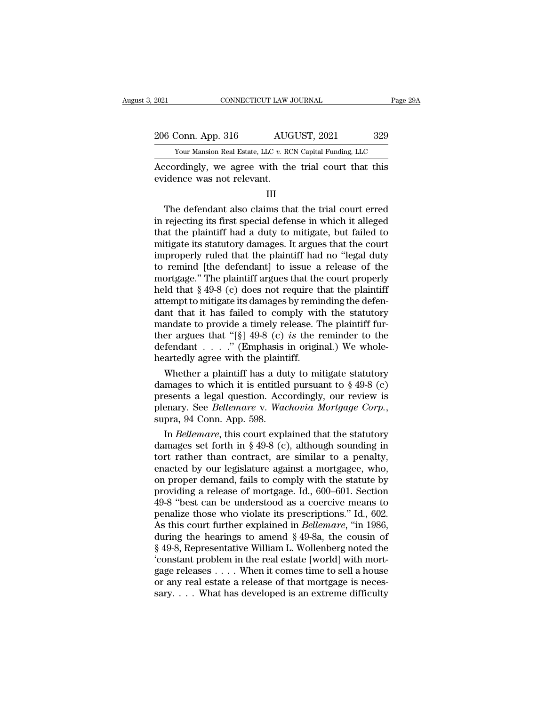2021 CONNECTICUT LAW JOURNAL Page 29A<br>206 Conn. App. 316 AUGUST, 2021 329<br>206 Vour Mansion Real Estate, LLC v. RCN Capital Funding, LLC The 2021 CONNECTICUT LAW JOURNAL Page 29A<br>
206 Conn. App. 316 AUGUST, 2021 329<br>
Your Mansion Real Estate, LLC *v.* RCN Capital Funding, LLC<br>
Accordingly, we agree with the trial court that this

EXECTIVE 2021 CONNECTICUT LAW JOURNAL Page 29A<br>
206 Conn. App. 316 AUGUST, 2021 329<br>
Your Mansion Real Estate, LLC v. RCN Capital Funding, LLC<br>
Accordingly, we agree with the trial court that this<br>
evidence was not relevan 206 Conn. App. 316 AUG<br>
Your Mansion Real Estate, LLC v. RC<br>
Accordingly, we agree with the<br>
evidence was not relevant.

III

 $\frac{1}{2}$   $\frac{1}{2}$   $\frac{1}{2}$   $\frac{1}{2}$   $\frac{1}{2}$   $\frac{1}{2}$   $\frac{1}{2}$   $\frac{1}{2}$   $\frac{1}{2}$   $\frac{1}{2}$   $\frac{1}{2}$   $\frac{1}{2}$   $\frac{1}{2}$   $\frac{1}{2}$   $\frac{1}{2}$   $\frac{1}{2}$   $\frac{1}{2}$   $\frac{1}{2}$   $\frac{1}{2}$   $\frac{1}{2}$   $\frac{1}{2}$   $\frac{1}{2}$  From Mansion Real Estate, LLC v. RCN Capital Funding, LLC<br>
Accordingly, we agree with the trial court that this<br>
evidence was not relevant.<br>
III<br>
The defendant also claims that the trial court erred<br>
in rejecting its firs Accordingly, we agree with the trial court that this<br>evidence was not relevant.<br>III<br>The defendant also claims that the trial court erred<br>in rejecting its first special defense in which it alleged<br>that the plaintiff had a d mitted in the status was not relevant.<br>
III<br>
The defendant also claims that the trial court erred<br>
in rejecting its first special defense in which it alleged<br>
that the plaintiff had a duty to mitigate, but failed to<br>
mitig III<br>III<br>The defendant also claims that the trial court erred<br>in rejecting its first special defense in which it alleged<br>that the plaintiff had a duty to mitigate, but failed to<br>mitigate its statutory damages. It argues tha The defendant also claims that the trial court erred<br>in rejecting its first special defense in which it alleged<br>that the plaintiff had a duty to mitigate, but failed to<br>mitigate its statutory damages. It argues that the c The defendant also claims that the trial court erred<br>in rejecting its first special defense in which it alleged<br>that the plaintiff had a duty to mitigate, but failed to<br>mitigate its statutory damages. It argues that the c in rejecting its first special defense in which it alleged<br>that the plaintiff had a duty to mitigate, but failed to<br>mitigate its statutory damages. It argues that the court<br>improperly ruled that the plaintiff had no "legal that the plaintiff had a duty to mitigate, but failed to<br>mitigate its statutory damages. It argues that the court<br>improperly ruled that the plaintiff had no "legal duty<br>to remind [the defendant] to issue a release of the<br>m mitigate its statutory damages. It argues that the court<br>improperly ruled that the plaintiff had no "legal duty<br>to remind [the defendant] to issue a release of the<br>mortgage." The plaintiff argues that the court properly<br>h improperly ruled that the plaintiff had no "legal duty<br>to remind [the defendant] to issue a release of the<br>mortgage." The plaintiff argues that the court properly<br>held that  $\S 49-8$  (c) does not require that the plaintiff to remind [the defendant] to issue a release of the<br>mortgage." The plaintiff argues that the court properly<br>held that  $\S 49-8$  (c) does not require that the plaintiff<br>attempt to mitigate its damages by reminding the defen mortgage." The plaintiff argues that the court properly<br>held that  $\S$  49-8 (c) does not require that the plaintiff<br>attempt to mitigate its damages by reminding the defen-<br>dant that it has failed to comply with the statuto held that  $\S$  49-8 (c) does not require the attempt to mitigate its damages by remindant that it has failed to comply with mandate to provide a timely release. Ther argues that "[ $\S$ ] 49-8 (c) *is* the r defendant . . . . tempt to mitigate its damages by reminding the defen-<br>nt that it has failed to comply with the statutory<br>andate to provide a timely release. The plaintiff fur-<br>er argues that "[§] 49-8 (c) *is* the reminder to the<br>fendant dant that it has failed to comply with the statutory<br>mandate to provide a timely release. The plaintiff fur-<br>ther argues that "[§] 49-8 (c) *is* the reminder to the<br>defendant . . . . " (Emphasis in original.) We whole-<br>he

mandate to provide a timely release. The plaintiff fur-<br>ther argues that "[§] 49-8 (c) *is* the reminder to the<br>defendant . . . . ." (Emphasis in original.) We whole-<br>heartedly agree with the plaintiff.<br>Whether a plaintif ther argues that "[§] 49-8 (c) *is* the reminder to the defendant . . . ." (Emphasis in original.) We whole-<br>heartedly agree with the plaintiff.<br>Whether a plaintiff has a duty to mitigate statutory<br>damages to which it is Whether a plaintiff has a duty to mitigate statutory<br>mages to which it is entitled pursuant to § 49-8 (c)<br>esents a legal question. Accordingly, our review is<br>enary. See *Bellemare* v. *Wachovia Mortgage Corp.*,<br>pra, 94 Con Whether a plaintiff has a duty to mitigate statutory<br>damages to which it is entitled pursuant to § 49-8 (c)<br>presents a legal question. Accordingly, our review is<br>plenary. See *Bellemare* v. *Wachovia Mortgage Corp.*,<br>supr

damages to which it is entitled pursuant to  $\S$  49-8 (c)<br>presents a legal question. Accordingly, our review is<br>plenary. See *Bellemare* v. Wachovia Mortgage Corp.,<br>supra, 94 Conn. App. 598.<br>In *Bellemare*, this court expl presents a legal question. Accordingly, our review is<br>plenary. See *Bellemare* v. Wachovia Mortgage Corp.,<br>supra, 94 Conn. App. 598.<br>In *Bellemare*, this court explained that the statutory<br>damages set forth in § 49-8 (c), plenary. See *Bellemare* v. *Wachovia Mortgage Corp.*,<br>supra, 94 Conn. App. 598.<br>In *Bellemare*, this court explained that the statutory<br>damages set forth in § 49-8 (c), although sounding in<br>tort rather than contract, are supra, 94 Conn. App. 598.<br>
In *Bellemare*, this court explained that the statutory<br>
damages set forth in § 49-8 (c), although sounding in<br>
tort rather than contract, are similar to a penalty,<br>
enacted by our legislature a In *Bellemare*, this court explained that the statutory<br>damages set forth in § 49-8 (c), although sounding in<br>tort rather than contract, are similar to a penalty,<br>enacted by our legislature against a mortgagee, who,<br>on pr damages set forth in § 49-8 (c), although sounding in<br>tort rather than contract, are similar to a penalty,<br>enacted by our legislature against a mortgagee, who,<br>on proper demand, fails to comply with the statute by<br>providi tort rather than contract, are similar to a penalty,<br>enacted by our legislature against a mortgagee, who,<br>on proper demand, fails to comply with the statute by<br>providing a release of mortgage. Id., 600–601. Section<br>49-8 "b enacted by our legislature against a mortgagee, who,<br>on proper demand, fails to comply with the statute by<br>providing a release of mortgage. Id., 600–601. Section<br>49-8 "best can be understood as a coercive means to<br>penaliz % on proper demand, fails to comply with the statute by<br>providing a release of mortgage. Id., 600–601. Section<br>49-8 "best can be understood as a coercive means to<br>penalize those who violate its prescriptions." Id., 602.<br>A providing a release of mortgage. Id., 600–601. Section 49-8 "best can be understood as a coercive means to penalize those who violate its prescriptions." Id., 602. As this court further explained in *Bellemare*, "in 1986, 49-8 "best can be understood as a coercive means to<br>penalize those who violate its prescriptions." Id., 602.<br>As this court further explained in *Bellemare*, "in 1986,<br>during the hearings to amend  $\S$  49-8a, the cousin of<br> penalize those who violate its prescriptions." Id., 602.<br>As this court further explained in *Bellemare*, "in 1986,<br>during the hearings to amend § 49-8a, the cousin of<br>§ 49-8, Representative William L. Wollenberg noted the As this court further explained in *Bellemare*, "in 1986, during the hearings to amend  $\S$  49-8a, the cousin of  $\S$  49-8, Representative William L. Wollenberg noted the 'constant problem in the real estate [world] with mo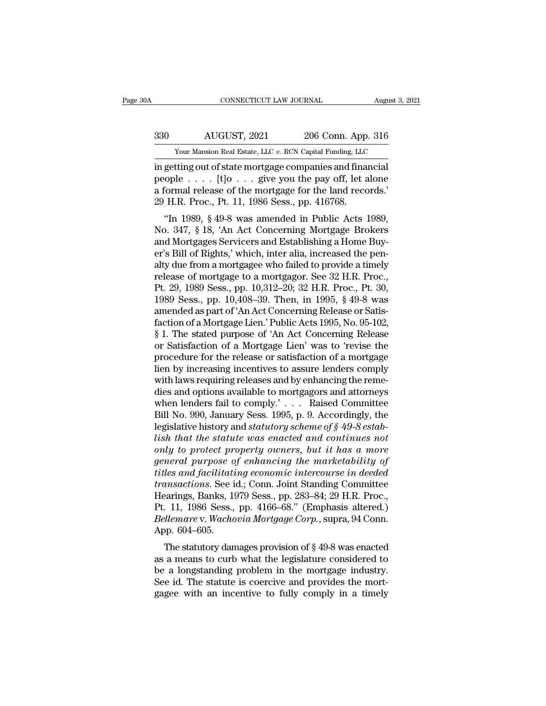# EXECUTE CONNECTICUT LAW JOURNAL August 3, 2021<br>330 AUGUST, 2021 206 Conn. App. 316<br>330 AUGUST, 2021 206 Conn. App. 316 CONNECTICUT LAW JOURNAL August 3, 2021<br>  $\frac{330}{\text{Your Mason Real Estimate, LLC } v. \text{ RCN Capital Funding, LLC}}$ <br>
in getting out of state mortgage companies and financial

CONNECTICUT LAW JOURNAL August 3, 20<br>
330 AUGUST, 2021 206 Conn. App. 316<br>
Your Mansion Real Estate, LLC v. RCN Capital Funding, LLC<br>
in getting out of state mortgage companies and financial<br>
people . . . . [t]0 . . . give 330 AUGUST, 2021 206 Conn. App. 316<br>
Your Mansion Real Estate, LLC v. RCN Capital Funding, LLC<br>
in getting out of state mortgage companies and financial<br>
people . . . . [t]o . . . give you the pay off, let alone<br>
a formal 330 AUGUST, 2021 206 Conn. App. 316<br>
Your Mansion Real Estate, LLC v. RCN Capital Funding, LLC<br>
in getting out of state mortgage companies and financial<br>
people . . . . [t]o . . . give you the pay off, let alone<br>
a formal  $\frac{2030}{200}$  AUGUST, 2021 206 Conn. App.<br>
Your Mansion Real Estate, LLC v. RCN Capital Funding, LLC<br>
in getting out of state mortgage companies and final<br>
people . . . . [t]o . . . give you the pay off, let a<br>
a formal Your Mansion Real Estate, LLC  $v$ . RCN Capital Funding, LLC<br>getting out of state mortgage companies and financial<br>ople  $\ldots$ . [t] $o \ldots$  give you the pay off, let alone<br>formal release of the mortgage for the land records.' in getting out of state mortgage companies and financial<br>people  $\ldots$ . [t]0  $\ldots$  give you the pay off, let alone<br>a formal release of the mortgage for the land records.'<br>29 H.R. Proc., Pt. 11, 1986 Sess., pp. 416768.<br>"In

In getting out of state mortgage companies and mianciar<br>people . . . . [t]o . . . give you the pay off, let alone<br>a formal release of the mortgage for the land records.'<br>29 H.R. Proc., Pt. 11, 1986 Sess., pp. 416768.<br>"In 1 people  $\ldots$  [ $U_0 \ldots$  give you the pay off, i.et alone<br>a formal release of the mortgage for the land records.'<br>29 H.R. Proc., Pt. 11, 1986 Sess., pp. 416768.<br>"In 1989, § 49-8 was amended in Public Acts 1989,<br>No. 347, § 1 a formal refease of the inortgage for the failure<br>29 H.R. Proc., Pt. 11, 1986 Sess., pp. 416768.<br>
"In 1989, § 49-8 was amended in Public Acts 1989,<br>
No. 347, § 18, 'An Act Concerning Mortgage Brokers<br>
and Mortgages Servic 29 H.R. 110C., 1 L. 11, 1980 Sess., pp. 410706.<br>
"In 1989, § 49-8 was amended in Public Acts 1989,<br>
No. 347, § 18, 'An Act Concerning Mortgage Brokers<br>
and Mortgages Servicers and Establishing a Home Buy-<br>
er's Bill of Ri "In 1989, § 49-8 was amended in Public Acts 1989,<br>No. 347, § 18, 'An Act Concerning Mortgage Brokers<br>and Mortgages Servicers and Establishing a Home Buy-<br>er's Bill of Rights,' which, inter alia, increased the pen-<br>alty du No. 347, § 18, 'An Act Concerning Mortgage Brokers<br>and Mortgages Servicers and Establishing a Home Buy-<br>er's Bill of Rights,' which, inter alia, increased the pen-<br>alty due from a mortgagee who failed to provide a timely<br>r and Mortgages Servicers and Establishing a Home Buy-<br>er's Bill of Rights,' which, inter alia, increased the pen-<br>alty due from a mortgagee who failed to provide a timely<br>release of mortgage to a mortgagor. See 32 H.R. Proc er's Bill of Rights,' which, inter alia, increased the penalty due from a mortgagee who failed to provide a timely<br>release of mortgage to a mortgagor. See 32 H.R. Proc.,<br>Pt. 29, 1989 Sess., pp. 10,312–20; 32 H.R. Proc., Pt alty due from a mortgagee who failed to provide a timely<br>release of mortgage to a mortgagor. See 32 H.R. Proc.,<br>Pt. 29, 1989 Sess., pp. 10,312–20; 32 H.R. Proc., Pt. 30,<br>1989 Sess., pp. 10,408–39. Then, in 1995, § 49-8 was release of mortgage to a mortgagor. See 32 H.R. Proc.,<br>Pt. 29, 1989 Sess., pp. 10,312–20; 32 H.R. Proc., Pt. 30,<br>1989 Sess., pp. 10,408–39. Then, in 1995, § 49-8 was<br>amended as part of 'An Act Concerning Release or Satis-<br> Pt. 29, 1989 Sess., pp. 10,312–20; 32 H.R. Proc., Pt. 30,<br>1989 Sess., pp. 10,408–39. Then, in 1995, § 49-8 was<br>amended as part of 'An Act Concerning Release or Satis-<br>faction of a Mortgage Lien.' Public Acts 1995, No. 95-1 1989 Sess., pp. 10,408–39. Then, in 1995, § 49-8 was<br>amended as part of 'An Act Concerning Release or Satis-<br>faction of a Mortgage Lien.' Public Acts 1995, No. 95-102,<br>§ 1. The stated purpose of 'An Act Concerning Release amended as part of 'An Act Concerning Release or Satisfaction of a Mortgage Lien.' Public Acts 1995, No. 95-102, § 1. The stated purpose of 'An Act Concerning Release or Satisfaction of a Mortgage Lien' was to 'revise the faction of a Mortgage Lien.' Public Acts 1995, No. 95-102,<br>
§ 1. The stated purpose of 'An Act Concerning Release<br>
or Satisfaction of a Mortgage Lien' was to 'revise the<br>
procedure for the release or satisfaction of a mor § 1. The stated purpose of 'An Act Concerning Release<br>or Satisfaction of a Mortgage Lien' was to 'revise the<br>procedure for the release or satisfaction of a mortgage<br>lien by increasing incentives to assure lenders comply<br>w or Satisfaction of a Mortgage Lien' was to 'revise the<br>procedure for the release or satisfaction of a mortgage<br>lien by increasing incentives to assure lenders comply<br>with laws requiring releases and by enhancing the remeprocedure for the release or satisfaction of a mortgage<br>lien by increasing incentives to assure lenders comply<br>with laws requiring releases and by enhancing the reme-<br>dies and options available to mortgagors and attorneys *lien by increasing incentives to assure lenders comply*<br>with laws requiring releases and by enhancing the reme-<br>dies and options available to mortgagors and attorneys<br>when lenders fail to comply.'... Raised Committee<br>Bill with laws requiring releases and by enhancing the reme-<br>dies and options available to mortgagors and attorneys<br>when lenders fail to comply.'... Raised Committee<br>Bill No. 990, January Sess. 1995, p. 9. Accordingly, the<br>legi dies and options available to mortgagors and attorneys<br>when lenders fail to comply.'... Raised Committee<br>Bill No. 990, January Sess. 1995, p. 9. Accordingly, the<br>legislative history and statutory scheme of § 49-8 estab-<br>li when lenders fail to comply.'... Raised Committee<br> *Bill No.* 990, January Sess. 1995, p. 9. Accordingly, the<br>
legislative history and *statutory scheme of § 49-8 estab-*<br> *tish that the statute was enacted and continues n* Bill No. 990, January Sess. 1995, p. 9. Accordingly, the<br>legislative history and *statutory scheme of § 49-8 estab-*<br>lish that the statute was enacted and continues not<br>only to protect property owners, but it has a more<br>ge legislative history and statutory scheme of § 49-8 establish that the statute was enacted and continues not<br>only to protect property owners, but it has a more<br>general purpose of enhancing the marketability of<br>titles and fa lish that the statute was enacted and continues not<br>only to protect property owners, but it has a more<br>general purpose of enhancing the marketability of<br>titles and facilitating economic intercourse in deeded<br>transactions. only to protect property owners, but it has a more general purpose of enhancing the marketability of titles and facilitating economic intercourse in deeded transactions. See id.; Conn. Joint Standing Committee Hearings, Ba general purpose of<br>titles and facilitati<br>transactions. See i<br>Hearings, Banks, 19<br>Pt. 11, 1986 Sess.,<br>Bellemare v. Wacho<br>App. 604–605.<br>The statutory dan the statutory damages provision of § 49-8 was entitled a monostromagnetic statutory damages. pp. 283–84; 29 H.R. Proc., 11, 1986 Sess., pp. 4166–68." (Emphasis altered.)<br>illemare v. Wachovia Mortgage Corp., supra, 94 Conn. *Fransuctions*. See fu., Coffit. Johnt Standing Commutee<br>Hearings, Banks, 1979 Sess., pp. 283–84; 29 H.R. Proc.,<br>Pt. 11, 1986 Sess., pp. 4166–68." (Emphasis altered.)<br>*Bellemare* v. *Wachovia Mortgage Corp.*, supra, 94 Con

Freamigs, Banks, 1979 Sess., pp. 283–64, 29 11.h. 1 10c.,<br>Pt. 11, 1986 Sess., pp. 4166–68." (Emphasis altered.)<br>Bellemare v. Wachovia Mortgage Corp., supra, 94 Conn.<br>App. 604–605.<br>The statutory damages provision of § 49-8 F. 11, 1380 Sess., pp. 4100–08. (Emphasis antered.)<br>Bellemare v. Wachovia Mortgage Corp., supra, 94 Conn.<br>App. 604–605.<br>The statutory damages provision of § 49-8 was enacted<br>as a means to curb what the legislature consider Bettemare v. wathorta mortgage corp., supra,  $\frac{1}{2}$  Comm.<br>App. 604–605.<br>The statutory damages provision of § 49-8 was enacted<br>as a means to curb what the legislature considered to<br>be a longstanding problem in the mortg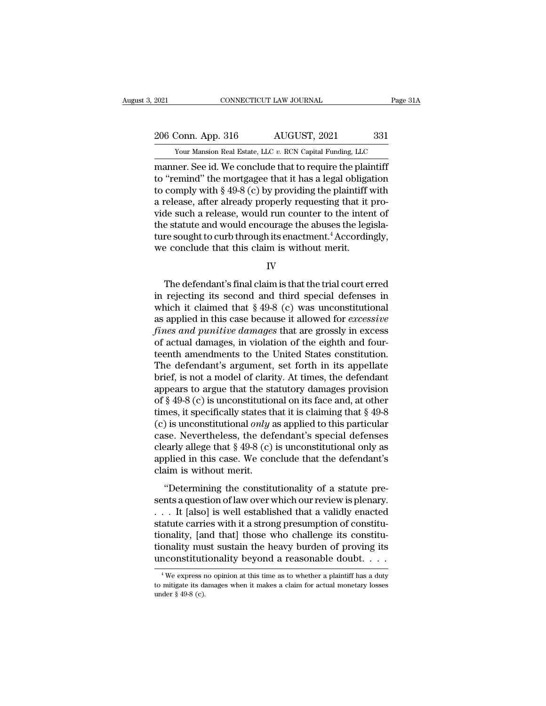2021 CONNECTICUT LAW JOURNAL Page 31A<br>206 Conn. App. 316 AUGUST, 2021 331<br>Your Mansion Real Estate, LLC v. RCN Capital Funding, LLC The Tage 2021 CONNECTICUT LAW JOURNAL Page 31A<br>
206 Conn. App. 316 AUGUST, 2021 331<br>
Your Mansion Real Estate, LLC *v.* RCN Capital Funding, LLC<br>
manner. See id. We conclude that to require the plaintiff

EXECUTE 2021<br>
2006 Conn. App. 316 AUGUST, 2021 331<br>
2006 Conn. App. 316 AUGUST, 2021 331<br>
2007 Mansion Real Estate, LLC v. RCN Capital Funding, LLC<br>
2011 Transmer. See id. We conclude that to require the plaintiff<br>
2013 We 206 Conn. App. 316 AUGUST, 2021 331<br>
Your Mansion Real Estate, LLC v. RCN Capital Funding, LLC<br>
manner. See id. We conclude that to require the plaintiff<br>
to "remind" the mortgagee that it has a legal obligation<br>
to compl 206 Conn. App. 316 AUGUST, 2021 331<br>
Your Mansion Real Estate, LLC v. RCN Capital Funding, LLC<br>
manner. See id. We conclude that to require the plaintiff<br>
to "remind" the mortgagee that it has a legal obligation<br>
to compl 206 Conn. App. 316 AUGUST, 2021 331<br>
Your Mansion Real Estate, LLC  $v$ . RCN Capital Funding, LLC<br>
manner. See id. We conclude that to require the plaintiff<br>
to "remind" the mortgagee that it has a legal obligation<br>
to com Volta Prep. 322 1922, 2022, 2022, 2022<br>
volta Prep. 322 1922, 2022, 2022<br>
manner. See id. We conclude that to require the plaintiff<br>
to "remind" the mortgagee that it has a legal obligation<br>
to comply with § 49-8 (c) by p Four Mansion Real Estate, LLC v. RCN Capital Funding, LLC<br>
manner. See id. We conclude that to require the plaintiff<br>
to "remind" the mortgagee that it has a legal obligation<br>
to comply with § 49-8 (c) by providing the pl manner. See id. We conclude that to require the plaintiff<br>to "remind" the mortgagee that it has a legal obligation<br>to comply with § 49-8 (c) by providing the plaintiff with<br>a release, after already properly requesting that to "remind" the mortgagee that it has a legal obligato comply with  $\S$  49-8 (c) by providing the plaintiff variate are place, after already properly requesting that it juide such a release, would run counter to the intert de such a release, would run counter to the intent of<br>
e statute and would encourage the abuses the legisla-<br>
re sought to curb through its enactment.<sup>4</sup> Accordingly,<br>
e conclude that this claim is without merit.<br>
IV<br>
The

IV

the statute and would encourage the abuses the legislature sought to curb through its enactment.<sup>4</sup> Accordingly,<br>we conclude that this claim is without merit.<br>IV<br>The defendant's final claim is that the trial court erred<br>i ture sought to curb through its enactment.<sup>4</sup> Accordingly,<br>we conclude that this claim is without merit.<br>IV<br>The defendant's final claim is that the trial court erred<br>in rejecting its second and third special defenses in<br>w we conclude that this claim is without merit.<br>
IV<br>
The defendant's final claim is that the trial court erred<br>
in rejecting its second and third special defenses in<br>
which it claimed that § 49-8 (c) was unconstitutional<br>
as *final claim is that the trial court erred*<br>in rejecting its second and third special defenses in<br>which it claimed that § 49-8 (c) was unconstitutional<br>as applied in this case because it allowed for *excessive*<br>*fines and* The defendant's final claim is that the trial court erred<br>in rejecting its second and third special defenses in<br>which it claimed that  $\S 49-8$  (c) was unconstitutional<br>as applied in this case because it allowed for *exces* The defendant's final claim is that the trial court erred<br>in rejecting its second and third special defenses in<br>which it claimed that  $\S 49-8$  (c) was unconstitutional<br>as applied in this case because it allowed for *exces* in rejecting its second and third special defenses in<br>which it claimed that  $\S 49-8$  (c) was unconstitutional<br>as applied in this case because it allowed for *excessive*<br>*fines and punitive damages* that are grossly in exc which it claimed that  $\S$  49-8 (c) was unconstitutional<br>as applied in this case because it allowed for *excessive*<br>*fines and punitive damages* that are grossly in excess<br>of actual damages, in violation of the eighth and as applied in this case because it allowed for *excessive*<br>fines and punitive damages that are grossly in excess<br>of actual damages, in violation of the eighth and four-<br>teenth amendments to the United States constitution. fines and punitive damages that are grossly in excess<br>of actual damages, in violation of the eighth and four-<br>teenth amendments to the United States constitution.<br>The defendant's argument, set forth in its appellate<br>brief of actual damages, in violation of the eighth and four-<br>teenth amendments to the United States constitution.<br>The defendant's argument, set forth in its appellate<br>brief, is not a model of clarity. At times, the defendant<br>a teenth amendments to the United States constitution.<br>The defendant's argument, set forth in its appellate<br>brief, is not a model of clarity. At times, the defendant<br>appears to argue that the statutory damages provision<br>of The defendant's argument, set forth in its appellate<br>brief, is not a model of clarity. At times, the defendant<br>appears to argue that the statutory damages provision<br>of § 49-8 (c) is unconstitutional on its face and, at ot brief, is not a model of clarity. At times, the defendant<br>appears to argue that the statutory damages provision<br>of § 49-8 (c) is unconstitutional on its face and, at other<br>times, it specifically states that it is claiming appears to argue that the statutory damages provision<br>of § 49-8 (c) is unconstitutional on its face and, at other<br>times, it specifically states that it is claiming that § 49-8<br>(c) is unconstitutional *only* as applied to % of § 49-8 (c) is unconstitutional on its face and, at other<br>times, it specifically states that it is claiming that § 49-8<br>(c) is unconstitutional *only* as applied to this particular<br>case. Nevertheless, the defendant's The constitutional only as applied to this particular<br>
Solutional only as applied to this particular<br>
Solutional only as applied to this particular<br>
Solutional only as<br>
Splied in this case. We conclude that the defendant' comes a constraint only as applied to any paracetical case. Nevertheless, the defendant's special defenses clearly allege that  $\S$  49-8 (c) is unconstitutional only as applied in this case. We conclude that the defendant'

clearly allege that  $\S$  49-8 (c) is unconstitutional only as<br>applied in this case. We conclude that the defendant's<br>claim is without merit.<br>"Determining the constitutionality of a statute pre-<br>sents a question of law over statute carries with it a strong presumption of a statute pre-<br>sents a question of law over which our review is plenary.<br> $\therefore$  It [also] is well established that a validly enacted<br>statute carries with it a strong presumpt dephase in all scale. We conclude that the defendants<br>claim is without merit.<br>"Determining the constitutionality of a statute pre-<br>sents a question of law over which our review is plenary.<br>... It [also] is well established "Determining the constitutionality of a statute presents a question of law over which our review is plenary.<br>  $\dots$  It [also] is well established that a validly enacted statute carries with it a strong presumption of const "Determining the constitutionality of a statute presents a question of law over which our review is plenary.<br>
. . . It [also] is well established that a validly enacted statute carries with it a strong presumption of cons atute carries with it a strong presumption of constitu-<br>onality, [and that] those who challenge its constitu-<br>onality must sustain the heavy burden of proving its<br>nconstitutionality beyond a reasonable doubt. . . .<br> $\frac{4}{$ tionality, [and that] those who challenge its constitu-<br>tionality must sustain the heavy burden of proving its<br>unconstitutionality beyond a reasonable doubt....<br> $\frac{4}{100}$  we express no opinion at this time as to whether tionality mu<br>unconstituti<br><sup>4</sup>We express r<br>to mitigate its da<br>under § 49-8 (c).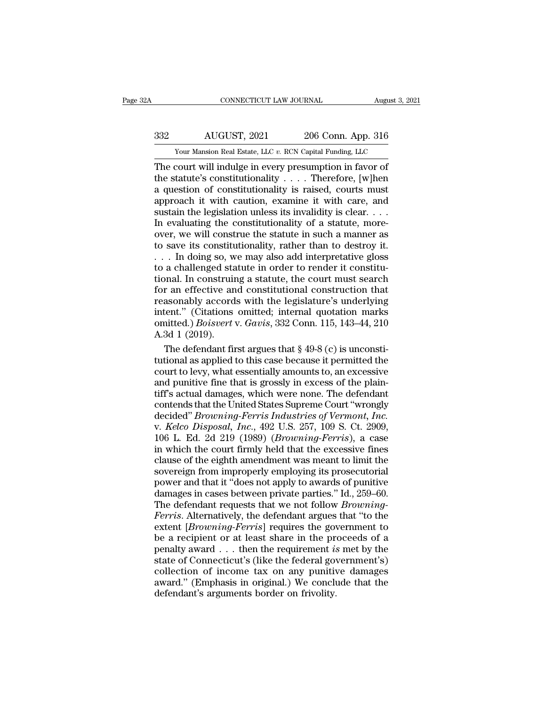# EXECUTE CONNECTICUT LAW JOURNAL August 3, 2021<br>332 AUGUST, 2021 206 Conn. App. 316<br>332 AUGUST, 2021 206 Conn. App. 316 CONNECTICUT LAW JOURNAL August 3, 2021<br>  $332$  AUGUST, 2021 206 Conn. App. 316<br>
Your Mansion Real Estate, LLC *v.* RCN Capital Funding, LLC<br>
The court will indulge in every presumption in favor of

CONNECTICUT LAW JOURNAL August 3, 202<br>
332 AUGUST, 2021 206 Conn. App. 316<br>
Your Mansion Real Estate, LLC v. RCN Capital Funding, LLC<br>
The court will indulge in every presumption in favor of<br>
the statute's constitutionalit AUGUST, 2021 206 Conn. App. 316<br>
Your Mansion Real Estate, LLC v. RCN Capital Funding, LLC<br>
The court will indulge in every presumption in favor of<br>
the statute's constitutionality . . . . Therefore, [w]hen<br>
a question of 332 AUGUST, 2021 206 Conn. App. 316<br>
Your Mansion Real Estate, LLC v. RCN Capital Funding, LLC<br>
The court will indulge in every presumption in favor of<br>
the statute's constitutionality .... Therefore, [w]hen<br>
a question o 332 AUGUST, 2021 206 Conn. App. 316<br>
Your Mansion Real Estate, LLC v. RCN Capital Funding, LLC<br>
The court will indulge in every presumption in favor of<br>
the statute's constitutionality . . . . Therefore, [w]hen<br>
a questio Sustain the legislation unless its invalidity is clear.<br>
The court will indulge in every presumption in favor of<br>
the statute's constitutionality .... Therefore, [w]hen<br>
a question of constitutionality is raised, courts m Your Mansion Real Estate, LLC  $v$ . RCN Capital Funding, LLC<br>
The court will indulge in every presumption in favor of<br>
the statute's constitutionality  $\ldots$ . Therefore, [w]hen<br>
a question of constitutionality is raised, co The court will indulge in every presumption in favor of<br>the statute's constitutionality . . . . Therefore, [w]hen<br>a question of constitutionality is raised, courts must<br>approach it with caution, examine it with care, and<br> the statute's constitutionality . . . . Therefore, [w]hen<br>a question of constitutionality is raised, courts must<br>approach it with caution, examine it with care, and<br>sustain the legislation unless its invalidity is clear. a question of constitutionality is raised, courts must<br>approach it with caution, examine it with care, and<br>sustain the legislation unless its invalidity is clear....<br>In evaluating the constitutionality of a statute, moreapproach it with caution, examine it with care, and<br>sustain the legislation unless its invalidity is clear. . . .<br>In evaluating the constitutionality of a statute, more-<br>over, we will construe the statute in such a manner Figures and the legislation unless its invalidity is clear.  $\dots$  In evaluating the constitutionality of a statute, more-<br>over, we will construe the statute in such a manner as<br>to save its constitutionality, rather than to In evaluating the constitutionality of a statute, more-<br>over, we will construe the statute in such a manner as<br>to save its constitutionality, rather than to destroy it.<br> $\dots$  In doing so, we may also add interpretative glo over, we will construe the statute in such a manner as<br>to save its constitutionality, rather than to destroy it.<br>... In doing so, we may also add interpretative gloss<br>to a challenged statute in order to render it constitu to save its constitutionality, rather than to destroy it.<br>  $\ldots$  In doing so, we may also add interpretative gloss<br>
to a challenged statute in order to render it constitu-<br>
tional. In construing a statute, the court must omitted.) In doing so, we may also add interpretative gloss<br>to a challenged statute in order to render it constitu-<br>tional. In construing a statute, the court must search<br>for an effective and constitutional construction th to a challenged stational. In construit<br>for an effective an<br>reasonably accord<br>intent." (Citations<br>omitted.) *Boisvert*<br>A.3d 1 (2019).<br>The defendant fir be a model in the court must search and the ran effective and constitutional construction that as<br>onably accords with the legislature's underlying tent." (Citations omitted; internal quotation marks<br>initted.) *Boisvert* v for an effective and constitutional construction that<br>reasonably accords with the legislature's underlying<br>intent." (Citations omitted; internal quotation marks<br>omitted.) *Boisvert* v. *Gavis*, 332 Conn. 115, 143–44, 210<br>

reasonably accords with the legislature's underlying<br>intent." (Citations omitted; internal quotation marks<br>omitted.) *Boisvert* v. *Gavis*, 332 Conn. 115, 143–44, 210<br>A.3d 1 (2019).<br>The defendant first argues that  $\S$  49intent." (Citations omitted; internal quotation marks<br>omitted.) *Boisvert* v. Gavis, 332 Conn. 115, 143–44, 210<br>A.3d 1 (2019).<br>The defendant first argues that § 49-8 (c) is unconsti-<br>tutional as applied to this case becaus omitted.) *Boisvert* v. *Gavis*, 332 Conn. 115, 143–44, 210<br>A.3d 1 (2019).<br>The defendant first argues that  $\S$  49-8 (c) is unconstitutional as applied to this case because it permitted the<br>court to levy, what essentially A.3d 1 (2019).<br>The defendant first argues that  $\S$  49-8 (c) is unconstitutional as applied to this case because it permitted the<br>court to levy, what essentially amounts to, an excessive<br>and punitive fine that is grossly i The defendant first argues that § 49-8 (c) is unconstitutional as applied to this case because it permitted the court to levy, what essentially amounts to, an excessive and punitive fine that is grossly in excess of the pl tutional as applied to this case because it permitted the<br>court to levy, what essentially amounts to, an excessive<br>and punitive fine that is grossly in excess of the plain-<br>tiff's actual damages, which were none. The defen court to levy, what essentially amounts to, an excessive<br>and punitive fine that is grossly in excess of the plain-<br>tiff's actual damages, which were none. The defendant<br>contends that the United States Supreme Court "wrongl and punitive fine that is grossly in excess of the plain-<br>tiff's actual damages, which were none. The defendant<br>contends that the United States Supreme Court "wrongly<br>decided" *Browning-Ferris Industries of Vermont*, *Inc.* tiff's actual damages, which were none. The defendant<br>contends that the United States Supreme Court "wrongly<br>decided" *Browning-Ferris Industries of Vermont*, *Inc.*<br>v. *Kelco Disposal, Inc.*, 492 U.S. 257, 109 S. Ct. 2909 contends that the United States Supreme Court "wrongly<br>decided" *Browning-Ferris Industries of Vermont, Inc.*<br>v. *Kelco Disposal, Inc.*, 492 U.S. 257, 109 S. Ct. 2909,<br>106 L. Ed. 2d 219 (1989) *(Browning-Ferris)*, a case<br>i decided" *Browning-Ferris Industries of Vermont, Inc.*<br>v. *Kelco Disposal, Inc.*, 492 U.S. 257, 109 S. Ct. 2909,<br>106 L. Ed. 2d 219 (1989) *(Browning-Ferris)*, a case<br>in which the court firmly held that the excessive fines<br> v. *Kelco Disposal, Inc.*, 492 U.S. 257, 109 S. Ct. 2909, 106 L. Ed. 2d 219 (1989) (*Browning-Ferris*), a case in which the court firmly held that the excessive fines clause of the eighth amendment was meant to limit the s 106 L. Ed. 2d 219 (1989) (*Browning-Ferris*), a case<br>in which the court firmly held that the excessive fines<br>clause of the eighth amendment was meant to limit the<br>sovereign from improperly employing its prosecutorial<br>power in which the court firmly held that the excessive fines<br>clause of the eighth amendment was meant to limit the<br>sovereign from improperly employing its prosecutorial<br>power and that it "does not apply to awards of punitive<br>da clause of the eighth amendment was meant to limit the<br>sovereign from improperly employing its prosecutorial<br>power and that it "does not apply to awards of punitive<br>damages in cases between private parties." Id., 259–60.<br>Th sovereign from improperly employing its prosecutorial<br>power and that it "does not apply to awards of punitive<br>damages in cases between private parties." Id., 259–60.<br>The defendant requests that we not follow *Browning-<br>Fe* power and that it "does not apply to awards of punitive<br>damages in cases between private parties." Id., 259–60.<br>The defendant requests that we not follow *Browning-<br>Ferris*. Alternatively, the defendant argues that "to the damages in cases between private parties." Id., 259–60.<br>The defendant requests that we not follow *Browning-<br>Ferris*. Alternatively, the defendant argues that "to the<br>extent [*Browning-Ferris*] requires the government to<br> The defendant requests that we not follow *Browning-<br>Ferris*. Alternatively, the defendant argues that "to the extent [*Browning-Ferris*] requires the government to be a recipient or at least share in the proceeds of a pen Ferris. Alternatively, the defendant argues that "to the extent [Browning-Ferris] requires the government to be a recipient or at least share in the proceeds of a penalty award . . . then the requirement is met by the stat extent [*Browning-Ferris*] requires the governeut are composed be a recipient or at least share in the propenalty award . . . then the requirement *is* state of Connecticut's (like the federal governeut collection of inco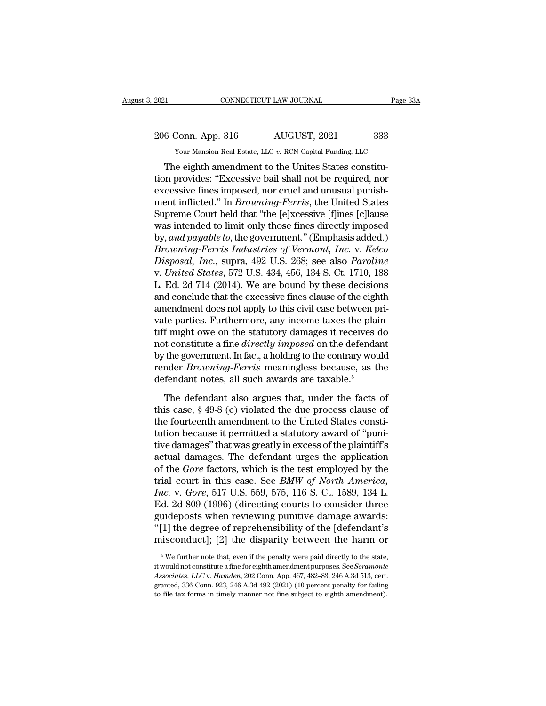2021 CONNECTICUT LAW JOURNAL Page 33A<br>206 Conn. App. 316 AUGUST, 2021 333<br>206 Conn. App. 316 AUGUST, 2021 333

External Estate, LLC *v.* RCN Capital Funding, LLC<br>The eighth amendment to the Unites States constitu-<br>The eighth amendment to the Unites States constitu-CONNECTICUT LAW JOURNAL<br>
6 Conn. App. 316 AUGUST, 2021 333<br>
Your Mansion Real Estate, LLC v. RCN Capital Funding, LLC<br>
The eighth amendment to the Unites States constitu-<br>
In provides: "Excessive bail shall not be required 206 Conn. App. 316 AUGUST, 2021 333<br>
Your Mansion Real Estate, LLC v. RCN Capital Funding, LLC<br>
The eighth amendment to the Unites States constitu-<br>
tion provides: "Excessive bail shall not be required, nor<br>
excessive fine 206 Conn. App. 316 AUGUST, 2021 333<br>
Your Mansion Real Estate, LLC v. RCN Capital Funding, LLC<br>
The eighth amendment to the Unites States constitu-<br>
tion provides: "Excessive bail shall not be required, nor<br>
excessive fin 206 Conn. App. 316 AUGUST, 2021 333<br>
Your Mansion Real Estate, LLC v. RCN Capital Funding, LLC<br>
The eighth amendment to the Unites States constitu-<br>
tion provides: "Excessive bail shall not be required, nor<br>
excessive fine The eighth amendment to the Unites States constitu-<br>The eighth amendment to the Unites States constitu-<br>tion provides: "Excessive bail shall not be required, nor<br>excessive fines imposed, nor cruel and unusual punish-<br>ment Tour mansion real estate, LLC v. RCN Capital Funding, LLC<br>
The eighth amendment to the Unites States constitu-<br>
tion provides: "Excessive bail shall not be required, nor<br>
excessive fines imposed, nor cruel and unusual pun The eighth amendment to the Unites States constitution provides: "Excessive bail shall not be required, nor excessive fines imposed, nor cruel and unusual punishment inflicted." In *Browning-Ferris*, the United States Supr tion provides: "Excessive bail shall not be required, nor<br>excessive fines imposed, nor cruel and unusual punish-<br>ment inflicted." In *Browning-Ferris*, the United States<br>Supreme Court held that "the [e]xcessive [f]ines [c] excessive fines imposed, nor cruel and unusual punishment inflicted." In *Browning-Ferris*, the United States<br>Supreme Court held that "the [e]xcessive [f]ines [c]lause<br>was intended to limit only those fines directly impose ment inflicted." In *Browning-Ferris*, the United States<br>Supreme Court held that "the [e]xcessive [f]ines [c]lause<br>was intended to limit only those fines directly imposed<br>by, and payable to, the government." (Emphasis adde Supreme Court held that "the [e]xcessive [f]ines [c]lause<br>was intended to limit only those fines directly imposed<br>by, and payable to, the government." (Emphasis added.)<br>Browning-Ferris Industries of Vermont, Inc. v. Kelco<br> was intended to limit only those fines directly imposed<br>by, and payable to, the government." (Emphasis added.)<br>Browning-Ferris Industries of Vermont, Inc. v. Kelco<br>Disposal, Inc., supra, 492 U.S. 268; see also Paroline<br>v. by, and payable to, the government." (Emphasis added.)<br>Browning-Ferris Industries of Vermont, Inc. v. Kelco<br>Disposal, Inc., supra, 492 U.S. 268; see also Paroline<br>v. United States, 572 U.S. 434, 456, 134 S. Ct. 1710, 188<br>L Browning-Ferris Industries of Vermont, Inc. v. Kelco<br>Disposal, Inc., supra, 492 U.S. 268; see also Paroline<br>v. United States, 572 U.S. 434, 456, 134 S. Ct. 1710, 188<br>L. Ed. 2d 714 (2014). We are bound by these decisions<br>an Disposal, Inc., supra, 492 U.S. 268; see also *Paroline*<br>v. United States, 572 U.S. 434, 456, 134 S. Ct. 1710, 188<br>L. Ed. 2d 714 (2014). We are bound by these decisions<br>and conclude that the excessive fines clause of the e v. *United States*, 572 U.S. 434, 456, 134 S. Ct. 1710, 188<br>L. Ed. 2d 714 (2014). We are bound by these decisions<br>and conclude that the excessive fines clause of the eighth<br>amendment does not apply to this civil case betwe L. Ed. 2d 714 (2014). We are bound by these decisions<br>and conclude that the excessive fines clause of the eighth<br>amendment does not apply to this civil case between pri-<br>vate parties. Furthermore, any income taxes the pla and conclude that the excessive fines clause of the eighth<br>amendment does not apply to this civil case between pri-<br>vate parties. Furthermore, any income taxes the plain-<br>tiff might owe on the statutory damages it receives amendment does not apply to this civil case between potate parties. Furthermore, any income taxes the plaitiff might owe on the statutory damages it receives and constitute a fine *directly imposed* on the defendation by t f might owe on the statutory damages it receives do<br>t constitute a fine *directly imposed* on the defendant<br>the government. In fact, a holding to the contrary would<br>nder *Browning-Ferris* meaningless because, as the<br>fendan not constitute a fine *directly imposed* on the defendant<br>by the government. In fact, a holding to the contrary would<br>render *Browning-Ferris* meaningless because, as the<br>defendant notes, all such awards are taxable.<sup>5</sup><br>Th

by the government. In fact, a holding to the contrary would<br>render *Browning-Ferris* meaningless because, as the<br>defendant notes, all such awards are taxable.<sup>5</sup><br>The defendant also argues that, under the facts of<br>this case render *Browning-Ferris* meaningless because, as the<br>defendant notes, all such awards are taxable.<sup>5</sup><br>The defendant also argues that, under the facts of<br>this case, § 49-8 (c) violated the due process clause of<br>the fourteen defendant notes, all such awards are taxable.<sup>5</sup><br>The defendant also argues that, under the facts of<br>this case,  $\S$  49-8 (c) violated the due process clause of<br>the fourteenth amendment to the United States consti-<br>tution b The defendant also argues that, under the facts of<br>this case, § 49-8 (c) violated the due process clause of<br>the fourteenth amendment to the United States consti-<br>tution because it permitted a statutory award of "puni-<br>tiv The defendant also argues that, under the facts of<br>this case, § 49-8 (c) violated the due process clause of<br>the fourteenth amendment to the United States consti-<br>tution because it permitted a statutory award of "puni-<br>tive this case, § 49-8 (c) violated the due process clause of<br>the fourteenth amendment to the United States consti-<br>tution because it permitted a statutory award of "puni-<br>tive damages" that was greatly in excess of the plainti the fourteenth amendment to the United States constitution because it permitted a statutory award of "punitive damages" that was greatly in excess of the plaintiff's actual damages. The defendant urges the application of t tution because it permitted a statutory award of "punitive damages" that was greatly in excess of the plaintiff's<br>actual damages. The defendant urges the application<br>of the *Gore* factors, which is the test employed by the tive damages" that was greatly in excess of the plaintiff's<br>actual damages. The defendant urges the application<br>of the *Gore* factors, which is the test employed by the<br>trial court in this case. See *BMW of North America*, actual damages. The defendant urges the application<br>of the *Gore* factors, which is the test employed by the<br>trial court in this case. See *BMW of North America*,<br>*Inc.* v. *Gore*, 517 U.S. 559, 575, 116 S. Ct. 1589, 134 L of the *Gore* factors, which is the test employed by the<br>trial court in this case. See *BMW of North America*,<br>*Inc.* v. *Gore*, 517 U.S. 559, 575, 116 S. Ct. 1589, 134 L.<br>Ed. 2d 809 (1996) (directing courts to consider t 3 At 2d 809 (1996) (directing courts to consider three ideposts when reviewing punitive damage awards:<br>
1] the degree of reprehensibility of the [defendant's isconduct]; [2] the disparity between the harm or  $\frac{5}{3}$  We guideposts when reviewing punitive damage awards:<br>"[1] the degree of reprehensibility of the [defendant's<br>misconduct]; [2] the disparity between the harm or<br><sup>5</sup>We further note that, even if the penalty were paid directly t

<sup>&</sup>lt;sup>4</sup>[1] the degree of reprehensibility of the [defendant's misconduct]; [2] the disparity between the harm or <sup>5</sup> We further note that, even if the penalty were paid directly to the state, it would not constitute a fine for misconduct]; [2] the disparity between the harm or<br>  $\frac{1}{100}$  is we further note that, even if the penalty were paid directly to the state,<br>
it would not constitute a fine for eighth amendment purposes. See *Seramonte*<br>  $^5$  We further note that, even if the penalty were paid directly to the state, it would not constitute a fine for eighth amendment purposes. See *Seramonte Associates, LLC* v. *Hamden*, 202 Conn. App. 467, 482–83, 246 A.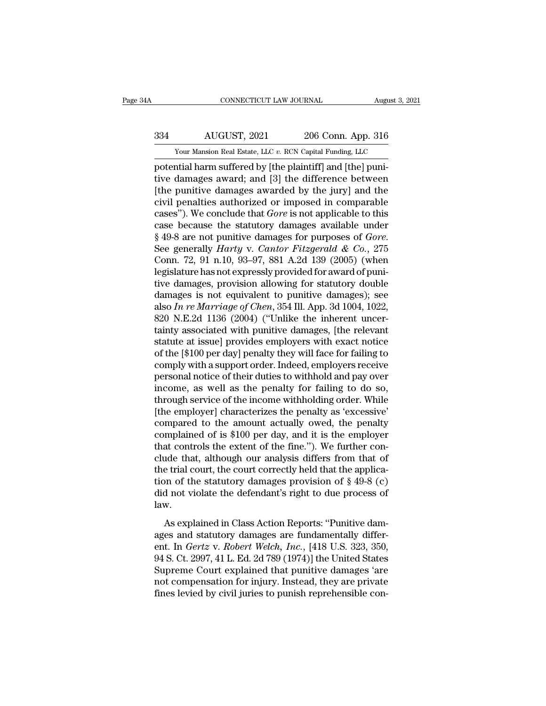# EXECUTE CONNECTICUT LAW JOURNAL August 3, 2021<br>334 AUGUST, 2021 206 Conn. App. 316<br>334 AUGUST, 2021 206 Conn. App. 316 CONNECTICUT LAW JOURNAL August 3, 2021<br>  $\frac{334}{100}$  AUGUST, 2021 206 Conn. App. 316<br>
Your Mansion Real Estate, LLC *v.* RCN Capital Funding, LLC<br>
potential harm suffered by [the plaintiff] and [the] puni-

FORD CONNECTICUT LAW JOURNAL<br>
206 Conn. App. 316<br>
206 Conn. App. 316<br>
206 Conn. App. 316<br>
206 Conn. App. 316<br>
206 Conn. App. 316<br>
206 Conn. App. 316<br>
206 Conn. App. 316<br>
206 Conn. App. 316<br>
206 Conn. App. 316<br>
206 Conn. Ap AUGUST, 2021 206 Conn. App. 316<br>
Your Mansion Real Estate, LLC v. RCN Capital Funding, LLC<br>
potential harm suffered by [the plaintiff] and [the] puni-<br>
tive damages award; and [3] the difference between<br>
[the punitive dama  $\frac{334}{\text{Your Mason Real Easter, LLC } v. \text{ RCN Capital Funding, LLC}}$ <br>
Your Mansion Real Estate, LLC  $v. \text{ RCN Capital Funding, LLC}}$ <br>
potential harm suffered by [the plaintiff] and [the] puni-<br>
tive damages award; and [3] the difference between<br>
[the punitive damages awa  $\frac{334}{100}$  AUGUST, 2021 206 Conn. App. 316<br>
Your Mansion Real Estate, LLC v. RCN Capital Funding, LLC<br>
potential harm suffered by [the plaintiff] and [the] puni-<br>
tive damages award; and [3] the difference between<br>
[th Your Mansion Real Estate, LLC v. RCN Capital Funding, LLC<br>potential harm suffered by [the plaintiff] and [the] puni-<br>tive damages award; and [3] the difference between<br>[the punitive damages awarded by the jury] and the<br>civ Four Mansion Real Estate, LLC v. RCN Capital Funding, LLC<br>potential harm suffered by [the plaintiff] and [the] puni-<br>tive damages award; and [3] the difference between<br>[the punitive damages awarded by the jury] and the<br>ci potential harm suffered by [the plaintiff] and [the] puni-<br>tive damages award; and [3] the difference between<br>[the punitive damages awarded by the jury] and the<br>civil penalties authorized or imposed in comparable<br>cases"). [the punitive damages awarded by the jury] and the<br>civil penalties authorized or imposed in comparable<br>cases"). We conclude that *Gore* is not applicable to this<br>case because the statutory damages available under<br> $\$ 49-8 civil penalties authorized or imposed in comparable cases"). We conclude that *Gore* is not applicable to this case because the statutory damages available under  $§$  49-8 are not punitive damages for purposes of *Gore*. S cases"). We conclude that *Gore* is not applicable to this<br>case because the statutory damages available under<br>§ 49-8 are not punitive damages for purposes of *Gore*.<br>See generally *Harty* v. *Cantor Fitzgerald & Co.*, 275 case because the statutory damages available under  $\S$  49-8 are not punitive damages for purposes of *Gore*.<br>See generally *Harty* v. *Cantor Fitzgerald & Co.*, 275<br>Conn. 72, 91 n.10, 93–97, 881 A.2d 139 (2005) (when<br>legi § 49-8 are not punitive damages for purposes of *Gore*.<br>See generally *Harty* v. *Cantor Fitzgerald & Co.*, 275<br>Conn. 72, 91 n.10, 93–97, 881 A.2d 139 (2005) (when<br>legislature has not expressly provided for award of puni-<br> See generally *Harty* v. *Cantor Fitzgerald & Co.*, 275<br>Conn. 72, 91 n.10, 93–97, 881 A.2d 139 (2005) (when<br>legislature has not expressly provided for award of puni-<br>tive damages, provision allowing for statutory double<br>d Conn. 72, 91 n.10, 93–97, 881 A.2d 139 (2005) (when<br>legislature has not expressly provided for award of puni-<br>tive damages, provision allowing for statutory double<br>damages is not equivalent to punitive damages); see<br>also legislature has not expressly provided for award of punitive damages, provision allowing for statutory double damages is not equivalent to punitive damages); see also  $In re~Marriage$  of  $Chen$ , 354 Ill. App. 3d 1004, 1022, 820 N.E. tive damages, provision allowing for statutory double<br>damages is not equivalent to punitive damages); see<br>also In re Marriage of Chen, 354 Ill. App. 3d 1004, 1022,<br>820 N.E.2d 1136 (2004) ("Unlike the inherent uncer-<br>tainty damages is not equivalent to punitive damages); see<br>also *In re Marriage of Chen*, 354 Ill. App. 3d 1004, 1022,<br>820 N.E.2d 1136 (2004) ("Unlike the inherent uncer-<br>tainty associated with punitive damages, [the relevant<br>st also In re Marriage of Chen, 354 Ill. App. 3d 1004, 1022, 820 N.E.2d 1136 (2004) ("Unlike the inherent uncertainty associated with punitive damages, [the relevant statute at issue] provides employers with exact notice of 820 N.E.2d 1136 (2004) ("Unlike the inherent uncertainty associated with punitive damages, [the relevant statute at issue] provides employers with exact notice of the [\$100 per day] penalty they will face for failing to co tainty associated with punitive damages, [the relevant<br>statute at issue] provides employers with exact notice<br>of the [\$100 per day] penalty they will face for failing to<br>comply with a support order. Indeed, employers recei statute at issue] provides employers with exact notice<br>of the [\$100 per day] penalty they will face for failing to<br>comply with a support order. Indeed, employers receive<br>personal notice of their duties to withhold and pay of the [\$100 per day] penalty they will face for failing to<br>comply with a support order. Indeed, employers receive<br>personal notice of their duties to withhold and pay over<br>income, as well as the penalty for failing to do s comply with a support order. Indeed, employers receive<br>personal notice of their duties to withhold and pay over<br>income, as well as the penalty for failing to do so,<br>through service of the income withholding order. While<br>[t personal notice of their duties to withhold and pay over<br>income, as well as the penalty for failing to do so,<br>through service of the income withholding order. While<br>[the employer] characterizes the penalty as 'excessive'<br>c income, as well as the penalty for failing to do so,<br>through service of the income withholding order. While<br>[the employer] characterizes the penalty as 'excessive'<br>compared to the amount actually owed, the penalty<br>complai through service of the income withholding order. While<br>[the employer] characterizes the penalty as 'excessive'<br>compared to the amount actually owed, the penalty<br>complained of is \$100 per day, and it is the employer<br>that c [the employer] characterizes the penalty as 'excessive'<br>compared to the amount actually owed, the penalty<br>complained of is \$100 per day, and it is the employer<br>that controls the extent of the fine."). We further con-<br>clud compared to the amount actually owed, the penalty complained of is \$100 per day, and it is the employer that controls the extent of the fine."). We further conclude that, although our analysis differs from that of the tri law. as explained in Class Action Reports: ''Punitive dam-<br>
Me trial court, the court correctly held that the applica-<br>
on of the statutory damages provision of  $\S$  49-8 (c)<br>
d not violate the defendant's right to due process the trial court, the court correctly held that the application of the statutory damages provision of  $\S$  49-8 (c) did not violate the defendant's right to due process of law.<br>As explained in Class Action Reports: "Punitiv

ent. In *Gerta* v. *Robert Collectory Herd and the application of the statutory damages provision of* § 49-8 (c) did not violate the defendant's right to due process of law.<br>As explained in Class Action Reports: "Punitive did not violate the defendant's right to due process of<br>law.<br>As explained in Class Action Reports: "Punitive dam-<br>ages and statutory damages are fundamentally differ-<br>ent. In *Gertz* v. *Robert Welch*, *Inc.*, [418 U.S. 3 Superior Court explained that punitive damages and statutory damages are fundamentally different. In *Gertz v. Robert Welch*, *Inc.*, [418 U.S. 323, 350, 94 S. Ct. 2997, 41 L. Ed. 2d 789 (1974)] the United States Supreme C not competed in Class Action Reports: "Punitive damages and statutory damages are fundamentally different. In *Gertz v. Robert Welch, Inc.*, [418 U.S. 323, 350, 94 S. Ct. 2997, 41 L. Ed. 2d 789 (1974)] the United States Su As explained in Class Action Reports: "Punitive damages and statutory damages are fundamentally different. In *Gertz* v. *Robert Welch*, *Inc.*, [418 U.S. 323, 350, 94 S. Ct. 2997, 41 L. Ed. 2d 789 (1974)] the United State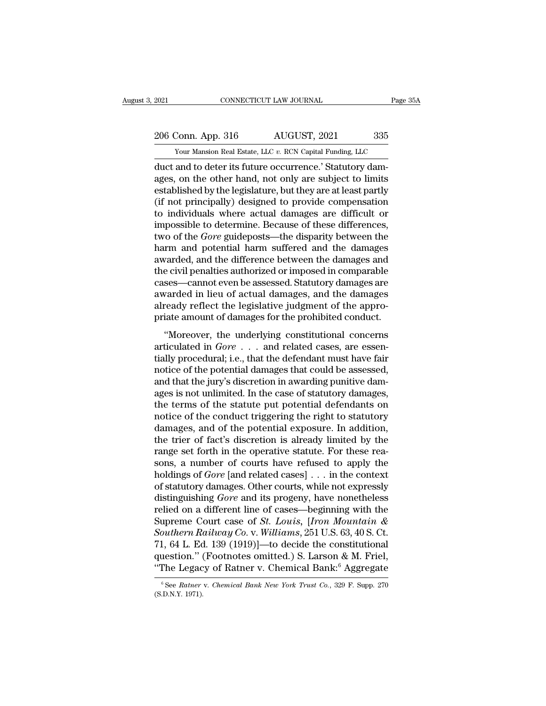2021 CONNECTICUT LAW JOURNAL Page 35A<br>206 Conn. App. 316 AUGUST, 2021 335<br>206 Vour Mansion Real Estate, LLC v. RCN Capital Funding, LLC

External Estate, LLC *v.* RCN Capital Funding, LLC<br>
Your Mansion Real Estate, LLC *v.* RCN Capital Funding, LLC<br>
duct and to deter its future occurrence.' Statutory dam-EXECUTE 2021<br>
2006 Conn. App. 316 AUGUST, 2021 335<br>
2006 Conn. App. 316 AUGUST, 2021 335<br>
2007 Vour Mansion Real Estate, LLC v. RCN Capital Funding, LLC<br>
2012 duct and to deter its future occurrence.' Statutory dam-<br>
2013, 206 Conn. App. 316 AUGUST, 2021 335<br>
Your Mansion Real Estate, LLC v. RCN Capital Funding, LLC<br>
duct and to deter its future occurrence.' Statutory dam-<br>
ages, on the other hand, not only are subject to limits<br>
established 206 Conn. App. 316 AUGUST, 2021 335<br>
Your Mansion Real Estate, LLC  $v$ . RCN Capital Funding, LLC<br>
duct and to deter its future occurrence.' Statutory dam-<br>
ages, on the other hand, not only are subject to limits<br>
establis 206 Conn. App. 316  $\overline{AUGUST}$ , 2021  $\overline{a}$  335<br>
Your Mansion Real Estate, LLC v. RCN Capital Funding, LLC<br>
duct and to deter its future occurrence.' Statutory dam-<br>
ages, on the other hand, not only are subject to limit The state, LLC v. RCN Capital Funding, LLC<br>
Uncefortable and to deter its future occurrence.' Statutory damages, on the other hand, not only are subject to limits<br>
established by the legislature, but they are at least par Four Mansion Real Estate, LLC  $v$ . RCN Capital Funding, LLC<br>duct and to deter its future occurrence.' Statutory dam-<br>ages, on the other hand, not only are subject to limits<br>established by the legislature, but they are at duct and to deter its future occurrence.' Statutory dam-<br>ages, on the other hand, not only are subject to limits<br>established by the legislature, but they are at least partly<br>(if not principally) designed to provide compens ages, on the other hand, not only are subject to limits<br>established by the legislature, but they are at least partly<br>(if not principally) designed to provide compensation<br>to individuals where actual damages are difficult o established by the legislature, but they are at least partly<br>(if not principally) designed to provide compensation<br>to individuals where actual damages are difficult or<br>impossible to determine. Because of these differences, (if not principally) designed to provide compensation<br>to individuals where actual damages are difficult or<br>impossible to determine. Because of these differences,<br>two of the *Gore* guideposts—the disparity between the<br>harm to individuals where actual damages are difficult or<br>impossible to determine. Because of these differences,<br>two of the *Gore* guideposts—the disparity between the<br>harm and potential harm suffered and the damages<br>awarded, a impossible to determine. Because of these differences,<br>two of the *Gore* guideposts—the disparity between the<br>harm and potential harm suffered and the damages<br>awarded, and the difference between the damages and<br>the civil p two of the *Gore* guideposts—the disparity between the harm and potential harm suffered and the damages awarded, and the difference between the damages and the civil penalties authorized or imposed in comparable cases—cann harm and potential harm suffered and the damages<br>awarded, and the difference between the damages and<br>the civil penalties authorized or imposed in comparable<br>cases—cannot even be assessed. Statutory damages are<br>awarded in l Figure 2.1 and the unfertnet between the damages and<br>
e civil penalties authorized or imposed in comparable<br>
ses—cannot even be assessed. Statutory damages are<br>
varded in lieu of actual damages, and the damages<br>
ready ref rate civil penalties authorized of imposed in comparable<br>cases—cannot even be assessed. Statutory damages are<br>awarded in lieu of actual damages, and the damages<br>already reflect the legislative judgment of the appro-<br>priate

cases Cannot even be assessed: Battachy damages are<br>awarded in lieu of actual damages, and the damages<br>already reflect the legislative judgment of the appro-<br>priate amount of damages for the prohibited conduct.<br>"Moreover, already reflect the legislative judgment of the appropriate amount of damages for the prohibited conduct.<br>
"Moreover, the underlying constitutional concerns<br>
articulated in  $Gore \dots$  and related cases, are essen-<br>
tially pro and that amount of damages for the prohibited conduct.<br>
"Moreover, the underlying constitutional concerns<br>
articulated in  $Gore \dots$  and related cases, are essen-<br>
tially procedural; i.e., that the defendant must have fair<br>
n "Moreover, the underlying constitutional concerns<br>articulated in  $Gore \ldots$  and related cases, are essen-<br>tially procedural; i.e., that the defendant must have fair<br>notice of the potential damages that could be assessed,<br>and "Moreover, the underlying constitutional concerns<br>articulated in  $Gore \ldots$  and related cases, are essen-<br>tially procedural; i.e., that the defendant must have fair<br>notice of the potential damages that could be assessed,<br>and articulated in  $Gore \ldots$  and related cases, are essentially procedural; i.e., that the defendant must have fair notice of the potential damages that could be assessed, and that the jury's discretion in awarding punitive dam tially procedural; i.e., that the defendant must have fair<br>notice of the potential damages that could be assessed,<br>and that the jury's discretion in awarding punitive dam-<br>ages is not unlimited. In the case of statutory da notice of the potential damages that could be assessed,<br>and that the jury's discretion in awarding punitive dam-<br>ages is not unlimited. In the case of statutory damages,<br>the terms of the statute put potential defendants on and that the jury's discretion in awarding punitive damages is not unlimited. In the case of statutory damages, the terms of the statute put potential defendants on notice of the conduct triggering the right to statutory d ages is not unlimited. In the case of statutory damages,<br>the terms of the statute put potential defendants on<br>notice of the conduct triggering the right to statutory<br>damages, and of the potential exposure. In addition,<br>the the terms of the statute put potential defendants on<br>notice of the conduct triggering the right to statutory<br>damages, and of the potential exposure. In addition,<br>the trier of fact's discretion is already limited by the<br>ran notice of the conduct triggering the right to statutory<br>damages, and of the potential exposure. In addition,<br>the trier of fact's discretion is already limited by the<br>range set forth in the operative statute. For these readamages, and of the potential exposure. In addition,<br>the trier of fact's discretion is already limited by the<br>range set forth in the operative statute. For these rea-<br>sons, a number of courts have refused to apply the<br>hold the trier of fact's discretion is already limited by the range set forth in the operative statute. For these reasons, a number of courts have refused to apply the holdings of *Gore* [and related cases] . . . in the contex range set forth in the operative statute. For these reasons, a number of courts have refused to apply the holdings of *Gore* [and related cases] . . . in the context of statutory damages. Other courts, while not expressly *Sons, a number of courts have refused to apply the holdings of <i>Gore* [and related cases] . . . in the context of statutory damages. Other courts, while not expressly distinguishing *Gore* and its progeny, have nonetheles holdings of *Gore* [and related cases] . . . in the context<br>of statutory damages. Other courts, while not expressly<br>distinguishing *Gore* and its progeny, have nonetheless<br>relied on a different line of cases—beginning wit of statutory damages. Other courts, while not expressly<br>distinguishing *Gore* and its progeny, have nonetheless<br>relied on a different line of cases—beginning with the<br>Supreme Court case of *St. Louis*, [*Iron Mountain &<br>S* distinguishing *Gore* and its progeny, have nonetheless<br>
relied on a different line of cases—beginning with the<br>
Supreme Court case of *St. Louis*, [*Iron Mountain &*<br> *Southern Railway Co.* v. *Williams*, 251 U.S. 63, 40 Southern Railway Co. v. Williams, 251 U.S. 63, 40 S. Ct.<br>71, 64 L. Ed. 139 (1919)]—to decide the constitutional<br>question." (Footnotes omitted.) S. Larson & M. Friel,<br>"The Legacy of Ratner v. Chemical Bank.<sup>6</sup> Aggregate<br><sup>6</sup> "The Legacy of Ratner v. Chemical Bank:<sup>6</sup> Aggregate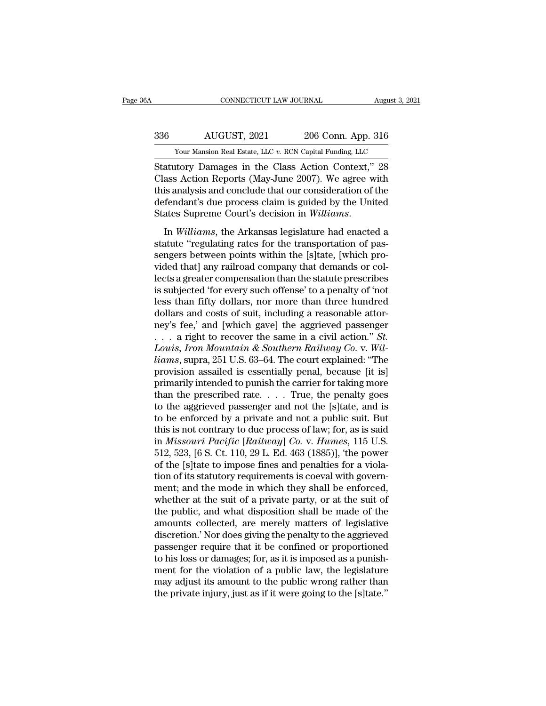# EXECUTE CONNECTICUT LAW JOURNAL August 3, 2021<br>336 AUGUST, 2021 206 Conn. App. 316<br>336 AUGUST, 2021 206 Conn. App. 316 CONNECTICUT LAW JOURNAL August 3, 2021<br>
206 Conn. App. 316<br>
Your Mansion Real Estate, LLC *v.* RCN Capital Funding, LLC<br>
Statutory Damages in the Class Action Context," 28

CONNECTICUT LAW JOURNAL August 3, 2021<br>
Statutory Damages in the Class Action Context," 28<br>
Class Action Reports (May-June 2007). We agree with<br>
this analysis and conclude that our consideration of the MUGUST, 2021 206 Conn. App. 316<br>
Your Mansion Real Estate, LLC v. RCN Capital Funding, LLC<br>
Statutory Damages in the Class Action Context," 28<br>
Class Action Reports (May-June 2007). We agree with<br>
this analysis and conclud  $\frac{336}{100}$  AUGUST, 2021 206 Conn. App. 316<br>
Your Mansion Real Estate, LLC v. RCN Capital Funding, LLC<br>
Statutory Damages in the Class Action Context," 28<br>
Class Action Reports (May-June 2007). We agree with<br>
this analy  $\frac{\text{AUGUST, 2021}}{\text{Your Mason Real Estate, LLC } v. \text{ RCN Capital Funding, LLC}}$ <br>
Statutory Damages in the Class Action Context," 28<br>
Class Action Reports (May-June 2007). We agree with<br>
this analysis and conclude that our consideration of the<br>
defendant's d Statutory Damages in the Class Action Context," 28<br>Statutory Damages in the Class Action Context," 28<br>Class Action Reports (May-June 2007). We agree with<br>this analysis and conclude that our consideration of the<br>defendant's Statutory Dantages in the Cass Reform Context, 25<br>Class Action Reports (May-June 2007). We agree with<br>this analysis and conclude that our consideration of the<br>defendant's due process claim is guided by the United<br>States Su

senses freator reports (may sure 2001). We agree what<br>this analysis and conclude that our consideration of the<br>defendant's due process claim is guided by the United<br>States Supreme Court's decision in *Williams*.<br>In *Willia* ans analysis and concided that our consideration of the<br>defendant's due process claim is guided by the United<br>States Supreme Court's decision in Williams.<br>In Williams, the Arkansas legislature had enacted a<br>statute "regula States Supreme Court's decision in *Williams*.<br>
In *Williams*, the Arkansas legislature had enacted a<br>
statute "regulating rates for the transportation of pas-<br>
sengers between points within the [s]tate, [which pro-<br>
vided In *Williams*, the Arkansas legislature had enacted a<br>statute "regulating rates for the transportation of pas-<br>sengers between points within the [s]tate, [which pro-<br>vided that] any railroad company that demands or col-<br>le In *Williams*, the Arkansas legislature had enacted a<br>statute "regulating rates for the transportation of pas-<br>sengers between points within the [s]tate, [which pro-<br>vided that] any railroad company that demands or col-<br>le statute "regulating rates for the transportation of passengers between points within the [s]tate, [which provided that] any railroad company that demands or collects a greater compensation than the statute prescribes is su sengers between points within the [s]tate, [which provided that] any railroad company that demands or collects a greater compensation than the statute prescribes<br>is subjected 'for every such offense' to a penalty of 'not<br> vided that] any railroad company that demands or collects a greater compensation than the statute prescribes<br>is subjected 'for every such offense' to a penalty of 'not<br>less than fifty dollars, nor more than three hundred<br>d *Louis a greater compensation than the statute prescribes*<br>*is subjected 'for every such offense' to a penalty of 'not*<br>*less than fifty dollars, nor more than three hundred*<br>*dollars and costs of suit, including a reasona* is subjected 'for every such offense' to a penalty of 'not<br>less than fifty dollars, nor more than three hundred<br>dollars and costs of suit, including a reasonable attor-<br>ney's fee,' and [which gave] the aggrieved passenger<br> less than fifty dollars, nor more than three hundred<br>dollars and costs of suit, including a reasonable attor-<br>ney's fee,' and [which gave] the aggrieved passenger<br> $\dots$  a right to recover the same in a civil action." *St.* dollars and costs of suit, including a reasonable attor-<br>ney's fee,' and [which gave] the aggrieved passenger<br>... a right to recover the same in a civil action." *St.*<br>Louis, Iron Mountain & Southern Railway Co. v. Wil-<br>l ney's fee,' and [which gave] the aggrieved passenger<br>
. . . . a right to recover the same in a civil action." *St.*<br> *Louis, Iron Mountain & Southern Railway Co.* v. *Will-*<br> *liams*, supra, 251 U.S. 63–64. The court expl ... a right to recover the same in a civil action." *St.*<br>Louis, Iron Mountain & Southern Railway Co. v. Will-<br>liams, supra, 251 U.S. 63–64. The court explained: "The<br>provision assailed is essentially penal, because [it i Louis, Iron Mountain & Southern Railway Co. v. Will-<br>liams, supra, 251 U.S. 63–64. The court explained: "The<br>provision assailed is essentially penal, because [it is]<br>primarily intended to punish the carrier for taking mor liams, supra, 251 U.S. 63–64. The court explained: "The<br>provision assailed is essentially penal, because [it is]<br>primarily intended to punish the carrier for taking more<br>than the prescribed rate.... True, the penalty goes provision assailed is essentially penal, because [it is]<br>primarily intended to punish the carrier for taking more<br>than the prescribed rate. . . . . True, the penalty goes<br>to the aggrieved passenger and not the [s]tate, and primarily intended to punish the carrier for taking more<br>than the prescribed rate.... True, the penalty goes<br>to the aggrieved passenger and not the [s]tate, and is<br>to be enforced by a private and not a public suit. But<br>th than the prescribed rate. . . . True, the penalty goes<br>to the aggrieved passenger and not the [s]tate, and is<br>to be enforced by a private and not a public suit. But<br>this is not contrary to due process of law; for, as is s to the aggrieved passenger and not the [s]tate, and is<br>to be enforced by a private and not a public suit. But<br>this is not contrary to due process of law; for, as is said<br>in *Missouri Pacific* [*Railway*] *Co.* v. *Humes*, to be enforced by a private and not a public suit. But<br>this is not contrary to due process of law; for, as is said<br>in *Missouri Pacific* [*Railway*] *Co.* v. *Humes*, 115 U.S.<br>512, 523, [6 S. Ct. 110, 29 L. Ed. 463 (1885) this is not contrary to due process of law; for, as is said<br>in *Missouri Pacific* [*Railway*] *Co.* v. *Humes*, 115 U.S.<br>512, 523, [6 S. Ct. 110, 29 L. Ed. 463 (1885)], 'the power<br>of the [s]tate to impose fines and penalti in *Missouri Pacific* [*Railway*] *Co.* v. *Humes*, 115 U.S.<br>512, 523, [6 S. Ct. 110, 29 L. Ed. 463 (1885)], 'the power<br>of the [s]tate to impose fines and penalties for a viola-<br>tion of its statutory requirements is coeval 512, 523, [6 S. Ct. 110, 29 L. Ed. 463 (1885)], 'the power<br>of the [s]tate to impose fines and penalties for a viola-<br>tion of its statutory requirements is coeval with govern-<br>ment; and the mode in which they shall be enfo of the [s]tate to impose fines and penalties for a violation of its statutory requirements is coeval with government; and the mode in which they shall be enforced, whether at the suit of a private party, or at the suit of tion of its statutory requirements is coeval with government; and the mode in which they shall be enforced, whether at the suit of a private party, or at the suit of the public, and what disposition shall be made of the am ment; and the mode in which they shall be enforced,<br>whether at the suit of a private party, or at the suit of<br>the public, and what disposition shall be made of the<br>amounts collected, are merely matters of legislative<br>discr whether at the suit of a private party, or at the suit of<br>the public, and what disposition shall be made of the<br>amounts collected, are merely matters of legislative<br>discretion.' Nor does giving the penalty to the aggrieved the public, and what disposition shall be made of the amounts collected, are merely matters of legislative discretion.' Nor does giving the penalty to the aggrieved passenger require that it be confined or proportioned to amounts collected, are merely matters of legislative<br>discretion.' Nor does giving the penalty to the aggrieved<br>passenger require that it be confined or proportioned<br>to his loss or damages; for, as it is imposed as a punish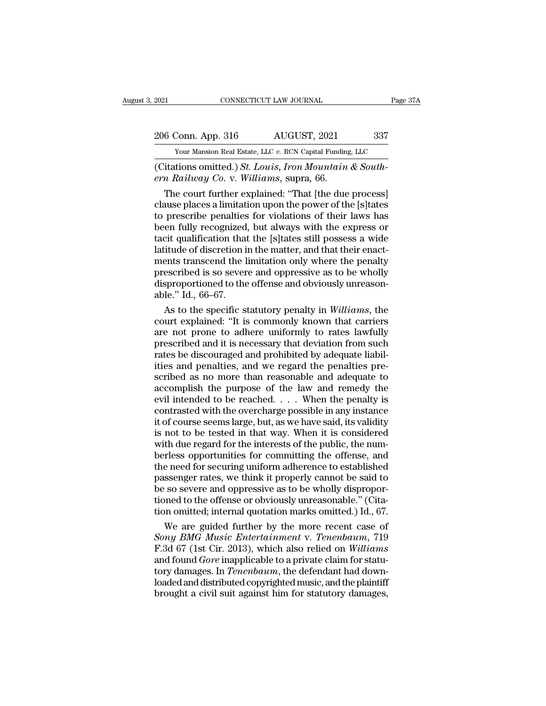# 2021 CONNECTICUT LAW JOURNAL Page 37A<br>206 Conn. App. 316 AUGUST, 2021 337<br>200 Your Mansion Real Estate, LLC v. RCN Capital Funding, LLC External Estate, LLC *v.* RCN Capital Funding, LLC<br>
Your Mansion Real Estate, LLC *v.* RCN Capital Funding, LLC<br>
(Citations omitted.) St. Louis, Iron Mountain & South-

EXECUTE 2021<br>
2006 Conn. App. 316 AUGUST, 2021 337<br>
<sup>2006</sup> Conn. App. 316 AUGUST, 2021 337<br>
<sup>201</sup> Citations omitted.) *St. Louis, Iron Mountain & South-*<br> *Citations omitted.) St. Louis, Iron Mountain & South-*<br> *Callway C era Coronal App.* 316 *era AUGUST, 2021*<br> *Four Mansion Real Estate, LLC v. RCN Capital Funding*<br> *ern Railway Co.* v. *Williams, supra, 66.*<br>
The court further explained: "That [the due

 $\frac{6 \text{ Conn. App. 316}}{\text{Your Mason Real Estate, LLC } v. \text{ RCN Capital Funding, LLC}}$ <br>
Tour Mansion Real Estate, LLC  $v. \text{ RCN Capital Funding, LLC}}$ <br>
The court further explained: "That [the due process]<br>
The court further explained: "That [the due process]<br>
The court further expl 206 Conn. App. 316 AUGUST, 2021 337<br>
Your Mansion Real Estate, LLC v. RCN Capital Funding, LLC<br>
(Citations omitted.) *St. Louis, Iron Mountain & South-*<br> *ern Railway Co.* v. *Williams*, supra, 66.<br>
The court further expl Your Mansion Real Estate, LLC v. RCN Capital Funding, LLC<br>
(Citations omitted.) *St. Louis, Iron Mountain & South-*<br> *ern Railway Co.* v. *Williams*, supra, 66.<br>
The court further explained: "That [the due process]<br>
claus Citations omitted.) *St. Louis, Iron Mountain & South-*<br>
ern *Railway Co.* v. *Williams*, supra, 66.<br>
The court further explained: "That [the due process]<br>
clause places a limitation upon the power of the [s]tates<br>
to pre (Citations omitted.) *St. Louis, Iron Mountain & South-*<br> *ern Railway Co.* v. *Williams*, supra, 66.<br>
The court further explained: "That [the due process]<br>
clause places a limitation upon the power of the [s]tates<br>
to pr ern Railway Co. v. Williams, supra, 66.<br>
The court further explained: "That [the due process]<br>
clause places a limitation upon the power of the [s]tates<br>
to prescribe penalties for violations of their laws has<br>
been fully The court further explained: "That [the due process]<br>clause places a limitation upon the power of the [s]tates<br>to prescribe penalties for violations of their laws has<br>been fully recognized, but always with the express or<br>t clause places a limitation upon the power of the [s]tates<br>to prescribe penalties for violations of their laws has<br>been fully recognized, but always with the express or<br>tacit qualification that the [s]tates still possess a to prescribe penalties for violations of their laws has<br>been fully recognized, but always with the express or<br>tacit qualification that the [s]tates still possess a wide<br>latitude of discretion in the matter, and that their been fully recognized<br>tacit qualification that<br>latitude of discretion is<br>ments transcend the l<br>prescribed is so sever<br>disproportioned to the<br>able." Id., 66–67.<br>As to the specific s cit qualification that the [s]tates still possess a wide<br>itude of discretion in the matter, and that their enact-<br>ents transcend the limitation only where the penalty<br>escribed is so severe and oppressive as to be wholly<br>sp latitude of discretion in the matter, and that their enact-<br>ments transcend the limitation only where the penalty<br>prescribed is so severe and oppressive as to be wholly<br>disproportioned to the offense and obviously unreason

ments transcend the limitation only where the penalty<br>prescribed is so severe and oppressive as to be wholly<br>disproportioned to the offense and obviously unreason-<br>able." Id., 66–67.<br>As to the specific statutory penalty in prescribed is so severe and oppressive as to be wholly<br>disproportioned to the offense and obviously unreason-<br>able." Id., 66–67.<br>As to the specific statutory penalty in *Williams*, the<br>court explained: "It is commonly know disproportioned to the offense and obviously unreason-<br>able." Id., 66–67.<br>As to the specific statutory penalty in *Williams*, the<br>court explained: "It is commonly known that carriers<br>are not prone to adhere uniformly to ra able." Id., 66–67.<br>As to the specific statutory penalty in *Williams*, the<br>court explained: "It is commonly known that carriers<br>are not prone to adhere uniformly to rates lawfully<br>prescribed and it is necessary that deviat As to the specific statutory penalty in *Williams*, the<br>court explained: "It is commonly known that carriers<br>are not prone to adhere uniformly to rates lawfully<br>prescribed and it is necessary that deviation from such<br>rates court explained: "It is commonly known that carriers<br>are not prone to adhere uniformly to rates lawfully<br>prescribed and it is necessary that deviation from such<br>rates be discouraged and prohibited by adequate liabil-<br>ities are not prone to adhere uniformly to rates lawfully<br>prescribed and it is necessary that deviation from such<br>rates be discouraged and prohibited by adequate liabil-<br>ities and penalties, and we regard the penalties pre-<br>scr prescribed and it is necessary that deviation from such<br>rates be discouraged and prohibited by adequate liabil-<br>ities and penalties, and we regard the penalties pre-<br>scribed as no more than reasonable and adequate to<br>accom rates be discouraged and prohibited by adequate liabil-<br>ities and penalties, and we regard the penalties pre-<br>scribed as no more than reasonable and adequate to<br>accomplish the purpose of the law and remedy the<br>evil intende ities and penalties, and we regard the penalties pre-<br>scribed as no more than reasonable and adequate to<br>accomplish the purpose of the law and remedy the<br>evil intended to be reached. . . . When the penalty is<br>contrasted wi scribed as no more than reasonable and adequate to<br>accomplish the purpose of the law and remedy the<br>evil intended to be reached.  $\dots$  When the penalty is<br>contrasted with the overcharge possible in any instance<br>it of cours accomplish the purpose of the law and remedy the<br>evil intended to be reached. . . . When the penalty is<br>contrasted with the overcharge possible in any instance<br>it of course seems large, but, as we have said, its validity<br> evil intended to be reached.  $\ldots$  When the penalty is contrasted with the overcharge possible in any instance<br>it of course seems large, but, as we have said, its validity<br>is not to be tested in that way. When it is consi contrasted with the overcharge possible in any instance<br>it of course seems large, but, as we have said, its validity<br>is not to be tested in that way. When it is considered<br>with due regard for the interests of the public, t it of course seems large, but, as we have said, its validity<br>is not to be tested in that way. When it is considered<br>with due regard for the interests of the public, the num-<br>berless opportunities for committing the offens is not to be tested in that way. When it is considered<br>with due regard for the interests of the public, the num-<br>berless opportunities for committing the offense, and<br>the need for securing uniform adherence to established<br> with due regard for the interests of the public, the num-<br>berless opportunities for committing the offense, and<br>the need for securing uniform adherence to established<br>passenger rates, we think it properly cannot be said to rless opportunities for committing the offense, and<br>e need for securing uniform adherence to established<br>ssenger rates, we think it properly cannot be said to<br>so severe and oppressive as to be wholly dispropor-<br>one to the the need for securing uniform adherence to established<br>passenger rates, we think it properly cannot be said to<br>be so severe and oppressive as to be wholly dispropor-<br>tioned to the offense or obviously unreasonable." (Cita-

passenger rates, we think it properly cannot be said to<br>be so severe and oppressive as to be wholly dispropor-<br>tioned to the offense or obviously unreasonable." (Cita-<br>tion omitted; internal quotation marks omitted.) Id., be so severe and oppressive as to be wholly disproportioned to the offense or obviously unreasonable." (Citation omitted; internal quotation marks omitted.) Id., 67.<br>We are guided further by the more recent case of *Sony B* tioned to the offense or obviously unreasonable." (Citation omitted; internal quotation marks omitted.) Id., 67.<br>We are guided further by the more recent case of<br>Sony BMG Music Entertainment v. Tenenbaum, 719<br>F.3d 67 (1st tion omitted; internal quotation marks omitted.) Id., 67.<br>We are guided further by the more recent case of<br>Sony BMG Music Entertainment v. Tenenbaum, 719<br>F.3d 67 (1st Cir. 2013), which also relied on Williams<br>and found Gor We are guided further by the more recent case of<br>Sony BMG Music Entertainment v. Tenenbaum, 719<br>F.3d 67 (1st Cir. 2013), which also relied on Williams<br>and found Gore inapplicable to a private claim for statu-<br>tory damages.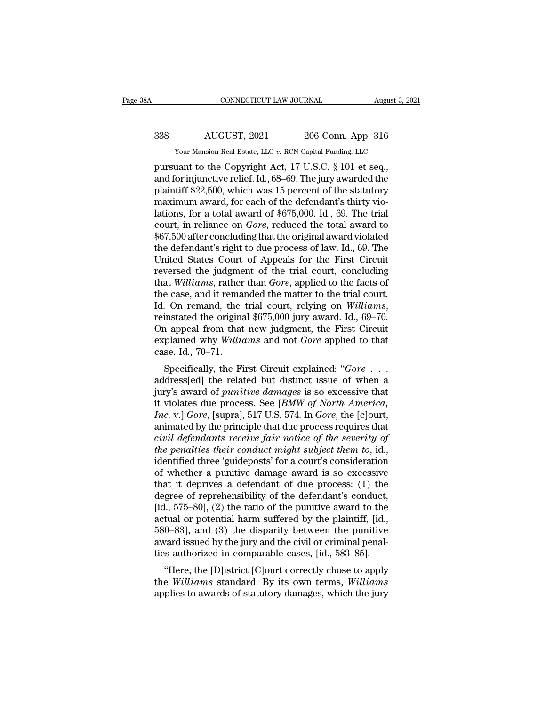# EXECUTE CONNECTICUT LAW JOURNAL August 3, 2021<br>338 AUGUST, 2021 206 Conn. App. 316<br>339 AUGUST, 2021 206 Conn. App. 316 CONNECTICUT LAW JOURNAL August 3, 2021<br>  $\frac{338}{100}$  AUGUST, 2021 206 Conn. App. 316<br>
Your Mansion Real Estate, LLC *v.* RCN Capital Funding, LLC<br>
pursuant to the Copyright Act, 17 U.S.C. § 101 et seq.,

cONNECTICUT LAW JOURNAL August 3, 2<br>
338 AUGUST, 2021 206 Conn. App. 316<br>
Your Mansion Real Estate, LLC v. RCN Capital Funding, LLC<br>
pursuant to the Copyright Act, 17 U.S.C. § 101 et seq.,<br>
and for injunctive relief. Id., and for injunctive relief. Id., 68–69. The jury awarded the plaintiff \$22,500, which was 15 percent of the statutory maximum award for each of the defendant's thirty view and for injunctive relief. Id., 68–69. The jury awa 338 AUGUST, 2021 206 Conn. App. 316<br>
Your Mansion Real Estate, LLC v. RCN Capital Funding, LLC<br>
pursuant to the Copyright Act, 17 U.S.C. § 101 et seq.,<br>
and for injunctive relief. Id., 68–69. The jury awarded the<br>
plainti  $\frac{338}{N_{\text{our} \text{ Mansion Real Estate, LLC } v. \text{ RCN Capital Funding, LLC}}$ <br>
Tour Mansion Real Estate, LLC  $v. \text{ RCN Capital Funding, LLC}}$ <br>
pursuant to the Copyright Act, 17 U.S.C. § 101 et seq.,<br>
and for injunctive relief. Id., 68–69. The jury awarded the<br>
plaintiff \$ From Mansion Real Estate, LLC v. RCN Capital Funding, LLC<br>pursuant to the Copyright Act, 17 U.S.C. § 101 et seq.,<br>and for injunctive relief. Id., 68–69. The jury awarded the<br>plaintiff \$22,500, which was 15 percent of the Your Mansion Real Estate, LLC v. RCN Capital Funding, LLC<br>pursuant to the Copyright Act, 17 U.S.C. § 101 et seq.,<br>and for injunctive relief. Id., 68–69. The jury awarded the<br>plaintiff \$22,500, which was 15 percent of the s pursuant to the Copyright Act, 17 U.S.C. § 101 et seq.,<br>and for injunctive relief. Id., 68–69. The jury awarded the<br>plaintiff \$22,500, which was 15 percent of the statutory<br>maximum award, for each of the defendant's thirty and for injunctive relief. Id., 68–69. The jury awarded the plaintiff \$22,500, which was 15 percent of the statutory maximum award, for each of the defendant's thirty violations, for a total award of \$675,000. Id., 69. The plaintiff \$22,500, which was 15 percent of the statutory<br>maximum award, for each of the defendant's thirty vio-<br>lations, for a total award of \$675,000. Id., 69. The trial<br>court, in reliance on *Gore*, reduced the total awa maximum award, for each of the defendant's thirty violations, for a total award of \$675,000. Id., 69. The trial court, in reliance on *Gore*, reduced the total award to \$67,500 after concluding that the original award viol lations, for a total award of \$675,000. Id., 69. The trial<br>
court, in reliance on *Gore*, reduced the total award to<br>
\$67,500 after concluding that the original award violated<br>
the defendant's right to due process of law. court, in reliance on *Gore*, reduced the total award to  $$67,500$  after concluding that the original award violated the defendant's right to due process of law. Id., 69. The United States Court of Appeals for the First C \$67,500 after concluding that the original award violated<br>the defendant's right to due process of law. Id., 69. The<br>United States Court of Appeals for the First Circuit<br>reversed the judgment of the trial court, concluding<br> United States Court of Appeals for the First Circuit<br>reversed the judgment of the trial court, concluding<br>that *Williams*, rather than *Gore*, applied to the facts of<br>the case, and it remanded the matter to the trial court reversed the judgment of the trial court, concluding<br>that *Williams*, rather than *Gore*, applied to the facts of<br>the case, and it remanded the matter to the trial court.<br>Id. On remand, the trial court, relying on *William* that *Williams*, rather<br>the case, and it remand<br>Id. On remand, the<br>reinstated the origina<br>On appeal from that<br>explained why *Willic*<br>case. Id., 70–71.<br>Specifically, the Fi Id. On remand, the trial court, relying on *Williams*,<br>reinstated the original \$675,000 jury award. Id., 69–70.<br>On appeal from that new judgment, the First Circuit<br>explained why *Williams* and not *Gore* applied to that<br>ca

remstated the original \$075,000 Jury award. 1d., 09–70.<br>On appeal from that new judgment, the First Circuit<br>explained why *Williams* and not *Gore* applied to that<br>case. Id., 70–71.<br>Specifically, the First Circuit explaine on appear from that hew judgment, the First Circuit<br>explained why *Williams* and not *Gore* applied to that<br>case. Id., 70–71.<br>Specifically, the First Circuit explained: "*Gore* . . .<br>address[ed] the related but distinct is *Inc. Inc. Inc. Inc. Inc. Inc. Inc. Inc. Inc. Inc. Inc. Inc. Inc. Inc. Inc. Inc. Inc. Inc. Inc. Inc. Inc. Inc. Inc. Inc. Inc. Inc. Inc. Inc. Inc. Inc. Inc. Inc.* Case. Id.,  $10-11$ .<br>Specifically, the First Circuit explained: " $Gore$ ...<br>address[ed] the related but distinct issue of when a<br>jury's award of *punitive damages* is so excessive that<br>it violates due process. See [*BMW of No* Specifically, the First Circuit explained: "*Gore* . . . address[ed] the related but distinct issue of when a<br>jury's award of *punitive damages* is so excessive that<br>it violates due process. See [*BMW of North America*,<br>*I* address[ed] the related but distinct issue of when a<br>jury's award of *punitive damages* is so excessive that<br>it violates due process. See [*BMW of North America*,<br>*Inc.* v.] *Gore*, [supra], 517 U.S. 574. In *Gore*, the [c jury's award of *punitive damages* is so excessive that<br>it violates due process. See [*BMW of North America*,<br>*Inc.* v.] Gore, [supra], 517 U.S. 574. In Gore, the [c]ourt,<br>animated by the principle that due process require it violates due process. See [*BMW of North America*,<br>*Inc.* v.] *Gore*, [supra], 517 U.S. 574. In *Gore*, the [c]ourt,<br>animated by the principle that due process requires that<br>*civil defendants receive fair notice of the* Inc. v.] Gore, [supra], 517 U.S. 574. In Gore, the [c]ourt,<br>animated by the principle that due process requires that<br>civil defendants receive fair notice of the severity of<br>the penalties their conduct might subject them t animated by the principle that due process requires that<br>civil defendants receive fair notice of the severity of<br>the penalties their conduct might subject them to, id.,<br>identified three 'guideposts' for a court's considera civil defendants receive fair notice of the severity of<br>the penalties their conduct might subject them to, id.,<br>identified three 'guideposts' for a court's consideration<br>of whether a punitive damage award is so excessive<br> the penalties their conduct might subject them to, id.,<br>identified three 'guideposts' for a court's consideration<br>of whether a punitive damage award is so excessive<br>that it deprives a defendant of due process: (1) the<br>degr identified three 'guideposts' for a court's consideration<br>of whether a punitive damage award is so excessive<br>that it deprives a defendant of due process: (1) the<br>degree of reprehensibility of the defendant's conduct,<br>[id. of whether a punitive damage award is so excessive<br>that it deprives a defendant of due process: (1) the<br>degree of reprehensibility of the defendant's conduct,<br>[id., 575–80], (2) the ratio of the punitive award to the<br>actua that it deprives a defendant of due process:  $(1)$  the degree of reprehensibility of the defendant's conduct,  $[id., 575–80], (2)$  the ratio of the punitive award to the actual or potential harm suffered by the plaintiff,  $[id$ less of reprenents about the detendant stronduct,<br>
1, 575–80], (2) the ratio of the punitive award to the<br>
tual or potential harm suffered by the plaintiff, [id.,<br>
0–83], and (3) the disparity between the punitive<br>
vard is pd., *913*–60], (2) the ratio of the puntive award to the actual or potential harm suffered by the plaintiff, [id., 580–83], and (3) the disparity between the punitive award issued by the jury and the civil or criminal pen actual of potential names suffered by the plantin, [id., 580–83], and (3) the disparity between the punitive award issued by the jury and the civil or criminal penalties authorized in comparable cases, [id., 583–85].<br>
"Her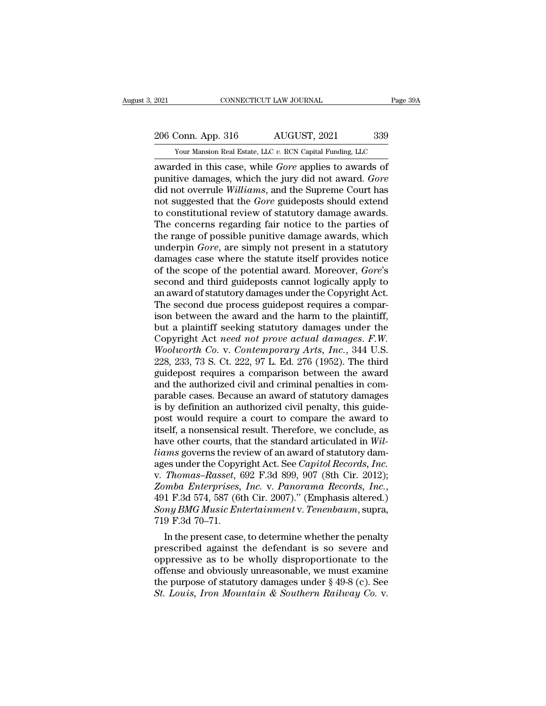# 2021 CONNECTICUT LAW JOURNAL Page 39A<br>206 Conn. App. 316 AUGUST, 2021 339<br>206 Conn. App. 316 AUGUST, 2021 339

The Tage 39A CONNECTICUT LAW JOURNAL Page 39A<br>
206 Conn. App. 316 AUGUST, 2021 339<br>
Your Mansion Real Estate, LLC *v.* RCN Capital Funding, LLC<br>
awarded in this case, while *Gore* applies to awards of 2021 CONNECTICUT LAW JOURNAL Page 394<br>
206 Conn. App. 316 AUGUST, 2021 339<br>
Your Mansion Real Estate, LLC v. RCN Capital Funding, LLC<br>
awarded in this case, while *Gore* applies to awards of<br>
punitive damages, which the ju 206 Conn. App. 316 AUGUST, 2021 339<br>
Your Mansion Real Estate, LLC v. RCN Capital Funding, LLC<br>
awarded in this case, while *Gore* applies to awards of<br>
punitive damages, which the jury did not award. *Gore*<br>
did not overr 206 Conn. App. 316 AUGUST, 2021 339<br>
Your Mansion Real Estate, LLC v. RCN Capital Funding, LLC<br>
awarded in this case, while *Gore* applies to awards of<br>
punitive damages, which the jury did not award. *Gore*<br>
did not overr 206 Conn. App. 316 AUGUST, 2021 339<br>
Your Mansion Real Estate, LLC v. RCN Capital Funding, LLC<br>
awarded in this case, while *Gore* applies to awards of<br>
punitive damages, which the jury did not award. *Gore*<br>
did not overr The constitution Real Estate, LLC v. RCN Capital Funding, LLC<br>awarded in this case, while *Gore* applies to awards of<br>punitive damages, which the jury did not award. *Gore*<br>did not overrule *Williams*, and the Supreme Cou Your Mansion Real Estate, LLC  $v$ . RCN Capital Funding, LLC<br>awarded in this case, while *Gore* applies to awards of<br>punitive damages, which the jury did not award. *Gore*<br>did not overrule *Williams*, and the Supreme Court awarded in this case, while *Gore* applies to awards of<br>punitive damages, which the jury did not award. *Gore*<br>did not overrule *Williams*, and the Supreme Court has<br>not suggested that the *Gore* guideposts should extend<br>t punitive damages, which the jury did not award. *Gore*<br>did not overrule *Williams*, and the Supreme Court has<br>not suggested that the *Gore* guideposts should extend<br>to constitutional review of statutory damage awards.<br>The did not overrule *Williams*, and the Supreme Court has<br>not suggested that the *Gore* guideposts should extend<br>to constitutional review of statutory damage awards.<br>The concerns regarding fair notice to the parties of<br>the ra not suggested that the *Gore* guideposts should extend<br>to constitutional review of statutory damage awards.<br>The concerns regarding fair notice to the parties of<br>the range of possible punitive damage awards, which<br>underpin to constitutional review of statutory damage awards.<br>The concerns regarding fair notice to the parties of<br>the range of possible punitive damage awards, which<br>underpin *Gore*, are simply not present in a statutory<br>damages c The concerns regarding fair notice to the parties of<br>the range of possible punitive damage awards, which<br>underpin *Gore*, are simply not present in a statutory<br>damages case where the statute itself provides notice<br>of the s the range of possible punitive damage awards, which<br>underpin *Gore*, are simply not present in a statutory<br>damages case where the statute itself provides notice<br>of the scope of the potential award. Moreover, *Gore*'s<br>secon underpin *Gore*, are simply not present in a statutory<br>damages case where the statute itself provides notice<br>of the scope of the potential award. Moreover, *Gore's*<br>second and third guideposts cannot logically apply to<br>an damages case where the statute itself provides notice<br>of the scope of the potential award. Moreover, *Gore's*<br>second and third guideposts cannot logically apply to<br>an award of statutory damages under the Copyright Act.<br>The of the scope of the potential award. Moreover, *Gore's*<br>second and third guideposts cannot logically apply to<br>an award of statutory damages under the Copyright Act.<br>The second due process guidepost requires a compar-<br>ison second and third guideposts cannot logically apply to<br>an award of statutory damages under the Copyright Act.<br>The second due process guidepost requires a compar-<br>ison between the award and the harm to the plaintiff,<br>but a p an award of statutory damages under the Copyright Act.<br>The second due process guidepost requires a comparison between the award and the harm to the plaintiff,<br>but a plaintiff seeking statutory damages under the<br>Copyright A The second due process guidepost requires a comparison between the award and the harm to the plaintiff,<br>but a plaintiff seeking statutory damages under the<br>Copyright Act *need not prove actual damages. F.W.*<br>Woolworth Co. ison between the award and the harm to the plaintiff,<br>but a plaintiff seeking statutory damages under the<br>Copyright Act *need not prove actual damages. F.W.*<br>Woolworth Co. v. Contemporary Arts, Inc., 344 U.S.<br>228, 233, 73 but a plaintiff seeking statutory damages under the<br>Copyright Act *need not prove actual damages. F.W.*<br>Woolworth Co. v. Contemporary Arts, Inc., 344 U.S.<br>228, 233, 73 S. Ct. 222, 97 L. Ed. 276 (1952). The third<br>guidepost Copyright Act *need not prove actual damages. F.W.*<br>Woolworth Co. v. Contemporary Arts, Inc., 344 U.S.<br>228, 233, 73 S. Ct. 222, 97 L. Ed. 276 (1952). The third<br>guidepost requires a comparison between the award<br>and the auth *Woolworth Co. v. Contemporary Arts, Inc.*, 344 U.S.<br>228, 233, 73 S. Ct. 222, 97 L. Ed. 276 (1952). The third<br>guidepost requires a comparison between the award<br>and the authorized civil and criminal penalties in com-<br>parab 228, 233, 73 S. Ct. 222, 97 L. Ed. 276 (1952). The third<br>guidepost requires a comparison between the award<br>and the authorized civil and criminal penalties in com-<br>parable cases. Because an award of statutory damages<br>is by guidepost requires a comparison between the award<br>and the authorized civil and criminal penalties in com-<br>parable cases. Because an award of statutory damages<br>is by definition an authorized civil penalty, this guide-<br>post and the authorized civil and criminal penalties in comparable cases. Because an award of statutory damages<br>is by definition an authorized civil penalty, this guide-<br>post would require a court to compare the award to<br>itself parable cases. Because an award of statutory damages<br>is by definition an authorized civil penalty, this guide-<br>post would require a court to compare the award to<br>itself, a nonsensical result. Therefore, we conclude, as<br>hav is by definition an authorized civil penalty, this guide-<br>post would require a court to compare the award to<br>itself, a nonsensical result. Therefore, we conclude, as<br>have other courts, that the standard articulated in Wilpost would require a court to compare the award to<br>itself, a nonsensical result. Therefore, we conclude, as<br>have other courts, that the standard articulated in *Wil-<br>liams* governs the review of an award of statutory dam-<br> have other courts, that the standard articulated in Will-<br>*liams* governs the review of an award of statutory dam-<br>ages under the Copyright Act. See *Capitol Records*, *Inc.*<br>v. *Thomas–Rasset*, 692 F.3d 899, 907 (8th Cir. liams governs the revages under the Copyr<br>v. Thomas–Rasset, 6<br>Zomba Enterprises,<br>491 F.3d 574, 587 (6t<br>Sony BMG Music En<br>719 F.3d 70–71.<br>In the present case es under the Copyright Act. See Capitol Records, Inc.<br>
Thomas–Rasset, 692 F.3d 899, 907 (8th Cir. 2012);<br>
mba Enterprises, Inc. v. Panorama Records, Inc.,<br>
1 F.3d 574, 587 (6th Cir. 2007)." (Emphasis altered.)<br>
my BMG Mus v. Thomas–Rasset, 692 F.3d 899, 907 (8th Cir. 2012);<br>Zomba Enterprises, Inc. v. Panorama Records, Inc.,<br>491 F.3d 574, 587 (6th Cir. 2007)." (Emphasis altered.)<br>Sony BMG Music Entertainment v. Tenenbaum, supra,<br>719 F.3d 70–

zomba Enterprises, Inc. v. Panorama Recoras, Inc.,<br>491 F.3d 574, 587 (6th Cir. 2007)." (Emphasis altered.)<br>Sony BMG Music Entertainment v. Tenenbaum, supra,<br>719 F.3d 70–71.<br>In the present case, to determine whether the pe 491 F.3d 574, 587 (oth Cir. 2007)." (Emphasis altered.)<br>
Sony BMG Music Entertainment v. Tenenbaum, supra,<br>
719 F.3d 70–71.<br>
In the present case, to determine whether the penalty<br>
prescribed against the defendant is so se Sony BMG Music Entertainment v. Tenenoaum, supra,<br>
719 F.3d 70–71.<br>
In the present case, to determine whether the penalty<br>
prescribed against the defendant is so severe and<br>
oppressive as to be wholly disproportionate to *St. Louis, Iron Mountain & Southern file penalty*<br>
In the present case, to determine whether the penalty<br>
prescribed against the defendant is so severe and<br>
oppressive as to be wholly disproportionate to the<br>
offense and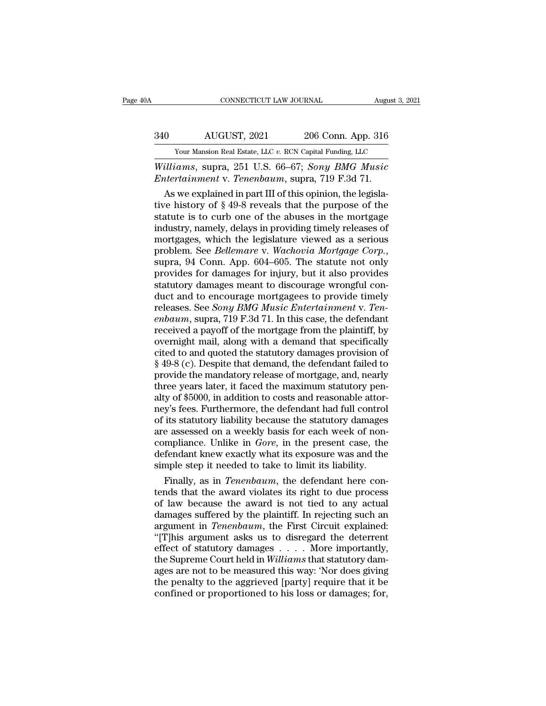# CONNECTICUT LAW JOURNAL August 3, 2021<br>340 AUGUST, 2021 206 Conn. App. 316<br>300 Your Mansion Real Estate, LLC v. RCN Capital Funding, LLC

CONNECTICUT LAW JOURNAL August 3, 2021<br>  $\frac{340}{\text{Your Mason Real Estimate, LLC } v. \text{ RCN Capital Funding, LLC}}$ <br>
Williams, supra, 251 U.S. 66–67; Sony BMG Music *CONNECTICUT LAW JOURNAL* August 3, 2021<br> **Williams**, Supra, 251 U.S. 66–67; *Sony BMG Music*<br> *Entertainment v. Tenenbaum*, supra, 719 F.3d 71. *Entertainment* v. *Tenenbaum*, supra, 719 F.3d 71.<br> *Entertainment* v. *Tenenbaum*, supra, 719 F.3d 71.<br> *Entertainment* v. *Tenenbaum*, supra, 719 F.3d 71.<br>
As we explained in part III of this opinion, the legisla-

AUGUST, 2021 206 Conn. App. 316<br>
Your Mansion Real Estate, LLC v. RCN Capital Funding, LLC<br>
illiams, supra, 251 U.S. 66–67; Sony BMG Music<br>
intertainment v. Tenenbaum, supra, 719 F.3d 71.<br>
As we explained in part III of t  $\frac{340}{100}$  AUGUST, 2021 206 Conn. App. 316<br>
Your Mansion Real Estate, LLC v. RCN Capital Funding, LLC<br>
Williams, supra, 251 U.S. 66–67; Sony BMG Music<br>
Entertainment v. Tenenbaum, supra, 719 F.3d 71.<br>
As we explained i Four Mansion Real Estate, LLC v. RCN Capital Funding, LLC<br>
Williams, supra, 251 U.S. 66–67; Sony BMG Music<br>
Entertainment v. Tenenbaum, supra, 719 F.3d 71.<br>
As we explained in part III of this opinion, the legisla-<br>
tive *is a halsen hear Estat, Elevi Refr* explaint diality, Elevi Villiams, Supra, 251 U.S. 66–67; Sony BMG Music Entertainment v. Tenenbaum, supra, 719 F.3d 71.<br>As we explained in part III of this opinion, the legislative his *Williams*, supra, 251 U.S. 66–67; *Sony BMG Music*<br> *Entertainment* v. *Tenenbaum*, supra, 719 F.3d 71.<br>
As we explained in part III of this opinion, the legislative history of § 49-8 reveals that the purpose of the<br>
sta Entertainment v. *Tenenbaum*, supra, 719 F.3d 71.<br>As we explained in part III of this opinion, the legislative history of § 49-8 reveals that the purpose of the<br>statute is to curb one of the abuses in the mortgage<br>industry tive history of § 49-8 reveals that the purpose of the<br>statute is to curb one of the abuses in the mortgage<br>industry, namely, delays in providing timely releases of<br>mortgages, which the legislature viewed as a serious<br>prob statute is to curb one of the abuses in the mortgage<br>industry, namely, delays in providing timely releases of<br>mortgages, which the legislature viewed as a serious<br>problem. See *Bellemare* v. Wachovia Mortgage Corp.,<br>supra, industry, namely, delays in providing timely releases of<br>mortgages, which the legislature viewed as a serious<br>problem. See *Bellemare* v. Wachovia Mortgage Corp.,<br>supra, 94 Conn. App. 604–605. The statute not only<br>provides mortgages, which the legislature viewed as a serious<br>problem. See *Bellemare* v. *Wachovia Mortgage Corp.*,<br>supra, 94 Conn. App. 604–605. The statute not only<br>provides for damages for injury, but it also provides<br>statutory problem. See *Bellemare* v. *Wachovia Mortgage Corp.*,<br>supra, 94 Conn. App. 604–605. The statute not only<br>provides for damages for injury, but it also provides<br>statutory damages meant to discourage wrongful con-<br>duct and t supra, 94 Conn. App. 604–605. The statute not only<br>provides for damages for injury, but it also provides<br>statutory damages meant to discourage wrongful con-<br>duct and to encourage mortgagees to provide timely<br>releases. See provides for damages for injury, but it also provides<br>statutory damages meant to discourage wrongful con-<br>duct and to encourage mortgagees to provide timely<br>releases. See *Sony BMG Music Entertainment* v. *Ten-*<br>*enbaum*, statutory damages meant to discourage wrongful con-<br>duct and to encourage mortgagees to provide timely<br>releases. See *Sony BMG Music Entertainment* v. *Ten-*<br>enbaum, supra, 719 F.3d 71. In this case, the defendant<br>received duct and to encourage mortgagees to provide timely<br>releases. See *Sony BMG Music Entertainment* v. *Ten-*<br>*enbaum*, supra, 719 F.3d 71. In this case, the defendant<br>received a payoff of the mortgage from the plaintiff, by<br>o releases. See *Sony BMG Music Entertainment* v. *Ten-*<br>enbaum, supra, 719 F.3d 71. In this case, the defendant<br>received a payoff of the mortgage from the plaintiff, by<br>overnight mail, along with a demand that specifically<br> enbaum, supra, 719 F.3d 71. In this case, the defendant<br>received a payoff of the mortgage from the plaintiff, by<br>overnight mail, along with a demand that specifically<br>cited to and quoted the statutory damages provision of<br> received a payoff of the mortgage from the plaintiff, by<br>overnight mail, along with a demand that specifically<br>cited to and quoted the statutory damages provision of<br>§ 49-8 (c). Despite that demand, the defendant failed to overnight mail, along with a demand that specifically<br>cited to and quoted the statutory damages provision of<br>§ 49-8 (c). Despite that demand, the defendant failed to<br>provide the mandatory release of mortgage, and, nearly<br>t cited to and quoted the statutory damages provision of<br>§ 49-8 (c). Despite that demand, the defendant failed to<br>provide the mandatory release of mortgage, and, nearly<br>three years later, it faced the maximum statutory pen-<br>  $\S$  49-8 (c). Despite that demand, the defendant failed to<br>provide the mandatory release of mortgage, and, nearly<br>three years later, it faced the maximum statutory pen-<br>alty of \$5000, in addition to costs and reasonable a provide the mandatory release of mortgage, and, nearly<br>three years later, it faced the maximum statutory pen-<br>alty of \$5000, in addition to costs and reasonable attor-<br>ney's fees. Furthermore, the defendant had full contro three years later, it faced the maximum statutory penalty of \$5000, in addition to costs and reasonable attorney's fees. Furthermore, the defendant had full control of its statutory liability because the statutory damages alty of \$5000, in addition to costs and reasonable attomey's fees. Furthermore, the defendant had full control of its statutory liability because the statutory damages are assessed on a weekly basis for each week of non-c y's fees. Furthermore, the defendant had full control<br>its statutory liability because the statutory damages<br>e assessed on a weekly basis for each week of non-<br>mpliance. Unlike in *Gore*, in the present case, the<br>fendant kn of its statutory liability because the statutory damages<br>are assessed on a weekly basis for each week of non-<br>compliance. Unlike in *Gore*, in the present case, the<br>defendant knew exactly what its exposure was and the<br>simp

are assessed on a weekly basis for each week of non-<br>compliance. Unlike in *Gore*, in the present case, the<br>defendant knew exactly what its exposure was and the<br>simple step it needed to take to limit its liability.<br>Finally compliance. Unlike in *Gore*, in the present case, the<br>defendant knew exactly what its exposure was and the<br>simple step it needed to take to limit its liability.<br>Finally, as in *Tenenbaum*, the defendant here con-<br>tends th defendant knew exactly what its exposure was and the<br>simple step it needed to take to limit its liability.<br>Finally, as in *Tenenbaum*, the defendant here con-<br>tends that the award violates its right to due process<br>of law b simple step it needed to take to limit its liability.<br>
Finally, as in *Tenenbaum*, the defendant here contends that the award violates its right to due process<br>
of law because the award is not tied to any actual<br>
damages Finally, as in *Tenenbaum*, the defendant here contends that the award violates its right to due process of law because the award is not tied to any actual damages suffered by the plaintiff. In rejecting such an argument tends that the award violates its right to due process<br>of law because the award is not tied to any actual<br>damages suffered by the plaintiff. In rejecting such an<br>argument in *Tenenbaum*, the First Circuit explained:<br>"[T]hi of law because the award is not tied to any actual<br>damages suffered by the plaintiff. In rejecting such an<br>argument in *Tenenbaum*, the First Circuit explained:<br>"[T]his argument asks us to disregard the deterrent<br>effect of damages suffered by the plaintiff. In rejecting such an argument in *Tenenbaum*, the First Circuit explained: "[T]his argument asks us to disregard the deterrent effect of statutory damages . . . . More importantly, the Su argument in *Tenenbaum*, the First Circuit explained:<br>"[T]his argument asks us to disregard the deterrent<br>effect of statutory damages . . . . More importantly,<br>the Supreme Court held in *Williams* that statutory dam-<br>ages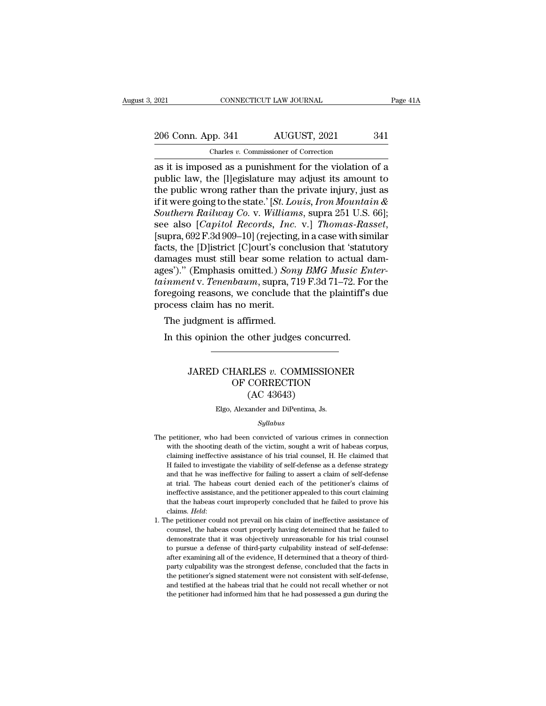EXECUTE 2021 CONNECTICUT LAW JOURNAL Page 41A<br>
206 Conn. App. 341 AUGUST, 2021 341<br>
Charles v. Commissioner of Correction<br>
as it is imposed as a punishment for the violation of a<br>
public law, the [l]egislature may adjust i 206 Conn. App. 341 AUGUST, 2021 341<br>
Charles v. Commissioner of Correction<br>
as it is imposed as a punishment for the violation of a<br>
public law, the [l]egislature may adjust its amount to<br>
the public wrong rather than the 206 Conn. App. 341 AUGUST, 2021 341<br>
Charles v. Commissioner of Correction<br>
as it is imposed as a punishment for the violation of a<br>
public law, the [l]egislature may adjust its amount to<br>
the public wrong rather than the 206 Conn. App. 341 AUGUST, 2021 341<br>
Charles v. Commissioner of Correction<br>
as it is imposed as a punishment for the violation of a<br>
public law, the [l]egislature may adjust its amount to<br>
the public wrong rather than the *Southern Railway Co. v. Williams, supra 251 U.S. 66]*;<br>
Southern Railway Co. *v. Williams, supra 251 U.S. 66]*<br>
Southern Railway Co. *v. Williams, supra 251 U.S. 66]*;<br>
Southern Railway Co. *v. Williams, supra 251 U.S. 66* Charles v. Commissioner of Correction<br>as it is imposed as a punishment for the violation of a<br>public law, the [*l*]egislature may adjust its amount to<br>the public wrong rather than the private injury, just as<br>if it were goi public law, the [l]egislature may adjust its amount to<br>the public wrong rather than the private injury, just as<br>if it were going to the state.' [*St. Louis, Iron Mountain &*<br>*Southern Railway Co. v. Williams*, supra 251 U. the public wrong rather than the private injury, just as<br>if it were going to the state.' [*St. Louis, Iron Mountain &*<br>*Southern Railway Co. v. Williams,* supra 251 U.S. 66];<br>see also [*Capitol Records, Inc. v.*] *Thomas*if it were going to the state.' [*St. Louis, Iron Mountain & Southern Railway Co.* v. *Williams, supra 251 U.S. 66*]; see also [*Capitol Records, Inc. v.*] *Thomas-Rasset,* [supra, 692 F.3d 909–10] (rejecting, in a case wi *Southern Railway Co.* v. *Williams*, supra 251 U.S. 66];<br>see also [*Capitol Records, Inc.* v.] *Thomas-Rasset*,<br>[supra, 692 F.3d 909–10] (rejecting, in a case with similar<br>facts, the [D]istrict [C]ourt's conclusion that ' see also [*Capitol Records, Inc. v.*] *Thomas-Rasset,*<br>[supra, 692 F.3d 909–10] (rejecting, in a case with similar<br>facts, the [D]istrict [C]ourt's conclusion that 'statutory<br>damages must still bear some relation to actual [supra, 692 F.3d 909–10] (rejecting<br>facts, the [D]istrict [C]ourt's cond<br>damages must still bear some re<br>ages')." (Emphasis omitted.) *Son*<br>tainment v. Tenenbaum, supra, 7<br>foregoing reasons, we conclude t<br>process claim has cts, the paystrict payint is conditional mages must still bear some refers)." (Emphasis omitted.) *Soninment v. Tenenbaum*, supra, 7.<br>regoing reasons, we conclude the ocess claim has no merit.<br>The judgment is affirmed.<br>In es')." (Emphasis omitted.) *Sony BMG Music En*<br>inment v. Tenenbaum, supra, 719 F.3d 71–72. For<br>regoing reasons, we conclude that the plaintiff's<br>ocess claim has no merit.<br>The judgment is affirmed.<br>In this opinion the other

### claim has no merit.<br>
udgment is affirmed.<br>
s opinion the other judges concurred.<br>
JARED CHARLES *v*. COMMISSIONER<br>
OF CORRECTION<br>
(AC 43643) Formation of the other judges concurred.<br>
HARLES v. COMMISSIONER<br>
OF CORRECTION<br>
(AC 43643) other judges concu<br>
LES v. COMMISSI<br>
CORRECTION<br>
(AC 43643)<br>
<sub>ander</sub> and DiPentima, Js. JARED CHARLES *v*. COMMISSIONER<br>OF CORRECTION<br>(AC 43643)<br>Elgo, Alexander and DiPentima, Js.

### *Syllabus*

- The petitioner, who had been convicted of various crimes in connection<br>with the shooting death of the victim, sought a writ of habeas corpus,  $(AC 43643)$ <br>Elgo, Alexander and DiPentima, Js.<br>Syllabus<br>petitioner, who had been convicted of various crimes in connection<br>with the shooting death of the victim, sought a writ of habeas corpus,<br>claiming ineffective assist Elgo, Alexander and DiPentima, Js.<br>Syllabus<br>petitioner, who had been convicted of various crimes in connection<br>with the shooting death of the victim, sought a writ of habeas corpus,<br>claiming ineffective assistance of his t Syllabus<br>
Hage, Helahaled and Encloding, 52.<br>
Hage, Syllabus<br>
with the shooting death of the victim, sought a writ of habeas corpus,<br>
claiming ineffective assistance of his trial counsel, H. He claimed that<br>
Hailed to inve *Syllabus*<br> *and the shooting death of the victim, sought a writ of habeas corpus,*<br>
claiming ineffective assistance of his trial counsel, H. He claimed that<br>
H failed to investigate the viability of self-defense as a defe petitioner, who had been convicted of various crimes in connection<br>with the shooting death of the victim, sought a writ of habeas corpus,<br>claiming ineffective assistance of his trial counsel, H. He claimed that<br>H failed to petaloner, who had been convided of various crimes in connection,<br>with the shooting death of the victim, sought a writ of habeas corpus,<br>claiming ineffective assistance of his trial coursel, H. He claimed that<br>H failed to that the shooting details of the habeas coupled that H failed to investigate the viability of self-defense as a defense strategy and that he was ineffective for failing to assert a claim of self-defense at trial. The habea France of *Helda*: The petitioner could not prevail on his claim of self-defense at trial. The habeas court denied each of the petitioner's claims of ineffective assistance, and the petitioner appealed to this court claimi at trial. The habeas court denied each of the petitioner's claims of ineffective assistance, and the petitioner appealed to this court claiming that the habeas court improperly concluded that he failed to prove his claims.
- demonstrate that it was objectively unreasonable for his court claiming that the habeas court improperly concluded that he failed to prove his claims. *Held*:<br>he petitioner could not prevail on his claim of ineffective ass that the habeas court improperly concluded that he failed to prove his claims. *Held*:<br>he petitioner could not prevail on his claim of ineffective assistance of<br>counsel, the habeas court properly having determined that he claims. *Held:*<br>claims. *Held:*<br>he petitioner could not prevail on his claim of ineffective assistance of<br>counsel, the habeas court properly having determined that he failed to<br>demonstrate that it was objectively unreasona claims. How.<br>
The petitioner could not prevail on his claim of ineffective assistance of<br>
counsel, the habeas court properly having determined that he failed to<br>
demonstrate that it was objectively unreasonable for his tri the petitioner's signed statement with self-defense and test increase that it was objectively unreasonable for his trial counsel to demonstrate that it was objectively unreasonable for his trial counsel to pursue a defense demonstrate that it was objectively unreasonable for his trial counsel<br>demonstrate that it was objectively unreasonable for his trial counsel<br>to pursue a defense of third-party culpability instead of self-defense:<br>after ex to pursue a defense of third-party culpability instead of self-defense:<br>to pursue a defense of third-party culpability instead of self-defense:<br>after examining all of the evidence, H determined that a theory of third-<br>part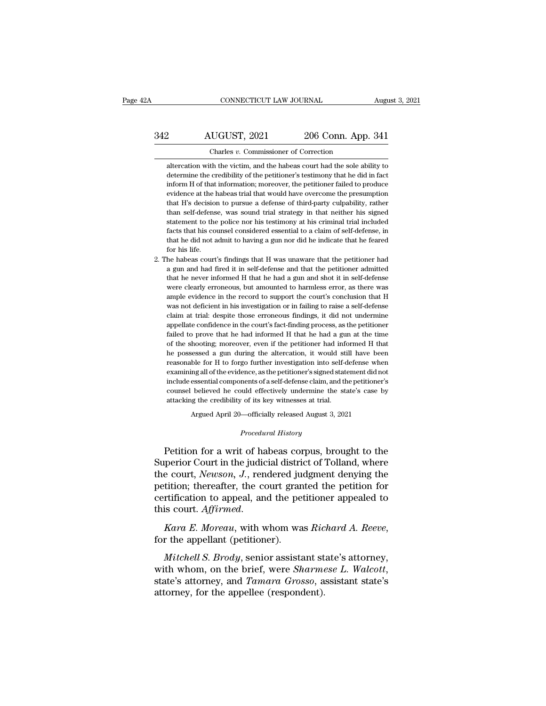# CONNECTICUT LAW JOURNAL August 3, 2021<br>342 AUGUST, 2021 206 Conn. App. 341<br>Charles v. Commissioner of Correction CONNECTICUT LAW JOURNAL Augu<br>
206 Conn. App. 341<br>
206 Conn. App. 341<br>
206 Conn. App. 341<br>
206 Conn. App. 341<br>
206 Conn. App. 341

2 AUGUST, 2021 206 Conn. App. 341<br>Charles v. Commissioner of Correction<br>altercation with the victim, and the habeas court had the sole ability to<br>determine the credibility of the petitioner's testimony that he did in fact 206 Conn. App. 341<br>Charles v. Commissioner of Correction<br>altercation with the victim, and the habeas court had the sole ability to<br>determine the credibility of the petitioner's testimony that he did in fact<br>inform H of tha 21 MUGUST, 2021 206 Conn. App. 341<br>
Charles v. Commissioner of Correction<br>
altercation with the victim, and the habeas court had the sole ability to<br>
determine the credibility of the petitioner's testimony that he did in f Charles  $v$ . Commissioner of Correction<br>altercation with the victim, and the habeas court had the sole ability to<br>determine the credibility of the petitioner's testimony that he did in fact<br>inform H of that information; m Charles  $v$ . Commissioner of Correction<br>altercation with the victim, and the habeas court had the sole ability to<br>determine the credibility of the petitioner's testimony that he did in fact<br>inform H of that information; m altercation with the victim, and the habeas court had the sole ability to determine the credibility of the petitioner's testimony that he did in fact inform H of that information; moreover, the petitioner failed to produce determine the credibility of the petitioner's testimony that he did in fact<br>inform H of that information; moreover, the petitioner failed to produce<br>evidence at the habeas trial that would have overcome the presumption<br>tha inform H of that information; moreover, the petitioner failed to produce evidence at the habeas trial that would have overcome the presumption that H's decision to pursue a defense of third-party culpability, rather than s evidence at the habeas trial that would have overcome the presumption<br>that H's decision to pursue a defense of third-party culpability, rather<br>than self-defense, was sound trial strategy in that neither his signed<br>statemen % evidence at the habeas trial that would have overcome the presumption<br>that H's decision to pursue a defense of third-party culpability, rather<br>than self-defense, was sound trial strategy in that neither his signed<br>state 2. The habeas court's findings that H was unaware that the petitioner had a gun and had fired it in self-defense and the petitioner had a gun and had fired it in self-defense and that the petitioner had a gun and had fired statement to the police nor his testimony at his criminal trial included<br>facts that his counsel considered essential to a claim of self-defense, in<br>that he did not admit to having a gun nor did he indicate that he feared<br>f

facts that his counsel considered essential to a claim of self-defense, in<br>that he did not admit to having a gun nor did he indicate that he feared<br>for his life.<br>he habeas court's findings that H was unaware that the petit that he did not admit to having a gun nor did he indicate that he feared<br>for his life.<br>he habeas court's findings that H was unaware that the petitioner had<br>a gun and had fired it in self-defense and that the petitioner ad for his life.<br>
he habeas court's findings that H was unaware that the petitioner had<br>
a gun and had fired it in self-defense and that the petitioner admitted<br>
that he never informed H that he had a gun and shot it in selfhe habeas court's findings that H was unaware that the petitioner had a gun and had fired it in self-defense and that the petitioner admitted that he never informed H that he had a gun and shot it in self-defense were clea a gun and had fired it in self-defense and that the petitioner admitted that he never informed H that he had a gun and shot it in self-defense were clearly erroneous, but amounted to harmless error, as there was ample evid appellate confidence in the court's fact-finding process, as there were clearly erroneous, but amounted to harmless error, as there was ample evidence in the record to support the court's conclusion that H was not deficien were clearly erroneous, but amounted to harmless error, as there was ample evidence in the record to support the court's conclusion that H was not deficient in his investigation or in failing to raise a self-defense claim ample evidence in the record to support the court's conclusion that H was not deficient in his investigation or in failing to raise a self-defense claim at trial: despite those erroneous findings, it did not undermine appe was not deficient in his investigation or in failing to raise a self-defense claim at trial: despite those erroneous findings, it did not undermine appellate confidence in the court's fact-finding process, as the petitione claim at trial: despite those erroneous findings, it did not undermine appellate confidence in the court's fact-finding process, as the petitioner failed to prove that he had informed H that he had a gun at the time of the appellate confidence in the court's fact-finding process, as the petitioner failed to prove that he had informed H that he had a gun at the time of the shooting; moreover, even if the petitioner had informed H that he poss failed to prove that he had informed H that he had a gun at the time of the shooting; moreover, even if the petitioner had informed H that he possessed a gun during the altercation, it would still have been reasonable for of the shooting; moreover, even if the petitioner had informed H that<br>he possessed a gun during the altercation, it would still have been<br>reasonable for H to forgo further investigation into self-defense when<br>examining all % of the shooting; moreover, even if the petitioner had informed H that<br>he possessed a gun during the altercation, it would still have been<br>reasonable for H to forgo further investigation into self-defense when<br>examining % examining all of the evidence, as the petitioner's signed statement did not include essential components of a self-defense claim, and the petitioner's counsel believed he could effectively undermine the state's case by % counsel believed he could effectively undermine the state's case by attacking the credibility of its key witnesses at trial.<br> *Procedural History*<br> *Procedural History*<br>
Petition for a writ of habeas corpus, brought to t include essential components of a self-defense claim, and the petitioner's<br>
counsel believed he could effectively undermine the state's case by<br>
attacking the credibility of its key witnesses at trial.<br>
Argued April 20—off

coursel believed he could effectively undermine the state's case by<br>attacking the credibility of its key witnesses at trial.<br>Argued April 20—officially released August 3, 2021<br>*Procedural History*<br>Petition for a writ of ha attacking the creationtly of its key witnesses at trial.<br>
Argued April 20—officially released August 3, 2021<br> *Procedural History*<br>
Petition for a writ of habeas corpus, brought to the<br>
Superior Court in the judicial distr Argued April 20—officially released August 3, 2021<br> *Procedural History*<br>
Petition for a writ of habeas corpus, brought to the<br>
Superior Court in the judicial district of Tolland, where<br>
the court, *Newson*, *J*., rendered Procedural History<br>Petition for a writ of habeas corpus, brought to the<br>Superior Court in the judicial district of Tolland, where<br>the court, Newson, J., rendered judgment denying the<br>petition; thereafter, the court granted Frocedular Hoster, brought to the<br>Superior Court in the judicial district of Tolland, where<br>the court, *Newson*, *J*., rendered judgment denying the<br>petition; thereafter, the court granted the petition for<br>certification to *Mittion*; thereafter, the court granted the petition for<br> *Mitchell S. Brody*, with whom was *Richard A. Reeve*,<br> *Mitchell S. Brody*, senior assistant state's attorney,<br> *Mitchell S. Brody*, senior assistant state's atto

certification to appeal, and the petitioner appealed to<br>this court. Affirmed.<br>Kara E. Moreau, with whom was Richard A. Reeve,<br>for the appellant (petitioner).<br>Mitchell S. Brody, senior assistant state's attorney,<br>with whom, Kara E. Moreau, with whom was Ric<br>for the appellant (petitioner).<br>Mitchell S. Brody, senior assistant st<br>with whom, on the brief, were Sharme<br>state's attorney, and Tamara Grosso, a<br>attorney, for the appellee (respondent).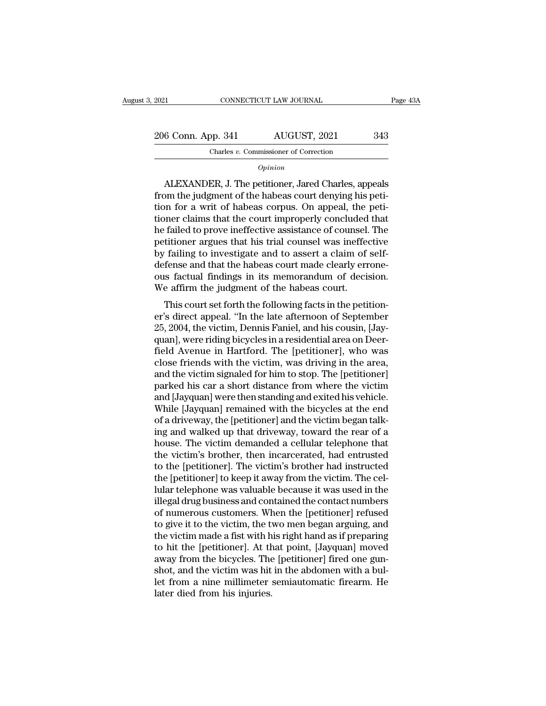2021 CONNECTICUT LAW JOURNAL Page 43A<br>
206 Conn. App. 341 AUGUST, 2021 343<br>
Charles v. Commissioner of Correction Charles *v.* Commissioner of Correction

*Opinion*

6 Conn. App. 341 AUGUST, 2021 343<br>
Charles v. Commissioner of Correction<br>
Opinion<br>
ALEXANDER, J. The petitioner, Jared Charles, appeals<br>
om the judgment of the habeas court denying his peti-206 Conn. App. 341 AUGUST, 2021 343<br>
Charles v. Commissioner of Correction<br>
Opinion<br>
ALEXANDER, J. The petitioner, Jared Charles, appeals<br>
from the judgment of the habeas court denying his peti-<br>
tion for a writ of habeas 206 Conn. App. 341 AUGUST, 2021 343<br>
Charles *v.* Commissioner of Correction<br> *Opinion*<br>
ALEXANDER, J. The petitioner, Jared Charles, appeals<br>
from the judgment of the habeas court denying his peti-<br>
tion for a writ of ha Charles v. Commissioner of Correction<br>
Opinion<br>
Charles, appeals<br>
from the judgment of the habeas court denying his peti-<br>
tion for a writ of habeas corpus. On appeal, the peti-<br>
tioner claims that the court improperly con Opinion<br>
Opinion<br>
ALEXANDER, J. The petitioner, Jared Charles, appeals<br>
from the judgment of the habeas court denying his peti-<br>
tion for a writ of habeas corpus. On appeal, the peti-<br>
tioner claims that the court improper *Common*<br>ALEXANDER, J. The petitioner, Jared Charles, appeals<br>from the judgment of the habeas count denying his peti-<br>tion for a writ of habeas corpus. On appeal, the peti-<br>tioner claims that the court improperly concluded ALEXANDER, J. The petitioner, Jared Charles, appeals<br>from the judgment of the habeas court denying his peti-<br>tion for a writ of habeas corpus. On appeal, the peti-<br>tioner claims that the court improperly concluded that<br>he from the judgment of the habeas court denying his petition for a writ of habeas corpus. On appeal, the petitioner claims that the court improperly concluded that he failed to prove ineffective assistance of counsel. The pe tion for a writ of habeas corpus. On appeal, the petitioner claims that the court improperly concluded that he failed to prove ineffective assistance of counsel. The petitioner argues that his trial counsel was ineffective tioner claims that the court improperly concluded<br>he failed to prove ineffective assistance of counsel.<br>petitioner argues that his trial counsel was ineffect<br>by failing to investigate and to assert a claim of<br>defense and t Talled to prove memetive assistance of coursel. The<br>titioner argues that his trial counsel was ineffective<br>failing to investigate and to assert a claim of self-<br>fense and that the habeas court made clearly errone-<br>a factua petitioner argues that his that courser was inerfective<br>by failing to investigate and to assert a claim of self-<br>defense and that the habeas court made clearly errone-<br>ous factual findings in its memorandum of decision.<br>We

by rannig to investigate and to assert a claim of sen-<br>defense and that the habeas court made clearly errone-<br>ous factual findings in its memorandum of decision.<br>We affirm the judgment of the habeas court.<br>This court set f deferise and that the habeas court inade clearly errone-<br>ous factual findings in its memorandum of decision.<br>We affirm the judgment of the habeas court.<br>This court set forth the following facts in the petition-<br>er's direct ous factuar findings in its memorantum of decision.<br>We affirm the judgment of the habeas court.<br>This court set forth the following facts in the petition-<br>er's direct appeal. "In the late afternoon of September<br>25, 2004, th We amin't the judgment of the habeas court.<br>This court set forth the following facts in the petition-<br>er's direct appeal. "In the late afternoon of September<br>25, 2004, the victim, Dennis Faniel, and his cousin, [Jay-<br>quan] This court set forth the following facts in the petition-<br>er's direct appeal. "In the late afternoon of September<br>25, 2004, the victim, Dennis Faniel, and his cousin, [Jay-<br>quan], were riding bicycles in a residential area er's direct appeal. "In the late afternoon of September<br>25, 2004, the victim, Dennis Faniel, and his cousin, [Jay-<br>quan], were riding bicycles in a residential area on Deer-<br>field Avenue in Hartford. The [petitioner], who 25, 2004, the victim, Dennis Faniel, and his cousin, [Jayquan], were riding bicycles in a residential area on Deerfield Avenue in Hartford. The [petitioner], who was close friends with the victim, was driving in the area, quan], were riding bicycles in a residential area on Deer-<br>field Avenue in Hartford. The [petitioner], who was<br>close friends with the victim, was driving in the area,<br>and the victim signaled for him to stop. The [petitione field Avenue in Hartford. The [petitioner], who was<br>close friends with the victim, was driving in the area,<br>and the victim signaled for him to stop. The [petitioner]<br>parked his car a short distance from where the victim<br>an close friends with the victim, was driving in the area,<br>and the victim signaled for him to stop. The [petitioner]<br>parked his car a short distance from where the victim<br>and [Jayquan] were then standing and exited his vehicl and the victim signaled for him to stop. The [petitioner]<br>parked his car a short distance from where the victim<br>and [Jayquan] were then standing and exited his vehicle.<br>While [Jayquan] remained with the bicycles at the end parked his car a short distance from where the victim<br>and [Jayquan] were then standing and exited his vehicle.<br>While [Jayquan] remained with the bicycles at the end<br>of a driveway, the [petitioner] and the victim began talk and [Jayquan] were then standing and exited his vehicle.<br>While [Jayquan] remained with the bicycles at the end<br>of a driveway, the [petitioner] and the victim began talk-<br>ing and walked up that driveway, toward the rear of While [Jayquan] remained with the bicycles at the end<br>of a driveway, the [petitioner] and the victim began talk-<br>ing and walked up that driveway, toward the rear of a<br>house. The victim demanded a cellular telephone that<br>th of a driveway, the [petitioner] and the victim began talking and walked up that driveway, toward the rear of a<br>house. The victim demanded a cellular telephone that<br>the victim's brother, then incarcerated, had entrusted<br>to ing and walked up that driveway, toward the rear of a<br>house. The victim demanded a cellular telephone that<br>the victim's brother, then incarcerated, had entrusted<br>to the [petitioner]. The victim's brother had instructed<br>the house. The victim demanded a cellular telephone that<br>the victim's brother, then incarcerated, had entrusted<br>to the [petitioner]. The victim's brother had instructed<br>the [petitioner] to keep it away from the victim. The cel the victim's brother, then incarcerated, had entrusted<br>to the [petitioner]. The victim's brother had instructed<br>the [petitioner] to keep it away from the victim. The cel-<br>lular telephone was valuable because it was used in to the [petitioner]. The victim's brother had instructed<br>the [petitioner] to keep it away from the victim. The cel-<br>lular telephone was valuable because it was used in the<br>illegal drug business and contained the contact nu the [petitioner] to keep it away from the victim. The cel-<br>lular telephone was valuable because it was used in the<br>illegal drug business and contained the contact numbers<br>of numerous customers. When the [petitioner] refuse lular telephone was valuable because it was used in the illegal drug business and contained the contact numbers of numerous customers. When the [petitioner] refused to give it to the victim, the two men began arguing, and illegal drug business and contained the contact numbers<br>of numerous customers. When the [petitioner] refused<br>to give it to the victim, the two men began arguing, and<br>the victim made a fist with his right hand as if prepari of numerous customers. When the [petitioner] refused<br>to give it to the victim, the two men began arguing, and<br>the victim made a fist with his right hand as if preparing<br>to hit the [petitioner]. At that point, [Jayquan] mov to give it to the victim, the the victim made a fist with h<br>to hit the [petitioner]. At th<br>away from the bicycles. The<br>shot, and the victim was hit<br>let from a nine millimeter :<br>later died from his injuries.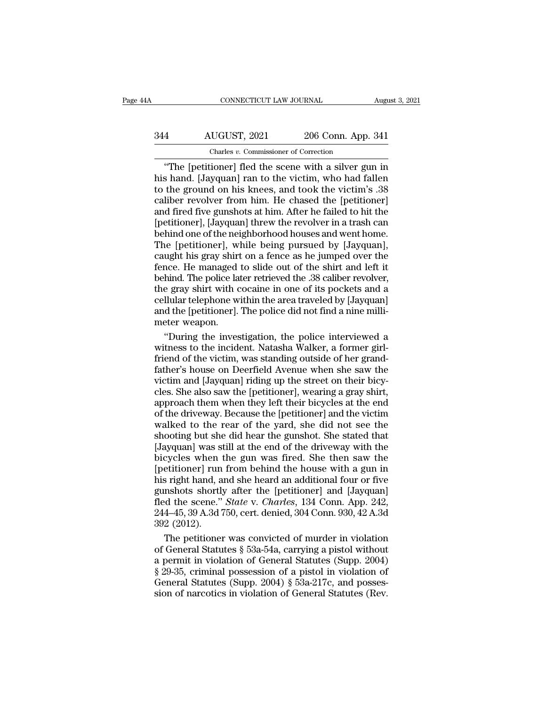# CONNECTICUT LAW JOURNAL August 3, 2021<br>344 AUGUST, 2021 206 Conn. App. 341<br>Charles v. Commissioner of Correction CONNECTICUT LAW JOURNAL<br>
UGUST, 2021 206 Conn. App.<br>
Charles *v.* Commissioner of Correction<br>
ioner Ifled the scene with a silver *s*u

CONNECTICUT LAW JOURNAL August 3, 2021<br>
4 AUGUST, 2021 206 Conn. App. 341<br>
Charles v. Commissioner of Correction<br>
"The [petitioner] fled the scene with a silver gun in<br>
5 hand. [Jayquan] ran to the victim, who had fallen<br> AUGUST, 2021 206 Conn. App. 341<br>
Charles v. Commissioner of Correction<br>
"The [petitioner] fled the scene with a silver gun in<br>
his hand. [Jayquan] ran to the victim, who had fallen<br>
to the ground on his knees, and took the  $\frac{344}{\text{Chares } v. \text{ Commissioner of Correction}}$ <br>
The [petitioner] fled the scene with a silver gun in<br>
this hand. [Jayquan] ran to the victim, who had fallen<br>
to the ground on his knees, and took the victim's .38<br>
caliber revolver from him. H 344 AUGUST, 2021 206 Conn. App. 341<br>
Charles v. Commissioner of Correction<br>
"The [petitioner] fled the scene with a silver gun in<br>
his hand. [Jayquan] ran to the victim, who had fallen<br>
to the ground on his knees, and too The set of  $\frac{1}{2021}$  and  $\frac{1}{200}$  Column App. 341<br>
The [petitioner] fled the scene with a silver gun in<br>
his hand. [Jayquan] ran to the victim, who had fallen<br>
to the ground on his knees, and took the victim's .38<br> Charles v. Commissioner of Correction<br>
"The [petitioner] fled the scene with a silver gun in<br>
his hand. [Jayquan] ran to the victim, who had fallen<br>
to the ground on his knees, and took the victim's .38<br>
caliber revolver "The [petitioner] fled the scene with a silver gun in<br>his hand. [Jayquan] ran to the victim, who had fallen<br>to the ground on his knees, and took the victim's .38<br>caliber revolver from him. He chased the [petitioner]<br>and fi his hand. [Jayquan] ran to the victim, who had fallen<br>to the ground on his knees, and took the victim's .38<br>caliber revolver from him. He chased the [petitioner]<br>and fired five gunshots at him. After he failed to hit the<br>[ to the ground on his knees, and took the victim's .38<br>caliber revolver from him. He chased the [petitioner]<br>and fired five gunshots at him. After he failed to hit the<br>[petitioner], [Jayquan] threw the revolver in a trash c caliber revolver from him. He chased the [petitioner]<br>and fired five gunshots at him. After he failed to hit the<br>[petitioner], [Jayquan] threw the revolver in a trash can<br>behind one of the neighborhood houses and went home and fired five gunshots at him. After he failed to hit the [petitioner], [Jayquan] threw the revolver in a trash can<br>behind one of the neighborhood houses and went home.<br>The [petitioner], while being pursued by [Jayquan],<br> [petitioner], [Jayquan] threw the revolver in a trash can<br>behind one of the neighborhood houses and went home.<br>The [petitioner], while being pursued by [Jayquan],<br>caught his gray shirt on a fence as he jumped over the<br>fenc cellular one of the neighborhood houses and went home.<br>The [petitioner], while being pursued by [Jayquan],<br>caught his gray shirt on a fence as he jumped over the<br>fence. He managed to slide out of the shirt and left it<br>behi The [petitioner], while being pursued by [Jayquan], caught his gray shirt on a fence as he jumped over the fence. He managed to slide out of the shirt and left it behind. The police later retrieved the .38 caliber revolver Example his gray shirt<br>fence. He managed<br>behind. The police la<br>the gray shirt with c<br>cellular telephone w<br>and the [petitioner].<br>meter weapon.<br>"During the inves nce. He managed to slide out of the shirt and left it<br>
hind. The police later retrieved the .38 caliber revolver,<br>
e gray shirt with cocaine in one of its pockets and a<br>
llular telephone within the area traveled by [Jayqua behind. The police later retrieved the .38 caliber revolver,<br>the gray shirt with cocaine in one of its pockets and a<br>cellular telephone within the area traveled by [Jayquan]<br>and the [petitioner]. The police did not find a

the gray shirt with cocaine in one of its pockets and a<br>cellular telephone within the area traveled by [Jayquan]<br>and the [petitioner]. The police did not find a nine milli-<br>meter weapon.<br>"During the investigation, the poli cellular telephone within the area traveled by [Jayquan]<br>and the [petitioner]. The police did not find a nine milli-<br>meter weapon.<br>"During the investigation, the police interviewed a<br>witness to the incident. Natasha Walker and the [petitioner]. The police did not find a nine milli-<br>meter weapon.<br>"During the investigation, the police interviewed a<br>witness to the incident. Natasha Walker, a former girl-<br>friend of the victim, was standing outsi meter weapon.<br>
"During the investigation, the police interviewed a<br>
witness to the incident. Natasha Walker, a former girl-<br>
friend of the victim, was standing outside of her grand-<br>
father's house on Deerfield Avenue when "During the investigation, the police interviewed a<br>witness to the incident. Natasha Walker, a former girl-<br>friend of the victim, was standing outside of her grand-<br>father's house on Deerfield Avenue when she saw the<br>victi s and a most point and Walker, a former girl-<br>friend of the victim, was standing outside of her grand-<br>father's house on Deerfield Avenue when she saw the<br>victim and [Jayquan] riding up the street on their bicy-<br>cles. She walked of the victim, was standing outside of her grand-<br>father's house on Deerfield Avenue when she saw the<br>victim and [Jayquan] riding up the street on their bicy-<br>cles. She also saw the [petitioner], wearing a gray shir Father's house on Deerfield Avenue when she saw the<br>victim and [Jayquan] riding up the street on their bicy-<br>cles. She also saw the [petitioner], wearing a gray shirt,<br>approach them when they left their bicycles at the end Example is a state of the street on their bicy-<br>cles. She also saw the [petitioner], wearing a gray shirt,<br>approach them when they left their bicycles at the end<br>of the driveway. Because the [petitioner] and the victim<br>wal cles. She also saw the [petitioner], wearing a gray shirt,<br>cles. She also saw the [petitioner], wearing a gray shirt,<br>approach them when they left their bicycles at the end<br>of the driveway. Because the [petitioner] and the approach them when they left their bicycles at the end<br>of the driveway. Because the [petitioner] and the victim<br>walked to the rear of the yard, she did not see the<br>shooting but she did hear the gunshot. She stated that<br>[Ja the driveway. Because the [petitioner] and the victim<br>walked to the rear of the yard, she did not see the<br>shooting but she did hear the gunshot. She stated that<br>[Jayquan] was still at the end of the driveway with the<br>bicy walked to the rear of the yard, she did not see the shooting but she did hear the gunshot. She stated that [Jayquan] was still at the end of the driveway with the bicycles when the gun was fired. She then saw the [petitio manching but she did hear the gunshot. She stated that<br>[Jayquan] was still at the end of the driveway with the<br>bicycles when the gun was fired. She then saw the<br>[petitioner] run from behind the house with a gun in<br>his righ [Jayquan] was still at the end of the driveway with the bicycles when the gun was fired. She then saw the [petitioner] run from behind the house with a gun in his right hand, and she heard an additional four or five gunsho [Jayquan] was still at the end of the driveway with the bicycles when the gun was fired. She then saw the [petitioner] run from behind the house with a gun in his right hand, and she heard an additional four or five gunsh etitioner] run from behind the house with a gun in<br>
s right hand, and she heard an additional four or five<br>
nshots shortly after the [petitioner] and [Jayquan]<br>
d the scene." *State* v. *Charles*, 134 Conn. App. 242,<br>
4–4 his right hand, and she heard an additional four or five<br>gunshots shortly after the [petitioner] and [Jayquan]<br>fled the scene." *State* v. *Charles*, 134 Conn. App. 242,<br>244–45, 39 A.3d 750, cert. denied, 304 Conn. 930, 42

gunshots shortly after the [petitioner] and [Jayquan]<br>fled the scene." *State* v. *Charles*, 134 Conn. App. 242,<br>244–45, 39 A.3d 750, cert. denied, 304 Conn. 930, 42 A.3d<br>392 (2012).<br>The petitioner was convicted of murder fled the scene." *State* v. *Charles*, 134 Conn. App. 242, 244–45, 39 A.3d 750, cert. denied, 304 Conn. 930, 42 A.3d 392 (2012).<br>The petitioner was convicted of murder in violation of General Statutes § 53a-54a, carrying 244–45, 39 A.3d 750, cert. denied, 304 Conn. 930, 42 A.3d<br>392 (2012).<br>The petitioner was convicted of murder in violation<br>of General Statutes § 53a-54a, carrying a pistol without<br>a permit in violation of General Statutes ( 392 (2012).<br>The petitioner was convicted of murder in violation<br>of General Statutes § 53a-54a, carrying a pistol without<br>a permit in violation of General Statutes (Supp. 2004)<br>§ 29-35, criminal possession of a pistol in v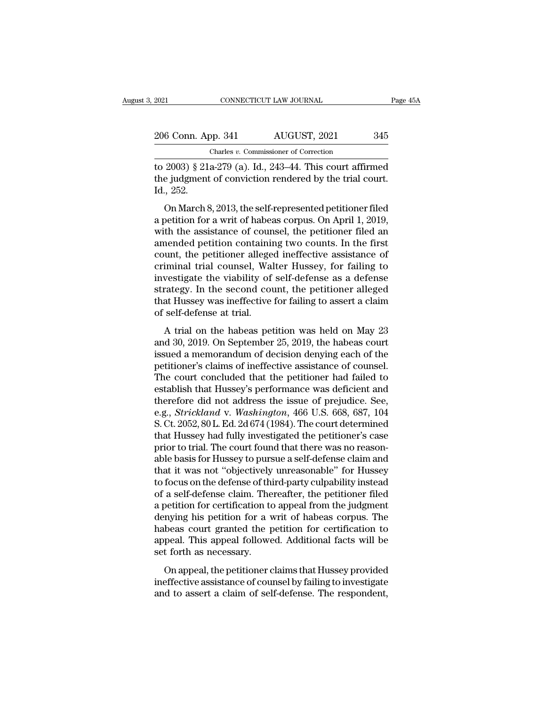| 2021 |                    | CONNECTICUT LAW JOURNAL               | Page 45A |
|------|--------------------|---------------------------------------|----------|
|      | 206 Conn. App. 341 | AUGUST, 2021                          | 345      |
|      |                    | Charles v. Commissioner of Correction |          |
|      |                    |                                       |          |

EXECUTE 2021 CONNECTICUT LAW JOURNAL Page 45A<br>
206 Conn. App. 341 AUGUST, 2021 345<br>
Charles v. Commissioner of Correction<br>
to 2003) § 21a-279 (a). Id., 243–44. This court affirmed<br>
the judgment of conviction rendered by th 206 Conn. App. 341 AUGUST, 2021 345<br>
Charles v. Commissioner of Correction<br>
to 2003) § 21a-279 (a). Id., 243–44. This court affirmed<br>
the judgment of conviction rendered by the trial court.<br>
Id., 252. 206 Conn. Ap<br>
to 2003) § 21.<br>
the judgment<br>
Id., 252.<br>
On March 8. 6 Conn. App. 341 AUGUST, 2021 345<br>
Charles v. Commissioner of Correction<br>
2003) § 21a-279 (a). Id., 243–44. This court affirmed<br>
e judgment of conviction rendered by the trial court.<br>
., 252.<br>
On March 8, 2013, the self-r

Charles v. Commissioner of Correction<br>to 2003) § 21a-279 (a). Id., 243–44. This court affirmed<br>the judgment of conviction rendered by the trial court.<br>Id., 252.<br>On March 8, 2013, the self-represented petitioner filed<br>a pe to 2003) § 21a-279 (a). Id., 243–44. This court affirmed<br>the judgment of conviction rendered by the trial court.<br>Id., 252.<br>On March 8, 2013, the self-represented petitioner filed<br>a petition for a writ of habeas corpus. On and the judgment of conviction rendered by the trial court.<br>Id., 252.<br>On March 8, 2013, the self-represented petitioner filed<br>a petition for a writ of habeas corpus. On April 1, 2019,<br>with the assistance of counsel, the p Id., 252.<br>
On March 8, 2013, the self-represented petitioner filed<br>
a petition for a writ of habeas corpus. On April 1, 2019,<br>
with the assistance of counsel, the petitioner filed an<br>
amended petition containing two counts call community of self-represented petitioner filed<br>a petition for a writ of habeas corpus. On April 1, 2019,<br>with the assistance of counsel, the petitioner filed an<br>amended petition containing two counts. In the first<br>cou On March 8, 2013, the self-represented petitioner filed<br>a petition for a writ of habeas corpus. On April 1, 2019,<br>with the assistance of counsel, the petitioner filed an<br>amended petition containing two counts. In the first a petition for a writ of habeas corpus. On April 1, 2019,<br>with the assistance of counsel, the petitioner filed an<br>amended petition containing two counts. In the first<br>count, the petitioner alleged ineffective assistance of with the assistance of counsel, the petitioner filed an<br>amended petition containing two counts. In the first<br>count, the petitioner alleged ineffective assistance of<br>criminal trial counsel, Walter Hussey, for failing to<br>inv amended petition containin<br>count, the petitioner allege<br>criminal trial counsel, Wal<br>investigate the viability of<br>strategy. In the second cou<br>that Hussey was ineffective<br>of self-defense at trial.<br>A trial on the habeas pet a trial counsel, Walter Hussey, for failing to<br>iminal trial counsel, Walter Hussey, for failing to<br>vestigate the viability of self-defense as a defense<br>rategy. In the second count, the petitioner alleged<br>at Hussey was inef Emman and counsel, water massely, for namigles<br>investigate the viability of self-defense as a defense<br>strategy. In the second count, the petitioner alleged<br>that Hussey was ineffective for failing to assert a claim<br>of self-

is a memoral conditioner alleged that Hussey was ineffective for failing to assert a claim<br>of self-defense at trial.<br>A trial on the habeas petition was held on May 23<br>and 30, 2019. On September 25, 2019, the habeas court<br>i baracegy: in the second count, the perihoner and<br>that Hussey was ineffective for failing to assert a claim<br>of self-defense at trial.<br>A trial on the habeas petition was held on May 23<br>and 30, 2019. On September 25, 2019, th of self-defense at trial.<br>
A trial on the habeas petition was held on May 23<br>
and 30, 2019. On September 25, 2019, the habeas court<br>
issued a memorandum of decision denying each of the<br>
petitioner's claims of ineffective a A trial on the habeas petition was held on May 23<br>and 30, 2019. On September 25, 2019, the habeas court<br>issued a memorandum of decision denying each of the<br>petitioner's claims of ineffective assistance of counsel.<br>The cou A trial on the habeas petition was held on May 23<br>and 30, 2019. On September 25, 2019, the habeas court<br>issued a memorandum of decision denying each of the<br>petitioner's claims of ineffective assistance of counsel.<br>The cou and 30, 2019. On September 25, 2019, the habeas court<br>issued a memorandum of decision denying each of the<br>petitioner's claims of ineffective assistance of counsel.<br>The court concluded that the petitioner had failed to<br>esta issued a memorandum of decision denying each of the<br>petitioner's claims of ineffective assistance of counsel.<br>The court concluded that the petitioner had failed to<br>establish that Hussey's performance was deficient and<br>ther petitioner's claims of ineffective assistance of counsel.<br>The court concluded that the petitioner had failed to<br>establish that Hussey's performance was deficient and<br>therefore did not address the issue of prejudice. See,<br>e The court concluded that the petitioner had failed to establish that Hussey's performance was deficient and therefore did not address the issue of prejudice. See, e.g., *Strickland* v. *Washington*, 466 U.S. 668, 687, 104 establish that Hussey's performance was deficient and<br>therefore did not address the issue of prejudice. See,<br>e.g., *Strickland v. Washington*, 466 U.S. 668, 687, 104<br>S. Ct. 2052, 80 L. Ed. 2d 674 (1984). The court determin therefore did not address the issue of prejudice. See,<br>e.g., *Strickland* v. *Washington*, 466 U.S. 668, 687, 104<br>S. Ct. 2052, 80 L. Ed. 2d 674 (1984). The court determined<br>that Hussey had fully investigated the petitioner e.g., *Strickland* v. *Washington*, 466 U.S. 668, 687, 104<br>S. Ct. 2052, 80 L. Ed. 2d 674 (1984). The court determined<br>that Hussey had fully investigated the petitioner's case<br>prior to trial. The court found that there was S. Ct. 2052, 80 L. Ed. 2d 674 (1984). The court determined<br>that Hussey had fully investigated the petitioner's case<br>prior to trial. The court found that there was no reason-<br>able basis for Hussey to pursue a self-defense c that Hussey had fully investigated the petitioner's case<br>prior to trial. The court found that there was no reason-<br>able basis for Hussey to pursue a self-defense claim and<br>that it was not "objectively unreasonable" for Hus prior to trial. The court found that there was no reason-<br>able basis for Hussey to pursue a self-defense claim and<br>that it was not "objectively unreasonable" for Hussey<br>to focus on the defense of third-party culpability in able basis for Hussey to pursue a self-defense claim and<br>that it was not "objectively unreasonable" for Hussey<br>to focus on the defense of third-party culpability instead<br>of a self-defense claim. Thereafter, the petitioner that it was not "objectively unreasonable" for Hussey<br>to focus on the defense of third-party culpability instead<br>of a self-defense claim. Thereafter, the petitioner filed<br>a petition for certification to appeal from the jud to focus on the defense of third-party culpability instead<br>of a self-defense claim. Thereafter, the petitioner filed<br>a petition for certification to appeal from the judgment<br>denying his petition for a writ of habeas corpus a sen actense claim. Thereafter, are petitioner means<br>petition for certification to appeal from the judgment<br>nying his petition for a writ of habeas corpus. The<br>beas court granted the petition for certification to<br>peal. Th a peakon for ecclendation to appear from the jadgment<br>denying his petition for a writ of habeas corpus. The<br>habeas court granted the petition for certification to<br>appeal. This appeal followed. Additional facts will be<br>set and to a complete a complete the petition for certification to appeal. This appeal followed. Additional facts will be set forth as necessary.<br>On appeal, the petitioner claims that Hussey provided ineffective assistance of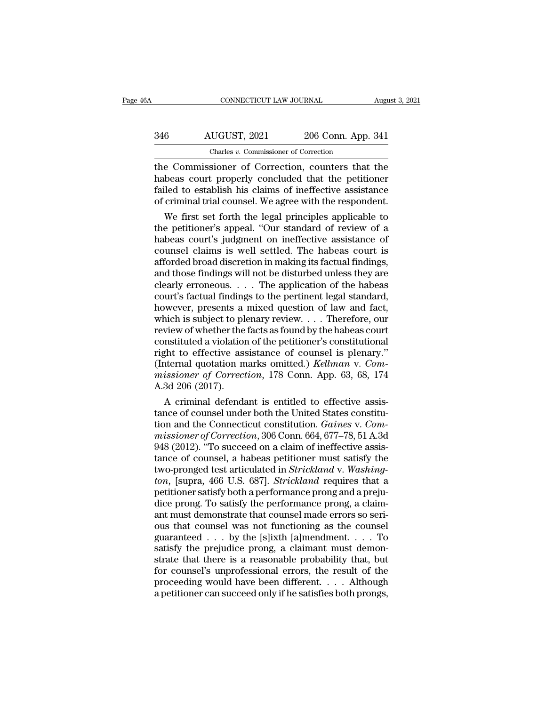| 6A  | CONNECTICUT LAW JOURNAL                          |                    | August 3, 2021 |
|-----|--------------------------------------------------|--------------------|----------------|
| 346 | AUGUST, 2021                                     | 206 Conn. App. 341 |                |
|     | Charles v. Commissioner of Correction            |                    |                |
|     | the Commissioner of Correction counters that the |                    |                |

CONNECTICUT LAW JOURNAL August 3, 2021<br>
346 AUGUST, 2021 206 Conn. App. 341<br>
Charles v. Commissioner of Correction<br>
the Commissioner of Correction, counters that the<br>
habeas court properly concluded that the petitioner<br>
fa AUGUST, 2021 206 Conn. App. 341<br>
Charles v. Commissioner of Correction<br>
the Commissioner of Correction, counters that the<br>
habeas court properly concluded that the petitioner<br>
failed to establish his claims of ineffective  $\frac{\text{AUGUST, 2021}}{\text{Charles } v. \text{ Commissioner of Correction}}$ <br>
the Commissioner of Correction<br>
the Commissioner of Correction, counters that the<br>
habeas court properly concluded that the petitioner<br>
failed to establish his claims of ineffective assis AUGUST, 2021 206 Conn. App. 341<br>
Charles v. Commissioner of Correction<br>
the Commissioner of Correction, counters that the<br>
habeas court properly concluded that the petitioner<br>
failed to establish his claims of ineffective Charles  $v$ . Commissioner of Correction<br>
e Commissioner of Correction, counters that the<br>
beas court properly concluded that the petitioner<br>
iled to establish his claims of ineffective assistance<br>
criminal trial counsel. The Commissioner of Correction, counters that the<br>habeas court properly concluded that the petitioner<br>failed to establish his claims of ineffective assistance<br>of criminal trial counsel. We agree with the respondent.<br>We fir

the Commissioner of Correction, counters that the<br>habeas court properly concluded that the petitioner<br>failed to establish his claims of ineffective assistance<br>of criminal trial counsel. We agree with the respondent.<br>We fir habeas court properly concluded that the petitioner<br>failed to establish his claims of ineffective assistance<br>of criminal trial counsel. We agree with the respondent.<br>We first set forth the legal principles applicable to<br>th failed to establish his claims of ineffective assistance<br>of criminal trial counsel. We agree with the respondent.<br>We first set forth the legal principles applicable to<br>the petitioner's appeal. "Our standard of review of a<br> of criminal trial counsel. We agree with the respondent.<br>We first set forth the legal principles applicable to<br>the petitioner's appeal. "Our standard of review of a<br>habeas court's judgment on ineffective assistance of<br>coun We first set forth the legal principles applicable to<br>the petitioner's appeal. "Our standard of review of a<br>habeas court's judgment on ineffective assistance of<br>counsel claims is well settled. The habeas court is<br>afforded the petitioner's appeal. "Our standard of review of a<br>habeas court's judgment on ineffective assistance of<br>counsel claims is well settled. The habeas court is<br>afforded broad discretion in making its factual findings,<br>and t habeas court's judgment on ineffective assistance of<br>counsel claims is well settled. The habeas court is<br>afforded broad discretion in making its factual findings,<br>and those findings will not be disturbed unless they are<br>cl counsel claims is well settled. The habeas court is<br>afforded broad discretion in making its factual findings,<br>and those findings will not be disturbed unless they are<br>clearly erroneous. . . . The application of the habeas afforded broad discretion in making its factual findings,<br>and those findings will not be disturbed unless they are<br>clearly erroneous. . . . The application of the habeas<br>court's factual findings to the pertinent legal stan and those findings will not be disturbed unless they are clearly erroneous. . . . The application of the habeas court's factual findings to the pertinent legal standard, however, presents a mixed question of law and fact, clearly erroneous. . . . The application of the habeas<br>court's factual findings to the pertinent legal standard,<br>however, presents a mixed question of law and fact,<br>which is subject to plenary review. . . . Therefore, our court's factual findings to the pertinent legal standard,<br>however, presents a mixed question of law and fact,<br>which is subject to plenary review.... Therefore, our<br>review of whether the facts as found by the habeas court<br>c *however, presents a mixed question of law and fact, which is subject to plenary review.... Therefore, our review of whether the facts as found by the habeas court constituted a violation of the petitioner's constitutional* which is subject to pl<br>review of whether the<br>constituted a violation<br>right to effective ass<br>(Internal quotation m<br>missioner of Correct<br>A.3d 206 (2017).<br>A criminal defenda view of whether the facts as found by the habeas court<br>nstituted a violation of the petitioner's constitutional<br>ght to effective assistance of counsel is plenary."<br>iternal quotation marks omitted.) *Kellman* v. Com-<br>ission constituted a violation of the petitioner's constitutional<br>right to effective assistance of counsel is plenary."<br>(Internal quotation marks omitted.) *Kellman* v. Com-<br>missioner of Correction, 178 Conn. App. 63, 68, 174<br>A.

right to effective assistance of counsel is plenary."<br>
(Internal quotation marks omitted.) *Kellman* v. *Com-*<br> *Ma.3d 206 (2017).*<br>
A criminal defendant is entitled to effective assis-<br>
tance of counsel under both the Uni (Internal quotation marks omitted.) *Kellman* v. *Commissioner of Correction*, 178 Conn. App. 63, 68, 174<br>A.3d 206 (2017).<br>A criminal defendant is entitled to effective assis-<br>tance of counsel under both the United States missioner of Correction, 178 Conn. App. 63, 68, 174<br>A.3d 206 (2017).<br>A criminal defendant is entitled to effective assis-<br>tance of counsel under both the United States constitu-<br>tion and the Connecticut constitution. *Gain* A.3d 206 (2017).<br>
A criminal defendant is entitled to effective assistance of counsel under both the United States constitu-<br>
tion and the Connecticut constitution. *Gaines v. Com-*<br>
missioner of Correction, 306 Conn. 664, A criminal defendant is entitled to effective assistance of counsel under both the United States constitution and the Connecticut constitution. *Gaines v. Commissioner of Correction*, 306 Conn. 664, 677–78, 51 A.3d 948 (20 tance of counsel under both the United States constitution and the Connecticut constitution. *Gaines v. Commissioner of Correction*, 306 Conn. 664, 677–78, 51 A.3d 948 (2012). "To succeed on a claim of ineffective assistan tion and the Connecticut constitution. *Gaines v. Commissioner of Correction*, 306 Conn. 664, 677–78, 51 A.3d 948 (2012). "To succeed on a claim of ineffective assistance of counsel, a habeas petitioner must satisfy the tw missioner of Correction, 306 Conn. 664, 677–78, 51 A.3d<br>948 (2012). "To succeed on a claim of ineffective assistance of counsel, a habeas petitioner must satisfy the<br>two-pronged test articulated in *Strickland* v. Washing-948 (2012). "To succeed on a claim of ineffective assistance of counsel, a habeas petitioner must satisfy the two-pronged test articulated in *Strickland* v. Washing-<br>*ton*, [supra, 466 U.S. 687]. *Strickland* requires th tance of counsel, a habeas petitioner must satisfy the<br>two-pronged test articulated in *Strickland* v. Washing-<br>*ton*, [supra, 466 U.S. 687]. *Strickland* requires that a<br>petitioner satisfy both a performance prong and a two-pronged test articulated in *Strickland* v. *Washing-<br>ton*, [supra, 466 U.S. 687]. *Strickland* requires that a<br>petitioner satisfy both a performance prong and a preju-<br>dice prong. To satisfy the performance prong, a c *ton*, [supra, 466 U.S. 687]. *Strickland* requires that a petitioner satisfy both a performance prong and a prejudice prong. To satisfy the performance prong, a claimant must demonstrate that counsel made errors so serio petitioner satisfy both a performance prong and a prejudice prong. To satisfy the performance prong, a claim-<br>ant must demonstrate that counsel made errors so seri-<br>ous that counsel was not functioning as the counsel<br>guara dice prong. To satisfy the performance prong, a claim-<br>ant must demonstrate that counsel made errors so seri-<br>ous that counsel was not functioning as the counsel<br>guaranteed . . . by the [s]ixth [a]mendment. . . . To<br>satisf ant must demonstrate that counsel made errors so seri-<br>ous that counsel was not functioning as the counsel<br>guaranteed . . . by the [s]ixth [a]mendment. . . . To<br>satisfy the prejudice prong, a claimant must demon-<br>strate th % our that counsel was not functioning as the counsel guaranteed . . . by the [s]ixth [a]mendment. . . . To satisfy the prejudice prong, a claimant must demonstrate that there is a reasonable probability that, but for cou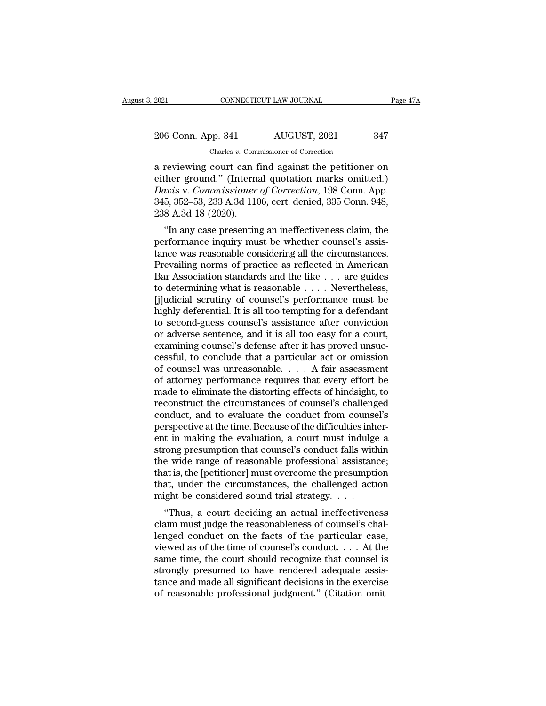2021 CONNECTICUT LAW JOURNAL Page 47A<br>
206 Conn. App. 341 AUGUST, 2021 347<br>
Charles v. Commissioner of Correction Charles *v.* Commissioner of Correction

2021 CONNECTICUT LAW JOURNAL Page 47A<br>
206 Conn. App. 341 AUGUST, 2021 347<br>
Charles v. Commissioner of Correction<br>
a reviewing court can find against the petitioner on<br>
either ground." (Internal quotation marks omitted.)<br> 206 Conn. App. 341 AUGUST, 2021 347<br>
Charles v. Commissioner of Correction<br>
a reviewing court can find against the petitioner on<br>
either ground.'' (Internal quotation marks omitted.)<br>
Davis v. Commissioner of Correction, 1 206 Conn. App. 341 AUGUST, 2021 347<br>
Charles v. Commissioner of Correction<br>
a reviewing court can find against the petitioner on<br>
either ground." (Internal quotation marks omitted.)<br> *Davis* v. *Commissioner of Correction* 206 Conn. App. 341 AUGUST, 2021 347<br>
Charles v. Commissioner of Correction<br>
a reviewing court can find against the petitioner on<br>
either ground." (Internal quotation marks omitted.)<br>
Davis v. Commissioner of Correction, 19 Charles *v*. Comm<br>
a reviewing court can f<br>
either ground." (Interna<br>
Davis v. Commissioner<br>
345, 352–53, 233 A.3d 110<br>
238 A.3d 18 (2020).<br>
"In any case presentin reviewing court can find against the petitioner on<br>ther ground." (Internal quotation marks omitted.)<br>*wis* v. *Commissioner of Correction*, 198 Conn. App.<br>5, 352–53, 233 A.3d 1106, cert. denied, 335 Conn. 948,<br>8 A.3d 18 (2 a reviewing court can find against the performer on<br>either ground." (Internal quotation marks omitted.)<br>Davis v. Commissioner of Correction, 198 Conn. App.<br>345, 352–53, 233 A.3d 1106, cert. denied, 335 Conn. 948,<br>238 A.3d

Enter ground. (Internal quotation marks omitted.)<br>Davis v. Commissioner of Correction, 198 Conn. App.<br>345, 352–53, 233 A.3d 1106, cert. denied, 335 Conn. 948,<br>238 A.3d 18 (2020).<br>"In any case presenting an ineffectiveness Davis v. Commissioner of Correction, 198 Collit. App.<br>345, 352–53, 233 A.3d 1106, cert. denied, 335 Conn. 948,<br>238 A.3d 18 (2020).<br>"In any case presenting an ineffectiveness claim, the<br>performance inquiry must be whether  $345, 352–35, 235$  A.3d 1100, Cert. defined,  $355$  Colin.  $346$ ,<br>238 A.3d 18 (2020).<br>"In any case presenting an ineffectiveness claim, the<br>performance inquiry must be whether counsel's assis-<br>tance was reasonable consider 250 A.5d 16 (2020).<br>
"In any case presenting an ineffectiveness claim, the<br>
performance inquiry must be whether counsel's assis-<br>
tance was reasonable considering all the circumstances.<br>
Prevailing norms of practice as re "In any case presenting an ineffectiveness claim, the<br>performance inquiry must be whether counsel's assistance was reasonable considering all the circumstances.<br>Prevailing norms of practice as reflected in American<br>Bar As performance inquiry must be whether counsel's assistance was reasonable considering all the circumstances.<br>Prevailing norms of practice as reflected in American<br>Bar Association standards and the like . . . are guides<br>to de tance was reasonable considering all the circumstances.<br>Prevailing norms of practice as reflected in American<br>Bar Association standards and the like  $\dots$  are guides<br>to determining what is reasonable  $\dots$ . Nevertheless,<br>[j Prevailing norms of practice as reflected in American<br>Bar Association standards and the like . . . are guides<br>to determining what is reasonable . . . . Nevertheless,<br>[j]udicial scrutiny of counsel's performance must be<br>hig Bar Association standards and the like . . . are guides<br>to determining what is reasonable . . . . Nevertheless,<br>[j]udicial scrutiny of counsel's performance must be<br>highly deferential. It is all too tempting for a defenda to determining what is reasonable . . . . Nevertheless,<br>[j]udicial scrutiny of counsel's performance must be<br>highly deferential. It is all too tempting for a defendant<br>to second-guess counsel's assistance after conviction<br> [j]udicial scrutiny of counsel's performance must be<br>highly deferential. It is all too tempting for a defendant<br>to second-guess counsel's assistance after conviction<br>or adverse sentence, and it is all too easy for a court, highly deferential. It is all too tempting for a defendant<br>to second-guess counsel's assistance after conviction<br>or adverse sentence, and it is all too easy for a court,<br>examining counsel's defense after it has proved unsu to second-guess counsel's assistance after conviction<br>or adverse sentence, and it is all too easy for a court,<br>examining counsel's defense after it has proved unsuc-<br>cessful, to conclude that a particular act or omission<br>o or adverse sentence, and it is all too easy for a court,<br>examining counsel's defense after it has proved unsuc-<br>cessful, to conclude that a particular act or omission<br>of counsel was unreasonable.... A fair assessment<br>of at examining counsel's defense after it has proved unsuccessful, to conclude that a particular act or omission<br>of counsel was unreasonable. . . . A fair assessment<br>of attorney performance requires that every effort be<br>made to cessful, to conclude that a particular act or omission<br>of counsel was unreasonable. . . . A fair assessment<br>of attorney performance requires that every effort be<br>made to eliminate the distorting effects of hindsight, to<br>r of counsel was unreasonable. . . . . A fair assessment<br>of attorney performance requires that every effort be<br>made to eliminate the distorting effects of hindsight, to<br>reconstruct the circumstances of counsel's challenged<br>c of attorney performance requires that every effort be<br>made to eliminate the distorting effects of hindsight, to<br>reconstruct the circumstances of counsel's challenged<br>conduct, and to evaluate the conduct from counsel's<br>pers made to eliminate the distorting effects of hindsight, to<br>reconstruct the circumstances of counsel's challenged<br>conduct, and to evaluate the conduct from counsel's<br>perspective at the time. Because of the difficulties inher reconstruct the circumstances of counsel's challenged<br>conduct, and to evaluate the conduct from counsel's<br>perspective at the time. Because of the difficulties inher-<br>ent in making the evaluation, a court must indulge a<br>str conduct, and to evaluate the conduct from counsel's<br>perspective at the time. Because of the difficulties inher-<br>ent in making the evaluation, a court must indulge a<br>strong presumption that counsel's conduct falls within<br>t perspective at the time. Because of the difficulties inhent in making the evaluation, a court must indulge strong presumption that counsel's conduct falls with the wide range of reasonable professional assistan that is, t The matrix means of the narticular case<br>
order ange of reasonable professional assistance;<br>
at is, the [petitioner] must overcome the presumption<br>
at, under the circumstances, the challenged action<br>
ight be considered sou strong presumption that coursers conduct rans within<br>the wide range of reasonable professional assistance;<br>that is, the [petitioner] must overcome the presumption<br>that, under the circumstances, the challenged action<br>might

that is, the [petitioner] must overcome the presumption<br>that, under the circumstances, the challenged action<br>might be considered sound trial strategy....<br>"Thus, a court deciding an actual ineffectiveness<br>claim must judge that, under the circumstances, the challenged action<br>might be considered sound trial strategy. . . .<br>"Thus, a court deciding an actual ineffectiveness<br>claim must judge the reasonableness of counsel's chal-<br>lenged conduct might be considered sound trial strategy.  $\dots$ <br>"Thus, a court deciding an actual ineffectiveness<br>claim must judge the reasonableness of counsel's chal-<br>lenged conduct on the facts of the particular case,<br>viewed as of the Filips, a court deciding an actual ineffectiveness<br>claim must judge the reasonableness of counsel's chal-<br>lenged conduct on the facts of the particular case,<br>viewed as of the time of counsel's conduct.... At the<br>same time "Thus, a court deciding an actual ineffectiveness<br>claim must judge the reasonableness of counsel's chal-<br>lenged conduct on the facts of the particular case,<br>viewed as of the time of counsel's conduct.... At the<br>same time, claim must judge the reasonableness of counsel's challenged conduct on the facts of the particular case, viewed as of the time of counsel's conduct.... At the same time, the court should recognize that counsel is strongly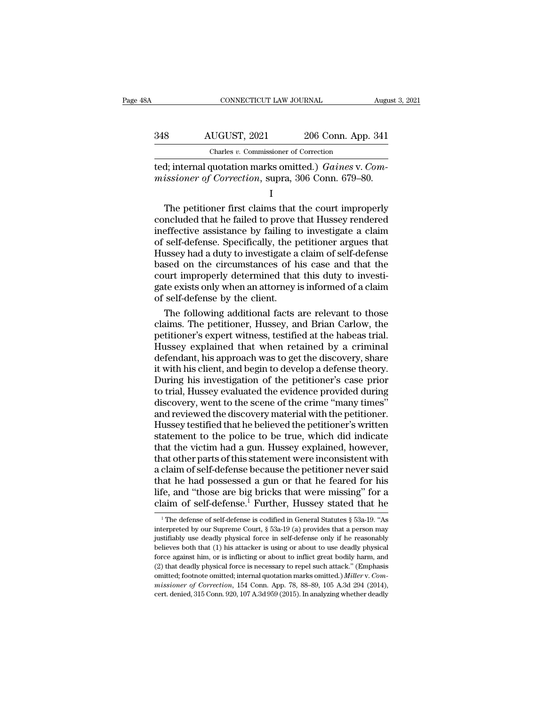| šΑ  | CONNECTICUT LAW JOURNAL                                                                                            |                    | August 3, 2021 |
|-----|--------------------------------------------------------------------------------------------------------------------|--------------------|----------------|
| 348 | AUGUST, 2021                                                                                                       | 206 Conn. App. 341 |                |
|     | Charles v. Commissioner of Correction                                                                              |                    |                |
|     | ted; internal quotation marks omitted.) Gaines v. Com-<br><i>missioner of Correction, supra, 306 Conn. 679–80.</i> |                    |                |
|     |                                                                                                                    |                    |                |

 $\begin{array}{r} \text{AUGUST, } 2021 & 206 \text{ Conn. App. } 341 \\ \text{Charles } v. \text{ Commissioner of Correction} \\ \text{d; internal quotation marks omitted.) } \text{Gaines v.} \text{ Com-} \\ \text{issioner of Correction, supra, } 306 \text{ Conn. } 679-80. \end{array}$ <br>
The petitioner first claims that the court improperly ncluded that he failed to prove that Hussey rend Charles v. Commissioner of Correction<br>
ted; internal quotation marks omitted.) *Gaines v. Com-*<br>
missioner of Correction, supra, 306 Conn. 679–80.<br>
I<br>
The petitioner first claims that the court improperly<br>
concluded that ted; internal quotation marks omitted.) *Gaines v. Commissioner of Correction*, supra, 306 Conn. 679–80.<br>
I<br>
The petitioner first claims that the court improperly<br>
concluded that he failed to prove that Hussey rendered<br>
in Fig. internal quotation matks onlined.) Games v. Com-<br>missioner of Correction, supra, 306 Conn. 679–80.<br>I<br>The petitioner first claims that the court improperly<br>concluded that he failed to prove that Hussey rendered<br>ineffec The petitioner first claims that the court improperly<br>  $\frac{1}{1}$ <br>
The petitioner first claims that the court improperly<br>
concluded that he failed to prove that Hussey rendered<br>
ineffective assistance by failing to investi I<br>The petitioner first claims that the court improperly<br>concluded that he failed to prove that Hussey rendered<br>ineffective assistance by failing to investigate a claim<br>of self-defense. Specifically, the petitioner argues t The petitioner first claims that the court improperly<br>concluded that he failed to prove that Hussey rendered<br>ineffective assistance by failing to investigate a claim<br>of self-defense. Specifically, the petitioner argues tha concluded that he failed to prove that Hussey rendered<br>ineffective assistance by failing to investigate a claim<br>of self-defense. Specifically, the petitioner argues that<br>Hussey had a duty to investigate a claim of self-def ineffective assistance by failing to<br>of self-defense. Specifically, the p<br>Hussey had a duty to investigate a<br>based on the circumstances of h<br>court improperly determined that<br>gate exists only when an attorney i<br>of self-defe self-defense. Specifically, the petitioner argues that<br>ussey had a duty to investigate a claim of self-defense<br>sed on the circumstances of his case and that the<br>urt improperly determined that this duty to investi-<br>te exist Hussey had a duty to investigate a claim of self-defense<br>based on the circumstances of his case and that the<br>court improperly determined that this duty to investi-<br>gate exists only when an attorney is informed of a claim<br>o

based on the circumstances of his case and that the<br>court improperly determined that this duty to investi-<br>gate exists only when an attorney is informed of a claim<br>of self-defense by the client.<br>The following additional fa court improperly determined that this duty to investigate exists only when an attorney is informed of a claim<br>of self-defense by the client.<br>The following additional facts are relevant to those<br>claims. The petitioner, Huss gate exists only when an attorney is informed of a claim<br>of self-defense by the client.<br>The following additional facts are relevant to those<br>claims. The petitioner, Hussey, and Brian Carlow, the<br>petitioner's expert witness of self-defense by the client.<br>
The following additional facts are relevant to those<br>
claims. The petitioner, Hussey, and Brian Carlow, the<br>
petitioner's expert witness, testified at the habeas trial.<br>
Hussey explained tha The following additional facts are relevant to those<br>claims. The petitioner, Hussey, and Brian Carlow, the<br>petitioner's expert witness, testified at the habeas trial.<br>Hussey explained that when retained by a criminal<br>defen claims. The petitioner, Hussey, and Brian Carlow, the petitioner's expert witness, testified at the habeas trial.<br>Hussey explained that when retained by a criminal defendant, his approach was to get the discovery, share it petitioner's expert witness, testified at the habeas trial.<br>Hussey explained that when retained by a criminal<br>defendant, his approach was to get the discovery, share<br>it with his client, and begin to develop a defense theor Hussey explained that when retained by a criminal<br>defendant, his approach was to get the discovery, share<br>it with his client, and begin to develop a defense theory.<br>During his investigation of the petitioner's case prior<br>t defendant, his approach was to get the discovery, share<br>it with his client, and begin to develop a defense theory.<br>During his investigation of the petitioner's case prior<br>to trial, Hussey evaluated the evidence provided du it with his client, and begin to develop a defense theory.<br>During his investigation of the petitioner's case prior<br>to trial, Hussey evaluated the evidence provided during<br>discovery, went to the scene of the crime "many tim During his investigation of the petitioner's case prior<br>to trial, Hussey evaluated the evidence provided during<br>discovery, went to the scene of the crime "many times"<br>and reviewed the discovery material with the petitioner to trial, Hussey evaluated the evidence provided during<br>discovery, went to the scene of the crime "many times"<br>and reviewed the discovery material with the petitioner.<br>Hussey testified that he believed the petitioner's wri discovery, went to the scene of the crime "many times"<br>and reviewed the discovery material with the petitioner.<br>Hussey testified that he believed the petitioner's written<br>statement to the police to be true, which did indic and reviewed the discovery material with the petitioner.<br>Hussey testified that he believed the petitioner's written<br>statement to the police to be true, which did indicate<br>that the victim had a gun. Hussey explained, howeve Hussey testified that he believed the petitioner's written<br>statement to the police to be true, which did indicate<br>that the victim had a gun. Hussey explained, however,<br>that other parts of this statement were inconsistent w statement to the police to be true, which did indicate<br>that the victim had a gun. Hussey explained, however,<br>that other parts of this statement were inconsistent with<br>a claim of self-defense because the petitioner never s claim of self-defense because the petitioner never said<br>tat he had possessed a gun or that he feared for his<br>fe, and "those are big bricks that were missing" for a<br>aim of self-defense.<sup>1</sup> Further, Hussey stated that he<br><sup>1</sup> that he had possessed a gun or that he feared for his<br>life, and "those are big bricks that were missing" for a<br>claim of self-defense.<sup>1</sup> Further, Hussey stated that he<br><sup>1</sup> The defense of self-defense is codified in Genera

life, and "those are big bricks that were missing" for a<br>claim of self-defense.<sup>1</sup> Further, Hussey stated that he<br> $\frac{1}{1}$  The defense of self-defense is codified in General Statutes § 53a-19. "As<br>interpreted by our Supr claim of self-defense.<sup>1</sup> Further, Hussey stated that he<br>
<sup>1</sup>The defense of self-defense is codified in General Statutes § 53a-19. "As<br>
interpreted by our Supreme Court, § 53a-19 (a) provides that a person may<br>
justifiabl CLATIN OF SEH-deferise. Furturer, Fussey stated that he<br>
<sup>1</sup> The defense of self-defense is codified in General Statutes § 53a-19. "As<br>
interpreted by our Supreme Court, § 53a-19 (a) provides that a person may<br>
justifiabl <sup>1</sup> The defense of self-defense is codified in General Statutes § 53a-19. "As interpreted by our Supreme Court, § 53a-19 (a) provides that a person may justifiably use deadly physical force in self-defense only if he reas interpreted by our Supreme Court, § 53a-19 (a) provides that a person may<br>justifiably use deadly physical force in self-defense only if he reasonably<br>believes both that (1) his attacker is using or about to use deadly phys justifiably use deadly physical force in self-defense only if he reasonably believes both that (1) his attacker is using or about to use deadly physical force against him, or is inflicting or about to inflict great bodily believes both that (1) his attacker is using or about to use deadly physical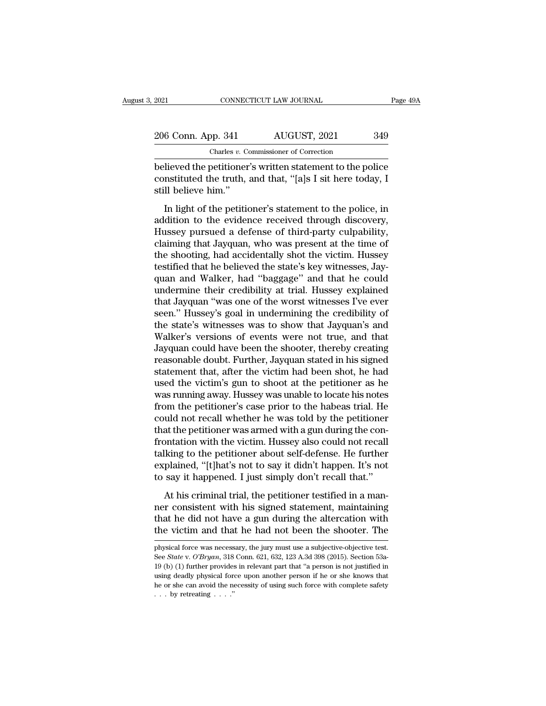| 2021               | CONNECTICUT LAW JOURNAL                                   | Page 49A |
|--------------------|-----------------------------------------------------------|----------|
|                    |                                                           |          |
| 206 Conn. App. 341 | AUGUST, 2021                                              | 349      |
|                    | Charles v. Commissioner of Correction                     |          |
|                    | helieved the netitioner's written statement to the nolice |          |

EXECUTE 2021 CONNECTICUT LAW JOURNAL Page 49A<br>
206 Conn. App. 341 AUGUST, 2021 349<br>
Charles v. Commissioner of Correction<br>
believed the petitioner's written statement to the police<br>
constituted the truth, and that, "[a]s I 206 Conn. App. 341 AUGUST, 2021 349<br>Charles v. Commissioner of Correction<br>believed the petitioner's written statement to the police<br>constituted the truth, and that, "[a]s I sit here today, I<br>still believe him."  $\begin{tabular}{r l l} \multicolumn{1}{c}{\textbf{206 Conn. App. 341}} \\ \hline \multicolumn{1}{c}{\textbf{Charles }v. Co} \\ \hline \multicolumn{1}{c}{\textbf{believed the pertinent}} \\ \multicolumn{1}{c}{\textbf{constituted the truth,}} \\ \multicolumn{1}{c}{\textbf{still believe him.}} \\ \multicolumn{1}{c}{\textbf{In light of the petitic} \\ \end{tabular}}$  $\frac{1}{100}$   $\frac{1}{100}$   $\frac{1}{100}$   $\frac{1}{100}$   $\frac{1}{100}$   $\frac{1}{100}$   $\frac{1}{100}$   $\frac{1}{100}$   $\frac{1}{100}$   $\frac{1}{100}$   $\frac{1}{100}$   $\frac{1}{100}$   $\frac{1}{100}$   $\frac{1}{100}$   $\frac{1}{100}$   $\frac{1}{100}$   $\frac{1}{100}$   $\frac{1}{100}$   $\frac{1$ 

Charles v. Commissioner of Correction<br>
believed the petitioner's written statement to the police<br>
constituted the truth, and that, "[a]s I sit here today, I<br>
still believe him."<br>
In light of the petitioner's statement to believed the petitioner's written statement to the police<br>constituted the truth, and that, "[a]s I sit here today, I<br>still believe him."<br>In light of the petitioner's statement to the police, in<br>addition to the evidence rec constituted the truth, and that, "[a]s I sit here today, I<br>still believe him."<br>In light of the petitioner's statement to the police, in<br>addition to the evidence received through discovery,<br>Hussey pursued a defense of third our shade and accidentally shot the police, in<br>addition to the evidence received through discovery,<br>Hussey pursued a defense of third-party culpability,<br>claiming that Jayquan, who was present at the time of<br>the shooting, h In light of the petitioner's statement to the police, in<br>addition to the evidence received through discovery,<br>Hussey pursued a defense of third-party culpability,<br>claiming that Jayquan, who was present at the time of<br>the s In light of the petitioner's statement to the police, in<br>addition to the evidence received through discovery,<br>Hussey pursued a defense of third-party culpability,<br>claiming that Jayquan, who was present at the time of<br>the s addition to the evidence received through discovery,<br>Hussey pursued a defense of third-party culpability,<br>claiming that Jayquan, who was present at the time of<br>the shooting, had accidentally shot the victim. Hussey<br>testifi Hussey pursued a defense of third-party culpability,<br>claiming that Jayquan, who was present at the time of<br>the shooting, had accidentally shot the victim. Hussey<br>testified that he believed the state's key witnesses, Jay-<br>q claiming that Jayquan, who was present at the time of<br>the shooting, had accidentally shot the victim. Hussey<br>testified that he believed the state's key witnesses, Jay-<br>quan and Walker, had "baggage" and that he could<br>under the shooting, had accidentally shot the victim. Hussey<br>testified that he believed the state's key witnesses, Jay-<br>quan and Walker, had "baggage" and that he could<br>undermine their credibility at trial. Hussey explained<br>that testified that he believed the state's key witnesses, Jay-<br>quan and Walker, had "baggage" and that he could<br>undermine their credibility at trial. Hussey explained<br>that Jayquan "was one of the worst witnesses I've ever<br>seen quan and Walker, had "baggage" and that he could<br>undermine their credibility at trial. Hussey explained<br>that Jayquan "was one of the worst witnesses I've ever<br>seen." Hussey's goal in undermining the credibility of<br>the stat undermine their credibility at trial. Hussey explained<br>that Jayquan "was one of the worst witnesses I've ever<br>seen." Hussey's goal in undermining the credibility of<br>the state's witnesses was to show that Jayquan's and<br>Walk that Jayquan "was one of the worst witnesses I've ever<br>seen." Hussey's goal in undermining the credibility of<br>the state's witnesses was to show that Jayquan's and<br>Walker's versions of events were not true, and that<br>Jayquan seen." Hussey's goal in undermining the credibility of<br>the state's witnesses was to show that Jayquan's and<br>Walker's versions of events were not true, and that<br>Jayquan could have been the shooter, thereby creating<br>reasonab the state's witnesses was to show that Jayquan's and Walker's versions of events were not true, and that Jayquan could have been the shooter, thereby creating reasonable doubt. Further, Jayquan stated in his signed stateme Walker's versions of events were not true, and that<br>Jayquan could have been the shooter, thereby creating<br>reasonable doubt. Further, Jayquan stated in his signed<br>statement that, after the victim had been shot, he had<br>used Jayquan could have been the shooter, thereby creating<br>reasonable doubt. Further, Jayquan stated in his signed<br>statement that, after the victim had been shot, he had<br>used the victim's gun to shoot at the petitioner as he<br>wa reasonable doubt. Further, Jayquan stated in his signed<br>statement that, after the victim had been shot, he had<br>used the victim's gun to shoot at the petitioner as he<br>was running away. Hussey was unable to locate his notes<br> statement that, after the victim had been shot, he had<br>used the victim's gun to shoot at the petitioner as he<br>was running away. Hussey was unable to locate his notes<br>from the petitioner's case prior to the habeas trial. He used the victim's gun to shoot at the petitioner as he<br>was running away. Hussey was unable to locate his notes<br>from the petitioner's case prior to the habeas trial. He<br>could not recall whether he was told by the petitioner was running away. Hussey was unable to locate his notes<br>from the petitioner's case prior to the habeas trial. He<br>could not recall whether he was told by the petitioner<br>that the petitioner was armed with a gun during the co from the petitioner's case prior to the habeas trial. He could not recall whether he was told by the petitioner that the petitioner was armed with a gun during the confrontation with the victim. Hussey also could not recal at the petitioner was armed with a gun during the con-<br>at the petitioner was armed with a gun during the con-<br>ontation with the victim. Hussey also could not recall<br>lking to the petitioner about self-defense. He further<br>p near and pearsonic was annear ward gan annig are contributed in the victim. Hussey also could not recall talking to the petitioner about self-defense. He further explained, "[t]hat's not to say it didn't happen. It's not t

talking to the petitioner about self-defense. He further explained, "[t]hat's not to say it didn't happen. It's not to say it happened. I just simply don't recall that."<br>At his criminal trial, the petitioner testified in a explained, "[t]hat's not to say it didn't happen. It's not<br>to say it happened. I just simply don't recall that."<br>At his criminal trial, the petitioner testified in a man-<br>ner consistent with his signed statement, maintaini At his criminal trial, the petitioner testified in a manner consistent with his signed statement, maintaining that he did not have a gun during the altercation with the victim and that he had not been the shooter. The phys ner consistent with his signed statement, maintaining<br>that he did not have a gun during the altercation with<br>the victim and that he had not been the shooter. The<br>physical force was necessary, the jury must use a subjective

that he did not have a gun during the altercation with<br>the victim and that he had not been the shooter. The<br>physical force was necessary, the jury must use a subjective-objective test.<br>See *State* v. *O'Bryan*, 318 Conn. 6 the victim and that he had not been the shooter. The physical force was necessary, the jury must use a subjective-objective test. See *State* v. *O'Bryan*, 318 Conn. 621, 632, 123 A.3d 398 (2015). Section 53a-19 (b) (1) f hysical force was necessary, the jury must use a subjective-objective test.<br>See *State* v. *O'Bryan*, 318 Conn. 621, 632, 123 A.3d 398 (2015). Section 53a-<br>19 (b) (1) further provides in relevant part that "a person is no physical force was necessary, the jury must use a subjective-objective test.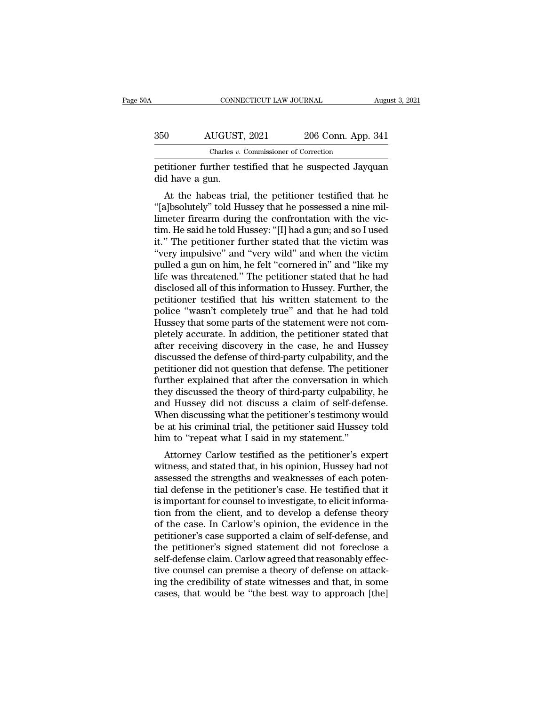| )Α  | CONNECTICUT LAW JOURNAL                                                   |                    | August 3, 2021 |
|-----|---------------------------------------------------------------------------|--------------------|----------------|
| 350 | AUGUST, 2021                                                              | 206 Conn. App. 341 |                |
|     | Charles v. Commissioner of Correction                                     |                    |                |
|     | petitioner further testified that he suspected Jayquan<br>did have a gun. |                    |                |
|     | At the habeas trial, the petitioner testified that he                     |                    |                |

 $\frac{\text{AUGUST, 2021}}{\text{Charles } v \cdot \text{Commissioner of Correction}}$ <br>
At the habeas trial, the petitioner testified that he suspected Jayquan<br>
At the habeas trial, the petitioner testified that he<br>
At the habeas trial, the petitioner testified that he<br>
alb  $\begin{array}{r} \text{350} \text{AUGUST, 2021} \text{206 Conn. App. 341} \ \hline \text{Charles } v. \text{ Commissioner of Correction} \ \text{3941} \end{array}$ <br>
petitioner further testified that he suspected Jayquan did have a gun.<br>
At the habeas trial, the petitioner testified that he "[a]bsolutely" t petitioner further testified that he suspected Jayquan<br>did have a gun.<br>At the habeas trial, the petitioner testified that he<br>"[a]bsolutely" told Hussey that he possessed a nine mil-<br>limeter firearm during the confrontation petitioner further testified that he suspected Jayquan<br>did have a gun.<br>At the habeas trial, the petitioner testified that he<br>"[a]bsolutely" told Hussey that he possessed a nine mil-<br>limeter firearm during the confrontation petitioner further testined that he suspected Jayquan<br>
did have a gun.<br>
At the habeas trial, the petitioner testified that he<br>
"[a]bsolutely" told Hussey that he possessed a nine mil-<br>
limeter firearm during the confrontat At the habeas trial, the petitioner testified that he<br>
"[a]bsolutely" told Hussey that he possessed a nine mil-<br>
limeter firearm during the confrontation with the vic-<br>
tim. He said he told Hussey: "[I] had a gun; and so I At the habeas trial, the petitioner testified that he "[a]bsolutely" told Hussey that he possessed a nine mil-<br>limeter firearm during the confrontation with the vic-<br>tim. He said he told Hussey: "[I] had a gun; and so I us "[a]bsolutely" told Hussey that he possessed a nine mil-<br>limeter firearm during the confrontation with the vic-<br>tim. He said he told Hussey: "[I] had a gun; and so I used<br>it." The petitioner further stated that the victim limeter firearm during the confrontation with the vic-<br>tim. He said he told Hussey: "[I] had a gun; and so I used<br>it." The petitioner further stated that the victim was<br>"very impulsive" and "very wild" and when the victim<br> tim. He said he told Hussey: "[I] had a gun; and so I used<br>it." The petitioner further stated that the victim was<br>"very impulsive" and "very wild" and when the victim<br>pulled a gun on him, he felt "cornered in" and "like my it." The petitioner further stated that the victim was<br>"very impulsive" and "very wild" and when the victim<br>pulled a gun on him, he felt "cornered in" and "like my<br>life was threatened." The petitioner stated that he had<br>di "very impulsive" and "very wild" and when the victim<br>pulled a gun on him, he felt "cornered in" and "like my<br>life was threatened." The petitioner stated that he had<br>disclosed all of this information to Hussey. Further, the pulled a gun on him, he felt "cornered in" and "like my<br>life was threatened." The petitioner stated that he had<br>disclosed all of this information to Hussey. Further, the<br>petitioner testified that his written statement to t life was threatened." The petitioner stated that he had<br>disclosed all of this information to Hussey. Further, the<br>petitioner testified that his written statement to the<br>police "wasn't completely true" and that he had told<br> disclosed all of this information to Hussey. Further, the petitioner testified that his written statement to the police "wasn't completely true" and that he had told Hussey that some parts of the statement were not complet petitioner testified that his written statement to the police "wasn't completely true" and that he had told Hussey that some parts of the statement were not completely accurate. In addition, the petitioner stated that afte police "wasn't completely true" and that he had told<br>Hussey that some parts of the statement were not com-<br>pletely accurate. In addition, the petitioner stated that<br>after receiving discovery in the case, he and Hussey<br>disc Hussey that some parts of the statement were not completely accurate. In addition, the petitioner stated that<br>after receiving discovery in the case, he and Hussey<br>discussed the defense of third-party culpability, and the<br>p pletely accurate. In addition, the petitioner stated that<br>after receiving discovery in the case, he and Hussey<br>discussed the defense of third-party culpability, and the<br>petitioner did not question that defense. The petitio after receiving discovery in the case, he and Hussey<br>discussed the defense of third-party culpability, and the<br>petitioner did not question that defense. The petitioner<br>further explained that after the conversation in which discussed the defense of third-party culpability, and the petitioner did not question that defense. The petitioner further explained that after the conversation in which they discussed the theory of third-party culpability petitioner did not question that defense. The petitifurther explained that after the conversation in w<br>they discussed the theory of third-party culpability<br>and Hussey did not discuss a claim of self-defe<br>When discussing wh Fuller explained that after the conversation in which<br>ey discussed the theory of third-party culpability, he<br>d Hussey did not discuss a claim of self-defense.<br>hen discussing what the petitioner's testimony would<br>at his cri they uscussed the theory of third-party cupability, he<br>and Hussey did not discuss a claim of self-defense.<br>When discussing what the petitioner's testimony would<br>be at his criminal trial, the petitioner said Hussey told<br>him

and Hussey did not discuss a claim of sen-defense.<br>When discussing what the petitioner's testimony would<br>be at his criminal trial, the petitioner said Hussey told<br>him to "repeat what I said in my statement."<br>Attorney Carlo When uscussing what the petitioner's testimoly would<br>be at his criminal trial, the petitioner said Hussey told<br>him to "repeat what I said in my statement."<br>Attorney Carlow testified as the petitioner's expert<br>witness, and be at its criminal trial, the pethroler said riussey tota<br>him to "repeat what I said in my statement."<br>Attorney Carlow testified as the petitioner's expert<br>witness, and stated that, in his opinion, Hussey had not<br>assessed Thin to Tepeat what I said in my statement.<br>
Attorney Carlow testified as the petitioner's expert<br>
witness, and stated that, in his opinion, Hussey had not<br>
assessed the strengths and weaknesses of each poten-<br>
tial defens Attorney Carlow testified as the petitioner's expert<br>witness, and stated that, in his opinion, Hussey had not<br>assessed the strengths and weaknesses of each poten-<br>tial defense in the petitioner's case. He testified that it witness, and stated that, in his opinion, Hussey had not<br>assessed the strengths and weaknesses of each poten-<br>tial defense in the petitioner's case. He testified that it<br>is important for counsel to investigate, to elicit i assessed the strengths and weaknesses of each potential defense in the petitioner's case. He testified that it<br>is important for counsel to investigate, to elicit informa-<br>tion from the client, and to develop a defense theo tial defense in the petitioner's case. He testified that it<br>is important for counsel to investigate, to elicit informa-<br>tion from the client, and to develop a defense theory<br>of the case. In Carlow's opinion, the evidence i is important for counsel to investigate, to elicit information from the client, and to develop a defense theory of the case. In Carlow's opinion, the evidence in the petitioner's case supported a claim of self-defense, and tion from the client, and to develop a defense theory<br>of the case. In Carlow's opinion, the evidence in the<br>petitioner's case supported a claim of self-defense, and<br>the petitioner's signed statement did not foreclose a<br>sel of the case. In Carlow's opinion, the evidence in the petitioner's case supported a claim of self-defense, and the petitioner's signed statement did not foreclose a self-defense claim. Carlow agreed that reasonably effecti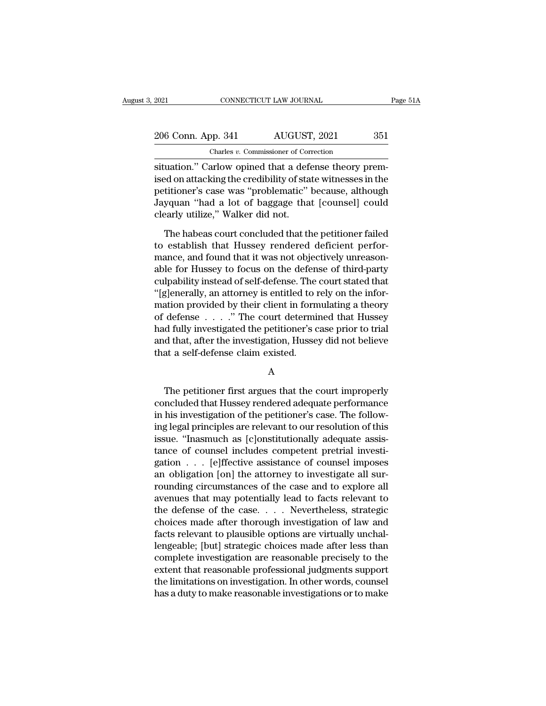# 2021 CONNECTICUT LAW JOURNAL Page 51A<br>
206 Conn. App. 341 AUGUST, 2021 351<br>
Charles v. Commissioner of Correction Charles *v.* Commissioner of Correction

strategy of the connectricurrel and solution.<br>
Situation.'' Carlow opined that a defense theory prem-<br>
Situation.'' Carlow opined that a defense theory prem-<br>
situation.'' Carlow opined that a defense theory prem-<br>
situati 206 Conn. App. 341 AUGUST, 2021 351<br>
Charles v. Commissioner of Correction<br>
situation." Carlow opined that a defense theory premised on attacking the credibility of state witnesses in the<br>
petitioner's case was "problemati 206 Conn. App. 341 AUGUST, 2021 351<br>
Charles v. Commissioner of Correction<br>
situation." Carlow opined that a defense theory prem-<br>
ised on attacking the credibility of state witnesses in the<br>
petitioner's case was "problem 206 Conn. App. 341 AUGUST, 2021 351<br>
Charles v. Commissioner of Correction<br>
situation." Carlow opined that a defense theory prem-<br>
ised on attacking the credibility of state witnesses in the<br>
petitioner's case was "problem Charles v. Commissioner of Corn<br>
situation." Carlow opined that a defer<br>
ised on attacking the credibility of sta<br>
petitioner's case was "problematic"<br>
Jayquan "had a lot of baggage tha<br>
clearly utilize," Walker did not.<br> uation." Carlow opined that a defense theory prem-<br>ed on attacking the credibility of state witnesses in the<br>titioner's case was "problematic" because, although<br>yquan "had a lot of baggage that [counsel] could<br>early utiliz ised on attacking the credibility of state witnesses in the<br>petitioner's case was "problematic" because, although<br>Jayquan "had a lot of baggage that [counsel] could<br>clearly utilize," Walker did not.<br>The habeas court conclu

petitioner's case was "problematic" because, although<br>Jayquan "had a lot of baggage that [counsel] could<br>clearly utilize," Walker did not.<br>The habeas court concluded that the petitioner failed<br>to establish that Hussey rend Jayquan "had a lot of baggage that [counsel] could<br>clearly utilize," Walker did not.<br>The habeas court concluded that the petitioner failed<br>to establish that Hussey rendered deficient perfor-<br>mance, and found that it was no clearly utilize," Walker did not.<br>The habeas court concluded that the petitioner failed<br>to establish that Hussey rendered deficient perfor-<br>mance, and found that it was not objectively unreason-<br>able for Hussey to focus on The habeas court concluded that the petitioner failed<br>to establish that Hussey rendered deficient perfor-<br>mance, and found that it was not objectively unreason-<br>able for Hussey to focus on the defense of third-party<br>culpab The habeas court concluded that the petitioner failed<br>to establish that Hussey rendered deficient perfor-<br>mance, and found that it was not objectively unreason-<br>able for Hussey to focus on the defense of third-party<br>culpa to establish that Hussey rendered deficient perfor-<br>mance, and found that it was not objectively unreason-<br>able for Hussey to focus on the defense of third-party<br>culpability instead of self-defense. The court stated that<br>" mance, and found that it was not objectively unreason-<br>able for Hussey to focus on the defense of third-party<br>culpability instead of self-defense. The court stated that<br>"[g]enerally, an attorney is entitled to rely on the able for Hussey to focus on the defense of third-party<br>culpability instead of self-defense. The court stated that<br>"[g]enerally, an attorney is entitled to rely on the infor-<br>mation provided by their client in formulating a culpability instead of self-defense. The<br>"[g]enerally, an attorney is entitled to in<br>mation provided by their client in form<br>of defense . . . . ." The court determinad fully investigated the petitioner's c<br>and that, after d fully investigated the petitioner's case prior to trial<br>d that, after the investigation, Hussey did not believe<br>at a self-defense claim existed.<br> $A$ <br>The petitioner first argues that the court improperly<br>ncluded that Hus

### A

rad runy investigated the petrioner's case prior to trial<br>and that, after the investigation, Hussey did not believe<br>that a self-defense claim existed.<br>A<br>The petitioner first argues that the court improperly<br>concluded that ind that, after the investigation, riussey did not beneve<br>that a self-defense claim existed.<br>A<br>The petitioner first argues that the court improperly<br>concluded that Hussey rendered adequate performance<br>in his investigation For the petitioner first argues that the court improperly<br>concluded that Hussey rendered adequate performance<br>in his investigation of the petitioner's case. The follow-<br>ing legal principles are relevant to our resolution o A<br>
The petitioner first argues that the court improperly<br>
concluded that Hussey rendered adequate performance<br>
in his investigation of the petitioner's case. The follow-<br>
ing legal principles are relevant to our resolution The petitioner first argues that the court improperly<br>concluded that Hussey rendered adequate performance<br>in his investigation of the petitioner's case. The follow-<br>ing legal principles are relevant to our resolution of t The petitioner first argues that the court improperly<br>concluded that Hussey rendered adequate performance<br>in his investigation of the petitioner's case. The follow-<br>ing legal principles are relevant to our resolution of th concluded that Hussey rendered adequate performance<br>in his investigation of the petitioner's case. The follow-<br>ing legal principles are relevant to our resolution of this<br>issue. "Inasmuch as [c]onstitutionally adequate ass in his investigation of the petitioner's case. The following legal principles are relevant to our resolution of this issue. "Inasmuch as [c]onstitutionally adequate assistance of counsel includes competent pretrial investi ing legal principles are relevant to our resolution of this<br>issue. "Inasmuch as [c]onstitutionally adequate assis-<br>tance of counsel includes competent pretrial investi-<br>gation . . . [e]ffective assistance of counsel impose issue. "Inasmuch as [c]onstitutionally adequate assistance of counsel includes competent pretrial investigation . . . [e]ffective assistance of counsel imposes an obligation [on] the attorney to investigate all surroundin tance of counsel includes competent pretrial investigation . . . [e]ffective assistance of counsel imposes<br>an obligation [on] the attorney to investigate all sur-<br>rounding circumstances of the case and to explore all<br>avenu gation . . . [e]ffective assistance of counsel imposes<br>an obligation [on] the attorney to investigate all sur-<br>rounding circumstances of the case and to explore all<br>avenues that may potentially lead to facts relevant to<br>th an obligation [on] the attorney to investigate all sur-<br>rounding circumstances of the case and to explore all<br>avenues that may potentially lead to facts relevant to<br>the defense of the case. . . . . Nevertheless, strategic<br> rounding circumstances of the case and to explore all<br>avenues that may potentially lead to facts relevant to<br>the defense of the case. . . . Nevertheless, strategic<br>choices made after thorough investigation of law and<br>facts avenues that may potentially lead to facts relevant to<br>the defense of the case. . . . . Nevertheless, strategic<br>choices made after thorough investigation of law and<br>facts relevant to plausible options are virtually unchalthe defense of the case. . . . Nevertheless, strategic<br>choices made after thorough investigation of law and<br>facts relevant to plausible options are virtually unchal-<br>lengeable; [but] strategic choices made after less than<br> choices made after thorough investigation of law and<br>facts relevant to plausible options are virtually unchal-<br>lengeable; [but] strategic choices made after less than<br>complete investigation are reasonable precisely to the<br>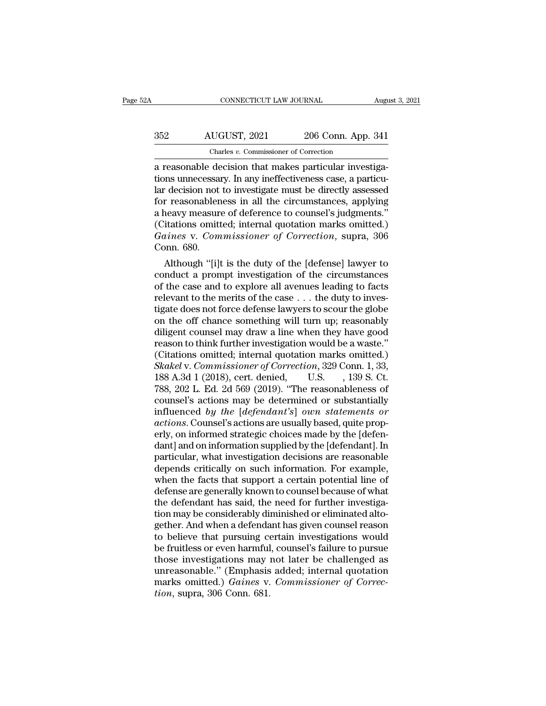# CONNECTICUT LAW JOURNAL August 3, 2021<br>352 AUGUST, 2021 206 Conn. App. 341<br>Charles v. Commissioner of Correction CONNECTICUT LAW JOURNAL<br>
UGUST, 2021 206 Conn. App.<br>
Charles *v.* Commissioner of Correction<br>
decision that makes narticular inves

CONNECTICUT LAW JOURNAL Augusta<br>
AUGUST, 2021 206 Conn. App. 341<br>
Charles v. Commissioner of Correction<br>
a reasonable decision that makes particular investiga-<br>
tions unnecessary. In any ineffectiveness case, a particular AUGUST, 2021 206 Conn. App. 341<br>
Charles v. Commissioner of Correction<br>
a reasonable decision that makes particular investiga-<br>
tions unnecessary. In any ineffectiveness case, a particu-<br>
lar decision not to investigate mu  $\frac{\text{AUGUST, 2021}}{\text{Charles } v. \text{ Commissioner of Correction}}$ <br>
a reasonable decision that makes particular investigations unnecessary. In any ineffectiveness case, a particular decision not to investigate must be directly assessed for reasonableness  $\begin{array}{r} \text{AUGUST, 2021} \end{array}$  206 Conn. App. 341<br>  $\begin{array}{r} \text{Charles } v. \text{ Commissioner of Correction} \ \text{a reasonable decision that makes particular investigation, and the understanding of the data of the data.} \end{array}$   $\begin{array}{r} \text{In any ineffectiveness case, a particular decision not to investigate must be directly assessed for reasonableness in all the circumstances, applying a heavy measure of the reference to course's judgments.} \end{array}$ Charles v. Commissioner of Correction<br>
a reasonable decision that makes particular investiga-<br>
tions unnecessary. In any ineffectiveness case, a particu-<br>
lar decision not to investigate must be directly assessed<br>
for rea Charles v. Commissioner of Correction<br>
a reasonable decision that makes particular investiga-<br>
tions unnecessary. In any ineffectiveness case, a particu-<br>
lar decision not to investigate must be directly assessed<br>
for reas a reasonable decision that makes particular investigations unnecessary. In any ineffectiveness case, a particular decision not to investigate must be directly assessed for reasonableness in all the circumstances, applying tions unnecessain<br>
1 decision not<br>
1 for reasonablen<br>
2 heavy measure<br>
(Citations omit<br>
1 Gaines v. Com<br>
1 Conn. 680.<br>
Although "[i] Although "ill is the duty of the circumstances" applying<br>Although the deference to counsel's judgments."<br>Although "internal quotation marks omitted.)<br>Dinnes v. Commissioner of Correction, supra, 306<br>Dinn. 680.<br>Although "[ for reasonableness in all the circumstances, applying<br>a heavy measure of deference to counsel's judgments."<br>(Citations omitted; internal quotation marks omitted.)<br>Gaines v. Commissioner of Correction, supra, 306<br>Conn. 680.

a neavy measure of deference to counsers judgments.<br>
(Citations omitted; internal quotation marks omitted.)<br> *Gaines* v. *Commissioner of Correction*, supra, 306<br>
Conn. 680.<br>
Although "[i]t is the duty of the [defense] la Cutations omitted; miernal quotation marks omitted.)<br> *Gaines v. Commissioner of Correction*, supra, 306<br>
Conn. 680.<br>
Although "[i]t is the duty of the [defense] lawyer to<br>
conduct a prompt investigation of the circumstan Garnes v. Commissioner of Correction, supra, 306<br>Conn. 680.<br>Although "[i]t is the duty of the [defense] lawyer to<br>conduct a prompt investigation of the circumstances<br>of the case and to explore all avenues leading to facts Conn. 680.<br>
Although "[i]t is the duty of the [defense] lawyer to<br>
conduct a prompt investigation of the circumstances<br>
of the case and to explore all avenues leading to facts<br>
relevant to the merits of the case  $\dots$  the Although "[i]t is the duty of the [defense] lawyer to<br>conduct a prompt investigation of the circumstances<br>of the case and to explore all avenues leading to facts<br>relevant to the merits of the case  $\ldots$  the duty to invesconduct a prompt investigation of the circumstances<br>of the case and to explore all avenues leading to facts<br>relevant to the merits of the case  $\dots$  the duty to inves-<br>tigate does not force defense lawyers to scour the glo % of the case and to explore all avenues leading to facts<br>relevant to the merits of the case . . . the duty to inves-<br>tigate does not force defense lawyers to scour the globe<br>on the off chance something will turn up; reas relevant to the merits of the case . . . the duty to investigate does not force defense lawyers to scour the globe<br>on the off chance something will turn up; reasonably<br>diligent counsel may draw a line when they have good<br>r tigate does not force defense lawyers to scour the globe<br>on the off chance something will turn up; reasonably<br>diligent counsel may draw a line when they have good<br>reason to think further investigation would be a waste."<br>(C on the off chance something will turn up; reasonably<br>diligent counsel may draw a line when they have good<br>reason to think further investigation would be a waste."<br>(Citations omitted; internal quotation marks omitted.)<br>Skak diligent counsel may draw a line when they have good<br>reason to think further investigation would be a waste."<br>(Citations omitted; internal quotation marks omitted.)<br>Skakel v. Commissioner of Correction, 329 Conn. 1, 33,<br>18 reason to think further investigation would be a waste."<br>(Citations omitted; internal quotation marks omitted.)<br>Skakel v. Commissioner of Correction, 329 Conn. 1, 33,<br>188 A.3d 1 (2018), cert. denied, U.S. , 139 S. Ct.<br>788, (Citations omitted; internal quotation marks omitted.)<br> *Skakel* v. *Commissioner of Correction*, 329 Conn. 1, 33,<br>
188 A.3d 1 (2018), cert. denied, U.S., 139 S. Ct.<br>
788, 202 L. Ed. 2d 569 (2019). "The reasonableness of<br> Skakel v. Commissioner of Correction, 329 Conn. 1, 33, 188 A.3d 1 (2018), cert. denied, U.S. , 139 S. Ct.<br>788, 202 L. Ed. 2d 569 (2019). "The reasonableness of counsel's actions may be determined or substantially<br>influenc 188 A.3d 1 (2018), cert. denied, U.S. , 139 S. Ct.<br>
788, 202 L. Ed. 2d 569 (2019). "The reasonableness of<br>
counsel's actions may be determined or substantially<br>
influenced by the [defendant's] own statements or<br>
actions. 788, 202 L. Ed. 2d 569 (2019). "The reasonableness of<br>counsel's actions may be determined or substantially<br>influenced by the [defendant's] own statements or<br>actions. Counsel's actions are usually based, quite prop-<br>erly, o counsel's actions may be determined or substantially<br>influenced by the [defendant's] own statements or<br>actions. Counsel's actions are usually based, quite prop-<br>erly, on information strategic choices made by the [defen-<br>da influenced by the [defendant's] own statements or<br>actions. Counsel's actions are usually based, quite prop-<br>erly, on informed strategic choices made by the [defen-<br>dant] and on information supplied by the [defendant]. In<br>p actions. Counsel's actions are usually based, quite properly, on informed strategic choices made by the [defendant]. In particular, what investigation decisions are reasonable depends critically on such information. For ex erly, on informed strategic choices made by the [defendant] and on information supplied by the [defendant]. In particular, what investigation decisions are reasonable depends critically on such information. For example, wh dant] and on information supplied by the [defendant]. In particular, what investigation decisions are reasonable depends critically on such information. For example, when the facts that support a certain potential line of particular, what investigation decisions are reasonable<br>depends critically on such information. For example,<br>when the facts that support a certain potential line of<br>defense are generally known to counsel because of what<br>th depends critically on such information. For example,<br>when the facts that support a certain potential line of<br>defense are generally known to counsel because of what<br>the defendant has said, the need for further investiga-<br>ti when the facts that support a certain potential line of<br>defense are generally known to counsel because of what<br>the defendant has said, the need for further investiga-<br>tion may be considerably diminished or eliminated altodefense are generally known to counsel because of what<br>the defendant has said, the need for further investiga-<br>tion may be considerably diminished or eliminated alto-<br>gether. And when a defendant has given counsel reason<br>t the defendant has said, the need for further investigation may be considerably diminished or eliminated altogether. And when a defendant has given counsel reason to believe that pursuing certain investigations would be fru tion may be considerably diminished or eliminated altogether. And when a defendant has given counsel reason to believe that pursuing certain investigations would be fruitless or even harmful, counsel's failure to pursue th gether. And when a defenda<br>to believe that pursuing co<br>be fruitless or even harmful<br>those investigations may i<br>unreasonable." (Emphasis<br>marks omitted.) *Gaines* v.<br>tion, supra, 306 Conn. 681.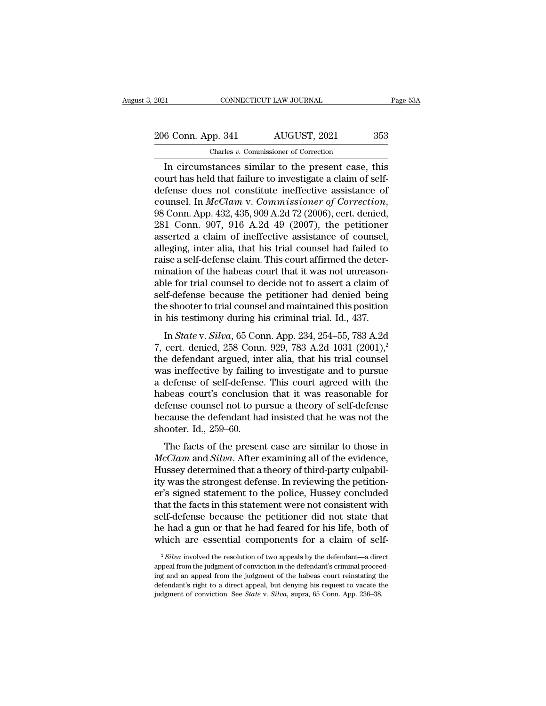2021 CONNECTICUT LAW JOURNAL Page 53A<br>
206 Conn. App. 341 AUGUST, 2021 353<br>
Charles v. Commissioner of Correction Charles *v.* Commissioner of Correction

CONNECTICUT LAW JOURNAL Page 53A<br>
6 Conn. App. 341 AUGUST, 2021 353<br>
Charles v. Commissioner of Correction<br>
In circumstances similar to the present case, this<br>
urt has held that failure to investigate a claim of self-206 Conn. App. 341 AUGUST, 2021 353<br>
Charles *v*. Commissioner of Correction<br>
In circumstances similar to the present case, this<br>
court has held that failure to investigate a claim of self-<br>
defense does not constitute in 206 Conn. App. 341 AUGUST, 2021 353<br>
Charles v. Commissioner of Correction<br>
In circumstances similar to the present case, this<br>
court has held that failure to investigate a claim of self-<br>
defense does not constitute inef 206 Conn. App. 341 AUGUST, 2021 353<br>
Charles *v*. Commissioner of Correction<br>
In circumstances similar to the present case, this<br>
court has held that failure to investigate a claim of self-<br>
defense does not constitute ine Charles v. Commissioner of Correction<br>
In circumstances similar to the present case, this<br>
court has held that failure to investigate a claim of self-<br>
defense does not constitute ineffective assistance of<br>
counsel. In *M* In circumstances similar to the present case, this<br>court has held that failure to investigate a claim of self-<br>defense does not constitute ineffective assistance of<br>counsel. In  $McClam$  v. Commissioner of Correction,<br>98 Conn court has held that failure to investigate a claim of self-<br>defense does not constitute ineffective assistance of<br>counsel. In *McClam* v. *Commissioner of Correction*,<br>98 Conn. App. 432, 435, 909 A.2d 72 (2006), cert. deni defense does not constitute ineffective assistance of counsel. In *McClam* v. *Commissioner of Correction*, 98 Conn. App. 432, 435, 909 A.2d 72 (2006), cert. denied, 281 Conn. 907, 916 A.2d 49 (2007), the petitioner assert counsel. In  $McClam$  v. Commissioner of Correction,<br>98 Conn. App. 432, 435, 909 A.2d 72 (2006), cert. denied,<br>281 Conn. 907, 916 A.2d 49 (2007), the petitioner<br>asserted a claim of ineffective assistance of counsel,<br>alleging, 98 Conn. App. 432, 435, 909 A.2d 72 (2006), cert. denied,<br>281 Conn. 907, 916 A.2d 49 (2007), the petitioner<br>asserted a claim of ineffective assistance of counsel,<br>alleging, inter alia, that his trial counsel had failed to<br> 281 Conn. 907, 916 A.2d 49 (2007), the petitioner asserted a claim of ineffective assistance of counsel, alleging, inter alia, that his trial counsel had failed to raise a self-defense claim. This court affirmed the deter asserted a claim of ineffective assistance of counsel,<br>alleging, inter alia, that his trial counsel had failed to<br>raise a self-defense claim. This court affirmed the deter-<br>mination of the habeas court that it was not unre alleging, inter alia, that his trial counsel had failed to<br>raise a self-defense claim. This court affirmed the deter-<br>mination of the habeas court that it was not unreason-<br>able for trial counsel to decide not to assert a ise a sen detense claim. This coard antification detect<br>ination of the habeas court that it was not unreason-<br>le for trial counsel to decide not to assert a claim of<br>lf-defense because the petitioner had denied being<br>e sho Fundation of the nabeles court that it was not different able for trial counsel to decide not to assert a claim of self-defense because the petitioner had denied being the shooter to trial counsel and maintained this posi

for that counser to decide not to assert a claim of<br>self-defense because the petitioner had denied being<br>the shooter to trial counsel and maintained this position<br>in his testimony during his criminal trial. Id., 437.<br>In the shooter to trial counsel and maintained this position<br>in his testimony during his criminal trial. Id., 437.<br>In *State* v. *Silva*, 65 Conn. App. 234, 254–55, 783 A.2d<br>7, cert. denied, 258 Conn. 929, 783 A.2d 1031 (200 in his testimony during his criminal trial. Id., 437.<br>
In *State v. Silva*, 65 Conn. App. 234, 254–55, 783 A.2d<br>
7, cert. denied, 258 Conn. 929, 783 A.2d 1031 (2001),<sup>2</sup><br>
the defendant argued, inter alia, that his trial c In Sita ev. Silva, 65 Conn. App. 234, 254–55, 783 A.2d<br>7, cert. denied, 258 Conn. 929, 783 A.2d 1031 (2001),<sup>2</sup><br>the defendant argued, inter alia, that his trial counsel<br>was ineffective by failing to investigate and to pur In *State* v. *Silva*, 65 Conn. App. 234, 254–55, 783 A.2d<br>7, cert. denied, 258 Conn. 929, 783 A.2d 1031 (2001),<sup>2</sup><br>the defendant argued, inter alia, that his trial counsel<br>was ineffective by failing to investigate and to 7, cert. denied, 258 Conn. 929, 783 A.2d 1031 (2001),<sup>2</sup><br>the defendant argued, inter alia, that his trial counsel<br>was ineffective by failing to investigate and to pursue<br>a defense of self-defense. This court agreed with t the defendant argued, int<br>was ineffective by failing<br>a defense of self-defense<br>habeas court's conclusio<br>defense counsel not to pu<br>because the defendant ha<br>shooter. Id., 259–60.<br>The facts of the presen defense of self-defense. This court agreed with the<br>beas court's conclusion that it was reasonable for<br>fense counsel not to pursue a theory of self-defense<br>cause the defendant had insisted that he was not the<br>ooter. Id., *Machelast of sentiachesis. This court agreed what the*<br> *Mabeas court's conclusion that it was reasonable for*<br> *McClam* and *Silva*. After examining all of the evidence,<br> *McClam* and *Silva*. After examining all of the

Hussels court's conclusion that it was reasonable for<br>defense counsel not to pursue a theory of self-defense<br>because the defendant had insisted that he was not the<br>shooter. Id., 259–60.<br>The facts of the present case are si ity of the stronger in the shooter. Id., 259–60.<br>
The facts of the present case are similar to those in<br> *McClam* and *Silva*. After examining all of the evidence,<br>
Hussey determined that a theory of third-party culpabil-<br> shooter. Id., 259–60.<br>
The facts of the present case are similar to those in<br> *McClam* and *Silva*. After examining all of the evidence,<br>
Hussey determined that a theory of third-party culpabil-<br>
ity was the strongest defe The facts of the present case are similar to those in  $McClam$  and  $Silva$ . After examining all of the evidence, Hussey determined that a theory of third-party culpability was the strongest defense. In reviewing the petitioner' The facts of the present case are similar to those in  $McClam$  and  $Silva$ . After examining all of the evidence, Hussey determined that a theory of third-party culpability was the strongest defense. In reviewing the petitioner'  $\emph{McClam}$  and *Silva*. After examining all of the evidence,<br>Hussey determined that a theory of third-party culpabil-<br>ity was the strongest defense. In reviewing the petition-<br>er's signed statement to the police, Hussey c Hussey determined that a theory of third-party culpabil-<br>ity was the strongest defense. In reviewing the petition-<br>er's signed statement to the police, Hussey concluded<br>that the facts in this statement were not consistent at the facts in this statement were not consistent with<br>elf-defense because the petitioner did not state that<br>e had a gun or that he had feared for his life, both of<br>hich are essential components for a claim of self-<br> $\frac{2$ self-defense because the petitioner did not state that<br>he had a gun or that he had feared for his life, both of<br>which are essential components for a claim of self-<br> $\frac{2 \, Silva}$  involved the resolution of two appeals by th

he had a gun or that he had feared for his life, both of which are essential components for a claim of self-<br> $\frac{1}{2}$  *Silva* involved the resolution of two appeals by the defendant—a direct appeal from the judgment of c which are essential components for a claim of self-<br>
<sup>2</sup> Silva involved the resolution of two appeals by the defendant—a direct<br>
appeal from the judgment of conviction in the defendant's criminal proceed-<br>
ing and an appe  $\degree$ *Silva* involved the resolution of two appeals by the defendant—a direct appeal from the judgment of conviction in the defendant's criminal proceeding and an appeal from the judgment of the habeas court reinstating th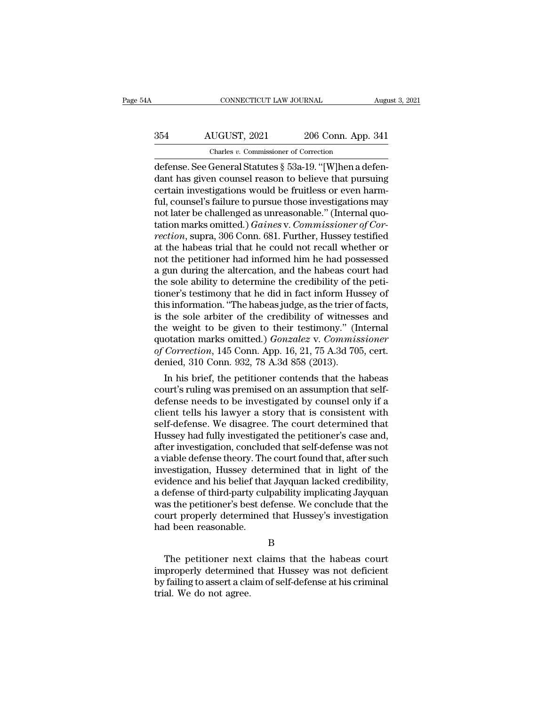# CONNECTICUT LAW JOURNAL August 3, 2021<br>354 AUGUST, 2021 206 Conn. App. 341<br>Charles v. Commissioner of Correction CONNECTICUT LAW JOURNAL<br>UGUST, 2021 206 Conn. App.<br>Charles *v.* Commissioner of Correction<br>General Statutes § 53a-19 "[W]hen a de

CONNECTICUT LAW JOURNAL Augu<br>
354 AUGUST, 2021 206 Conn. App. 341<br>
Charles v. Commissioner of Correction<br>
defense. See General Statutes § 53a-19. "[W]hen a defen-<br>
dant has given counsel reason to believe that pursuing<br>
co ables 1991 and the Microsoften counsel reason to believe that pursuing<br>defense. See General Statutes § 53a-19. "[W]hen a defendant has given counsel reason to believe that pursuing<br>certain investigations would be fruitless 354 AUGUST, 2021 206 Conn. App. 341<br>
Charles v. Commissioner of Correction<br>
defense. See General Statutes § 53a-19. "[W]hen a defen-<br>
dant has given counsel reason to believe that pursuing<br>
certain investigations would be  $\frac{354}{\text{Charles } v. \text{ Commissioner of Correction}}$ <br>
defense. See General Statutes § 53a-19. "[W]hen a defendant has given counsel reason to believe that pursuing<br>
certain investigations would be fruitless or even harm-<br>
ful, counsel's failure to p Charles v. Commissioner of Correction<br>
defense. See General Statutes § 53a-19. "[W]hen a defen-<br>
dant has given counsel reason to believe that pursuing<br>
certain investigations would be fruitless or even harm-<br>
ful, counsel Charles *v.* Commissioner of Correction<br>defense. See General Statutes § 53a-19. "[W]hen a defen-<br>dant has given counsel reason to believe that pursuing<br>certain investigations would be fruitless or even harm-<br>ful, counsel's defense. See General Statutes § 53a-19. "[W]hen a defen-<br>dant has given counsel reason to believe that pursuing<br>certain investigations would be fruitless or even harm-<br>ful, counsel's failure to pursue those investigations dant has given counsel reason to believe that pursuing<br>certain investigations would be fruitless or even harm-<br>ful, counsel's failure to pursue those investigations may<br>not later be challenged as unreasonable." (Internal q certain investigations would be fruitless or even harm-<br>ful, counsel's failure to pursue those investigations may<br>not later be challenged as unreasonable." (Internal quo-<br>tation marks omitted.) *Gaines* v. *Commissioner of* ful, counsel's failure to pursue those investigations may<br>not later be challenged as unreasonable." (Internal quo-<br>tation marks omitted.) *Gaines* v. *Commissioner of Cor-*<br>rection, supra, 306 Conn. 681. Further, Hussey te not later be challenged as unreasonable." (Internal quotation marks omitted.) *Gaines v. Commissioner of Correction*, supra, 306 Conn. 681. Further, Hussey testified at the habeas trial that he could not recall whether or tation marks omitted.) *Gaines* v. *Commissioner of Correction*, supra, 306 Conn. 681. Further, Hussey testified at the habeas trial that he could not recall whether or not the petitioner had informed him he had possessed rection, supra, 306 Conn. 681. Further, Hussey testified<br>at the habeas trial that he could not recall whether or<br>not the petitioner had informed him he had possessed<br>a gun during the altercation, and the habeas court had<br>t at the habeas trial that he could not recall whether or<br>not the petitioner had informed him he had possessed<br>a gun during the altercation, and the habeas court had<br>the sole ability to determine the credibility of the petinot the petitioner had informed him he had possessed<br>a gun during the altercation, and the habeas court had<br>the sole ability to determine the credibility of the peti-<br>tioner's testimony that he did in fact inform Hussey o a gun during the altercation, and the habeas court had<br>the sole ability to determine the credibility of the peti-<br>tioner's testimony that he did in fact inform Hussey of<br>this information. "The habeas judge, as the trier of the sole ability to determine the credibility of the petitioner's testimony that he did in fact inform Hussey of this information. "The habeas judge, as the trier of facts, is the sole arbiter of the credibility of witness tioner's testimony that he did in fact inform Hus<br>this information. "The habeas judge, as the trier o<br>is the sole arbiter of the credibility of witness<br>the weight to be given to their testimony." (In<br>quotation marks omitte Information. The habeas judge, as the trief of racts,<br>the sole arbiter of the credibility of witnesses and<br>e weight to be given to their testimony." (Internal<br>otation marks omitted.) *Gonzalez* v. *Commissioner*<br>*Correcti* is the sole arbiter of the credibility of witnesses and<br>the weight to be given to their testimony." (Internal<br>quotation marks omitted.) *Gonzalez* v. *Commissioner*<br>of Correction, 145 Conn. App. 16, 21, 75 A.3d 705, cert.<br>

the weight to be given to their testimony. (Internal<br>quotation marks omitted.) *Gonzalez* v. *Commissioner*<br>of *Correction*, 145 Conn. App. 16, 21, 75 A.3d 705, cert.<br>denied, 310 Conn. 932, 78 A.3d 858 (2013).<br>In his brief quotation marks omitted.) Gonzalez v. Commissioner<br>of Correction, 145 Conn. App. 16, 21, 75 A.3d 705, cert.<br>denied, 310 Conn. 932, 78 A.3d 858 (2013).<br>In his brief, the petitioner contends that the habeas<br>court's ruling wa of Correction, 145 Conn. App. 16, 21, 75 A.3d 705, cert.<br>denied, 310 Conn. 932, 78 A.3d 858 (2013).<br>In his brief, the petitioner contends that the habeas<br>court's ruling was premised on an assumption that self-<br>defense nee denied, 310 Conn. 932, 78 A.3d 858 (2013).<br>
In his brief, the petitioner contends that the habeas<br>
court's ruling was premised on an assumption that self-<br>
defense needs to be investigated by counsel only if a<br>
client tell In his brief, the petitioner contends that the habeas<br>court's ruling was premised on an assumption that self-<br>defense needs to be investigated by counsel only if a<br>client tells his lawyer a story that is consistent with<br>se court's ruling was premised on an assumption that self-<br>defense needs to be investigated by counsel only if a<br>client tells his lawyer a story that is consistent with<br>self-defense. We disagree. The court determined that<br>Hus defense needs to be investigated by counsel only if a<br>client tells his lawyer a story that is consistent with<br>self-defense. We disagree. The court determined that<br>Hussey had fully investigated the petitioner's case and,<br>af client tells his lawyer a story that is consistent with<br>self-defense. We disagree. The court determined that<br>Hussey had fully investigated the petitioner's case and,<br>after investigation, concluded that self-defense was not self-defense. We disagree. The court determined that<br>Hussey had fully investigated the petitioner's case and,<br>after investigation, concluded that self-defense was not<br>a viable defense theory. The court found that, after su Hussey had fully investigated the petitioner's case and,<br>after investigation, concluded that self-defense was not<br>a viable defense theory. The court found that, after such<br>investigation, Hussey determined that in light of after investigation, concluded that self-defense was not<br>a viable defense theory. The court found that, after such<br>investigation, Hussey determined that in light of the<br>evidence and his belief that Jayquan lacked credibili a viable defense theory. The<br>investigation, Hussey dete<br>evidence and his belief tha<br>a defense of third-party cul<br>was the petitioner's best de<br>court properly determined<br>had been reasonable. defense of third-party culpability implicating Jayquan<br>as the petitioner's best defense. We conclude that the<br>urt properly determined that Hussey's investigation<br>d been reasonable.<br>B<br>The petitioner next claims that the hab

B

was the petitioner's best defense. We conclude that the<br>court properly determined that Hussey's investigation<br>had been reasonable.<br>B<br>The petitioner next claims that the habeas court<br>improperly determined that Hussey was no by failing to assert a claim of self-defense at his criminal<br>trial. We do not agree.<br>We failing to assert a claim of self-defense at his criminal<br>trial. We do not agree. thad been reasonable.<br>The petitioner next<br>improperly determined<br>by failing to assert a cla<br>trial. We do not agree.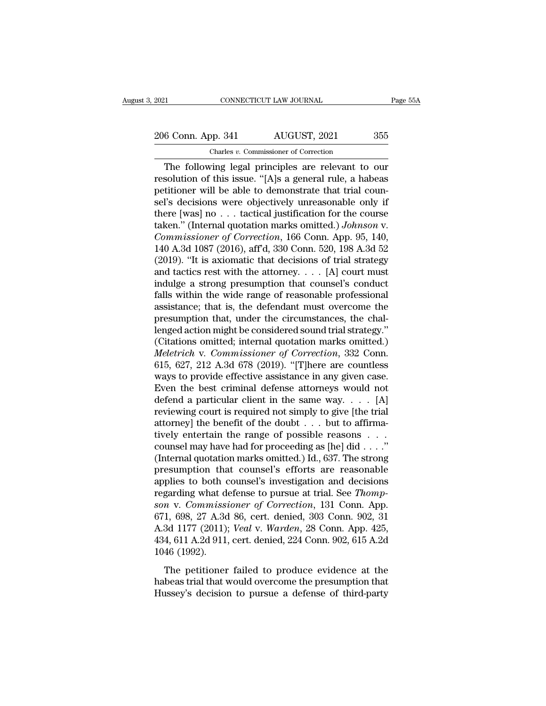2021 CONNECTICUT LAW JOURNAL Page 55A<br>
206 Conn. App. 341 AUGUST, 2021 355<br>
Charles v. Commissioner of Correction Charles *v.* Commissioner of Correction

CONNECTICUT LAW JOURNAL Page 55A<br>
6 Conn. App. 341 AUGUST, 2021 355<br>
Charles v. Commissioner of Correction<br>
The following legal principles are relevant to our<br>
solution of this issue. "[A]s a general rule, a habeas<br>
tition 206 Conn. App. 341 AUGUST, 2021 355<br>
Charles v. Commissioner of Correction<br>
The following legal principles are relevant to our<br>
resolution of this issue. "[A]s a general rule, a habeas<br>
petitioner will be able to demonstra 206 Conn. App. 341 AUGUST, 2021 355<br>
Charles v. Commissioner of Correction<br>
The following legal principles are relevant to our<br>
resolution of this issue. "[A]s a general rule, a habeas<br>
petitioner will be able to demonstr 206 Conn. App. 341 AUGUST, 2021 355<br>
Charles v. Commissioner of Correction<br>
The following legal principles are relevant to our<br>
resolution of this issue. "[A]s a general rule, a habeas<br>
petitioner will be able to demonstr The following legal principles are relevant to our<br>resolution of this issue. "[A]s a general rule, a habeas<br>petitioner will be able to demonstrate that trial coun-<br>sel's decisions were objectively unreasonable only if<br>the Charles *v.* Commissioner of Correction<br>
The following legal principles are relevant to our<br>
resolution of this issue. "[A]s a general rule, a habeas<br>
petitioner will be able to demonstrate that trial coun-<br>
sel's decision The following legal principles are relevant to our<br>resolution of this issue. "[A]s a general rule, a habeas<br>petitioner will be able to demonstrate that trial coun-<br>sel's decisions were objectively unreasonable only if<br>ther resolution of this issue. "[A]s a general rule, a habeas<br>petitioner will be able to demonstrate that trial coun-<br>sel's decisions were objectively unreasonable only if<br>there [was] no . . . tactical justification for the co petitioner will be able to demonstrate that trial counsel's decisions were objectively unreasonable only if there [was] no . . . tactical justification for the course taken." (Internal quotation marks omitted.) *Johnson v* sel's decisions were objectively unreasonable only if<br>there [was] no . . . tactical justification for the course<br>taken." (Internal quotation marks omitted.) *Johnson* v.<br>*Commissioner of Correction*, 166 Conn. App. 95, 14 there [was] no . . . tactical justification for the course<br>taken." (Internal quotation marks omitted.) *Johnson v.*<br>Commissioner of Correction, 166 Conn. App. 95, 140,<br>140 A.3d 1087 (2016), aff'd, 330 Conn. 520, 198 A.3d taken." (Internal quotation marks omitted.) Johnson v.<br>Commissioner of Correction, 166 Conn. App. 95, 140,<br>140 A.3d 1087 (2016), aff'd, 330 Conn. 520, 198 A.3d 52<br>(2019). "It is axiomatic that decisions of trial strategy<br> Commissioner of Correction, 166 Conn. App. 95, 140, 140 A.3d 1087 (2016), aff'd, 330 Conn. 520, 198 A.3d 52 (2019). "It is axiomatic that decisions of trial strategy and tactics rest with the attorney.  $\dots$  [A] court must 140 A.3d 1087 (2016), aff'd, 330 Conn. 520, 198 A.3d 52 (2019). "It is axiomatic that decisions of trial strategy and tactics rest with the attorney.  $\dots$  [A] court must indulge a strong presumption that counsel's conduct (2019). "It is axiomatic that decisions of trial strategy<br>and tactics rest with the attorney. . . . [A] court must<br>indulge a strong presumption that counsel's conduct<br>falls within the wide range of reasonable professional and tactics rest with the attorney. . . . [A] court must<br>indulge a strong presumption that counsel's conduct<br>falls within the wide range of reasonable professional<br>assistance; that is, the defendant must overcome the<br>pres indulge a strong presumption that counsel's conduct<br>falls within the wide range of reasonable professional<br>assistance; that is, the defendant must overcome the<br>presumption that, under the circumstances, the chal-<br>lenged ac falls within the wide range of reasonable professional<br>assistance; that is, the defendant must overcome the<br>presumption that, under the circumstances, the chal-<br>lenged action might be considered sound trial strategy."<br>(Cit assistance; that is, the defendant must overcome the<br>presumption that, under the circumstances, the chal-<br>lenged action might be considered sound trial strategy."<br>(Citations omitted; internal quotation marks omitted.)<br>*Mel* presumption that, under the circumstances, the chal-<br>lenged action might be considered sound trial strategy."<br>(Citations omitted; internal quotation marks omitted.)<br>*Meletrich* v. *Commissioner of Correction*, 332 Conn.<br>6 lenged action might be considered sound trial strategy."<br>
(Citations omitted; internal quotation marks omitted.)<br> *Meletrich* v. *Commissioner of Correction*, 332 Conn.<br>
615, 627, 212 A.3d 678 (2019). "[T]here are countle (Citations omitted; internal quotation marks omitted.)<br> *Meletrich* v. *Commissioner of Correction*, 332 Conn.<br>
615, 627, 212 A.3d 678 (2019). "[T]here are countless<br>
ways to provide effective assistance in any given case *Meletrich* v. *Commissioner of Correction*, 332 Conn.<br>615, 627, 212 A.3d 678 (2019). "[T]here are countless<br>ways to provide effective assistance in any given case.<br>Even the best criminal defense attorneys would not<br>defen 615, 627, 212 A.3d 678 (2019). "[T]here are countless<br>ways to provide effective assistance in any given case.<br>Even the best criminal defense attorneys would not<br>defend a particular client in the same way. . . . [A]<br>review ways to provide effective assistance in any given case.<br>Even the best criminal defense attorneys would not<br>defend a particular client in the same way. . . . [A]<br>reviewing court is required not simply to give [the trial<br>at Even the best criminal defense attorneys would not<br>defend a particular client in the same way. . . . [A]<br>reviewing court is required not simply to give [the trial<br>attorney] the benefit of the doubt . . . but to affirma-<br>t defend a particular client in the same way. . . . [A]<br>reviewing court is required not simply to give [the trial<br>attorney] the benefit of the doubt . . . but to affirma-<br>tively entertain the range of possible reasons . . . reviewing court is required not simply to give [the trial<br>attorney] the benefit of the doubt . . . but to affirma-<br>tively entertain the range of possible reasons . . .<br>counsel may have had for proceeding as [he] did . . . regarding what defense to pursue at trial. See *Thompsomming tively entertain the range of possible reasons* . . . *counsel may have had for proceeding as [he] did . . . ."*<br>(Internal quotation marks omitted.) Id., 637. The strong<br>presumption that counsel's efforts are reas counsel may have had for proceeding as [he] did . . . ."<br>(Internal quotation marks omitted.) Id., 637. The strong<br>presumption that counsel's efforts are reasonable<br>applies to both counsel's investigation and decisions<br>reg (Internal quotation marks omitted.) Id., 637. The strong<br>presumption that counsel's efforts are reasonable<br>applies to both counsel's investigation and decisions<br>regarding what defense to pursue at trial. See *Thomp-*<br>son v presumption that counsel's efforts are reasonable<br>applies to both counsel's investigation and decisions<br>regarding what defense to pursue at trial. See *Thomp-*<br>son v. Commissioner of Correction, 131 Conn. App.<br>671, 698, 27 applies to both c<br>regarding what do<br>son v. Commisss<br>671, 698, 27 A.3d<br>A.3d 1177 (2011);<br>434, 611 A.2d 911,<br>1046 (1992).<br>The petitioner m v. Commissioner of Correction, 131 Conn. App.<br>1, 698, 27 A.3d 86, cert. denied, 303 Conn. 902, 31<br>3d 1177 (2011); *Veal* v. *Warden*, 28 Conn. App. 425,<br>4, 611 A.2d 911, cert. denied, 224 Conn. 902, 615 A.2d<br>46 (1992).<br> 671, 698, 27 A.3d 86, cert. denied, 303 Conn. 902, 31<br>A.3d 1177 (2011); *Veal* v. *Warden*, 28 Conn. App. 425,<br>434, 611 A.2d 911, cert. denied, 224 Conn. 902, 615 A.2d<br>1046 (1992).<br>The petitioner failed to produce evidenc A.3d 1177 (2011); *Veal* v. *Warden*, 28 Conn. App. 425, 434, 611 A.2d 911, cert. denied, 224 Conn. 902, 615 A.2d 1046 (1992).<br>The petitioner failed to produce evidence at the habeas trial that would overcome the presumpti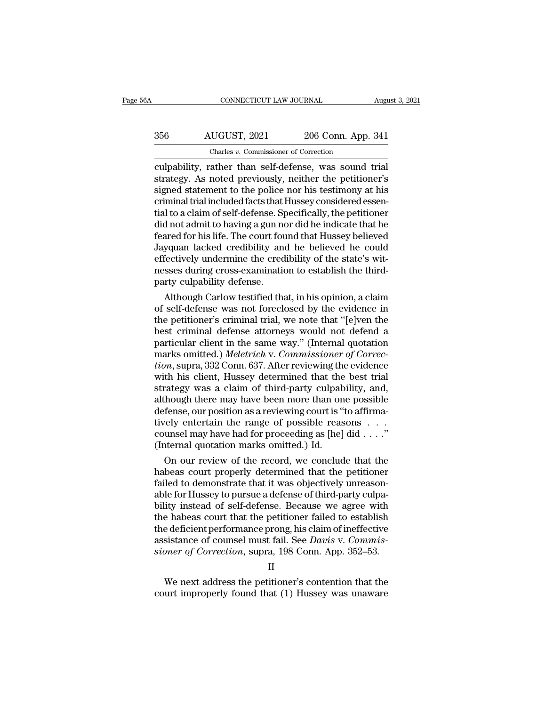# CONNECTICUT LAW JOURNAL August 3, 2021<br>356 AUGUST, 2021 206 Conn. App. 341<br>Charles v. Commissioner of Correction CONNECTICUT LAW JOURNAL<br>LUGUST, 2021 206 Conn. App.<br>Charles *v.* Commissioner of Correction<br>cather than self-defense was sound

CONNECTICUT LAW JOURNAL August 3, 20<br>
356 AUGUST, 2021 206 Conn. App. 341<br>
Charles v. Commissioner of Correction<br>
culpability, rather than self-defense, was sound trial<br>
strategy. As noted previously, neither the petitione 356 AUGUST, 2021 206 Conn. App. 341<br>
Charles v. Commissioner of Correction<br>
Culpability, rather than self-defense, was sound trial<br>
strategy. As noted previously, neither the petitioner's<br>
signed statement to the police no  $\frac{\text{S56}}{\text{Charles } v. \text{ Commissioner of Correction}}$ <br>
Charles v. Commissioner of Correction<br>
culpability, rather than self-defense, was sound trial<br>
strategy. As noted previously, neither the petitioner's<br>
signed statement to the police nor his  $\frac{356}{200}$  AUGUST, 2021 206 Conn. App. 341<br>
Charles v. Commissioner of Correction<br>
culpability, rather than self-defense, was sound trial<br>
strategy. As noted previously, neither the petitioner's<br>
signed statement to th Charles v. Commissioner of Correction<br>
culpability, rather than self-defense, was sound trial<br>
strategy. As noted previously, neither the petitioner's<br>
signed statement to the police nor his testimony at his<br>
criminal tria Charles v. Commissioner of Correction<br>
culpability, rather than self-defense, was sound trial<br>
strategy. As noted previously, neither the petitioner's<br>
signed statement to the police nor his testimony at his<br>
criminal tria culpability, rather than self-defense, was sound trial<br>strategy. As noted previously, neither the petitioner's<br>signed statement to the police nor his testimony at his<br>criminal trial included facts that Hussey considered es strategy. As noted previously, neither the petitioner's<br>signed statement to the police nor his testimony at his<br>criminal trial included facts that Hussey considered essen-<br>tial to a claim of self-defense. Specifically, the signed statement to the police nor his testimony at his criminal trial included facts that Hussey considered essential to a claim of self-defense. Specifically, the petitioner did not admit to having a gun nor did he indic criminal trial included facts that Hussey considered essential to a claim of self-defense. Specifically, the petitioner did not admit to having a gun nor did he indicate that he feared for his life. The court found that Hu tial to a claim of self-defense. Sp<br>did not admit to having a gun no<br>feared for his life. The court fou<br>Jayquan lacked credibility ane<br>effectively undermine the cred<br>nesses during cross-examinatio<br>party culpability defense d not admit to having a gun nor did he indicate that he<br>ared for his life. The court found that Hussey believed<br>yquan lacked credibility and he believed he could<br>fectively undermine the credibility of the state's wit-<br>sses reared for his life. The court found that Hussey believed<br>Jayquan lacked credibility and he believed he could<br>effectively undermine the credibility of the state's wit-<br>nesses during cross-examination to establish the third

Jayquan lacked credibility and he believed he could<br>effectively undermine the credibility of the state's wit-<br>nesses during cross-examination to establish the third-<br>party culpability defense.<br>Although Carlow testified tha effectively undermine the credibility of the state's wit-<br>nesses during cross-examination to establish the third-<br>party culpability defense.<br>Although Carlow testified that, in his opinion, a claim<br>of self-defense was not f nesses during cross-examination to establish the third-<br>party culpability defense.<br>Although Carlow testified that, in his opinion, a claim<br>of self-defense was not foreclosed by the evidence in<br>the petitioner's criminal tri party culpability defense.<br>Although Carlow testified that, in his opinion, a claim<br>of self-defense was not foreclosed by the evidence in<br>the petitioner's criminal trial, we note that "[e]ven the<br>best criminal defense attor Although Carlow testified that, in his opinion, a claim<br>of self-defense was not foreclosed by the evidence in<br>the petitioner's criminal trial, we note that "[e]ven the<br>best criminal defense attorneys would not defend a<br>par of self-defense was not foreclosed by the evidence in<br>the petitioner's criminal trial, we note that "[e]ven the<br>best criminal defense attorneys would not defend a<br>particular client in the same way." (Internal quotation<br>mar the petitioner's criminal trial, we note that "[e]ven the<br>best criminal defense attorneys would not defend a<br>particular client in the same way." (Internal quotation<br>marks omitted.) Meletrich v. Commissioner of Correc-<br>tion best criminal defense attorneys would not defend a<br>particular client in the same way." (Internal quotation<br>marks omitted.) *Meletrich* v. *Commissioner of Correc-<br>tion*, supra, 332 Conn. 637. After reviewing the evidence<br>w particular client in the same way." (Internal quotation<br>marks omitted.) *Meletrich* v. *Commissioner of Correc-<br>tion*, supra, 332 Conn. 637. After reviewing the evidence<br>with his client, Hussey determined that the best tri marks omitted.) *Meletrich* v. *Commissioner of Correction*, supra, 332 Conn. 637. After reviewing the evidence with his client, Hussey determined that the best trial strategy was a claim of third-party culpability, and, *tion*, supra, 332 Conn. 637. After reviewing the evidence with his client, Hussey determined that the best trial strategy was a claim of third-party culpability, and, although there may have been more than one possible d with his client, Hussey determined that the<br>strategy was a claim of third-party culpab<br>although there may have been more than on<br>defense, our position as a reviewing court is "<br>tively entertain the range of possible reas<br>c rategy was a claim of third-party culpability, and,<br>hough there may have been more than one possible<br>fense, our position as a reviewing court is "to affirma-<br>rely entertain the range of possible reasons . . . .<br>umsel may h although there may have been more than one possible<br>defense, our position as a reviewing court is "to affirma-<br>tively entertain the range of possible reasons . . .<br>counsel may have had for proceeding as [he] did . . . ."<br>(

defense, our position as a reviewing court is "to affirmatively entertain the range of possible reasons . . . .<br>counsel may have had for proceeding as [he] did . . . ."<br>(Internal quotation marks omitted.) Id.<br>On our review tively entertain the range of possible reasons . . .<br>counsel may have had for proceeding as [he] did . . . ."<br>(Internal quotation marks omitted.) Id.<br>On our review of the record, we conclude that the<br>habeas court properly counsel may have had for proceeding as  $[he]$  did . . . ."<br>(Internal quotation marks omitted.) Id.<br>On our review of the record, we conclude that the<br>habeas court properly determined that the petitioner<br>failed to demonstrat (Internal quotation marks omitted.) Id.<br>
On our review of the record, we conclude that the<br>
habeas court properly determined that the petitioner<br>
failed to demonstrate that it was objectively unreason-<br>
able for Hussey to On our review of the record, we conclude that the<br>habeas court properly determined that the petitioner<br>failed to demonstrate that it was objectively unreason-<br>able for Hussey to pursue a defense of third-party culpa-<br>bili habeas court properly determined that the petitioner failed to demonstrate that it was objectively unreasonable for Hussey to pursue a defense of third-party culpability instead of self-defense. Because we agree with the h failed to demonstrate that it was objectively unreasonable for Hussey to pursue a defense of third-party culpability instead of self-defense. Because we agree with the habeas court that the petitioner failed to establish t The habeas court that the petitioner failed to establish<br>e deficient performance prong, his claim of ineffective<br>sistance of counsel must fail. See *Davis* v. *Commis-*<br>pner of Correction, supra, 198 Conn. App. 352–53.<br>II<br> the deficient performance prong, his claim of ineffective<br>assistance of counsel must fail. See *Davis v. Commissioner of Correction*, supra, 198 Conn. App. 352–53.<br>II<br>We next address the petitioner's contention that the<br>co

II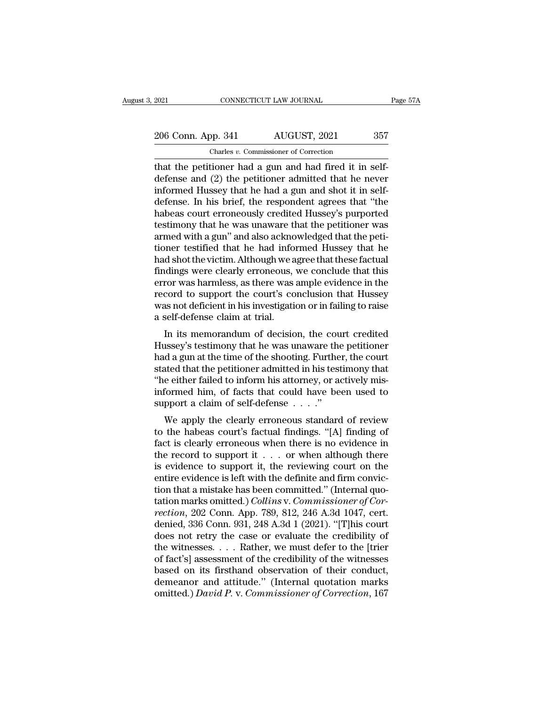2021 CONNECTICUT LAW JOURNAL Page 57A<br>
206 Conn. App. 341 AUGUST, 2021 357<br>
Charles v. Commissioner of Correction Charles *v.* Commissioner of Correction

The connection of the petitioner and the petitioner and had fired it in self-<br>defense and (2) the petitioner admitted that he never<br>informed Hussey that he had a gun and shot it in self-<br>informed Hussey that he had a gun a 206 Conn. App. 341 AUGUST, 2021 357<br>
Charles v. Commissioner of Correction<br>
that the petitioner had a gun and had fired it in self-<br>
defense and (2) the petitioner admitted that he never<br>
informed Hussey that he had a gun 206 Conn. App. 341 AUGUST, 2021 357<br>
Charles v. Commissioner of Correction<br>
that the petitioner had a gun and had fired it in self-<br>
defense and (2) the petitioner admitted that he never<br>
informed Hussey that he had a gun 206 Conn. App. 341 AUGUST, 2021 357<br>
Charles v. Commissioner of Correction<br>
that the petitioner had a gun and had fired it in self-<br>
defense and (2) the petitioner admitted that he never<br>
informed Hussey that he had a gun Charles v. Commissioner of Correction<br>that the petitioner had a gun and had fired it in self-<br>defense and (2) the petitioner admitted that he never<br>informed Hussey that he had a gun and shot it in self-<br>defense. In his br Charles v. Commissioner of Correction<br>that the petitioner had a gun and had fired it in self-<br>defense and (2) the petitioner admitted that he never<br>informed Hussey that he had a gun and shot it in self-<br>defense. In his br that the petitioner had a gun and had fired it in self-<br>defense and  $(2)$  the petitioner admitted that he never<br>informed Hussey that he had a gun and shot it in self-<br>defense. In his brief, the respondent agrees that "the defense and (2) the petitioner admitted that he never<br>informed Hussey that he had a gun and shot it in self-<br>defense. In his brief, the respondent agrees that "the<br>habeas court erroneously credited Hussey's purported<br>testi informed Hussey that he had a gun and shot it in self-<br>defense. In his brief, the respondent agrees that "the<br>habeas court erroneously credited Hussey's purported<br>testimony that he was unaware that the petitioner was<br>armed defense. In his brief, the respondent agrees that "the habeas court erroneously credited Hussey's purported testimony that he was unaware that the petitioner was armed with a gun" and also acknowledged that the petitioner habeas court erroneously credited Hussey's purported<br>testimony that he was unaware that the petitioner was<br>armed with a gun" and also acknowledged that the petitioner<br>testified that he had informed Hussey that he<br>had shot testimony that he was unaware that the petitioner was<br>armed with a gun" and also acknowledged that the peti-<br>tioner testified that he had informed Hussey that he<br>had shot the victim. Although we agree that these factual<br>fi armed with a gun" and also acknowledged that the petitioner testified that he had informed Hussey that he had shot the victim. Although we agree that these factual findings were clearly erroneous, we conclude that this err tioner testified that he had informal<br>had shot the victim. Although we a<br>findings were clearly erroneous,<br>error was harmless, as there was<br>record to support the court's co<br>was not deficient in his investigatie<br>a self-defen In shot the victini. Antiough we agree that these ractual<br>Indings were clearly erroneous, we conclude that this<br>ror was harmless, as there was ample evidence in the<br>cord to support the court's conclusion that Hussey<br>as not midings were clearly efforeous, we conclude that this<br>error was harmless, as there was ample evidence in the<br>record to support the court's conclusion that Hussey<br>was not deficient in his investigation or in failing to rais

erior was namiess, as there was ample evidence in the<br>record to support the court's conclusion that Hussey<br>was not deficient in his investigation or in failing to raise<br>a self-defense claim at trial.<br>In its memorandum of d record to support the court's conclusion that Hussey<br>was not deficient in his investigation or in failing to raise<br>a self-defense claim at trial.<br>In its memorandum of decision, the court credited<br>Hussey's testimony that he was not dencient in his investigation of in failing to faise<br>a self-defense claim at trial.<br>In its memorandum of decision, the court credited<br>Hussey's testimony that he was unaware the petitioner<br>had a gun at the time of t in its memorandum of decision, the court credited<br>Hussey's testimony that he was unaware the petitioner<br>had a gun at the time of the shooting. Further, the court<br>stated that the petitioner admitted in his testimony that<br>" In its memorandum of decision, the could Hussey's testimony that he was unaware the had a gun at the time of the shooting. Furthe stated that the petitioner admitted in his test "he either failed to inform his attorney, o ussey's testimony that he was unaware the pertitioner<br>d a gun at the time of the shooting. Further, the court<br>ated that the petitioner admitted in his testimony that<br>e either failed to inform his attorney, or actively mis traded that the petitioner admitted in his testimony that<br>
"he either failed to inform his attorney, or actively mis-<br>
informed him, of facts that could have been used to<br>
support a claim of self-defense  $\dots$ ."<br>
We apply

stated that the pethodier admitted in his testimoly that<br>
"he either failed to inform his attorney, or actively mis-<br>
informed him, of facts that could have been used to<br>
support a claim of self-defense  $\ldots$ ."<br>
We apply The entire ranea to muonti its actomicy, or actively instinformed him, of facts that could have been used to support a claim of self-defense  $\ldots$ ."<br>We apply the clearly erroneous standard of review to the habeas court's muonned film, of facts that could have been used to<br>support a claim of self-defense  $\ldots$ ."<br>We apply the clearly erroneous standard of review<br>to the habeas court's factual findings. "[A] finding of<br>fact is clearly erroneo We apply the clearly erroneous standard of review<br>to the habeas court's factual findings. "[A] finding of<br>fact is clearly erroneous when there is no evidence in<br>the record to support it  $\ldots$  or when although there<br>is evi We apply the clearly erroneous standard of review<br>to the habeas court's factual findings. "[A] finding of<br>fact is clearly erroneous when there is no evidence in<br>the record to support it . . . or when although there<br>is evi to the habeas court's factual findings. "[A] finding of fact is clearly erroneous when there is no evidence in the record to support it . . . or when although there is evidence to support it, the reviewing court on the en fact is clearly erroneous when there is no evidence in the record to support it . . . or when although there is evidence to support it, the reviewing court on the entire evidence is left with the definite and firm convict the record to support it . . . or when although there is evidence to support it, the reviewing court on the entire evidence is left with the definite and firm conviction that a mistake has been committed." (Internal quota is evidence to support it, the reviewing court on the<br>entire evidence is left with the definite and firm convic-<br>tion that a mistake has been committed." (Internal quo-<br>tation marks omitted.) Collins v. Commissioner of Co entire evidence is left with the definite and firm conviction that a mistake has been committed." (Internal quotation marks omitted.) *Collins v. Commissioner of Correction*, 202 Conn. App. 789, 812, 246 A.3d 1047, cert. d tion that a mistake has been committed." (Internal quotation marks omitted.) Collins v. Commissioner of Correction, 202 Conn. App. 789, 812, 246 A.3d 1047, cert.<br>denied, 336 Conn. 931, 248 A.3d 1 (2021). "[T]his court<br>doe tation marks omitted.) *Collins* v. *Commissioner of Cor-*<br>*rection*, 202 Conn. App. 789, 812, 246 A.3d 1047, cert.<br>denied, 336 Conn. 931, 248 A.3d 1 (2021). "[T]his court<br>does not retry the case or evaluate the credibili rection, 202 Conn. App. 789, 812, 246 A.3d 1047, cert.<br>denied, 336 Conn. 931, 248 A.3d 1 (2021). "[T]his court<br>does not retry the case or evaluate the credibility of<br>the witnesses. . . . Rather, we must defer to the [trie denied, 336 Conn. 931, 248 A.3d 1 (2021). "[T]his court does not retry the case or evaluate the credibility of the witnesses. . . . Rather, we must defer to the [trier of fact's] assessment of the credibility of the witnes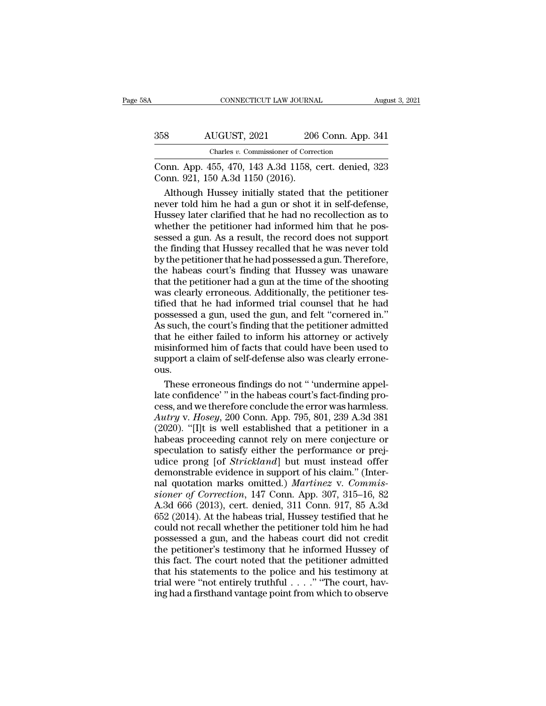| ŝΑ  | CONNECTICUT LAW JOURNAL                                                                   |                    | August 3, 2021 |
|-----|-------------------------------------------------------------------------------------------|--------------------|----------------|
| 358 | AUGUST, 2021                                                                              | 206 Conn. App. 341 |                |
|     | Charles v. Commissioner of Correction                                                     |                    |                |
|     | Conn. App. 455, 470, 143 A.3d 1158, cert. denied, 323<br>Conn. 921, 150 A.3d 1150 (2016). |                    |                |
|     | Although Hussey initially stated that the petitioner                                      |                    |                |

AUGUST, 2021 206 Conn. App. 341<br>
Charles v. Commissioner of Correction<br>
DNN. App. 455, 470, 143 A.3d 1158, cert. denied, 323<br>
DNN. 921, 150 A.3d 1150 (2016).<br>
Although Hussey initially stated that the petitioner<br>
ver told AUGUST, 2021 206 Conn. App. 341<br>
Charles v. Commissioner of Correction<br>
Conn. App. 455, 470, 143 A.3d 1158, cert. denied, 323<br>
Conn. 921, 150 A.3d 1150 (2016).<br>
Although Hussey initially stated that the petitioner<br>
never t Charles v. Commissioner of Correction<br>
Conn. App. 455, 470, 143 A.3d 1158, cert. denied, 323<br>
Conn. 921, 150 A.3d 1150 (2016).<br>
Although Hussey initially stated that the petitioner<br>
never told him he had a gun or shot it Conn. App. 455, 470, 143 A.3d 1158, cert. denied, 323<br>Conn. 921, 150 A.3d 1150 (2016).<br>Although Hussey initially stated that the petitioner<br>never told him he had a gun or shot it in self-defense,<br>Hussey later clarified th Conn. App. 455, 470, 143 A.3d 1158, cert. denied, 323<br>Conn. 921, 150 A.3d 1150 (2016).<br>Although Hussey initially stated that the petitioner<br>never told him he had a gun or shot it in self-defense,<br>Hussey later clarified tha Conn. 921, 150 A.3d 1150 (2016).<br>Although Hussey initially stated that the petitioner<br>never told him he had a gun or shot it in self-defense,<br>Hussey later clarified that he had no recollection as to<br>whether the petitioner Although Hussey initially stated that the petitioner<br>never told him he had a gun or shot it in self-defense,<br>Hussey later clarified that he had no recollection as to<br>whether the petitioner had informed him that he pos-<br>ses mever told him he had a gun or shot it in self-defense,<br>Hussey later clarified that he had no recollection as to<br>whether the petitioner had informed him that he pos-<br>sessed a gun. As a result, the record does not support<br>t Hussey later clarified that he had no recollection as to<br>whether the petitioner had informed him that he pos-<br>sessed a gun. As a result, the record does not support<br>the finding that Hussey recalled that he was never told<br>b whether the petitioner had informed him that he possessed a gun. As a result, the record does not support the finding that Hussey recalled that he was never told by the petitioner that he had possessed a gun. Therefore, t sessed a gun. As a result, the record does not support<br>the finding that Hussey recalled that he was never told<br>by the petitioner that he had possessed a gun. Therefore,<br>the habeas court's finding that Hussey was unaware<br>th possessed a gun that Hussey recalled that he was never told<br>by the petitioner that he had possessed a gun. Therefore,<br>the habeas court's finding that Hussey was unaware<br>that the petitioner had a gun at the time of the shoo The petitioner that he had possessed a gun. Therefore,<br>the habeas court's finding that Hussey was unaware<br>that the petitioner had a gun at the time of the shooting<br>was clearly erroneous. Additionally, the petitioner tes-<br>t by the perfactor that he had possessed a galar relations;<br>the habeas court's finding that Hussey was unaware<br>that the petitioner had a gun at the time of the shooting<br>was clearly erroneous. Additionally, the petitioner tes That the petitioner had a gun at the time of the shooting<br>was clearly erroneous. Additionally, the petitioner tes-<br>tified that he had informed trial counsel that he had<br>possessed a gun, used the gun, and felt "cornered in. support a claim of self-defense also was clearly erroneous. Additionally, the petitioner tes-<br>tified that he had informed trial counsel that he had<br>possessed a gun, used the gun, and felt "cornered in."<br>As such, the court' ous. ssessed a gun, used the gun, and felt "cornered in."<br>
such, the court's finding that the petitioner admitted<br>
at he either failed to inform his attorney or actively<br>
isinformed him of facts that could have been used to<br>
pp As such, the court's finding that the petitioner admitted<br>that he either failed to inform his attorney or actively<br>misinformed him of facts that could have been used to<br>support a claim of self-defense also was clearly err

that he either failed to inform his attorney or actively<br>misinformed him of facts that could have been used to<br>support a claim of self-defense also was clearly errone-<br>ous.<br>These erroneous findings do not " undermine appel misinformed him of facts that could have been used to<br>support a claim of self-defense also was clearly errone-<br>ous.<br>These erroneous findings do not " 'undermine appel-<br>late confidence' " in the habeas court's fact-finding support a claim of self-defense also was clearly errone-<br>ous.<br>These erroneous findings do not " 'undermine appel-<br>late confidence' " in the habeas court's fact-finding pro-<br>cess, and we therefore conclude the error was har ous.<br>These erroneous findings do not " 'undermine appel-<br>late confidence' " in the habeas court's fact-finding pro-<br>cess, and we therefore conclude the error was harmless.<br>Autry v. Hosey, 200 Conn. App. 795, 801, 239 A.3d These erroneous findings do not " 'undermine appel-<br>late confidence' " in the habeas court's fact-finding pro-<br>cess, and we therefore conclude the error was harmless.<br>Autry v. Hosey, 200 Conn. App. 795, 801, 239 A.3d 381<br>( Late confidence' " in the habeas court's fact-finding process, and we therefore conclude the error was harmless.<br>Autry v. Hosey, 200 Conn. App. 795, 801, 239 A.3d 381<br>(2020). "[I]t is well established that a petitioner in demonstrate in the random of his claim image is<br>cess, and we therefore conclude the error was harmless.<br>Autry v. Hosey, 200 Conn. App. 795, 801, 239 A.3d 381<br>(2020). "[I]t is well established that a petitioner in a<br>habeas Autry v. *Hosey*, 200 Conn. App. 795, 801, 239 A.3d 381 (2020). "[I]t is well established that a petitioner in a habeas proceeding cannot rely on mere conjecture or speculation to satisfy either the performance or prejudic *sioner* (2020). "[I]t is well established that a petitioner in a habeas proceeding cannot rely on mere conjecture or speculation to satisfy either the performance or prejudice prong [of *Strickland*] but must instead offe habeas proceeding cannot rely on mere conjecture or<br>habeas proceeding cannot rely on mere conjecture or<br>speculation to satisfy either the performance or prej-<br>udice prong [of *Strickland*] but must instead offer<br>demonstrab rascus procedurig currier rely on mere ecrypted or<br>speculation to satisfy either the performance or prej-<br>udice prong [of *Strickland*] but must instead offer<br>demonstrable evidence in support of his claim." (Inter-<br>nal quo procuration of formulation of performance of projection<br>dice prong [of *Strickland*] but must instead offer<br>demonstrable evidence in support of his claim." (Inter-<br>nal quotation marks omitted.) *Martinez* v. Commis-<br>sione demonstrable evidence in support of his claim." (Inter-<br>nal quotation marks omitted.) *Martinez* v. *Commissioner of Correction*, 147 Conn. App. 307, 315–16, 82<br>A.3d 666 (2013), cert. denied, 311 Conn. 917, 85 A.3d<br>652 (20 and quotation marks omitted.) Martinez v. Commissioner of Correction, 147 Conn. App. 307, 315–16, 82<br>A.3d 666 (2013), cert. denied, 311 Conn. 917, 85 A.3d<br>652 (2014). At the habeas trial, Hussey testified that he<br>could no sioner of Correction, 147 Conn. App. 307, 315–16, 82<br>A.3d 666 (2013), cert. denied, 311 Conn. 917, 85 A.3d<br>652 (2014). At the habeas trial, Hussey testified that he<br>could not recall whether the petitioner told him he had<br> A.3d 666 (2013), cert. denied, 311 Conn. 917, 85 A.3d 652 (2014). At the habeas trial, Hussey testified that he could not recall whether the petitioner told him he had possessed a gun, and the habeas court did not credit  $652$  (2014). At the habeas trial, Hussey testified that he could not recall whether the petitioner told him he had possessed a gun, and the habeas court did not credit the petitioner's testimony that he informed Hussey o could not recall whether the petitioner told him he had possessed a gun, and the habeas court did not credit the petitioner's testimony that he informed Hussey of this fact. The court noted that the petitioner admitted th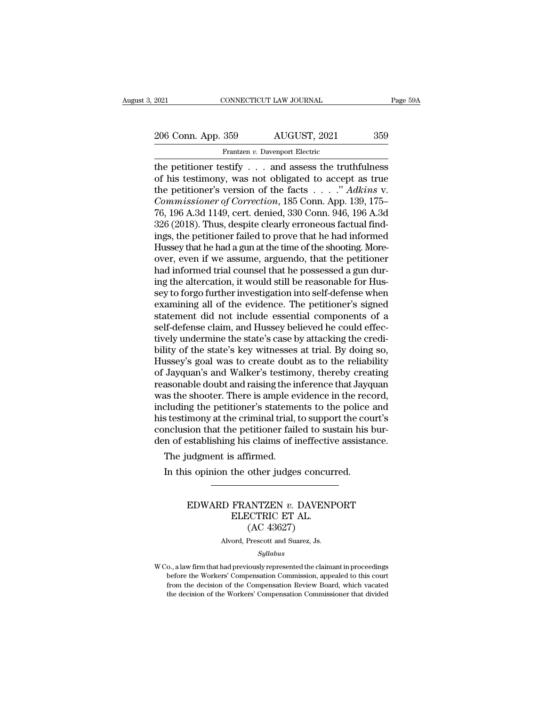EXECUTE 2021 CONNECTICUT LAW JOURNAL Page 59A<br>206 Conn. App. 359 AUGUST, 2021 359<br>Frantzen v. Davenport Electric

Frantzen *v.* Davenport Electric The petitioner is a state of the facts<br>
the petitioner testify . . . and assess the truthfulness<br>
of his testimony, was not obligated to accept as true<br>
the petitioner's version of the facts<br>  $\frac{1}{2}$   $\frac{1}{2}$   $\frac{1}{2}$  206 Conn. App. 359  $\overline{\phantom{0}}$  AUGUST, 2021 359<br>
Frantzen v. Davenport Electric<br>
the petitioner testify . . . and assess the truthfulness<br>
of his testimony, was not obligated to accept as true<br>
the petitioner's version of 206 Conn. App. 359 AUGUST, 2021 359<br>
Frantzen v. Davenport Electric<br>
the petitioner testify . . . and assess the truthfulness<br>
of his testimony, was not obligated to accept as true<br>
the petitioner's version of the facts . *Commissioner of Correction, 1859*<br> *Commissioner testify* . . . and assess the truthfulness<br>
of his testimony, was not obligated to accept as true<br>
the petitioner's version of the facts . . . ." *Adkins* v.<br> *Commissioner* Frantzen v. Davenport Electric<br>
The petitioner testify . . . and assess the truthfulness<br>
of his testimony, was not obligated to accept as true<br>
the petitioner's version of the facts . . . ." Adkins v.<br>
Commissioner of Cor Frantzen v. Davenport Electric<br>the petitioner testify . . . and assess the truthfulness<br>of his testimony, was not obligated to accept as true<br>the petitioner's version of the facts . . . . " *Adkins v.<br>Commissioner of Corr* the petitioner testify . . . and assess the truthfulness<br>of his testimony, was not obligated to accept as true<br>the petitioner's version of the facts . . . ." Adkins v.<br>Commissioner of Correction, 185 Conn. App. 139, 175–<br> of his testimony, was not obligated to accept as true<br>the petitioner's version of the facts  $\ldots$ ." Adkins v.<br>Commissioner of Correction, 185 Conn. App. 139, 175–<br>76, 196 A.3d 1149, cert. denied, 330 Conn. 946, 196 A.3d<br>3 the petitioner's version of the facts  $\ldots$ ." Adkins v.<br>Commissioner of Correction, 185 Conn. App. 139, 175–<br>76, 196 A.3d 1149, cert. denied, 330 Conn. 946, 196 A.3d<br>326 (2018). Thus, despite clearly erroneous factual fin Commissioner of Correction, 185 Conn. App. 139, 175–76, 196 A.3d 1149, cert. denied, 330 Conn. 946, 196 A.3d 326 (2018). Thus, despite clearly erroneous factual findings, the petitioner failed to prove that he had informed 76, 196 A.3d 1149, cert. denied, 330 Conn. 946, 196 A.3d 326 (2018). Thus, despite clearly erroneous factual findings, the petitioner failed to prove that he had informed Hussey that he had a gun at the time of the shootin 326 (2018). Thus, despite clearly erroneous factual find-<br>ings, the petitioner failed to prove that he had informed<br>Hussey that he had a gun at the time of the shooting. More-<br>over, even if we assume, arguendo, that the pe ings, the petitioner failed to prove that he had informed<br>Hussey that he had a gun at the time of the shooting. More-<br>over, even if we assume, arguendo, that the petitioner<br>had informed trial counsel that he possessed a gu Hussey that he had a gun at the time of the shooting. More-<br>over, even if we assume, arguendo, that the petitioner<br>had informed trial counsel that he possessed a gun dur-<br>ing the altercation, it would still be reasonable f over, even if we assume, arguendo, that the petitioner<br>had informed trial counsel that he possessed a gun dur-<br>ing the altercation, it would still be reasonable for Hus-<br>sey to forgo further investigation into self-defense had informed trial counsel that he possessed a gun during the altercation, it would still be reasonable for Hussey to forgo further investigation into self-defense when examining all of the evidence. The petitioner's signe ing the altercation, it would still be reasonable for Hussey to forgo further investigation into self-defense when examining all of the evidence. The petitioner's signed statement did not include essential components of a sey to forgo further investigation into self-defense when<br>examining all of the evidence. The petitioner's signed<br>statement did not include essential components of a<br>self-defense claim, and Hussey believed he could effec-<br>t examining all of the evidence. The petitioner's signed<br>statement did not include essential components of a<br>self-defense claim, and Hussey believed he could effec-<br>tively undermine the state's case by attacking the credi-<br>b statement did not include essential components of a<br>self-defense claim, and Hussey believed he could effec-<br>tively undermine the state's case by attacking the credi-<br>bility of the state's key witnesses at trial. By doing s self-defense claim, and Hussey believed he could effec-<br>tively undermine the state's case by attacking the credi-<br>bility of the state's key witnesses at trial. By doing so,<br>Hussey's goal was to create doubt as to the relia tively undermine the state's case by attacking the credibility of the state's key witnesses at trial. By doing so, Hussey's goal was to create doubt as to the reliability of Jayquan's and Walker's testimony, thereby creati bility of the state's key witnesses at trial. By doing so,<br>Hussey's goal was to create doubt as to the reliability<br>of Jayquan's and Walker's testimony, thereby creating<br>reasonable doubt and raising the inference that Jayqu Hussey's goal was to create doubt as to the reliability<br>of Jayquan's and Walker's testimony, thereby creating<br>reasonable doubt and raising the inference that Jayquan<br>was the shooter. There is ample evidence in the record,<br> of Jayquan's and Walker's testimony, thereby creating<br>reasonable doubt and raising the inference that Jayquan<br>was the shooter. There is ample evidence in the record,<br>including the petitioner's statements to the police and<br> asonable doubt and raising the in<br>as the shooter. There is ample every duding the petitioner's stateme<br>s testimony at the criminal trial,<br>nclusion that the petitioner fail<br>n of establishing his claims of i<br>The judgment is In this opinion the other judges concurred.<br>In this object: There is analyze video to the police<br>s testimony at the criminal trial, to support the counclusion that the petitioner failed to sustain his l<br>in of establishing

### EXERCISE THE PERSON THAT HIS DEPARTMENT IS DEPERIENCED WARD FRANTZEN *v.* DAVENPORT<br>EDWARD FRANTZEN *v.* DAVENPORT<br>ELECTRIC ET AL. Examples of indicated<br>
Saffirmed.<br>
the other judges concur<br>
FRANTZEN v. DAVENI<br>
ELECTRIC ET AL.<br>
(AC 43627) firmed.<br>
other judges concu<br>
ANTZEN v. DAVEN<br>
CTRIC ET AL.<br>
(AC 43627)<br>
Prescott and Suarez, Js. EDWARD FRANTZEN  $v$ . DAVENPORT<br>ELECTRIC ET AL.<br>(AC 43627)<br>Alvord, Prescott and Suarez, Js.

*Syllabus*

ELECTRIC ET AL.<br>
(AC 43627)<br>
Alvord, Prescott and Suarez, Js.<br>
Syllabus<br>
W Co., a law firm that had previously represented the claimant in proceedings<br>
before the Workers' Compensation Commission, appealed to this court  $\left( \begin{array}{c} \textrm{AC 43627} \\ \textrm{Alvord, Present and Suarez,Js.} \end{array} \right.$   $\left. \begin{array}{c} \textrm{Syllabus} \\ \textrm{Do, a law firm that had previously represented the claimant in proceeding} \\ \textrm{before the Workshop of the Comparison of the Compensation, appeared to this court from the decision of the Comparison of the European Review.} \end{array} \right.$ From the decision of the Workers' Compensation Commission, appealed to this court<br>from the decision of the Compensation Commission, appealed to this court<br>from the decision of the Compensation Review Board, which vacated<br>t W Co., a law firm that had previously represented the claimant in proceedings before the Workers' Compensation Commission, appealed to this court from the decision of the Compensation Review Board, which vacated the decisi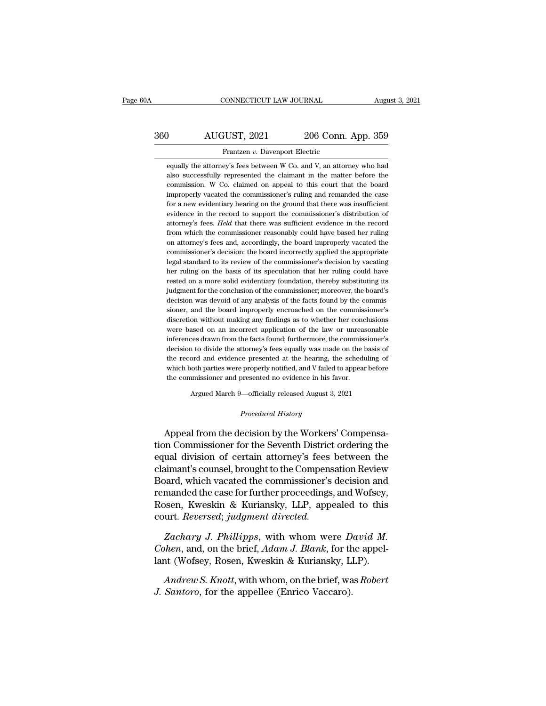### CONNECTICUT LAW JOURNAL August 3, 2021<br>360 AUGUST, 2021 206 Conn. App. 359<br>Frantzen v. Davenport Electric CONNECTICUT LAW JOURNAL Augu $\begin{tabular}{c} AUGUST, 2021 \qquad \qquad 206 \textbf{Conn. App. 359} \\\\ \hline \textbf{Frantzen } v. \textbf{Davenport Electric} \\\\ \textbf{equally the attorney's fees between W Co. and V. an attorney who had} \end{tabular}$ AUGUST, 2021 206 Conn. App. 359<br>Frantzen v. Davenport Electric<br>equally the attorney's fees between W Co. and V, an attorney who had<br>also successfully represented the claimant in the matter before the

AUGUST, 2021 206 Conn. App. 359<br>Frantzen v. Davenport Electric<br>equally the attorney's fees between W Co. and V, an attorney who had<br>also successfully represented the claimant in the matter before the<br>commission. W Co. clai MUGUST, 2021 206 Conn. App. 359<br>Frantzen v. Davenport Electric<br>equally the attorney's fees between W Co. and V, an attorney who had<br>also successfully represented the claimant in the matter before the<br>commission. W Co. clai Frantzen v. Davenport Electric<br>equally the attorney's fees between W Co. and V, an attorney who had<br>also successfully represented the claimant in the matter before the<br>commission. W Co. claimed on appeal to this court that Frantzen  $v$ . Davenport Electric<br>equally the attorney's fees between W Co. and V, an attorney who had<br>also successfully represented the claimant in the matter before the<br>commission. W Co. claimed on appeal to this court t equally the attorney's fees between W Co. and V, an attorney who had also successfully represented the claimant in the matter before the commission. W Co. claimed on appeal to this court that the board improperly vacated t also successfully represented the claimant in the matter before the commission. W Co. claimed on appeal to this court that the board improperly vacated the commissioner's ruling and remanded the case for a new evidentiary commission. W Co. claimed on appeal to this court that the board<br>improperly vacated the commissioner's ruling and remanded the case<br>for a new evidentiary hearing on the ground that there was insufficient<br>evidence in the re improperly vacated the commissioner's ruling and remanded the case<br>for a new evidentiary hearing on the ground that there was insufficient<br>evidence in the record to support the commissioner's distribution of<br>attorney's fee for a new evidentiary hearing on the ground that there was insufficient evidence in the record to support the commissioner's distribution of attorney's fees. Held that there was sufficient evidence in the record from which evidence in the record to support the commissioner's distribution of attorney's fees. *Held* that there was sufficient evidence in the record from which the commissioner reasonably could have based her ruling on attorney's attorney's fees. *Held* that there was sufficient evidence in the record from which the commissioner reasonably could have based her ruling on attorney's fees and, accordingly, the board improperly vacated the commissioner from which the commissioner reasonably could have based her ruling<br>on attorney's fees and, accordingly, the board improperly vacated the<br>commissioner's decision: the board incorrectly applied the appropriate<br>legal standard on attorney's fees and, accordingly, the board improperly vacated the commissioner's decision: the board incorrectly applied the appropriate legal standard to its review of the commissioner's decision by vacating her rulin commissioner's decision: the board incorrectly applied the appropriate legal standard to its review of the commissioner's decision by vacating her ruling on the basis of its speculation that her ruling could have rested on legal standard to its review of the commissioner's decision by vacating<br>her ruling on the basis of its speculation that her ruling could have<br>rested on a more solid evidentiary foundation, thereby substituting its<br>judgment her ruling on the basis of its speculation that her ruling could have rested on a more solid evidentiary foundation, thereby substituting its judgment for the conclusion of the commissioner; moreover, the board's decision rested on a more solid evidentiary foundation, thereby substituting its<br>judgment for the conclusion of the commissioner; moreover, the board's<br>decision was devoid of any analysis of the facts found by the commis-<br>sioner, a judgment for the conclusion of the commissioner; moreover, the board's<br>decision was devoid of any analysis of the facts found by the commis-<br>sioner, and the board improperly encroached on the commissioner's<br>discretion with decision was devoid of any analysis of the facts found by the commissioner, and the board improperly encroached on the commissioner's discretion without making any findings as to whether her conclusions were based on an in sioner, and the board improperly encroached on the commissioner's<br>discretion without making any findings as to whether her conclusions<br>were based on an incorrect application of the law or unreasonable<br>inferences drawn from discretion without making any findings as to whether her conclusions<br>were based on an incorrect application of the law or unreasonable<br>inferences drawn from the facts found; furthermore, the commissioner's<br>decision to divi were based on an incorrect application of the law or unreasonable inferences drawn from the facts found; furthermore, the commissioner's decision to divide the attorney's fees equally was made on the basis of the record a decision to divide the attorney's fees equally was made on the basis of<br>the record and evidence presented at the hearing, the scheduling of<br>which both parties were properly notified, and V failed to appear before<br>the comm which both parties were properly notified, and V failed to appear before<br>the commissioner and presented no evidence in his favor.<br>Argued March 9—officially released August 3, 2021<br>*Procedural History*<br>Appeal from the decis

The Fecord and evidence presented at the hearing, the scheduling of<br>which both parties were properly notified, and V failed to appear before<br>the commissioner and presented no evidence in his favor.<br>Argued March 9—officiall the commissioner and presented no evidence in his favor.<br>
Argued March 9—officially released August 3, 2021<br>
Procedural History<br>
Appeal from the decision by the Workers' Compensa-<br>
tion Commissioner for the Seventh Distric Argued March 9—officially released August 3, 2021<br>
Procedural History<br>
Appeal from the decision by the Workers' Compensa-<br>
tion Commissioner for the Seventh District ordering the<br>
equal division of certain attorney's fees Frocedural History<br>
Procedural History<br>
Appeal from the decision by the Workers' Compensa-<br>
tion Commissioner for the Seventh District ordering the<br>
equal division of certain attorney's fees between the<br>
claimant's counsel Procedural History<br>
Appeal from the decision by the Workers' Compensa-<br>
tion Commissioner for the Seventh District ordering the<br>
equal division of certain attorney's fees between the<br>
claimant's counsel, brought to the Com Appeal from the decision by the Workers' Compensa-<br>tion Commissioner for the Seventh District ordering the<br>equal division of certain attorney's fees between the<br>claimant's counsel, brought to the Compensation Review<br>Board, Appeal from the decision by the Workers' Compensa-<br>tion Commissioner for the Seventh District ordering the<br>equal division of certain attorney's fees between the<br>claimant's counsel, brought to the Compensation Review<br>Board, tion Commissioner for the Seventh District<br>equal division of certain attorney's fees<br>claimant's counsel, brought to the Compens<br>Board, which vacated the commissioner's<br>remanded the case for further proceedings,<br>Rosen, Kwes *Zachary J. Phillipps, Windmer Lippersen, Which vacated the commissioner's decision and manded the case for further proceedings, and Wofsey, been, Kweskin & Kuriansky, LLP, appealed to this urt. <i>Reversed; judgment directe Coard, which vacated the commissioner's decision and remanded the case for further proceedings, and Wofsey, Rosen, Kweskin & Kuriansky, LLP, appealed to this court. <i>Reversed; judgment directed.*<br> *Zachary J. Phillipps, w* remanded the case for further proceedings, and Wofsey,<br>Rosen, Kweskin & Kuriansky, LLP, appealed to this<br>court. *Reversed*; judgment directed.<br>Zachary J. Phillipps, with whom were David M.<br>Cohen, and, on the brief, Adam J.

*Andrew S. Knott, with whom* were *David M.*<br> *Andrew S. Knott, indynest*, with whom were *David M.*<br> *Andrew S. Knott,* with whom, on the brief, was *Robert*<br> *Andrew S. Knott,* with whom, on the brief, was *Robert*<br> *San J. Phillipps, with whom were D. Cohen, and, on the brief, Adam J. Blank, for the lant (Wofsey, Rosen, Kweskin & Kuriansky, L. Andrew S. Knott, with whom, on the brief, wa J. Santoro, for the appellee (Enrico Vaccaro).*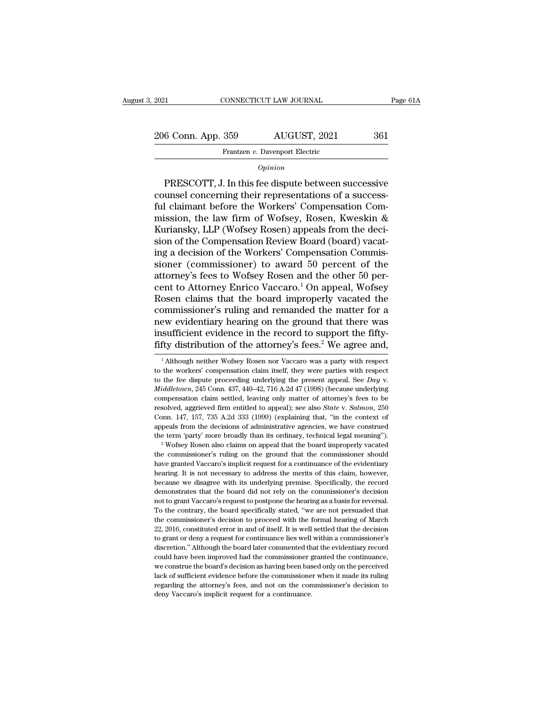Frantzen *v.* Davenport Electric

*Opinion*

6 Conn. App. 359 AUGUST, 2021 361<br>
Frantzen v. Davenport Electric<br>
Opinion<br>
PRESCOTT, J. In this fee dispute between successive<br>
unsel concerning their representations of a success-206 Conn. App. 359 AUGUST, 2021 361<br>
Frantzen v. Davenport Electric<br> *Opinion*<br>
PRESCOTT, J. In this fee dispute between successive<br>
counsel concerning their representations of a success-<br>
ful claimant before the Workers' 206 Conn. App. 359 AUGUST, 2021 361<br>
Frantzen v. Davenport Electric<br>  $\frac{Opinion}{\text{PRESCOTT}}$ , J. In this fee dispute between successive<br>
counsel concerning their representations of a success-<br>
ful claimant before the Workers' C Frantzen v. Davenport Electric<br>
Opinion<br>
PRESCOTT, J. In this fee dispute between successive<br>
counsel concerning their representations of a success-<br>
ful claimant before the Workers' Compensation Com-<br>
mission, the law fir  $\frac{Opinion}{Opinion}$ <br>
PRESCOTT, J. In this fee dispute between successive<br>
counsel concerning their representations of a success-<br>
ful claimant before the Workers' Compensation Com-<br>
mission, the law firm of Wofsey, Rosen, Kwesk **EXECOTT, J. In this fee dispute between successive**<br>counsel concerning their representations of a success-<br>ful claimant before the Workers' Compensation Com-<br>mission, the law firm of Wofsey, Rosen, Kweskin &<br>Kuriansky, L PRESCOTT, J. In this fee dispute between successive<br>counsel concerning their representations of a success-<br>ful claimant before the Workers' Compensation Com-<br>mission, the law firm of Wofsey, Rosen, Kweskin &<br>Kuriansky, LLP counsel concerning their representations of a success-<br>ful claimant before the Workers' Compensation Com-<br>mission, the law firm of Wofsey, Rosen, Kweskin &<br>Kuriansky, LLP (Wofsey Rosen) appeals from the deci-<br>sion of the C ful claimant before the Workers' Compensation Com-<br>mission, the law firm of Wofsey, Rosen, Kweskin &<br>Kuriansky, LLP (Wofsey Rosen) appeals from the deci-<br>sion of the Compensation Review Board (board) vacat-<br>ing a decision mission, the law firm of Wofsey, Rosen, Kweskin &<br>Kuriansky, LLP (Wofsey Rosen) appeals from the deci-<br>sion of the Compensation Review Board (board) vacat-<br>ing a decision of the Workers' Compensation Commis-<br>sioner (commis Kuriansky, LLP (Wofsey Rosen) appeals from the decision of the Compensation Review Board (board) vacating a decision of the Workers' Compensation Commissioner (commissioner) to award 50 percent of the attorney's fees to Wo sion of the Compensation Review Board (board) vacating a decision of the Workers' Compensation Commissioner (commissioner) to award 50 percent of the attorney's fees to Wofsey Rosen and the other 50 percent to Attorney Enr ing a decision of the Workers' Compensation Commissioner (commissioner) to award 50 percent of the attorney's fees to Wofsey Rosen and the other 50 percent to Attorney Enrico Vaccaro.<sup>1</sup> On appeal, Wofsey Rosen claims tha sioner (commissioner) to award 50 percent of the<br>attorney's fees to Wofsey Rosen and the other 50 per-<br>cent to Attorney Enrico Vaccaro.<sup>1</sup> On appeal, Wofsey<br>Rosen claims that the board improperly vacated the<br>commissioner's attorney's fees to Wofsey Rosen and the other 50 percent to Attorney Enrico Vaccaro.<sup>1</sup> On appeal, Wofsey Rosen claims that the board improperly vacated the commissioner's ruling and remanded the matter for a new evidentia between the matter for a<br>
1 Although neithery hearing on the ground that there was<br>
1 Sufficient evidence in the record to support the fifty-<br>
fity distribution of the attorney's fees.<sup>2</sup> We agree and,<br>
<sup>1</sup> Although neithe new evidentiary hearing on the ground that there was<br>insufficient evidence in the record to support the fifty-<br>fifty distribution of the attorney's fees.<sup>2</sup> We agree and,<br> $\frac{1}{1}$ Although neither Wofsey Rosen nor Vaccaro

Conn. 147, 157, 735 A.2d 333 (1999) (explaining that, "in the context of appeals from the decisions of administrative agencies, we have construed the term 'party' more broadly than its ordinary, technical legal meaning"). appeals from the decisions of administrative agencies, we have construed<br>the term 'party' more broadly than its ordinary, technical legal meaning").<br><sup>2</sup> Wofsey Rosen also claims on appeal that the board improperly vacated<br> because we disagree with its underlying premise. Specifically, the record of the term 'party' more broadly than its ordinary, technical legal meaning"). <sup>2</sup> Wofsey Rosen also claims on appeal that the board improperly vaca <sup>2</sup> Wofsey Rosen also claims on appeal that the board improperly vacated the commissioner's ruling on the ground that the commissioner should have granted Vaccaro's implicit request for a continuance of the evidentiary hea the commissioner's ruling on the ground that the commissioner should have granted Vaccaro's implicit request for a continuance of the evidentiary hearing. It is not necessary to address the merits of this claim, however, b The contrary and the exist of the evidentiary hearing. It is not necessary to address the merits of this claim, however, because we disagree with its underlying premise. Specifically, the record demonstrates that the board the commissioner's decision to decision to provide meaning. It is not necessary to address the merits of this claim, however, because we disagree with its underlying premise. Specifically, the record demonstrates that the because we disagree with its underlying premise. Specifically, the record demonstrates that the board did not rely on the commissioner's decision not to grant Vaccaro's request to postpone the hearing as a basis for revers demonstrates that the board did not rely on the commissioner's decision<br>not to grant Vaccaro's request to postpone the hearing as a basis for reversal.<br>To the contrary, the board specifically stated, "we are not persuaded not to grant Vaccaro's request to postpone the hearing as a basis for reversal.<br>To the contrary, the board specifically stated, "we are not persuaded that<br>the commissioner's decision to proceed with the formal hearing of M To the contrary, the board specifically stated, "we are not persuaded that the commissioner's decision to proceed with the formal hearing of March 22, 2016, constituted error in and of itself. It is well settled that the d The commissioner's decision to proceed with the formal hearing of March 22, 2016, constituted error in and of itself. It is well settled that the decision to grant or deny a request for continuance lies well within a commi 22, 2016, constituted error in and of itself. It is well settled that the decision to grant or deny a request for continuance lies well within a commissioner's discretion." Although the board later commented that the evide For grant or deny a request for continuance lies well within a commissioner's discretion." Although the board later commented that the evidentiary record could have been improved had the commissioner granted the continuanc to grant or deny a request for continuance lies well within a commissioner's discretion." Although the board later commented that the evidentiary record could have been improved had the commissioner granted the continuance

insufficient evidence in the record to support the fifty-<br>fifty distribution of the attorney's fees.<sup>2</sup> We agree and,<br><sup>1</sup>Although neither Wofsey Rosen nor Vaccaro was a party with respect<br>to the workers' compensation claim The distribution of the attorney's rees. We agree and,<br>
<sup>1</sup> Although neither Wofsey Rosen nor Vaccaro was a party with respect<br>
to the workers' compensation claim itself, they were parties with respect<br>
to the fee dispute <sup>1</sup> Although neither Wofsey Rosen nor Vaccaro was a party with respect to the workers' compensation claim itself, they were parties with respect to the fee dispute proceeding underlying the present appeal. See *Day v. M* to the workers' compensation claim itself, they were parties with respect<br>to the fee dispute proceeding underlying the present appeal. See *Day* v.<br>*Middletown*, 245 Conn. 437, 440–42, 716 A.2d 47 (1998) (because underlyi to the fee dispute proceeding underlying the present appeal. See *Day* v.<br> *Middletown*, 245 Conn. 437, 440–42, 716 A.2d 47 (1998) (because underlying<br>
compensation claim settled, leaving only matter of attorney's fees to *Middletown*, 245 Conn. 437, 440–42, 716 A.2d 47 (1998) (because underlying compensation claim settled, leaving only matter of attorney's fees to be resolved, aggrieved firm entitled to appeal); see also *State* v. *Salmo* resolved, aggrieved firm entitled to appeal); see also *State v. Salmon*, 250 Conn. 147, 157, 735 A.2d 333 (1999) (explaining that, "in the context of appeals from the decisions of administrative agencies, we have constru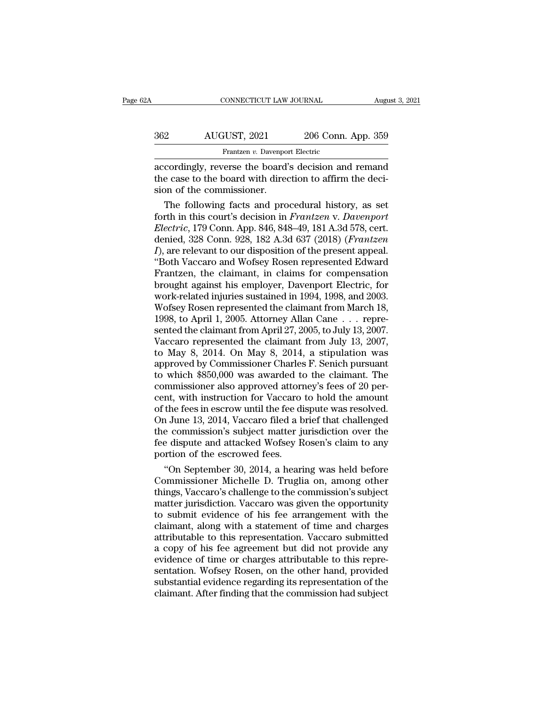| 2Α  | CONNECTICUT LAW JOURNAL                                                                                                                      |                    | August 3, 2021 |
|-----|----------------------------------------------------------------------------------------------------------------------------------------------|--------------------|----------------|
|     |                                                                                                                                              |                    |                |
| 362 | AUGUST, 2021                                                                                                                                 | 206 Conn. App. 359 |                |
|     | Frantzen v. Davenport Electric                                                                                                               |                    |                |
|     | accordingly, reverse the board's decision and remand<br>the case to the board with direction to affirm the deci-<br>cion of the commissioner |                    |                |

362 AUGUST, 2021 206 Conn. App. 359<br>Frantzen v. Davenport Electric<br>accordingly, reverse the board's decision and remand<br>the case to the board with direction to affirm the deci-<br>sion of the commissioner. 362 AUGUST, 2021<br>
Frantzen v. Davenpox<br>
accordingly, reverse the board'<br>
the case to the board with direction of the commissioner.<br>
The following facts and pro AUGUST, 2021 206 Conn. App. 359<br>Frantzen v. Davenport Electric<br>cordingly, reverse the board's decision and remand<br>e case to the board with direction to affirm the deci-<br>on of the commissioner.<br>The following facts and proce

Frantzen *v*. Davenport Electric<br>accordingly, reverse the board's decision and remand<br>the case to the board with direction to affirm the deci-<br>sion of the commissioner.<br>The following facts and procedural history, as set<br>fo **Electrical Connective Connective Connection**<br> **Electric**, 179 Connection to a strip the decision of the commissioner.<br>
The following facts and procedural history, as set<br>
forth in this court's decision in Frantzen v. Dave accordingly, reverse the board's decision and remand<br>the case to the board with direction to affirm the deci-<br>sion of the commissioner.<br>The following facts and procedural history, as set<br>forth in this court's decision in the case to the board with direction to affirm the decision of the commissioner.<br> *The following facts and procedural history, as set*<br> *forth in this court's decision in Frantzen v. Davenport*<br> *Electric,* 179 Conn. App. sion of the commissioner.<br>
The following facts and procedural history, as set<br>
forth in this court's decision in *Frantzen v. Davenport*<br> *Electric*, 179 Conn. App. 846, 848–49, 181 A.3d 578, cert.<br>
denied, 328 Conn. 928, The following facts and procedural history, as set<br>forth in this court's decision in *Frantzen* v. Davenport<br>*Electric*, 179 Conn. App. 846, 848–49, 181 A.3d 578, cert.<br>denied, 328 Conn. 928, 182 A.3d 637 (2018) (*Frantzen* forth in this court's decision in *Frantzen v. Davenport*<br>*Electric*, 179 Conn. App. 846, 848–49, 181 A.3d 578, cert.<br>denied, 328 Conn. 928, 182 A.3d 637 (2018) (*Frantzen*<br>*I*), are relevant to our disposition of the pres Electric, 179 Conn. App. 846, 848–49, 181 A.3d 578, cert.<br>denied, 328 Conn. 928, 182 A.3d 637 (2018) (*Frantzen*<br>*I*), are relevant to our disposition of the present appeal.<br>"Both Vaccaro and Wofsey Rosen represented Edwar denied, 328 Conn. 928, 182 A.3d 637 (2018) (*Frantzen I*), are relevant to our disposition of the present appeal.<br>"Both Vaccaro and Wofsey Rosen represented Edward<br>Frantzen, the claimant, in claims for compensation<br>brough I), are relevant to our disposition of the present appeal.<br>
"Both Vaccaro and Wofsey Rosen represented Edward<br>
Frantzen, the claimant, in claims for compensation<br>
brought against his employer, Davenport Electric, for<br>
work "Both Vaccaro and Wofsey Rosen represented Edward<br>Frantzen, the claimant, in claims for compensation<br>brought against his employer, Davenport Electric, for<br>work-related injuries sustained in 1994, 1998, and 2003.<br>Wofsey Ro Frantzen, the claimant, in claims for compensation<br>brought against his employer, Davenport Electric, for<br>work-related injuries sustained in 1994, 1998, and 2003.<br>Wofsey Rosen represented the claimant from March 18,<br>1998, t brought against his employer, Davenport Electric, for<br>work-related injuries sustained in 1994, 1998, and 2003.<br>Wofsey Rosen represented the claimant from March 18,<br>1998, to April 1, 2005. Attorney Allan Cane . . . repre-<br>s work-related injuries sustained in 1994, 1998, and 2003.<br>Wofsey Rosen represented the claimant from March 18,<br>1998, to April 1, 2005. Attorney Allan Cane . . . repre-<br>sented the claimant from April 27, 2005, to July 13, 20 Wofsey Rosen represented the claimant from March 18,<br>1998, to April 1, 2005. Attorney Allan Cane . . . repre-<br>sented the claimant from April 27, 2005, to July 13, 2007.<br>Vaccaro represented the claimant from July 13, 2007,<br> 1998, to April 1, 2005. Attorney Allan Cane . . . represented the claimant from April 27, 2005, to July 13, 2007.<br>Vaccaro represented the claimant from July 13, 2007, to May 8, 2014. On May 8, 2014, a stipulation was appr sented the claimant from April 27, 2005, to July 13, 2007.<br>Vaccaro represented the claimant from July 13, 2007,<br>to May 8, 2014. On May 8, 2014, a stipulation was<br>approved by Commissioner Charles F. Senich pursuant<br>to which Vaccaro represented the claimant from July 13, 2007,<br>to May 8, 2014. On May 8, 2014, a stipulation was<br>approved by Commissioner Charles F. Senich pursuant<br>to which \$850,000 was awarded to the claimant. The<br>commissioner als to May 8, 2014. On May 8, 2014, a stipulation was<br>approved by Commissioner Charles F. Senich pursuant<br>to which \$850,000 was awarded to the claimant. The<br>commissioner also approved attorney's fees of 20 per-<br>cent, with inst approved by Commissioner Charles F. Senich pursuant<br>to which \$850,000 was awarded to the claimant. The<br>commissioner also approved attorney's fees of 20 per-<br>cent, with instruction for Vaccaro to hold the amount<br>of the fees for which \$850,000 was awarded to the claimant. The commissioner also approved attorney's fees of 20 percent, with instruction for Vaccaro to hold the amount of the fees in escrow until the fee dispute was resolved. On Jun commissioner also approved attorn<br>cent, with instruction for Vaccaro<br>of the fees in escrow until the fee di<br>On June 13, 2014, Vaccaro filed a b<br>the commission's subject matter ju<br>fee dispute and attacked Wofsey R<br>portion o nt, with instruction for Vaccaro to hold the amount<br>
the fees in escrow until the fee dispute was resolved.<br>
1 June 13, 2014, Vaccaro filed a brief that challenged<br>
e commission's subject matter jurisdiction over the<br>
e di of the fees in escrow until the fee dispute was resolved.<br>On June 13, 2014, Vaccaro filed a brief that challenged<br>the commission's subject matter jurisdiction over the<br>fee dispute and attacked Wofsey Rosen's claim to any<br>p

On June 13, 2014, Vaccaro filed a brief that challenged<br>the commission's subject matter jurisdiction over the<br>fee dispute and attacked Wofsey Rosen's claim to any<br>portion of the escrowed fees.<br>"On September 30, 2014, a hea the commission's subject matter jurisdiction over the<br>fee dispute and attacked Wofsey Rosen's claim to any<br>portion of the escrowed fees.<br>"On September 30, 2014, a hearing was held before<br>Commissioner Michelle D. Truglia on fee dispute and attacked Wofsey Rosen's claim to any<br>portion of the escrowed fees.<br>"On September 30, 2014, a hearing was held before<br>Commissioner Michelle D. Truglia on, among other<br>things, Vaccaro's challenge to the commi portion of the escrowed fees.<br>
"On September 30, 2014, a hearing was held before<br>
Commissioner Michelle D. Truglia on, among other<br>
things, Vaccaro's challenge to the commission's subject<br>
matter jurisdiction. Vaccaro was "On September 30, 2014, a hearing was held before<br>Commissioner Michelle D. Truglia on, among other<br>things, Vaccaro's challenge to the commission's subject<br>matter jurisdiction. Vaccaro was given the opportunity<br>to submitted Commissioner Michelle D. Truglia on, among other<br>things, Vaccaro's challenge to the commission's subject<br>matter jurisdiction. Vaccaro was given the opportunity<br>to submit evidence of his fee arrangement with the<br>claimant, a things, Vaccaro's challenge to the commission's subject<br>matter jurisdiction. Vaccaro was given the opportunity<br>to submit evidence of his fee arrangement with the<br>claimant, along with a statement of time and charges<br>attribu matter jurisdiction. Vaccaro was given the opportunity<br>to submit evidence of his fee arrangement with the<br>claimant, along with a statement of time and charges<br>attributable to this representation. Vaccaro submitted<br>a copy o to submit evidence of his fee arrangement with the claimant, along with a statement of time and charges attributable to this representation. Vaccaro submitted a copy of his fee agreement but did not provide any evidence of claimant, along with a statement of time and charges<br>attributable to this representation. Vaccaro submitted<br>a copy of his fee agreement but did not provide any<br>evidence of time or charges attributable to this repre-<br>sentat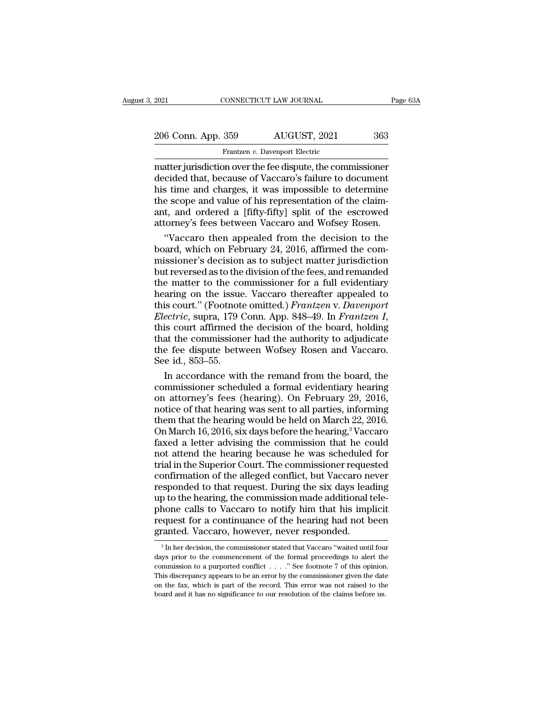EXECTE 2021 CONNECTICUT LAW JOURNAL Page 63A<br>
206 Conn. App. 359 AUGUST, 2021 363<br>
Frantzen v. Davenport Electric<br>
matter jurisdiction over the fee dispute, the commissioner<br>
decided that, because of Vaccaro's failure to d decided that, because of Vaccaro's failure to document 206 Conn. App. 359 AUGUST, 2021 363<br>
Frantzen v. Davenport Electric<br>
matter jurisdiction over the fee dispute, the commissioner<br>
decided that, because of Vaccaro's failure to document<br>
his time and charges, it was impossi 206 Conn. App. 359 AUGUST, 2021 363<br>
Frantzen v. Davenport Electric<br>
matter jurisdiction over the fee dispute, the commissioner<br>
decided that, because of Vaccaro's failure to document<br>
his time and charges, it was impossib Frantzen v. Davenport Electric<br>
matter jurisdiction over the fee dispute, the commissioner<br>
decided that, because of Vaccaro's failure to document<br>
his time and charges, it was impossible to determine<br>
the scope and value Frantzen v. Davenport Electric<br>
matter jurisdiction over the fee dispute, the commissioner<br>
decided that, because of Vaccaro's failure to document<br>
his time and charges, it was impossible to determine<br>
the scope and value atter jurisdiction over the fee dispute, the commissioner<br>
cided that, because of Vaccaro's failure to document<br>
s time and charges, it was impossible to determine<br>
e scope and value of his representation of the claim-<br>
t, decided that, because of Vaccaro's failure to document<br>his time and charges, it was impossible to determine<br>the scope and value of his representation of the claim-<br>ant, and ordered a [fifty-fifty] split of the escrowed<br>att

his time and charges, it was impossible to determine<br>the scope and value of his representation of the claim-<br>ant, and ordered a [fifty-fifty] split of the escrowed<br>attorney's fees between Vaccaro and Wofsey Rosen.<br>"Vaccaro the scope and value of his representation of the claim-<br>ant, and ordered a [fifty-fifty] split of the escrowed<br>attorney's fees between Vaccaro and Wofsey Rosen.<br>"Vaccaro then appealed from the decision to the<br>board, which ant, and ordered a [fifty-fifty] split of the escrowed<br>attorney's fees between Vaccaro and Wofsey Rosen.<br>"Vaccaro then appealed from the decision to the<br>board, which on February 24, 2016, affirmed the com-<br>missioner's deci attorney's fees between Vaccaro and Wofsey Rosen.<br>
"Vaccaro then appealed from the decision to the<br>
board, which on February 24, 2016, affirmed the com-<br>
missioner's decision as to subject matter jurisdiction<br>
but reversed "Vaccaro then appealed from the decision to the<br>board, which on February 24, 2016, affirmed the com-<br>missioner's decision as to subject matter jurisdiction<br>but reversed as to the division of the fees, and remanded<br>the matt *Electric*, supra, 179 Conn. Applementation of the fees, and remanded the matter to the division of the fees, and remanded the matter to the commissioner for a full evidentiary hearing on the issue. Vaccaro thereafter appe but reversed as to the division of the fees, and remanded<br>the matter to the commissioner for a full evidentiary<br>hearing on the issue. Vaccaro thereafter appealed to<br>this court." (Footnote omitted.) *Frantzen* v. Davenport<br> the matter to the commissioner for a full evidentiary<br>hearing on the issue. Vaccaro thereafter appealed to<br>this court." (Footnote omitted.) *Frantzen v. Davenport*<br>*Electric*, supra, 179 Conn. App. 848–49. In *Frantzen I*, hearing on the issue<br>this court." (Footnot<br>*Electric*, supra, 179 (<br>this court affirmed t<br>that the commission<br>the fee dispute betw<br>See id., 853–55.<br>In accordance wit is court." (Footnote omitted.) *Frantzen v. Davenport*<br>ectric, supra, 179 Conn. App. 848–49. In *Frantzen I*,<br>is court affirmed the decision of the board, holding<br>at the commissioner had the authority to adjudicate<br>e fee d Electric, supra, 179 Conn. App. 848–49. In Frantzen I,<br>this court affirmed the decision of the board, holding<br>that the commissioner had the authority to adjudicate<br>the fee dispute between Wofsey Rosen and Vaccaro.<br>See id.,

this court affirmed the decision of the board, holding<br>that the commissioner had the authority to adjudicate<br>the fee dispute between Wofsey Rosen and Vaccaro.<br>See id., 853–55.<br>In accordance with the remand from the board, that the commissioner had the authority to adjudicate<br>the fee dispute between Wofsey Rosen and Vaccaro.<br>See id., 853–55.<br>In accordance with the remand from the board, the<br>commissioner scheduled a formal evidentiary hearing the fee dispute between Wofsey Rosen and Vaccaro.<br>See id., 853–55.<br>In accordance with the remand from the board, the<br>commissioner scheduled a formal evidentiary hearing<br>on attorney's fees (hearing). On February 29, 2016,<br>n See id., 853–55.<br>In accordance with the remand from the board, the<br>commissioner scheduled a formal evidentiary hearing<br>on attorney's fees (hearing). On February 29, 2016,<br>notice of that hearing was sent to all parties, inf In accordance with the remand from the board, the commissioner scheduled a formal evidentiary hearing<br>on attorney's fees (hearing). On February 29, 2016,<br>notice of that hearing was sent to all parties, informing<br>them that commissioner scheduled a formal evidentiary hearing<br>on attorney's fees (hearing). On February 29, 2016,<br>notice of that hearing was sent to all parties, informing<br>them that the hearing would be held on March 22, 2016.<br>On Ma on attorney's fees (hearing). On February 29, 2016,<br>notice of that hearing was sent to all parties, informing<br>them that the hearing would be held on March 22, 2016.<br>On March 16, 2016, six days before the hearing,<sup>3</sup> Vaccar notice of that hearing was sent to all parties, informing<br>them that the hearing would be held on March 22, 2016.<br>On March 16, 2016, six days before the hearing,<sup>3</sup> Vaccaro<br>faxed a letter advising the commission that he cou them that the hearing would be held on March 22, 2016.<br>On March 16, 2016, six days before the hearing,<sup>3</sup> Vaccaro<br>faxed a letter advising the commission that he could<br>not attend the hearing because he was scheduled for<br>tri On March 16, 2016, six days before the hearing,<sup>3</sup> Vaccaro faxed a letter advising the commission that he could not attend the hearing because he was scheduled for trial in the Superior Court. The commissioner requested co faxed a letter advising the commission that he could<br>not attend the hearing because he was scheduled for<br>trial in the Superior Court. The commissioner requested<br>confirmation of the alleged conflict, but Vaccaro never<br>respo not attend the hearing because he was scheduled for<br>trial in the Superior Court. The commissioner requested<br>confirmation of the alleged conflict, but Vaccaro never<br>responded to that request. During the six days leading<br>up trial in the Superior Court. The commissioner requese confirmation of the alleged conflict, but Vaccaro neresponded to that request. During the six days lead up to the hearing, the commission made additional the phone call p to the hearing, the commission made additional tele-<br>hone calls to Vaccaro to notify him that his implicit<br>quest for a continuance of the hearing had not been<br>canted. Vaccaro, however, never responded.<br><sup>3</sup>In her decision phone calls to Vaccaro to notify him that his implicit<br>request for a continuance of the hearing had not been<br>granted. Vaccaro, however, never responded.<br> $\frac{3}{\pi}$  In her decision, the commissioner stated that Vaccaro "wa

request for a continuance of the hearing had not been<br>granted. Vaccaro, however, never responded.<br> $\frac{1}{3}$  In her decision, the commissioner stated that Vaccaro "waited until four<br>days prior to the commencement of the fo Transferred Contributed Contributed Contributed and the contributed and a loc been granted. Vaccaro, however, never responded.<br>
<sup>3</sup> In her decision, the commissioner stated that Vaccaro "waited until four days prior to the grafitied. Vaccaro, nowever, never responded.<br>
<sup>3</sup> In her decision, the commissioner stated that Vaccaro "waited until four days prior to the commencement of the formal proceedings to alert the commission to a purported c days prior to the commencement of the formal proceedings to alert the commission to a purported conflict  $\ldots$ ." See footnote 7 of this opinion. This discrepancy appears to be an error by the commissioner given the date o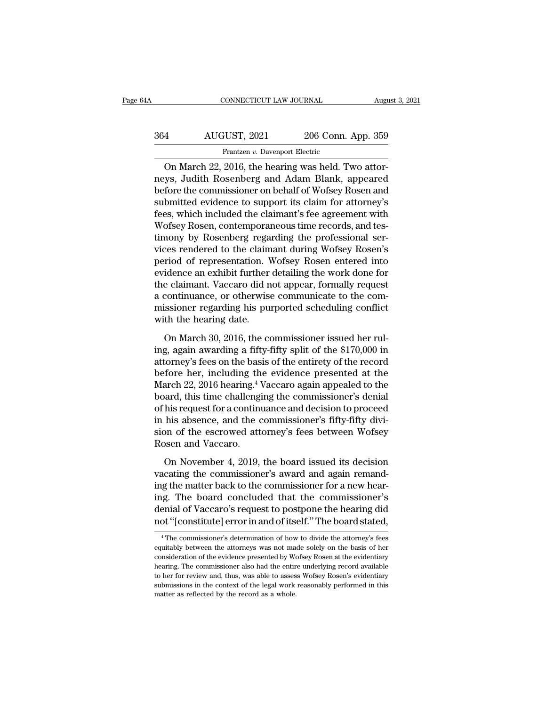# CONNECTICUT LAW JOURNAL August 3, 2021<br>364 AUGUST, 2021 206 Conn. App. 359<br>Frantzen v. Davenport Electric Frantzen *v.* Davenport Electric<br>Frantzen *v. Davenport Electric*<br>2016 the bearing was held Ty

CONNECTICUT LAW JOURNAL Augu<br>
4 AUGUST, 2021 206 Conn. App. 359<br>
Frantzen v. Davenport Electric<br>
On March 22, 2016, the hearing was held. Two attor-<br>
1955, Judith Rosenberg and Adam Blank, appeared<br>
for the commissioner on 364 AUGUST, 2021 206 Conn. App. 359<br>Frantzen v. Davenport Electric<br>On March 22, 2016, the hearing was held. Two attor-<br>neys, Judith Rosenberg and Adam Blank, appeared<br>before the commissioner on behalf of Wofsey Rosen and<br>s  $\begin{array}{r} \text{B64} \text{AUGUST, 2021} \text{206 Conn. App. 359} \\ \text{Frantzen } v. \text{Davenport Electric} \text{On March 22, 2016, the hearing was held. Two attempts, Judith Rosenberg and Adam Blank, appeared before the commissioner on behalf of Wofsey Rosen and submitted evidence to support its claim for attorney's focs, which included the claim for attorney's focs.} \end{array}$  $\frac{\text{S64}}{\text{Prantzen } v. \text{ Davenport Electric}}$ <br>
On March 22, 2016, the hearing was held. Two attor-<br>
neys, Judith Rosenberg and Adam Blank, appeared<br>
before the commissioner on behalf of Wofsey Rosen and<br>
submitted evidence to support its c Frantzen v. Davenport Electric<br>
On March 22, 2016, the hearing was held. Two attor-<br>
neys, Judith Rosenberg and Adam Blank, appeared<br>
before the commissioner on behalf of Wofsey Rosen and<br>
submitted evidence to support its Franzen v. Davenport Electric<br>On March 22, 2016, the hearing was held. Two attor-<br>neys, Judith Rosenberg and Adam Blank, appeared<br>before the commissioner on behalf of Wofsey Rosen and<br>submitted evidence to support its cla On March 22, 2016, the hearing was held. Two attorneys, Judith Rosenberg and Adam Blank, appeared<br>before the commissioner on behalf of Wofsey Rosen and<br>submitted evidence to support its claim for attorney's<br>fees, which inc neys, Judith Rosenberg and Adam Blank, appeared<br>before the commissioner on behalf of Wofsey Rosen and<br>submitted evidence to support its claim for attorney's<br>fees, which included the claimant's fee agreement with<br>Wofsey Ros before the commissioner on behalf of Wofsey Rosen and<br>submitted evidence to support its claim for attorney's<br>fees, which included the claimant's fee agreement with<br>Wofsey Rosen, contemporaneous time records, and tes-<br>timon submitted evidence to support its claim for attorney's<br>fees, which included the claimant's fee agreement with<br>Wofsey Rosen, contemporaneous time records, and tes-<br>timony by Rosenberg regarding the professional ser-<br>vices r fees, which included the claimant's fee agreement with<br>Wofsey Rosen, contemporaneous time records, and tes-<br>timony by Rosenberg regarding the professional ser-<br>vices rendered to the claimant during Wofsey Rosen's<br>period of Wofsey Rosen, contemporaneous time records, and tes-<br>timony by Rosenberg regarding the professional ser-<br>vices rendered to the claimant during Wofsey Rosen's<br>period of representation. Wofsey Rosen entered into<br>evidence an timony by Rosenberg regarding the professional services rendered to the claimant during Wofsey Rosen's period of representation. Wofsey Rosen entered into evidence an exhibit further detailing the work done for the claiman vices rendered to the claim<br>period of representation. V<br>evidence an exhibit further<br>the claimant. Vaccaro did n<br>a continuance, or otherwise<br>missioner regarding his pu<br>with the hearing date.<br>On March 30, 2016, the co France an exhibit further detailing the work done for<br>e claimant. Vaccaro did not appear, formally request<br>continuance, or otherwise communicate to the com-<br>issioner regarding his purported scheduling conflict<br>th the heari the claimant. Vaccaro did not appear, formally request<br>a continuance, or otherwise communicate to the com-<br>missioner regarding his purported scheduling conflict<br>with the hearing date.<br>On March 30, 2016, the commissioner is

a continuance, or otherwise communicate to the com-<br>missioner regarding his purported scheduling conflict<br>with the hearing date.<br>On March 30, 2016, the commissioner issued her rul-<br>ing, again awarding a fifty-fifty split behinded by the commissioner regarding his purported scheduling conflict<br>with the hearing date.<br>On March 30, 2016, the commissioner issued her rul-<br>ing, again awarding a fifty-fifty split of the \$170,000 in<br>attorney's fees March 22, 2016, the commissioner issued her ruling, again awarding a fifty-fifty split of the \$170,000 in attorney's fees on the basis of the entirety of the record before her, including the evidence presented at the Marc On March 30, 2016, the commissioner issued her rul-<br>ing, again awarding a fifty-fifty split of the \$170,000 in<br>attorney's fees on the basis of the entirety of the record<br>before her, including the evidence presented at the On March 30, 2016, the commissioner issued her rul-<br>ing, again awarding a fifty-fifty split of the \$170,000 in<br>attorney's fees on the basis of the entirety of the record<br>before her, including the evidence presented at the<br> ing, again awarding a fifty-fifty split of the \$170,000 in<br>attorney's fees on the basis of the entirety of the record<br>before her, including the evidence presented at the<br>March 22, 2016 hearing.<sup>4</sup> Vaccaro again appealed to attorney's fees on the basis of the entirety of the record<br>before her, including the evidence presented at the<br>March 22, 2016 hearing.<sup>4</sup> Vaccaro again appealed to the<br>board, this time challenging the commissioner's denial before her, including th<br>March 22, 2016 hearing.<sup>4 1</sup><br>board, this time challengi<br>of his request for a continu<br>in his absence, and the c<br>sion of the escrowed att<br>Rosen and Vaccaro.<br>On November 4, 2019, and, this time challenging the commissioner's denial<br>his request for a continuance and decision to proceed<br>his absence, and the commissioner's fifty-fifty divi-<br>on of the escrowed attorney's fees between Wofsey<br>posen and V volta), the chancelonging are commissioner's derivation<br>of his request for a continuance and decision to proceed<br>in his absence, and the commissioner's fifty-fifty divi-<br>sion of the escrowed attorney's fees between Wofsey<br>

In his absence, and the commissioner's fifty-fifty division of the escrowed attorney's fees between Wofsey<br>Rosen and Vaccaro.<br>On November 4, 2019, the board issued its decision<br>vacating the commissioner's award and again r In the asserted, and are commissioner's may may are<br>sion of the escrowed attorney's fees between Wofsey<br>Rosen and Vaccaro.<br>On November 4, 2019, the board issued its decision<br>vacating the commissioner's award and again rema denial of Vaccaro.<br>
On November 4, 2019, the board issued its decision<br>
vacating the commissioner's award and again remand-<br>
ing the matter back to the commissioner for a new hear-<br>
ing. The board concluded that the commis On November 4, 2019, the board issued its decision<br>vacating the commissioner's award and again remand-<br>ing the matter back to the commissioner for a new hear-<br>ing. The board concluded that the commissioner's<br>denial of Vacc ig the matter back to the commissioner for a new near-<br>ig. The board concluded that the commissioner's<br>enial of Vaccaro's request to postpone the hearing did<br>ot "[constitute] error in and of itself." The board stated,<br><sup>4</sup>T ing. The board concluded that the commissioner's<br>denial of Vaccaro's request to postpone the hearing did<br>not "[constitute] error in and of itself." The board stated,<br><sup>4</sup> The commissioner's determination of how to divide th

denial of Vaccaro's request to postpone the hearing did<br>not "[constitute] error in and of itself." The board stated,<br><sup>4</sup>The commissioner's determination of how to divide the attorney's fees<br>equitably between the attorneys heart "Constitute] error in and of itself." The board stated,<br>
<sup>4</sup> The commissioner's determination of how to divide the attorney's fees<br>
equitably between the attorneys was not made solely on the basis of her<br>
considerati The constitute effect in anti-<br>The board stated,<br><sup>4</sup>The commissioner's determination of how to divide the attorney's fees<br>equitably between the attorneys was not made solely on the basis of her<br>consideration of the evidenc  $^4$  The commissioner's determination of how to divide the attorney's fees equitably between the attorneys was not made solely on the basis of her consideration of the evidence presented by Wofsey Rosen at the evidentiary equitably between the attorneys was not made solely on the basis of her consideration of the evidence presented by Wofsey Rosen at the evidentiary hearing. The commissioner also had the entire underlying record available t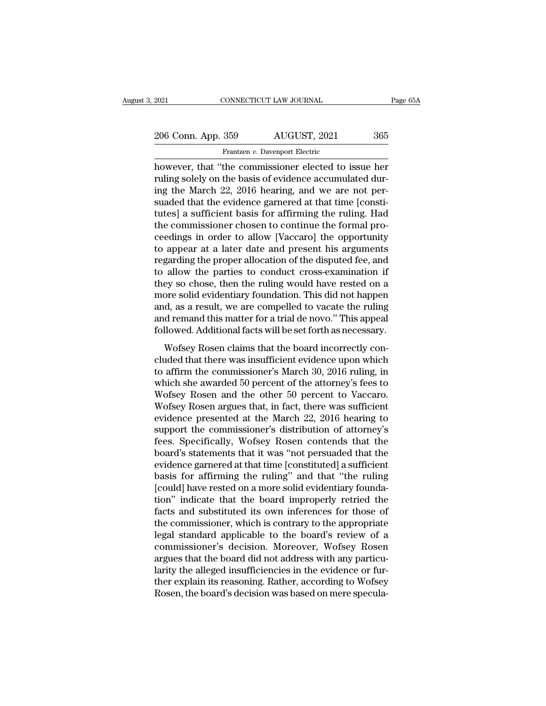| 2021               | CONNECTICUT LAW JOURNAL                              | Page 65A |
|--------------------|------------------------------------------------------|----------|
|                    |                                                      |          |
| 206 Conn. App. 359 | AUGUST, 2021                                         | 365      |
|                    | Frantzen v. Davenport Electric                       |          |
|                    | however, that "the commissioner elected to issue her |          |

EXECTE 2021 CONNECTICUT LAW JOURNAL Page 65A<br>
206 Conn. App. 359 AUGUST, 2021 365<br>
Frantzen v. Davenport Electric<br>
however, that "the commissioner elected to issue her<br>
ruling solely on the basis of evidence accumulated du 206 Conn. App. 359 AUGUST, 2021 365<br>
Frantzen v. Davenport Electric<br>
however, that "the commissioner elected to issue her<br>
ruling solely on the basis of evidence accumulated dur-<br>
ing the March 22, 2016 hearing, and we are 206 Conn. App. 359 AUGUST, 2021 365<br>
Frantzen v. Davenport Electric<br>
however, that "the commissioner elected to issue her<br>
ruling solely on the basis of evidence accumulated dur-<br>
ing the March 22, 2016 hearing, and we ar  $\frac{206 \text{ Conn. App. 359}}{\text{Frantzen } v. \text{ Davenport Electric}}$ <br>
Frantzen  $v. \text{ Davenport Electric}}$ <br>
however, that "the commissioner elected to issue her<br>
ruling solely on the basis of evidence accumulated dur-<br>
ing the March 22, 2016 hearing, and we are not per Frantzen v. Davenport Electric<br>
however, that "the commissioner elected to issue her<br>
ruling solely on the basis of evidence accumulated dur-<br>
ing the March 22, 2016 hearing, and we are not per-<br>
suaded that the evidence Frantzen *v*. Davenport Electric<br>however, that "the commissioner elected to issue her<br>ruling solely on the basis of evidence accumulated dur-<br>ing the March 22, 2016 hearing, and we are not per-<br>suaded that the evidence ga however, that "the commissioner elected to issue her<br>ruling solely on the basis of evidence accumulated dur-<br>ing the March 22, 2016 hearing, and we are not per-<br>suaded that the evidence garnered at that time [consti-<br>tutes ruling solely on the basis of evidence accumulated during the March 22, 2016 hearing, and we are not per-<br>suaded that the evidence garnered at that time [consti-<br>tutes] a sufficient basis for affirming the ruling. Had<br>the ing the March 22, 2016 hearing, and we are not per-<br>suaded that the evidence garnered at that time [consti-<br>tutes] a sufficient basis for affirming the ruling. Had<br>the commissioner chosen to continue the formal pro-<br>ceedin suaded that the evidence garnered at that time [constitutes] a sufficient basis for affirming the ruling. Had<br>the commissioner chosen to continue the formal pro-<br>ceedings in order to allow [Vaccaro] the opportunity<br>to appe tutes] a sufficient basis for affirming the ruling. Had<br>the commissioner chosen to continue the formal pro-<br>ceedings in order to allow [Vaccaro] the opportunity<br>to appear at a later date and present his arguments<br>regarding the commissioner chosen to continue the formal proceedings in order to allow [Vaccaro] the opportunity<br>to appear at a later date and present his arguments<br>regarding the proper allocation of the disputed fee, and<br>to allow t ceedings in order to allow [Vaccaro] the opportunity<br>to appear at a later date and present his arguments<br>regarding the proper allocation of the disputed fee, and<br>to allow the parties to conduct cross-examination if<br>they so to appear at a later date and present his arguments<br>regarding the proper allocation of the disputed fee, and<br>to allow the parties to conduct cross-examination if<br>they so chose, then the ruling would have rested on a<br>more s regarding the proper allocation of the disputed fee, and<br>to allow the parties to conduct cross-examination if<br>they so chose, then the ruling would have rested on a<br>more solid evidentiary foundation. This did not happen<br>and ey so chose, then the ruling would have rested on a<br>bre solid evidentiary foundation. This did not happen<br>d, as a result, we are compelled to vacate the ruling<br>d remand this matter for a trial de novo." This appeal<br>llowed. cluded that there was insufficient evidence upon which she awarded to variantly and remand this matter for a trial de novo." This appeal followed. Additional facts will be set forth as necessary.<br>Wofsey Rosen claims that t

there sold evidencially roundation: This did not happen<br>and, as a result, we are compelled to vacate the ruling<br>and remand this matter for a trial de novo." This appeal<br>followed. Additional facts will be set forth as neces and, as a resalt, we are compensed to vacate are raints<br>and remand this matter for a trial de novo." This appeal<br>followed. Additional facts will be set forth as necessary.<br>Wofsey Rosen claims that the board incorrectly con Followed. Additional facts will be set forth as necessary.<br>Wofsey Rosen claims that the board incorrectly concluded that there was insufficient evidence upon which<br>to affirm the commissioner's March 30, 2016 ruling, in<br>whi Wofsey Rosen claims that the board incorrectly concluded that there was insufficient evidence upon which<br>to affirm the commissioner's March 30, 2016 ruling, in<br>which she awarded 50 percent of the attorney's fees to<br>Wofsey Wofsey Rosen claims that the board incorrectly concluded that there was insufficient evidence upon which<br>to affirm the commissioner's March 30, 2016 ruling, in<br>which she awarded 50 percent of the attorney's fees to<br>Wofsey cluded that there was insufficient evidence upon which<br>to affirm the commissioner's March 30, 2016 ruling, in<br>which she awarded 50 percent of the attorney's fees to<br>Wofsey Rosen and the other 50 percent to Vaccaro.<br>Wofsey to affirm the commissioner's March 30, 2016 ruling, in<br>which she awarded 50 percent of the attorney's fees to<br>Wofsey Rosen and the other 50 percent to Vaccaro.<br>Wofsey Rosen argues that, in fact, there was sufficient<br>eviden which she awarded 50 percent of the attorney's fees to<br>Wofsey Rosen and the other 50 percent to Vaccaro.<br>Wofsey Rosen argues that, in fact, there was sufficient<br>evidence presented at the March 22, 2016 hearing to<br>support t Wofsey Rosen and the other 50 percent to Vaccaro.<br>Wofsey Rosen argues that, in fact, there was sufficient<br>evidence presented at the March 22, 2016 hearing to<br>support the commissioner's distribution of attorney's<br>fees. Spec Wofsey Rosen argues that, in fact, there was sufficient<br>evidence presented at the March 22, 2016 hearing to<br>support the commissioner's distribution of attorney's<br>fees. Specifically, Wofsey Rosen contends that the<br>board's s evidence presented at the March 22, 2016 hearing to<br>support the commissioner's distribution of attorney's<br>fees. Specifically, Wofsey Rosen contends that the<br>board's statements that it was "not persuaded that the<br>evidence g support the commissioner's distribution of attorney's<br>fees. Specifically, Wofsey Rosen contends that the<br>board's statements that it was "not persuaded that the<br>evidence garnered at that time [constituted] a sufficient<br>basi fees. Specifically, Wofsey Rosen contends that the board's statements that it was "not persuaded that the evidence garnered at that time [constituted] a sufficient basis for affirming the ruling" and that "the ruling [coul board's statements that it was "not persuaded that the evidence garnered at that time [constituted] a sufficient basis for affirming the ruling" and that "the ruling [could] have rested on a more solid evidentiary foundati evidence garnered at that time [constituted] a sufficient<br>basis for affirming the ruling" and that "the ruling<br>[could] have rested on a more solid evidentiary founda-<br>tion" indicate that the board improperly retried the<br>fa basis for affirming the ruling" and that "the ruling<br>[could] have rested on a more solid evidentiary founda-<br>tion" indicate that the board improperly retried the<br>facts and substituted its own inferences for those of<br>the co [could] have rested on a more solid evidentiary foundation" indicate that the board improperly retried the facts and substituted its own inferences for those of the commissioner, which is contrary to the appropriate legal tion" indicate that the board improperly retried the<br>facts and substituted its own inferences for those of<br>the commissioner, which is contrary to the appropriate<br>legal standard applicable to the board's review of a<br>commiss facts and substituted its own inferences for those of<br>the commissioner, which is contrary to the appropriate<br>legal standard applicable to the board's review of a<br>commissioner's decision. Moreover, Wofsey Rosen<br>argues that the commissioner, which is contrary to the appropriate<br>legal standard applicable to the board's review of a<br>commissioner's decision. Moreover, Wofsey Rosen<br>argues that the board did not address with any particu-<br>larity the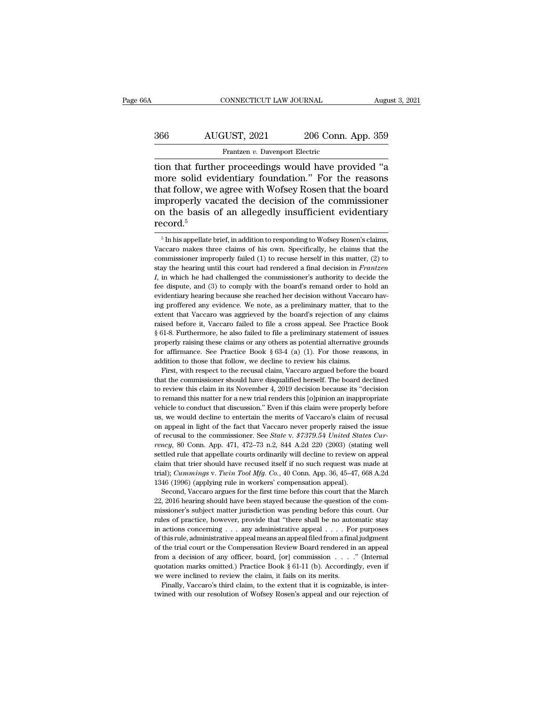# CONNECTICUT LAW JOURNAL August 3, 2021<br>366 AUGUST, 2021 206 Conn. App. 359<br>Frantzen v. Davenport Electric Frantzen *v. Davenport Electric*<br>Frantzen *v. Davenport Electric*<br>Frantzen *v. Davenport Electric*<br>Frantzen *v. Davenport Electric*

CONNECTICUT LAW JOURNAL August 3, 2021<br>
366 AUGUST, 2021 206 Conn. App. 359<br>
Frantzen v. Davenport Electric<br>
1000 that further proceedings would have provided "a<br>
2000 more solid evidentiary foundation." For the reasons<br>
1 MUGUST, 2021 206 Conn. App. 359<br>
Frantzen v. Davenport Electric<br>
tion that further proceedings would have provided "a<br>
more solid evidentiary foundation." For the reasons<br>
that follow, we agree with Wofsey Rosen that the b  $\begin{array}{c|c} \text{AUGUST, 2021} & \text{206 Conn. App. 359} \\ \hline \text{Frantzen } v. \text{Davenport Electric} \\ \text{tion that further proceedings would have provided "a more solid evidently foundation." For the reasons that follow, we agree with Wofsey Rosen that the board improperly vacated the decision of the commissioner on the basis of an alleadly insufficient evolutionary.} \end{array}$  $\begin{array}{r}\n 366 \text{ AUGUST, } 2021 \text{ } 206 \text{ Conn. App. } 359 \\
 \hline\n \text{Frantzen } v. \text{ Davenport Electric} \\
 \hline\n \text{tion that further proceedings would have provided "a more solid evidently foundation." For the reasons that follow, we agree with Wofsey Rosen that the board improperly vacated the decision of the commissioner on the basis of an allegedly insufficient evidently record  $^5\n \end{array}$$ Frantzen v. Davenport Electric<br>
tion that further proceedings would have provided "a<br>
more solid evidentiary foundation." For the reasons<br>
that follow, we agree with Wofsey Rosen that the board<br>
improperly vacated the dec record.<sup>5</sup> at follow, we agree with Wofsey Rosen that the board<br>approperly vacated the decision of the commissioner<br>n the basis of an allegedly insufficient evidentiary<br>ecord.<sup>5</sup><br>f<sub>n</sub> his appellate brief, in addition to responding to improperly vacated the decision of the commissioner<br>on the basis of an allegedly insufficient evidentiary<br>record.<sup>5</sup><br> $\frac{1}{10}$  in his appellate brief, in addition to responding to Wofsey Rosen's claims,<br>vaccaro makes thr

on the basis of an allegedly insufficient evidentiary record.<sup>5</sup><br>record.<sup>5</sup> In his appellate brief, in addition to responding to Wofsey Rosen's claims, Vaccaro makes three claims of his own. Specifically, he claims that t Fraction  $\frac{1}{5}$ <br>  $\frac{1}{5}$  In his appellate brief, in addition to responding to Wofsey Rosen's claims,<br>
Vaccaro makes three claims of his own. Specifically, he claims that the<br>
commissioner improperly failed (1) to rec <sup>5</sup> In his appellate brief, in addition to responding to Wofsey Rosen's claims, Vaccaro makes three claims of his own. Specifically, he claims that the commissioner improperly failed (1) to recuse herself in this matter, ( <sup>5</sup> In his appellate brief, in addition to responding to Wofsey Rosen's claims, Vaccaro makes three claims of his own. Specifically, he claims that the commissioner improperly failed (1) to recuse herself in this matter, Vaccaro makes three claims of his own. Specifically, he claims that the commissioner improperly failed (1) to recuse herself in this matter, (2) to stay the hearing until this court had rendered a final decision in *Frant* commissioner improperly failed (1) to recuse herself in this matter, (2) to commissioner improperly failed (1) to recuse herself in this matter, (2) to stay the hearing until this court had endered a final decision in *Fr* extra the hearing until this court had rendered a final decision in *Frantzen*  $I$ , in which he had challenged the commissioner's authority to decide the fee dispute, and (3) to comply with the board's remand order to hol  $\overline{U}$ , in which he had challenged the commissioner's authority to decide the fee dispute, and (3) to comply with the board's remand order to hold an evidentiary hearing because she reached her decision without Vaccaro fee dispute, and (3) to comply with the board's remand order to hold an evidentiary hearing because she reached her decision without Vaccaro having proffered any evidence. We note, as a preliminary matter, that to the exte evidentiary hearing because she reached her decision without Vaccaro having proffered any evidence. We note, as a preliminary matter, that to the extent that Vaccaro was aggrieved by the board's rejection of any claims ra ing proffered any evidence. We note, as a preliminary matter, that to the extent that Vaccaro was aggrieved by the board's rejection of any claims raised before it, Vaccaro failed to file a cross appeal. See Practice Book extent that Vaccaro was aggrieved by the board's rejection of any claims raised before it, Vaccaro failed to file a cross appeal. See Practice Book § 61-8. Furthermore, he also failed to file a preliminary statement of is ised before it, Vaccaro failed to file a cross appeal. See Practice Book 31-8. Furthermore, he also failed to file a preliminary statement of issues operly raising these claims or any others as potential alternative groun At the commissioner should have disqualified herself. The board declined to review this claims or any others as potential alternative grounds for affirmance. See Practice Book  $\S 63-4$  (a) (1). For those reasons, in addit

properly raising these claims or any others as potential alternative grounds for affirmance. See Practice Book  $\S$  63-4 (a) (1). For those reasons, in addition to those that follow, we decline to review his claims. First, for affirmance. See Practice Book § 63-4 (a) (1). For those reasons, in addition to those that follow, we decline to review his claims. First, with respect to the recusal claim, Vaccaro argued before the board that the co vehicle to the total manner of the conduct that follow, we decline to review his claims.<br>First, with respect to the recusal claim, Vaccaro argued before the board<br>that the commissioner should have disqualified herself. The First, with respect to the recusal claim, Vaccaro argued before the board<br>that the commissioner should have disqualified herself. The board declined<br>to review this claim in its November 4, 2019 decision because its "decisi That the commissioner should have disqualified herself. The board declined to review this claim in its November 4, 2019 decision because its "decision to remand this matter for a new trial renders this [o]pinion an inappr to review this claim in its November 4, 2019 decision because its "decision<br>to remand this matter for a new trial renders this [o]pinion an inappropriate<br>vehicle to conduct that discussion." Even if this claim were properl to remand this matter for a new trial renders this [o]pinion an inappropriate vehicle to conduct that discussion." Even if this claim were properly before us, we would decline to entertain the merits of Vaccaro's claim of whicle to conduct that discussion." Even if this claim were properly before us, we would decline to entertain the merits of Vaccaro's claim of recusal on appeal in light of the fact that Vaccaro never properly raised the claim that trier should have recused itself if no such request was made at trial); Cummington appeal in light of the fact that Vaccaro never properly raised the issue of recusal to the commissioner. See *State* v.  $$7379.$ the magnetic of the fact that Vaccaro never properly raised the issue<br>on appeal in light of the fact that Vaccaro never properly raised the issue<br>of recusal to the commissioner. See *State* v. \$7379.54 United States Cur-<br>r % of recusal to the commissioner. See *State* v.  $$7379.54$  *United States Currency*, 80 Conn. App. 471, 472–73 n.2, 844 A.2d 220 (2003) (stating well settled rule that appellate courts ordinarily will decline to review o ney, 80 Conn. App. 471, 472–73 n.2, 844 A.2d 220 (2003) (stating well titled rule that appellate courts ordinarily will decline to review on appeal aim that trier should have recused itself if no such request was made at a settled rule that appellate courts ordinarily will decline to review on appeal claim that trier should have recused itself if no such request was made at trial); *Cummings v. Twin Tool Mfg. Co.*, 40 Conn. App. 36, 45–47,

claim that trier should have recused itself if no such request was made at trial); *Cummings v. Twin Tool Mfg. Co.*, 40 Conn. App. 36, 45–47, 668 A.2d 1346 (1996) (applying rule in workers' compensation appeal). Second, V trial); *Cummings v. Twin Tool Mfg. Co.*, 40 Conn. App. 36, 45–47, 668 A.2d 1346 (1996) (applying rule in workers' compensation appeal).<br>Second, Vaccaro argues for the first time before this court that the March 22, 2016 1346 (1996) (applying rule in workers' compensation appeal).<br>
Second, Vaccaro argues for the first time before this court that the March<br>
22, 2016 hearing should have been stayed because the question of the com-<br>
missione Second, Vaccaro argues for the first time before this court that the March 22, 2016 hearing should have been stayed because the question of the commissioner's subject matter jurisdiction was pending before this court. Our 22, 2016 hearing should have been stayed because the question of the commissioner's subject matter jurisdiction was pending before this court. Our rules of practice, however, provide that "there shall be no automatic stay missioner's subject matter jurisdiction was pending before this court. Our rules of practice, however, provide that "there shall be no automatic stay in actions concerning . . . any administrative appeal  $\ldots$ . For purpos rules of practice, however, provide that "there shall be no automatic stay<br>in actions concerning . . . any administrative appeal . . . . For purposes<br>of this rule, administrative appeal means an appeal filed from a final in actions concerning . . . any administrative appeal . . . . For purposes of this rule, administrative appeal means an appeal filed from a final judgment of the trial court or the Compensation Review Board rendered in an of this rule, administrative appeal means an appeal filed from a final judgment from a decision of any officer, board, [or] commission  $\ldots$  . Thermal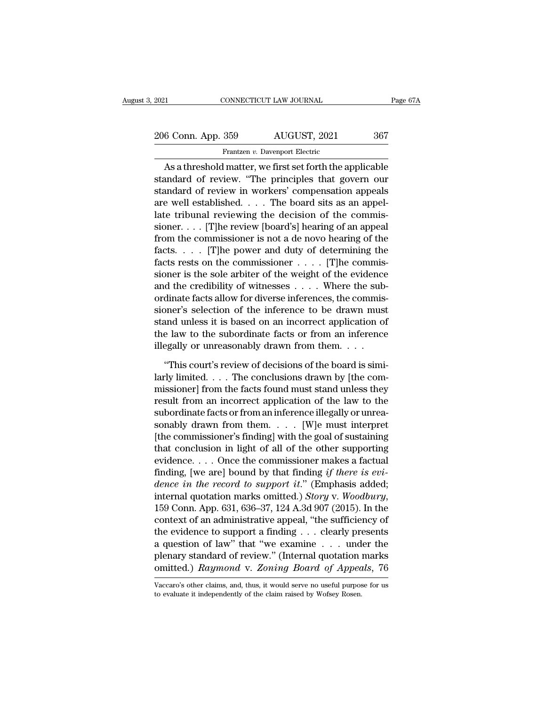2021 CONNECTICUT LAW JOURNAL Page 67A<br>
206 Conn. App. 359 AUGUST, 2021 367<br>
Frantzen v. Davenport Electric Frantzen *v.* Davenport Electric<br>Trantzen *v. Davenport Electric*<br>I matter we first set forth the an

CONNECTICUT LAW JOURNAL Page 67A<br>
6 Conn. App. 359 AUGUST, 2021 367<br>
Frantzen v. Davenport Electric<br>
As a threshold matter, we first set forth the applicable<br>
andard of review. "The principles that govern our<br>
andard of re 206 Conn. App. 359 AUGUST, 2021 367<br>
Frantzen v. Davenport Electric<br>
As a threshold matter, we first set forth the applicable<br>
standard of review. "The principles that govern our<br>
standard of review in workers' compensatio 206 Conn. App. 359 AUGUST, 2021 367<br>
Frantzen v. Davenport Electric<br>
As a threshold matter, we first set forth the applicable<br>
standard of review. "The principles that govern our<br>
standard of review in workers' compensati 206 Conn. App. 359 AUGUST, 2021 367<br>
Frantzen v. Davenport Electric<br>
As a threshold matter, we first set forth the applicable<br>
standard of review. "The principles that govern our<br>
standard of review in workers' compensati Frantzen v. Davenport Electric<br>
As a threshold matter, we first set forth the applicable<br>
standard of review. "The principles that govern our<br>
standard of review in workers' compensation appeals<br>
are well established. . . Something the standard of review. "The principles that govern our standard of review. "The principles that govern our standard of review in workers' compensation appeals are well established. . . . The board sits as an ap As a threshold matter, we first set forth the applicable<br>standard of review. "The principles that govern our<br>standard of review in workers' compensation appeals<br>are well established.... The board sits as an appel-<br>late tr standard of review. "The principles that govern our<br>standard of review in workers' compensation appeals<br>are well established. . . . The board sits as an appel-<br>late tribunal reviewing the decision of the commis-<br>sioner. . standard of review in workers' compensation appeals<br>are well established. . . . The board sits as an appel-<br>late tribunal reviewing the decision of the commis-<br>sioner. . . . [T]he review [board's] hearing of an appeal<br>fro are well established. . . . The board sits as an appel-<br>late tribunal reviewing the decision of the commis-<br>sioner. . . . [T]he review [board's] hearing of an appeal<br>from the commissioner is not a de novo hearing of the<br>f late tribunal reviewing the decision of the commissioner. . . . [T]he review [board's] hearing of an appeal from the commissioner is not a de novo hearing of the facts. . . . [T]he power and duty of determining the facts sioner. . . . [T]he review [board's] hearing of an appeal<br>from the commissioner is not a de novo hearing of the<br>facts  $\ldots$  . [T]he power and duty of determining the<br>facts rests on the commissioner  $\ldots$  . [T]he commis-<br>s from the commissioner is not a de novo hearing of the<br>facts.... [T]he power and duty of determining the<br>facts rests on the commissioner .... [T]he commis-<br>sioner is the sole arbiter of the weight of the evidence<br>and the c facts. . . . . [T]he power and duty of determining the<br>facts rests on the commissioner . . . . . [T]he commis-<br>sioner is the sole arbiter of the weight of the evidence<br>and the credibility of witnesses . . . . Where the su facts rests on the commissioner  $\ldots$  . [T]he commissioner is the sole arbiter of the weight of the evidence and the credibility of witnesses  $\ldots$ . Where the subordinate facts allow for diverse inferences, the commission sioner is the sole arbiter of the weight of the evidence<br>and the credibility of witnesses . . . . Where the sub<br>ordinate facts allow for diverse inferences, the commis<br>sioner's selection of the inference to be drawn muss<br> dinate facts allow for diverse inferences, the commis-<br>oner's selection of the inference to be drawn must<br>and unless it is based on an incorrect application of<br>e law to the subordinate facts or from an inference<br>egally or sioner's selection of the inference to be drawn must<br>stand unless it is based on an incorrect application of<br>the law to the subordinate facts or from an inference<br>illegally or unreasonably drawn from them. . . .<br>"This cou

stand unless it is based on an incorrect application of<br>the law to the subordinate facts or from an inference<br>illegally or unreasonably drawn from them. . . .<br>"This court's review of decisions of the board is simi-<br>larly l the law to the subordinate facts or from an inference<br>illegally or unreasonably drawn from them.  $\dots$ <br>"This court's review of decisions of the board is simi-<br>larly limited.  $\dots$  The conclusions drawn by [the com-<br>missione illegally or unreasonably drawn from them. . . .<br>"This court's review of decisions of the board is similarly limited. . . . The conclusions drawn by [the commissioner] from the facts found must stand unless they result fro "This court's review of decisions of the board is similarly limited. . . . The conclusions drawn by [the commissioner] from the facts found must stand unless they result from an incorrect application of the law to the sub "This court's review of decisions of the board is similarly limited. . . . The conclusions drawn by [the commissioner] from the facts found must stand unless they result from an incorrect application of the law to the sub larly limited. . . . The conclusions drawn by [the com-<br>missioner] from the facts found must stand unless they<br>result from an incorrect application of the law to the<br>subordinate facts or from an inference illegally or unr missioner] from the facts found must stand unless they<br>result from an incorrect application of the law to the<br>subordinate facts or from an inference illegally or unrea-<br>sonably drawn from them. . . . . [W]e must interpret result from an incorrect application of the law to the<br>subordinate facts or from an inference illegally or unrea-<br>sonably drawn from them. . . . [W]e must interpret<br>[the commissioner's finding] with the goal of sustaining<br> subordinate facts or from an inference illegally or unreasonably drawn from them. . . . [W]e must interpret<br>[the commissioner's finding] with the goal of sustaining<br>that conclusion in light of all of the other supporting<br>e sonably drawn from them. . . . . [W]e must interpret<br>[the commissioner's finding] with the goal of sustaining<br>that conclusion in light of all of the other supporting<br>evidence. . . . Once the commissioner makes a factual<br>fi that conclusion in light of all of the other supporting<br>evidence.... Once the commissioner makes a factual<br>finding, [we are] bound by that finding *if there is evi-<br>dence in the record to support it.*" (Emphasis added;<br>in evidence.... Once the commissioner makes a factual<br>finding, [we are] bound by that finding *if there is evi-*<br>*dence in the record to support it.*" (Emphasis added;<br>internal quotation marks omitted.) Story v. Woodbury,<br>15 finding, [we are] bound by that finding *if there is evidence in the record to support it.*" (Emphasis added; internal quotation marks omitted.) *Story v. Woodbury*, 159 Conn. App. 631, 636–37, 124 A.3d 907 (2015). In the dence in the record to support it." (Emphasis added;<br>internal quotation marks omitted.) Story v. Woodbury,<br>159 Conn. App. 631, 636–37, 124 A.3d 907 (2015). In the<br>context of an administrative appeal, "the sufficiency of<br>t internal quotation marks omitted.) *Story* v. *Woodbury*,<br>159 Conn. App. 631, 636–37, 124 A.3d 907 (2015). In the<br>context of an administrative appeal, "the sufficiency of<br>the evidence to support a finding . . . clearly pre the evidence to support a finding . . . clearly presents a question of law" that "we examine . . . under the plenary standard of review." (Internal quotation marks omitted.) Raymond v. Zoning Board of Appeals, 76 Vaccaro' plenary standard of review." (Internal quotation marks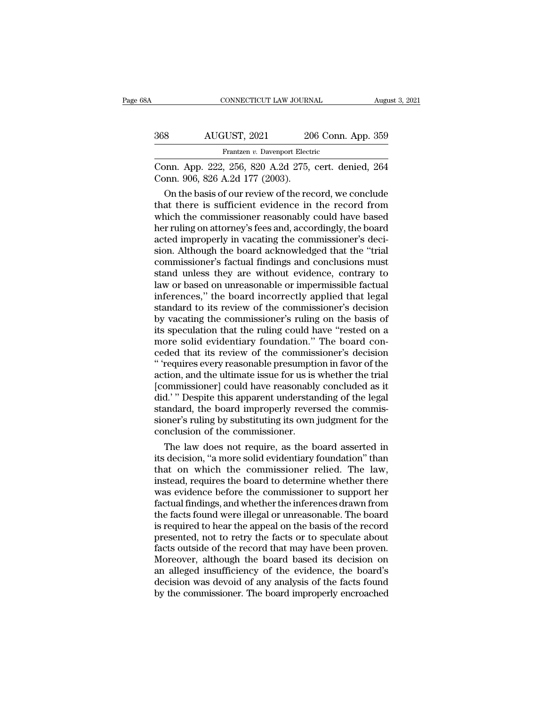| ЗA  | CONNECTICUT LAW JOURNAL                                                                 |                    | August 3, 2021 |
|-----|-----------------------------------------------------------------------------------------|--------------------|----------------|
| 368 | AUGUST, 2021                                                                            | 206 Conn. App. 359 |                |
|     | Frantzen v. Davenport Electric                                                          |                    |                |
|     | Conn. App. 222, 256, 820 A.2d 275, cert. denied, 264<br>Conn. 906, 826 A.2d 177 (2003). |                    |                |
|     | On the basis of our review of the record, we conclude                                   |                    |                |

AUGUST, 2021 206 Conn. App. 359<br>
Frantzen v. Davenport Electric<br>
DON App. 222, 256, 820 A.2d 275, cert. denied, 264<br>
DON App. 326 A.2d 177 (2003).<br>
On the basis of our review of the record, we conclude<br>
at there is suffici  $\frac{368}{560}$  AUGUST, 2021 206 Conn. App. 359<br>
Frantzen v. Davenport Electric<br>
Conn. App. 222, 256, 820 A.2d 275, cert. denied, 264<br>
Conn. 906, 826 A.2d 177 (2003).<br>
On the basis of our review of the record, we conclude<br> Frantzen v. Davenport Electric<br>
Conn. App. 222, 256, 820 A.2d 275, cert. denied, 264<br>
Conn. 906, 826 A.2d 177 (2003).<br>
On the basis of our review of the record, we conclude<br>
that there is sufficient evidence in the record France, European Eccanover and Conn. App. 222, 256, 820 A.2d 275, cert. denied, 264<br>Conn. 906, 826 A.2d 177 (2003).<br>On the basis of our review of the record, we conclude<br>that there is sufficient evidence in the record from Conn. App. 222, 256, 820 A.2d 275, cert. denied, 264<br>Conn. 906, 826 A.2d 177 (2003).<br>On the basis of our review of the record, we conclude<br>that there is sufficient evidence in the record from<br>which the commissioner reasona Conn. 906, 826 A.2d 177 (2003).<br>
On the basis of our review of the record, we conclude<br>
that there is sufficient evidence in the record from<br>
which the commissioner reasonably could have based<br>
her ruling on attorney's fee On the basis of our review of the record, we conclude<br>that there is sufficient evidence in the record from<br>which the commissioner reasonably could have based<br>her ruling on attorney's fees and, accordingly, the board<br>acted that there is sufficient evidence in the record from<br>which the commissioner reasonably could have based<br>her ruling on attorney's fees and, accordingly, the board<br>acted improperly in vacating the commissioner's deci-<br>sion. which the commissioner reasonably could have based<br>her ruling on attorney's fees and, accordingly, the board<br>acted improperly in vacating the commissioner's deci-<br>sion. Although the board acknowledged that the "trial<br>commi her ruling on attorney's fees and, accordingly, the board<br>acted improperly in vacating the commissioner's deci-<br>sion. Although the board acknowledged that the "trial<br>commissioner's factual findings and conclusions must<br>sta acted improperly in vacating the commissioner's decision. Although the board acknowledged that the "trial commissioner's factual findings and conclusions must<br>stand unless they are without evidence, contrary to<br>law or base sion. Although the board acknowledged that the "trial commissioner's factual findings and conclusions must<br>stand unless they are without evidence, contrary to<br>law or based on unreasonable or impermissible factual<br>inference commissioner's factual findings and conclusions must<br>stand unless they are without evidence, contrary to<br>law or based on unreasonable or impermissible factual<br>inferences," the board incorrectly applied that legal<br>standard stand unless they are without evidence, contrary to<br>law or based on unreasonable or impermissible factual<br>inferences," the board incorrectly applied that legal<br>standard to its review of the commissioner's decision<br>by vacat law or based on unreasonable or impermissible factual<br>inferences," the board incorrectly applied that legal<br>standard to its review of the commissioner's decision<br>by vacating the commissioner's ruling on the basis of<br>its sp inferences," the board incorrectly applied that legal<br>standard to its review of the commissioner's decision<br>by vacating the commissioner's ruling on the basis of<br>its speculation that the ruling could have "rested on a<br>more standard to its review of the commissioner's decision<br>by vacating the commissioner's ruling on the basis of<br>its speculation that the ruling could have "rested on a<br>more solid evidentiary foundation." The board con-<br>ceded t by vacating the commissioner's ruling on the basis of<br>its speculation that the ruling could have "rested on a<br>more solid evidentiary foundation." The board con-<br>ceded that its review of the commissioner's decision<br>" 'requi its speculation that the ruling could have "rested on a<br>more solid evidentiary foundation." The board con-<br>ceded that its review of the commissioner's decision<br>" 'requires every reasonable presumption in favor of the<br>actio more solid evidentiary foundation." The board conceded that its review of the commissioner's decision "requires every reasonable presumption in favor of the action, and the ultimate issue for us is whether the trial [commi ceded that its review of the commissioner's decision<br>"'requires every reasonable presumption in favor of the<br>action, and the ultimate issue for us is whether the trial<br>[commissioner] could have reasonably concluded as it<br>d " 'requires every reasonable presumptif action, and the ultimate issue for us is [commissioner] could have reasonably did." Despite this apparent understand standard, the board improperly reversioner's ruling by substituti tion, and the ultimate issue for us is whether the trial<br>ommissioner] could have reasonably concluded as it<br>d.' " Despite this apparent understanding of the legal<br>andard, the board improperly reversed the commis-<br>oner's ru [commissioner] could have reasonably concluded as it<br>did.' " Despite this apparent understanding of the legal<br>standard, the board improperly reversed the commis-<br>sioner's ruling by substituting its own judgment for the<br>con

did.'" Despite this apparent understanding of the legal<br>standard, the board improperly reversed the commis-<br>sioner's ruling by substituting its own judgment for the<br>conclusion of the commissioner.<br>The law does not require, standard, the board improperly reversed the commis-<br>sioner's ruling by substituting its own judgment for the<br>conclusion of the commissioner.<br>The law does not require, as the board asserted in<br>its decision, "a more solid ev sioner's ruling by substituting its own judgment for the<br>conclusion of the commissioner.<br>The law does not require, as the board asserted in<br>its decision, "a more solid evidentiary foundation" than<br>that on which the commiss conclusion of the commissioner.<br>
The law does not require, as the board asserted in<br>
its decision, "a more solid evidentiary foundation" than<br>
that on which the commissioner relied. The law,<br>
instead, requires the board to The law does not require, as the board asserted in<br>its decision, "a more solid evidentiary foundation" than<br>that on which the commissioner relied. The law,<br>instead, requires the board to determine whether there<br>was evidenc its decision, "a more solid evidentiary foundation" than<br>that on which the commissioner relied. The law,<br>instead, requires the board to determine whether there<br>was evidence before the commissioner to support her<br>factual fi that on which the commissioner relied. The law,<br>instead, requires the board to determine whether there<br>was evidence before the commissioner to support her<br>factual findings, and whether the inferences drawn from<br>the facts f instead, requires the board to determine whether there<br>was evidence before the commissioner to support her<br>factual findings, and whether the inferences drawn from<br>the facts found were illegal or unreasonable. The board<br>is was evidence before the commissioner to support her<br>factual findings, and whether the inferences drawn from<br>the facts found were illegal or unreasonable. The board<br>is required to hear the appeal on the basis of the record<br> factual findings, and whether the inferences drawn from<br>the facts found were illegal or unreasonable. The board<br>is required to hear the appeal on the basis of the record<br>presented, not to retry the facts or to speculate ab the facts found were illegal or unreasonable. The board<br>is required to hear the appeal on the basis of the record<br>presented, not to retry the facts or to speculate about<br>facts outside of the record that may have been prove is required to hear the appeal on the basis of the record presented, not to retry the facts or to speculate about facts outside of the record that may have been proven. Moreover, although the board based its decision on an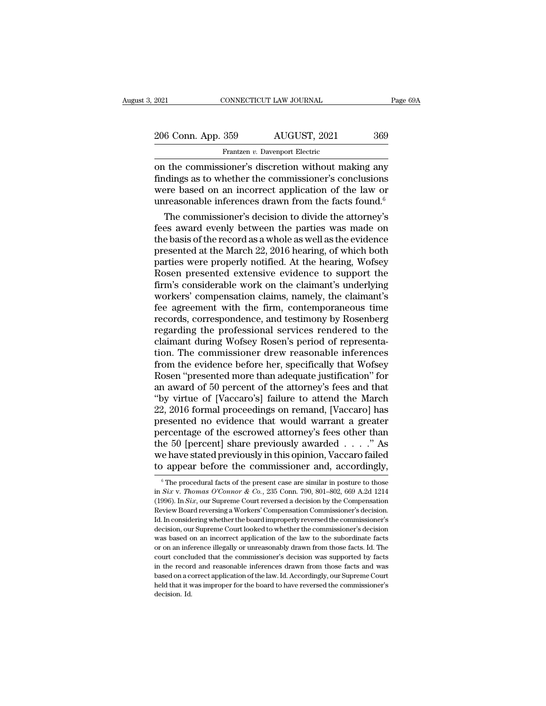| 2021               | CONNECTICUT LAW JOURNAL                             | Page 69A |
|--------------------|-----------------------------------------------------|----------|
| 206 Conn. App. 359 | AUGUST, 2021                                        | 369      |
|                    | Frantzen v. Davenport Electric                      |          |
|                    | on the commissioner's discretion without making any |          |

CONNECTICUT LAW JOURNAL Page 69A<br>
206 Conn. App. 359 AUGUST, 2021 369<br>
Frantzen v. Davenport Electric<br>
on the commissioner's discretion without making any<br>
findings as to whether the commissioner's conclusions<br>
wore based 206 Conn. App. 359 AUGUST, 2021 369<br>
Frantzen v. Davenport Electric<br>
on the commissioner's discretion without making any<br>
findings as to whether the commissioner's conclusions<br>
were based on an incorrect application of th 206 Conn. App. 359 AUGUST, 2021 369<br>
Frantzen v. Davenport Electric<br>
on the commissioner's discretion without making any<br>
findings as to whether the commissioner's conclusions<br>
were based on an incorrect application of th 206 Conn. App. 359 AUGUST, 2021 369<br>Frantzen v. Davenport Electric<br>on the commissioner's discretion without making any<br>findings as to whether the commissioner's conclusions<br>were based on an incorrect application of the la Frantzen v. Davenport Electric<br>
the commissioner's discretion without making any<br>
dings as to whether the commissioner's conclusions<br>
ere based on an incorrect application of the law or<br>
reasonable inferences drawn from t France, evenly between the making any<br>findings as to whether the commissioner's conclusions<br>were based on an incorrect application of the law or<br>unreasonable inferences drawn from the facts found.<sup>6</sup><br>The commissioner's de

on the commissioner's discretion without making any<br>findings as to whether the commissioner's conclusions<br>were based on an incorrect application of the law or<br>unreasonable inferences drawn from the facts found.<sup>6</sup><br>The com findings as to whether the commissioner's conclusions<br>were based on an incorrect application of the law or<br>unreasonable inferences drawn from the facts found.<sup>6</sup><br>The commissioner's decision to divide the attorney's<br>fees a were based on an incorrect application of the law or<br>unreasonable inferences drawn from the facts found.<sup>6</sup><br>The commissioner's decision to divide the attorney's<br>fees award evenly between the parties was made on<br>the basis unreasonable inferences drawn from the facts found."<br>The commissioner's decision to divide the attorney's<br>fees award evenly between the parties was made on<br>the basis of the record as a whole as well as the evidence<br>present The commissioner's decision to divide the attorney's<br>fees award evenly between the parties was made on<br>the basis of the record as a whole as well as the evidence<br>presented at the March 22, 2016 hearing, of which both<br>parti fees award evenly between the parties was made on<br>the basis of the record as a whole as well as the evidence<br>presented at the March 22, 2016 hearing, of which both<br>parties were properly notified. At the hearing, Wofsey<br>Ros the basis of the record as a whole as well as the evidence<br>presented at the March 22, 2016 hearing, of which both<br>parties were properly notified. At the hearing, Wofsey<br>Rosen presented extensive evidence to support the<br>fir presented at the March 22, 2016 hearing, of which both<br>parties were properly notified. At the hearing, Wofsey<br>Rosen presented extensive evidence to support the<br>firm's considerable work on the claimant's underlying<br>workers' parties were properly notified. At the hearing, Wofsey<br>Rosen presented extensive evidence to support the<br>firm's considerable work on the claimant's underlying<br>workers' compensation claims, namely, the claimant's<br>fee agreem Rosen presented extensive evidence to support the<br>firm's considerable work on the claimant's underlying<br>workers' compensation claims, namely, the claimant's<br>fee agreement with the firm, contemporaneous time<br>records, corres firm's considerable work on the claimant's underlying<br>workers' compensation claims, namely, the claimant's<br>fee agreement with the firm, contemporaneous time<br>records, correspondence, and testimony by Rosenberg<br>regarding the workers' compensation claims, namely, the claimant's<br>fee agreement with the firm, contemporaneous time<br>records, correspondence, and testimony by Rosenberg<br>regarding the professional services rendered to the<br>claimant during fee agreement with the firm, contemporaneous time<br>records, correspondence, and testimony by Rosenberg<br>regarding the professional services rendered to the<br>claimant during Wofsey Rosen's period of representa-<br>tion. The commi records, correspondence, and testimony by Rosenberg<br>regarding the professional services rendered to the<br>claimant during Wofsey Rosen's period of representa-<br>tion. The commissioner drew reasonable inferences<br>from the eviden regarding the professional services rendered to the<br>claimant during Wofsey Rosen's period of representa-<br>tion. The commissioner drew reasonable inferences<br>from the evidence before her, specifically that Wofsey<br>Rosen "prese claimant during Wofsey Rosen's period of representation. The commissioner drew reasonable inferences<br>from the evidence before her, specifically that Wofsey<br>Rosen "presented more than adequate justification" for<br>an award of tion. The commissioner drew reasonable inferences<br>from the evidence before her, specifically that Wofsey<br>Rosen "presented more than adequate justification" for<br>an award of 50 percent of the attorney's fees and that<br>"by vir from the evidence before her, specifically that Wofsey<br>Rosen "presented more than adequate justification" for<br>an award of 50 percent of the attorney's fees and that<br>"by virtue of [Vaccaro's] failure to attend the March<br>22, Rosen "presented more than adequate justification" for<br>an award of 50 percent of the attorney's fees and that<br>"by virtue of [Vaccaro's] failure to attend the March<br>22, 2016 formal proceedings on remand, [Vaccaro] has<br>prese an award of 50 percent of the attorney's fees and that<br>"by virtue of [Vaccaro's] failure to attend the March<br>22, 2016 formal proceedings on remand, [Vaccaro] has<br>presented no evidence that would warrant a greater<br>percentag "by virtue of [Vaccaro's] failure to attend the March 22, 2016 formal proceedings on remand, [Vaccaro] has presented no evidence that would warrant a greater percentage of the escrowed attorney's fees other than the 50 [p ercentage of the escrowed attorney's fees other than<br>he 50 [percent] share previously awarded . . . . " As<br>e have stated previously in this opinion, Vaccaro failed<br> $\alpha$  appear before the commissioner and, accordingly,<br> $\frac$ the 50 [percent] share previously awarded . . . . ." As<br>we have stated previously in this opinion, Vaccaro failed<br>to appear before the commissioner and, accordingly,<br><sup>6</sup>The procedural facts of the present case are similar

we have stated previously in this opinion, Vaccaro failed<br>to appear before the commissioner and, accordingly,<br><sup>®</sup>The procedural facts of the present case are similar in posture to those<br>in *Six* v. *Thomas O'Connor & Co.*, to appear before the commissioner and, accordingly,<br>
The procedural facts of the present case are similar in posture to those<br>
in Six v. Thomas O'Connor & Co., 235 Conn. 790, 801-802, 669 A.2d 1214 ID. Appear Defore the COMMISSIONET and, accordingly,<br>  $\overline{\phantom{a}}$  The procedural facts of the present case are similar in posture to those<br>
in Six v. Thomas O'Connor & Co., 235 Conn. 790, 801–802, 669 A.2d 1214<br>
(1996). I <sup>6</sup> The procedural facts of the present case are similar in posture to those in *Six v. Thomas O'Connor & Co.*, 235 Conn. 790, 801–802, 669 A.2d 1214 (1996). In *Six*, our Supreme Court reversed a decision by the Compensa in *Six v. Thomas O'Connor & Co.*, 235 Conn. 790, 801–802, 669 A.2d 1214 (1996). In *Six,* our Supreme Court reversed a decision by the Compensation Review Board reversing a Workers' Compensation Commissioner's decision.<br> (1996). In *Six*, our Supreme Court reversed a decision by the Compensation Review Board reversing a Workers' Compensation Commissioner's decision.<br>Id. In considering whether the board improperly reversed the commissioner Review Board reversing a Workers' Compensation Commissioner's decision.<br>Id. In considering whether the board improperly reversed the commissioner's<br>decision, our Supreme Court looked to whether the commissioner's decision<br> Id. In considering whether the board improperly reversed the commissioner's decision, our Supreme Court looked to whether the commissioner's decision was based on an incorrect application of the law to the subordinate fact decision, our Supreme Court looked to whether the commissioner's decision was based on an incorrect application of the law to the subordinate facts or on an inference illegally or unreasonably drawn from those facts. Id. T was based on an incorrect application of the law to the subordinate facts or on an inference illegally or unreasonably drawn from those facts. Id. The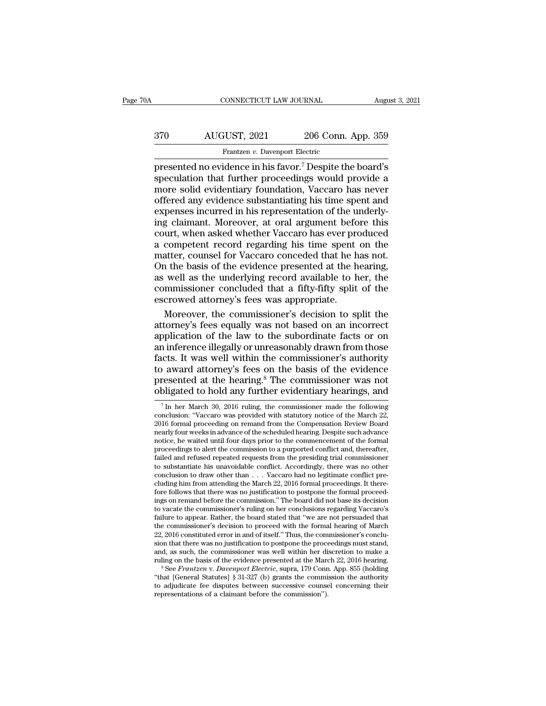# CONNECTICUT LAW JOURNAL August 3, 2021<br>370 AUGUST, 2021 206 Conn. App. 359<br>Frantzen v. Davenport Electric Frantzen *v. Davenport Electric*<br>Frantzen *v. Davenport Electric*<br>Idence in his favor <sup>7</sup> Despite the

CONNECTICUT LAW JOURNAL August 3, 2021<br>
370 AUGUST, 2021 206 Conn. App. 359<br>
Frantzen v. Davenport Electric<br>
presented no evidence in his favor.<sup>7</sup> Despite the board's<br>
speculation that further proceedings would provide a<br>  $\frac{370}{\text{Frantzen } v. \text{ Davenport Electric}}$ <br>
Frantzen v. Davenport Electric<br>
presented no evidence in his favor.<sup>7</sup> Despite the board's<br>
speculation that further proceedings would provide a<br>
more solid evidentiary foundation, Vaccaro has n  $\begin{array}{r} \text{370}\qquad \qquad \text{AUGUST, 2021}\qquad \qquad 206 \text{ Conn. App. 359}\ \text{Frantzen } v \text{. Davenport Electric}\ \text{presented no evidence in his favor.} \end{array}$ <br>presented no evidence in his favor.<sup>7</sup> Despite the board's speculation that further proceedings would provide a more solid evidentia  $\begin{array}{r} \text{AUGUST, 2021} \text{206 Conn. App. 359} \\ \hline \text{Frantzen } v. \text{ Davenport Electric} \\ \text{presented no evidence in his favor.} \end{array}$ <br>
speculation that further proceedings would provide a<br>
more solid evidentiary foundation, Vaccaro has never<br>
offered any evidence substantiating Frantzen v. Davenport Electric<br>
Frantzen v. Davenport Electric<br>
presented no evidence in his favor.<sup>7</sup> Despite the board's<br>
speculation that further proceedings would provide a<br>
more solid evidentiary foundation, Vaccaro Frantzen v. Davenport Electric<br>presented no evidence in his favor.<sup>7</sup> Despite the board's<br>speculation that further proceedings would provide a<br>more solid evidentiary foundation, Vaccaro has never<br>offered any evidence subs presented no evidence in his favor.<sup>7</sup> Despite the board's<br>speculation that further proceedings would provide a<br>more solid evidentiary foundation, Vaccaro has never<br>offered any evidence substantiating his time spent and<br>ex speculation that further proceedings would provide a<br>speculation that further proceedings would provide a<br>more solid evidentiary foundation, Vaccaro has never<br>offered any evidence substantiating his time spent and<br>expenses more solid evidentiary foundation, Vaccaro has never<br>offered any evidence substantiating his time spent and<br>expenses incurred in his representation of the underly-<br>ing claimant. Moreover, at oral argument before this<br>court The basis of the substantial produces in the fored and expenses incurred in his representation of the underly-<br>ing claimant. Moreover, at oral argument before this<br>court, when asked whether Vaccaro has ever produced<br>a comp expenses incurred in his representation of the underly-<br>ing claimant. Moreover, at oral argument before this<br>court, when asked whether Vaccaro has ever produced<br>a competent record regarding his time spent on the<br>matter, co competitive in the problem and argument before this<br>court, when asked whether Vaccaro has ever produced<br>a competent record regarding his time spent on the<br>matter, counsel for Vaccaro conceded that he has not.<br>On the basis responsive the vacanomial control count, when asked whether Vaccaro has ever provide a competent record regarding his time spent matter, counsel for Vaccaro conceded that he h On the basis of the evidence presented at the competent record regarding his time spent on the<br>atter, counsel for Vaccaro conceded that he has not.<br>1 the basis of the evidence presented at the hearing,<br>well as the underlying record available to her, the<br>mmissioner con matter, counsel for Vaccaro conceded that he has not.<br>On the basis of the evidence presented at the hearing,<br>as well as the underlying record available to her, the<br>commissioner concluded that a fifty-fifty split of the<br>esc

On the basis of the evidence presented at the hearing,<br>as well as the underlying record available to her, the<br>commissioner concluded that a fifty-fifty split of the<br>escrowed attorney's fees was appropriate.<br>Moreover, the c as well as the underlying record available to her, the commissioner concluded that a fifty-fifty split of the escrowed attorney's fees was appropriate.<br>Moreover, the commissioner's decision to split the attorney's fees equ commissioner concluded that a fifty-fifty split of the<br>escrowed attorney's fees was appropriate.<br>Moreover, the commissioner's decision to split the<br>attorney's fees equally was not based on an incorrect<br>application of the escrowed attorney's fees was appropriate.<br>
Moreover, the commissioner's decision to split the<br>
attorney's fees equally was not based on an incorrect<br>
application of the law to the subordinate facts or on<br>
an inference ille Moreover, the commissioner's decision to split the<br>attorney's fees equally was not based on an incorrect<br>application of the law to the subordinate facts or on<br>an inference illegally or unreasonably drawn from those<br>facts. attorney's fees equally was not based on an incorrect<br>application of the law to the subordinate facts or on<br>an inference illegally or unreasonably drawn from those<br>facts. It was well within the commissioner's authority<br>to cts. It was well within the commissioner's authority<br>  $\alpha$  award attorney's fees on the basis of the evidence<br>
resented at the hearing.<sup>8</sup> The commissioner was not<br>
bligated to hold any further evidentiary hearings, and<br> to award attorney's fees on the basis of the evidence<br>presented at the hearing.<sup>8</sup> The commissioner was not<br>obligated to hold any further evidentiary hearings, and<br><sup>7</sup> In her March 30, 2016 ruling, the commissioner made th

"that [General Statutes] § 31-327 (b) grants the commission the authority

to award attorney's rees on the basis of the evidence<br>presented at the hearing.<sup>8</sup> The commissioner was not<br>obligated to hold any further evidentiary hearings, and<br><sup>7</sup>In her March 30, 2016 ruling, the commissioner made the presented at the hearing.<sup>6</sup> The commissioner was not obligated to hold any further evidentiary hearings, and  $\frac{1}{7}$  In her March 30, 2016 ruling, the commissioner made the following conclusion: "Vaccaro was provided wi **obligated to hold any further evidentiary hearings, and**<br>
<sup>7</sup> In her March 30, 2016 ruling, the commissioner made the following<br>
conclusion: "Vaccaro was provided with statutory notice of the March 22,<br>  $2016$  formal pro  $^7$ In her March 30, 2016 ruling, the commissioner made the following conclusion: "Vaccaro was provided with statutory notice of the March 22, 2016 formal proceeding on remand from the Compensation Review Board nearly fou <sup>7</sup> In her March 30, 2016 ruling, the commissioner made the following conclusion: "Vaccaro was provided with statutory notice of the March 22, 2016 formal proceeding on remand from the Compensation Review Board nearly fou conclusion to draw other than . . . Vaccaro had no legitimate conflict pre-2016 formal proceeding on remand from the Compensation Review Board nearly four weeks in advance of the scheduled hearing. Despite such advance notice, he waited until four days prior to the commencement of the formal proc nearly four weeks in advance of the scheduled hearing. Despite such advance<br>notice, he waited until four days prior to the commencement of the formal<br>proceedings to alert the commission to a purported conflict and, thereaf notice, he waited until four days prior to the commencement of the formal proceedings to alert the commission to a purported conflict and, thereafter, failed and refused repeated requests from the presiding trial commissio proceedings to alert the commission to a purported conflict and, thereafter,<br>failed and refused repeated requests from the presiding trial commissioner<br>to substantiate his unavoidable conflict. Accordingly, there was no ot failed and refused repeated requests from the presiding trial commissioner<br>to substantiate his unavoidable conflict. Accordingly, there was no other<br>conclusion to draw other than . . . Vaccaro had no legitimate conflict pr to substantiate his unavoidable conflict. Accordingly, there was no other conclusion to draw other than  $\ldots$  Vaccaro had no legitimate conflict pre-<br>cluding him from attending the March 22, 2016 formal proceedings. It th conclusion to draw other than . . . Vaccaro had no legitimate conflict pre-<br>cluding him from attending the March 22, 2016 formal proceedings. It there-<br>fore follows that there was no justification to postpone the formal pr cluding him from attending the March 22, 2016 formal proceedings. It therefore follows that there was no justification to postpone the formal proceedings on remand before the commission.'' The board did not base its decisi fore follows that there was no justification to postpone the formal proceedings on remand before the commission." The board did not base its decision to vacate the commissioner's ruling on her conclusions regarding Vaccaro ings on remand before the commission." The board did not base its decision<br>to vacate the commissioner's ruling on her conclusions regarding Vaccaro's<br>failure to appear. Rather, the board stated that "we are not persuaded t to vacate the commissioner's ruling on her conclusions regarding Vaccaro's<br>failure to appear. Rather, the board stated that "we are not persuaded that<br>the commissioner's decision to proceed with the formal hearing of March the commissioner's decision to proceed with the formal hearing of March 22, 2016 constituted error in and of itself." Thus, the commissioner's conclusion that there was no justification to postpone the proceedings must st 22, 2016 constituted error in and of itself." Thus, the commissioner's conclusion that there was no justification to postpone the proceedings must stand, and, as such, the commissioner was well within her discretion to ma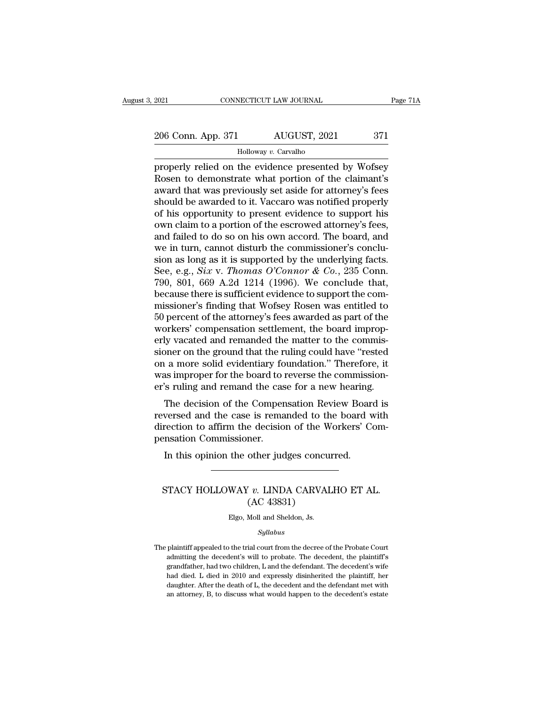2021 CONNECTICUT LAW JOURNAL Page 71A<br>
206 Conn. App. 371 AUGUST, 2021 371<br>
Holloway v. Carvalho

Holloway *v.* Carvalho

Properly relied on the evidence presented by Wofsey<br>
properly relied on the evidence presented by Wofsey<br>
Rosen to demonstrate what portion of the claimant's<br>
properly that was proviously set aside for atternoy's foos 206 Conn. App. 371 AUGUST, 2021 371<br>
Holloway v. Carvalho<br>
properly relied on the evidence presented by Wofsey<br>
Rosen to demonstrate what portion of the claimant's<br>
award that was previously set aside for attorney's fees<br> 206 Conn. App. 371 AUGUST, 2021 371<br>  $\frac{\text{Holloway } v. \text{ Carvalho}}{\text{Properly relied on the evidence presented by Wofsey}}$ <br>
Rosen to demonstrate what portion of the claimant's<br>
award that was previously set aside for attorney's fees<br>
should be awarded to it. Vaccaro was 206 Conn. App. 371 AUGUST, 2021 371<br>
Holloway v. Carvalho<br>
properly relied on the evidence presented by Wofsey<br>
Rosen to demonstrate what portion of the claimant's<br>
award that was previously set aside for attorney's fees<br> For extra rigger and Holloway v. Carvalho<br>properly relied on the evidence presented by Wofsey<br>Rosen to demonstrate what portion of the claimant's<br>award that was previously set aside for attorney's fees<br>should be awarded t  $\frac{1}{2}$  Holloway v. Carvalho<br>properly relied on the evidence presented by Wofsey<br>Rosen to demonstrate what portion of the claimant's<br>award that was previously set aside for attorney's fees<br>should be awarded to it. Vacca properly relied on the evidence presented by Wofsey<br>Rosen to demonstrate what portion of the claimant's<br>award that was previously set aside for attorney's fees<br>should be awarded to it. Vaccaro was notified properly<br>of his Rosen to demonstrate what portion of the claimant's<br>award that was previously set aside for attorney's fees<br>should be awarded to it. Vaccaro was notified properly<br>of his opportunity to present evidence to support his<br>own award that was previously set aside for attorney's fees<br>should be awarded to it. Vaccaro was notified properly<br>of his opportunity to present evidence to support his<br>own claim to a portion of the escrowed attorney's fees,<br> should be awarded to it. Vaccaro was notified properly<br>of his opportunity to present evidence to support his<br>own claim to a portion of the escrowed attorney's fees,<br>and failed to do so on his own accord. The board, and<br>we of his opportunity to present evidence to support his<br>own claim to a portion of the escrowed attorney's fees,<br>and failed to do so on his own accord. The board, and<br>we in turn, cannot disturb the commissioner's conclu-<br>sio own claim to a portion of the escrowed attorney's fees,<br>and failed to do so on his own accord. The board, and<br>we in turn, cannot disturb the commissioner's conclu-<br>sion as long as it is supported by the underlying facts.<br> and failed to do so on his own accord. The board, and<br>we in turn, cannot disturb the commissioner's conclu-<br>sion as long as it is supported by the underlying facts.<br>See, e.g., *Six v. Thomas O'Connor & Co.*, 235 Conn.<br>790 we in turn, cannot disturb the commissioner's conclusion as long as it is supported by the underlying facts.<br>See, e.g., *Six v. Thomas O'Connor & Co.*, 235 Conn.<br>790, 801, 669 A.2d 1214 (1996). We conclude that,<br>because t sion as long as it is supported by the underlying facts.<br>See, e.g., *Six v. Thomas O'Connor & Co.*, 235 Conn.<br>790, 801, 669 A.2d 1214 (1996). We conclude that,<br>because there is sufficient evidence to support the com-<br>miss See, e.g., *Six v. Thomas O'Connor & Co.*, 235 Conn.<br>790, 801, 669 A.2d 1214 (1996). We conclude that,<br>because there is sufficient evidence to support the com-<br>missioner's finding that Wofsey Rosen was entitled to<br>50 perc 790, 801, 669 A.2d 1214 (1996). We conclude that,<br>because there is sufficient evidence to support the com-<br>missioner's finding that Wofsey Rosen was entitled to<br>50 percent of the attorney's fees awarded as part of the<br>work because there is sufficient evidence to support the commissioner's finding that Wofsey Rosen was entitled to 50 percent of the attorney's fees awarded as part of the workers' compensation settlement, the board improperly v missioner's finding that Wofsey Rosen was entitled to 50 percent of the attorney's fees awarded as part of the workers' compensation settlement, the board improperly vacated and remanded the matter to the commissioner on t 50 percent of the attorney's fees awarded as part of the workers' compensation settlement, the board improperly vacated and remanded the matter to the commissioner on the ground that the ruling could have "rested on a more The decision settlement, the board improp-<br>ty vacated and remanded the matter to the commis-<br>oner on the ground that the ruling could have "rested<br>a more solid evidentiary foundation." Therefore, it<br>as improper for the boa First vacated and remanded the matter to the commissioner on the ground that the ruling could have "rested<br>on a more solid evidentiary foundation." Therefore, it<br>was improper for the board to reverse the commission-<br>er's r

sioner on the ground that the runng could have Tested<br>on a more solid evidentiary foundation." Therefore, it<br>was improper for the board to reverse the commission-<br>er's ruling and remand the case for a new hearing.<br>The deci on a more solid evidentiary to<br>was improper for the board to i<br>er's ruling and remand the cas<br>The decision of the Comper<br>reversed and the case is rema<br>direction to affirm the decisio<br>pensation Commissioner.<br>In this opinion In this opinion the case for a new hearing.<br>The decision of the Compensation Review Boar<br>versed and the case is remanded to the board verse and the case is remanded to the board<br>version to affirm the decision of the Worker Frection to affirm the decision of the Workers' Computation Commissioner.<br>In this opinion the other judges concurred.<br>STACY HOLLOWAY *v.* LINDA CARVALHO ET AL.<br>(AC 43831)

### e decision of the wider<br>ner.<br>other judges concu<br>(AC 43831)<br>Moll and Sheldon, Js. STACY HOLLOWAY v. LINDA CARVALHO ET AL.<br>(AC 43831)<br>Elgo, Moll and Sheldon, Js.

### *Syllabus*

 $(AC 43831)$ <br>Elgo, Moll and Sheldon, Js.<br>Syllabus<br>The plaintiff appealed to the trial court from the decree of the Probate Court<br>admitting the decedent's will to probate. The decedent, the plaintiff's Elgo, Moll and Sheldon, Js.<br> *Syllabus*<br>
plaintiff appealed to the trial court from the decree of the Probate Court<br>
admitting the decedent's will to probate. The decedent, the plaintiff's<br>
grandfather, had two children, L Elgo, Moll and Sheldon, Js.<br> *Syllabus*<br>
plaintiff appealed to the trial court from the decree of the Probate Court<br>
admitting the decedent's will to probate. The decedent, the plaintiff's<br>
grandfather, had two children, L Syllabus<br>
plaintiff appealed to the trial court from the decree of the Probate Court<br>
admitting the decedent's will to probate. The decedent, the plaintiff's<br>
grandfather, had two children, L and the defendant. The deceden Syllabus<br>plaintiff appealed to the trial court from the decree of the Probate Court<br>admitting the decedent's will to probate. The decedent, the plaintiff's<br>grandfather, had two children, L and the defendant. The decedent's plaintiff appealed to the trial court from the decree of the Probate Court admitting the decedent's will to probate. The decedent, the plaintiff's grandfather, had two children, L and the defendant. The decedent's wife had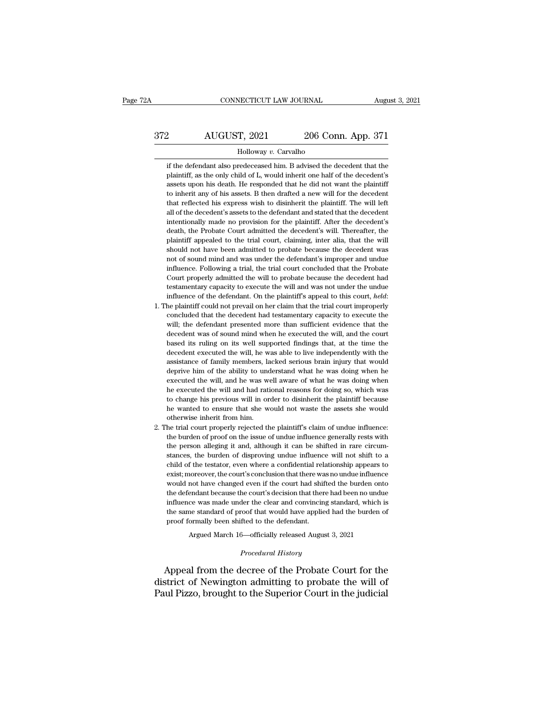# CONNECTICUT LAW JOURNAL August 3, 2021<br>372 AUGUST, 2021 206 Conn. App. 371<br>Holloway v. Carvalho

### Holloway *v.* Carvalho

2 AUGUST, 2021 206 Conn. App. 371<br>
Holloway v. Carvalho<br>
if the defendant also predeceased him. B advised the decedent that the<br>
plaintiff, as the only child of L, would inherit one half of the decedent's 206 Conn. App. 371<br>
Holloway v. Carvalho<br>
if the defendant also predeceased him. B advised the decedent that the<br>
plaintiff, as the only child of L, would inherit one half of the decedent's<br>
assets upon his death. He respo 208 Conn. App. 371<br>Holloway v. Carvalho<br>if the defendant also predeceased him. B advised the decedent that the<br>plaintiff, as the only child of L, would inherit one half of the decedent's<br>assets upon his death. He responded Holloway v. Carvalho<br>if the defendant also predeceased him. B advised the decedent that the<br>plaintiff, as the only child of L, would inherit one half of the decedent's<br>assets upon his death. He responded that he did not wa Holloway v. Carvalho<br>if the defendant also predeceased him. B advised the decedent that the<br>plaintiff, as the only child of L, would inherit one half of the decedent's<br>assets upon his death. He responded that he did not wa if the defendant also predeceased him. B advised the decedent that the plaintiff, as the only child of L, would inherit one half of the decedent's assets upon his death. He responded that he did not want the plaintiff to i matriff, as the only child of L, would inherit one half of the decedent's assets upon his death. He responded that he did not want the plaintiff to inherit any of his assets. B then drafted a new will for the decedent tha paramided that he responded that he did not want the plaintiff to inherit any of his assets. B then drafted a new will for the decedent that reflected his express wish to disinherit the plaintiff. The will left all of the to inherit any of his assets. B then drafted a new will for the decedent that reflected his express wish to disinherit the plaintiff. The will left all of the decedent's assets to the defendant and stated that the decedent that reflected his express wish to disinherit the plaintiff. The will left all of the decedent's assets to the defendant and stated that the decedent intentionally made no provision for the plaintiff. After the decedent's all of the decedent's assets to the defendant and stated that the decedent intentionally made no provision for the plaintiff. After the decedent's death, the Probate Court admitted the decedent's will. Thereafter, the plai intentionally made no provision for the plaintiff. After the decedent's death, the Probate Court admitted the decedent's will. Thereafter, the plaintiff appealed to the trial court, claiming, inter alia, that the will shou death, the Probate Court admitted the decedent's will. Thereafter, the plaintiff appealed to the trial court, claiming, inter alia, that the will should not have been admitted to probate because the decedent was not of sou plaintiff appealed to the trial court, claiming, inter alia, that the will should not have been admitted to probate because the decedent was not of sound mind and was under the defendant's improper and undue influence. Fol Frame of the defendant of the defendant's improper and undue influence. Following a trial, the trial court concluded that the Probate Court properly admitted the will to probate because the decedent had testamentary capaci influence. Following a trial, the trial court concluded that the Probate Court properly admitted the will to probate because the decedent had testamentary capacity to execute the will and was not under the undue influence

- Court properly admitted the will to probate because the decedent had testamentary capacity to execute the will and was not under the undue influence of the defendant. On the plaintiff's appeal to this court, *held*: the pl Court properly admitted the will to probate because the decedent had testamentary capacity to execute the will and was not under the undue influence of the defendant. On the plaintiff's appeal to this court, *held*: 1. Th influence of the defendant. On the plaintiff's appeal to this court, *held*:<br>he plaintiff could not prevail on her claim that the trial court improperly<br>concluded that the decedent had testamentary capacity to execute the<br> he plaintiff could not prevail on her claim that the trial court improperly concluded that the decedent had testamentary capacity to execute the will; the defendant presented more than sufficient evidence that the decedent concluded that the decedent had testamentary capacity to execute the will; the defendant presented more than sufficient evidence that the decedent was of sound mind when he executed the will, and the court based its ruling will; the defendant presented more than sufficient evidence that the decedent was of sound mind when he executed the will, and the court based its ruling on its well supported findings that, at the time the decedent execut decedent was of sound mind when he executed the will, and the court<br>decedent was of sound mind when he executed the will, and the court<br>based its ruling on its well supported findings that, at the time the<br>decedent execute based its ruling on its well supported findings that, at the time the decedent executed the will, he was able to live independently with the assistance of family members, lacked serious brain injury that would deprive him decedent executed the will, he was able to live independently with the assistance of family members, lacked serious brain injury that would deprive him of the ability to understand what he was doing when he executed the wi assistance of family members, lacked serious brain injury that would deprive him of the ability to understand what he was doing when he executed the will, and he was well aware of what he was doing when he executed the wil assistance of family members, lacked serious brain injury that would<br>deprive him of the ability to understand what he was doing when he<br>executed the will, and he was well aware of what he was doing when<br>he executed the wil executed the will, and he was well aware of what he was doing when<br>he executed the will and had rational reasons for doing so, which was<br>to change his previous will in order to disinherit the plaintiff because<br>he wanted to the executed the will and had rational reasons for doing so, which was to change his previous will in order to disinherit the plaintiff because he wanted to ensure that she would not waste the assets she would otherwise in
- 2. The trial court properly rejected the plaintiff's claim of undue influence:<br>the burden of proof on the issue of undue influence generally rests with<br>the person alleging it and, although it can be shifted in rare circumhe wanted to ensure that she would not waste the assets she would otherwise inherit from him.<br>he trial court properly rejected the plaintiff's claim of undue influence:<br>the burden of proof on the issue of undue influence g otherwise inherit from him.<br>the trial court properly rejected the plaintiff's claim of undue influence:<br>the burden of proof on the issue of undue influence generally rests with<br>the person alleging it and, although it can b he trial court properly rejected the plaintiff's claim of undue influence:<br>the burden of proof on the issue of undue influence generally rests with<br>the person alleging it and, although it can be shifted in rare circum-<br>sta We have burden of proof on the issue of undue influence generally rests with<br>the burden of proof on the issue of undue influence generally rests with<br>the person alleging it and, although it can be shifted in rare circum-<br>s the person alleging it and, although it can be shifted in rare circum-<br>stances, the burden of disproving undue influence will not shift to a<br>child of the testator, even where a confidential relationship appears to<br>exist; m stances, the burden of disproving undue influence will not shift to a child of the testator, even where a confidential relationship appears to exist; moreover, the court's conclusion that there was no undue influence would child of the testator, even where a confidential relationship appears to exist; moreover, the court's conclusion that there was no undue influence would not have changed even if the court had shifted the burden onto the de exist; moreover, the court's conclusion that there was no undue influence<br>would not have changed even if the court had shifted the burden onto<br>the defendant because the court's decision that there had been no undue<br>influen not have changed even if the court had shifted the burden ontendant because the court's decision that there had been no unduce was made under the clear and convincing standard, which is<br>ne standard of proof that would have influence was made under the clear and convincing standard, which is<br>the same standard of proof that would have applied had the burden of<br>proof formally been shifted to the defendant.<br>Argued March 16—officially released Au

Argued March 16—officially released August 3, 2021<br>*Procedural History*<br>Appeal from the decree of the Probate Court for the the same standard of proof that would have applied had the burden of<br>proof formally been shifted to the defendant.<br>Argued March 16—officially released August 3, 2021<br>*Procedural History*<br>Appeal from the decree of the Proba proof formally been shifted to the defendant.<br>
Argued March 16—officially released August 3, 2021<br>
Procedural History<br>
Appeal from the decree of the Probate Court for the<br>
district of Newington admitting to probate the wil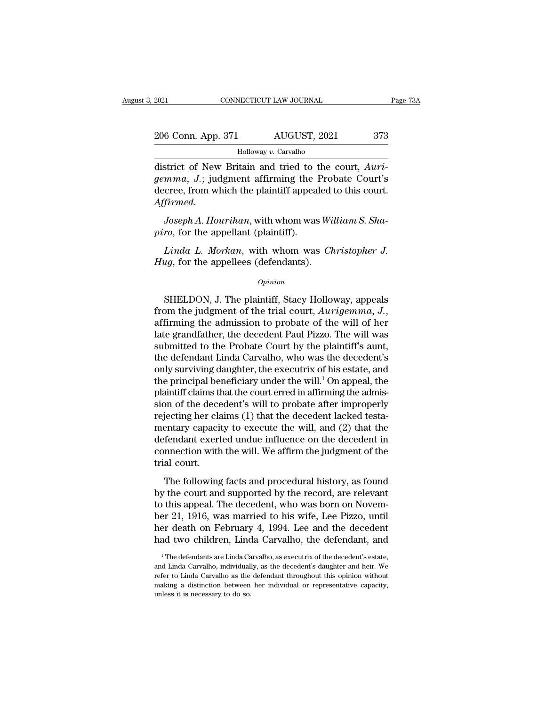| 2021               | CONNECTICUT LAW JOURNAL | Page 73A |
|--------------------|-------------------------|----------|
| 206 Conn. App. 371 | AUGUST, 2021            | 373      |
|                    | Holloway v. Carvalho    |          |

CONNECTICUT LAW JOURNAL<br>
2006 Conn. App. 371 AUGUST, 2021 373<br>
Holloway v. Carvalho<br>
district of New Britain and tried to the court, *Auri-*<br> *gemma, J.*; judgment affirming the Probate Court's<br>
docree from which the plain *gemma, J.*; judgment affirming the Probate Court, Auriancese, from which the plaintiff appealed to this court. 206 Conn. App. 371 AUGUST, 2021 373<br>
Holloway v. Carvalho<br>
district of New Britain and tried to the court, Aurigemma, J.; judgment affirming the Probate Court's<br>
decree, from which the plaintiff appealed to this court.<br>
A *Affirmed. Holloway v. Carvalho*<br> *Affirmed. J.*; judgment affirming the Probate Court's<br> *Affirmed. Joseph A. Hourihan*, with whom was *William S. Sha-*<br> *Pirmed. Joseph A. Hourihan*, with whom was *William S. Sh district of New Britain and tried to t gemma, J.*; judgment affirming the l<br>decree, from which the plaintiff appeal<br>*Affirmed.*<br>*Joseph A. Hourihan*, with whom was<br>*piro*, for the appellant (plaintiff).<br>*Linda L. Morkan mma, J.*; judgment affirming the Probate Court's<br>cree, from which the plaintiff appealed to this court.<br>*Joseph A. Hourihan*, with whom was *William S. Sha-*<br>ro, for the appellant (plaintiff).<br>*Linda L. Morkan*, with whom

decree, from which the plaintiff appealed<br>*Affirmed.*<br>*Joseph A. Hourihan*, with whom was Wi<br>*piro*, for the appellant (plaintiff).<br>*Linda L. Morkan*, with whom was *Ch*<br>*Hug*, for the appellees (defendants).<br>*Opinion* 

### *Opinion*

ro, for the appellant (plaintiff).<br>
Linda L. Morkan, with whom was Christopher J.<br>
ug, for the appellees (defendants).<br>
Opinion<br>
SHELDON, J. The plaintiff, Stacy Holloway, appeals<br>
om the judgment of the trial court, Aurig *Linda L. Morkan*, with whom was *Christopher J.*<br>*Hug*, for the appellees (defendants).<br>*Opinion*<br>SHELDON, J. The plaintiff, Stacy Holloway, appeals<br>from the judgment of the trial court, *Aurigemma*, J.,<br>affirming the adm *Opinion*<br> *Opinion*<br>
SHELDON, J. The plaintiff, Stacy Holloway, appeals<br>
from the judgment of the trial court, *Aurigemma*, *J.*,<br>
affirming the admission to probate of the will of her<br>
late grandfather, the decedent Pau  $\alpha$ <br>SHELDON, J. The plaintiff, Stacy Holloway, appeals<br>from the judgment of the trial court,  $Aurigemma, J$ ,<br>affirming the admission to probate of the will of her<br>late grandfather, the decedent Paul Pizzo. The will was<br>submitt SHELDON, J. The plaintiff, Stacy Holloway, appeals<br>from the judgment of the trial court,  $Aurigermana$ , J.,<br>affirming the admission to probate of the will of her<br>late grandfather, the decedent Paul Pizzo. The will was<br>submitted SHELDON, J. The plaintiff, Stacy Holloway, appeals<br>from the judgment of the trial court,  $Aurigemma$ , J.,<br>affirming the admission to probate of the will of her<br>late grandfather, the decedent Paul Pizzo. The will was<br>submitted from the judgment of the trial court,  $Aurigemma$ ,  $J$ .,<br>affirming the admission to probate of the will of her<br>late grandfather, the decedent Paul Pizzo. The will was<br>submitted to the Probate Court by the plaintiff's aunt,<br>th affirming the admission to probate of the will of her<br>late grandfather, the decedent Paul Pizzo. The will was<br>submitted to the Probate Court by the plaintiff's aunt,<br>the defendant Linda Carvalho, who was the decedent's<br>onl late grandfather, the decedent Paul Pizzo. The will was<br>submitted to the Probate Court by the plaintiff's aunt,<br>the defendant Linda Carvalho, who was the decedent's<br>only surviving daughter, the executrix of his estate, and submitted to the Probate Court by the plaintiff's aunt,<br>the defendant Linda Carvalho, who was the decedent's<br>only surviving daughter, the executrix of his estate, and<br>the principal beneficiary under the will.<sup>1</sup> On appeal, the defendant Linda Carvalho, who was the decedent's<br>only surviving daughter, the executrix of his estate, and<br>the principal beneficiary under the will.<sup>1</sup> On appeal, the<br>plaintiff claims that the court erred in affirming only surviving daughter, the executrix of his estate, and<br>the principal beneficiary under the will.<sup>1</sup> On appeal, the<br>plaintiff claims that the court erred in affirming the admis-<br>sion of the decedent's will to probate aft the principal beneficiary under the will.<sup>1</sup> On appeal, the plaintiff claims that the court erred in affirming the admission of the decedent's will to probate after improperly rejecting her claims (1) that the decedent la plaintiff claims the<br>sion of the dece<br>rejecting her cla<br>mentary capacit<br>defendant exert<br>connection with<br>trial court.<br>The following The following facts and procedural history, as found the court and supported the will, and (2) that the fendant exerted undue influence on the decedent in nection with the will. We affirm the judgment of the al court.<br>The by the court and supported by the court and (2) that the defendant exerted undue influence on the decedent in connection with the will. We affirm the judgment of the trial court.<br>The following facts and procedural history,

defendant exerted undue influence on the decedent in<br>connection with the will. We affirm the judgment of the<br>trial court.<br>The following facts and procedural history, as found<br>by the court and supported by the record, are between the will. We affirm the judgment of the<br>trial court.<br>The following facts and procedural history, as found<br>by the court and supported by the record, are relevant<br>to this appeal. The decedent, who was born on Novem-<br> Frial court.<br>The following facts and procedural history, as found<br>by the court and supported by the record, are relevant<br>to this appeal. The decedent, who was born on Novem-<br>ber 21, 1916, was married to his wife, Lee Pizzo The following facts and procedural history, as found<br>by the court and supported by the record, are relevant<br>to this appeal. The decedent, who was born on Novem-<br>ber 21, 1916, was married to his wife, Lee Pizzo, until<br>her 1 The defendants are Linda Carvalho, as executrix of the decedent's estate,<br><sup>1</sup> The defendants are Linda Carvalho, the defendant, and<br><sup>1</sup> The defendants are Linda Carvalho, as executrix of the decedent's estate,<br><sup>1</sup> The de ber 21, 1916, was married to his wife, Lee Pizzo, until<br>her death on February 4, 1994. Lee and the decedent<br>had two children, Linda Carvalho, the defendant, and<br><sup>1</sup>The defendants are Linda Carvalho, as executrix of the dec

her death on February 4, 1994. Lee and the decedent<br>had two children, Linda Carvalho, the defendant, and<br><sup>1</sup>The defendants are Linda Carvalho, as executrix of the decedent's estate,<br>and Linda Carvalho, individually, as the making a distinction between her individual of the defendant, and  $\frac{1}{1}$  The defendants are Linda Carvalho, as executrix of the decedent's estate, and Linda Carvalho, individually, as the decedent's daughter and heir.  $^1$  The defendants are Linda Carvalho, as executrix of the decedent's estate, and Linda Carvalho, individually, as the decedent's daughter and heir. We refer to Linda Carvalho as the defendant throughout this opinion wit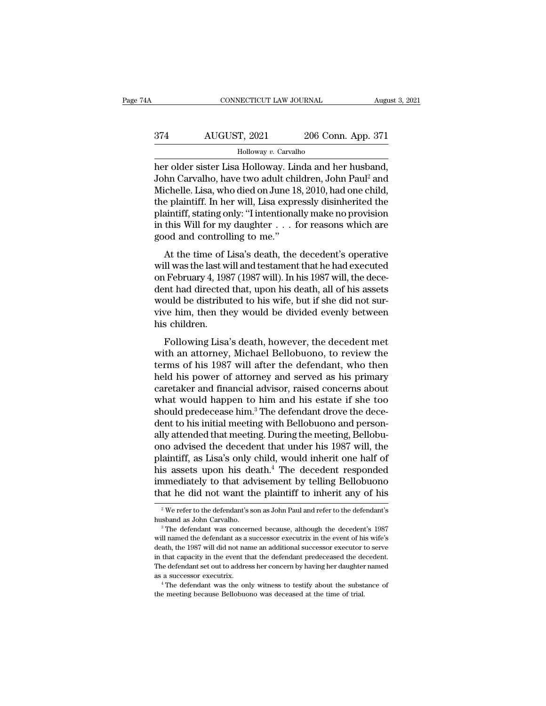# CONNECTICUT LAW JOURNAL August 3, 2021<br>374 AUGUST, 2021 206 Conn. App. 371<br>Holloway v. Carvalho

### Holloway *v.* Carvalho

CONNECTICUT LAW JOURNAL August 3, 2<br>
Holloway v. Carvalho<br>
Holloway v. Carvalho<br>
her older sister Lisa Holloway. Linda and her husband,<br>
John Carvalho, have two adult children, John Paul<sup>2</sup> and<br>
Michelle Lisa who died on J 374 AUGUST, 2021 206 Conn. App. 371<br>Holloway v. Carvalho<br>her older sister Lisa Holloway. Linda and her husband,<br>John Carvalho, have two adult children, John Paul<sup>2</sup> and<br>Michelle. Lisa, who died on June 18, 2010, had one ch MICHELLER 2021 206 Conn. App. 371<br>Holloway v. Carvalho<br>her older sister Lisa Holloway. Linda and her husband,<br>John Carvalho, have two adult children, John Paul<sup>2</sup> and<br>Michelle. Lisa, who died on June 18, 2010, had one chil AUGUST, 2021 206 Conn. App. 371<br>
Holloway v. Carvalho<br>
her older sister Lisa Holloway. Linda and her husband,<br>
John Carvalho, have two adult children, John Paul<sup>2</sup> and<br>
Michelle. Lisa, who died on June 18, 2010, had one ch Holloway v. Carvalho<br>
her older sister Lisa Holloway. Linda and her husband,<br>
John Carvalho, have two adult children, John Paul<sup>2</sup> and<br>
Michelle. Lisa, who died on June 18, 2010, had one child,<br>
the plaintiff. In her will, Holloway v. Carvalho<br>her older sister Lisa Holloway. Linda and her husband,<br>John Carvalho, have two adult children, John Paul<sup>2</sup> and<br>Michelle. Lisa, who died on June 18, 2010, had one child,<br>the plaintiff. In her will, Lis her older sister Lisa Holloway. Lir<br>John Carvalho, have two adult chi<br>Michelle. Lisa, who died on June 18<br>the plaintiff. In her will, Lisa expre<br>plaintiff, stating only: "I intentiona<br>in this Will for my daughter . . . f<br>g At the time of Lisa's death, the decedent's operative plaintiff, stating only: "I intentionally make no provision<br>this Will for my daughter  $\dots$  for reasons which are<br>od and controlling to me."<br>At the time of Lisa's death whenche. Essa, who died on sulte 10, 2010, had one effine,<br>the plaintiff. In her will, Lisa expressly disinherited the<br>plaintiff, stating only: "I intentionally make no provision<br>in this Will for my daughter . . . for rea

one plaintiff, stating only: "I intentionally make no provision<br>in this Will for my daughter . . . for reasons which are<br>good and controlling to me."<br>At the time of Lisa's death, the decedent's operative<br>will was the last plantin, stating only. Thitehtronally hade to provision<br>in this Will for my daughter  $\ldots$  for reasons which are<br>good and controlling to me."<br>At the time of Lisa's death, the decedent's operative<br>will was the last will an m ans wiff for high diagnost of the distributed to high the distributed on February 4, 1987 (1987 will). In his 1987 will, the decedent had directed that, upon his death, all of his assets would be distributed to his wife, At the time of Lisa's death, the decedent's operative<br>will was the last will and testament that he had executed<br>on February 4, 1987 (1987 will). In his 1987 will, the dece-<br>dent had directed that, upon his death, all of hi At the time of I<br>will was the last w<br>on February 4, 198<br>dent had directed<br>would be distribu<br>vive him, then the<br>his children.<br>Following Lisa If was are fast win and testament that he had executed<br>If February 4, 1987 (1987 will). In his 1987 will, the dece-<br>nt had directed that, upon his death, all of his assets<br>buld be distributed to his wife, but if she did no on restaary i, not (1607 wm). It has noon wm, the december of the distributed to his wife, but if she did not survive him, then they would be divided evenly between his children.<br>Following Lisa's death, however, the decede

term had anceted that, upon his death, an of his assets<br>would be distributed to his wife, but if she did not sur-<br>vive him, then they would be divided evenly between<br>his children.<br>Following Lisa's death, however, the deced would be distributed to his whet, but if site that hot survive him, then they would be divided evenly between<br>his children.<br>Following Lisa's death, however, the decedent met<br>with an attorney, Michael Bellobuono, to review Following Lisa's death, however, the decedent met<br>with an attorney, Michael Bellobuono, to review the<br>terms of his 1987 will after the defendant, who then<br>held his power of attorney and served as his primary<br>caretaker and Following Lisa's death, however, the decedent met<br>with an attorney, Michael Bellobuono, to review the<br>terms of his 1987 will after the defendant, who then<br>held his power of attorney and served as his primary<br>caretaker and Following Lisa's death, however, the decedent met<br>with an attorney, Michael Bellobuono, to review the<br>terms of his 1987 will after the defendant, who then<br>held his power of attorney and served as his primary<br>caretaker and with an attorney, Michael Bellobuono, to review the<br>terms of his 1987 will after the defendant, who then<br>held his power of attorney and served as his primary<br>caretaker and financial advisor, raised concerns about<br>what woul terms of his 1987 will after the defendant, who then<br>held his power of attorney and served as his primary<br>caretaker and financial advisor, raised concerns about<br>what would happen to him and his estate if she too<br>should pre held his power of attorney and served as his primary<br>caretaker and financial advisor, raised concerns about<br>what would happen to him and his estate if she too<br>should predecease him.<sup>3</sup> The defendant drove the dece-<br>dent to caretaker and financial advisor, raised concerns about<br>what would happen to him and his estate if she too<br>should predecease him.<sup>3</sup> The defendant drove the dece-<br>dent to his initial meeting with Bellobuono and person-<br>ally what would happen to him and his estate if she too<br>should predecease him.<sup>3</sup> The defendant drove the dece-<br>dent to his initial meeting with Bellobuono and person-<br>ally attended that meeting. During the meeting, Bellobu-<br>on should predecease him.<sup>3</sup> The defendant drove the decedent to his initial meeting with Bellobuono and personally attended that meeting. During the meeting, Bellobuono advised the decedent that under his 1987 will, the plai dent to his initial meeting with Bellobuono and person-<br>ally attended that meeting. During the meeting, Bellobu-<br>ono advised the decedent that under his 1987 will, the<br>plaintiff, as Lisa's only child, would inherit one hal plaintiff, as Lisa's only child, would inherit one half of<br>his assets upon his death.<sup>4</sup> The decedent responded<br>immediately to that advisement by telling Bellobuono<br>that he did not want the plaintiff to inherit any of his his assets upon his death.<sup>4</sup> The decedent responded<br>immediately to that advisement by telling Bellobuono<br>that he did not want the plaintiff to inherit any of his<br> $\frac{2}{\pi}$  We refer to the defendant's son as John Paul an

that he did not want the plaintiff to inherit any of his  $\frac{1}{2}$  We refer to the defendant's son as John Paul and refer to the defendant's husband as John Carvalho.<br>
<sup>3</sup> The defendant was concerned because, although the <sup>2</sup> We refer to the defendant's son as John Paul and refer to the defendant's<br>husband as John Carvalho.<br><sup>3</sup> The defendant was concerned because, although the decedent's 1987<br>will named the defendant as a successor executri  $^3$  The defendant was concerned because, although the decedent's 1987 will named the defendant as a successor executrix in the event of his wife's death, the 1987 will did not name an additional successor executor to ser The defendant set out to address her concerned because, although the decedent's 1987 will named the defendant as a successor executrix in the event of his wife's death, the 1987 will did not name an additional successor ex as a successor executrix. At the defendant was concerned because, although the decedent's 1987 will named the defendant as a successor executrix in the event of his wife's death, the 1987 will did not name an additional s death, the 1987 will did not name an additional successor executor to serve<br>in that capacity in the event that the defendant predeceased the decedent.<br>The defendant set out to address her concern by having her daughter nam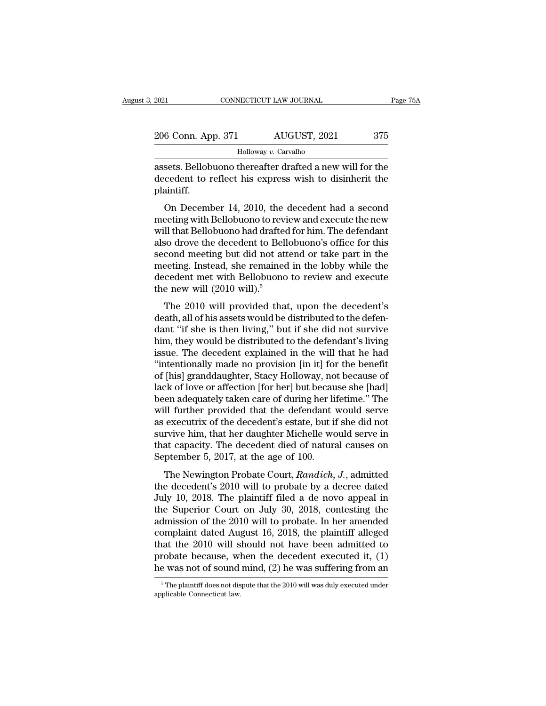| 2021               | CONNECTICUT LAW JOURNAL | Page 75A |
|--------------------|-------------------------|----------|
| 206 Conn. App. 371 | AUGUST, 2021            | 375      |
|                    | Holloway v. Carvalho    |          |

EXECUTE 2021 CONNECTICUT LAW JOURNAL Page 75A<br>
206 Conn. App. 371 AUGUST, 2021 375<br>
Holloway v. Carvalho<br>
assets. Bellobuono thereafter drafted a new will for the<br>
decedent to reflect his express wish to disinherit the 206 Conn. App. 371 AUGUST, 2021 375<br>Holloway v. Carvalho<br>assets. Bellobuono thereafter drafted a new will for the<br>decedent to reflect his express wish to disinherit the<br>plaintiff. plaintiff.  $\begin{array}{r} \text{6 Conn. App. 371} \qquad \text{AUGUST, 2021} \qquad \text{375} \ \text{Holloway } v. \text{ Carvalho} \ \text{sets.} \text{ Bellobuono thereafter drafted a new will for the} \ \text{cedent to reflect his express wish to disinherit the} \ \text{anntiff.} \end{array}$ <br>On December 14, 2010, the decedent had a secondenting with Bellobuono to review and execute the new

Holloway v. Carvalho<br>
assets. Bellobuono thereafter drafted a new will for the<br>
decedent to reflect his express wish to disinherit the<br>
plaintiff.<br>
On December 14, 2010, the decedent had a second<br>
meeting with Bellobuono t assets. Bellobuono thereafter drafted a new will for the<br>decedent to reflect his express wish to disinherit the<br>plaintiff.<br>On December 14, 2010, the decedent had a second<br>meeting with Bellobuono to review and execute the n assets. Behoudono thereater tranted a new win for the decedent to reflect his express wish to disinherit the plaintiff.<br>On December 14, 2010, the decedent had a second meeting with Bellobuono to review and execute the new plaintiff.<br>
On December 14, 2010, the decedent had a second<br>
meeting with Bellobuono to review and execute the new<br>
will that Bellobuono had drafted for him. The defendant<br>
also drove the decedent to Bellobuono's office fo On December 14, 2010, the decedent had a second<br>meeting with Bellobuono to review and execute the new<br>will that Bellobuono had drafted for him. The defendant<br>also drove the decedent to Bellobuono's office for this<br>second On December 14, 2010, the decedent had a second<br>meeting with Bellobuono to review and execute the new<br>will that Bellobuono had drafted for him. The defendant<br>also drove the decedent to Bellobuono's office for this<br>second meeting with Bellobuono to revi<br>will that Bellobuono had drafted<br>also drove the decedent to Bell<br>second meeting but did not att<br>meeting. Instead, she remained<br>decedent met with Bellobuono<br>the new will (2010 will).<sup>5</sup><br>The 2 In that Behobaono had drahed for hint. The detendant<br>so drove the decedent to Bellobuono's office for this<br>cond meeting. Instead, she remained in the lobby while the<br>cedent met with Bellobuono to review and execute<br>e new w also drove the decedent to behobtorio's office for this<br>second meeting. Instead, she remained in the lobby while the<br>decedent met with Bellobuono to review and execute<br>the new will (2010 will).<sup>5</sup><br>The 2010 will provided th

second inceting but did not attend of take part in the<br>meeting. Instead, she remained in the lobby while the<br>decedent met with Bellobuono to review and execute<br>the new will (2010 will).<sup>5</sup><br>The 2010 will provided that, upon meeting. Instead, she remained in the loopy wille the<br>decedent met with Bellobuono to review and execute<br>the new will (2010 will).<sup>5</sup><br>The 2010 will provided that, upon the decedent's<br>death, all of his assets would be distr the new will (2010 will).<sup>5</sup><br>The 2010 will provided that, upon the decedent's<br>death, all of his assets would be distributed to the defen-<br>dant "if she is then living," but if she did not survive<br>him, they would be distribu The 2010 will provided that, upon the decedent's<br>death, all of his assets would be distributed to the defen-<br>dant "if she is then living," but if she did not survive<br>him, they would be distributed to the defendant's living The 2010 will provided that, upon the decedent's<br>death, all of his assets would be distributed to the defen-<br>dant "if she is then living," but if she did not survive<br>him, they would be distributed to the defendant's living death, all of his assets would be distributed to the defendant "if she is then living," but if she did not survive<br>him, they would be distributed to the defendant's living<br>issue. The decedent explained in the will that he dant "if she is then living," but if she did not survive<br>him, they would be distributed to the defendant's living<br>issue. The decedent explained in the will that he had<br>"intentionally made no provision [in it] for the benef him, they would be distributed to the defendant's living<br>issue. The decedent explained in the will that he had<br>"intentionally made no provision [in it] for the benefit<br>of [his] granddaughter, Stacy Holloway, not because of issue. The decedent explained in the will that he had<br>"intentionally made no provision [in it] for the benefit<br>of [his] granddaughter, Stacy Holloway, not because of<br>lack of love or affection [for her] but because she [had "intentionally made no provision [in it] for the benefit<br>of [his] granddaughter, Stacy Holloway, not because of<br>lack of love or affection [for her] but because she [had]<br>been adequately taken care of during her lifetime." of [his] granddaughter, Stacy Holloway, not because of<br>lack of love or affection [for her] but because she [had]<br>been adequately taken care of during her lifetime." The<br>will further provided that the defendant would serve<br> lack of love or affection [for her] but becau<br>been adequately taken care of during her li<br>will further provided that the defendant<br>vas executrix of the decedent's estate, but if<br>survive him, that her daughter Michelle wo<br>t If further provided that the defendant would serve<br>executrix of the decedent's estate, but if she did not<br>rvive him, that her daughter Michelle would serve in<br>at capacity. The decedent died of natural causes on<br>ptember 5, as executrix of the decedent's estate, but if she did not<br>survive him, that her daughter Michelle would serve in<br>that capacity. The decedent died of natural causes on<br>September 5, 2017, at the age of 100.<br>The Newington Pr

survive him, that her daughter Michelle would serve in<br>that capacity. The decedent died of natural causes on<br>September 5, 2017, at the age of 100.<br>The Newington Probate Court, *Randich*, *J*., admitted<br>the decedent's 2010 that capacity. The decedent died of natural causes on<br>September 5, 2017, at the age of 100.<br>The Newington Probate Court, *Randich*, *J*., admitted<br>the decedent's 2010 will to probate by a decree dated<br>July 10, 2018. The p September 5, 2017, at the age of 100.<br>
The Newington Probate Court, *Randich*, *J*., admitted<br>
the decedent's 2010 will to probate by a decree dated<br>
July 10, 2018. The plaintiff filed a de novo appeal in<br>
the Superior Co The Newington Probate Court, Randich, J., admitted<br>the decedent's 2010 will to probate by a decree dated<br>July 10, 2018. The plaintiff filed a de novo appeal in<br>the Superior Court on July 30, 2018, contesting the<br>admission The Newington Probate Court, *Randich*, *J.*, admitted<br>the decedent's 2010 will to probate by a decree dated<br>July 10, 2018. The plaintiff filed a de novo appeal in<br>the Superior Court on July 30, 2018, contesting the<br>admis the decedent's 2010 will to probate by a decree dated July 10, 2018. The plaintiff filed a de novo appeal in the Superior Court on July 30, 2018, contesting the admission of the 2010 will to probate. In her amended compla July 10, 2018. The plaintiff filed a de novo appeal in<br>the Superior Court on July 30, 2018, contesting the<br>admission of the 2010 will to probate. In her amended<br>complaint dated August 16, 2018, the plaintiff alleged<br>that complaint dated August 16, 2018, the plaintiff alleged that the 2010 will should not have been admitted to probate because, when the decedent executed it, (1) he was not of sound mind, (2) he was suffering from an  $\frac{1}{\$ he was not of sound mind,  $(2)$  he was suffering from an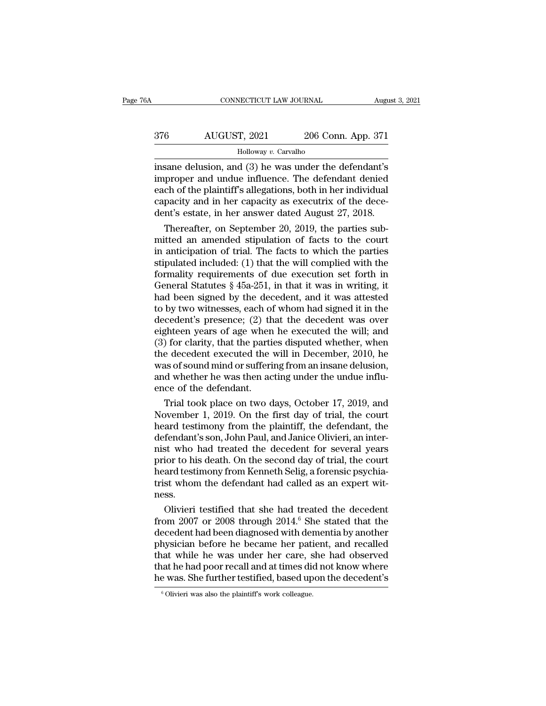| iΑ  | CONNECTICUT LAW JOURNAL |                    | August 3, 2021 |
|-----|-------------------------|--------------------|----------------|
| 376 | AUGUST, 2021            | 206 Conn. App. 371 |                |
|     | Holloway v. Carvalho    |                    |                |

CONNECTICUT LAW JOURNAL August 3, 2021<br>
376 AUGUST, 2021 206 Conn. App. 371<br>
Holloway v. Carvalho<br>
insane delusion, and (3) he was under the defendant's<br>
improper and undue influence. The defendant denied<br>
aach of the plai  $\frac{\text{AUGUST, 2021}}{\text{Holloway } v \cdot \text{Carvalho}}$ <br>
insane delusion, and (3) he was under the defendant's<br>
improper and undue influence. The defendant denied<br>
each of the plaintiff's allegations, both in her individual<br>
canacity and in h action and (3) a search of the plaintiff's allegations, both in her individual<br>distributions, and (3) a search in the defendant's<br>improper and undue influence. The defendant denied<br>each of the plaintiff's allegations, bot  $\frac{\text{AUGUST, 2021}}{\text{Holloway } v. \text{ Carvalho}}$ <br>
insane delusion, and (3) he was under the defendant's<br>
improper and undue influence. The defendant denied<br>
each of the plaintiff's allegations, both in her individual<br>
capacity and in he Holloway *v.* Carvalho<br>
insane delusion, and (3) he was under the defendant's<br>
improper and undue influence. The defendant denied<br>
each of the plaintiff's allegations, both in her individual<br>
capacity and in her capacity a  $\frac{1}{2}$  and  $\frac{1}{2}$  are  $\frac{1}{2}$  and  $\frac{1}{2}$  are  $\frac{1}{2}$  and  $\frac{1}{2}$  are  $\frac{1}{2}$  are  $\frac{1}{2}$  are  $\frac{1}{2}$  are  $\frac{1}{2}$  are  $\frac{1}{2}$  are  $\frac{1}{2}$  are  $\frac{1}{2}$  are  $\frac{1}{2}$  are  $\frac{1}{2}$  are  $\frac{1}{2}$  a msane delusion, and  $(3)$  he was under the defendant is<br>improper and undue influence. The defendant denied<br>each of the plaintiff's allegations, both in her individual<br>capacity and in her capacity as executrix of the dece-

improper and undue influence. The detendant denied<br>each of the plaintiff's allegations, both in her individual<br>capacity and in her capacity as executrix of the dece-<br>dent's estate, in her answer dated August 27, 2018.<br>Ther each of the plaintiff's allegations, both in her individual<br>capacity and in her capacity as executrix of the dece-<br>dent's estate, in her answer dated August 27, 2018.<br>Thereafter, on September 20, 2019, the parties sub-<br>mit capacity and in her capacity as executrix of the dece-<br>dent's estate, in her answer dated August 27, 2018.<br>Thereafter, on September 20, 2019, the parties sub-<br>mitted an amended stipulation of facts to the court<br>in anticip dent's estate, in her answer dated August 27, 2018.<br>
Thereafter, on September 20, 2019, the parties sub-<br>
mitted an amended stipulation of facts to the court<br>
in anticipation of trial. The facts to which the parties<br>
stip Thereafter, on September 20, 2019, the parties sub-<br>mitted an amended stipulation of facts to the court<br>in anticipation of trial. The facts to which the parties<br>stipulated included: (1) that the will complied with the<br>for mitted an amended stipulation of facts to the court<br>in anticipation of trial. The facts to which the parties<br>stipulated included: (1) that the will complied with the<br>formality requirements of due execution set forth in<br>Gen in anticipation of trial. The facts to which the parties<br>stipulated included: (1) that the will complied with the<br>formality requirements of due execution set forth in<br>General Statutes § 45a-251, in that it was in writing, stipulated included: (1) that the will complied with the<br>formality requirements of due execution set forth in<br>General Statutes § 45a-251, in that it was in writing, it<br>had been signed by the decedent, and it was attested<br> formality requirements of due execution set forth in<br>General Statutes § 45a-251, in that it was in writing, it<br>had been signed by the decedent, and it was attested<br>to by two witnesses, each of whom had signed it in the<br>de General Statutes § 45a-251, in that it was in writing, it<br>had been signed by the decedent, and it was attested<br>to by two witnesses, each of whom had signed it in the<br>decedent's presence; (2) that the decedent was over<br>eig had been signed by the decedent, and it was attested<br>to by two witnesses, each of whom had signed it in the<br>decedent's presence; (2) that the decedent was over<br>eighteen years of age when he executed the will; and<br>(3) for c to by two witnesses, each of whom had signed it in the decedent's presence; (2) that the decedent was over eighteen years of age when he executed the will; and (3) for clarity, that the parties disputed whether, when the d decedent's presence; (2) th<br>eighteen years of age when<br>(3) for clarity, that the parti<br>the decedent executed the<br>was of sound mind or sufferi<br>and whether he was then ac<br>ence of the defendant.<br>Trial took place on two d ghteen years of age when he executed the will; and<br>) for clarity, that the parties disputed whether, when<br>e decedent executed the will in December, 2010, he<br>as of sound mind or suffering from an insane delusion,<br>d whether (3) for clarity, that the parties disputed whether, when<br>the decedent executed the will in December, 2010, he<br>was of sound mind or suffering from an insane delusion,<br>and whether he was then acting under the undue influ-<br>e

the decedent executed the will in December, 2010, he<br>was of sound mind or suffering from an insane delusion,<br>and whether he was then acting under the undue influ-<br>ence of the defendant.<br>Trial took place on two days, Octobe was of sound mind or suffering from an insane delusion,<br>and whether he was then acting under the undue influ-<br>ence of the defendant.<br>Trial took place on two days, October 17, 2019, and<br>November 1, 2019. On the first day of and whether he was then acting under the undue influ-<br>ence of the defendant.<br>Trial took place on two days, October 17, 2019, and<br>November 1, 2019. On the first day of trial, the court<br>heard testimony from the plaintiff, th ence of the defendant.<br>
Trial took place on two days, October 17, 2019, and<br>
November 1, 2019. On the first day of trial, the court<br>
heard testimony from the plaintiff, the defendant, the<br>
defendant's son, John Paul, and J Trial took place on two days, October 17, 2019, and<br>November 1, 2019. On the first day of trial, the court<br>heard testimony from the plaintiff, the defendant, the<br>defendant's son, John Paul, and Janice Olivieri, an inter-<br>n November 1, 2019. On the first day of trial, the court<br>heard testimony from the plaintiff, the defendant, the<br>defendant's son, John Paul, and Janice Olivieri, an inter-<br>nist who had treated the decedent for several years<br>p ness. fendant's son, John Paul, and Janice Olivieri, an inter-<br>st who had treated the decedent for several years<br>ior to his death. On the second day of trial, the court<br>ard testimony from Kenneth Selig, a forensic psychia-<br>st wh mist who had treated the decedent for several years<br>prior to his death. On the second day of trial, the court<br>heard testimony from Kenneth Selig, a forensic psychia-<br>trist whom the defendant had called as an expert wit-<br>ne

prior to his death. On the second day of trial, the court<br>heard testimony from Kenneth Selig, a forensic psychia-<br>trist whom the defendant had called as an expert wit-<br>ness.<br>Olivieri testified that she had treated the dece heard testimony from Kenneth Selig, a forensic psychia-<br>trist whom the defendant had called as an expert wit-<br>ness.<br>Olivieri testified that she had treated the decedent<br>from 2007 or 2008 through 2014.<sup>6</sup> She stated that th trist whom the defendant had called as an expert wit-<br>ness.<br>Olivieri testified that she had treated the decedent<br>from 2007 or 2008 through 2014.<sup>6</sup> She stated that the<br>decedent had been diagnosed with dementia by another<br>p ness.<br>
Olivieri testified that she had treated the decedent<br>
from 2007 or 2008 through 2014.<sup>6</sup> She stated that the<br>
decedent had been diagnosed with dementia by another<br>
physician before he became her patient, and recalle Olivieri testified that she had treated the decedent<br>from 2007 or 2008 through 2014.<sup>6</sup> She stated that the<br>decedent had been diagnosed with dementia by another<br>physician before he became her patient, and recalled<br>that wh physician before he became her patient, and recalled<br>that while he was under her care, she had observed<br>that he had poor recall and at times did not know where<br>he was. She further testified, based upon the decedent's<br> $\frac{1$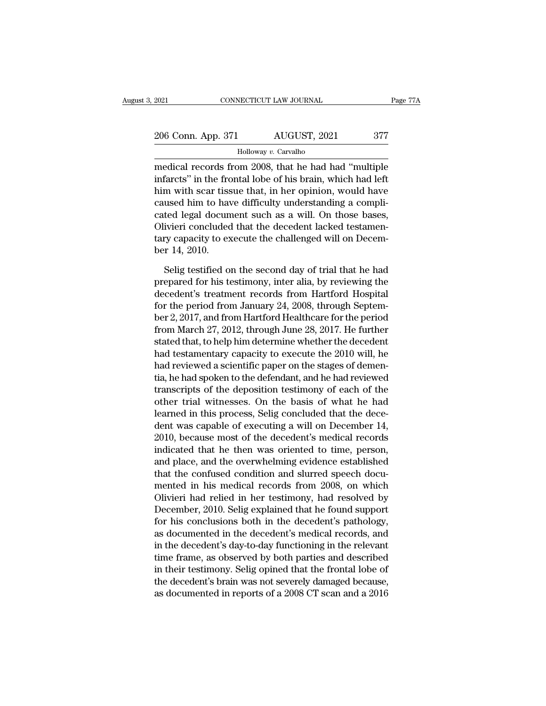| 2021               | CONNECTICUT LAW JOURNAL | Page 77A |
|--------------------|-------------------------|----------|
| 206 Conn. App. 371 | AUGUST, 2021            | 377      |
|                    | Holloway v. Carvalho    |          |

EXECUTE 2021 CONNECTICUT LAW JOURNAL Page 77A<br>
206 Conn. App. 371 AUGUST, 2021 377<br>
Holloway v. Carvalho<br>
medical records from 2008, that he had had "multiple<br>
infarcts" in the frontal lobe of his brain, which had left<br>
hi 206 Conn. App. 371 AUGUST, 2021 377<br>
Holloway v. Carvalho<br>
medical records from 2008, that he had had "multiple<br>
infarcts" in the frontal lobe of his brain, which had left<br>
him with scar tissue that, in her opinion, would  $\frac{206 \text{ Conn. App. 371}}{\text{Holloway } v. \text{ Carvalho}}$ <br>  $\frac{\text{Holloway } v. \text{ Carvalho}}{\text{medical records from } 2008, \text{ that he had had "multiple} } \text{infarcts" in the frontal lobe of his brain, which had left him with scar tissue that, in her opinion, would have caused him to have difficulty understanding a complicated local department such as a will. On those bases$ 206 Conn. App. 371 AUGUST, 2021 377<br>
Holloway v. Carvalho<br>
medical records from 2008, that he had had "multiple<br>
infarcts" in the frontal lobe of his brain, which had left<br>
him with scar tissue that, in her opinion, would Followay v. Carvalho<br>
medical records from 2008, that he had had "multiple<br>
infarcts" in the frontal lobe of his brain, which had left<br>
him with scar tissue that, in her opinion, would have<br>
caused him to have difficulty  $\frac{1}{2}$  moloway *v*. Cavanio<br>
medical records from 2008, that he had had "multiple<br>
infarcts" in the frontal lobe of his brain, which had left<br>
him with scar tissue that, in her opinion, would have<br>
caused him to have d medical records from 2008, that he had had "multiple<br>infarcts" in the frontal lobe of his brain, which had left<br>him with scar tissue that, in her opinion, would have<br>caused him to have difficulty understanding a compli-<br>ca infarcts" in the from<br>him with scar tiss<br>caused him to hav<br>cated legal docun<br>Olivieri concluded<br>tary capacity to ex<br>ber 14, 2010.<br>Selig testified o used him to have difficulty understanding a compli-<br>ted legal document such as a will. On those bases,<br>ivieri concluded that the decedent lacked testamen-<br>ry capacity to execute the challenged will on Decem-<br>r 14, 2010.<br>Se cated legal document such as a will. On those bases,<br>Olivieri concluded that the decedent lacked testamentary capacity to execute the challenged will on December 14, 2010.<br>Selig testified on the second day of trial that he

Olivieri concluded that the decedent lacked testamentary capacity to execute the challenged will on December 14, 2010.<br>Selig testified on the second day of trial that he had<br>prepared for his testimony, inter alia, by revie tary capacity to execute the challenged will on December 14, 2010.<br>
Selig testified on the second day of trial that he had<br>
prepared for his testimony, inter alia, by reviewing the<br>
decedent's treatment records from Hartf ber 14, 2010.<br>
Selig testified on the second day of trial that he had<br>
prepared for his testimony, inter alia, by reviewing the<br>
decedent's treatment records from Hartford Hospital<br>
for the period from January 24, 2008, th Selig testified on the second day of trial that he had<br>prepared for his testimony, inter alia, by reviewing the<br>decedent's treatment records from Hartford Hospital<br>for the period from January 24, 2008, through Septem-<br>ber Selig testified on the second day of trial that he had<br>prepared for his testimony, inter alia, by reviewing the<br>decedent's treatment records from Hartford Hospital<br>for the period from January 24, 2008, through Septem-<br>ber prepared for his testimony, inter alia, by reviewing the<br>decedent's treatment records from Hartford Hospital<br>for the period from January 24, 2008, through Septem-<br>ber 2, 2017, and from Hartford Healthcare for the period<br>fr decedent's treatment records from Hartford Hospital<br>for the period from January 24, 2008, through Septem-<br>ber 2, 2017, and from Hartford Healthcare for the period<br>from March 27, 2012, through June 28, 2017. He further<br>stat for the period from January 24, 2008, through Septem-<br>ber 2, 2017, and from Hartford Healthcare for the period<br>from March 27, 2012, through June 28, 2017. He further<br>stated that, to help him determine whether the decedent<br> ber 2, 2017, and from Hartford Healthcare for the period<br>from March 27, 2012, through June 28, 2017. He further<br>stated that, to help him determine whether the decedent<br>had testamentary capacity to execute the 2010 will, he from March 27, 2012, through June 28, 2017. He further<br>stated that, to help him determine whether the decedent<br>had testamentary capacity to execute the 2010 will, he<br>had reviewed a scientific paper on the stages of demenstated that, to help him determine whether the decedent<br>had testamentary capacity to execute the 2010 will, he<br>had reviewed a scientific paper on the stages of demen-<br>tia, he had spoken to the defendant, and he had reviewe had testamentary capacity to execute the 2010 will, he<br>had reviewed a scientific paper on the stages of demen-<br>tia, he had spoken to the defendant, and he had reviewed<br>transcripts of the deposition testimony of each of the had reviewed a scientific paper on the stages of dementia, he had spoken to the defendant, and he had reviewed<br>transcripts of the deposition testimony of each of the<br>other trial witnesses. On the basis of what he had<br>learn tia, he had spoken to the defendant, and he had reviewed<br>transcripts of the deposition testimony of each of the<br>other trial witnesses. On the basis of what he had<br>learned in this process, Selig concluded that the dece-<br>den transcripts of the deposition testimony of each of the<br>other trial witnesses. On the basis of what he had<br>learned in this process, Selig concluded that the dece-<br>dent was capable of executing a will on December 14,<br>2010, b other trial witnesses. On the basis of what he had<br>learned in this process, Selig concluded that the dece-<br>dent was capable of executing a will on December 14,<br>2010, because most of the decedent's medical records<br>indicated learned in this process, Selig concluded that the dece-<br>dent was capable of executing a will on December 14,<br>2010, because most of the decedent's medical records<br>indicated that he then was oriented to time, person,<br>and pla dent was capable of executing a will on December 14,<br>2010, because most of the decedent's medical records<br>indicated that he then was oriented to time, person,<br>and place, and the overwhelming evidence established<br>that the c 2010, because most of the decedent's medical records<br>indicated that he then was oriented to time, person,<br>and place, and the overwhelming evidence established<br>that the confused condition and slurred speech docu-<br>mented in indicated that he then was oriented to time, person,<br>and place, and the overwhelming evidence established<br>that the confused condition and slurred speech docu-<br>mented in his medical records from 2008, on which<br>Olivieri had and place, and the overwhelming evidence established<br>that the confused condition and slurred speech docu-<br>mented in his medical records from 2008, on which<br>Olivieri had relied in her testimony, had resolved by<br>December, 20 that the confused condition and slurred speech documented in his medical records from 2008, on which<br>Olivieri had relied in her testimony, had resolved by<br>December, 2010. Selig explained that he found support<br>for his concl mented in his medical records from 2008, on which<br>Olivieri had relied in her testimony, had resolved by<br>December, 2010. Selig explained that he found support<br>for his conclusions both in the decedent's pathology,<br>as documen Olivieri had relied in her testimony, had resolved by<br>December, 2010. Selig explained that he found support<br>for his conclusions both in the decedent's pathology,<br>as documented in the decedent's medical records, and<br>in the December, 2010. Selig explained that he found support<br>for his conclusions both in the decedent's pathology,<br>as documented in the decedent's medical records, and<br>in the decedent's day-to-day functioning in the relevant<br>time for his conclusions both in the decedent's pathology, as documented in the decedent's medical records, and in the decedent's day-to-day functioning in the relevant time frame, as observed by both parties and described in t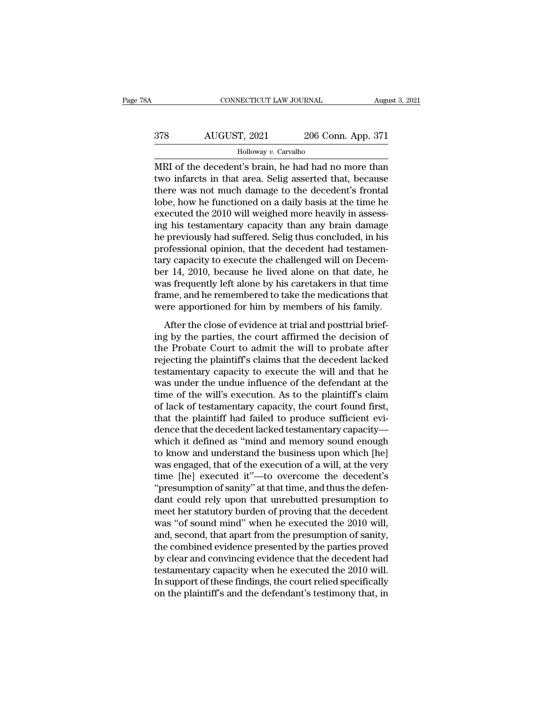## CONNECTICUT LAW JOURNAL August 3, 2021<br>378 AUGUST, 2021 206 Conn. App. 371<br>Holloway v. Carvalho Holloway *v.* Carvalho

CONNECTICUT LAW JOURNAL August 3, 2021<br>
MRI of the decedent's brain, he had had no more than<br>
two infarcts in that area. Selig asserted that, because<br>
there we not much demage to the decedent's frontal AUGUST, 2021 206 Conn. App. 371<br>
Holloway v. Carvalho<br>
MRI of the decedent's brain, he had had no more than<br>
two infarcts in that area. Selig asserted that, because<br>
there was not much damage to the decedent's frontal<br>
lob  $\frac{\text{AUGUST, 2021}}{\text{Holloway } v \cdot \text{Carvalho}}$ <br>  $\frac{\text{Holloway } v \cdot \text{Carvalho}}{\text{MRI of the decedent's brain, he had had no more than}}$ <br>
two infarcts in that area. Selig asserted that, because<br>
there was not much damage to the decedent's frontal<br>
lobe, how he functioned on a d  $\frac{\text{AUGUST, 2021}}{\text{Holloway } v \cdot \text{Carvalho}}$ <br>
MRI of the decedent's brain, he had had no more than<br>
two infarcts in that area. Selig asserted that, because<br>
there was not much damage to the decedent's frontal<br>
lobe, how he functio Followay v. Carvalho<br>
MRI of the decedent's brain, he had had no more than<br>
two infarcts in that area. Selig asserted that, because<br>
there was not much damage to the decedent's frontal<br>
lobe, how he functioned on a daily Holloway v. Carvalho<br>
IMRI of the decedent's brain, he had had no more than<br>
two infarcts in that area. Selig asserted that, because<br>
there was not much damage to the decedent's frontal<br>
lobe, how he functioned on a daily MRI of the decedent's brain, he had had no more than<br>two infarcts in that area. Selig asserted that, because<br>there was not much damage to the decedent's frontal<br>lobe, how he functioned on a daily basis at the time he<br>execu two infarcts in that area. Selig asserted that, because<br>there was not much damage to the decedent's frontal<br>lobe, how he functioned on a daily basis at the time he<br>executed the 2010 will weighed more heavily in assess-<br>ing there was not much damage to the decedent's frontal<br>lobe, how he functioned on a daily basis at the time he<br>executed the 2010 will weighed more heavily in assess-<br>ing his testamentary capacity than any brain damage<br>he prev lobe, how he functioned on a daily basis at the time he<br>executed the 2010 will weighed more heavily in assessing his testamentary capacity than any brain damage<br>he previously had suffered. Selig thus concluded, in his<br>prof executed the 2010 will weighed more heavily in assessing his testamentary capacity than any brain damage<br>he previously had suffered. Selig thus concluded, in his<br>professional opinion, that the decedent had testamen-<br>tary c ing his testamentary capacity than any brain damage<br>he previously had suffered. Selig thus concluded, in his<br>professional opinion, that the decedent had testamen-<br>tary capacity to execute the challenged will on Decem-<br>ber he previously had suffered. Selig thus concluded, in his professional opinion, that the decedent had testamentary capacity to execute the challenged will on December 14, 2010, because he lived alone on that date, he was fr between the close of evidence at trial and postment<br>and the control of the close of the close of the same single and the same single same and he remembered to take the medications that<br>time and he remembered to take the me the 14, 2010, because he lived alone on that date, he<br>was frequently left alone by his caretakers in that time<br>frame, and he remembered to take the medications that<br>were apportioned for him by members of his family.<br>After

bet T1, 2010, because he fived above of and date, he<br>was frequently left alone by his caretakers in that time<br>frame, and he remembered to take the medications that<br>were apportioned for him by members of his family.<br>After t requently feature by the calculated in that the<br>frame, and he remembered to take the medications that<br>were apportioned for him by members of his family.<br>After the close of evidence at trial and posttrial brief-<br>ing by the traine, and he remembered to take the medications and<br>were apportioned for him by members of his family.<br>After the close of evidence at trial and posttrial brief-<br>ing by the parties, the court affirmed the decision of<br>the After the close of evidence at trial and posttrial brief-<br>ing by the parties, the court affirmed the decision of<br>the Probate Court to admit the will to probate after<br>rejecting the plaintiff's claims that the decedent lacke After the close of evidence at trial and posttrial brief-<br>ing by the parties, the court affirmed the decision of<br>the Probate Court to admit the will to probate after<br>rejecting the plaintiff's claims that the decedent lacke ing by the parties, the court affirmed the decision of<br>the Probate Court to admit the will to probate after<br>rejecting the plaintiff's claims that the decedent lacked<br>testamentary capacity to execute the will and that he<br>wa the Probate Court to admit the will to probate after<br>rejecting the plaintiff's claims that the decedent lacked<br>testamentary capacity to execute the will and that he<br>was under the undue influence of the defendant at the<br>tim rejecting the plaintiff's claims that the decedent lacked<br>testamentary capacity to execute the will and that he<br>was under the undue influence of the defendant at the<br>time of the will's execution. As to the plaintiff's clai testamentary capacity to execute the will and that he<br>was under the undue influence of the defendant at the<br>time of the will's execution. As to the plaintiff's claim<br>of lack of testamentary capacity, the court found first, was under the undue influence of the defendant at the<br>time of the will's execution. As to the plaintiff's claim<br>of lack of testamentary capacity, the court found first,<br>that the plaintiff had failed to produce sufficient e time of the will's execution. As to the plaintiff's claim<br>of lack of testamentary capacity, the court found first,<br>that the plaintiff had failed to produce sufficient evi-<br>dence that the decedent lacked testamentary capaci of lack of testamentary capacity, the court found first,<br>that the plaintiff had failed to produce sufficient evi-<br>dence that the decedent lacked testamentary capacity—<br>which it defined as "mind and memory sound enough<br>to k that the plaintiff had failed to produce sufficient evidence that the decedent lacked testamentary capacity—<br>which it defined as "mind and memory sound enough<br>to know and understand the business upon which [he]<br>was engaged dence that the decedent lacked testamentary capacity—<br>which it defined as "mind and memory sound enough<br>to know and understand the business upon which [he]<br>was engaged, that of the execution of a will, at the very<br>time [he which it defined as "mind and memory sound enough<br>to know and understand the business upon which [he]<br>was engaged, that of the execution of a will, at the very<br>time [he] executed it"—to overcome the decedent's<br>"presumption to know and understand the business upon which [he]<br>was engaged, that of the execution of a will, at the very<br>time [he] executed it"—to overcome the decedent's<br>"presumption of sanity" at that time, and thus the defen-<br>dant was engaged, that of the execution of a will, at the very<br>time [he] executed it"—to overcome the decedent's<br>"presumption of sanity" at that time, and thus the defen-<br>dant could rely upon that unrebutted presumption to<br>meet time [he] executed it"—to overcome the decedent's<br>"presumption of sanity" at that time, and thus the defen-<br>dant could rely upon that unrebutted presumption to<br>meet her statutory burden of proving that the decedent<br>was "of "presumption of sanity" at that time, and thus the defendant could rely upon that unrebutted presumption to meet her statutory burden of proving that the decedent was "of sound mind" when he executed the  $2010$  will, and, dant could rely upon that unrebutted presumption to<br>meet her statutory burden of proving that the decedent<br>was "of sound mind" when he executed the 2010 will,<br>and, second, that apart from the presumption of sanity,<br>the com meet her statutory burden of proving that the decedent<br>was "of sound mind" when he executed the 2010 will,<br>and, second, that apart from the presumption of sanity,<br>the combined evidence presented by the parties proved<br>by cl was "of sound mind" when he executed the 2010 will, and, second, that apart from the presumption of sanity, the combined evidence presented by the parties proved by clear and convincing evidence that the decedent had testa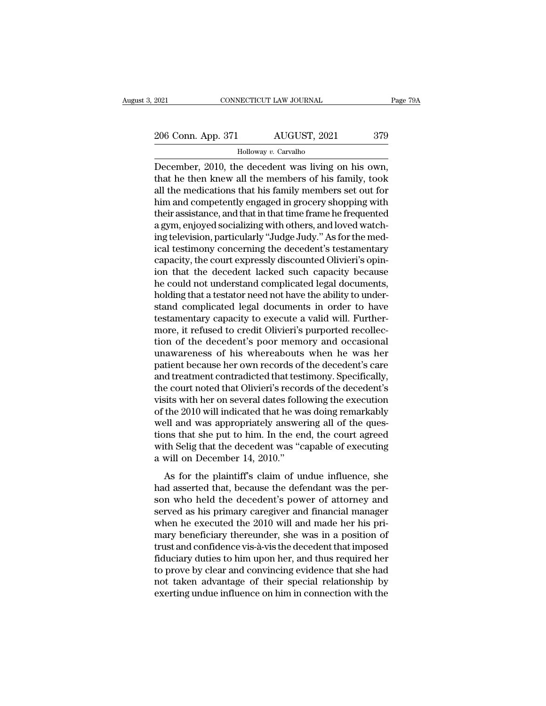2021 CONNECTICUT LAW JOURNAL Page 79A<br>
206 Conn. App. 371 AUGUST, 2021 379<br>
Holloway v. Carvalho

### Holloway *v.* Carvalho

CONNECTICUT LAW JOURNAL Page 7<br>
206 Conn. App. 371 AUGUST, 2021 379<br>
Holloway v. Carvalho<br>
December, 2010, the decedent was living on his own,<br>
that he then knew all the members of his family, took<br>
all the modications tha 206 Conn. App. 371 AUGUST, 2021 379<br>
Holloway v. Carvalho<br>
December, 2010, the decedent was living on his own,<br>
that he then knew all the members of his family, took<br>
all the medications that his family members set out for 206 Conn. App. 371 AUGUST, 2021 379<br>  $\frac{\text{Holloway } v.\text{ Carvalho}}{\text{December, 2010, the decedent was living on his own, that he then knew all the members of his family, took all the medications that his family members set out for him and competently engaged in grocery shopping with their escritance and that in that time frame be fragmented.}$ 206 Conn. App. 371 AUGUST, 2021 379<br>
Holloway v. Carvalho<br>
December, 2010, the decedent was living on his own,<br>
that he then knew all the members of his family, took<br>
all the medications that his family members set out fo Followay v. Carvalho<br>December, 2010, the decedent was living on his own,<br>that he then knew all the members of his family, took<br>all the medications that his family members set out for<br>him and competently engaged in grocery Holloway v. Carvalho<br>December, 2010, the decedent was living on his own,<br>that he then knew all the members of his family, took<br>all the medications that his family members set out for<br>him and competently engaged in grocery December, 2010, the decedent was living on his own,<br>that he then knew all the members of his family, took<br>all the medications that his family members set out for<br>him and competently engaged in grocery shopping with<br>their a that he then knew all the members of his family, took<br>all the medications that his family members set out for<br>him and competently engaged in grocery shopping with<br>their assistance, and that in that time frame he frequented all the medications that his family members set out for<br>him and competently engaged in grocery shopping with<br>their assistance, and that in that time frame he frequented<br>a gym, enjoyed socializing with others, and loved wat him and competently engaged in grocery shopping with<br>their assistance, and that in that time frame he frequented<br>a gym, enjoyed socializing with others, and loved watch-<br>ing television, particularly "Judge Judy." As for th their assistance, and that in that time frame he frequented<br>a gym, enjoyed socializing with others, and loved watch-<br>ing television, particularly "Judge Judy." As for the med-<br>ical testimony concerning the decedent's testa a gym, enjoyed socializing with others, and loved watching television, particularly "Judge Judy." As for the medical testimony concerning the decedent's testamentary capacity, the court expressly discounted Olivieri's opin ing television, particularly "Judge Judy." As for the medical testimony concerning the decedent's testamentary<br>capacity, the court expressly discounted Olivieri's opin-<br>ion that the decedent lacked such capacity because<br>he ical testimony concerning the decedent's testamentary<br>capacity, the court expressly discounted Olivieri's opin-<br>ion that the decedent lacked such capacity because<br>he could not understand complicated legal documents,<br>holdin capacity, the court expressly discounted Olivieri's opinion that the decedent lacked such capacity because<br>he could not understand complicated legal documents,<br>holding that a testator need not have the ability to under-<br>st ion that the decedent lacked such capacity because<br>he could not understand complicated legal documents,<br>holding that a testator need not have the ability to under-<br>stand complicated legal documents in order to have<br>testame he could not understand complicated legal documents,<br>holding that a testator need not have the ability to under-<br>stand complicated legal documents in order to have<br>testamentary capacity to execute a valid will. Further-<br>mo holding that a testator need not have the ability to understand complicated legal documents in order to have testamentary capacity to execute a valid will. Furthermore, it refused to credit Olivieri's purported recollectio stand complicated legal documents in order to have<br>testamentary capacity to execute a valid will. Further-<br>more, it refused to credit Olivieri's purported recollec-<br>tion of the decedent's poor memory and occasional<br>unaware testamentary capacity to execute a valid will. Furthermore, it refused to credit Olivieri's purported recollection of the decedent's poor memory and occasional unawareness of his whereabouts when he was her patient because more, it refused to credit Olivieri's purported recollection of the decedent's poor memory and occasional unawareness of his whereabouts when he was her patient because her own records of the decedent's care and treatment tion of the decedent's poor memory and occasional<br>unawareness of his whereabouts when he was her<br>patient because her own records of the decedent's care<br>and treatment contradicted that testimony. Specifically,<br>the court not unawareness of his whereabouts when he was her<br>patient because her own records of the decedent's care<br>and treatment contradicted that testimony. Specifically,<br>the court noted that Olivieri's records of the decedent's<br>visit patient because her own records of the decedent's care<br>and treatment contradicted that testimony. Specifically,<br>the court noted that Olivieri's records of the decedent's<br>visits with her on several dates following the execu and treatment contradicted that testimony. Specifically,<br>the court noted that Olivieri's records of the decedent's<br>visits with her on several dates following the execution<br>of the 2010 will indicated that he was doing remar the court noted that Olivieri's recor<br>visits with her on several dates follo<br>of the 2010 will indicated that he wa<br>well and was appropriately answe<br>tions that she put to him. In the er<br>with Selig that the decedent was "c<br>a The 2010 will indicated that he was doing remarkably<br>the 2010 will indicated that he was doing remarkably<br>ell and was appropriately answering all of the ques-<br>ons that she put to him. In the end, the court agreed<br>th Selig of the 2010 will indicated that it was doing formations,<br>well and was appropriately answering all of the ques-<br>tions that she put to him. In the end, the court agreed<br>with Selig that the decedent was "capable of executing<br>

something that the put to him. In the end, the court agreed<br>with Selig that the decedent was "capable of executing<br>a will on December 14, 2010."<br>As for the plaintiff's claim of undue influence, she<br>had asserted that, becau served as his pair of the decedent was "capable of executing<br>a will on December 14, 2010."<br>As for the plaintiff's claim of undue influence, she<br>had asserted that, because the defendant was the per-<br>son who held the deceden a will on December 14, 2010."<br>As for the plaintiff's claim of undue influence, she<br>had asserted that, because the defendant was the per-<br>son who held the decedent's power of attorney and<br>served as his primary caregiver an a with on December 11, 2010.<br>As for the plaintiff's claim of undue influence, she<br>had asserted that, because the defendant was the per-<br>son who held the decedent's power of attorney and<br>served as his primary caregiver and As for the plaintiff's claim of undue influence, she<br>had asserted that, because the defendant was the per-<br>son who held the decedent's power of attorney and<br>served as his primary caregiver and financial manager<br>when he exe had asserted that, because the defendant was the per-<br>son who held the decedent's power of attorney and<br>served as his primary caregiver and financial manager<br>when he executed the 2010 will and made her his pri-<br>mary benefi son who held the decedent's power of attorney and<br>served as his primary caregiver and financial manager<br>when he executed the 2010 will and made her his pri-<br>mary beneficiary thereunder, she was in a position of<br>trust and c served as his primary caregiver and financial manager<br>when he executed the 2010 will and made her his pri-<br>mary beneficiary thereunder, she was in a position of<br>trust and confidence vis-à-vis the decedent that imposed<br>fidu when he executed the 2010 will and made her his primary beneficiary thereunder, she was in a position of trust and confidence vis-à-vis the decedent that imposed fiduciary duties to him upon her, and thus required her to p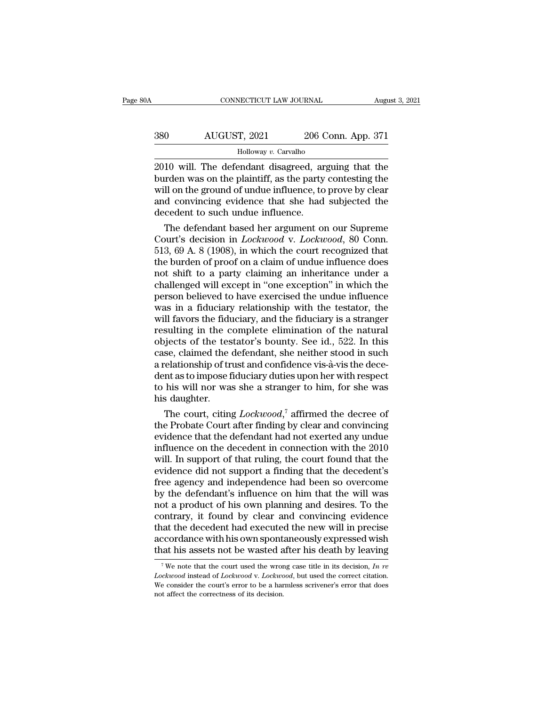## CONNECTICUT LAW JOURNAL August 3, 2021<br>380 AUGUST, 2021 206 Conn. App. 371<br>Holloway v. Carvalho Holloway *v.* Carvalho

CONNECTICUT LAW JOURNAL August 3, 2021<br>
2010 Will. The defendant disagreed, arguing that the<br>
burden was on the plaintiff, as the party contesting the<br>
2010 will. The defendant disagreed, arguing that the<br>
burden was on th Burden Was on the plaintiff, as the party contesting that the plant of was on the plaintiff, as the party contesting the will on the ground of undue influence, to prove by clear and convincing evidence that she had subject  $\frac{\text{AUGUST, 2021}}{\text{Holloway } v \cdot \text{Carvalho}}$ <br>  $\frac{\text{Holloway } v \cdot \text{Carvalho}}{\text{2010 will. The defendant disappeared, arguing that the burden was on the plaintiff, as the party contesting the will on the ground of the undue influence, to prove by clear and convincing evidence that she had subjected the decoder to such the influence.}$  $\frac{\text{AUGUST, 2021}}{\text{Holloway } v.\text{ Carvalho}}$ <br>  $\frac{\text{Holloway } v.\text{ Carvalho}}{\text{2010 will. The defendant disappeared, arguing that the burden was on the plaintiff, as the party contesting the will on the ground of the undue influence, to prove by clear and convincing evidence that she had subjected the decedent to such the undue influence.}$ Holloway v. Carvalho<br>
2010 will. The defendant disagreed, are<br>
burden was on the plaintiff, as the party<br>
will on the ground of undue influence, to<br>
and convincing evidence that she had<br>
decedent to such undue influence.<br> The defendant disagreed, arguing that the<br>rden was on the plaintiff, as the party contesting the<br>Il on the ground of undue influence, to prove by clear<br>d convincing evidence that she had subjected the<br>cedent to such undue 2010 will. The defendant disagreed, arguing that the<br>burden was on the plaintiff, as the party contesting the<br>will on the ground of undue influence, to prove by clear<br>and convincing evidence that she had subjected the<br>dece

burden was on the plaintiff, as the party contesting the<br>will on the ground of undue influence, to prove by clear<br>and convincing evidence that she had subjected the<br>decedent to such undue influence.<br>The defendant based her will on the ground of undue influence, to prove by clear<br>and convincing evidence that she had subjected the<br>decedent to such undue influence.<br>The defendant based her argument on our Supreme<br>Court's decision in *Lockwood* v and convincing evidence that she had subjected the<br>decedent to such undue influence.<br>The defendant based her argument on our Supreme<br>Court's decision in *Lockwood* v. *Lockwood*, 80 Conn.<br>513, 69 A. 8 (1908), in which the decedent to such undue influence.<br>
The defendant based her argument on our Supreme<br>
Court's decision in *Lockwood* v. *Lockwood*, 80 Conn.<br>
513, 69 A. 8 (1908), in which the court recognized that<br>
the burden of proof on a The defendant based her argument on our Supreme<br>Court's decision in *Lockwood* v. *Lockwood*, 80 Conn.<br>513, 69 A. 8 (1908), in which the court recognized that<br>the burden of proof on a claim of undue influence does<br>not shif Court's decision in *Lockwood* v. *Lockwood*, 80 Conn.<br>513, 69 A. 8 (1908), in which the court recognized that<br>the burden of proof on a claim of undue influence does<br>not shift to a party claiming an inheritance under a<br>ch 513, 69 A. 8 (1908), in which the court recognized that<br>the burden of proof on a claim of undue influence does<br>not shift to a party claiming an inheritance under a<br>challenged will except in "one exception" in which the<br>pe the burden of proof on a claim of undue influence does<br>not shift to a party claiming an inheritance under a<br>challenged will except in "one exception" in which the<br>person believed to have exercised the undue influence<br>was i not shift to a party claiming an inheritance under a<br>challenged will except in "one exception" in which the<br>person believed to have exercised the undue influence<br>was in a fiduciary relationship with the testator, the<br>will challenged will except in "one exception" in which the<br>person believed to have exercised the undue influence<br>was in a fiduciary relationship with the testator, the<br>will favors the fiduciary, and the fiduciary is a stranger person believed to have exercised the undue influence<br>was in a fiduciary relationship with the testator, the<br>will favors the fiduciary, and the fiduciary is a stranger<br>resulting in the complete elimination of the natural<br>o was in a fiduciary relationship with the testator, the<br>will favors the fiduciary, and the fiduciary is a stranger<br>resulting in the complete elimination of the natural<br>objects of the testator's bounty. See id., 522. In this will favors the fiduciary, and the fiduciary is a stranger<br>resulting in the complete elimination of the natural<br>objects of the testator's bounty. See id., 522. In this<br>case, claimed the defendant, she neither stood in such resulting in the c<br>objects of the tes<br>case, claimed the<br>a relationship of tr<br>dent as to impose f<br>to his will nor was<br>his daughter.<br>The court, citing by ects of the testator's bounty. See id., 522. In this<br>se, claimed the defendant, she neither stood in such<br>relationship of trust and confidence vis-à-vis the dece-<br>nt as to impose fiduciary duties upon her with respect<br> case, claimed the defendant, she neither stood in such<br>a relationship of trust and confidence vis-à-vis the dece-<br>dent as to impose fiduciary duties upon her with respect<br>to his will nor was she a stranger to him, for she

a relationship of trust and confidence vis-à-vis the decedent as to impose fiduciary duties upon her with respect<br>to his will nor was she a stranger to him, for she was<br>his daughter.<br>The court, citing  $Lockwood$ ,<sup>7</sup> affirmed th dent as to impose fiduciary duties upon her with respect<br>to his will nor was she a stranger to him, for she was<br>his daughter.<br>The court, citing  $Lockwood$ ,<sup>7</sup> affirmed the decree of<br>the Probate Court after finding by clear and to his will nor was she a stranger to him, for she was<br>his daughter.<br>The court, citing  $Lockwood$ ,<sup>7</sup> affirmed the decree of<br>the Probate Court after finding by clear and convincing<br>evidence that the defendant had not exerted an his daughter.<br>
The court, citing  $Lockwood$ ,<sup>7</sup> affirmed the decree of<br>
the Probate Court after finding by clear and convincing<br>
evidence that the defendant had not exerted any undue<br>
influence on the decedent in connection wit The court, citing  $Lockwood$ ,<sup>7</sup> affirmed the decree of<br>the Probate Court after finding by clear and convincing<br>evidence that the defendant had not exerted any undue<br>influence on the decedent in connection with the 2010<br>will. I the Probate Court after finding by clear and convincing<br>evidence that the defendant had not exerted any undue<br>influence on the decedent in connection with the 2010<br>will. In support of that ruling, the court found that the<br> evidence that the defendant had not exerted any undue<br>influence on the decedent in connection with the 2010<br>will. In support of that ruling, the court found that the<br>evidence did not support a finding that the decedent's<br>f influence on the decedent in connection with the 2010<br>will. In support of that ruling, the court found that the<br>evidence did not support a finding that the decedent's<br>free agency and independence had been so overcome<br>by th will. In support of that ruling, the court found that the evidence did not support a finding that the decedent's free agency and independence had been so overcome by the defendant's influence on him that the will was not a evidence did not support a finding that the decedent's<br>free agency and independence had been so overcome<br>by the defendant's influence on him that the will was<br>not a product of his own planning and desires. To the<br>contrary, free agency and independence had been so overcome<br>by the defendant's influence on him that the will was<br>not a product of his own planning and desires. To the<br>contrary, it found by clear and convincing evidence<br>that the de ontrary, it found by clear and convincing evidence<br>aat the decedent had executed the new will in precise<br>ccordance with his own spontaneously expressed wish<br>at his assets not be wasted after his death by leaving<br><sup>7</sup>We note that the decedent had executed the new will in precise<br>accordance with his own spontaneously expressed wish<br>that his assets not be wasted after his death by leaving<br> $\frac{7}{N}$  We note that the court used the wrong case titl that his assets not be wasted after his death by leaving.

accordance with his own spontaneously expressed wish<br>that his assets not be wasted after his death by leaving<br> $\frac{1}{\sqrt{W}}$  we note that the court used the wrong case title in its decision, In re<br>Lockwood instead of Lockwo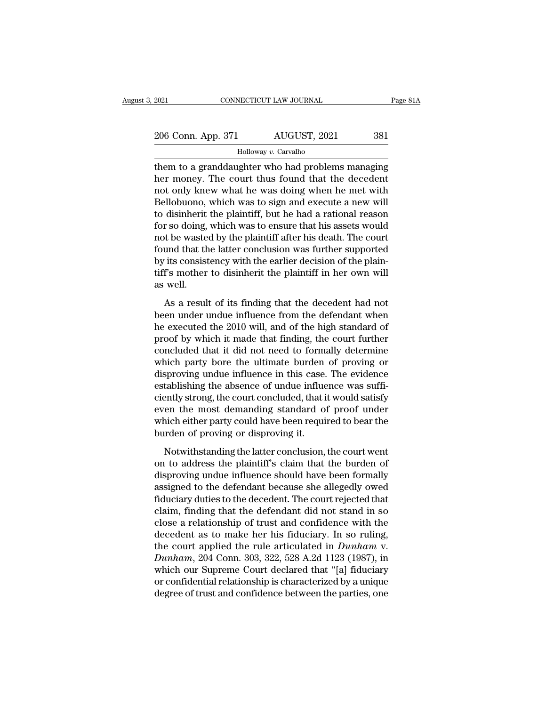Them to a granddaughter who had problems managing<br>them to a granddaughter who had problems managing<br>ther money. The court thus found that the decedent<br>met only linew what he was deing when he met with  $\frac{206 \text{ Conn. App. 371}}{40 \text{ low} \cdot \text{Carvalho}}$ <br>  $\frac{1000 \text{ m} \cdot \text{F} \cdot \text{Carvalho}}{400 \text{ m} \cdot \text{Carvalho}}$ <br>
them to a granddaughter who had problems managing<br>
her money. The court thus found that the decedent<br>
not only knew what he was d 206 Conn. App. 371 AUGUST, 2021 381<br>
Holloway v. Carvalho<br>
them to a granddaughter who had problems managing<br>
her money. The court thus found that the decedent<br>
not only knew what he was doing when he met with<br>
Bellobuono  $\frac{206 \text{ Conn. App. 371}}{1000 \text{ way } v. \text{ Carvalho}}$ <br>
Holloway  $v. \text{ Carvalho}}$ <br>
them to a granddaughter who had problems managing<br>
her money. The court thus found that the decedent<br>
not only knew what he was doing when he met with<br>
Bellob Holloway v. Carvalho<br>them to a granddaughter who had problems managing<br>her money. The court thus found that the decedent<br>not only knew what he was doing when he met with<br>Bellobuono, which was to sign and execute a new wil Holloway *v*. Carvalho<br>them to a granddaughter who had problems managing<br>her money. The court thus found that the decedent<br>not only knew what he was doing when he met with<br>Bellobuono, which was to sign and execute a new wi them to a granddaughter who had problems managing<br>her money. The court thus found that the decedent<br>not only knew what he was doing when he met with<br>Bellobuono, which was to sign and execute a new will<br>to disinherit the pl her money. The court thus found that the decedent<br>not only knew what he was doing when he met with<br>Bellobuono, which was to sign and execute a new will<br>to disinherit the plaintiff, but he had a rational reason<br>for so doing not only knew what he was doing when he met with<br>Bellobuono, which was to sign and execute a new will<br>to disinherit the plaintiff, but he had a rational reason<br>for so doing, which was to ensure that his assets would<br>not be Bellobuono, which was to sign and execute a new will<br>to disinherit the plaintiff, but he had a rational reason<br>for so doing, which was to ensure that his assets would<br>not be wasted by the plaintiff after his death. The cou to disinherit<br>for so doing,<br>not be waste<br>found that th<br>by its consist<br>tiff's mother<br>as well.<br>As a resul<sup>.</sup> The wasted by the plaintiff after his death. The court<br>tund that the latter conclusion was further supported<br>its consistency with the earlier decision of the plain-<br>f's mother to disinherit the plaintiff in her own will<br>we between that the latter conclusion was further supported<br>by its consistency with the earlier decision of the plain-<br>tiff's mother to disinherit the plaintiff in her own will<br>as well.<br>As a result of its finding that the dec

by its consistency with the earlier decision of the plaintiff's mother to disinherit the plaintiff in her own will<br>as well.<br>As a result of its finding that the decedent had not<br>been under undue influence from the defendant tiff's mother to disinherit the plaintiff in her own will<br>as well.<br>As a result of its finding that the decedent had not<br>been under undue influence from the defendant when<br>he executed the 2010 will, and of the high standard as well.<br>As a result of its finding that the decedent had not<br>been under undue influence from the defendant when<br>he executed the 2010 will, and of the high standard of<br>proof by which it made that finding, the court further As a result of its finding that the decedent had not<br>been under undue influence from the defendant when<br>he executed the 2010 will, and of the high standard of<br>proof by which it made that finding, the court further<br>conclude As a result of its finding that the decedent had not<br>been under undue influence from the defendant when<br>he executed the 2010 will, and of the high standard of<br>proof by which it made that finding, the court further<br>conclude been under undue influence from the defendant when<br>he executed the 2010 will, and of the high standard of<br>proof by which it made that finding, the court further<br>concluded that it did not need to formally determine<br>which pa he executed the 2010 will, and of the high standard of<br>proof by which it made that finding, the court further<br>concluded that it did not need to formally determine<br>which party bore the ultimate burden of proving or<br>disprovi proof by which it made that finding, the court further<br>concluded that it did not need to formally determine<br>which party bore the ultimate burden of proving or<br>disproving undue influence in this case. The evidence<br>establish concluded that it did not need to formally determine<br>which party bore the ultimate burden of proving or<br>disproving undue influence in this case. The evidence<br>establishing the absence of undue influence was suffi-<br>ciently s which party bore the ultimate burden<br>disproving undue influence in this case.<br>establishing the absence of undue influe<br>ciently strong, the court concluded, that i<br>even the most demanding standard of<br>which either party coul tablishing the absence of undue influence was suffi-<br>ently strong, the court concluded, that it would satisfy<br>en the most demanding standard of proof under<br>nich either party could have been required to bear the<br>order of p ciently strong, the court concluded, that it would satisfy<br>even the most demanding standard of proof under<br>which either party could have been required to bear the<br>burden of proving or disproving it.<br>Notwithstanding the lat

even the most demanding standard of proof under<br>which either party could have been required to bear the<br>burden of proving or disproving it.<br>Notwithstanding the latter conclusion, the court went<br>on to address the plaintiff' which either party could have been required to bear the<br>burden of proving or disproving it.<br>Notwithstanding the latter conclusion, the court went<br>on to address the plaintiff's claim that the burden of<br>disproving undue infl burden of proving or disproving it.<br>
Notwithstanding the latter conclusion, the court went<br>
on to address the plaintiff's claim that the burden of<br>
disproving undue influence should have been formally<br>
assigned to the defe Notwithstanding the latter conclusion, the court went<br>on to address the plaintiff's claim that the burden of<br>disproving undue influence should have been formally<br>assigned to the defendant because she allegedly owed<br>fiducia Notwithstanding the latter conclusion, the court went<br>on to address the plaintiff's claim that the burden of<br>disproving undue influence should have been formally<br>assigned to the defendant because she allegedly owed<br>fiducia on to address the plaintiff's claim that the burden of<br>disproving undue influence should have been formally<br>assigned to the defendant because she allegedly owed<br>fiduciary duties to the decedent. The court rejected that<br>cl disproving undue influence should have been formally<br>assigned to the defendant because she allegedly owed<br>fiduciary duties to the decedent. The court rejected that<br>claim, finding that the defendant did not stand in so<br>clos assigned to the defendant because she allegedly owed<br>fiduciary duties to the decedent. The court rejected that<br>claim, finding that the defendant did not stand in so<br>close a relationship of trust and confidence with the<br>dec fiduciary duties to the decedent. The court rejected that<br>claim, finding that the defendant did not stand in so<br>close a relationship of trust and confidence with the<br>decedent as to make her his fiduciary. In so ruling,<br>the claim, finding that the defendant did not stand in so<br>close a relationship of trust and confidence with the<br>decedent as to make her his fiduciary. In so ruling,<br>the court applied the rule articulated in *Dunham* v.<br>*Dunham* close a relationship of trust and confidence with the<br>decedent as to make her his fiduciary. In so ruling,<br>the court applied the rule articulated in *Dunham* v.<br>*Dunham*, 204 Conn. 303, 322, 528 A.2d 1123 (1987), in<br>which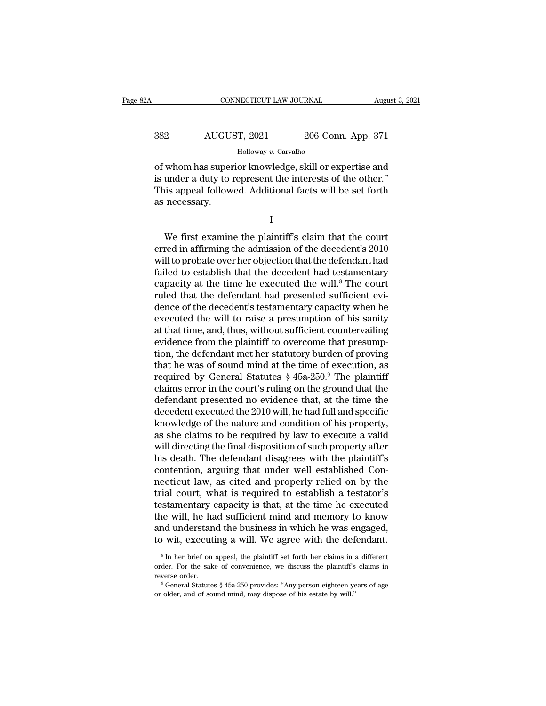| A   | CONNECTICUT LAW JOURNAL |                    | August 3, 2021 |
|-----|-------------------------|--------------------|----------------|
|     |                         |                    |                |
| 382 | AUGUST, 2021            | 206 Conn. App. 371 |                |
|     | Holloway v. Carvalho    |                    |                |

CONNECTICUT LAW JOURNAL August 3, 2021<br>
382 AUGUST, 2021 206 Conn. App. 371<br>
Holloway v. Carvalho<br>
of whom has superior knowledge, skill or expertise and<br>
is under a duty to represent the interests of the other."<br>
This app AUGUST, 2021 206 Conn. App. 371<br>
Holloway v. Carvalho<br>
of whom has superior knowledge, skill or expertise and<br>
is under a duty to represent the interests of the other.''<br>
This appeal followed. Additional facts will be set  $\begin{array}{r} \text{AUGUST, 2021} \qquad \text{206 Conn. App. 371} \ \text{Holloway } v. \text{Cavalho} \ \text{of whom has superior knowledge, skill or expertise and is under a duty to represent the interests of the other." This appeal followed. Additional facts will be set forth as necessary.} \end{array}$ as a March March March March Star (1993)<br>This appeal follow<br>This appeal follow<br>as necessary. whom has superior knowledge, skill or expertise and<br>under a duty to represent the interests of the other."<br>is appeal followed. Additional facts will be set forth<br>necessary.<br>I<br>We first examine the plaintiff's claim that the

I and the set of  $\mathbf{I}$ 

is under a duty to represent the interests of the other."<br>
This appeal followed. Additional facts will be set forth<br>
as necessary.<br>
I<br>
We first examine the plaintiff's claim that the court<br>
erred in affirming the admission This appeal followed. Additional facts will be set forth<br>as necessary.<br> $I$ <br>We first examine the plaintiff's claim that the court<br>erred in affirming the admission of the decedent's 2010<br>will to probate over her objection t I<br>I<br>We first examine the plaintiff's claim that the court<br>erred in affirming the admission of the decedent's 2010<br>will to probate over her objection that the defendant had<br>failed to establish that the decedent had testamen I<br>We first examine the plaintiff's claim that the court<br>erred in affirming the admission of the decedent's 2010<br>will to probate over her objection that the defendant had<br>failed to establish that the decedent had testamenta We first examine the plaintiff's claim that the court<br>erred in affirming the admission of the decedent's 2010<br>will to probate over her objection that the defendant had<br>failed to establish that the decedent had testamentary We first examine the plaintiff's claim that the court<br>erred in affirming the admission of the decedent's 2010<br>will to probate over her objection that the defendant had<br>failed to establish that the decedent had testamentary erred in affirming the admission of the decedent's 2010<br>will to probate over her objection that the defendant had<br>failed to establish that the decedent had testamentary<br>capacity at the time he executed the will.<sup>8</sup> The cou will to probate over her objection that the defendant had<br>failed to establish that the decedent had testamentary<br>capacity at the time he executed the will.<sup>8</sup> The court<br>ruled that the defendant had presented sufficient evi failed to establish that the decedent had testamentary<br>capacity at the time he executed the will.<sup>8</sup> The court<br>ruled that the defendant had presented sufficient evi-<br>dence of the decedent's testamentary capacity when he<br>ex capacity at the time he executed the will.<sup>8</sup> The court<br>ruled that the defendant had presented sufficient evi-<br>dence of the decedent's testamentary capacity when he<br>executed the will to raise a presumption of his sanity<br>a ruled that the defendant had presented sufficient evidence of the decedent's testamentary capacity when he executed the will to raise a presumption of his sanity at that time, and, thus, without sufficient countervailing e dence of the decedent's testamentary capacity when he<br>executed the will to raise a presumption of his sanity<br>at that time, and, thus, without sufficient countervailing<br>evidence from the plaintiff to overcome that presumpexecuted the will to raise a presumption of his sanity<br>at that time, and, thus, without sufficient countervailing<br>evidence from the plaintiff to overcome that presump-<br>tion, the defendant met her statutory burden of provi at that time, and, thus, without sufficient countervailing<br>evidence from the plaintiff to overcome that presump-<br>tion, the defendant met her statutory burden of proving<br>that he was of sound mind at the time of execution, evidence from the plaintiff to overcome that presumption, the defendant met her statutory burden of proving that he was of sound mind at the time of execution, as required by General Statutes § 45a-250.<sup>9</sup> The plaintiff cl tion, the defendant met her statutory burden of proving<br>that he was of sound mind at the time of execution, as<br>required by General Statutes  $\S$  45a-250.<sup>9</sup> The plaintiff<br>claims error in the court's ruling on the ground th that he was of sound mind at the time of execution, as<br>required by General Statutes  $\S$  45a-250.<sup>9</sup> The plaintiff<br>claims error in the court's ruling on the ground that the<br>defendant presented no evidence that, at the time required by General Statutes § 45a-250.<sup>9</sup> The plaintiff<br>claims error in the court's ruling on the ground that the<br>defendant presented no evidence that, at the time the<br>decedent executed the 2010 will, he had full and spec claims error in the court's ruling on the ground that the<br>defendant presented no evidence that, at the time the<br>decedent executed the 2010 will, he had full and specific<br>knowledge of the nature and condition of his propert defendant presented no evidence that, at the time the decedent executed the 2010 will, he had full and specific knowledge of the nature and condition of his property, as she claims to be required by law to execute a valid decedent executed the 2010 will, he had full and specific<br>knowledge of the nature and condition of his property,<br>as she claims to be required by law to execute a valid<br>will directing the final disposition of such property knowledge of the nature and condition of his property,<br>as she claims to be required by law to execute a valid<br>will directing the final disposition of such property after<br>his death. The defendant disagrees with the plaintif as she claims to be required by law to execute a valid<br>will directing the final disposition of such property after<br>his death. The defendant disagrees with the plaintiff's<br>contention, arguing that under well established Con will directing the final disposition of such property after<br>his death. The defendant disagrees with the plaintiff's<br>contention, arguing that under well established Con-<br>necticut law, as cited and properly relied on by the<br> his death. The defendant disagrees with the plaintiff's<br>contention, arguing that under well established Con-<br>necticut law, as cited and properly relied on by the<br>trial court, what is required to establish a testator's<br>test contention, arguing that under well established Connecticut law, as cited and properly relied on by the trial court, what is required to establish a testator's testamentary capacity is that, at the time he executed the wil stamentary capacity is that, at the time he executed<br>he will, he had sufficient mind and memory to know<br>nd understand the business in which he was engaged,<br>wit, executing a will. We agree with the defendant.<br> ${}^s$ In her br the will, he had sufficient mind and memory to know<br>and understand the business in which he was engaged,<br>to wit, executing a will. We agree with the defendant.<br><sup>8</sup>In her brief on appeal, the plaintiff set forth her claims

and understand the business in which he was engaged, to wit, executing a will. We agree with the defendant.<br><sup>8</sup>In her brief on appeal, the plaintiff set forth her claims in a different order. For the sake of convenience,  $\,^8$  In her brief on appeal, the plaintiff set forth her claims in a different order. For the sake of convenience, we discuss the plaintiff's claims in reverse order.<br> $\,^9$  General Statutes § 45a-250 provides: "Any per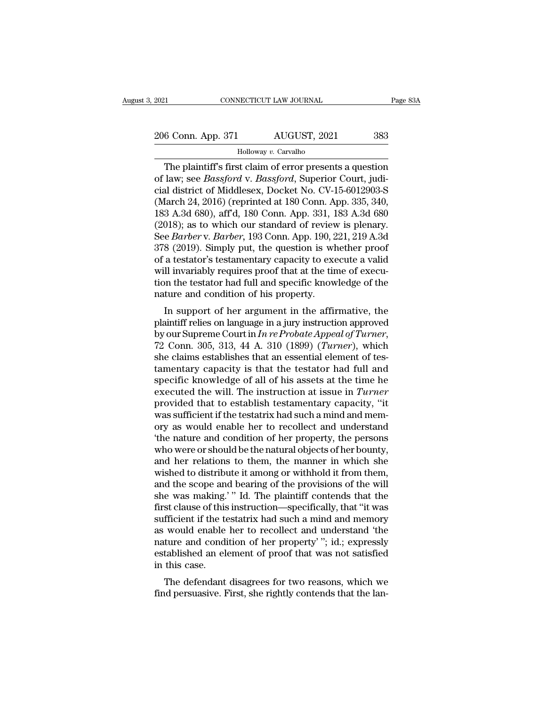2021 CONNECTICUT LAW JOURNAL Page 83A<br>
206 Conn. App. 371 AUGUST, 2021 383<br>
Holloway v. Carvalho

### Holloway *v.* Carvalho

CONNECTICUT LAW JOURNAL Page 83A<br>
6 Conn. App. 371 AUGUST, 2021 383<br>
Holloway v. Carvalho<br>
The plaintiff's first claim of error presents a question<br>
law; see *Bassford* v. *Bassford*, Superior Court, judi-206 Conn. App. 371 AUGUST, 2021 383<br>
Holloway v. Carvalho<br>
The plaintiff's first claim of error presents a question<br>
of law; see *Bassford* v. *Bassford*, Superior Court, judi-<br>
cial district of Middlesex, Docket No. CV-15 206 Conn. App. 371 AUGUST, 2021 383<br>
Holloway v. Carvalho<br>
The plaintiff's first claim of error presents a question<br>
of law; see *Bassford* v. *Bassford*, Superior Court, judi-<br>
cial district of Middlesex, Docket No. CV-15 206 Conn. App. 371 AUGUST, 2021 383<br>
Holloway v. Carvalho<br>
The plaintiff's first claim of error presents a question<br>
of law; see *Bassford* v. *Bassford*, Superior Court, judi-<br>
cial district of Middlesex, Docket No. CV-1 183 8 B. The plaintiff's first claim of error presents a question<br>of law; see *Bassford* v. *Bassford*, Superior Court, judi-<br>cial district of Middlesex, Docket No. CV-15-6012903-S<br>(March 24, 2016) (reprinted at 180 Conn. Holloway v. Carvalho<br>
The plaintiff's first claim of error presents a question<br>
of law; see *Bassford* v. *Bassford*, Superior Court, judi-<br>
cial district of Middlesex, Docket No. CV-15-6012903-S<br>
(March 24, 2016) (reprint The plaintiff's first claim of error presents a question<br>of law; see *Bassford* v*. Bassford*, Superior Court, judi-<br>cial district of Middlesex, Docket No. CV-15-6012903-S<br>(March 24, 2016) (reprinted at 180 Conn. App. 335, of law; see *Bassford* v. *Bassford*, Superior Court, judicial district of Middlesex, Docket No. CV-15-6012903-S (March 24, 2016) (reprinted at 180 Conn. App. 335, 340, 183 A.3d 680), aff'd, 180 Conn. App. 331, 183 A.3d 68 cial district of Middlesex, Docket No. CV-15-6012903-S<br>(March 24, 2016) (reprinted at 180 Conn. App. 335, 340,<br>183 A.3d 680), aff'd, 180 Conn. App. 331, 183 A.3d 680<br>(2018); as to which our standard of review is plenary.<br>S (March 24, 2016) (reprinted at 180 Conn. App. 335, 340, 183 A.3d 680), aff'd, 180 Conn. App. 331, 183 A.3d 680 (2018); as to which our standard of review is plenary.<br>See *Barber* v. *Barber*, 193 Conn. App. 190, 221, 219 183 A.3d 680), aff'd, 180 Conn. App. 331, 183 A.3d 680 (2018); as to which our standard of review is plenary.<br>See *Barber* v. *Barber*, 193 Conn. App. 190, 221, 219 A.3d<br>378 (2019). Simply put, the question is whether proo (2018); as to which our standard of review<br>See *Barber* v. *Barber*, 193 Conn. App. 190, 2<br>378 (2019). Simply put, the question is whof a testator's testamentary capacity to exe<br>will invariably requires proof that at the Burber v. Burber, 195 Collit. App. 190, 221, 219 A.5d<br>
8 (2019). Simply put, the question is whether proof<br>
a testator's testamentary capacity to execute a valid<br>
Il invariably requires proof that at the time of execu-<br>
i bro (2019). Simply put, the question is whether proof<br>of a testator's testamentary capacity to execute a valid<br>will invariably requires proof that at the time of execu-<br>tion the testator had full and specific knowledge of

by requires proof that at the time of execution the testator had full and specific knowledge of the nature and condition of his property.<br>In support of her argument in the affirmative, the plaintiff relies on language in a she claims and condition of his property.<br>In support of her argument in the affirmative, the plaintiff relies on language in a jury instruction approved<br>by our Supreme Court in  $In re \textit{Probate}$  Appeal of Turner,<br>72 Conn. 305, In support of her argument in the affirmative, the<br>plaintiff relies on language in a jury instruction approved<br>by our Supreme Court in In re Probate Appeal of Turner,<br>72 Conn. 305, 313, 44 A. 310 (1899) (Turner), which<br>sh In support of her argument in the affirmative, the plaintiff relies on language in a jury instruction approved by our Supreme Court in  $In re \text{Probate} \text{Append of} \text{Turner}$ , 72 Conn. 305, 313, 44 A. 310 (1899) (*Turner*), which she clai plaintiff relies on language in a jury instruction approved<br>by our Supreme Court in *In re Probate Appeal of Turner*,<br>72 Conn. 305, 313, 44 A. 310 (1899) (*Turner*), which<br>she claims establishes that an essential element o by our Supreme Court in *In re Probate Appeal of Turner*,<br>72 Conn. 305, 313, 44 A. 310 (1899) (*Turner*), which<br>she claims establishes that an essential element of tes-<br>tamentary capacity is that the testator had full and 72 Conn. 305, 313, 44 A. 310 (1899) (*Turner*), which<br>she claims establishes that an essential element of tes-<br>tamentary capacity is that the testator had full and<br>specific knowledge of all of his assets at the time he<br>ex she claims establishes that an essential element of tes-<br>tamentary capacity is that the testator had full and<br>specific knowledge of all of his assets at the time he<br>executed the will. The instruction at issue in *Turner*<br>p tamentary capacity is that the testator had full and<br>specific knowledge of all of his assets at the time he<br>executed the will. The instruction at issue in *Turner*<br>provided that to establish testamentary capacity, "it<br>was specific knowledge of all of his assets at the time he<br>executed the will. The instruction at issue in *Turner*<br>provided that to establish testamentary capacity, "it<br>was sufficient if the testatrix had such a mind and mem-<br> executed the will. The instruction at issue in *Turner*<br>provided that to establish testamentary capacity, "it<br>was sufficient if the testatrix had such a mind and mem-<br>ory as would enable her to recollect and understand<br>"t provided that to establish testamentary capacity, "it was sufficient if the testatrix had such a mind and memory as would enable her to recollect and understand "the nature and condition of her property, the persons who we was sufficient if the testatrix had such a mind and memory as would enable her to recollect and understand<br>"the nature and condition of her property, the persons<br>who were or should be the natural objects of her bounty,<br>and ory as would enable her to recollect and understand<br>
"the nature and condition of her property, the persons<br>
who were or should be the natural objects of her bounty,<br>
and her relations to them, the manner in which she<br>
wis "the nature and condition of her property, the persons<br>who were or should be the natural objects of her bounty,<br>and her relations to them, the manner in which she<br>wished to distribute it among or withhold it from them,<br>and who were or should be the natural objects of her bounty,<br>and her relations to them, the manner in which she<br>wished to distribute it among or withhold it from them,<br>and the scope and bearing of the provisions of the will<br>sh and her relations to them, the manner in which she<br>wished to distribute it among or withhold it from them,<br>and the scope and bearing of the provisions of the will<br>she was making.' " Id. The plaintiff contends that the<br>firs wished to distribute it among or withhold it from them,<br>and the scope and bearing of the provisions of the will<br>she was making.' " Id. The plaintiff contends that the<br>first clause of this instruction—specifically, that "it and the scope and bearing of the provisions of the will<br>she was making.'" Id. The plaintiff contends that the<br>first clause of this instruction—specifically, that "it was<br>sufficient if the testatrix had such a mind and memo she was making.<br>first clause of this<br>sufficient if the te<br>as would enable<br>nature and condi<br>established an ele<br>in this case.<br>The defendant st clause of this instruction—specificanty, that it was<br>fficient if the testatrix had such a mind and memory<br>would enable her to recollect and understand 'the<br>ture and condition of her property' "; id.; expressly<br>tablished suncient if the testarix had such a filled and memory<br>as would enable her to recollect and understand 'the<br>nature and condition of her property' "; id.; expressly<br>established an element of proof that was not satisfied<br>in t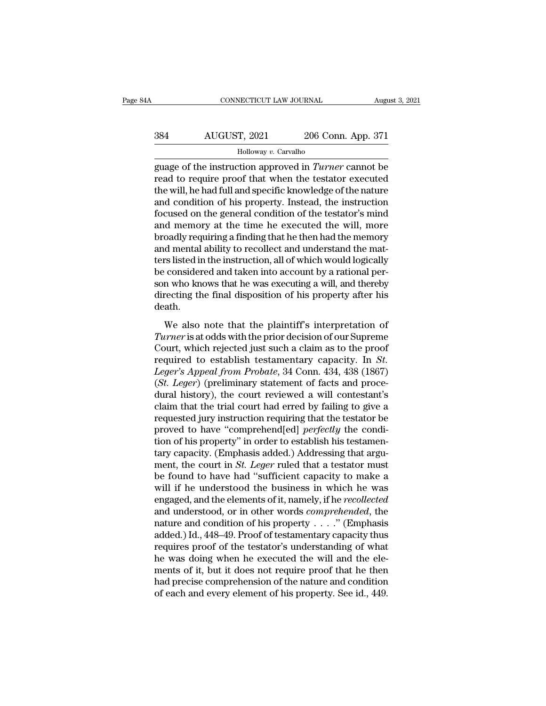## CONNECTICUT LAW JOURNAL August 3, 2021<br>384 AUGUST, 2021 206 Conn. App. 371<br>Holloway v. Carvalho Holloway *v.* Carvalho

CONNECTICUT LAW JOURNAL August 3, 2021<br>
384 AUGUST, 2021 206 Conn. App. 371<br>
Holloway v. Carvalho<br>
guage of the instruction approved in *Turner* cannot be<br>
read to require proof that when the testator executed<br>
the will be  $\begin{array}{r} \text{AUGUST, 2021} \qquad \text{206 Conn. App. 371} \ \text{Holloway } v \text{. Carvalho} \ \text{guage of the instruction approved in *Turner* cannot be read to require proof that when the testator executed the will, he had full and specific knowledge of the nature and condition of his property. Instead, the instruction$  $\frac{\text{AUGUST, 2021}}{\text{Holloway } v \cdot \text{Carvalho}}$ <br>  $\frac{\text{Holloway } v \cdot \text{Carvalho}}{\text{guage of the instruction approved in *Turner* cannot be read to require proof that when the testator executed the will, he had full and specific knowledge of the nature and condition of his property. Instead, the instruction focused on the general condition of the testator's mind.$  $\frac{\text{AUGUST, 2021}}{\text{Holloway } v. \text{ Carvalho}}$ <br>
Holloway v. Carvalho<br>
guage of the instruction approved in *Turner* cannot be<br>
read to require proof that when the testator executed<br>
the will, he had full and specific knowledge of the Followay v. Carvalho<br>guage of the instruction approved in *Turner* cannot be<br>read to require proof that when the testator executed<br>the will, he had full and specific knowledge of the nature<br>and condition of his property.  $\frac{1}{2}$  Holloway v. Carvalho<br>guage of the instruction approved in *Turner* cannot be<br>read to require proof that when the testator executed<br>the will, he had full and specific knowledge of the nature<br>and condition of his guage of the instruction approved in *Turner* cannot be<br>read to require proof that when the testator executed<br>the will, he had full and specific knowledge of the nature<br>and condition of his property. Instead, the instructi read to require proof that when the testator executed<br>the will, he had full and specific knowledge of the nature<br>and condition of his property. Instead, the instruction<br>focused on the general condition of the testator's mi the will, he had full and specific knowledge of the nature<br>and condition of his property. Instead, the instruction<br>focused on the general condition of the testator's mind<br>and memory at the time he executed the will, more<br>b and condition of his property. Instead, the instruction focused on the general condition of the testator's mind and memory at the time he executed the will, more broadly requiring a finding that he then had the memory and focused on the general condition of the testator's mind<br>and memory at the time he executed the will, more<br>broadly requiring a finding that he then had the memory<br>and mental ability to recollect and understand the mat-<br>ters and memory at the time he executed the will, more<br>broadly requiring a finding that he then had the memory<br>and mental ability to recollect and understand the mat-<br>ters listed in the instruction, all of which would logically death. respects that the instruction, all of which would logically<br>considered and taken into account by a rational per-<br>n who knows that he was executing a will, and thereby<br>recting the final disposition of his property after his be considered and taken into account by a rational person who knows that he was executing a will, and thereby<br>directing the final disposition of his property after his<br>death.<br>We also note that the plaintiff's interpretatio

So considered and dater may decoded by a radiomal per<br>son who knows that he was executing a will, and thereby<br>directing the final disposition of his property after his<br>death.<br>We also note that the plaintiff's interpretati required to establish testamentary capacity. In *St.*<br>Leger's atodds with the plaintiff's interpretation of *Turner* is at odds with the prior decision of our Supreme<br>Court, which rejected just such a claim as to the proof *Leger's Appeal from Probate*, 34 Conn. 434, 438 (1867)<br>*Leger's Appeal from Probate*, 34 Conn. 434, 438 (1867)<br>*Leger's Appeal from Probate*, 34 Conn. 434, 438 (1867)<br>*Cst. Leger*) (preliminary statement of facts and proc We also note that the plaintiff's interpretation of<br> *Turner* is at odds with the prior decision of our Supreme<br>
Court, which rejected just such a claim as to the proof<br>
required to establish testamentary capacity. In *St.* We also note that the plaintiff's interpretation of<br>
Turner is at odds with the prior decision of our Supreme<br>
Court, which rejected just such a claim as to the proof<br>
required to establish testamentary capacity. In *St.* Turner is at odds with the prior decision of our Supreme<br>Court, which rejected just such a claim as to the proof<br>required to establish testamentary capacity. In *St.*<br>Leger's Appeal from Probate, 34 Conn. 434, 438 (1867)<br>( Court, which rejected just such a claim as to the proof<br>required to establish testamentary capacity. In *St.*<br>*Leger's Appeal from Probate*, 34 Conn. 434, 438 (1867)<br>(*St. Leger*) (preliminary statement of facts and proce required to establish testamentary capacity. In *St.*<br>Leger's Appeal from Probate, 34 Conn. 434, 438 (1867)<br>(*St. Leger*) (preliminary statement of facts and proce-<br>dural history), the court reviewed a will contestant's<br>cl Leger's Appeal from Probate, 34 Conn. 434, 438 (1867)<br>(*St. Leger*) (preliminary statement of facts and proce-<br>dural history), the court reviewed a will contestant's<br>claim that the trial court had erred by failing to give (*St. Leger*) (preliminary statement of facts and procedural history), the court reviewed a will contestant's claim that the trial court had erred by failing to give a requested jury instruction requiring that the testato dural history), the court reviewed a will contestant's<br>claim that the trial court had erred by failing to give a<br>requested jury instruction requiring that the testator be<br>proved to have "comprehend[ed] *perfectly* the cond claim that the trial court had erred by failing to give a<br>requested jury instruction requiring that the testator be<br>proved to have "comprehend[ed] *perfectly* the condi-<br>tion of his property" in order to establish his test requested jury instruction requiring that the testator be<br>proved to have "comprehend[ed] *perfectly* the condi-<br>tion of his property" in order to establish his testamen-<br>tary capacity. (Emphasis added.) Addressing that arg proved to have "comprehend[ed] *perfectly* the condition of his property" in order to establish his testamentary capacity. (Emphasis added.) Addressing that argument, the court in *St. Leger* ruled that a testator must be tion of his property" in order to establish his testamentary capacity. (Emphasis added.) Addressing that argument, the court in *St. Leger* ruled that a testator must be found to have had "sufficient capacity to make a wi tary capacity. (Emphasis added.) Addressing that argument, the court in *St. Leger* ruled that a testator must<br>be found to have had "sufficient capacity to make a<br>will if he understood the business in which he was<br>engaged ment, the court in *St. Leger* ruled that a testator must<br>be found to have had "sufficient capacity to make a<br>will if he understood the business in which he was<br>engaged, and the elements of it, namely, if he *recollected* be found to have had "sufficient capacity to make a<br>will if he understood the business in which he was<br>engaged, and the elements of it, namely, if he *recollected*<br>and understood, or in other words *comprehended*, the<br>nat will if he understood the business in which he was<br>engaged, and the elements of it, namely, if he *recollected*<br>and understood, or in other words *comprehended*, the<br>nature and condition of his property  $\dots$ ." (Emphasis<br>a engaged, and the elements of it, namely, if he *recollected*<br>and understood, or in other words *comprehended*, the<br>nature and condition of his property  $\dots$ ." (Emphasis<br>added.) Id., 448–49. Proof of testamentary capacity and understood, or in other words *comprehended*, the<br>nature and condition of his property  $\dots$ ." (Emphasis<br>added.) Id., 448–49. Proof of testamentary capacity thus<br>requires proof of the testator's understanding of what<br>h nature and condition of his property  $\ldots$ ." (Emphasis added.) Id., 448–49. Proof of testamentary capacity thus requires proof of the testator's understanding of what he was doing when he executed the will and the element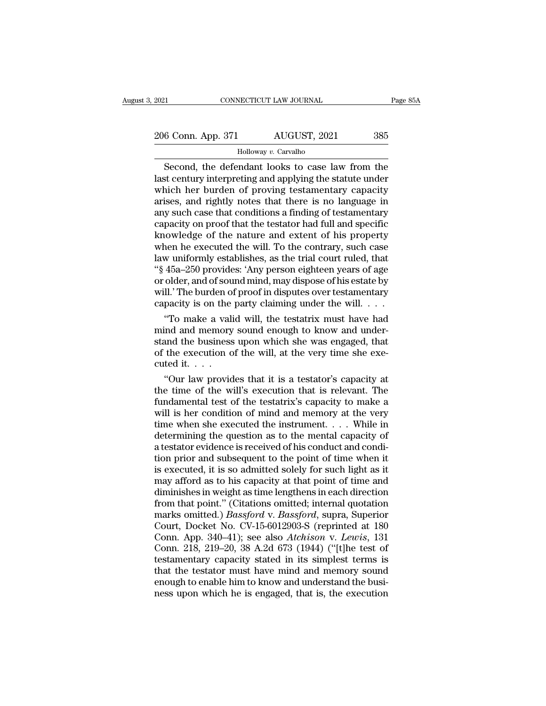2021 CONNECTICUT LAW JOURNAL Page 85A<br>
206 Conn. App. 371 AUGUST, 2021 385<br>
Holloway v. Carvalho

### Holloway *v.* Carvalho

CONNECTICUT LAW JOURNAL Page 85A<br>
6 Conn. App. 371 AUGUST, 2021 385<br>
Holloway v. Carvalho<br>
Second, the defendant looks to case law from the<br>
st century interpreting and applying the statute under<br>
pich hor burdon of provin 206 Conn. App. 371 AUGUST, 2021 385<br>
Holloway v. Carvalho<br>
Second, the defendant looks to case law from the<br>
last century interpreting and applying the statute under<br>
which her burden of proving testamentary capacity<br>
aris 206 Conn. App. 371 AUGUST, 2021 385<br>
Holloway v. Carvalho<br>
Second, the defendant looks to case law from the<br>
last century interpreting and applying the statute under<br>
which her burden of proving testamentary capacity<br>
ari 206 Conn. App. 371 AUGUST, 2021 385<br>
Holloway v. Carvalho<br>
Second, the defendant looks to case law from the<br>
last century interpreting and applying the statute under<br>
which her burden of proving testamentary capacity<br>
ari For the second, the defendant looks to case law from the<br>last century interpreting and applying the statute under<br>which her burden of proving testamentary capacity<br>arises, and rightly notes that there is no language in<br>an Holloway v. Carvalho<br>
Second, the defendant looks to case law from the<br>
last century interpreting and applying the statute under<br>
which her burden of proving testamentary capacity<br>
arises, and rightly notes that there is n Second, the defendant looks to case law from the<br>last century interpreting and applying the statute under<br>which her burden of proving testamentary capacity<br>arises, and rightly notes that there is no language in<br>any such ca last century interpreting and applying the statute under<br>which her burden of proving testamentary capacity<br>arises, and rightly notes that there is no language in<br>any such case that conditions a finding of testamentary<br>capa which her burden of proving testamentary capacity<br>arises, and rightly notes that there is no language in<br>any such case that conditions a finding of testamentary<br>capacity on proof that the testator had full and specific<br>kno arises, and rightly notes that there is no language in<br>any such case that conditions a finding of testamentary<br>capacity on proof that the testator had full and specific<br>knowledge of the nature and extent of his property<br>wh any such case that conditions a finding of testamentary<br>capacity on proof that the testator had full and specific<br>knowledge of the nature and extent of his property<br>when he executed the will. To the contrary, such case<br>law capacity on proof that the testator had full and specific<br>knowledge of the nature and extent of his property<br>when he executed the will. To the contrary, such case<br>law uniformly establishes, as the trial court ruled, that<br>" knowledge of the nature and extent of his property<br>when he executed the will. To the contrary, such case<br>law uniformly establishes, as the trial court ruled, that<br>"§  $45a-250$  provides: 'Any person eighteen years of age<br>o nen he executed the will. To the contrary, such case<br>w uniformly establishes, as the trial court ruled, that<br>45a–250 provides: 'Any person eighteen years of age<br>older, and of sound mind, may dispose of his estate by<br>II.' T law uniformly establishes, as the trial court ruled, that<br>
"§ 45a–250 provides: 'Any person eighteen years of age<br>
or older, and of sound mind, may dispose of his estate by<br>
will.' The burden of proof in disputes over tes

"§ 45a–250 provides: 'Any person eighteen years of age<br>or older, and of sound mind, may dispose of his estate by<br>will.' The burden of proof in disputes over testamentary<br>capacity is on the party claiming under the will. . or older, and of sound mind, may dispose of his estate by<br>will.' The burden of proof in disputes over testamentary<br>capacity is on the party claiming under the will. . . .<br>"To make a valid will, the testatrix must have had will.' The burden of<br>capacity is on the<br>"To make a vali<br>mind and memory<br>stand the business<br>of the execution of<br>cuted it.....<br>"Our law provid" "To make a valid will, the testatrix must have had<br>
"To make a valid will, the testatrix must have had<br>
ind and memory sound enough to know and under-<br>
and the business upon which she was engaged, that<br>
the execution of t "To make a valid will, the testatrix must have had<br>mind and memory sound enough to know and under-<br>stand the business upon which she was engaged, that<br>of the execution of the will, at the very time she exe-<br>cuted it. . . .

mind and memory sound enough to know and understand the business upon which she was engaged, that<br>of the execution of the will, at the very time she executed it....<br>"Our law provides that it is a testator's capacity at<br>th stand the business upon which she was engaged, that<br>of the execution of the will, at the very time she exe-<br>cuted it. . . .<br>"Our law provides that it is a testator's capacity at<br>the time of the will's execution that is re of the execution of the will, at the very time she executed it. . . .<br>
"Our law provides that it is a testator's capacity at<br>
the time of the will's execution that is relevant. The<br>
fundamental test of the testatrix's cap cuted it.  $\ldots$ <br>"Our law provides that it is a testator's capacity at<br>the time of the will's execution that is relevant. The<br>fundamental test of the testatrix's capacity to make a<br>will is her condition of mind and memory "Our law provides that it is a testator's capacity at the time of the will's execution that is relevant. The fundamental test of the testatrix's capacity to make a will is her condition of mind and memory at the very time the time of the will's execution that is relevant. The fundamental test of the testatrix's capacity to make a will is her condition of mind and memory at the very time when she executed the instrument.  $\dots$  While in deter fundamental test of the testatrix's capacity to make a<br>will is her condition of mind and memory at the very<br>time when she executed the instrument.... While in<br>determining the question as to the mental capacity of<br>a testat will is her condition of mind and memory at the very<br>time when she executed the instrument. . . . While in<br>determining the question as to the mental capacity of<br>a testator evidence is received of his conduct and condi-<br>ti time when she executed the instrument. . . . While in<br>determining the question as to the mental capacity of<br>a testator evidence is received of his conduct and condi-<br>tion prior and subsequent to the point of time when it<br> determining the question as to the mental capacity of<br>a testator evidence is received of his conduct and condi-<br>tion prior and subsequent to the point of time when it<br>is executed, it is so admitted solely for such light as a testator evidence is received of his conduct and condition prior and subsequent to the point of time when it<br>is executed, it is so admitted solely for such light as it<br>may afford as to his capacity at that point of time tion prior and subsequent to the point of time when it<br>is executed, it is so admitted solely for such light as it<br>may afford as to his capacity at that point of time and<br>diminishes in weight as time lengthens in each direc is executed, it is so admitted solely for such light as it<br>may afford as to his capacity at that point of time and<br>diminishes in weight as time lengthens in each direction<br>from that point." (Citations omitted; internal quo may afford as to his capacity at that point of time and<br>diminishes in weight as time lengthens in each direction<br>from that point." (Citations omitted; internal quotation<br>marks omitted.) *Bassford* v. *Bassford*, supra, Sup diminishes in weight as time lengthens in each direction<br>from that point." (Citations omitted; internal quotation<br>marks omitted.) *Bassford* v. *Bassford*, supra, Superior<br>Court, Docket No. CV-15-6012903-S (reprinted at 18 from that point." (Citations omitted; internal quotation<br>marks omitted.) *Bassford* v. *Bassford*, supra, Superior<br>Court, Docket No. CV-15-6012903-S (reprinted at 180<br>Conn. App. 340–41); see also *Atchison* v. *Lewis*, 131 marks omitted.) *Bassford* v. *Bassford*, supra, Superior Court, Docket No. CV-15-6012903-S (reprinted at 180 Conn. App. 340–41); see also *Atchison* v. *Lewis*, 131 Conn. 218, 219–20, 38 A.2d 673 (1944) ("[t]he test of te Court, Docket No. CV-15-6012903-S (reprinted at 180 Conn. App. 340–41); see also *Atchison* v. *Lewis*, 131 Conn. 218, 219–20, 38 A.2d 673 (1944) ("[t]he test of testamentary capacity stated in its simplest terms is that t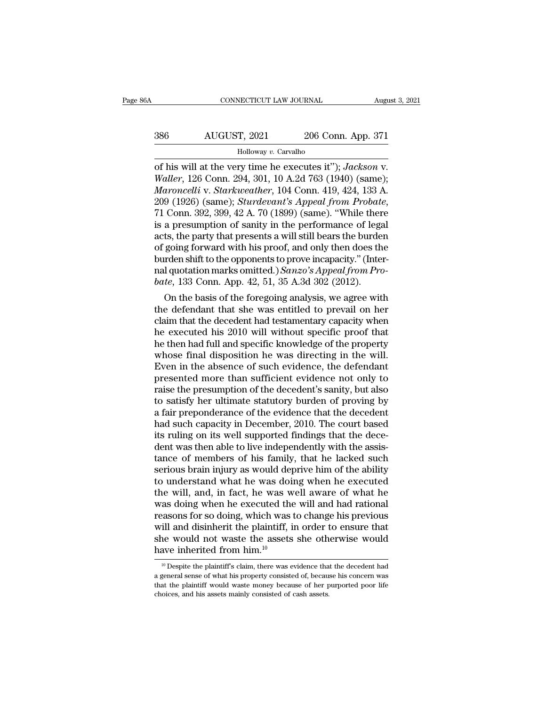# CONNECTICUT LAW JOURNAL August 3, 2021<br>386 AUGUST, 2021 206 Conn. App. 371<br>Holloway v. Carvalho

### Holloway *v.* Carvalho

CONNECTICUT LAW JOURNAL August 3, 2021<br>
386 AUGUST, 2021 206 Conn. App. 371<br>
Holloway v. Carvalho<br>
of his will at the very time he executes it''); *Jackson* v.<br> *Waller*, 126 Conn. 294, 301, 10 A.2d 763 (1940) (same);<br> *Ma AUGUST*, 2021 206 Conn. App. 371<br> *Waller*, 126 Conn. 294, 301, 10 A.2d 763 (1940) (same);<br> *Maroncelli v. Starkweather*, 104 Conn. 419, 424, 133 A.<br>
200 (1026) (same); *Starkweather*, 104 Conn. 419, 424, 133 A. *Maroncelli* v. *Carvalho*<br>*Holloway v. Carvalho*<br>*Maroncelli* at the very time he executes it"); *Jackson v.*<br>*Waller*, 126 Conn. 294, 301, 10 A.2d 763 (1940) (same);<br>*Maroncelli v. Starkweather*, 104 Conn. 419, 424, 133 209 (Same); *Starting appear Sturdevant's Appear (Somm. App. 371*<br>
1920 (Somm. 2011); *Jackson v.*<br> *Waller*, 126 Conn. 294, 301, 10 A.2d 763 (1940) (same);<br> *Maroncelli v. Starkweather*, 104 Conn. 419, 424, 133 A.<br>
209 Followay v. Carvalho<br>
for his will at the very time he executes it"); Jackson v.<br>
Waller, 126 Conn. 294, 301, 10 A.2d 763 (1940) (same);<br>
Maroncelli v. Starkweather, 104 Conn. 419, 424, 133 A.<br>
209 (1926) (same); Sturdeva of his will at the very time he executes it"); Jackson v.<br>Waller, 126 Conn. 294, 301, 10 A.2d 763 (1940) (same);<br>Maroncelli v. Starkweather, 104 Conn. 419, 424, 133 A.<br>209 (1926) (same); Sturdevant's Appeal from Probate,<br>7 Waller, 126 Conn. 294, 301, 10 A.2d 763 (1940) (same);<br> *Maroncelli v. Starkweather*, 104 Conn. 419, 424, 133 A.<br>
209 (1926) (same); *Sturdevant's Appeal from Probate*,<br>
71 Conn. 392, 399, 42 A. 70 (1899) (same). "While th Maroncelli v. Starkweather, 104 Conn. 419, 424, 133 A.<br>209 (1926) (same); *Sturdevant's Appeal from Probate*,<br>71 Conn. 392, 399, 42 A. 70 (1899) (same). "While there<br>is a presumption of sanity in the performance of legal<br> 209 (1926) (same); *Sturdevant's Appeal from Probate*,<br>71 Conn. 392, 399, 42 A. 70 (1899) (same). "While there<br>is a presumption of sanity in the performance of legal<br>acts, the party that presents a will still bears the bur 71 Conn. 392, 399, 42 A. 70 (1899) (same). "While ther<br>is a presumption of sanity in the performance of lega<br>acts, the party that presents a will still bears the burde<br>of going forward with his proof, and only then does th a presumption of sanity in the performance of legal<br>ts, the party that presents a will still bears the burden<br>going forward with his proof, and only then does the<br>rden shift to the opponents to prove incapacity." (Inter-<br> acts, the party that presents a will still bears the burden<br>of going forward with his proof, and only then does the<br>burden shift to the opponents to prove incapacity." (Inter-<br>nal quotation marks omitted.) Sanzo's Appeal

or going forward with his proof, and only then does the<br>burden shift to the opponents to prove incapacity." (Inter-<br>nal quotation marks omitted.) Sanzo's Appeal from Pro-<br>bate, 133 Conn. App. 42, 51, 35 A.3d 302 (2012).<br>On burden shift to the opponents to prove incapacity. (Inter-<br>nal quotation marks omitted.) Sanzo's Appeal from Pro-<br>bate, 133 Conn. App. 42, 51, 35 A.3d 302 (2012).<br>On the basis of the foregoing analysis, we agree with<br>the had quotation marks omitted.) Sanzo's Appeal from Pro-<br>bate, 133 Conn. App. 42, 51, 35 A.3d 302 (2012).<br>On the basis of the foregoing analysis, we agree with<br>the defendant that she was entitled to prevail on her<br>claim that bate, 133 Conn. App. 42, 51, 35 A.3d 302 (2012).<br>
On the basis of the foregoing analysis, we agree with<br>
the defendant that she was entitled to prevail on her<br>
claim that the decedent had testamentary capacity when<br>
he ex On the basis of the foregoing analysis, we agree with<br>the defendant that she was entitled to prevail on her<br>claim that the decedent had testamentary capacity when<br>he executed his 2010 will without specific proof that<br>he th the defendant that she was entitled to prevail on her claim that the decedent had testamentary capacity when he executed his 2010 will without specific proof that he then had full and specific knowledge of the property who claim that the decedent had testamentary capacity when<br>he executed his 2010 will without specific proof that<br>he then had full and specific knowledge of the property<br>whose final disposition he was directing in the will.<br>Eve he executed his 2010 will without specific proof that<br>he then had full and specific knowledge of the property<br>whose final disposition he was directing in the will.<br>Even in the absence of such evidence, the defendant<br>presen he then had full and specific knowledge of the property<br>whose final disposition he was directing in the will.<br>Even in the absence of such evidence, the defendant<br>presented more than sufficient evidence not only to<br>raise th whose final disposition he was directing in the will.<br>Even in the absence of such evidence, the defendant<br>presented more than sufficient evidence not only to<br>raise the presumption of the decedent's sanity, but also<br>to sati Even in the absence of such evidence, the defendant<br>presented more than sufficient evidence not only to<br>raise the presumption of the decedent's sanity, but also<br>to satisfy her ultimate statutory burden of proving by<br>a fair presented more than sufficient evidence not only to<br>raise the presumption of the decedent's sanity, but also<br>to satisfy her ultimate statutory burden of proving by<br>a fair preponderance of the evidence that the decedent<br>had raise the presumption of the decedent's sanity, but also<br>to satisfy her ultimate statutory burden of proving by<br>a fair preponderance of the evidence that the decedent<br>had such capacity in December, 2010. The court based<br>it to satisfy her ultimate statutory burden of proving by<br>a fair preponderance of the evidence that the decedent<br>had such capacity in December, 2010. The court based<br>its ruling on its well supported findings that the dece-<br>de a fair preponderance of the evidence that the decedent<br>had such capacity in December, 2010. The court based<br>its ruling on its well supported findings that the dece-<br>dent was then able to live independently with the assis-<br> had such capacity in December, 2010. The court based<br>its ruling on its well supported findings that the dece-<br>dent was then able to live independently with the assis-<br>tance of members of his family, that he lacked such<br>ser its ruling on its well supported findings that the decedent was then able to live independently with the assistance of members of his family, that he lacked such serious brain injury as would deprive him of the ability to dent was then able to live independently with the assistance of members of his family, that he lacked such serious brain injury as would deprive him of the ability to understand what he was doing when he executed the will, tance of members of his family, that he lacked such<br>serious brain injury as would deprive him of the ability<br>to understand what he was doing when he executed<br>the will, and, in fact, he was well aware of what he<br>was doing w serious brain injury as would deprive him of the ability<br>to understand what he was doing when he executed<br>the will, and, in fact, he was well aware of what he<br>was doing when he executed the will and had rational<br>reasons fo to understand what he was doit<br>the will, and, in fact, he was w<br>was doing when he executed the<br>reasons for so doing, which was<br>will and disinherit the plaintiff, i<br>she would not waste the assets<br>have inherited from him.<sup>1</sup> exasons for so doing, which was to change his previous<br>ill and disinherit the plaintiff, in order to ensure that<br>ne would not waste the assets she otherwise would<br>ave inherited from him.<sup>10</sup><br> $\frac{10}$  Despite the plaintiff will and disinherit the plaintiff, in order to ensure that<br>she would not waste the assets she otherwise would<br>have inherited from him.<sup>10</sup><br> $\frac{10}{}$  Despite the plaintiff's claim, there was evidence that the decedent had<br>

she would not waste the assets she otherwise would<br>have inherited from him.<sup>10</sup><br> $^{10}$  Despite the plaintiff's claim, there was evidence that the decedent had<br>a general sense of what his property consisted of, because his have inherited from him.<sup>10</sup><br>
<sup>10</sup> Despite the plaintiff's claim, there was evidence that the decedent had a general sense of what his property consisted of, because his concern was that the plaintiff would waste money be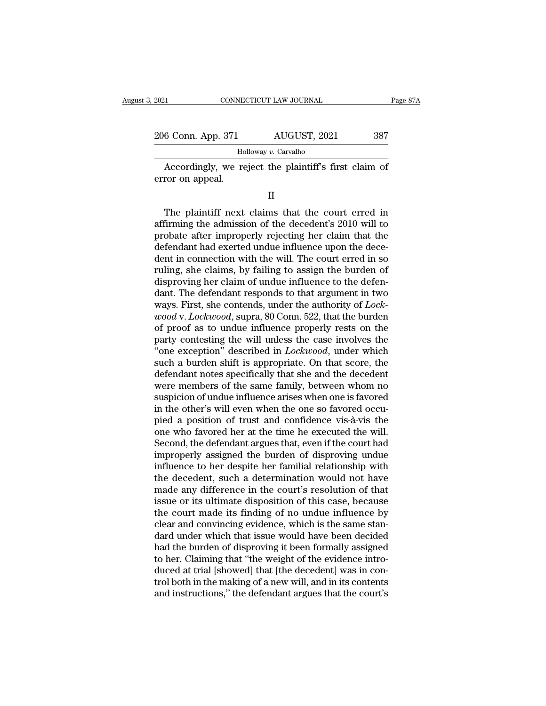| 2021               | CONNECTICUT LAW JOURNAL                               | Page 87A |
|--------------------|-------------------------------------------------------|----------|
|                    |                                                       |          |
| 206 Conn. App. 371 | AUGUST, 2021                                          | 387      |
|                    | Holloway v. Carvalho                                  |          |
| error on appeal.   | Accordingly, we reject the plaintiff's first claim of |          |
|                    |                                                       |          |

 $\frac{1}{2}$  Holloway v. Carvalho<br>Accordingly, we reject the plaintiff's first claim of<br>ror on appeal.<br>II<br>The plaintiff next claims that the court erred in<br>firming the admission of the decedent's 2010 will to<br>obsto after imp Followay v. Carvalho<br>Accordingly, we reject the plaintiff's first claim of<br>error on appeal.<br>II<br>The plaintiff next claims that the court erred in<br>affirming the admission of the decedent's 2010 will to<br>probate after improper Accordingly, we reject the plaintiff's first claim of<br>error on appeal.<br>II<br>The plaintiff next claims that the court erred in<br>affirming the admission of the decedent's 2010 will to<br>probate after improperly rejecting her clai II<br>II<br>The plaintiff next claims that the court erred in<br>affirming the admission of the decedent's 2010 will to<br>probate after improperly rejecting her claim that the<br>defendant had exerted undue influence upon the dece-<br>dent II<br>
The plaintiff next claims that the court erred in<br>
affirming the admission of the decedent's 2010 will to<br>
probate after improperly rejecting her claim that the<br>
defendant had exerted undue influence upon the dece-<br>
de ruling the plaintiff next claims that the court erred in affirming the admission of the decedent's 2010 will to probate after improperly rejecting her claim that the defendant had exerted undue influence upon the decedent The plaintiff next claims that the court erred in affirming the admission of the decedent's 2010 will to probate after improperly rejecting her claim that the defendant had exerted undue influence upon the decedent in con affirming the admission of the decedent's 2010 will to<br>probate after improperly rejecting her claim that the<br>defendant had exerted undue influence upon the dece-<br>dent in connection with the will. The court erred in so<br>rul probate after improperly rejecting her claim that the defendant had exerted undue influence upon the decedent in connection with the will. The court erred in so ruling, she claims, by failing to assign the burden of dispro defendant had exerted undue influence upon the dece-<br>dent in connection with the will. The court erred in so<br>ruling, she claims, by failing to assign the burden of<br>disproving her claim of undue influence to the defen-<br>dant dent in connection with the will. The court erred in so<br>ruling, she claims, by failing to assign the burden of<br>disproving her claim of undue influence to the defen-<br>dant. The defendant responds to that argument in two<br>ways ruling, she claims, by failing to assign the burden of<br>disproving her claim of undue influence to the defen-<br>dant. The defendant responds to that argument in two<br>ways. First, she contends, under the authority of *Lock-*<br>wo disproving her claim of undue influence to the defen-<br>dant. The defendant responds to that argument in two<br>ways. First, she contends, under the authority of *Lock-*<br>*wood* v. *Lockwood*, supra, 80 Conn. 522, that the burde dant. The defendant responds to that argument in two<br>ways. First, she contends, under the authority of *Lock-*<br>*wood v. Lockwood*, supra, 80 Conn. 522, that the burden<br>of proof as to undue influence properly rests on the<br>p ways. First, she contends, under the authority of *Lock-wood* v. *Lockwood*, supra, 80 Conn. 522, that the burden<br>of proof as to undue influence properly rests on the<br>party contesting the will unless the case involves the<br> wood v. Lockwood, supra, 80 Conn. 522, that the burden<br>of proof as to undue influence properly rests on the<br>party contesting the will unless the case involves the<br>"one exception" described in Lockwood, under which<br>such a b of proof as to undue influence properly rests on the<br>party contesting the will unless the case involves the<br>"one exception" described in *Lockwood*, under which<br>such a burden shift is appropriate. On that score, the<br>defend party contesting the will unless the case involves the<br>"one exception" described in *Lockwood*, under which<br>such a burden shift is appropriate. On that score, the<br>defendant notes specifically that she and the decedent<br>were "one exception" described in *Lockwood*, under which<br>such a burden shift is appropriate. On that score, the<br>defendant notes specifically that she and the decedent<br>were members of the same family, between whom no<br>suspicion such a burden shift is appropriate. On that score, the<br>defendant notes specifically that she and the decedent<br>were members of the same family, between whom no<br>suspicion of undue influence arises when one is favored<br>in the defendant notes specifically that she and the decedent<br>were members of the same family, between whom no<br>suspicion of undue influence arises when one is favored<br>in the other's will even when the one so favored occu-<br>pied a were members of the same family, between whom no<br>suspicion of undue influence arises when one is favored<br>in the other's will even when the one so favored occu-<br>pied a position of trust and confidence vis-à-vis the<br>one who suspicion of undue influence arises when one is favored<br>in the other's will even when the one so favored occu-<br>pied a position of trust and confidence vis-à-vis the<br>one who favored her at the time he executed the will.<br>Sec in the other's will even when the one so favored occu-<br>pied a position of trust and confidence vis-à-vis the<br>one who favored her at the time he executed the will.<br>Second, the defendant argues that, even if the court had<br>im pied a position of trust and confidence vis-à-vis the<br>one who favored her at the time he executed the will.<br>Second, the defendant argues that, even if the court had<br>improperly assigned the burden of disproving undue<br>influe one who favored her at the time he executed the will.<br>Second, the defendant argues that, even if the court had<br>improperly assigned the burden of disproving undue<br>influence to her despite her familial relationship with<br>the Second, the defendant argues that, even if the court had<br>improperly assigned the burden of disproving undue<br>influence to her despite her familial relationship with<br>the decedent, such a determination would not have<br>made any improperly assigned the burden of disproving undue<br>influence to her despite her familial relationship with<br>the decedent, such a determination would not have<br>made any difference in the court's resolution of that<br>issue or it influence to her despite her familial relationship with<br>the decedent, such a determination would not have<br>made any difference in the court's resolution of that<br>issue or its ultimate disposition of this case, because<br>the co the decedent, such a determination would not have<br>made any difference in the court's resolution of that<br>issue or its ultimate disposition of this case, because<br>the court made its finding of no undue influence by<br>clear and made any difference in the court's resolution of that<br>issue or its ultimate disposition of this case, because<br>the court made its finding of no undue influence by<br>clear and convincing evidence, which is the same stan-<br>dard issue or its ultimate disposition of this case, because<br>the court made its finding of no undue influence by<br>clear and convincing evidence, which is the same stan-<br>dard under which that issue would have been decided<br>had the the court made its finding of no undue influence by<br>clear and convincing evidence, which is the same stan-<br>dard under which that issue would have been decided<br>had the burden of disproving it been formally assigned<br>to her. clear and convincing evidence, which is the same standard under which that issue would have been decided had the burden of disproving it been formally assigned to her. Claiming that "the weight of the evidence introduced a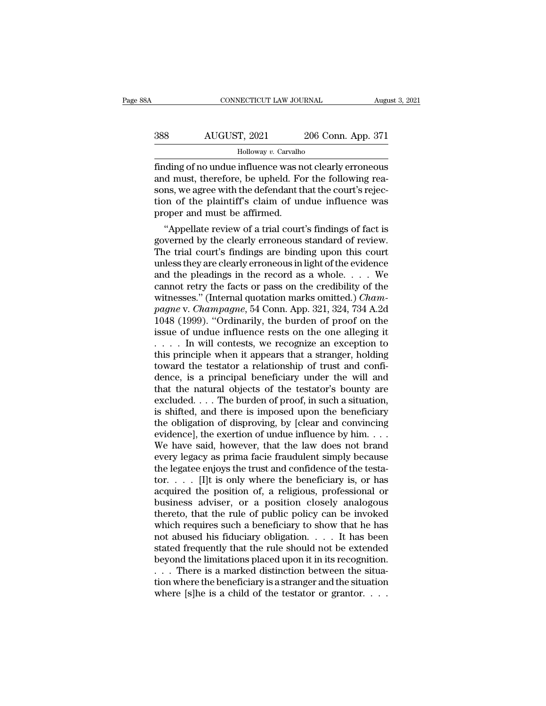| 8Α  | CONNECTICUT LAW JOURNAL |                    | August 3, 2021 |
|-----|-------------------------|--------------------|----------------|
| 388 | AUGUST, 2021            | 206 Conn. App. 371 |                |
|     | Holloway v. Carvalho    |                    |                |

FINDING CONNECTICUT LAW JOURNAL August 3, 2021<br>
FINDING AUGUST, 2021 206 Conn. App. 371<br>
Holloway v. Carvalho<br>
Finding of no undue influence was not clearly erroneous<br>
and must, therefore, be upheld. For the following reas and a Holloway v. Carvalho<br>
and must, therefore, be upheld. For the following rea-<br>
sons, we agree with the defendant that the court's rejection of the plaintiff's claim of undue influence was Sons, Marketter, 2021 and 206 Conn. App. 371<br>
Holloway v. Carvalho<br>
finding of no undue influence was not clearly erroneous<br>
and must, therefore, be upheld. For the following reasons, we agree with the defendant that the c AUGUST, 2021 206 Conn. App. 371<br>
Holloway v. Carvalho<br>
finding of no undue influence was not clearly erroneous<br>
and must, therefore, be upheld. For the following reasons, we agree with the defendant that the court's rejec Holloway v. Carvalho<br>
Holloway v. Carvalho<br>
finding of no undue influence was n<br>
and must, therefore, be upheld. Fo<br>
sons, we agree with the defendant th<br>
tion of the plaintiff's claim of un<br>
proper and must be affirmed.<br> ding of no undue influence was not clearly erroneous<br>
d must, therefore, be upheld. For the following rea-<br>
ns, we agree with the defendant that the court's rejec-<br>
on of the plaintiff's claim of undue influence was<br>
oper maing or no undue influence was not clearly erroneous<br>and must, therefore, be upheld. For the following reasons, we agree with the defendant that the court's rejec-<br>tion of the plaintiff's claim of undue influence was<br>prop

and must, therefore, be upheld. For the following reasons, we agree with the defendant that the court's rejection of the plaintiff's claim of undue influence was proper and must be affirmed.<br>
"Appellate review of a trial c sons, we agree with the detendant that the court s rejection of the plaintiff's claim of undue influence was<br>proper and must be affirmed.<br>"Appellate review of a trial court's findings of fact is<br>governed by the clearly err tion of the plaintiff scialm of undue influence was<br>proper and must be affirmed.<br>"Appellate review of a trial court's findings of fact is<br>governed by the clearly erroneous standard of review.<br>The trial court's findings ar proper and must be anirmed.<br>
"Appellate review of a trial court's findings of fact is<br>
governed by the clearly erroneous standard of review.<br>
The trial court's findings are binding upon this court<br>
unless they are clearly "Appellate review of a trial court's findings of fact is governed by the clearly erroneous standard of review.<br>The trial court's findings are binding upon this court unless they are clearly erroneous in light of the evide governed by the clearly erroneous standard of review.<br>The trial court's findings are binding upon this court<br>unless they are clearly erroneous in light of the evidence<br>and the pleadings in the record as a whole.... We<br>cann The trial court's findings are binding upon this court<br>unless they are clearly erroneous in light of the evidence<br>and the pleadings in the record as a whole.... We<br>cannot retry the facts or pass on the credibility of the<br> unless they are clearly erroneous in light of the evidence<br>and the pleadings in the record as a whole. . . . We<br>cannot retry the facts or pass on the credibility of the<br>witnesses." (Internal quotation marks omitted.) *Cha* and the pleadings in the record as a whole.... We<br>cannot retry the facts or pass on the credibility of the<br>witnesses." (Internal quotation marks omitted.) *Cham-*<br>pagne v. *Champagne*, 54 Conn. App. 321, 324, 734 A.2d<br>104 cannot retry the facts or pass on the credibility of the<br>witnesses." (Internal quotation marks omitted.) *Cham-*<br>pagne v. *Champagne*, 54 Conn. App. 321, 324, 734 A.2d<br>1048 (1999). "Ordinarily, the burden of proof on the<br> witnesses." (Internal quotation marks omitted.) *Champagne* v. *Champagne*, 54 Conn. App. 321, 324, 734 A.2d 1048 (1999). "Ordinarily, the burden of proof on the issue of undue influence rests on the one alleging it  $\dots$  pagne v. Champagne, 54 Conn. App. 321, 324, 734 A.2d 1048 (1999). "Ordinarily, the burden of proof on the issue of undue influence rests on the one alleging it  $\dots$  in will contests, we recognize an exception to this prin 1048 (1999). "Ordinarily, the burden of proof on the issue of undue influence rests on the one alleging it  $\dots$  in will contests, we recognize an exception to this principle when it appears that a stranger, holding toward issue of undue influence rests on the one alleging it  $\dots$  . . . In will contests, we recognize an exception to this principle when it appears that a stranger, holding toward the testator a relationship of trust and confi .... In will contests, we recognize an exception to<br>this principle when it appears that a stranger, holding<br>toward the testator a relationship of trust and confi-<br>dence, is a principal beneficiary under the will and<br>that t this principle when it appears that a stranger, holding<br>toward the testator a relationship of trust and confi-<br>dence, is a principal beneficiary under the will and<br>that the natural objects of the testator's bounty are<br>exc toward the testator a relationship of trust and confi-<br>dence, is a principal beneficiary under the will and<br>that the natural objects of the testator's bounty are<br>excluded....The burden of proof, in such a situation,<br>is sh dence, is a principal beneficiary under the will and<br>that the natural objects of the testator's bounty are<br>excluded....The burden of proof, in such a situation,<br>is shifted, and there is imposed upon the beneficiary<br>the ob that the natural objects of the testator's bounty are excluded. . . . The burden of proof, in such a situation, is shifted, and there is imposed upon the beneficiary the obligation of disproving, by [clear and convincing excluded. . . . The burden of proof, in such a situation,<br>is shifted, and there is imposed upon the beneficiary<br>the obligation of disproving, by [clear and convincing<br>evidence], the exertion of undue influence by him. . . is shifted, and there is imposed upon the beneficiary<br>the obligation of disproving, by [clear and convincing<br>evidence], the exertion of undue influence by him....<br>We have said, however, that the law does not brand<br>every l the obligation of disproving, by [clear and convincing<br>evidence], the exertion of undue influence by him. . . .<br>We have said, however, that the law does not brand<br>every legacy as prima facie fraudulent simply because<br>the evidence], the exertion of undue influence by him....<br>We have said, however, that the law does not brand<br>every legacy as prima facie fraudulent simply because<br>the legatee enjoys the trust and confidence of the testa-<br>tor. We have said, however, that the law does not brand<br>every legacy as prima facie fraudulent simply because<br>the legatee enjoys the trust and confidence of the testa-<br>tor. . . . . [I]t is only where the beneficiary is, or has every legacy as prima facie fraudulent simply because<br>the legatee enjoys the trust and confidence of the testa-<br>tor. . . . . [I]t is only where the beneficiary is, or has<br>acquired the position of, a religious, professiona the legatee enjoys the trust and confidence of the testa-<br>tor. . . . . [I]t is only where the beneficiary is, or has<br>acquired the position of, a religious, professional or<br>business adviser, or a position closely analogous tor. . . . [I]t is only where the beneficiary is, or has acquired the position of, a religious, professional or business adviser, or a position closely analogous thereto, that the rule of public policy can be invoked whic acquired the position of, a religious, professional or<br>business adviser, or a position closely analogous<br>thereto, that the rule of public policy can be invoked<br>which requires such a beneficiary to show that he has<br>not abus business adviser, or a position closely analogous<br>thereto, that the rule of public policy can be invoked<br>which requires such a beneficiary to show that he has<br>not abused his fiduciary obligation.  $\dots$  It has been<br>stated f thereto, that the rule of public policy can be invoked<br>which requires such a beneficiary to show that he has<br>not abused his fiduciary obligation.  $\dots$  It has been<br>stated frequently that the rule should not be extended<br>bey which requires such a beneficiary to show that he has<br>not abused his fiduciary obligation. . . . . It has been<br>stated frequently that the rule should not be extended<br>beyond the limitations placed upon it in its recognitio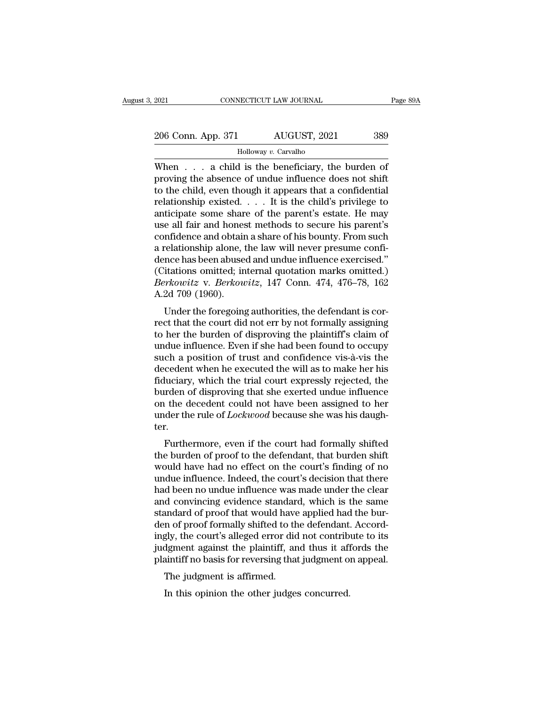| 2021               | CONNECTICUT LAW JOURNAL | Page 89A |
|--------------------|-------------------------|----------|
| 206 Conn. App. 371 | AUGUST, 2021            | 389      |
|                    | Holloway v. Carvalho    |          |

 $\begin{array}{r|l} \text{2021} & \text{CONRECTICUT LAW JOURNAL} & \text{Page 89/} \ \hline \text{206 Conn. App. 371} & \text{AUGUST, 2021} & \text{389} \ \hline \text{Holloway } v. \text{ Carvalho} & \text{When } \dots \text{ a child is the benefiticary, the burden of proving the absence of undue influence does not shift to the child, even though it appears that a confidential.} \end{array}$ 206 Conn. App. 371 AUGUST, 2021 389<br>
Holloway v. Carvalho<br>
When  $\ldots$  a child is the beneficiary, the burden of<br>
proving the absence of undue influence does not shift<br>
to the child, even though it appears that a confident 206 Conn. App. 371 AUGUST, 2021 389<br>
Holloway v. Carvalho<br>
When . . . a child is the beneficiary, the burden of<br>
proving the absence of undue influence does not shift<br>
to the child, even though it appears that a confident 206 Conn. App. 371 AUGUST, 2021 389<br>
Holloway v. Carvalho<br>
When . . . a child is the beneficiary, the burden of<br>
proving the absence of undue influence does not shift<br>
to the child, even though it appears that a confident For the some state space of the parent's some share of the parent's estate. He may use all fair and honest methods to secure his parent's confidence and obtain a share of his bounty. From such confidence and obtain a shar Holloway v. Carvalho<br>
When . . . a child is the beneficiary, the burden of<br>
proving the absence of undue influence does not shift<br>
to the child, even though it appears that a confidential<br>
relationship existed. . . . It i When  $\dots$  a child is the beneficiary, the burden of<br>proving the absence of undue influence does not shift<br>to the child, even though it appears that a confidential<br>relationship existed.  $\dots$  It is the child's privilege to<br> proving the absence of undue influence does not shift<br>to the child, even though it appears that a confidential<br>relationship existed.  $\dots$  It is the child's privilege to<br>anticipate some share of the parent's estate. He may to the child, even though it appears that a confidential<br>relationship existed.... It is the child's privilege to<br>anticipate some share of the parent's estate. He may<br>use all fair and honest methods to secure his parent's<br> relationship existed. . . . It is the child's privilege to<br>anticipate some share of the parent's estate. He may<br>use all fair and honest methods to secure his parent's<br>confidence and obtain a share of his bounty. From such anticipate some share of the parent's estate. He may<br>use all fair and honest methods to secure his parent's<br>confidence and obtain a share of his bounty. From such<br>a relationship alone, the law will never presume confi-<br>den use all fair and hones<br>confidence and obtair<br>a relationship alone, 1<br>dence has been abuse<br>(Citations omitted; in<br>*Berkowitz* v. *Berkou*<br>A.2d 709 (1960).<br>Under the foregoing minderice and obtain a share of his bounty. From such<br>relationship alone, the law will never presume confi-<br>nce has been abused and undue influence exercised."<br>itations omitted; internal quotation marks omitted.)<br>*Prkowitz* a relationship alone, the law will hever presume com-<br>dence has been abused and undue influence exercised."<br>(Citations omitted; internal quotation marks omitted.)<br>Berkowitz v. Berkowitz, 147 Conn. 474, 476–78, 162<br>A.2d 709

dence has been abused and undue inhibitive exercised.<br>
(Citations omitted; internal quotation marks omitted.)<br> *Berkowitz* v. *Berkowitz*, 147 Conn. 474, 476–78, 162<br>
A.2d 709 (1960).<br>
Under the foregoing authorities, the (Chations onlitted, internal quotation marks onlitted.)<br>Berkowitz v. Berkowitz, 147 Conn. 474, 476–78, 162<br>A.2d 709 (1960).<br>Under the foregoing authorities, the defendant is cor-<br>rect that the court did not err by not form Berkowitz V. Berkowitz, 147 Collit. 474, 470–78, 102<br>A.2d 709 (1960).<br>Under the foregoing authorities, the defendant is cor-<br>rect that the court did not err by not formally assigning<br>to her the burden of disproving the pl decedent when the torrest in the will as to make the served that the court did not err by not formally assigning<br>to her the burden of disproving the plaintiff's claim of<br>undue influence. Even if she had been found to occup Under the foregoing authorities, the defendant is correct that the court did not err by not formally assigning<br>to her the burden of disproving the plaintiff's claim of<br>undue influence. Even if she had been found to occupy<br> rect that the court did not err by not formally assigning<br>to her the burden of disproving the plaintiff's claim of<br>undue influence. Even if she had been found to occupy<br>such a position of trust and confidence vis-à-vis the to her the burden of disproving the plaintiff's claim of<br>undue influence. Even if she had been found to occupy<br>such a position of trust and confidence vis-à-vis the<br>decedent when he executed the will as to make her his<br>fid undue influence. Even if she had been found to occupy<br>such a position of trust and confidence vis-à-vis the<br>decedent when he executed the will as to make her his<br>fiduciary, which the trial court expressly rejected, the<br>bur ter. Furthermore, even if the court had formally shifted<br>above the court expressly rejected, the<br>rden of disproving that she exerted undue influence<br>the decedent could not have been assigned to her<br>der the rule of *Lockwood* be the burden of disproving that she exerted undue influence<br>on the decedent could not have been assigned to her<br>under the rule of *Lockwood* because she was his daugh-<br>ter.<br>Furthermore, even if the court had formally shifted

butuen of usproving that site exerted undue influence<br>on the decedent could not have been assigned to her<br>under the rule of *Lockwood* because she was his daugh-<br>ter.<br>Furthermore, even if the court had formally shifted<br>th on the decedent could not have been assigned to her<br>under the rule of *Lockwood* because she was his daugh-<br>ter.<br>Furthermore, even if the court had formally shifted<br>the burden of proof to the defendant, that burden shift<br>w mader the rule of *Lockwood* because she was his daughter.<br>Furthermore, even if the court had formally shifted<br>the burden of proof to the defendant, that burden shift<br>would have had no effect on the court's finding of no<br>u Furthermore, even if the court had formally shifted<br>the burden of proof to the defendant, that burden shift<br>would have had no effect on the court's finding of no<br>undue influence. Indeed, the court's decision that there<br>had Furthermore, even if the court had formally shifted<br>the burden of proof to the defendant, that burden shift<br>would have had no effect on the court's finding of no<br>undue influence. Indeed, the court's decision that there<br>had the burden of proof to the defendant, that burden shift<br>would have had no effect on the court's finding of no<br>undue influence. Indeed, the court's decision that there<br>had been no undue influence was made under the clear<br>an would have had no effect on the court's finding of no<br>undue influence. Indeed, the court's decision that there<br>had been no undue influence was made under the clear<br>and convincing evidence standard, which is the same<br>standa undue influence. Indeed, the court's decision that there<br>had been no undue influence was made under the clear<br>and convincing evidence standard, which is the same<br>standard of proof that would have applied had the bur-<br>den o had been no undue influence was made under the clear<br>and convincing evidence standard, which is the same<br>standard of proof that would have applied had the bur-<br>den of proof formally shifted to the defendant. Accord-<br>ingly, In convincing evidence standard<br>andard of proof that would have<br>in of proof formally shifted to the<br>gly, the court's alleged error did<br>dgment against the plaintiff, are<br>aintiff no basis for reversing that<br>The judgment is a In the other diagonal shifted to the defendant dipped the court's alleged error did not contribulges concurred.<br>In this obsis for reversing that judgment of the judgment is affirmed.<br>In this opinion the other judges concur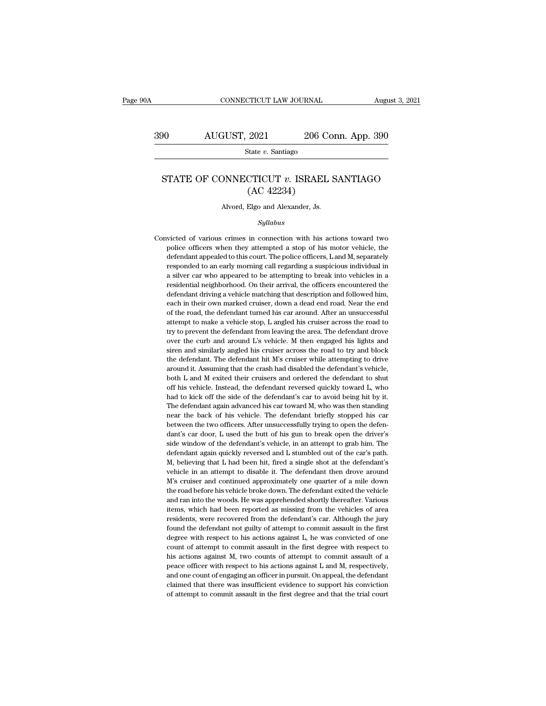CONNECTICUT LAW JOURNAL August 3, 2021<br>390 AUGUST, 2021 206 Conn. App. 390<br>State v. Santiago

State *v.* Santiago

### AUGUST, 2021 206 Conn. App. 390<br>State *v.* Santiago<br>STATE OF CONNECTICUT *v.* ISRAEL SANTIAGO<br>(AC 42234)  $\begin{array}{ll} \textbf{2021} & \textbf{206 C} \\ \textbf{State $v$. Santiago} \\ \textbf{CTICUT $v$. ISRAEL} \\ \textbf{(AC 42234)} \\ \textbf{Elgo and Alexander, Js.} \end{array}$ STATE OF CONNECTICUT  $v$ . ISRAEL SANTIAGO<br>(AC 42234)<br>Alvord, Elgo and Alexander, Js.

### *Syllabus*

 $(AC 42234)$ <br>Alvord, Elgo and Alexander, Js.<br>Syllabus<br>Convicted of various crimes in connection with his actions toward two<br>police officers when they attempted a stop of his motor vehicle, the Alvord, Elgo and Alexander, Js.<br>Syllabus<br>victed of various crimes in connection with his actions toward two<br>police officers when they attempted a stop of his motor vehicle, the<br>defendant appealed to this court. The police Alvord, Elgo and Alexander, Js.<br>
Syllabus<br>
victed of various crimes in connection with his actions toward two<br>
police officers when they attempted a stop of his motor vehicle, the<br>
defendant appealed to this court. The pol *Syllabus*<br>*Syllabus*<br>victed of various crimes in connection with his actions toward two<br>police officers when they attempted a stop of his motor vehicle, the<br>defendant appealed to this court. The police officers, L and M, syllabus<br>silver connection with his actions toward two<br>police officers when they attempted a stop of his motor vehicle, the<br>defendant appealed to this court. The police officers, L and M, separately<br>responded to an early m victed of various crimes in connection with his actions toward two<br>police officers when they attempted a stop of his motor vehicle, the<br>defendant appealed to this court. The police officers, L and M, separately<br>responded t police officers when they attempted a stop of his motor vehicle, the defendant appealed to this court. The police officers, L and M, separately responded to an early morning call regarding a suspicious individual in a silv defendant appealed to this court. The police officers, Land M, separately responded to an early morning call regarding a suspicious individual in a silver car who appeared to be attempting to break into vehicles in a resid responded to an early morning call regarding a suspicious individual in<br>a silver car who appeared to be attempting to break into vehicles in a<br>residential neighborhood. On their arrival, the officers encountered the<br>defend a silver car who appeared to be attempting to break into vehicles in a residential neighborhood. On their arrival, the officers encountered the defendant driving a vehicle matching that description and followed him, each i residential neighborhood. On their arrival, the officers encountered the defendant driving a vehicle matching that description and followed him, each in their own marked cruiser, down a dead end road. Near the end of the r defendant driving a vehicle matching that description and followed him, each in their own marked cruiser, down a dead end road. Near the end of the road, the defendant turned his car around. After an unsuccessful attempt t each in their own marked cruiser, down a dead end road. Near the end<br>of the road, the defendant turned his car around. After an unsuccessful<br>attempt to make a vehicle stop, L angled his cruiser across the road to<br>try to pr of the road, the defendant turned his car around. After an unsuccessful attempt to make a vehicle stop, L angled his cruiser across the road to try to prevent the defendant from leaving the area. The defendant drove over t are the vehicle stop, L angled his cruiser across the road to the crash attempt to make a vehicle stop, L angled his cruiser across the road to to over the curb and around L's vehicle. M then engaged his lights and siren a about the defendant from leaving the area. The defendant drove<br>over the curb and around L's vehicle. M then engaged his lights and<br>siren and similarly angled his cruiser across the road to try and block<br>the defendant. The as the curb and around L's vehicle. M then engaged his lights and siren and similarly angled his cruiser across the road to try and block the defendant. The defendant hit M's cruiser while attempting to drive around it. As siren and similarly angled his cruiser across the road to try and block<br>the defendant. The defendant hit M's cruiser while attempting to drive<br>around it. Assuming that the crash had disabled the defendant's vehicle,<br>both the defendant. The defendant hit M's cruiser while attempting to drive around it. Assuming that the crash had disabled the defendant's vehicle, both L and M exited their cruisers and ordered the defendant to shut off his v around it. Assuming that the crash had disabled the defendant's vehicle, both L and M exited their cruisers and ordered the defendant to shut off his vehicle. Instead, the defendant reversed quickly toward L, who had to ki around it. Assuming that the crash had disabled the defendant's vehicle, both L and M exited their cruisers and ordered the defendant to shut off his vehicle. Instead, the defendant reversed quickly toward L, who had to k off his vehicle. Instead, the defendant reversed quickly toward L, who had to kick off the side of the defendant's car to avoid being hit by it. The defendant again advanced his car toward M, who was then standing near the had to kick off the side of the defendant's car to avoid being hit by it.<br>The defendant again advanced his car toward M, who was then standing<br>near the back of his vehicle. The defendant briefly stopped his car<br>between the The defendant again advanced his car toward M, who was then standing<br>near the back of his vehicle. The defendant briefly stopped his car<br>between the two officers. After unsuccessfully trying to open the defen-<br>dant's car d near the back of his vehicle. The defendant briefly stopped his car<br>between the two officers. After unsuccessfully trying to open the defen-<br>dant's car door, L used the butt of his gun to break open the driver's<br>side windo between the two officers. After unsuccessfully trying to open the defendant's car door, L used the butt of his gun to break open the driver's side window of the defendant's vehicle, in an attempt to grab him. The defendant dant's car door, L used the butt of his gun to break open the driver's side window of the defendant's vehicle, in an attempt to grab him. The defendant again quickly reversed and L stumbled out of the car's path. M, believ side window of the defendant's vehicle, in an attempt to grab him. The defendant again quickly reversed and L stumbled out of the car's path. M, believing that L had been hit, fired a single shot at the defendant's vehicle defendant again quickly reversed and L stumbled out of the car's path. M, believing that L had been hit, fired a single shot at the defendant's vehicle in an attempt to disable it. The defendant then drove around M's cruis M, believing that L had been hit, fired a single shot at the defendant's vehicle in an attempt to disable it. The defendant then drove around M's cruiser and continued approximately one quarter of a mile down the road befo vehicle in an attempt to disable it. The defendant then drove around M's cruiser and continued approximately one quarter of a mile down the road before his vehicle broke down. The defendant exited the vehicle and ran into  $M$ 's cruiser and continued approximately one quarter of a mile down<br>the road before his vehicle broke down. The defendant exited the vehicle<br>and ran into the woods. He was apprehended shortly thereafter. Various<br>items, w the road before his vehicle broke down. The defendant exited the vehicle and ran into the woods. He was apprehended shortly thereafter. Various items, which had been reported as missing from the vehicles of area residents, and ran into the woods. He was apprehended shortly thereafter. Various<br>items, which had been reported as missing from the vehicles of area<br>residents, were recovered from the defendant's car. Although the jury<br>found the def items, which had been reported as missing from the vehicles of area residents, were recovered from the defendant's car. Although the jury found the defendant not guilty of attempt to commit assault in the first degree with residents, were recovered from the defendant's car. Although the jury found the defendant not guilty of attempt to commit assault in the first degree with respect to his actions against L, he was convicted of one count of found the defendant not guilty of attempt to commit assault in the first degree with respect to his actions against L, he was convicted of one count of attempt to commit assault in the first degree with respect to his acti degree with respect to his actions against L, he was convicted of one count of attempt to commit assault in the first degree with respect to his actions against M, two counts of attempt to commit assault of a peace officer degree with respect to his actions against L, he was convicted of one count of attempt to commit assault in the first degree with respect to his actions against M, two counts of attempt to commit assault of a peace officer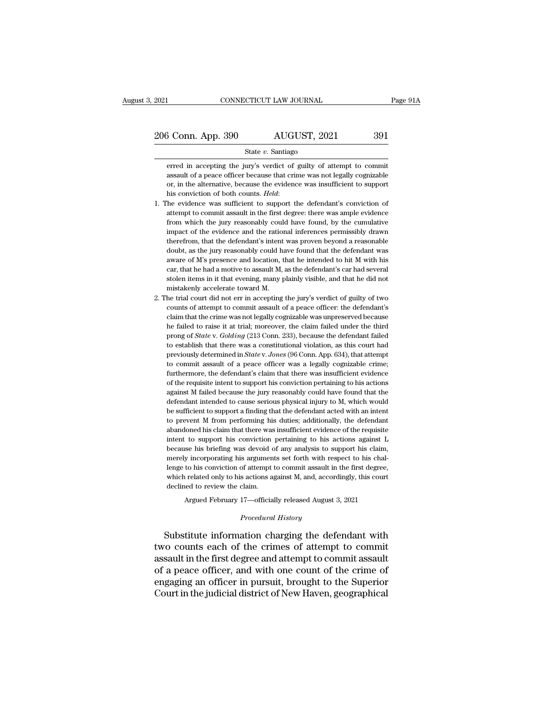From Servey and Servey and State v. Santiago<br>
State v. Santiago<br>
Freed in accepting the jury's verdict of guilty of attempt to commit<br>
assault of a peace officer because that crime was not legally cognizable 3 Conn. App. 390  $\overline{\text{AUGUST}}$ , 2021 391<br>State v. Santiago<br>erred in accepting the jury's verdict of guilty of attempt to commit<br>assault of a peace officer because that crime was not legally cognizable<br>or, in the alternativ **Solution** Coronside AUGUST, 2021 391<br>
State v. Santiago<br>
erred in accepting the jury's verdict of guilty of attempt to commit<br>
assault of a peace officer because that crime was not legally cognizable<br>
or, in the alternat State *v*. Santiago<br>
erred in accepting the jury's verdict of guilty of attempt to commit<br>
assault of a peace officer because that crime was not legally cognizable<br>
or, in the alternative, because the evidence was insuffic erred in accepting the jury's verdict of guilty of attempt to commit assault of a peace officer because that crime was not legally cognizable or, in the alternative, because the evidence was insufficient to support his con

- assault of a peace officer because that crime was not legally cognizable or, in the alternative, because the evidence was insufficient to support his conviction of both counts. *Held*: The evidence was sufficient to suppor or, in the alternative, because the evidence was insufficient to support his conviction of both counts. *Held*:<br>The evidence was sufficient to support the defendant's conviction of attempt to commit assault in the first de his conviction of both counts. *Held*:<br>the evidence was sufficient to support the defendant's conviction of<br>attempt to commit assault in the first degree: there was ample evidence<br>from which the jury reasonably could have he evidence was sufficient to support the defendant's conviction of attempt to commit assault in the first degree: there was ample evidence from which the jury reasonably could have found, by the cumulative impact of the e attempt to commit assault in the first degree: there was ample evidence<br>from which the jury reasonably could have found, by the cumulative<br>impact of the evidence and the rational inferences permissibly drawn<br>therefrom, tha from which the jury reasonably could have found, by the cumulative impact of the evidence and the rational inferences permissibly drawn therefrom, that the defendant's intent was proven beyond a reasonable doubt, as the ju impact of the evidence and the rational inferences permissibly drawn<br>therefrom, that the defendant's intent was proven beyond a reasonable<br>doubt, as the jury reasonably could have found that the defendant was<br>aware of M's impact of the evidence and the rational inferences permissibly drawn<br>therefrom, that the defendant's intent was proven beyond a reasonable<br>doubt, as the jury reasonably could have found that the defendant was<br>aware of M's doubt, as the jury reasonably could have found that the defendant was aware of M's presence and location, that he intended to hit M with his car, that he had a motive to assault M, as the defendant's car had several stole aware of M's presence and location, that he intended to hit M with his car, that he had a motive to assault M, as the defendant's car had several stolen items in it that evening, many plainly visible, and that he did not m
- car, that he had a motive to assault M, as the defendant's car had several stolen items in it that evening, many plainly visible, and that he did not mistakenly accelerate toward M.<br>he trial court did not err in accepting stolen items in it that evening, many plainly visible, and that he did not<br>mistakenly accelerate toward M.<br>he trial court did not err in accepting the jury's verdict of guilty of two<br>counts of attempt to commit assault of mistakenly accelerate toward M.<br>he trial court did not err in accepting the jury's verdict of guilty of two<br>counts of attempt to commit assault of a peace officer: the defendant's<br>claim that the crime was not legally cogni the trial court did not err in accepting the jury's verdict of guilty of two counts of attempt to commit assault of a peace officer: the defendant's claim that the crime was not legally cognizable was unpreserved because h counts of attempt to commit assault of a peace officer: the defendant's claim that the crime was not legally cognizable was unpreserved because he failed to raise it at trial; moreover, the claim failed under the third pro claim that the crime was not legally cognizable was unpreserved because<br>the failed to raise it at trial; moreover, the claim failed under the third<br>prong of *State* v. *Golding* (213 Conn. 233), because the defendant fail he failed to raise it at trial; moreover, the claim failed under the third<br>prong of *State* v. *Golding* (213 Conn. 233), because the defendant failed<br>to establish that there was a constitutional violation, as this court h prong of *State* v. *Golding* (213 Conn. 233), because the defendant failed to establish that there was a constitutional violation, as this court had previously determined in *State* v. *Jones* (96 Conn. App. 634), that at to establish that there was a constitutional violation, as this court had previously determined in *State v. Jones* (96 Conn. App. 634), that attempt to commit assault of a peace officer was a legally cognizable crime; fur previously determined in *State* v. Jones (96 Conn. App. 634), that attempt<br>to commit assault of a peace officer was a legally cognizable crime;<br>furthermore, the defendant's claim that there was insufficient evidence<br>of th to commit assault of a peace officer was a legally cognizable crime;<br>furthermore, the defendant's claim that there was insufficient evidence<br>of the requisite intent to support his conviction pertaining to his actions<br>again furthermore, the defendant's claim that there was insufficient evidence of the requisite intent to support his conviction pertaining to his actions against M failed because the jury reasonably could have found that the def of the requisite intent to support his conviction pertaining to his actions<br>against M failed because the jury reasonably could have found that the<br>defendant intended to cause serious physical injury to M, which would<br>be su against M failed because the jury reasonably could have found that the defendant intended to cause serious physical injury to M, which would be sufficient to support a finding that the defendant acted with an intent to pre defendant intended to cause serious physical injury to M, which would<br>be sufficient to support a finding that the defendant acted with an intent<br>to prevent M from performing his duties; additionally, the defendant<br>abandone defendant intended to cause serious physical injury to M, which would<br>be sufficient to support a finding that the defendant acted with an intent<br>to prevent M from performing his duties; additionally, the defendant<br>abandone to prevent M from performing his duties; additionally, the defendant abandoned his claim that there was insufficient evidence of the requisite intent to support his conviction pertaining to his actions against L because hi abandoned his claim that there was insufficient evidence of the requisite intent to support his conviction pertaining to his actions against L because his briefing was devoid of any analysis to support his claim, merely in intent to support his conviction pertaining to his actions against L because his briefing was devoid of any analysis to support his claim, merely incorporating his arguments set forth with respect to his challenge to his See his briefing was devoid of any analysis to support his claim,<br>y incorporating his arguments set forth with respect to his chal-<br>to his conviction of attempt to commit assault in the first degree,<br>related only to his ac lenge to his conviction of attempt to commit assault in the first degree,<br>which related only to his actions against M, and, accordingly, this court<br>declined to review the claim.<br>Argued February 17—officially released Augus

Argued February 17—officially released August 3, 2021<br>*Procedural History*<br>Substitute information charging the defendant with which related only to his actions against M, and, accordingly, this court<br>declined to review the claim.<br>Argued February 17—officially released August 3, 2021<br>*Procedural History*<br>Substitute information charging the defenda declined to review the claim.<br>
Argued February 17—officially released August 3, 2021<br>
Procedural History<br>
Substitute information charging the defendant with<br>
two counts each of the crimes of attempt to commit<br>
assault in t Argued February 17—officially released August 3, 2021<br>
Procedural History<br>
Substitute information charging the defendant with<br>
two counts each of the crimes of attempt to commit<br>
assault in the first degree and attempt to Procedural History<br>Substitute information charging the defendant with<br>two counts each of the crimes of attempt to commit<br>assault in the first degree and attempt to commit assault<br>of a peace officer, and with one count of t Substitute information charging the defendant with<br>two counts each of the crimes of attempt to commit<br>assault in the first degree and attempt to commit assault<br>of a peace officer, and with one count of the crime of<br>engagin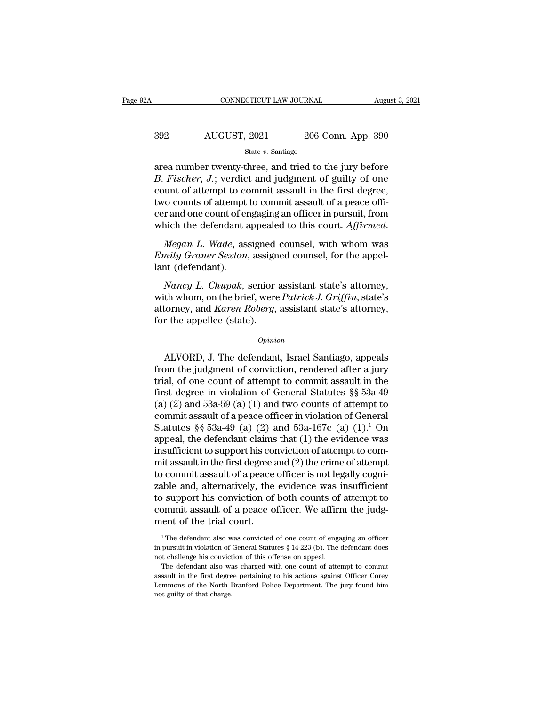## CONNECTICUT LAW JOURNAL August 3, 2021<br>392 AUGUST, 2021 206 Conn. App. 390<br>5tate v. Santiago State *v.* Santiago

CONNECTICUT LAW JOURNAL August 3, 2021<br>
area number twenty-three, and tried to the jury before<br> *B. Fischer*, J.; verdict and judgment of guilty of one<br>
area number twenty-three, and tried to the jury before *B. Fischer, J.*; verdict and judgment of guilty of one<br> *B. Fischer, J.*; verdict and judgment of guilty of one<br> *B. Fischer, J.*; verdict and judgment of guilty of one<br>
count of attempt to commit assault in the first deg  $\frac{\text{392}}{\text{State } v. \text{ Santiago}}$ <br>  $\frac{\text{State } v. \text{ Santiago}}{\text{area number twenty-three, and tried to the jury before}}$ <br> *B. Fischer, J.*; verdict and judgment of guilty of one<br>
count of attempt to commit assault in the first degree,<br>
two counts of attempt to commit assault of a peac  $\frac{392}{\text{State } v. \text{ Santiago}}$ <br>  $\frac{\text{State } v. \text{ Santiago}}{\text{area number twenty-three, and tried to the jury before}}$ <br>  $B. Fischer, J.; verdict and judgment of guilty of one count of attempt to commit assault in the first degree, two counts of attempt to commit assault of a peace officer and one count of engaging an officer in pursuit, from which the defendant annealed to this court.$ State v. Santiago<br>
State v. Santiago<br>
area number twenty-three, and tried to the jury before<br>
B. Fischer, J.; verdict and judgment of guilty of one<br>
count of attempt to commit assault in the first degree,<br>
two counts of a state *v*. santiago<br>area number twenty-three, and tried to the jury before<br>*B. Fischer*, *J*.; verdict and judgment of guilty of one<br>count of attempt to commit assault in the first degree,<br>two counts of attempt to commit a *End to senter, s.i, vertace and jaughtent of gancy of one*<br>count of attempt to commit assault in the first degree,<br>two counts of attempt to commit assault of a peace offi-<br>cer and one count of engaging an officer in pursu because of attempt<br>two counts of attempt<br>cer and one count of er<br>which the defendant a<br>*Megan L. Wade*, ass<br>*Emily Graner Sexton*,<br>lant (defendant).<br>*Nancy L. Chupak*,

*n* and one count of engaging an officer in pursuit, from<br>
ich the defendant appealed to this court. Affirmed.<br> *Megan L. Wade*, assigned counsel, with whom was<br>
mily Graner Sexton, assigned counsel, for the appel-<br>
and (d

which the defendant appealed to this court. *Affirmed.*<br> *Megan L. Wade*, assigned counsel, with whom was<br> *Emily Graner Sexton*, assigned counsel, for the appel-<br>
lant (defendant).<br> *Nancy L. Chupak*, senior assistant sta Megan L. Wade, assigned counsel, with whom was <br>Emily Graner Sexton, assigned counsel, for the appel-<br>lant (defendant).<br>Nancy L. Chupak, senior assistant state's attorney,<br>with whom, on the brief, were *Patrick J. Griffin Emily Graner Sexton*, assigned<br>*Emily Graner Sexton*, assign<br>lant (defendant).<br>*Nancy L. Chupak*, senior<br>with whom, on the brief, were<br>attorney, and *Karen Roberg*,<br>for the appellee (state).<br>*Opinio* Nancy L. Chupak, senior assistant state's attorney,<br>th whom, on the brief, were *Patrick J. Griffin*, state's<br>torney, and *Karen Roberg*, assistant state's attorney,<br>r the appellee (state).<br> $opinion$ <br>ALVORD, J. The defendant,

### *Opinion*

with whom, on the brief, were *Patrick J. Griffin*, state's<br>attorney, and *Karen Roberg*, assistant state's attorney,<br>for the appellee (state).<br> $o_{pinion}$ <br>ALVORD, J. The defendant, Israel Santiago, appeals<br>from the judgment attorney, and *Karen Roberg*, assistant state's attorney,<br>for the appellee (state).<br> $\qquad$ <br> $\qquad$   $\qquad$   $\qquad$   $\qquad$   $\qquad$   $\qquad$   $\qquad$   $\qquad$   $\qquad$   $\qquad$   $\qquad$   $\qquad$   $\qquad$   $\qquad$   $\qquad$   $\qquad$   $\qquad$   $\qquad$   $\qquad$   $\qquad$   $\qquad$   $\qquad$ for the appellee (state).<br>  $\omega_{pinion}$ <br>
ALVORD, J. The defendant, Israel Santiago, appeals<br>
from the judgment of conviction, rendered after a jury<br>
trial, of one count of attempt to commit assault in the<br>
first degree in vio (a)  $\alpha$  and  $\alpha$  and  $\alpha$  and  $\alpha$  and  $\alpha$  and  $\alpha$  and  $\alpha$  and  $\alpha$  and  $\alpha$  and  $\alpha$  are  $\alpha$  attempt to commit assault in the first degree in violation of General Statutes §§ 53a-49 (a) (2) and 53a-59 (a) (1) and tw ALVORD, J. The defendant, Israel Santiago, appeals<br>from the judgment of conviction, rendered after a jury<br>trial, of one count of attempt to commit assault in the<br>first degree in violation of General Statutes §§ 53a-49<br>(a) ALVORD, J. The defendant, Israel Santiago, appeals<br>from the judgment of conviction, rendered after a jury<br>trial, of one count of attempt to commit assault in the<br>first degree in violation of General Statutes §§ 53a-49<br>(a) from the judgment of conviction, rendered after a jury<br>trial, of one count of attempt to commit assault in the<br>first degree in violation of General Statutes §§ 53a-49<br>(a) (2) and 53a-59 (a) (1) and two counts of attempt t trial, of one count of attempt to commit assault in the<br>first degree in violation of General Statutes §§ 53a-49<br>(a) (2) and 53a-59 (a) (1) and two counts of attempt to<br>commit assault of a peace officer in violation of Gen first degree in violation of General Statutes §§ 53a-49<br>(a) (2) and 53a-59 (a) (1) and two counts of attempt to<br>commit assault of a peace officer in violation of General<br>Statutes §§ 53a-49 (a) (2) and 53a-167c (a) (1).<sup>1</sup> (a) (2) and 53a-59 (a) (1) and two counts of attempt to commit assault of a peace officer in violation of General Statutes  $\S$  53a-49 (a) (2) and 53a-167c (a) (1).<sup>1</sup> On appeal, the defendant claims that (1) the evidence commit assault of a peace officer in violation of General<br>Statutes §§ 53a-49 (a) (2) and 53a-167c (a) (1).<sup>1</sup> On<br>appeal, the defendant claims that (1) the evidence was<br>insufficient to support his conviction of attempt to Statutes  $\S$  53a-49 (a) (2) and 53a-167c (a) (1).<sup>1</sup> On<br>appeal, the defendant claims that (1) the evidence was<br>insufficient to support his conviction of attempt to com-<br>mit assault in the first degree and (2) the crime of appeal, the defendant claims that (1) the evidence was<br>insufficient to support his conviction of attempt to com-<br>mit assault in the first degree and (2) the crime of attempt<br>to commit assault of a peace officer is not lega insufficient to support his commit assault in the first degree at<br>to commit assault of a peace<br>zable and, alternatively, the<br>to support his conviction of<br>commit assault of a peace of<br>ment of the trial court. 1 The defendant also was convicted of one count of engaging an officer<br>
1 The defendant also was convicted of one count of engaging an officer<br>
1 The defendant also was convicted of one count of engaging an officer<br>
1 The to support his conviction of both counts of attempt to commit assault of a peace officer. We affirm the judgment of the trial court.<br> $\frac{1}{1}$ The defendant also was convicted of one count of engaging an officer in pursuit

commit assault of a peace officer. We affirm<br>ment of the trial court.<br><sup>1</sup>The defendant also was convicted of one count of engain<br>in pursuit in violation of General Statutes § 14-223 (b). The or<br>not challenge his conviction The defendant also was convicted of one count of engaging an officer<br>  $\frac{1}{1}$  The defendant also was convicted of one count of engaging an officer<br>
pursuit in violation of General Statutes § 14-223 (b). The defendant do

The first degree pertaining to the count of engaging an officer<br>in pursuit in violation of General Statutes  $\S 14-223$  (b). The defendant does<br>not challenge his conviction of this offense on appeal.<br>The defendant also was <sup>1</sup> The defendant also was convicted of one count of engaging an officer in pursuit in violation of General Statutes  $\S$  14-223 (b). The defendant does not challenge his conviction of this offense on appeal. The defendant in pursuit in violation of General Statutes  $\S$  14-223 (b). The defendant does not challenge his conviction of this offense on appeal.<br>The defendant also was charged with one count of attempt to commit as<br>sault in the fir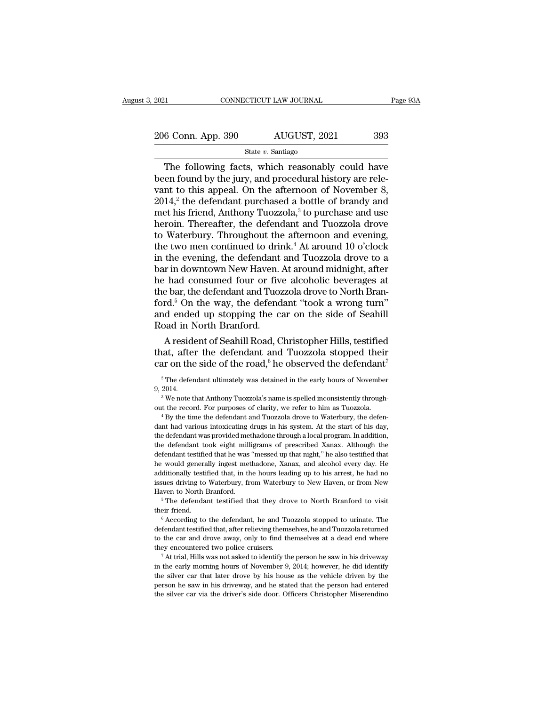2021 CONNECTICUT LAW JOURNAL Page 93A<br>
206 Conn. App. 390 AUGUST, 2021 393<br>
State v. Santiago

### State *v.* Santiago

 $\begin{array}{ccc}\n & \text{COMNETICUT LAW JOURNAL} & \text{Page 93A} \\
\hline\n 6 \text{Conn. App. 390} & \text{AUGUST, 2021} & \text{393} \\
 \text{State } v. \text{ Santiago} & \text{The following facts, which reasonably could have}\n\end{array}$ 206 Conn. App. 390  $\frac{\text{AUGUST, 2021}}{\text{State } v \cdot \text{ Santiago}}$ <br>The following facts, which reasonably could have been found by the jury, and procedural history are rele-<br>vant to this appeal. On the afternoon of November 8,<br>2014 <sup>2</sup> the 206 Conn. App. 390 AUGUST, 2021 393<br>
State v. Santiago<br>
The following facts, which reasonably could have<br>
been found by the jury, and procedural history are rele-<br>
vant to this appeal. On the afternoon of November 8,<br>
201 206 Conn. App. 390 AUGUST, 2021 393<br>
State v. Santiago<br>
The following facts, which reasonably could have<br>
been found by the jury, and procedural history are rele-<br>
vant to this appeal. On the afternoon of November 8,<br>
201 The following facts, which reasonably could have<br>been found by the jury, and procedural history are rele-<br>vant to this appeal. On the afternoon of November 8,<br>2014,<sup>2</sup> the defendant purchased a bottle of brandy and<br>met hi State v. Santiago<br>The following facts, which reasonably could have<br>been found by the jury, and procedural history are rele-<br>vant to this appeal. On the afternoon of November 8,<br> $2014$ ,<sup>2</sup> the defendant purchased a bottle The following facts, which reasonably could have<br>been found by the jury, and procedural history are rele-<br>vant to this appeal. On the afternoon of November 8,<br> $2014$ ,<sup>2</sup> the defendant purchased a bottle of brandy and<br>met been found by the jury, and procedural history are rele-<br>vant to this appeal. On the afternoon of November 8,<br>2014,<sup>2</sup> the defendant purchased a bottle of brandy and<br>met his friend, Anthony Tuozzola,<sup>3</sup> to purchase and use vant to this appeal. On the afternoon of November 8,<br>2014,<sup>2</sup> the defendant purchased a bottle of brandy and<br>met his friend, Anthony Tuozzola,<sup>3</sup> to purchase and use<br>heroin. Thereafter, the defendant and Tuozzola drove<br>to  $2014$ ,<sup>2</sup> the defendant purchased a bottle of brandy and<br>met his friend, Anthony Tuozzola,<sup>3</sup> to purchase and use<br>heroin. Thereafter, the defendant and Tuozzola drove<br>to Waterbury. Throughout the afternoon and evening,<br>t met his friend, Anthony Tuozzola,<sup>3</sup> to purchase and use<br>heroin. Thereafter, the defendant and Tuozzola drove<br>to Waterbury. Throughout the afternoon and evening,<br>the two men continued to drink.<sup>4</sup> At around 10 o'clock<br>in t heroin. Thereafter, the defendant and Tuozzola drove<br>to Waterbury. Throughout the afternoon and evening,<br>the two men continued to drink.<sup>4</sup> At around 10 o'clock<br>in the evening, the defendant and Tuozzola drove to a<br>bar in to Waterbury. Throughout the afternoon and evening,<br>the two men continued to drink.<sup>4</sup> At around 10 o'clock<br>in the evening, the defendant and Tuozzola drove to a<br>bar in downtown New Haven. At around midnight, after<br>he had the two men continued to drink.<sup>4</sup> At around 10 o'clock<br>in the evening, the defendant and Tuozzola drove to a<br>bar in downtown New Haven. At around midnight, after<br>he had consumed four or five alcoholic beverages at<br>the bar in the evening, the defendant<br>bar in downtown New Haven.<br>he had consumed four or fiv<br>the bar, the defendant and Tuoz<br>ford.<sup>5</sup> On the way, the defend<br>and ended up stopping the c:<br>Road in North Branford.<br>A resident of Seahil r in downtown New Haven. At around midnight, after<br>
chad consumed four or five alcoholic beverages at<br>
e bar, the defendant and Tuozzola drove to North Bran-<br>
rd.<sup>5</sup> On the way, the defendant "took a wrong turn"<br>
d ended u the had consumed four or five alcoholic beverages at<br>the bar, the defendant and Tuozzola drove to North Bran-<br>ford.<sup>5</sup> On the way, the defendant "took a wrong turn"<br>and ended up stopping the car on the side of Seahill<br>Roa the bar, the defendant and Tuozzola drove to North Branford.<sup>5</sup> On the way, the defendant "took a wrong turn" and ended up stopping the car on the side of Seahill Road in North Branford.<br>A resident of Seahill Road, Christ

A resident of Seahill Road, Christopher Hills, testified<br>aat, after the defendant and Tuozzola stopped their<br>ar on the side of the road,<sup>6</sup> he observed the defendant<sup>7</sup><br> $\frac{2 \text{ The}}{2 \cdot 11}$ <br> $\frac{2 \text{ The of the value of the area of the car}}{2 \cdot 11}$ A resident of Seahill Road, Christopher Hills, testified<br>that, after the defendant and Tuozzola stopped their<br>car on the side of the road,  $6$  he observed the defendant<sup>7</sup><br> $\frac{2}{1}$ The defendant ultimately was detained in

out the side of the road,<sup>6</sup> he observed the defendant<sup>7</sup><br><sup>2</sup> The defendant ultimately was detained in the early hours of November<br>9, 2014.<br><sup>3</sup> We note that Anthony Tuozzola's name is spelled inconsistently through-<br>out t <sup>2</sup> The defendant ultimately was detained in the early hours of November 9, 2014.<br>
<sup>3</sup> We note that Anthony Tuozzola's name is spelled inconsistently throughout the record. For purposes of clarity, we refer to him as Tuoz 9, 2014.<br>
<sup>3</sup> We note that Anthony Tuozzola's name is spelled inconsistently throughout the record. For purposes of clarity, we refer to him as Tuozzola.<br>
<sup>4</sup> By the time the defendant and Tuozzola drove to Waterbury, the <sup>3</sup> We note that Anthony Tuozzola's name is spelled inconsistently throughout the record. For purposes of clarity, we refer to him as Tuozzola.<br><sup>4</sup> By the time the defendant and Tuozzola drove to Waterbury, the defendant out the record. For purposes of clarity, we refer to him as Tuozzola.<br>
<sup>4</sup> By the time the defendant and Tuozzola drove to Waterbury, the defendant had various intoxicating drugs in his system. At the start of his day,<br>
th <sup>4</sup> By the time the defendant and Tuozzola drove to Waterbury, the defendant had various intoxicating drugs in his system. At the start of his day, the defendant was provided methadone through a local program. In addition, dant had various intoxicating drugs in his system. At the start of his day, the defendant was provided methadone through a local program. In addition, the defendant took eight milligrams of prescribed Xanax. Although the d is the defendant was provided methadone through a local program. In addition, the defendant took eight milligrams of prescribed Xanax. Although the defendant testified that he was "messed up that night," he also testified the defendant took eight milligrams of prescribed Xanax. Although the defendant testified that he was "messed up that night," he also testified that he would generally ingest methadone, Xanax, and alcohol every day. He add the would generally ingest methadone, Xanax, and alcohol every day. He additionally testified that, in the hours leading up to his arrest, he had no issues driving to Waterbury, from Waterbury to New Haven, or from New Hav

definition of Materbury, from Waterbury to New Haven, or from New Haven to North Branford.<br>
Free defendant testified that they drove to North Branford to visit their friend.<br>
Free defendant testified that, he and Tuozzola Haven to North Branford.<br>
<sup>5</sup> The defendant testified that they drove to North Branford to visit<br>
their friend.<br>
<sup>6</sup> According to the defendant, he and Tuozzola stopped to urinate. The<br>
defendant testified that, after reli The defendant testified that they drove to North Branford to visit<br>their friend.<br>
Corording to the defendant, he and Tuozzola stopped to urinate. The<br>defendant testified that, after relieving themselves, he and Tuozzola r <sup>6</sup> According to the defendant, he and Tuozzola stopped to urinate. The defendant testified that, after relieving themselves, he and Tuozzola returned to the car and drove away, only to find themselves at a dead end where

defendant testified that, after relieving themselves, he and Tuozzola returned<br>to the car and drove away, only to find themselves at a dead end where<br>they encountered two police cruisers.<br><sup>7</sup> At trial, Hills was not asked to the car and drove away, only to find themselves at a dead end where they encountered two police cruisers.<br>
<sup>7</sup> At trial, Hills was not asked to identify the person he saw in his driveway in the early morning hours of No to the car and drove away, only to find themselves at a dead end where<br>they encountered two police cruisers.<br><sup>7</sup> At trial, Hills was not asked to identify the person he saw in his driveway<br>in the early morning hours of Nov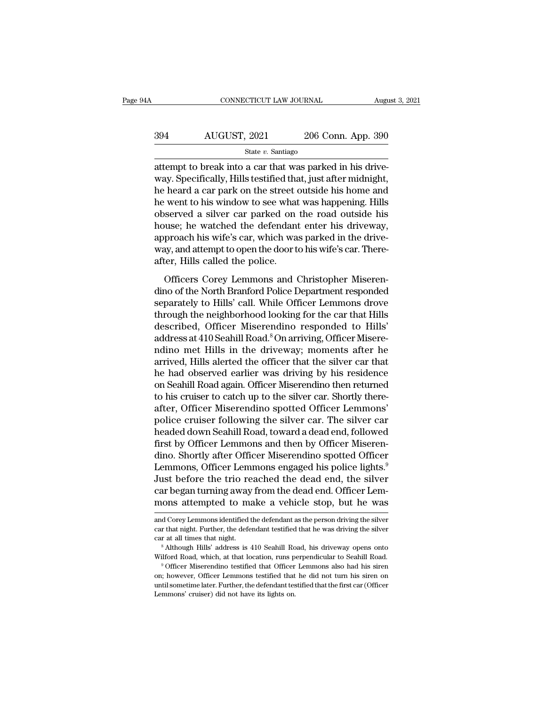## CONNECTICUT LAW JOURNAL August 3, 2021<br>394 AUGUST, 2021 206 Conn. App. 390<br>5tate v. Santiago State *v.* Santiago

CONNECTICUT LAW JOURNAL Augu<br>
206 Conn. App. 390<br>
394 AUGUST, 2021 206 Conn. App. 390<br>
31 State v. Santiago<br>
31 attempt to break into a car that was parked in his drive-<br>
4 way. Specifically, Hills testified that, just aft  $\frac{394}{\text{N}}$  AUGUST, 2021 206 Conn. App. 390<br>  $\frac{\text{State } v. \text{ Santiago}}{\text{patternpt to break into a car that was parked in his drive-}$ <br>
way. Specifically, Hills testified that, just after midnight,<br>
the heard a car park on the street outside his home and<br>
the wort to bis  $\frac{\text{AUGUST, 2021}}{\text{State } v. \text{ Santiago}}$ <br>  $\frac{\text{State } v. \text{ Santiago}}{\text{attempt to break into a car that was parked in his drive-}}$ <br>
way. Specifically, Hills testified that, just after midnight,<br>
he heard a car park on the street outside his home and<br>
he went to his window to see what w  $\frac{\text{AUGUST, 2021}}{\text{State } v. \text{ Santiago}}$ <br>  $\frac{\text{State } v. \text{ Santiago}}{\text{after, 2021}}$ <br>
attempt to break into a car that was parked in his drive-<br>
way. Specifically, Hills testified that, just after midnight,<br>
he heard a car park on the street outsi State v. Santiago<br>
State v. Santiago<br>
attempt to break into a car that was parked in his drive-<br>
way. Specifically, Hills testified that, just after midnight,<br>
he heard a car park on the street outside his home and<br>
he we state  $v$ . santago<br>attempt to break into a car that was parked in his drive-<br>way. Specifically, Hills testified that, just after midnight,<br>he heard a car park on the street outside his home and<br>he went to his window to se attempt to break into a car that was parked in his drive-<br>way. Specifically, Hills testified that, just after midnight,<br>he heard a car park on the street outside his home and<br>he went to his window to see what was happening way. Specifically, Hills testified that, just after midnight,<br>he heard a car park on the street outside his home and<br>he went to his window to see what was happening. Hills<br>observed a silver car parked on the road outside h he heard a car park on the street of<br>he went to his window to see what<br>observed a silver car parked on<br>house; he watched the defendant<br>approach his wife's car, which wa<br>way, and attempt to open the door to<br>after, Hills cal Served a silver car parked on the road outside his<br>served a silver car parked on the road outside his<br>suse; he watched the defendant enter his driveway,<br>proach his wife's car, which was parked in the drive-<br>ay, and attempt bouse; he watched the defendant enter his driveway,<br>house; he watched the defendant enter his driveway,<br>approach his wife's car, which was parked in the drive-<br>way, and attempt to open the door to his wife's car. There-<br>af

separately to Hills's car, which was parked in the drive-<br>way, and attempt to open the door to his wife's car. Thereafter, Hills called the police.<br>Officers Corey Lemmons and Christopher Miserendino of the North Branford P the neighborhood looking for the car that Hills<br>deter, Hills called the police.<br>Officers Corey Lemmons and Christopher Miseren-<br>dino of the North Branford Police Department responded<br>separately to Hills' call. While Office description of the present of the discrepance of the discrepance of the North Branford Police Department responded separately to Hills' call. While Officer Lemmons drove through the neighborhood looking for the car that Hi and Christopher Miseren-<br>Officers Corey Lemmons and Christopher Miseren-<br>dino of the North Branford Police Department responded<br>separately to Hills' call. While Officer Lemmons drove<br>through the neighborhood looking for th Officers Corey Lemmons and Christopher Miseren-<br>dino of the North Branford Police Department responded<br>separately to Hills' call. While Officer Lemmons drove<br>through the neighborhood looking for the car that Hills<br>describe dino of the North Branford Police Department responded<br>separately to Hills' call. While Officer Lemmons drove<br>through the neighborhood looking for the car that Hills<br>described, Officer Miserendino responded to Hills'<br>addre separately to Hills' call. While Officer Lemmons drove<br>through the neighborhood looking for the car that Hills<br>described, Officer Miserendino responded to Hills'<br>address at 410 Seahill Road.<sup>8</sup> On arriving, Officer Miserethrough the neighborhood looking for the car that Hills<br>described, Officer Miserendino responded to Hills'<br>address at 410 Seahill Road.<sup>8</sup> On arriving, Officer Misere-<br>ndino met Hills in the driveway; moments after he<br>arri described, Officer Miserendino responded to Hills'<br>address at 410 Seahill Road.<sup>8</sup> On arriving, Officer Misere-<br>ndino met Hills in the driveway; moments after he<br>arrived, Hills alerted the officer that the silver car that<br> address at 410 Seahill Road.<sup>8</sup> On arriving, Officer Miserendino met Hills in the driveway; moments after he arrived, Hills alerted the officer that the silver car that he had observed earlier was driving by his residence ndino met Hills in the driveway; moments after he<br>arrived, Hills alerted the officer that the silver car that<br>he had observed earlier was driving by his residence<br>on Seahill Road again. Officer Miserendino then returned<br>to arrived, Hills alerted the officer that the silver car that<br>he had observed earlier was driving by his residence<br>on Seahill Road again. Officer Miserendino then returned<br>to his cruiser to catch up to the silver car. Shortl he had observed earlier was driving by his residence<br>on Seahill Road again. Officer Miserendino then returned<br>to his cruiser to catch up to the silver car. Shortly there-<br>after, Officer Miserendino spotted Officer Lemmons' on Seahill Road again. Officer Miserendino then returned<br>to his cruiser to catch up to the silver car. Shortly there-<br>after, Officer Miserendino spotted Officer Lemmons'<br>police cruiser following the silver car. The silver to his cruiser to catch up to the silver car. Shortly thereafter, Officer Miserendino spotted Officer Lemmons'<br>police cruiser following the silver car. The silver car<br>headed down Seahill Road, toward a dead end, followed<br>f after, Officer Miserendino spotted Officer Lemmons'<br>police cruiser following the silver car. The silver car<br>headed down Seahill Road, toward a dead end, followed<br>first by Officer Lemmons and then by Officer Miseren-<br>dino. police cruiser following the silver car. The silver car<br>headed down Seahill Road, toward a dead end, followed<br>first by Officer Lemmons and then by Officer Miseren-<br>dino. Shortly after Officer Miserendino spotted Officer<br>Le headed down Seahill Road, toward a dead end, followed<br>first by Officer Lemmons and then by Officer Miseren-<br>dino. Shortly after Officer Miserendino spotted Officer<br>Lemmons, Officer Lemmons engaged his police lights.<sup>9</sup><br>Jus Lemmons, Officer Lemmons engaged his police lights.<sup>9</sup><br>Just before the trio reached the dead end, the silver<br>car began turning away from the dead end. Officer Lem-<br>mons attempted to make a vehicle stop, but he was<br>and Core

car began turning away from the dead end. Officer Lemmons attempted to make a vehicle stop, but he was and Corey Lemmons identified the defendant as the person driving the silver car that night. Further, the defendant test car began turning away from the dead end. Officer Lemmons attempted to make a vehicle stop, but he was and Corey Lemmons identified the defendant as the person driving the silver car that night. Further, the defendant test Thronts attentipted to fitake a venicie stop, but he was<br>and Corey Lemmons identified the defendant as the person driving the silver<br>car that night. Further, the defendant testified that he was driving the silver<br>car at al

car that night. Further, the defendant testified that he was driving the silver car at all times that night.<br>
<sup>8</sup> Although Hills' address is 410 Seahill Road, his driveway opens onto Wilford Road, which, at that location, car at all times that night.<br>
Further, the definition of the first care in the definition of a Michael Salting and Salting and Salting and<br>
Wilford Road, which, at that location, runs perpendicular to Seahill Road.<br>
<sup>9</sup> Of Wilford Road, which, at that location, runs perpendicular to Seahill Road.<br>
<sup>9</sup> Officer Miserendino testified that Officer Lemmons also had his siren<br>
on; however, Officer Lemmons testified that he did not turn his siren o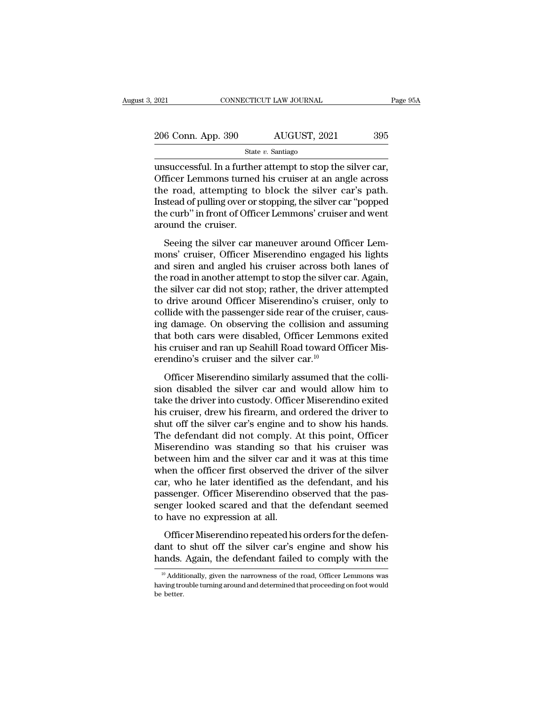| 2021               | CONNECTICUT LAW JOURNAL | Page 95A |  |
|--------------------|-------------------------|----------|--|
|                    |                         |          |  |
| 206 Conn. App. 390 | AUGUST, 2021            | 395      |  |
|                    | State $v$ . Santiago    |          |  |

2021 CONNECTICUT LAW JOURNAL Page 9<br>
206 Conn. App. 390 AUGUST, 2021 395<br>  $\frac{\text{State } v. \text{ Santiago}}{\text{Unsuccessful. In a further attempt to stop the silver car, \text{Office}}$ <br>
Officer Lemmons turned his cruiser at an angle across<br>
the road, attempting to block the silver car's noth  $\frac{206 \text{ Conn. App. 390}}{\text{State } v. \text{ Santiago}}$ <br>  $\frac{\text{State } v. \text{ Santiago}}{\text{Unsuccessful. In a further attempt to stop the silver car,}}$ <br>
Officer Lemmons turned his cruiser at an angle across<br>
the road, attempting to block the silver car's path.<br>
Instead of pulling over or stopping, the si 206 Conn. App. 390 AUGUST, 2021 395<br>
State v. Santiago<br>
unsuccessful. In a further attempt to stop the silver car,<br>
Officer Lemmons turned his cruiser at an angle across<br>
the road, attempting to block the silver car's pat 206 Conn. App. 390 AUGUST, 2021 395<br>
State v. Santiago<br>
unsuccessful. In a further attempt to stop the silver car,<br>
Officer Lemmons turned his cruiser at an angle across<br>
the road, attempting to block the silver car's pat State *v*. Santiago<br>
State *v*. Santiago<br>
unsuccessful. In a further attempt to stop the silver car,<br>
Officer Lemmons turned his cruiser at an angle across<br>
the road, attempting to block the silver car's path.<br>
Instead of state<br>unsuccessful. In a further<br>Officer Lemmons turned<br>the road, attempting to<br>Instead of pulling over or<br>the curb" in front of Offic<br>around the cruiser.<br>Seeing the silver car n Seeing the silver car maneuver around Officer Lem-<br>Seeing the silver car's path.<br>Seeing to block the silver car's path.<br>Seeing the silver or stopping, the silver car "popped<br>e curb" in front of Officer Lemmons' cruiser and officer Lemmons' tankel also cruiser at an angle across<br>the road, attempting to block the silver car's path.<br>Instead of pulling over or stopping, the silver car "popped<br>the curb" in front of Officer Lemmons' cruiser and we

Instead of pulling over or stopping, the silver car is pain.<br>Instead of pulling over or stopping, the silver car "popped<br>the curb" in front of Officer Lemmons' cruiser and went<br>around the cruiser.<br>Seeing the silver car man the curb" in front of Officer Lemmons' cruiser and went<br>around the cruiser.<br>Seeing the silver car maneuver around Officer Lem-<br>mons' cruiser, Officer Miserendino engaged his lights<br>and siren and angled his cruiser across b are carb in front of officer Lemmons' cruser and went<br>around the cruiser.<br>Seeing the silver car maneuver around Officer Lemmons' cruiser, Officer Miserendino engaged his lights<br>and siren and angled his cruiser across both Seeing the silver car maneuver around Officer Lemmons' cruiser, Officer Miserendino engaged his lights<br>and siren and angled his cruiser across both lanes of<br>the road in another attempt to stop the silver car. Again,<br>the si Seeing the silver car maneuver around Officer Lemmons' cruiser, Officer Miserendino engaged his lights and siren and angled his cruiser across both lanes of the road in another attempt to stop the silver car. Again, the si mons' cruiser, Officer Miserendino engaged his lights<br>and siren and angled his cruiser across both lanes of<br>the road in another attempt to stop the silver car. Again,<br>the silver car did not stop; rather, the driver attempt and siren and angled his cruiser across both lanes of<br>the road in another attempt to stop the silver car. Again,<br>the silver car did not stop; rather, the driver attempted<br>to drive around Officer Miserendino's cruiser, onl the road in another attempt to stop the silver car. Again, the silver car did not stop; rather, the driver attempted to drive around Officer Miserendino's cruiser, only to collide with the passenger side rear of the cruise the silver car did not stop; rather, the driver ato drive around Officer Miserendino's cruise collide with the passenger side rear of the cruing damage. On observing the collision and that both cars were disabled, Officer dive around officer Informations of cluber, only to<br>llide with the passenger side rear of the cruiser, caus-<br>g damage. On observing the collision and assuming<br>at both cars were disabled, Officer Lemmons exited<br>s cruiser an some with the passenger site real of the eralser, causing<br>ing damage. On observing the collision and assuming<br>that both cars were disabled, Officer Lemmons exited<br>his cruiser and ran up Seahill Road toward Officer Mis-<br>ere

that both cars were disabled, Officer Lemmons exited<br>his cruiser and ran up Seahill Road toward Officer Mis-<br>erendino's cruiser and the silver car.<sup>10</sup><br>Officer Miserendino similarly assumed that the colli-<br>sion disabled th his cruiser and ran up Seahill Road toward Officer Mis-<br>erendino's cruiser and the silver car.<sup>10</sup><br>Officer Miserendino similarly assumed that the colli-<br>sion disabled the silver car and would allow him to<br>take the driver i shut of the silver car.<sup>10</sup><br>
Officer Miserendino similarly assumed that the colli-<br>
sion disabled the silver car and would allow him to<br>
take the driver into custody. Officer Miserendino exited<br>
his cruiser, drew his firea Officer Miserendino similarly assumed that the collision disabled the silver car and would allow him to take the driver into custody. Officer Miserendino exited his cruiser, drew his firearm, and ordered the driver to shut Officer Miserendino similarly assumed that the collision disabled the silver car and would allow him to take the driver into custody. Officer Miserendino exited his cruiser, drew his firearm, and ordered the driver to shut sion disabled the silver car and would allow him to<br>take the driver into custody. Officer Miserendino exited<br>his cruiser, drew his firearm, and ordered the driver to<br>shut off the silver car's engine and to show his hands.<br> take the driver into custody. Officer Miserendino exited<br>his cruiser, drew his firearm, and ordered the driver to<br>shut off the silver car's engine and to show his hands.<br>The defendant did not comply. At this point, Officer his cruiser, drew his firearm, and ordered the driver to<br>shut off the silver car's engine and to show his hands.<br>The defendant did not comply. At this point, Officer<br>Miserendino was standing so that his cruiser was<br>between shut off the silver car's engine and to show his hands.<br>The defendant did not comply. At this point, Officer<br>Miserendino was standing so that his cruiser was<br>between him and the silver car and it was at this time<br>when the The defendant did not comply. At this point, Officer<br>Miserendino was standing so that his cruiser was<br>between him and the silver car and it was at this time<br>when the officer first observed the driver of the silver<br>car, who Miserendino was standing so tl<br>between him and the silver car ar<br>when the officer first observed th<br>car, who he later identified as th<br>passenger. Officer Miserendino ob<br>senger looked scared and that th<br>to have no expressio Figure 1 and the street can and it was at also line<br>then the officer first observed the driver of the silver<br>r, who he later identified as the defendant, and his<br>ssenger. Officer Miserendino observed that the pas-<br>nger loo Final the share interest and the direct of the silver<br>car, who he later identified as the defendant, and his<br>passenger looked scared and that the defendant seemed<br>to have no expression at all.<br>Officer Miserendino repeated East, who it the definition as the defendant, and his passenger. Officer Miserendino observed that the passenger looked scared and that the defendant seemed to have no expression at all.<br>Officer Miserendino repeated his or

Officer Miserendino repeated his orders for the defenant to shut off the silver car's engine and show his ands. Again, the defendant failed to comply with the <sup>10</sup> Additionally, given the narrowness of the road, Officer Le Officer Miserendino repeated his orders for the defendant to shut off the silver car's engine and show his hands. Again, the defendant failed to comply with the  $\frac{10}{{}^{10}$  Additionally, given the narrowness of the roa dant tc<br>hands.<br><sup>10</sup> Addit<br>having tro<br>be better.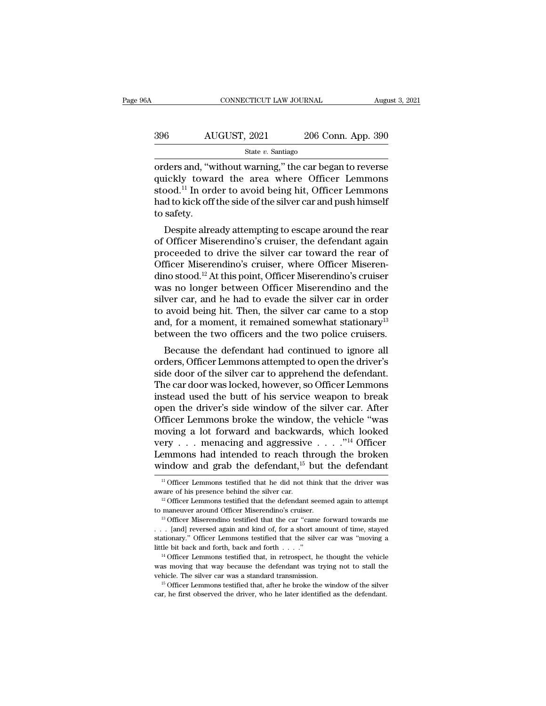| 6A  | CONNECTICUT LAW JOURNAL |                    | August 3, 2021 |
|-----|-------------------------|--------------------|----------------|
| 396 | AUGUST, 2021            | 206 Conn. App. 390 |                |
|     | State $v$ . Santiago    |                    |                |

CONNECTICUT LAW JOURNAL August 3, 2021<br>  $\begin{array}{r}\n 396 \hspace{1cm} \text{AUGUST, 2021} \hspace{1cm} 206 \text{ Conn. App. 390}\n \hline\n \text{State } v. \text{ Santiago}\n \end{array}$ <br>
orders and, "without warning," the car began to reverse<br>
quickly toward the area where Officer Lemm  $\begin{array}{r} \text{AUGUST, 2021} \text{206 Conn. App. 390} \ \text{State } v. \text{ Santiago} \ \text{orders and, "without warning," the car began to reverse quickly toward the area where Officer Lemmons stood.<sup>11</sup> In order to avoid being hit, Officer Lemmons had to kick off the side of the silver car and push himself.$  $\begin{array}{r} \text{396} \text{AUGUST, } 2021 \text{ } \text{206 Conn. App. 390} \ \text{State } v. \text{ Santiago} \ \text{orders and, "without warning," the car began to reverse quickly toward the area where Officer Lemmons stood.<sup>11</sup> In order to avoid being hit, Officer Lemmons had to kick off the side of the silver car and push himself to softy.} \end{array}$  $\frac{\text{AUGUST, 2021}}{\text{State } v. \text{ Santiago}}$ <br>
orders and, "without warning," the car began to reverse<br>
quickly toward the area where Officer Lemmons<br>
stood.<sup>11</sup> In order to avoid being hit, Officer Lemmons<br>
had to kick off the side of t orders and, "w<br>quickly towa<br>stood.<sup>11</sup> In ord<br>had to kick off<br>to safety.<br>Despite alre ders and, "without warning," the car began to reverse<br>ickly toward the area where Officer Lemmons<br>pod.<sup>11</sup> In order to avoid being hit, Officer Lemmons<br>d to kick off the side of the silver car and push himself<br>safety.<br>Desp orders and, whilout warning, the car began to reverse<br>quickly toward the area where Officer Lemmons<br>stood.<sup>11</sup> In order to avoid being hit, Officer Lemmons<br>had to kick off the side of the silver car and push himself<br>to saf

quickly toward the area where Officer Lemmons<br>stood.<sup>11</sup> In order to avoid being hit, Officer Lemmons<br>had to kick off the side of the silver car and push himself<br>to safety.<br>Despite already attempting to escape around the stood. In order to avoid being int, Officer Lemmons<br>had to kick off the side of the silver car and push himself<br>to safety.<br>Despite already attempting to escape around the rear<br>of Officer Miserendino's cruiser, the defenda radio Kick on the side of the silver car and push fillisen<br>to safety.<br>Despite already attempting to escape around the rear<br>of Officer Miserendino's cruiser, the defendant again<br>proceeded to drive the silver car toward the Despite already attempting to escape around the rear<br>of Officer Miserendino's cruiser, the defendant again<br>proceeded to drive the silver car toward the rear of<br>Officer Miserendino's cruiser, where Officer Miseren-<br>dino st Despite already attempting to escape around the rear<br>of Officer Miserendino's cruiser, the defendant again<br>proceeded to drive the silver car toward the rear of<br>Officer Miserendino's cruiser, where Officer Miseren-<br>dino sto of Officer Miserendino's cruiser, the defendant again<br>proceeded to drive the silver car toward the rear of<br>Officer Miserendino's cruiser, where Officer Miseren-<br>dino stood.<sup>12</sup> At this point, Officer Miserendino's cruiser<br> proceeded to drive the silver car toward the rear of<br>Officer Miserendino's cruiser, where Officer Miseren-<br>dino stood.<sup>12</sup> At this point, Officer Miserendino's cruiser<br>was no longer between Officer Miserendino and the<br>silv Officer Miserendino's cruiser, where Officer Miserendino stood.<sup>12</sup> At this point, Officer Miserendino's cruiser was no longer between Officer Miserendino and the silver car, and he had to evade the silver car in order to no stood. At this point, Officer Miserendino s cruiser<br>as no longer between Officer Miserendino and the<br>ver car, and he had to evade the silver car in order<br>avoid being hit. Then, the silver car came to a stop<br>d, for a mom was no longer between Officer Miserendino and the<br>silver car, and he had to evade the silver car in order<br>to avoid being hit. Then, the silver car came to a stop<br>and, for a moment, it remained somewhat stationary<sup>13</sup><br>betwe

silver car, and he had to evade the silver car in order<br>to avoid being hit. Then, the silver car came to a stop<br>and, for a moment, it remained somewhat stationary<sup>13</sup><br>between the two officers and the two police cruisers.<br>B to avoid being int. Then, the silver car callie to a stop<br>and, for a moment, it remained somewhat stationary<sup>13</sup><br>between the two officers and the two police cruisers.<br>Because the defendant had continued to ignore all<br>order and, for a moment, it remained somewhat stationary<br>between the two officers and the two police cruisers.<br>Because the defendant had continued to ignore all<br>orders, Officer Lemmons attempted to open the driver's<br>side door of between the two officers and the two police cruisers.<br>Because the defendant had continued to ignore all<br>orders, Officer Lemmons attempted to open the driver's<br>side door of the silver car to apprehend the defendant.<br>The car Because the defendant had continued to ignore all<br>orders, Officer Lemmons attempted to open the driver's<br>side door of the silver car to apprehend the defendant.<br>The car door was locked, however, so Officer Lemmons<br>instead orders, Officer Lemmons attempted to open the driver's<br>side door of the silver car to apprehend the defendant.<br>The car door was locked, however, so Officer Lemmons<br>instead used the butt of his service weapon to break<br>open side door of the silver car to apprehend the defendant.<br>The car door was locked, however, so Officer Lemmons<br>instead used the butt of his service weapon to break<br>open the driver's side window of the silver car. After<br>Offi The car door was locked, however, so Officer Lemmons<br>instead used the butt of his service weapon to break<br>open the driver's side window of the silver car. After<br>Officer Lemmons broke the window, the vehicle "was<br>moving a instead used the butt of his service weapon to break<br>open the driver's side window of the silver car. After<br>Officer Lemmons broke the window, the vehicle "was<br>moving a lot forward and backwards, which looked<br>very . . . me 11 Officer Lemmons testified that he did not think that the driver was also that included to reach through the broken indow and grab the defendant,  $15$  but the defendant  $\frac{11}{10}$  Officer Lemmons testified that he did aware of his presence behind the silver car. <sup>12</sup> Officer Lemmons testified that the defendant seemed again to attempt

window and grab the defendant,<sup>15</sup> but the defendant<br><sup>11</sup> Officer Lemmons testified that he did not think that the driver was<br>aware of his presence behind the silver car.<br><sup>12</sup> Officer Lemmons testified that the defendant <sup>11</sup> Officer Lemmons testified that he did not think that the driver was aware of his presence behind the silver car.<br><sup>12</sup> Officer Lemmons testified that the defendant seemed again to attempt to maneuver around Officer Mi aware of his presence behind the silver car.<br>
<sup>12</sup> Officer Lemmons testified that the defendant seemed again to attempt<br>
to maneuver around Officer Miserendino's cruiser.<br>
<sup>13</sup> Officer Miserendino testified that the car " <sup>12</sup> Officer Lemmons testified that the defendant seemed again to attempt to maneuver around Officer Miserendino's cruiser.<br><sup>13</sup> Officer Miserendino testified that the car "came forward towards me . . . [and] reversed aga <sup>13</sup> Officer Miserendino testified that the car "came forward towards me . . . [and] reversed again and kind of, for a short amount of time, stayed stationary." Officer Lemmons testified that the silver car was "moving a Figure 2.1 Carry 2.1 Carry 2.1 Carry 2.1 Carry 2.1 Carry 2.1 Carry 2.1 Carry 2.1 Carry 2.1 Carry 2.1 Carry 2.1 Carry 2.1 Carry 2.1 Carry 2.1 Carry 2.1 Carry 2.1 Carry 2.1 Carry 2.1 Carry 2.1 Carry 2.1 Carry 2.1 Carry 2.1

stationary." Officer Lemmons testified that the silver car was "moving a little bit back and forth, back and forth . . . ."<br><sup>14</sup> Officer Lemmons testified that, in retrospect, he thought the vehicle was moving that way be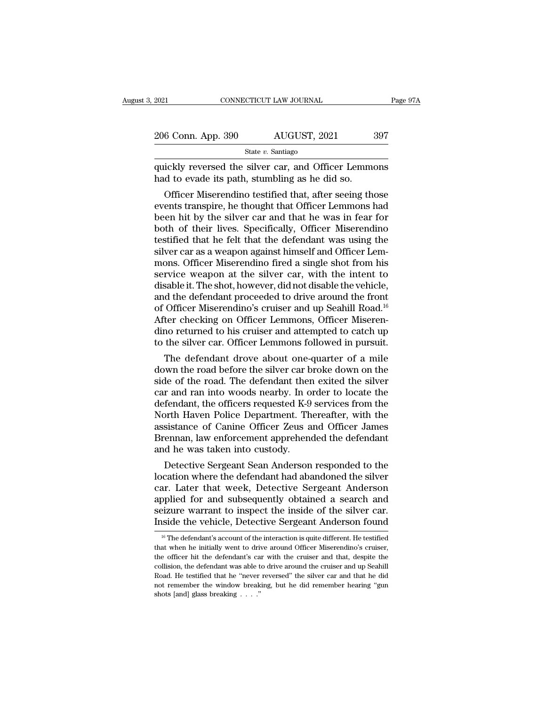$\begin{tabular}{ll} \multicolumn{1}{l}{{\bf 2021}} & \multicolumn{1}{l}{\bf CONRECTICUT LAW JOURNAL} & \multicolumn{1}{l}{Page\ 97A} \\ \hline \multicolumn{1}{l}{\bf 206 Conn. App. 390} & \multicolumn{1}{l}{\bf AUGUST, 2021} & \multicolumn{1}{l}{\bf 397} \\ & \multicolumn{1}{l}{\bf State}\ v. {\it Santiago} \\ \hline \multicolumn{1}{l}{\bf quickly reversed the silver car, and Officer Lemmons} \\ \hline \multicolumn{1}{l}{\bf had to evade its path, stumbling as he did so.} \end{tabular}$  $\frac{206 \text{ Conn. App. 390}}{\text{State } v. \text{ Santiago}}$ <br>  $\frac{\text{State } v. \text{ Santiago}}{\text{Add to evade its path, stumbling as he did so.}}$ Officer Miserendino testified that, after seeing the

 $\frac{\text{G Com. App. 390}}{\text{State } v. \text{ Santiago}}$ <br>  $\frac{\text{State } v. \text{ Santiago}}{\text{Cckly reversed the silver car, and Officer Lemmons}}$ <br>
officer Lemmons<br>
of to evade its path, stumbling as he did so.<br>
Officer Miserendino testified that, after seeing those<br>
ents transpire, he thought that Offi 206 Conn. App. 390 AUGUST, 2021 397<br>
State v. Santiago<br>
quickly reversed the silver car, and Officer Lemmons<br>
had to evade its path, stumbling as he did so.<br>
Officer Miserendino testified that, after seeing those<br>
events State  $v$ . Santiago<br>
quickly reversed the silver car, and Officer Lemmons<br>
had to evade its path, stumbling as he did so.<br>
Officer Miserendino testified that, after seeing those<br>
events transpire, he thought that Officer quickly reversed the silver car, and Officer Lemmons<br>had to evade its path, stumbling as he did so.<br>Officer Miserendino testified that, after seeing those<br>events transpire, he thought that Officer Lemmons had<br>been hit by t quickly reversed the silver car, and Officer Lemmons<br>had to evade its path, stumbling as he did so.<br>Officer Miserendino testified that, after seeing those<br>events transpire, he thought that Officer Lemmons had<br>been hit by t had to evade its path, stumbling as he did so.<br>
Officer Miserendino testified that, after seeing those<br>
events transpire, he thought that Officer Lemmons had<br>
been hit by the silver car and that he was in fear for<br>
both of Officer Miserendino testified that, after seeing those<br>events transpire, he thought that Officer Lemmons had<br>been hit by the silver car and that he was in fear for<br>both of their lives. Specifically, Officer Miserendino<br>tes events transpire, he thought that Officer Lemmons had<br>been hit by the silver car and that he was in fear for<br>both of their lives. Specifically, Officer Miserendino<br>testified that he felt that the defendant was using the<br>si been hit by the silver car and that he was in fear for<br>both of their lives. Specifically, Officer Miserendino<br>testified that he felt that the defendant was using the<br>silver car as a weapon against himself and Officer Lem-<br> both of their lives. Specifically, Officer Miserendino<br>testified that he felt that the defendant was using the<br>silver car as a weapon against himself and Officer Lem-<br>mons. Officer Miserendino fired a single shot from his<br> testified that he felt that the defendant was using the<br>silver car as a weapon against himself and Officer Lem-<br>mons. Officer Miserendino fired a single shot from his<br>service weapon at the silver car, with the intent to<br>di silver car as a weapon against himself and Officer Lemmons. Officer Miserendino fired a single shot from his service weapon at the silver car, with the intent to disable it. The shot, however, did not disable the vehicle, mons. Officer Miserendino fired a single shot from his<br>service weapon at the silver car, with the intent to<br>disable it. The shot, however, did not disable the vehicle,<br>and the defendant proceeded to drive around the front<br> service weapon at the silver car, with the intent to<br>disable it. The shot, however, did not disable the vehicle,<br>and the defendant proceeded to drive around the front<br>of Officer Miserendino's cruiser and up Seahill Road.<sup>1</sup> sable it. The shot, however, did not disable the vehicle,<br>d the defendant proceeded to drive around the front<br>Officer Miserendino's cruiser and up Seahill Road.<sup>16</sup><br>ter checking on Officer Lemmons, Officer Miseren-<br>no retu and the defendant proceeded to drive around the front<br>of Officer Miserendino's cruiser and up Seahill Road.<sup>16</sup><br>After checking on Officer Lemmons, Officer Miseren-<br>dino returned to his cruiser and attempted to catch up<br>to

of Officer Miserendino's cruiser and up Seanill Road.<sup>10</sup><br>After checking on Officer Lemmons, Officer Miserendino returned to his cruiser and attempted to catch up<br>to the silver car. Officer Lemmons followed in pursuit.<br>The Atter checking on Officer Lemmons, Officer Miserendino returned to his cruiser and attempted to catch up<br>to the silver car. Officer Lemmons followed in pursuit.<br>The defendant drove about one-quarter of a mile<br>down the road dino returned to his cruiser and attempted to catch up<br>to the silver car. Officer Lemmons followed in pursuit.<br>The defendant drove about one-quarter of a mile<br>down the road before the silver car broke down on the<br>side of t to the silver car. Officer Lemmons followed in pursuit.<br>The defendant drove about one-quarter of a mile<br>down the road before the silver car broke down on the<br>side of the road. The defendant then exited the silver<br>car and r The defendant drove about one-quarter of a mile<br>down the road before the silver car broke down on the<br>side of the road. The defendant then exited the silver<br>car and ran into woods nearby. In order to locate the<br>defendant, down the road before the silver car broke down on the<br>side of the road. The defendant then exited the silver<br>car and ran into woods nearby. In order to locate the<br>defendant, the officers requested K-9 services from the<br>Nor side of the road. The defendant the<br>car and ran into woods nearby. In o<br>defendant, the officers requested K-9<br>North Haven Police Department. Th<br>assistance of Canine Officer Zeus a<br>Brennan, law enforcement apprehend<br>and he r and ran into woods nearby. In order to locate the<br>fendant, the officers requested K-9 services from the<br>prth Haven Police Department. Thereafter, with the<br>sistance of Canine Officer Zeus and Officer James<br>ennan, law enfo defendant, the officers requested K-9 services from the<br>North Haven Police Department. Thereafter, with the<br>assistance of Canine Officer Zeus and Officer James<br>Brennan, law enforcement apprehended the defendant<br>and he was

North Haven Police Department. Thereatter, with the<br>assistance of Canine Officer Zeus and Officer James<br>Brennan, law enforcement apprehended the defendant<br>and he was taken into custody.<br>Detective Sergeant Sean Anderson res assistance of Canine Officer Zeus and Officer James<br>Brennan, law enforcement apprehended the defendant<br>and he was taken into custody.<br>Detective Sergeant Sean Anderson responded to the<br>location where the defendant had aband Brennan, law entorcement apprenended the detendant<br>and he was taken into custody.<br>Detective Sergeant Sean Anderson responded to the<br>location where the defendant had abandoned the silver<br>car. Later that week, Detective Serg and he was taken into custody.<br>
Detective Sergeant Sean Anderson responded to the<br>
location where the defendant had abandoned the silver<br>
car. Later that week, Detective Sergeant Anderson<br>
applied for and subsequently obta ar. Later that week, Detective Sergeant Anderson<br>oplied for and subsequently obtained a search and<br>eizure warrant to inspect the inside of the silver car.<br>side the vehicle, Detective Sergeant Anderson found<br><sup>16</sup> The defend applied for and subsequently obtained a search and<br>seizure warrant to inspect the inside of the silver car.<br>Inside the vehicle, Detective Sergeant Anderson found<br> $\frac{16}{16}$  The defendant's account of the interaction is q

seizure warrant to inspect the inside of the silver car.<br>Inside the vehicle, Detective Sergeant Anderson found<br> $\frac{16}{10}$  The defendant's account of the interaction is quite different. He testified<br>that when he initially Inside the vehicle, Detective Sergeant Anderson found<br>
<sup>16</sup> The defendant's account of the interaction is quite different. He testified<br>
that when he initially went to drive around Officer Miserendino's cruiser,<br>
the offi This detail verticle, Detective Sergeant Anderson found<br>
<sup>16</sup> The defendant's account of the interaction is quite different. He testified<br>
that when he initially went to drive around Officer Miserendino's cruiser,<br>
the of <sup>16</sup> The defendant's account of the interaction is quite different. He testified that when he initially went to drive around Officer Miserendino's cruiser, the officer hit the defendant's car with the cruiser and that, de that when he initially went to drive around Officer Miserendino's cruiser, the officer hit the defendant's car with the cruiser and that, despite the collision, the defendant was able to drive around the cruiser and up Se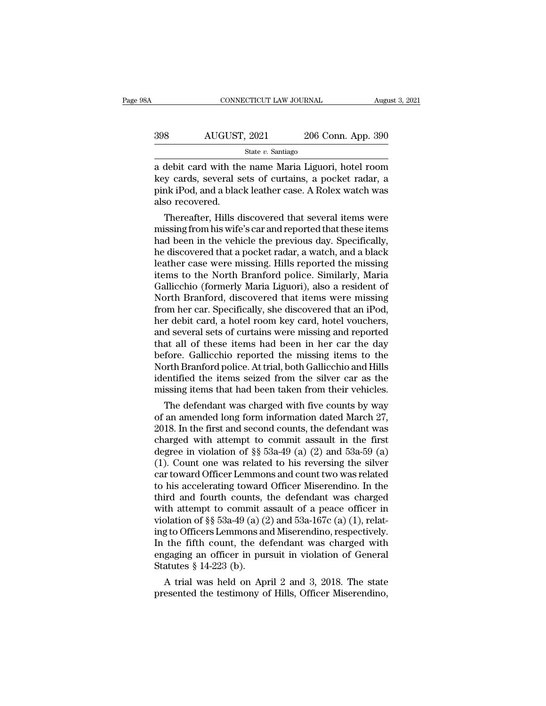| 8Α  | CONNECTICUT LAW JOURNAL |                    | August 3, 2021 |
|-----|-------------------------|--------------------|----------------|
|     |                         |                    |                |
| 398 | AUGUST, 2021            | 206 Conn. App. 390 |                |
|     | State $v$ . Santiago    |                    |                |

CONNECTICUT LAW JOURNAL August 3, 2021<br>
398 AUGUST, 2021 206 Conn. App. 390<br>
<sup>State v. Santiago<br>
a debit card with the name Maria Liguori, hotel room<br>
key cards, several sets of curtains, a pocket radar, a<br>
pink iPod and a</sup> AUGUST, 2021 206 Conn. App. 390<br>State v. Santiago<br>a debit card with the name Maria Liguori, hotel room<br>key cards, several sets of curtains, a pocket radar, a<br>pink iPod, and a black leather case. A Rolex watch was 398 AUGUST, 2021 206 Conn. App. 390<br>  $\frac{\text{State } v. \text{ Santiago}}{a \text{ debit card with the name Maria Liguori, hotel room}}$ <br>
key cards, several sets of curtains, a pocket radar, a pink iPod, and a black leather case. A Rolex watch was also recovered. 398 AUGUST<br>
a debit card with the<br>
key cards, several s<br>
pink iPod, and a blac<br>
also recovered.<br>
Thereafter, Hills d State  $v$ . Santiago<br>
debit card with the name Maria Liguori, hotel room<br>
y cards, several sets of curtains, a pocket radar, a<br>
nk iPod, and a black leather case. A Rolex watch was<br>
so recovered.<br>
Thereafter, Hills discove a debit card with the name Maria Liguori, hotel room<br>key cards, several sets of curtains, a pocket radar, a<br>pink iPod, and a black leather case. A Rolex watch was<br>also recovered.<br>Thereafter, Hills discovered that several i

a debit card with the name maria Liguori, hotel room<br>key cards, several sets of curtains, a pocket radar, a<br>pink iPod, and a black leather case. A Rolex watch was<br>also recovered.<br>Thereafter, Hills discovered that several i key cards, several sets of curtains, a pocket radar, a<br>pink iPod, and a black leather case. A Rolex watch was<br>also recovered.<br>Thereafter, Hills discovered that several items were<br>missing from his wife's car and reported th pink iPod, and a black leather case. A Rolex watch was<br>also recovered.<br>Thereafter, Hills discovered that several items were<br>missing from his wife's car and reported that these items<br>had been in the vehicle the previous day also recovered.<br>
Thereafter, Hills discovered that several items were<br>
missing from his wife's car and reported that these items<br>
had been in the vehicle the previous day. Specifically,<br>
he discovered that a pocket radar, Thereafter, Hills discovered that several items were<br>missing from his wife's car and reported that these items<br>had been in the vehicle the previous day. Specifically,<br>he discovered that a pocket radar, a watch, and a black missing from his wife's car and reported that these items<br>had been in the vehicle the previous day. Specifically,<br>he discovered that a pocket radar, a watch, and a black<br>leather case were missing. Hills reported the missin had been in the vehicle the previous day. Specifically,<br>he discovered that a pocket radar, a watch, and a black<br>leather case were missing. Hills reported the missing<br>items to the North Branford police. Similarly, Maria<br>Gal her discovered that a pocket radar, a watch, and a black<br>leather case were missing. Hills reported the missing<br>items to the North Branford police. Similarly, Maria<br>Gallicchio (formerly Maria Liguori), also a resident of<br>No leather case were missing. Hills reported the missing<br>items to the North Branford police. Similarly, Maria<br>Gallicchio (formerly Maria Liguori), also a resident of<br>North Branford, discovered that items were missing<br>from her items to the North Branford police. Similarly, Maria<br>Gallicchio (formerly Maria Liguori), also a resident of<br>North Branford, discovered that items were missing<br>from her car. Specifically, she discovered that an iPod,<br>her d Gallicchio (formerly Maria Liguori), also a resident of<br>North Branford, discovered that items were missing<br>from her car. Specifically, she discovered that an iPod,<br>her debit card, a hotel room key card, hotel vouchers,<br>and North Branford, discovered that items were missing<br>from her car. Specifically, she discovered that an iPod,<br>her debit card, a hotel room key card, hotel vouchers,<br>and several sets of curtains were missing and reported<br>that from her car. Specifically, she discovered that an iPod,<br>her debit card, a hotel room key card, hotel vouchers,<br>and several sets of curtains were missing and reported<br>that all of these items had been in her car the day<br>bef her debit card, a hotel room key card, hotel vouchers,<br>and several sets of curtains were missing and reported<br>that all of these items had been in her car the day<br>before. Gallicchio reported the missing items to the<br>North B a several sets of curtains were missing and reported<br>at all of these items had been in her car the day<br>fore. Gallicchio reported the missing items to the<br>orth Branford police. At trial, both Gallicchio and Hills<br>entified t that all of these ftems had been in her car the day<br>before. Gallicchio reported the missing items to the<br>North Branford police. At trial, both Gallicchio and Hills<br>identified the items seized from the silver car as the<br>mis

before. Gallicchio reported the missing tiems to the<br>North Branford police. At trial, both Gallicchio and Hills<br>identified the items seized from the silver car as the<br>missing items that had been taken from their vehicles.<br> North Branford police. At trial, both Gallicento and Hills<br>identified the items seized from the silver car as the<br>missing items that had been taken from their vehicles.<br>The defendant was charged with five counts by way<br>of dentined the tiems seized from the silver car as the<br>missing items that had been taken from their vehicles.<br>The defendant was charged with five counts by way<br>of an amended long form information dated March 27,<br>2018. In th missing items that had been taken from their venicies.<br>
The defendant was charged with five counts by way<br>
of an amended long form information dated March 27,<br>
2018. In the first and second counts, the defendant was<br>
charg The defendant was charged with five counts by way<br>of an amended long form information dated March 27,<br>2018. In the first and second counts, the defendant was<br>charged with attempt to commit assault in the first<br>degree in v of an amended long form information dated March 27,<br>2018. In the first and second counts, the defendant was<br>charged with attempt to commit assault in the first<br>degree in violation of §§ 53a-49 (a) (2) and 53a-59 (a)<br>(1). 2018. In the first and second counts, the defendant was<br>charged with attempt to commit assault in the first<br>degree in violation of §§ 53a-49 (a) (2) and 53a-59 (a)<br>(1). Count one was related to his reversing the silver<br>ca charged with attempt to commit assault in the first<br>degree in violation of §§ 53a-49 (a) (2) and 53a-59 (a)<br>(1). Count one was related to his reversing the silver<br>car toward Officer Lemmons and count two was related<br>to hi degree in violation of §§ 53a-49 (a) (2) and 53a-59 (a) (1). Count one was related to his reversing the silver car toward Officer Lemmons and count two was related to his accelerating toward Officer Miserendino. In the th (1). Count one was related to his reversing the silver<br>car toward Officer Lemmons and count two was related<br>to his accelerating toward Officer Miserendino. In the<br>third and fourth counts, the defendant was charged<br>with at car toward Officer Lemmons and count two was related<br>to his accelerating toward Officer Miserendino. In the<br>third and fourth counts, the defendant was charged<br>with attempt to commit assault of a peace officer in<br>violation to his accelerating toward Officer Miserendino. In the third and fourth counts, the defendant was charged with attempt to commit assault of a peace officer in violation of  $\S$  53a-49 (a) (2) and 53a-167c (a) (1), relating third and fourth counts,<br>with attempt to commit a<br>violation of  $\S$  53a-49 (a) (2<br>ing to Officers Lemmons ar<br>In the fifth count, the de<br>engaging an officer in pur<br>Statutes  $\S$  14-223 (b).<br>A trial was held on Ap In attempt to commit assault or a peace officer in<br>plation of §§ 53a-49 (a) (2) and 53a-167c (a) (1), relat-<br>g to Officers Lemmons and Miserendino, respectively.<br>the fifth count, the defendant was charged with<br>gaging an o broadcom of ss 53a-49 (a) (2) and 53a-107C (a) (1), relating to Officers Lemmons and Miserendino, respectively.<br>In the fifth count, the defendant was charged with engaging an officer in pursuit in violation of General Sta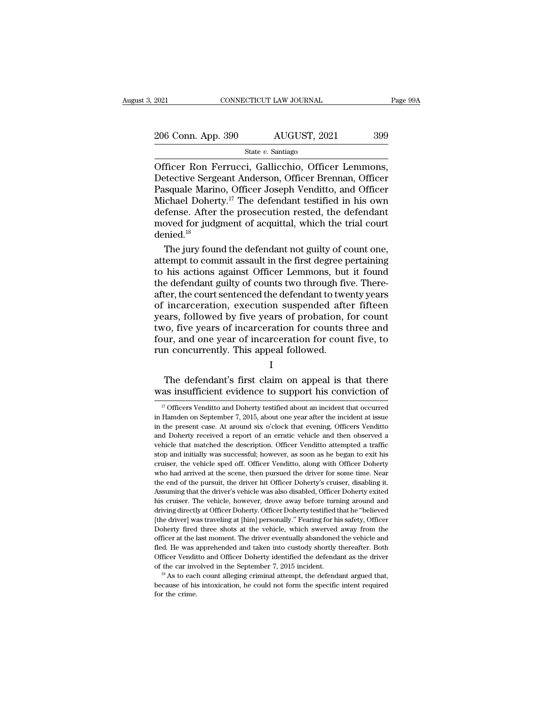| 2021               | CONNECTICUT LAW JOURNAL | Page 99A |
|--------------------|-------------------------|----------|
| 206 Conn. App. 390 | AUGUST, 2021            | 399      |
|                    | State $v$ . Santiago    |          |

CONNECTICUT LAW JOURNAL Page 9<br>
206 Conn. App. 390 AUGUST, 2021 399<br>
State v. Santiago<br>
Officer Ron Ferrucci, Gallicchio, Officer Lemmons,<br>
Detective Sergeant Anderson, Officer Brennan, Officer<br>
Pasquale Marino, Officer Jo 206 Conn. App. 390 AUGUST, 2021 399<br>State v. Santiago<br>Officer Ron Ferrucci, Gallicchio, Officer Lemmons,<br>Detective Sergeant Anderson, Officer Brennan, Officer<br>Pasquale Marino, Officer Joseph Venditto, and Officer<br>Michael D 206 Conn. App. 390 AUGUST, 2021 399<br>
State v. Santiago<br>
Officer Ron Ferrucci, Gallicchio, Officer Lemmons,<br>
Detective Sergeant Anderson, Officer Brennan, Officer<br>
Pasquale Marino, Officer Joseph Venditto, and Officer<br>
Mic 206 Conn. App. 390 AUGUST, 2021 399<br>
State v. Santiago<br>
Officer Ron Ferrucci, Gallicchio, Officer Lemmons,<br>
Detective Sergeant Anderson, Officer Brennan, Officer<br>
Pasquale Marino, Officer Joseph Venditto, and Officer<br>
Mic  $\begin{array}{l}\n\hline\n\text{State } v. \text{ Santiago} \\
\hline\n\text{Office: Ron Ferrucci, Gallicchio, Officer Lemmons, Detective Sergeant Anderson, Officer Brennan, Officer Pasquale Marino, Officer Joseph Venditto, and Officer Michael Doherty.<sup>17</sup> The defendant testified in his own defense. After the prosecution rested, the defendant moved for judgment of acquittal, which the trial court denied <sup>18</sup>\n\end{array}$ State *v.* Santiago<br>
Officer Ron Ferrucci, Gallicchio, Officer Lemmons,<br>
Detective Sergeant Anderson, Officer Brennan, Officer<br>
Pasquale Marino, Officer Joseph Venditto, and Officer<br>
Michael Doherty.<sup>17</sup> The defendant test denied.<sup>18</sup> etective Sergeant Anderson, Officer Brennan, Officer<br>squale Marino, Officer Joseph Venditto, and Officer<br>ichael Doherty.<sup>17</sup> The defendant testified in his own<br>fense. After the prosecution rested, the defendant<br>oved for ju Pasquale Marino, Officer Joseph Venditto, and Officer<br>Michael Doherty.<sup>17</sup> The defendant testified in his own<br>defense. After the prosecution rested, the defendant<br>moved for judgment of acquittal, which the trial court<br>deni

Michael Doherty.<sup>17</sup> The defendant testified in his own<br>defense. After the prosecution rested, the defendant<br>moved for judgment of acquittal, which the trial court<br>denied.<sup>18</sup><br>The jury found the defendant not guilty of co defense. After the prosecution rested, the defendant<br>moved for judgment of acquittal, which the trial court<br>denied.<sup>18</sup><br>The jury found the defendant not guilty of count one,<br>attempt to commit assault in the first degree pe moved for judgment of acquittal, which the trial court<br>denied.<sup>18</sup><br>The jury found the defendant not guilty of count one,<br>attempt to commit assault in the first degree pertaining<br>to his actions against Officer Lemmons, but denied.<sup>18</sup><br>The jury found the defendant not guilty of count one,<br>attempt to commit assault in the first degree pertaining<br>to his actions against Officer Lemmons, but it found<br>the defendant guilty of counts two through fiv The jury found the defendant not guilty of count one,<br>attempt to commit assault in the first degree pertaining<br>to his actions against Officer Lemmons, but it found<br>the defendant guilty of counts two through five. There-<br>af attempt to commit assault in the first degree pertaining<br>to his actions against Officer Lemmons, but it found<br>the defendant guilty of counts two through five. There-<br>after, the court sentenced the defendant to twenty years to his actions against Officer Lemmons, but it found<br>the defendant guilty of counts two through five. There-<br>after, the court sentenced the defendant to twenty years<br>of incarceration, execution suspended after fifteen<br>year the defendant guilty of counts two through fival<br>after, the court sentenced the defendant to twe<br>of incarceration, execution suspended after<br>years, followed by five years of probation, i<br>two, five years of incarceration fo Incarcelation, execution suspended after filteen<br>ars, followed by five years of probation, for count<br>o, five years of incarceration for counts three and<br>ur, and one year of incarceration for count five, to<br>n concurrently. years, followed by five years of probation, for count<br>two, five years of incarceration for counts three and<br>four, and one year of incarceration for count five, to<br>run concurrently. This appeal followed.<br>I<br>The defendant's f

### I

17 I<br>
17 Officers Venditto and Doherty testified about an incident that occurred<br>
17 Officers Venditto and Doherty testified about an incident that occurred<br>
17 Officers Venditto and Doherty testified about an incident tha

I<br>
The defendant's first claim on appeal is that there<br>
was insufficient evidence to support his conviction of<br>
<sup>17</sup> Officers Venditto and Doherty testified about an incident that occurred<br>
in Hamden on September 7, 2015, The defendant's first claim on appeal is that there was insufficient evidence to support his conviction of  $\frac{17}{17}$  Officers Venditto and Doherty testified about an incident that occurred in Hamden on September 7, 2015 was insufficient evidence to support his conviction of  $\frac{17}{17}$  Officers Venditto and Doherty testified about an incident that occurred in Handen on September 7, 2015, about one year after the incident at issue in the was Insumcrent evidence to support his conviction of  $\frac{1}{2}$  and  $\frac{1}{2}$  officers Venditto and Doherty testified about an incident that occurred in Handen on September 7, 2015, about one year after the incident at iss IT Officers Venditto and Doherty testified about an incident that occurred<br>in Hamden on September 7, 2015, about one year after the incident at issue<br>in the present case. At around six o'clock that evening, Officers Vendi in Hamden on September 7, 2015, about one year after the incident at issue<br>in the present case. At around six o'clock that evening, Officers Venditto<br>and Doherty received a report of an erratic vehicle and then observed a<br> in the present case. At around six o'clock that evening, Officers Venditto and Doherty received a report of an erratic vehicle and then observed a vehicle that matched the description. Officer Venditto attempted a traffic and Doherty received a report of an erratic vehicle and then observed a vehicle that matched the description. Officer Venditto attempted a traffic stop and initially was successful; however, as soon as he began to exit his wehicle that matched the description. Officer Venditto attempted a traffic<br>stop and initially was successful; however, as soon as he began to exit his<br>cruiser, the vehicle sped off. Officer Venditto, along with Officer Doh before and initially was successful; however, as soon as he began to exit his cruiser, the vehicle sped off. Officer Venditto, along with Officer Doherty who had arrived at the scene, then pursued the driver for some time. bery and antively seeking at Officer Venditto, along with Officer Doherty<br>cruiser, the vehicle sped off. Officer Venditto, along with Officer Doherty<br>who had arrived at the scene, then pursued the driver for some time. Nea cruiser, the vehicle sped off. Officer Venditto, along with Officer Doherty who had arrived at the scene, then pursued the driver for some time. Near the end of the pursuit, the driver hit Officer Doherty's cruiser, disabl the end of the pursuit, the driver hit Officer Doherty's cruiser, disabling it.<br>Assuming that the driver's vehicle was also disabled, Officer Doherty exited<br>his cruiser. The vehicle, however, drove away before turning arou Assuming that the driver's vehicle was also disabled, Officer Doherty exited his cruiser. The vehicle, however, drove away before turning around and driving directly at Officer Doherty. Officer Doherty testified that he "b Flux in the was apprecised. He was appreciated with this cruiser. The vehicle, however, drove away before turning around and driving directly at Officer Doherty. Officer Doherty testified that he "believed [the driver] was driving directly at Officer Doherty. Officer Doherty testified that he "believed [the driver] was traveling at [him] personally." Fearing for his safety, Officer Doherty fired three shots at the vehicle, which swerved away The driver] was traveling at [him] personally." Fearing for his safety, Officer Doherty fired three shots at the vehicle, which swerved away from the officer at the last moment. The driver eventually abandoned the vehicle beficer at the last moment. The driver eventually abandoned the vehicle and fled. He was apprehended and taken into custody shortly thereafter. Both Officer Venditto and Officer Doherty identified the defendant as the driv fled. He was apprehended and taken into custody shortly thereafter. Both Officer Venditto and Officer Doherty identified the defendant as the driver of the car involved in the September 7, 2015 incident.<br>  $\frac{18}{18}$  As t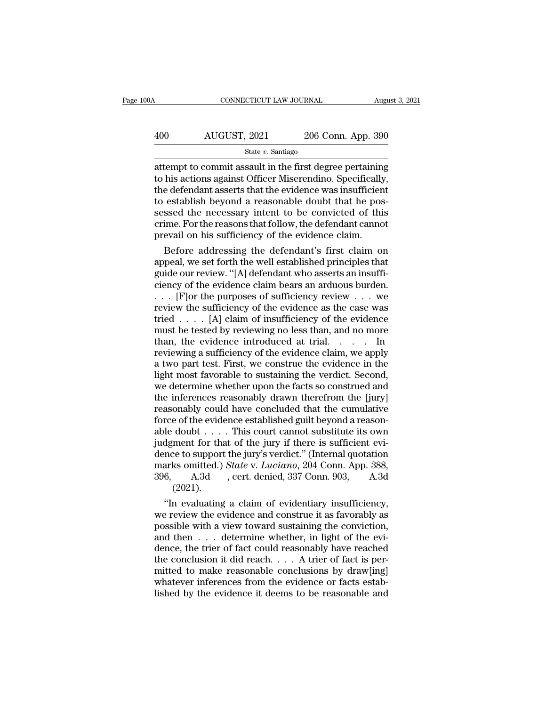# CONNECTICUT LAW JOURNAL August 3, 2021<br>
400 AUGUST, 2021 206 Conn. App. 390<br>
State v. Santiago

State *v.* Santiago

 $\begin{array}{|l|l|} \hline \text{COMNETICUT LAW JOURNAL} \hline \text{August 3, 2021} \hline \end{array}$ <br>  $\begin{array}{|l|} \hline \text{AUGUST, 2021} \hline \end{array}$  206 Conn. App. 390<br>  $\hline \text{attempt to commit assault in the first degree pertaining} \hline \text{to his actions against Officer Miserendino. Specifically,}$  $\begin{array}{r} \text{AUGUST, 2021} \text{206 Conn. App. 390} \ \text{State } v. \text{ Santiago} \ \text{attempt to commit assault in the first degree pertaining} \ \text{to his actions against Officer Miserendino. Specifically, the defendant asserts that the evidence was insufficient to establish beyond a reasonable doubt that he possible.} \end{array}$  $400$  AUGUST, 2021 206 Conn. App. 390<br>  $\frac{\text{State } v. \text{ Santiago}}{\text{patternpt to commit assault in the first degree pertaining}}$ <br>
to his actions against Officer Miserendino. Specifically,<br>
the defendant asserts that the evidence was insufficient<br>
to establish beyond a reasonable  $400$  AUGUST,  $2021$   $206$  Conn. App. 390<br>  $\frac{300}{200}$ <br>  $\frac{300}{200}$ <br>  $\frac{300}{200}$ <br>  $\frac{300}{200}$ <br>  $\frac{300}{200}$ <br>  $\frac{300}{200}$ <br>  $\frac{300}{200}$ <br>  $\frac{300}{200}$ <br>  $\frac{300}{200}$ <br>  $\frac{300}{200}$ <br>  $\frac{300}{200}$ <br>  $\frac{300}{200}$ state v. Santiago<br>state v. Santiago<br>attempt to commit assault in the first degree pertaining<br>to his actions against Officer Miserendino. Specifically,<br>the defendant asserts that the evidence was insufficient<br>to establish State v. Santiago<br>attempt to commit assault in the first degree pertaining<br>to his actions against Officer Miserendino. Specifically,<br>the defendant asserts that the evidence was insufficient<br>to establish beyond a reasonable attempt to commit assault in the first degree pertaining<br>to his actions against Officer Miserendino. Specifically<br>the defendant asserts that the evidence was insufficien<br>to establish beyond a reasonable doubt that he pos<br>s his actions against Officer Miserendino. Specifically,<br>e defendant asserts that the evidence was insufficient<br>establish beyond a reasonable doubt that he pos-<br>ssed the necessary intent to be convicted of this<br>ime. For the the defendant asserts that the evidence was insufficient<br>to establish beyond a reasonable doubt that he pos-<br>sessed the necessary intent to be convicted of this<br>crime. For the reasons that follow, the defendant cannot<br>prev

to establish beyond a reasonable doubt that he pos-<br>sessed the necessary intent to be convicted of this<br>crime. For the reasons that follow, the defendant cannot<br>prevail on his sufficiency of the evidence claim.<br>Before addr sessed the necessary intent to be convicted of this<br>crime. For the reasons that follow, the defendant cannot<br>prevail on his sufficiency of the evidence claim.<br>Before addressing the defendant's first claim on<br>appeal, we se crime. For the reasons that follow, the defendant cannot<br>prevail on his sufficiency of the evidence claim.<br>Before addressing the defendant's first claim on<br>appeal, we set forth the well established principles that<br>guide o prevail on his sufficiency of the evidence claim.<br>
Before addressing the defendant's first claim on<br>
appeal, we set forth the well established principles that<br>
guide our review. "[A] defendant who asserts an insuffi-<br>
cie Before addressing the defendant's first claim on<br>appeal, we set forth the well established principles that<br>guide our review. "[A] defendant who asserts an insuffi-<br>ciency of the evidence claim bears an arduous burden.<br> $\ld$ appeal, we set forth the well established principles that<br>guide our review. "[A] defendant who asserts an insuffi-<br>ciency of the evidence claim bears an arduous burden.<br> $\ldots$  [F] or the purposes of sufficiency review  $\ldots$ guide our review. "[A] defendant who asserts an insufficiency of the evidence claim bears an arduous burden.<br>
. . . [F] or the purposes of sufficiency review . . . we<br>
review the sufficiency of the evidence as the case wa ciency of the evidence claim bears an arduous burden.<br>  $\ldots$  [F] or the purposes of sufficiency review  $\ldots$  we review the sufficiency of the evidence as the case was<br>
tried  $\ldots$  [A] claim of insufficiency of the evidenc ... [F] or the purposes of sufficiency review ... we<br>review the sufficiency of the evidence as the case was<br>tried .... [A] claim of insufficiency of the evidence<br>must be tested by reviewing no less than, and no more<br>than, review the sufficiency of the evidence as the case was<br>tried . . . . [A] claim of insufficiency of the evidence<br>must be tested by reviewing no less than, and no more<br>than, the evidence introduced at trial. . . . . In<br>revi tried  $\ldots$  [A] claim of insufficiency of the evidence<br>must be tested by reviewing no less than, and no more<br>than, the evidence introduced at trial.  $\ldots$  In<br>reviewing a sufficiency of the evidence claim, we apply<br>a two p must be tested by reviewing no less than, and no more<br>than, the evidence introduced at trial. . . . . In<br>reviewing a sufficiency of the evidence claim, we apply<br>a two part test. First, we construe the evidence in the<br>light than, the evidence introduced at trial. . . . . In<br>reviewing a sufficiency of the evidence claim, we apply<br>a two part test. First, we construe the evidence in the<br>light most favorable to sustaining the verdict. Second,<br>we reviewing a sufficiency of the evidence claim, we apply<br>a two part test. First, we construe the evidence in the<br>light most favorable to sustaining the verdict. Second,<br>we determine whether upon the facts so construed and<br>t a two part test. First, we construe the evidence in the light most favorable to sustaining the verdict. Second, we determine whether upon the facts so construed and the inferences reasonably drawn therefrom the [jury] reas light most favorable to sustaining the verdict. Second,<br>we determine whether upon the facts so construed and<br>the inferences reasonably drawn therefrom the [jury]<br>reasonably could have concluded that the cumulative<br>force o we determine whether upon the facts so construed and<br>the inferences reasonably drawn therefrom the [jury]<br>reasonably could have concluded that the cumulative<br>force of the evidence established guilt beyond a reason-<br>able d the inferences reasonably drawn therefrom the [jury]<br>reasonably could have concluded that the cumulative<br>force of the evidence established guilt beyond a reason-<br>able doubt . . . . This court cannot substitute its own<br>judg reasonably could have concluded that the cumulative<br>force of the evidence established guilt beyond a reason-<br>able doubt . . . . . This court cannot substitute its own<br>judgment for that of the jury if there is sufficient e (2021). le doubt . . . . This court cannot substitute its own<br>dgment for that of the jury if there is sufficient evi-<br>nce to support the jury's verdict." (Internal quotation<br>arks omitted.) *State* v. *Luciano*, 204 Conn. App. 388 judgment for that of the jury if there is sufficient evidence to support the jury's verdict." (Internal quotation marks omitted.) *State* v. *Luciano*, 204 Conn. App. 388, 396, A.3d , cert. denied, 337 Conn. 903, A.3d (20

dence to support the jury's verdict." (Internal quotation<br>marks omitted.) *State* v. *Luciano*, 204 Conn. App. 388,<br>396, A.3d , cert. denied, 337 Conn. 903, A.3d<br>(2021).<br>"In evaluating a claim of evidentiary insufficiency marks omitted.) *State v. Luciano*, 204 Conn. App. 388, 396, A.3d , cert. denied, 337 Conn. 903, A.3d (2021).<br>
"In evaluating a claim of evidentiary insufficiency, we review the evidence and construe it as favorably as po 396, A.3d , cert. denied, 337 Conn. 903, A.3d (2021).<br>
"In evaluating a claim of evidentiary insufficiency,<br>
we review the evidence and construe it as favorably as<br>
possible with a view toward sustaining the conviction,<br> (2021).<br>
"In evaluating a claim of evidentiary insufficiency,<br>
we review the evidence and construe it as favorably as<br>
possible with a view toward sustaining the conviction,<br>
and then  $\dots$  determine whether, in light of t "In evaluating a claim of evidentiary insufficiency,<br>we review the evidence and construe it as favorably as<br>possible with a view toward sustaining the conviction,<br>and then  $\dots$  determine whether, in light of the evi-<br>denc we review the evidence and construe it as favorably as possible with a view toward sustaining the conviction, and then  $\dots$  determine whether, in light of the evidence, the trier of fact could reasonably have reached the possible with a view toward sustaining the conviction, and then  $\ldots$  determine whether, in light of the evidence, the trier of fact could reasonably have reached the conclusion it did reach.  $\ldots$  A trier of fact is perm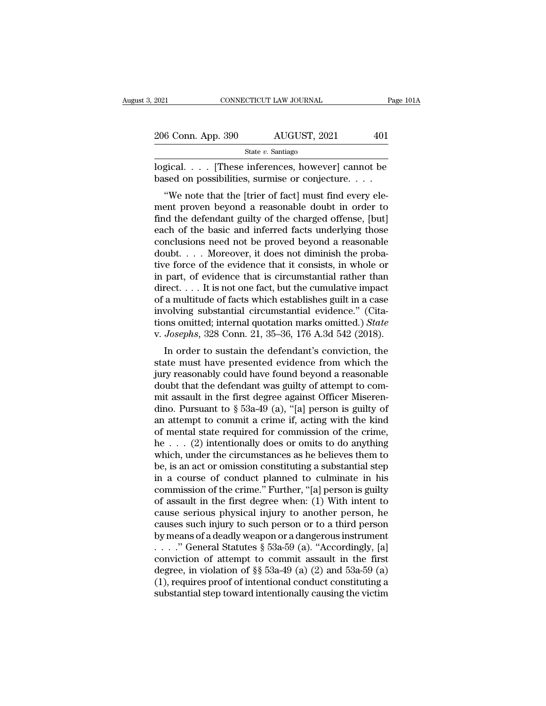| 2021               | CONNECTICUT LAW JOURNAL |              | Page 101A |
|--------------------|-------------------------|--------------|-----------|
| 206 Conn. App. 390 |                         | AUGUST, 2021 | 401       |
|                    | State $v$ . Santiago    |              |           |

2021 CONNECTICUT LAW JOURNAL Page 101A<br>206 Conn. App. 390 AUGUST, 2021 401<br>5tate v. Santiago<br>10gical.... [These inferences, however] cannot be<br>based on possibilities, surmise or conjecture....  $\begin{array}{lll} \textbf{206 Conn. App. 390} & \textbf{AUGUST, 2021} & \textbf{401} \ \textbf{341} & \textbf{81} & \textbf{142} \ \textbf{351} & \textbf{142} & \textbf{143} \ \textbf{361} & \textbf{143} & \textbf{144} \ \textbf{382} & \textbf{145} & \textbf{146} & \textbf{147} \ \textbf{493} & \textbf{148} & \textbf{148} & \textbf{149} \ \textbf{583} & \textbf{149} & \$ 

<sup>6</sup> Conn. App. 390 AUGUST, 2021 401<br>
<sup>State v. Santiago<br>
gical.... [These inferences, however] cannot be<br>
sed on possibilities, surmise or conjecture....<br>
"We note that the [trier of fact] must find every ele-<br>
ent proven</sup> 206 Conn. App. 390 AUGUST, 2021 401<br>
State v. Santiago<br>
logical.... [These inferences, however] cannot be<br>
based on possibilities, surmise or conjecture....<br>
"We note that the [trier of fact] must find every ele-<br>
ment pr State v. Santiago<br>
logical.... [These inferences, however] cannot be<br>
based on possibilities, surmise or conjecture....<br>
"We note that the [trier of fact] must find every ele-<br>
ment proven beyond a reasonable doubt in ord logical. . . . [These inferences, however] cannot be<br>based on possibilities, surmise or conjecture. . . .<br>"We note that the [trier of fact] must find every ele-<br>ment proven beyond a reasonable doubt in order to<br>find the de fogical.  $\ldots$  [These interences, nowever] cannot be<br>based on possibilities, surmise or conjecture.  $\ldots$ <br>"We note that the [trier of fact] must find every ele-<br>ment proven beyond a reasonable doubt in order to<br>find the d doubt. . . . Moreover, it does not diminish the proba-"We note that the [trier of fact] must find every element proven beyond a reasonable doubt in order to find the defendant guilty of the charged offense, [but] each of the basic and inferred facts underlying those conclusi ment proven beyond a reasonable doubt in order to<br>find the defendant guilty of the charged offense, [but]<br>each of the basic and inferred facts underlying those<br>conclusions need not be proved beyond a reasonable<br>doubt.... find the defendant guilty of the charged offense, [but]<br>each of the basic and inferred facts underlying those<br>conclusions need not be proved beyond a reasonable<br>doubt.... Moreover, it does not diminish the proba-<br>tive for each of the basic and inferred facts underlying those<br>conclusions need not be proved beyond a reasonable<br>doubt.... Moreover, it does not diminish the proba-<br>tive force of the evidence that it consists, in whole or<br>in part conclusions need not be proved beyond a reasonable<br>doubt.... Moreover, it does not diminish the proba-<br>tive force of the evidence that it consists, in whole or<br>in part, of evidence that is circumstantial rather than<br>direc doubt.... Moreover, it does not diminish the probative force of the evidence that it consists, in whole or in part, of evidence that is circumstantial rather than direct.... It is not one fact, but the cumulative impact of tive force of the evidence that it consists, in whole or<br>in part, of evidence that is circumstantial rather than<br>direct. . . . It is not one fact, but the cumulative impact<br>of a multitude of facts which establishes guilt i part, of evidence that is circumstantial rather than<br>rect.... It is not one fact, but the cumulative impact<br>a multitude of facts which establishes guilt in a case<br>volving substantial circumstantial evidence." (Cita-<br>Josep of a multitude of facts which establishes guilt in a case<br>involving substantial circumstantial evidence." (Cita-<br>tions omitted; internal quotation marks omitted.) *State*<br>v. Josephs, 328 Conn. 21, 35–36, 176 A.3d 542 (201

or a munitude or facts which establishes guit in a case<br>involving substantial circumstantial evidence." (Cita-<br>tions omitted; internal quotation marks omitted.) *State*<br>v. Josephs, 328 Conn. 21, 35–36, 176 A.3d 542 (2018). mvolving substantial encurristantial evidence. (Cria-<br>tions omitted; internal quotation marks omitted.) State<br>v. Josephs, 328 Conn. 21, 35–36, 176 A.3d 542 (2018).<br>In order to sustain the defendant's conviction, the<br>state v. Josephs, 328 Conn. 21, 35–36, 176 A.3d 542 (2018).<br>In order to sustain the defendant's conviction, the<br>state must have presented evidence from which the<br>jury reasonably could have found beyond a reasonable<br>doubt that t v. Josephs, 328 Conit. 21, 33–30, 110 A.3d 342 (2018).<br>In order to sustain the defendant's conviction, the<br>state must have presented evidence from which the<br>jury reasonably could have found beyond a reasonable<br>doubt that In order to sustain the defendant's conviction, the<br>state must have presented evidence from which the<br>jury reasonably could have found beyond a reasonable<br>doubt that the defendant was guilty of attempt to com-<br>mit assault state must have presented evidence from which the<br>jury reasonably could have found beyond a reasonable<br>doubt that the defendant was guilty of attempt to com-<br>mit assault in the first degree against Officer Miseren-<br>dino. jury reasonably could have found beyond a reasonable<br>doubt that the defendant was guilty of attempt to com-<br>mit assault in the first degree against Officer Miseren-<br>dino. Pursuant to  $\S$  53a-49 (a), "[a] person is guilty doubt that the defendant was guilty of attempt to commit assault in the first degree against Officer Miserendino. Pursuant to  $\S$  53a-49 (a), "[a] person is guilty of an attempt to commit a crime if, acting with the kind mit assault in the first degree against Officer Miserendino. Pursuant to  $\S$  53a-49 (a), "[a] person is guilty of<br>an attempt to commit a crime if, acting with the kind<br>of mental state required for commission of the crime, dino. Pursuant to § 53a-49 (a), "[a] person is guilty of<br>an attempt to commit a crime if, acting with the kind<br>of mental state required for commission of the crime,<br>he . . . (2) intentionally does or omits to do anything<br> an attempt to commit a crime if, acting with the kind<br>of mental state required for commission of the crime,<br>he  $\dots$  (2) intentionally does or omits to do anything<br>which, under the circumstances as he believes them to<br>be, of mental state required for commission of the crime,<br>he  $\ldots$  (2) intentionally does or omits to do anything<br>which, under the circumstances as he believes them to<br>be, is an act or omission constituting a substantial step he . . . (2) intentionally does or omits to do anything<br>which, under the circumstances as he believes them to<br>be, is an act or omission constituting a substantial step<br>in a course of conduct planned to culminate in his<br>co which, under the circumstances as he believes them to<br>be, is an act or omission constituting a substantial step<br>in a course of conduct planned to culminate in his<br>commission of the crime." Further, "[a] person is guilty<br>o be, is an act or omission constituting a substantial step<br>in a course of conduct planned to culminate in his<br>commission of the crime." Further, "[a] person is guilty<br>of assault in the first degree when: (1) With intent to in a course of conduct planned to culminate in his<br>commission of the crime." Further, "[a] person is guilty<br>of assault in the first degree when: (1) With intent to<br>cause serious physical injury to another person, he<br>cause commission of the crime." Further, "[a] person is guilty<br>of assault in the first degree when: (1) With intent to<br>cause serious physical injury to another person, he<br>causes such injury to such person or to a third person<br>b of assault in the first degree when: (1) With intent to<br>cause serious physical injury to another person, he<br>causes such injury to such person or to a third person<br>by means of a deadly weapon or a dangerous instrument<br> $\dots$ cause serious physical injury to another person, he<br>causes such injury to such person or to a third person<br>by means of a deadly weapon or a dangerous instrument<br> $\ldots$  " General Statutes § 53a-59 (a). "Accordingly, [a]<br>con causes such injury to such person or to a third person<br>by means of a deadly weapon or a dangerous instrument<br>..." General Statutes  $\S$  53a-59 (a). "Accordingly, [a]<br>conviction of attempt to commit assault in the first<br>deg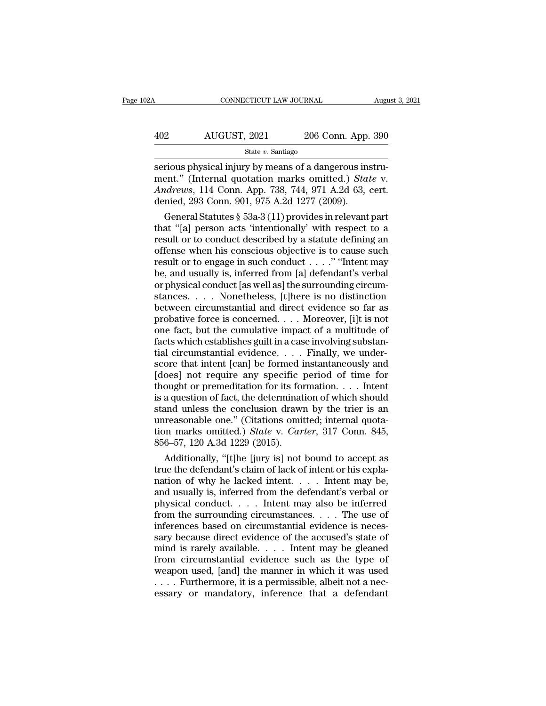| )2A | CONNECTICUT LAW JOURNAL |                    | August 3, 2021 |  |
|-----|-------------------------|--------------------|----------------|--|
|     |                         |                    |                |  |
| 402 | AUGUST, 2021            | 206 Conn. App. 390 |                |  |
|     | State $v$ . Santiago    |                    |                |  |

serious physical injury by means of a dangerous instrument." (Internal quotation marks omitted.) *State v.*<br>Andrews 114 Conn. App. 390<br>Andrews 114 Conn. App. 738 744 971 A 2d 63, cort AUGUST, 2021 206 Conn. App. 390<br>
<sup>State v. Santiago<br>
serious physical injury by means of a dangerous instru-<br>
ment.'' (Internal quotation marks omitted.) *State* v.<br> *Andrews*, 114 Conn. App. 738, 744, 971 A.2d 63, cert.<br>
</sup> *AUGUST, 2021* 206 Conn. App. 390<br>
<sup>State v. Santiago<br>
serious physical injury by means of a dangerous instrument." (Internal quotation marks omitted.) *State v.*<br> *Andrews*, 114 Conn. App. 738, 744, 971 A.2d 63, cert.<br>
de</sup>  $\begin{array}{r} \text{AUGUST, 2021} & \text{206 Conn. App.} \ \hline \text{State } v. \text{ Santiago} \ \hline \text{series} \ \hline \text{series} \ \hline \text{series} \ \hline \text{series} \ \hline \text{matrix} \ \hline \text{by mean of a dangerous ins.} \\ \hline \text{ment." (Internal quotation marks omitted.) } \text{Sta} \ \hline \text{Andrews, 114 Conn. App. 738, 744, 971 A.2d 63, \ \hline \text{denied, 293 Conn. 901, 975 A.2d 1277 (2009).} \\ \hline \text{General$ State v. Santiago<br>
Frious physical injury by means of a dangerous instru-<br>
ent." (Internal quotation marks omitted.) State v.<br> *drews*, 114 Conn. App. 738, 744, 971 A.2d 63, cert.<br>
mied, 293 Conn. 901, 975 A.2d 1277 (2009 serious physical injury by means of a dangerous instrument." (Internal quotation marks omitted.) State v.<br>Andrews, 114 Conn. App. 738, 744, 971 A.2d 63, cert.<br>denied, 293 Conn. 901, 975 A.2d 1277 (2009).<br>General Statutes

serious physical injury by means of a dangerous instrument." (Internal quotation marks omitted.) *State* v.<br>Andrews, 114 Conn. App. 738, 744, 971 A.2d 63, cert.<br>denied, 293 Conn. 901, 975 A.2d 1277 (2009).<br>General Statute ment." (Internal quotation marks omitted.) *State* v.<br>Andrews, 114 Conn. App. 738, 744, 971 A.2d 63, cert.<br>denied, 293 Conn. 901, 975 A.2d 1277 (2009).<br>General Statutes § 53a-3 (11) provides in relevant part<br>that "[a] per Andrews, 114 Conn. App. 738, 744, 971 A.2d 63, cert.<br>denied, 293 Conn. 901, 975 A.2d 1277 (2009).<br>General Statutes § 53a-3 (11) provides in relevant part<br>that "[a] person acts "intentionally" with respect to a<br>result or t denied, 293 Conn. 901, 975 A.2d 1277 (2009).<br>
General Statutes § 53a-3 (11) provides in relevant part<br>
that "[a] person acts "intentionally" with respect to a<br>
result or to conduct described by a statute defining an<br>
offe General Statutes § 53a-3 (11) provides in relevant part<br>that "[a] person acts 'intentionally' with respect to a<br>result or to conduct described by a statute defining an<br>offense when his conscious objective is to cause such that "[a] person acts 'intentionally' with respect to a<br>result or to conduct described by a statute defining an<br>offense when his conscious objective is to cause such<br>result or to engage in such conduct . . . . " "Intent ma result or to conduct described by a statute defining an offense when his conscious objective is to cause such result or to engage in such conduct  $\ldots$ ." "Intent may be, and usually is, inferred from [a] defendant's verba offense when his conscious objective is to cause such<br>result or to engage in such conduct . . . . " "Intent may<br>be, and usually is, inferred from [a] defendant's verbal<br>or physical conduct [as well as] the surrounding cir result or to engage in such conduct . . . . " "Intent may<br>be, and usually is, inferred from [a] defendant's verbal<br>or physical conduct [as well as] the surrounding circum-<br>stances. . . . . Nonetheless, [t]here is no disti be, and usually is, inferred from [a] defendant's verbal<br>or physical conduct [as well as] the surrounding circum-<br>stances. . . . . Nonetheless, [t]here is no distinction<br>between circumstantial and direct evidence so far as or physical conduct [as well as] the surrounding circumstances. . . . . Nonetheless, [t]here is no distinction<br>between circumstantial and direct evidence so far as<br>probative force is concerned. . . . Moreover, [i]t is not stances. . . . Nonetheless, [t]here is no distinction<br>between circumstantial and direct evidence so far as<br>probative force is concerned. . . . Moreover, [i]t is not<br>one fact, but the cumulative impact of a multitude of<br>fac between circumstantial and direct evidence so far as<br>probative force is concerned. . . . Moreover, [i]t is not<br>one fact, but the cumulative impact of a multitude of<br>facts which establishes guilt in a case involving substan probative force is concerned. . . . Moreover, [i]t is not<br>one fact, but the cumulative impact of a multitude of<br>facts which establishes guilt in a case involving substan-<br>tial circumstantial evidence. . . . Finally, we un one fact, but the cumulative impact of a multitude of facts which establishes guilt in a case involving substantial circumstantial evidence. . . . Finally, we underscore that intent [can] be formed instantaneously and [do facts which establishes guilt in a case involving substantial circumstantial evidence. . . . Finally, we under-<br>score that intent [can] be formed instantaneously and<br>[does] not require any specific period of time for<br>thou tial circumstantial evidence.... Finally, we under-<br>score that intent [can] be formed instantaneously and<br>[does] not require any specific period of time for<br>thought or premeditation for its formation.... Intent<br>is a quest score that intent [can] be formed instantaneously and [does] not require any specific period of time for thought or premeditation for its formation. . . . Intent is a question of fact, the determination of which should sta [does] not require any specific if<br>thought or premeditation for its form is a question of fact, the determinat<br>stand unless the conclusion drawn<br>unreasonable one." (Citations omition marks omitted.) *State* v. *Car*<br>856–57 ought or premeditation for its formation.... Intent<br>a question of fact, the determination of which should<br>and unless the conclusion drawn by the trier is an<br>reasonable one." (Citations omitted; internal quota-<br>on marks om is a question of fact, the determination of which should<br>stand unless the conclusion drawn by the trier is an<br>unreasonable one." (Citations omitted; internal quota-<br>tion marks omitted.) *State* v. *Carter*, 317 Conn. 845,

stand unless the conclusion drawn by the trier is an unreasonable one." (Citations omitted; internal quotation marks omitted.) *State v. Carter*, 317 Conn. 845, 856–57, 120 A.3d 1229 (2015).<br>Additionally, "[t]he [jury is] unreasonable one." (Citations omitted; internal quotation marks omitted.) *State v. Carter*, 317 Conn. 845, 856–57, 120 A.3d 1229 (2015).<br>Additionally, "[t]he [jury is] not bound to accept as true the defendant's claim of tion marks omitted.) *State v. Carter*, 317 Conn. 845, 856–57, 120 A.3d 1229 (2015).<br>
Additionally, "[t]he [jury is] not bound to accept as<br>
true the defendant's claim of lack of intent or his expla-<br>
nation of why he lac 856–57, 120 A.3d 1229 (2015).<br>
Additionally, "[t]he [jury is] not bound to accept as<br>
true the defendant's claim of lack of intent or his expla-<br>
nation of why he lacked intent. . . . Intent may be,<br>
and usually is, infer Additionally, "[t]he [jury is] not bound to accept as<br>true the defendant's claim of lack of intent or his expla-<br>nation of why he lacked intent.... Intent may be,<br>and usually is, inferred from the defendant's verbal or<br>ph true the defendant's claim of lack of intent or his explanation of why he lacked intent. . . . Intent may be, and usually is, inferred from the defendant's verbal or physical conduct. . . . Intent may also be inferred fro mation of why he lacked intent. . . . Intent may be,<br>and usually is, inferred from the defendant's verbal or<br>physical conduct. . . . Intent may also be inferred<br>from the surrounding circumstances. . . . The use of<br>inferen and usually is, inferred from the defendant's verbal or<br>physical conduct.... Intent may also be inferred<br>from the surrounding circumstances.... The use of<br>inferences based on circumstantial evidence is neces-<br>sary because physical conduct.... Intent may also be inferred<br>from the surrounding circumstances.... The use of<br>inferences based on circumstantial evidence is neces-<br>sary because direct evidence of the accused's state of<br>mind is rarely from the surrounding circumstances. . . . The use of inferences based on circumstantial evidence is necessary because direct evidence of the accused's state of mind is rarely available. . . . Intent may be gleaned from ci inferences based on circumstantial evidence is necessary because direct evidence of the accused's state of mind is rarely available. . . . Intent may be gleaned from circumstantial evidence such as the type of weapon used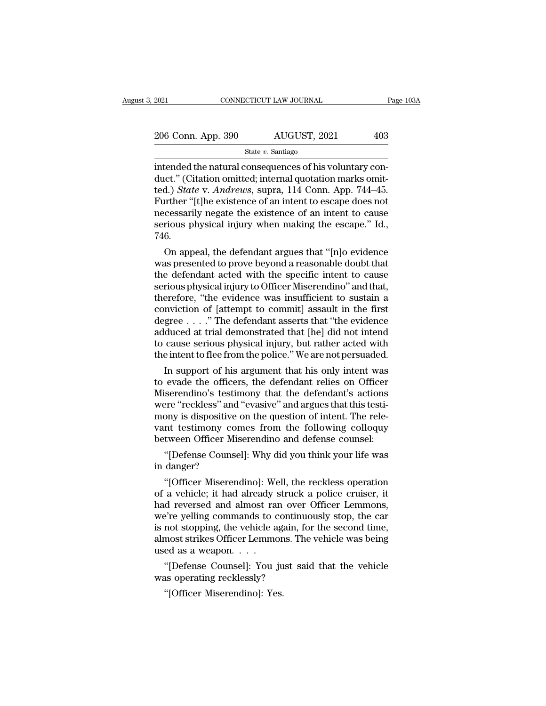| 2021               | CONNECTICUT LAW JOURNAL | Page 103A |
|--------------------|-------------------------|-----------|
| 206 Conn. App. 390 | AUGUST, 2021            | 403       |
|                    | State $v$ . Santiago    |           |

EXECUTE 2021<br>
2006 Conn. App. 390 AUGUST, 2021 403<br>
300 State v. Santiago<br>
2016 Conn. App. 390 AUGUST, 2021 403<br>
300 State v. Santiago<br>
2011 August 2015 (Citation omitted; internal quotation marks omitted)<br>
2018 State v. A  $\frac{206 \text{ Conn. App. 390}}{\text{State } v. \text{ Santiago}}$   $\frac{\text{State } v. \text{ Santiago}}{\text{intended the natural consequences of his voluntary conduct." (Citation omitted; internal quotation marks omitted.) *State v. Andrews*, supra, 114 Conn. App. 744–45. Further, "If the existence of an intent to escape does not$ 206 Conn. App. 390 AUGUST, 2021 403<br>
State v. Santiago<br>
intended the natural consequences of his voluntary conduct." (Citation omitted; internal quotation marks omitted.) *State* v. *Andrews*, supra, 114 Conn. App. 744–45. 206 Conn. App. 390 AUGUST, 2021 403<br>
State v. Santiago<br>
intended the natural consequences of his voluntary con-<br>
duct." (Citation omitted; internal quotation marks omit-<br>
ted.) *State v. Andrews*, supra, 114 Conn. App. 74 State v. Santiago<br>
State v. Santiago<br>
intended the natural consequences of his voluntary con-<br>
duct." (Citation omitted; internal quotation marks omit-<br>
ted.) State v. Andrews, supra, 114 Conn. App. 744–45.<br>
Further "[t]he state v. Santiago<br>intended the natural consequences of his voluntary con-<br>duct." (Citation omitted; internal quotation marks omit-<br>ted.) *State* v. Andrews, supra, 114 Conn. App. 744–45.<br>Further "[t]he existence of an inte 746. red. (Citation omitted; internal quotation marks omit-<br>d.) *State* v. *Andrews*, supra, 114 Conn. App. 744–45.<br>urther "[t]he existence of an intent to escape does not<br>cessarily negate the existence of an intent to cause<br>ri ted.) *State* v. *Andrews*, supra, 114 Conn. App. (44–45).<br>Further "[t]he existence of an intent to escape does not<br>necessarily negate the existence of an intent to cause<br>serious physical injury when making the escape." Id

Further [t]ne existence of an intent to escape does not<br>necessarily negate the existence of an intent to cause<br>serious physical injury when making the escape." Id.,<br>746.<br>On appeal, the defendant argues that "[n]o evidence<br> necessarily negate the existence of an intent to cause<br>serious physical injury when making the escape." Id.,<br>746.<br>On appeal, the defendant argues that "[n]o evidence<br>was presented to prove beyond a reasonable doubt that<br>th serious physical injury when making the escape. Id.,<br>746.<br>On appeal, the defendant argues that "[n]o evidence<br>was presented to prove beyond a reasonable doubt that<br>the defendant acted with the specific intent to cause<br>seri (40.<br>
On appeal, the defendant argues that "[n]o evidence<br>
was presented to prove beyond a reasonable doubt that<br>
the defendant acted with the specific intent to cause<br>
serious physical injury to Officer Miserendino" and On appeal, the defendant argues that "[n]o evidence<br>was presented to prove beyond a reasonable doubt that<br>the defendant acted with the specific intent to cause<br>serious physical injury to Officer Miserendino" and that,<br>ther was presented to prove beyond a reasonable doubt that<br>the defendant acted with the specific intent to cause<br>serious physical injury to Officer Miserendino" and that,<br>therefore, "the evidence was insufficient to sustain a<br>c the defendant acted with the specific intent to cause<br>serious physical injury to Officer Miserendino" and that,<br>therefore, "the evidence was insufficient to sustain a<br>conviction of [attempt to commit] assault in the first<br> serious physical injury to Officer Miserendino" and that,<br>therefore, "the evidence was insufficient to sustain a<br>conviction of [attempt to commit] assault in the first<br>degree . . . ." The defendant asserts that "the eviden erefore, "the evidence was insufficient to sustain a<br>mviction of [attempt to commit] assault in the first<br>gree . . . ." The defendant asserts that "the evidence<br>duced at trial demonstrated that [he] did not intend<br>cause se conviction of [attempt to commit] assault in the first<br>degree  $\ldots$ ." The defendant asserts that "the evidence<br>adduced at trial demonstrated that [he] did not intend<br>to cause serious physical injury, but rather acted with

Miserendino's testimony that the defendant's actions adduced at trial demonstrated that [he] did not intend<br>to cause serious physical injury, but rather acted with<br>the intent to flee from the police." We are not persuaded.<br>In support of his argument that his only intent was<br> to cause serious physical injury, but rather acted with<br>the intent to flee from the police." We are not persuaded.<br>In support of his argument that his only intent was<br>to evade the officers, the defendant relies on Officer<br> the intent to flee from the police." We are not persuaded.<br>
In support of his argument that his only intent was<br>
to evade the officers, the defendant relies on Officer<br>
Miserendino's testimony that the defendant's actions<br> In support of his argument that his only intent was<br>to evade the officers, the defendant relies on Officer<br>Miserendino's testimony that the defendant's actions<br>were "reckless" and "evasive" and argues that this testi-<br>mony evade the officers, the defendant relies on Officer<br>
iserendino's testimony that the defendant's actions<br>
ere "reckless" and "evasive" and argues that this testi-<br>
ony is dispositive on the question of intent. The rele-<br>
i Miserendino's testii<br>were "reckless" and<br>mony is dispositive<br>vant testimony con<br>between Officer Mi<br>"[Defense Counse<br>in danger?<br>"[Officer Miseren The vertext of the control and algebra that the costal<br>
ony is dispositive on the question of intent. The rele-<br>
int testimony comes from the following colloquy<br>
tween Officer Miserendino and defense counsel:<br>
"[Defense Co

of a vehicle; it had already struck a police cruiser.<br>
"[Defense Counsel]: Why did you think your life was<br>
in danger?<br>
"[Officer Miserendino]: Well, the reckless operation<br>
of a vehicle; it had already struck a police cru had reversed and strengthending energy between Officer Miserendino and defense counsel:<br>
"[Defense Counsel]: Why did you think your life was<br>
in danger?<br>
"[Officer Miserendino]: Well, the reckless operation<br>
of a vehicle; "[Defense Counsel]: Why did you think your life was<br>in danger?<br>"[Officer Miserendino]: Well, the reckless operation<br>of a vehicle; it had already struck a police cruiser, it<br>had reversed and almost ran over Officer Lemmons, "[Derense Counser]: why ald you think your life was<br>in danger?<br>"[Officer Miserendino]: Well, the reckless operation<br>of a vehicle; it had already struck a police cruiser, it<br>had reversed and almost ran over Officer Lemmons, in danger?<br>
"[Officer Miserendino]: Well, the reckless operation<br>
of a vehicle; it had already struck a police cruiser, it<br>
had reversed and almost ran over Officer Lemmons,<br>
we're yelling commands to continuously stop, th "[Officer Miserendino]: We<br>of a vehicle; it had already :<br>had reversed and almost ran<br>we're yelling commands to c<br>is not stopping, the vehicle a<br>almost strikes Officer Lemmo<br>used as a weapon. . . . .<br>"[Defense Counsel]: Yo a venicle; it had already struck a police cruiser, it<br>d reversed and almost ran over Officer Lemmons,<br>e're yelling commands to continuously stop, the car<br>not stopping, the vehicle again, for the second time,<br>most strikes O nad reversed and almost ran over<br>we're yelling commands to continu<br>is not stopping, the vehicle again, f<br>almost strikes Officer Lemmons. Th<br>used as a weapon. . . .<br>"[Defense Counsel]: You just sa<br>was operating recklessly?<br> The vehicle age and stopping, the vehicle age and strikes Officer Lemmon ed as a weapon. . . . .<br>"[Defense Counsel]: You ju so operating recklessly? "[Officer Miserendino]: Yes.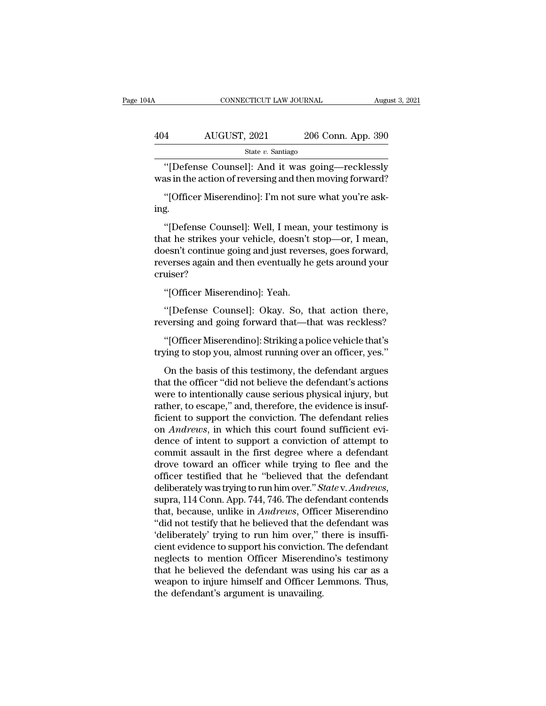| 4Α   | CONNECTICUT LAW JOURNAL                                                                                    |                    | August 3, 2021 |
|------|------------------------------------------------------------------------------------------------------------|--------------------|----------------|
| 404  | AUGUST, 2021                                                                                               | 206 Conn. App. 390 |                |
|      | State $v$ . Santiago                                                                                       |                    |                |
|      | "[Defense Counsel]: And it was going—recklessly<br>was in the action of reversing and then moving forward? |                    |                |
| ing. | "[Officer Miserendino]: I'm not sure what you're ask-                                                      |                    |                |

"[Defense Counsel]: And it was going—recklessly<br>as in the action of reversing and then moving forward?<br>"[Officer Miserendino]: I'm not sure what you're ask-<br>g.<br>"[Defense Counsel]: Well, I mean, your testimony is<br>at he stri "[Defense Counsel]: And it was going—recklessly<br>was in the action of reversing and then moving forward?<br>"[Officer Miserendino]: I'm not sure what you're ask-<br>ing.<br>"[Defense Counsel]: Well, I mean, your testimony is<br>that he was in the action of reversing and then moving forward?<br>
"[Officer Miserendino]: I'm not sure what you're ask-<br>
ing.<br>
"[Defense Counsel]: Well, I mean, your testimony is<br>
that he strikes your vehicle, doesn't stop—or, I me "[Officer Miserendino]: I'm not sure what you're asking.<br>"[Defense Counsel]: Well, I mean, your testimony is<br>that he strikes your vehicle, doesn't stop—or, I mean,<br>doesn't continue going and just reverses, goes forward,<br>re cruiser? "[Defense Counsel]: Well, I mean, your testimony is<br>that he strikes your vehicle, doesn't stop—or, I mean,<br>doesn't continue going and just reverses, goes forward,<br>reverses again and then eventually he gets around your<br>crui at he strikes your vehicle, doesn't stop—or, I mean,<br>
sesn't continue going and just reverses, goes forward,<br>
verses again and then eventually he gets around your<br>
uiser?<br>
"[Officer Miserendino]: Yeah.<br>
"[Defense Counsel]: doesn't continue going and just reverses, goes forward,<br>reverses again and then eventually he gets around your<br>cruiser?<br>"[Officer Miserendino]: Yeah.<br>"[Defense Counsel]: Okay. So, that action there,<br>reversing and going for

uiser?<br>"[Officer Miserendino]: Yeah.<br>"[Defense Counsel]: Okay. So, that action there,<br>versing and going forward that—that was reckless?<br>"[Officer Miserendino]: Striking a police vehicle that's<br>ving to stop you, almost runn "[Officer Miserendino]: Yeah.<br>"[Defense Counsel]: Okay. So, that action there,<br>reversing and going forward that—that was reckless?<br>"[Officer Miserendino]: Striking a police vehicle that's<br>trying to stop you, almost running

"[Defense Counsel]: Okay. So, that action there,<br>wersing and going forward that—that was reckless?<br>"[Officer Miserendino]: Striking a police vehicle that's<br>zing to stop you, almost running over an officer, yes."<br>On the bas "[Defense Counsel]: Okay. So, that action there,<br>reversing and going forward that—that was reckless?<br>"[Officer Miserendino]: Striking a police vehicle that's<br>trying to stop you, almost running over an officer, yes."<br>On the reversing and going forward that—that was reckless?<br>
"[Officer Miserendino]: Striking a police vehicle that's<br>
trying to stop you, almost running over an officer, yes."<br>
On the basis of this testimony, the defendant argues "[Officer Miserendino]: Striking a police vehicle that's<br>trying to stop you, almost running over an officer, yes."<br>On the basis of this testimony, the defendant argues<br>that the officer "did not believe the defendant's acti frying to stop you, almost running a peace center and stripting to stop you, almost running over an officer, yes."<br>On the basis of this testimony, the defendant argues<br>that the officer "did not believe the defendant's acti on the basis of this testimony, the defendant argues<br>that the officer "did not believe the defendant's actions<br>were to intentionally cause serious physical injury, but<br>rather, to escape," and, therefore, the evidence is in On the basis of this testimony, the defendant argues<br>that the officer "did not believe the defendant's actions<br>were to intentionally cause serious physical injury, but<br>rather, to escape," and, therefore, the evidence is in that the officer "did not believe the defendant's actions<br>were to intentionally cause serious physical injury, but<br>rather, to escape," and, therefore, the evidence is insuf-<br>ficient to support the conviction. The defendant were to intentionally cause serious physical injury, but<br>rather, to escape," and, therefore, the evidence is insuf-<br>ficient to support the conviction. The defendant relies<br>on *Andrews*, in which this court found sufficient rather, to escape," and, therefore, the evidence is insuf-<br>ficient to support the conviction. The defendant relies<br>on *Andrews*, in which this court found sufficient evi-<br>dence of intent to support a conviction of attempt ficient to support the conviction. The defendant relies<br>on *Andrews*, in which this court found sufficient evi-<br>dence of intent to support a conviction of attempt to<br>commit assault in the first degree where a defendant<br>dro dence of intent to support a conviction of attempt to<br>commit assault in the first degree where a defendant<br>drove toward an officer while trying to flee and the<br>officer testified that he "believed that the defendant<br>deliber commit assault in the first degree where a defendant<br>drove toward an officer while trying to flee and the<br>officer testified that he "believed that the defendant<br>deliberately was trying to run him over." *State* v. Andrews, drove toward an officer while trying to flee and the officer testified that he "believed that the defendant deliberately was trying to run him over." *State* v. Andrews, supra, 114 Conn. App. 744, 746. The defendant conten officer testified that he "believed that the defendant<br>deliberately was trying to run him over." *State* v. Andrews,<br>supra, 114 Conn. App. 744, 746. The defendant contends<br>that, because, unlike in Andrews, Officer Miserend deliberately was trying to run him over." *State* v. Andrews,<br>supra, 114 Conn. App. 744, 746. The defendant contends<br>that, because, unlike in Andrews, Officer Miserendino<br>"did not testify that he believed that the defendan supra, 114 Conn. App. 744, 746. The defendant contends<br>that, because, unlike in *Andrews*, Officer Miserendino<br>"did not testify that he believed that the defendant was<br>"deliberately" trying to run him over," there is insuf that, because, unlike in *Andrews*, Officer Miserendino<br>"did not testify that he believed that the defendant was<br>'deliberately' trying to run him over," there is insuffi-<br>cient evidence to support his conviction. The defen "did not testify that he believed that the 'deliberately' trying to run him over," to cient evidence to support his conviction.<br>
Ineglects to mention Officer Miserendi<br>
that he believed the defendant was usi<br>
weapon to inj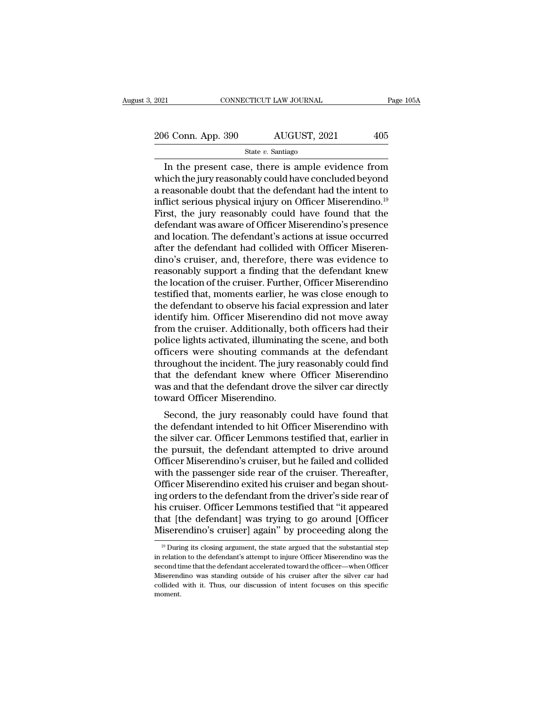2021 CONNECTICUT LAW JOURNAL Page 105A<br>
206 Conn. App. 390 AUGUST, 2021 405<br>
State v. Santiago

State *v.* Santiago

CONNECTICUT LAW JOURNAL Page 105A<br>  $\frac{6 \text{ Conn. App. } 390}$  AUGUST, 2021 405<br>  $\frac{8 \text{ State } v. \text{ Santiago}}{2 \text{ State } v. \text{ Santiago}}$ <br>
In the present case, there is ample evidence from<br>
aich the jury reasonably could have concluded beyond<br>
consensul 206 Conn. App. 390  $\overline{\text{AUGUST}}$ , 2021  $\overline{\text{405}}$ <br>State v. Santiago<br>In the present case, there is ample evidence from<br>which the jury reasonably could have concluded beyond<br>a reasonable doubt that the defendant had the in 206 Conn. App. 390 AUGUST, 2021 405<br>
State v. Santiago<br>
In the present case, there is ample evidence from<br>
which the jury reasonably could have concluded beyond<br>
a reasonable doubt that the defendant had the intent to<br>
in 206 Conn. App. 390 AUGUST, 2021 405<br>
State v. Santiago<br>
In the present case, there is ample evidence from<br>
which the jury reasonably could have concluded beyond<br>
a reasonable doubt that the defendant had the intent to<br>
in Fig. 2.1 The grows of the grows,  $\frac{1}{2}$  and  $\frac{1}{2}$  is the  $v$ . Santiago<br>
In the present case, there is ample evidence from<br>
which the jury reasonably could have concluded beyond<br>
a reasonable doubt that the defendan State v. Santiago<br>In the present case, there is ample evidence from<br>which the jury reasonably could have concluded beyond<br>a reasonable doubt that the defendant had the intent to<br>inflict serious physical injury on Officer In the present case, there is ample evidence from<br>which the jury reasonably could have concluded beyond<br>a reasonable doubt that the defendant had the intent to<br>inflict serious physical injury on Officer Miserendino.<sup>19</sup><br>Fi which the jury reasonably could have concluded beyond<br>a reasonable doubt that the defendant had the intent to<br>inflict serious physical injury on Officer Miserendino.<sup>19</sup><br>First, the jury reasonably could have found that the a reasonable doubt that the defendant had the intent to<br>inflict serious physical injury on Officer Miserendino.<sup>19</sup><br>First, the jury reasonably could have found that the<br>defendant was aware of Officer Miserendino's presence inflict serious physical injury on Officer Miserendino.<sup>19</sup><br>First, the jury reasonably could have found that the<br>defendant was aware of Officer Miserendino's presence<br>and location. The defendant's actions at issue occurred First, the jury reasonably could have found that the<br>defendant was aware of Officer Miserendino's presence<br>and location. The defendant's actions at issue occurred<br>after the defendant had collided with Officer Miseren-<br>dino defendant was aware of Officer Miserendino's presence<br>and location. The defendant's actions at issue occurred<br>after the defendant had collided with Officer Miseren-<br>dino's cruiser, and, therefore, there was evidence to<br>rea and location. The defendant's actions at issue occurred<br>after the defendant had collided with Officer Miseren-<br>dino's cruiser, and, therefore, there was evidence to<br>reasonably support a finding that the defendant knew<br>the after the defendant had collided with Officer Miserendino's cruiser, and, therefore, there was evidence to reasonably support a finding that the defendant knew the location of the cruiser. Further, Officer Miserendino test dino's cruiser, and, therefore, there was evidence to<br>reasonably support a finding that the defendant knew<br>the location of the cruiser. Further, Officer Miserendino<br>testified that, moments earlier, he was close enough to<br>t reasonably support a finding that the defendant knew<br>the location of the cruiser. Further, Officer Miserendino<br>testified that, moments earlier, he was close enough to<br>the defendant to observe his facial expression and late the location of the cruiser. Further, Officer Miserendino<br>testified that, moments earlier, he was close enough to<br>the defendant to observe his facial expression and later<br>identify him. Officer Miserendino did not move away testified that, moments earlier, he was close enough to<br>the defendant to observe his facial expression and later<br>identify him. Officer Miserendino did not move away<br>from the cruiser. Additionally, both officers had their<br>p the defendant to observe his facial expression and later<br>identify him. Officer Miserendino did not move away<br>from the cruiser. Additionally, both officers had their<br>police lights activated, illuminating the scene, and both identify him. Officer Miserendino did not move away<br>from the cruiser. Additionally, both officers had their<br>police lights activated, illuminating the scene, and both<br>officers were shouting commands at the defendant<br>through from the cruiser. Additionally, bo<br>police lights activated, illuminatin<br>officers were shouting comman<br>throughout the incident. The jury i<br>that the defendant knew where<br>was and that the defendant drove<br>toward Officer Misere Ficers were shouting commands at the defendant<br>ficers were shouting commands at the defendant<br>roughout the incident. The jury reasonably could find<br>at the defendant knew where Officer Miserendino<br>as and that the defendant omeers were shouting commands at the defendant<br>throughout the incident. The jury reasonably could find<br>that the defendant knew where Officer Miserendino<br>was and that the defendant drove the silver car directly<br>toward Offic

throughout the incluent. The jury reasonably could find<br>that the defendant knew where Officer Miserendino<br>was and that the defendant drove the silver car directly<br>toward Officer Miserendino.<br>Second, the jury reasonably cou that the defendant knew where Officer Miserendino<br>was and that the defendant drove the silver car directly<br>toward Officer Miserendino.<br>Second, the jury reasonably could have found that<br>the defendant intended to hit Officer was and that the defendant drove the silver car diffectly<br>toward Officer Miserendino.<br>Second, the jury reasonably could have found that<br>the defendant intended to hit Officer Miserendino with<br>the silver car. Officer Lemmons ward Officer Miserendino.<br>Second, the jury reasonably could have found that<br>the defendant intended to hit Officer Miserendino with<br>the silver car. Officer Lemmons testified that, earlier in<br>the pursuit, the defendant attem Second, the jury reasonably could have found that<br>the defendant intended to hit Officer Miserendino with<br>the silver car. Officer Lemmons testified that, earlier in<br>the pursuit, the defendant attempted to drive around<br>Offic the defendant intended to hit Officer Miserendino with<br>the silver car. Officer Lemmons testified that, earlier in<br>the pursuit, the defendant attempted to drive around<br>Officer Miserendino's cruiser, but he failed and collid the silver car. Officer Lemmons testified that, earlier in<br>the pursuit, the defendant attempted to drive around<br>Officer Miserendino's cruiser, but he failed and collided<br>with the passenger side rear of the cruiser. Thereaf the pursuit, the defendant attempted to drive around<br>Officer Miserendino's cruiser, but he failed and collided<br>with the passenger side rear of the cruiser. Thereafter,<br>Officer Miserendino exited his cruiser and began shout Officer Miserendino's cruiser, but he failed and collided<br>with the passenger side rear of the cruiser. Thereafter,<br>Officer Miserendino exited his cruiser and began shout-<br>ing orders to the defendant from the driver's side is cruiser. Officer Lemmons testified that "it appeared<br>at [the defendant] was trying to go around [Officer<br>iserendino's cruiser] again'' by proceeding along the<br><sup>19</sup> During its closing argument, the state argued that the his cruiser. Officer Lemmons testified that "it appeared<br>that [the defendant] was trying to go around [Officer<br>Miserendino's cruiser] again" by proceeding along the<br><sup>19</sup> During its closing argument, the state argued that t

that [the defendant] was trying to go around [Officer Misserendino's cruiser] again" by proceeding along the  $\frac{10}{10}$  During its closing argument, the state argued that the substantial step in relation to the defendant Miserendino's cruiser] again'' by proceeding along the  $\frac{19}{19}$  During its closing argument, the state argued that the substantial step in relation to the defendant's attempt to injure Officer Miserendino was the secon  $19$  During its closing argument, the state argued that the substantial step moment.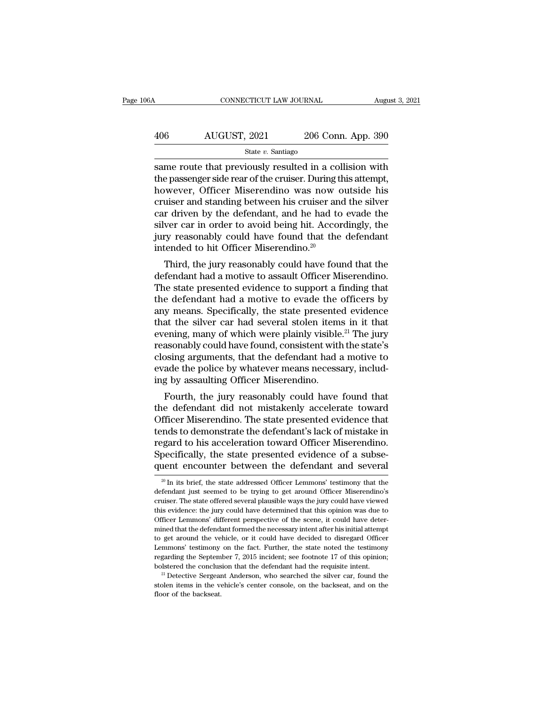## CONNECTICUT LAW JOURNAL August 3, 2021<br>
406 AUGUST, 2021 206 Conn. App. 390<br>
State v. Santiago State *v.* Santiago

 $\begin{tabular}{ll} \multicolumn{1}{l}{{\text{COMRECTICUT LAW JOURNAL}}} & \multicolumn{1}{l}{August 3, 2021} \\ \hline & \multicolumn{1}{l}{\text{AUGUST, 2021}} & \multicolumn{1}{l}{206}\text{ Conn. App. 390} \\ & \multicolumn{1}{l}{\text{State $v$}. Santiago} \\ \hline \end{tabular}$  $\frac{\text{AUGUST, 2021}}{\text{State } v. \text{ Santiago}}$ <br>  $\frac{\text{State } v. \text{ Santiago}}{\text{same route that previously resulted in a collision with}}$ <br>
the passenger side rear of the cruiser. During this attempt,<br>
however, Officer Miserendino was now outside his<br>
cruiser and standing between his cruiser and th  $\frac{\text{AUGUST, 2021}}{\text{State } v. \text{ Santiago}}$ <br>
State v. Santiago<br>
State v. Santiago<br>
State v. Santiago<br>
State v. Santiago<br>
State v. Santiago<br>
State v. Santiago<br>
In a collision with<br>
the passenger side rear of the cruiser. During this att AUGUST, 2021 206 Conn. App. 390<br>
State v. Santiago<br>
State v. Santiago<br>
State v. Santiago<br>
State v. Santiago<br>
State v. Santiago<br>
State v. Santiago<br>
the passenger side rear of the cruiser. During this attempt,<br>
however, Off State v. Santiago<br>
State v. Santiago<br>
State v. Santiago<br>
State v. Santiago<br>
the passenger side rear of the cruiser. During this attempt,<br>
however, Officer Miserendino was now outside his<br>
cruiser and standing between his state v. santago<br>
same route that previously resulted in a collision with<br>
the passenger side rear of the cruiser. During this attempt,<br>
however, Officer Miserendino was now outside his<br>
cruiser and standing between his c same route that previously resulted in a collision with<br>the passenger side rear of the cruiser. During this attempt,<br>however, Officer Miserendino was now outside his<br>cruiser and standing between his cruiser and the silver<br> the passenger side rear of the cruiser. During thowever, Officer Miserendino was now c<br>cruiser and standing between his cruiser and<br>car driven by the defendant, and he had to<br>silver car in order to avoid being hit. Accor<br>j wever, Officer Miserendino was now outside fils<br>uiser and standing between his cruiser and the silver<br>r driven by the defendant, and he had to evade the<br>ver car in order to avoid being hit. Accordingly, the<br>ry reasonably c cruiser and standing between his cruiser and the silver<br>car driven by the defendant, and he had to evade the<br>silver car in order to avoid being hit. Accordingly, the<br>jury reasonably could have found that the defendant<br>inte

car driven by the defendant, and he had to evade the<br>silver car in order to avoid being hit. Accordingly, the<br>jury reasonably could have found that the defendant<br>intended to hit Officer Miserendino.<sup>20</sup><br>Third, the jury rea shver car in order to avoid being int. Accordingly, the<br>jury reasonably could have found that the defendant<br>intended to hit Officer Miserendino.<sup>20</sup><br>Third, the jury reasonably could have found that the<br>defendant had a mot july reasonably collid have found that the defendant<br>intended to hit Officer Miserendino.<sup>20</sup><br>Third, the jury reasonably could have found that the<br>defendant had a motive to assault Officer Miserendino.<br>The state presented Third, the jury reasonably could have found that the<br>defendant had a motive to assault Officer Miserendino.<br>The state presented evidence to support a finding that<br>the defendant had a motive to evade the officers by<br>any me Third, the jury reasonably could have found that the<br>defendant had a motive to assault Officer Miserendino.<br>The state presented evidence to support a finding that<br>the defendant had a motive to evade the officers by<br>any mea defendant had a motive to assault Officer Miserendino.<br>The state presented evidence to support a finding that<br>the defendant had a motive to evade the officers by<br>any means. Specifically, the state presented evidence<br>that t The state presented evidence to support a finding that<br>the defendant had a motive to evade the officers by<br>any means. Specifically, the state presented evidence<br>that the silver car had several stolen items in it that<br>eveni the defendant had a motive to evade the officers by<br>any means. Specifically, the state presented evidence<br>that the silver car had several stolen items in it that<br>evening, many of which were plainly visible.<sup>21</sup> The jury<br>re any means. Specifically, the state presente<br>that the silver car had several stolen item<br>evening, many of which were plainly visible<br>reasonably could have found, consistent with<br>closing arguments, that the defendant had a<br>e at the shver car had several stolen hems in it that<br>ening, many of which were plainly visible.<sup>21</sup> The jury<br>asonably could have found, consistent with the state's<br>osing arguments, that the defendant had a motive to<br>ade the Evening, many of which were plainty visible. The jury<br>reasonably could have found, consistent with the state's<br>closing arguments, that the defendant had a motive to<br>evade the police by whatever means necessary, includ-<br>ing

reasonably could have found, consistent while the state is<br>closing arguments, that the defendant had a motive to<br>evade the police by whatever means necessary, includ-<br>ing by assaulting Officer Miserendino.<br>Fourth, the jury closing arguments, that the defendant had a motive to<br>evade the police by whatever means necessary, includ-<br>ing by assaulting Officer Miserendino.<br>Fourth, the jury reasonably could have found that<br>the defendant did not mis evade the police by whatever means hecessary, including by assaulting Officer Miserendino.<br>Fourth, the jury reasonably could have found that<br>the defendant did not mistakenly accelerate toward<br>Officer Miserendino. The state Ing by assauting Officer Miserentumo.<br>Fourth, the jury reasonably could have found that<br>the defendant did not mistakenly accelerate toward<br>Officer Miserendino. The state presented evidence that<br>tends to demonstrate the def Fourth, the jury reasonably could have found that<br>the defendant did not mistakenly accelerate toward<br>Officer Miserendino. The state presented evidence that<br>tends to demonstrate the defendant's lack of mistake in<br>regard to in the state of mistake in egard to his acceleration toward Officer Miserendino.<br>Secifically, the state presented evidence of a subse-<br>tent encounter between the defendant and several<br> $\frac{20}{10}$  In its brief, the state ad regard to his acceleration toward Officer Miserendino.<br>Specifically, the state presented evidence of a subsequent encounter between the defendant and several<br> $\frac{20 \text{ In its brief, the state addressed Officer Lemmons' testimony that the  
defendant just seemed to be trying to get around Officer Miserendino's  
cruiser. The state offered several plausible ways the jury could have viewed$ 

Specifically, the state presented evidence of a subsequent encounter between the defendant and several  $\frac{20 \text{ In its brief, the state addressed Officer Lemmons' testimony that the defendant just seemed to be trying to get around Officer Miserendino's cruster. The state offered several plausible ways the jury could have viewed this evidence: the jury could have determined that this opinion was due to Officer Lemmons' different perspective of the scene, it could have deter$ quent encounter between the defendant and several  $\frac{20 \text{ In its brief, the state addressed Officer Lemmons' testimony that the defendant just seemed to be trying to get around Officer Miserendino's cruciser. The state offered several plausible ways the jury could have viewed this evidence: the jury could have determined that this opinion was due to Officer Lemmons' different perspective of the scene, it could have determined that the defendant formed the necessary intent after his initial attempt.$  $\frac{20}{100}$  and the state and the state and officer Lemmons' testimony that the defendant just seemed to be trying to get around Officer Miserendino's cruiser. The state offered several plausible ways the jury could have <sup>20</sup> In its brief, the state addressed Officer Lemmons' testimony that the defendant just seemed to be trying to get around Officer Miserendino's cruiser. The state offered several plausible ways the jury could have viewe defendant just seemed to be trying to get around Officer Miserendino's cruiser. The state offered several plausible ways the jury could have viewed this evidence: the jury could have determined that this opinion was due to cruiser. The state offered several plausible ways the jury could have viewed<br>this evidence: the jury could have determined that this opinion was due to<br>Officer Lemmons' different perspective of the scene, it could have det this evidence: the jury could have determined that this opinion was due to Officer Lemmons' different perspective of the scene, it could have determined that the defendant formed the necessary intent after his initial att bolficer Lemmons' different perspective of the scene, it could have determined that the defendant formed the necessary intent after his initial attempt to get around the vehicle, or it could have decided to disregard Offi stolen items in the vehicle, or it could have decided to disregard Officer Lemmons' testimony on the fact. Further, the state noted the testimony regarding the September 7, 2015 incident; see footnote 17 of this opinion; Lemmons' testimony on the fact. Further, the state noted the testimony regarding the September 7, 2015 incident; see footnote 17 of this opinion; bolstered the conclusion that the defendant had the requisite intent. <sup>21</sup>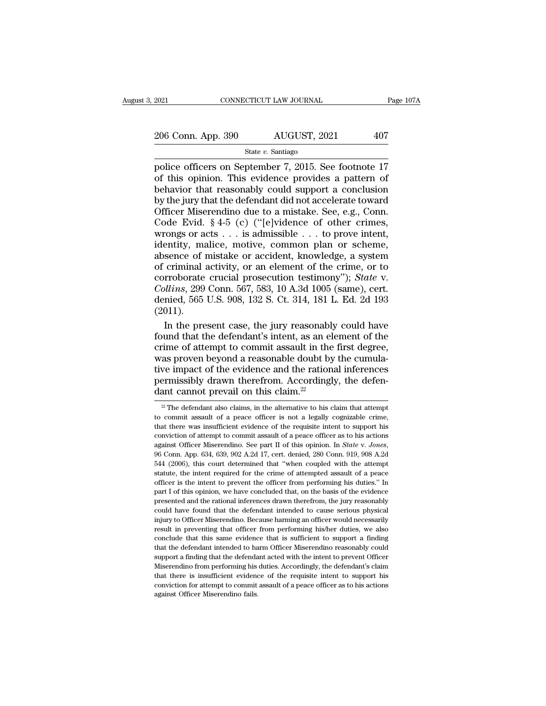Page 107A<br>
2021 CONNECTICUT LAW JOURNAL Page 107A<br>
206 Conn. App. 390 AUGUST, 2021 407<br>
State v. Santiago<br>
police officers on September 7, 2015. See footnote 17<br>
of this opinion. This evidence provides a pattern of<br>
hebavi  $\frac{206 \text{ Conn. App. 390}}{\text{State } v. \text{ Santiago}}$ <br>
police officers on September 7, 2015. See footnote 17<br>
of this opinion. This evidence provides a pattern of<br>
behavior that reasonably could support a conclusion<br>
by the jury that the defe 206 Conn. App. 390 AUGUST, 2021 407<br>
State v. Santiago<br>
police officers on September 7, 2015. See footnote 17<br>
of this opinion. This evidence provides a pattern of<br>
behavior that reasonably could support a conclusion<br>
by 206 Conn. App. 390 AUGUST, 2021 407<br>
State v. Santiago<br>
police officers on September 7, 2015. See footnote 17<br>
of this opinion. This evidence provides a pattern of<br>
behavior that reasonably could support a conclusion<br>
by State v. Santiago<br>
State v. Santiago<br>
police officers on September 7, 2015. See footnote 17<br>
of this opinion. This evidence provides a pattern of<br>
behavior that reasonably could support a conclusion<br>
by the jury that the State v. Santiago<br>
police officers on September 7, 2015. See footnote 17<br>
of this opinion. This evidence provides a pattern of<br>
behavior that reasonably could support a conclusion<br>
by the jury that the defendant did not a police officers on September 7, 2015. See footnote 17<br>of this opinion. This evidence provides a pattern of<br>behavior that reasonably could support a conclusion<br>by the jury that the defendant did not accelerate toward<br>Office For this opinion. This evidence provides a pattern of<br>behavior that reasonably could support a conclusion<br>by the jury that the defendant did not accelerate toward<br>Officer Miserendino due to a mistake. See, e.g., Conn.<br>Code behavior that reasonably could support a conclusion<br>by the jury that the defendant did not accelerate toward<br>Officer Miserendino due to a mistake. See, e.g., Conn.<br>Code Evid. § 4-5 (c) ("[e]vidence of other crimes,<br>wrongs by the jury that the defendant did not accelerate toward<br>Officer Miserendino due to a mistake. See, e.g., Conn.<br>Code Evid. § 4-5 (c) ("[e]vidence of other crimes,<br>wrongs or acts . . . is admissible . . . to prove intent,<br> officer Miserendino due to a mistake. See, e.g., Conn.<br>Code Evid. § 4-5 (c) ("[e]vidence of other crimes,<br>wrongs or acts . . . is admissible . . . to prove intent,<br>identity, malice, motive, common plan or scheme,<br>absence o Code Evid. § 4-5 (c) ("[e]vidence of other crimes,<br>Code Evid. § 4-5 (c) ("[e]vidence of other crimes,<br>wrongs or acts . . . is admissible . . . to prove intent,<br>identity, malice, motive, common plan or scheme,<br>absence of mi wrongs or acts  $\ldots$  is admissible  $\ldots$  to prove intent,<br>identity, malice, motive, common plan or scheme,<br>absence of mistake or accident, knowledge, a system<br>of criminal activity, or an element of the crime, or to<br>corrob (2011). sence of mistake or accident, knowledge, a system<br>criminal activity, or an element of the crime, or to<br>proborate crucial prosecution testimony"); *State* v.<br>*Ulins*, 299 Conn. 567, 583, 10 A.3d 1005 (same), cert.<br>nied, 565 of criminal activity, or an element of the crime, or to<br>corroborate crucial prosecution testimony"); *State* v.<br>*Collins*, 299 Conn. 567, 583, 10 A.3d 1005 (same), cert.<br>denied, 565 U.S. 908, 132 S. Ct. 314, 181 L. Ed. 2d

corroborate crucial prosecution testimony"); *State* v.<br>Collins, 299 Conn. 567, 583, 10 A.3d 1005 (same), cert.<br>denied, 565 U.S. 908, 132 S. Ct. 314, 181 L. Ed. 2d 193<br>(2011).<br>In the present case, the jury reasonably could Collins, 299 Conn. 567, 583, 10 A.3d 1005 (same), cert.<br>denied, 565 U.S. 908, 132 S. Ct. 314, 181 L. Ed. 2d 193<br>(2011).<br>In the present case, the jury reasonably could have<br>found that the defendant's intent, as an element denied, 565 U.S. 908, 132 S. Ct. 314, 181 L. Ed. 2d 193<br>(2011).<br>In the present case, the jury reasonably could have<br>found that the defendant's intent, as an element of the<br>crime of attempt to commit assault in the first de (2011).<br>In the present case, the jury reasonably could have<br>found that the defendant's intent, as an element of the<br>crime of attempt to commit assault in the first degree,<br>was proven beyond a reasonable doubt by the cumul In the present case, the jury reasonabl<br>found that the defendant's intent, as an el<br>crime of attempt to commit assault in the<br>was proven beyond a reasonable doubt by<br>tive impact of the evidence and the ration<br>permissibly as proven beyond a reasonable doubt by the cumula-<br>ve impact of the evidence and the rational inferences<br>ermissibly drawn therefrom. Accordingly, the defen-<br>ant cannot prevail on this claim.<sup>22</sup><br> $\frac{2}{\sqrt{2}}$  The defendant tive impact of the evidence and the rational inferences<br>permissibly drawn therefrom. Accordingly, the defen-<br>dant cannot prevail on this claim.<sup>22</sup><br> $\frac{2}{\sqrt{2}}$  The defendant also claims, in the alternative to his claim t

that there was insufficient evidence of the requisite intent to support  $\frac{2}{\sqrt{1-\frac{1}{n}}}$  and the referal and real of a peace of the requisite intent to support his conviction of attempt to commit assault of a peace of t dant cannot prevail on this claim.<sup>22</sup><br>
<sup>22</sup> The defendant also claims, in the alternative to his claim that attempt<br>
to commit assault of a peace officer is not a legally cognizable crime,<br>
that there was insufficient ev againt Cathrot prevail on this Claim.<br><sup>22</sup> The defendant also claims, in the alternative to his claim that attempt<br>to commit assault of a peace officer is not a legally cognizable crime,<br>that there was insufficient evidenc to commit assault of a peace officer is not a legally cognizable crime, that there was insufficient evidence of the requisite intent to support his conviction of attempt to commit assault of a peace officer as to his acti that there was insufficient evidence of the requisite intent to support his conviction of attempt to commit assault of a peace officer as to his actions against Officer Miserendino. See part II of this opinion. In *State* conviction of attempt to commit assault of a peace officer as to his actions<br>against Officer Miserendino. See part II of this opinion. In *State* v. Jones,<br>96 Conn. App. 634, 639, 902 A.2d 17, cert. denied, 280 Conn. 919, against Officer Miserendino. See part II of this opinion. In *State v. Jones*, 96 Conn. App. 634, 639, 902 A.2d 17, cert. denied, 280 Conn. 919, 908 A.2d 544 (2006), this court determined that "when coupled with the attem 96 Conn. App. 634, 639, 902 A.2d 17, cert. denied, 280 Conn. 919, 908 A.2d 544 (2006), this court determined that "when coupled with the attempt statute, the intent required for the crime of attempted assault of a peace o <sup>544</sup> (2006), this court determined that "when coupled with the attempt statute, the intent required for the crime of attempted assault of a peace officer is the intent to prevent the officer from performing his duties." I Examples and the intert required for the crime of attempted assault of a peace officer is the intent to prevent the officer from performing his duties." In part I of this opinion, we have concluded that, on the basis of t officer is the intent to prevent the officer from performing his duties." In part I of this opinion, we have concluded that, on the basis of the evidence presented and the rational inferences drawn therefrom, the jury reas part I of this opinion, we have concluded that, on the basis of the evidence presented and the rational inferences drawn therefrom, the jury reasonably could have found that the defendant intended to cause serious physical persented and the rational inferences drawn therefrom, the jury reasonably resented and the rational inferences drawn therefrom, the jury reasonably could have found that the defendant intended to cause serious physical in Froud have found that the defendant intended to cause serious physical<br>injury to Officer Miserendino. Because harming an officer would necessarily<br>result in preventing that officer from performing his/her duties, we also<br>c Mistry to Officer Miserendino. Because harming an officer would necessarily result in preventing that officer from performing his/her duties, we also conclude that this same evidence that is sufficient to support a finding in<br>ying to Officer Miserendino. Because harming an officer would necessarily<br>result in preventing that officer from performing his/her duties, we also<br>conclude that this same evidence that is sufficient to support a findin conclude that this same evidence that is sufficient to support a finding that the defendant intended to harm Officer Miserendino reasonably could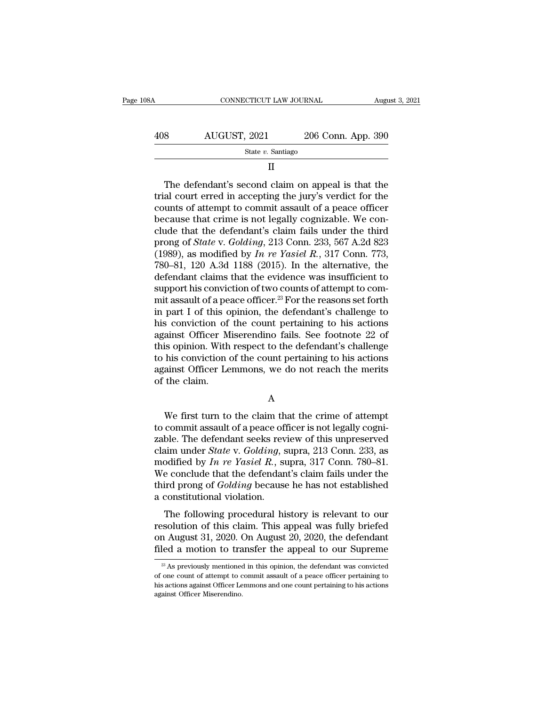| 108A | CONNECTICUT LAW JOURNAL |                    | August 3, 2021 |
|------|-------------------------|--------------------|----------------|
| 408  | AUGUST, 2021            | 206 Conn. App. 390 |                |
|      | State $v$ . Santiago    |                    |                |
|      | Н                       |                    |                |

### II

 $\begin{array}{r|l} \hline \text{AUGUST, 2021} & \text{206 Conn. App. 390} \ \hline \text{State } v. \text{ Santiago} \ \hline \text{II} \ \hline \end{array}$ <br>
The defendant's second claim on appeal is that the trial court erred in accepting the jury's verdict for the counts of attempt to commit assau AUGUST, 2021 206 Conn. App. 390<br>
State v. Santiago<br>
II<br>
The defendant's second claim on appeal is that the<br>
trial court erred in accepting the jury's verdict for the<br>
counts of attempt to commit assault of a peace officer State v. Santiago<br>
II<br>
The defendant's second claim on appeal is that the<br>
trial court erred in accepting the jury's verdict for the<br>
counts of attempt to commit assault of a peace officer<br>
because that crime is not legal II<br>
The defendant's second claim on appeal is that the<br>
trial court erred in accepting the jury's verdict for the<br>
counts of attempt to commit assault of a peace officer<br>
because that crime is not legally cognizable. We c The defendant's second claim on appeal is that the<br>trial court erred in accepting the jury's verdict for the<br>counts of attempt to commit assault of a peace officer<br>because that crime is not legally cognizable. We con-<br>clud The defendant's second claim on appeal is that the<br>trial court erred in accepting the jury's verdict for the<br>counts of attempt to commit assault of a peace officer<br>because that crime is not legally cognizable. We con-<br>clud trial court erred in accepting the jury's verdict for the counts of attempt to commit assault of a peace officer<br>because that crime is not legally cognizable. We conclude that the defendant's claim fails under the third<br>p counts of attempt to commit assault of a peace officer<br>because that crime is not legally cognizable. We con-<br>clude that the defendant's claim fails under the third<br>prong of *State* v. *Golding*, 213 Conn. 233, 567 A.2d 82 because that crime is not legally cognizable. We conclude that the defendant's claim fails under the third<br>prong of *State* v. *Golding*, 213 Conn. 233, 567 A.2d 823<br>(1989), as modified by *In re Yasiel R.*, 317 Conn. 773 clude that the defendant's claim fails under the third<br>prong of *State* v. *Golding*, 213 Conn. 233, 567 A.2d 823<br>(1989), as modified by *In re Yasiel R.*, 317 Conn. 773,<br>780–81, 120 A.3d 1188 (2015). In the alternative, prong of *State* v. *Golding*, 213 Conn. 233, 567 A.2d 823 (1989), as modified by *In re Yasiel R.*, 317 Conn. 773, 780–81, 120 A.3d 1188 (2015). In the alternative, the defendant claims that the evidence was insufficient (1989), as modified by *In re Yasiel R.*, 317 Conn. 773, 780–81, 120 A.3d 1188 (2015). In the alternative, the defendant claims that the evidence was insufficient to support his conviction of two counts of attempt to comm 780–81, 120 A.3d 1188 (2015). In the alternative, the defendant claims that the evidence was insufficient to support his conviction of two counts of attempt to commit assault of a peace officer.<sup>23</sup> For the reasons set fo defendant claims that the evidence was insufficient to<br>support his conviction of two counts of attempt to com-<br>mit assault of a peace officer.<sup>23</sup> For the reasons set forth<br>in part I of this opinion, the defendant's challe support his conviction of two counts of attempt to commit assault of a peace officer.<sup>23</sup> For the reasons set forth<br>in part I of this opinion, the defendant's challenge to<br>his conviction of the count pertaining to his acti mit assault of a peace officer.<sup>23</sup> For the reasons set forth<br>in part I of this opinion, the defendant's challenge to<br>his conviction of the count pertaining to his actions<br>against Officer Miserendino fails. See footnote 22 in part I of this opinion, the defendant's challenge to<br>his conviction of the count pertaining to his actions<br>against Officer Miserendino fails. See footnote  $22$  of<br>this opinion. With respect to the defendant's challenge is opinion. With respect to the defendant's challenge<br>his conviction of the count pertaining to his actions<br>ainst Officer Lemmons, we do not reach the merits<br>the claim.<br>A<br>We first turn to the claim that the crime of attemp

A

to his conviction of the count pertaining to his actions<br>against Officer Lemmons, we do not reach the merits<br>of the claim.<br>A<br>We first turn to the claim that the crime of attempt<br>to commit assault of a peace officer is not Examples against Officer Lemmons, we do not reach the merits<br>of the claim.<br>A<br>We first turn to the claim that the crime of attempt<br>to commit assault of a peace officer is not legally cogni-<br>zable. The defendant seeks revie A<br>
We first turn to the claim that the crime of attempt<br>
to commit assault of a peace officer is not legally cogni-<br>
zable. The defendant seeks review of this unpreserved<br>
claim under *State* v. *Golding*, supra, 213 Conn. A<br>
We first turn to the claim that the crime of attempt<br>
to commit assault of a peace officer is not legally cogni-<br>
zable. The defendant seeks review of this unpreserved<br>
claim under *State v. Golding*, supra, 213 Conn. 2 We first turn to the claim that the crime of attempt<br>to commit assault of a peace officer is not legally cogni-<br>zable. The defendant seeks review of this unpreserved<br>claim under *State* v. *Golding*, supra, 213 Conn. 233, We first turn to the claim that the crime of attempt<br>to commit assault of a peace officer is not legally cogni-<br>zable. The defendant seeks review of this unpreserved<br>claim under *State* v. *Golding*, supra, 213 Conn. 233, to commit assault of a peace of<br>zable. The defendant seeks rev<br>claim under *State* v. *Golding*, s<br>modified by  $In$  re Yasiel  $R$ ., su<br>We conclude that the defendan<br>third prong of *Golding* because<br>a constitutional violati ble. The detendant seeks fevicw of dus dippleserved<br>aim under *State* v. *Golding*, supra, 213 Conn. 233, as<br>odified by *In re Yasiel R.*, supra, 317 Conn. 780–81.<br>e conclude that the defendant's claim fails under the<br>ird claim under *Bate* v. Gotating, supra, 215 Com. 255, as<br>modified by *In re Yasiel R.*, supra, 317 Conn. 780–81.<br>We conclude that the defendant's claim fails under the<br>third prong of *Golding* because he has not establishe

modified by  $\hat{H}$   $\hat{F}$  and  $\hat{F}$  and  $\hat{F}$  and  $\hat{F}$  and  $\hat{F}$  and  $\hat{F}$  and  $\hat{F}$  are conclude that the defendant's claim fails under the third prong of *Golding* because he has not established a constit we conclude that the detendant's claim rans under the third prong of *Golding* because he has not established a constitutional violation.<br>The following procedural history is relevant to our resolution of this claim. This a The following procedural history is relevant to our solution of this claim. This appeal was fully briefed in August 31, 2020. On August 20, 2020, the defendant led a motion to transfer the appeal to our Supreme  $\frac{23}{12}$ resolution of this claim. This appeal was fully briefed<br>on August 31, 2020. On August 20, 2020, the defendant<br>filed a motion to transfer the appeal to our Supreme<br> $\frac{1}{x}$  As previously mentioned in this opinion, the def

on August 31, 2020. On August 20, 2020, the defendant filed a motion to transfer the appeal to our Supreme<br> $\frac{1}{x}$  As previously mentioned in this opinion, the defendant was convicted of one count of attempt to commit a filed a motion to tra<br>  $\frac{1}{2}$  As previously mentioned<br>
of one count of attempt to c<br>
this actions against Officer Le<br>
against Officer Miserendino.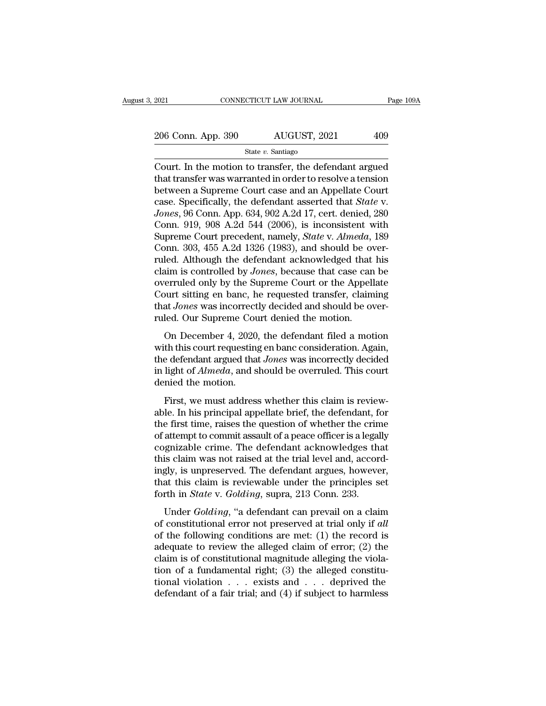2021 CONNECTICUT LAW JOURNAL Page 109A<br>
206 Conn. App. 390 AUGUST, 2021 409<br>
State v. Santiago

State *v.* Santiago

 $\begin{array}{r|l} \text{2021} & \text{COMRECTICUT LAW JOURNAL} & \text{Page 109A} \ \hline \text{206 Conn. App. 390} & \text{AUGUST, 2021} & \text{409} \ \hline \text{State } v. \text{ Santiago} \ \hline \text{Court. In the motion to transfer, the defendant argued that transfer was warranted in order to resolve a tension between a Sunreme Court.} \end{array}$ 206 Conn. App. 390  $\overline{\text{AUGUST, 2021}}$  409<br>State v. Santiago<br>Court. In the motion to transfer, the defendant argued<br>that transfer was warranted in order to resolve a tension<br>between a Supreme Court case and an Appellate Co 206 Conn. App. 390 AUGUST, 2021 409<br>
State v. Santiago<br>
Court. In the motion to transfer, the defendant argued<br>
that transfer was warranted in order to resolve a tension<br>
between a Supreme Court case and an Appellate Cour 206 Conn. App. 390 AUGUST, 2021 409<br>
State *v*. Santiago<br>
Court. In the motion to transfer, the defendant argued<br>
that transfer was warranted in order to resolve a tension<br>
between a Supreme Court case and an Appellate Cou *State v. Santiago*<br>*State v. Santiago*<br>Court. In the motion to transfer, the defendant argued<br>that transfer was warranted in order to resolve a tension<br>between a Supreme Court case and an Appellate Court<br>case. Specificall State v. Santiago<br>
Court. In the motion to transfer, the defendant argued<br>
that transfer was warranted in order to resolve a tension<br>
between a Supreme Court case and an Appellate Court<br>
case. Specifically, the defendant Court. In the motion to transfer, the defendant argued<br>that transfer was warranted in order to resolve a tension<br>between a Supreme Court case and an Appellate Court<br>case. Specifically, the defendant asserted that *State* v that transfer was warranted in order to resolve a tension<br>between a Supreme Court case and an Appellate Court<br>case. Specifically, the defendant asserted that *State* v.<br>Jones, 96 Conn. App. 634, 902 A.2d 17, cert. denied, between a Supreme Court case and an Appellate Court<br>case. Specifically, the defendant asserted that *State* v.<br>Jones, 96 Conn. App. 634, 902 A.2d 17, cert. denied, 280<br>Conn. 919, 908 A.2d 544 (2006), is inconsistent with<br>S case. Specifically, the defendant asserted that *State* v.<br>Jones, 96 Conn. App. 634, 902 A.2d 17, cert. denied, 280<br>Conn. 919, 908 A.2d 544 (2006), is inconsistent with<br>Supreme Court precedent, namely, *State* v. *Almeda*, Jones, 96 Conn. App. 634, 902 A.2d 17, cert. denied, 280<br>Conn. 919, 908 A.2d 544 (2006), is inconsistent with<br>Supreme Court precedent, namely, *State v. Almeda*, 189<br>Conn. 303, 455 A.2d 1326 (1983), and should be over-<br>rul Conn. 919, 908 A.2d 544 (2006), is inconsistent with<br>Supreme Court precedent, namely, *State* v. *Almeda*, 189<br>Conn. 303, 455 A.2d 1326 (1983), and should be over-<br>ruled. Although the defendant acknowledged that his<br>claim Supreme Court precedent, namely, *State* v. *Almeda*, 189 Conn. 303, 455 A.2d 1326 (1983), and should be over-<br>ruled. Although the defendant acknowledged that his<br>claim is controlled by *Jones*, because that case can be<br>ov Conn. 303, 455 A.2d 1326 (1983), and should be overvelocal. Although the defendant acknowledged that claim is controlled by *Jones*, because that case can overruled only by the Supreme Court or the Appell Court sitting en Example in the defendant definition<br>taken in the server data in the erruled only by the Supreme Court or the Appellate<br>burt sitting en banc, he requested transfer, claiming<br>at Jones was incorrectly decided and should be ov overruled only by the Supreme Court or the Appellate<br>Court sitting en banc, he requested transfer, claiming<br>that *Jones* was incorrectly decided and should be over-<br>ruled. Our Supreme Court denied the motion.<br>On December 4

Court sitting en banc, he requested transfer, claiming<br>Court sitting en banc, he requested transfer, claiming<br>that *Jones* was incorrectly decided and should be over-<br>ruled. Our Supreme Court denied the motion.<br>On December but *Shang* en *Balle*, the requested atalistic, channing<br>that *Jones* was incorrectly decided and should be over-<br>ruled. Our Supreme Court denied the motion.<br>On December 4, 2020, the defendant filed a motion<br>with this cou ruled. Our Supreme Course was mestreed<br>ruled. Our Supreme Cours<br>with this court requesting<br>the defendant argued that<br>in light of *Almeda*, and s<br>denied the motion.<br>First, we must addres On December 4, 2020, the defendant filed a motion<br>with this court requesting en banc consideration. Again,<br>the defendant argued that *Jones* was incorrectly decided<br>in light of  $Almeda$ , and should be overruled. This court<br>d on December 1, 2020, are detendant free a model<br>with this court requesting en banc consideration. Again,<br>the defendant argued that *Jones* was incorrectly decided<br>in light of *Almeda*, and should be overruled. This court<br>d

the defendant argued that *Jones* was incorrectly decided<br>in light of *Almeda*, and should be overruled. This court<br>denied the motion.<br>First, we must address whether this claim is review-<br>able. In his principal appellate in light of *Almeda*, and should be overruled. This court<br>denied the motion.<br>First, we must address whether this claim is review-<br>able. In his principal appellate brief, the defendant, for<br>the first time, raises the questi contracted the motion.<br>
First, we must address whether this claim is reviewable. In his principal appellate brief, the defendant, for<br>
the first time, raises the question of whether the crime<br>
of attempt to commit assault First, we must address whether this claim is reviewable. In his principal appellate brief, the defendant, for the first time, raises the question of whether the crime of attempt to commit assault of a peace officer is a le First, we must address whether this claim is reviewable. In his principal appellate brief, the defendant, for the first time, raises the question of whether the crime of attempt to commit assault of a peace officer is a le able. In his principal appellate brief, the defendant, for<br>the first time, raises the question of whether the crime<br>of attempt to commit assault of a peace officer is a legally<br>cognizable crime. The defendant acknowledges the first time, raises the question of whether the crim<br>of attempt to commit assault of a peace officer is a legal<br>cognizable crime. The defendant acknowledges th:<br>this claim was not raised at the trial level and, accor<br>in discript is commit assume of a peace officer is a regany<br>gnizable crime. The defendant acknowledges that<br>is claim was not raised at the trial level and, accord-<br>gly, is unpreserved. The defendant argues, however,<br>at this c of constitutional error interesting the trial level and, accordingly, is unpreserved. The defendant argues, however, that this claim is reviewable under the principles set forth in *State* v. *Golding*, supra, 213 Conn. 23

ingly, is unpreserved. The defendant argues, however,<br>that this claim is reviewable under the principles set<br>forth in *State* v. *Golding*, supra, 213 Conn. 233.<br>Under *Golding*, "a defendant can prevail on a claim<br>of con and this claim is reviewable under the principles set<br>forth in *State* v. *Golding*, supra, 213 Conn. 233.<br>Under *Golding*, "a defendant can prevail on a claim<br>of constitutional error not preserved at trial only if *all*<br> forth in *State* v. *Golding*, supra, 213 Conn. 233.<br>
Under *Golding*, "a defendant can prevail on a claim<br>
of constitutional error not preserved at trial only if *all*<br>
of the following conditions are met: (1) the record Under *Golding*, "a defendant can prevail on a claim<br>of constitutional error not preserved at trial only if *all*<br>of the following conditions are met: (1) the record is<br>adequate to review the alleged claim of error; (2) t Under *Golding*, "a defendant can prevail on a claim<br>of constitutional error not preserved at trial only if *all*<br>of the following conditions are met: (1) the record is<br>adequate to review the alleged claim of error; (2) t of constitutional error not preserved at trial only if all<br>of the following conditions are met: (1) the record is<br>adequate to review the alleged claim of error; (2) the<br>claim is of constitutional magnitude alleging the vi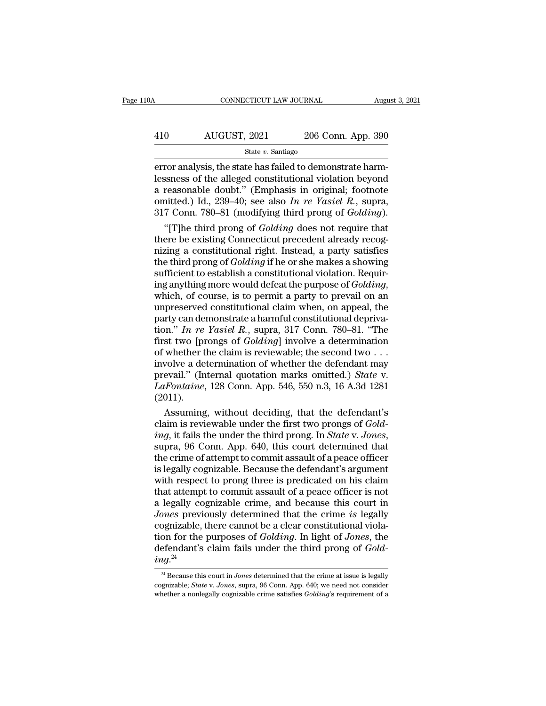# CONNECTICUT LAW JOURNAL August 3, 2021<br>
410 AUGUST, 2021 206 Conn. App. 390<br>
State v. Santiago

### State *v.* Santiago

ERECTI CONNECTICUT LAW JOURNAL August 2006<br>
AUGUST, 2021 206 Conn. App. 390<br>
State v. Santiago<br>
ERECTION AND STATE AND STATE HARM-RESSNESS of the alleged constitutional violation beyond<br>
The state has failed to demonstrate AUGUST, 2021 206 Conn. App. 390<br>
State v. Santiago<br>
Error analysis, the state has failed to demonstrate harm-<br>
lessness of the alleged constitutional violation beyond<br>
a reasonable doubt." (Emphasis in original; footnote<br> 410 AUGUST, 2021 206 Conn. App. 390<br>  $\frac{\text{State } v. \text{ Santiago}}{\text{error analysis, the state has failed to demonstrate harmlessness of the alleged constitutional violation beyond a reasonable doubt." (Emphasis in original; footnote omitted.) Id., 239–40; see also *In re Yasiel R.*, supra, 317 Comp. 780–81 (modifying third prong of Goldina)$ AUGUST, 2021 206 Conn. App. 390<br>
State *v*. Santiago<br>
error analysis, the state has failed to demonstrate harm-<br>
lessness of the alleged constitutional violation beyond<br>
a reasonable doubt." (Emphasis in original; footnote State *v.* Santiago<br>
State *v.* Santiago<br>
error analysis, the state has failed to demonstrate harm-<br>
lessness of the alleged constitutional violation beyond<br>
a reasonable doubt." (Emphasis in original; footnote<br>
omitted.) For analysis, the state has failed to demonstrate harm-<br>
ssness of the alleged constitutional violation beyond<br>
reasonable doubt." (Emphasis in original; footnote<br>
nitted.) Id., 239–40; see also *In re Yasiel R*., supra,<br> error analysis, the state has failed to demonstrate harm-<br>lessness of the alleged constitutional violation beyond<br>a reasonable doubt." (Emphasis in original; footnote<br>omitted.) Id., 239–40; see also In re Yasiel R., supra

lessness of the alleged constitutional violation beyond<br>a reasonable doubt." (Emphasis in original; footnote<br>omitted.) Id., 239–40; see also In re Yasiel R., supra,<br>317 Conn. 780–81 (modifying third prong of *Golding*).<br>" a reasonable doubt." (Emphasis in original; footnote<br>omitted.) Id., 239–40; see also *In re Yasiel R.*, supra,<br>317 Conn. 780–81 (modifying third prong of *Golding*).<br>"[T]he third prong of *Golding* does not require that<br>th omitted.) Id., 239–40; see also *In re Yasiel R.*, supra, 317 Conn. 780–81 (modifying third prong of *Golding*).<br>
"[T]he third prong of *Golding* does not require that<br>
there be existing Connecticut precedent already reco 317 Conn. 780–81 (modifying third prong of *Golding*).<br>
"[T]he third prong of *Golding* does not require that<br>
there be existing Connecticut precedent already recog-<br>
nizing a constitutional right. Instead, a party satisfi there be existing Connecticut precedent already recognizing a constitutional right. Instead, a party satisfies<br>the third prong of *Golding* if he or she makes a showing<br>sufficient to establish a constitutional violation. mizing a constitutional right. Instead, a party satisfies<br>the third prong of *Golding* if he or she makes a showing<br>sufficient to establish a constitutional violation. Requir-<br>ing anything more would defeat the purpose of the third prong of *Golding* if he or she makes a showing<br>sufficient to establish a constitutional violation. Requir-<br>ing anything more would defeat the purpose of *Golding*,<br>which, of course, is to permit a party to preva sufficient to establish a constitutional violation. Requiring anything more would defeat the purpose of *Golding*, which, of course, is to permit a party to prevail on an unpreserved constitutional claim when, on appeal, t ing anything more would defeat the purpose of *Golding*, which, of course, is to permit a party to prevail on an unpreserved constitutional claim when, on appeal, the party can demonstrate a harmful constitutional depriva which, of course, is to permit a party to prevail on an unpreserved constitutional claim when, on appeal, the party can demonstrate a harmful constitutional deprivation." *In re Yasiel R.*, supra, 317 Conn. 780–81. "The f unpreserved constitutional claim when, on appeal, the<br>party can demonstrate a harmful constitutional depriva-<br>tion." *In re Yasiel R.*, supra, 317 Conn. 780–81. "The<br>first two [prongs of *Golding*] involve a determination<br> party can demonstrate a harmful constitutional deprivation." *In re Yasiel R.*, supra, 317 Conn. 780–81. "The first two [prongs of *Golding*] involve a determination of whether the claim is reviewable; the second two . . . (2011). st two [prongs of *Golding*] involve a determination<br>whether the claim is reviewable; the second two . . .<br>wolve a determination of whether the defendant may<br>evail." (Internal quotation marks omitted.) *State* v.<br>Infontai of whether the claim is reviewable; the second two . . .<br>involve a determination of whether the defendant may<br>prevail." (Internal quotation marks omitted.) *State* v.<br>*LaFontaine*, 128 Conn. App. 546, 550 n.3, 16 A.3d 1281

*involve a determination of whether the defendant may*<br>prevail." (Internal quotation marks omitted.) *State* v.<br>*LaFontaine*, 128 Conn. App. 546, 550 n.3, 16 A.3d 1281<br>(2011).<br>Assuming, without deciding, that the defendant LaFontaine, 128 Conn. App. 546, 550 n.3, 16 A.3d 1281<br>(2011).<br>Assuming, without deciding, that the defendant's<br>claim is reviewable under the first two prongs of *Gold-*<br>ing, it fails the under the third prong. In *State v* (2011).<br>
Assuming, without deciding, that the defendant's<br>
claim is reviewable under the first two prongs of *Gold-*<br> *ing*, it fails the under the third prong. In *State v. Jones*,<br>
supra, 96 Conn. App. 640, this court d Assuming, without deciding, that the defendant's<br>claim is reviewable under the first two prongs of *Gold-*<br>*ing*, it fails the under the third prong. In *State* v. Jones,<br>supra, 96 Conn. App. 640, this court determined tha claim is reviewable under the first two prongs of *Gold-*<br>*ing*, it fails the under the third prong. In *State* v. *Jones*,<br>supra, 96 Conn. App. 640, this court determined that<br>the crime of attempt to commit assault of a p *ing*, it fails the under the third prong. In *State v. Jones*, supra, 96 Conn. App. 640, this court determined that the crime of attempt to commit assault of a peace officer is legally cognizable. Because the defendant's supra, 96 Conn. App. 640, this court determined that<br>the crime of attempt to commit assault of a peace officer<br>is legally cognizable. Because the defendant's argument<br>with respect to prong three is predicated on his claim<br> the crime of attempt to commit assault of a peace officer<br>is legally cognizable. Because the defendant's argument<br>with respect to prong three is predicated on his claim<br>that attempt to commit assault of a peace officer is is legally cognizable. Because the defendant's argument<br>with respect to prong three is predicated on his claim<br>that attempt to commit assault of a peace officer is not<br>a legally cognizable crime, and because this court in<br> with respect to prong three is predicated on his claim<br>that attempt to commit assault of a peace officer is not<br>a legally cognizable crime, and because this court in<br>*Jones* previously determined that the crime *is* legall  $ing.^{24}$ partizable, there cannot be a clear constitutional violation for the purposes of *Golding*. In light of *Jones*, the efendant's claim fails under the third prong of *Golding*.<sup>24</sup><br> $^{24}$  Because this court in *Jones* deter tion for the purposes of *Golding*. In light of *Jones*, the<br>defendant's claim fails under the third prong of *Gold-*<br> $ing.^{24}$ <br><sup>24</sup> Because this court in *Jones* determined that the crime at issue is legally<br>cognizable; *S* 

defendant's claim fails under the third prong of *Gold-*<br>
<sup>24</sup> Because this court in *Jones* determined that the crime at issue is legally<br>
cognizable; *State* v. *Jones*, supra, 96 Conn. App. 640; we need not consider<br>
wh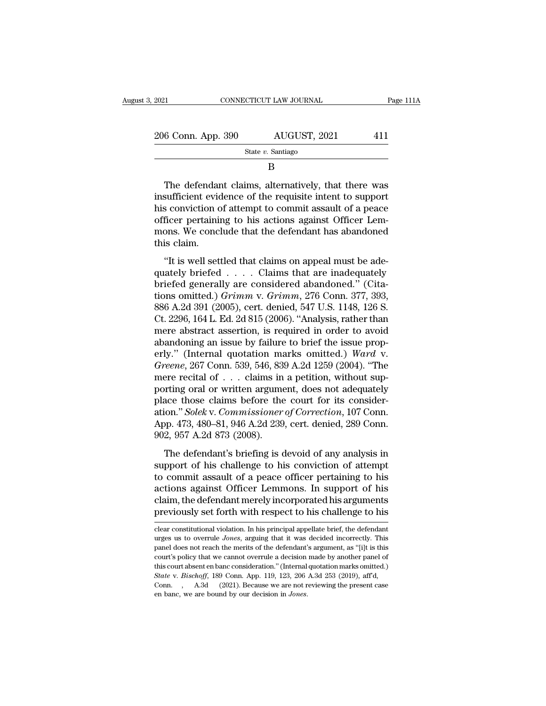| 2021               | CONNECTICUT LAW JOURNAL | Page 111A |
|--------------------|-------------------------|-----------|
|                    |                         |           |
| 206 Conn. App. 390 | AUGUST, 2021            | 411       |
|                    | State $v$ . Santiago    |           |

B

 $\begin{array}{r|l} \n 6 \text{ Conn. App. 390} & \text{AUGUST, 2021} & \text{411} \\
 \hline \n 8 \text{ State } v. \text{ Santiago} & \text{B} \\
 \hline\n 7 \text{The defendant claims, alternatively, that there was sufficient evidence of the requisite intent to support solution of, a tournament is result of a page.} \n\end{array}$ 206 Conn. App. 390 AUGUST, 2021 411<br>
State v. Santiago<br>
B<br>
The defendant claims, alternatively, that there was<br>
insufficient evidence of the requisite intent to support<br>
his conviction of attempt to commit assault of a pe 206 Conn. App. 390 AUGUST, 2021 411<br>
State v. Santiago<br>
B<br>
The defendant claims, alternatively, that there was<br>
insufficient evidence of the requisite intent to support<br>
his conviction of attempt to commit assault of a pe State v. Santiago<br>
B<br>
The defendant claims, alternatively, that there was<br>
insufficient evidence of the requisite intent to support<br>
his conviction of attempt to commit assault of a peace<br>
officer pertaining to his actions B<br>
The defendant claims, alternatively, that there was<br>
insufficient evidence of the requisite intent to support<br>
his conviction of attempt to commit assault of a peace<br>
officer pertaining to his actions against Officer Le The defendar<br>insufficient evide<br>his conviction c<br>officer pertainin<br>mons. We concl<br>this claim.<br>"It is well set Interactural claims, alternatively, that there was<br>sufficient evidence of the requisite intent to support<br>s conviction of attempt to commit assault of a peace<br>ficer pertaining to his actions against Officer Lem-<br>ons. We co msumering to the requisite members of a peace<br>officer pertaining to his actions against Officer Lem-<br>mons. We conclude that the defendant has abandoned<br>this claim.<br>"It is well settled that claims on appeal must be ade-<br>qu

between the absolute of distribute assume of a peace officer pertaining to his actions against Officer Lemmons. We conclude that the defendant has abandoned this claim.<br>"It is well settled that claims on appeal must be ad omeer peraaning to his actions against onter Lem<br>mons. We conclude that the defendant has abandoned<br>this claim.<br>"It is well settled that claims on appeal must be ade-<br>quately briefed . . . . Claims that are inadequately<br>br mons. we concrude that the detendant has assumed this claim.<br>
"It is well settled that claims on appeal must be ade-<br>
quately briefed . . . . Claims that are inadequately<br>
briefed generally are considered abandoned." (Cita "It is well settled that claims on appeal must be ade-<br>quately briefed  $\ldots$ . Claims that are inadequately<br>briefed generally are considered abandoned." (Cita-<br>tions omitted.) Grimm v. Grimm, 276 Conn. 377, 393,<br>886 A.2d 3 "It is well settled that claims on appeal must be ade-<br>quately briefed . . . . . Claims that are inadequately<br>briefed generally are considered abandoned." (Cita-<br>tions omitted.)  $Grimm$  v.  $Grimm$ , 276 Conn. 377, 393,<br>886 A.2 quately briefed  $\ldots$  Claims that are inadequately<br>briefed generally are considered abandoned." (Cita-<br>tions omitted.) *Grimm* v. *Grimm*, 276 Conn. 377, 393,<br>886 A.2d 391 (2005), cert. denied, 547 U.S. 1148, 126 S.<br>Ct. 2 briefed generally are considered abandoned." (Citations omitted.) *Grimm* v. *Grimm*, 276 Conn. 377, 393, 886 A.2d 391 (2005), cert. denied, 547 U.S. 1148, 126 S.<br>Ct. 2296, 164 L. Ed. 2d 815 (2006). "Analysis, rather than tions omitted.) *Grimm* v. *Grimm*, 276 Conn. 377, 393, 886 A.2d 391 (2005), cert. denied, 547 U.S. 1148, 126 S.<br>Ct. 2296, 164 L. Ed. 2d 815 (2006). "Analysis, rather than<br>mere abstract assertion, is required in order to a 886 A.2d 391 (2005), cert. denied, 547 U.S. 1148, 126 S.<br>Ct. 2296, 164 L. Ed. 2d 815 (2006). "Analysis, rather than<br>mere abstract assertion, is required in order to avoid<br>abandoning an issue by failure to brief the issue Ct. 2296, 164 L. Ed. 2d 815 (2006). "Analysis, rather than<br>mere abstract assertion, is required in order to avoid<br>abandoning an issue by failure to brief the issue prop-<br>erly." (Internal quotation marks omitted.) *Ward v.* mere abstract assertion, is required in order to avoid<br>abandoning an issue by failure to brief the issue prop-<br>erly." (Internal quotation marks omitted.) Ward v.<br>Greene, 267 Conn. 539, 546, 839 A.2d 1259 (2004). "The<br>mere abandoning an issue by failure to brief the issue properly." (Internal quotation marks omitted.) *Ward* v.<br> *Greene*, 267 Conn. 539, 546, 839 A.2d 1259 (2004). "The<br>
mere recital of . . . claims in a petition, without superly." (Internal quotation marks omitted.) Ward v.<br>Greene, 267 Conn. 539, 546, 839 A.2d 1259 (2004). "The<br>mere recital of . . . claims in a petition, without sup-<br>porting oral or written argument, does not adequately<br>place Greene, 267 Conn. 539, 546, 83<br>mere recital of . . . claims in<br>porting oral or written argume<br>place those claims before the<br>ation." *Solek* v. *Commissioner*<br>App. 473, 480–81, 946 A.2d 239<br>902, 957 A.2d 873 (2008).<br>The def The defendant's briefing is devoid of any analysis in pporting oral or written argument, does not adequately ace those claims before the court for its considerion." Solek v. Commissioner of Correction, 107 Conn. 2, 957 A. portang oral of whitech argument, does not deequately<br>place those claims before the court for its consider-<br>ation." Solek v. Commissioner of Correction, 107 Conn.<br>App. 473, 480–81, 946 A.2d 239, cert. denied, 289 Conn.<br>902

place also claims serve are court for as consider<br>ation." Solek v. Commissioner of Correction, 107 Conn.<br>App. 473, 480–81, 946 A.2d 239, cert. denied, 289 Conn.<br>902, 957 A.2d 873 (2008).<br>The defendant's briefing is devoid App. 473, 480–81, 946 A.2d 239, cert. denied, 289 Conn.<br>902, 957 A.2d 873 (2008).<br>The defendant's briefing is devoid of any analysis in<br>support of his challenge to his conviction of attempt<br>to commit assault of a peace off Experience of the defendant's briefing is devoid of any analysis in support of his challenge to his conviction of attempt to commit assault of a peace officer pertaining to his actions against Officer Lemmons. In support o The defendant's briefing is devoid of any analysis in<br>support of his challenge to his conviction of attempt<br>to commit assault of a peace officer pertaining to his<br>actions against Officer Lemmons. In support of his<br>claim, t to commit assault of a peace officer pertaining to his<br>actions against Officer Lemmons. In support of his<br>claim, the defendant merely incorporated his arguments<br>previously set forth with respect to his challenge to his<br>cle actions against Officer Lemmons. In support of his<br>claim, the defendant merely incorporated his arguments<br>previously set forth with respect to his challenge to his<br>clear constitutional violation. In his principal appellate

claim, the defendant merely incorporated his arguments<br>previously set forth with respect to his challenge to his<br>dear constitutional violation. In his principal appellate brief, the defendant<br>urges us to overrule *Jones*, previously set forth with respect to his challenge to his character out and the determinant warges us to overrule *Jones*, arguing that it was decided incorrectly. This panel does not reach the merits of the defendant's ar The court absent to this principal appellate brief, the defendant<br>clear constitutional violation. In his principal appellate brief, the defendant<br>urges us to overrule *Jones*, arguing that it was decided incorrectly. This<br> *State* v. *Bischoff*, 189 Conn. App. 119, 123, 206 A.3d 253 (2019), and also connectly and  $\Delta$  and  $\Delta$  253 (2019), aff'd, 2010. By another panel of this court's policy that we cannot overrule a decision made by another The urges us to overrule *Jones*, arguing that it was decided incorrectly. This panel does not reach the merits of the defendant's argument, as "[i]t is this court's policy that we cannot overrule a decision made by anoth panel does not reach the merits of the defendant's argument, as "[i]t is this court's policy that we cannot overrule a decision made by another panel of this court absent en banc consideration." (Internal quotation marks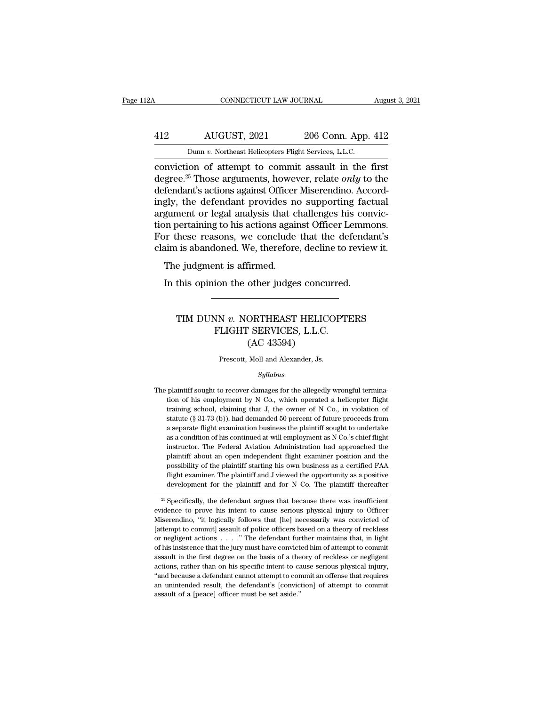## CONNECTICUT LAW JOURNAL August 3, 2021<br>412 AUGUST, 2021 206 Conn. App. 412<br>Dunn v. Northeast Helicopters Flight Services, L.L.C. CONNECTICUT LAW JOURNAL Augu<br>
AUGUST, 2021 206 Conn. App. 412<br>
Dunn *v.* Northeast Helicopters Flight Services, L.L.C.<br>
conviction of attempt to commit assault in the first

CONNECTICUT LAW JOURNAL August 3, 2021<br>
AUGUST, 2021 206 Conn. App. 412<br>
Dunn v. Northeast Helicopters Flight Services, L.L.C.<br>
Conviction of attempt to commit assault in the first<br>
degree.<sup>25</sup> Those arguments, however, re 412 AUGUST, 2021 206 Conn. App. 412<br>
Dunn *v.* Northeast Helicopters Flight Services, L.L.C.<br>
conviction of attempt to commit assault in the first<br>
degree.<sup>25</sup> Those arguments, however, relate *only* to the<br>
defendant's ac 412 AUGUST, 2021 206 Conn. App. 412<br>
Dunn v. Northeast Helicopters Flight Services, L.L.C.<br>
conviction of attempt to commit assault in the first<br>
degree.<sup>25</sup> Those arguments, however, relate *only* to the<br>
defendant's act  $\frac{\text{AUGUST, 2021}}{\text{Dunn } v. \text{ Northeast Helicopters Flight Services, L.L.C.}}$ <br>
conviction of attempt to commit assault in the first<br>
degree.<sup>25</sup> Those arguments, however, relate *only* to the<br>
defendant's actions against Officer Miserendino. Accord-<br>
ing Dunn v. Northeast Helicopters Flight Services, L.L.C.<br>
conviction of attempt to commit assault in the first<br>
degree.<sup>25</sup> Those arguments, however, relate *only* to the<br>
defendant's actions against Officer Miserendino. Acc Dunn v. Northeast Helicopters Fight Services, L.L.C.<br>
conviction of attempt to commit assault in the first<br>
degree.<sup>25</sup> Those arguments, however, relate *only* to the<br>
defendant's actions against Officer Miserendino. Acco conviction of attempt to commit assault in the first<br>degree.<sup>25</sup> Those arguments, however, relate *only* to the<br>defendant's actions against Officer Miserendino. Accord-<br>ingly, the defendant provides no supporting factual<br>a degree.<sup>25</sup> Those arguments, however, relate *only* to the defendant's actions against Officer Miserendino. Accordingly, the defendant provides no supporting factual argument or legal analysis that challenges his convictio rendant s actions against Officer<br>gly, the defendant provides no<br>gument or legal analysis that c<br>m pertaining to his actions again<br>or these reasons, we conclude<br>aim is abandoned. We, therefore<br>The judgment is affirmed.<br>In Im the original analysis that challenges his concept<br>In the original of this actions against Officer Lemmar<br>In these reasons, we conclude that the defenda<br>In is abandoned. We, therefore, decline to reviet<br>The judgment is a

### i is abandoned. We, therefore, decline to review it.<br>
e judgment is affirmed.<br>
this opinion the other judges concurred.<br>
TIM DUNN *v*. NORTHEAST HELICOPTERS<br>
FLIGHT SERVICES, L.L.C.<br>
(AC 42504) nt is affirmed.<br>
ion the other judges concurred.<br>
WHET SERVICES, L.L.C.<br>
FLIGHT SERVICES, L.L.C.<br>
(AC 43594) other judges concu<br>
CORTHEAST HELIC<br>
CORTHEAST HELIC<br>
CAC 43594)<br>
Moll and Alexander, Js. TIM DUNN  $v$ . NORTHEAST HELICOPTERS<br>FLIGHT SERVICES, L.L.C.<br>(AC 43594)<br>Prescott, Moll and Alexander, Js.

### *Syllabus*

The plaintiff sought to recover damages for the allegedly wrongful termination of his employment by N Co., which operated a helicopter flight training school, claiming that J, the owner of N Co., in violation of Prescott, Moll and Alexander, Js.<br>Syllabus<br>plaintiff sought to recover damages for the allegedly wrongful termina-<br>tion of his employment by N Co., which operated a helicopter flight<br>training school, claiming that J, the o Frescott, Moll and Alexander, Js.<br>
Syllabus<br>
plaintiff sought to recover damages for the allegedly wrongful termina-<br>
tion of his employment by N Co., which operated a helicopter flight<br>
training school, claiming that J, t  $Syllabus$ <br>plaintiff sought to recover damages for the allegedly wrongful termina-<br>tion of his employment by N Co., which operated a helicopter flight<br>training school, claiming that J, the owner of N Co., in violation of<br>stat symmum symmum symmum space of the allegedly wrongful termination of his employment by N Co., which operated a helicopter flight training school, claiming that J, the owner of N Co., in violation of statute (§ 31-73 (b)), plaintiff sought to recover damages for the allegedly wrongful termination of his employment by N Co., which operated a helicopter flight training school, claiming that J, the owner of N Co., in violation of statute (§ 31 tion of his employment by N Co., which operated a helicopter flight training school, claiming that J, the owner of N Co., in violation of statute (§ 31-73 (b)), had demanded 50 percent of future proceeds from a separate f training school, claiming that J, the owner of N Co., in violation of statute (§ 31-73 (b)), had demanded 50 percent of future proceeds from a separate flight examination business the plaintiff sought to undertake as a co statute (§ 31-73 (b)), had demanded 50 percent of future proceeds from a separate flight examination business the plaintiff sought to undertake as a condition of his continued at-will employment as N Co.'s chief flight in a separate flight examination business the plaintiff sought to undertake as a condition of his continued at-will employment as N Co.'s chief flight instructor. The Federal Aviation Administration had approached the plainti as a condition of his continued at-will employment as N Co.'s chief flight<br>instructor. The Federal Aviation Administration had approached the<br>plaintiff about an open independent flight examiner position and the<br>possibility plaintiff about an open independent flight examiner position and the possibility of the plaintiff starting his own business as a certified FAA flight examiner. The plaintiff and J viewed the opportunity as a positive devel plantin about an open intepertuent ingit examiner position and the<br>possibility of the plaintiff starting his own business as a certified FAA<br>flight examiner. The plaintiff and J viewed the opportunity as a positive<br>develop

possibility of the plaintiff and J viewed the opportunity as a positive<br>development for the plaintiff and J viewed the opportunity as a positive<br>development for the plaintiff and for N Co. The plaintiff thereafter<br> $\frac{1}{25$ Examiner. The plaintiff and for N Co. The plaintiff thereafter<br>development for the plaintiff and for N Co. The plaintiff thereafter<br> $\frac{25}{3}$  Specifically, the defendant argues that because there was insufficient<br>widence  $\frac{1}{25}$  Specifically, the defendant argues that because there was insufficient evidence to prove his intent to cause serious physical injury to Officer Miserendino, "it logically follows that [he] necessarily was convi <sup>25</sup> Specifically, the defendant argues that because there was insufficient evidence to prove his intent to cause serious physical injury to Officer Miserendino, "it logically follows that [he] necessarily was convicted o evidence to prove his intent to cause serious physical injury to Officer Miserendino, "it logically follows that [he] necessarily was convicted of [attempt to commit] assault of police officers based on a theory of reckle Miserendino, "it logically follows that [he] necessarily was convicted of [attempt to commit] assault of police officers based on a theory of reckless or negligent actions  $\ldots$ ." The defendant further maintains that, in [attempt to commit] assault of police officers based on a theory of reckless or negligent actions . . . . " The defendant further maintains that, in light of his insistence that the jury must have convicted him of attempt or negligent actions  $\ldots$  ." The defendant further maintains that, in light of his insistence that the jury must have convicted him of attempt to commit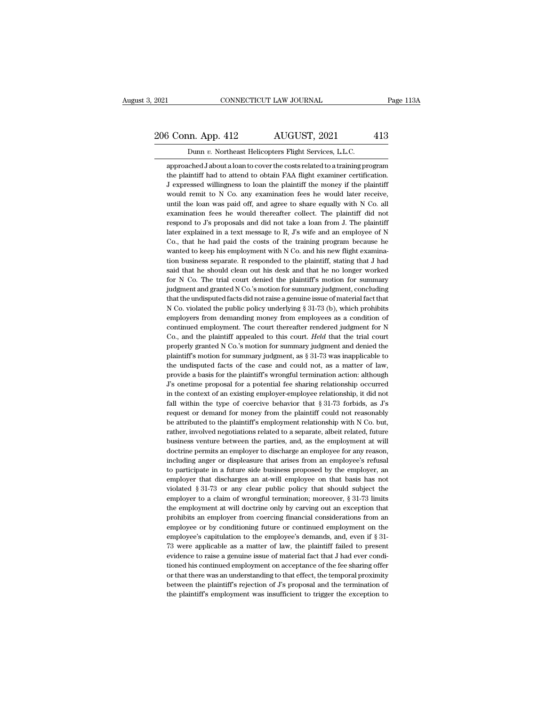### 2021 CONNECTICUT LAW JOURNAL Page 113A<br>206 Conn. App. 412 AUGUST, 2021 413<br>Dunn v. Northeast Helicopters Flight Services, L.L.C. 2021 CONNECTICUT LAW JOURNAL<br>206 Conn. App. 412 AUGUST, 2021 413<br>Dunn *v.* Northeast Helicopters Flight Services, L.L.C.<br>approached J about a loan to cover the costs related to a training program

 $\frac{3}{5}$  Conn. App. 412 AUGUST, 2021 413<br>Dunn v. Northeast Helicopters Flight Services, L.L.C.<br>approached J about a loan to cover the costs related to a training program<br>the plaintiff had to attend to obtain FAA flight e  $\frac{13}{5}$  Conn. App. 412 AUGUST, 2021 413<br>Dunn v. Northeast Helicopters Flight Services, L.L.C.<br>approached J about a loan to cover the costs related to a training program<br>the plaintiff had to attend to obtain FAA flight  $3$  Conn. App. 412 AUGUST, 2021 413<br>
Dunn v. Northeast Helicopters Flight Services, L.L.C.<br>
approached J about a loan to cover the costs related to a training program<br>
the plaintiff had to attend to obtain FAA flight exam Dunn v. Northeast Helicopters Flight Services, L.L.C.<br>approached J about a loan to cover the costs related to a training program<br>the plaintiff had to attend to obtain FAA flight examiner certification.<br>J expressed willingn Dunn v. Northeast Helicopters Flight Services, L.L.C.<br>approached J about a loan to cover the costs related to a training program<br>the plaintiff had to attend to obtain FAA flight examiner certification.<br>J expressed willingn approached J about a loan to cover the costs related to a training program<br>the plaintiff had to attend to obtain FAA flight examiner certification.<br>J expressed willingness to loan the plaintiff the money if the plaintiff<br>w the plaintiff had to attend to obtain FAA flight examiner certification.<br>J expressed willingness to loan the plaintiff the money if the plaintiff would remit to N Co. any examination fees he would later receive, until the J expressed willingness to loan the plaintiff the money if the plaintiff would remit to N Co. any examination fees he would later receive, until the loan was paid off, and agree to share equally with N Co. all examination would remit to N Co. any examination fees he would later receive, until the loan was paid off, and agree to share equally with N Co. all examination fees he would thereafter collect. The plaintiff did not respond to J's p until the loan was paid off, and agree to share equally with N Co. all examination fees he would thereafter collect. The plaintiff did not respond to J's proposals and did not take a loan from J. The plaintiff diater expla examination fees he would thereafter collect. The plaintiff did not<br>respond to J's proposals and did not take a loan from J. The plaintiff<br>later explained in a text message to R, J's wife and an employee of N<br>Co., that he respond to J's proposals and did not take a loan from J. The plaintiff later explained in a text message to R, J's wife and an employee of N Co., that he had paid the costs of the training program because he wanted to keep later explained in a text message to R, J's wife and an employee of N Co., that he had paid the costs of the training program because he wanted to keep his employment with N Co. and his new flight examination business sepa Co., that he had paid the costs of the training program because he wanted to keep his employment with N Co. and his new flight examination business separate. R responded to the plaintiff, stating that J had said that he sh wanted to keep his employment with N Co. and his new flight examination business separate. R responded to the plaintiff, stating that J had said that he should clean out his desk and that he no longer worked for N Co. The tion business separate. R responded to the plaintiff, stating that J had said that he should clean out his desk and that he no longer worked for N Co. The trial court denied the plaintiff's motion for summary judgment, con said that he should clean out his desk and that he no longer worked<br>for N Co. The trial court denied the plaintiff's motion for summary<br>judgment and granted N Co.'s motion for summary judgment, concluding<br>that the undispu for N Co. The trial court denied the plaintiff's motion for summary<br>judgment and granted N Co.'s motion for summary judgment, concluding<br>that the undisputed facts did not raise a genuine issue of material fact that<br>N Co. judgment and granted N Co.'s motion for summary judgment, concluding<br>that the undisputed facts did not raise a genuine issue of material fact that<br>N Co. violated the public policy underlying § 31-73 (b), which prohibits<br>em that the undisputed facts did not raise a genuine issue of material fact that N Co. violated the public policy underlying § 31-73 (b), which prohibits employers from demanding money from employees as a condition of contin N Co. violated the public policy underlying § 31-73 (b), which prohibits employers from demanding money from employees as a condition of continued employment. The court thereafter rendered judgment for N Co., and the plai employers from demanding money from employees as a condition of continued employment. The court thereafter rendered judgment for N Co., and the plaintiff appealed to this court. *Held* that the trial court properly granted continued employment. The court thereafter rendered judgment for N Co., and the plaintiff appealed to this court. *Held* that the trial court properly granted N Co.'s motion for summary judgment and denied the plaintiff's Co., and the plaintiff appealed to this court. *Held* that the trial court properly granted N Co.'s motion for summary judgment and denied the plaintiff's motion for summary judgment, as  $\S 31-73$  was inapplicable to the properly granted N Co.'s motion for summary judgment and denied the plaintiff's motion for summary judgment, as  $\S 31-73$  was inapplicable to the undisputed facts of the case and could not, as a matter of law, provide a b plaintiff's motion for summary judgment, as  $\S$  31-73 was inapplicable to the undisputed facts of the case and could not, as a matter of law, provide a basis for the plaintiff's wrongful termination action: although  $J$ 's the undisputed facts of the case and could not, as a matter of law, provide a basis for the plaintiff's wrongful termination action: although  $J$ 's onetime proposal for a potential fee sharing relationship occurred in the provide a basis for the plaintiff's wrongful termination action: although J's onetime proposal for a potential fee sharing relationship occurred in the context of an existing employer-employee relationship, it did not fall  $\Gamma$ 's onetime proposal for a potential fee sharing relationship occurred<br>in the context of an existing employer-employee relationship, it did not<br>fall within the type of coercive behavior that § 31-73 forbids, as  $\Gamma$ 's<br> in the context of an existing employer-employee relationship, it did not fall within the type of coercive behavior that  $\S 31-73$  forbids, as  $J$ 's request or demand for money from the plaintiff could not reasonably be at fall within the type of coercive behavior that  $\S 31-73$  forbids, as  $J$ 's request or demand for money from the plaintiff could not reasonably be attributed to the plaintiff's employment relationship with N Co. but, rathe request or demand for money from the plaintiff could not reasonably<br>be attributed to the plaintiff's employment relationship with N Co. but,<br>rather, involved negotiations related to a separate, albeit related, future<br>busin be attributed to the plaintiff's employment relationship with N Co. but, rather, involved negotiations related to a separate, albeit related, future business venture between the parties, and, as the employment at will doct rather, involved negotiations related to a separate, albeit related, future business venture between the parties, and, as the employment at will doctrine permits an employer to discharge an employee for any reason, includi business venture between the parties, and, as the employment at will doctrine permits an employer to discharge an employee for any reason, including anger or displeasure that arises from an employee's refusal to participat doctrine permits an employer to discharge an employee for any reason, including anger or displeasure that arises from an employee's refusal to participate in a future side business proposed by the employer, an employer tha including anger or displeasure that arises from an employee's refusal to participate in a future side business proposed by the employer, an employer that discharges an at-will employee on that basis has not violated  $\S 31$ to participate in a future side business proposed by the employer, an employer that discharges an at-will employee on that basis has not violated  $\S 31-73$  or any clear public policy that should subject the employer to a employer that discharges an at-will employee on that basis has not violated  $\S 31-73$  or any clear public policy that should subject the employer to a claim of wrongful termination; moreover,  $\S 31-73$  limits the employme violated § 31-73 or any clear public policy that should subject the employer to a claim of wrongful termination; moreover, § 31-73 limits the employment at will doctrine only by carving out an exception that prohibits an employer to a claim of wrongful termination; moreover,  $\S$  31-73 limits<br>the employment at will doctrine only by carving out an exception that<br>prohibits an employer from coercing financial considerations from an<br>employee o the employment at will doctrine only by carving out an exception that prohibits an employer from coercing financial considerations from an employee or by conditioning future or continued employment on the employee's capit prohibits an employer from coercing financial considerations from an<br>employee or by conditioning future or continued employment on the<br>employee's capitulation to the employee's demands, and, even if § 31-<br>73 were applicabl employee or by conditioning future or continued employment on the employee's capitulation to the employee's demands, and, even if  $\S$  31-73 were applicable as a matter of law, the plaintiff failed to present evidence to r employee's capitulation to the employee's demands, and, even if  $\S$  31-73 were applicable as a matter of law, the plaintiff failed to present evidence to raise a genuine issue of material fact that J had ever conditioned 73 were applicable as a matter of law, the plaintiff failed to present evidence to raise a genuine issue of material fact that  $J$  had ever conditioned his continued employment on acceptance of the fee sharing offer or th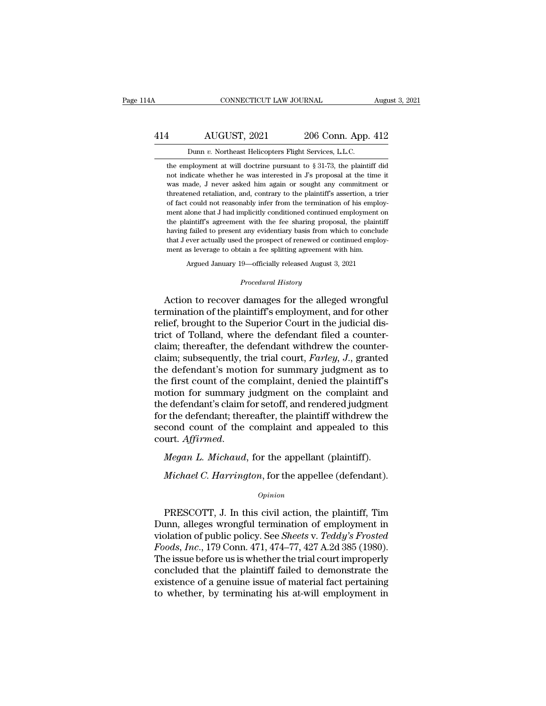### CONNECTICUT LAW JOURNAL August 3, 2021<br>414 AUGUST, 2021 206 Conn. App. 412<br>Dunn v. Northeast Helicopters Flight Services, L.L.C. CONNECTICUT LAW JOURNAL<br>AUGUST, 2021 206 Conn. App.<br>Dunn *v.* Northeast Helicopters Flight Services, L.L.C.<br>ployment at will doctrine pursuant to § 31-73, the plainti

AUGUST, 2021 206 Conn. App. 412<br>
Dunn v. Northeast Helicopters Flight Services, L.L.C.<br>
the employment at will doctrine pursuant to § 31-73, the plaintiff did<br>
not indicate whether he was interested in J's proposal at the AUGUST, 2021 206 Conn. App. 412<br>
Dunn v. Northeast Helicopters Flight Services, L.L.C.<br>
the employment at will doctrine pursuant to § 31-73, the plaintiff did<br>
not indicate whether he was interested in J's proposal at the AUGUST, 2021 206 Conn. App. 412<br>
Dunn v. Northeast Helicopters Flight Services, L.L.C.<br>
the employment at will doctrine pursuant to § 31-73, the plaintiff did<br>
not indicate whether he was interested in J's proposal at the Dunn v. Northeast Helicopters Flight Services, L.L.C.<br>the employment at will doctrine pursuant to  $\S 31-73$ , the plaintiff did<br>not indicate whether he was interested in  $J$ s proposal at the time it<br>was made,  $J$  never ask Dunn  $v$ . Northeast Helicopters Flight Services, L.L.C.<br>the employment at will doctrine pursuant to § 31-73, the plaintiff did<br>not indicate whether he was interested in  $J$ 's proposal at the time it<br>was made,  $J$  never as the employment at will doctrine pursuant to § 31-73, the plaintiff did<br>not indicate whether he was interested in J's proposal at the time it<br>was made, J never asked him again or sought any commitment or<br>threatened retaliat not indicate whether he was interested in J's proposal at the time it was made, J never asked him again or sought any commitment or threatened retaliation, and, contrary to the plaintiff's assertion, a trier of fact could havia made, J never asked him again or sought any commitment or threatened retaliation, and, contrary to the plaintiff's assertion, a trier of fact could not reasonably infer from the termination of his employment alone t The masses of the plaintiff's assertion, a trief threatened retaliation, and, contrary to the plaintiff's assertion, a trief of fact could not reasonably infer from the termination of his employment alone that  $J$  had imp of fact could not reasonably infer from the termination of his emplement alone that J had implicitly conditioned continued employment the plaintiff's agreement with the fee sharing proposal, the plain having failed to pres ment alone that J had implicitly conditioned continued employment on the plaintiff's agreement with the fee sharing proposal, the plaintiff having failed to present any evidentiary basis from which to conclude that J ever that J ever actually used the prospect of renewed or continued employment as leverage to obtain a fee splitting agreement with him.<br>Argued January 19—officially released August 3, 2021<br>*Procedural History*<br>Action to recove having failed to present any evidentiary basis from which to conclude<br>that J ever actually used the prospect of renewed or continued employ-<br>ment as leverage to obtain a fee splitting agreement with him.<br>Argued January 19—

that J ever actually used the prospect of renewed or continued employ-<br>ment as leverage to obtain a fee splitting agreement with him.<br>Argued January 19—officially released August 3, 2021<br>Procedural History<br>Action to recove relief, brought to the Superior Court with the counter-<br>claim the Superior Court of the superior Court in the judicial dis-<br>trict, brought to the Superior Court in the judicial dis-<br>trict of Tolland, where the defendant fi Argued January 19—officially released August 3, 2021<br> *Procedural History*<br>
Action to recover damages for the alleged wrongful<br>
termination of the plaintiff's employment, and for other<br>
relief, brought to the Superior Cour *Procedural History*<br>Action to recover damages for the alleged wrongful<br>termination of the plaintiff's employment, and for other<br>relief, brought to the Superior Court in the judicial dis-<br>trict of Tolland, where the defend Action to recover damages for the alleged wrongful<br>termination of the plaintiff's employment, and for other<br>relief, brought to the Superior Court in the judicial dis-<br>trict of Tolland, where the defendant filed a counter-<br> Action to recover damages for the alleged wrongful<br>termination of the plaintiff's employment, and for other<br>relief, brought to the Superior Court in the judicial dis-<br>trict of Tolland, where the defendant filed a countertermination of the plaintiff's employment, and for other<br>relief, brought to the Superior Court in the judicial dis-<br>trict of Tolland, where the defendant filed a counter-<br>claim; thereafter, the defendant withdrew the count relief, brought to the Superior Court in the judicial district of Tolland, where the defendant filed a counter-<br>claim; thereafter, the defendant withdrew the counter-<br>claim; subsequently, the trial court, *Farley*, *J*., g trict of Tolland, where the defendant filed a counter-<br>claim; thereafter, the defendant withdrew the counter-<br>claim; subsequently, the trial court, *Farley*, *J*., granted<br>the defendant's motion for summary judgment as to<br> claim; thereafter, the defendant withdrew the counter-<br>claim; subsequently, the trial court, *Farley*, *J*., granted<br>the defendant's motion for summary judgment as to<br>the first count of the complaint, denied the plaintiff' claim; subsequently, the trial court, *Farley*, *J*., granted<br>the defendant's motion for summary judgment as to<br>the first count of the complaint, denied the plaintiff's<br>motion for summary judgment on the complaint and<br>the motion for summary judgment on the complaint, a<br>motion for summary judgment on the complaint and<br>the defendant; thereafter, the plaintiff withdrew the<br>second count of the complaint and appealed to this<br>court. Affirmed.<br>Meg re defendant's claim for setoff, and rendered judgment<br>
r the defendant; thereafter, the plaintiff withdrew the<br>
cond count of the complaint and appealed to this<br>
urt. *Affirmed.*<br> *Megan L. Michaud*, for the appellant (pl

### *Opinion*

Urt. Affirmed.<br>
Megan L. Michaud, for the appellant (plaintiff).<br>
Michael C. Harrington, for the appellee (defendant).<br>
Opinion<br>
PRESCOTT, J. In this civil action, the plaintiff, Tim<br>
unn, alleges wrongful termination of e *Megan L. Michaud*, for the appellant (plaintiff).<br> *Michael C. Harrington*, for the appellee (defendant).<br> *Opinion*<br>
PRESCOTT, J. In this civil action, the plaintiff, Tim<br>
Dunn, alleges wrongful termination of employmen Vichael C. Harrington, for the appellee (defendant).<br>
Opinion<br>
PRESCOTT, J. In this civil action, the plaintiff, Tim<br>
Dunn, alleges wrongful termination of employment in<br>
violation of public policy. See *Sheets* v. *Teddy' Michael C. Harrington*, for the appellee (defendant).<br> *Opinion*<br>
PRESCOTT, J. In this civil action, the plaintiff, Tim<br>
Dunn, alleges wrongful termination of employment in<br>
violation of public policy. See *Sheets* v. *Te* opinion<br>
Opinion<br>
Dunn, alleges wrongful termination of employment in<br>
violation of public policy. See *Sheets* v. *Teddy's Frosted*<br>
Foods, Inc., 179 Conn. 471, 474–77, 427 A.2d 385 (1980).<br>
The issue before us is whether PRESCOTT, J. In this civil action, the plaintiff, Tim<br>Dunn, alleges wrongful termination of employment in<br>violation of public policy. See *Sheets* v. Teddy's Frosted<br>Foods, Inc., 179 Conn. 471, 474–77, 427 A.2d 385 (1980) PRESCOTT, J. In this civil action, the plaintiff, Tim<br>Dunn, alleges wrongful termination of employment in<br>violation of public policy. See *Sheets* v. Teddy's Frosted<br>Foods, Inc., 179 Conn. 471, 474–77, 427 A.2d 385 (1980). Dunn, alleges wrongful termination of employment in violation of public policy. See *Sheets* v. *Teddy's Frosted Foods, Inc.*, 179 Conn. 471, 474–77, 427 A.2d 385 (1980). The issue before us is whether the trial court impr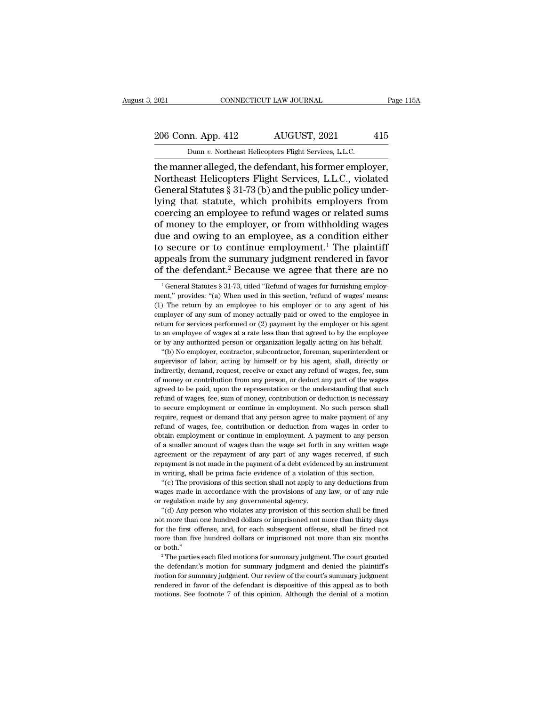# 2021 CONNECTICUT LAW JOURNAL Page 115A<br>206 Conn. App. 412 AUGUST, 2021 415<br>Dunn v. Northeast Helicopters Flight Services, L.L.C.

EXECUTE 2021 CONNECTICUT LAW JOURNAL<br>206 Conn. App. 412 AUGUST, 2021 415<br>Dunn *v.* Northeast Helicopters Flight Services, L.L.C.<br>the manner alleged, the defendant, his former employer, The manner alleged, the defendant, his former employer,<br>
the manner alleged, the defendant, his former employer,<br>
Northeast Helicopters Flight Services, L.L.C., violated<br>
Conoral Statutes & 31.73 (b) and the public policy 206 Conn. App. 412 AUGUST, 2021 415<br>
Dunn v. Northeast Helicopters Flight Services, L.L.C.<br>
the manner alleged, the defendant, his former employer,<br>
Northeast Helicopters Flight Services, L.L.C., violated<br>
General Statutes 206 Conn. App. 412 AUGUST, 2021 415<br>
Dunn v. Northeast Helicopters Flight Services, L.L.C.<br>
the manner alleged, the defendant, his former employer,<br>
Northeast Helicopters Flight Services, L.L.C., violated<br>
General Statute 206 Conn. App. 412 AUGUST, 2021 415<br>
Dunn v. Northeast Helicopters Flight Services, L.L.C.<br>
the manner alleged, the defendant, his former employer,<br>
Northeast Helicopters Flight Services, L.L.C., violated<br>
General Statute Dunn v. Northeast Helicopters Flight Services, L.L.C.<br>the manner alleged, the defendant, his former employer,<br>Northeast Helicopters Flight Services, L.L.C., violated<br>General Statutes § 31-73 (b) and the public policy unde Dunn v. Northeast Helicopters Flight Services, L.L.C.<br>the manner alleged, the defendant, his former employer,<br>Northeast Helicopters Flight Services, L.L.C., violated<br>General Statutes § 31-73 (b) and the public policy unde the manner alleged, the defendant, his former employer,<br>Northeast Helicopters Flight Services, L.L.C., violated<br>General Statutes § 31-73 (b) and the public policy under-<br>lying that statute, which prohibits employers from<br>c Northeast Helicopters Flight Services, L.L.C., violated<br>General Statutes § 31-73 (b) and the public policy under-<br>lying that statute, which prohibits employers from<br>coercing an employee to refund wages or related sums<br>of m General Statutes  $\S$  31-73 (b) and the public policy underlying that statute, which prohibits employers from coercing an employee to refund wages or related sums of money to the employer, or from withholding wages due and lying that statute, which prohibits employers from<br>coercing an employee to refund wages or related sums<br>of money to the employer, or from withholding wages<br>due and owing to an employee, as a condition either<br>to secure or t ue and owing to an employee, as a condition either<br>
in secure or to continue employment.<sup>1</sup> The plaintiff<br>
ppeals from the summary judgment rendered in favor<br>
f the defendant.<sup>2</sup> Because we agree that there are no<br>
<sup>1</sup>Gene to secure or to continue employment.<sup>1</sup> The plaintiff appeals from the summary judgment rendered in favor of the defendant.<sup>2</sup> Because we agree that there are no  $\frac{1}{1}$  General Statutes § 31-73, titled "Refund of wages

appeals from the summary judgment rendered in favor<br>of the defendant.<sup>2</sup> Because we agree that there are no<br> $\frac{1}{1}$  General Statutes § 31-73, titled "Refund of wages for furnishing employ-<br>ment," provides: "(a) When use of the defendant.<sup>2</sup> Because we agree that there are no<br>
<sup>1</sup> General Statutes § 31-73, titled "Refund of wages for furnishing employ-<br>
ment," provides: "(a) When used in this section, 'refund of wages' means:<br>
(1) The ret <sup>1</sup> General Statutes § 31-73, titled "Refund of wages for furnishing employment," provides: "(a) When used in this section, 'refund of wages' means: (1) The return by an employee to his employer or to any agent of his emp <sup>1</sup> General Statutes § 31-73, titled "Refund of wages for furnishing employment," provides: "(a) When used in this section, 'refund of wages' means: (1) The return by an employee to his employer or to any agent of his emp ment," provides: "(a) When used in this section, 'refund of wages' means:<br>(1) The return by an employee to his employer or to any agent of his<br>employer of any sum of money actually paid or owed to the employee in<br>return fo The return by an employee to his employer or to any agent of his phoyer of any sum of money actually paid or owed to the employee in turn for services performed or (2) payment by the employer or his agent an employee of wa For the employer of any sum of money actually paid or owed to the employee in return for services performed or (2) payment by the employer or his agent to an employee of wages at a rate less than that agreed to by the empl

indirectly are are in the employer or his agent to an employee or be available or expect to an employee or wages at a rate less than that agreed to by the employee or by any authorized person or organization legally acting From ending to an employee of wages at a rate less than that agreed to by the employee or by any authorized person or organization legally acting on his behalf. "(b) No employer, contractor, subcontractor, foreman, superin For the varying of the paid, and the representation legally acting on his behalf.<br>
"(b) No employer, contractor, subcontractor, foreman, superintendent or<br>
supervisor of labor, acting by himself or by his agent, shall, dir  $\cdot$  (b) No employer, contractor, subcontractor, foreman, superintendent or supervisor of labor, acting by himself or by his agent, shall, directly or indirectly, demand, request, receive or exact any refund of wages, fee supervisor of labor, acting by himself or by his agent, shall, directly or indirectly, demand, request, receive or exact any refund of wages, fee, sum of money or contribution from any person, or deduct any part of the wag between that any service or exact any refund of wages, fee, sum of money or contribution from any person, or deduct any part of the wages agreed to be paid, upon the representation or the understanding that such refund of refund of money or contribution from any person, or deduct any part of the wages agreed to be paid, upon the representation or the understanding that such refund of wages, fee, sum of money, contribution or deduction is ne agreed to be paid, upon the representation or the understanding that such refund of wages, fee, sum of money, contribution or deduction is necessary to secure employment or continue in employment. No such person shall requ Frefund of wages, fee, sum of money, contribution or deduction is necessary<br>to secure employment or continue in employment. No such person shall<br>require, request or demand that any person agree to make payment of any<br>refun For secure employment or continue in employment. No such person shall<br>require, request or demand that any person agree to make payment of any<br>refund of wages, fee, contribution or deduction from wages in order to<br>obtain em require, request or demand that any person agree to make payment of any refund of wages, fee, contribution or deduction from wages in order to obtain employment or continue in employment. A payment to any person of a small refund of wages, fee, contribution or deduction from wages in order to obtain employment or continue in employment. A payment to any person of a smaller amount of wages than the wage set forth in any written wage agreement The provisions of this excitement of this section. The provisions a smaller amount of wages than the wage set forth in any written wage reement or the repayment of any part of any wages received, if such payment is not mad of a smaller amount of wages than the wage set forth in any written wage agreement or the repayment of any part of any wages received, if such repayment is not made in the payment of a debt evidenced by an instrument in wr

or regulation made by any governmental agency.<br>"(d) Any person who violates any provision of this section shall be fined From the state of a property of the payment is not made in the payment of a debt evidenced by an instrument writing, shall be prima facie evidence of a violation of this section.<br>"(c) The provisions of this section shall n

not writing, shall be prima facie evidence of a violation of this section.<br>
"(c) The provisions of this section shall not apply to any deductions from<br>
wages made in accordance with the provisions of any law, or of any rul "(c) The provisions of this section shall not apply to any deductions from wages made in accordance with the provisions of any law, or of any rule or regulation made by any governmental agency. "(d) Any person who violates wages made in accordance with the provisions of any law, or of any rule<br>or regulation made by any governmental agency.<br>"(d) Any person who violates any provision of this section shall be fined<br>not more than one hundred do or regulation made by any governmental agency.<br>
"(d) Any person who violates any provision of this section shall be fined mot more than one hundred dollars or imprisoned not more than thirty days for the first offense, an the defendant's more than one hundred dollars or imprisoned not more than thirty days<br>for the first offense, and, for each subsequent offense, shall be fined not<br>more than five hundred dollars or imprisoned not more than s

for the first offense, and, for each subsequent offense, shall be fined not<br>more than five hundred dollars or imprisoned not more than six months<br>or both."<br> $\cdot$  The parties each filed motions for summary judgment. The cou rendered than five hundred dollars or imprisoned not more than six months or both."<br>
<sup>2</sup> The parties each filed motions for summary judgment. The court granted<br>
the defendant's motion for summary judgment and denied the pl  $2$  The parties each filed motions for summary judgment. The court granted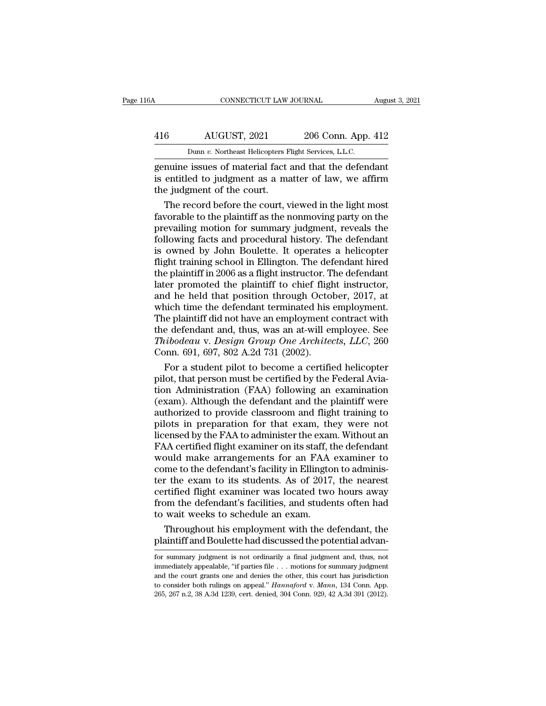## CONNECTICUT LAW JOURNAL August 3, 2021<br>416 AUGUST, 2021 206 Conn. App. 412<br>Dunn v. Northeast Helicopters Flight Services, L.L.C. CONNECTICUT LAW JOURNAL Augu<br>
AUGUST, 2021 206 Conn. App. 412<br>
Dunn *v.* Northeast Helicopters Flight Services, L.L.C.<br>
genuine issues of material fact and that the defendant

CONNECTICUT LAW JOURNAL August 3, 202<br>
416 AUGUST, 2021 206 Conn. App. 412<br>
Dunn v. Northeast Helicopters Flight Services, L.L.C.<br>
genuine issues of material fact and that the defendant<br>
is entitled to judgment as a matter AUGUST, 2021 206 Conn. App. 412<br>
Dunn v. Northeast Helicopters Flight Services, L.L.C.<br>
genuine issues of material fact and that the defendant<br>
is entitled to judgment as a matter of law, we affirm<br>
the judgment of the cou 416 AUGUST, 2021<br>
Dunn v. Northeast Helicopters F<br>
genuine issues of material fact<br>
is entitled to judgment as a mathe judgment of the court.<br>
The record before the court, v  $\frac{\text{AUGUST, 2021}}{\text{Dunn } v. \text{ Northeast Helicopters Flight Services, L.L.C.}}$ <br>
nuine issues of material fact and that the defendant<br>
entitled to judgment as a matter of law, we affirm<br>
e judgment of the court.<br>
The record before the court, viewed in the

Dunn  $v$ . Northeast Helicopters Flight Services, L.L.C.<br>genuine issues of material fact and that the defendant<br>is entitled to judgment as a matter of law, we affirm<br>the judgment of the court.<br>The record before the court, prevailing motion for summary judgment, reveals the defendant<br>is entitled to judgment as a matter of law, we affirm<br>the judgment of the court.<br>The record before the court, viewed in the light most<br>favorable to the plaintif genuine issues of material fact and that the defendant<br>is entitled to judgment as a matter of law, we affirm<br>the judgment of the court.<br>The record before the court, viewed in the light most<br>favorable to the plaintiff as th is entitled to judgment as a matter of law, we affirm<br>the judgment of the court.<br>The record before the court, viewed in the light most<br>favorable to the plaintiff as the nonmoving party on the<br>prevailing motion for summary the judgment of the court.<br>
The record before the court, viewed in the light most<br>
favorable to the plaintiff as the nonmoving party on the<br>
prevailing motion for summary judgment, reveals the<br>
following facts and procedur The record before the court, viewed in the light most<br>favorable to the plaintiff as the nonmoving party on the<br>prevailing motion for summary judgment, reveals the<br>following facts and procedural history. The defendant<br>is ow favorable to the plaintiff as the nonmoving party on the<br>prevailing motion for summary judgment, reveals the<br>following facts and procedural history. The defendant<br>is owned by John Boulette. It operates a helicopter<br>flight prevailing motion for summary judgment, reveals the<br>following facts and procedural history. The defendant<br>is owned by John Boulette. It operates a helicopter<br>flight training school in Ellington. The defendant hired<br>the pla following facts and procedural history. The defendant<br>is owned by John Boulette. It operates a helicopter<br>flight training school in Ellington. The defendant hired<br>the plaintiff in 2006 as a flight instructor. The defendant is owned by John Boulette. It operates a helicopter<br>flight training school in Ellington. The defendant hired<br>the plaintiff in 2006 as a flight instructor. The defendant<br>later promoted the plaintiff to chief flight instruc flight training school in Ellington. The defendant hired<br>the plaintiff in 2006 as a flight instructor. The defendant<br>later promoted the plaintiff to chief flight instructor,<br>and he held that position through October, 2017 the plaintiff in 2006 as a flight instructor. The defendant<br>later promoted the plaintiff to chief flight instructor,<br>and he held that position through October, 2017, at<br>which time the defendant terminated his employment.<br>T later promoted the plaintiff to chief flight<br>and he held that position through Octol<br>which time the defendant terminated his<br>The plaintiff did not have an employment of<br>the defendant and, thus, was an at-will er<br>Thibodeau d he held that position through October, 2017, at<br>
ich time the defendant terminated his employment.<br>
le plaintiff did not have an employment contract with<br>
e defendant and, thus, was an at-will employee. See<br> *ibodeau* v which time the defendant terminated his employment.<br>The plaintiff did not have an employment contract with<br>the defendant and, thus, was an at-will employee. See<br>*Thibodeau* v. *Design Group One Architects*, *LLC*, 260<br>Conn

The plaintiff did not have an employment contract with<br>the defendant and, thus, was an at-will employee. See<br>*Thibodeau v. Design Group One Architects, LLC*, 260<br>Conn. 691, 697, 802 A.2d 731 (2002).<br>For a student pilot to the defendant and, thus, was an at-will employee. See<br>
Thibodeau v. Design Group One Architects, LLC, 260<br>
Conn. 691, 697, 802 A.2d 731 (2002).<br>
For a student pilot to become a certified helicopter<br>
pilot, that person must Thibodeau v. Design Group One Architects, LLC, 260<br>Conn. 691, 697, 802 A.2d 731 (2002).<br>For a student pilot to become a certified helicopter<br>pilot, that person must be certified by the Federal Avia-<br>tion Administration (F Conn. 691, 697, 802 A.2d 731 (2002).<br>
For a student pilot to become a certified helicopter<br>
pilot, that person must be certified by the Federal Avia-<br>
tion Administration (FAA) following an examination<br>
(exam). Although t For a student pilot to become a certified helicopter<br>pilot, that person must be certified by the Federal Avia-<br>tion Administration (FAA) following an examination<br>(exam). Although the defendant and the plaintiff were<br>author pilot, that person must be certified by the Federal Aviation Administration (FAA) following an examination (exam). Although the defendant and the plaintiff were authorized to provide classroom and flight training to pilots ion Administration (FAA) following an examination<br>(exam). Although the defendant and the plaintiff were<br>authorized to provide classroom and flight training to<br>pilots in preparation for that exam, they were not<br>licensed by (exam). Although the defendant and the plaintiff were<br>authorized to provide classroom and flight training to<br>pilots in preparation for that exam, they were not<br>licensed by the FAA to administer the exam. Without an<br>FAA cer authorized to provide classroom and flight training to<br>pilots in preparation for that exam, they were not<br>licensed by the FAA to administer the exam. Without an<br>FAA certified flight examiner on its staff, the defendant<br>wou pilots in preparation for that exam, they were not<br>licensed by the FAA to administer the exam. Without an<br>FAA certified flight examiner on its staff, the defendant<br>would make arrangements for an FAA examiner to<br>come to the icensed by the FAA to administer the exam. Without an<br>FAA certified flight examiner on its staff, the defendant<br>would make arrangements for an FAA examiner to<br>come to the defendant's facility in Ellington to adminis-<br>ter t FAA certified flight examiner on its staff, t<br>would make arrangements for an FAA<br>come to the defendant's facility in Ellingto<br>ter the exam to its students. As of 2017<br>certified flight examiner was located two<br>from the defe build make arrangements for an FAA examiner to<br>me to the defendant's facility in Ellington to adminis-<br>r the exam to its students. As of 2017, the nearest<br>rtified flight examiner was located two hours away<br>om the defendant come to the defendant's facility in Ellington to administer the exam to its students. As of 2017, the nearest certified flight examiner was located two hours away from the defendant's facilities, and students often had to

from the detendant stachules, and students often had<br>to wait weeks to schedule an exam.<br>Throughout his employment with the defendant, the<br>plaintiff and Boulette had discussed the potential advan-<br>for summary judgment is no

is to wall weeks to schedule an exam.<br>
Throughout his employment with the defendant, the<br>
plaintiff and Boulette had discussed the potential advan-<br>
for summary judgment is not ordinarily a final judgment and, thus, not<br>
i Throughout his employment with the defendant, the plaintiff and Boulette had discussed the potential advantor summary judgment is not ordinarily a final judgment and, thus, not immediately appealable, "if parties file  $\ld$ plaintiff and Boulette had discussed the potential advantor or summary judgment is not ordinarily a final judgment and, thus, not immediately appealable, "if parties file . . . motions for summary judgment and the court gr for summary judgment is not ordinarily a final judgment and, thus, not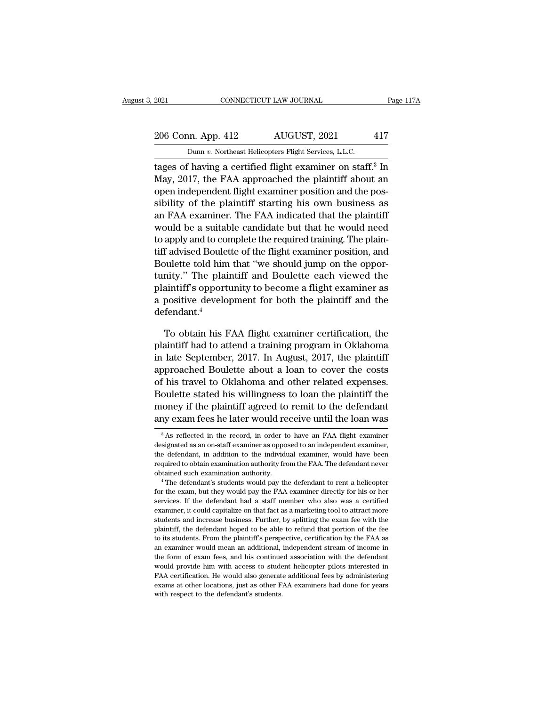## 2021 CONNECTICUT LAW JOURNAL Page 117A<br>206 Conn. App. 412 AUGUST, 2021 417<br>Dunn v. Northeast Helicopters Flight Services, L.L.C. Example 2021 CONNECTICUT LAW JOURNAL<br>206 Conn. App. 412 AUGUST, 2021 417<br>Dunn *v.* Northeast Helicopters Flight Services, L.L.C.<br>tages of having a certified flight examiner on staff.<sup>3</sup> In

The 2021 CONNECTICUT LAW JOURNAL Page 117A<br>
206 Conn. App. 412 AUGUST, 2021 417<br>
Dunn v. Northeast Helicopters Flight Services, L.L.C.<br>
tages of having a certified flight examiner on staff.<sup>3</sup> In<br>
May, 2017, the FAA approa 206 Conn. App. 412 AUGUST, 2021 417<br>
Dunn v. Northeast Helicopters Flight Services, L.L.C.<br>
tages of having a certified flight examiner on staff.<sup>3</sup> In<br>
May, 2017, the FAA approached the plaintiff about an<br>
open independen 206 Conn. App. 412 AUGUST, 2021 417<br>
Dunn v. Northeast Helicopters Flight Services, L.L.C.<br>
tages of having a certified flight examiner on staff.<sup>3</sup> In<br>
May, 2017, the FAA approached the plaintiff about an<br>
open independe 206 Conn. App. 412 AUGUST, 2021 417<br>
Dunn v. Northeast Helicopters Flight Services, L.L.C.<br>
tages of having a certified flight examiner on staff.<sup>3</sup> In<br>
May, 2017, the FAA approached the plaintiff about an<br>
open independe Dunn v. Northeast Helicopters Flight Services, L.L.C.<br>
tages of having a certified flight examiner on staff.<sup>3</sup> In<br>
May, 2017, the FAA approached the plaintiff about an<br>
open independent flight examiner position and the p Band be notative reflects Fight services, E.E.C.<br>tages of having a certified flight examiner on staff.<sup>3</sup> In<br>May, 2017, the FAA approached the plaintiff about an<br>open independent flight examiner position and the pos-<br>sibil tages of having a certified flight examiner on staff." In<br>May, 2017, the FAA approached the plaintiff about an<br>open independent flight examiner position and the pos-<br>sibility of the plaintiff starting his own business as<br>a May, 2017, the FAA approached the plaintiff about an<br>open independent flight examiner position and the pos-<br>sibility of the plaintiff starting his own business as<br>an FAA examiner. The FAA indicated that the plaintiff<br>would open mdependent flight examiner position and the pos-<br>sibility of the plaintiff starting his own business as<br>an FAA examiner. The FAA indicated that the plaintiff<br>would be a suitable candidate but that he would need<br>to app sibility of the plaintiff starting his own business as<br>an FAA examiner. The FAA indicated that the plaintiff<br>would be a suitable candidate but that he would need<br>to apply and to complete the required training. The plain-<br>t an FAA exammer. The FAA indicated that the plaintiff<br>would be a suitable candidate but that he would need<br>to apply and to complete the required training. The plain-<br>tiff advised Boulette of the flight examiner position, an would be a suitable candidate but that he would need<br>to apply and to complete the required training. The plain-<br>tiff advised Boulette of the flight examiner position, and<br>Boulette told him that "we should jump on the oppor defendant.<sup>4</sup> bulette told him that "we should jump on the oppor-<br>nity." The plaintiff and Boulette each viewed the<br>aintiff's opportunity to become a flight examiner as<br>positive development for both the plaintiff and the<br>fendant.<sup>4</sup><br>To tunity." The plaintiff and Boulette each viewed the<br>plaintiff's opportunity to become a flight examiner as<br>a positive development for both the plaintiff and the<br>defendant.<sup>4</sup><br>To obtain his FAA flight examiner certification

plaintiff's opportunity to become a flight examiner as<br>a positive development for both the plaintiff and the<br>defendant.<sup>4</sup><br>To obtain his FAA flight examiner certification, the<br>plaintiff had to attend a training program in a positive development for both the plaintiff and the<br>defendant.<sup>4</sup><br>To obtain his FAA flight examiner certification, the<br>plaintiff had to attend a training program in Oklahoma<br>in late September, 2017. In August, 2017, the defendant.<sup>4</sup><br>To obtain his FAA flight examiner certification, the<br>plaintiff had to attend a training program in Oklahoma<br>in late September, 2017. In August, 2017, the plaintiff<br>approached Boulette about a loan to cover th To obtain his FAA flight examiner certification, the plaintiff had to attend a training program in Oklahoma<br>in late September, 2017. In August, 2017, the plaintiff<br>approached Boulette about a loan to cover the costs<br>of his To obtain his FAA flight examiner certification, the<br>plaintiff had to attend a training program in Oklahoma<br>in late September, 2017. In August, 2017, the plaintiff<br>approached Boulette about a loan to cover the costs<br>of his plaintif nad to attend a training program in Oklahoma<br>in late September, 2017. In August, 2017, the plaintiff<br>approached Boulette about a loan to cover the costs<br>of his travel to Oklahoma and other related expenses.<br>Boulet % of his travel to Oklahoma and other related expenses.<br>Boulette stated his willingness to loan the plaintiff the money if the plaintiff agreed to remit to the defendant any exam fees he later would receive until the loan Boulette stated his willingness to loan the plaintiff the<br>money if the plaintiff agreed to remit to the defendant<br>any exam fees he later would receive until the loan was<br> $\frac{3}{10}$  As reflected in the record, in order to

money if the plaintiff agreed to remit to the defendant<br>any exam fees he later would receive until the loan was<br><sup>3</sup>As reflected in the record, in order to have an FAA flight examiner<br>designated as an on-staff examiner as o any exam fees he later would receive until the loan was<br>
<sup>3</sup> As reflected in the record, in order to have an FAA flight examiner<br>
designated as an on-staff examiner as opposed to an independent examiner,<br>
the defendant, i <sup>3</sup> As reflected in the record, in order to have an FAA flight examiner designated as an on-staff examiner as opposed to an independent examiner, the defendant, in addition to the individual examiner, would have been requ designated as an on-staff examiner as opposed to an independent examiner,<br>the defendant, in addition to the individual examiner, would have been<br>required to obtain examination authority from the FAA. The defendant never<br>ob

services. If the defendant, in addition to the individual examiner, would have been required to obtain examination authority from the FAA. The defendant never obtained such examination authority.<br>
<sup>4</sup> The defendant's stude required to obtain examination authority from the FAA. The defendant never<br>required to obtain examination authority.<br>
<sup>4</sup> The defendant's students would pay the defendant to rent a helicopter<br>for the exam, but they would p students and increase business. Further, by splitting the examineties obtained such examination authority.<br>
<sup>4</sup> The defendant's students would pay the defendant to rent a helicopter for the exam, but they would pay the FAA <sup>4</sup> The defendant's students would pay the defendant to rent a helicopter for the exam, but they would pay the FAA examiner directly for his or her services. If the defendant had a staff member who also was a certified ex for the exam, but they would pay the FAA examiner directly for his or her services. If the defendant had a staff member who also was a certified examiner, it could capitalize on that fact as a marketing tool to attract mor services. If the defendant had a staff member who also was a certified examiner, it could capitalize on that fact as a marketing tool to attract more students and increase business. Further, by splitting the exam fee with examiner, it could capitalize on that fact as a marketing tool to attract more students and increase business. Further, by splitting the exam fee with the plaintiff, the defendant hoped to be able to refund that portion of students and increase business. Further, by splitting the exam fee with the plaintiff, the defendant hoped to be able to refund that portion of the fee to its students. From the plaintiff's perspective, certification by th plaintiff, the defendant hoped to be able to refund that portion of the fee<br>to its students. From the plaintiff's perspective, certification by the FAA as<br>an examiner would mean an additional, independent stream of income to its students. From the plaintiff's perspective, certification by the FAA as an examiner would mean an additional, independent stream of income in the form of exam fees, and his continued association with the defendant w an examiner would mean an additional, independent stream of income in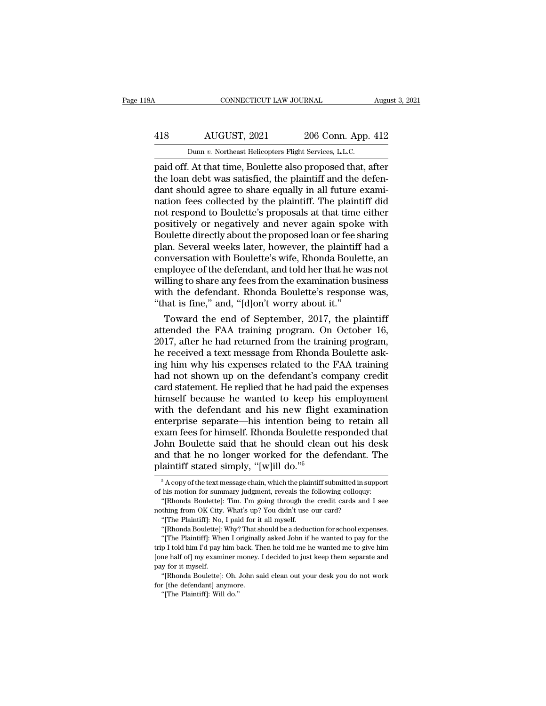## CONNECTICUT LAW JOURNAL August 3, 2021<br>418 AUGUST, 2021 206 Conn. App. 412<br>Dunn v. Northeast Helicopters Flight Services, L.L.C. CONNECTICUT LAW JOURNAL Augu<br>
AUGUST, 2021 206 Conn. App. 412<br>
Dunn *v.* Northeast Helicopters Flight Services, L.L.C.<br>
paid off. At that time, Boulette also proposed that, after

CONNECTICUT LAW JOURNAL August 3, 2021<br>
AUGUST, 2021 206 Conn. App. 412<br>
Dunn v. Northeast Helicopters Flight Services, L.L.C.<br>
paid off. At that time, Boulette also proposed that, after<br>
the loan debt was satisfied, the p 418 AUGUST, 2021 206 Conn. App. 412<br>
Dunn v. Northeast Helicopters Flight Services, L.L.C.<br>
paid off. At that time, Boulette also proposed that, after<br>
the loan debt was satisfied, the plaintiff and the defen-<br>
dant shoul 418 AUGUST, 2021 206 Conn. App. 412<br>
Dunn v. Northeast Helicopters Flight Services, L.L.C.<br>
paid off. At that time, Boulette also proposed that, after<br>
the loan debt was satisfied, the plaintiff and the defen-<br>
dant shoul AUGUST,  $2021$  206 Conn. App. 412<br>
Dunn v. Northeast Helicopters Flight Services, L.L.C.<br>
paid off. At that time, Boulette also proposed that, after<br>
the loan debt was satisfied, the plaintiff and the defen-<br>
dant should not respond to Boulette also proposed that, after<br>paid off. At that time, Boulette also proposed that, after<br>the loan debt was satisfied, the plaintiff and the defen-<br>dant should agree to share equally in all future exami-Dunn v. Northeast Helicopters Flight Services, L.L.C.<br>paid off. At that time, Boulette also proposed that, after<br>the loan debt was satisfied, the plaintiff and the defen-<br>dant should agree to share equally in all future ex paid off. At that time, Boulette also proposed that, after<br>the loan debt was satisfied, the plaintiff and the defen-<br>dant should agree to share equally in all future exami-<br>nation fees collected by the plaintiff. The plain the loan debt was satisfied, the plaintiff and the defendant should agree to share equally in all future examination fees collected by the plaintiff. The plaintiff did not respond to Boulette's proposals at that time eithe dant should agree to share equally in all future exami-<br>nation fees collected by the plaintiff. The plaintiff did<br>not respond to Boulette's proposals at that time either<br>positively or negatively and never again spoke with<br> nation fees collected by the plaintiff. The plaintiff did<br>not respond to Boulette's proposals at that time either<br>positively or negatively and never again spoke with<br>Boulette directly about the proposed loan or fee sharing not respond to Boulette's proposals at that time either<br>positively or negatively and never again spoke with<br>Boulette directly about the proposed loan or fee sharing<br>plan. Several weeks later, however, the plaintiff had a<br>c positively or negatively and never again spoke with<br>Boulette directly about the proposed loan or fee sharing<br>plan. Several weeks later, however, the plaintiff had a<br>conversation with Boulette's wife, Rhonda Boulette, an<br>em Boulette directly about the proposed loan or fee s<br>plan. Several weeks later, however, the plaintiff<br>conversation with Boulette's wife, Rhonda Boule<br>employee of the defendant, and told her that he w<br>willing to share any fe an. Several weeks later, however, the plaintiff had a<br>nversation with Boulette's wife, Rhonda Boulette, an<br>uployee of the defendant, and told her that he was not<br>lling to share any fees from the examination business<br>th the conversation with Boulette's wife, Rhonda Boulette, an<br>employee of the defendant, and told her that he was not<br>willing to share any fees from the examination business<br>with the defendant. Rhonda Boulette's response was,<br>"th

employee of the defendant, and told her that he was not<br>willing to share any fees from the examination business<br>with the defendant. Rhonda Boulette's response was,<br>"that is fine," and, "[d]on't worry about it."<br>Toward the willing to share any fees from the examination business<br>with the defendant. Rhonda Boulette's response was,<br>"that is fine," and, "[d]on't worry about it."<br>Toward the end of September, 2017, the plaintiff<br>attended the FAA t with the defendant. Rhonda Boulette's response was,<br>
"that is fine," and, "[d]on't worry about it."<br>
Toward the end of September, 2017, the plaintiff<br>
attended the FAA training program. On October 16,<br>
2017, after he had r "that is fine," and, "[d]on't worry about it."<br>Toward the end of September, 2017, the plaintiff<br>attended the FAA training program. On October 16,<br>2017, after he had returned from the training program,<br>he received a text me Toward the end of September, 2017, the plaintiff<br>attended the FAA training program. On October 16,<br>2017, after he had returned from the training program,<br>he received a text message from Rhonda Boulette ask-<br>ing him why his attended the FAA training program. On October 16,<br>2017, after he had returned from the training program,<br>he received a text message from Rhonda Boulette ask-<br>ing him why his expenses related to the FAA training<br>had not sho 2017, after he had returned from the training program,<br>he received a text message from Rhonda Boulette ask-<br>ing him why his expenses related to the FAA training<br>had not shown up on the defendant's company credit<br>card state he received a text message from Rhonda Boulette asking him why his expenses related to the FAA training<br>had not shown up on the defendant's company credit<br>card statement. He replied that he had paid the expenses<br>himself be ing him why his expenses related to the FAA training<br>had not shown up on the defendant's company credit<br>card statement. He replied that he had paid the expenses<br>himself because he wanted to keep his employment<br>with the def had not shown up on the defendant's company credit<br>card statement. He replied that he had paid the expenses<br>himself because he wanted to keep his employment<br>with the defendant and his new flight examination<br>enterprise sepa card statement. He replied that he had paid the expenses<br>himself because he wanted to keep his employment<br>with the defendant and his new flight examination<br>enterprise separate—his intention being to retain all<br>exam fees fo himself because he wanted to keep his<br>with the defendant and his new flight<br>enterprise separate—his intention being<br>exam fees for himself. Rhonda Boulette re<br>John Boulette said that he should clean<br>and that he no longer w xam fees for himself. Rhonda Boulette responded that<br>bhn Boulette said that he should clean out his desk<br>nd that he no longer worked for the defendant. The<br>laintiff stated simply, "[w]ill do."<sup>5</sup><br> $\frac{5 \text{ A copy of the text message chain, which the plaintiff submitted in support}$ <br> John Boulette said that he should clean out his desk<br>and that he no longer worked for the defendant. The<br>plaintiff stated simply, "[w]ill do."<sup>5</sup><br> $\frac{5 \text{ A copy of the text message chain, which the plaintiff submitted in support  
of his motion for summary judgment, reveals the following colloquy: "[Rhonda Boulette]: Tim. Im going through the credit cards and I see$ nd that he no longer worked for the defendant. The laintiff stated simply, "[w]ill do."<sup>5</sup><br> $\frac{5}{10}$  A copy of the text message chain, which the plaintiff submitted in support<br>his motion for summary judgment, reveals the

For a state of simply,  $\parallel$  W J III do.<br>  $\frac{1}{2}$  A copy of the text message chain, which the plair<br>
his motion for summary judgment, reveals the "<br>
"[Rhonda Boulette]: Tim. I'm going through the<br>
thing from OK City. Wha

matrix and the Hollowige Worked Tor are determinant.<br>
plaintiff stated simply, "[w]ill do."<sup>5</sup><br>
<sup>5</sup> A copy of the text message chain, which the plaintiff submitted in sum<br>
of his motion for summary judgment, reveals the f  $5$  A copy of the text message chain, which the plaintiff submitted in support<br>his motion for summary judgment, reveals the following colloquy:<br>"[Rhonda Boulette]: Tim. I'm going through the credit cards and I see<br>thing f

his motion for summary judgment, reveals the following colloquy:<br>
"[Rhonda Boulette]: Tim. I'm going through the credit cards and I see<br>
"[The Plaintiff]: No, I paid for it all myself.<br>
"[The Plaintiff]: No, I paid for it "(Rhonda Boulette]: Tim. I'm going through the credit cards and I see<br>nothing from OK City. What's up? You didn't use our card?<br>"[The Plaintiff]: No, I paid for it all myself.<br>"[Rhonda Boulette]: Why? That should be a dedu nothing from OK City. What's up? You didn't use our card?<br>
"[The Plaintiff]: No, I paid for it all myself.<br>
"[Rhonda Boulette]: Why? That should be a deduction for school expenses.<br>
"[The Plaintiff]: When I originally aske "The Plaintiff]: No,<br>"[The Plaintiff]: No,<br>"[Rhonda Boulette]:<br>"[The Plaintiff]: Whe<br>trip I told him I'd pay I<br>[one half of] my examinay for it myself.<br>"[Rhonda Boulette]: "[Rhonda Boulette]: Why? That should be a deduction for school expenses.<br>"[The Plaintiff]: When I originally asked John if he wanted to pay for the<br>p I told him I'd pay him back. Then he told me he wanted me to give him<br>ne "[The Plaintiff]: When I originall<br>trip I told him I'd pay him back. The laintiff]: When I originall<br>trip I told him I'd pay him back. The<br>pay for it myself.<br>"[Rhonda Boulette]: Oh. John safor [the defendant] anymore.<br>"[Th I'll do him I'd pay him b<br>
p I told him I'd pay him b<br>
ne half of my examiner n<br>
y for it myself.<br>
"[The defendant] anymor<br>
"[The Plaintiff]: Will do."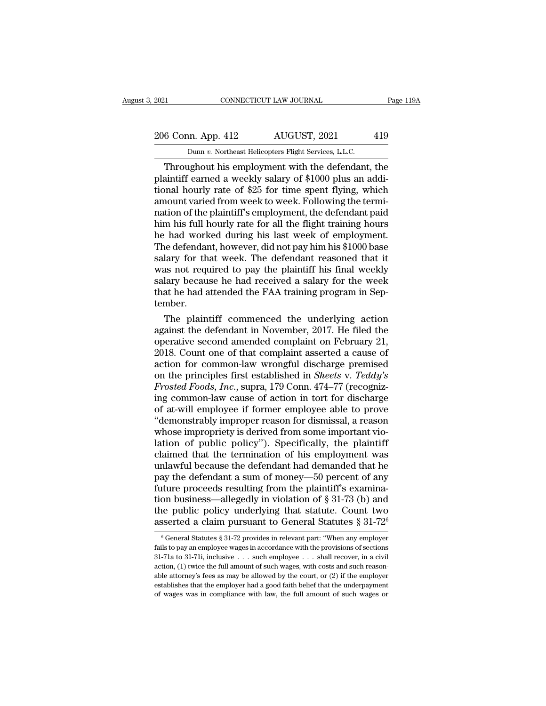## 2021 CONNECTICUT LAW JOURNAL Page 119A<br>206 Conn. App. 412 AUGUST, 2021 419<br>Dunn v. Northeast Helicopters Flight Services, L.L.C. EXECUTE 2021 CONNECTICUT LAW JOURNAL<br>
206 Conn. App. 412 AUGUST, 2021 419<br>
Dunn *v.* Northeast Helicopters Flight Services, L.L.C.<br>
Throughout his employment with the defendant, the

CONNECTICUT LAW JOURNAL Page 119A<br>
6 Conn. App. 412 AUGUST, 2021 419<br>
Dunn v. Northeast Helicopters Flight Services, L.L.C.<br>
Throughout his employment with the defendant, the<br>
aintiff earned a weekly salary of \$1000 plus a 206 Conn. App. 412 AUGUST, 2021 419<br>
Dunn v. Northeast Helicopters Flight Services, L.L.C.<br>
Throughout his employment with the defendant, the<br>
plaintiff earned a weekly salary of \$1000 plus an addi-<br>
tional hourly rate of 206 Conn. App. 412 AUGUST, 2021 419<br>
Dunn v. Northeast Helicopters Flight Services, L.L.C.<br>
Throughout his employment with the defendant, the<br>
plaintiff earned a weekly salary of \$1000 plus an addi-<br>
tional hourly rate of 206 Conn. App. 412 AUGUST, 2021 419<br>
Dunn v. Northeast Helicopters Flight Services, L.L.C.<br>
Throughout his employment with the defendant, the<br>
plaintiff earned a weekly salary of \$1000 plus an addi-<br>
tional hourly rate of Dunn v. Northeast Helicopters Flight Services, L.L.C.<br>Throughout his employment with the defendant, the<br>plaintiff earned a weekly salary of \$1000 plus an addi-<br>tional hourly rate of \$25 for time spent flying, which<br>amount Dunn v. Northeast Helicopters Flight Services, L.L.C.<br>
Throughout his employment with the defendant, the<br>
plaintiff earned a weekly salary of \$1000 plus an addi-<br>
tional hourly rate of \$25 for time spent flying, which<br>
amo Throughout his employment with the defendant, the plaintiff earned a weekly salary of \$1000 plus an additional hourly rate of \$25 for time spent flying, which amount varied from week to week. Following the termination of t plaintiff earned a weekly salary of \$1000 plus an additional hourly rate of \$25 for time spent flying, which amount varied from week to week. Following the termination of the plaintiff's employment, the defendant paid him tional hourly rate of \$25 for time spent flying, which<br>amount varied from week to week. Following the termi-<br>nation of the plaintiff's employment, the defendant paid<br>him his full hourly rate for all the flight training hou amount varied from week to week. Following the termi-<br>nation of the plaintiff's employment, the defendant paid<br>him his full hourly rate for all the flight training hours<br>he had worked during his last week of employment.<br>Th nation of the plaintiff's employment, the defendant paid<br>him his full hourly rate for all the flight training hours<br>he had worked during his last week of employment.<br>The defendant, however, did not pay him his \$1000 base<br>s him his full hourly rate for all the flight training hours<br>he had worked during his last week of employment.<br>The defendant, however, did not pay him his \$1000 base<br>salary for that week. The defendant reasoned that it<br>was n tember. ie defendant, however, did not pay him his \$1000 base<br>lary for that week. The defendant reasoned that it<br>as not required to pay the plaintiff his final weekly<br>lary because he had received a salary for the week<br>at he had at salary for that week. The defendant reasoned that it<br>was not required to pay the plaintiff his final weekly<br>salary because he had received a salary for the week<br>that he had attended the FAA training program in Sep-<br>tember.

was not required to pay the plaintiff his final weekly<br>salary because he had received a salary for the week<br>that he had attended the FAA training program in Sep-<br>tember.<br>The plaintiff commenced the underlying action<br>agains salary because he had received a salary for the week<br>that he had attended the FAA training program in September.<br>The plaintiff commenced the underlying action<br>against the defendant in November, 2017. He filed the<br>operative that he had attended the FAA training program in September.<br>
The plaintiff commenced the underlying action<br>
against the defendant in November, 2017. He filed the<br>
operative second amended complaint on February 21,<br>
2018. tember.<br>The plaintiff commenced the underlying action<br>against the defendant in November, 2017. He filed the<br>operative second amended complaint on February 21,<br>2018. Count one of that complaint asserted a cause of<br>action fo The plaintiff commenced the underlying action<br>against the defendant in November, 2017. He filed the<br>operative second amended complaint on February 21,<br>2018. Count one of that complaint asserted a cause of<br>action for common against the defendant in November, 2017. He filed the<br>operative second amended complaint on February 21,<br>2018. Count one of that complaint asserted a cause of<br>action for common-law wrongful discharge premised<br>on the princi operative second amended complaint on February 21,<br>2018. Count one of that complaint asserted a cause of<br>action for common-law wrongful discharge premised<br>on the principles first established in *Sheets v. Teddy's*<br>*Frosted* 2018. Count one of that complaint asserted a cause of<br>action for common-law wrongful discharge premised<br>on the principles first established in *Sheets* v. *Teddy's*<br>*Frosted Foods, Inc.*, supra, 179 Conn. 474–77 (recognizaction for common-law wrongful discharge premised<br>on the principles first established in *Sheets v. Teddy's*<br>*Frosted Foods, Inc.*, supra, 179 Conn. 474–77 (recogniz-<br>ing common-law cause of action in tort for discharge<br>of on the principles first established in *Sheets* v. Teddy's<br>Frosted Foods, Inc., supra, 179 Conn. 474–77 (recogniz-<br>ing common-law cause of action in tort for discharge<br>of at-will employee if former employee able to prove<br>" Frosted Foods, Inc., supra, 179 Conn. 474–77 (recogniz-<br>ing common-law cause of action in tort for discharge<br>of at-will employee if former employee able to prove<br>"demonstrably improper reason for dismissal, a reason<br>whose ing common-law cause of action in tort for discharge<br>of at-will employee if former employee able to prove<br>"demonstrably improper reason for dismissal, a reason<br>whose impropriety is derived from some important vio-<br>lation o of at-will employee if former employee able to prove<br>"demonstrably improper reason for dismissal, a reason<br>whose impropriety is derived from some important vio-<br>lation of public policy"). Specifically, the plaintiff<br>claime "demonstrably improper reason for dismissal, a reason<br>whose impropriety is derived from some important vio-<br>lation of public policy"). Specifically, the plaintiff<br>claimed that the termination of his employment was<br>unlawfu whose impropriety is derived from some important violation of public policy"). Specifically, the plaintiff claimed that the termination of his employment was unlawful because the defendant had demanded that he pay the def lation of public policy"). Specifically, the plaintiff<br>claimed that the termination of his employment was<br>unlawful because the defendant had demanded that he<br>pay the defendant a sum of money—50 percent of any<br>future proce claimed that the termination of his employment was<br>unlawful because the defendant had demanded that he<br>pay the defendant a sum of money—50 percent of any<br>future proceeds resulting from the plaintiff's examina-<br>tion busine ture proceeds resulting from the plaintiff's examination business—allegedly in violation of § 31-73 (b) and the public policy underlying that statute. Count two sserted a claim pursuant to General Statutes § 31-72<sup>6</sup>  $\frac{$ tion business—allegedly in violation of § 31-73 (b) and<br>the public policy underlying that statute. Count two<br>asserted a claim pursuant to General Statutes § 31-72<sup>6</sup><br><sup>6</sup> General Statutes § 31-72 provides in relevant part:

the public policy underlying that statute. Count two asserted a claim pursuant to General Statutes § 31-72<sup>6</sup>  $\frac{6}{6}$  General Statutes § 31-72 provides in relevant part: "When any employer fails to pay an employee wages **active and Statutes**  $\S$  31-72<sup>6</sup><br>
<sup>6</sup> General Statutes  $\S$  31-72 provides in relevant part: "When any employer fails to pay an employee wages in accordance with the provisions of sections 31-71a to 31-71i, inclusive . able attorney's fees as may be allowed by the court, or (2) if the employer example and statutes  $\S 31-72$  provides in relevant part: "When any employer fails to pay an employee wages in accordance with the provisions of <sup>6</sup> General Statutes § 31-72 provides in relevant part: "When any employer fails to pay an employee wages in accordance with the provisions of sections 31-71a to 31-71i, inclusive  $\ldots$  such employee  $\ldots$  shall recover, fails to pay an employee wages in accordance with the provisions of sections fails to pay an employee wages in accordance with the provisions of sections 31-71a to 31-71i, inclusive . . . such employee  $\ldots$  shall recover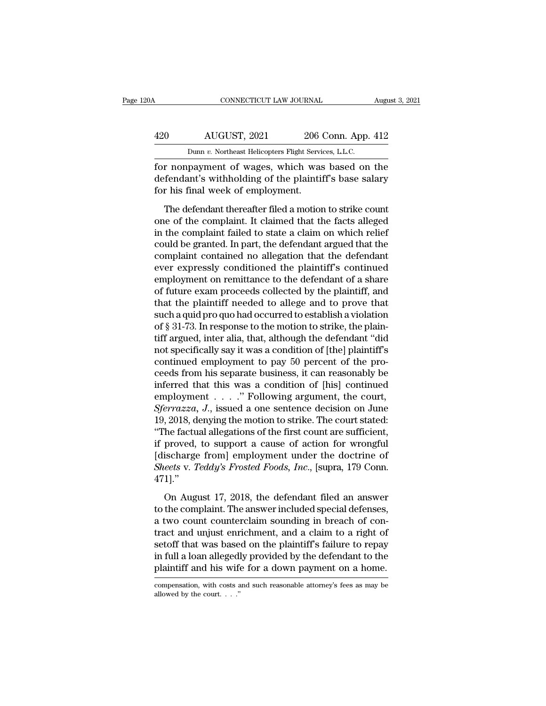## CONNECTICUT LAW JOURNAL August 3, 2021<br>
420 AUGUST, 2021 206 Conn. App. 412<br>
Dunn v. Northeast Helicopters Flight Services, L.L.C. CONNECTICUT LAW JOURNAL Augu<br>
AUGUST, 2021 206 Conn. App. 412<br>
Dunn *v.* Northeast Helicopters Flight Services, L.L.C.<br>
for nonpayment of wages, which was based on the

For nonpayment of wages, which was based on the<br>defendant's withholding of the plaintiff's base salary<br>for his final work of wages, which was based on the<br>defendant's withholding of the plaintiff's base salary<br>for his fina 420 AUGUST, 2021 206 Conn. App. 412<br>
Dunn v. Northeast Helicopters Flight Services, L.L.C.<br>
for nonpayment of wages, which was based on the<br>
defendant's withholding of the plaintiff's base salary<br>
for his final week of emp  $\frac{420}{\text{Dumn } v. \text{ Nottheast Helicopters Flight Servi}}$ <br>
Dunn  $v. \text{ Nottheast Helicopters Flight Servi}$ <br>
for nonpayment of wages, which was<br>
defendant's withholding of the plaintif<br>
for his final week of employment.<br>
The defendant thereafter filed a motion  $\frac{1}{200}$   $\frac{1}{200}$   $\frac{1}{200}$   $\frac{1}{200}$   $\frac{1}{200}$   $\frac{1}{200}$   $\frac{1}{200}$   $\frac{1}{200}$   $\frac{1}{200}$   $\frac{1}{200}$   $\frac{1}{200}$   $\frac{1}{200}$   $\frac{1}{200}$   $\frac{1}{200}$   $\frac{1}{200}$   $\frac{1}{200}$   $\frac{1}{200}$   $\frac{1}{200}$   $\frac{1$ 

Dunn  $v$ . Northeast Helicopters Flight Services, L.L.C.<br>
for nonpayment of wages, which was based on the<br>
defendant's withholding of the plaintiff's base salary<br>
for his final week of employment.<br>
The defendant thereafter for nonpayment of wages, which was based on the<br>defendant's withholding of the plaintiff's base salary<br>for his final week of employment.<br>The defendant thereafter filed a motion to strike count<br>one of the complaint. It clai contributions of mages, minimized are stated on the defendant's withholding of the plaintiff's base salary<br>for his final week of employment.<br>The defendant thereafter filed a motion to strike count<br>one of the complaint. It for his final week of employment.<br>The defendant thereafter filed a motion to strike count<br>one of the complaint. It claimed that the facts alleged<br>in the complaint failed to state a claim on which relief<br>could be granted. I The defendant thereafter filed a motion to strike count<br>one of the complaint. It claimed that the facts alleged<br>in the complaint failed to state a claim on which relief<br>could be granted. In part, the defendant argued that The defendant thereafter filed a motion to strike count<br>one of the complaint. It claimed that the facts alleged<br>in the complaint failed to state a claim on which relief<br>could be granted. In part, the defendant argued that one of the complaint. It claimed that the facts alleged<br>in the complaint failed to state a claim on which relief<br>could be granted. In part, the defendant argued that the<br>complaint contained no allegation that the defendant in the complaint failed to state a claim on which relief<br>could be granted. In part, the defendant argued that the<br>complaint contained no allegation that the defendant<br>ever expressly conditioned the plaintiff's continued<br>em could be granted. In part, the defendant argued that the complaint contained no allegation that the defendant<br>ever expressly conditioned the plaintiff's continued<br>employment on remittance to the defendant of a share<br>of fut complaint contained no allegation that the defendant<br>ever expressly conditioned the plaintiff's continued<br>employment on remittance to the defendant of a share<br>of future exam proceeds collected by the plaintiff, and<br>that th ever expressly conditioned the plaintiff's continued<br>employment on remittance to the defendant of a share<br>of future exam proceeds collected by the plaintiff, and<br>that the plaintiff needed to allege and to prove that<br>such a employment on remittance to the defendant of a share<br>of future exam proceeds collected by the plaintiff, and<br>that the plaintiff needed to allege and to prove that<br>such a quid pro quo had occurred to establish a violation<br>o of future exam proceeds collected by the plaintiff, and<br>that the plaintiff needed to allege and to prove that<br>such a quid pro quo had occurred to establish a violation<br>of § 31-73. In response to the motion to strike, the p that the plaintiff needed to allege and to prove that<br>such a quid pro quo had occurred to establish a violation<br>of § 31-73. In response to the motion to strike, the plain-<br>tiff argued, inter alia, that, although the defend such a quid pro quo had occurred to establish a violation<br>of § 31-73. In response to the motion to strike, the plain-<br>tiff argued, inter alia, that, although the defendant "did<br>not specifically say it was a condition of [t of § 31-73. In response to the motion to strike, the plain-<br>tiff argued, inter alia, that, although the defendant "did<br>not specifically say it was a condition of [the] plaintiff's<br>continued employment to pay 50 percent of tiff argued, inter alia, that, although the defendant "did<br>not specifically say it was a condition of [the] plaintiff's<br>continued employment to pay 50 percent of the pro-<br>ceeds from his separate business, it can reasonably not specifically say it was a condition of [the] plaintiff's<br>continued employment to pay 50 percent of the pro-<br>ceeds from his separate business, it can reasonably be<br>inferred that this was a condition of [his] continued<br> continued employment to pay 50 percent of the proceeds from his separate business, it can reasonably be inferred that this was a condition of [his] continued employment . . . . . " Following argument, the court,  $Sferrazza$ , ceeds from his separate business, it can reasonably be<br>inferred that this was a condition of [his] continued<br>employment . . . . . " Following argument, the court,<br> $Sferrazza, J.,$  issued a one sentence decision on June<br>19, 2018 inferred that this was a condition of [his] continued<br>employment . . . . ." Following argument, the court,<br>*Sferrazza*, *J*., issued a one sentence decision on June<br>19, 2018, denying the motion to strike. The court stated employment . . . . " Following argument, the court, *Sferrazza*, *J*., issued a one sentence decision on June 19, 2018, denying the motion to strike. The court stated: "The factual allegations of the first count are suffic 471].'' The factual allegations of the first count are sufficient,<br>the factual allegations of the first count are sufficient,<br>proved, to support a cause of action for wrongful<br>ischarge from] employment under the doctrine of<br>*eets* The racedar anaglacers of are interested in o startered,<br>if proved, to support a cause of action for wrongful<br>[discharge from] employment under the doctrine of<br>Sheets v. Teddy's Frosted Foods, Inc., [supra, 179 Conn.<br>471].

From the supposed of the state of the control interface (discharge from) employment under the doctrine of *Sheets* v. *Teddy's Frosted Foods, Inc.*, [supra, 179 Conn. 471]."<br>On August 17, 2018, the defendant filed an answ Sheets v. Teddy's Frosted Foods, Inc., [supra, 179 Conn.<br>471]."<br>On August 17, 2018, the defendant filed an answer<br>to the complaint. The answer included special defenses,<br>a two count counterclaim sounding in breach of con-<br> From August 17, 2018, the defendant filed an answer<br>to the complaint. The answer included special defenses,<br>a two count counterclaim sounding in breach of con-<br>tract and unjust enrichment, and a claim to a right of<br>setoff In full a loan allegedly provided by the defendant full and an answer to the complaint. The answer included special defenses, a two count counterclaim sounding in breach of contract and unjust enrichment, and a claim to a On August 17, 2018, the defendant filed an answer<br>to the complaint. The answer included special defenses,<br>a two count counterclaim sounding in breach of con-<br>tract and unjust enrichment, and a claim to a right of<br>setoff th tract and unjust enrichment, and a claim to a right of setoff that was based on the plaintiff's failure to repay in full a loan allegedly provided by the defendant to the plaintiff and his wife for a down payment on a hom plaintiff and his wife for a down payment on a home.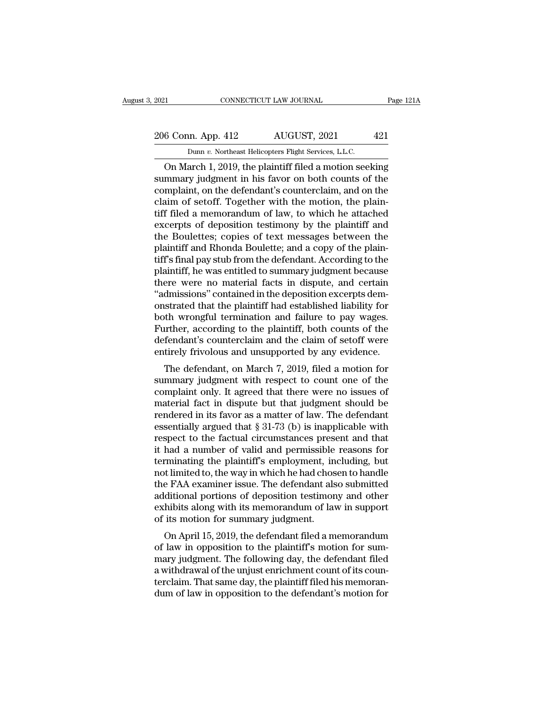## 2021 CONNECTICUT LAW JOURNAL Page 121A<br>206 Conn. App. 412 AUGUST, 2021 421<br>Dunn v. Northeast Helicopters Flight Services, L.L.C. EXECUTE 2021 CONNECTICUT LAW JOURNAL<br>206 Conn. App. 412 AUGUST, 2021 421<br>Dunn *v.* Northeast Helicopters Flight Services, L.L.C.<br>On March 1, 2019, the plaintiff filed a motion seeking

CONNECTICUT LAW JOURNAL Page 121A<br>
6 Conn. App. 412 AUGUST, 2021 421<br>
Dunn v. Northeast Helicopters Flight Services, L.L.C.<br>
On March 1, 2019, the plaintiff filed a motion seeking<br>
mmary judgment in his favor on both count 206 Conn. App. 412 AUGUST, 2021 421<br>
Dunn v. Northeast Helicopters Flight Services, L.L.C.<br>
On March 1, 2019, the plaintiff filed a motion seeking<br>
summary judgment in his favor on both counts of the<br>
complaint, on the def 206 Conn. App. 412 AUGUST, 2021 421<br>
Dunn v. Northeast Helicopters Flight Services, LLC.<br>
On March 1, 2019, the plaintiff filed a motion seeking<br>
summary judgment in his favor on both counts of the<br>
complaint, on the defe 206 Conn. App. 412 AUGUST, 2021 421<br>
Dunn v. Northeast Helicopters Flight Services, L.L.C.<br>
On March 1, 2019, the plaintiff filed a motion seeking<br>
summary judgment in his favor on both counts of the<br>
complaint, on the de Dunn v. Northeast Helicopters Flight Services, L.L.C.<br>
On March 1, 2019, the plaintiff filed a motion seeking<br>
summary judgment in his favor on both counts of the<br>
complaint, on the defendant's counterclaim, and on the<br>
c Dunn v. Northeast Helicopters Flight Services, L.L.C.<br>
On March 1, 2019, the plaintiff filed a motion seeking<br>
summary judgment in his favor on both counts of the<br>
complaint, on the defendant's counterclaim, and on the<br>
c On March 1, 2019, the plaintiff filed a motion seeking<br>summary judgment in his favor on both counts of the<br>complaint, on the defendant's counterclaim, and on the<br>claim of setoff. Together with the motion, the plain-<br>tiff f summary judgment in his favor on both counts of the complaint, on the defendant's counterclaim, and on the claim of setoff. Together with the motion, the plain-<br>tiff filed a memorandum of law, to which he attached<br>excerpts complaint, on the defendant's counterclaim, and on the claim of setoff. Together with the motion, the plain-<br>tiff filed a memorandum of law, to which he attached<br>excerpts of deposition testimony by the plaintiff and<br>the Bo claim of setoff. Together with the motion, the plaintiff filed a memorandum of law, to which he attached excerpts of deposition testimony by the plaintiff and the Boulettes; copies of text messages between the plaintiff an tiff filed a memorandum of law, to which he attached<br>excerpts of deposition testimony by the plaintiff and<br>the Boulettes; copies of text messages between the<br>plaintiff and Rhonda Boulette; and a copy of the plain-<br>tiff's f excerpts of deposition testimony by the plaintiff and<br>the Boulettes; copies of text messages between the<br>plaintiff and Rhonda Boulette; and a copy of the plain-<br>tiff's final pay stub from the defendant. According to the<br>pl the Boulettes; copies of text messages between the plaintiff and Rhonda Boulette; and a copy of the plaintiff's final pay stub from the defendant. According to the plaintiff, he was entitled to summary judgment because the plaintiff and Rhonda Boulette; and a copy of the plaintiff's final pay stub from the defendant. According to the plaintiff, he was entitled to summary judgment because there were no material facts in dispute, and certain " tiff's final pay stub from the defendant. According to the plaintiff, he was entitled to summary judgment because<br>there were no material facts in dispute, and certain<br>"admissions" contained in the deposition excerpts dem-<br> plaintiff, he was entitled to summary judgment because<br>there were no material facts in dispute, and certain<br>"admissions" contained in the deposition excerpts dem-<br>onstrated that the plaintiff had established liability for<br> there were no material facts in dispute, and certain "admissions" contained in the deposition excerpts demonstrated that the plaintiff had established liability for both wrongful termination and failure to pay wages. Furth mussions contained in the deposition excerpts deni-<br>strated that the plaintiff had established liability for<br>th wrongful termination and failure to pay wages.<br>urther, according to the plaintiff, both counts of the<br>fendant' onstrated that the plantificant had established hability for<br>both wrongful termination and failure to pay wages.<br>Further, according to the plaintiff, both counts of the<br>defendant's counterclaim and the claim of setoff were

both wrongth termination and failure to pay wages.<br>Further, according to the plaintiff, both counts of the<br>defendant's counterclaim and the claim of setoff were<br>entirely frivolous and unsupported by any evidence.<br>The defen Further, according to the plannin, both counts of the<br>defendant's counterclaim and the claim of setoff were<br>entirely frivolous and unsupported by any evidence.<br>The defendant, on March 7, 2019, filed a motion for<br>summary j rendiant s counterclaint and the claim of secon were<br>entirely frivolous and unsupported by any evidence.<br>The defendant, on March 7, 2019, filed a motion for<br>summary judgment with respect to count one of the<br>complaint only entify fill dood and disapported by any evidence.<br>The defendant, on March 7, 2019, filed a motion for<br>summary judgment with respect to count one of the<br>complaint only. It agreed that there were no issues of<br>material fact i The defendant, on March 7, 2019, filed a motion for<br>summary judgment with respect to count one of the<br>complaint only. It agreed that there were no issues of<br>material fact in dispute but that judgment should be<br>rendered in summary judgment with respect to count one of the<br>complaint only. It agreed that there were no issues of<br>material fact in dispute but that judgment should be<br>rendered in its favor as a matter of law. The defendant<br>essentia complaint only. It agreed that there were no issues of<br>material fact in dispute but that judgment should be<br>rendered in its favor as a matter of law. The defendant<br>essentially argued that § 31-73 (b) is inapplicable with<br>r material fact in dispute but that judgment should be<br>rendered in its favor as a matter of law. The defendant<br>essentially argued that  $\S 31-73$  (b) is inapplicable with<br>respect to the factual circumstances present and that rendered in its favor as a matter of law. The defendant<br>essentially argued that  $\S 31-73$  (b) is inapplicable with<br>respect to the factual circumstances present and that<br>it had a number of valid and permissible reasons for essentially argued that § 31-73 (b) is inapplicable with<br>respect to the factual circumstances present and that<br>it had a number of valid and permissible reasons for<br>terminating the plaintiff's employment, including, but<br>not respect to the factual circumstances present and that<br>it had a number of valid and permissible reasons for<br>terminating the plaintiff's employment, including, but<br>not limited to, the way in which he had chosen to handle<br>the it had a number of valid and permissible<br>terminating the plaintiff's employment, in<br>not limited to, the way in which he had chos<br>the FAA examiner issue. The defendant als<br>additional portions of deposition testimon<br>exhibits Thiniating the plantiful semployment, including, but<br>t limited to, the way in which he had chosen to handle<br>e FAA examiner issue. The defendant also submitted<br>ditional portions of deposition testimony and other<br>hibits alon not initied to, the way in which he had chosen to handle<br>the FAA examiner issue. The defendant also submitted<br>additional portions of deposition testimony and other<br>exhibits along with its memorandum of law in support<br>of it

the FAA examiner issue. The defendant also submitted<br>additional portions of deposition testimony and other<br>exhibits along with its memorandum of law in support<br>of its motion for summary judgment.<br>On April 15, 2019, the def additional portions of deposition testimony and other<br>exhibits along with its memorandum of law in support<br>of its motion for summary judgment.<br>On April 15, 2019, the defendant filed a memorandum<br>of law in opposition to the Exhibits along with its inenformation of law in support<br>of its motion for summary judgment.<br>On April 15, 2019, the defendant filed a memorandum<br>of law in opposition to the plaintiff's motion for sum-<br>mary judgment. The fol or its motion for summary judgment.<br>On April 15, 2019, the defendant filed a memorandum<br>of law in opposition to the plaintiff's motion for sum-<br>mary judgment. The following day, the defendant filed<br>a withdrawal of the unju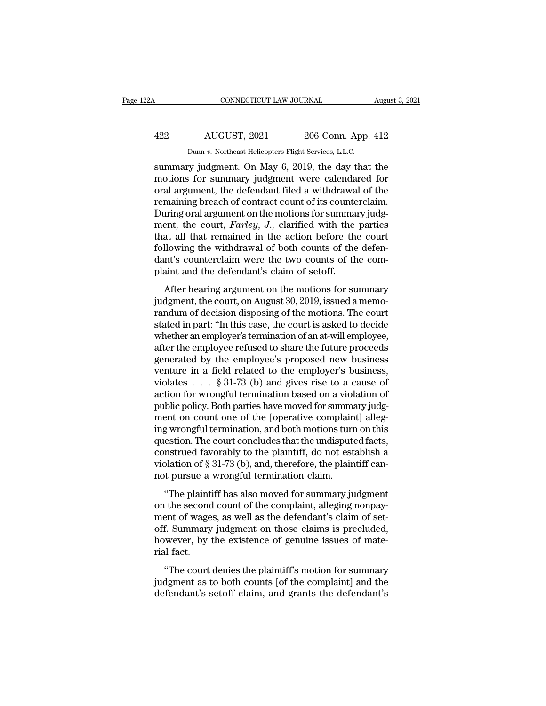## CONNECTICUT LAW JOURNAL August 3, 2021<br>422 AUGUST, 2021 206 Conn. App. 412<br>Dunn v. Northeast Helicopters Flight Services, L.L.C. CONNECTICUT LAW JOURNAL Augu<br>
AUGUST, 2021 206 Conn. App. 412<br>
Dunn *v.* Northeast Helicopters Flight Services, L.L.C.<br>
Summary judgment. On May 6, 2019, the day that the

SUGUST, 2021 206 Conn. App. 412<br>
Summary judgment. On May 6, 2019, the day that the<br>
summary judgment. On May 6, 2019, the day that the<br>
motions for summary judgment were calendared for<br>
oral argument the defendant filed a AUGUST, 2021 206 Conn. App. 412<br>
Dunn v. Northeast Helicopters Flight Services, L.L.C.<br>
summary judgment. On May 6, 2019, the day that the<br>
motions for summary judgment were calendared for<br>
oral argument, the defendant fil  $\frac{422}{\text{Dunn } v. \text{ Northeast Helicopters Flight Services, L.L.C.}}$ <br>
summary judgment. On May 6, 2019, the day that the motions for summary judgment were calendared for oral argument, the defendant filed a withdrawal of the remaining breach of contract AUGUST, 2021 206 Conn. App. 412<br>
Dunn v. Northeast Helicopters Flight Services, L.L.C.<br>
summary judgment. On May 6, 2019, the day that the<br>
motions for summary judgment were calendared for<br>
oral argument, the defendant fi Dunn v. Northeast Helicopters Flight Services, L.L.C.<br>
summary judgment. On May 6, 2019, the day that the<br>
motions for summary judgment were calendared for<br>
oral argument, the defendant filed a withdrawal of the<br>
remainin Dunn *v.* Northeast Helicopters Fight Services, L.L.C.<br>
summary judgment. On May 6, 2019, the day that the<br>
motions for summary judgment were calendared for<br>
oral argument, the defendant filed a withdrawal of the<br>
remainin summary judgment. On May 6, 2019, the day that the<br>motions for summary judgment were calendared for<br>oral argument, the defendant filed a withdrawal of the<br>remaining breach of contract count of its counterclaim.<br>During oral motions for summary judgment were calendared for<br>oral argument, the defendant filed a withdrawal of the<br>remaining breach of contract count of its counterclaim.<br>During oral argument on the motions for summary judg-<br>ment, th oral argument, the defendant filed a withdrawal of the remaining breach of contract count of its counterclaim.<br>During oral argument on the motions for summary judgment, the court, *Farley*, *J*., clarified with the parties remaining breach of contract count of its counte<br>During oral argument on the motions for summa<br>ment, the court, *Farley*, *J.*, clarified with the<br>that all that remained in the action before the<br>following the withdrawal of Find the court, *Farley*, *J*., clarified with the parties<br>at all that remained in the action before the court<br>llowing the withdrawal of both counts of the defen-<br>nt's counterclaim were the two counts of the com-<br>aint and finally that all that remained in the action before the court<br>following the withdrawal of both counts of the defen-<br>dant's counterclaim were the two counts of the com-<br>plaint and the defendant's claim of setoff.<br>After hear

randum of the withdrawal of both counts of the defendant's counterclaim were the two counts of the defendant's counterclaim were the two counts of the complaint and the defendant's claim of setoff.<br>After hearing argument o stated in particular of solar solates of the complaint and the defendant's claim of setoff.<br>After hearing argument on the motions for summary<br>judgment, the court, on August 30, 2019, issued a memo-<br>randum of decision dispo mant was countered in were are two counts of are controlled point.<br>
After hearing argument on the motions for summary<br>
judgment, the court, on August 30, 2019, issued a memo-<br>
randum of decision disposing of the motions. T After hearing argument on the motions for summary<br>judgment, the court, on August 30, 2019, issued a memo-<br>randum of decision disposing of the motions. The court<br>stated in part: "In this case, the court is asked to decide<br>w After hearing argument on the motions for summary<br>judgment, the court, on August 30, 2019, issued a memo-<br>randum of decision disposing of the motions. The court<br>stated in part: "In this case, the court is asked to decide<br> judgment, the court, on August 30, 2019, issued a memo-<br>randum of decision disposing of the motions. The court<br>stated in part: "In this case, the court is asked to decide<br>whether an employer's termination of an at-will em randum of decision disposing of the motions. The court<br>stated in part: "In this case, the court is asked to decide<br>whether an employer's termination of an at-will employee,<br>after the employee refused to share the future p stated in part: "In this case, the court is asked to decide<br>whether an employer's termination of an at-will employee,<br>after the employee refused to share the future proceeds<br>generated by the employee's proposed new busines whether an employer's termination of an at-will employee,<br>after the employee refused to share the future proceeds<br>generated by the employee's proposed new business<br>venture in a field related to the employer's business,<br>vi after the employee refused to share the future proceeds<br>generated by the employee's proposed new business<br>venture in a field related to the employer's business,<br>violates  $\ldots$  § 31-73 (b) and gives rise to a cause of<br>acti generated by the employee's proposed new business<br>venture in a field related to the employer's business,<br>violates  $\ldots$  § 31-73 (b) and gives rise to a cause of<br>action for wrongful termination based on a violation of<br>publ venture in a field related to the employer's business,<br>violates . . . § 31-73 (b) and gives rise to a cause of<br>action for wrongful termination based on a violation of<br>public policy. Both parties have moved for summary jud violates  $\dots$  § 31-73 (b) and gives rise to a cause of<br>action for wrongful termination based on a violation of<br>public policy. Both parties have moved for summary judg-<br>ment on count one of the [operative complaint] allegaction for wrongful termination based on a violation of<br>public policy. Both parties have moved for summary judg-<br>ment on count one of the [operative complaint] alleg-<br>ing wrongful termination, and both motions turn on this public policy. Both parties have moved for summa<br>ment on count one of the [operative complain<br>ing wrongful termination, and both motions turr<br>question. The court concludes that the undispute<br>construed favorably to the plai of solar one of all peperative complaint, and g<br>is also more different and both motions turn on this<br>estion. The court concludes that the undisputed facts,<br>nstrued favorably to the plaintiff, do not establish a<br>plation of In the second count concludes that the undisputed facts,<br>construed favorably to the plaintiff, do not establish a<br>violation of § 31-73 (b), and, therefore, the plaintiff can-<br>not pursue a wrongful termination claim.<br>"The p

quession. The court concludes and the distributed,<br>construed favorably to the plaintiff, do not establish a<br>violation of § 31-73 (b), and, therefore, the plaintiff can-<br>not pursue a wrongful termination claim.<br>"The plainti violation of § 31-73 (b), and, therefore, the plaintiff can-<br>not pursue a wrongful termination claim.<br>"The plaintiff has also moved for summary judgment<br>on the second count of the complaint, alleging nonpay-<br>ment of wages Franchion of  $S$  of  $\{v\}$  ( $v$ ), and, alteratory, are plainting cannot pursue a wrongful termination claim.<br>
"The plaintiff has also moved for summary judgment<br>
on the second count of the complaint, alleging nonpay-<br>
me "The plaint"<br>"The plaint"<br>on the second<br>ment of wage<br>off. Summary<br>however, by ind fact.<br>"The court The plaint rias also hoved for summary judgment<br>
the second count of the complaint, alleging nonpay-<br>
ent of wages, as well as the defendant's claim of set-<br>
f. Summary judgment on those claims is precluded,<br>
wever, by the on the second count of the complaint, and graphy<br>ment of wages, as well as the defendant's claim of set-<br>off. Summary judgment on those claims is precluded,<br>however, by the existence of genuine issues of mate-<br>rial fact.<br>" defit. Summary judgment on those claims is precluded,<br>however, by the existence of genuine issues of mate-<br>rial fact.<br>"The court denies the plaintiff's motion for summary<br>judgment as to both counts [of the complaint] and t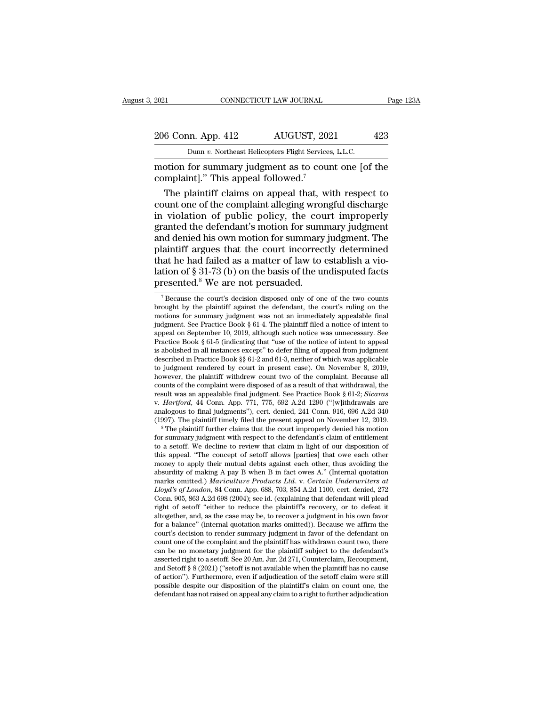EXECTIVE CONNECTICUT LAW JOURNAL Page 123A<br>
206 Conn. App. 412 AUGUST, 2021 423<br>
Dunn v. Northeast Helicopters Flight Services, L.L.C.<br>
motion for summary judgment as to count one [of the<br>
complaint]." This appeal followed 206 Conn. App. 412 AUGUST, 202<br>
Dunn v. Northeast Helicopters Flight Services<br>
motion for summary judgment as to cour<br>
complaint].'' This appeal followed.<sup>7</sup><br>
The plaintiff claims on appeal that, wi

 $\frac{6 \text{ Conn. App. 412}}{\text{Dunn } v. \text{ Northern} \text{ at } t. \text{ } s \text{ is the same number of elements.}$   $\frac{1}{100}$  and  $\frac{1}{100}$  and  $\frac{1}{100}$  and  $\frac{1}{100}$  and  $\frac{1}{100}$  and  $\frac{1}{100}$  and  $\frac{1}{100}$  and  $\frac{1}{100}$  and  $\frac{1}{100}$  and  $\frac{1}{100}$  and  $\frac{1}{$ 206 Conn. App. 412 AUGUST, 2021 423<br>
Dunn v. Northeast Helicopters Flight Services, L.L.C.<br>
motion for summary judgment as to count one [of the<br>
complaint]." This appeal followed.<sup>7</sup><br>
The plaintiff claims on appeal that, Dunn v. Northeast Helicopters Flight Services, L.L.C.<br>
motion for summary judgment as to count one [of the<br>
complaint]." This appeal followed.<sup>7</sup><br>
The plaintiff claims on appeal that, with respect to<br>
count one of the com Dual *i*. Notheast heliopters right services, E.E.C.<br>
motion for summary judgment as to count one [of the<br>
complaint]." This appeal followed.<sup>7</sup><br>
The plaintiff claims on appeal that, with respect to<br>
count one of the comp motion for summary judgment as to count one [of the<br>complaint]." This appeal followed."<br>The plaintiff claims on appeal that, with respect to<br>count one of the complaint alleging wrongful discharge<br>in violation of public pol complaint]." This appeal followed."<br>
The plaintiff claims on appeal that, with respect to<br>
count one of the complaint alleging wrongful discharge<br>
in violation of public policy, the court improperly<br>
granted the defendant The plaintiff claims on appeal that, with respect to<br>count one of the complaint alleging wrongful discharge<br>in violation of public policy, the court improperly<br>granted the defendant's motion for summary judgment. The<br>plai count one of the complaint alleging wrongful discharge<br>in violation of public policy, the court improperly<br>granted the defendant's motion for summary judgment<br>and denied his own motion for summary judgment. The<br>plaintiff a in violation of public policy, the courrent granted the defendant's motion for summany plaintiff argues that the court incorrect that he had failed as a matter of law to lation of § 31-73 (b) on the basis of the universe plaintiff argues that the court incorrectly determined<br>that he had failed as a matter of law to establish a vio-<br>lation of  $\S 31-73$  (b) on the basis of the undisputed facts<br>presented.<sup>8</sup> We are not persuaded.<br>Thecause th

that he had failed as a matter of law to establish a vio-<br>lation of  $\S 31-73$  (b) on the basis of the undisputed facts<br>presented.<sup>8</sup> We are not persuaded.<br><sup>7</sup> Because the court's decision disposed only of one of the two c lation of  $\S$  31-73 (b) on the basis of the undisputed facts<br>presented.<sup>8</sup> We are not persuaded.<br>The accuracy is decision disposed only of one of the two counts<br>brought by the plaintiff against the defendant, the court's Fraction of  $\S$  31-73 (D) on the basis of the undisputed facts<br>presented.<sup>8</sup> We are not persuaded.<br>The plaintiff against the defendant, the court's ruling on the<br>brought by the plaintiff against the defendant, the court's presented.<sup>8</sup> We are not persuaded.<br>
<sup>7</sup> Because the court's decision disposed only of one of the two counts brought by the plaintiff against the defendant, the court's ruling on the motions for summary judgment was not a <sup>7</sup> Because the court's decision disposed only of one of the two counts brought by the plaintiff against the defendant, the court's ruling on the motions for summary judgment was not an immediately appealable final judgme Fecause the court's decision disposed only of one of the two counts<br>brought by the plaintiff against the defendant, the court's ruling on the<br>motions for summary judgment was not an immediately appealable final<br>judgment. brought by the plaintiff against the defendant, the court's ruling on the motions for summary judgment was not an immediately appealable final judgment. See Practice Book § 61-4. The plaintiff filed a notice of intent to motions for summary judgment was not an immediately appealable final<br>judgment. See Practice Book § 61-4. The plaintiff filed a notice of intent to<br>appeal on September 10, 2019, although such notice was unnecessary. See<br>Pr judgment. See Practice Book § 61-4. The plaintiff filed a notice of intent to appeal on September 10, 2019, although such notice was unnecessary. See Practice Book § 61-5 (indicating that "use of the notice of intent to a appeal on September 10, 2019, although such notice was unnecessary. See<br>Practice Book § 61-5 (indicating that "use of the notice of intent to appeal<br>is abolished in all instances except" to defer filing of appeal from jud Practice Book § 61-5 (indicating that "use of the notice of intent to appeal<br>is abolished in all instances except" to defer filing of appeal from judgment<br>described in Practice Book §§ 61-2 and 61-3, neither of which was a described in Practice Book §§ 61-2 and 61-3, neither of which was applicable<br>to judgment rendered by court in present case). On November 8, 2019,<br>however, the plaintiff withdrew count two of the complaint. Because all<br>cou to judgment rendered by court in present case). On November 8, 2019, however, the plaintiff withdrew count two of the complaint. Because all counts of the complaint were disposed of as a result of that withdrawal, the res counts of the complaint were disposed of as a result of that withdrawal, the result was an appealable final judgment. See Practice Book § 61-2; *Sicaras* v. *Hartford*, 44 Conn. App. 771, 775, 692 A.2d 1290 ("[w]ithdrawal

v. Hartford, 44 Conn. App. 771, 775, 692 A.2d 1290 ("[w]ithdrawals are analogous to final judgments"), cert. denied, 241 Conn. 916, 696 A.2d 340 (1997). The plaintiff timely filed the present appeal on November 12, 2019. analogous to final judgments"), cert. denied,  $241$  Conn.  $916$ ,  $696$  A.2d  $340$  ( $1997$ ). The plaintiff timely filed the present appeal on November 12,  $2019$ .<br><sup>8</sup> The plaintiff further claims that the court improperly analogous to final judgments"), cert. denied, 241 Conn. 916, 696 A.2d 340 (1997). The plaintiff timely filed the present appeal on November 12, 2019.<br>
<sup>8</sup> The plaintiff further claims that the court improperly denied his m (1997). The plaintiff timely filed the present appeal on November 12, 2019.<br>
<sup>8</sup> The plaintiff further claims that the court improperly denied his motion<br>
for summary judgment with respect to the defendant's claim of enti <sup>8</sup> The plaintiff further claims that the court improperly denied his motion for summary judgment with respect to the defendant's claim of entitlement to a setoff. We decline to review that claim in light of our dispositio for summary judgment with respect to the defendant's claim of entitlement<br>to a setoff. We decline to review that claim in light of our disposition of<br>this appeal. "The concept of setoff allows [parties] that owe each other to a setoff. We decline to review that claim in light of our disposition of this appeal. "The concept of setoff allows [parties] that owe each other money to apply their mutual debts against each other, thus avoiding the this appeal. "The concept of setoft allows [parties] that owe each other money to apply their mutual debts against each other, thus avoiding the absurdity of making A pay B when B in fact owes A." (Internal quotation mark money to apply their mutual debts against each other, thus avoiding the absurdity of making A pay B when B in fact owes A." (Internal quotation marks omitted.) *Mariculture Products Ltd.* v. *Certain Underwriters at Lloyd* absurdity of making A pay B when B in fact owes A." (Internal quotation marks omitted.) *Mariculture Products Ltd.* v. *Certain Underwriters at Lloyd's of London*, 84 Conn. App. 688, 703, 854 A.2d 1100, cert. denied, 272 C marks omitted.) Mariculture Products Ltd. v. Certain Underwriters at Lloyd's of London, 84 Conn. App. 688, 703, 854 A.2d 1100, cert. denied, 272 Conn. 905, 863 A.2d 698 (2004); see id. (explaining that defendant will plea Lloyd's of London, 84 Conn. App. 688, 703, 854 A.2d 1100, cert. denied, 272 Conn. 905, 863 A.2d 698 (2004); see id. (explaining that defendant will plead right of setoff "either to reduce the plaintiff's recovery, or to d Conn. 905, 863 A.2d 698 (2004); see id. (explaining that defendant will plead<br>right of setoff "either to reduce the plaintiff's recovery, or to defeat it<br>altogether, and, as the case may be, to recover a judgment in his ow right of setoff "either to reduce the plaintiff's recovery, or to defeat it<br>altogether, and, as the case may be, to recover a judgment in his own favor<br>for a balance" (internal quotation marks omitted)). Because we affirm altogether, and, as the case may be, to recover a judgment in his own favor<br>for a balance" (internal quotation marks omitted)). Because we affirm the<br>court's decision to render summary judgment in favor of the defendant on for a balance" (internal quotation marks omitted)). Because we affirm the court's decision to render summary judgment in favor of the defendant on count one of the complaint and the plaintiff has withdrawn count two, ther court's decision to render summary judgment in favor of the defendant on<br>count one of the complaint and the plaintiff has withdrawn count two, there<br>can be no monetary judgment for the plaintiff subject to the defendant's<br> count one of the complaint and the plaintiff has withdrawn count two, there can be no monetary judgment for the plaintiff subject to the defendant's asserted right to a setoff. See 20 Am. Jur. 2d 271, Counterclaim, Recoup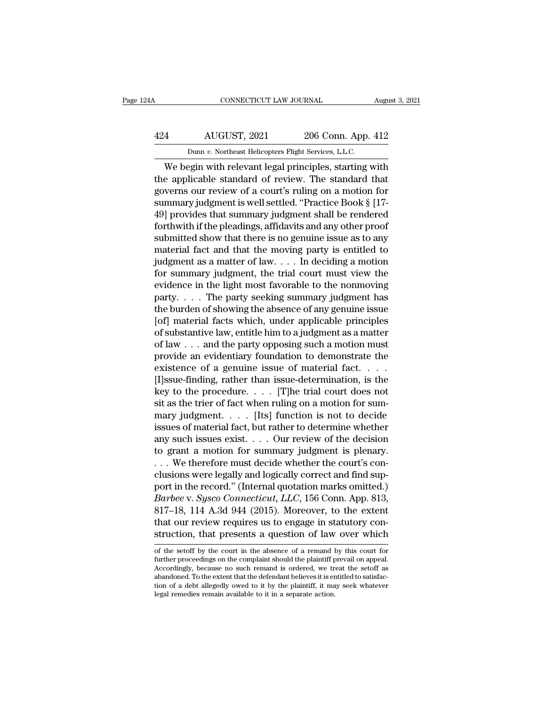## CONNECTICUT LAW JOURNAL August 3, 2021<br>424 AUGUST, 2021 206 Conn. App. 412<br>Dunn v. Northeast Helicopters Flight Services, L.L.C. CONNECTICUT LAW JOURNAL Augu<br>
206 Conn. App. 412<br>
Dunn *v.* Northeast Helicopters Flight Services, L.L.C.<br>
We begin with relevant legal principles, starting with

CONNECTICUT LAW JOURNAL August 3, 2021<br>
4 AUGUST, 2021 206 Conn. App. 412<br>
Dunn v. Northeast Helicopters Flight Services, L.L.C.<br>
We begin with relevant legal principles, starting with<br>
e applicable standard of review. The AUGUST, 2021 206 Conn. App. 412<br>
Dunn v. Northeast Helicopters Flight Services, L.L.C.<br>
We begin with relevant legal principles, starting with<br>
the applicable standard of review. The standard that<br>
governs our review of a 424 AUGUST, 2021 206 Conn. App. 412<br>
Dunn v. Northeast Helicopters Flight Services, L.L.C.<br>
We begin with relevant legal principles, starting with<br>
the applicable standard of review. The standard that<br>
governs our review  $\frac{424}{\text{Dunn } v. \text{ Northeast Helicopters Flight Services, L.L.C.}}$ <br>Dunn v. Northeast Helicopters Flight Services, L.L.C.<br>We begin with relevant legal principles, starting with<br>the applicable standard of review. The standard that<br>governs our review of Dunn v. Northeast Helicopters Flight Services, L.L.C.<br>
We begin with relevant legal principles, starting with<br>
the applicable standard of review. The standard that<br>
governs our review of a court's ruling on a motion for<br> Found v. Normeast Hencopters Figat services, E.E.C.<br>We begin with relevant legal principles, starting with<br>the applicable standard of review. The standard that<br>governs our review of a court's ruling on a motion for<br>summar We begin with relevant legal principles, starting with<br>the applicable standard of review. The standard that<br>governs our review of a court's ruling on a motion for<br>summary judgment is well settled. "Practice Book § [17-<br>49] the applicable standard of review. The standard that governs our review of a court's ruling on a motion for summary judgment is well settled. "Practice Book § [17-49] provides that summary judgment shall be rendered forth governs our review of a court's ruling on a motion for<br>summary judgment is well settled. "Practice Book § [17-<br>49] provides that summary judgment shall be rendered<br>forthwith if the pleadings, affidavits and any other proof summary judgment is well settled. "Practice Book § [17-49] provides that summary judgment shall be rendered<br>forthwith if the pleadings, affidavits and any other proof<br>submitted show that there is no genuine issue as to any 49] provides that summary judgment shall be rendered<br>forthwith if the pleadings, affidavits and any other proof<br>submitted show that there is no genuine issue as to any<br>material fact and that the moving party is entitled t forthwith if the pleadings, affidavits and any other proof<br>submitted show that there is no genuine issue as to any<br>material fact and that the moving party is entitled to<br>judgment as a matter of law. . . . In deciding a mo submitted show that there is no genuine issue as to any<br>material fact and that the moving party is entitled to<br>judgment as a matter of law.... In deciding a motion<br>for summary judgment, the trial court must view the<br>evide material fact and that the moving party is entitled to<br>judgment as a matter of law. . . . In deciding a motion<br>for summary judgment, the trial court must view the<br>evidence in the light most favorable to the nonmoving<br>part judgment as a matter of law. . . . In deciding a motion<br>for summary judgment, the trial court must view the<br>evidence in the light most favorable to the nonmoving<br>party. . . . The party seeking summary judgment has<br>the bur for summary judgment, the trial court must view the<br>evidence in the light most favorable to the nonmoving<br>party. . . . The party seeking summary judgment has<br>the burden of showing the absence of any genuine issue<br>[of] mat evidence in the light most favorable to the nonmoving<br>party. . . . The party seeking summary judgment has<br>the burden of showing the absence of any genuine issue<br>[of] material facts which, under applicable principles<br>of su party. . . . The party seeking summary judgment has<br>the burden of showing the absence of any genuine issue<br>[of] material facts which, under applicable principles<br>of substantive law, entitle him to a judgment as a matter<br>o the burden of showing the absence of any genuine issue<br>[of] material facts which, under applicable principles<br>of substantive law, entitle him to a judgment as a matter<br>of law . . . and the party opposing such a motion mus [of] material facts which, under applicable principles<br>of substantive law, entitle him to a judgment as a matter<br>of law . . . and the party opposing such a motion must<br>provide an evidentiary foundation to demonstrate the<br> of substantive law, entitle him to a judgment as a matter<br>of law . . . and the party opposing such a motion must<br>provide an evidentiary foundation to demonstrate the<br>existence of a genuine issue of material fact. . . .<br>[I of law . . . and the party opposing such a motion must<br>provide an evidentiary foundation to demonstrate the<br>existence of a genuine issue of material fact. . . .<br>[I]ssue-finding, rather than issue-determination, is the<br>key provide an evidentiary foundation to demonstrate the<br>existence of a genuine issue of material fact. . . .<br>[I]ssue-finding, rather than issue-determination, is the<br>key to the procedure. . . . . [T]he trial court does not<br>s any such issues exist. . . . Our review of the decision [I]ssue-finding, rather than issue-determination, is the<br>key to the procedure. . . . [T]he trial court does not<br>sit as the trier of fact when ruling on a motion for sum-<br>mary judgment. . . . . [Its] function is not to dec key to the procedure. . . . . [T]he trial court does not<br>sit as the trier of fact when ruling on a motion for sum-<br>mary judgment. . . . [Its] function is not to decide<br>issues of material fact, but rather to determine whet sit as the trier of fact when ruling on a motion for summary judgment. . . . . [Its] function is not to decide<br>issues of material fact, but rather to determine whether<br>any such issues exist. . . . Our review of the decisi mary judgment.... [Its] function is not to decide<br>issues of material fact, but rather to determine whether<br>any such issues exist.... Our review of the decision<br>to grant a motion for summary judgment is plenary.<br>... We the *Barbero* issues of material fact, but rather to determine whether<br>any such issues exist. . . . Our review of the decision<br>to grant a motion for summary judgment is plenary.<br>. . . We therefore must decide whether the court any such issues exist.... Our review of the decision<br>to grant a motion for summary judgment is plenary.<br>... We therefore must decide whether the court's con-<br>clusions were legally and logically correct and find sup-<br>port to grant a motion for summary judgment is plenary.<br>  $\ldots$  We therefore must decide whether the court's conclusions were legally and logically correct and find support in the record." (Internal quotation marks omitted.)<br> ... We therefore must decide whether the court's conclusions were legally and logically correct and find support in the record." (Internal quotation marks omitted.) Barbee v. Sysco Connecticut, LLC, 156 Conn. App. 813, 81 *Barbee* v. *Sysco Connecticut, LLC*, 156 Conn. App. 813, 817–18, 114 A.3d 944 (2015). Moreover, to the extent that our review requires us to engage in statutory construction, that presents a question of law over which of 817–18, 114 A.3d 944 (2015). Moreover, to the extent that our review requires us to engage in statutory construction, that presents a question of law over which of the setoff by the court in the absence of a remand by this

that our review requires us to engage in statutory construction, that presents a question of law over which of the setoff by the court in the absence of a remand by this court for further proceedings on the complaint shoul abandoned. To the extent that the defendant believes it is entitled to satisfaction, that presents a question of law over which of the setoff by the court in the absence of a remand by this court for further proceedings on struction, that presents a question of law over which<br>of the setoff by the court in the absence of a remand by this court for<br>further proceedings on the complaint should the plaintiff prevail on appeal.<br>Accordingly, becaus of the set<br>off by the court in the absence of a remand by this court for further proceedings on the complaint should the plaintiff prevail on appeal.<br>Accordingly, because no such remand is ordered, we treat the set<br>off as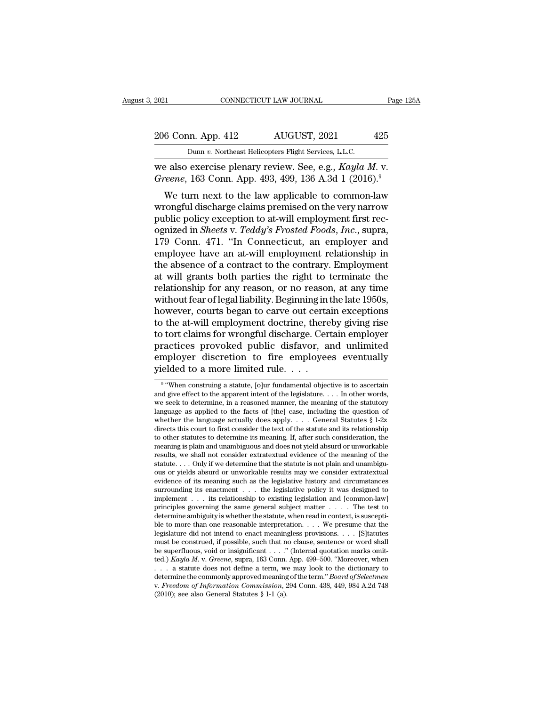## 2021 CONNECTICUT LAW JOURNAL Page 125A<br>206 Conn. App. 412 AUGUST, 2021 425<br>Dunn v. Northeast Helicopters Flight Services, L.L.C. 2021 CONNECTICUT LAW JOURNAL<br>
206 Conn. App. 412 AUGUST, 2021 425<br>
Dunn *v.* Northeast Helicopters Flight Services, L.L.C.<br>
we also exercise plenary review. See, e.g., *Kayla M.* v.

Eq. 2021 CONNECTICUT LAW JOURNAL Page 12<br>
206 Conn. App. 412 AUGUST, 2021 425<br>
Dunn v. Northeast Helicopters Flight Services, L.L.C.<br>
we also exercise plenary review. See, e.g., *Kayla M. v.*<br> *Greene*, 163 Conn. App. 493, <sup>206</sup> Conn. App. 412 *AUGUST*, 2021 425<br>
<sup>Dunn v. Northeast Helicopters Flight Services, L.L.C.<br>
we also exercise plenary review. See, e.g., *Kayla M.* v.<br> *Greene*, 163 Conn. App. 493, 499, 136 A.3d 1 (2016).<sup>9</sup><br>
We turn </sup>

6 Conn. App. 412 AUGUST, 2021 425<br>
Dunn v. Northeast Helicopters Flight Services, L.L.C.<br>
2 also exercise plenary review. See, e.g., *Kayla M.* v.<br> *veene*, 163 Conn. App. 493, 499, 136 A.3d 1 (2016).<sup>9</sup><br>
We turn next to 206 Conn. App. 412 AUGUST, 2021 425<br>
Dunn v. Northeast Helicopters Flight Services, L.L.C.<br>
we also exercise plenary review. See, e.g., *Kayla M. v.*<br> *Greene*, 163 Conn. App. 493, 499, 136 A.3d 1 (2016).<sup>9</sup><br>
We turn next **Dunn v. Northeast Helicopters Flight Services, L.L.C.**<br>
we also exercise plenary review. See, e.g., *Kayla M. v.*<br> *Greene*, 163 Conn. App. 493, 499, 136 A.3d 1 (2016).<sup>9</sup><br>
We turn next to the law applicable to common-la we also exercise plenary review. See, e.g., *Kayla M. v.*<br>Greene, 163 Conn. App. 493, 499, 136 A.3d 1 (2016).<sup>9</sup><br>We turn next to the law applicable to common-law<br>wrongful discharge claims premised on the very narrow<br>public we also exercise pienary review. see, e.g., *Kayla M. V.*<br> *Greene*, 163 Conn. App. 493, 499, 136 A.3d 1 (2016).<sup>9</sup><br>
We turn next to the law applicable to common-law<br>
wrongful discharge claims premised on the very narrow<br> We turn next to the law applicable to common-law<br>wrongful discharge claims premised on the very narrow<br>public policy exception to at-will employment first rec-<br>ognized in *Sheets v. Teddy's Frosted Foods, Inc.*, supra,<br>179 We turn next to the law applicable to common-law<br>wrongful discharge claims premised on the very narrow<br>public policy exception to at-will employment first rec-<br>ognized in *Sheets* v. *Teddy's Frosted Foods*, *Inc.*, supra, wrongful discharge claims premised on the very narrow<br>public policy exception to at-will employment first rec-<br>ognized in *Sheets* v. *Teddy's Frosted Foods*, *Inc.*, supra,<br>179 Conn. 471. "In Connecticut, an employer and<br> public policy exception to at-will employment first rec-<br>ognized in *Sheets v. Teddy's Frosted Foods, Inc.*, supra,<br>179 Conn. 471. "In Connecticut, an employer and<br>employee have an at-will employment relationship in<br>the ab ognized in *Sheets* v. *Teddy's Frosted Foods, Inc.*, supra, 179 Conn. 471. "In Connecticut, an employer and employee have an at-will employment relationship in the absence of a contract to the contrary. Employment at will 179 Conn. 471. "In Connecticut, an employer and<br>employee have an at-will employment relationship in<br>the absence of a contract to the contrary. Employment<br>at will grants both parties the right to terminate the<br>relationship employee have an at-will employment relationship in<br>the absence of a contract to the contrary. Employment<br>at will grants both parties the right to terminate the<br>relationship for any reason, or no reason, at any time<br>withou the absence of a contract to the contrary. Employment<br>at will grants both parties the right to terminate the<br>relationship for any reason, or no reason, at any time<br>without fear of legal liability. Beginning in the late 195 at will grants both parties the right to terminate the<br>relationship for any reason, or no reason, at any time<br>without fear of legal liability. Beginning in the late 1950s,<br>however, courts began to carve out certain excepti relationship for any reason, or no reason, at any time<br>without fear of legal liability. Beginning in the late 1950s,<br>however, courts began to carve out certain exceptions<br>to the at-will employment doctrine, thereby giving without fear of legal liability. Beginning in<br>however, courts began to carve out certa<br>to the at-will employment doctrine, there<br>to tort claims for wrongful discharge. Cer<br>practices provoked public disfavor, a<br>employer dis fort claims for wrongful discharge. Certain employer<br>actices provoked public disfavor, and unlimited<br>uployer discretion to fire employees eventually<br>elded to a more limited rule....<br>"When construing a statute, [o]ur fundam practices provoked public disfavor, and unlimited<br>employer discretion to fire employees eventually<br>yielded to a more limited rule. . . .<br><sup>9</sup> "When construing a statute, [o]ur fundamental objective is to ascertain<br>and give

 $9\ ^{\prime\prime}$ Who employer discretion to fire employees eventually<br>
yielded to a more limited rule....<br>
<sup>9</sup> "When construing a statute, [o]ur fundamental objective is to ascertain<br>
and give effect to the apparent intent of the legislature. gielded to a more limited rule. . . .<br>
wielded to a more limited rule. . . .<br>
wielded to a more limited rule. . . .<br>
wie when construing a statute, [o]ur fundamental objective is to ascertain<br>
and give effect to the appar yielded to a more limited rule. . . . .<br>
<sup>9</sup> "When construing a statute, [o]ur fundamental objective is to ascertain<br>
and give effect to the apparent intent of the legislature. . . . In other words,<br>
we seek to determine, <sup>9</sup> "When construing a statute, [o]ur fundamental objective is to ascertain and give effect to the apparent intent of the legislature. . . . In other words, we seek to determine, in a reasoned manner, the meaning of the s <sup>9</sup> "When construing a statute,  $[0]$ ur fundamental objective is to ascertain and give effect to the apparent intent of the legislature. . . . In other words, we seek to determine, in a reasoned manner, the meaning of the and give effect to the apparent intent of the legislature. . . . In other words, we seek to determine, in a reasoned manner, the meaning of the statutory language as applied to the facts of [the] case, including the quest we seek to determine, in a reasoned manner, the meaning of the statutory language as applied to the facts of [the] case, including the question of whether the language actually does apply. . . . General Statutes § 1-2z di language as applied to the facts of [the] case, including the question of whether the language actually does apply. . . . General Statutes § 1-2z directs this court to first consider the text of the statute and its relati whether the language actually does apply.  $\ldots$  General Statutes § 1-2z directs this court to first consider the text of the statute and its relationship to other statutes to determine its meaning. If, after such consider directs this court to first consider the text of the statute and its relationship<br>to other statutes to determine its meaning. If, after such consideration, the<br>meaning is plain and unambiguous and does not yield absurd or to other statutes to determine its meaning. If, after such consideration, the meaning is plain and unambiguous and does not yield absurd or unworkable results, we shall not consider extratextual evidence of the meaning of meaning is plain and unambiguous and does not yield absurd or unworkable<br>results, we shall not consider extratextual evidence of the meaning of the<br>statute....Only if we determine that the statute is not plain and unambig results, we shall not consider extratextual evidence of the meaning of the statute. . . . Only if we determine that the statute is not plain and unambiguous or yields absurd or unworkable results may we consider extratext statute.... Only if we determine that the statute is not plain and unambiguous or yields absurd or unworkable results may we consider extratextual evidence of its meaning such as the legislative history and circumstances ous or yields absurd or unworkable results may we consider extratextual<br>evidence of its meaning such as the legislative history and circumstances<br>surrounding its enactment . . . the legislative policy it was designed to<br>i evidence of its meaning such as the legislative history and circumstances<br>surrounding its enactment . . . the legislative policy it was designed to<br>implement . . . its relationship to existing legislation and [common-law] surrounding its enactment  $\ldots$  the legislative policy it was designed to implement  $\ldots$  its relationship to existing legislation and [common-law] principles governing the same general subject matter  $\ldots$ . The test to d implement . . . its relationship to existing legislation and [common-law] principles governing the same general subject matter . . . . The test to determine ambiguity is whether the statute, when read in context, is susce principles governing the same general subject matter  $\ldots$ . The test to determine ambiguity is whether the statute, when read in context, is susceptible to more than one reasonable interpretation.  $\ldots$  We presume that th determine ambiguity is whether the statute, when read in context, is suscepti-<br>ble to more than one reasonable interpretation. . . . We presume that the<br>legislature did not intend to enact meaningless provisions. . . . [S ble to more than one reasonable interpretation. . . . . We presume that the legislature did not intend to enact meaningless provisions. . . . [S]tatutes must be construed, if possible, such that no clause, sentence or word legislature did not intend to enact meaningless provisions. . . . [S]tatutes must be construed, if possible, such that no clause, sentence or word shall be superfluous, void or insignificant . . . ." (Internal quotation ma must be construed, if possible, such that no clause, sentence or word shall be superfluous, void or insignificant . . . . " (Internal quotation marks omitted.) *Kayla M.v. Greene*, supra, 163 Conn. App. 499–500. "Moreover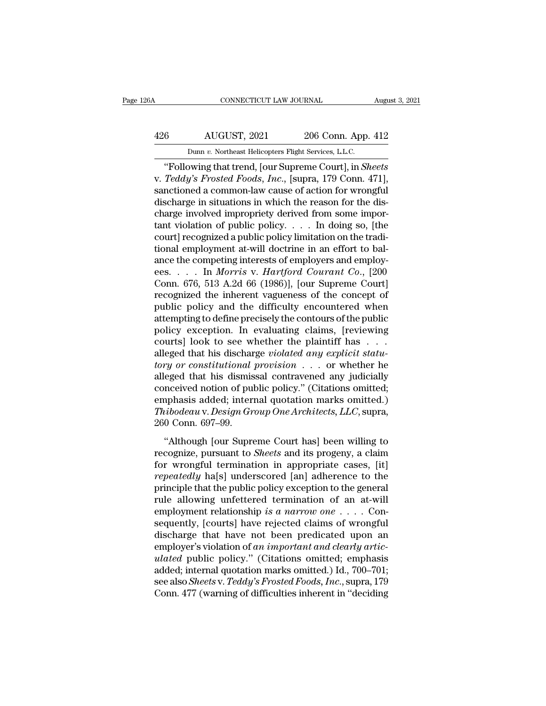## CONNECTICUT LAW JOURNAL August 3, 2021<br>
426 AUGUST, 2021 206 Conn. App. 412<br>
Dunn v. Northeast Helicopters Flight Services, L.L.C. CONNECTICUT LAW JOURNAL Augu $\begin{tabular}{c} AUGUST, 2021 \qquad \qquad 206 \text{ Conn. App. 412} \\ \text{Dunn } v. \text{ Northeast Helicopters Flight Services, L.L.C.} \end{tabular}$

CONNECTICUT LAW JOURNAL<br>
AUGUST, 2021 206 Conn. App. 412<br>
Dunn v. Northeast Helicopters Flight Services, L.L.C.<br>
"Following that trend, [our Supreme Court], in *Sheets*<br>
Teddy's Frosted Foods, Inc., [supra, 179 Conn. 471], AUGUST, 2021 206 Conn. App. 412<br>
Dunn v. Northeast Helicopters Flight Services, L.L.C.<br>
"Following that trend, [our Supreme Court], in *Sheets*<br>
v. *Teddy's Frosted Foods*, *Inc.*, [supra, 179 Conn. 471],<br>
sanctioned a com 426 AUGUST, 2021 206 Conn. App. 412<br>
Dunn v. Northeast Helicopters Flight Services, L.L.C.<br>
"Following that trend, [our Supreme Court], in *Sheets*<br>
v. *Teddy's Frosted Foods, Inc.*, [supra, 179 Conn. 471],<br>
sanctioned a 426 AUGUST, 2021 206 Conn. App. 412<br>
Dunn v. Northeast Helicopters Flight Services, L.L.C.<br>
"Following that trend, [our Supreme Court], in *Sheets*<br>
v. *Teddy's Frosted Foods, Inc.*, [supra, 179 Conn. 471],<br>
sanctioned a c Dunn v. Northeast Helicopters Flight Services, L.L.C.<br>
"Following that trend, [our Supreme Court], in *Sheets*<br>
v. *Teddy's Frosted Foods, Inc.*, [supra, 179 Conn. 471],<br>
sanctioned a common-law cause of action for wrongfu bunn v. Northeast Helicopters Fight Services, L.L.C.<br>
"Following that trend, [our Supreme Court], in *Sheets*<br>
v. Teddy's Frosted Foods, Inc., [supra, 179 Conn. 471],<br>
sanctioned a common-law cause of action for wrongful<br> "Following that trend, [our Supreme Court], in *Sheets*<br>v. Teddy's Frosted Foods, Inc., [supra, 179 Conn. 471],<br>sanctioned a common-law cause of action for wrongful<br>discharge in situations in which the reason for the disv. *Teddy's Frosted Foods, Inc.*, [supra, 179 Conn. 471],<br>sanctioned a common-law cause of action for wrongful<br>discharge in situations in which the reason for the dis-<br>charge involved impropriety derived from some impor-<br> sanctioned a common-law cause of action for wrongful<br>discharge in situations in which the reason for the dis-<br>charge involved impropriety derived from some impor-<br>tant violation of public policy  $\dots$ . In doing so, [the<br>co discharge in situations in which the reason for the discharge involved impropriety derived from some important violation of public policy. . . . In doing so, [the court] recognized a public policy limitation on the traditi charge involved impropriety derived from some important violation of public policy. . . . In doing so, [the court] recognized a public policy limitation on the traditional employment at-will doctrine in an effort to balan tant violation of public policy. . . . In doing so, [the<br>court] recognized a public policy limitation on the tradi-<br>tional employment at-will doctrine in an effort to bal-<br>ance the competing interests of employers and emp court] recognized a public policy limitation on the traditional employment at-will doctrine in an effort to bal-<br>ance the competing interests of employers and employ-<br>ees. . . . . In *Morris v. Hartford Courant Co.*, [200<br> tional employment at-will doctrine in an effort to bal-<br>ance the competing interests of employers and employ-<br>ees. . . . . In *Morris v. Hartford Courant Co.*, [200<br>Conn. 676, 513 A.2d 66 (1986)], [our Supreme Court]<br>reco ance the competing interests of employers and employ-<br>ees. . . . In *Morris* v. *Hartford Courant Co.*, [200<br>Conn. 676, 513 A.2d 66 (1986)], [our Supreme Court]<br>recognized the inherent vagueness of the concept of<br>public p ees. . . . . In *Morris* v. *Hartford Courant Co.*, [200<br>Conn. 676, 513 A.2d 66 (1986)], [our Supreme Court]<br>recognized the inherent vagueness of the concept of<br>public policy and the difficulty encountered when<br>attempting Conn. 676, 513 A.2d 66 (1986)], [our Supreme Court]<br>recognized the inherent vagueness of the concept of<br>public policy and the difficulty encountered when<br>attempting to define precisely the contours of the public<br>policy exc recognized the inherent vagueness of the concept of<br>public policy and the difficulty encountered when<br>attempting to define precisely the contours of the public<br>policy exception. In evaluating claims, [reviewing<br>courts] loo public policy and the difficulty encountered when<br>attempting to define precisely the contours of the public<br>policy exception. In evaluating claims, [reviewing<br>courts] look to see whether the plaintiff has . . .<br>alleged tha attempting to define precisely the contours of the public<br>policy exception. In evaluating claims, [reviewing<br>courts] look to see whether the plaintiff has . . .<br>alleged that his discharge violated any explicit statu-<br>tory policy exception. In evaluating claims, [reviewing<br>courts] look to see whether the plaintiff has . . .<br>alleged that his discharge *violated any explicit statu-<br>tory or constitutional provision* . . . or whether he<br>alleged courts] look to see whether the plaintiff has . . . alleged that his discharge *violated any explicit statu-tory or constitutional provision* . . . or whether he alleged that his dismissal contravened any judicially concei alleged that his dischar<br> *tory or constitutional*<br>
alleged that his dismis<br>
conceived notion of pul<br>
emphasis added; inter<br>
Thibodeau v. Design Gr<br>
260 Conn. 697–99.<br>
"Although [our Supre g or concretational processor.  $\ldots$  or wheater he<br>eged that his dismissal contravened any judicially<br>neeived notion of public policy." (Citations omitted,<br>nphasis added; internal quotation marks omitted.)<br>ibodeau v. Desi records and the distribution of public policy." (Citations omitted;<br>
emphasis added; internal quotation marks omitted.)<br>
Thibodeau v. Design Group One Architects, LLC, supra,<br>
260 Conn. 697–99.<br>
"Although [our Supreme Cour

emphasis added; internal quotation marks omitted.)<br>
Thibodeau v. Design Group One Architects, LLC, supra,<br>
260 Conn. 697–99.<br>
"Although [our Supreme Court has] been willing to<br>
recognize, pursuant to *Sheets* and its proge *Thibodeau v. Design Group One Architects, LLC,* supra,<br>260 Conn. 697–99.<br>
"Although [our Supreme Court has] been willing to<br>
recognize, pursuant to *Sheets* and its progeny, a claim<br>
for wrongful termination in appropriat principle that the public policinalistics, the public policinal controlling to recognize, pursuant to *Sheets* and its progeny, a claim for wrongful termination in appropriate cases, [it] repeatedly ha[s] underscored [an] "Although [our Supreme Court has] been willing to<br>recognize, pursuant to *Sheets* and its progeny, a claim<br>for wrongful termination in appropriate cases, [it]<br>*repeatedly* ha[s] underscored [an] adherence to the<br>principle "Although [our Supreme Court has] been willing to<br>recognize, pursuant to *Sheets* and its progeny, a claim<br>for wrongful termination in appropriate cases, [it]<br>*repeatedly* ha[s] underscored [an] adherence to the<br>principle recognize, pursuant to *Sheets* and its progeny, a claim<br>for wrongful termination in appropriate cases, [it]<br>*repeatedly* ha[s] underscored [an] adherence to the<br>principle that the public policy exception to the general<br>r for wrongful termination in appropriate cases, [it]<br>*repeatedly* ha[s] underscored [an] adherence to the<br>principle that the public policy exception to the general<br>rule allowing unfettered termination of an at-will<br>employm repeatedly ha[s] underscored [an] adherence to the<br>principle that the public policy exception to the general<br>rule allowing unfettered termination of an at-will<br>employment relationship is a narrow one . . . . Con-<br>sequently principle that the public policy exception to the general<br>rule allowing unfettered termination of an at-will<br>employment relationship is a narrow one . . . . Con-<br>sequently, [courts] have rejected claims of wrongful<br>dischar rule allowing unfettered termination of an at-will<br>employment relationship *is a narrow one* . . . . Con-<br>sequently, [courts] have rejected claims of wrongful<br>discharge that have not been predicated upon an<br>employer's vio employment relationship *is a narrow one* . . . . Consequently, [courts] have rejected claims of wrongful discharge that have not been predicated upon an employer's violation of *an important and clearly articulated* publi sequently, [courts] have rejected claims of wrongful<br>discharge that have not been predicated upon an<br>employer's violation of *an important and clearly artic-<br>ulated* public policy." (Citations omitted; emphasis<br>added; inte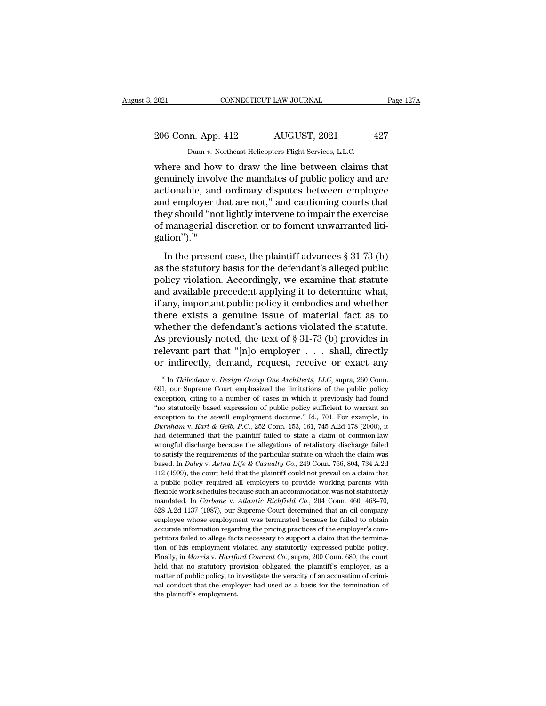## 2021 CONNECTICUT LAW JOURNAL Page 127A<br>206 Conn. App. 412 AUGUST, 2021 427<br>Dunn v. Northeast Helicopters Flight Services, L.L.C. Example 2021 CONNECTICUT LAW JOURNAL<br>206 Conn. App. 412 AUGUST, 2021 427<br>Dunn *v.* Northeast Helicopters Flight Services, L.L.C.<br>where and how to draw the line between claims that

CONNECTICUT LAW JOURNAL Page 1271<br>
206 Conn. App. 412 AUGUST, 2021 427<br>
Dunn v. Northeast Helicopters Flight Services, L.L.C.<br>
where and how to draw the line between claims that<br>
genuinely involve the mandates of public po 206 Conn. App. 412 AUGUST, 2021 427<br>
Dunn v. Northeast Helicopters Flight Services, L.L.C.<br>
where and how to draw the line between claims that<br>
genuinely involve the mandates of public policy and are<br>
actionable, and ordin 206 Conn. App. 412 AUGUST, 2021 427<br>
Dunn v. Northeast Helicopters Flight Services, L.L.C.<br>
where and how to draw the line between claims that<br>
genuinely involve the mandates of public policy and are<br>
actionable, and ordi 206 Conn. App. 412 AUGUST, 2021 427<br>
Dunn v. Northeast Helicopters Flight Services, L.L.C.<br>
where and how to draw the line between claims that<br>
genuinely involve the mandates of public policy and are<br>
actionable, and ordi Dunn *v*. Northeast Helicopters Flight Services, L.L.C.<br>where and how to draw the line between claims that<br>genuinely involve the mandates of public policy and are<br>actionable, and ordinary disputes between employee<br>and emp bunn  $v$ . Normeast Helcopiers Fight Services, L.L.C.<br>where and how to draw the line between claims that<br>genuinely involve the mandates of public policy and are<br>actionable, and ordinary disputes between employee<br>and employ gation"). $^{10}$ Finally example, and ordinary disputes between employee<br>
Itionable, and ordinary disputes between employee<br>
Ithe present case, the plaintiff advances § 31-73 (b)<br>
In the present case, the plaintiff advances § 31-73 (b)<br>
t and employer that are not," and cautioning courts that<br>they should "not lightly intervene to impair the exercise<br>of managerial discretion or to foment unwarranted liti-<br>gation").<sup>10</sup><br>In the present case, the plaintiff adv

policy violation. Accordingly, we examine that statute and available precedent applying it to determine what,<br>if any important case, the plaintiff advances  $\S 31-73$  (b)<br>as the statutory basis for the defendant's alleged of managerial discretion or to foment unwarranted litigation").<sup>10</sup><br>In the present case, the plaintiff advances  $\S 31-73$  (b)<br>as the statutory basis for the defendant's alleged public<br>policy violation. Accordingly, we exa gation").<sup>10</sup><br>In the present case, the plaintiff advances  $\S 31-73$  (b)<br>as the statutory basis for the defendant's alleged public<br>policy violation. Accordingly, we examine that statute<br>and available precedent applying it In the present case, the plaintiff advances  $\S 31-73$  (b)<br>as the statutory basis for the defendant's alleged public<br>policy violation. Accordingly, we examine that statute<br>and available precedent applying it to determine w In the present case, the plaintiff advances  $\S 31-73$  (b)<br>as the statutory basis for the defendant's alleged public<br>policy violation. Accordingly, we examine that statute<br>and available precedent applying it to determine w as the statutory basis for the defendant's alleged public<br>policy violation. Accordingly, we examine that statute<br>and available precedent applying it to determine what,<br>if any, important public policy it embodies and wheth policy violation. Accordingly, we examine that statute<br>and available precedent applying it to determine what,<br>if any, important public policy it embodies and whether<br>there exists a genuine issue of material fact as to<br>whet and available precedent applying it to determine what,<br>if any, important public policy it embodies and whether<br>there exists a genuine issue of material fact as to<br>whether the defendant's actions violated the statute.<br>As p nether the detendant's actions violated the statute.<br>
s previously noted, the text of § 31-73 (b) provides in<br>
levant part that "[n]o employer . . . shall, directly<br>
r indirectly, demand, request, receive or exact any<br>
<sup>10</sup> As previously noted, the text of § 31-73 (b) provides in relevant part that "[n]o employer . . . shall, directly or indirectly, demand, request, receive or exact any  $\frac{10 \text{ In } Thibodeau \text{ v.} Design Group One Architects, LLC, supra, 260 Conn.}$  691, our Suprem

relevant part that "[n]o employer . . . shall, directly<br>or indirectly, demand, request, receive or exact any<br> $\frac{10 \text{ In } Thibodeau \text{ v.} Design Group One Architect, LLC, supra, 260 \text{ Conn.}}{691, \text{ our Supreme Court emphasized the limitations of the public policy  
exception, citing to a number of cases in which it previously had found  
"no statutorily based expression of public policy sufficient to warrant an$ or indirectly, demand, request, receive or exact any<br>
<sup>10</sup> In *Thibodeau v. Design Group One Architects, LLC*, supra, 260 Conn.<br>
691, our Supreme Court emphasized the limitations of the public policy<br>
exception, citing to <sup>10</sup> In *Thibodeau v. Design Group One Architects, LLC*, supra, 260 Conn.<br>691, our Supreme Court emphasized the limitations of the public policy<br>exception, citing to a number of cases in which it previously had found<br>"no <sup>10</sup> In *Thibodeau* v. *Design Group One Architects, LLC*, supra, 260 Conn. 691, our Supreme Court emphasized the limitations of the public policy exception, citing to a number of cases in which it previously had found "no 691, our Supreme Court emphasized the limitations of the public policy exception, citing to a number of cases in which it previously had found "no statutorily based expression of public policy sufficient to warrant an exc exception, citing to a number of cases in which it previously had found "no statutorily based expression of public policy sufficient to warrant an exception to the at-will employment doctrine." Id., 701. For example, in exception, citing to a number of cases in which it previously had found "no statutorily based expression of public policy sufficient to warrant an exception to the at-will employment doctrine." Id., 701. For example, in exception to the at-will employment doctrine." Id., 701. For example, in<br>*Burnham v. Karl & Gelb*, *P.C.*, 252 Conn. 153, 161, 745 A.2d 178 (2000), it<br>had determined that the plaintiff failed to state a claim of common-law Burnham v. Karl & Gelb, P.C., 252 Conn. 153, 161, 745 A.2d 178 (2000), it had determined that the plaintiff failed to state a claim of common-law wrongful discharge because the allegations of retaliatory discharge failed and determined that the plaintiff failed to state a claim of common-law<br>wrongful discharge because the allegations of retaliatory discharge failed<br>to satisfy the requirements of the particular statute on which the claim w wrongful discharge because the allegations of retaliatory discharge failed to satisfy the requirements of the particular statute on which the claim was based. In *Daley v. Aetna Life & Casualty Co.*, 249 Conn. 766, 804, 7 monglar discribe the different of the particular statute on which the claim was based. In *Daley v. Aetna Life & Casualty Co.*, 249 Conn. 766, 804, 734 A.2d 112 (1999), the court held that the plaintiff could not prevail o based. In *Daley v. Aetna Life & Casualty Co.*, 249 Conn. 766, 804, 734 A.2d 112 (1999), the court held that the plaintiff could not prevail on a claim that a public policy required all employers to provide working parent 112 (1999), the court held that the plaintiff could not prevail on a claim that a public policy required all employers to provide working parents with flexible work schedules because such an accommodation was not statutor accurate information regarding the provide working parents with flexible work schedules because such an accommodation was not statutorily mandated. In *Carbone* v. *Atlantic Richfield Co.*, 204 Conn. 460, 468–70, 528 A.2d flexible work schedules because such an accommodation was not statutorily mandated. In *Carbone* v. *Atlantic Richfield Co.*, 204 Conn. 460, 468–70, 528 A.2d 1137 (1987), our Suppreme Court determined that an oil company e mandated. In *Carbone* v. *Atlantic Richfield Co.*, 204 Conn. 460, 468-70, 528 A.2d 1137 (1987), our Supreme Court determined that an oil company employee whose employment was terminated because he failed to obtain accurat 528 A.2d 1137 (1987), our Supreme Court determined that an oil company employee whose employment was terminated because he failed to obtain accurate information regarding the pricing practices of the employer's competitors employee whose employment was terminated because he failed to obtain<br>accurate information regarding the pricing practices of the employer's com-<br>petitors failed to allege facts necessary to support a claim that the termina accurate information regarding the pricing practices of the employer's competitors failed to allege facts necessary to support a claim that the termination of his employment violated any statutorily expressed public polic petitors failed to allege facts necessary to support a claim that the termination of his employment violated any statutorily expressed public policy.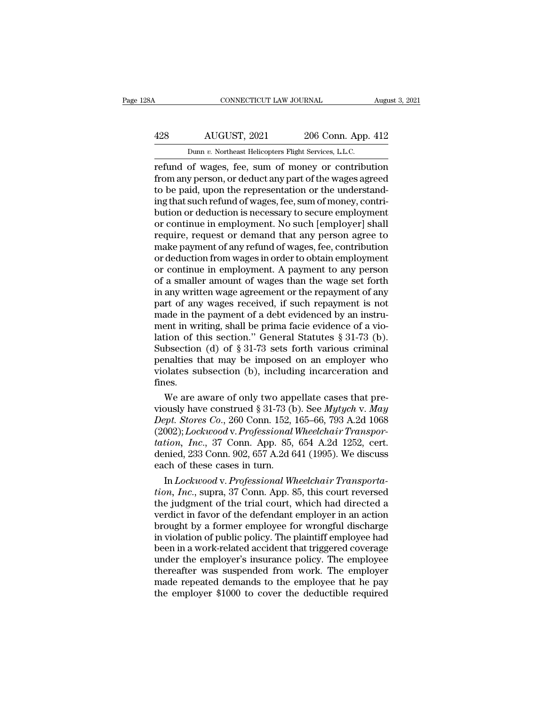## CONNECTICUT LAW JOURNAL August 3, 2021<br>
428 AUGUST, 2021 206 Conn. App. 412<br>
Dunn v. Northeast Helicopters Flight Services, L.L.C. CONNECTICUT LAW JOURNAL Augu<br>
AUGUST, 2021 206 Conn. App. 412<br>
Dunn *v.* Northeast Helicopters Flight Services, L.L.C.<br>
Tefund of wages, fee, sum of money or contribution

CONNECTICUT LAW JOURNAL August 3, 2021<br>
AUGUST, 2021 206 Conn. App. 412<br>
Dunn v. Northeast Helicopters Flight Services, L.L.C.<br>
Tefund of wages, fee, sum of money or contribution<br>
from any person, or deduct any part of the 428 AUGUST, 2021 206 Conn. App. 412<br>
Dunn v. Northeast Helicopters Flight Services, L.L.C.<br>
Tefund of wages, fee, sum of money or contribution<br>
from any person, or deduct any part of the wages agreed<br>
to be paid, upon the 428 AUGUST, 2021 206 Conn. App. 412<br>
Dunn v. Northeast Helicopters Flight Services, L.L.C.<br>
Tefund of wages, fee, sum of money or contribution<br>
from any person, or deduct any part of the wages agreed<br>
to be paid, upon the  $\frac{428}{p_{\text{num } v. \text{ Northeast Helicopters Flight Services, L.L.C.}}$ <br>
Dunn  $v. \text{ Northeast Helicopters Flight Services, L.L.C.}$ <br>
refund of wages, fee, sum of money or contribution<br>
from any person, or deduct any part of the wages agreed<br>
to be paid, upon the representation or the bunn v. Northeast Helicopters Flight Services, L.L.C.<br>
refund of wages, fee, sum of money or contribution<br>
from any person, or deduct any part of the wages agreed<br>
to be paid, upon the representation or the understand-<br>
in Dunn v. Northeast Helicopters Flight Services, L.L.C.<br>
refund of wages, fee, sum of money or contribution<br>
from any person, or deduct any part of the wages agreed<br>
to be paid, upon the representation or the understand-<br>
i refund of wages, fee, sum of money or contribution<br>from any person, or deduct any part of the wages agreed<br>to be paid, upon the representation or the understand-<br>ing that such refund of wages, fee, sum of money, contri-<br>bu from any person, or deduct any part of the wages agreed<br>to be paid, upon the representation or the understand-<br>ing that such refund of wages, fee, sum of money, contri-<br>bution or deduction is necessary to secure employment to be paid, upon the representation or the understand-<br>ing that such refund of wages, fee, sum of money, contri-<br>bution or deduction is necessary to secure employment<br>or continue in employment. No such [employer] shall<br>req ing that such refund of wages, fee, sum of money, contribution or deduction is necessary to secure employment<br>or continue in employment. No such [employer] shall<br>require, request or demand that any person agree to<br>make pay bution or deduction is necessary to secure employment<br>or continue in employment. No such [employer] shall<br>require, request or demand that any person agree to<br>make payment of any refund of wages, fee, contribution<br>or deduct or continue in employment. No such [employer] shall<br>require, request or demand that any person agree to<br>make payment of any refund of wages, fee, contribution<br>or deduction from wages in order to obtain employment<br>or contin require, request or demand that any person agree to<br>make payment of any refund of wages, fee, contribution<br>or deduction from wages in order to obtain employment<br>or continue in employment. A payment to any person<br>of a small make payment of any refund of wages, fee, contribution<br>or deduction from wages in order to obtain employment<br>or continue in employment. A payment to any person<br>of a smaller amount of wages than the wage set forth<br>in any wr or deduction from wages in order to obtain employment<br>or continue in employment. A payment to any person<br>of a smaller amount of wages than the wage set forth<br>in any written wage agreement or the repayment of any<br>part of a or continue in employment. A payment to any person<br>of a smaller amount of wages than the wage set forth<br>in any written wage agreement or the repayment of any<br>part of any wages received, if such repayment is not<br>made in the of a smaller amount of wages than the wage set forth<br>in any written wage agreement or the repayment of any<br>part of any wages received, if such repayment is not<br>made in the payment of a debt evidenced by an instru-<br>ment in in any written wage agreement or the repayment of any<br>part of any wages received, if such repayment is not<br>made in the payment of a debt evidenced by an instru-<br>ment in writing, shall be prima facie evidence of a vio-<br>lat part of any wages received, if such repayment is not<br>made in the payment of a debt evidenced by an instru-<br>ment in writing, shall be prima facie evidence of a vio-<br>lation of this section." General Statutes  $\S 31-73$  (b).<br> fines. ent in writing, shall be prima facie evidence of a vio-<br>tion of this section." General Statutes § 31-73 (b).<br>bbsection (d) of § 31-73 sets forth various criminal<br>nalties that may be imposed on an employer who<br>olates subse lation of this section." General Statutes § 31-73 (b).<br>Subsection (d) of § 31-73 sets forth various criminal<br>penalties that may be imposed on an employer who<br>violates subsection (b), including incarceration and<br>fines.<br>We a

Subsection (d) of § 31-73 sets forth various criminal<br>penalties that may be imposed on an employer who<br>violates subsection (b), including incarceration and<br>fines.<br>We are aware of only two appellate cases that pre-<br>viously penalties that may be imposed on an employer who<br>violates subsection (b), including incarceration and<br>fines.<br>We are aware of only two appellate cases that pre-<br>viously have construed § 31-73 (b). See *Mytych* v. *May*<br>Dept violates subsection (b), including incarceration and<br>fines.<br>We are aware of only two appellate cases that pre-<br>viously have construed § 31-73 (b). See *Mytych v. May*<br>*Dept. Stores Co.*, 260 Conn. 152, 165–66, 793 A.2d 106 fines.<br>
We are aware of only two appellate cases that pre-<br>
viously have construed § 31-73 (b). See *Mytych v. May*<br> *Dept. Stores Co.*, 260 Conn. 152, 165–66, 793 A.2d 1068<br>
(2002); *Lockwood v. Professional Wheelchair Tr* We are aware of only two app<br>viously have construed § 31-73 (b<br>Dept. Stores Co., 260 Conn. 152, 1<br>(2002); Lockwood v. Professional<br>tation, Inc., 37 Conn. App. 85,<br>denied, 233 Conn. 902, 657 A.2d 6<br>each of these cases in tu busly have construed § 31-73 (b). See *Mytych v. May*<br>*ppt. Stores Co.*, 260 Conn. 152, 165–66, 793 A.2d 1068<br>002); *Lockwood v. Professional Wheelchair Transportion, Inc.*, 37 Conn. App. 85, 654 A.2d 1252, cert.<br>nied, 233 *Dept. Stores Co.*, 260 Conn. 152, 165–66, 793 A.2d 1068<br>(2002); *Lockwood* v. *Professional Wheelchair Transportation, Inc.*, 37 Conn. App. 85, 654 A.2d 1252, cert.<br>denied, 233 Conn. 902, 657 A.2d 641 (1995). We discuss<br>e

(2002); Lockwood v. Professional Wheelchair Transportation, Inc., 37 Conn. App. 85, 654 A.2d 1252, cert.<br>denied, 233 Conn. 902, 657 A.2d 641 (1995). We discuss<br>each of these cases in turn.<br>In Lockwood v. Professional Whee tation, Inc., 37 Conn. App. 85, 654 A.2d 1252, cert.<br>denied, 233 Conn. 902, 657 A.2d 641 (1995). We discuss<br>each of these cases in turn.<br>In *Lockwood* v. Professional Wheelchair Transporta-<br>tion, Inc., supra, 37 Conn. App. denied, 233 Conn. 902, 657 A.2d 641 (1995). We discuss<br>each of these cases in turn.<br>In *Lockwood* v. *Professional Wheelchair Transporta-<br>tion, Inc.*, supra, 37 Conn. App. 85, this court reversed<br>the judgment of the trial each of these cases in turn.<br>
In *Lockwood* v. *Professional Wheelchair Transporta-<br>
tion, Inc.*, supra, 37 Conn. App. 85, this court reversed<br>
the judgment of the trial court, which had directed a<br>
verdict in favor of the In *Lockwood* v. *Professional Wheelchair Transporta-<br>tion, Inc., supra, 37 Conn. App. 85, this court reversed<br>the judgment of the trial court, which had directed a<br>verdict in favor of the defendant employer in an action<br>b* tion, Inc., supra, 37 Conn. App. 85, this court reversed<br>the judgment of the trial court, which had directed a<br>verdict in favor of the defendant employer in an action<br>brought by a former employee for wrongful discharge<br>in the judgment of the trial court, which had directed a<br>verdict in favor of the defendant employer in an action<br>brought by a former employee for wrongful discharge<br>in violation of public policy. The plaintiff employee had<br>be verdict in favor of the defendant employer in an action<br>brought by a former employee for wrongful discharge<br>in violation of public policy. The plaintiff employee had<br>been in a work-related accident that triggered coverage<br> brought by a former employee for wrongful discharge<br>in violation of public policy. The plaintiff employee had<br>been in a work-related accident that triggered coverage<br>under the employer's insurance policy. The employee<br>ther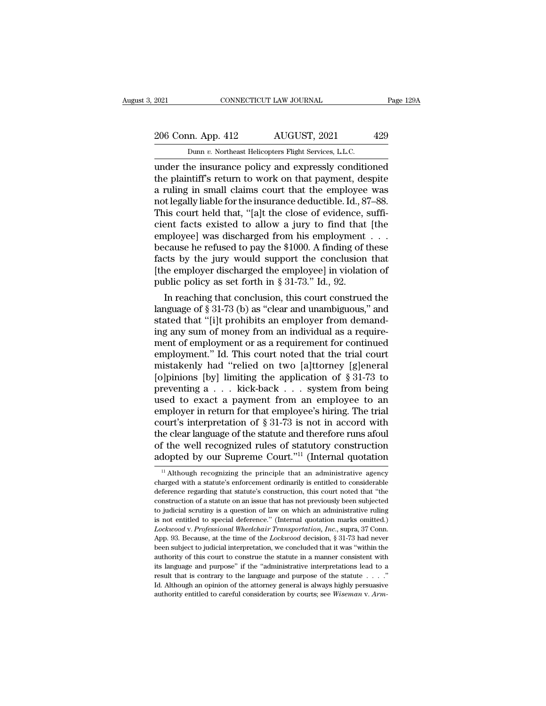# 2021 CONNECTICUT LAW JOURNAL Page 129A<br>206 Conn. App. 412 AUGUST, 2021 429<br>Dunn v. Northeast Helicopters Flight Services, L.L.C.

EXECUTE 2021 CONNECTICUT LAW JOURNAL<br>
206 Conn. App. 412 AUGUST, 2021 429<br>
Dunn *v.* Northeast Helicopters Flight Services, L.L.C.<br>
under the insurance policy and expressly conditioned EXECUTE 2021 CONNECTICUT LAW JOURNAL Page 129A<br>
206 Conn. App. 412 AUGUST, 2021 429<br>
Dunn v. Northeast Helicopters Flight Services, L.L.C.<br>
2011 Under the insurance policy and expressly conditioned<br>
the plaintiff's return 206 Conn. App. 412 AUGUST, 2021 429<br>
Dunn v. Northeast Helicopters Flight Services, L.L.C.<br>
under the insurance policy and expressly conditioned<br>
the plaintiff's return to work on that payment, despite<br>
a ruling in small c 206 Conn. App. 412 AUGUST, 2021 429<br>
Dunn v. Northeast Helicopters Flight Services, L.L.C.<br>
under the insurance policy and expressly conditioned<br>
the plaintiff's return to work on that payment, despite<br>
a ruling in small 206 Conn. App. 412 AUGUST, 2021 429<br>
Dunn v. Northeast Helicopters Flight Services, L.L.C.<br>
under the insurance policy and expressly conditioned<br>
the plaintiff's return to work on that payment, despite<br>
a ruling in small Dunn v. Northeast Helicopters Flight Services, L.L.C.<br>
under the insurance policy and expressly conditioned<br>
the plaintiff's return to work on that payment, despite<br>
a ruling in small claims court that the employee was<br>
n Dunn *v*. Northeast Helicopters Fight Services, L.L.C.<br>
under the insurance policy and expressly conditioned<br>
the plaintiff's return to work on that payment, despite<br>
a ruling in small claims court that the employee was<br> under the insurance policy and expressly conditioned<br>the plaintiff's return to work on that payment, despite<br>a ruling in small claims court that the employee was<br>not legally liable for the insurance deductible. Id., 87–88 the plaintiff's return to work on that payment, despite<br>a ruling in small claims court that the employee was<br>not legally liable for the insurance deductible. Id., 87–88.<br>This court held that, "[a]t the close of evidence, s a ruling in small claims court that the employee was<br>not legally liable for the insurance deductible. Id., 87–88.<br>This court held that, "[a]t the close of evidence, suffi-<br>cient facts existed to allow a jury to find that not legally liable for the insurance deductible. Id., 87–88.<br>This court held that, "[a]t the close of evidence, sufficient facts existed to allow a jury to find that [the employee] was discharged from his employment . . . This court held that, "[a]t the close of evidence, scient facts existed to allow a jury to find that employee] was discharged from his employment because he refused to pay the \$1000. A finding of facts by the jury would s Part racts existed to allow a jury to find that [the<br>iployee] was discharged from his employment . . .<br>cause he refused to pay the \$1000. A finding of these<br>cts by the jury would support the conclusion that<br>ne employer di employee] was discharged from his employment . . .<br>because he refused to pay the \$1000. A finding of these<br>facts by the jury would support the conclusion that<br>[the employer discharged the employee] in violation of<br>public

because he retused to pay the  $$1000$ . A finding of these facts by the jury would support the conclusion that [the employer discharged the employee] in violation of public policy as set forth in  $$31-73$ ." Id., 92.<br>In rea facts by the jury would support the conclusion that<br>
[the employer discharged the employee] in violation of<br>
public policy as set forth in § 31-73." Id., 92.<br>
In reaching that conclusion, this court construed the<br>
languag [the employer discharged the employee] in violation of<br>public policy as set forth in § 31-73." Id., 92.<br>In reaching that conclusion, this court construed the<br>language of § 31-73 (b) as "clear and unambiguous," and<br>stated public policy as set forth in § 31-73." Id., 92.<br>
In reaching that conclusion, this court construed the<br>
language of § 31-73 (b) as "clear and unambiguous," and<br>
stated that "[i]t prohibits an employer from demand-<br>
ing a In reaching that conclusion, this court construed the language of  $\S 31-73$  (b) as "clear and unambiguous," and stated that "[i]t prohibits an employer from demanding any sum of money from an individual as a requirement o language of § 31-73 (b) as "clear and unambiguous," and<br>stated that "[i]t prohibits an employer from demand-<br>ing any sum of money from an individual as a require-<br>ment of employment or as a requirement for continued<br>emplo stated that "[i]t prohibits an employer from demand-<br>ing any sum of money from an individual as a require-<br>ment of employment or as a requirement for continued<br>employment." Id. This court noted that the trial court<br>mistake ing any sum of money from an individual as a requirement of employment or as a requirement for continued<br>employment." Id. This court noted that the trial court<br>mistakenly had "relied on two [a]ttorney [g]eneral<br>[o]pinions ment of employment or as a requirement for continued<br>employment." Id. This court noted that the trial court<br>mistakenly had "relied on two [a]ttorney [g]eneral<br>[o]pinions [by] limiting the application of § 31-73 to<br>prevent employment." Id. This court noted that the trial court<br>
mistakenly had "relied on two [a]ttorney [g]eneral<br>
[o]pinions [by] limiting the application of  $\S 31-73$  to<br>
preventing a . . . kick-back . . . system from being<br>
u mistakenly had "relied on two [a]ttorney [g]eneral<br>[o]pinions [by] limiting the application of § 31-73 to<br>preventing a . . . kick-back . . . system from being<br>used to exact a payment from an employee to an<br>employer in ret [o]pinions [by] limiting the application of  $\S 31-73$  to<br>preventing a . . . kick-back . . . system from being<br>used to exact a payment from an employee to an<br>employer in return for that employee's hiring. The trial<br>court's preventing a . . . kick-back . . . system from being<br>used to exact a payment from an employee to an<br>employer in return for that employee's hiring. The trial<br>court's interpretation of § 31-73 is not in accord with<br>the clea burt's interpretation of § 31-73 is not in accord with<br>he clear language of the statute and therefore runs afoul<br>f the well recognized rules of statutory construction<br>dopted by our Supreme Court."<sup>11</sup> (Internal quotation<br> the clear language of the statute and therefore runs a<br>foul of the well recognized rules of statutory construction<br>adopted by our Supreme Court."<sup>11</sup> (Internal quotation<br> $\frac{11}{11}$ Although recognizing the principle that

of the well recognized rules of statutory construction<br>adopted by our Supreme Court."<sup>11</sup> (Internal quotation<br> $\frac{11}{11}$  Although recognizing the principle that an administrative agency<br>charged with a statute's enforceme adopted by our Supreme Court."<sup>11</sup> (Internal quotation  $\frac{1}{11}$  Although recognizing the principle that an administrative agency charged with a statute's enforcement ordinarily is entitled to considerable deference rega adopted by our supreme Court.  $\cdot$  (internal quotation  $\cdot$  in Although recognizing the principle that an administrative agency charged with a statute's enforcement ordinarily is entitled to considerable deference regardi <sup>11</sup> Although recognizing the principle that an administrative agency charged with a statute's enforcement ordinarily is entitled to considerable deference regarding that statute's construction, this court noted that "the *Lockwood* v. *Professional Wheelchair Transportation*,  $\frac{1}{2}$  and  $\frac{1}{2}$  considerable deference regarding that statute's construction, this court noted that "the construction of a statute on an issue that has not pr deference regarding that statute's construction, this court noted that "the construction of a statute on an issue that has not previously been subjected to judicial scrutiny is a question of law on which an administrative construction of a statute on an issue that has not previously been subjected<br>to judicial scrutiny is a question of law on which an administrative ruling<br>is not entitled to special deference." (Internal quotation marks omit to judicial scrutiny is a question of law on which an administrative ruling<br>is not entitled to special deference." (Internal quotation marks omitted.)<br>*Lockwood* v. *Professional Wheelchair Transportation*, *Inc.*, supra, is not entitled to special deference." (Internal quotation marks omitted.)<br>Lockwood v. Professional Wheelchair Transportation, Inc., supra, 37 Conn.<br>App. 93. Because, at the time of the Lockwood decision, § 31-73 had neve Lockwood v. Professional Wheelchair Transportation, Inc., supra, 37 Conn.<br>App. 93. Because, at the time of the Lockwood decision, § 31-73 had never<br>been subject to judicial interpretation, we concluded that it was "within App. 93. Because, at the time of the *Lockwood* decision, § 31-73 had never<br>been subject to judicial interpretation, we concluded that it was "within the<br>authority of this court to construe the statue in a manner consiste and the subject to judicial interpretation, we concluded that it was "within the authority of this court to construe the statute in a manner consistent with its language and purpose" if the "administrative interpretations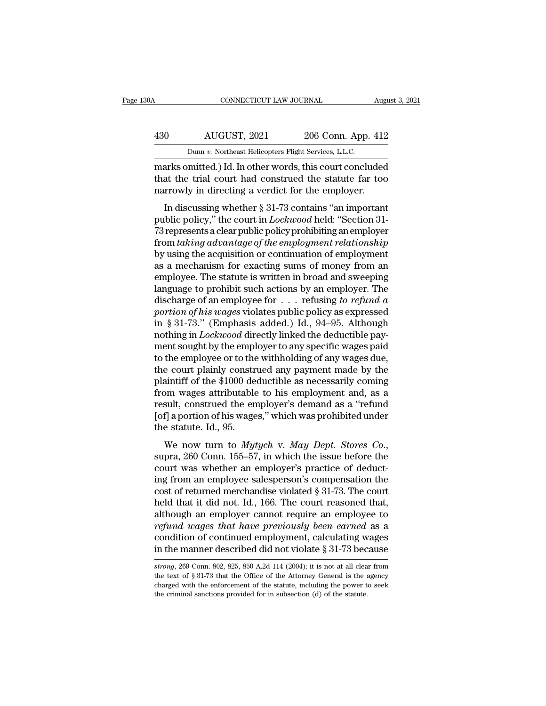## CONNECTICUT LAW JOURNAL August 3, 2021<br>
430 AUGUST, 2021 206 Conn. App. 412<br>
Dunn v. Northeast Helicopters Flight Services, L.L.C. CONNECTICUT LAW JOURNAL Augu<br>
AUGUST, 2021 206 Conn. App. 412<br>
Dunn *v.* Northeast Helicopters Flight Services, L.L.C.<br>
marks omitted.) Id. In other words, this court concluded

CONNECTICUT LAW JOURNAL August 3, 2021<br>
AUGUST, 2021 206 Conn. App. 412<br>
Dunn v. Northeast Helicopters Flight Services, L.L.C.<br>
marks omitted.) Id. In other words, this court concluded<br>
that the trial court had construed t AUGUST, 2021 206 Conn. App. 412<br>
Dunn v. Northeast Helicopters Flight Services, L.L.C.<br>
marks omitted.) Id. In other words, this court concluded<br>
that the trial court had construed the statute far too<br>
narrowly in directin 430 AUGUST, 2021 206 Conn. App. 412<br>
Dunn v. Northeast Helicopters Flight Services, L.L.C.<br>
marks omitted.) Id. In other words, this court concluded<br>
that the trial court had construed the statute far too<br>
narrowly in dir  $10$  AUGUST, 2021 206 Conn. App. 412<br>
Dunn v. Northeast Helicopters Flight Services, L.L.C.<br>
arks omitted.) Id. In other words, this court concluded<br>
at the trial court had construed the statute far too<br>
rrowly in directi

**Dunn v. Northeast Helicopters Flight Services, L.L.C.**<br> **marks omitted.) Id. In other words, this court concluded**<br> **that the trial court had construed the statute far too**<br> **narrowly in directing a verdict for the employ** marks omitted.) Id. In other words, this court concluded<br>that the trial court had construed the statute far too<br>narrowly in directing a verdict for the employer.<br>In discussing whether § 31-73 contains "an important<br>public marks omneted.) Id: in other words, this court concluded<br>that the trial court had construed the statute far too<br>narrowly in directing a verdict for the employer.<br>In discussing whether § 31-73 contains "an important<br>public had the that contrade construct the statute far too<br>narrowly in directing a verdict for the employer.<br>In discussing whether § 31-73 contains "an important<br>public policy," the court in *Lockwood* held: "Section 31-<br>73 repre In discussing whether  $\S$  31-73 contains "an important<br>public policy," the court in *Lockwood* held: "Section 31-<br>73 represents a clear public policy prohibiting an employer<br>from *taking advantage of the employment relati* In discussing whether  $\S 31$ -73 contains "an important<br>public policy," the court in *Lockwood* held: "Section 31-<br>73 represents a clear public policy prohibiting an employer<br>from *taking advantage of the employment relati* public policy," the court in *Lockwood* held: "Section 31-<br>73 represents a clear public policy prohibiting an employer<br>from *taking advantage of the employment relationship*<br>by using the acquisition or continuation of empl 73 represents a clear public policy prohibiting an employer<br>from *taking advantage of the employment relationship*<br>by using the acquisition or continuation of employment<br>as a mechanism for exacting sums of money from an<br>e from *taking advantage of the employment relationship*<br>by using the acquisition or continuation of employment<br>as a mechanism for exacting sums of money from an<br>employee. The statute is written in broad and sweeping<br>languag by using the acquisition or continuation of employment<br>as a mechanism for exacting sums of money from an<br>employee. The statute is written in broad and sweeping<br>language to prohibit such actions by an employer. The<br>dischar as a mechanism for exacting sums of money from an employee. The statute is written in broad and sweeping language to prohibit such actions by an employer. The discharge of an employee for . . . refusing *to refund a portio* employee. The statute is written in broad and sweeping<br>language to prohibit such actions by an employer. The<br>discharge of an employee for  $\ldots$  refusing to refund a<br>portion of his wages violates public policy as expressed language to prohibit such actions by an employer. The discharge of an employee for  $\ldots$  refusing to refund a portion of his wages violates public policy as expressed in § 31-73." (Emphasis added.) Id., 94–95. Although no discharge of an employee for  $\dots$  refusing to refund a<br>portion of his wages violates public policy as expressed<br>in § 31-73." (Emphasis added.) Id., 94–95. Although<br>nothing in *Lockwood* directly linked the deductible payportion of his wages violates public policy as expressed<br>in § 31-73." (Emphasis added.) Id., 94–95. Although<br>nothing in *Lockwood* directly linked the deductible pay-<br>ment sought by the employer to any specific wages paid<br> in § 31-73." (Emphasis added.) Id., 94–95. Although<br>nothing in *Lockwood* directly linked the deductible pay-<br>ment sought by the employer to any specific wages paid<br>to the employee or to the withholding of any wages due,<br> nothing in *Lockwood* directly linked the deductible pay-<br>ment sought by the employer to any specific wages paid<br>to the employee or to the withholding of any wages due,<br>the court plainly construed any payment made by the<br>p ment sought by the employer to any specific wages paid<br>to the employee or to the withholding of any wages due,<br>the court plainly construed any payment made by the<br>plaintiff of the \$1000 deductible as necessarily coming<br>fro to the employee or to the<br>the court plainly constr<br>plaintiff of the \$1000 de<br>from wages attributable<br>result, construed the en<br>[of] a portion of his wage<br>the statute. Id., 95.<br>We now turn to  $Myt$ the court plainty construed any payment made by the<br>plaintiff of the \$1000 deductible as necessarily coming<br>from wages attributable to his employment and, as a<br>result, construed the employer's demand as a "refund<br>[of] a po

From wages attrouded to his employment and, as a<br>result, construed the employer's demand as a "refund<br>[of] a portion of his wages," which was prohibited under<br>the statute. Id., 95.<br>We now turn to *Mytych* v. *May Dept. St* From an employee sales are and as a Terminated [of] a portion of his wages," which was prohibited under<br>the statute. Id., 95.<br>We now turn to *Mytych* v. *May Dept. Stores Co.*,<br>supra, 260 Conn. 155–57, in which the issue the statute. Id., 95.<br>
We now turn to *Mytych* v. *May Dept. Stores Co.*,<br>
supra, 260 Conn. 155–57, in which the issue before the<br>
court was whether an employer's practice of deduct-<br>
ing from an employee salesperson's co We now turn to *Mytych* v. *May Dept. Stores Co.*,<br>supra, 260 Conn. 155–57, in which the issue before the<br>court was whether an employer's practice of deduct-<br>ing from an employee salesperson's compensation the<br>cost of ret We now turn to *Mytych v. May Dept. Stores Co.*,<br>supra, 260 Conn. 155–57, in which the issue before the<br>court was whether an employer's practice of deduct-<br>ing from an employee salesperson's compensation the<br>cost of retur supra, 260 Conn. 155–57, in which the issue before the<br>court was whether an employer's practice of deduct-<br>ing from an employee salesperson's compensation the<br>cost of returned merchandise violated § 31-73. The court<br>held t court was whether an employer's practice of deducting from an employee salesperson's compensation the cost of returned merchandise violated  $\S 31-73$ . The court held that it did not. Id., 166. The court reasoned that, alt ing from an employee salesperson's compensation the<br>cost of returned merchandise violated § 31-73. The court<br>held that it did not. Id., 166. The court reasoned that,<br>although an employer cannot require an employee to<br>refu although an employer cannot require an employee to<br>*refund wages that have previously been earned* as a<br>condition of continued employment, calculating wages<br>in the manner described did not violate § 31-73 because<br>*strong*, refund wages that have previously been earned as a condition of continued employment, calculating wages in the manner described did not violate § 31-73 because  $strong$ , 269 Conn. 802, 825, 850 A.2d 114 (2004); it is not at al

condition of continued employment, calculating wages<br>in the manner described did not violate  $\S 31-73$  because<br>strong, 269 Conn. 802, 825, 850 A.2d 114 (2004); it is not at all clear from<br>the text of  $\S 31-73$  that the Of in the manner described did not violate  $\S 31-73$  becomes strong, 269 Conn. 802, 825, 850 A.2d 114 (2004); it is not at all clear the text of  $\S 31-73$  that the Office of the Attorney General is the acharged with the enfo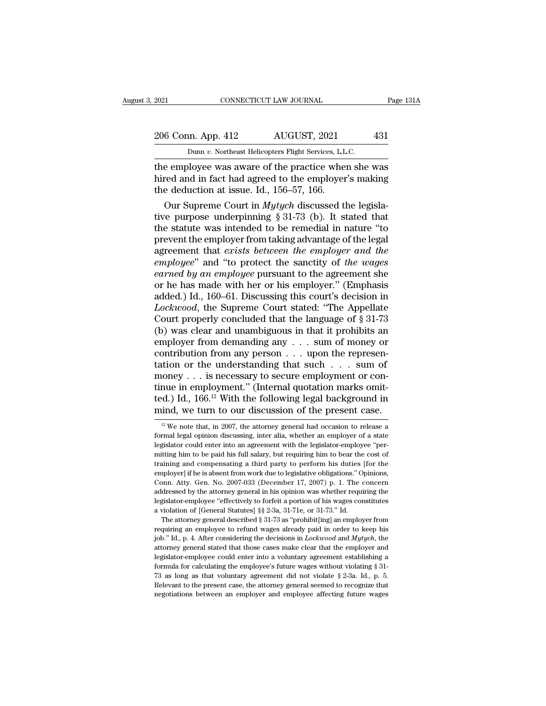## 2021 CONNECTICUT LAW JOURNAL Page 131A<br>206 Conn. App. 412 AUGUST, 2021 431<br>Dunn v. Northeast Helicopters Flight Services, L.L.C. EXECUTE 2021 CONNECTICUT LAW JOURNAL<br>206 Conn. App. 412 AUGUST, 2021 431<br>Dunn *v*. Northeast Helicopters Flight Services, L.L.C.<br>the employee was aware of the practice when she was

EXERCT 2021 CONNECTICUT LAW JOURNAL Page 131A<br>
206 Conn. App. 412 AUGUST, 2021 431<br>
Dunn v. Northeast Helicopters Flight Services, L.L.C.<br>
the employee was aware of the practice when she was<br>
hired and in fact had agreed t 206 Conn. App. 412 AUGUST, 2021 431<br>
Dunn v. Northeast Helicopters Flight Services, L.L.C.<br>
the employee was aware of the practice when she was<br>
hired and in fact had agreed to the employer's making<br>
the deduction at issue 206 Conn. App. 412 AUGUST, 2021<br>
Dunn v. Northeast Helicopters Flight Services, L.L.<br>
the employee was aware of the practice where the hired and in fact had agreed to the employer<br>
the deduction at issue. Id., 156–57, 166 6 Conn. App. 412 AUGUST, 2021 431<br>
Dunn *v*. Northeast Helicopters Flight Services, L.L.C.<br>
e employee was aware of the practice when she was<br>
red and in fact had agreed to the employer's making<br>
e deduction at issue. Id.,

Dunn *v*. Northeast Helicopters Flight Services, L.L.C.<br>the employee was aware of the practice when she was<br>hired and in fact had agreed to the employer's making<br>the deduction at issue. Id., 156–57, 166.<br>Our Supreme Court the employee was aware of the practice when she was<br>hired and in fact had agreed to the employer's making<br>the deduction at issue. Id., 156–57, 166.<br>Our Supreme Court in *Mytych* discussed the legisla-<br>tive purpose underpi the employee was aware of the practice when she was<br>hired and in fact had agreed to the employer's making<br>the deduction at issue. Id., 156–57, 166.<br>Our Supreme Court in *Mytych* discussed the legisla-<br>tive purpose underpi hired and in fact had agreed to the employer's making<br>the deduction at issue. Id., 156–57, 166.<br>Our Supreme Court in *Mytych* discussed the legisla-<br>tive purpose underpinning § 31-73 (b). It stated that<br>the statute was int the deduction at issue. Id., 156–57, 166.<br>
Our Supreme Court in *Mytych* discussed the legisla-<br>
tive purpose underpinning § 31-73 (b). It stated that<br>
the statute was intended to be remedial in nature "to<br>
prevent the em Our Supreme Court in *Mytych* discussed the legislative purpose underpinning  $\S 31-73$  (b). It stated that<br>the statute was intended to be remedial in nature "to<br>prevent the employer from taking advantage of the legal<br>agre tive purpose underpinning § 31-73 (b). It stated that<br>the statute was intended to be remedial in nature "to<br>prevent the employer from taking advantage of the legal<br>agreement that *exists between the employer and the*<br>*empl* the statute was intended to be remedial in nature "to<br>prevent the employer from taking advantage of the legal<br>agreement that *exists between the employer and the*<br>*employee*" and "to protect the sanctity of *the wages*<br>*ea* prevent the employer from taking advantage of the legal<br>agreement that *exists between the employer and the*<br>*employee*" and "to protect the sanctity of *the wages*<br>*earned by an employee* pursuant to the agreement she<br>or agreement that *exists between the employer and the*<br>employee" and "to protect the sanctity of *the wages*<br>earned by an employee pursuant to the agreement she<br>or he has made with her or his employer." (Emphasis<br>added.) Id *employee"* and "to protect the sanctity of *the wages*<br>earned by an employee pursuant to the agreement she<br>or he has made with her or his employer." (Emphasis<br>added.) Id., 160–61. Discussing this court's decision in<br>*Loc* earned by an employee pursuant to the agreement she<br>or he has made with her or his employer." (Emphasis<br>added.) Id., 160–61. Discussing this court's decision in<br>*Lockwood*, the Supreme Court stated: "The Appellate<br>Court p or he has made with her or his employer." (Emphasis added.) Id., 160–61. Discussing this court's decision in *Lockwood*, the Supreme Court stated: "The Appellate Court properly concluded that the language of  $\S 31-73$  (b) added.) Id., 160–61. Discussing this court's decision in *Lockwood*, the Supreme Court stated: "The Appellate Court properly concluded that the language of § 31-73 (b) was clear and unambiguous in that it prohibits an emp *Lockwood*, the Supreme Court stated: "The Appellate Court properly concluded that the language of § 31-73 (b) was clear and unambiguous in that it prohibits an employer from demanding any . . . sum of money or contributi Court properly concluded that the language of § 31-73<br>(b) was clear and unambiguous in that it prohibits an<br>employer from demanding any . . . sum of money or<br>contribution from any person . . . upon the represen-<br>tation or (b) was clear and unambiguous in that it prohibits an employer from demanding any . . . sum of money or contribution from any person . . . upon the representation or the understanding that such . . . sum of money . . . is employer from demanding any . . . sum of money or contribution from any person . . . upon the representation or the understanding that such . . . sum of money . . . is necessary to secure employment or continue in employm 12 Ioney . . . is necessary to secure employment or con-<br>nue in employment." (Internal quotation marks omit-<br>cd.) Id., 166.<sup>12</sup> With the following legal background in<br>ind, we turn to our discussion of the present case.<br><sup>1</sup> tinue in employment." (Internal quotation marks omit-<br>ted.) Id., 166.<sup>12</sup> With the following legal background in<br>mind, we turn to our discussion of the present case.<br><sup>12</sup> We note that, in 2007, the attorney general had oc

addressed by the attorney general in his opinion was whether requiring the legislator-employee "effectively to forfeit a portion of his wages constitutes a violation of [General Statutes] §§ 2-3a, 31-71e, or 31-73." Id. Th degislator-employee "effectively to forfeit a portion of his wages constitutes a violation of [General Statutes]  $\S$  2-3a, 31-71e, or 31-73." Id.<br>The attorney general described  $\S$  31-73 as "prohibit[ing] an employer from a violation of [General Statutes] §§ 2-3a, 31-71e, or 31-73." Id.<br>The attorney general described § 31-73 as "prohibit[ing] an employer from<br>requiring an employee to refund wages already paid in order to keep his<br>job." Id. The attorney general described § 31-73 as "prohibit[ing] an employer from requiring an employee to refund wages already paid in order to keep his job." Id., p. 4. After considering the decisions in *Lockwood* and *Mytych* requiring an employee to refund wages already paid in order to keep his job." Id., p. 4. After considering the decisions in *Lockwood* and *Mytych*, the attorney general stated that those cases make clear that the employe job." Id., p. 4. After considering the decisions in *Lockwood* and *Mytych*, the attorney general stated that those cases make clear that the employer and legislator-employee could enter into a voluntary agreement establi attorney general stated that those cases make clear that the employer and

ted.) Id., 166.<sup>12</sup> With the following legal background in mind, we turn to our discussion of the present case.<br> $\frac{12}{12}$  We note that, in 2007, the attorney general had occasion to release a formal legal opinion discus mind, we turn to our discussion of the present case.<br>
<sup>12</sup> We note that, in 2007, the attorney general had occasion to release a formal legal opinion discussing, inter alia, whether an employer of a state legislator could Trunch, we turn to our discussion of the present case.<br>
<sup>12</sup> We note that, in 2007, the attorney general had occasion to release a formal legal opinion discussing, inter alia, whether an employer of a state legislator cou <sup>12</sup> We note that, in 2007, the attorney general had occasion to release a formal legal opinion discussing, inter alia, whether an employer of a state legislator could enter into an agreement with the legislator-employee formal legal opinion discussing, inter alia, whether an employer of a state legislator could enter into an agreement with the legislator-employee "permitting him to be paid his full salary, but requiring him to bear the co begislator could enter into an agreement with the legislator-employee "permitting him to be paid his full salary, but requiring him to bear the cost of training and compensating a third party to perform his duties [for the legislator-employee ''effectively to forfeit a portion of his wages constraining him to be paid his full salary, but requiring him to bear the cost of training and compensating a third party to perform his duties [for the Conn. Atty. Gen. No. 2007-033 (December 17, 2007) p. 1. The concern addressed by the attorney general in his opinion was whether requiring the legislator-employee "effectively to forfeit a portion of his wages constitutes mployer] if he is absent from work due to legislative obligations." Opinions, onn. Atty. Gen. No. 2007-033 (December 17, 2007) p. 1. The concern dressed by the attorney general in his opinion was whether requiring the gis Conn. Atty. Gen. No. 2007-033 (December 17, 2007) p. 1. The concern<br>addressed by the attorney general in his opinion was whether requiring the<br>legislator-employee "effectively to forfeit a portion of his wages constitutes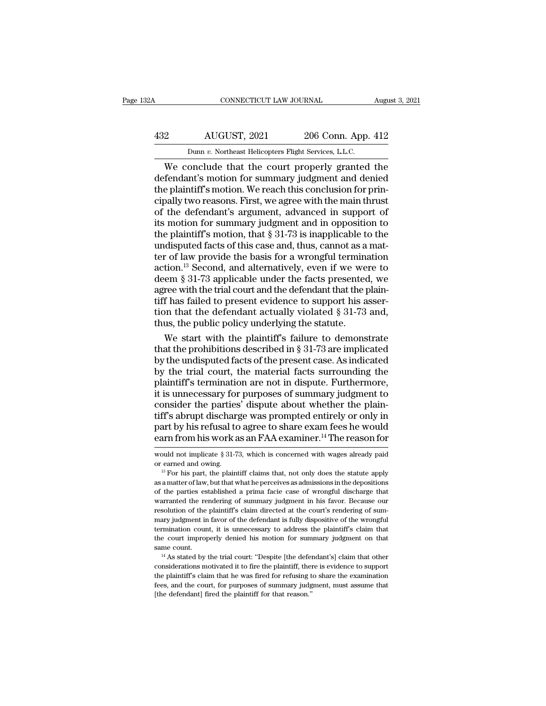## CONNECTICUT LAW JOURNAL August 3, 2021<br>432 AUGUST, 2021 206 Conn. App. 412<br>Dunn v. Northeast Helicopters Flight Services, L.L.C. CONNECTICUT LAW JOURNAL Augu<br>
22 AUGUST, 2021 206 Conn. App. 412<br>
Dunn *v.* Northeast Helicopters Flight Services, L.L.C.<br>
206 Conn. App. 412

CONNECTICUT LAW JOURNAL August 3, 2021<br>
206 Conn. App. 412<br>
Dunn v. Northeast Helicopters Flight Services, L.L.C.<br>
206 Conn. App. 412<br>
Dunn v. Northeast Helicopters Flight Services, L.L.C.<br>
4 Me conclude that the court pro 432 AUGUST, 2021 206 Conn. App. 412<br>
Dunn v. Northeast Helicopters Flight Services, L.L.C.<br>
We conclude that the court properly granted the<br>
defendant's motion for summary judgment and denied<br>
the plaintiff's motion. We re  $432$  AUGUST,  $2021$   $206$  Conn. App.  $412$ <br>
Dunn v. Northeast Helicopters Flight Services, L.L.C.<br>
We conclude that the court properly granted the<br>
defendant's motion for summary judgment and denied<br>
the plaintiff's moti  $\frac{432}{\text{Dunn } v. \text{ Northeast Helicopters Flight Services, L.L.C.}}$ <br>
We conclude that the court properly granted the<br>
defendant's motion for summary judgment and denied<br>
the plaintiff's motion. We reach this conclusion for prin-<br>
cipally two reasons. F Dunn v. Northeast Helicopters Flight Services, L.L.C.<br>We conclude that the court properly granted the<br>defendant's motion for summary judgment and denied<br>the plaintiff's motion. We reach this conclusion for prin-<br>cipally t Dunn v. Northeast Helicopters Flight Services, L.L.C.<br>
We conclude that the court properly granted the<br>
defendant's motion for summary judgment and denied<br>
the plaintiff's motion. We reach this conclusion for prin-<br>
cipal We conclude that the court properly granted the<br>defendant's motion for summary judgment and denied<br>the plaintiff's motion. We reach this conclusion for prin-<br>cipally two reasons. First, we agree with the main thrust<br>of th defendant's motion for summary judgment and denied<br>the plaintiff's motion. We reach this conclusion for prin-<br>cipally two reasons. First, we agree with the main thrust<br>of the defendant's argument, advanced in support of<br>it the plaintiff's motion. We reach this conclusion for principally two reasons. First, we agree with the main thrust<br>of the defendant's argument, advanced in support of<br>its motion for summary judgment and in opposition to<br>t cipally two reasons. First, we agree with the main thrust<br>of the defendant's argument, advanced in support of<br>its motion for summary judgment and in opposition to<br>the plaintiff's motion, that  $\S 31-73$  is inapplicable to of the defendant's argument, advanced in support of<br>its motion for summary judgment and in opposition to<br>the plaintiff's motion, that  $\S 31-73$  is inapplicable to the<br>undisputed facts of this case and, thus, cannot as a m its motion for summary judgment and in opposition to<br>the plaintiff's motion, that  $\S 31-73$  is inapplicable to the<br>undisputed facts of this case and, thus, cannot as a mat-<br>ter of law provide the basis for a wrongful term the plaintiff's motion, that  $\S$  31-73 is inapplicable to the<br>undisputed facts of this case and, thus, cannot as a mat-<br>ter of law provide the basis for a wrongful termination<br>action.<sup>13</sup> Second, and alternatively, even i undisputed facts of this case and, thus, cannot as a matter of law provide the basis for a wrongful termination action.<sup>13</sup> Second, and alternatively, even if we were to deem § 31-73 applicable under the facts presented, ter of law provide the basis for a wrongful termination.<sup>13</sup> Second, and alternatively, even if we we deem  $\S 31-73$  applicable under the facts presented agree with the trial court and the defendant that the public fits a tion.<sup>13</sup> Second, and alternatively, even if we were to<br>em § 31-73 applicable under the facts presented, we<br>ree with the trial court and the defendant that the plain-<br>f has failed to present evidence to support his asserdeem § 31-73 applicable under the facts presented, we<br>agree with the trial court and the defendant that the plain-<br>tiff has failed to present evidence to support his asser-<br>tion that the defendant actually violated § 31-7

agree with the trial court and the defendant that the plain-<br>tiff has failed to present evidence to support his asser-<br>tion that the defendant actually violated  $\S 31-73$  and,<br>thus, the public policy underlying the statut tiff has failed to present evidence to support his assertion that the defendant actually violated  $\S 31$ -73 and, thus, the public policy underlying the statute.<br>We start with the plaintiff's failure to demonstrate that th tion that the defendant actually violated § 31-73 and,<br>thus, the public policy underlying the statute.<br>We start with the plaintiff's failure to demonstrate<br>that the prohibitions described in § 31-73 are implicated<br>by the u thus, the public policy underlying the statute.<br>We start with the plaintiff's failure to demonstrate<br>that the prohibitions described in § 31-73 are implicated<br>by the undisputed facts of the present case. As indicated<br>by th We start with the plaintiff's failure to demonstrate<br>that the prohibitions described in § 31-73 are implicated<br>by the undisputed facts of the present case. As indicated<br>by the trial court, the material facts surrounding t that the prohibitions described in § 31-73 are implicated<br>by the undisputed facts of the present case. As indicated<br>by the trial court, the material facts surrounding the<br>plaintiff's termination are not in dispute. Further by the undisputed facts of the present case. As indicated<br>by the trial court, the material facts surrounding the<br>plaintiff's termination are not in dispute. Furthermore,<br>it is unnecessary for purposes of summary judgment t by the trial court, the material facts surrounding the plaintiff's termination are not in dispute. Furthermore, it is unnecessary for purposes of summary judgment to consider the parties' dispute about whether the plaintif consider the parties' dispute about whether the plain-<br>tiff's abrupt discharge was prompted entirely or only in<br>part by his refusal to agree to share exam fees he would<br>earn from his work as an FAA examiner.<sup>14</sup> The reason tiff's abrupt discharge was prompted entirely or only in<br>part by his refusal to agree to share exam fees he would<br>earn from his work as an FAA examiner.<sup>14</sup> The reason for<br>would not implicate § 31-73, which is concerned w

earn from his work as an FAA examiner.<sup>14</sup> The reason for<br>would not implicate  $\S 31-73$ , which is concerned with wages already paid<br>or earned and owing.<br><sup>13</sup> For his part, the plaintiff claims that, not only does the stat  $13$  For his part, the plaintiff claims that, not only does the statute apply would not implicate § 31-73, which is concerned with wages already paid<br>or earned and owing.<br><sup>13</sup> For his part, the plaintiff claims that, not only does the statute apply<br>as a matter of law, but that what he perceives as a or earned and owing.<br>
<sup>13</sup> For his part, the plaintiff claims that, not only does the statute apply<br>
<sup>13</sup> For his part, the plaintiff claims that, not only does the statute apply<br>
as a matter of law, but that what he perce <sup>13</sup> For his part, the plaintiff claims that, not only does the statute apply as a matter of law, but that what he perceives as admissions in the depositions of the parties established a prima facie case of wrongful disch as a matter of law, but that what he perceives as admissions in the depositions of the parties established a prima facie case of wrongful discharge that warranted the rendering of summary judgment in his favor. Because ou of the parties established a prima facie case of wrongful discharge that warranted the rendering of summary judgment in his favor. Because our resolution of the plaintiff's claim directed at the court's rendering of summar same count.<br>
Warranted the rendering of summary judgment in his favor. Because our<br>
resolution of the plaintiff's claim directed at the court's rendering of sum-<br>
mary judgment in favor of the defendant is fully dispositiv mary judgment in favor of the defendant is fully dispositive of the wrongful termination count, it is unnecessary to address the plaintiff's claim that the court improperly denied his motion for summary judgment on that s

the plaintiff's claim that is unnecessary to address the plaintiff's claim that the court improperly denied his motion for summary judgment on that same count.<br>
<sup>14</sup> As stated by the trial court: "Despite [the defendant's the court improperly denied his motion for summary judgment on that same count.<br><sup>14</sup> As stated by the trial court: "Despite [the defendant's] claim that other considerations motivated it to fire the plaintiff, there is ev  $14$  As stated by the trial court: "Despite [the defendant's] claim that other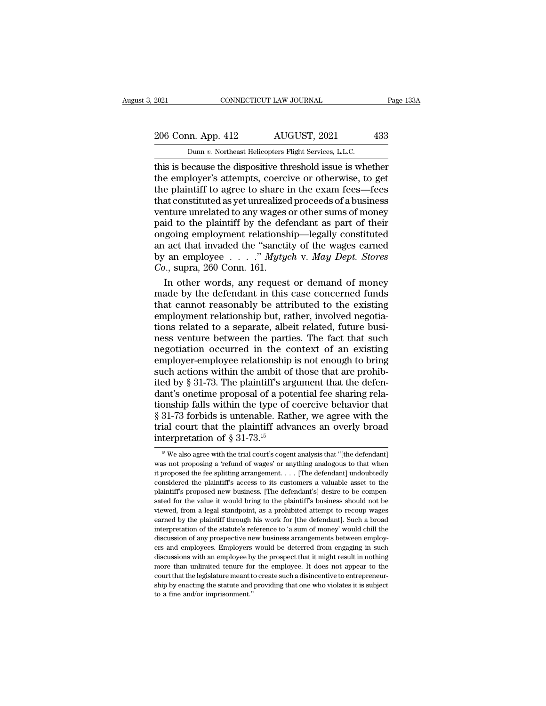## 2021 CONNECTICUT LAW JOURNAL Page 133A<br>206 Conn. App. 412 AUGUST, 2021 433<br>Dunn v. Northeast Helicopters Flight Services, L.L.C. Example 2021 CONNECTICUT LAW JOURNAL<br>206 Conn. App. 412 AUGUST, 2021 433<br>Dunn *v*. Northeast Helicopters Flight Services, L.L.C.<br>this is because the dispositive threshold issue is whether

The dispositive three schemes the dispositive threshold issue is whether<br>this is because the dispositive threshold issue is whether<br>the employer's attempts, coercive or otherwise, to get<br>the plaintiff to agree to share in 206 Conn. App. 412 AUGUST, 2021 433<br>
Dunn v. Northeast Helicopters Flight Services, L.L.C.<br>
this is because the dispositive threshold issue is whether<br>
the employer's attempts, coercive or otherwise, to get<br>
the plaintiff 206 Conn. App. 412 AUGUST, 2021 433<br>
Dunn v. Northeast Helicopters Flight Services, L.L.C.<br>
this is because the dispositive threshold issue is whether<br>
the employer's attempts, coercive or otherwise, to get<br>
the plaintiff 206 Conn. App. 412 AUGUST, 2021 433<br>
Dunn v. Northeast Helicopters Flight Services, L.L.C.<br>
this is because the dispositive threshold issue is whether<br>
the employer's attempts, coercive or otherwise, to get<br>
the plaintiff Dunn v. Northeast Helicopters Flight Services, L.L.C.<br>
this is because the dispositive threshold issue is whether<br>
the employer's attempts, coercive or otherwise, to get<br>
the plaintiff to agree to share in the exam fees—f Dunn v. Northeast Helicopters Flight Services, L.L.C.<br>
this is because the dispositive threshold issue is whether<br>
the employer's attempts, coercive or otherwise, to get<br>
the plaintiff to agree to share in the exam fees—f this is because the dispositive threshold issue is whether<br>the employer's attempts, coercive or otherwise, to get<br>the plaintiff to agree to share in the exam fees—fees<br>that constituted as yet unrealized proceeds of a busin the employer's attempts, coercive or otherwise, to get<br>the plaintiff to agree to share in the exam fees—fees<br>that constituted as yet unrealized proceeds of a business<br>venture unrelated to any wages or other sums of money<br> the plaintiff to agree to share in the exam fees—fees<br>that constituted as yet unrealized proceeds of a business<br>venture unrelated to any wages or other sums of money<br>paid to the plaintiff by the defendant as part of their<br> the plaintiff to agree to share in the exam fees—fees<br>that constituted as yet unrealized proceeds of a business<br>venture unrelated to any wages or other sums of money<br>paid to the plaintiff by the defendant as part of their<br> nture unrelated to any wages or other sums of money<br>id to the plaintiff by the defendant as part of their<br>going employment relationship—legally constituted<br>act that invaded the "sanctity of the wages earned<br>an employee  $\$ paid to the plaintiff by the defendant as part of their<br>ongoing employment relationship—legally constituted<br>an act that invaded the "sanctity of the wages earned<br>by an employee  $\ldots$  ." *Mytych* v. *May Dept. Stores*<br>*Co.* 

ongoing employment relationship—legally constituted<br>an act that invaded the "sanctity of the wages earned<br>by an employee  $\ldots$ ." *Mytych* v. *May Dept. Stores*<br> $Co$ , supra, 260 Conn. 161.<br>In other words, any request or dem an act that invaded the "sanctity of the wages earned<br>by an employee  $\ldots$ ." Mytych v. May Dept. Stores<br>Co., supra, 260 Conn. 161.<br>In other words, any request or demand of money<br>made by the defendant in this case concerne by an employee  $\ldots$   $\ldots$  " *Mytych* v. *May Dept. Stores Co.*, supra, 260 Conn. 161.<br>In other words, any request or demand of money made by the defendant in this case concerned funds that cannot reasonably be attribut  $Co$ , supra, 260 Conn. 161.<br>In other words, any request or demand of money<br>made by the defendant in this case concerned funds<br>that cannot reasonably be attributed to the existing<br>employment relationship but, rather, involv In other words, any request or demand of money<br>made by the defendant in this case concerned funds<br>that cannot reasonably be attributed to the existing<br>employment relationship but, rather, involved negotia-<br>tions related to made by the defendant in this case concerned funds<br>that cannot reasonably be attributed to the existing<br>employment relationship but, rather, involved negotia-<br>tions related to a separate, albeit related, future busi-<br>ness that cannot reasonably be attributed to the existing<br>employment relationship but, rather, involved negotia-<br>tions related to a separate, albeit related, future busi-<br>ness venture between the parties. The fact that such<br>neg employment relationship but, rather, involved negotiations related to a separate, albeit related, future business venture between the parties. The fact that such negotiation occurred in the context of an existing employertions related to a separate, albeit related, future business venture between the parties. The fact that such negotiation occurred in the context of an existing employer-employee relationship is not enough to bring such ac ness venture between the parties. The fact that such<br>negotiation occurred in the context of an existing<br>employer-employee relationship is not enough to bring<br>such actions within the ambit of those that are prohib-<br>ited by negotiation occurred in the context of an existing<br>employer-employee relationship is not enough to bring<br>such actions within the ambit of those that are prohib-<br>ited by § 31-73. The plaintiff's argument that the defen-<br>dan employer-employee relationship is not enough to bring<br>such actions within the ambit of those that are prohib-<br>ited by  $\S 31-73$ . The plaintiff's argument that the defen-<br>dant's onetime proposal of a potential fee sharing such actions within the ambit of<br>ited by § 31-73. The plaintiff's argument's onetime proposal of a pot<br>tionship falls within the type of<br>§ 31-73 forbids is untenable. Rat<br>trial court that the plaintiff advi-<br>interpretatio onship falls within the type of coercive behavior that 31-73 forbids is untenable. Rather, we agree with the ial court that the plaintiff advances an overly broad terpretation of  $\S 31-73$ .<sup>15</sup><br><sup>15</sup> We also agree with the § 31-73 forbids is untenable. Rather, we agree with the trial court that the plaintiff advances an overly broad interpretation of § 31-73.<sup>15</sup><br> $\frac{15 \text{ We also agree with the trial court's cogent analysis that "[the defendant] was not proposing a 'refund of wages' or anything analogous to that when it proposed the fee splitting arrangement. . . . [The defendant] undoubtedly$ 

it proposed the fee splitting arrangement. . . . [The defendant]<br>is we also agree with the trial court's cogent analysis that "[the defendant]<br>was not proposing a 'refund of wages' or anything analogous to that when<br>it pr interpretation of  $\S 31-73$ .<sup>15</sup><br>is We also agree with the trial court's cogent analysis that "[the defendant]<br>was not proposing a 'refund of wages' or anything analogous to that when<br>it proposed the fee splitting arrange Interpretation of  $S$  31-73.<br>
<sup>15</sup> We also agree with the trial court's cogent analysis that "[the defendant]<br>
was not proposing a 'refund of wages' or anything analogous to that when<br>
it proposed the fee splitting arrang  $^{15}$  We also agree with the trial court's cogent analysis that "[the defendant] was not proposing a 'refund of wages' or anything analogous to that when it proposed the fee splitting arrangement. . . . [The defendant] u was not proposing a 'refund of wages' or anything analogous to that when<br>it proposed the fee splitting arrangement. . . . [The defendant] undoubtedly<br>considered the plaintiff's access to its customers a valuable asset to it proposed the fee splitting arrangement.  $\ldots$  [The defendant] undoubtedly considered the plaintiff's access to its customers a valuable asset to the plaintiff's proposed new business. [The defendant's] desire to be com considered the plaintiff's access to its customers a valuable asset to the plaintiff's proposed new business. [The defendant's] desire to be compensated for the value it would bring to the plaintiff's business should not b plaintiff's proposed new business. [The defendant's] desire to be compensated for the value it would bring to the plaintiff's business should not be viewed, from a legal standpoint, as a prohibited attempt to recoup wages parated for the value it would bring to the plaintiff's business should not be viewed, from a legal standpoint, as a prohibited attempt to recoup wages earned by the plaintiff through his work for [the defendant]. Such a b biewed, from a legal standpoint, as a prohibited attempt to recoup wages<br>earned by the plaintiff through his work for [the defendant]. Such a broad<br>interpretation of the statute's reference to 'a sum of money' would chill earned by the plaintiff through his work for [the defendant]. Such a broad interpretation of the statute's reference to 'a sum of money' would chill the discussion of any prospective new business arrangements between emplo earned by the plaintiff through his work for [the defendant]. Such a broad interpretation of the statute's reference to 'a sum of money' would chill the discussion of any prospective new business arrangements between empl discussions with an employee by the prospect that it might result in nothing ers and employees. Employers would be deterred from engaging in such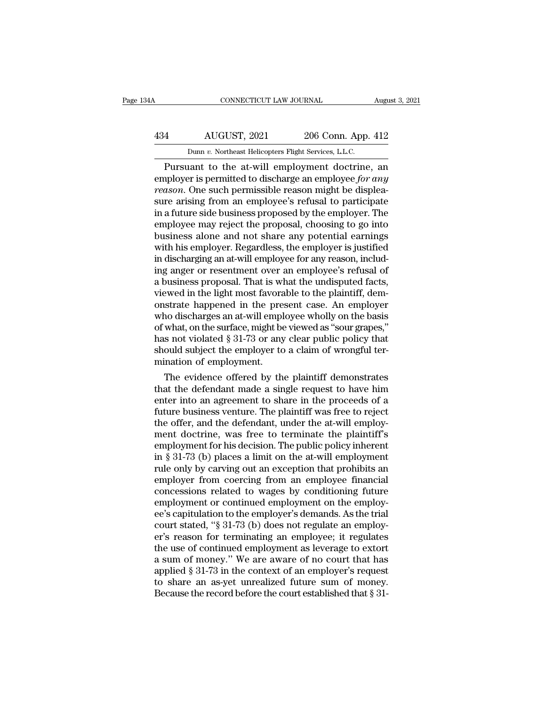## CONNECTICUT LAW JOURNAL August 3, 2021<br>434 AUGUST, 2021 206 Conn. App. 412<br>Dunn v. Northeast Helicopters Flight Services, L.L.C. CONNECTICUT LAW JOURNAL Augu<br>
206 Conn. App. 412<br>
Dunn *v.* Northeast Helicopters Flight Services, L.L.C.<br>
Pursuant to the at-will employment doctrine, an

CONNECTICUT LAW JOURNAL August 3, 2021<br>
AUGUST, 2021 206 Conn. App. 412<br>
Dunn v. Northeast Helicopters Flight Services, L.L.C.<br>
Pursuant to the at-will employment doctrine, an<br>
oployer is permitted to discharge an employee AUGUST, 2021 206 Conn. App. 412<br>
Dunn v. Northeast Helicopters Flight Services, L.L.C.<br>
Pursuant to the at-will employment doctrine, an<br>
employer is permitted to discharge an employee *for any*<br> *reason*. One such permissi *Ferry 2021 reading a Handair remin v. Northeast Helicopters Flight Services, L.L.C.*<br> *Pursuant to the at-will employment doctrine, and employer is permitted to discharge an employee for any reason. One such permissib* 434 AUGUST, 2021 206 Conn. App. 412<br>
Dunn v. Northeast Helicopters Flight Services, L.L.C.<br>
Pursuant to the at-will employment doctrine, an<br>
employer is permitted to discharge an employee for any<br>
reason. One such permiss Dunn v. Northeast Helicopters Flight Services, L.L.C.<br>
Pursuant to the at-will employment doctrine, an<br>
employer is permitted to discharge an employee for any<br>
reason. One such permissible reason might be displea-<br>
sure a Dunn v. Northeast Helicopters Flight Services, L.L.C.<br>
Pursuant to the at-will employment doctrine, an<br>
employer is permitted to discharge an employee for any<br>
reason. One such permissible reason might be displea-<br>
sure a Pursuant to the at-will employment doctrine, an<br>employer is permitted to discharge an employee for any<br>reason. One such permissible reason might be displea-<br>sure arising from an employee's refusal to participate<br>in a futur employer is permitted to discharge an employee *for any*<br>reason. One such permissible reason might be displea-<br>sure arising from an employee's refusal to participate<br>in a future side business proposed by the employer. The<br> reason. One such permissible reason might be displea-<br>sure arising from an employee's refusal to participate<br>in a future side business proposed by the employer. The<br>employee may reject the proposal, choosing to go into<br>bus sure arising from an employee's refusal to participate<br>in a future side business proposed by the employer. The<br>employee may reject the proposal, choosing to go into<br>business alone and not share any potential earnings<br>with in a future side business proposed by the employer. The<br>employee may reject the proposal, choosing to go into<br>business alone and not share any potential earnings<br>with his employer. Regardless, the employer is justified<br>in employee may reject the proposal, choosing to go into<br>business alone and not share any potential earnings<br>with his employer. Regardless, the employer is justified<br>in discharging an at-will employee for any reason, includ-<br> business alone and not share any potential earnings<br>with his employer. Regardless, the employer is justified<br>in discharging an at-will employee for any reason, includ-<br>ing anger or resentment over an employee's refusal of<br> with his employer. Regardless, the employer is justified<br>in discharging an at-will employee for any reason, includ-<br>ing anger or resentment over an employee's refusal of<br>a business proposal. That is what the undisputed fac in discharging an at-will employee for any reason, includ-<br>ing anger or resentment over an employee's refusal of<br>a business proposal. That is what the undisputed facts,<br>viewed in the light most favorable to the plaintiff, ing anger or resentment over an employee's refusal of<br>a business proposal. That is what the undisputed facts,<br>viewed in the light most favorable to the plaintiff, dem-<br>onstrate happened in the present case. An employer<br>who a business proposal. That is what the undisputed facts, viewed in the light most favorable to the plaintiff, demonstrate happened in the present case. An employer who discharges an at-will employee wholly on the basis of w viewed in the light most favora<br>onstrate happened in the pre-<br>who discharges an at-will emplof what, on the surface, might be<br>has not violated § 31-73 or any<br>should subject the employer to<br>mination of employment.<br>The evide strate happened in the present case. An employer<br>no discharges an at-will employee wholly on the basis<br>what, on the surface, might be viewed as "sour grapes,"<br>s not violated § 31-73 or any clear public policy that<br>ould sub who discharges an at-will employee wholly on the basis<br>of what, on the surface, might be viewed as "sour grapes,"<br>has not violated  $\S 31-73$  or any clear public policy that<br>should subject the employer to a claim of wrongf

of what, on the surface, might be viewed as "sour grapes,"<br>has not violated § 31-73 or any clear public policy that<br>should subject the employer to a claim of wrongful ter-<br>mination of employment.<br>The evidence offered by th has not violated  $\S$  31-73 or any clear public policy that<br>should subject the employer to a claim of wrongful ter-<br>mination of employment.<br>The evidence offered by the plaintiff demonstrates<br>that the defendant made a singl should subject the employer to a claim of wrongtul ter-<br>mination of employment.<br>The evidence offered by the plaintiff demonstrates<br>that the defendant made a single request to have him<br>enter into an agreement to share in th mination of employment.<br>
The evidence offered by the plaintiff demonstrates<br>
that the defendant made a single request to have him<br>
enter into an agreement to share in the proceeds of a<br>
future business venture. The plaint The evidence offered by the plaintiff demonstrates<br>that the defendant made a single request to have him<br>enter into an agreement to share in the proceeds of a<br>future business venture. The plaintiff was free to reject<br>the o that the defendant made a single request to have him<br>enter into an agreement to share in the proceeds of a<br>future business venture. The plaintiff was free to reject<br>the offer, and the defendant, under the at-will employ-<br>m enter into an agreement to share in the proceeds of a<br>future business venture. The plaintiff was free to reject<br>the offer, and the defendant, under the at-will employ-<br>ment doctrine, was free to terminate the plaintiff's<br>e future business venture. The plaintiff was free to reject<br>the offer, and the defendant, under the at-will employ-<br>ment doctrine, was free to terminate the plaintiff's<br>employment for his decision. The public policy inherent the offer, and the defendant, under the at-will employment doctrine, was free to terminate the plaintiff's<br>employment for his decision. The public policy inherent<br>in § 31-73 (b) places a limit on the at-will employment<br>rul ment doctrine, was free to terminate the plaintiff's<br>employment for his decision. The public policy inherent<br>in § 31-73 (b) places a limit on the at-will employment<br>rule only by carving out an exception that prohibits an<br> employment for his decision. The public policy inherent<br>in § 31-73 (b) places a limit on the at-will employment<br>rule only by carving out an exception that prohibits an<br>employer from coercing from an employee financial<br>conc in § 31-73 (b) places a limit on the at-will employment<br>rule only by carving out an exception that prohibits an<br>employer from coercing from an employee financial<br>concessions related to wages by conditioning future<br>employme rule only by carving out an exception that prohibits an<br>employer from coercing from an employee financial<br>concessions related to wages by conditioning future<br>employment or continued employment on the employ-<br>ee's capitulat employer from coercing from an employee financial<br>concessions related to wages by conditioning future<br>employment or continued employment on the employ-<br>ee's capitulation to the employer's demands. As the trial<br>court stated concessions related to wages by conditioning future<br>employment or continued employment on the employ-<br>ee's capitulation to the employer's demands. As the trial<br>court stated, "§ 31-73 (b) does not regulate an employ-<br>er's r employment or continued employment on the employ-<br>ee's capitulation to the employer's demands. As the trial<br>court stated, "§ 31-73 (b) does not regulate an employ-<br>er's reason for terminating an employee; it regulates<br>the ee's capitulation to the employer's demands. As the trial<br>court stated, "§ 31-73 (b) does not regulate an employ-<br>er's reason for terminating an employee; it regulates<br>the use of continued employment as leverage to extort<br> court stated, "§ 31-73 (b) does not regulate an employer's reason for terminating an employee; it regulates<br>the use of continued employment as leverage to extort<br>a sum of money." We are aware of no court that has<br>applied §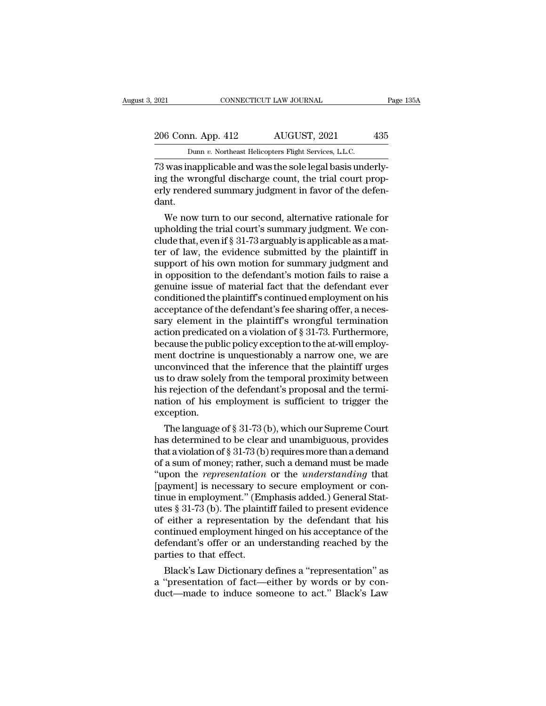2021 CONNECTICUT LAW JOURNAL Page 135A<br>206 Conn. App. 412 AUGUST, 2021 435<br>Dunn v. Northeast Helicopters Flight Services, L.L.C. 2021 CONNECTICUT LAW JOURNAL<br>206 Conn. App. 412 AUGUST, 2021 435<br><sup>Dunn *v*. Northeast Helicopters Flight Services, L.L.C.<br>73 was inapplicable and was the sole legal basis underly-</sup>

2021 CONNECTICUT LAW JOURNAL<br>
206 Conn. App. 412 AUGUST, 2021 435<br>
207 Dunn v. Northeast Helicopters Flight Services, L.L.C.<br>
23 was inapplicable and was the sole legal basis underly-<br>
ing the wrongful discharge count, the 206 Conn. App. 412 AUGUST, 2021 435<br>
Dunn v. Northeast Helicopters Flight Services, L.L.C.<br>
73 was inapplicable and was the sole legal basis underly-<br>
ing the wrongful discharge count, the trial court prop-<br>
erly rendered 206 Conn. App. 412 AUGUST, 2021 435<br>
Dunn v. Northeast Helicopters Flight Services, L.L.C.<br>
73 was inapplicable and was the sole legal basis underly-<br>
ing the wrongful discharge count, the trial court prop-<br>
erly rendered dant. Dunn v. Northeast Helicopters Flight Services, L.L.C.<br>
was inapplicable and was the sole legal basis underly-<br>
g the wrongful discharge count, the trial court prop-<br>
ly rendered summary judgment in favor of the defen-<br>
nt  $\frac{1}{12}$ <br>T3 was inapplicable and was the sole legal basis underly-<br>ing the wrongful discharge count, the trial court prop-<br>erly rendered summary judgment in favor of the defen-<br>dant.<br>We now turn to our second, alternati

ra was mappicable and was the sole legal basis underly-<br>ing the wrongful discharge count, the trial court prop-<br>erly rendered summary judgment in favor of the defen-<br>dant.<br>We now turn to our second, alternative rationale f Ing the wrongrul discharge count, the trial court prop-<br>erly rendered summary judgment in favor of the defen-<br>dant.<br>We now turn to our second, alternative rationale for<br>upholding the trial court's summary judgment. We conerly rendered summary judgment in ravor of the defendant.<br>We now turn to our second, alternative rationale for<br>upholding the trial court's summary judgment. We con-<br>clude that, even if § 31-73 arguably is applicable as a m dant.<br>
We now turn to our second, alternative rationale for<br>
upholding the trial court's summary judgment. We con-<br>
clude that, even if § 31-73 arguably is applicable as a mat-<br>
ter of law, the evidence submitted by the pl We now turn to our second, alternative rationale for<br>upholding the trial court's summary judgment. We con-<br>clude that, even if  $\S 31-73$  arguably is applicable as a mat-<br>ter of law, the evidence submitted by the plaintiff upholding the trial court's summary judgment. We conclude that, even if § 31-73 arguably is applicable as a matter of law, the evidence submitted by the plaintiff in support of his own motion for summary judgment and in op clude that, even if § 31-73 arguably is applicable as a matter of law, the evidence submitted by the plaintiff in support of his own motion for summary judgment and in opposition to the defendant's motion fails to raise a ter of law, the evidence submitted by the plaintiff in<br>support of his own motion for summary judgment and<br>in opposition to the defendant's motion fails to raise a<br>genuine issue of material fact that the defendant ever<br>cond support of his own motion for summary judgment and<br>in opposition to the defendant's motion fails to raise a<br>genuine issue of material fact that the defendant ever<br>conditioned the plaintiff's continued employment on his<br>acc in opposition to the defendant's motion fails to raise a<br>genuine issue of material fact that the defendant ever<br>conditioned the plaintiff's continued employment on his<br>acceptance of the defendant's fee sharing offer, a nec genuine issue of material fact that the defendant ever<br>conditioned the plaintiff's continued employment on his<br>acceptance of the defendant's fee sharing offer, a neces-<br>sary element in the plaintiff's wrongful termination<br> conditioned the plaintiff's continued employment on his<br>acceptance of the defendant's fee sharing offer, a neces-<br>sary element in the plaintiff's wrongful termination<br>action predicated on a violation of § 31-73. Furthermor acceptance of the defendant's fee sharing offer, a necessary element in the plaintiff's wrongful termination<br>action predicated on a violation of § 31-73. Furthermore,<br>because the public policy exception to the at-will empl sary element in the plaintiff's wrongful termination<br>action predicated on a violation of  $\S 31-73$ . Furthermore,<br>because the public policy exception to the at-will employ-<br>ment doctrine is unquestionably a narrow one, we action predicated on a violation of § 31-73. Furthermore, because the public policy exception to the at-will employment doctrine is unquestionably a narrow one, we are unconvinced that the inference that the plaintiff urge exception. ent doctrine is unquestionably a narrow one, we are<br>convinced that the inference that the plaintiff urges<br>to draw solely from the temporal proximity between<br>s rejection of the defendant's proposal and the termi-<br>tion of hi unconvinced that the interence that the plaintiff urges<br>us to draw solely from the temporal proximity between<br>his rejection of the defendant's proposal and the termi-<br>nation of his employment is sufficient to trigger the<br>e

that is rejection of the defendant's proposal and the termination of his employment is sufficient to trigger the exception.<br>The language of  $\S 31-73$  (b), which our Supreme Court has determined to be clear and unambiguous ms rejection of the defendant s proposal and the termination of his employment is sufficient to trigger the exception.<br>The language of  $\S 31-73$  (b), which our Supreme Court<br>has determined to be clear and unambiguous, pro nation or his employment is surficient to trigger the<br>exception.<br>The language of § 31-73 (b), which our Supreme Court<br>has determined to be clear and unambiguous, provides<br>that a violation of § 31-73 (b) requires more than exception.<br>
The language of § 31-73 (b), which our Supreme Court<br>
has determined to be clear and unambiguous, provides<br>
that a violation of § 31-73 (b) requires more than a demand<br>
of a sum of money; rather, such a demand The language of  $\S 31-73$  (b), which our Supreme Court<br>has determined to be clear and unambiguous, provides<br>that a violation of  $\S 31-73$  (b) requires more than a demand<br>of a sum of money; rather, such a demand must be ma has determined to be clear and unambiguous, provides<br>that a violation of  $\S 31-73$  (b) requires more than a demand<br>of a sum of money; rather, such a demand must be made<br>"upon the *representation* or the *understanding* th that a violation of § 31-73 (b) requires more than a demand<br>of a sum of money; rather, such a demand must be made<br>"upon the *representation* or the *understanding* that<br>[payment] is necessary to secure employment or con-<br> of a sum of money; rather, such a demand must be made<br>"upon the *representation* or the *understanding* that<br>[payment] is necessary to secure employment or con-<br>tinue in employment." (Emphasis added.) General Stat-<br>utes § "upon the *representation* or the *understanding* that [payment] is necessary to secure employment or continue in employment." (Emphasis added.) General Statutes  $§ 31-73$  (b). The plaintiff failed to present evidence of [payment] is necessary to<br>tinue in employment." (Em<br>utes § 31-73 (b). The plaint<br>of either a representation<br>continued employment hin<br>defendant's offer or an un<br>parties to that effect.<br>Black's Law Dictionary o due in employment. (Emphasis added.) General states § 31-73 (b). The plaintiff failed to present evidence<br>either a representation by the defendant that his<br>intinued employment hinged on his acceptance of the<br>fendant's offe Let  $\S$  31-73 (b). The plaintiff railed to present evidence<br>of either a representation by the defendant that his<br>continued employment hinged on his acceptance of the<br>defendant's offer or an understanding reached by the<br>pa or either a representation by the defendant that his<br>continued employment hinged on his acceptance of the<br>defendant's offer or an understanding reached by the<br>parties to that effect.<br>Black's Law Dictionary defines a "repre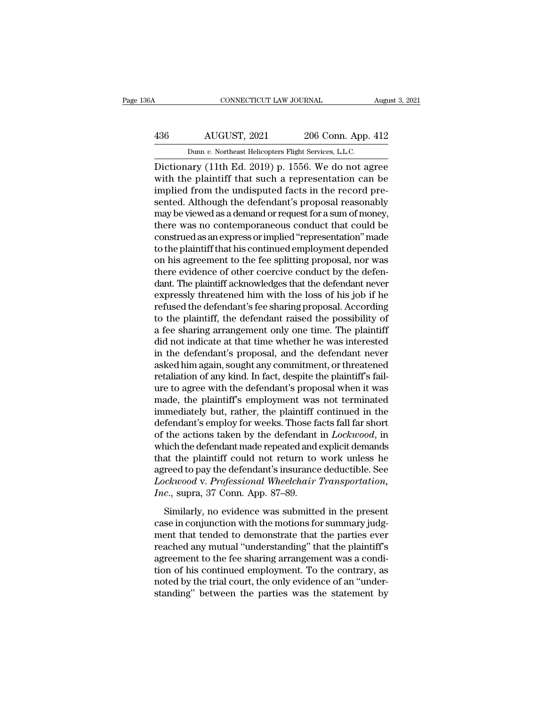## CONNECTICUT LAW JOURNAL August 3, 2021<br>436 AUGUST, 2021 206 Conn. App. 412<br>Dunn v. Northeast Helicopters Flight Services, L.L.C. CONNECTICUT LAW JOURNAL Augu<br>
AUGUST, 2021 206 Conn. App. 412<br>
Dunn *v.* Northeast Helicopters Flight Services, L.L.C.<br>
Dictionary (11th Ed. 2019) p. 1556. We do not agree

CONNECTICUT LAW JOURNAL August 3, 2021<br>
AUGUST, 2021 206 Conn. App. 412<br>
Dunn v. Northeast Helicopters Flight Services, L.L.C.<br>
Dictionary (11th Ed. 2019) p. 1556. We do not agree<br>
with the plaintiff that such a representa AUGUST, 2021 206 Conn. App. 412<br>
Dunn v. Northeast Helicopters Flight Services, L.L.C.<br>
Dictionary (11th Ed. 2019) p. 1556. We do not agree<br>
with the plaintiff that such a representation can be<br>
implied from the undisputed 436 AUGUST, 2021 206 Conn. App. 412<br>
Dunn v. Northeast Helicopters Flight Services, L.L.C.<br>
Dictionary (11th Ed. 2019) p. 1556. We do not agree<br>
with the plaintiff that such a representation can be<br>
implied from the undis  $\frac{\text{AUGUST, 2021}}{\text{Dunn } v. \text{ Northeast Helicopters Flight Services, L.L.C.}}$ <br>Dictionary (11th Ed. 2019) p. 1556. We do not agree with the plaintiff that such a representation can be implied from the undisputed facts in the record presented. Although the Dunn v. Northeast Helicopters Flight Services, L.L.C.<br>Dictionary (11th Ed. 2019) p. 1556. We do not agree<br>with the plaintiff that such a representation can be<br>implied from the undisputed facts in the record pre-<br>sented. Al Dunn v. Northeast Helicopters Fight Services, L.L.C.<br>Dictionary (11th Ed. 2019) p. 1556. We do not agree<br>with the plaintiff that such a representation can be<br>implied from the undisputed facts in the record pre-<br>sented. Al Dictionary (11th Ed. 2019) p. 1556. We do not agree<br>with the plaintiff that such a representation can be<br>implied from the undisputed facts in the record pre-<br>sented. Although the defendant's proposal reasonably<br>may be view with the plaintiff that such a representation can be<br>implied from the undisputed facts in the record pre-<br>sented. Although the defendant's proposal reasonably<br>may be viewed as a demand or request for a sum of money,<br>there implied from the undisputed facts in the record pre-<br>sented. Although the defendant's proposal reasonably<br>may be viewed as a demand or request for a sum of money,<br>there was no contemporaneous conduct that could be<br>construe sented. Although the defendant's proposal reasonably<br>may be viewed as a demand or request for a sum of money,<br>there was no contemporaneous conduct that could be<br>construed as an express or implied "representation" made<br>to t may be viewed as a demand or request for a sum of money,<br>there was no contemporaneous conduct that could be<br>construed as an express or implied "representation" made<br>to the plaintiff that his continued employment depended<br>o there was no contemporaneous conduct that could be construed as an express or implied "representation" made to the plaintiff that his continued employment depended on his agreement to the fee splitting proposal, nor was th construed as an express or implied "representation" made<br>to the plaintiff that his continued employment depended<br>on his agreement to the fee splitting proposal, nor was<br>there evidence of other coercive conduct by the defen to the plaintiff that his continued employment depended<br>on his agreement to the fee splitting proposal, nor was<br>there evidence of other coercive conduct by the defen-<br>dant. The plaintiff acknowledges that the defendant nev on his agreement to the fee splitting proposal, nor was<br>there evidence of other coercive conduct by the defen-<br>dant. The plaintiff acknowledges that the defendant never<br>expressly threatened him with the loss of his job if there evidence of other coercive conduct by the defendant. The plaintiff acknowledges that the defendant never expressly threatened him with the loss of his job if he refused the defendant's fee sharing proposal. According dant. The plaintiff acknowledges that the defendant never<br>expressly threatened him with the loss of his job if he<br>refused the defendant's fee sharing proposal. According<br>to the plaintiff, the defendant raised the possibili expressly threatened him with the loss of his job if he<br>refused the defendant's fee sharing proposal. According<br>to the plaintiff, the defendant raised the possibility of<br>a fee sharing arrangement only one time. The plainti refused the defendant's fee sharing proposal. According<br>to the plaintiff, the defendant raised the possibility of<br>a fee sharing arrangement only one time. The plaintiff<br>did not indicate at that time whether he was interest to the plaintiff, the defendant raised the possibility of<br>a fee sharing arrangement only one time. The plaintiff<br>did not indicate at that time whether he was interested<br>in the defendant's proposal, and the defendant never<br> a fee sharing arrangement only one time. The plaintiff<br>did not indicate at that time whether he was interested<br>in the defendant's proposal, and the defendant never<br>asked him again, sought any commitment, or threatened<br>reta did not indicate at that time whether he was interested<br>in the defendant's proposal, and the defendant never<br>asked him again, sought any commitment, or threatened<br>retaliation of any kind. In fact, despite the plaintiff's f in the defendant's proposal, and the defendant never<br>asked him again, sought any commitment, or threatened<br>retaliation of any kind. In fact, despite the plaintiff's fail-<br>ure to agree with the defendant's proposal when it asked him again, sought any commitment, or threatened<br>retaliation of any kind. In fact, despite the plaintiff's fail-<br>ure to agree with the defendant's proposal when it was<br>made, the plaintiff's employment was not terminat retaliation of any kind. In fact, despite the plaintiff's fail-<br>ure to agree with the defendant's proposal when it was<br>made, the plaintiff's employment was not terminated<br>immediately but, rather, the plaintiff continued in ure to agree with the defendant's proposal when it was<br>made, the plaintiff's employment was not terminated<br>immediately but, rather, the plaintiff continued in the<br>defendant's employ for weeks. Those facts fall far short<br>of made, the plaintiff's employment was not terminated<br>immediately but, rather, the plaintiff continued in the<br>defendant's employ for weeks. Those facts fall far short<br>of the actions taken by the defendant in *Lockwood*, in<br>w immediately but, rather, the plaintiff continued in the defendant's employ for weeks. Those facts fall far short of the actions taken by the defendant in *Lockwood*, in which the defendant made repeated and explicit demand defendant's employ for weeks. Those fa<br>of the actions taken by the defendant<br>which the defendant made repeated and<br>that the plaintiff could not return to<br>agreed to pay the defendant's insurance<br>*Lockwood* v. *Professional* and the defendant made repeated and explicit demands<br>at the plaintiff could not return to work unless he<br>reed to pay the defendant's insurance deductible. See<br>*ckwood* v. *Professional Wheelchair Transportation*,<br>*c.*, sup matrix deterministic repeated and enpired dentations<br>that the plaintiff could not return to work unless he<br>agreed to pay the defendant's insurance deductible. See<br>*Lockwood* v. Professional Wheelchair Transportation,<br>Inc.,

rata the plant of estation to team to work that the sequence as<br>agreed to pay the defendant's insurance deductible. See<br>*Lockwood* v. *Professional Wheelchair Transportation*,<br>*Inc.*, supra, 37 Conn. App. 87–89.<br>Similarly, Lockwood v. Professional Wheelchair Transportation,<br>Lockwood v. Professional Wheelchair Transportation,<br>Inc., supra, 37 Conn. App. 87–89.<br>Similarly, no evidence was submitted in the present<br>case in conjunction with the mot Frame, supra, 37 Conn. App. 87–89.<br>
Similarly, no evidence was submitted in the present<br>
case in conjunction with the motions for summary judg-<br>
ment that tended to demonstrate that the parties ever<br>
reached any mutual "u Similarly, no evidence was submitted in the present<br>case in conjunction with the motions for summary judg-<br>ment that tended to demonstrate that the parties ever<br>reached any mutual "understanding" that the plaintiff's<br>agree Similarly, no evidence was submitted in the present case in conjunction with the motions for summary judgment that tended to demonstrate that the parties ever reached any mutual "understanding" that the plaintiff's agreeme case in conjunction with the motions for summary judgment that tended to demonstrate that the parties ever reached any mutual "understanding" that the plaintiff's agreement to the fee sharing arrangement was a condition of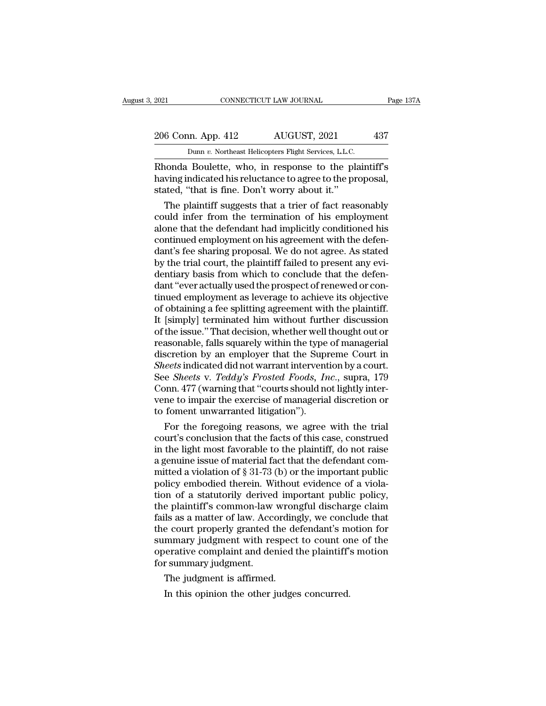## 2021 CONNECTICUT LAW JOURNAL Page 137A<br>206 Conn. App. 412 AUGUST, 2021 437<br>Dunn v. Northeast Helicopters Flight Services, L.L.C. EXECUTE 2021 CONNECTICUT LAW JOURNAL<br>
206 Conn. App. 412 AUGUST, 2021 437<br>
Dunn *v.* Northeast Helicopters Flight Services, L.L.C.<br>
Rhonda Boulette, who, in response to the plaintiff's

EXECTIVE 2021<br>
Rage 137A<br>
206 Conn. App. 412 AUGUST, 2021 437<br>
Dunn v. Northeast Helicopters Flight Services, L.L.C.<br>
Rhonda Boulette, who, in response to the plaintiff's<br>
having indicated his reluctance to agree to the pr 206 Conn. App. 412 AUGUST, 2021 437<br>
Dunn v. Northeast Helicopters Flight Services, L.L.C.<br>
Rhonda Boulette, who, in response to the plaintiff's<br>
having indicated his reluctance to agree to the proposal,<br>
stated, "that is 206 Conn. App. 412 AUGUST, 2021<br>
Dunn v. Northeast Helicopters Flight Services, L.L.C.<br>
Rhonda Boulette, who, in response to the pla<br>
having indicated his reluctance to agree to the pr<br>
stated, "that is fine. Don't worry  $\frac{6 \text{ Conn. App. 412}}{\text{Dunn } v. \text{ Northeast Helicopters Flight Services, L.L.C.}}$ <br>
and Boulette, who, in response to the plaintiff's<br>
sum indicated his reluctance to agree to the proposal,<br>
ated, "that is fine. Don't worry about it."<br>
The plaintiff suggests

Dunn  $v$ . Northeast Helicopters Flight Services, L.L.C.<br>
Rhonda Boulette, who, in response to the plaintiff's<br>
having indicated his reluctance to agree to the proposal,<br>
stated, "that is fine. Don't worry about it."<br>
The alone that the defendant had implicitly conditioned his relationships having indicated his reluctance to agree to the proposal, stated, "that is fine. Don't worry about it."<br>The plaintiff suggests that a trier of fact reas Rhonda Boulette, who, in response to the plaintiff's<br>having indicated his reluctance to agree to the proposal,<br>stated, "that is fine. Don't worry about it."<br>The plaintiff suggests that a trier of fact reasonably<br>could infe having indicated his reluctance to agree to the proposal,<br>stated, "that is fine. Don't worry about it."<br>The plaintiff suggests that a trier of fact reasonably<br>could infer from the termination of his employment<br>alone that t stated, "that is fine. Don't worry about it."<br>The plaintiff suggests that a trier of fact reasonably<br>could infer from the termination of his employment<br>alone that the defendant had implicitly conditioned his<br>continued empl The plaintiff suggests that a trier of fact reasonably<br>could infer from the termination of his employment<br>alone that the defendant had implicitly conditioned his<br>continued employment on his agreement with the defen-<br>dant's could infer from the termination of his employment<br>alone that the defendant had implicitly conditioned his<br>continued employment on his agreement with the defen-<br>dant's fee sharing proposal. We do not agree. As stated<br>by th alone that the defendant had implicitly conditioned his continued employment on his agreement with the defendant's fee sharing proposal. We do not agree. As stated by the trial court, the plaintiff failed to present any ev continued employment on his agreement with the defendant's fee sharing proposal. We do not agree. As stated by the trial court, the plaintiff failed to present any evidentiary basis from which to conclude that the defendan dant's fee sharing proposal. We do not agree. As stated<br>by the trial court, the plaintiff failed to present any evi-<br>dentiary basis from which to conclude that the defen-<br>dant "ever actually used the prospect of renewed or by the trial court, the plaintiff failed to present any evidentiary basis from which to conclude that the defendant "ever actually used the prospect of renewed or continued employment as leverage to achieve its objective o dentiary basis from which to conclude that the defendant "ever actually used the prospect of renewed or continued employment as leverage to achieve its objective of obtaining a fee splitting agreement with the plaintiff. I dant "ever actually used the prospect of renewed or continued employment as leverage to achieve its objective<br>of obtaining a fee splitting agreement with the plaintiff.<br>It [simply] terminated him without further discussion tinued employment as leverage to achieve its objective<br>of obtaining a fee splitting agreement with the plaintiff.<br>It [simply] terminated him without further discussion<br>of the issue." That decision, whether well thought out of obtaining a fee splitting agreement with the plaintiff.<br>It [simply] terminated him without further discussion<br>of the issue." That decision, whether well thought out or<br>reasonable, falls squarely within the type of manag It [simply] terminated him without further discussion<br>of the issue." That decision, whether well thought out or<br>reasonable, falls squarely within the type of managerial<br>discretion by an employer that the Supreme Court in<br> of the issue." That decision, whether well thought out or<br>reasonable, falls squarely within the type of managerial<br>discretion by an employer that the Supreme Court in<br>*Sheets* indicated did not warrant intervention by a co reasonable, falls squarely within the type<br>discretion by an employer that the Supi<br>Sheets indicated did not warrant intervent<br>See Sheets v. Teddy's Frosted Foods, In<br>Conn. 477 (warning that "courts should no<br>vene to impair scretion by an employer that the Supreme Court in<br> *eets* indicated did not warrant intervention by a court.<br>
e *Sheets* v. *Teddy's Frosted Foods*, *Inc.*, supra, 179<br>
pnn. 477 (warning that "courts should not lightly int Sheets indicated did not warrant intervention by a court.<br>See *Sheets v. Teddy's Frosted Foods, Inc.*, supra, 179<br>Conn. 477 (warning that "courts should not lightly inter-<br>vene to impair the exercise of managerial discreti

See *Sheets v. Teddy's Frosted Foods, Inc.*, supra, I79<br>Conn. 477 (warning that "courts should not lightly inter-<br>vene to impair the exercise of managerial discretion or<br>to foment unwarranted litigation").<br>For the foregoi Conn. 477 (warning that "courts should not lightly inter-<br>vene to impair the exercise of managerial discretion or<br>to foment unwarranted litigation").<br>For the foregoing reasons, we agree with the trial<br>court's conclusion t vene to impair the exercise of managerial discretion or<br>to foment unwarranted litigation").<br>For the foregoing reasons, we agree with the trial<br>court's conclusion that the facts of this case, construed<br>in the light most fav to foment unwarranted litigation").<br>For the foregoing reasons, we agree with the trial<br>court's conclusion that the facts of this case, construed<br>in the light most favorable to the plaintiff, do not raise<br>a genuine issue o For the foregoing reasons, we agree with the trial court's conclusion that the facts of this case, construed<br>in the light most favorable to the plaintiff, do not raise<br>a genuine issue of material fact that the defendant c court's conclusion that the facts of this case, construed<br>in the light most favorable to the plaintiff, do not raise<br>a genuine issue of material fact that the defendant com-<br>mitted a violation of § 31-73 (b) or the importa in the light most favorable to the plaintiff, do not raise<br>a genuine issue of material fact that the defendant com-<br>mitted a violation of  $\S 31-73$  (b) or the important public<br>policy embodied therein. Without evidence of a genuine issue of material fact that the defendant committed a violation of § 31-73 (b) or the important public<br>policy embodied therein. Without evidence of a violation of a statutorily derived important public policy,<br>th mitted a violation of § 31-73 (b) or the important public<br>policy embodied therein. Without evidence of a viola-<br>tion of a statutorily derived important public policy,<br>the plaintiff's common-law wrongful discharge claim<br>fai policy embodied therein. Without evidence of a violation of a statutorily derived important public policy, the plaintiff's common-law wrongful discharge claim fails as a matter of law. Accordingly, we conclude that the cou tion of a statutorily derived<br>the plaintiff's common-law<br>fails as a matter of law. Acce<br>the court properly granted t<br>summary judgment with re<br>operative complaint and der<br>for summary judgment.<br>The judgment is affirmed. e plantiff's common-law wron<br>ils as a matter of law. According<br>e court properly granted the de<br>mmary judgment with respect<br>erative complaint and denied t<br>r summary judgment.<br>The judgment is affirmed.<br>In this opinion the ot In this opinion the other judges concurred.<br>In this opinion the other is a management with respect to count of<br>perative complaint and denied the plaintiff'<br>is summary judgment.<br>The judgment is affirmed.<br>In this opinion the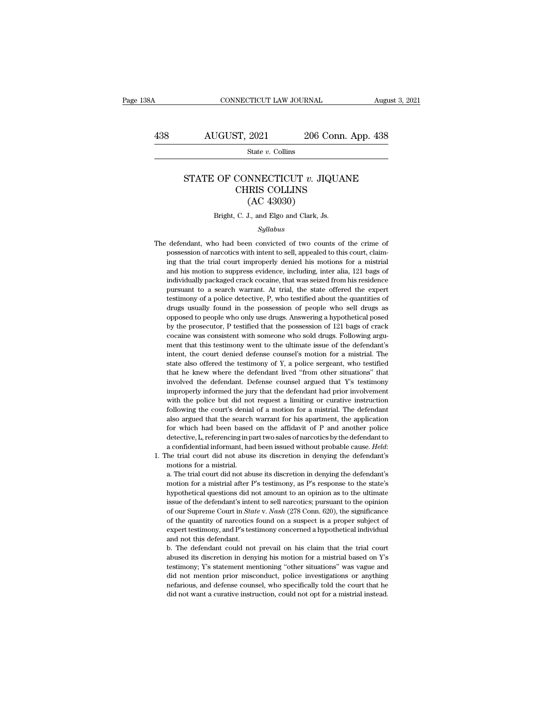# $\begin{array}{r|l} \text{COMNECTICUT LAW JOURNAL} & \text{August 3, 2021} \\\\ \hline \text{438} & \text{AUGUST, 2021} & \text{206 Conn. App. 438} \\\\ \hline & \text{State $v$. Collins} \end{array}$

State *v.* Collins

### AUGUST, 2021 206 Conn. App. 438<br>
State *v*. Collins<br>
STATE OF CONNECTICUT *v*. JIQUANE<br>
CHRIS COLLINS ST, 2021 206 Conn. A<br>
State v. Collins<br>
CONNECTICUT v. JIQUANE<br>
CHRIS COLLINS<br>
(AC 43030)  $\begin{array}{ll} \textbf{2021} & \textbf{206 C} \\ \textbf{State $v$. Collins} \\ \textbf{NNECTICUT $v$. JIG} \\ \textbf{IRIS COLLINS} \\ \textbf{(AC 43030)} \\ \textbf{J., and Elgo and Clark, Js.} \end{array}$ STATE OF CONNECTICUT  $v$ . JIQUANE<br>CHRIS COLLINS<br>(AC 43030)<br>Bright, C. J., and Elgo and Clark, Js.

### *Syllabus*

CHRIS COLLINS<br>
(AC 43030)<br>
Bright, C. J., and Elgo and Clark, Js.<br>
Syllabus<br>
The defendant, who had been convicted of two counts of the crime of<br>
possession of narcotics with intent to sell, appealed to this court, claim-(AC 43030)<br>Bright, C. J., and Elgo and Clark, Js.<br>Syllabus<br>defendant, who had been convicted of two counts of the crime of<br>possession of narcotics with intent to sell, appealed to this court, claim-<br>ing that the trial cour Bright, C. J., and Elgo and Clark, Js.<br>
Syllabus<br>
defendant, who had been convicted of two counts of the crime of<br>
possession of narcotics with intent to sell, appealed to this court, claim-<br>
ing that the trial court impro *Syllabus*<br>*Syllabus*<br>defendant, who had been convicted of two counts of the crime of<br>possession of narcotics with intent to sell, appealed to this court, claim-<br>ing that the trial court improperly denied his motions for a *Syllabus*<br>defendant, who had been convicted of two counts of the crime of<br>possession of narcotics with intent to sell, appealed to this court, claim-<br>ing that the trial court improperly denied his motions for a mistrial<br>a defendant, who had been convicted of two counts of the crime of possession of narcotics with intent to sell, appealed to this court, claiming that the trial court improperly denied his motions for a mistrial and his motion determinally who had been contributed of two collates of the crime or possession of narcotics with intent to sell, appealed to this court, claiming that the trial court improperly denied his motions for a mistrial and his in the trial court improperly denied his motions for a mistrial<br>ing that the trial court improperly denied his motions for a mistrial<br>and his motion to suppress evidence, including, inter alia, 121 bags of<br>individually pac and his motion to suppress evidence, including, inter alia, 121 bags of individually packaged crack cocaine, that was seized from his residence pursuant to a search warrant. At trial, the state offered the expert testimony and his house to suppress evaluate, including, mean and, 121 bags of<br>individually packaged crack cocaine, that was seized from his residence<br>pursuant to a search warrant. At trial, the state offered the expert<br>testimony of individually packaged crack cocaine, that was seized from his residence pursuant to a search warrant. At trial, the state offered the expert testimony of a police detective, P, who testified about the quantities of drugs pursuant of a police detective, P, who testified about the quantities of drugs usually found in the possession of people who sell drugs as opposed to people who only use drugs. Answering a hypothetical posed by the prosecu intent, or a poince decedure, r, who eccleared about the quantities of drugs as opposed to people who only use drugs. Answering a hypothetical posed by the prosecutor, P testified that the possession of 121 bags of crack c also distantly found in the possession of people who self angles as<br>opposed to people who only use drugs. Answering a hypothetical posed<br>by the prosecutor, P testified that the possession of 121 bags of crack<br>cocaine was c by the prosecutor, P testified that the possession of 121 bags of crack<br>cocaine was consistent with someone who sold drugs. Following argu-<br>ment that this testimony went to the ultimate issue of the defendant's<br>intent, the by an prosecutor, T testinced that the possession of 121 bags of elactrococaine was consistent with someone who sold drugs. Following argued ment that this testimony went to the ultimate issue of the defendant's intent, th improperly informed the jury that the defendant had prior involvement that this testimony went to the ultimate issue of the defendant's intent, the court denied defense counsel's motion for a mistrial. The state also offer ment and the court denied defense coursel's motion for a mistrial. The state also offered the testimony of Y, a police sergeant, who testified that he knew where the defendant lived "from other situations" that involved t factor and the court of the testimony of Y, a police sergeant, who testified that he knew where the defendant lived "from other situations" that involved the defendant. Defense counsel argued that Y's testimony improperly back also oncrea are essainedly of 1, a poince sergeant, who essained<br>that he knew where the defendant lived "from other situations" that<br>involved the defendant. Defense counsel argued that Y's testimony<br>improperly informe for more and the defendant. Defense counsel argued that Y's testimony<br>improperly informed the jury that the defendant had prior involvement<br>with the police but did not request a limiting or curative instruction<br>following t my improperly informed the jury that the defendant had prior involvement with the police but did not request a limiting or curative instruction following the court's denial of a motion for a mistrial. The defendant also ar a confidential informant, had been issued without probable cause. *Heldant* also argued that the search warrant for his apartment, the application for which had been based on the affidavit of P and another police detective following the court's denial of a motion for a mistrial. The defendant<br>also argued that the search warrant for his apartment, the application<br>for which had been based on the affidavit of  $P$  and another police<br>detective, for which had been based on the affidavit of P and another police detective, L, referencing in part two sales of narcotics by the defendant to a confidential informant, had been issued without probable cause. *Held*: the

motion for a mistrial after P's testimony, as P's response to the differential informant, had been issued without probable cause. *Held*:<br>he trial court did not abuse its discretion in denying the defendant's<br>motions for a decedure, *L*, referencing in plant two states of nationals of particular and confidential informant, had been issued without probable cause. *Held*: the trial court did not abuse its discretion in denying the defendant's is underly a different to the defendant's motions for a mistrial.<br>
a. The trial court did not abuse its discretion in denying the defendant's<br>
motion for a mistrial after P's testimony, as P's response to the state's<br>
hypo notions for a mistrial.<br>a. The trial court did not abuse its discretion in denying the defendant's<br>motion for a mistrial after P's testimony, as P's response to the state's<br>hypothetical questions did not amount to an opini a. The trial court did not abuse its discretion in denying the defendant's motion for a mistrial after P's testimony, as P's response to the state's hypothetical questions did not amount to an opinion as to the ultimate is at The and Source and Hot also associated in any mg are to the state's hypothetical questions did not amount to an opinion as to the ultimate issue of the defendant's intent to sell narcotics; pursuant to the opinion of ou modor for a misaria and the hypothetical questions did not<br>since of the defendant's inter-<br>of our Supreme Court in *Stat*<br>of the quantity of narcotics<br>expert testimony, and P's test<br>and not this defendant.<br>b. The defendant issue of the defendant's intent to sell narcotics; pursuant to the opinion<br>of our Supreme Court in *State* v. *Nash* (278 Conn. 620), the significance<br>of the quantity of narcotics found on a suspect is a proper subject of<br> abused in the deferred in *State* we see that access, published of our Suppreme Court in *State* v. *Nash* (278 Conn. 620), the significance of the quantity of narcotics found on a suspect is a proper subject of expert tes

of the quantity of narcotics found on a suspect is a proper subject of expert testimony, and P's testimony concerned a hypothetical individual and not this defendant.<br>b. The defendant could not prevail on his claim that th or are quality of nationals or a subject is a proper subject of<br>expert testimony, and P's testimony concerned a hypothetical individual<br>and not this defendant.<br>b. The defendant could not prevail on his claim that the trial and not this defendant.<br>
In the defendant could not prevail on his claim that the trial court<br>
abused its discretion in denying his motion for a mistrial based on Y's<br>
testimony; Y's statement mentioning "other situations" and not this defendant.<br>
b. The defendant could not prevail on his claim that the trial court<br>
abused its discretion in denying his motion for a mistrial based on Y's<br>
testimony; Y's statement mentioning "other situations"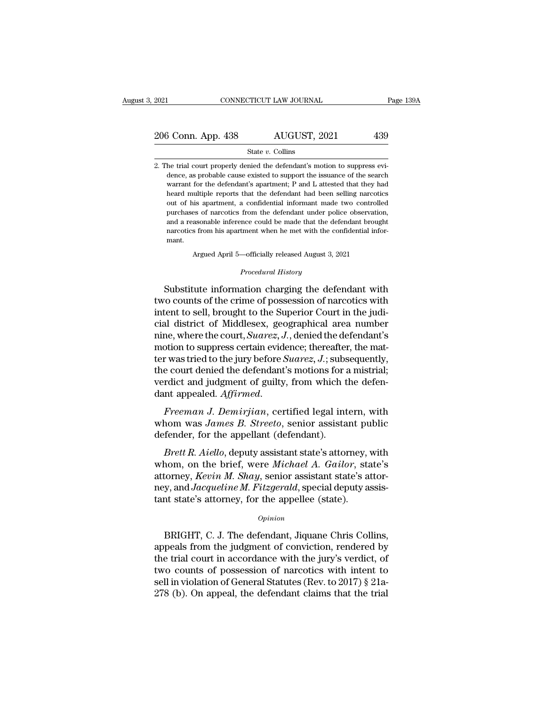# 2021 CONNECTICUT LAW JOURNAL Page 139A<br>
206 Conn. App. 438 AUGUST, 2021 439<br>
State v. Collins

### State *v.* Collins

2. The trial court properly denied the defendant's motion to suppress evidence, as probable cause existed to support the issuance of the search warrant for the defendant's apartment; P and L attested that they had dence, as probable cause existed to support the issuance of the search warrant for the defendant's apartment; P and L attested that they had So Conn. App. 438 MUGUST, 2021 439<br>State v. Collins<br>he trial court properly denied the defendant's motion to suppress evi-<br>dence, as probable cause existed to support the issuance of the search<br>warrant for the defendant's State  $v$ . Collins<br>
he trial court properly denied the defendant's motion to suppress evi-<br>
dence, as probable cause existed to support the issuance of the search<br>
warrant for the defendant's apartment; P and L attested t State v. Collins<br>
he trial court properly denied the defendant's motion to suppress evi-<br>
dence, as probable cause existed to support the issuance of the search<br>
warrant for the defendant's apartment, P and L attested that he trial court properly denied the defendant's motion to suppress evidence, as probable cause existed to support the issuance of the search warrant for the defendant's apartment; P and L attested that they had heard multip and a reasonable cause existed to support the issuance of the search<br>warrant for the defendant's apartment; P and L attested that they had<br>heard multiple reports that the defendant had been selling narcotics<br>out of his apa heard multiple reports that the defendant had been selling narcotics<br>out of his apartment, a confidential informant made two controlled<br>purchases of narcotics from the defendant under police observation,<br>and a reasonable i mant. purchases of narcotics from the defendant under police observation,<br>and a reasonable inference could be made that the defendant brought<br>narcotics from his apartment when he met with the confidential informant.<br>Argued Apri narcotics from his apartment when he met with the confidential informant.<br> *Argued April 5—officially released August 3, 2021*<br> *Procedural History*<br>
Substitute information charging the defendant with and a reasonable inference could be made that the defendant brought<br>narcotics from his apartment when he met with the confidential information.<br>Argued April 5—officially released August 3, 2021<br>Procedural History<br>Substitut

narcotics from his apartment when he met with the confidential informant.<br>
Argued April 5—officially released August 3, 2021<br>
Procedural History<br>
Substitute information charging the defendant with<br>
two counts of the crime mant.<br>
Argued April 5—officially released August 3, 2021<br>
Procedural History<br>
Substitute information charging the defendant with<br>
two counts of the crime of possession of narcotics with<br>
intent to sell, brought to the Supe Argued April 5—officially released August 3, 2021<br>
Procedural History<br>
Substitute information charging the defendant with<br>
two counts of the crime of possession of narcotics with<br>
intent to sell, brought to the Superior Co Frocedural History<br>Substitute information charging the defendant with<br>two counts of the crime of possession of narcotics with<br>intent to sell, brought to the Superior Court in the judi-<br>cial district of Middlesex, geographi Substitute information charging the defendant with<br>two counts of the crime of possession of narcotics with<br>intent to sell, brought to the Superior Court in the judi-<br>cial district of Middlesex, geographical area number<br>ni Substitute information charging the defendant with<br>two counts of the crime of possession of narcotics with<br>intent to sell, brought to the Superior Court in the judi-<br>cial district of Middlesex, geographical area number<br>nin two counts of the crime of possession of narcotics with<br>intent to sell, brought to the Superior Court in the judi-<br>cial district of Middlesex, geographical area number<br>nine, where the court, *Suarez*, J., denied the defend intent to sell, brought to the Superior Court in the judicial district of Middlesex, geographical area number<br>nine, where the court, *Suarez*, *J*., denied the defendant's<br>motion to suppress certain evidence; thereafter, cial district of Middlesex, geographical area number<br>nine, where the court, *Suarez*, *J*., denied the defendant's<br>motion to suppress certain evidence; thereafter, the mat-<br>ter was tried to the jury before *Suarez*, *J*.; motion to suppress ecruant evidence, thereafter, the matter was tried to the jury before *Suarez*, *J*.; subsequently, the court denied the defendant's motions for a mistrial; verdict and judgment of guilty, from which the definite the defendant's motions for the court denied the defendant's motions for the verdict and judgment of guilty, from which the dant appealed. Affirmed.<br>Freeman J. Demirjian, certified legal interview whom was James B

rdict and judgment of guilty, from which the defen-<br>*Brett R. Affirmed.*<br>*Brett R. Aiello, deputy assistant public*<br>*Brett R. Aiello, deputy assistant state's attorney, with*<br>*Brett R. Aiello, deputy assistant state's atto* 

dant appealed. *Affirmed.*<br> *Freeman J. Demirjian*, certified legal intern, with<br>
whom was *James B. Streeto*, senior assistant public<br>
defender, for the appellant (defendant).<br> *Brett R. Aiello*, deputy assistant state's Freeman J. Demirjian, certified legal intern, with<br>whom was James B. Streeto, senior assistant public<br>defender, for the appellant (defendant).<br>Brett R. Aiello, deputy assistant state's attorney, with<br>whom, on the brief, we *Treeman 9: Demirjani*, ecrified idea intern, which<br>whom was *James B. Streeto*, senior assistant public<br>defender, for the appellant (defendant).<br>*Brett R. Aiello*, deputy assistant state's attorney, with<br>whom, on the brie *Atter was states D. Streeto,* Schlor assistant periodic defender, for the appellant (defendant).<br> *Brett R. Aiello,* deputy assistant state's attorney, whom, on the brief, were *Michael A. Gailor*, stated attorney, *Kevin* nom, on the brief, were *Michael A. Gailor*, state's<br>torney, *Kevin M. Shay*, senior assistant state's attor-<br>y, and *Jacqueline M. Fitzgerald*, special deputy assis-<br>to state's attorney, for the appellee (state).<br> $o_{pinion}$ <br>

### *Opinion*

attorney, *Kevin M. Shay*, senior assistant state's attor-<br>ney, and *Jacqueline M. Fitzgerald*, special deputy assistant state's attorney, for the appellee (state).<br>*Opinion*<br>BRIGHT, C. J. The defendant, Jiquane Chris Coll ney, and *Jacqueline M. Fitzgerald*, special deputy assistant state's attorney, for the appellee (state).<br> *Opinion*<br>
BRIGHT, C. J. The defendant, Jiquane Chris Collins,<br>
appeals from the judgment of conviction, rendered b tant state's attorney, for the appellee (state).<br>  $\phi_{pinion}$ <br>
BRIGHT, C. J. The defendant, Jiquane Chris Collins,<br>
appeals from the judgment of conviction, rendered by<br>
the trial court in accordance with the jury's verdict, opinion<br>BRIGHT, C. J. The defendant, Jiquane Chris Collins,<br>appeals from the judgment of conviction, rendered by<br>the trial court in accordance with the jury's verdict, of<br>two counts of possession of narcotics with intent BRIGHT, C. J. The defendant, Jiquane Chris Collins,<br>appeals from the judgment of conviction, rendered by<br>the trial court in accordance with the jury's verdict, of<br>two counts of possession of narcotics with intent to<br>sell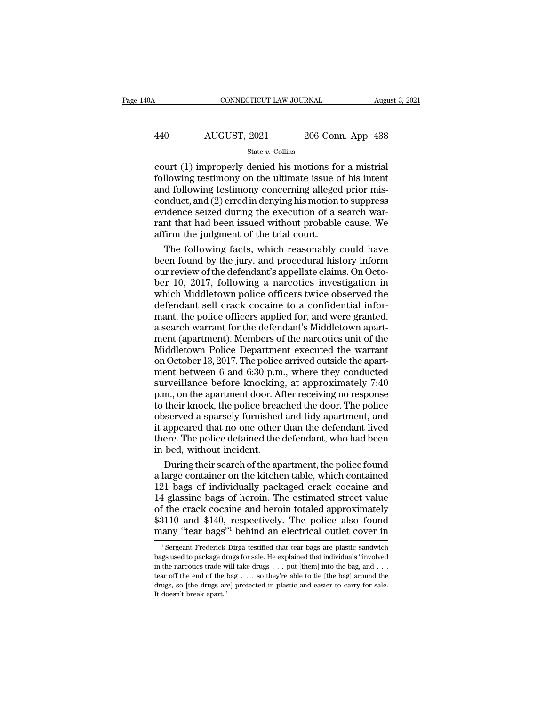| 40A | CONNECTICUT LAW JOURNAL |                    | August 3, 2021 |
|-----|-------------------------|--------------------|----------------|
|     |                         |                    |                |
| 440 | AUGUST, 2021            | 206 Conn. App. 438 |                |
|     | State $v$ . Collins     |                    |                |

CONNECTICUT LAW JOURNAL August 3, 20<br>
AUGUST, 2021 206 Conn. App. 438<br>
State v. Collins<br>
Court (1) improperly denied his motions for a mistrial<br>
following testimony on the ultimate issue of his intent<br>
and following testim 440 AUGUST, 2021 206 Conn. App. 438<br>  $\frac{\text{State } v. \text{ Collins}}{\text{count (1)rightperly denied his motions for a mistrial following testimony on the ultimate issue of his intent and following testimony concerning alleged prior mis-conduct and (2) erred in depuis his motion to suppress.$ 440 AUGUST, 2021 206 Conn. App. 438<br>  $\frac{\text{State } v. \text{ Collins}}{\text{court (1) improperly denied his motions for a mistrial following testimony on the ultimate issue of his intent and following testimony concerning alleged prior mis-conduct, and (2) erred in denying his motion to suppress evidence, sized during the execution of a search war-$ AUGUST, 2021 206 Conn. App. 438<br>  $\frac{\text{State } v. \text{ Collins}}{\text{court (1)righted his motions for a mistrial}$ <br>
following testimony on the ultimate issue of his intent<br>
and following testimony concerning alleged prior mis-<br>
conduct, and (2) erred in denying his moti Eventually,  $\frac{1}{2021}$  and  $\frac{1}{200}$  collins<br>
court (1) improperly denied his motions for a mistrial<br>
following testimony on the ultimate issue of his intent<br>
and following testimony concerning alleged prior mis-<br>
con State *v*. Collins<br>
court (1) improperly denied his motions for a mistrial<br>
following testimony on the ultimate issue of his intent<br>
and following testimony concerning alleged prior mis-<br>
conduct, and (2) erred in denying court (1) improperly denied his motions fo<br>following testimony on the ultimate issue o<br>and following testimony concerning alleged<br>conduct, and (2) erred in denying his motion<br>evidence seized during the execution of a s<br>ran llowing testimony on the ultimate issue of his intent<br>d following testimony concerning alleged prior mis-<br>nduct, and (2) erred in denying his motion to suppress<br>idence seized during the execution of a search war-<br>nt that h and following testimony concerning alleged prior mis-<br>conduct, and (2) erred in denying his motion to suppress<br>evidence seized during the execution of a search war-<br>rant that had been issued without probable cause. We<br>affi

conduct, and (2) erred in denying his motion to suppress<br>evidence seized during the execution of a search warrant that had been issued without probable cause. We<br>affirm the judgment of the trial court.<br>The following facts, evidence seized during the execution of a search warrant that had been issued without probable cause. We<br>affirm the judgment of the trial court.<br>The following facts, which reasonably could have<br>been found by the jury, and rant that had been issued without probable cause. We<br>affirm the judgment of the trial court.<br>The following facts, which reasonably could have<br>been found by the jury, and procedural history inform<br>our review of the defendan affirm the judgment of the trial court.<br>The following facts, which reasonably could have<br>been found by the jury, and procedural history inform<br>our review of the defendant's appellate claims. On Octo-<br>ber 10, 2017, followin The following facts, which reasonably could have<br>been found by the jury, and procedural history inform<br>our review of the defendant's appellate claims. On Octo-<br>ber 10, 2017, following a narcotics investigation in<br>which Mid been found by the jury, and procedural history inform<br>our review of the defendant's appellate claims. On Octo-<br>ber 10, 2017, following a narcotics investigation in<br>which Middletown police officers twice observed the<br>defend our review of the defendant's appellate claims. On October 10, 2017, following a narcotics investigation in which Middletown police officers twice observed the defendant sell crack cocaine to a confidential informant, the ber 10, 2017, following a narcotics investigation in<br>which Middletown police officers twice observed the<br>defendant sell crack cocaine to a confidential infor-<br>mant, the police officers applied for, and were granted,<br>a sea which Middletown police officers twice observed the<br>defendant sell crack cocaine to a confidential infor-<br>mant, the police officers applied for, and were granted,<br>a search warrant for the defendant's Middletown apart-<br>men defendant sell crack cocaine to a confidential informant, the police officers applied for, and were granted,<br>a search warrant for the defendant's Middletown apartment (apartment). Members of the narcotics unit of the<br>Middl mant, the police officers applied for, and were granted,<br>a search warrant for the defendant's Middletown apart-<br>ment (apartment). Members of the narcotics unit of the<br>Middletown Police Department executed the warrant<br>on Oc a search warrant for the defendant's Middletown apart-<br>ment (apartment). Members of the narcotics unit of the<br>Middletown Police Department executed the warrant<br>on October 13, 2017. The police arrived outside the apart-<br>men ment (apartment). Members of the narcotics unit of the<br>Middletown Police Department executed the warrant<br>on October 13, 2017. The police arrived outside the apart-<br>ment between 6 and 6:30 p.m., where they conducted<br>surveil Middletown Police Department executed the warrant<br>on October 13, 2017. The police arrived outside the apart-<br>ment between 6 and 6:30 p.m., where they conducted<br>surveillance before knocking, at approximately 7:40<br>p.m., on t on October 13, 2017. The police arrived outside the apartment between 6 and 6:30 p.m., where they conducted<br>surveillance before knocking, at approximately 7:40<br>p.m., on the apartment door. After receiving no response<br>to th ment between 6 and 6:30 p.m., where they conducted<br>surveillance before knocking, at approximately 7:40<br>p.m., on the apartment door. After receiving no response<br>to their knock, the police breached the door. The police<br>obser surveillance before knocking<br>p.m., on the apartment door. Af<br>to their knock, the police bread<br>observed a sparsely furnished<br>it appeared that no one other<br>there. The police detained the<br>in bed, without incident.<br>During thei m, on the apartment door. After receiving no response<br>their knock, the police breached the door. The police<br>served a sparsely furnished and tidy apartment, and<br>appeared that no one other than the defendant lived<br>ere. The p to their knock, the police breached the door. The police<br>observed a sparsely furnished and tidy apartment, and<br>it appeared that no one other than the defendant lived<br>there. The police detained the defendant, who had been<br>i

observed a sparsely furnished and tidy apartment, and<br>it appeared that no one other than the defendant lived<br>there. The police detained the defendant, who had been<br>in bed, without incident.<br>During their search of the apart it appeared that no one other than the defendant lived<br>there. The police detained the defendant, who had been<br>in bed, without incident.<br>During their search of the apartment, the police found<br>a large container on the kitche there. The police detained the defendant, who had been<br>in bed, without incident.<br>During their search of the apartment, the police found<br>a large container on the kitchen table, which contained<br>121 bags of individually packa in bed, without incident.<br>
During their search of the apartment, the police found<br>
a large container on the kitchen table, which contained<br>
121 bags of individually packaged crack cocaine and<br>
14 glassine bags of heroin. T During their search of the apartment, the police found<br>a large container on the kitchen table, which contained<br>121 bags of individually packaged crack cocaine and<br>14 glassine bags of heroin. The estimated street value<br>of t 1 glassine bags of heroin. The estimated street value<br>
f the crack cocaine and heroin totaled approximately<br>
3110 and \$140, respectively. The police also found<br>
any "tear bags"<sup>1</sup> behind an electrical outlet cover in<br>
<sup>1</sup> of the crack cocaine and heroin totaled approximately  $$3110$  and  $$140$ , respectively. The police also found many "tear bags"<sup>1</sup> behind an electrical outlet cover in  $\frac{1}{1}$  Sergeant Frederick Dirga testified that tear

<sup>\$3110</sup> and \$140, respectively. The police also found many "tear bags"<sup>1</sup> behind an electrical outlet cover in  $\frac{1}{1}$  Sergeant Frederick Dirga testified that tear bags are plastic sandwich bags used to package drugs for many "tear bags"<sup>1</sup> behind an electrical outlet cover in<br>
<sup>1</sup> Sergeant Frederick Dirga testified that tear bags are plastic sandwich<br>
bags used to package drugs for sale. He explained that individuals "involved<br>
in the na drugs are plastic cover in a set of the drugs are plastic sandwich bags used to package drugs for sale. He explained that individuals "involved in the narcotics trade will take drugs . . . put [them] into the bag, and . .  $^1$  Sergeant Frederick Dirga testified that tear bags are plastic sandwich bags used to package drugs for sale. He explained that individuals "involved in the narcotics trade will take drugs . . . put [them] into the bag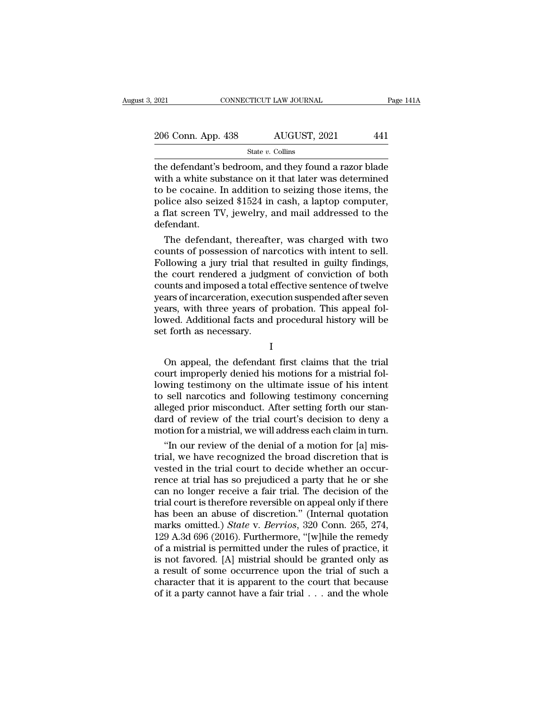| 2021               | CONNECTICUT LAW JOURNAL |              |     | Page 141A |
|--------------------|-------------------------|--------------|-----|-----------|
|                    |                         |              |     |           |
| 206 Conn. App. 438 |                         | AUGUST, 2021 | 441 |           |
|                    | State $v$ . Collins     |              |     |           |

EXECTE 2021 CONNECTICUT LAW JOURNAL Page 141A<br>
206 Conn. App. 438 AUGUST, 2021 441<br>
State v. Collins<br>
the defendant's bedroom, and they found a razor blade<br>
with a white substance on it that later was determined<br>
to be co 206 Conn. App. 438 AUGUST, 2021 441<br>
State v. Collins<br>
the defendant's bedroom, and they found a razor blade<br>
with a white substance on it that later was determined<br>
to be cocaine. In addition to seizing those items, the<br> 206 Conn. App. 438 AUGUST, 2021 441<br>
State v. Collins<br>
the defendant's bedroom, and they found a razor blade<br>
with a white substance on it that later was determined<br>
to be cocaine. In addition to seizing those items, the<br> 206 Conn. App. 438 AUGUST, 2021 441<br>
State v. Collins<br>
the defendant's bedroom, and they found a razor blade<br>
with a white substance on it that later was determined<br>
to be cocaine. In addition to seizing those items, the<br> Solution Tipp. 153 For the detect,  $\frac{1}{2}$ ,  $\frac{1}{2}$ ,  $\frac{1}{2}$ ,  $\frac{1}{2}$  and they found a razor blade with a white substance on it that later was determined to be cocaine. In addition to seizing those items, the poli defendant. e defendant's bedroom, and they found a razor blade<br>th a white substance on it that later was determined<br>be cocaine. In addition to seizing those items, the<br>lice also seized \$1524 in cash, a laptop computer,<br>flat screen TV with a white substance on it that later was determined<br>to be cocaine. In addition to seizing those items, the<br>police also seized \$1524 in cash, a laptop computer,<br>a flat screen TV, jewelry, and mail addressed to the<br>defend

to be cocaine. In addition to seizing those items, the<br>police also seized \$1524 in cash, a laptop computer,<br>a flat screen TV, jewelry, and mail addressed to the<br>defendant.<br>The defendant, thereafter, was charged with two<br>co police also seized \$1524 in cash, a laptop computer,<br>a flat screen TV, jewelry, and mail addressed to the<br>defendant.<br>The defendant, thereafter, was charged with two<br>counts of possession of narcotics with intent to sell.<br>Fo a flat screen TV, jewelry, and mail addressed to the<br>defendant.<br>The defendant, thereafter, was charged with two<br>counts of possession of narcotics with intent to sell.<br>Following a jury trial that resulted in guilty findings detendant.<br>
The defendant, thereafter, was charged with two<br>
counts of possession of narcotics with intent to sell.<br>
Following a jury trial that resulted in guilty findings,<br>
the court rendered a judgment of conviction of The defendant, thereafter, was charged with two<br>counts of possession of narcotics with intent to sell.<br>Following a jury trial that resulted in guilty findings,<br>the court rendered a judgment of conviction of both<br>counts and counts of possession of narcotics with intent to sell.<br>Following a jury trial that resulted in guilty findings,<br>the court rendered a judgment of conviction of both<br>counts and imposed a total effective sentence of twelve<br>ye Following a jury trial that<br>the court rendered a judgn<br>counts and imposed a total  $\epsilon$ <br>years of incarceration, execu<br>years, with three years of p<br>lowed. Additional facts and<br>set forth as necessary. and imposed a total checare schooned of twere<br>ars of incarceration, execution suspended after seven<br>ars, with three years of probation. This appeal fol-<br>wed. Additional facts and procedural history will be<br>t forth as neces

I

because of mean certainon, execution suspended after seven<br>years, with three years of probation. This appeal fol-<br>lowed. Additional facts and procedural history will be<br>set forth as necessary.<br>I<br>On appeal, the defendant fi blowed. Additional facts and procedural history will be<br>set forth as necessary.<br>I<br>On appeal, the defendant first claims that the trial<br>court improperly denied his motions for a mistrial fol-<br>lowing testimony on the ultimat Set forth as necessary.<br>
I<br>
On appeal, the defendant first claims that the trial<br>
court improperly denied his motions for a mistrial fol-<br>
lowing testimony on the ultimate issue of his intent<br>
to sell narcotics and followi I<br>
On appeal, the defendant first claims that the trial<br>
court improperly denied his motions for a mistrial fol-<br>
lowing testimony on the ultimate issue of his intent<br>
to sell narcotics and following testimony concerning<br> I<br>On appeal, the defendant first claims that the trial<br>court improperly denied his motions for a mistrial fol-<br>lowing testimony on the ultimate issue of his intent<br>to sell narcotics and following testimony concerning<br>alleg On appeal, the defendant first claims that the trial<br>court improperly denied his motions for a mistrial fol-<br>lowing testimony on the ultimate issue of his intent<br>to sell narcotics and following testimony concerning<br>alleged urt improperly denied his motions for a mistrial fol-<br>wing testimony on the ultimate issue of his intent<br>sell narcotics and following testimony concerning<br>eged prior misconduct. After setting forth our stan-<br>rd of review o to sell narcotics and following testimony concerning<br>to sell narcotics and following testimony concerning<br>alleged prior misconduct. After setting forth our stan-<br>dard of review of the trial court's decision to deny a<br>motio

to sell narcotics and following testimony concerning<br>alleged prior misconduct. After setting forth our stan-<br>dard of review of the trial court's decision to deny a<br>motion for a mistrial, we will address each claim in turn. alleged prior misconduct. After setting forth our stan-<br>dard of review of the trial court's decision to deny a<br>motion for a mistrial, we will address each claim in turn.<br>"In our review of the denial of a motion for [a] mis dard of review of the trial court's decision to deny a<br>motion for a mistrial, we will address each claim in turn.<br>"In our review of the denial of a motion for [a] mis-<br>trial, we have recognized the broad discretion that is motion for a mistrial, we will address each claim in turn.<br>
"In our review of the denial of a motion for [a] mis-<br>
trial, we have recognized the broad discretion that is<br>
vested in the trial court to decide whether an occ "In our review of the denial of a motion for [a] mis-<br>trial, we have recognized the broad discretion that is<br>vested in the trial court to decide whether an occur-<br>rence at trial has so prejudiced a party that he or she<br>ca trial, we have recognized the broad discretion that is<br>vested in the trial court to decide whether an occur-<br>rence at trial has so prejudiced a party that he or she<br>can no longer receive a fair trial. The decision of the<br>t vested in the trial court to decide whether an occurrence at trial has so prejudiced a party that he or she<br>can no longer receive a fair trial. The decision of the<br>trial court is therefore reversible on appeal only if ther rence at trial has so prejudiced a party that he or she<br>can no longer receive a fair trial. The decision of the<br>trial court is therefore reversible on appeal only if there<br>has been an abuse of discretion." (Internal quotat can no longer receive a fair trial. The decision of the<br>trial court is therefore reversible on appeal only if there<br>has been an abuse of discretion." (Internal quotation<br>marks omitted.) *State* v. *Berrios*, 320 Conn. 265, trial court is therefore reversible on appeal only if there<br>has been an abuse of discretion." (Internal quotation<br>marks omitted.) *State* v. *Berrios*, 320 Conn. 265, 274,<br>129 A.3d 696 (2016). Furthermore, "[w]hile the rem has been an abuse of discretion." (Internal quotation marks omitted.) *State* v. *Berrios*, 320 Conn. 265, 274, 129 A.3d 696 (2016). Furthermore, "[w]hile the remedy of a mistrial is permitted under the rules of practice, marks omitted.) *State* v. *Berrios*, 320 Conn. 265, 274, 129 A.3d 696 (2016). Furthermore, "[w]hile the remedy of a mistrial is permitted under the rules of practice, it is not favored. [A] mistrial should be granted onl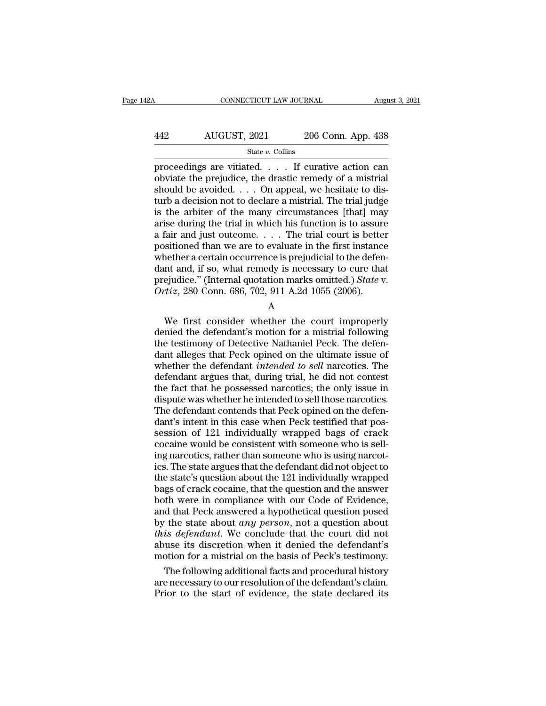# CONNECTICUT LAW JOURNAL August 3, 2021<br>442 AUGUST, 2021 206 Conn. App. 438<br>5tate v. Collins

State *v.* Collins

FRAMEL CONNECTICUT LAW JOURNAL August 3, 2021<br>
AUGUST, 2021 206 Conn. App. 438<br>
State v. Collins<br>
proceedings are vitiated. . . . If curative action can<br>
obviate the prejudice, the drastic remedy of a mistrial<br>
should be AUGUST, 2021 206 Conn. App. 438<br>
state v. Collins<br>
proceedings are vitiated. . . . If curative action can<br>
obviate the prejudice, the drastic remedy of a mistrial<br>
should be avoided. . . . On appeal, we hesitate to dis-<br> AUGUST, 2021 206 Conn. App. 438<br>  $\frac{\text{State } v. \text{ Collins}}{\text{proceedings are vitiated.} \dots$  If curative action can<br>
obviate the prejudice, the drastic remedy of a mistrial<br>
should be avoided.... On appeal, we hesitate to dis-<br>
turb a decision not to AUGUST, 2021 206 Conn. App. 438<br>  $\frac{\text{State } v. \text{ Collins}}{\text{proceedings are vitiated.} \dots$  If curative action can<br>
obviate the prejudice, the drastic remedy of a mistrial<br>
should be avoided.... On appeal, we hesitate to dis-<br>
turb a decision not to From  $\frac{1}{200}$  State v. Collins<br>
State v. Collins<br>
proceedings are vitiated. . . . If curative action can<br>
obviate the prejudice, the drastic remedy of a mistrial<br>
should be avoided. . . . On appeal, we hesitate to dis-State v. Collins<br>proceedings are vitiated. . . . If curative action can<br>obviate the prejudice, the drastic remedy of a mistrial<br>should be avoided. . . . On appeal, we hesitate to dis-<br>turb a decision not to declare a mist proceedings are vitiated. . . . . If curative action can obviate the prejudice, the drastic remedy of a mistrial should be avoided. . . . On appeal, we hesitate to disturb a decision not to declare a mistrial. The trial j obviate the prejudice, the drastic remedy of a mistrial<br>should be avoided. . . . On appeal, we hesitate to dis-<br>turb a decision not to declare a mistrial. The trial judge<br>is the arbiter of the many circumstances [that] ma should be avoided.  $\ldots$  On appeal, we hesitate to disturb a decision not to declare a mistrial. The trial judge<br>is the arbiter of the many circumstances [that] may<br>arise during the trial in which his function is to assur turb a decision not to declare a mistrial. The trial judge<br>is the arbiter of the many circumstances [that] may<br>arise during the trial in which his function is to assure<br>a fair and just outcome.... The trial court is bette is the arbiter of the many circumstances [that] may arise during the trial in which his function is to assure a fair and just outcome.  $\ldots$  The trial court is better positioned than we are to evaluate in the first instan arise during the trial in which his function is to assure<br>a fair and just outcome. . . . The trial court is bette<br>positioned than we are to evaluate in the first instance<br>whether a certain occurrence is prejudicial to the Sholed than we are to evaluate in the first instance<br>nether a certain occurrence is prejudicial to the defen-<br>nt and, if so, what remedy is necessary to cure that<br>ejudice." (Internal quotation marks omitted.) *State* v.<br>

A

whether a certain occurrence is prejudictal to the defendant and, if so, what remedy is necessary to cure that<br>prejudice." (Internal quotation marks omitted.) *State v.*<br> $Ortiz$ , 280 Conn. 686, 702, 911 A.2d 1055 (2006).<br>A<br> Figure 1.1 and, if so, what femely is necessary to cure that<br>prejudice." (Internal quotation marks omitted.) State v.<br> $Ortiz$ , 280 Conn. 686, 702, 911 A.2d 1055 (2006).<br>A<br>We first consider whether the court improperly<br>denie ortiz, 280 Conn. 686, 702, 911 A.2d 1055 (2006).<br>
A<br>
We first consider whether the court improperly<br>
denied the defendant's motion for a mistrial following<br>
the testimony of Detective Nathaniel Peck. The defendant alleges We first consider whether the court improperly<br>
A<br>
We first consider whether the court improperly<br>
denied the defendant's motion for a mistrial following<br>
the testimony of Detective Nathaniel Peck. The defen-<br>
dant alleges A<br>We first consider whether the court improperly<br>denied the defendant's motion for a mistrial following<br>the testimony of Detective Nathaniel Peck. The defen-<br>dant alleges that Peck opined on the ultimate issue of<br>whether t We first consider whether the court improperly<br>denied the defendant's motion for a mistrial following<br>the testimony of Detective Nathaniel Peck. The defen-<br>dant alleges that Peck opined on the ultimate issue of<br>whether the denied the defendant's motion for a mistrial following<br>the testimony of Detective Nathaniel Peck. The defen-<br>dant alleges that Peck opined on the ultimate issue of<br>whether the defendant *intended to sell* narcotics. The<br>de the testimony of Detective Nathaniel Peck. The defendant alleges that Peck opined on the ultimate issue of whether the defendant *intended to sell* narcotics. The defendant argues that, during trial, he did not contest the dant alleges that Peck opined on the ultimate issue of<br>whether the defendant *intended to sell* narcotics. The<br>defendant argues that, during trial, he did not contest<br>the fact that he possessed narcotics; the only issue in whether the defendant *intended to sell* narcotics. The<br>defendant argues that, during trial, he did not contest<br>the fact that he possessed narcotics; the only issue in<br>dispute was whether he intended to sell those narcotic defendant argues that, during trial, he did not contest<br>the fact that he possessed narcotics; the only issue in<br>dispute was whether he intended to sell those narcotics.<br>The defendant contends that Peck opined on the defenthe fact that he possessed narcotics; the only issue in<br>dispute was whether he intended to sell those narcotics.<br>The defendant contends that Peck opined on the defen-<br>dant's intent in this case when Peck testified that pos dispute was whether he intended to sell those narcotics.<br>The defendant contends that Peck opined on the defendant's intent in this case when Peck testified that possession of 121 individually wrapped bags of crack<br>cocaine The defendant contends that Peck opined on the defendant's intent in this case when Peck testified that possession of 121 individually wrapped bags of crack cocaine would be consistent with someone who is selling narcotics dant's intent in this case when Peck testified that possession of 121 individually wrapped bags of crack cocaine would be consistent with someone who is selling narcotics, rather than someone who is using narcotics. The st session of 121 individually wrapped bags of crack<br>cocaine would be consistent with someone who is sell-<br>ing narcotics, rather than someone who is using narcot-<br>ics. The state argues that the defendant did not object to<br>th cocaine would be consistent with someone who is sell-<br>ing narcotics, rather than someone who is using narcot-<br>ics. The state argues that the defendant did not object to<br>the state's question about the 121 individually wrap ing narcotics, rather than someone who is using narcotics. The state argues that the defendant did not object to the state's question about the 121 individually wrapped bags of crack cocaine, that the question and the answ ics. The state argues that the defendant did not object to<br>the state's question about the 121 individually wrapped<br>bags of crack cocaine, that the question and the answer<br>both were in compliance with our Code of Evidence,<br> the state's question about the 121 individually wrapped<br>bags of crack cocaine, that the question and the answer<br>both were in compliance with our Code of Evidence,<br>and that Peck answered a hypothetical question posed<br>by the bags of crack cocaine, that the question and the answer<br>both were in compliance with our Code of Evidence,<br>and that Peck answered a hypothetical question posed<br>by the state about *any person*, not a question about<br>*this de* th were in compliance with our Code of Evidence,<br>
d that Peck answered a hypothetical question posed<br>
the state about *any person*, not a question about<br>
is defendant. We conclude that the court did not<br>
use its discretio and that Peck answered a hypothetical question posed<br>by the state about *any person*, not a question about<br>*this defendant*. We conclude that the court did not<br>abuse its discretion when it denied the defendant's<br>motion fo by the state about *any person*, not a question about *this defendant*. We conclude that the court did not abuse its discretion when it denied the defendant's motion for a mistrial on the basis of Peck's testimony. The fo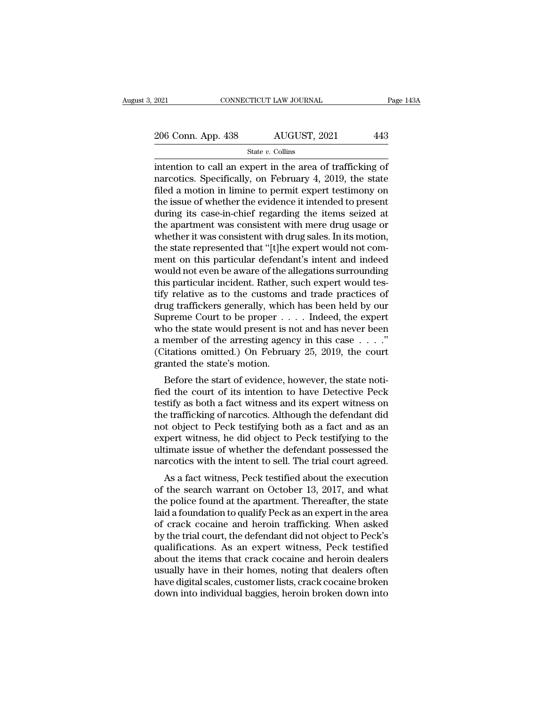# 2021 CONNECTICUT LAW JOURNAL Page 143A<br>
206 Conn. App. 438 AUGUST, 2021 443<br>
State v. Collins

State *v.* Collins

 $\frac{1}{2021}$  CONNECTICUT LAW JOURNAL Page 143.<br>  $\frac{206}{206}$  Conn. App. 438 AUGUST, 2021 443<br>  $\frac{1}{206}$  State v. Collins<br>  $\frac{1}{206}$  intention to call an expert in the area of trafficking of<br>  $\frac{1}{206}$  and  $\frac{1}{206$ 206 Conn. App. 438 AUGUST, 2021 443<br>
State v. Collins<br>
intention to call an expert in the area of trafficking of<br>
narcotics. Specifically, on February 4, 2019, the state<br>
filed a motion in limine to permit expert testimon 206 Conn. App. 438 AUGUST, 2021 443<br>
State v. Collins<br>
intention to call an expert in the area of trafficking of<br>
narcotics. Specifically, on February 4, 2019, the state<br>
filed a motion in limine to permit expert testimon 206 Conn. App. 438 AUGUST, 2021 443<br>
State v. Collins<br>
intention to call an expert in the area of trafficking of<br>
narcotics. Specifically, on February 4, 2019, the state<br>
filed a motion in limine to permit expert testimon State v. Collins<br>
State v. Collins<br>
intention to call an expert in the area of trafficking of<br>
narcotics. Specifically, on February 4, 2019, the state<br>
filed a motion in limine to permit expert testimony on<br>
the issue of state *v*. Collins<br>intention to call an expert in the area of trafficking of<br>narcotics. Specifically, on February 4, 2019, the state<br>filed a motion in limine to permit expert testimony on<br>the issue of whether the evidence intention to call an expert in the area of trafficking of<br>narcotics. Specifically, on February 4, 2019, the state<br>filed a motion in limine to permit expert testimony on<br>the issue of whether the evidence it intended to pres narcotics. Specifically, on February 4, 2019, the state filed a motion in limine to permit expert testimony on the issue of whether the evidence it intended to present during its case-in-chief regarding the items seized at filed a motion in limine to permit expert testimony on<br>the issue of whether the evidence it intended to present<br>during its case-in-chief regarding the items seized at<br>the apartment was consistent with mere drug usage or<br>wh the issue of whether the evidence it intended to present<br>during its case-in-chief regarding the items seized at<br>the apartment was consistent with mere drug usage or<br>whether it was consistent with drug sales. In its motion, during its case-in-chief regarding the items seized at<br>the apartment was consistent with mere drug usage or<br>whether it was consistent with drug sales. In its motion,<br>the state represented that "[t]he expert would not com-<br> the apartment was consistent with mere drug usage or<br>whether it was consistent with drug sales. In its motion,<br>the state represented that "[t]he expert would not com-<br>ment on this particular defendant's intent and indeed<br>w whether it was consistent with drug sales. In its motion,<br>the state represented that "[t]he expert would not com-<br>ment on this particular defendant's intent and indeed<br>would not even be aware of the allegations surrounding the state represented that "[t]he expert would not comment on this particular defendant's intent and indeed<br>would not even be aware of the allegations surrounding<br>this particular incident. Rather, such expert would tes-<br>ti ment on this particular defendant's intent and indeed<br>would not even be aware of the allegations surrounding<br>this particular incident. Rather, such expert would tes-<br>tify relative as to the customs and trade practices of<br> would not even be aware of the allegations surrounding<br>this particular incident. Rather, such expert would tes-<br>tify relative as to the customs and trade practices of<br>drug traffickers generally, which has been held by our this particular incident. Rather, such expert would tes-<br>tify relative as to the customs and trade practices of<br>drug traffickers generally, which has been held by our<br>Supreme Court to be proper  $\dots$ . Indeed, the expert<br>wh tify relative as to the customs and<br>drug traffickers generally, which<br>Supreme Court to be proper . .<br>who the state would present is r<br>a member of the arresting agen<br>(Citations omitted.) On Februa<br>granted the state's motion In the start of evidence, however, the state notifying the state would present is not and has never been<br>member of the arresting agency in this case  $\ldots$ ."<br>itations omitted.) On February 25, 2019, the court<br>anted the sta supreme Court to be proper  $\dots$  interest, the expert<br>who the state would present is not and has never been<br>a member of the arresting agency in this case  $\dots$ ."<br>(Citations omitted.) On February 25, 2019, the court<br>granted

who the state would present is not and has never been<br>a member of the arresting agency in this case  $\dots$ ."<br>(Citations omitted.) On February 25, 2019, the court<br>granted the state's motion.<br>Before the start of evidence, how a member of the arresting agency in this case  $\ldots$ .<br>
(Citations omitted.) On February 25, 2019, the court<br>
granted the state's motion.<br>
Before the start of evidence, however, the state noti-<br>
fied the court of its intent (Chations omitted.) On February 25, 2019, the Court<br>granted the state's motion.<br>Before the start of evidence, however, the state noti-<br>fied the court of its intention to have Detective Peck<br>testify as both a fact witness a Before the state's motion.<br>Before the start of evidence, however, the state notified the court of its intention to have Detective Peck<br>testify as both a fact witness and its expert witness on<br>the trafficking of narcotics. Before the start of evidence, however, the state notified the court of its intention to have Detective Peck testify as both a fact witness and its expert witness on the trafficking of narcotics. Although the defendant did fied the court of its intention to have Detective Peck<br>testify as both a fact witness and its expert witness on<br>the trafficking of narcotics. Although the defendant did<br>not object to Peck testifying both as a fact and as a Example a fact witness and its expert witness on<br>e trafficking of narcotics. Although the defendant did<br>to bject to Peck testifying both as a fact and as an<br>pert witness, he did object to Peck testifying to the<br>timate issu of the darking of narcolics. Although the detendant did<br>not object to Peck testifying both as a fact and as an<br>expert witness, he did object to Peck testifying to the<br>ultimate issue of whether the defendant possessed the<br>n

the police for Feck testifying both as a fact and as an expert witness, he did object to Peck testifying to the ultimate issue of whether the defendant possessed the narcotics with the intent to sell. The trial court agree expert whitess, he did object to Teck testifying to the<br>ultimate issue of whether the defendant possessed the<br>narcotics with the intent to sell. The trial court agreed.<br>As a fact witness, Peck testified about the execution marcotics with the intent to sell. The trial court agreed.<br>As a fact witness, Peck testified about the execution<br>of the search warrant on October 13, 2017, and what<br>the police found at the apartment. Thereafter, the state<br> harcoucs whil the linent to sen. The trial court agreed.<br>
As a fact witness, Peck testified about the execution<br>
of the search warrant on October 13, 2017, and what<br>
the police found at the apartment. Thereafter, the state As a fact witness, Peck testified about the execution<br>of the search warrant on October 13, 2017, and what<br>the police found at the apartment. Thereafter, the state<br>laid a foundation to qualify Peck as an expert in the area<br> of the search warrant on October 13, 2017, and what<br>the police found at the apartment. Thereafter, the state<br>laid a foundation to qualify Peck as an expert in the area<br>of crack cocaine and heroin trafficking. When asked<br>by the police found at the apartment. Thereafter, the state<br>laid a foundation to qualify Peck as an expert in the area<br>of crack cocaine and heroin trafficking. When asked<br>by the trial court, the defendant did not object to Pe laid a foundation to qualify Peck as an expert in the area<br>of crack cocaine and heroin trafficking. When asked<br>by the trial court, the defendant did not object to Peck's<br>qualifications. As an expert witness, Peck testified of crack cocaine and heroin trafficking. When asked<br>by the trial court, the defendant did not object to Peck's<br>qualifications. As an expert witness, Peck testified<br>about the items that crack cocaine and heroin dealers<br>usua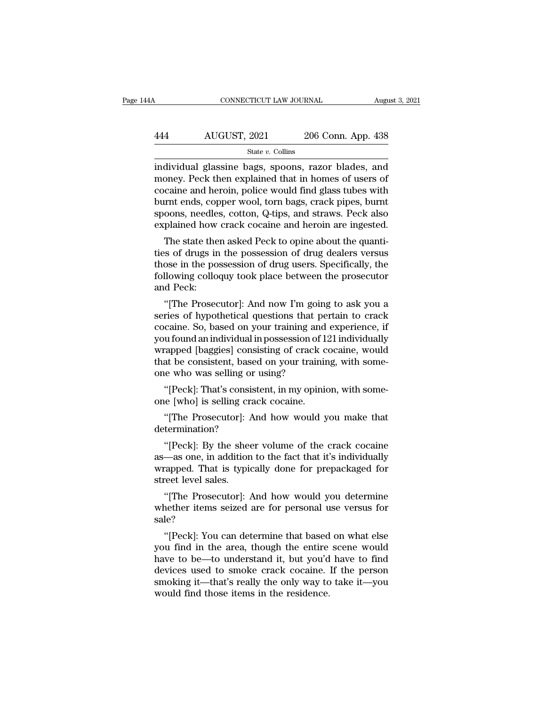### CONNECTICUT LAW JOURNAL August 3, 2021<br>444 AUGUST, 2021 206 Conn. App. 438<br>5tate v. Collins State *v.* Collins

CONNECTICUT LAW JOURNAL August 3, 2021<br>
ALGUST, 2021 206 Conn. App. 438<br>
State v. Collins<br>
individual glassine bags, spoons, razor blades, and<br>
money. Peck then explained that in homes of users of  $\frac{\text{AUGUST, 2021}}{\text{State } v. \text{ Collins}}$ <br>  $\frac{\text{State } v. \text{ Collins}}{\text{individual glassine bags, spoons, razor blades, and money. Peck then explained that in homes of users of cocaine and heroin, police would find glass tubes with burst ends.$ AUGUST, 2021 206 Conn. App. 438<br>  $\frac{\text{State } v. \text{ Collins}}{\text{individual glassine bags, spoons, razor blades, and money. Peck then explained that in homes of users of cocaine and heroin, police would find glass tubes with burnt ends, copper wool, torn bags, crack pipes, burnt schools, noodles.$  $\frac{\text{AUGUST, 2021}}{\text{State } v. \text{ Collins}}$ <br>
individual glassine bags, spoons, razor blades, and<br>
money. Peck then explained that in homes of users of<br>
cocaine and heroin, police would find glass tubes with<br>
burnt ends, copper wool, to State v. Collins<br>State v. Collins<br>individual glassine bags, spoons, razor blades, and<br>money. Peck then explained that in homes of users of<br>cocaine and heroin, police would find glass tubes with<br>burnt ends, copper wool, tor state *v*. Collins<br>individual glassine bags, spoons, razor blades, and<br>money. Peck then explained that in homes of users of<br>cocaine and heroin, police would find glass tubes with<br>burnt ends, copper wool, torn bags, crack p Invidual glassine bags, spoons, razor blades, and<br>oney. Peck then explained that in homes of users of<br>caine and heroin, police would find glass tubes with<br>urnt ends, copper wool, torn bags, crack pipes, burnt<br>oons, needles thoney. Feck then explained that in holdes of users of<br>cocaine and heroin, police would find glass tubes with<br>burnt ends, copper wool, torn bags, crack pipes, burnt<br>spoons, needles, cotton, Q-tips, and straws. Peck also<br>ex

cocame and nerom, poice would find glass twees with<br>burnt ends, copper wool, torn bags, crack pipes, burnt<br>spoons, needles, cotton, Q-tips, and straws. Peck also<br>explained how crack cocaine and heroin are ingested.<br>The sta burnt ends, copper wool, torn bags, crack pipes, burnt<br>spoons, needles, cotton, Q-tips, and straws. Peck also<br>explained how crack cocaine and heroin are ingested.<br>The state then asked Peck to opine about the quanti-<br>ties o spoons, neede<br>explained how<br>The state the<br>ties of drugs ir<br>those in the po<br>following collo<br>and Peck:<br>"[The Prosec The state then asked Peck to opine about the quanti-<br>
is of drugs in the possession of drug dealers versus<br>
ose in the possession of drug users. Specifically, the<br>
llowing colloquy took place between the prosecutor<br>
d Peck The state then asked Peck to opine about the quanti-<br>ties of drugs in the possession of drug dealers versus<br>those in the possession of drug users. Specifically, the<br>following colloquy took place between the prosecutor<br>and

those in the possession of drug dealers versus<br>those in the possession of drug users. Specifically, the<br>following colloquy took place between the prosecutor<br>and Peck:<br>"[The Prosecutor]: And now I'm going to ask you a<br>serie those in the possession of drug users. Specifically, the<br>following colloquy took place between the prosecutor<br>and Peck:<br>"[The Prosecutor]: And now I'm going to ask you a<br>series of hypothetical questions that pertain to cra From Prosecutor and Peck:<br>
"[The Prosecutor]: And now I'm going to ask you a<br>
series of hypothetical questions that pertain to crack<br>
cocaine. So, based on your training and experience, if<br>
you found an individual in posse <sup>4</sup><br>"[The Prosecutor]: And now I'm going to ask you a<br>series of hypothetical questions that pertain to crack<br>cocaine. So, based on your training and experience, if<br>you found an individual in possession of 121 individually<br> "[The Prosecutor]: And now I'm goin<br>series of hypothetical questions that pe<br>cocaine. So, based on your training and<br>you found an individual in possession of l<br>wrapped [baggies] consisting of crack of<br>that be consistent, b Thes of hypothetical questions that pertain to crack<br>
caine. So, based on your training and experience, if<br>
u found an individual in possession of 121 individually<br>
capped [baggies] consisting of crack cocaine, would<br>
at b cocaine. So, based on your training and<br>you found an individual in possession of 1<br>wrapped [baggies] consisting of crack c<br>that be consistent, based on your trainin<br>one who was selling or using?<br>"[Peck]: That's consistent, rapped [baggies] consisting of crack cocaine, would<br>at be consistent, based on your training, with some-<br>ee who was selling or using?<br>"[Peck]: That's consistent, in my opinion, with some-<br>ee [who] is selling crack cocaine.

determination?

if (Peck]: That's consistent, in my opinion, with some-<br>
if (Peck]: That's consistent, in my opinion, with some-<br>
if (The Prosecutor): And how would you make that<br>
if (The Prosecutor): And how would you make that<br>
if the s "[Peck]: That's consistent, in my opinion, with some-<br>one [who] is selling crack cocaine.<br>"[The Prosecutor]: And how would you make that<br>determination?<br>"[Peck]: By the sheer volume of the crack cocaine<br>as—as one, in additi one [who] is selling crack cocaine.<br>
"[The Prosecutor]: And how would you make that<br>
determination?<br>
"[Peck]: By the sheer volume of the crack cocaine<br>
as—as one, in addition to the fact that it's individually<br>
wrapped. Th "[The Prosecutor]: determination?<br>determination?<br>"[Peck]: By the sheas—as one, in addition<br>wrapped. That is typistreet level sales.<br>"[The Prosecutor]: 4 ""[Peck]: By the sheer volume of the crack cocaine<br>
—as one, in addition to the fact that it's individually<br>
"apped. That is typically done for prepackaged for<br>
"The Prosecutor]: And how would you determine<br>
"The Prosecuto "[Peck]: By the sheer volume of the crack cocaine<br>as—as one, in addition to the fact that it's individually<br>wrapped. That is typically done for prepackaged for<br>street level sales.<br>"[The Prosecutor]: And how would you deter

sale? rapped. That is typically done for prepackaged for<br>
"[The Prosecutor]: And how would you determine<br>
nether items seized are for personal use versus for<br>
le?<br>
"[Peck]: You can determine that based on what else<br>
u find in th

street level sales.<br>
"[The Prosecutor]: And how would you determine<br>
whether items seized are for personal use versus for<br>
sale?<br>
"[Peck]: You can determine that based on what else<br>
you find in the area, though the entire "[The Prosecutor]: And how would you determine<br>whether items seized are for personal use versus for<br>sale?<br>"[Peck]: You can determine that based on what else<br>you find in the area, though the entire scene would<br>have to be—to The Frosecutor]. And now would you determine<br>whether items seized are for personal use versus for<br>sale?<br>"[Peck]: You can determine that based on what else<br>you find in the area, though the entire scene would<br>have to be—to u whether hems seized are for personal use versus for<br>sale?<br>"[Peck]: You can determine that based on what else<br>you find in the area, though the entire scene would<br>have to be—to understand it, but you'd have to find<br>devices u sale:<br>
"[Peck]: You can determine that based<br>
you find in the area, though the entire<br>
have to be—to understand it, but you'd<br>
devices used to smoke crack cocaine.<br>
smoking it—that's really the only way to<br>
would find thos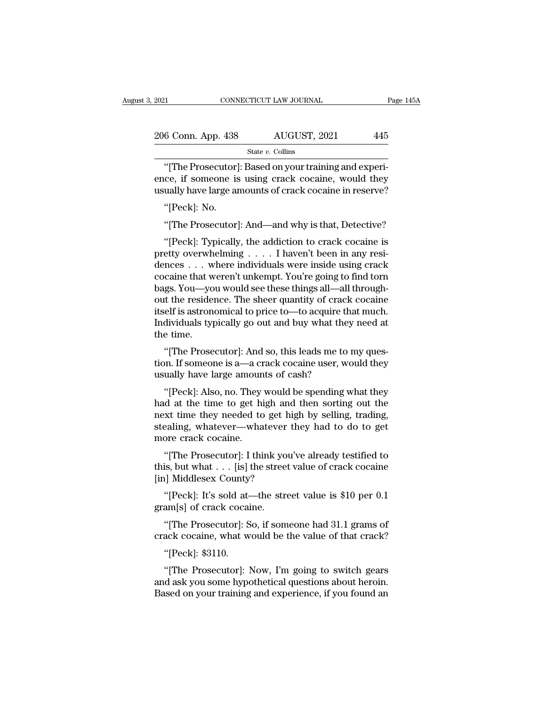| 2021               | CONNECTICUT LAW JOURNAL | Page 145A |
|--------------------|-------------------------|-----------|
| 206 Conn. App. 438 | AUGUST, 2021            | 445       |
|                    | State $v$ . Collins     |           |

CONNECTICUT LAW JOURNAL<br>
6 Conn. App. 438 AUGUST, 2021 445<br>
State v. Collins<br>
"[The Prosecutor]: Based on your training and experi-<br>
ce, if someone is using crack cocaine, would they 206 Conn. App. 438 AUGUST, 2021 445<br>State v. Collins<br>"[The Prosecutor]: Based on your training and experience, if someone is using crack cocaine, would they usually have large amounts of crack cocaine in reserve? 206 Conn. App. 438 AUGUST, 2021 445<br>
State v. Collins<br>
"[The Prosecutor]: Based on your training and experience, if someone is using crack cocaine, would they usually have large amounts of crack cocaine in reserve?<br>"[Peck 6 Conn. App. 438<br>"[The Prosecutor]<br>ce, if someone is<br>ually have large ar<br>"[Peck]: No.<br>"[The Prosecutor] State v. Collins<br>
"[The Prosecutor]: Based on your training and experice, if someone is using crack cocaine, would they<br>
ually have large amounts of crack cocaine in reserve?<br>
"[Peck]: No.<br>
"[The Prosecutor]: And—and why i

The Frosecutor]. Based on your training and experi-<br>
ce, if someone is using crack cocaine, would they<br>
ually have large amounts of crack cocaine in reserve?<br>
"[Peck]: No.<br>
"[The Prosecutor]: And—and why is that, Detective ence, in someone is using crack cocaine, would they<br>usually have large amounts of crack cocaine in reserve?<br>"[Peck]: No.<br>"[The Prosecutor]: And—and why is that, Detective?<br>"[Peck]: Typically, the addiction to crack cocaine dences . . . where individuals were inside using crack "[Peck]: No.<br>"[The Prosecutor]: And—and why is that, Detective?<br>"[Peck]: Typically, the addiction to crack cocaine is<br>pretty overwhelming . . . . I haven't been in any resi-<br>dences . . . where individuals were inside using "[The Prosecutor]: And—and why is that, Detective?<br>"[Peck]: Typically, the addiction to crack cocaine is<br>pretty overwhelming  $\ldots$ . I haven't been in any resi-<br>dences  $\ldots$  where individuals were inside using crack<br>cocain The rosecutor]. And—and why is that, betective:<br>
"[Peck]: Typically, the addiction to crack cocaine is<br>
pretty overwhelming  $\ldots$ . I haven't been in any resi-<br>
dences  $\ldots$  where individuals were inside using crack<br>
cocai "[Peck]: Typically, the addiction to crack cocaine is<br>pretty overwhelming  $\ldots$ . I haven't been in any resi-<br>dences  $\ldots$  where individuals were inside using crack<br>cocaine that weren't unkempt. You're going to find torn<br>b pretty overwhelming . . . . I haven't been in any residences . . . where individuals were inside using crack cocaine that weren't unkempt. You're going to find torn bags. You—you would see these things all—all throughout t dences . . . w<br>cocaine that w<br>bags. You—yo<br>out the reside<br>itself is astron<br>Individuals ty<br>the time.<br>"[The Prose cocaine that weren't unkempt. You're going to find torn<br>bags. You—you would see these things all—all through-<br>out the residence. The sheer quantity of crack cocaine<br>itself is astronomical to price to—to acquire that much.<br> bags. 10u—you would see these things an—an through-<br>out the residence. The sheer quantity of crack cocaine<br>itself is astronomical to price to—to acquire that much.<br>Individuals typically go out and buy what they need at<br>the but the residence. The sheer quantity of crack<br>itself is astronomical to price to—to acquire th<br>Individuals typically go out and buy what they<br>the time.<br>"[The Prosecutor]: And so, this leads me to<br>tion. If someone is a—a c

dividuals typically go out and buy what they need at<br>
"[The Prosecutor]: And so, this leads me to my ques-<br>
"[The Prosecutor]: And so, this leads me to my ques-<br>
"In It someone is a—a crack cocaine user, would they<br>
"[Peck

the time.<br>
"[The Prosecutor]: And so, this leads me to my question. If someone is a—a crack cocaine user, would they<br>
usually have large amounts of cash?<br>
"[Peck]: Also, no. They would be spending what they<br>
had at the tim "[The Prosecutor]: And so, this leads me to my question. If someone is a—a crack cocaine user, would they usually have large amounts of cash?<br>"[Peck]: Also, no. They would be spending what they had at the time to get high The Trosecutor]. And so, this leads the to hiy question. If someone is a—a crack cocaine user, would they usually have large amounts of cash?<br>"[Peck]: Also, no. They would be spending what they had at the time to get high usually have large amoun<br>
"[Peck]: Also, no. They<br>
had at the time to get hi<br>
next time they needed to<br>
stealing, whatever—wha<br>
more crack cocaine.<br>
"[The Prosecutor]: I thi "[Peck]: Also, no. They would be spending what they<br>d at the time to get high and then sorting out the<br>xt time they needed to get high by selling, trading,<br>saling, whatever—whatever they had to do to get<br>ore crack cocaine. [FECK]. Also, ho. They would be spending what they<br>had at the time to get high and then sorting out the<br>next time they needed to get high by selling, trading,<br>stealing, whatever—whatever they had to do to get<br>more crack co mad at the time to get high and<br>next time they needed to get his<br>stealing, whatever—whatever t<br>more crack cocaine.<br>"[The Prosecutor]: I think you<br>this, but what . . . [is] the street<br>[in] Middlesex County?<br>"[Peck]: It's so

ealing, whatever—whatever they had to do to get<br>
ore crack cocaine.<br>
"[The Prosecutor]: I think you've already testified to<br>
is, but what . . . [is] the street value of crack cocaine<br>
u] Middlesex County?<br>
"[Peck]: It's so more crack cocaine.<br>
"[The Prosecutor]: I think yo<br>
this, but what . . . [is] the stree<br>
[in] Middlesex County?<br>
"[Peck]: It's sold at—the str<br>
gram[s] of crack cocaine.<br>
"[The Prosecutor]: So, if son "[The Prosecutor]: I think you've already testified to<br>is, but what . . . [is] the street value of crack cocaine<br>all Middlesex County?<br>"[Peck]: It's sold at—the street value is \$10 per 0.1<br>am[s] of crack cocaine.<br>"[The Pro this, but what . . . [is] the street value of crack cocaine<br>[in] Middlesex County?<br>"[Peck]: It's sold at—the street value is \$10 per 0.1<br>gram[s] of crack cocaine.<br>"[The Prosecutor]: So, if someone had 31.1 grams of<br>crack c

"[Peck]: It's sold at-<br>"[Peck]: It's sold at-<br>am[s] of crack cocai<br>"[The Prosecutor]: S<br>ack cocaine, what w<br>"[Peck]: \$3110.<br>"[The Prosecutor]: 1

[Feck]: It's sold al—the street value is  $\phi$ 10 per 0.1<br>
am[s] of crack cocaine.<br>
"[The Prosecutor]: So, if someone had 31.1 grams of<br>
ack cocaine, what would be the value of that crack?<br>
"[Peck]: \$3110.<br>
"[The Prosecutor grantly for crack cocante.<br>
"[The Prosecutor]: So, if someone had 31.1 grams of<br>
crack cocaine, what would be the value of that crack?<br>
"[Peck]: \$3110.<br>
"[The Prosecutor]: Now, I'm going to switch gears<br>
and ask you some h "[The Prosecutor]: So, if someone had 31.1 grams of<br>crack cocaine, what would be the value of that crack?<br>"[Peck]: \$3110.<br>"[The Prosecutor]: Now, I'm going to switch gears<br>and ask you some hypothetical questions about hero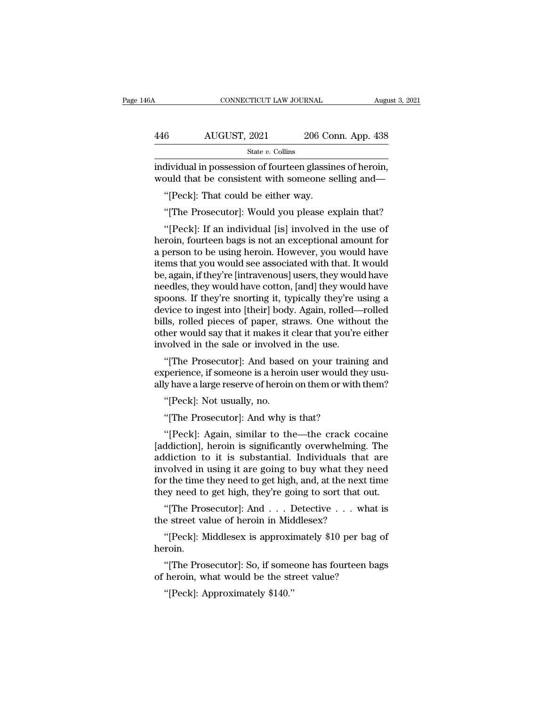| 6A  | CONNECTICUT LAW JOURNAL                                                                                         |                    | August 3, 2021 |
|-----|-----------------------------------------------------------------------------------------------------------------|--------------------|----------------|
|     |                                                                                                                 |                    |                |
| 446 | AUGUST, 2021                                                                                                    | 206 Conn. App. 438 |                |
|     | State $v$ . Collins                                                                                             |                    |                |
|     | individual in possession of fourteen glassines of heroin,<br>would that be consistent with someone selling and— |                    |                |
|     | "[Peck]: That could be either way.                                                                              |                    |                |
|     | "The Prosecutor: Would you please explain that?"                                                                |                    |                |

 $\frac{1}{\text{State } v. \text{ Collins}}$ <br>
State v. Collins<br>
dividual in possession of fourteen glassines of heroin,<br>
buld that be consistent with someone selling and—<br>
"[Peck]: That could be either way.<br>
"[The Prosecutor]: Would you please ex

dividual in possession of fourteen glassines of heroin,<br>
buld that be consistent with someone selling and—<br>
"[Peck]: That could be either way.<br>
"[The Prosecutor]: Would you please explain that?<br>"[Peck]: If an individual [i marviaua in possession of fourteen giassines of neron,<br>would that be consistent with someone selling and—<br>"[Peck]: That could be either way.<br>"[The Prosecutor]: Would you please explain that?<br>"[Peck]: If an individual [is] would that be consistent with someone selling and—<br>
"[Peck]: That could be either way.<br>
"[The Prosecutor]: Would you please explain that?<br>
"[Peck]: If an individual [is] involved in the use of<br>
heroin, fourteen bags is not "[Peck]: That could be either way.<br>"[The Prosecutor]: Would you please explain that?<br>"[Peck]: If an individual [is] involved in the use of<br>heroin, fourteen bags is not an exceptional amount for<br>a person to be using heroin. "[The Prosecutor]: Would you please explain that?<br>"[Peck]: If an individual [is] involved in the use of<br>heroin, fourteen bags is not an exceptional amount for<br>a person to be using heroin. However, you would have<br>items that The Frosecutor]. Would you please explaint that:<br>
"[Peck]: If an individual [is] involved in the use of<br>
heroin, fourteen bags is not an exceptional amount for<br>
a person to be using heroin. However, you would have<br>
items t "[Peck]: If an individual [is] involved in the use of<br>heroin, fourteen bags is not an exceptional amount for<br>a person to be using heroin. However, you would have<br>items that you would see associated with that. It would<br>be, heroin, fourteen bags is not an exceptional amount for<br>a person to be using heroin. However, you would have<br>items that you would see associated with that. It would<br>be, again, if they're [intravenous] users, they would have a person to be using heroin. However, you would have<br>items that you would see associated with that. It would<br>be, again, if they're [intravenous] users, they would have<br>needles, they would have cotton, [and] they would have items that you would see associated with that. It would<br>be, again, if they're [intravenous] users, they would have<br>needles, they would have cotton, [and] they would have<br>spoons. If they're snorting it, typically they're us be, again, if they're [intravenous] users, they would needles, they would have cotton, [and] they would spoons. If they're snorting it, typically they're u device to ingest into [their] body. Again, rolled—bills, rolled pi between they would have colubit, [and] they would have<br>
oons. If they're snorting it, typically they're using a<br>
vice to ingest into [their] body. Again, rolled—rolled<br>
lls, rolled pieces of paper, straws. One without the<br> spoons. If they re shorting it, typically they re using a<br>device to ingest into [their] body. Again, rolled—rolled<br>bills, rolled pieces of paper, straws. One without the<br>other would say that it makes it clear that you're e device to ingest into [their] body. Again, folied—folied<br>bills, rolled pieces of paper, straws. One without the<br>other would say that it makes it clear that you're either<br>involved in the sale or involved in the use.<br>"[The P

her would say that it makes it<br>
volved in the sale or involved<br>
"[The Prosecutor]: And based<br>
perience, if someone is a heroi<br>
y have a large reserve of heroin<br>
"[Peck]: Not usually, no.<br>
"[The Prosecutor]: And why i voived in the sale or invoived in the use.<br>"[The Prosecutor]: And based on your trainii<br>perience, if someone is a heroin user would the<br>y have a large reserve of heroin on them or with<br>"[Peck]: Not usually, no.<br>"[The Prose "[The Prosecutor]: And based on your training and<br>perience, if someone is a heroin user would they usu-<br>y have a large reserve of heroin on them or with them?<br>"[Peck]: Not usually, no.<br>"[The Prosecutor]: And why is that?<br>"

experience, if someone is a heroin user would they usu-<br>ally have a large reserve of heroin on them or with them?<br>"[Peck]: Not usually, no.<br>"[The Prosecutor]: And why is that?<br>"[Peck]: Again, similar to the—the crack cocai any nave a large reserve of neroln on them or with them?<br>
"[Peck]: Not usually, no.<br>
"[The Prosecutor]: And why is that?<br>
"[Peck]: Again, similar to the—the crack cocaine<br>[addiction], heroin is significantly overwhelming. "[Peck]: Not usually, no.<br>"[The Prosecutor]: And why is that?<br>"[Peck]: Again, similar to the—the crack cocaine<br>[addiction], heroin is significantly overwhelming. The<br>addiction to it is substantial. Individuals that are<br>inv "[The Prosecutor]: And why is that?<br>"[Peck]: Again, similar to the—the crack cocaine<br>[addiction], heroin is significantly overwhelming. The<br>addiction to it is substantial. Individuals that are<br>involved in using it are goin "[Peck]: Again, similar to the—the crack cocaine [addiction], heroin is significantly overwhelming. The addiction to it is substantial. Individuals that are involved in using it are going to buy what they need for the tim [Feck]. Again, sinular to the—the crack cocalle ddiction], heroin is significantly overwhelming. The diction to it is substantial. Individuals that are wolved in using it are going to buy what they need to free the time t refluited and the street value of heroin is significantly overwhenting<br>addiction to it is substantial. Individuals that<br>involved in using it are going to buy what they<br>for the time they need to get high, and, at the next<br>t volved in using it are going to buy what they need<br>
r the time they need to get high, and, at the next time<br>
ey need to get high, they're going to sort that out.<br>
"[The Prosecutor]: And . . . Detective . . . what is<br>
e str

ey need to get nigh, they re going to sort that out.<br>"[The Prosecutor]: And . . . Detective . . . what is<br>e street value of heroin in Middlesex?<br>"[Peck]: Middlesex is approximately \$10 per bag of<br>roin.<br>"[The Prosecutor]: S "[The Prosecutor]: And . . . Detective . . . what<br>the street value of heroin in Middlesex?<br>"[Peck]: Middlesex is approximately \$10 per bag<br>heroin.<br>"[The Prosecutor]: So, if someone has fourteen ba<br>of heroin, what would be

heroin. e street value of heroin in Mid<br>"[Peck]: Middlesex is approxim<br>roin.<br>"[The Prosecutor]: So, if some<br>heroin, what would be the str<br>"[Peck]: Approximately \$140."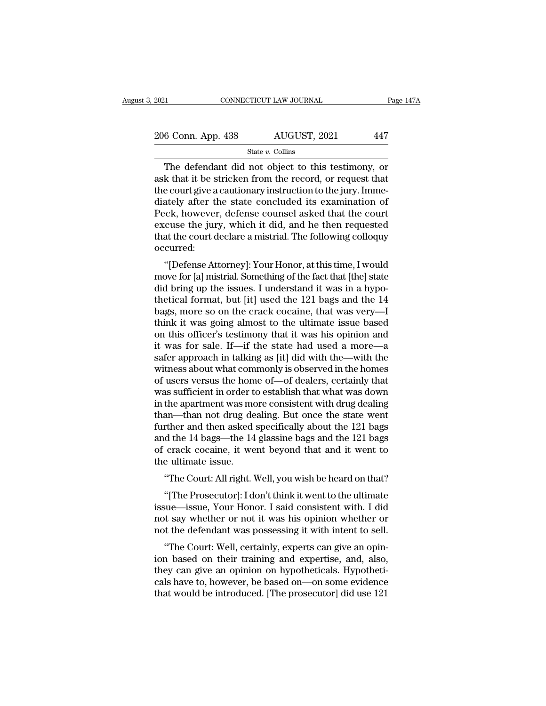| 2021               | CONNECTICUT LAW JOURNAL | Page 147A |
|--------------------|-------------------------|-----------|
| 206 Conn. App. 438 | AUGUST, 2021            | 447       |
|                    | State $v$ . Collins     |           |

### State *v.* Collins

 $\frac{11}{6}$  CONNECTICUT LAW JOURNAL Page 147A<br>  $\frac{6}{6}$  Conn. App. 438 AUGUST, 2021 447<br>  $\frac{1}{6}$  State v. Collins<br>
The defendant did not object to this testimony, or<br>
k that it be stricken from the record, or request th 206 Conn. App. 438 AUGUST, 2021 447<br>
State v. Collins<br>
The defendant did not object to this testimony, or<br>
ask that it be stricken from the record, or request that<br>
the court give a cautionary instruction to the jury. Imm 206 Conn. App. 438 AUGUST, 2021 447<br>
State v. Collins<br>
The defendant did not object to this testimony, or<br>
ask that it be stricken from the record, or request that<br>
the court give a cautionary instruction to the jury. Imm 206 Conn. App. 438 AUGUST, 2021 447<br>
State v. Collins<br>
The defendant did not object to this testimony, or<br>
ask that it be stricken from the record, or request that<br>
the court give a cautionary instruction to the jury. Imm State v. Collins<br>
The defendant did not object to this testimony, or<br>
ask that it be stricken from the record, or request that<br>
the court give a cautionary instruction to the jury. Imme-<br>
diately after the state concluded State  $v$ . Collins<br>
The defendant did not object to this testimony, or<br>
ask that it be stricken from the record, or request that<br>
the court give a cautionary instruction to the jury. Imme-<br>
diately after the state conclud The defendant did not object to this testimony, or<br>ask that it be stricken from the record, or request that<br>the court give a cautionary instruction to the jury. Imme-<br>diately after the state concluded its examination of<br>Pe occurred: Example 3 cautionary instruction to the jury. Intine-<br>ately after the state concluded its examination of<br>cck, however, defense counsel asked that the court<br>cuse the jury, which it did, and he then requested<br>at the court de mately arter the state concruded its examination of<br>Peck, however, defense counsel asked that the court<br>excuse the jury, which it did, and he then requested<br>that the court declare a mistrial. The following colloquy<br>occurre

reck, nowever, derense counser asked that the court<br>excuse the jury, which it did, and he then requested<br>that the court declare a mistrial. The following colloquy<br>occurred:<br>"[Defense Attorney]: Your Honor, at this time, I excuse the jury, which it did, and he then requested<br>that the court declare a mistrial. The following colloquy<br>occurred:<br>"[Defense Attorney]: Your Honor, at this time, I would<br>move for [a] mistrial. Something of the fact t bags, more solutionally in the controllation of the cocain of the crack cocain of the fact that [the] state did bring up the issues. I understand it was in a hypothetical format, but [it] used the 121 bags and the 14 bags, "[Defense Attorney]: Your Honor, at this time, I would<br>move for [a] mistrial. Something of the fact that [the] state<br>did bring up the issues. I understand it was in a hypo-<br>thetical format, but [it] used the 121 bags and t "[Defense Attorney]: Your Honor, at this time, I would<br>move for [a] mistrial. Something of the fact that [the] state<br>did bring up the issues. I understand it was in a hypo-<br>thetical format, but [it] used the 121 bags and move for [a] mistrial. Something of the fact that [the] state<br>did bring up the issues. I understand it was in a hypo-<br>thetical format, but [it] used the 121 bags and the 14<br>bags, more so on the crack cocaine, that was very did bring up the issues. I understand it was in a hypo-<br>thetical format, but [it] used the 121 bags and the 14<br>bags, more so on the crack cocaine, that was very—I<br>think it was going almost to the ultimate issue based<br>on th thetical format, but [it] used the 121 bags and the 14<br>bags, more so on the crack cocaine, that was very—I<br>think it was going almost to the ultimate issue based<br>on this officer's testimony that it was his opinion and<br>it wa bags, more so on the crack cocaine, that was very—I<br>think it was going almost to the ultimate issue based<br>on this officer's testimony that it was his opinion and<br>it was for sale. If—if the state had used a more—a<br>safer app think it was going almost to the ultimate issue based<br>on this officer's testimony that it was his opinion and<br>it was for sale. If—if the state had used a more—a<br>safer approach in talking as [it] did with the—with the<br>witne on this officer's testimony that it was his opinion and<br>it was for sale. If—if the state had used a more—a<br>safer approach in talking as [it] did with the—with the<br>witness about what commonly is observed in the homes<br>of use it was for sale. If—if the state had used a more—a<br>safer approach in talking as [it] did with the—with the<br>witness about what commonly is observed in the homes<br>of users versus the home of—of dealers, certainly that<br>was suf safer approach in talking as [it] did with the—with the<br>witness about what commonly is observed in the homes<br>of users versus the home of—of dealers, certainly that<br>was sufficient in order to establish that what was down<br>in witness about what commonly is observed in the homes<br>of users versus the home of—of dealers, certainly that<br>was sufficient in order to establish that what was down<br>in the apartment was more consistent with drug dealing<br>tha of users versus the home of—of dealers, certainly that<br>was sufficient in order to establish that what was down<br>in the apartment was more consistent with drug dealing<br>than—than not drug dealing. But once the state went<br>furt was sufficient in order t<br>in the apartment was mo<br>than—than not drug de<br>further and then asked<br>and the 14 bags—the 14<br>of crack cocaine, it we<br>the ultimate issue.<br>"The Court: All right. <sup>1</sup> the apartment was more consistent with drug dealing<br>an—than not drug dealing. But once the state went<br>rther and then asked specifically about the 121 bags<br>d the 14 bags—the 14 glassine bags and the 121 bags<br>crack cocaine, rther and then asked specifically about the 121 bags<br>
d the 14 bags—the 14 glassine bags and the 121 bags<br>
crack cocaine, it went beyond that and it went to<br>
e ultimate issue.<br>
"The Court: All right. Well, you wish be hear

and the 14 bags—the 14 glassine bags and the 121 bags<br>of crack cocaine, it went beyond that and it went to<br>the ultimate issue.<br>"The Court: All right. Well, you wish be heard on that?<br>"[The Prosecutor]: I don't think it wen of crack cocaine, it went beyond that and it went to<br>the ultimate issue.<br>"The Court: All right. Well, you wish be heard on that?<br>"[The Prosecutor]: I don't think it went to the ultimate<br>issue—issue, Your Honor. I said cons the ultimate issue.<br>
"The Court: All right. Well, you wish be heard on that?<br>
"[The Prosecutor]: I don't think it went to the ultimate<br>
issue—issue, Your Honor. I said consistent with. I did<br>
not say whether or not it was "The Court: All right. Well, you wish be heard on that?"<br>"[The Prosecutor]: I don't think it went to the ultimate<br>sue—issue, Your Honor. I said consistent with. I did<br>t say whether or not it was his opinion whether or<br>or t "[The Prosecutor]: I don't think it went to the ultimate<br>issue—issue, Your Honor. I said consistent with. I did<br>not say whether or not it was his opinion whether or<br>not the defendant was possessing it with intent to sell.<br>

The Frosecutor]. Fuort tunnk it went to the untimate<br>issue—issue, Your Honor. I said consistent with. I did<br>not say whether or not it was his opinion whether or<br>not the defendant was possessing it with intent to sell.<br>"The assue—issue, Four Honor. I said consistent with Fudd not say whether or not it was his opinion whether or not the defendant was possessing it with intent to sell.<br>
"The Court: Well, certainly, experts can give an opinion b flot say whether of not it was his opinion whether of<br>not the defendant was possessing it with intent to sell.<br>"The Court: Well, certainly, experts can give an opin-<br>ion based on their training and expertise, and, also,<br>th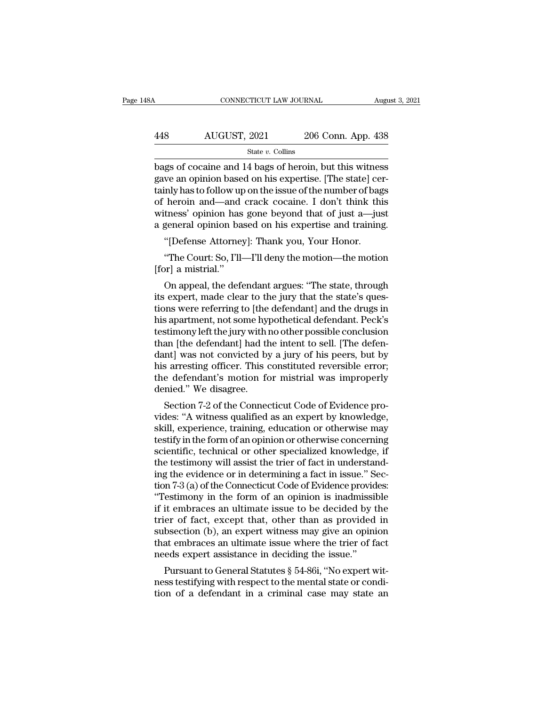| l8A | CONNECTICUT LAW JOURNAL |                    | August 3, 2021 |
|-----|-------------------------|--------------------|----------------|
|     |                         |                    |                |
| 448 | AUGUST, 2021            | 206 Conn. App. 438 |                |
|     | State $v$ . Collins     |                    |                |

 $\begin{array}{|l|l|} \hline \text{COMRECTICUT LAW JOURNAL} \qquad \text{August 3, 2021} \ \hline \end{array}$ <br>  $\begin{array}{|l|} \hline \text{AUGUST, 2021} \qquad \text{206 Conn. App. 438} \ \hline \text{State } v. \text{ Collins} \end{array}$ <br>
bags of cocaine and 14 bags of heroin, but this witness gave an opinion based on his expertise. 448 AUGUST, 2021 206 Conn. App. 438<br>
5tate v. Collins<br>
bags of cocaine and 14 bags of heroin, but this witness<br>
gave an opinion based on his expertise. [The state] cer-<br>
tainly has to follow up on the issue of the number o AUGUST, 2021 206 Conn. App. 438<br>  $\frac{\text{State } v. \text{ Collins}}{\text{bags of cocaine and 14 bags of heroin, but this witness}}$ <br>
gave an opinion based on his expertise. [The state] certainly has to follow up on the issue of the number of bags<br>
of heroin and—and crack cocaine. AUGUST, 2021 206 Conn. App. 438<br>
state v. Collins<br>
bags of cocaine and 14 bags of heroin, but this witness<br>
gave an opinion based on his expertise. [The state] cer-<br>
tainly has to follow up on the issue of the number of b State v. Collins<br>State v. Collins<br>bags of cocaine and 14 bags of heroin, but this witness<br>gave an opinion based on his expertise. [The state] cer-<br>tainly has to follow up on the issue of the number of bags<br>of heroin and—a state  $v$ . Collins<br>bags of cocaine and 14 bags of heroin, but this witness<br>gave an opinion based on his expertise. [The state] cer-<br>tainly has to follow up on the issue of the number of bags<br>of heroin and—and crack cocain gs of cocaine and 14 bags of nerom, but this withes<br>we an opinion based on his expertise. [The state] centily has to follow up on the issue of the number of bag<br>heroin and—and crack cocaine. I don't think this<br>tness' opini inly has to follow up on the issue of the number of bags<br>heroin and—and crack cocaine. I don't think this<br>tness' opinion has gone beyond that of just a—just<br>general opinion based on his expertise and training.<br>"[Defense At of heroin and—and<br>witness' opinion has<br>a general opinion ba<br>"[Defense Attorney<br>"The Court: So, I'll-<br>[for] a mistrial."<br>On appeal, the defe

tness' opinion has gone beyond that of just a—just<br>general opinion based on his expertise and training.<br>"[Defense Attorney]: Thank you, Your Honor.<br>"The Court: So, I'll—I'll deny the motion—the motion<br>pr] a mistrial."<br>On a a general opmion based on his expertise and training.<br>
"[Defense Attorney]: Thank you, Your Honor.<br>
"The Court: So, I'll—I'll deny the motion—the motion<br>
[for] a mistrial."<br>
On appeal, the defendant argues: "The state, thr "[Defense Attorney]: Thank you, Your Honor.<br>"The Court: So, I'll—I'll deny the motion—the motion<br>[for] a mistrial."<br>On appeal, the defendant argues: "The state, through<br>its expert, made clear to the jury that the state's q "The Court: So, I'll—I'll deny the motion—the motion<br>[for] a mistrial."<br>On appeal, the defendant argues: "The state, through<br>its expert, made clear to the jury that the state's ques-<br>tions were referring to [the defendant] The Court: 50, 1 n—1 n derly the motion—the motion<br>
[for] a mistrial."<br>
On appeal, the defendant argues: "The state, through<br>
its expert, made clear to the jury that the state's ques-<br>
tions were referring to [the defendan [tor] a mistrial.<br>
On appeal, the defendant argues: "The state, through<br>
its expert, made clear to the jury that the state's ques-<br>
tions were referring to [the defendant] and the drugs in<br>
his apartment, not some hypothet On appeal, the defendant argues: "The state, through<br>its expert, made clear to the jury that the state's ques-<br>tions were referring to [the defendant] and the drugs in<br>his apartment, not some hypothetical defendant. Peck's its expert, made clear to the jury that the state's questions were referring to [the defendant] and the drugs in<br>his apartment, not some hypothetical defendant. Peck's<br>testimony left the jury with no other possible conclus tions were referring to [the defendant] and the drugs in<br>his apartment, not some hypothetical defendant. Peck's<br>testimony left the jury with no other possible conclusion<br>than [the defendant] had the intent to sell. [The de his apartment, not some hyprestimony left the jury with than [the defendant] had the dant] was not convicted by his arresting officer. This convicted by his arresting officer. This convicted in the defendant's motion for d sumony left the Jury with no other possible conclusion<br>an [the defendant] had the intent to sell. [The defen-<br>nt] was not convicted by a jury of his peers, but by<br>s arresting officer. This constituted reversible error;<br>e d than [the defendant] had the intent to sell. [The defendant] was not convicted by a jury of his peers, but by<br>his arresting officer. This constituted reversible error;<br>the defendant's motion for mistrial was improperly<br>den

dant] was not convicted by a jury or his peers, but by<br>his arresting officer. This constituted reversible error;<br>the defendant's motion for mistrial was improperly<br>denied." We disagree.<br>Section 7-2 of the Connecticut Code the defendant's motion for mistrial was improperly<br>the defendant's motion for mistrial was improperly<br>denied." We disagree.<br>Section 7-2 of the Connecticut Code of Evidence pro-<br>vides: "A witness qualified as an expert by k the defendant s motion for mistrial was improperty<br>denied." We disagree.<br>Section 7-2 of the Connecticut Code of Evidence pro-<br>vides: "A witness qualified as an expert by knowledge,<br>skill, experience, training, education or denied. We disagree.<br>Section 7-2 of the Connecticut Code of Evidence pro-<br>vides: "A witness qualified as an expert by knowledge,<br>skill, experience, training, education or otherwise may<br>testify in the form of an opinion or Section 7-2 of the Connecticut Code of Evidence provides: "A witness qualified as an expert by knowledge, skill, experience, training, education or otherwise may testify in the form of an opinion or otherwise concerning sc vides: "A witness qualified as an expert by knowledge,<br>skill, experience, training, education or otherwise may<br>testify in the form of an opinion or otherwise concerning<br>scientific, technical or other specialized knowledge, skill, experience, training, education or otherwise may<br>testify in the form of an opinion or otherwise concerning<br>scientific, technical or other specialized knowledge, if<br>the testimony will assist the trier of fact in unde testify in the form of an opinion or otherwise concerning<br>scientific, technical or other specialized knowledge, if<br>the testimony will assist the trier of fact in understand-<br>ing the evidence or in determining a fact in iss scientific, technical or other specialized knowledge, if<br>the testimony will assist the trier of fact in understand-<br>ing the evidence or in determining a fact in issue." Sec-<br>tion 7-3 (a) of the Connecticut Code of Evidence the testimony will assist the trier of fact in understand-<br>ing the evidence or in determining a fact in issue." Sec-<br>tion 7-3 (a) of the Connecticut Code of Evidence provides:<br>"Testimony in the form of an opinion is inadmi ing the evidence or in determining a fact in issue." Section 7-3 (a) of the Connecticut Code of Evidence provides:<br>"Testimony in the form of an opinion is inadmissible<br>if it embraces an ultimate issue to be decided by the<br> tion 7-3 (a) of the Connecticut Code of Evidence provid<br>
"Testimony in the form of an opinion is inadmissil<br>
if it embraces an ultimate issue to be decided by t<br>
trier of fact, except that, other than as provided<br>
subsect esumony in the form of an opinion is maamissible<br>it embraces an ultimate issue to be decided by the<br>er of fact, except that, other than as provided in<br>bsection (b), an expert witness may give an opinion<br>at embraces an ulti If it embraces an ultimate issue to be decided by the<br>trier of fact, except that, other than as provided in<br>subsection (b), an expert witness may give an opinion<br>that embraces an ultimate issue where the trier of fact<br>nee trier of fact, except that, other than as provided in<br>subsection (b), an expert witness may give an opinion<br>that embraces an ultimate issue where the trier of fact<br>needs expert assistance in deciding the issue."<br>Pursuant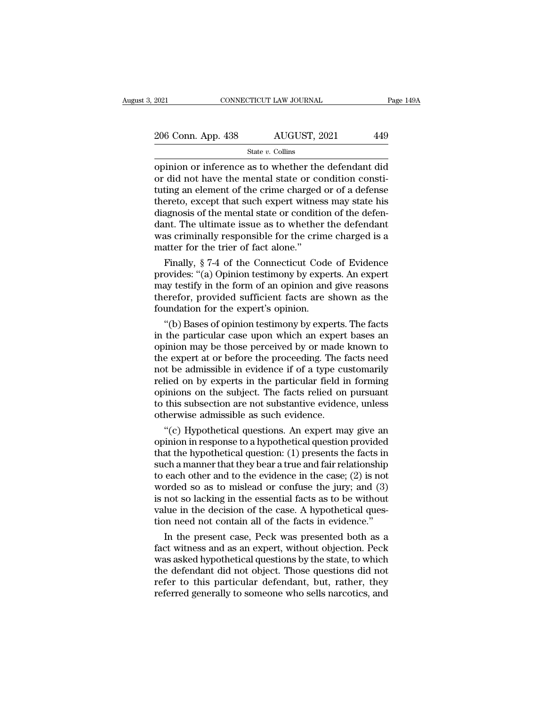| 2021               | CONNECTICUT LAW JOURNAL | Page 149A |
|--------------------|-------------------------|-----------|
| 206 Conn. App. 438 | AUGUST, 2021            | 449       |
|                    | State $v$ . Collins     |           |

 $\begin{array}{c|c} \text{2021} & \text{COMRECTICUT LAW JOURNAL} & \text{Page 149A} \ \hline \text{206 Conn. App. 438} & \text{AUGUST, 2021} & \text{449} \ \hline \text{State } v. \text{ Collins} \ \hline \text{opinion or inference as to whether the defendant did} \text{or did not have the mental state or condition constituting an element of the crime charged or of a defense} \end{array}$  $\frac{206}{200}$  Conn. App. 438  $\frac{1}{200}$  AUGUST, 2021  $\frac{449}{200}$ <br>  $\frac{1}{200}$  State v. Collins<br>
opinion or inference as to whether the defendant did<br>
or did not have the mental state or condition constituting an elemen 206 Conn. App. 438 AUGUST, 2021 449<br>
State v. Collins<br>
opinion or inference as to whether the defendant did<br>
or did not have the mental state or condition constituting an element of the crime charged or of a defense<br>
ther 206 Conn. App. 438 AUGUST, 2021 449<br>
State  $v$ . Collins<br>
opinion or inference as to whether the defendant did<br>
or did not have the mental state or condition consti-<br>
tuting an element of the crime charged or of a defense<br> State v. Collins<br>
State v. Collins<br>
opinion or inference as to whether the defendant did<br>
or did not have the mental state or condition consti-<br>
tuting an element of the crime charged or of a defense<br>
thereto, except that State  $v$ . Collins<br>
opinion or inference as to whether the defendant did<br>
or did not have the mental state or condition consti-<br>
tuting an element of the crime charged or of a defense<br>
thereto, except that such expert wit opinion or inference as to whether the defendant did<br>or did not have the mental state or condition consti-<br>tuting an element of the crime charged or of a defense<br>thereto, except that such expert witness may state his<br>diagn or did not have the mental state or co<br>tuting an element of the crime charged<br>thereto, except that such expert witnes<br>diagnosis of the mental state or conditi<br>dant. The ultimate issue as to whethe<br>was criminally responsibl ting an element of the crime charged or of a defense<br>ereto, except that such expert witness may state his<br>agnosis of the mental state or condition of the defen-<br>nt. The ultimate issue as to whether the defendant<br>as crimina thereto, except that such expert witness may state his<br>diagnosis of the mental state or condition of the defen-<br>dant. The ultimate issue as to whether the defendant<br>was criminally responsible for the crime charged is a<br>mat

diagnosis of the mental state or condition of the defendant<br>dant. The ultimate issue as to whether the defendant<br>was criminally responsible for the crime charged is a<br>matter for the trier of fact alone."<br>Finally, § 7-4 of dant. The ultimate issue as to whether the defendant<br>was criminally responsible for the crime charged is a<br>matter for the trier of fact alone."<br>Finally, § 7-4 of the Connecticut Code of Evidence<br>provides: "(a) Opinion test was criminally responsible for the crime<br>matter for the trier of fact alone."<br>Finally, § 7-4 of the Connecticut Code<br>provides: "(a) Opinion testimony by expert<br>may testify in the form of an opinion and<br>therefor, provided s Finally, § 7-4 of the Connecticut Code of Evidence<br>
ovides: "(a) Opinion testimony by experts. An expert<br>
ay testify in the form of an opinion and give reasons<br>
erefor, provided sufficient facts are shown as the<br>
undation Finally,  $\S$  7-4 of the Connecticut Code of Evidence<br>provides: "(a) Opinion testimony by experts. An expert<br>may testify in the form of an opinion and give reasons<br>therefor, provided sufficient facts are shown as the<br>found

provides: "(a) Opinion testimony by experts. An expert<br>may testify in the form of an opinion and give reasons<br>therefor, provided sufficient facts are shown as the<br>foundation for the expert's opinion.<br>"(b) Bases of opinion may testity in the form of an opinion and give reasons<br>therefor, provided sufficient facts are shown as the<br>foundation for the expert's opinion.<br>"(b) Bases of opinion testimony by experts. The facts<br>in the particular case therefor, provided sufficient facts are shown as the<br>foundation for the expert's opinion.<br>"(b) Bases of opinion testimony by experts. The facts<br>in the particular case upon which an expert bases an<br>opinion may be those perc relied on by experts opinion.<br>
"(b) Bases of opinion testimony by experts. The facts<br>
in the particular case upon which an expert bases an<br>
opinion may be those perceived by or made known to<br>
the expert at or before the pr "(b) Bases of opinion testimony by experts. The facts<br>in the particular case upon which an expert bases an<br>opinion may be those perceived by or made known to<br>the expert at or before the proceeding. The facts need<br>not be ad in the particular case upon which an expert bases an opinion may be those perceived by or made known to the expert at or before the proceeding. The facts need not be admissible in evidence if of a type customarily relied o opinion may be those perceived by or made<br>the expert at or before the proceeding. The f<br>not be admissible in evidence if of a type cu<br>relied on by experts in the particular field is<br>opinions on the subject. The facts relie e expert at or betore the proceeding. The tacts need<br>t be admissible in evidence if of a type customarily<br>lied on by experts in the particular field in forming<br>inions on the subject. The facts relied on pursuant<br>this subse not be admissible in evidence if of a type customarily<br>relied on by experts in the particular field in forming<br>opinions on the subject. The facts relied on pursuant<br>to this subsection are not substantive evidence, unless<br>o

relied on by experts in the particular field in forming<br>opinions on the subject. The facts relied on pursuant<br>to this subsection are not substantive evidence, unless<br>otherwise admissible as such evidence.<br>"(c) Hypothetica opmions on the subject. The facts relied on pursuant<br>to this subsection are not substantive evidence, unless<br>otherwise admissible as such evidence.<br>"(c) Hypothetical questions. An expert may give an<br>opinion in response to to this subsection are not substantive evidence, unless<br>otherwise admissible as such evidence.<br>"(c) Hypothetical questions. An expert may give an<br>opinion in response to a hypothetical question provided<br>that the hypothetica otherwise admissible as such evidence.<br>
"(c) Hypothetical questions. An expert may give an opinion in response to a hypothetical question provided<br>
that the hypothetical question: (1) presents the facts in<br>
such a manner "(c) Hypothetical questions. An expert may give an opinion in response to a hypothetical question provided that the hypothetical question: (1) presents the facts in such a manner that they bear a true and fair relationshi opinion in response to a hypothetical question provided<br>that the hypothetical question: (1) presents the facts in<br>such a manner that they bear a true and fair relationship<br>to each other and to the evidence in the case; (2) that the hypothetical question: (1) presents the facts in such a manner that they bear a true and fair relationship to each other and to the evidence in the case; (2) is not worded so as to mislead or confuse the jury; an ch a manner that they bear a true and tair relationship<br>each other and to the evidence in the case; (2) is not<br>orded so as to mislead or confuse the jury; and (3)<br>not so lacking in the essential facts as to be without<br>lue to each other and to the evidence in the case;  $(2)$  is not<br>worded so as to mislead or confuse the jury; and  $(3)$ <br>is not so lacking in the essential facts as to be without<br>value in the decision of the case. A hypothetica

worded so as to mislead or contuse the jury; and (3)<br>is not so lacking in the essential facts as to be without<br>value in the decision of the case. A hypothetical ques-<br>tion need not contain all of the facts in evidence."<br>In is not so lacking in the essential facts as to be without<br>value in the decision of the case. A hypothetical ques-<br>tion need not contain all of the facts in evidence."<br>In the present case, Peck was presented both as a<br>fact value in the decision of the case. A hypothetical question need not contain all of the facts in evidence."<br>In the present case, Peck was presented both as a<br>fact witness and as an expert, without objection. Peck<br>was asked tion need not contain all of the facts in evidence."<br>In the present case, Peck was presented both as a<br>fact witness and as an expert, without objection. Peck<br>was asked hypothetical questions by the state, to which<br>the defe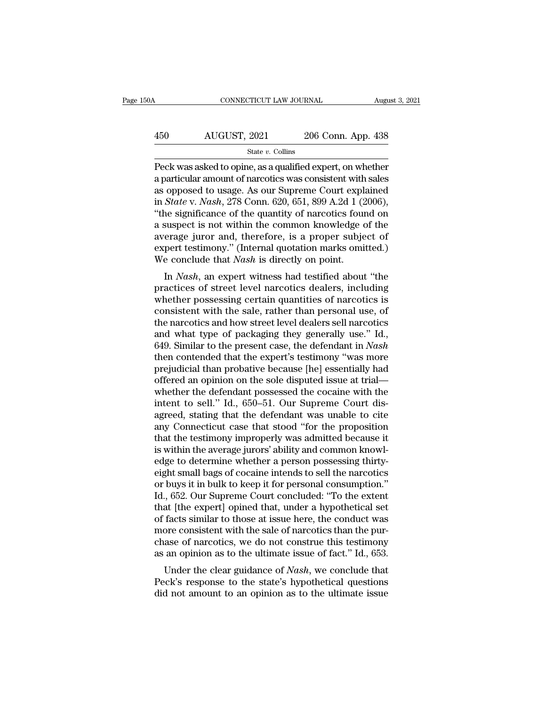### $\begin{array}{lll}\n & \text{COMNECTICUT LAW JOURNAL} \qquad \qquad \text{August 3, 2021} \\
 & \text{AUGUST, 2021} \qquad \qquad \text{206 Conn. App. 438} \\
 & \text{State $v$. Collins}\n\end{array}$ State *v.* Collins

CONNECTICUT LAW JOURNAL August 3, 2021<br>
AUGUST, 2021 206 Conn. App. 438<br>
State v. Collins<br>
Peck was asked to opine, as a qualified expert, on whether<br>
a particular amount of narcotics was consistent with sales<br>
as opposed 450 AUGUST, 2021 206 Conn. App. 438<br>  $\frac{\text{State } v. \text{ Collins}}{\text{Beta } v. \text{ Collins}}$ <br>
Peck was asked to opine, as a qualified expert, on whether<br>
a particular amount of narcotics was consistent with sales<br>
as opposed to usage. As our Suprem 450 AUGUST, 2021 206 Conn. App. 438<br>  $\frac{\text{State } v. \text{ Collins}}{\text{Peck was asked to opine, as a qualified expert, on whether a particular amount of narcotics was consistent with sales as opposed to usage. As our Supreme Court explained in *State v. Nash*, 278 Conn. 620, 651, 899 A.2d 1 (2006), "the significance of the quantity of parcotics found on$ AUGUST, 2021 206 Conn. App. 438<br>
<sup>State v. Collins<br>
Peck was asked to opine, as a qualified expert, on whether<br>
a particular amount of narcotics was consistent with sales<br>
as opposed to usage. As our Supreme Court explaine</sup> State v. Collins<br>
State v. Collins<br>
Peck was asked to opine, as a qualified expert, on whether<br>
a particular amount of narcotics was consistent with sales<br>
as opposed to usage. As our Supreme Court explained<br>
in *State* v state v. Collins<br>
Peck was asked to opine, as a qualified expert, on whether<br>
a particular amount of narcotics was consistent with sales<br>
as opposed to usage. As our Supreme Court explained<br>
in *State* v. *Nash*, 278 Conn Peck was asked to opine, as a qualified expert, on whether<br>a particular amount of narcotics was consistent with sales<br>as opposed to usage. As our Supreme Court explained<br>in *State* v. *Nash*, 278 Conn. 620, 651, 899 A.2d a particular amount of narcotics was consistent with sales<br>as opposed to usage. As our Supreme Court explained<br>in *State* v. *Nash*, 278 Conn. 620, 651, 899 A.2d 1 (2006),<br>"the significance of the quantity of narcotics fou as opposed to usage. As our Supreme Court explies in *State* v. *Nash*, 278 Conn. 620, 651, 899 A.2d 1 (2) "the significance of the quantity of narcotics four a suspect is not within the common knowledge average juror and, Blute v. *Nash*, 276 Collit. 020, 051, 099 A.2d 1 (2000),<br>ne significance of the quantity of narcotics found on<br>suspect is not within the common knowledge of the<br>erage juror and, therefore, is a proper subject of<br>pert test a suspect is not within the common knowledge of the<br>average juror and, therefore, is a proper subject of<br>expert testimony." (Internal quotation marks omitted.)<br>We conclude that *Nash* is directly on point.<br>In *Nash*, an ex

a suspect is not whill the common knowledge of the<br>average juror and, therefore, is a proper subject of<br>expert testimony." (Internal quotation marks omitted.)<br>We conclude that *Nash* is directly on point.<br>In *Nash*, an exp average juror and, therefore, is a proper subject of<br>expert testimony." (Internal quotation marks omitted.)<br>We conclude that *Nash* is directly on point.<br>In *Nash*, an expert witness had testified about "the<br>practices of s Expert testimony. (internal quotation marks ontited.)<br>We conclude that *Nash* is directly on point.<br>In *Nash*, an expert witness had testified about "the<br>practices of street level narcotics dealers, including<br>whether poss In *Nash*, an expert witness had testified about "the practices of street level narcotics dealers, including whether possessing certain quantities of narcotics is consistent with the sale, rather than personal use, of the In *Nash*, an expert witness had testified about "the<br>practices of street level narcotics dealers, including<br>whether possessing certain quantities of narcotics is<br>consistent with the sale, rather than personal use, of<br>the practices of street level narcotics dealers, including<br>whether possessing certain quantities of narcotics is<br>consistent with the sale, rather than personal use, of<br>the narcotics and how street level dealers sell narcotics<br> whether possessing certain quantities of narcotics is<br>consistent with the sale, rather than personal use, of<br>the narcotics and how street level dealers sell narcotics<br>and what type of packaging they generally use." Id.,<br>64 consistent with the sale, rather than personal use, of<br>the narcotics and how street level dealers sell narcotics<br>and what type of packaging they generally use." Id.,<br>649. Similar to the present case, the defendant in *Nash* the narcotics and how street level dealers sell narcotics<br>and what type of packaging they generally use." Id.,<br>649. Similar to the present case, the defendant in *Nash*<br>then contended that the expert's testimony "was more<br> and what type of packaging they generally use." Id., 649. Similar to the present case, the defendant in *Nash* then contended that the expert's testimony "was more prejudicial than probative because [he] essentially had of 649. Similar to the present case, the defendant in *Nash* then contended that the expert's testimony "was more prejudicial than probative because [he] essentially had offered an opinion on the sole disputed issue at trial then contended that the expert's testimony "was more<br>prejudicial than probative because [he] essentially had<br>offered an opinion on the sole disputed issue at trial—<br>whether the defendant possessed the cocaine with the<br>inte prejudicial than probative because [he] essentially had<br>offered an opinion on the sole disputed issue at trial—<br>whether the defendant possessed the cocaine with the<br>intent to sell." Id., 650–51. Our Supreme Court dis-<br>agre offered an opinion on the sole disputed issue at trial—<br>whether the defendant possessed the cocaine with the<br>intent to sell." Id., 650–51. Our Supreme Court dis-<br>agreed, stating that the defendant was unable to cite<br>any Co whether the defendant possessed the cocaine with the<br>intent to sell." Id., 650–51. Our Supreme Court dis-<br>agreed, stating that the defendant was unable to cite<br>any Connecticut case that stood "for the proposition<br>that the intent to sell." Id., 650–51. Our Supreme Court dis-<br>agreed, stating that the defendant was unable to cite<br>any Connecticut case that stood "for the proposition<br>that the testimony improperly was admitted because it<br>is withi agreed, stating that the defendant was unable to cite<br>any Connecticut case that stood "for the proposition<br>that the testimony improperly was admitted because it<br>is within the average jurors' ability and common knowl-<br>edge any Connecticut case that stood "for the proposition<br>that the testimony improperly was admitted because it<br>is within the average jurors' ability and common knowl-<br>edge to determine whether a person possessing thirty-<br>eight that the testimony improperly was admitted because it<br>is within the average jurors' ability and common knowl-<br>edge to determine whether a person possessing thirty-<br>eight small bags of cocaine intends to sell the narcotics<br> is within the average jurors' ability and common knowledge to determine whether a person possessing thirty-<br>eight small bags of cocaine intends to sell the narcotics<br>or buys it in bulk to keep it for personal consumption." edge to determine whether a person possessing thirty-<br>eight small bags of cocaine intends to sell the narcotics<br>or buys it in bulk to keep it for personal consumption."<br>Id., 652. Our Supreme Court concluded: "To the extent eight small bags of cocaine intends to sell the narcotics<br>or buys it in bulk to keep it for personal consumption."<br>Id., 652. Our Supreme Court concluded: "To the extent<br>that [the expert] opined that, under a hypothetical s or buys it in bulk to keep it for personal consumption."<br>Id., 652. Our Supreme Court concluded: "To the extent<br>that [the expert] opined that, under a hypothetical set<br>of facts similar to those at issue here, the conduct wa the expert of the court concluded. To the extent<br>at [the expert] opined that, under a hypothetical set<br>facts similar to those at issue here, the conduct was<br>ore consistent with the sale of narcotics than the pur-<br>ase of na The expert of facts similar to those at issue here, the conduct was<br>more consistent with the sale of narcotics than the pur-<br>chase of narcotics, we do not construe this testimony<br>as an opinion as to the ultimate issue of of facts similar to those at issue here, the conduct was<br>more consistent with the sale of narcotics than the pur-<br>chase of narcotics, we do not construe this testimony<br>as an opinion as to the ultimate issue of fact." Id.,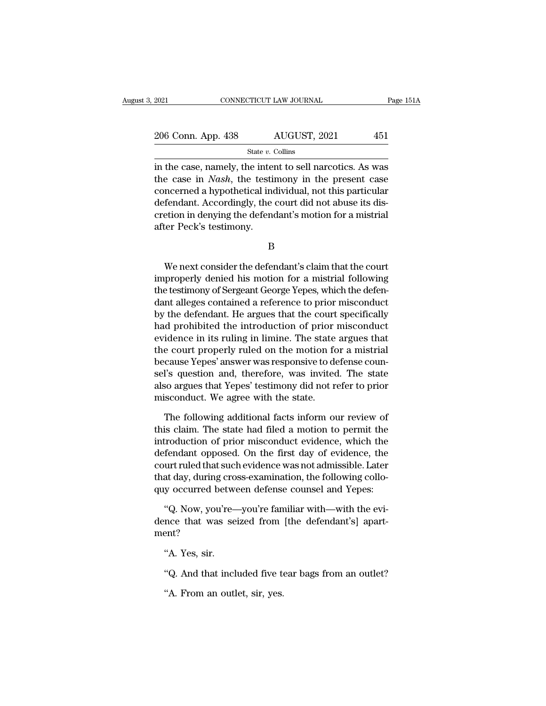| 2021               | CONNECTICUT LAW JOURNAL |              | Page 151A |  |
|--------------------|-------------------------|--------------|-----------|--|
| 206 Conn. App. 438 |                         | AUGUST, 2021 | 451       |  |
|                    | State $v$ . Collins     |              |           |  |

2021 CONNECTICUT LAW JOURNAL Page 151A<br>
206 Conn. App. 438 AUGUST, 2021 451<br>  $\frac{\text{State } v. \text{ Collins}}{\text{State } v. \text{ Collins}}$ <br>
in the case, namely, the intent to sell narcotics. As was<br>
the case in *Nash*, the testimony in the present case 206 Conn. App. 438 AUGUST, 2021 451<br>State v. Collins<br>in the case, namely, the intent to sell narcotics. As was<br>the case in *Nash*, the testimony in the present case<br>concerned a hypothetical individual, not this particular<br> 206 Conn. App. 438 AUGUST, 2021 451<br>
State v. Collins<br>
in the case, namely, the intent to sell narcotics. As was<br>
the case in *Nash*, the testimony in the present case<br>
concerned a hypothetical individual, not this partic 206 Conn. App. 438 AUGUST, 2021 451<br>  $\frac{\text{State } v. \text{ Collins}}{\text{int the case, namely, the intent to sell narcotics. As was}$ <br>
the case in *Nash*, the testimony in the present case<br>
concerned a hypothetical individual, not this particular<br>
defendant. Accordingly, the court State  $v$ . Collins<br>in the case, namely, the intent to sell narcotics. As was<br>the case in *Nash*, the testimony in the present case<br>concerned a hypothetical individual, not this particular<br>defendant. Accordingly, the court  $\frac{3a}{2}$  in the case, namely, the inter-<br>the case in *Nash*, the testinconcerned a hypothetical indefendant. Accordingly, the<br>cretion in denying the defendater Peck's testimony. Meterica a hyponicidar marvidial, not ans particular<br>fendant. Accordingly, the court did not abuse its dis-<br>etion in denying the defendant's motion for a mistrial<br>ter Peck's testimony.<br>B<br>We next consider the defendant's cl

B

decendant. Accordingly, the court did not abduce its dis-<br>cretion in denying the defendant's motion for a mistrial<br>after Peck's testimony.<br>B<br>We next consider the defendant's claim that the court<br>improperly denied his motio Example are the testimony.<br>
B<br>
We next consider the defendant's claim that the court<br>
improperly denied his motion for a mistrial following<br>
the testimony of Sergeant George Yepes, which the defen-<br>
dant alleges contained B<br>B<br>We next consider the defendant's claim that the court<br>improperly denied his motion for a mistrial following<br>the testimony of Sergeant George Yepes, which the defen-<br>dant alleges contained a reference to prior misconduc B<br>We next consider the defendant's claim that the court<br>improperly denied his motion for a mistrial following<br>the testimony of Sergeant George Yepes, which the defen-<br>dant alleges contained a reference to prior misconduct<br> We next consider the defendant's claim that the court<br>improperly denied his motion for a mistrial following<br>the testimony of Sergeant George Yepes, which the defen-<br>dant alleges contained a reference to prior misconduct<br>by We next consider the defendant's claim that the court<br>improperly denied his motion for a mistrial following<br>the testimony of Sergeant George Yepes, which the defen-<br>dant alleges contained a reference to prior misconduct<br>by improperly denied his motion for a mistrial following<br>the testimony of Sergeant George Yepes, which the defen-<br>dant alleges contained a reference to prior misconduct<br>by the defendant. He argues that the court specifically<br> the testimony of Sergeant George Yepes, which the defendant alleges contained a reference to prior misconduct<br>by the defendant. He argues that the court specifically<br>had prohibited the introduction of prior misconduct<br>evid dant alleges contained a reference to prior misconduct<br>by the defendant. He argues that the court specifically<br>had prohibited the introduction of prior misconduct<br>evidence in its ruling in limine. The state argues that<br>the by the defendant. He argues that the court specifically<br>had prohibited the introduction of prior misconduct<br>evidence in its ruling in limine. The state argues that<br>the court properly ruled on the motion for a mistrial<br>beca had prohibited the introduction of prior<br>evidence in its ruling in limine. The state<br>the court properly ruled on the motion fc<br>because Yepes' answer was responsive to de<br>sel's question and, therefore, was invited<br>also argu e court properly ruled on the motion for a mistrial<br>cause Yepes' answer was responsive to defense coun-<br>l's question and, therefore, was invited. The state<br>so argues that Yepes' testimony did not refer to prior<br>isconduct. because Yepes' answer was responsive to defense counsel's question and, therefore, was invited. The state also argues that Yepes' testimony did not refer to prior misconduct. We agree with the state.<br>The following addition

sel's question and, therefore, was invited. The state<br>also argues that Yepes' testimony did not refer to prior<br>misconduct. We agree with the state.<br>The following additional facts inform our review of<br>this claim. The state also argues that Yepes' testimony did not refer to prior<br>misconduct. We agree with the state.<br>The following additional facts inform our review of<br>this claim. The state had filed a motion to permit the<br>introduction of prior misconduct. We agree with the state.<br>The following additional facts inform our review of<br>this claim. The state had filed a motion to permit the<br>introduction of prior misconduct evidence, which the<br>defendant opposed. On the The following additional facts inform our review of<br>this claim. The state had filed a motion to permit the<br>introduction of prior misconduct evidence, which the<br>defendant opposed. On the first day of evidence, the<br>court rul The following additional facts inform our review of<br>this claim. The state had filed a motion to permit the<br>introduction of prior misconduct evidence, which the<br>defendant opposed. On the first day of evidence, the<br>court rul troduction of prior misconduct evidence, which the<br>
fendant opposed. On the first day of evidence, the<br>
uurt ruled that such evidence was not admissible. Later<br>
at day, during cross-examination, the following collo-<br>
y occ defendant opposed. On the first day of evidence, the court ruled that such evidence was not admissible. Later that day, during cross-examination, the following collo-<br>quy occurred between defense counsel and Yepes:<br>"Q. Now

ment? or and, and any, and any<br>y occurred betweence that was seent?<br>"A. Yes, sir.<br>"Q. And that incl "Q. Now, you're—you're familiar with—with the evi-<br>nce that was seized from [the defendant's] apart-<br>ent?<br>"A. Yes, sir.<br>"Q. And that included five tear bags from an outlet?<br>"A. From an outlet, sir, yes. nce that was seized from<br>ent?<br>"A. Yes, sir.<br>"Q. And that included five to<br>"A. From an outlet, sir, yes.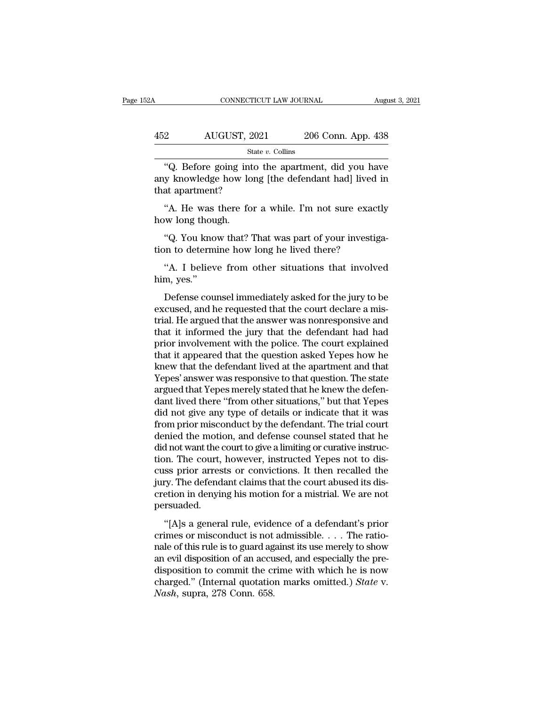| 32A | CONNECTICUT LAW JOURNAL |                    | August 3, 2021 |
|-----|-------------------------|--------------------|----------------|
|     |                         |                    |                |
| 452 | AUGUST, 2021            | 206 Conn. App. 438 |                |
|     | State $v$ . Collins     |                    |                |

CONNECTICUT LAW JOURNAL August 3, 2021<br>
206 Conn. App. 438<br>
31 State v. Collins<br>
32 Conn. App. 438<br>
42. Before going into the apartment, did you have<br>
42. Before going into the apartment, did you have<br>
42. Superment? 452 AUGUST, 2021 206 Conn. App. 438<br>
<sup>State v. Collins</sup><br>
<sup>306</sup> Conn. App. 438<br>
42. Before going into the apartment, did you have<br>
any knowledge how long [the defendant had] lived in<br>
that apartment? 452 AUGUST, 202<br>
state<br>
"Q. Before going into<br>
any knowledge how long<br>
that apartment?<br>
"A. He was there for : 22 AUGUST, 2021 206 Conn. App. 438<br>  $\frac{\text{State } v. \text{ Collins}}{\text{State } v. \text{ Collins}}$ <br>
"Q. Before going into the apartment, did you have<br>
y knowledge how long [the defendant had] lived in<br>
at apartment?<br>
"A. He was there for a while. I'm not s<br>
"Q. Before going int<br>
any knowledge how lo<br>
that apartment?<br>
"A. He was there fo<br>
how long though.<br>"Q. You know that?" "Q. Before going into the apartment, did you have<br>y knowledge how long [the defendant had] lived in<br>at apartment?<br>"A. He was there for a while. I'm not sure exactly<br>w long though.<br>"Q. You know that? That was part of your i

any knowledge how long [the defendant had] lived<br>that apartment?<br>"A. He was there for a while. I'm not sure exact<br>how long though.<br>"Q. You know that? That was part of your investig<br>tion to determine how long he lived there "A. He was there for a while. I'm not sure exactly<br>"Q. You know that? That was part of your investiga-<br>"Q. You know that? That was part of your investiga-<br>"A. I believe from other situations that involved<br>m, yes."

A. He was<br>how long thou<br>"Q. You kno<br>tion to determ"<br>A. I believ<br>him, yes."<br>Defense cou

"Q. You know that? That was part of your investiga-<br>"A. I believe from other situations that involved<br>"A. I believe from other situations that involved<br>"Mes."<br>Defense counsel immediately asked for the jury to be<br>cused, an "Q. You know that? That was part of your investigation to determine how long he lived there?<br>"A. I believe from other situations that involved<br>him, yes."<br>Defense counsel immediately asked for the jury to be<br>excused, and he tion to determine how long he lived there?<br>
"A. I believe from other situations that involved<br>
him, yes."<br>
Defense counsel immediately asked for the jury to be<br>
excused, and he requested that the court declare a mis-<br>
tria "A. I believe from other situations that involved<br>him, yes."<br>Defense counsel immediately asked for the jury to be<br>excused, and he requested that the court declare a mis-<br>trial. He argued that the answer was nonresponsive a The policies of the policies in the policies of the court of the piny to be excused, and he requested that the court declare a mistrial. He argued that the answer was nonresponsive and that it informed the jury that the de That, yes.<br>
Defense counsel immediately asked for the jury to be<br>
excused, and he requested that the court declare a mis-<br>
trial. He argued that the answer was nonresponsive and<br>
that it informed the jury that the defendan Defense counsel immediately asked for the jury to be<br>excused, and he requested that the court declare a mis-<br>trial. He argued that the answer was nonresponsive and<br>that it informed the jury that the defendant had had<br>prior excused, and he requested that the court declare a mistrial. He argued that the answer was nonresponsive and that it informed the jury that the defendant had had prior involvement with the police. The court explained that trial. He argued that the answer was nonresponsive and<br>that it informed the jury that the defendant had had<br>prior involvement with the police. The court explained<br>that it appeared that the question asked Yepes how he<br>knew that it informed the jury that the defendant had had<br>prior involvement with the police. The court explained<br>that it appeared that the question asked Yepes how he<br>knew that the defendant lived at the apartment and that<br>Yepe prior involvement with the police. The court explained<br>that it appeared that the question asked Yepes how he<br>knew that the defendant lived at the apartment and that<br>Yepes' answer was responsive to that question. The state<br> that it appeared that the question asked Yepes how he<br>knew that the defendant lived at the apartment and that<br>Yepes' answer was responsive to that question. The state<br>argued that Yepes merely stated that he knew the defenknew that the defendant lived at the apartment and that Yepes' answer was responsive to that question. The state argued that Yepes merely stated that he knew the defendant lived there "from other situations," but that Yepe Yepes' answer was responsive to that question. The state argued that Yepes merely stated that he knew the defendant lived there "from other situations," but that Yepes did not give any type of details or indicate that it w argued that Yepes merely stated that he knew the defendant lived there "from other situations," but that Yepes did not give any type of details or indicate that it was from prior misconduct by the defendant. The trial cour dant lived there "from other situations," but that Yepes<br>did not give any type of details or indicate that it was<br>from prior misconduct by the defendant. The trial court<br>denied the motion, and defense counsel stated that h did not give any type of details or indicate that it was<br>from prior misconduct by the defendant. The trial court<br>denied the motion, and defense counsel stated that he<br>did not want the court to give a limiting or curative i from prior misconduct by the defendant. The trial court<br>denied the motion, and defense counsel stated that he<br>did not want the court to give a limiting or curative instruc-<br>tion. The court, however, instructed Yepes not to persuaded. The court of the court of the article of the court of the court of the court, however, instructed Yepes not to disses prior arrests or convictions. It then recalled the cy. The defendant claims that the court abused its di crimes or misconductions. It then recalled the<br>cuss prior arrests or convictions. It then recalled the<br>jury. The defendant claims that the court abused its dis-<br>cretion in denying his motion for a mistrial. We are not<br>pers

East prior arrests of convictions. It also recalled alter<br>jury. The defendant claims that the court abused its dis-<br>cretion in denying his motion for a mistrial. We are not<br>persuaded.<br>"[A]s a general rule, evidence of a de and the second accurate transfer in density and control and the contribution of persuaded.<br>
"[A]s a general rule, evidence of a defendant's prior crimes or misconduct is not admissible. . . . The ratio-<br>
nale of this rule disposition in activity and model for a missimal. We dispose<br>persuaded.<br>"[A]s a general rule, evidence of a defendant's prior<br>crimes or misconduct is not admissible.... The ratio-<br>nale of this rule is to guard against its "[A]s a general rule, evidence of a defendant's prior<br>crimes or misconduct is not admissible. . . . The ratio-<br>nale of this rule is to guard against its use merely to show<br>an evil disposition of an accused, and especially "[A]s a general rule, evide<br>crimes or misconduct is not<br>nale of this rule is to guard ag<br>an evil disposition of an accu<br>disposition to commit the ci<br>charged." (Internal quotatio<br>*Nash*, supra, 278 Conn. 658.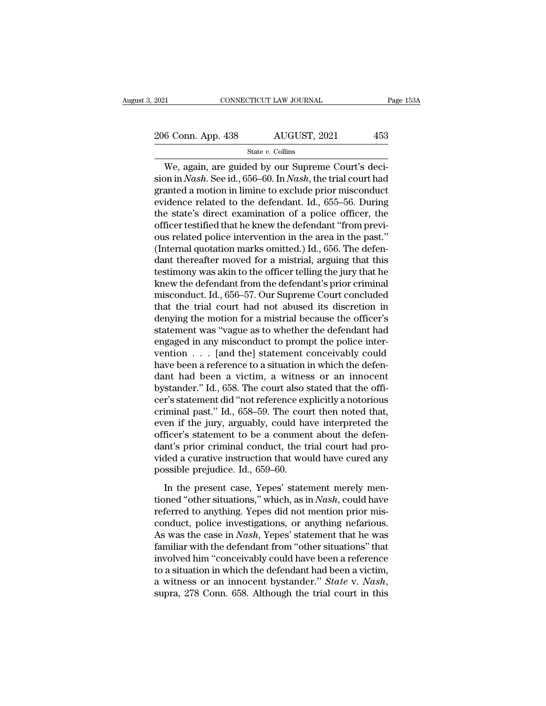2021 CONNECTICUT LAW JOURNAL Page 153A<br>
206 Conn. App. 438 AUGUST, 2021 453

State *v.* Collins

CONNECTICUT LAW JOURNAL<br>
6 Conn. App. 438 AUGUST, 2021 453<br>
State v. Collins<br>
We, again, are guided by our Supreme Court's deci-<br>
on in *Nash*. See id., 656–60. In *Nash*, the trial court had 206 Conn. App. 438 AUGUST, 2021 453<br>
State v. Collins<br>
We, again, are guided by our Supreme Court's decision in *Nash*. See id., 656–60. In *Nash*, the trial court had granted a motion in limine to exclude prior misconduct 206 Conn. App. 438 AUGUST, 2021 453<br>
State v. Collins<br>
We, again, are guided by our Supreme Court's decision in *Nash*. See id., 656–60. In *Nash*, the trial court had granted a motion in limine to exclude prior misconduc 206 Conn. App. 438 AUGUST, 2021 453<br>
State v. Collins<br>
We, again, are guided by our Supreme Court's decision in *Nash*. See id., 656–60. In *Nash*, the trial court had<br>
granted a motion in limine to exclude prior miscondu State v. Collins<br>
We, again, are guided by our Supreme Court's decision in *Nash*. See id., 656–60. In *Nash*, the trial court had<br>
granted a motion in limine to exclude prior misconduct<br>
evidence related to the defendant State v. Colins<br>
We, again, are guided by our Supreme Court's decision in *Nash*. See id., 656–60. In *Nash*, the trial court had<br>
granted a motion in limine to exclude prior misconduct<br>
evidence related to the defendant. We, again, are guided by our Supreme Court's decision in *Nash*. See id., 656–60. In *Nash*, the trial court had granted a motion in limine to exclude prior misconduct evidence related to the defendant. Id., 655–56. Durin sion in *Nash*. See id., 656–60. In *Nash*, the trial court had granted a motion in limine to exclude prior misconduct evidence related to the defendant. Id., 655–56. During the state's direct examination of a police offic granted a motion in limine to exclude prior misconduct<br>evidence related to the defendant. Id., 655–56. During<br>the state's direct examination of a police officer, the<br>officer testified that he knew the defendant "from previ evidence related to the defendant. Id., 655–56. During<br>the state's direct examination of a police officer, the<br>officer testified that he knew the defendant "from previ-<br>ous related police intervention in the area in the pa the state's direct examination of a police officer, the officer testified that he knew the defendant "from previous related police intervention in the area in the past." (Internal quotation marks omitted.) Id., 656. The de officer testified that he knew the defendant "from previ-<br>ous related police intervention in the area in the past."<br>(Internal quotation marks omitted.) Id., 656. The defen-<br>dant thereafter moved for a mistrial, arguing tha ous related police intervention in the area in the past."<br>(Internal quotation marks omitted.) Id., 656. The defen-<br>dant thereafter moved for a mistrial, arguing that this<br>testimony was akin to the officer telling the jury (Internal quotation marks omitted.) Id., 656. The defendant thereafter moved for a mistrial, arguing that this testimony was akin to the officer telling the jury that he knew the defendant from the defendant's prior crimin dant thereafter moved for a mistrial, arguing that this<br>testimony was akin to the officer telling the jury that he<br>knew the defendant from the defendant's prior criminal<br>misconduct. Id., 656–57. Our Supreme Court concluded testimony was akin to the officer telling the jury that he<br>knew the defendant from the defendant's prior criminal<br>misconduct. Id., 656–57. Our Supreme Court concluded<br>that the trial court had not abused its discretion in<br>d knew the defendant from the defendant's prior criminal<br>misconduct. Id., 656–57. Our Supreme Court concluded<br>that the trial court had not abused its discretion in<br>denying the motion for a mistrial because the officer's<br>sta misconduct. Id., 656–57. Our Supreme Court concluded<br>that the trial court had not abused its discretion in<br>denying the motion for a mistrial because the officer's<br>statement was "vague as to whether the defendant had<br>engag that the trial court had not abused its discretion in<br>denying the motion for a mistrial because the officer's<br>statement was "vague as to whether the defendant had<br>engaged in any misconduct to prompt the police inter-<br>venti denying the motion for a mistrial because the officer's<br>statement was "vague as to whether the defendant had<br>engaged in any misconduct to prompt the police inter-<br>vention  $\dots$  [and the] statement conceivably could<br>have be statement was "vague as to whether the defendant had<br>engaged in any misconduct to prompt the police inter-<br>vention  $\dots$  [and the] statement conceivably could<br>have been a reference to a situation in which the defen-<br>dant h engaged in any misconduct to prompt the police intervention  $\ldots$  [and the] statement conceivably could have been a reference to a situation in which the defendant had been a victim, a witness or an innocent by stander." vention  $\ldots$  [and the] statement conceivably could<br>have been a reference to a situation in which the defen-<br>dant had been a victim, a witness or an innocent<br>bystander." Id., 658. The court also stated that the offi-<br>cer' have been a reference to a situation in which the defendant had been a victim, a witness or an innocent by stander." Id., 658. The court also stated that the officer's statement did "not reference explicitly a notorious cr dant had been a victim, a witness or an innocent<br>bystander." Id., 658. The court also stated that the offi-<br>cer's statement did "not reference explicitly a notorious<br>criminal past." Id., 658–59. The court then noted that,<br> bystander." Id., 658. The court also stated that the officer's statement did "not reference explicitly a notorious criminal past." Id., 658–59. The court then noted that, even if the jury, arguably, could have interpreted cer's statement did "not reference ex<br>criminal past." Id., 658–59. The cour<br>even if the jury, arguably, could ha<br>officer's statement to be a commen<br>dant's prior criminal conduct, the ti<br>vided a curative instruction that wo In the jury, arguably, could have interpreted the ficer's statement to be a comment about the defen-<br>Int's prior criminal conduct, the trial court had pro-<br>ded a curative instruction that would have cured any<br>ssible preju officer's statement to be a comment about the defendant's prior criminal conduct, the trial court had provided a curative instruction that would have cured any possible prejudice. Id., 659–60.<br>In the present case, Yepes' s

dant's prior criminal conduct, the trial court had provided a curative instruction that would have cured any<br>possible prejudice. Id., 659–60.<br>In the present case, Yepes' statement merely men-<br>tioned "other situations," wh date 5 prof ermantal estates, are trial court had provided a curative instruction that would have cured any<br>possible prejudice. Id., 659–60.<br>In the present case, Yepes' statement merely men-<br>tioned "other situations," whic Fraction and worker historical material method and provide the pressible prejudice. Id., 659–60.<br>
In the present case, Yepes' statement merely mentioned "other situations," which, as in *Nash*, could have referred to anyth In the present case, Yepes' statement merely mentioned "other situations," which, as in *Nash*, could have referred to anything. Yepes did not mention prior misconduct, police investigations, or anything nefarious. As was In the present case, Yepes' statement merely mentioned "other situations," which, as in *Nash*, could have referred to anything. Yepes did not mention prior misconduct, police investigations, or anything nefarious.<br>As was tioned "other situations," which, as in *Nash*, could have<br>referred to anything. Yepes did not mention prior mis-<br>conduct, police investigations, or anything nefarious.<br>As was the case in *Nash*, Yepes' statement that he referred to anything. Yepes did not mention prior misconduct, police investigations, or anything nefarious.<br>As was the case in *Nash*, Yepes' statement that he was<br>familiar with the defendant from "other situations" that<br>i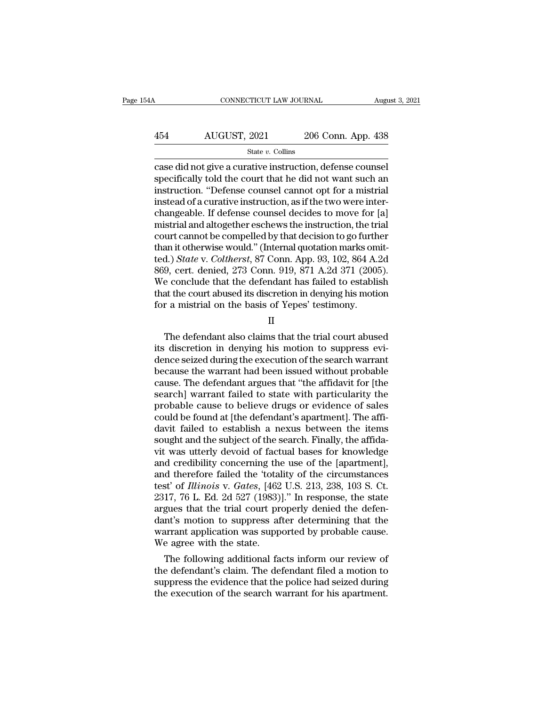### $\begin{array}{r|l} \text{COMNECTICUT LAW JOURNAL} & \text{August 3, 2021} \\\\ \hline 454 & \text{AUGUST, 2021} & \text{206 Conn. App. 438} \\\\ \hline & \text{State $v$. Collins} \end{array}$ State *v.* Collins

CONNECTICUT LAW JOURNAL August 3, 20<br>
ALGUST, 2021 206 Conn. App. 438<br>
State v. Collins<br>
Case did not give a curative instruction, defense counsel<br>
specifically told the court that he did not want such an<br>
instruction. "De  $\frac{\text{AUGUST, 2021}}{\text{State } v. \text{ Collins}}$ <br>  $\frac{\text{State } v. \text{ Collins}}{\text{case did not give a curative instruction, defense course}}$ <br>
specifically told the court that he did not want such an instruction. "Defense counsel cannot opt for a mistrial<br>
instead of a curative instruction, as if th 454 AUGUST, 2021 206 Conn. App. 438<br>  $\frac{\text{State } v. \text{ Collins}}{\text{case did not give a curative instruction, defense course}}$ <br>
specifically told the court that he did not want such an instruction. "Defense counsel cannot opt for a mistrial instead of a curative instruction, as  $\frac{\text{454}}{\text{State }v. \text{ Collins}}$  and  $\frac{\text{544}}{\text{State }v. \text{ Collins}}$  case did not give a curative instruction, defense counsel specifically told the court that he did not want such an instruction. "Defense counsel cannot opt for a mistria State v. Collins<br>
State v. Collins<br>
case did not give a curative instruction, defense counsel<br>
specifically told the court that he did not want such an<br>
instruction. "Defense counsel cannot opt for a mistrial<br>
instead of state  $v$ . Collins<br>
case did not give a curative instruction, defense counsel<br>
specifically told the court that he did not want such an<br>
instruction. "Defense counsel cannot opt for a mistrial<br>
instead of a curative instr case did not give a curative instruction, defense counsel<br>specifically told the court that he did not want such an<br>instruction. "Defense counsel cannot opt for a mistrial<br>instead of a curative instruction, as if the two we specifically told the court that he did not want such an instruction. "Defense counsel cannot opt for a mistrial instead of a curative instruction, as if the two were inter-<br>changeable. If defense counsel decides to move f instruction. "Defense counsel cannot opt for a mistrial<br>instead of a curative instruction, as if the two were inter-<br>changeable. If defense counsel decides to move for [a]<br>mistrial and altogether eschews the instruction, t instead of a curative instruction, as if the two were inter-<br>changeable. If defense counsel decides to move for [a]<br>mistrial and altogether eschews the instruction, the trial<br>court cannot be compelled by that decision to g changeable. If defense counsel decides to move for [a]<br>mistrial and altogether eschews the instruction, the trial<br>court cannot be compelled by that decision to go further<br>than it otherwise would." (Internal quotation marks mistrial and altogether eschews the instruction, the trial<br>court cannot be compelled by that decision to go further<br>than it otherwise would." (Internal quotation marks omit-<br>ted.) *State* v. *Coltherst*, 87 Conn. App. 93, court cannot be compelled by that decision to go furth than it otherwise would." (Internal quotation marks om ted.) *State* v. *Coltherst*, 87 Conn. App. 93, 102, 864 A.: 869, cert. denied, 273 Conn. 919, 871 A.2d 371 (200 9, cert. denied, 273 Conn. 919, 871 A.2d 371 (2005).<br>
e conclude that the defendant has failed to establish<br>
at the court abused its discretion in denying his motion<br>
r a mistrial on the basis of Yepes' testimony.<br>
II<br>
Th

II

We conclude that the defendant has failed to establish<br>that the court abused its discretion in denying his motion<br>for a mistrial on the basis of Yepes' testimony.<br>II<br>The defendant also claims that the trial court abused<br>it that the court abused its discretion in denying his motion<br>for a mistrial on the basis of Yepes' testimony.<br>II<br>The defendant also claims that the trial court abused<br>its discretion in denying his motion to suppress evi-<br>den for a mistrial on the basis of Yepes' testimony.<br>  $II$ <br>
The defendant also claims that the trial court abused<br>
its discretion in denying his motion to suppress evi-<br>
dence seized during the execution of the search warrant<br> II<br>II<br>The defendant also claims that the trial court abused<br>its discretion in denying his motion to suppress evi-<br>dence seized during the execution of the search warrant<br>because the warrant had been issued without probable II<br>The defendant also claims that the trial court abused<br>its discretion in denying his motion to suppress evi-<br>dence seized during the execution of the search warrant<br>because the warrant had been issued without probable<br>ca The defendant also claims that the trial court abused<br>its discretion in denying his motion to suppress evi-<br>dence seized during the execution of the search warrant<br>because the warrant had been issued without probable<br>cause its discretion in denying his motion to suppress evidence seized during the execution of the search warrant because the warrant had been issued without probable cause. The defendant argues that "the affidavit for [the sear dence seized during the execution of the search warrant<br>because the warrant had been issued without probable<br>cause. The defendant argues that "the affidavit for [the<br>search] warrant failed to state with particularity the<br>p because the warrant had been issued without probable cause. The defendant argues that "the affidavit for [the search] warrant failed to state with particularity the probable cause to believe drugs or evidence of sales coul cause. The defendant argues that "the affidavit for [the<br>search] warrant failed to state with particularity the<br>probable cause to believe drugs or evidence of sales<br>could be found at [the defendant's apartment]. The affi-<br> search] warrant failed to state with particularity the<br>probable cause to believe drugs or evidence of sales<br>could be found at [the defendant's apartment]. The affi-<br>davit failed to establish a nexus between the items<br>sough probable cause to believe drugs or evidence of sales<br>could be found at [the defendant's apartment]. The affi-<br>davit failed to establish a nexus between the items<br>sought and the subject of the search. Finally, the affida-<br>v could be found at [the defendant's apartment]. The affi-<br>davit failed to establish a nexus between the items<br>sought and the subject of the search. Finally, the affida-<br>vit was utterly devoid of factual bases for knowledge<br> davit failed to establish a nexus between the items<br>sought and the subject of the search. Finally, the affida-<br>vit was utterly devoid of factual bases for knowledge<br>and credibility concerning the use of the [apartment],<br>an sought and the subject of the search. Finally, the affidavit was utterly devoid of factual bases for knowledge and credibility concerning the use of the [apartment], and therefore failed the 'totality of the circumstances vit was utterly devoid of factual bases for knowledge<br>and credibility concerning the use of the [apartment],<br>and therefore failed the 'totality of the circumstances<br>test' of *Illinois* v. *Gates*, [462 U.S. 213, 238, 103 S and credibility concerning the use of the [apartment],<br>and therefore failed the 'totality of the circumstances<br>test' of *Illinois* v. *Gates*, [462 U.S. 213, 238, 103 S. Ct.<br>2317, 76 L. Ed. 2d 527 (1983)]." In response, th and therefore failed the 'total<br>test' of *Illinois* v. *Gates*, [462<br>2317, 76 L. Ed. 2d 527 (1983)<br>argues that the trial court pr<br>dant's motion to suppress af<br>warrant application was supp<br>We agree with the state.<br>The follo st of *lutnots* v. Gates, [462 U.S. 213, 238, 103 S. Ct.<br>17, 76 L. Ed. 2d 527 (1983)]." In response, the state<br>gues that the trial court properly denied the defen-<br>nt's motion to suppress after determining that the<br>arrant 2317, 76 L. Ed. 2d 527 (1983)]. In response, the state<br>argues that the trial court properly denied the defen-<br>dant's motion to suppress after determining that the<br>warrant application was supported by probable cause.<br>We ag

argues that the trial court properly denied the defendant's motion to suppress after determining that the warrant application was supported by probable cause.<br>We agree with the state.<br>The following additional facts inform dant s motion to suppress after determining that the<br>warrant application was supported by probable cause.<br>We agree with the state.<br>The following additional facts inform our review of<br>the defendant's claim. The defendant fi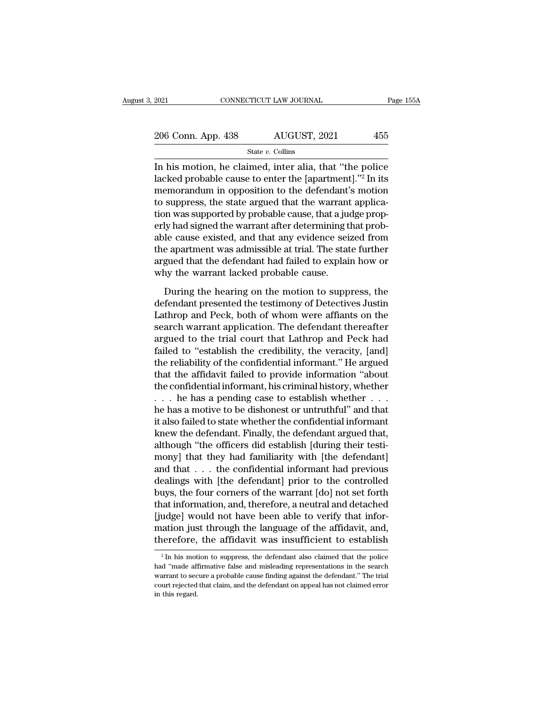| 2021               | CONNECTICUT LAW JOURNAL |              | Page 155A |
|--------------------|-------------------------|--------------|-----------|
|                    |                         |              |           |
| 206 Conn. App. 438 |                         | AUGUST, 2021 | 455       |
|                    | State $v$ . Collins     |              |           |

 $\frac{2021}{206}$  Conn. App. 438 AUGUST, 2021  $\frac{206}{455}$ <br>  $\frac{340}{455}$ <br>  $\frac{540}{455}$ <br>
In his motion, he claimed, inter alia, that "the police<br>
lacked probable cause to enter the [apartment]."<sup>2</sup> In its<br>
momorondum in op 206 Conn. App. 438 AUGUST, 2021 455<br>
State v. Collins<br>
In his motion, he claimed, inter alia, that "the police<br>
lacked probable cause to enter the [apartment]."<sup>2</sup> In its<br>
memorandum in opposition to the defendant's motio 206 Conn. App. 438 AUGUST, 2021 455<br>
State v. Collins<br>
In his motion, he claimed, inter alia, that "the police<br>
lacked probable cause to enter the [apartment]."<sup>2</sup> In its<br>
memorandum in opposition to the defendant's motio 206 Conn. App. 438 AUGUST, 2021 455<br>
State v. Collins<br>
In his motion, he claimed, inter alia, that "the police<br>
lacked probable cause to enter the [apartment]."<sup>2</sup> In its<br>
memorandum in opposition to the defendant's motio State v. Collins<br>In his motion, he claimed, inter alia, that "the police<br>lacked probable cause to enter the [apartment]."<sup>2</sup> In its<br>memorandum in opposition to the defendant's motion<br>to suppress, the state argued that the signed the signed, inter alia, that "the police<br>lacked probable cause to enter the [apartment]."<sup>2</sup> In its<br>memorandum in opposition to the defendant's motion<br>to suppress, the state argued that the warrant applica-<br>tion wa In his motion, he claimed, inter alia, that "the police<br>lacked probable cause to enter the [apartment]."<sup>2</sup> In its<br>memorandum in opposition to the defendant's motion<br>to suppress, the state argued that the warrant applica-<br> lacked probable cause to enter the [apartment]."<sup>2</sup> In its<br>memorandum in opposition to the defendant's motion<br>to suppress, the state argued that the warrant applica-<br>tion was supported by probable cause, that a judge propmemorandum in opposition to the defendant's motion<br>to suppress, the state argued that the warrant applica-<br>tion was supported by probable cause, that a judge prop-<br>erly had signed the warrant after determining that prob-<br>a to suppress, the state argued that the warrant<br>tion was supported by probable cause, that a jue<br>erly had signed the warrant after determining t<br>able cause existed, and that any evidence sei:<br>the apartment was admissible at by had signed the warrant after determining that prob-<br>le cause existed, and that any evidence seized from<br>e apartment was admissible at trial. The state further<br>gued that the defendant had failed to explain how or<br>ny the able cause existed, and that any evidence seized from<br>the apartment was admissible at trial. The state further<br>argued that the defendant had failed to explain how or<br>why the warrant lacked probable cause.<br>During the hearin

the apartment was admissible at trial. The state further<br>argued that the defendant had failed to explain how or<br>why the warrant lacked probable cause.<br>During the hearing on the motion to suppress, the<br>defendant presented t argued that the defendant had failed to explain how or<br>why the warrant lacked probable cause.<br>During the hearing on the motion to suppress, the<br>defendant presented the testimony of Detectives Justin<br>Lathrop and Peck, both why the warrant lacked probable cause.<br>
During the hearing on the motion to suppress, the<br>
defendant presented the testimony of Detectives Justin<br>
Lathrop and Peck, both of whom were affiants on the<br>
search warrant applica During the hearing on the motion to suppress, the<br>defendant presented the testimony of Detectives Justin<br>Lathrop and Peck, both of whom were affiants on the<br>search warrant application. The defendant thereafter<br>argued to th During the hearing on the motion to suppress, the<br>defendant presented the testimony of Detectives Justin<br>Lathrop and Peck, both of whom were affiants on the<br>search warrant application. The defendant thereafter<br>argued to th defendant presented the testimony of Detectives Justin<br>Lathrop and Peck, both of whom were affiants on the<br>search warrant application. The defendant thereafter<br>argued to the trial court that Lathrop and Peck had<br>failed to Lathrop and Peck, both of whom were affiants on the<br>search warrant application. The defendant thereafter<br>argued to the trial court that Lathrop and Peck had<br>failed to "establish the credibility, the veracity, [and]<br>the re search warrant application. The defendant thereafter<br>argued to the trial court that Lathrop and Peck had<br>failed to "establish the credibility, the veracity, [and]<br>the reliability of the confidential informant." He argued<br>t argued to the trial court that Lathrop and Peck had<br>failed to "establish the credibility, the veracity, [and]<br>the reliability of the confidential informant." He argued<br>that the affidavit failed to provide information "abou failed to "establish the credibility, the veracity, [and]<br>the reliability of the confidential informant." He argued<br>that the affidavit failed to provide information "about<br>the confidential informant, his criminal history, the reliability of the confidential informant." He argued<br>that the affidavit failed to provide information "about<br>the confidential informant, his criminal history, whether<br> $\dots$  he has a pending case to establish whether that the affidavit failed to provide information "about<br>the confidential informant, his criminal history, whether<br> $\dots$  he has a pending case to establish whether  $\dots$ <br>he has a motive to be dishonest or untruthful" and tha the confidential informant, his criminal history, whether  $\ldots$  he has a pending case to establish whether  $\ldots$  he has a motive to be dishonest or untruthful" and that it also failed to state whether the confidential inf . . . he has a pending case to establish whether . . .<br>he has a motive to be dishonest or untruthful" and that<br>it also failed to state whether the confidential informant<br>knew the defendant. Finally, the defendant argued t he has a motive to be dishonest or untruthful" and that<br>it also failed to state whether the confidential informant<br>knew the defendant. Finally, the defendant argued that,<br>although "the officers did establish [during their it also failed to state whether the confidential informant<br>knew the defendant. Finally, the defendant argued that,<br>although "the officers did establish [during their testi-<br>mony] that they had familiarity with [the defenda knew the defendant. Finally, the defendant argued that,<br>although "the officers did establish [during their testi-<br>mony] that they had familiarity with [the defendant]<br>and that . . . the confidential informant had previous<br> although "the officers did establish [during their testi-<br>mony] that they had familiarity with [the defendant]<br>and that . . . the confidential informant had previous<br>dealings with [the defendant] prior to the controlled<br>bu mony] that they had familiarity with [the defendant]<br>and that . . . the confidential informant had previous<br>dealings with [the defendant] prior to the controlled<br>buys, the four corners of the warrant [do] not set forth<br>th and that . . . the confidential informant had previous<br>dealings with [the defendant] prior to the controlled<br>buys, the four corners of the warrant [do] not set forth<br>that information, and, therefore, a neutral and detache at information, and, therefore, a neutral and detached<br>udge] would not have been able to verify that infor-<br>ation just through the language of the affidavit, and,<br>erefore, the affidavit was insufficient to establish<br><sup>2</sup>In [judge] would not have been able to verify that information just through the language of the affidavit, and, therefore, the affidavit was insufficient to establish  $\frac{2}{\pi}$  In his motion to suppress, the defendant also

mation just through the language of the affidavit, and, therefore, the affidavit was insufficient to establish  $a^2 \ln h$  is motion to suppress, the defendant also claimed that the police had "made affirmative false and mis court referies the affidavit was insufficient to establish<br> $\frac{1}{2}$  In his motion to suppress, the defendant also claimed that the police<br>had "made affirmative false and misleading representations in the search<br>warrant t  $\,^2$  In his motion to suppress, the defendant also claimed that the police had "made affirmative false and misleading representations in the search warrant to secure a probable cause finding against the defendant." The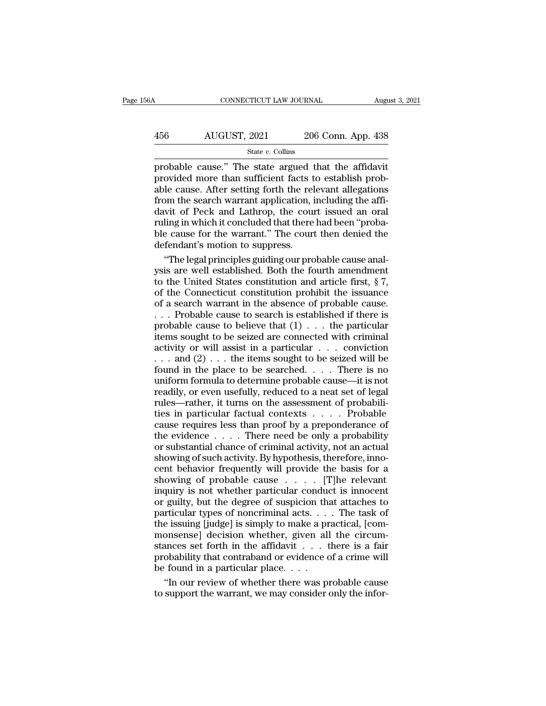# $\begin{tabular}{lll} \multicolumn{2}{l}{{\text{COMNECTICUT LAW JOURNAL}}} \multicolumn{2}{l}{{\text{August 3, 2021}}}\ \end{tabular}$   $\begin{tabular}{ll} \multicolumn{2}{l}{{\text{August 3, 2021}}}\ \multicolumn{2}{l}{{\text{August 3, 2021}}}\ \multicolumn{2}{l}{{\text{August 3, 2021}}}\ \end{tabular}$

### State *v.* Collins

 $\begin{tabular}{ll} \multicolumn{1}{l}{{\text{COMRECTICUT LAW JOURNAL}}} & \multicolumn{1}{l}{\text{August 3, 202}}\\ \hline & {\text{AUGUST, 2021}} & \multicolumn{1}{l}{\text{206 Conn. App. 438}}\\ & \\ & {\text{State $v$. Collins}}\\ \hline & \\ {\text{probable cause." The state argued that the affidavit}\\ {\text{provided more than sufficient facts to establish prob-} } \\ \hline & \\ {\text{able cause. After setting forth the relevant allocations} } \end{tabular}$  $\frac{\text{AUGUST, 2021}}{\text{State } v. \text{ Collins}}$ <br>
probable cause." The state argued that the affidavity provided more than sufficient facts to establish prob-<br>
able cause. After setting forth the relevant allegations<br>
from the search warran 456 AUGUST, 2021 206 Conn. App. 438<br>  $\frac{\text{State } v. \text{ Collins}}{\text{probable cause." The state argued that the affinity  
provided more than sufficient facts to establish probable cause. After setting forth the relevant allegations  
from the search warrant application, including the affi-davit of Peck and Latinon the court issued an oral$ 456 AUGUST, 2021 206 Conn. App. 438<br>  $\frac{\text{State } v. \text{ Collins}}{\text{probable cause." The state argued that the affidavit}$ <br>
probable cause." The state argued that the affidavit<br>
provided more than sufficient facts to establish probable cause. After setting forth the relevan  $\frac{\text{State } v. \text{ Collins}}{\text{probe cause." The state argued that the affinity model is a good condition.}$ <br>
probable cause." The state argued that the affidavit<br>
provided more than sufficient facts to establish prob-<br>
able cause. After setting forth the relevant allegations<br>
from the search State v. Collins<br>probable cause." The state argued that the affidavit<br>provided more than sufficient facts to establish prob-<br>able cause. After setting forth the relevant allegations<br>from the search warrant application, in probable cause." The state argued that the affidavit<br>provided more than sufficient facts to establish prob-<br>able cause. After setting forth the relevant allegations<br>from the search warrant application, including the affi-<br> provided more than sufficient facts t<br>able cause. After setting forth the rel<br>from the search warrant application, i<br>davit of Peck and Lathrop, the cour<br>ruling in which it concluded that there<br>ble cause for the warrant." T le cause. After setting forth the relevant allegations<br>
om the search warrant application, including the affi-<br>
with of Peck and Lathrop, the court issued an oral<br>
ling in which it concluded that there had been "proba-<br>
e from the search warrant application, including the affi-<br>davit of Peck and Lathrop, the court issued an oral<br>ruling in which it concluded that there had been "proba-<br>ble cause for the warrant." The court then denied the<br>d

davit of Peck and Lathrop, the court issued an oral<br>ruling in which it concluded that there had been "proba-<br>ble cause for the warrant." The court then denied the<br>defendant's motion to suppress.<br>"The legal principles guidi ruling in which it concluded that there had been "probable cause for the warrant." The court then denied the defendant's motion to suppress.<br>"The legal principles guiding our probable cause analysis are well established. B ble cause for the warrant." The court then denied the<br>defendant's motion to suppress.<br>"The legal principles guiding our probable cause anal-<br>ysis are well established. Both the fourth amendment<br>to the United States constit defendant's motion to suppress.<br>
"The legal principles guiding our probable cause analysis are well established. Both the fourth amendment<br>
to the United States constitution and article first, § 7,<br>
of the Connecticut cons "The legal principles guiding our probable cause analysis are well established. Both the fourth amendment<br>to the United States constitution and article first, § 7,<br>of the Connecticut constitution prohibit the issuance<br>of ysis are well established. Both the fourth amendment<br>to the United States constitution and article first, § 7,<br>of the Connecticut constitution prohibit the issuance<br>of a search warrant in the absence of probable cause.<br>.. to the United States constitution and article first,  $\S$  7,<br>of the Connecticut constitution prohibit the issuance<br>of a search warrant in the absence of probable cause.<br>... Probable cause to search is established if there of the Connecticut constitution prohibit the issuance<br>of a search warrant in the absence of probable cause.<br>... Probable cause to search is established if there is<br>probable cause to believe that  $(1) \ldots$  the particular<br>it of a search warrant in the absence of probable cause.<br>
... Probable cause to search is established if there is<br>
probable cause to believe that  $(1) \ldots$  the particular<br>
items sought to be seized are connected with criminal uniform formula to determine the stablished if there is<br>probable cause to believe that  $(1)$ ... the particular<br>items sought to be seized are connected with criminal<br>activity or will assist in a particular ... conviction<br>reading to be seized are connected with criminal<br>items sought to be seized are connected with criminal<br>activity or will assist in a particular . . . conviction<br>... and (2) ... the items sought to be seized will be<br>found i probable cause to believe that  $(1) \ldots$  the particular items sought to be seized are connected with criminal activity or will assist in a particular  $\ldots$  conviction  $\ldots$  and  $(2) \ldots$  the items sought to be seized will b activity or will assist in a particular  $\ldots$  conviction<br>  $\ldots$  and (2)  $\ldots$  the items sought to be seized will be<br>
found in the place to be searched.  $\ldots$  There is no<br>
uniform formula to determine probable cause—it is cause in the place of the seized will be<br>found in the place to be searched. . . . There is no<br>uniform formula to determine probable cause—it is not<br>readily, or even usefully, reduced to a neat set of legal<br>rules—rather, i found in the place to be searched. . . . There is no<br>the evidence of the evidence of the same intervalsed with  $\frac{1}{2}$  for<br>readily, or even usefully, reduced to a neat set of legal<br>rules—rather, it turns on the assessme From formula to determine probable cause—it is not<br>readily, or even usefully, reduced to a neat set of legal<br>rules—rather, it turns on the assessment of probabili-<br>ties in particular factual contexts  $\dots$ . Probable<br>cause readily, or even usefully, reduced to a neat set of legal<br>rules—rather, it turns on the assessment of probabili-<br>ties in particular factual contexts  $\ldots$ . Probable<br>cause requires less than proof by a preponderance of<br>the Figure – rather, it turns on the assessment of probabilities in particular factual contexts . . . . . Probable cause requires less than proof by a preponderance of the evidence  $\ldots$ . There need be only a probability or s First in particular factual contexts  $\dots$ . Probable<br>cause requires less than proof by a preponderance of<br>the evidence  $\dots$ . There need be only a probability<br>or substantial chance of criminal activity, not an actual<br>showin cause requires less than proof by a preponderance of<br>the evidence  $\dots$ . There need be only a probability<br>or substantial chance of criminal activity, not an actual<br>showing of such activity. By hypothesis, therefore, inno-<br> the evidence  $\dots$  . There need be only a probability<br>or substantial chance of criminal activity, not an actual<br>showing of such activity. By hypothesis, therefore, inno-<br>cent behavior frequently will provide the basis for particular the existential chance of criminal activity, not an actual<br>showing of such activity. By hypothesis, therefore, inno-<br>cent behavior frequently will provide the basis for a<br>showing of probable cause . . . . . [T] showing of such activity. By hypothesis, therefore, inno-<br>cent behavior frequently will provide the basis for a<br>showing of probable cause  $\ldots$ . [T]he relevant<br>inquiry is not whether particular conduct is innocent<br>or guil cent behavior frequently will provide the basis for a<br>showing of probable cause  $\dots$  [T]he relevant<br>inquiry is not whether particular conduct is innocent<br>or guilty, but the degree of suspicion that attaches to<br>particular showing of probable cause  $\ldots$ . [T]he relevant<br>inquiry is not whether particular conduct is innocent<br>or guilty, but the degree of suspicion that attaches to<br>particular types of noncriminal acts.  $\ldots$ . The task of<br>the is probability is not whether particular conduct is innocent<br>or guilty, but the degree of suspicion that attaches to<br>particular types of noncriminal acts.... The task of<br>the issuing [judge] is simply to make a practical, [co be found in a particular parameter of suspicion the particular types of noncriminal acts...<br>the issuing [judge] is simply to make a pr monsense] decision whether, given all<br>stances set forth in the affidavit  $\dots$  the prob rticular types of noncriminal acts. . . . The task of<br>e issuing [judge] is simply to make a practical, [com-<br>onsense] decision whether, given all the circum-<br>ances set forth in the affidavit . . . there is a fair<br>obabilit the issuing [judge] is simply to make a practical, [commonsense] decision whether, given all the circumstances set forth in the affidavit  $\dots$  there is a fair probability that contraband or evidence of a crime will be fou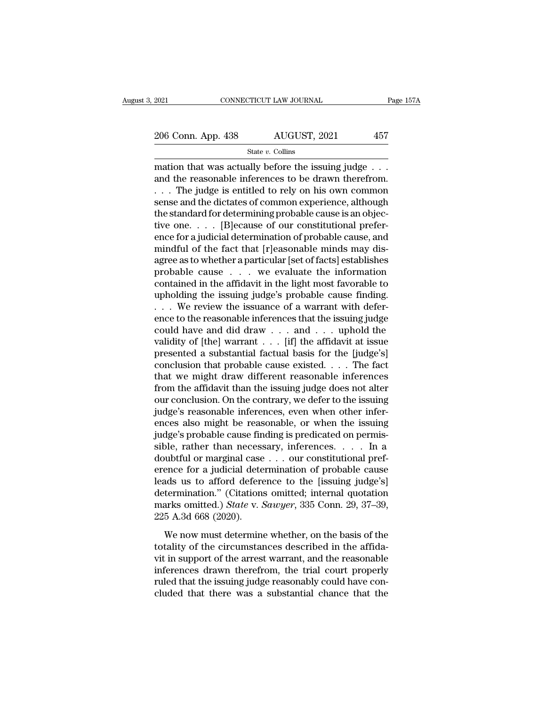State *v.* Collins

 $\begin{array}{r|l} \text{2021} & \text{COMRECTICUT LAW JOURNAL} & \text{Page 15} \ \hline \text{206 Conn. App. 438} & \text{AUGUST, 2021} & \text{457} \ \hline \text{State } v. \text{ Collins} & \text{546 } v. \text{ Collins} \ \hline \text{mation that was actually before the issuing judge . . .} \text{and the reasonable inferences to be drawn therefore.} \end{array}$ 206 Conn. App. 438 AUGUST, 2021 457<br>
State v. Collins<br>
mation that was actually before the issuing judge . . .<br>
and the reasonable inferences to be drawn therefrom.<br>
. . . The judge is entitled to rely on his own common<br> 206 Conn. App. 438 AUGUST, 2021 457<br>
State v. Collins<br>
mation that was actually before the issuing judge . . .<br>
and the reasonable inferences to be drawn therefrom.<br>
. . . The judge is entitled to rely on his own common<br> 206 Conn. App. 438 AUGUST, 2021 457<br>
State v. Collins<br>
mation that was actually before the issuing judge . . .<br>
and the reasonable inferences to be drawn therefrom.<br>
. . . The judge is entitled to rely on his own common<br> State v. Collins<br>
State v. Collins<br>
mation that was actually before the issuing judge . . .<br>
and the reasonable inferences to be drawn therefrom.<br>
. . . The judge is entitled to rely on his own common<br>
sense and the dicta state v. Colins<br>
mation that was actually before the issuing judge . . .<br>
and the reasonable inferences to be drawn therefrom.<br>  $\ldots$  The judge is entitled to rely on his own common<br>
sense and the dictates of common exper mation that was actually before the issuing judge  $\ldots$ <br>and the reasonable inferences to be drawn therefrom.<br> $\ldots$  The judge is entitled to rely on his own common<br>sense and the dictates of common experience, although<br>the and the reasonable inferences to be drawn therefrom.<br>  $\dots$  The judge is entitled to rely on his own common<br>
sense and the dictates of common experience, although<br>
the standard for determining probable cause is an objec-<br> . . . The judge is entitled to rely on his own common<br>sense and the dictates of common experience, although<br>the standard for determining probable cause is an objec-<br>tive one. . . . [B]ecause of our constitutional prefer-<br> sense and the dictates of common experience, although<br>the standard for determining probable cause is an objec-<br>tive one. . . . . [B]ecause of our constitutional prefer-<br>ence for a judicial determination of probable cause, the standard for determining probable cause is an objective one. . . . [B]ecause of our constitutional preference for a judicial determination of probable cause, and mindful of the fact that [r]easonable minds may disagre tive one. . . . [B]ecause of our constitutional preference for a judicial determination of probable cause, and mindful of the fact that [r]easonable minds may disagree as to whether a particular [set of facts] establishes ence for a judicial determination of probable cause, and<br>mindful of the fact that [r]easonable minds may dis-<br>agree as to whether a particular [set of facts] establishes<br>probable cause  $\ldots$  we evaluate the information<br>co mindful of the fact that [r]easonable minds may disagree as to whether a particular [set of facts] establishes<br>probable cause  $\ldots$  we evaluate the information<br>contained in the affidavit in the light most favorable to<br>uph agree as to whether a particular [set of facts] establishes<br>probable cause . . . we evaluate the information<br>contained in the affidavit in the light most favorable to<br>upholding the issuing judge's probable cause finding.<br> probable cause . . . we evaluate the information<br>contained in the affidavit in the light most favorable to<br>upholding the issuing judge's probable cause finding.<br>. . . We review the issuance of a warrant with defer-<br>ence t contained in the affidavit in the light most favorable to<br>upholding the issuing judge's probable cause finding.<br>... We review the issuance of a warrant with defer-<br>ence to the reasonable inferences that the issuing judge<br> upholding the issuing judge's probable cause finding.<br>
. . . We review the issuance of a warrant with defer-<br>
ence to the reasonable inferences that the issuing judge<br>
could have and did draw . . . and . . . uphold the<br>
v ... We review the issuance of a warrant with deference to the reasonable inferences that the issuing judge could have and did draw ... and ... uphold the validity of [the] warrant ... [if] the affidavit at issue presented ence to the reasonable inferences that the issuing judge<br>could have and did draw  $\dots$  and  $\dots$  uphold the<br>validity of [the] warrant  $\dots$  [if] the affidavit at issue<br>presented a substantial factual basis for the [judge's]<br> could have and did draw . . . and . . . uphold the validity of [the] warrant . . . [if] the affidavit at issue presented a substantial factual basis for the [judge's] conclusion that probable cause existed. . . . The fact validity of [the] warrant  $\ldots$  [if] the affidavit at issue<br>presented a substantial factual basis for the [judge's]<br>conclusion that probable cause existed.  $\ldots$ . The fact<br>that we might draw different reasonable inference presented a substantial factual basis for the [judge's]<br>conclusion that probable cause existed. . . . The fact<br>that we might draw different reasonable inferences<br>from the affidavit than the issuing judge does not alter<br>our conclusion that probable cause existed. . . . The fact<br>that we might draw different reasonable inferences<br>from the affidavit than the issuing judge does not alter<br>our conclusion. On the contrary, we defer to the issuing<br>j that we might draw different reasonable inferences<br>from the affidavit than the issuing judge does not alter<br>our conclusion. On the contrary, we defer to the issuing<br>judge's reasonable inferences, even when other infer-<br>enc from the affidavit than the issuing judge does not alter<br>our conclusion. On the contrary, we defer to the issuing<br>judge's reasonable inferences, even when other infer-<br>ences also might be reasonable, or when the issuing<br>j our conclusion. On the contrary, we defer to the issuing<br>judge's reasonable inferences, even when other infer-<br>ences also might be reasonable, or when the issuing<br>judge's probable cause finding is predicated on permis-<br>sib judge's reasonable inferences, even when other inferences also might be reasonable, or when the issuing judge's probable cause finding is predicated on permissible, rather than necessary, inferences.... In a doubtful or m ences also might be reasonable, or when the issuing<br>judge's probable cause finding is predicated on permis-<br>sible, rather than necessary, inferences. . . . In a<br>doubtful or marginal case . . . our constitutional pref-<br>ere judge's probable cause finding is predicated on permissible, rather than necessary, inferences. . . . In a doubtful or marginal case . . . our constitutional preference for a judicial determination of probable cause leads sible, rather than necess<br>doubtful or marginal case<br>erence for a judicial dete<br>leads us to afford defere<br>determination." (Citations<br>marks omitted.) *State* v. *2*<br>225 A.3d 668 (2020).<br>We now must determine Fractional of malignal case  $\cdot \cdot \cdot$  on constantational pro-<br>ence for a judicial determination of probable cause<br>ads us to afford deference to the [issuing judge's]<br>termination." (Citations omitted; internal quotation<br>ark tence for a jandar accommisation of prostset called<br>leads us to afford deference to the [issuing judge's]<br>determination." (Citations omitted; internal quotation<br>marks omitted.) *State* v. *Sawyer*, 335 Conn. 29, 37–39,<br>225

vis also to the arrest warranted; internal quotation<br>determination." (Citations omitted; internal quotation<br>marks omitted.) *State* v. *Sawyer*, 335 Conn. 29, 37–39,<br>225 A.3d 668 (2020).<br>We now must determine whether, on marks omitted.) *State v. Sawyer*, 335 Conn. 29, 37–39,<br>225 A.3d 668 (2020).<br>We now must determine whether, on the basis of the<br>totality of the circumstances described in the affida-<br>vit in support of the arrest warrant, a That the issuing that the issuing that the issuing that the issuing the includior with the issuing judge reasonable inferences drawn therefrom, the trial court properly ruled that the issuing judge reasonably could have c The model cases. The cluster of the control of the circumstances described in the affidation of the circumstances described in the affidation in support of the arrest warrant, and the reasonable inferences drawn therefrom,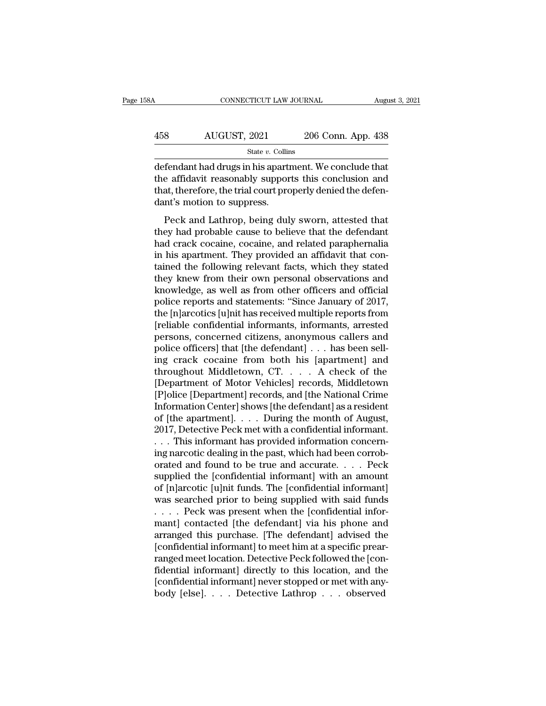| 58A | CONNECTICUT LAW JOURNAL |                    | August 3, 2021 |
|-----|-------------------------|--------------------|----------------|
| 458 | AUGUST, 2021            | 206 Conn. App. 438 |                |
|     | State $v$ . Collins     |                    |                |

 $\begin{tabular}{ll} \multicolumn{2}{l}{{\text{COMRECTICUT LAW JOURNAL}}}&\text{August 3, 202}\end{tabular} \end{tabular}$   $\begin{tabular}{ll} \multicolumn{2}{l}{{\text{AddUST, 2021}}}&\text{206 Conn. App. 438}\end{tabular} \end{tabular} \end{tabular} \begin{tabular}{ll} \multicolumn{2}{l}{{\text{State $v$. Collins}}}\end{tabular} \end{tabular} \begin{tabular}{ll} \multicolumn{2}{l}{{\text{State $v$. Collins}}}\end{tabular} \end{tabular} \end{tabular} \end{tabular} \begin{tabular}{ll}$  $458$  AUGUST, 2021 206 Conn. App. 438<br>  $545$ <br>  $545$ <br>  $458$ <br>  $458$ <br>  $458$ <br>  $458$ <br>  $458$ <br>  $458$ <br>  $458$ <br>  $458$ <br>  $458$ <br>  $458$ <br>  $458$ <br>  $458$ <br>  $458$ <br>  $458$ <br>  $458$ <br>  $458$ <br>  $458$ <br>  $458$ <br>  $458$ <br>  $458$ <br>  $458$ <br>  $458$ <br>  $458$ <br>  $458$ <br> 458 AUGUST, 2021 206 Conn. App. 438<br>  $\frac{\text{State } v. \text{ Collins}}{\text{defendant had drugs in his apartment. We conclude that}$ the affidavit reasonably supports this conclusion and that, therefore, the trial court properly denied the defen-<br>
dant's motion to suppress. 458 AUGUST, 2021<br>
state v. Collin<br>
defendant had drugs in his aparti<br>
the affidavit reasonably suppor<br>
that, therefore, the trial court pro<br>
dant's motion to suppress.<br>
Peck and Lathrop, being dul State  $v$ . Collins<br>
State  $v$ . Collins<br>
State  $v$ . Collins<br>
Exercicle that<br>
e affidavit reasonably supports this conclusion and<br>
at, therefore, the trial court properly denied the defen-<br>
nt's motion to suppress.<br>
Peck an defendant had drugs in his apartment. We conclude that<br>the affidavit reasonably supports this conclusion and<br>that, therefore, the trial court properly denied the defen-<br>dant's motion to suppress.<br>Peck and Lathrop, being du

decentrative rate of ages in this application. We conclusion and<br>that, therefore, the trial court properly denied the defen-<br>dant's motion to suppress.<br>Peck and Lathrop, being duly sworn, attested that<br>they had probable ca that, therefore, the trial court properly denied the defendant's motion to suppress.<br>Peck and Lathrop, being duly sworn, attested that<br>they had probable cause to believe that the defendant<br>had crack cocaine, cocaine, and r that, alternote, the that educate property denied the determined that<br>dant's motion to suppress.<br>Peck and Lathrop, being duly sworn, attested that<br>they had probable cause to believe that the defendant<br>had crack cocaine, co Peck and Lathrop, being duly sworn, attested that<br>they had probable cause to believe that the defendant<br>had crack cocaine, cocaine, and related paraphernalia<br>in his apartment. They provided an affidavit that con-<br>tained th Peck and Lathrop, being duly sworn, attested that<br>they had probable cause to believe that the defendant<br>had crack cocaine, cocaine, and related paraphernalia<br>in his apartment. They provided an affidavit that con-<br>tained th they had probable cause to believe that the defendant<br>had crack cocaine, cocaine, and related paraphernalia<br>in his apartment. They provided an affidavit that con-<br>tained the following relevant facts, which they stated<br>they had crack cocaine, cocaine, and related paraphernalia<br>in his apartment. They provided an affidavit that con-<br>tained the following relevant facts, which they stated<br>they knew from their own personal observations and<br>knowled in his apartment. They provided an affidavit that contained the following relevant facts, which they stated<br>they knew from their own personal observations and<br>knowledge, as well as from other officers and official<br>police r tained the following relevant facts, which they stated<br>they knew from their own personal observations and<br>knowledge, as well as from other officers and official<br>police reports and statements: "Since January of 2017,<br>the [ they knew from their own personal observations and<br>knowledge, as well as from other officers and official<br>police reports and statements: "Since January of 2017,<br>the [n]arcotics [u]nit has received multiple reports from<br>[r knowledge, as well as from other officers and official<br>police reports and statements: "Since January of 2017,<br>the [n]arcotics [u]nit has received multiple reports from<br>[reliable confidential informants, informants, arreste police reports and statements: "Since January of 2017,<br>the [n]arcotics [u]nit has received multiple reports from<br>[reliable confidential informants, informants, arrested<br>persons, concerned citizens, anonymous callers and<br>po the [n]arcotics [u]nit has received multiple reports from<br>[reliable confidential informants, informants, arrested<br>persons, concerned citizens, anonymous callers and<br>police officers] that [the defendant] . . . has been sell [reliable confidential informants, informants, arrested<br>persons, concerned citizens, anonymous callers and<br>police officers] that [the defendant] . . . has been sell-<br>ing crack cocaine from both his [apartment] and<br>througho persons, concerned citizens, anonymous callers and<br>police officers] that [the defendant] . . . has been sell-<br>ing crack cocaine from both his [apartment] and<br>throughout Middletown, CT. . . . . A check of the<br>[Department of police officers] that [the defendant] . . . has been sell-<br>ing crack cocaine from both his [apartment] and<br>throughout Middletown, CT. . . . . A check of the<br>[Department of Motor Vehicles] records, Middletown<br>[P]olice [Depa ing crack cocaine from both his [apartment] and<br>throughout Middletown, CT. . . . A check of the<br>[Department of Motor Vehicles] records, Middletown<br>[P]olice [Department] records, and [the National Crime<br>Information Center] throughout Middletown, CT. . . . . A check of the<br>[Department of Motor Vehicles] records, Middletown<br>[P]olice [Department] records, and [the National Crime<br>Information Center] shows [the defendant] as a resident<br>of [the ap [Department of Motor Vehicles] records, Middletown<br>[P]olice [Department] records, and [the National Crime<br>Information Center] shows [the defendant] as a resident<br>of [the apartment]. . . . During the month of August,<br>2017, [P]olice [Department] records, and [the National Crime<br>Information Center] shows [the defendant] as a resident<br>of [the apartment]. . . . During the month of August,<br>2017, Detective Peck met with a confidential informant.<br>. Information Center] shows [the defendant] as a resident<br>of [the apartment]. . . . During the month of August,<br>2017, Detective Peck met with a confidential informant.<br>. . . This informant has provided information concern-<br>i of [the apartment]. . . . During the month of August,<br>2017, Detective Peck met with a confidential informant.<br>. . . This informant has provided information concern-<br>ing narcotic dealing in the past, which had been corrob-<br> 2017, Detective Peck met with a confidential informant.<br>  $\dots$  This informant has provided information concerning narcotic dealing in the past, which had been corroborated and found to be true and accurate.  $\dots$  Peck suppl . . . This informant has provided information concerning narcotic dealing in the past, which had been corroborated and found to be true and accurate. . . . . Peck supplied the [confidential informant] with an amount of [n ing narcotic dealing in the past, which had been corrob-<br>orated and found to be true and accurate. . . . Peck<br>supplied the [confidential informant] with an amount<br>of [n]arcotic [u]nit funds. The [confidential informant]<br>w orated and found to be true and accurate. . . . . Peck<br>supplied the [confidential informant] with an amount<br>of [n]arcotic [u]nit funds. The [confidential informant]<br>was searched prior to being supplied with said funds<br>. . supplied the [confidential informant] with an amount<br>of [n]arcotic [u]nit funds. The [confidential informant]<br>was searched prior to being supplied with said funds<br>. . . . Peck was present when the [confidential infor-<br>mant of [n]arcotic [u]nit funds. The [confidential informant]<br>was searched prior to being supplied with said funds<br>.... Peck was present when the [confidential infor-<br>mant] contacted [the defendant] via his phone and<br>arranged t was searched prior to being supplied with said funds<br>
.... Peck was present when the [confidential informant] contacted [the defendant] via his phone and<br>
arranged this purchase. [The defendant] advised the<br>
[confidential .... Peck was present when the [confidential informant] contacted [the defendant] via his phone and arranged this purchase. [The defendant] advised the [confidential informant] to meet him at a specific prearranged meet l mant] contacted [the defendant] via his phone and<br>arranged this purchase. [The defendant] advised the<br>[confidential informant] to meet him at a specific prear<br>ranged meet location. Detective Peck followed the [con<br>fidentia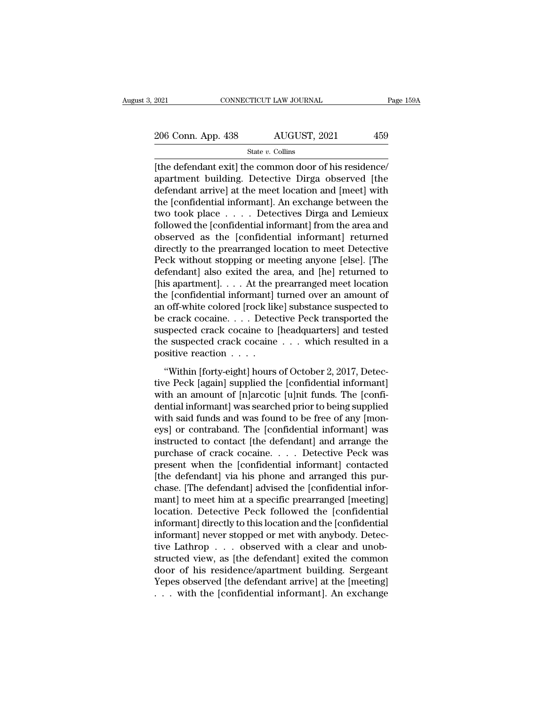2021 CONNECTICUT LAW JOURNAL Page 159A<br>
206 Conn. App. 438 AUGUST, 2021 459<br>
State v. Collins

State *v.* Collins

EXERCT 2021<br>
2006 Conn. App. 438 AUGUST, 2021 459<br>
3006 Conn. App. 438 AUGUST, 2021 459<br>
3006 Conn. App. 438 AUGUST, 2021 459<br>
3006 Conn. App. 438 AUGUST, 2021 459<br>
3006 Connect State v. Collins<br>
2006 Connect State v. Coll apartment building. Detective Dirga observed [the 206 Conn. App. 438 AUGUST, 2021 459<br>
State v. Collins<br>
[the defendant exit] the common door of his residence/<br>
apartment building. Detective Dirga observed [the<br>
defendant arrive] at the meet location and [meet] with<br>
the 206 Conn. App. 438 AUGUST, 2021 459<br>
State v. Collins<br>
(the defendant exit) the common door of his residence/<br>
apartment building. Detective Dirga observed [the<br>
defendant arrive] at the meet location and [meet] with<br>
the State v. Collins<br>
(the defendant exit) the common door of his residence/<br>
apartment building. Detective Dirga observed [the<br>
defendant arrive] at the meet location and [meet] with<br>
the [confidential informant]. An exchang state v. Collins<br>
[the defendant exit] the common door of his residence/<br>
apartment building. Detective Dirga observed [the<br>
defendant arrive] at the meet location and [meet] with<br>
the [confidential informant]. An exchang [the defendant exit] the common door of his residence/<br>apartment building. Detective Dirga observed [the<br>defendant arrive] at the meet location and [meet] with<br>the [confidential informant]. An exchange between the<br>two took apartment building. Detective Dirga observed [the<br>defendant arrive] at the meet location and [meet] with<br>the [confidential informant]. An exchange between the<br>two took place . . . . Detectives Dirga and Lemieux<br>followed th defendant arrive] at the meet location and [meet] with<br>the [confidential informant]. An exchange between the<br>two took place . . . . Detectives Dirga and Lemieux<br>followed the [confidential informant] from the area and<br>obser the [confidential informant]. An exchange between the<br>two took place  $\dots$  . Detectives Dirga and Lemieux<br>followed the [confidential informant] from the area and<br>observed as the [confidential informant] returned<br>directly t two took place  $\dots$  . . . Detectives Dirga and Lemieux<br>followed the [confidential informant] from the area and<br>observed as the [confidential informant] returned<br>directly to the prearranged location to meet Detective<br>Peck followed the [confidential informant] from the area and<br>observed as the [confidential informant] returned<br>directly to the prearranged location to meet Detective<br>Peck without stopping or meeting anyone [else]. [The<br>defendan observed as the [confidential informant] returned<br>directly to the prearranged location to meet Detective<br>Peck without stopping or meeting anyone [else]. [The<br>defendant] also exited the area, and [he] returned to<br>[his apart directly to the prearranged location to meet Detective<br>Peck without stopping or meeting anyone [else]. [The<br>defendant] also exited the area, and [he] returned to<br>[his apartment]. . . . At the prearranged meet location<br>the Peck without stopping or meeting anyone [else]. [The<br>defendant] also exited the area, and [he] returned to<br>[his apartment]. . . . At the prearranged meet location<br>the [confidential informant] turned over an amount of<br>an of defendant] also exited the area, and [he] returned to<br>[his apartment]. . . . At the prearranged meet location<br>the [confidential informant] turned over an amount of<br>an off-white colored [rock like] substance suspected to<br>be [his apartment]. . . . . At the p<br>the [confidential informant]<br>an off-white colored [rock lik<br>be crack cocaine. . . . Detec<br>suspected crack cocaine to<br>the suspected crack cocaine<br>positive reaction . . . .<br>"Within [forty-ei (connection mormant) tanks over an amount of<br>off-white colored [rock like] substance suspected to<br>crack cocaine . . . . Detective Peck transported the<br>spected crack cocaine . . . . which resulted in a<br>sitive reaction . . . an off while colored point interpolations of the crack cocaine  $\ldots$ . Detective Peck transported the suspected crack cocaine  $\ldots$  which resulted in a positive reaction  $\ldots$ .<br>"Within [forty-eight] hours of October 2, 201

suspected crack cocaine to [headquarters] and tested<br>the suspected crack cocaine  $\dots$  which resulted in a<br>positive reaction  $\dots$ <br>"Within [forty-eight] hours of October 2, 2017, Detec-<br>tive Peck [again] supplied the [confi dentical informantly interesting the suspected crack cocaine  $\ldots$  which resulted in a positive reaction  $\ldots$ .<br>
"Within [forty-eight] hours of October 2, 2017, Detective Peck [again] supplied the [confidential informant] with said funds and was found to be free of any [mon-"Within [forty-eight] hours of October 2, 2017, Detective Peck [again] supplied the [confidential informant]<br>with an amount of [n]arcotic [u]nit funds. The [confi-<br>dential informant] was searched prior to being supplied<br>w "Within [forty-eight] hours of October 2, 2017, Detective Peck [again] supplied the [confidential informant]<br>with an amount of [n]arcotic [u]nit funds. The [confidential informant] was searched prior to being supplied<br>with tive Peck [again] supplied the [confidential informant]<br>with an amount of [n]arcotic [u]nit funds. The [confi-<br>dential informant] was searched prior to being supplied<br>with said funds and was found to be free of any [mon-<br>e with an amount of [n]arcotic [u]nit funds. The [confi-<br>dential informant] was searched prior to being supplied<br>with said funds and was found to be free of any [mon-<br>eys] or contraband. The [confidential informant] was<br>inst dential informant] was searched prior to being supplied<br>with said funds and was found to be free of any [mon-<br>eys] or contraband. The [confidential informant] was<br>instructed to contact [the defendant] and arrange the<br>purch with said funds and was found to be free of any [moneys] or contraband. The [confidential informant] was instructed to contact [the defendant] and arrange the purchase of crack cocaine. . . . Detective Peck was present whe eys] or contraband. The [confidential informant] was<br>instructed to contact [the defendant] and arrange the<br>purchase of crack cocaine. . . . Detective Peck was<br>present when the [confidential informant] contacted<br>[the defend instructed to contact [the defendant] and arrange the<br>purchase of crack cocaine. . . . Detective Peck was<br>present when the [confidential informant] contacted<br>[the defendant] via his phone and arranged this pur-<br>chase. [Th purchase of crack cocaine. . . . Detective Peck was<br>present when the [confidential informant] contacted<br>[the defendant] via his phone and arranged this pur-<br>chase. [The defendant] advised the [confidential infor-<br>mant] to present when the [confidential informant] contacted<br>[the defendant] via his phone and arranged this pur-<br>chase. [The defendant] advised the [confidential infor-<br>mant] to meet him at a specific prearranged [meeting]<br>locatio [the defendant] via his phone and arranged this purchase. [The defendant] advised the [confidential informant] to meet him at a specific prearranged [meeting] location. Detective Peck followed the [confidential informant] chase. [The defendant] advised the [confidential informant] to meet him at a specific prearranged [meeting]<br>location. Detective Peck followed the [confidential<br>informant] directly to this location and the [confidential<br>inf mant] to meet him at a specific prearranged [meeting]<br>location. Detective Peck followed the [confidential<br>informant] directly to this location and the [confidential<br>informant] never stopped or met with anybody. Detec-<br>tive location. Detective Peck followed the [confidential<br>informant] directly to this location and the [confidential<br>informant] never stopped or met with anybody. Detec-<br>tive Lathrop . . . observed with a clear and unob-<br>structe informant] directly to this location and the [confidential<br>informant] never stopped or met with anybody. Detec-<br>tive Lathrop . . . observed with a clear and unob-<br>structed view, as [the defendant] exited the common<br>door of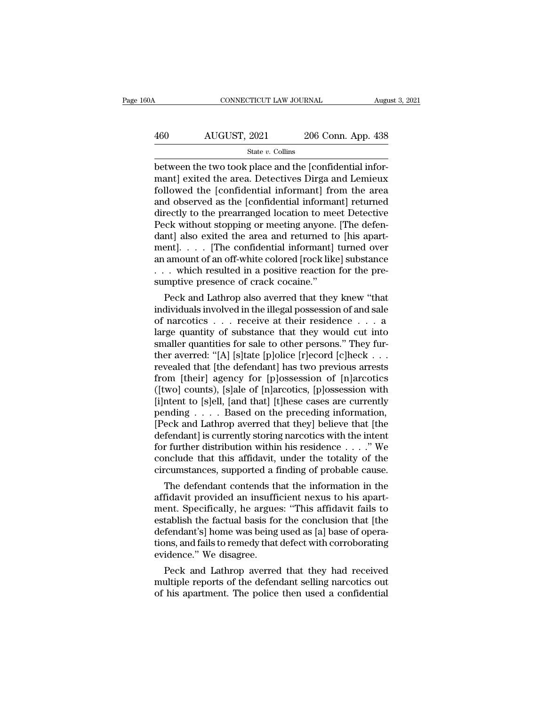| 30A | CONNECTICUT LAW JOURNAL |                    | August 3, 2021 |
|-----|-------------------------|--------------------|----------------|
| 460 | AUGUST, 2021            | 206 Conn. App. 438 |                |
|     | State $v$ . Collins     |                    |                |

CONNECTICUT LAW JOURNAL August 206 Conn. App. 438<br>
Between the two took place and the [confidential infor-<br>
mant] exited the area. Detectives Dirga and Lemieux<br>
followed the [confidential informant] from the area  $\frac{\text{AUGUST, 2021}}{\text{State } v. \text{ Collins}}$ <br>  $\frac{\text{State } v. \text{ Collins}}{\text{between the two took place and the [confidential informant] exited the area. Detectives Dirga and Lemieux followed the [confidential informant] from the area and observed as the [confidential informant] returned.}$  $\begin{array}{r} \text{460} \text{AUGUST, 2021} \text{206 Conn. App. 438} \\ \text{State } v. \text{ Collins} \end{array}$ <br>between the two took place and the [confidential informant] exited the area. Detectives Dirga and Lemieux followed the [confidential informant] from the area  $\frac{\text{AUGUST, 2021}}{\text{State } v. \text{ Collins}}$ <br>  $\frac{\text{State } v. \text{ Collins}}{\text{between the two took place and the [confidential informant] exited the area. Detectives Dirga and Lemieux followed the [confidental informant] from the area and observed as the [confidental informant] returned directly to the prearranged location to meet Detective Book without stopping or meeting anyone. [The deformation is a good way.$  $\begin{array}{c}\n\hline\n\text{State } v.\text{ Collins} \\
\hline\n\text{Between the two took place and the [confidential informant] exited the area. Detectives Dirga and Lemieux followed the [confidential informant] from the area and observed as the [confidental informant] returned directly to the prearranged location to meet Detective Peck without stopping or meeting anyone. [The defendant] also exited the area and returned to his apart.$  $\begin{array}{l} \text{State $v$: Collins} \\ \text{between the two took place and the [confidential informant] exited the area. Detectives Dirga and Lemieux followed the [confidential informant] from the area and observed as the [confidental informant] returned directly to the prearranged location to meet Detective Peck without stopping or meeting anyone. [The defendant] also exited the area and returned to [his apartment] [The confidential informant] turned over the original program. \end{array}$ between the two took place and the [confidential informant] exited the area. Detectives Dirga and Lemieux followed the [confidential informant] from the area and observed as the [confidential informant] returned directly t mant] exited the area. Detectives Dirga and Lemieux<br>followed the [confidential informant] from the area<br>and observed as the [confidential informant] returned<br>directly to the prearranged location to meet Detective<br>Peck with followed the [confidential informant] from the area<br>and observed as the [confidential informant] returned<br>directly to the prearranged location to meet Detective<br>Peck without stopping or meeting anyone. [The defen-<br>dant] al and observed as the [confidential informant] returned<br>directly to the prearranged location to meet Detective<br>Peck without stopping or meeting anyone. [The defen-<br>dant] also exited the area and returned to [his apart-<br>ment directly to the prearranged location to me<br>Peck without stopping or meeting anyone.<br>dant] also exited the area and returned to<br>ment]. . . . [The confidential informant]<br>an amount of an off-white colored [rock like<br>. . . wh EX without stopping or meeting anyone. [The defen-<br>nt] also exited the area and returned to [his apart-<br>ent]. . . . [The confidential informant] turned over<br>amount of an off-white colored [rock like] substance<br>. which resu dant] also exited the area and returned to [fils apartment]. . . . [The confidential informant] turned over<br>an amount of an off-white colored [rock like] substance<br>. . . which resulted in a positive reaction for the pre-<br>

mentj. . . . . [The confidential mformant] turned over<br>an amount of an off-white colored [rock like] substance<br>. . . which resulted in a positive reaction for the pre-<br>sumptive presence of crack cocaine."<br>Peck and Lathrop an amount of an off-white colored [rock like] substance<br>
. . . which resulted in a positive reaction for the pre-<br>
sumptive presence of crack cocaine."<br>
Peck and Lathrop also averred that they knew "that<br>
individuals invol smaller and a positive reaction for the pre-<br>sumptive presence of crack cocaine."<br>Peck and Lathrop also averred that they knew "that<br>individuals involved in the illegal possession of and sale<br>of narcotics . . . receive at sumptive presence or crack cocaine.<br>
Peck and Lathrop also averred that they knew "that<br>
individuals involved in the illegal possession of and sale<br>
of narcotics . . . receive at their residence . . . a<br>
large quantity of Peck and Lathrop also averred that they knew "that<br>individuals involved in the illegal possession of and sale<br>of narcotics . . . receive at their residence . . . a<br>large quantity of substance that they would cut into<br>smal individuals involved in the illegal possession of and sale<br>of narcotics  $\ldots$  receive at their residence  $\ldots$  a<br>large quantity of substance that they would cut into<br>smaller quantities for sale to other persons." They fur of narcotics . . . receive at their residence . . . a<br>large quantity of substance that they would cut into<br>smaller quantities for sale to other persons." They fur-<br>ther averred: "[A] [s]tate [p]olice [r]ecord [c]heck . . . large quantity of substance that they would cut into<br>smaller quantities for sale to other persons." They fur-<br>ther averred: "[A] [s]tate [p]olice [r]ecord [c]heck . . .<br>revealed that [the defendant] has two previous arrest smaller quantities for sale to other persons." They fur-<br>ther averred: "[A] [s]tate [p]olice [r]ecord [c]heck . . .<br>revealed that [the defendant] has two previous arrests<br>from [their] agency for [p]ossession of [n]arcotic ther averred: "[A] [s]tate [p]olice [r]ecord [c]heck . . .<br>revealed that [the defendant] has two previous arrests<br>from [their] agency for [p]ossession of [n]arcotics<br>([two] counts), [s]ale of [n]arcotics, [p]ossession wit revealed that [the defendant] has two previous arrests<br>from [their] agency for [p]ossession of [n]arcotics<br>([two] counts), [s]ale of [n]arcotics, [p]ossession with<br>[i]ntent to [s]ell, [and that] [t]hese cases are currently from [their] agency for [p]ossession of [n]arcotics<br>([two] counts), [s]ale of [n]arcotics, [p]ossession with<br>[i]ntent to [s]ell, [and that] [t]hese cases are currently<br>pending . . . . Based on the preceding information,<br>[ ([two] counts), [s]ale of [n]arcotics, [p]ossession with<br>[i]ntent to [s]ell, [and that] [t]hese cases are currently<br>pending . . . . Based on the preceding information,<br>[Peck and Lathrop averred that they] believe that [th [i]ntent to [s]ell, [and that] [t]hese cases are currently<br>pending . . . . Based on the preceding information,<br>[Peck and Lathrop averred that they] believe that [the<br>defendant] is currently storing narcotics with the inte Figure 1. The defendant contends that they is believe that [the fendant] is currently storing narcotics with the intent r further distribution within his residence  $\ldots$ ." We nclude that this affidavit, under the totality preck and Lathrop averred that they] believe that [the defendant] is currently storing narcotics with the intent for further distribution within his residence . . . ." We conclude that this affidavit, under the totality of

defendant] is currently storing narcotics with the intent<br>for further distribution within his residence . . . . " We<br>conclude that this affidavit, under the totality of the<br>circumstances, supported a finding of probable ca for further distribution within his residence  $\ldots$  . We conclude that this affidavit, under the totality of the circumstances, supported a finding of probable cause.<br>The defendant contends that the information in the aff conclude that this amdavit, under the totality of the<br>circumstances, supported a finding of probable cause.<br>The defendant contends that the information in the<br>affidavit provided an insufficient nexus to his apart-<br>ment. Sp circumstances, supported a miding of probable cause.<br>The defendant contends that the information in the<br>affidavit provided an insufficient nexus to his apart-<br>ment. Specifically, he argues: "This affidavit fails to<br>establi The defendant contends the affidavit provided an insuffi<br>ment. Specifically, he argue<br>establish the factual basis for<br>defendant's] home was being<br>tions, and fails to remedy that<br>evidence.'' We disagree.<br>Peck and Lathrop av maavit provided an insumclent nexus to his apart-<br>ent. Specifically, he argues: "This affidavit fails to<br>tablish the factual basis for the conclusion that [the<br>fendant's] home was being used as [a] base of opera-<br>ms, and f ment. Specifically, he argues: "This affidable restablish the factual basis for the conclusion that [the defendant's] home was being used as [a] base of operations, and fails to remedy that defect with corroborating eviden establish the factual basis for the conclusion that [the<br>defendant's] home was being used as [a] base of opera-<br>tions, and fails to remedy that defect with corroborating<br>evidence." We disagree.<br>Peck and Lathrop averred tha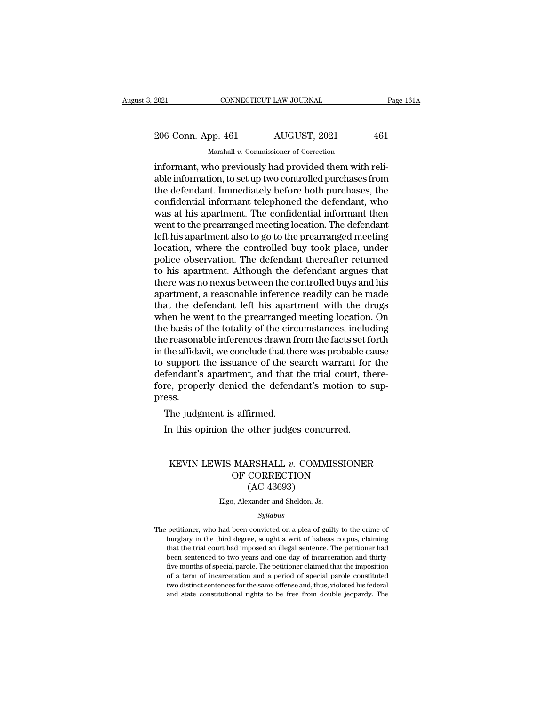## 2021 CONNECTICUT LAW JOURNAL Page 161A<br>
206 Conn. App. 461 AUGUST, 2021 461<br>
Marshall v. Commissioner of Correction Marshall *v.* Commissioner of Correction

EXECUTE 2021<br>
2006 Conn. App. 461 AUGUST, 2021 461<br>
Marshall v. Commissioner of Correction<br>
informant, who previously had provided them with reli-<br>
able information, to set up two controlled purchases from<br>
the defendent I  $\frac{206 \text{ Conn. App. 461}}{\text{Marshall } v. \text{ Commissioner of Correction}}$ <br>
informant, who previously had provided them with reliable information, to set up two controlled purchases from<br>
the defendant. Immediately before both purchases, the<br>
confidential in 206 Conn. App. 461 AUGUST, 2021 461<br>
Marshall v. Commissioner of Correction<br>
informant, who previously had provided them with reli-<br>
able information, to set up two controlled purchases from<br>
the defendant. Immediately be 206 Conn. App. 461  $\overline{\phantom{0}}$  AUGUST, 2021  $\phantom{0}$  461<br>
Marshall  $v$ . Commissioner of Correction<br>
informant, who previously had provided them with reli-<br>
able information, to set up two controlled purchases from<br>
the de Marshall v. Commissioner of Correction<br>informant, who previously had provided them with reli-<br>able information, to set up two controlled purchases from<br>the defendant. Immediately before both purchases, the<br>confidential in Marshall  $v$ . Commissioner of Correction<br>informant, who previously had provided them with reli-<br>able information, to set up two controlled purchases from<br>the defendant. Immediately before both purchases, the<br>confidential informant, who previously had provided them with reliable information, to set up two controlled purchases from<br>the defendant. Immediately before both purchases, the<br>confidential informant telephoned the defendant, who<br>was able information, to set up two controlled purchases from<br>the defendant. Immediately before both purchases, the<br>confidential informant telephoned the defendant, who<br>was at his apartment. The confidential informant then<br>wen the defendant. Immediately before both purchases, the confidential informant telephoned the defendant, who was at his apartment. The confidential informant then went to the prearranged meeting location. The defendant left confidential informant telephoned the defendant, who<br>was at his apartment. The confidential informant then<br>went to the prearranged meeting location. The defendant<br>left his apartment also to go to the prearranged meeting<br>lo was at his apartment. The confidential informant then<br>went to the prearranged meeting location. The defendant<br>left his apartment also to go to the prearranged meeting<br>location, where the controlled buy took place, under<br>po went to the prearranged meeting location. The defendant<br>left his apartment also to go to the prearranged meeting<br>location, where the controlled buy took place, under<br>police observation. The defendant thereafter returned<br>to left his apartment also to go to the prearranged meeting<br>location, where the controlled buy took place, under<br>police observation. The defendant thereafter returned<br>to his apartment. Although the defendant argues that<br>there location, where the controlled buy took place, under<br>police observation. The defendant thereafter returned<br>to his apartment. Although the defendant argues that<br>there was no nexus between the controlled buys and his<br>apartme police observation. The defendant thereafter returned<br>to his apartment. Although the defendant argues that<br>there was no nexus between the controlled buys and his<br>apartment, a reasonable inference readily can be made<br>that t to his apartment. Although the defendant argues that<br>there was no nexus between the controlled buys and his<br>apartment, a reasonable inference readily can be made<br>that the defendant left his apartment with the drugs<br>when he there was no nexus between the controlled buys and his<br>apartment, a reasonable inference readily can be made<br>that the defendant left his apartment with the drugs<br>when he went to the prearranged meeting location. On<br>the bas apartment, a reasonable inference readily can be made<br>that the defendant left his apartment with the drugs<br>when he went to the prearranged meeting location. On<br>the basis of the totality of the circumstances, including<br>the that the defendant left his apartment with the drugs<br>when he went to the prearranged meeting location. On<br>the basis of the totality of the circumstances, including<br>the reasonable inferences drawn from the facts set forth<br>i when he went to the prearranged meeting location. On<br>the basis of the totality of the circumstances, including<br>the reasonable inferences drawn from the facts set forth<br>in the affidavit, we conclude that there was probable press. e reasonable interences drawn in<br>the affidavit, we conclude that the<br>support the issuance of the se<br>fendant's apartment, and that t<br>re, properly denied the defend<br>ess.<br>The judgment is affirmed.<br>In this opinion the other ju Support the issuance of the search warrant for fendant's apartment, and that the trial court, then, properly denied the defendant's motion to sess.<br>The judgment is affirmed.<br>In this opinion the other judges concurred.

### SS.<br>
The judgment is affirmed.<br>
In this opinion the other judges concurred.<br>
MEVIN LEWIS MARSHALL *v.* COMMISSIONER<br>
OF CORRECTION<br>
CAC 43603) % affirmed.<br>
the other judges concurred.<br>
MARSHALL  $v$ . COMMISSIONER<br>
OF CORRECTION<br>
(AC 43693) urmed.<br>
other judges concu<br>
RSHALL v. COMM<br>
CORRECTION<br>(AC 43693)<br>
xander and Sheldon, Js. KEVIN LEWIS MARSHALL  $v$ . COMMISSIONER<br>OF CORRECTION<br>(AC 43693)<br>Elgo, Alexander and Sheldon, Js.

### *Syllabus*

The petitioner, who had been convicted on a plea of guilty to the crime of<br>burglary in the third degree, sought a writ of habeas corpus, claiming  $(AC 43693)$ <br>Elgo, Alexander and Sheldon, Js.<br>Syllabus<br>petitioner, who had been convicted on a plea of guilty to the crime of<br>burglary in the third degree, sought a writ of habeas corpus, claiming<br>that the trial court had Elgo, Alexander and Sheldon, Js.<br>
Syllabus<br>
petitioner, who had been convicted on a plea of guilty to the crime of<br>
burglary in the third degree, sought a writ of habeas corpus, claiming<br>
that the trial court had imposed a *Syllabus*<br>*Syllabus*<br>petitioner, who had been convicted on a plea of guilty to the crime of<br>burglary in the third degree, sought a writ of habeas corpus, claiming<br>that the trial court had imposed an illegal sentence. The *Syllabus*<br> *Syllabus*<br>
petitioner, who had been convicted on a plea of guilty to the crime of<br>
burglary in the third degree, sought a writ of habeas corpus, claiming<br>
that the trial court had imposed an illegal sentence. petitioner, who had been convicted on a plea of guilty to the crime of burglary in the third degree, sought a writ of habeas corpus, claiming that the trial court had imposed an illegal sentence. The petitioner had been se burglary in the third degree, sought a writ of habeas corpus, claiming that the trial court had imposed an illegal sentence. The petitioner had been sentenced to two years and one day of incarceration and thirty-five month but state that different and imposed an illegal sentence. The petitioner had been sentenced to two years and one day of incarceration and thirty-five months of special parole. The petitioner claimed that the imposition of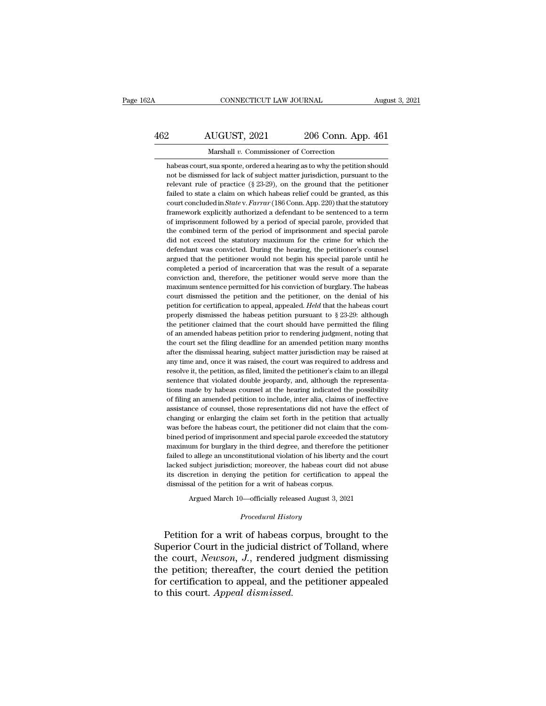## CONNECTICUT LAW JOURNAL August 3, 2021<br>462 AUGUST, 2021 206 Conn. App. 461<br>Marshall v. Commissioner of Correction EXECUTE CONNECTICUT LAW JOURNAL Augu<br>
22 AUGUST, 2021 206 Conn. App. 461<br>
12 Marshall *v.* Commissioner of Correction<br>
12 Marshall *v.* Commissioner of Correction

AUGUST, 2021 206 Conn. App. 461<br>Marshall v. Commissioner of Correction<br>habeas court, sua sponte, ordered a hearing as to why the petition should<br>not be dismissed for lack of subject matter jurisdiction, pursuant to the 206 Conn. App. 461<br>Marshall v. Commissioner of Correction<br>habeas court, sua sponte, ordered a hearing as to why the petition should<br>not be dismissed for lack of subject matter jurisdiction, pursuant to the<br>relevant rule of 206 Conn. App. 461<br>Marshall v. Commissioner of Correction<br>habeas court, sua sponte, ordered a hearing as to why the petition should<br>not be dismissed for lack of subject matter jurisdiction, pursuant to the<br>relevant rule of Marshall v. Commissioner of Correction<br>habeas court, sua sponte, ordered a hearing as to why the petition should<br>not be dismissed for lack of subject matter jurisdiction, pursuant to the<br>relevant rule of practice (§ 23-29 Marshall v. Commissioner of Correction<br>habeas court, sua sponte, ordered a hearing as to why the petition should<br>not be dismissed for lack of subject matter jurisdiction, pursuant to the<br>relevant rule of practice (§ 23-29) habeas court, sua sponte, ordered a hearing as to why the petition should<br>not be dismissed for lack of subject matter jurisdiction, pursuant to the<br>relevant rule of practice (§ 23-29), on the ground that the petitioner<br>fa not be dismissed for lack of subject matter jurisdiction, pursuant to the relevant rule of practice (§ 23-29), on the ground that the petitioner failed to state a claim on which habeas relief could be granted, as this cou relevant rule of practice (§ 23-29), on the ground that the petitioner failed to state a claim on which habeas relief could be granted, as this court concluded in *State* v. *Farrar* (186 Conn. App. 220) that the statutor Failed to state a claim on which habeas relief could be granted, as this court concluded in *State* v. *Farrar* (186 Conn. App. 220) that the statutory framework explicitly authorized a defendant to be sentenced to a term court concluded in *Statev. Farrar* (186 Conn. App. 220) that the statutory framework explicitly authorized a defendant to be sentenced to a term of imprisonment followed by a period of special parole, provided that the c framework explicitly authorized a defendant to be sentenced to a term<br>of imprisonment followed by a period of special parole, provided that<br>the combined term of the period of imprisonment and special parole<br>did not exceed of imprisonment followed by a period of special parole, provided that the combined term of the period of imprisonment and special parole did not exceed the statutory maximum for the crime for which the defendant was convic the combined term of the period of imprisonment and special parole did not exceed the statutory maximum for the crime for which the defendant was convicted. During the hearing, the petitioner's counsel argued that the peti did not exceed the statutory maximum for the crime for which the defendant was convicted. During the hearing, the petitioner's counsel argued that the petitioner would not begin his special parole until he completed a peri defendant was convicted. During the hearing, the petitioner's counsel<br>argued that the petitioner would not begin his special parole until he<br>completed a period of incarceration that was the result of a separate<br>conviction argued that the petitioner would not begin his special parole until he completed a period of incarceration that was the result of a separate conviction and, therefore, the petitioner would serve more than the maximum sent completed a period of incarceration that was the result of a separate conviction and, therefore, the petitioner would serve more than the maximum sentence permitted for his conviction of burglary. The habeas court dismiss conviction and, therefore, the petitioner would serve more than the maximum sentence permitted for his conviction of burglary. The habeas court dismissed the petition and the petitioner, on the denial of his petition for maximum sentence permitted for his conviction of burglary. The habeas court dismissed the petition and the petitioner, on the denial of his petition for certification to appeal, appealed. *Held* that the habeas court prop court dismissed the petition and the petitioner, on the denial of his petition for certification to appeal, appealed. *Held* that the habeas court properly dismissed the habeas petition pursuant to  $\S 23-29$ : although the petition for certification to appeal, appealed. *Held* that the habeas court properly dismissed the habeas petition pursuant to  $\S$  23-29: although the petitioner claimed that the court should have permitted the filing of properly dismissed the habeas petition pursuant to  $\S$  23-29: although<br>the petitioner claimed that the court should have permitted the filing<br>of an amended habeas petition prior to rendering judgment, noting that<br>the cour the petitioner claimed that the court should have permitted the filing of an amended habeas petition prior to rendering judgment, noting that the court set the filing deadline for an amended petition many months after the of an amended habeas petition prior to rendering judgment, noting that the court set the filing deadline for an amended petition many months after the dismissal hearing, subject matter jurisdiction may be raised at any tim the court set the filing deadline for an amended petition many months after the dismissal hearing, subject matter jurisdiction may be raised at any time and, once it was raised, the court was required to address and resolv after the dismissal hearing, subject matter jurisdiction may be raised at any time and, once it was raised, the court was required to address and resolve it, the petition, as filed, limited the petitioner's claim to an ill after the dismissal hearing, subject matter jurisdiction may be raised at any time and, once it was raised, the court was required to address and resolve it, the petition, as filed, limited the petitioner's claim to an ill resolve it, the petition, as filed, limited the petitioner's claim to an illegal<br>sentence that violated double jeopardy, and, although the representa-<br>tions made by habeas counsel at the hearing indicated the possibility<br>o sentence that violated double jeopardy, and, although the representations made by habeas counsel at the hearing indicated the possibility of filing an amended petition to include, inter alia, claims of ineffective assistan tions made by habeas counsel at the hearing indicated the possibility of filing an amended petition to include, inter alia, claims of ineffective assistance of counsel, those representations did not have the effect of chan of filing an amended petition to include, inter alia, claims of ineffective assistance of counsel, those representations did not have the effect of changing or enlarging the claim set forth in the petition that actually wa assistance of counsel, those representations did not have the effect of changing or enlarging the claim set forth in the petition that actually was before the habeas court, the petitioner did not claim that the combined pe changing or enlarging the claim set forth in the petition that actually was before the habeas court, the petitioner did not claim that the combined period of imprisonment and special parole exceeded the statutory maximum f was before the habeas court, the petitioner did not claim that the combined period of imprisonment and special parole exceeded the statutory maximum for burglary in the third degree, and therefore the petitioner failed to bined period of imprisonment and special parole exceeded the statutory maximum for burglary in the third degree, and therefore the petitioner failed to allege an unconstitutional violation of his liberty and the court lack failed to allege an unconstitutional violation of his liberty and the court lacked subject jurisdiction; moreover, the habeas court did not abuse its discretion in denying the petition for certification to appeal the dism lacked subject jurisdiction; moreover, the habeas court did not abuse<br>its discretion in denying the petition for certification to appeal the<br>dismissal of the petition for a writ of habeas corpus.<br>Argued March 10—officiall

Argued March 10—officially released August 3, 2021<br>*Procedural History*<br>Petition for a writ of habeas corpus, brought to the its discretion in denying the petition for certification to appeal the<br>dismissal of the petition for a writ of habeas corpus.<br>Argued March 10—officially released August 3, 2021<br>Procedural History<br>Petition for a writ of hab dishissal of the petition for a writ of habeas corpus.<br>Argued March 10—officially released August 3, 2021<br>*Procedural History*<br>Petition for a writ of habeas corpus, brought to the<br>Superior Court in the judicial district of Argued March 10—officially released August 3, 2021<br>
Procedural History<br>
Petition for a writ of habeas corpus, brought to the<br>
Superior Court in the judicial district of Tolland, where<br>
the court, Newson, J., rendered judgm *Procedural History*<br>Petition for a writ of habeas corpus, brought to the<br>Superior Court in the judicial district of Tolland, where<br>the court, *Newson*, *J*., rendered judgment dismissing<br>the petition; thereafter, the cour Petition for a writ of habeas of Superior Court in the judicial distingular the court, *Newson*, *J*., rendered the petition; thereafter, the court for certification to appeal, and the to this court. *Appeal dismissed*.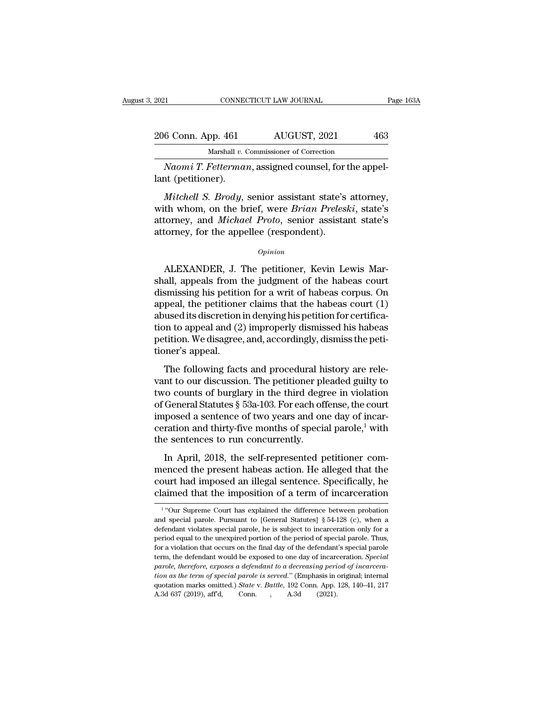| 2021               | CONNECTICUT LAW JOURNAL                                            | Page 163A |
|--------------------|--------------------------------------------------------------------|-----------|
| 206 Conn. App. 461 | AUGUST, 2021                                                       | 463       |
|                    | Marshall v. Commissioner of Correction                             |           |
|                    | $N_{\ell}$ $T$ $F$ <i>etterman</i> assigned counsel for the annel- |           |

*Naomi T. Fetterman*, assigned counsel, for the appel-<br>*Naomi T. Fetterman*, assigned counsel, for the appel-<br>*Naomi T. Fetterman*, assigned counsel, for the appel-<br>*Naomi T. Fetterman*, assigned counsel, for the appel-206 Conn. App. 461<br>Marshall v. Connection<br>National (petitioner).<br>Mitchell S. Brody,

*Mitchell S. Brody*, senior assistant state's attorney, the whom, on the brief, were *Brian Preleski*, state's attorney, the whom, on the brief, were *Brian Preleski*, state's attorney, and *Michael Prote* sonior assistant 206 Conn. App. 461 AUGUST, 2021 463<br>
Marshall v. Commissioner of Correction<br>
Naomi T. Fetterman, assigned counsel, for the appel-<br>
lant (petitioner).<br>
Mitchell S. Brody, senior assistant state's attorney,<br>
with whom, on th Marshall v. Commissioner of Correction<br> *Naomi T. Fetterman*, assigned counsel, for the appel-<br>
lant (petitioner).<br> *Mitchell S. Brody*, senior assistant state's attorney,<br>
with whom, on the brief, were *Brian Preleski*, s Naomi T. Fetterman, assigned counsel, for land (petitioner).<br>
Mitchell S. Brody, senior assistant state's<br>
with whom, on the brief, were Brian Prelesi<br>
attorney, and Michael Proto, senior assista<br>
attorney, for the appelle *Mitchell S. Brody*, senior assistant state's attorney,<br>th whom, on the brief, were *Brian Preleski*, state's<br>torney, and *Michael Proto*, senior assistant state's<br>formey, for the appellee (respondent).<br>*Opinion*<br>ALEXANDER

*Opinion*

with whom, on the brief, were *Brian Preleski*, state's<br>attorney, and *Michael Proto*, senior assistant state's<br>attorney, for the appellee (respondent).<br> $o_{pinion}$ <br>ALEXANDER, J. The petitioner, Kevin Lewis Mar-<br>shall, appeal attorney, and *Michael Proto*, senior assistant state's<br>attorney, for the appellee (respondent).<br> $opinion$ <br>ALEXANDER, J. The petitioner, Kevin Lewis Marshall, appeals from the judgment of the habeas court<br>dismissing his petitio attorney, for the appellee (respondent).<br>
opinion<br>
ALEXANDER, J. The petitioner, Kevin Lewis Marshall, appeals from the judgment of the habeas court<br>
dismissing his petition for a writ of habeas corpus. On<br>
appeal, the pet  $\alpha$ <br>abused its discretion in density operator. We all, appeals from the judgment of the habeas court<br>dismissing his petition for a writ of habeas corpus. On<br>appeal, the petitioner claims that the habeas court (1)<br>abused ALEXANDER, J. The petitioner, Kevin Lewis Marshall, appeals from the judgment of the habeas court<br>dismissing his petition for a writ of habeas corpus. On<br>appeal, the petitioner claims that the habeas court (1)<br>abused its d ALEXANDER, J. The petitioner, Kevin Lewis Marshall, appeals from the judgment of the habeas court dismissing his petition for a writ of habeas corpus. On appeal, the petitioner claims that the habeas court (1) abused its d shall, appeals from<br>dismissing his petition<br>appeal, the petitione<br>abused its discretion<br>tion to appeal and (2<br>petition. We disagree<br>tioner's appeal.<br>The following fact Franceschig file petitioner claims that the habeas court (1)<br>peal, the petitioner claims that the habeas court (1)<br>used its discretion in denying his petition for certifica-<br>on to appeal and (2) improperly dismissed his ha referent to our perfection in denying his petition for certification to appeal and (2) improperly dismissed his habeas<br>petition. We disagree, and, accordingly, dismiss the petitioner's appeal.<br>The following facts and proc

tion to appeal and (2) improperly dismissed his habeas<br>petition. We disagree, and, accordingly, dismiss the petitioner's appeal.<br>The following facts and procedural history are rele-<br>vant to our discussion. The petitioner petition. We disagree, and, accordingly, dismiss the petitioner's appeal.<br>
The following facts and procedural history are relevant to our discussion. The petitioner pleaded guilty to<br>
two counts of burglary in the third d The following facts and procedural history are relevant to our discussion. The petitioner pleaded guilty to two counts of burglary in the third degree in violation of General Statutes  $\S$  53a-103. For each offense, the co The following facts and procedural history are relevant to our discussion. The petitioner pleaded guilty to two counts of burglary in the third degree in violation of General Statutes  $\S$  53a-103. For each offense, the co The following facts and procedural his vant to our discussion. The petitioner pl<br>two counts of burglary in the third degr<br>of General Statutes § 53a-103. For each of<br>imposed a sentence of two years and on<br>ceration and thirt In a counts of burglary in the third degree in violation<br>General Statutes  $\S$  53a-103. For each offense, the court<br>posed a sentence of two years and one day of incar-<br>ration and thirty-five months of special parole,<sup>1</sup> wi of General Statutes § 53a-103. For each offense, the court<br>imposed a sentence of two years and one day of incar-<br>ceration and thirty-five months of special parole,<sup>1</sup> with<br>the sentences to run concurrently.<br>In April, 2018

imposed a sentence of two years and one day of incar-<br>ceration and thirty-five months of special parole,<sup>1</sup> with<br>the sentences to run concurrently.<br>In April, 2018, the self-represented petitioner com-<br>menced the present h ceration and thirty-five months of special parole,<sup>1</sup> with<br>the sentences to run concurrently.<br>In April, 2018, the self-represented petitioner com-<br>menced the present habeas action. He alleged that the<br>court had imposed an In April, 2018, the self-represented petitioner com-<br>menced the present habeas action. He alleged that the menced the present habeas action. He alleged that the court had imposed an illegal sentence. Specifically, he claimed that the imposition of a term of incarceration  $\frac{1}{100}$  "Our Supreme Court has explained the differe

<sup>&</sup>lt;sup>1</sup> "Our Supreme Court has explained the difference between probation court had imposed an illegal sentence. Specifically, he claimed that the imposition of a term of incarceration  $\frac{1}{100}$  "Our Supreme Court has explained the difference between probation and special parole. Pursuant to claimed that the imposition of a term of incarceration  $\frac{1}{100}$  in the unexplained the difference between probation and special parole. Pursuant to [General Statutes] § 54-128 (c), when a defendant violates special par From Supreme Court has explained the difference between probation<br>and special parole. Pursuant to [General Statutes] § 54-128 (c), when a<br>defendant violates special parole, he is subject to incarceration only for a<br>period <sup>1</sup> "Our Supreme Court has explained the difference between probation and special parole. Pursuant to [General Statutes]  $\S$  54-128 (c), when a defendant violates special parole, he is subject to incarceration only for a *parole, period parole, period of incarcente values* and special parole. Pursuant to [General Statutes] § 54-128 (c), when a defendant violates special parole, he is subject to incarceration only for a period equal to the defendant violates special parole, he is subject to incarceration only for a period equal to the unexpired portion of the period of special parole. Thus, for a violation that occurs on the final day of the defendant's spe period equal to the unexpired portion of the period of special parole. Thus, for a violation that occurs on the final day of the defendant's special parole term, the defendant would be exposed to one day of incarceration. for a violation that occurs on the final day of the defendant's special parole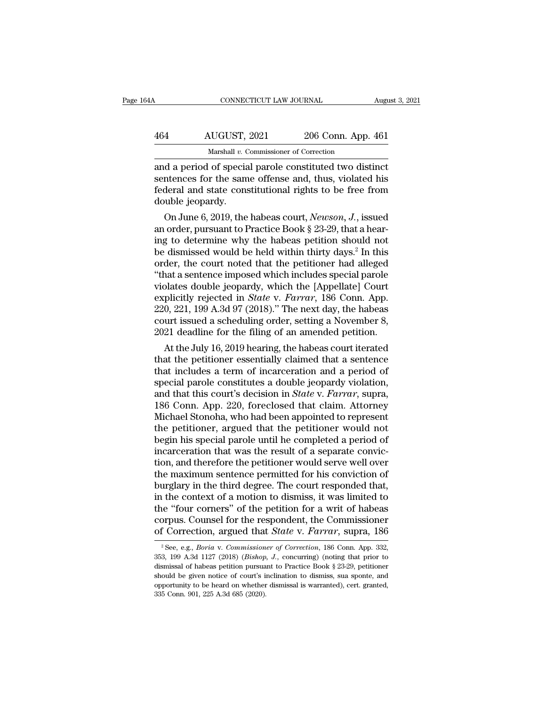| 4Α  | CONNECTICUT LAW JOURNAL                                 |                    | August 3, 2021 |
|-----|---------------------------------------------------------|--------------------|----------------|
| 464 | AUGUST, 2021                                            | 206 Conn. App. 461 |                |
|     | Marshall v. Commissioner of Correction                  |                    |                |
|     | and a period of special parole constituted two distinct |                    |                |

CONNECTICUT LAW JOURNAL August 3, 202<br>
464 AUGUST, 2021 206 Conn. App. 461<br>
Marshall v. Commissioner of Correction<br>
and a period of special parole constituted two distinct<br>
sentences for the same offense and, thus, violate AUGUST, 2021 206 Conn. App. 461<br>
Marshall v. Commissioner of Correction<br>
and a period of special parole constituted two distinct<br>
sentences for the same offense and, thus, violated his<br>
federal and state constitutional rig  $\frac{\text{AUGUST, 2021}}{\text{Marshall } v. \text{ Commissioner of Correction}}$ <br>and a period of special parole constituted two distinct<br>sentences for the same offense and, thus, violated his<br>federal and state constitutional rights to be free from<br>double jeopardy. 464 AUGUST,<br>
Marshall v. C<br>
and a period of specia<br>
sentences for the sam<br>
federal and state cons<br>
double jeopardy.<br>
On June 6, 2019, the Marshall v. Commissioner of Correction<br>
d a period of special parole constituted two distinct<br>
ntences for the same offense and, thus, violated his<br>
deral and state constitutional rights to be free from<br>
uble jeopardy.<br>
On and a period of special parole constituted two distinct<br>sentences for the same offense and, thus, violated his<br>federal and state constitutional rights to be free from<br>double jeopardy.<br>On June 6, 2019, the habeas court, *N* 

and a period of special parole constituted two distinct<br>sentences for the same offense and, thus, violated his<br>federal and state constitutional rights to be free from<br>double jeopardy.<br>On June 6, 2019, the habeas court, *N* sentences for the same offense and, thus, violated his<br>federal and state constitutional rights to be free from<br>double jeopardy.<br>On June 6, 2019, the habeas court, *Newson*, *J*., issued<br>an order, pursuant to Practice Book rederal and state constitutional rights to be free from<br>double jeopardy.<br>On June 6, 2019, the habeas court, *Newson*, *J*., issued<br>an order, pursuant to Practice Book § 23-29, that a hear-<br>ing to determine why the habeas p (ouble jeopardy.<br>
On June 6, 2019, the habeas court, *Newson*, *J*., issued<br>
an order, pursuant to Practice Book § 23-29, that a hear-<br>
ing to determine why the habeas petition should not<br>
be dismissed would be held withi On June 6, 2019, the habeas court, *Newson*, *J*., issued<br>an order, pursuant to Practice Book § 23-29, that a hear-<br>ing to determine why the habeas petition should not<br>be dismissed would be held within thirty days.<sup>2</sup> In an order, pursuant to Practice Book § 23-29, that a hearing to determine why the habeas petition should not be dismissed would be held within thirty days.<sup>2</sup> In this order, the court noted that the petitioner had alleged " ing to determine why the habeas petition should not<br>be dismissed would be held within thirty days.<sup>2</sup> In this<br>order, the court noted that the petitioner had alleged<br>"that a sentence imposed which includes special parole<br>vi be dismissed would be held within thirty days.<sup>2</sup> In this order, the court noted that the petitioner had alleged "that a sentence imposed which includes special parole violates double jeopardy, which the [Appellate] Court order, the court noted that the petitioner had alleged<br>
"that a sentence imposed which includes special parole<br>
violates double jeopardy, which the [Appellate] Court<br>
explicitly rejected in *State* v. *Farrar*, 186 Conn. A hat a sentence imposed which includes special parole<br>plates double jeopardy, which the [Appellate] Court<br>plicitly rejected in *State* v. *Farrar*, 186 Conn. App.<br>0, 221, 199 A.3d 97 (2018)." The next day, the habeas<br>wrt is violates double jeopardy, which the [Appellate] Court<br>explicitly rejected in *State* v. *Farrar*, 186 Conn. App.<br>220, 221, 199 A.3d 97 (2018)." The next day, the habeas<br>court issued a scheduling order, setting a November

explicitly rejected in *State* v. *Farrar*, 186 Conn. App.<br>220, 221, 199 A.3d 97 (2018)." The next day, the habeas<br>court issued a scheduling order, setting a November 8,<br>2021 deadline for the filing of an amended petition 220, 221, 199 A.3d 97 (2018). The next day, the nabeas<br>court issued a scheduling order, setting a November 8,<br>2021 deadline for the filing of an amended petition.<br>At the July 16, 2019 hearing, the habeas court iterated<br>th court issued a scheduing order, setting a November 8,<br>2021 deadline for the filing of an amended petition.<br>At the July 16, 2019 hearing, the habeas court iterated<br>that the petitioner essentially claimed that a sentence<br>tha 2021 deadline for the filling of an amended petition.<br>
At the July 16, 2019 hearing, the habeas court iterated<br>
that the petitioner essentially claimed that a sentence<br>
that includes a term of incarceration and a period of At the July 16, 2019 hearing, the habeas court iterated<br>that the petitioner essentially claimed that a sentence<br>that includes a term of incarceration and a period of<br>special parole constitutes a double jeopardy violation,<br> that the petitioner essentially claimed that a sentence<br>that includes a term of incarceration and a period of<br>special parole constitutes a double jeopardy violation,<br>and that this court's decision in *State* v. *Farrar*, s that includes a term of incarceration and a period of<br>special parole constitutes a double jeopardy violation,<br>and that this court's decision in *State* v. *Farrar*, supra,<br>186 Conn. App. 220, foreclosed that claim. Attorne special parole constitutes a double jeopardy violation,<br>and that this court's decision in *State* v. *Farrar*, supra,<br>186 Conn. App. 220, foreclosed that claim. Attorney<br>Michael Stonoha, who had been appointed to represent and that this court's decision in *State* v. *Farrar*, supra, 186 Conn. App. 220, foreclosed that claim. Attorney Michael Stonoha, who had been appointed to represent the petitioner, argued that the petitioner would not be 186 Conn. App. 220, foreclosed that claim. Attorney<br>Michael Stonoha, who had been appointed to represent<br>the petitioner, argued that the petitioner would not<br>begin his special parole until he completed a period of<br>incarcer Michael Stonoha, who had been appointed to represent<br>the petitioner, argued that the petitioner would not<br>begin his special parole until he completed a period of<br>incarceration that was the result of a separate convic-<br>tion the petitioner, argued that the petitioner would not<br>begin his special parole until he completed a period of<br>incarceration that was the result of a separate convic-<br>tion, and therefore the petitioner would serve well over<br> begin his special parole until he completed a period of<br>incarceration that was the result of a separate convic-<br>tion, and therefore the petitioner would serve well over<br>the maximum sentence permitted for his conviction of<br> incarceration that was the result of a separate conviction, and therefore the petitioner would serve well over<br>the maximum sentence permitted for his conviction of<br>burglary in the third degree. The court responded that,<br>in tion, and therefore the petitioner would serve well over<br>the maximum sentence permitted for his conviction of<br>burglary in the third degree. The court responded that,<br>in the context of a motion to dismiss, it was limited to 1 the context of a motion to dismiss, it was limited to<br>he "four corners" of the petition for a writ of habeas<br>prpus. Counsel for the respondent, the Commissioner<br>f Correction, argued that *State v. Farrar*, supra, 186<br><sup>2</sup> the "four corners" of the petition for a writ of habeas corpus. Counsel for the respondent, the Commissioner of Correction, argued that *State* v. *Farrar*, supra, 186 <sup>2</sup> See, e.g., *Boria* v. *Commissioner of Correction* 

corpus. Counsel for the respondent, the Commissioner<br>of Correction, argued that *State* v. *Farrar*, supra, 186<br> $^{2}$ See, e.g., *Boria* v. *Commissioner of Correction*, 186 Conn. App. 332,<br>353, 199 A.3d 1127 (2018) (*Bish* of Correction, argued that *State* v. *Farrar*, supra, 186<br>
<sup>2</sup> See, e.g., *Boria* v. *Commissioner of Correction*, 186 Conn. App. 332, 353, 199 A.3d 1127 (2018) (*Bishop, J.*, concurring) (noting that prior to dismissal or Correction, argued that *State V. Furrur*, Supra, 100<br><sup>2</sup> See, e.g., *Boria v. Commissioner of Correction*, 186 Conn. App. 332,<br>353, 199 A.3d 1127 (2018) (*Bishop, J.*, concurring) (noting that prior to<br>dismissal of hab <sup>2</sup> See, e.g., *Boria* v. *Commission*<br>353, 199 A.3d 1127 (2018) (*Bishop*, dismissal of habeas petition pursua<br>should be given notice of court's in<br>opportunity to be heard on whether<br>335 Conn. 901, 225 A.3d 685 (2020).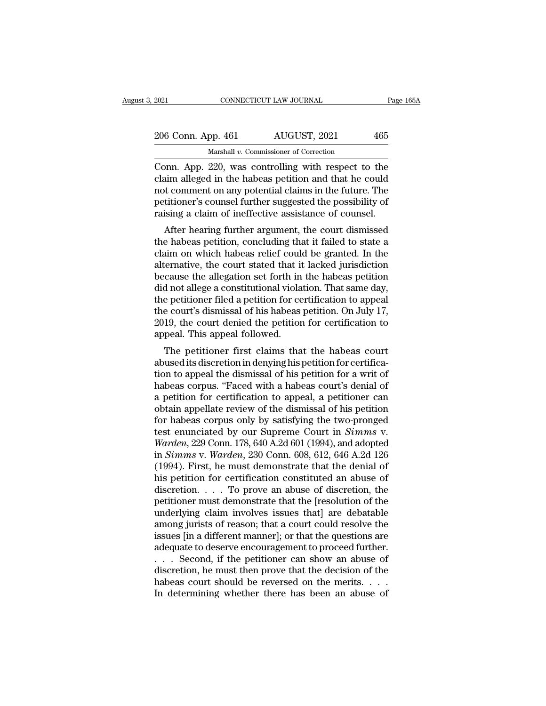| 2021 |                    | CONNECTICUT LAW JOURNAL                            | Page 165A |
|------|--------------------|----------------------------------------------------|-----------|
|      | 206 Conn. App. 461 | AUGUST, 2021                                       | 465       |
|      |                    | Marshall v. Commissioner of Correction             |           |
|      |                    | Conn. Ann. 220 was controlling with respect to the |           |

CONNECTICUT LAW JOURNAL Page 165A<br>
206 Conn. App. 461 AUGUST, 2021 465<br>
Marshall v. Commissioner of Correction<br>
Conn. App. 220, was controlling with respect to the<br>
claim alleged in the habeas petition and that he could<br>
a 206 Conn. App. 461  $\overline{AUGUST}$ , 2021  $\overline{A65}$ <br>
Marshall v. Commissioner of Correction<br>
Conn. App. 220, was controlling with respect to the claim alleged in the habeas petition and that he could not comment on any potenti 206 Conn. App. 461 AUGUST, 2021 465<br>
Marshall v. Commissioner of Correction<br>
Conn. App. 220, was controlling with respect to the<br>
claim alleged in the habeas petition and that he could<br>
not comment on any potential claims 206 Conn. App. 461 AUGUST, 2021 465<br>
Marshall v. Commissioner of Correction<br>
Conn. App. 220, was controlling with respect to the<br>
claim alleged in the habeas petition and that he could<br>
not comment on any potential claims Marshall v. Commissioner of Correction<br>Conn. App. 220, was controlling with respect to the<br>claim alleged in the habeas petition and that he could<br>not comment on any potential claims in the future. The<br>petitioner's counsel by more allowed in the habeas petition and that he could<br>alim alleged in the habeas petition and that he could<br>at comment on any potential claims in the future. The<br>titioner's counsel further suggested the possibility of<br>i Coluit. App. 220, was controlling with respect to the<br>claim alleged in the habeas petition and that he could<br>not comment on any potential claims in the future. The<br>petitioner's counsel further suggested the possibility of<br>

claim aneged in the habeas petition and that he could<br>not comment on any potential claims in the future. The<br>petitioner's counsel further suggested the possibility of<br>raising a claim of ineffective assistance of counsel.<br>A not continent on any potential claims in the ruture. The<br>petitioner's counsel further suggested the possibility of<br>raising a claim of ineffective assistance of counsel.<br>After hearing further argument, the court dismissed<br>t petitioner s courser further suggested the possibility of<br>raising a claim of ineffective assistance of counsel.<br>After hearing further argument, the court dismissed<br>the habeas petition, concluding that it failed to state a<br> raising a claim of memective assistance of counser.<br>After hearing further argument, the court dismissed<br>the habeas petition, concluding that it failed to state a<br>claim on which habeas relief could be granted. In the<br>altern After hearing further argument, the court dismissed<br>the habeas petition, concluding that it failed to state a<br>claim on which habeas relief could be granted. In the<br>alternative, the court stated that it lacked jurisdiction<br> the habeas petition, concluding that it failed to state a<br>claim on which habeas relief could be granted. In the<br>alternative, the court stated that it lacked jurisdiction<br>because the allegation set forth in the habeas petit claim on which habeas relief could be granted. In the alternative, the court stated that it lacked jurisdiction because the allegation set forth in the habeas petition did not allege a constitutional violation. That same d alternative, the court stated that it<br>because the allegation set forth in<br>did not allege a constitutional viola<br>the petitioner filed a petition for ce<br>the court's dismissal of his habeas<br>2019, the court denied the petition Exause the anegation set forth in the habeas petition<br>d not allege a constitutional violation. That same day,<br>e petitioner filed a petition for certification to appeal<br>e court's dismissal of his habeas petition. On July 17 abused its discretional violation. That same day,<br>the petitioner filed a petition for certification to appeal<br>the court's dismissal of his habeas petition. On July 17,<br>2019, the court denied the petition for certification

the petitioner fied a petition for certification to appear<br>the court's dismissal of his habeas petition. On July 17,<br>2019, the court denied the petition for certification to<br>appeal. This appeal followed.<br>The petitioner fir the court's usshissal of his habeas petition. On July 17,<br>2019, the court denied the petition for certification to<br>appeal. This appeal followed.<br>The petitioner first claims that the habeas court<br>abused its discretion in de zors, the court defiled the petition for certification to<br>appeal. This appeal followed.<br>The petitioner first claims that the habeas court<br>abused its discretion in denying his petition for certifica-<br>tion to appeal the dism appear. This appear followed.<br>
The petitioner first claims that the habeas court<br>
abused its discretion in denying his petition for certifica-<br>
tion to appeal the dismissal of his petition for a writ of<br>
habeas corpus. "Fa The petitioner first claims that the habeas court<br>abused its discretion in denying his petition for certifica-<br>tion to appeal the dismissal of his petition for a writ of<br>habeas corpus. "Faced with a habeas court's denial abused its discretion in denying his petition for certification to appeal the dismissal of his petition for a writ of habeas corpus. "Faced with a habeas court's denial of a petition for certification to appeal, a petition tion to appeal the dismissal of his petition for a writ of<br>habeas corpus. "Faced with a habeas court's denial of<br>a petition for certification to appeal, a petitioner can<br>obtain appellate review of the dismissal of his peti habeas corpus. "Faced with a habeas court's denial of<br>a petition for certification to appeal, a petitioner can<br>obtain appellate review of the dismissal of his petition<br>for habeas corpus only by satisfying the two-pronged<br>t a petition for certification to appeal, a petitioner can<br>obtain appellate review of the dismissal of his petition<br>for habeas corpus only by satisfying the two-pronged<br>test enunciated by our Supreme Court in *Simms* v.<br>Ward obtain appellate review of the dismissal of his petition<br>for habeas corpus only by satisfying the two-pronged<br>test enunciated by our Supreme Court in *Simms* v.<br>Warden, 229 Conn. 178, 640 A.2d 601 (1994), and adopted<br>in for habeas corpus only by satisfying the two-pronged<br>test enunciated by our Supreme Court in *Simms* v.<br>Warden, 229 Conn. 178, 640 A.2d 601 (1994), and adopted<br>in *Simms* v. Warden, 230 Conn. 608, 612, 646 A.2d 126<br>(1994) test enunciated by our Supreme Court in *Simms* v.<br>Warden, 229 Conn. 178, 640 A.2d 601 (1994), and adopted<br>in *Simms* v. Warden, 230 Conn. 608, 612, 646 A.2d 126<br>(1994). First, he must demonstrate that the denial of<br>his p Warden, 229 Conn. 178, 640 A.2d 601 (1994), and adopted<br>in Simms v. Warden, 230 Conn. 608, 612, 646 A.2d 126<br>(1994). First, he must demonstrate that the denial of<br>his petition for certification constituted an abuse of<br>disc in *Simms* v. *Warden*, 230 Conn. 608, 612, 646 A.2d 126 (1994). First, he must demonstrate that the denial of his petition for certification constituted an abuse of discretion.  $\ldots$  To prove an abuse of discretion, the (1994). First, he must demonstrate that the denial of<br>his petition for certification constituted an abuse of<br>discretion. . . . . To prove an abuse of discretion, the<br>petitioner must demonstrate that the [resolution of the his petition for certification constituted an abuse of discretion.  $\ldots$  To prove an abuse of discretion, the petitioner must demonstrate that the [resolution of the underlying claim involves issues that] are debatable am discretion. . . . . To prove an abuse of discretion, the petitioner must demonstrate that the [resolution of the underlying claim involves issues that] are debatable among jurists of reason; that a court could resolve the petitioner must demonstrate that the [resolution of the<br>underlying claim involves issues that] are debatable<br>among jurists of reason; that a court could resolve the<br>issues [in a different manner]; or that the questions are underlying claim involves issues that] are debatable<br>among jurists of reason; that a court could resolve the<br>issues [in a different manner]; or that the questions are<br>adequate to deserve encouragement to proceed further.<br> among jurists of reason; that a court could resolve the issues [in a different manner]; or that the questions are adequate to deserve encouragement to proceed further.<br>  $\ldots$  Second, if the petitioner can show an abuse of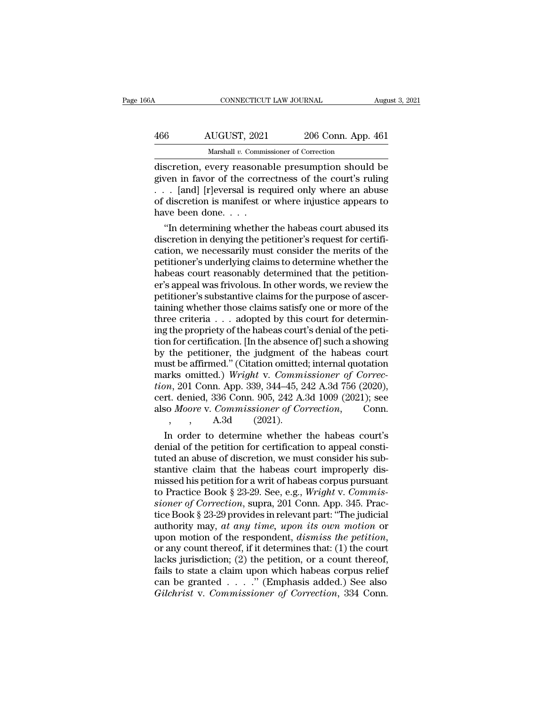| 66A | CONNECTICUT LAW JOURNAL                           |                    | August 3, 2021 |
|-----|---------------------------------------------------|--------------------|----------------|
| 466 | AUGUST, 2021                                      | 206 Conn. App. 461 |                |
|     | Marshall v. Commissioner of Correction            |                    |                |
|     | discretion every reasonable presumption should be |                    |                |

CONNECTICUT LAW JOURNAL August 3, 2021<br>
AUGUST, 2021 206 Conn. App. 461<br>
Marshall v. Commissioner of Correction<br>
discretion, every reasonable presumption should be<br>
given in favor of the correctness of the court's ruling<br> AUGUST, 2021 206 Conn. App. 461<br>
Marshall v. Commissioner of Correction<br>
discretion, every reasonable presumption should be<br>
given in favor of the correctness of the court's ruling<br>
. . . [and] [r]eversal is required only 466 AUGUST, 2021 206 Conn. App. 461<br>
Marshall v. Commissioner of Correction<br>
discretion, every reasonable presumption should be<br>
given in favor of the correctness of the court's ruling<br>
. . . [and] [r]eversal is required AUGUST, 2021 206 Conn. App. 461<br>
Marshall v. Commissioner of Correction<br>
discretion, every reasonable presumption should be<br>
given in favor of the correctness of the court's ruling<br>
... [and] [r]eversal is required only w  $\frac{Marshall v. \text{ Commis}}{Marshall v. \text{ Commis}}$ <br>discretion, every reasonal<br>given in favor of the corre<br> $\ldots$  [and] [r]eversal is recof discretion is manifest on<br>have been done....<br>"In determining whether Exercition, every reasonable presumption should be<br>
ven in favor of the correctness of the court's ruling<br>
In abused is required only where an abuse<br>
discretion is manifest or where injustice appears to<br>
we been done....<br> discretion, every reasonable presumption should be<br>given in favor of the correctness of the court's ruling<br>. . . [and] [r]eversal is required only where an abuse<br>of discretion is manifest or where injustice appears to<br>have

given in favor of the correctness of the court's ruling<br>
. . . [and] [r]eversal is required only where an abuse<br>
of discretion is manifest or where injustice appears to<br>
have been done. . . .<br>
"In determining whether the h petition is manifest or where injustice appears to<br>of discretion is manifest or where injustice appears to<br>have been done. . . .<br>"In determining whether the habeas court abused its<br>discretion in denying the petitioner's r of discretion is manifest or where injustice appears to<br>have been done. . . .<br>"In determining whether the habeas court abused its<br>discretion in denying the petitioner's request for certifi-<br>cation, we necessarily must cons have been done.  $\ldots$  .<br>
"In determining whether the habeas court abused its<br>
discretion in denying the petitioner's request for certifi-<br>
cation, we necessarily must consider the merits of the<br>
petitioner's underlying cl "In determining whether the habeas court abused its<br>discretion in denying the petitioner's request for certifi-<br>cation, we necessarily must consider the merits of the<br>petitioner's underlying claims to determine whether the discretion in denying the petitioner's request for certification, we necessarily must consider the merits of the petitioner's underlying claims to determine whether the habeas court reasonably determined that the petitione cation, we necessarily must consider the merits of the petitioner's underlying claims to determine whether the habeas court reasonably determined that the petitioner's appeal was frivolous. In other words, we review the pe petitioner's underlying claims to determine whether the habeas court reasonably determined that the petitioner's appeal was frivolous. In other words, we review the petitioner's substantive claims for the purpose of ascert habeas court reasonably determined that the petition-<br>er's appeal was frivolous. In other words, we review the<br>petitioner's substantive claims for the purpose of ascer-<br>taining whether those claims satisfy one or more of t er's appeal was frivolous. In other words, we review the petitioner's substantive claims for the purpose of ascertaining whether those claims satisfy one or more of the three criteria  $\ldots$  adopted by this court for deter petitioner's substantive claims for the purpose of ascertaining whether those claims satisfy one or more of the<br>three criteria  $\ldots$  adopted by this court for determining the propriety of the habeas court's denial of the taining whether those claims satisfy one or more of the<br>three criteria  $\ldots$  adopted by this court for determin-<br>ing the propriety of the habeas court's denial of the peti-<br>tion for certification. [In the absence of] such three criteria . . . adopted by this court for determining the propriety of the habeas court's denial of the petition for certification. [In the absence of] such a showing by the petitioner, the judgment of the habeas cour ing the propriety of the habeas court's denial of the petition for certification. [In the absence of] such a showing<br>by the petitioner, the judgment of the habeas court<br>must be affirmed." (Citation omitted; internal quotat tion for certification. [In the absence of] such a showing<br>by the petitioner, the judgment of the habeas court<br>must be affirmed." (Citation omitted; internal quotation<br>marks omitted.) Wright v. Commissioner of Correc-<br>tion the petitioner, the judgment of<br>st be affirmed." (Citation omitted<br>rks omitted.) Wright v. Comma<br>n, 201 Conn. App. 339, 344–45, 2<br>t. denied, 336 Conn. 905, 242 A.<br>b Moore v. Commissioner of Co<br>, , A.3d (2021). ust be affirmed." (Citation omitted; internal quotation<br>arks omitted.) Wright v. Commissioner of Correc-<br> $m$ , 201 Conn. App. 339, 344–45, 242 A.3d 756 (2020),<br>rt. denied, 336 Conn. 905, 242 A.3d 1009 (2021); see<br>so Moore v marks omitted.) Wright v. Commissioner of Correction, 201 Conn. App. 339, 344–45, 242 A.3d 756 (2020), cert. denied, 336 Conn. 905, 242 A.3d 1009 (2021); see also *Moore* v. Commissioner of Correction, Conn.<br>
, A.3d (2021

tion, 201 Conn. App. 339, 344–45, 242 A.3d 756 (2020),<br>cert. denied, 336 Conn. 905, 242 A.3d 1009 (2021); see<br>also *Moore* v. *Commissioner of Correction*, Conn.<br>, , , A.3d (2021).<br>In order to determine whether the habeas cert. denied, 336 Conn. 905, 242 A.3d 1009 (2021); see<br>also *Moore v. Commissioner of Correction*, Conn.<br>, , , , A.3d (2021).<br>In order to determine whether the habeas court's<br>denial of the petition for certification to ap also *Moore v. Commissioner of Correction*, Conn.<br>
, , A.3d (2021).<br>
In order to determine whether the habeas court's<br>
denial of the petition for certification to appeal consti-<br>
tuted an abuse of discretion, we must cons the petition for certification to appeal constidential of the petition for certification to appeal constituted an abuse of discretion, we must consider his substantive claim that the habeas court improperly dismissed his p In order to determine whether the habeas court's<br>denial of the petition for certification to appeal consti-<br>tuted an abuse of discretion, we must consider his sub-<br>stantive claim that the habeas court improperly dis-<br>misse denial of the petition for certification to appeal constituted an abuse of discretion, we must consider his substantive claim that the habeas court improperly dismissed his petition for a writ of habeas corpus pursuant to tuted an abuse of discretion, we must consider his substantive claim that the habeas court improperly dis-<br>missed his petition for a writ of habeas corpus pursuant<br>to Practice Book § 23-29. See, e.g., *Wright v. Commis-<br>si* stantive claim that the habeas court improperly dis-<br>missed his petition for a writ of habeas corpus pursuant<br>to Practice Book § 23-29. See, e.g., *Wright v. Commis-<br>sioner of Correction*, supra, 201 Conn. App. 345. Prac-<br> to Practice Book § 23-29. See, e.g., *Wright v. Commissioner of Correction*, supra, 201 Conn. App. 345. Practice Book § 23-29 provides in relevant part: "The judicial authority may, *at any time*, *upon its own motion* or sioner of Correction, supra, 201 Conn. App. 345. Practice Book § 23-29 provides in relevant part: "The judicial authority may, at any time, upon its own motion or upon motion of the respondent, dismiss the petition, or an tice Book § 23-29 provides in relevant part: "The judicial<br>authority may, *at any time*, *upon its own motion* or<br>upon motion of the respondent, *dismiss the petition*,<br>or any count thereof, if it determines that: (1) the authority may, *at any time, upon its own motion* or upon motion of the respondent, *dismiss the petition*, or any count thereof, if it determines that: (1) the court lacks jurisdiction; (2) the petition, or a count thereo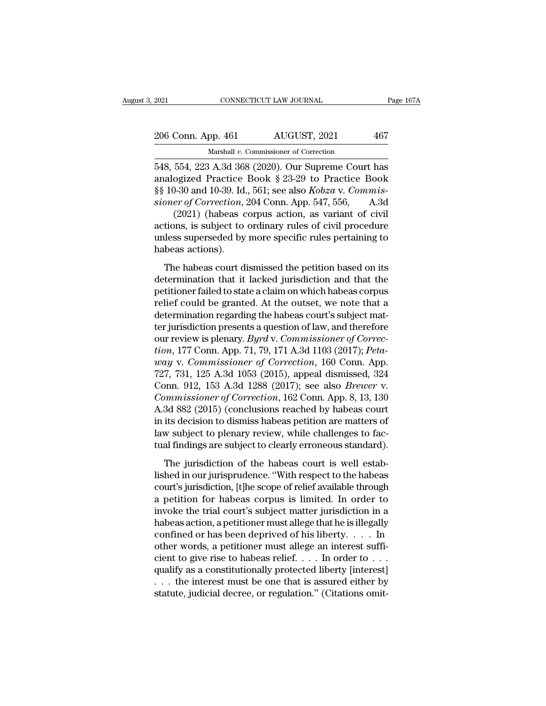| 2021               | CONNECTICUT LAW JOURNAL                           | Page 167A |
|--------------------|---------------------------------------------------|-----------|
| 206 Conn. App. 461 | AUGUST, 2021                                      | 467       |
|                    | Marshall v. Commissioner of Correction            |           |
|                    | 548 554 223 A 3d 368 (2020) Our Supreme Court has |           |

EXECUTE 2021 CONNECTICUT LAW JOURNAL Page 167A<br>
206 Conn. App. 461 AUGUST, 2021 467<br>
Marshall v. Commissioner of Correction<br>
548, 554, 223 A.3d 368 (2020). Our Supreme Court has<br>
analogized Practice Book § 23-29 to Practic 206 Conn. App. 461 AUGUST, 2021 467<br>
Marshall v. Commissioner of Correction<br>
548, 554, 223 A.3d 368 (2020). Our Supreme Court has<br>
analogized Practice Book § 23-29 to Practice Book<br>
§§ 10-30 and 10-39. Id., 561; see also <sup>206</sup> Conn. App. 461 AUGUST, 2021 467<br>
Marshall v. Commissioner of Correction<br>
548, 554, 223 A.3d 368 (2020). Our Supreme Court has<br>
analogized Practice Book § 23-29 to Practice Book<br>
§§ 10-30 and 10-39. Id., 561; see also 206 Conn. App. 461 AUGUST, 2021 467<br>
Marshall v. Commissioner of Correction<br>
548, 554, 223 A.3d 368 (2020). Our Supreme Court has<br>
analogized Practice Book § 23-29 to Practice Book<br>
§§ 10-30 and 10-39. Id., 561; see also Marshall v. Commissioner of Correction<br>
554, 223 A.3d 368 (2020). Our Supreme Court has<br>
ogized Practice Book § 23-29 to Practice Book<br>
9-30 and 10-39. Id., 561; see also *Kobza* v. *Commis-*<br> *er of Correction*, 204 Conn massian v. Commissioner of Correction<br>548, 554, 223 A.3d 368 (2020). Our Supreme Court has<br>analogized Practice Book § 23-29 to Practice Book<br>§§ 10-30 and 10-39. Id., 561; see also *Kobza* v. Commis-<br>sioner of Correction, 548, 554, 223 A.3d 368 (2020). Our Supreme Court has<br>analogized Practice Book § 23-29 to Practice Book<br>§§ 10-30 and 10-39. Id., 561; see also *Kobza* v. *Commissioner of Correction*, 204 Conn. App. 547, 556, A.3d<br>(2021) (

analogized Practice<br>§§ 10-30 and 10-39. Id.<br>sioner of Correction,<br>(2021) (habeas c<br>actions, is subject to<br>unless superseded by<br>habeas actions).<br>The habeas court d The oriental Tender, 204, 304, 306 and 1.5 6.71, 556, A.3d<br>
(2021) (habeas corpus action, as variant of civil<br>
tions, is subject to ordinary rules of civil procedure<br>
lless superseded by more specific rules pertaining to<br> (2021) (habeas corpus action, as variant of civil<br>actions, is subject to ordinary rules of civil procedure<br>unless superseded by more specific rules pertaining to<br>habeas actions).<br>The habeas court dismissed the petition ba

persons, is subject to ordinary rules of civil procedure<br>unless superseded by more specific rules pertaining to<br>habeas actions).<br>The habeas court dismissed the petition based on its<br>determination that it lacked jurisdictio relief, the could be granted. The periodic superseded by more specific rules pertaining to habeas actions).<br>The habeas court dismissed the petition based on its determination that it lacked jurisdiction and that the petiti The habeas court dismissed the petition based on its<br>determination that it lacked jurisdiction and that the<br>petitioner failed to state a claim on which habeas corpus<br>relief could be granted. At the outset, we note that a<br> The habeas court dismissed the petition based on its<br>determination that it lacked jurisdiction and that the<br>petitioner failed to state a claim on which habeas corpus<br>relief could be granted. At the outset, we note that a<br> The habeas court dismissed the petition based on its<br>determination that it lacked jurisdiction and that the<br>petitioner failed to state a claim on which habeas corpus<br>relief could be granted. At the outset, we note that a<br>d determination that it lacked jurisdiction and that the<br>petitioner failed to state a claim on which habeas corpus<br>relief could be granted. At the outset, we note that a<br>determination regarding the habeas court's subject mat petitioner failed to state a claim on which habeas corpus<br>relief could be granted. At the outset, we note that a<br>determination regarding the habeas court's subject mat-<br>ter jurisdiction presents a question of law, and ther relief could be granted. At the outset, we note that a<br>determination regarding the habeas court's subject mat-<br>ter jurisdiction presents a question of law, and therefore<br>our review is plenary. *Byrd* v. *Commissioner of Co* determination regarding the habeas court's subject mat-<br>ter jurisdiction presents a question of law, and therefore<br>our review is plenary. *Byrd v. Commissioner of Correc-*<br>tion, 177 Conn. App. 71, 79, 171 A.3d 1103 (2017); *Commissioner of Correction, 162 Commissioner of Correction, 177 Conn. App. 71, 79, 171 A.3d 1103 (2017); Peta-<br>
<i>Commissioner of Correction, 160 Conn. App. 727, 731, 125 A.3d 1053 (2015), appeal dismissed, 324 Conn. 912,* our review is plenary. *Byrd* v. *Commissioner of Correction*, 177 Conn. App. 71, 79, 171 A.3d 1103 (2017); *Peta-way* v. *Commissioner of Correction*, 160 Conn. App. 727, 731, 125 A.3d 1053 (2015), appeal dismissed, 324 C *tion*, 177 Conn. App. 71, 79, 171 A.3d 1103 (2017); *Peta-*<br>*way* v. *Commissioner of Correction*, 160 Conn. App.<br>727, 731, 125 A.3d 1053 (2015), appeal dismissed, 324<br>Conn. 912, 153 A.3d 1288 (2017); see also *Brewer* v way v. Commissioner of Correction, 160 Conn. App.<br>727, 731, 125 A.3d 1053 (2015), appeal dismissed, 324<br>Conn. 912, 153 A.3d 1288 (2017); see also *Brewer v.*<br>Commissioner of Correction, 162 Conn. App. 8, 13, 130<br>A.3d 882 ( 727, 731, 125 A.3d 1053 (2015), appeal dismissed, 324<br>Conn. 912, 153 A.3d 1288 (2017); see also *Brewer* v.<br>*Commissioner of Correction*, 162 Conn. App. 8, 13, 130<br>A.3d 882 (2015) (conclusions reached by habeas court<br>in it mmissioner of Correction, 162 Conn. App. 8, 13, 130<br>3d 882 (2015) (conclusions reached by habeas court<br>its decision to dismiss habeas petition are matters of<br>w subject to plenary review, while challenges to fac-<br>al finding A.3d 882 (2015) (conclusions reached by habeas court<br>in its decision to dismiss habeas petition are matters of<br>law subject to plenary review, while challenges to fac-<br>tual findings are subject to clearly erroneous standard

in its decision to dismiss habeas petition are matters of<br>law subject to plenary review, while challenges to fac-<br>tual findings are subject to clearly erroneous standard).<br>The jurisdiction of the habeas court is well estab law subject to plenary review, while challenges to factual findings are subject to clearly erroneous standard).<br>The jurisdiction of the habeas court is well established in our jurisprudence. "With respect to the habeas cou tual findings are subject to clearly erroneous standard).<br>
The jurisdiction of the habeas court is well established in our jurisprudence. "With respect to the habeas<br>
court's jurisdiction, [t]he scope of relief available t The jurisdiction of the habeas court is well established in our jurisprudence. "With respect to the habeas court's jurisdiction, [t]he scope of relief available through a petition for habeas corpus is limited. In order to The jurisdiction of the habeas court is well established in our jurisprudence. "With respect to the habeas court's jurisdiction, [t]he scope of relief available through a petition for habeas corpus is limited. In order to lished in our jurisprudence. "With respect to the habeas court's jurisdiction, [t]he scope of relief available through<br>a petition for habeas corpus is limited. In order to<br>invoke the trial court's subject matter jurisdict court's jurisdiction, [t]he scope of relief available through<br>a petition for habeas corpus is limited. In order to<br>invoke the trial court's subject matter jurisdiction in a<br>habeas action, a petitioner must allege that he a petition for habeas corpus is limited. In order to<br>invoke the trial court's subject matter jurisdiction in a<br>habeas action, a petitioner must allege that he is illegally<br>confined or has been deprived of his liberty.... invoke the trial court's subject matter jurisdiction in a<br>habeas action, a petitioner must allege that he is illegally<br>confined or has been deprived of his liberty. . . . . In<br>other words, a petitioner must allege an inte habeas action, a petitioner must allege that he is illegally confined or has been deprived of his liberty. . . . In other words, a petitioner must allege an interest sufficient to give rise to habeas relief. . . . In orde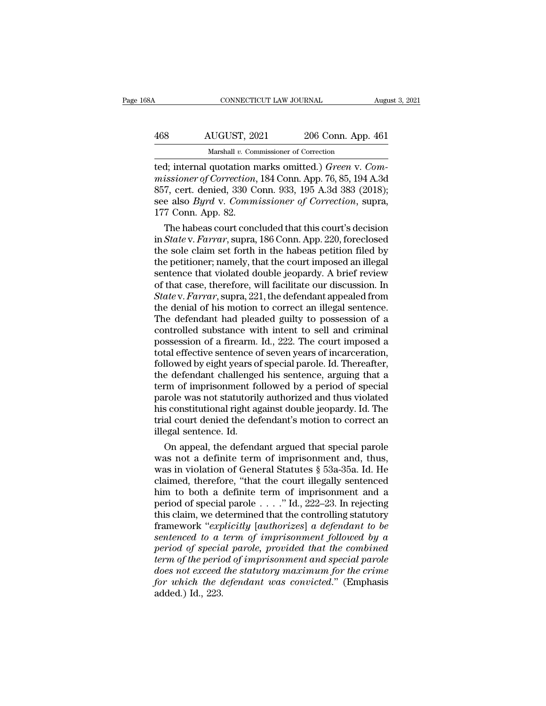| 68A | CONNECTICUT LAW JOURNAL                              |                    | August 3, 2021 |
|-----|------------------------------------------------------|--------------------|----------------|
| 468 | AUGUST, 2021                                         | 206 Conn. App. 461 |                |
|     | Marshall v. Commissioner of Correction               |                    |                |
|     | ted: internal quotation marks omitted ) Green y Com- |                    |                |

CONNECTICUT LAW JOURNAL August 3,<br>
468 AUGUST, 2021 206 Conn. App. 461<br>
Marshall v. Commissioner of Correction<br>
ted; internal quotation marks omitted.) *Green* v. *Com-*<br>
missioner of Correction, 184 Conn. App. 76, 85, 194 *Microsofter AUGUST, 2021 206 Conn. App. 461*<br> *Marshall v. Commissioner of Correction*<br> *missioner of Correction, 184 Conn. App. 76, 85, 194 A.3d*<br> *Marshall quotation marks omitted.) Green v. Commissioner of Correction* AUGUST, 2021 206 Conn. App. 461<br>
Marshall v. Commissioner of Correction<br>
ted; internal quotation marks omitted.) *Green* v. Com-<br>
missioner of Correction, 184 Conn. App. 76, 85, 194 A.3d<br>
857, cert. denied, 330 Conn. 933, AUGUST, 2021 206 Conn. App. 461<br>
Marshall v. Commissioner of Correction<br>
ted; internal quotation marks omitted.) *Green v. Com-*<br>
missioner of Correction, 184 Conn. App. 76, 85, 194 A.3d<br>
857, cert. denied, 330 Conn. 933, Marshall v. Conn.<br>
ted; internal quotation n<br>
missioner of Correction,<br>
857, cert. denied, 330 C<br>
see also *Byrd* v. Comm<br>
177 Conn. App. 82.<br>
The habeas court conc The habeas concluded that this court's decision<br>
Section of Correction, 184 Conn. App. 76, 85, 194 A.3d<br>
7, cert. denied, 330 Conn. 933, 195 A.3d 383 (2018);<br>
e also *Byrd* v. *Commissioner of Correction*, supra,<br>
7 Conn. ted; internal quotation marks omitted.) *Green v. Commissioner of Correction*, 184 Conn. App. 76, 85, 194 A.3d<br>857, cert. denied, 330 Conn. 933, 195 A.3d 383 (2018);<br>see also *Byrd v. Commissioner of Correction*, supra,<br>17

missioner of Correction, 184 Conn. App. 76, 85, 194 A.3d<br>857, cert. denied, 330 Conn. 933, 195 A.3d 383 (2018);<br>see also *Byrd* v. *Commissioner of Correction*, supra,<br>177 Conn. App. 82.<br>The habeas court concluded that th 857, cert. denied, 330 Conn. 933, 195 A.3d 383 (2018);<br>see also *Byrd* v. *Commissioner of Correction*, supra,<br>177 Conn. App. 82.<br>The habeas court concluded that this court's decision<br>in *State* v. *Farrar*, supra, 186 Con see also *Byrd* v. *Commissioner of Correction*, supra,<br>177 Conn. App. 82.<br>The habeas court concluded that this court's decision<br>in *State* v. *Farrar*, supra, 186 Conn. App. 220, foreclosed<br>the sole claim set forth in the 177 Conn. App. 82.<br>
The habeas court concluded that this court's decision<br>
in *State* v. *Farrar*, supra, 186 Conn. App. 220, foreclosed<br>
the sole claim set forth in the habeas petition filed by<br>
the petitioner; namely, t The habeas court concluded that this court's decision<br>in *State* v. *Farrar*, supra, 186 Conn. App. 220, foreclosed<br>the sole claim set forth in the habeas petition filed by<br>the petitioner; namely, that the court imposed an in *State* v. *Farrar*, supra, 186 Conn. App. 220, foreclosed<br>the sole claim set forth in the habeas petition filed by<br>the petitioner; namely, that the court imposed an illegal<br>sentence that violated double jeopardy. A bri the sole claim set forth in the habeas petition filed by<br>the petitioner; namely, that the court imposed an illegal<br>sentence that violated double jeopardy. A brief review<br>of that case, therefore, will facilitate our discus the petitioner; namely, that the court imposed an illegal<br>sentence that violated double jeopardy. A brief review<br>of that case, therefore, will facilitate our discussion. In<br>*State* v. *Farrar*, supra, 221, the defendant ap sentence that violated double jeopardy. A brief review<br>of that case, therefore, will facilitate our discussion. In<br>State v. Farrar, supra, 221, the defendant appealed from<br>the denial of his motion to correct an illegal sen of that case, therefore, will facilitate our discussion. In *State* v. *Farrar*, supra, 221, the defendant appealed from the denial of his motion to correct an illegal sentence. The defendant had pleaded guilty to possessi State v. Farrar, supra, 221, the defendant appealed from<br>the denial of his motion to correct an illegal sentence.<br>The defendant had pleaded guilty to possession of a<br>controlled substance with intent to sell and criminal<br>p the denial of his motion to correct an illegal sentence.<br>The defendant had pleaded guilty to possession of a<br>controlled substance with intent to sell and criminal<br>possession of a firearm. Id., 222. The court imposed a<br>tota The defendant had pleaded guilty to possession of a<br>controlled substance with intent to sell and criminal<br>possession of a firearm. Id., 222. The court imposed a<br>total effective sentence of seven years of incarceration,<br>fol controlled substance with intent to sell and criminal<br>possession of a firearm. Id., 222. The court imposed a<br>total effective sentence of seven years of incarceration,<br>followed by eight years of special parole. Id. Thereaft possession of a firearm. Id., 222. The court imposed a<br>total effective sentence of seven years of incarceration,<br>followed by eight years of special parole. Id. Thereafter,<br>the defendant challenged his sentence, arguing tha total effective sentence of seven years of incarceration,<br>followed by eight years of special parole. Id. Thereafter,<br>the defendant challenged his sentence, arguing that a<br>term of imprisonment followed by a period of specia followed by eight years of<br>the defendant challenge<br>term of imprisonment for<br>parole was not statutoril<br>his constitutional right ag<br>trial court denied the def<br>illegal sentence. Id.<br>On appeal, the defend e defendant challenged his sentence, arguing that a<br>rm of imprisonment followed by a period of special<br>role was not statutorily authorized and thus violated<br>s constitutional right against double jeopardy. Id. The<br>al court term of imprisonment followed by a period of special<br>parole was not statutorily authorized and thus violated<br>his constitutional right against double jeopardy. Id. The<br>trial court denied the defendant's motion to correct an

parole was not statutorily authorized and thus violated<br>his constitutional right against double jeopardy. Id. The<br>trial court denied the defendant's motion to correct an<br>illegal sentence. Id.<br>On appeal, the defendant argue his constitutional right against double jeopardy. Id. The<br>trial court denied the defendant's motion to correct an<br>illegal sentence. Id.<br>On appeal, the defendant argued that special parole<br>was not a definite term of impriso trial court denied the defendant's motion to correct an<br>illegal sentence. Id.<br>On appeal, the defendant argued that special parole<br>was not a definite term of imprisonment and, thus,<br>was in violation of General Statutes § 53 illegal sentence. Id.<br>
On appeal, the defendant argued that special parole<br>
was not a definite term of imprisonment and, thus,<br>
was in violation of General Statutes § 53a-35a. Id. He<br>
claimed, therefore, "that the court il On appeal, the defendant argued that special parole<br>was not a definite term of imprisonment and, thus,<br>was in violation of General Statutes  $\S$  53a-35a. Id. He<br>claimed, therefore, "that the court illegally sentenced<br>him t was not a definite term of imprisonment and, thus,<br>was in violation of General Statutes § 53a-35a. Id. He<br>claimed, therefore, "that the court illegally sentenced<br>him to both a definite term of imprisonment and a<br>period of was in violation of General Statutes  $\S$  53a-35a. Id. He<br>claimed, therefore, "that the court illegally sentenced<br>him to both a definite term of imprisonment and a<br>period of special parole . . . . " Id., 222–23. In rejecti *period, therefore, "that the court illegally sentenced*<br>him to both a definite term of imprisonment and a<br>period of special parole . . . ." Id., 222–23. In rejecting<br>this claim, we determined that the controlling statutor *thim to both a definite term of imprisonment and a*<br>*period of special parole* . . . ." Id., 222–23. In rejecting<br>*this claim, we determined that the controlling statutory*<br>*framework "explicitly [authorizes] a defendant* period of special parole . . . ." Id., 222–23. In rejecting<br>this claim, we determined that the controlling statutory<br>framework "*explicitly* [*authorizes*] a defendant to be<br>sentenced to a term of imprisonment followed by *for this claim, we determined that the controlling statutory framework "explicitly [authorizes] a defendant to be sentenced to a term of imprisonment followed by a period of special parole, provided that the combined term* framework "exp<br>sentenced to a<br>period of specia<br>term of the perio<br>does not exceed<br>for which the a<br>added.) Id., 223.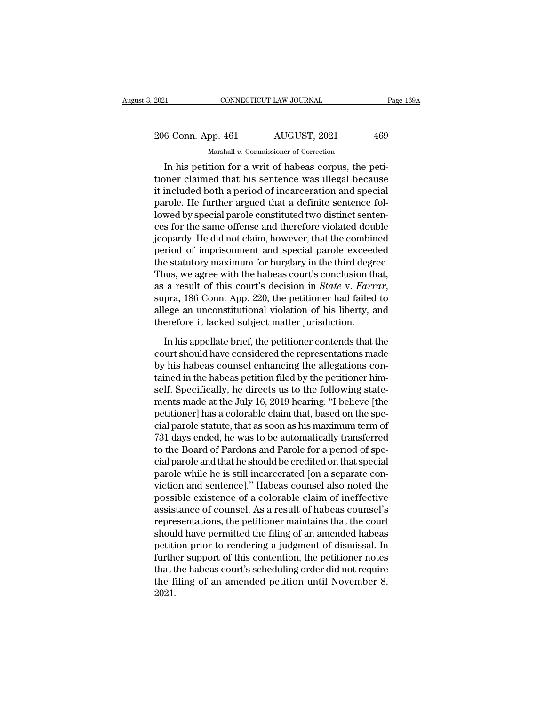# 2021 CONNECTICUT LAW JOURNAL Page 169A<br>
206 Conn. App. 461 AUGUST, 2021 469<br>
Marshall v. Commissioner of Correction

CONNECTICUT LAW JOURNAL<br>
6 Conn. App. 461 AUGUST, 2021 469<br>
Marshall *v*. Commissioner of Correction<br>
In his petition for a writ of habeas corpus, the peti-<br>
petitioner claimed that his sentence was illegal because 206 Conn. App. 461 AUGUST, 2021 469<br>
Marshall v. Commissioner of Correction<br>
In his petition for a writ of habeas corpus, the petitioner claimed that his sentence was illegal because<br>
it included both a period of incarcera  $\frac{206 \text{ Conn. App. 461}}{\text{Marshall } v. \text{ Commissioner of Correction}}$ <br>
In his petition for a writ of habeas corpus, the petitioner claimed that his sentence was illegal because<br>
it included both a period of incarceration and special<br>
parole. He further a 206 Conn. App. 461  $\overline{\phantom{0}}$  AUGUST, 2021  $\overline{\phantom{0}}$  469<br>
Marshall v. Commissioner of Correction<br>
In his petition for a writ of habeas corpus, the petitioner claimed that his sentence was illegal because<br>
it included b Marshall  $v$ . Commissioner of Correction<br>
In his petition for a writ of habeas corpus, the petitioner claimed that his sentence was illegal because<br>
it included both a period of incarceration and special<br>
parole. He furth massian *v*. Commissioner of Corection<br>In his petition for a writ of habeas corpus, the peti-<br>tioner claimed that his sentence was illegal because<br>it included both a period of incarceration and special<br>parole. He further a In his petition for a writ of habeas corpus, the petitioner claimed that his sentence was illegal because<br>it included both a period of incarceration and special<br>parole. He further argued that a definite sentence fol-<br>lowed tioner claimed that his sentence was illegal because<br>it included both a period of incarceration and special<br>parole. He further argued that a definite sentence fol-<br>lowed by special parole constituted two distinct senten-<br>c it included both a period of incarceration and special<br>parole. He further argued that a definite sentence fol-<br>lowed by special parole constituted two distinct senten-<br>ces for the same offense and therefore violated double parole. He further argued that a definite sentence fol-<br>lowed by special parole constituted two distinct senten-<br>ces for the same offense and therefore violated double<br>jeopardy. He did not claim, however, that the combined lowed by special parole constituted two distinct sentences for the same offense and therefore violated double jeopardy. He did not claim, however, that the combined period of imprisonment and special parole exceeded the st jeopardy. He did not claim, however, that the combined<br>period of imprisonment and special parole exceeded<br>the statutory maximum for burglary in the third degree.<br>Thus, we agree with the habeas court's conclusion that,<br>as a period of imprisonment and special parole exceed<br>the statutory maximum for burglary in the third degr<br>Thus, we agree with the habeas court's conclusion th<br>as a result of this court's decision in *State v. Farrr*<br>supra, 186 In his appellate brief, the petitioner conclusion that,<br>a result of this court's decision in *State* v. *Farrar*,<br>pra, 186 Conn. App. 220, the petitioner had failed to<br>ege an unconstitutional violation of his liberty, and<br> as a result of this court's decision in *State v. Farrar*, supra, 186 Conn. App. 220, the petitioner had failed to allege an unconstitutional violation of his liberty, and therefore it lacked subject matter jurisdiction.<br>I

supra, 186 Conn. App. 220, the petitioner had failed to allege an unconstitutional violation of his liberty, and therefore it lacked subject matter jurisdiction.<br>In his appellate brief, the petitioner contends that the cou allege an unconstitutional violation of his liberty, and<br>therefore it lacked subject matter jurisdiction.<br>In his appellate brief, the petitioner contends that the<br>court should have considered the representations made<br>by hi therefore it lacked subject matter jurisdiction.<br>In his appellate brief, the petitioner contends that the<br>court should have considered the representations made<br>by his habeas counsel enhancing the allegations con-<br>tained in In his appellate brief, the petitioner contends that the<br>court should have considered the representations made<br>by his habeas counsel enhancing the allegations con-<br>tained in the habeas petition filed by the petitioner him-In his appellate brief, the petitioner contends that the<br>court should have considered the representations made<br>by his habeas counsel enhancing the allegations con-<br>tained in the habeas petition filed by the petitioner himcourt should have considered the representations made<br>by his habeas counsel enhancing the allegations con-<br>tained in the habeas petition filed by the petitioner him-<br>self. Specifically, he directs us to the following state by his habeas counsel enhancing the allegations con-<br>tained in the habeas petition filed by the petitioner him-<br>self. Specifically, he directs us to the following state-<br>ments made at the July 16, 2019 hearing: "I believe tained in the habeas petition filed by the petitioner himself. Specifically, he directs us to the following statements made at the July 16, 2019 hearing: "I believe [the petitioner] has a colorable claim that, based on the self. Specifically, he directs us to the following statements made at the July 16, 2019 hearing: "I believe [the petitioner] has a colorable claim that, based on the special parole statute, that as soon as his maximum term ments made at the July 16, 2019 hearing: "I believe [the<br>petitioner] has a colorable claim that, based on the spe-<br>cial parole statute, that as soon as his maximum term of<br>731 days ended, he was to be automatically transfe petitioner] has a colorable claim that, based on the special parole statute, that as soon as his maximum term of<br>731 days ended, he was to be automatically transferred<br>to the Board of Pardons and Parole for a period of spe cial parole statute, that as soon as his maximum term of<br>731 days ended, he was to be automatically transferred<br>to the Board of Pardons and Parole for a period of spe-<br>cial parole and that he should be credited on that spe (31 days ended, he was to be automatically transferred<br>to the Board of Pardons and Parole for a period of spe-<br>cial parole and that he should be credited on that special<br>parole while he is still incarcerated [on a separate to the Board of Pardons and Parole for a period of special parole and that he should be credited on that special<br>parole while he is still incarcerated [on a separate con-<br>viction and sentence]." Habeas counsel also noted t cial parole and that he should be credited on that special<br>parole while he is still incarcerated [on a separate con-<br>viction and sentence]." Habeas counsel also noted the<br>possible existence of a colorable claim of ineffect parole while he is still incarcerated [on a separate conviction and sentence]." Habeas counsel also noted the<br>possible existence of a colorable claim of ineffective<br>assistance of counsel. As a result of habeas counsel's<br>re viction and sentence]." Habeas counsel also noted the<br>possible existence of a colorable claim of ineffective<br>assistance of counsel. As a result of habeas counsel's<br>representations, the petitioner maintains that the court<br>s possible existence of a colorable claim of ineffective<br>assistance of counsel. As a result of habeas counsel's<br>representations, the petitioner maintains that the court<br>should have permitted the filing of an amended habeas<br>p assistance of counsel. As a result of habeas counsel's<br>representations, the petitioner maintains that the court<br>should have permitted the filing of an amended habeas<br>petition prior to rendering a judgment of dismissal. In<br> 2021.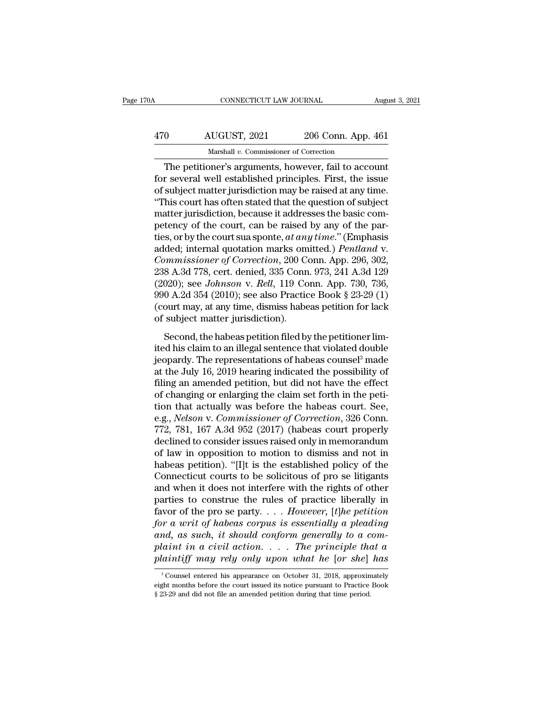## CONNECTICUT LAW JOURNAL August 3, 2021<br>
470 AUGUST, 2021 206 Conn. App. 461<br>
Marshall v. Commissioner of Correction CONNECTICUT LAW JOURNAL Augu $\begin{tabular}{ll} \hline & \multicolumn{2}{l}{\text{AUGUST, 2021}} & \multicolumn{2}{l}{\text{206 Conn. App. 461}} \\ \hline \hline & \multicolumn{2}{l}{\text{Marshall }v. \text{ Commissioner of Correction}} \\ \hline \hline \end{tabular}$

CONNECTICUT LAW JOURNAL August 3, 202<br>
0 AUGUST, 2021 206 Conn. App. 461<br>
Marshall v. Commissioner of Correction<br>
The petitioner's arguments, however, fail to account<br>
r several well established principles. First, the issu 470 AUGUST, 2021 206 Conn. App. 461<br>Marshall v. Commissioner of Correction<br>The petitioner's arguments, however, fail to account<br>for several well established principles. First, the issue<br>of subject matter jurisdiction may b  $\frac{470}{\text{Marshall } v. \text{ Commissioner of Correction}}$ <br>The petitioner's arguments, however, fail to account<br>for several well established principles. First, the issue<br>of subject matter jurisdiction may be raised at any time.<br>"This court has often stat  $\frac{\text{AUGUST, 2021}}{\text{Maxshall } v. \text{ Commissioner of Correction}}$ The petitioner's arguments, however, fail to account<br>for several well established principles. First, the issue<br>of subject matter jurisdiction may be raised at any time.<br>"This court has of Marshall v. Commissioner of Correction<br>The petitioner's arguments, however, fail to account<br>for several well established principles. First, the issue<br>of subject matter jurisdiction may be raised at any time.<br>"This court ha Marshall v. Commissioner of Correction<br>The petitioner's arguments, however, fail to account<br>for several well established principles. First, the issue<br>of subject matter jurisdiction may be raised at any time.<br>"This court h The petitioner's arguments, however, fail to account<br>for several well established principles. First, the issue<br>of subject matter jurisdiction may be raised at any time.<br>"This court has often stated that the question of sub for several well established principles. First, the issue<br>of subject matter jurisdiction may be raised at any time.<br>"This court has often stated that the question of subject<br>matter jurisdiction, because it addresses the ba of subject matter jurisdiction may be raised at any time.<br>
"This court has often stated that the question of subject<br>
matter jurisdiction, because it addresses the basic com-<br>
petency of the court, can be raised by any of "This court has often stated that the question of subject<br>matter jurisdiction, because it addresses the basic com-<br>petency of the court, can be raised by any of the par-<br>ties, or by the court sua sponte, *at any time.*" ( matter jurisdiction, because it addresses the basic competency of the court, can be raised by any of the parties, or by the court sua sponte, *at any time.*" (Emphasis added; internal quotation marks omitted.) *Pentland v.* petency of the court, can be raised by any of the parties, or by the court sua sponte, *at any time.*" (Emphasis added; internal quotation marks omitted.) *Pentland v. Commissioner of Correction*, 200 Conn. App. 296, 302, ties, or by the court sua sponte, *at any time.*" (Emphasis added; internal quotation marks omitted.) *Pentland v.*<br>Commissioner of Correction, 200 Conn. App. 296, 302, 238 A.3d 778, cert. denied, 335 Conn. 973, 241 A.3d 1 added; internal quotation marks om<br> *Commissioner of Correction*, 200 C<br>
238 A.3d 778, cert. denied, 335 Conn<br>
(2020); see *Johnson* v. *Rell*, 119 Co<br>
990 A.2d 354 (2010); see also Practic<br>
(court may, at any time, dismis Second, the habeas petition, 1973, 241 A.3d 129<br>
8 A.3d 778, cert. denied, 335 Conn. 973, 241 A.3d 129<br>
020); see *Johnson v. Rell*, 119 Conn. App. 730, 736,<br>
0 A.2d 354 (2010); see also Practice Book § 23-29 (1)<br>
ourt ma (2020); see *Johnson v. Rell*, 119 Conn. App. 730, 736, 990 A.2d 354 (2010); see also Practice Book § 23-29 (1) (court may, at any time, dismiss habeas petition for lack of subject matter jurisdiction).<br>Second, the habeas

(2020), see someon v. near, the comain tipp. 100, 100,<br>990 A.2d 354 (2010); see also Practice Book § 23-29 (1)<br>(court may, at any time, dismiss habeas petition for lack<br>of subject matter jurisdiction).<br>Second, the habeas (court may, at any time, dismiss habeas petition for lack<br>of subject matter jurisdiction).<br>Second, the habeas petition filed by the petitioner lim-<br>ited his claim to an illegal sentence that violated double<br>jeopardy. The filing and amended petition.<br>Second, the habeas petition filed by the petitioner limited his claim to an illegal sentence that violated double<br>jeopardy. The representations of habeas counsel<sup>3</sup> made<br>at the July 16, 2019 he Second, the habeas petition filed by the petitioner limited his claim to an illegal sentence that violated double<br>jeopardy. The representations of habeas counsel<sup>3</sup> made<br>at the July 16, 2019 hearing indicated the possibil Second, the habeas petition filed by the petitioner limited his claim to an illegal sentence that violated double<br>jeopardy. The representations of habeas counsel<sup>3</sup> made<br>at the July 16, 2019 hearing indicated the possibil ited his claim to an illegal sentence that violated double<br>jeopardy. The representations of habeas counsel<sup>3</sup> made<br>at the July 16, 2019 hearing indicated the possibility of<br>filing an amended petition, but did not have the jeopardy. The representations of habeas counsel<sup>3</sup> made<br>at the July 16, 2019 hearing indicated the possibility of<br>filing an amended petition, but did not have the effect<br>of changing or enlarging the claim set forth in the at the July 16, 2019 hearing indicated the possibility of<br>filing an amended petition, but did not have the effect<br>of changing or enlarging the claim set forth in the peti-<br>tion that actually was before the habeas court. Se filing an amended petition, but did not have the effect<br>of changing or enlarging the claim set forth in the peti-<br>tion that actually was before the habeas court. See,<br>e.g., *Nelson v. Commissioner of Correction*, 326 Conn. of changing or enlarging the claim set forth in the petition that actually was before the habeas court. See, e.g., *Nelson v. Commissioner of Correction*, 326 Conn.<br>772, 781, 167 A.3d 952 (2017) (habeas court properly decl tion that actually was before the habeas court. See,<br>e.g., *Nelson* v. *Commissioner of Correction*, 326 Conn.<br>772, 781, 167 A.3d 952 (2017) (habeas court properly<br>declined to consider issues raised only in memorandum<br>of l e.g., *Nelson v. Commissioner of Correction*, 326 Conn.<br>772, 781, 167 A.3d 952 (2017) (habeas court properly<br>declined to consider issues raised only in memorandum<br>of law in opposition to motion to dismiss and not in<br>habeas 772, 781, 167 A.3d 952 (2017) (habeas court properly<br>declined to consider issues raised only in memorandum<br>of law in opposition to motion to dismiss and not in<br>habeas petition). "[I]t is the established policy of the<br>Conn declined to consider issues raised only in memorandum<br>of law in opposition to motion to dismiss and not in<br>habeas petition). "[I]t is the established policy of the<br>Connecticut courts to be solicitous of pro se litigants<br>an of law in opposition to motion to dismiss and not in<br>habeas petition). "[I]t is the established policy of the<br>Connecticut courts to be solicitous of pro se litigants<br>and when it does not interfere with the rights of other<br> habeas petition). "[I]t is the established policy of the Connecticut courts to be solicitous of pro se litigants and when it does not interfere with the rights of other parties to construe the rules of practice liberally i Connecticut courts to be solicitous of pro se litigants<br>and when it does not interfere with the rights of other<br>parties to construe the rules of practice liberally in<br>favor of the pro se party. . . . *However*, [t]he petit and when it does not interfere with the rights of other<br>parties to construe the rules of practice liberally in<br>favor of the pro se party. . . . *However*, [*t*]he petition<br>for a writ of habeas corpus is essentially a plea or a writ of habeas corpus is essentially a pleading<br>nd, as such, it should conform generally to a com-<br>laint in a civil action.... The principle that a<br>daintiff may rely only upon what he [or she] has<br> $\frac{3}{8}$  Counsel e and, as such, it should conform generally to a com-<br>plaint in a civil action. . . . The principle that a<br>plaintiff may rely only upon what he [or she] has<br> $\frac{1}{3}$  Counsel entered his appearance on October 31, 2018, appr

plaint in a civil action.... The principle the plaintiff may rely only upon what he [or she]<br> $^{\circ}$ Counsel entered his appearance on October 31, 2018, approximely nonths before the court issued its notice pursuant to Prac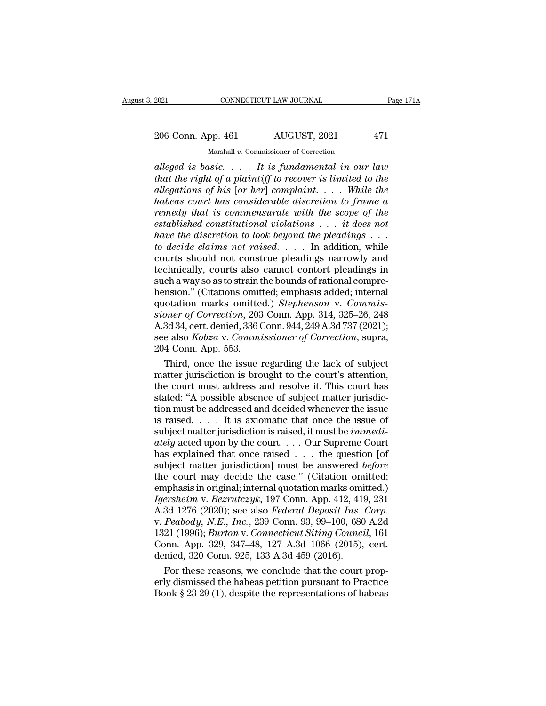## 2021 CONNECTICUT LAW JOURNAL Page 171A<br>
206 Conn. App. 461 AUGUST, 2021 471<br>
Marshall v. Commissioner of Correction Marshall *v.* Commissioner of Correction

*alleged is basic.* . . . . It is fundamental in our law properties alleged is basic. . . . . It is fundamental in our law that the right of a plaintiff to recover is limited to the alleged is basic. . . . . It is fundamen *that the right of a plaintiff to recover is limited to the dilegations of his [or her] complaint.... While the alleged is basic.* . . . *It is fundamental in our law*<br>*alleged is basic.* . . . *It is fundamental in our law*<br>*that the right of a plaintiff to recover is limited to the*<br>*allegations of his* [*or her*] *complaint.* . *habeas court has considerable discretion to frame a reso Colut. 14pp.* 101 *reducest, 2021 remediately and alleged is basic.* . . . . It is fundamental in our law that the right of a plaintiff to recover is limited to the allegations of his [or her] complaint. . . . Whil *Marshall v. Commissioner of Correction*<br> *elleged is basic.* . . . It is fundamental in our law<br>
that the right of a plaintiff to recover is limited to the<br>
allegations of his [or her] complaint. . . . While the<br>
habeas c *haveoration is basic.* . . . . It is fundamental in our law that the right of a plaintiff to recover is limited to the allegations of his [or her] complaint. . . . While the habeas court has considerable discretion to fra *that the right of a plaintiff to recover is limited to the*<br>*allegations of his [or her] complaint.... While the*<br>*habeas court has considerable discretion to frame a*<br>*remedy that is commensurate with the scope of the*<br> allegations of his [or her] complaint.... While the<br>habeas court has considerable discretion to frame a<br>remedy that is commensurate with the scope of the<br>established constitutional violations ... it does not<br>have the disc habeas court has considerable discretion to frame a<br>remedy that is commensurate with the scope of the<br>established constitutional violations  $\dots$  it does not<br>have the discretion to look beyond the pleadings  $\dots$ <br>to decide remedy that is commensurate with the scope of the established constitutional violations . . . it does not have the discretion to look beyond the pleadings . . . to decide claims not raised. . . . In addition, while courts established constitutional violations  $\dots$  it does not<br>have the discretion to look beyond the pleadings  $\dots$ <br>to decide claims not raised.  $\dots$  In addition, while<br>courts should not construe pleadings narrowly and<br>technical have the discretion to look beyond the pleadings . . . to decide claims not raised. . . . . In addition, while courts should not construe pleadings narrowly and technically, courts also cannot contort pleadings in such a w *to decide claims not raised.* . . . . In addition, while courts should not construe pleadings narrowly and technically, courts also cannot contort pleadings in such a way so as to strain the bounds of rational comprehensi courts should not construe pleadings narrowly and<br>technically, courts also cannot contort pleadings in<br>such a way so as to strain the bounds of rational compre-<br>hension." (Citations omitted, emphasis added; internal<br>quotat technically, courts also cannot contort pleadings in<br>such a way so as to strain the bounds of rational compre-<br>hension." (Citations omitted.) *Stephenson v. Commis-<br>sioner of Correction*, 203 Conn. App. 314, 325–26, 248<br>A. such a way so as to strain thension." (Citations omit<br>quotation marks omitte<br>*sioner of Correction*, 203<br>A.3d 34, cert. denied, 336 C<br>see also *Kobza* v. *Commi*<br>204 Conn. App. 553.<br>Third, once the issue 1 nsion." (Citations omitted; emphasis added; internal<br>otation marks omitted.) *Stephenson* v. *Commis-*<br>oner of Correction, 203 Conn. App. 314, 325–26, 248<br>3d 34, cert. denied, 336 Conn. 944, 249 A.3d 737 (2021);<br>e also *Ko* quotation marks omitted.) *Stephenson v. Commissioner of Correction*, 203 Conn. App. 314, 325–26, 248<br>A.3d 34, cert. denied, 336 Conn. 944, 249 A.3d 737 (2021);<br>see also *Kobza v. Commissioner of Correction*, supra,<br>204 Co

sioner of Correction, 203 Conn. App. 314, 325–26, 248<br>A.3d 34, cert. denied, 336 Conn. 944, 249 A.3d 737 (2021);<br>see also *Kobza v. Commissioner of Correction*, supra,<br>204 Conn. App. 553.<br>Third, once the issue regarding th A.3d 34, cert. denied, 336 Conn. 944, 249 A.3d 737 (2021);<br>see also *Kobza v. Commissioner of Correction*, supra,<br>204 Conn. App. 553.<br>Third, once the issue regarding the lack of subject<br>matter jurisdiction is brought to t see also *Kobza v. Commissioner of Correction*, supra,<br>204 Conn. App. 553.<br>Third, once the issue regarding the lack of subject<br>matter jurisdiction is brought to the court's attention,<br>the court must address and resolve it 204 Conn. App. 553.<br>
Third, once the issue regarding the lack of subject<br>
matter jurisdiction is brought to the court's attention,<br>
the court must address and resolve it. This court has<br>
stated: "A possible absence of sub Third, once the issue regarding the lack of subject<br>matter jurisdiction is brought to the court's attention,<br>the court must address and resolve it. This court has<br>stated: "A possible absence of subject matter jurisdic-<br>tio matter jurisdiction is brought to the court's attention,<br>the court must address and resolve it. This court has<br>stated: "A possible absence of subject matter jurisdic-<br>tion must be addressed and decided whenever the issue<br>o the court must address and resolve it. This court has stated: "A possible absence of subject matter jurisdiction must be addressed and decided whenever the issue is raised. . . . It is axiomatic that once the issue of sub stated: "A possible absence of subject matter jurisdiction must be addressed and decided whenever the issue<br>is raised. . . . It is axiomatic that once the issue of<br>subject matter jurisdiction is raised, it must be *immedi* tion must be addressed and decided whenever the issue<br>is raised.... It is axiomatic that once the issue of<br>subject matter jurisdiction is raised, it must be *immedi-*<br>*ately* acted upon by the court....Our Supreme Court<br>h is raised. . . . It is axiomatic that once the issue of<br>subject matter jurisdiction is raised, it must be *immedi-*<br>ately acted upon by the court. . . . Our Supreme Court<br>has explained that once raised . . . the question *Subject matter jurisdiction is raised, it must be <i>immediately* acted upon by the court.... Our Supreme Court<br>has explained that once raised ... the question [of<br>subject matter jurisdiction] must be answered *before*<br>the ately acted upon by the court.... Our Supreme Court<br>has explained that once raised ... the question [of<br>subject matter jurisdiction] must be answered *before*<br>the court may decide the case." (Citation omitted;<br>emphasis in has explained that once raised . . . the question [of<br>subject matter jurisdiction] must be answered *before*<br>the court may decide the case." (Citation omitted;<br>emphasis in original; internal quotation marks omitted.)<br>*Iger* subject matter jurisdiction] must be answered *before*<br>the court may decide the case." (Citation omitted;<br>emphasis in original; internal quotation marks omitted.)<br>*Igersheim* v. *Bezrutczyk*, 197 Conn. App. 412, 419, 231<br>A the court may decide the case." (Citation omitted;<br>emphasis in original; internal quotation marks omitted.)<br>Igersheim v. Bezrutczyk, 197 Conn. App. 412, 419, 231<br>A.3d 1276 (2020); see also *Federal Deposit Ins. Corp.*<br>v. P emphasis in original; internal quotation marks omi<br> *Igersheim v. Bezrutczyk*, 197 Conn. App. 412, 419<br>
A.3d 1276 (2020); see also *Federal Deposit Ins.*<br> *v. Peabody, N.E., Inc.*, 239 Conn. 93, 99–100, 680<br>
1321 (1996); ersheim v. Bezrutczyk, 197 Conn. App. 412, 419, 231<br>3d 1276 (2020); see also *Federal Deposit Ins. Corp.*<br>*Peabody, N.E., Inc.*, 239 Conn. 93, 99–100, 680 A.2d<br>21 (1996); *Burton v. Connecticut Siting Council*, 161<br>pnn. A A.3d 1276 (2020); see also *Federal Deposit Ins. Corp.*<br>v. *Peabody, N.E., Inc.*, 239 Conn. 93, 99–100, 680 A.2d<br>1321 (1996); *Burton v. Connecticut Siting Council*, 161<br>Conn. App. 329, 347–48, 127 A.3d 1066 (2015), cert. v. Peabody, N.E., Inc., 239 Conn. 93, 99–100, 680 A.2d 1321 (1996); *Burton v. Connecticut Siting Council*, 161 Conn. App. 329, 347–48, 127 A.3d 1066 (2015), cert. denied, 320 Conn. 925, 133 A.3d 459 (2016). For these rea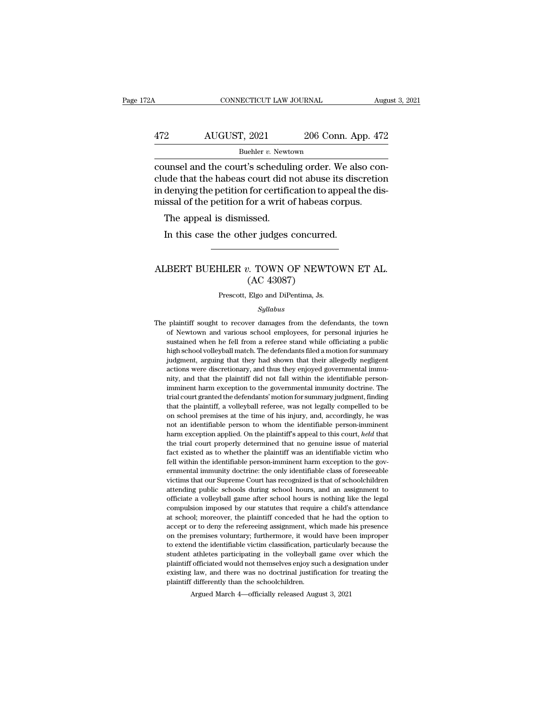### CONNECTICUT LAW JOURNAL August 3, 2021<br>472 AUGUST, 2021 206 Conn. App. 472<br>Buehler v. Newtown Buehler v. Newtown

CONNECTICUT LAW JOURNAL August 2006<br>
AUGUST, 2021 206 Conn. App. 472<br>
Buehler v. Newtown<br>
Counsel and the court's scheduling order. We also con-<br>
clude that the habeas court did not abuse its discretion<br>
in dopying the pot 472 AUGUST, 2021 206 Conn. App. 472<br>
Buehler v. Newtown<br>
counsel and the court's scheduling order. We also conclude that the habeas court did not abuse its discretion<br>
in denying the petition for certification to appeal th  $\frac{472}{\text{Buehler } v. \text{ Newton}}$  and the court's scheduling order. We also conclude that the habeas court did not abuse its discretion in denying the petition for certification to appeal the dismissal of the petition for a writ o  $\frac{\text{AUGUST, 2021}}{\text{Buehler } v. \text{ Newton}}$ <br>
Buehler *v.* Newtown<br>
counsel and the court's scheduling order. We also conclude that the habeas court did not abuse its discretion<br>
in denying the petition for certification to appeal th Buehler  $v$ . Newton unsel and the court's scheduli<br>ude that the habeas court did r<br>denying the petition for certific<br>issal of the petition for a writ of<br>The appeal is dismissed.<br>In this case the other judges In the court's scheduling order. We alse that the habeas court did not abuse its distinguing the petition for certification to appeal is sisal of the petition for a writ of habeas corpus The appeal is dismissed.<br>In this ca

### missal of the petition for a writ of habeas corpus.<br>
The appeal is dismissed.<br>
In this case the other judges concurred.<br>
ALBERT BUEHLER *v*. TOWN OF NEWTOWN ET AL.<br>
(AC 43087) issed.<br>
er judges concurre<br>
...<br>
7. TOWN OF NEWT<br>
(AC 43087)<br>
Elgo and DiPentima, Js. ALBERT BUEHLER  $v$ . TOWN OF NEWTOWN ET AL.<br>(AC 43087)<br>Prescott, Elgo and DiPentima, Js.

### *Syllabus*

The plaintiff sought to recover damages from the defendants, the town<br>of Newtown and various school employees, for personal injuries he<br>of Newtown and various school employees, for personal injuries he  $(AC 43087)$ <br>Prescott, Elgo and DiPentima, Js.<br> $Syllabus$ <br>plaintiff sought to recover damages from the defendants, the town<br>of Newtown and various school employees, for personal injuries he<br>sustained when he fell from a referee Prescott, Elgo and DiPentima, Js.<br>
Syllabus<br>
plaintiff sought to recover damages from the defendants, the town<br>
of Newtown and various school employees, for personal injuries he<br>
sustained when he fell from a referee stand Syllabus<br>
Syllabus<br>
plaintiff sought to recover damages from the defendants, the town<br>
of Newtown and various school employees, for personal injuries he<br>
sustained when he fell from a referee stand while officiating a publ *Syllabus*<br> *Syllabus*<br>
plaintiff sought to recover damages from the defendants, the town<br>
of Newtown and various school employees, for personal injuries he<br>
sustained when he fell from a referee stand while officiating a plaintiff sought to recover damages from the defendants, the town<br>of Newtown and various school employees, for personal injuries he<br>sustained when he fell from a referee stand while officiating a public<br>high school volleyb plantari solgate of tecover dangles from the determinals, the common of Newtown and various school employees, for personal injuries he sustained when he fell from a referee stand while officiating a public high school voll In the first divided when he fell from a referee stand while officiating a public high school volley<br>ball match. The defendants filed a motion for summary judgment, arguing that they had shown that their allegedly negligen bushallined when the term from a federed stand while offeredants filed a motion for summary judgment, arguing that they had shown that their allegedly negligent actions were discretionary, and thus they enjoyed governmenta that the plaintiff, a volleyball referee, was not legally considerate and all increase actions were discretionary, and thus they enjoyed governmental inmunity, and that the plaintiff did not fall within the identifiable pe on school premises at the time of his injury, and the time infusion were discretionary, and thus they enjoyed governmental immunity, and that the plaintiff did not fall within the identifiable person-<br>imminent harm excepti not and the plaintiff did not fall within the identifiable person-<br>imminent harm exception to the governmental immunity doctrine. The<br>trial court granted the defendants' motion for summary judgment, finding<br>that the plaint harm exception to the governmental immunity doctrine. The trial court granted the defendants' motion for summary judgment, finding that the plaintiff, a volleyball referee, was not legally compelled to be on school premise the trial court granted the defendants' motion for summary judgment, finding that the plaintiff, a volleyball referee, was not legally compelled to be on school premises at the time of his injury, and, accordingly, he was that the plaintiff, a volleyball referee, was not legally compelled to be on school premises at the time of his injury, and, accordingly, he was not an identifiable person to whom the identifiable person-imminent harm exce fell within the identifiable person-imminent harm exception and identifiable person to whom the identifiable person-imminent harm exception applied. On the plaintiff's appeal to this court, *held* that the trial court prop ern of an identifiable person to whom the identifiable person-imminent harm exception applied. On the plaintiff's appeal to this court, *held* that the trial court properly determined that no genuine issue of material fac From an exception applied. On the plaintiff's appeal to this court, *held* that the trial court properly determined that no genuine issue of material fact existed as to whether the plaintiff was an identifiable victim who rative trial court properly determined that no genuine issue of material fact existed as to whether the plaintiff was an identifiable victim who fell within the identifiable person-imminent harm exception to the government fact existed as to whether the plaintiff was an identifiable victim who fell within the identifiable person-imminent harm exception to the governmental immunity doctrine: the only identifiable class of foreseeable victims recompulsion in the identifiable person-imminent harm exception to the governmental immunity doctrine: the only identifiable class of foreseeable victims that our Supreme Court has recognized is that of schoolchildren atte For whall the identifiable person infinitent name exception to the governmental immunity doctrine: the only identifiable class of foreseeable victims that our Supreme Court has recognized is that of schoolchildren attendin independent manning and the refereeing assignment of the refereeing and the presence of the refereeing assignment to officiate a volleyball game after school hours, and an assignment to officiate a volleyball game after sc on the premises voluntary; furthermore, it would have been improper to extend the premise volley<br>ball game after school hours is nothing like the legal compulsion imposed by our statutes that require a child's attendance<br>a detending plane schools during school hours, and an assignment of<br>officiate a volleyball game after school hours is nothing like the legal<br>compulsion imposed by our statutes that require a child's attendance<br>at school; mor structure at volley ball game with the volley and the volter in the volter compulsion imposed by our statutes that require a child's attendance at school; moreover, the plaintiff conceded that he had the option to accept o eompalsion imposed by our statutes and require a cinta's attentiance<br>at school; moreover, the plaintiff conceded that he had the option to<br>accept or to deny the refereeing assignment, which made his presence<br>on the premise as school, indicated may be machined and the had the spherical accept or to deny the refereeing assignment, which made his presence on the premises voluntary; furthermore, it would have been improper to extend the identifi plantiff differently assignment, which on the premises voluntary; furthermore, it would<br>to extend the identifiable victim classification, pa<br>student athletes participating in the volleyball g<br>plaintiff officiated would not Argued March 4—officially released August 3, 2021<br>Argued March 4—officiated would not themselves enjoy such a design<br>alw, and there was no doctrinal justification for indifferently than the school<br>children. Argued March 4—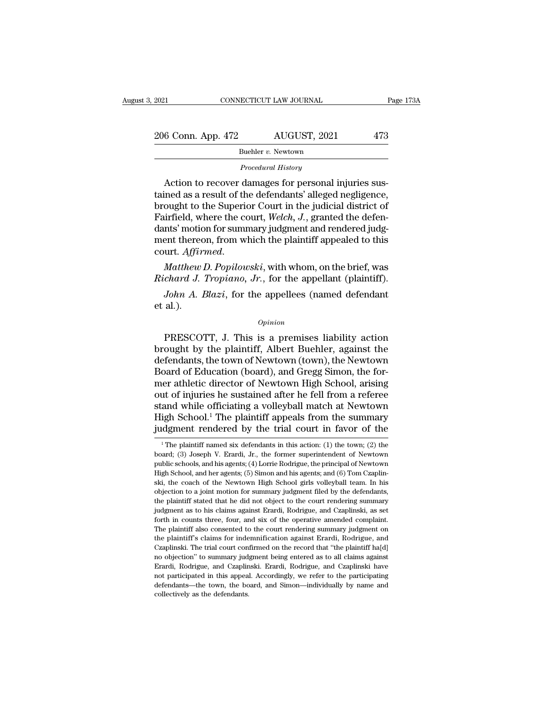| 2021<br>CONNECTICUT LAW JOURNAL |                                                      | Page 173A |  |
|---------------------------------|------------------------------------------------------|-----------|--|
| 206 Conn. App. 472              | AUGUST, 2021                                         | 473       |  |
|                                 | Buehler v. Newtown                                   |           |  |
|                                 | Procedural History                                   |           |  |
|                                 | Action to recover damages for personal injuries sus- |           |  |

 $\begin{array}{r} 6 \text{ Conn. App. 472} \hspace{1.5cm} \text{AUGUST, 2021} \hspace{1.5cm} \text{473} \ \text{Buehler } v. \text{ Newton} \ \text{Precedural History} \ \text{Action to recover damages for personal injuries suspended as a result of the defendants' alleged negligible.} \ \text{coucht to the Sunorior Court in the judicial district of the current.} \end{array}$ 206 Conn. App. 472 AUGUST, 2021 473<br>
Buehler v. Newtown<br>
Procedural History<br>
Action to recover damages for personal injuries sus-<br>
tained as a result of the defendants' alleged negligence,<br>
brought to the Superior Court i 206 Conn. App. 472 AUGUST, 2021 473<br>
Buehler v. Newtown<br>
Procedural History<br>
Action to recover damages for personal injuries sus-<br>
tained as a result of the defendants' alleged negligence,<br>
brought to the Superior Court i Buehler v. Newtown<br>
Procedural History<br>
Action to recover damages for personal injuries sus-<br>
tained as a result of the defendants' alleged negligence,<br>
brought to the Superior Court in the judicial district of<br>
Fairfield, Procedural History<br>
Action to recover damages for personal injuries sus-<br>
tained as a result of the defendants' alleged negligence,<br>
brought to the Superior Court in the judicial district of<br>
Fairfield, where the court, We *Procedural History*<br>Action to recover damages for personal injuries sus-<br>tained as a result of the defendants' alleged negligence,<br>brought to the Superior Court in the judicial district of<br>Fairfield, where the court, Welc tained as a result of the detendants' alleged negligence,<br>brought to the Superior Court in the judicial district of<br>Fairfield, where the court, Welch, J., granted the defen-<br>dants' motion for summary judgment and rendered brought to the Superior Court in the judicial district of<br>Fairfield, where the court, *Welch*, *J.*, granted the defen-<br>dants' motion for summary judgment and rendered judg-<br>ment thereon, from which the plaintiff appealed *John A. Blazi*, for the appellees (named defendant allowing the appellees the appellees (named defendant defendant *J. Tropiano*, *Jr.*, for the appellant (plaintiff). *John A. Blazi*, for the appellees (named defendant a ment there<br>
court. Affir<br> *Matthew*<br> *Richard J.*<br> *John A. i* et al.).

### *Opinion*

Matthew D. Popilowski, with whom, on the brief, was<br>
chard J. Tropiano, Jr., for the appellant (plaintiff).<br>
John A. Blazi, for the appellees (named defendant<br>
al.).<br>  $\frac{1}{2}$ <br>  $\frac{1}{2}$ <br>  $\frac{1}{2}$ <br>  $\frac{1}{2}$ <br>  $\frac{1}{2}$ <br> Richard J. Tropiano, Jr., for the appellant (plaintiff).<br>
John A. Blazi, for the appellees (named defendant<br>
et al.).<br>
Opinion<br>
PRESCOTT, J. This is a premises liability action<br>
brought by the plaintiff, Albert Buehler, ag John A. Blazi, for the appellees (named defendant<br>et al.).<br>Opinion<br>PRESCOTT, J. This is a premises liability action<br>brought by the plaintiff, Albert Buehler, against the<br>defendants, the town of Newtown (town), the Newtown<br> ories and Space of Channel accounts and the details and the PRESCOTT, J. This is a premises liability action<br>brought by the plaintiff, Albert Buehler, against the<br>defendants, the town of Newtown (town), the Newtown<br>Board o opinion<br>
PRESCOTT, J. This is a premises liability action<br>
brought by the plaintiff, Albert Buehler, against the<br>
defendants, the town of Newtown (town), the Newtown<br>
Board of Education (board), and Gregg Simon, the for-<br> *Opinion*<br>
PRESCOTT, J. This is a premises liability action<br>
brought by the plaintiff, Albert Buehler, against the<br>
defendants, the town of Newtown (town), the Newtown<br>
Board of Education (board), and Gregg Simon, the for PRESCOTT, J. This is a premises liability action<br>brought by the plaintiff, Albert Buehler, against the<br>defendants, the town of Newtown (town), the Newtown<br>Board of Education (board), and Gregg Simon, the for-<br>mer athletic brought by the plaintiff, Albert Buehler, against the<br>defendants, the town of Newtown (town), the Newtown<br>Board of Education (board), and Gregg Simon, the for-<br>mer athletic director of Newtown High School, arising<br>out of i defendants, the town of Newtown (town), the Newtown<br>Board of Education (board), and Gregg Simon, the for-<br>mer athletic director of Newtown High School, arising<br>out of injuries he sustained after he fell from a referee<br>stan ut of injuries he sustained after he fell from a referee<br>and while officiating a volleyball match at Newtown<br>igh School.<sup>1</sup> The plaintiff appeals from the summary<br>idgment rendered by the trial court in favor of the<br><sup>1</sup>The stand while officiating a volleyball match at Newtown<br>High School.<sup>1</sup> The plaintiff appeals from the summary<br>judgment rendered by the trial court in favor of the<br><sup>1</sup>The plaintiff named six defendants in this action: (1) th

High School.<sup>1</sup> The plaintiff appeals from the summary judgment rendered by the trial court in favor of the  $\overline{ }$  The plaintiff named six defendants in this action: (1) the town; (2) the board; (3) Joseph V. Erardi, Jr. **judgment rendered by the trial court in favor of the**<br>
<sup>1</sup>The plaintiff named six defendants in this action: (1) the town; (2) the<br>
board; (3) Joseph V. Erardi, Jr., the former superintendent of Newtown<br>
public schools, Sudgifter Tendered by the trial court in favor of the  $\frac{1}{2}$  The plaintiff named six defendants in this action: (1) the town; (2) the board; (3) Joseph V. Erardi, Jr., the former superintendent of Newtown public school <sup>1</sup> The plaintiff named six defendants in this action: (1) the town; (2) the board; (3) Joseph V. Erardi, Jr., the former superintendent of Newtown public schools, and his agents; (4) Lorrie Rodrigue, the principal of New board; (3) Joseph V. Erardi, Jr., the former superintendent of Newtown<br>public schools, and his agents; (4) Lorrie Rodrigue, the principal of Newtown<br>High School, and her agents; (5) Simon and his agents; and (6) Tom Czapli public schools, and his agents; (4) Lorrie Rodrigue, the principal of Newtown<br>High School, and her agents; (5) Simon and his agents; and (6) Tom Czaplin-<br>ski, the coach of the Newtown High School girls volleyball team. In Figh School, and her agents; (5) Simon and his agents; and (6) Tom Czaplin-<br>ski, the coach of the Newtown High School girls volleyball team. In his<br>objection to a joint motion for summary judgment filed by the defendants, Exist, the coach of the Newtown High School girls volleyball team. In his objection to a joint motion for summary judgment filed by the defendants, the plaintiff stated that he did not object to the court rendering summary be plaintiff's claims for independent filed by the defendants, the plaintiff stated that he did not object to the court rendering summary judgment as to his claims against Erardi, Rodrigue, and Czaplinski, as set forth in be plaintiff stated that he did not object to the court rendering summary judgment as to his claims against Erardi, Rodrigue, and Czaplinski, as set forth in counts three, four, and six of the operative amended complaint. no putation and in the summary diagram and the operation and Czaplinski, as set forth in counts three, four, and six of the operative amended complaint. The plaintiff also consented to the court rendering summary judgment Forth in counts three, four, and six of the operative amended complaint.<br>The plaintiff also consented to the court rendering summary judgment on<br>the plaintiff's claims for indemnification against Erardi, Rodrigue, and<br>Czap The plaintiff also consented to the court rendering summary judgment on<br>the plaintiff's claims for indemnification against Erardi, Rodrigue, and<br>Czaplinski. The trial court confirmed on the record that "the plaintiff ha[d] The plaintiff's claims for indemnification against Erardi, Rodrigue, and Czaplinski. The trial court confirmed on the record that "the plaintiff ha[d] no objection" to summary judgment being entered as to all claims agains the plaintiff's claims for indemnification against Erardi, Rodrigue, and Czaplinski. The trial court confirmed on the record that "the plaintiff ha[d] no objection" to summary judgment being entered as to all claims agains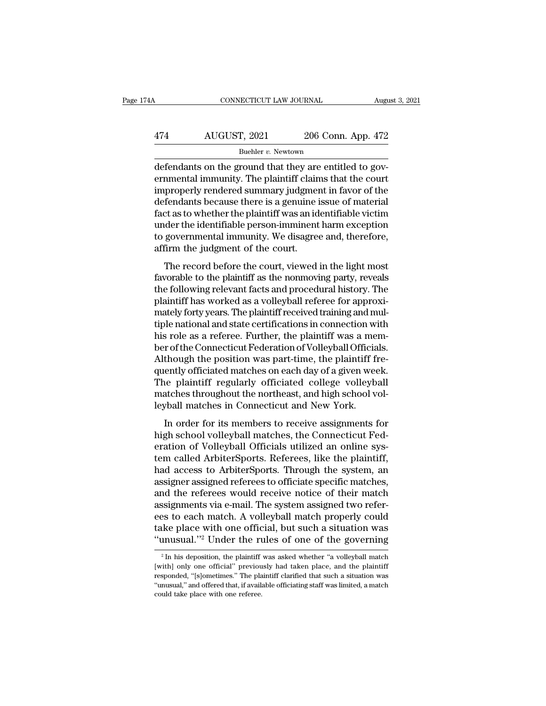# CONNECTICUT LAW JOURNAL August 3, 2021<br>474 AUGUST, 2021 206 Conn. App. 472<br>Buehler v. Newtown

Buehler *v*. Newtown

CONNECTICUT LAW JOURNAL August 2006<br>
474 AUGUST, 2021 206 Conn. App. 472<br>
<sup>Buehler v.</sup> Newtown<br>
defendants on the ground that they are entitled to gov-<br>
ernmental immunity. The plaintiff claims that the court<br>
impropely re 474 AUGUST, 2021 206 Conn. App. 472<br>Buehler v. Newtown<br>defendants on the ground that they are entitled to governmental immunity. The plaintiff claims that the court<br>improperly rendered summary judgment in favor of the<br>defe  $\frac{474}{\text{Buehler } v. \text{ Newton}}$ <br>
Buehler v. Newtown<br>
defendants on the ground that they are entitled to governmental immunity. The plaintiff claims that the court<br>
improperly rendered summary judgment in favor of the<br>
defendants  $474$  AUGUST, 2021 206 Conn. App. 472<br>
Buehler v. Newtown<br>
defendants on the ground that they are entitled to governmental immunity. The plaintiff claims that the court<br>
improperly rendered summary judgment in favor of th For every 1991 and the plaintiff was entitled to governmental immunity. The plaintiff claims that the court<br>improperly rendered summary judgment in favor of the<br>defendants because there is a genuine issue of material<br>fact Buehler v. Newtown<br>defendants on the ground that they are entitled to gov-<br>ernmental immunity. The plaintiff claims that the court<br>improperly rendered summary judgment in favor of the<br>defendants because there is a genuine defendants on the ground that they are entitled to governmental immunity. The plaintiff claims that the court<br>improperly rendered summary judgment in favor of the<br>defendants because there is a genuine issue of material<br>fac ernmental immunity. The plaintiff clain<br>improperly rendered summary judgmen<br>defendants because there is a genuine i<br>fact as to whether the plaintiff was an id<br>under the identifiable person-imminent<br>to governmental immunity fendants because there is a genuine issue of material<br>the record before the plaintiff was an identifiable victim<br>der the identifiable person-imminent harm exception<br>governmental immunity. We disagree and, therefore,<br>firm t fact as to whether the plaintiff was an identifiable victim<br>under the identifiable person-imminent harm exception<br>to governmental immunity. We disagree and, therefore,<br>affirm the judgment of the court.<br>The record before th

the following relevant factors are provided to governmental immunity. We disagree and, therefore, affirm the judgment of the court.<br>The record before the court, viewed in the light most favorable to the plaintiff as the no mater the identifiable person-infinitent name exception<br>to governmental immunity. We disagree and, therefore,<br>affirm the judgment of the court.<br>The record before the court, viewed in the light most<br>favorable to the plainti to governmental minimity. We usughee and, therefore,<br>affirm the judgment of the court.<br>The record before the court, viewed in the light most<br>favorable to the plaintiff as the nonmoving party, reveals<br>the following relevant The record before the court, viewed in the light most<br>favorable to the plaintiff as the nonmoving party, reveals<br>the following relevant facts and procedural history. The<br>plaintiff has worked as a volleyball referee for app The record before the court, viewed in the light most favorable to the plaintiff as the nonmoving party, reveals<br>the following relevant facts and procedural history. The<br>plaintiff has worked as a volleyball referee for app favorable to the plaintiff as the nonmoving party, reveals<br>the following relevant facts and procedural history. The<br>plaintiff has worked as a volleyball referee for approxi-<br>mately forty years. The plaintiff received train the following relevant facts and procedural history. The plaintiff has worked as a volleyball referee for approximately forty years. The plaintiff received training and multiple national and state certifications in connect plaintiff has worked as a volleyball referee for approximately forty years. The plaintiff received training and multiple national and state certifications in connection with his role as a referee. Further, the plaintiff wa mately forty years. The plaintiff received training and multiple national and state certifications in connection with<br>his role as a referee. Further, the plaintiff was a mem-<br>ber of the Connecticut Federation of Volleyball tiple national and state certifications in connection with<br>his role as a referee. Further, the plaintiff was a mem-<br>ber of the Connecticut Federation of Volleyball Officials.<br>Although the position was part-time, the plaint his role as a referee. Further, the plaintiff was a meter of the Connecticut Federation of Volleyball Official<br>Although the position was part-time, the plaintiff fi<br>quently officiated matches on each day of a given wee<br>The In order connecticut and actual correspond officials.<br>
In ough the position was part-time, the plaintiff fre-<br>
ently officiated matches on each day of a given week.<br>
The plaintiff regularly officiated college volleyball<br>
I Francught are positiont was part affire, are plainting in<br>quently officiated matches on each day of a given week.<br>The plaintiff regularly officiated college volleyball<br>matches throughout the northeast, and high school vol-

quently officiated matches of each day of a given week.<br>The plaintiff regularly officiated college volleyball<br>matches throughout the northeast, and high school volleyball matches in Connecticut and New York.<br>In order for i The plantatic regularly officiated conege volteyball<br>matches throughout the northeast, and high school vol-<br>leyball matches in Connecticut and New York.<br>In order for its members to receive assignments for<br>high school volle had access thoughout the horineast, and high school vor<br>leyball matches in Connecticut and New York.<br>In order for its members to receive assignments for<br>high school volleyball matches, the Connecticut Fed-<br>eration of Volle reform in order for its members to receive assignments for<br>high school volleyball matches, the Connecticut Fed-<br>eration of Volleyball Officials utilized an online sys-<br>tem called ArbiterSports. Referees, like the plaintiff In order for its members to receive assignments for<br>high school volleyball matches, the Connecticut Fed-<br>eration of Volleyball Officials utilized an online sys-<br>tem called ArbiterSports. Referees, like the plaintiff,<br>had a high school volleyball matches, the Connecticut Federation of Volleyball Officials utilized an online system called ArbiterSports. Referees, like the plaintiff, had access to ArbiterSports. Through the system, an assigner eration of Volleyball Officials utilized an online system called ArbiterSports. Referees, like the plaintiff,<br>had access to ArbiterSports. Through the system, an<br>assigner assigned referees to officiate specific matches,<br>an tem called ArbiterSports. Referees, like the plaintiff,<br>had access to ArbiterSports. Through the system, an<br>assigner assigned referees to officiate specific matches,<br>and the referees would receive notice of their match<br>ass had access to ArbiterSports. Through the system, an assigner assigned referees to officiate specific matches, and the referees would receive notice of their match assignments via e-mail. The system assigned two referees t ssignments via e-mail. The system assigned two reter-<br>es to each match. A volleyball match properly could<br>ke place with one official, but such a situation was<br>musual."<sup>2</sup> Under the rules of one of the governing<br><sup>2</sup> In his ees to each match. A volleyball match properly could<br>take place with one official, but such a situation was<br>"unusual."<sup>2</sup> Under the rules of one of the governing<br><sup>2</sup> In his deposition, the plaintiff was asked whether "a vo

take place with one official, but such a situation was "unusual."<sup>2</sup> Under the rules of one of the governing  $a^2 \ln h$  is deposition, the plaintiff was asked whether "a volleyball match [with] only one official" previously "unusual."<sup>2</sup> Under the rules of one of the governing<br> $\frac{1}{2}$  In his deposition, the plaintiff was asked whether "a volleyball match<br>[with] only one official" previously had taken place, and the plaintiff<br>responded, "[s  $^2$  In his deposition, the plaintiff was asked whether "a volley<br>ball match [with] only one official" previously had taken place, and the plaintiff responded, "[s]<br>ometimes." The plaintiff clarified that such a situation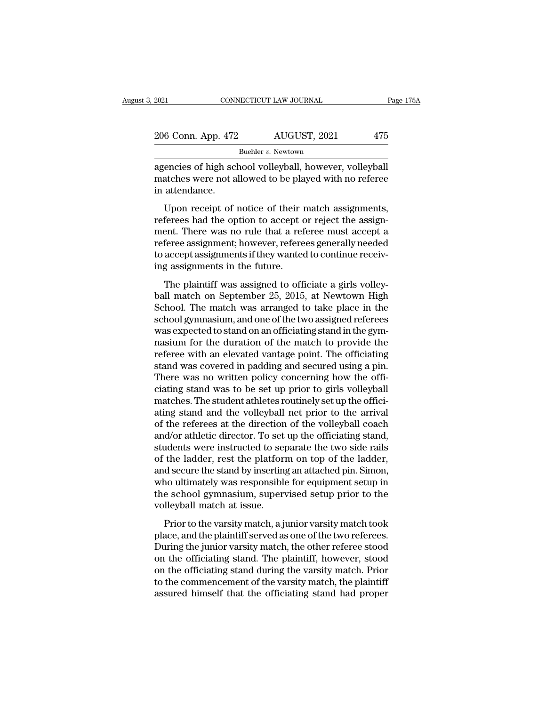| 2021<br>CONNECTICUT LAW JOURNAL |  | Page 175A          |     |  |
|---------------------------------|--|--------------------|-----|--|
|                                 |  |                    |     |  |
| 206 Conn. App. 472              |  | AUGUST, 2021       | 475 |  |
|                                 |  | Buehler v. Newtown |     |  |

EXECUTE 2021 CONNECTICUT LAW JOURNAL Page 17:<br>
206 Conn. App. 472 AUGUST, 2021 475<br>
Buehler v. Newtown<br>
agencies of high school volleyball, however, volleyball<br>
matches were not allowed to be played with no referee<br>
in att 206 Conn. App. 472 AUGUST, 2021 475<br>Buehler v. Newtown<br>agencies of high school volleyball, however, volleyball<br>matches were not allowed to be played with no referee<br>in attendance. 206 Conn. App. 472<br>agencies of high scl<br>matches were not a<br>in attendance.<br>Upon receipt of  $\frac{6 \text{ Conn. App. } 472}{\text{Buehler } v. \text{ Newton}}$ <br>
Euchler v. Newtown<br>
encies of high school volleyball, however, volleyball<br>
atches were not allowed to be played with no referee<br>
attendance.<br>
Upon receipt of notice of their match assig

 $\begin{array}{l} \text{Buehler }v. \text{ Newton} \end{array}$  agencies of high school volleyball, however, volleyball<br>matches were not allowed to be played with no referee<br>in attendance.<br>Upon receipt of notice of their match assignments,<br>referees had th agencies of high school volleyball, however, volleyball<br>matches were not allowed to be played with no referee<br>in attendance.<br>Upon receipt of notice of their match assignments,<br>referees had the option to accept or reject th referees of high school voltyban, however, voltyban<br>matches were not allowed to be played with no referee<br>in attendance.<br>Upon receipt of notice of their match assignments,<br>referees had the option to accept or reject the as that a step and the other want to be played what to ferrice<br>in attendance.<br>Upon receipt of notice of their match assignments,<br>referees had the option to accept or reject the assign-<br>ment. There was no rule that a referee m If alternate.<br>Upon receipt of notice of their if<br>referees had the option to accept of<br>ment. There was no rule that a ref<br>referee assignment; however, refere<br>to accept assignments if they wanted<br>ing assignments in the futur Express had the option to accept or reject the assignments,<br>ferees had the option to accept or reject the assign-<br>ent. There was no rule that a referee must accept a<br>feree assignments if they wanted to continue receiv-<br>g a ball match on Sphotn to accept of reject are assignment. There was no rule that a referee must accept a<br>referee assignments if they wanted to continue receiving assignments in the future.<br>The plaintiff was assigned to offi

Fractical Hierarch Was To Tale and a Telefore mast accept a<br>referee assignments if they wanted to continue receiv-<br>ing assignments in the future.<br>The plaintiff was assigned to officiate a girls volley-<br>ball match on Septem Freeree assignments if they wanted to continue receiving assignments if they wanted to continue receiving assignments in the future.<br>The plaintiff was assigned to officiate a girls volley-<br>ball match on September 25, 2015, ing assignments in the future.<br>
The plaintiff was assigned to officiate a girls volley-<br>
ball match on September 25, 2015, at Newtown High<br>
School. The match was arranged to take place in the<br>
school gymnasium, and one of In the duration of the durational conditional match on September 25, 2015, at Newtown High School. The match was arranged to take place in the school gymnasium, and one of the two assigned referees was expected to stand on The plaintiff was assigned to officiate a girls volley-<br>ball match on September 25, 2015, at Newtown High<br>School. The match was arranged to take place in the<br>school gymnasium, and one of the two assigned referees<br>was expec ball match on September 25, 2015, at Newtown High<br>School. The match was arranged to take place in the<br>school gymnasium, and one of the two assigned referees<br>was expected to stand on an officiating stand in the gym-<br>nasium School. The match was arranged to take place in the school gymnasium, and one of the two assigned referees was expected to stand on an officiating stand in the gymnasium for the duration of the match to provide the referee school gymnasium, and one of the two assigned referees<br>was expected to stand on an officiating stand in the gym-<br>nasium for the duration of the match to provide the<br>referee with an elevated vantage point. The officiating<br>s was expected to stand on an officiating stand in the gymnasium for the duration of the match to provide the referee with an elevated vantage point. The officiating stand was covered in padding and secured using a pin. Ther nasium for the duration of the match to provide the<br>referee with an elevated vantage point. The officiating<br>stand was covered in padding and secured using a pin.<br>There was no written policy concerning how the offi-<br>ciating referee with an elevated vantage point. The officiating<br>stand was covered in padding and secured using a pin.<br>There was no written policy concerning how the offi-<br>ciating stand was to be set up prior to girls volleyball<br>ma stand was covered in padding and secured using a pin.<br>There was no written policy concerning how the officiating stand was to be set up prior to girls volleyball<br>matches. The student athletes routinely set up the officiati There was no written policy concerning how the officiating stand was to be set up prior to girls volleyball matches. The student athletes routinely set up the officiating stand and the volleyball net prior to the arrival o ciating stand was to be set up prior to girls volleyball<br>matches. The student athletes routinely set up the offici-<br>ating stand and the volleyball net prior to the arrival<br>of the referees at the direction of the volleyball matches. The student athletes routinely set up the officiating stand and the volleyball net prior to the arrival<br>of the referees at the direction of the volleyball coach<br>and/or athletic director. To set up the officiating ating stand and the volleyball net prior to the arrival<br>of the referees at the direction of the volleyball coach<br>and/or athletic director. To set up the officiating stand,<br>students were instructed to separate the two side of the referees at the direction of the volleyball coach<br>and/or athletic director. To set up the officiating stand,<br>students were instructed to separate the two side rails<br>of the ladder, rest the platform on top of the lad and/or athletic director. To set<br>students were instructed to sep<br>of the ladder, rest the platform<br>and secure the stand by inserting<br>who ultimately was responsible<br>the school gymnasium, supery<br>volleyball match at issue.<br>Pri racing were instructed to separate the two side rails<br>the ladder, rest the platform on top of the ladder,<br>d secure the stand by inserting an attached pin. Simon,<br>no ultimately was responsible for equipment setup in<br>e schoo of the fadder, rest the platform of top of the fadder,<br>and secure the stand by inserting an attached pin. Simon,<br>who ultimately was responsible for equipment setup in<br>the school gymnasium, supervised setup prior to the<br>vol

and secare are stand by inserting an addected pin. Shiron,<br>who ultimately was responsible for equipment setup in<br>the school gymnasium, supervised setup prior to the<br>volleyball match at issue.<br>Prior to the varsity match, a on the school gymnasium, supervised setup prior to the volleyball match at issue.<br>
Prior to the varsity match, a junior varsity match took<br>
place, and the plaintiff served as one of the two referees.<br>
During the junior var on the school gymnasian, supervised setap prior to the volleyball match at issue.<br>
Prior to the varsity match, a junior varsity match took<br>
place, and the plaintiff served as one of the two referees.<br>
During the junior var Frior to the varsity match, a junior varsity match took<br>place, and the plaintiff served as one of the two referees.<br>During the junior varsity match, the other referee stood<br>on the officiating stand. The plaintiff, however, Prior to the varsity match, a junior varsity match took place, and the plaintiff served as one of the two referees.<br>During the junior varsity match, the other referee stood on the officiating stand. The plaintiff, however,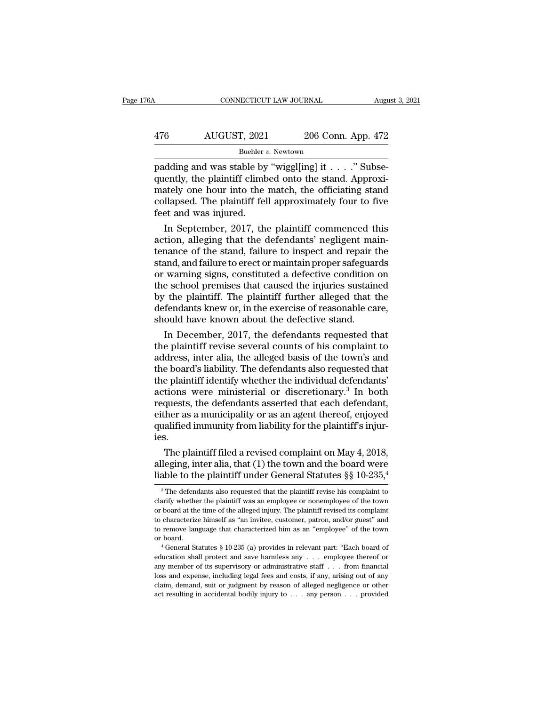# CONNECTICUT LAW JOURNAL August 3, 2021<br>476 AUGUST, 2021 206 Conn. App. 472<br>Buehler v. Newtown

Buehler *v.* Newtown

CONNECTICUT LAW JOURNAL Augu<br>
476 AUGUST, 2021 206 Conn. App. 472<br>
Buehler v. Newtown<br>
padding and was stable by "wiggl[ing] it . . . . " Subse-<br>
quently, the plaintiff climbed onto the stand. Approxi-476 AUGUST, 2021 206 Conn. App. 472<br>
Buehler v. Newtown<br>
padding and was stable by "wiggl[ing] it . . . ." Subse-<br>
quently, the plaintiff climbed onto the stand. Approxi-<br>
mately one hour into the match, the officiating st 476 AUGUST, 2021 206 Conn. App. 472<br>
Buehler v. Newtown<br>
padding and was stable by "wiggl[ing] it . . . . " Subsequently, the plaintiff climbed onto the stand. Approximately one hour into the match, the officiating stand AUGUST, 2021 206 Conn. App. 472<br>
Buehler v. Newtown<br>
padding and was stable by "wiggl[ing] it . . . . " Subsequently, the plaintiff climbed onto the stand. Approximately one hour into the match, the officiating stand coll Buehler<br>Buehler<br>padding and was stable by<br>quently, the plaintiff climb<br>mately one hour into the<br>collapsed. The plaintiff fel<br>feet and was injured.<br>In September, 2017, the In Subsection and was stable by "wiggl[ing] it  $\ldots$ ." Subsectively, the plaintiff climbed onto the stand. Approximately one hour into the match, the officiating stand Illapsed. The plaintiff fell approximately four to fi padding and was stable by "wiggling] it  $\ldots$  . Subsequently, the plaintiff climbed onto the stand. Approximately one hour into the match, the officiating stand collapsed. The plaintiff fell approximately four to five fee

quently, the plaintiff climbed onto the stand. Approximately one hour into the match, the officiating stand<br>collapsed. The plaintiff fell approximately four to five<br>feet and was injured.<br>In September, 2017, the plaintiff c mately one nour into the match, the officiating stand<br>collapsed. The plaintiff fell approximately four to five<br>feet and was injured.<br>In September, 2017, the plaintiff commenced this<br>action, alleging that the defendants' ne collapsed. The plaintiff fell approximately four to five<br>feet and was injured.<br>In September, 2017, the plaintiff commenced this<br>action, alleging that the defendants' negligent main-<br>tenance of the stand, failure to inspect teet and was injured.<br>
In September, 2017, the plaintiff commenced this<br>
action, alleging that the defendants' negligent main-<br>
tenance of the stand, failure to inspect and repair the<br>
stand, and failure to erect or mainta In September, 2017, the plaintiff commenced this<br>action, alleging that the defendants' negligent main-<br>tenance of the stand, failure to inspect and repair the<br>stand, and failure to erect or maintain proper safeguards<br>or wa action, alleging that the defendants' negligent main-<br>tenance of the stand, failure to inspect and repair the<br>stand, and failure to erect or maintain proper safeguards<br>or warning signs, constituted a defective condition on tenance of the stand, failure to inspect and repair t<br>stand, and failure to erect or maintain proper safeguar<br>or warning signs, constituted a defective condition<br>the school premises that caused the injuries sustain<br>by the and, and failure to erect or maintain proper safeguards<br>warning signs, constituted a defective condition on<br>e school premises that caused the injuries sustained<br>the plaintiff. The plaintiff further alleged that the<br>fendant or warning signs, constituted a defective condition on<br>the school premises that caused the injuries sustained<br>by the plaintiff. The plaintiff further alleged that the<br>defendants knew or, in the exercise of reasonable care,

the school premises that caused the injuries sustained<br>by the plaintiff. The plaintiff further alleged that the<br>defendants knew or, in the exercise of reasonable care,<br>should have known about the defective stand.<br>In Decemb by the plaintiff. The plaintiff further alleged that the<br>defendants knew or, in the exercise of reasonable care,<br>should have known about the defective stand.<br>In December, 2017, the defendants requested that<br>the plaintiff r defendants knew or, in the exercise of reasonable care,<br>should have known about the defective stand.<br>In December, 2017, the defendants requested that<br>the plaintiff revise several counts of his complaint to<br>address, inter a should have known about the defective stand.<br>
In December, 2017, the defendants requested that<br>
the plaintiff revise several counts of his complaint to<br>
address, inter alia, the alleged basis of the town's and<br>
the board's In December, 2017, the defendants requested that<br>the plaintiff revise several counts of his complaint to<br>address, inter alia, the alleged basis of the town's and<br>the board's liability. The defendants also requested that<br>th the plaintiff revise several counts of his complaint to<br>address, inter alia, the alleged basis of the town's and<br>the board's liability. The defendants also requested that<br>the plaintiff identify whether the individual defen address, inter alia, the alleged basis of the town's and<br>the board's liability. The defendants also requested that<br>the plaintiff identify whether the individual defendants'<br>actions were ministerial or discretionary.<sup>3</sup> In ies. e plaintiff identify whether the individual defendants<br>tions were ministerial or discretionary.<sup>3</sup> In both<br>quests, the defendants asserted that each defendant,<br>her as a municipality or as an agent thereof, enjoyed<br>alified actions were ministerial or discretionary.<sup>5</sup> In both<br>requests, the defendants asserted that each defendant,<br>either as a municipality or as an agent thereof, enjoyed<br>qualified immunity from liability for the plaintiff's i requests, the defendants asserted that each defendant,<br>either as a municipality or as an agent thereof, enjoyed<br>qualified immunity from liability for the plaintiff's injur-<br>ies.<br>The plaintiff filed a revised complaint on

5.<br>The plaintiff filed a revised complaint on May 4, 2018,<br>leging, inter alia, that (1) the town and the board were<br>able to the plaintiff under General Statutes §§ 10-235,<sup>4</sup><br><sup>3</sup>The defendants also requested that the plai The plaintiff filed a revised complaint on May 4, 2018, alleging, inter alia, that (1) the town and the board were liable to the plaintiff under General Statutes  $\S\S 10{\text -}235, \frac{4}{3}$ <br><sup>3</sup> The defendants also requested th

alleging, inter alia, that (1) the town and the board were<br>liable to the plaintiff under General Statutes  $\S\S 10-235$ ,<br><sup>3</sup>The defendants also requested that the plaintiff revise his complaint to<br>clarify whether the plaint liable to the plaintiff under General Statutes  $\S \$  10-235,<sup>4</sup><br><sup>3</sup> The defendants also requested that the plaintiff revise his complaint to clarify whether the plaintiff was an employee or nonemployee of the town or board Tradition of the plantificant different increases that the plaintiff revise his complaint to clarify whether the plaintiff was an employee or nonemployee of the town or board at the time of the alleged injury. The plainti <sup>3</sup> The defendants also requested that the plaintiff revise his complaint to clarify whether the plaintiff was an employee or nonemployee of the town or board at the time of the alleged injury. The plaintiff revised its c % or board at the time of the alleged injury. The plaintiff revised its complaint to characterize himself as "an invitee, customer, patron, and/or guest" and to remove language that characterized him as an "employee" of t

to characterize himself as "an invitee, customer, patron, and/or guest" and<br>to remove language that characterized him as an "employee" of the town<br>or board.<br> $4$  General Statutes § 10-235 (a) provides in relevant part: "Ea to remove language that characterized him as an "employee" of the town or board.<br>
"General Statutes § 10-235 (a) provides in relevant part: "Each board of education shall protect and save harmless any  $\ldots$  employee there or board.<br>
or board.<br>
<sup>4</sup> General Statutes § 10-235 (a) provides in relevant part: "Each board of<br>
education shall protect and save harmless any . . . employee thereof or<br>
any member of its supervisory or administrative st <sup>4</sup> General Statutes § 10-235 (a) provides in relevant part: "Each board of education shall protect and save harmless any . . . employee thereof or any member of its supervisory or administrative staff . . . from financia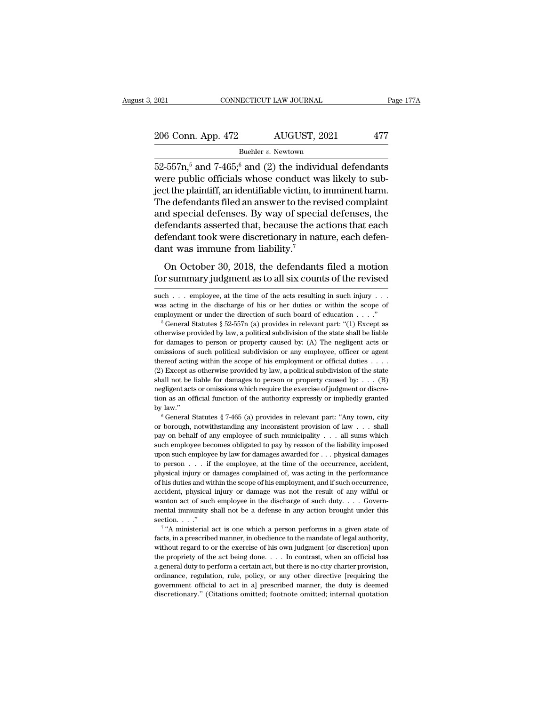# 2021 CONNECTICUT LAW JOURNAL Page 177A<br>
206 Conn. App. 472 AUGUST, 2021 477<br>
Buehler v. Newtown

Buehler *v.*Newtown

52-557n,<sup>5</sup> and 7-465;<sup>6</sup> and (2) the individual defendants<br>
the position of the individual defendants<br>
152-557n,<sup>5</sup> and 7-465;<sup>6</sup> and (2) the individual defendants<br>
the public officials whose conduct was likely to sub-206 Conn. App. 472 AUGUST, 2021 477<br>Buehler v. Newtown<br>52-557n,<sup>5</sup> and 7-465;<sup>6</sup> and (2) the individual defendants<br>were public officials whose conduct was likely to sub-<br>ject the plaintiff, an identifiable victim, to immi 206 Conn. App. 472 AUGUST, 2021 477<br>Buehler v. Newtown<br>52-557n,<sup>5</sup> and 7-465,<sup>6</sup> and (2) the individual defendants<br>were public officials whose conduct was likely to sub-<br>ject the plaintiff, an identifiable victim, to immi 206 Conn. App. 472 AUGUST, 2021 477<br>Buehler v. Newtown<br>52-557n,<sup>5</sup> and 7-465;<sup>6</sup> and (2) the individual defendants<br>were public officials whose conduct was likely to sub-<br>ject the plaintiff, an identifiable victim, to immi Buehler v. Newtown<br>  $52-557n, ^5$  and  $7-465, ^6$  and (2) the individual defendants<br>
were public officials whose conduct was likely to sub-<br>
ject the plaintiff, an identifiable victim, to imminent harm.<br>
The defendants file Buenter v. Newtown<br>52-557n,<sup>5</sup> and 7-465,<sup>6</sup> and (2) the individual defendants<br>were public officials whose conduct was likely to sub-<br>ject the plaintiff, an identifiable victim, to imminent harm.<br>The defendants filed an a 52-557 $n$ ,<sup>5</sup> and 7-465;<sup>6</sup> and (2) the individual defendants<br>were public officials whose conduct was likely to sub-<br>ject the plaintiff, an identifiable victim, to imminent harm.<br>The defendants filed an answer to the revi were public officials whose conduct waject the plaintiff, an identifiable victim, to The defendants filed an answer to the reand special defenses. By way of special defendants asserted that, because the adefendant took we Example and products filed an answer to the revised complaint<br>d special defenses. By way of special defenses, the<br>fendant sasserted that, because the actions that each<br>fendant took were discretionary in nature, each defenand special defenses. By way of special defenses, the<br>defendants asserted that, because the actions that each<br>defendant took were discretionary in nature, each defen-<br>dant was immune from liability.<sup>7</sup><br>On October 30, 2018

dant was immune from liability.<sup>7</sup><br>On October 30, 2018, the defendants filed a motion<br>for summary judgment as to all six counts of the revised<br>such . . . employee, at the time of the acts resulting in such injury . . .<br>wa

pay on behalf of any employee of such municipality . . . . all sums which must such municipality and by law."<br>  $\degree$  General Statutes  $\degree$  7-465 (a) provides in relevant part: "Any town, city  $\degree$  General Statutes  $\degree$  7-4 such employee becomes obligated to pay by reason of the liability imposed by law."<br>  $\degree$  General Statutes  $\frac{8}{7}\div 465$  (a) provides in relevant part: "Any town, city<br>
or borough, notwithstanding any inconsistent provisi by law."<br>  $\bullet$  General Statutes § 7-465 (a) provides in relevant part: "Any town, city<br>
or borough, notwithstanding any inconsistent provision of law . . . shall<br>
pay on behalf of any employee of such municipality . . . a  $\circ$ , complement and the set of the employee in relevant part: "Any town, city<br>or borough, notwithstanding any inconsistent provision of law . . . shall<br>pay on behalf of any employee of such municipality . . . all sums wh physical injury or damages complained of, was acting in the performance of law  $\ldots$  shall pay on behalf of any employee of such municipality  $\ldots$  all sums which such employee becomes obligated to pay by reason of the li of the his duties and within the scope of such municipality . . . . all sums which such employee becomes obligated to pay by reason of the liability imposed upon such employee by law for damages awarded for . . . physical accident, physical injury or damages are accident, physical damages to person . . . if the employee by law for damages awarded for . . . physical damages to person . . . if the employee, at the time of the occurrence, acc such employee by law for damages awarded for ... physical damages<br>to person ... if the employee, at the time of the occurrence, accident,<br>physical injury or damages complained of, was acting in the performance<br>of his duti to person . . . if the employee, at the time of the occurrence, accident, physical injury or damages complained of, was acting in the performance of his duties and within the scope of his employment, and if such occurrence by physical injury or<br>physical injury or<br>of his duties and wi<br>accident, physical<br>wanton act of suc<br>mental immunity section. . . ."<br> $\frac{7}{4}$ "A ministerial is duties and within the scope of his employment, and if such occurrence, ident, physical injury or damage was not the result of any wilful or ton act of such employee in the discharge of such duty. . . . Governtal inmuni accident, physical injury or damage was not the result of any wilful or wanton act of such employee in the discharge of such duty. . . . Governmental immunity shall not be a defense in any action brought under this sectio

wanton act of such employee in the discharge of such duty.... Governmental immunity shall not be a defense in any action brought under this section...."<br>"<sup>4</sup> A ministerial act is one which a person performs in a given sta mental immunity shall not be a defense in any action brought under this section. . . ."<br> $\tau$  "A ministerial act is one which a person performs in a given state of facts, in a prescribed manner, in obedience to the mandate facts, in a prescribed manner, in obedience to the mandate of legal authority, without regard to or the exercise of his own judgment [or discretion] upon the propriety of the act being done. . . . In contrast, when an off <sup>7</sup> "A ministerial act is one which a person performs in a given state of facts, in a prescribed manner, in obedience to the mandate of legal authority, without regard to or the exercise of his own judgment [or discretion facts, in a prescribed manner, in obedience to the mandate of legal authority, without regard to or the exercise of his own judgment [or discretion] upon the propriety of the act being done. . . . In contrast, when an offi without regard to or the exercise of his own judgment [or discretion] upon<br>the propriety of the act being done. . . . In contrast, when an official has<br>a general duty to perform a certain act, but there is no city charter

On October 30, 2018, the defendants filed a motion<br>for summary judgment as to all six counts of the revised<br>such . . . employee, at the time of the acts resulting in such injury . . .<br>was acting in the discharge of his or On October 30, 2018, the defendants filed a motion<br>for summary judgment as to all six counts of the revised<br>such . . . employee, at the time of the acts resulting in such injury . . .<br>was acting in the discharge of his or

such . . . employee, at the time of the acts resulting in such injury . . . was acting in the discharge of his or her duties or within the scope of employment or under the direction of such board of education . . . . . . such . . . employee, at the time of the acts resulting in such injury . . . was acting in the discharge of his or her duties or within the scope of employment or under the direction of such board of education . . . ."<br><sup>5</sup> such that the discharge of his or her duties or within the scope of employment or under the direction of such board of education . . . ."<br>
<sup>5</sup> General Statutes § 52-557n (a) provides in relevant part: "(1) Except as other thereof acting within the scope of his employment or official duties . . . . <sup>6</sup> General Statutes § 52-557n (a) provides in relevant part: "(1) Except as otherwise provided by law, a political subdivision of the state shall be liable for damages to person or property caused by: (A) The negligent a otherwise provided by law, a political subdivision of the state shall be liable for damages to person or property caused by: (A) The negligent acts or omissions of such political subdivision or any employee, officer or ag otherwise provided by law, a political subdivision of the state shall be liable<br>for damages to person or property caused by: (A) The negligent acts or<br>omissions of such political subdivision or any employee, officer or ag the missions of such political subdivision or any employee, officer or agent<br>thereof acting within the scope of his employment or official duties . . . .<br>(2) Except as otherwise provided by law, a political subdivision of by law.'' <sup>6</sup> General Statutes § 7-465 (a) provides in relevant part: ''Any town, city shall not be liable for damages to person or property caused by: . . . (B) negligent acts or omissions which require the exercise of judgment or discretion as an official function of the authority expressly or impliedly g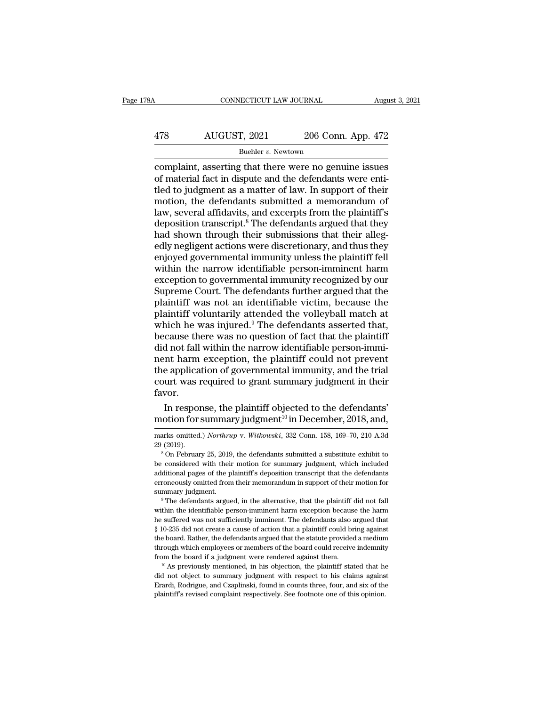# CONNECTICUT LAW JOURNAL August 3, 2021<br>478 AUGUST, 2021 206 Conn. App. 472<br>Buehler v. Newtown

### Buehler *v*. Newtown

CONNECTICUT LAW JOURNAL August 3, 2021<br>
AUGUST, 2021 206 Conn. App. 472<br>
Buehler v. Newtown<br>
Complaint, asserting that there were no genuine issues<br>
of material fact in dispute and the defendants were enti-<br>
tled to judgme  $\frac{478}{2000}$  AUGUST, 2021 206 Conn. App. 472<br>Buehler v. Newtown<br>complaint, asserting that there were no genuine issues<br>of material fact in dispute and the defendants were enti-<br>tled to judgment as a matter of law. In su  $\begin{array}{r} \text{478}\qquad \text{AUGUST, 2021}\qquad \text{206 Conn. App. 472}\ \text{Buehler }v.\text{ Newton}\ \text{complaint, asserting that there were no genuine issues}\ \text{of material fact in dispute and the defendants were entitled to judgment as a matter of law. In support of their motion, the defendants submitted a memorandum of law, several affidavits and excents from the plaintiff's.} \end{array}$ AUGUST, 2021 206 Conn. App. 472<br>Buehler v. Newtown<br>complaint, asserting that there were no genuine issues<br>of material fact in dispute and the defendants were enti-<br>tled to judgment as a matter of law. In support of their<br> Buehler v. Newtown<br>
Complaint, asserting that there were no genuine issues<br>
of material fact in dispute and the defendants were enti-<br>
tled to judgment as a matter of law. In support of their<br>
motion, the defendants submi Buehler v. Newtown<br>
complaint, asserting that there were no genuine issues<br>
of material fact in dispute and the defendants were enti-<br>
tled to judgment as a matter of law. In support of their<br>
motion, the defendants submi complaint, asserting that there were no genuine issues<br>of material fact in dispute and the defendants were enti-<br>tled to judgment as a matter of law. In support of their<br>motion, the defendants submitted a memorandum of<br>law of material fact in dispute and the defendants were enti-<br>tled to judgment as a matter of law. In support of their<br>motion, the defendants submitted a memorandum of<br>law, several affidavits, and excerpts from the plaintiff's tled to judgment as a matter of law. In support of their<br>motion, the defendants submitted a memorandum of<br>law, several affidavits, and excerpts from the plaintiff's<br>deposition transcript.<sup>8</sup> The defendants argued that they motion, the defendants submitted a memorandum of<br>law, several affidavits, and excerpts from the plaintiff's<br>deposition transcript.<sup>8</sup> The defendants argued that they<br>had shown through their submissions that their alleg-<br>ed law, several affidavits, and excerpts from the plaintiff's<br>deposition transcript.<sup>8</sup> The defendants argued that they<br>had shown through their submissions that their alleg-<br>edly negligent actions were discretionary, and thus deposition transcript.<sup>8</sup> The defendants argued that they<br>had shown through their submissions that their alleg-<br>edly negligent actions were discretionary, and thus they<br>enjoyed governmental immunity unless the plaintiff fe had shown through their submissions that their allegedly negligent actions were discretionary, and thus they<br>enjoyed governmental immunity unless the plaintiff fell<br>within the narrow identifiable person-imminent harm<br>excep edly negligent actions were discretionary, and thus they<br>enjoyed governmental immunity unless the plaintiff fell<br>within the narrow identifiable person-imminent harm<br>exception to governmental immunity recognized by our<br>Supr enjoyed governmental immunity unless the plaintiff fell<br>within the narrow identifiable person-imminent harm<br>exception to governmental immunity recognized by our<br>Supreme Court. The defendants further argued that the<br>plainti within the narrow identifiable person-imminent harm<br>exception to governmental immunity recognized by our<br>Supreme Court. The defendants further argued that the<br>plaintiff was not an identifiable victim, because the<br>plaintiff exception to governmental immunity recognized by our<br>Supreme Court. The defendants further argued that the<br>plaintiff was not an identifiable victim, because the<br>plaintiff voluntarily attended the volleyball match at<br>which Supreme Court. The defendants further argued that the plaintiff was not an identifiable victim, because the plaintiff voluntarily attended the volleyball match at which he was injured.<sup>9</sup> The defendants asserted that, beca plaintiff was not an identifiable victim, because the plaintiff voluntarily attended the volleyball match at which he was injured.<sup>9</sup> The defendants asserted that, because there was no question of fact that the plaintiff d plaintiff voluntarily attended the volleyball match at<br>which he was injured.<sup>9</sup> The defendants asserted that,<br>because there was no question of fact that the plaintiff<br>did not fall within the narrow identifiable person-immi favor. cause there was no question of fact that the plaintiff<br>d not fall within the narrow identifiable person-immi-<br>nt harm exception, the plaintiff could not prevent<br>e application of governmental immunity, and the trial<br>urt was did not fall within the narrow identifiable person-imminum harm exception, the plaintiff could not prevent<br>the application of governmental immunity, and the trial<br>court was required to grant summary judgment in their<br>favor

Favor.<br>
In response, the plaintiff objected to the defendants'<br>
motion for summary judgment<sup>10</sup> in December, 2018, and,<br>
marks omitted.) *Northrup* v. *Witkowski*, 332 Conn. 158, 169–70, 210 A.3d<br>
29 (2019).

additional pages of the plaintiff's deposition transcript that the defendants<br>erroneously omitted from their memorandum in support of their motion for<br>summary judgment.<br><sup>9</sup> The defendants argued, in the alternative, that t erroneously omitted from their memorandum in support of their motion for summary judgment.<br>
<sup>9</sup> The defendants argued, in the alternative, that the plaintiff did not fall within the identifiable person-inminent harm except summary judgment.<br>
<sup>9</sup> The defendants argued, in the alternative, that the plaintiff did not fall<br>
within the identifiable person-imminent harm exception because the harm<br>
he suffered was not sufficiently imminent. The def The defendants argued, in the alternative, that the plaintiff did not fall within the identifiable person-imminent harm exception because the harm he suffered was not sufficiently imminent. The defendants also argued that within the identifiable person-imminent harm exception because the harm<br>the suffered was not sufficiently imminent. The defendants also argued that<br> $\S$  10-235 did not create a cause of action that a plaintiff could bring  $\S$ 10-235 did not create a cause of action that a plaintiff could bring against the board. Rather, the defendants argued that the statute provided a medium through which employees or members of the board could receive ind through which employees or members of the board could receive indemnity

The board. Rather, the defendants argued that the statute provided a medium through which employees or members of the board could receive indemnity from the board if a judgment were rendered against them.<br>
<sup>10</sup> As previou

<sup>29 (2019).</sup> In response, the plaintiff objected to the defendants' motion for summary judgment<sup>10</sup> in December, 2018, and,  $\frac{1}{2}$  marks omitted.) *Northrup* v. *Witkowski*, 332 Conn. 158, 169–70, 210 A.3d 29 (2019).<br><sup>8</sup> motion for summary judgment<sup>10</sup> in December, 2018, and,<br>marks omitted.) *Northrup* v. *Witkowski*, 332 Conn. 158, 169–70, 210 A.3d<br>29 (2019).<br><sup>8</sup> On February 25, 2019, the defendants submitted a substitute exhibit to<br>be c marks omitted.) *Northrup* v. *Witkowski*, 332 Conn. 158, 169–70, 210 A.3d<br>29 (2019).<br><sup>8</sup> On February 25, 2019, the defendants submitted a substitute exhibit to<br>be considered with their motion for summary judgment, which i marks omitted.) *Northrup* v. *Witkowski*, 332 Conn. 158, 169–70, 210 A.3d 29 (2019).<br><sup>8</sup> On February 25, 2019, the defendants submitted a substitute exhibit to be considered with their motion for summary judgment, which i summary judgment.<br>
9 (2019).<br>
9 (2019).<br>
9 The defendants submitted a substitute exhibit to<br>
be considered with their motion for summary judgment, which included<br>
additional pages of the plaintiff's deposition transcript be considered with their motion for summary judgment, which included additional pages of the plaintiff's deposition transcript that the defendants erroneously omitted from their memorandum in support of their motion for su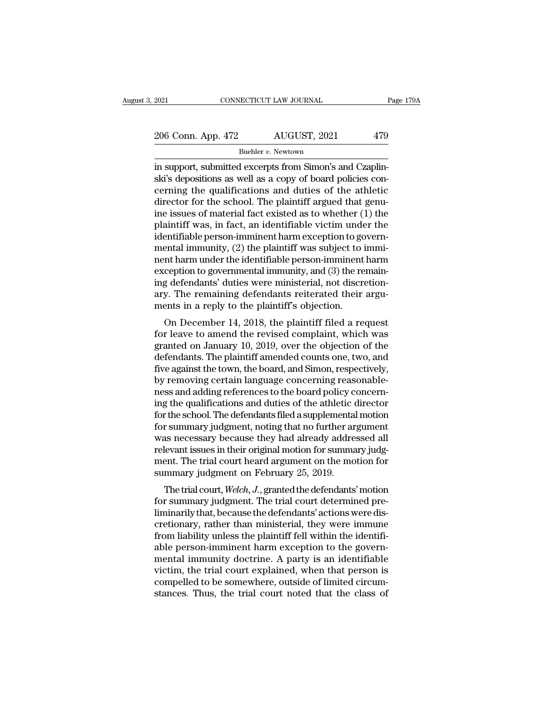2021 CONNECTICUT LAW JOURNAL Page 179A<br>
206 Conn. App. 472 AUGUST, 2021 479<br>
Buehler v. Newtown

Buehler *v.*Newtown

EXECTE 2021 CONNECTICUT LAW JOURNAL<br>
206 Conn. App. 472 AUGUST, 2021 479<br>
<sup>Buehler v.</sup> Newtown<br>
in support, submitted excerpts from Simon's and Czaplin-<br>
ski's depositions as well as a copy of board policies con-206 Conn. App. 472 AUGUST, 2021 479<br>Buehler v. Newtown<br>in support, submitted excerpts from Simon's and Czaplin-<br>ski's depositions as well as a copy of board policies con-<br>cerning the qualifications and duties of the athlet 206 Conn. App. 472 AUGUST, 2021 479<br>
Buehler v. Newtown<br>
in support, submitted excerpts from Simon's and Czaplin-<br>
ski's depositions as well as a copy of board policies concerning the qualifications and duties of the athl 206 Conn. App. 472 AUGUST, 2021 479<br>
Buehler v. Newtown<br>
in support, submitted excerpts from Simon's and Czaplin-<br>
ski's depositions as well as a copy of board policies con-<br>
cerning the qualifications and duties of the a Buehler v. Newtown<br>
in support, submitted excerpts from Simon's and Czaplin-<br>
ski's depositions as well as a copy of board policies con-<br>
cerning the qualifications and duties of the athletic<br>
director for the school. The Buehler v. Newtown<br>
in support, submitted excerpts from Simon's and Czaplin-<br>
ski's depositions as well as a copy of board policies con-<br>
cerning the qualifications and duties of the athletic<br>
director for the school. The in support, submitted excerpts from Simon's and Czaplinski's depositions as well as a copy of board policies concerning the qualifications and duties of the athletic director for the school. The plaintiff argued that genui ski's depositions as well as a copy of board policies concerning the qualifications and duties of the athletic<br>director for the school. The plaintiff argued that genu-<br>ine issues of material fact existed as to whether (1) cerning the qualifications and duties of the athletic<br>director for the school. The plaintiff argued that genu-<br>ine issues of material fact existed as to whether (1) the<br>plaintiff was, in fact, an identifiable victim under director for the school. The plaintiff argued that genu-<br>ine issues of material fact existed as to whether (1) the<br>plaintiff was, in fact, an identifiable victim under the<br>identifiable person-imminent harm exception to gov ine issues of material fact existed as to whether (1) the plaintiff was, in fact, an identifiable victim under the identifiable person-imminent harm exception to governmental immunity, (2) the plaintiff was subject to immi plaintiff was, in fact, an identifiable victim under the<br>identifiable person-imminent harm exception to govern-<br>mental immunity, (2) the plaintiff was subject to immi-<br>nent harm under the identifiable person-imminent harm<br> identifiable person-imminent harm exception to go<br>mental immunity, (2) the plaintiff was subject to inent harm under the identifiable person-imminent<br>exception to governmental immunity, and (3) the re<br>ing defendants' dutie Filiar infinitury,  $(2)$  the plaintiff was subject to finite-<br>int harm under the identifiable person-imminent harm<br>ception to governmental immunity, and (3) the remain-<br>g defendants' duties were ministerial, not discretio from that in under the dentifiable person-infinitent narm<br>exception to governmental immunity, and (3) the remain-<br>ing defendants' duties were ministerial, not discretion-<br>ary. The remaining defendants reiterated their argu

exception to governmental minitumy, and (3) the remain-<br>ing defendants' duties were ministerial, not discretion-<br>ary. The remaining defendants reiterated their argu-<br>ments in a reply to the plaintiff's objection.<br>On Decemb mg defendants dudes were inhisterial, not discretion-<br>ary. The remaining defendants reiterated their argu-<br>ments in a reply to the plaintiff's objection.<br>On December 14, 2018, the plaintiff filed a request<br>for leave to ame five against the plaintiff's objection.<br>
On December 14, 2018, the plaintiff filed a request<br>
for leave to amend the revised complaint, which was<br>
granted on January 10, 2019, over the objection of the<br>
defendants. The pla on December 14, 2018, the plaintiff filed a request<br>for leave to amend the revised complaint, which was<br>granted on January 10, 2019, over the objection of the<br>defendants. The plaintiff amended counts one, two, and<br>five aga On December 14, 2018, the plaintiff filed a request<br>for leave to amend the revised complaint, which was<br>granted on January 10, 2019, over the objection of the<br>defendants. The plaintiff amended counts one, two, and<br>five aga for leave to amend the revised complaint, which was<br>granted on January 10, 2019, over the objection of the<br>defendants. The plaintiff amended counts one, two, and<br>five against the town, the board, and Simon, respectively,<br>b granted on January 10, 2019, over the objection of the<br>defendants. The plaintiff amended counts one, two, and<br>five against the town, the board, and Simon, respectively,<br>by removing certain language concerning reasonable-<br>n defendants. The plaintiff amended counts one, two, and<br>five against the town, the board, and Simon, respectively,<br>by removing certain language concerning reasonable-<br>ness and adding references to the board policy concern-<br> five against the town, the board, and Simon, respectively,<br>by removing certain language concerning reasonable-<br>ness and adding references to the board policy concern-<br>ing the qualifications and duties of the athletic direc by removing certain language concerning reasonable-<br>ness and adding references to the board policy concern-<br>ing the qualifications and duties of the athletic director<br>for the school. The defendants filed a supplemental mot ness and adding references to the board policy concerning the qualifications and duties of the athletic director for the school. The defendants filed a supplemental motion for summary judgment, noting that no further argum ing the qualifications and duties of the athletic of or the school. The defendants filed a supplemental for summary judgment, noting that no further ar was necessary because they had already addre relevant issues in their r summary judgment, noting that no further argument<br>as necessary because they had already addressed all<br>levant issues in their original motion for summary judg-<br>ent. The trial court heard argument on the motion for<br>mmary j for summary judgment, noting that no further argument<br>was necessary because they had already addressed all<br>relevant issues in their original motion for summary judgment.<br>The trial court heard argument on the motion for<br>sum

was necessary because they had already addressed an relevant issues in their original motion for summary judgment. The trial court heard argument on the motion for summary judgment on February 25, 2019.<br>The trial court, We relevant issues in their original motion for summary judgement. The trial court heard argument on the motion for<br>summary judgment on February 25, 2019.<br>The trial court, Welch, J., granted the defendants' motion<br>for summary from line that court heard argument of the motion for<br>summary judgment on February 25, 2019.<br>The trial court, Welch, J., granted the defendants' motion<br>for summary judgment. The trial court determined pre-<br>liminarily that, Following a summary judgment on February 25, 2019.<br>The trial court, Welch, J., granted the defendants' motion<br>for summary judgment. The trial court determined pre-<br>liminarily that, because the defendants' actions were dis The trial court, Welch, J., granted the defendants' motion<br>for summary judgment. The trial court determined pre-<br>liminarily that, because the defendants' actions were dis-<br>cretionary, rather than ministerial, they were imm for summary judgment. The trial court determined pre-<br>liminarily that, because the defendants' actions were dis-<br>cretionary, rather than ministerial, they were immune<br>from liability unless the plaintiff fell within the ide liminarily that, because the defendants' actions were discretionary, rather than ministerial, they were immune<br>from liability unless the plaintiff fell within the identifi-<br>able person-imminent harm exception to the govern cretionary, rather than ministerial, they were immune<br>from liability unless the plaintiff fell within the identifi-<br>able person-imminent harm exception to the govern-<br>mental immunity doctrine. A party is an identifiable<br>vi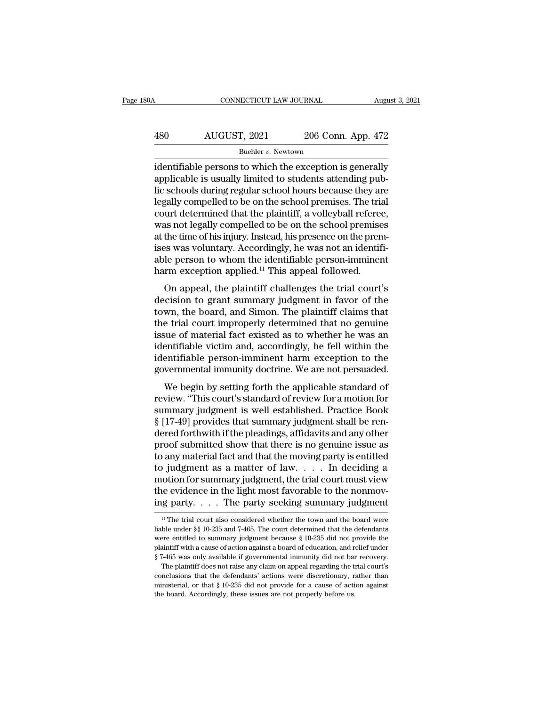# CONNECTICUT LAW JOURNAL August 3, 2021<br>
480 AUGUST, 2021 206 Conn. App. 472<br>
Buehler v. Newtown

Buehler *v*. Newtown

CONNECTICUT LAW JOURNAL August 3, 2021<br>
AUGUST, 2021 206 Conn. App. 472<br>
Buehler v. Newtown<br>
identifiable persons to which the exception is generally<br>
applicable is usually limited to students attending pub-480 AUGUST, 2021 206 Conn. App. 472<br>
<sup>Buehler v. Newtown</sup><br>
identifiable persons to which the exception is generally<br>
applicable is usually limited to students attending pub-<br>
lic schools during regular school hours because  $\begin{array}{r} \text{AUGUST, 2021} \text{206 Conn. App. 472} \ \text{Buehler } v. \text{Newton} \ \text{identifiable persons to which the exception is generally applicable is usually limited to students attending public schools during regular school hours because they are legally compelled to be on the school premises. The trial court determined that the plaintiff a yellowball reference. \end{array}$  $\frac{180}{\text{Buehler } v. \text{ Newton}}$ <br>
Buehler v. Newtown<br>
identifiable persons to which the exception is generally<br>
applicable is usually limited to students attending pub-<br>
lic schools during regular school hours because they are<br>
l Buehler v. Newtown<br>
identifiable persons to which the exception is generally<br>
applicable is usually limited to students attending pub-<br>
lic schools during regular school hours because they are<br>
legally compelled to be on Buehler v. Newtown<br>
identifiable persons to which the exception is generally<br>
applicable is usually limited to students attending pub-<br>
lic schools during regular school hours because they are<br>
legally compelled to be on identifiable persons to which the exception is generally applicable is usually limited to students attending pub-<br>lic schools during regular school hours because they are legally compelled to be on the school premises. The applicable is usually limited to students attending pub-<br>lic schools during regular school hours because they are<br>legally compelled to be on the school premises. The trial<br>court determined that the plaintiff, a volleyball lic schools during regular school hours because they are legally compelled to be on the school premises. The trial court determined that the plaintiff, a volleyball referee, was not legally compelled to be on the school pr legally compelled to be on the school premises. The triacourt determined that the plaintiff, a volleyball referee was not legally compelled to be on the school premise at the time of his injury. Instead, his presence on th on the same of his injury. Instead, his presence on the premises<br>the time of his injury. Instead, his presence on the premises<br>was voluntary. Accordingly, he was not an identifi-<br>le person to whom the identifiable person-i was not legary compened to be on the school premises<br>at the time of his injury. Instead, his presence on the premises<br>was voluntary. Accordingly, he was not an identifi-<br>able person to whom the identifiable person-imminent

at the time of his hijdry. Instead, his presence of the premises was voluntary. Accordingly, he was not an identifiable person to whom the identifiable person-imminent harm exception applied.<sup>11</sup> This appeal followed.<br>On a the trial court in the identifiable person-imminent<br>able person to whom the identifiable person-imminent<br>harm exception applied.<sup>11</sup> This appeal followed.<br>On appeal, the plaintiff challenges the trial court's<br>decision to g able person to whold the identifiable person-infinitent<br>harm exception applied.<sup>11</sup> This appeal followed.<br>On appeal, the plaintiff challenges the trial court's<br>decision to grant summary judgment in favor of the<br>town, the b identifiable person-imminent harm exception of the decision to grant summary judgment in favor of the town, the board, and Simon. The plaintiff claims that the trial court improperly determined that no genuine issue of mat On appeal, the plaintiff challenges the trial court's<br>decision to grant summary judgment in favor of the<br>town, the board, and Simon. The plaintiff claims that<br>the trial court improperly determined that no genuine<br>issue of decision to grant summary judgment in favor of the<br>town, the board, and Simon. The plaintiff claims that<br>the trial court improperly determined that no genuine<br>issue of material fact existed as to whether he was an<br>identifi WH, the board, and smion. The plantific transit state<br>e trial court improperly determined that no genuine<br>sue of material fact existed as to whether he was an<br>entifiable victim and, accordingly, he fell within the<br>entifiab review of material fact existed as to whether he was an identifiable victim and, accordingly, he fell within the identifiable person-imminent harm exception to the governmental immunity doctrine. We are not persuaded.<br>We b

issue of material ract existed as to whether he was an<br>identifiable victim and, accordingly, he fell within the<br>identifiable person-imminent harm exception to the<br>governmental immunity doctrine. We are not persuaded.<br>We be Mentifiable person-imminent harm exception to the<br>governmental immunity doctrine. We are not persuaded.<br>We begin by setting forth the applicable standard of<br>review. "This court's standard of review for a motion for<br>summary derimable person-infinitent name exception to the<br>governmental immunity doctrine. We are not persuaded.<br>We begin by setting forth the applicable standard of<br>review. "This court's standard of review for a motion for<br>summary We begin by setting forth the applicable standard of<br>review. "This court's standard of review for a motion for<br>summary judgment is well established. Practice Book<br>§ [17-49] provides that summary judgment shall be ren-<br>dere We begin by setting forth the applicable standard of<br>review. "This court's standard of review for a motion for<br>summary judgment is well established. Practice Book<br>§ [17-49] provides that summary judgment shall be ren-<br>der review. "This court's standard of review for a motion for<br>summary judgment is well established. Practice Book<br>§ [17-49] provides that summary judgment shall be ren-<br>dered forthwith if the pleadings, affidavits and any othe summary judgment is well established. Practice Book<br>§ [17-49] provides that summary judgment shall be ren-<br>dered forthwith if the pleadings, affidavits and any other<br>proof submitted show that there is no genuine issue as<br>t  $\S~[17-49]$  provides that summary judgment shall be rendered forthwith if the pleadings, affidavits and any other proof submitted show that there is no genuine issue as to any material fact and that the moving party is en dered forthwith if the pleadings, affidavits and any other<br>proof submitted show that there is no genuine issue as<br>to any material fact and that the moving party is entitled<br>to judgment as a matter of law.... In deciding a to judgment as a matter of law. . . . . In deciding a motion for summary judgment, the trial court must view the evidence in the light most favorable to the nonmoving party. . . . The party seeking summary judgment  $\frac{1}{$ motion for summary judgment, the trial court must view<br>the evidence in the light most favorable to the nonmov-<br>ing party. . . . The party seeking summary judgment<br> $\frac{11}{11}$  The trial court also considered whether the to

the evidence in the light most favorable to the nonmoving party. . . . The party seeking summary judgment  $\frac{11}{10}$  The trial court also considered whether the town and the board were liable under §§ 10-235 and 7-465. T ing party. . . . The party seeking summary judgment<br>
<sup>11</sup> The trial court also considered whether the town and the board were<br>
liable under  $\S$  10-235 and 7-465. The court determined that the defendants<br>
were entitled to <sup>11</sup> The trial court also considered whether the town and the board were<br><sup>11</sup> The trial court also considered whether the town and the board were<br>liable under §§ 10-235 and 7-465. The court determined that the defendants<br> <sup>11</sup> The trial court also considered whether the town and the board were ble under  $\S$  10-235 and 7-465. The court determined that the defendants erre entitled to summary judgment because  $\S$  10-235 did not provide the ai liable under §§ 10-235 and 7-465. The court determined that the defendants<br>were entitled to summary judgment because § 10-235 did not provide the<br>plaintiff with a cause of action against a board of education, and relief u plaintiff with a cause of action against a board of education, and relief under

were entitled to summary judgment because  $\S$  10-235 did not provide the plaintiff with a cause of action against a board of education, and relief under  $\S$  7-465 was only available if governmental immunity did not bar re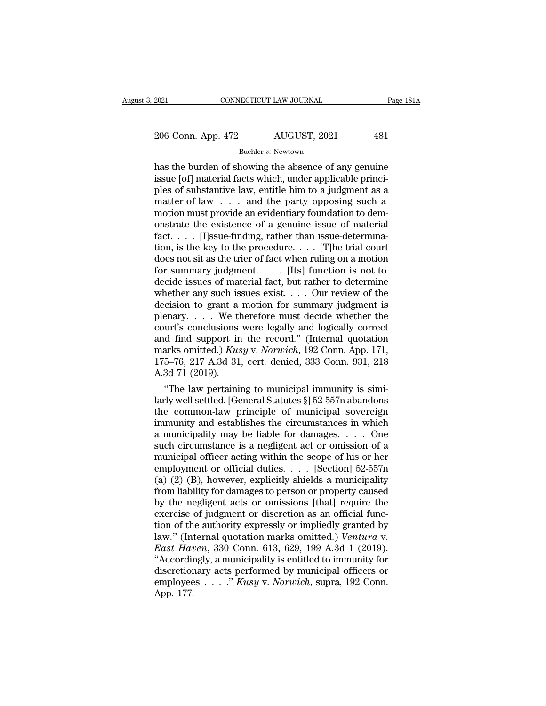Buehler *v.*Newtown

EXERCT 2021 CONNECTICUT LAW JOURNAL Page 181A<br>
206 Conn. App. 472 AUGUST, 2021 481<br>
Buehler v. Newtown<br>
has the burden of showing the absence of any genuine<br>
issue [of] material facts which, under applicable princi-<br>
plos 206 Conn. App. 472 AUGUST, 2021 481<br>
Buehler v. Newtown<br>
has the burden of showing the absence of any genuine<br>
issue [of] material facts which, under applicable princi-<br>
ples of substantive law, entitle him to a judgment a 206 Conn. App. 472 AUGUST, 2021 481<br>
Buehler v. Newtown<br>
has the burden of showing the absence of any genuine<br>
issue [of] material facts which, under applicable princi-<br>
ples of substantive law, entitle him to a judgment 206 Conn. App. 472 AUGUST, 2021 481<br>
Buehler *v*. Newtown<br>
has the burden of showing the absence of any genuine<br>
issue [of] material facts which, under applicable princi-<br>
ples of substantive law, entitle him to a judgmen Buehler v. Newtown<br>Buehler v. Newtown<br>has the burden of showing the absence of any genuine<br>issue [of] material facts which, under applicable princi-<br>ples of substantive law, entitle him to a judgment as a<br>matter of law  $\$ Buehler v. Newtown<br>has the burden of showing the absence of any genuine<br>issue [of] material facts which, under applicable princi-<br>ples of substantive law, entitle him to a judgment as a<br>matter of law  $\dots$  and the party op has the burden of showing the absence of any genuine<br>issue [of] material facts which, under applicable princi-<br>ples of substantive law, entitle him to a judgment as a<br>matter of law  $\ldots$  and the party opposing such a<br>moti issue [of] material facts which, under applicable princi-<br>ples of substantive law, entitle him to a judgment as a<br>matter of law  $\ldots$  and the party opposing such a<br>motion must provide an evidentiary foundation to dem-<br>ons ples of substantive law, entitle him to a judgment as a<br>matter of law  $\dots$  and the party opposing such a<br>motion must provide an evidentiary foundation to dem-<br>onstrate the existence of a genuine issue of material<br>fact  $\dots$ matter of law . . . and the party opposing such a<br>motion must provide an evidentiary foundation to dem-<br>onstrate the existence of a genuine issue of material<br>fact. . . . [I]ssue-finding, rather than issue-determina-<br>tion, motion must provide an evidentiary foundation to demonstrate the existence of a genuine issue of material fact,  $\dots$  [I]ssue-finding, rather than issue-determination, is the key to the procedure.  $\dots$  [T]he trial court do onstrate the existence of a genuine issue of material fact. . . . [I]ssue-finding, rather than issue-determination, is the key to the procedure. . . . [T]he trial court does not sit as the trier of fact when ruling on a m fact. . . . . [I]ssue-finding, rather than issue-determination, is the key to the procedure. . . . [T]he trial court does not sit as the trier of fact when ruling on a motion for summary judgment. . . . [Its] function is tion, is the key to the procedure. . . . . [T]he trial court<br>does not sit as the trier of fact when ruling on a motion<br>for summary judgment. . . . . [Its] function is not to<br>decide issues of material fact, but rather to d does not sit as the trier of fact when ruling on a motion<br>for summary judgment. . . . [Its] function is not to<br>decide issues of material fact, but rather to determine<br>whether any such issues exist. . . . Our review of the for summary judgment. . . . [Its] function is not to<br>decide issues of material fact, but rather to determine<br>whether any such issues exist. . . . Our review of the<br>decision to grant a motion for summary judgment is<br>plenar decide issues of material fact, but rather to determine<br>whether any such issues exist. . . . Our review of the<br>decision to grant a motion for summary judgment is<br>plenary. . . . We therefore must decide whether the<br>court's whether any such issues exist. . . . Our review of the decision to grant a motion for summary judgment is plenary. . . . We therefore must decide whether the court's conclusions were legally and logically correct and find decision to grant a<br>plenary.... We the<br>court's conclusions<br>and find support in<br>marks omitted.) Kus<br>175–76, 217 A.3d 31<br>A.3d 71 (2019).<br>"The law pertaining enary.... we therefore must decide whether the<br>
urt's conclusions were legally and logically correct<br>
d find support in the record." (Internal quotation<br>
arks omitted.) *Kusy v. Norwich*, 192 Conn. App. 171,<br>
5–76, 217 A. court's conclusions were legally and logically correct<br>and find support in the record." (Internal quotation<br>marks omitted.) *Kusy* v. *Norwich*, 192 Conn. App. 171,<br>175–76, 217 A.3d 31, cert. denied, 333 Conn. 931, 218<br>A.

and find support in the record." (Internal quotation<br>marks omitted.) Kusy v. Norwich, 192 Conn. App. 171,<br>175–76, 217 A.3d 31, cert. denied, 333 Conn. 931, 218<br>A.3d 71 (2019).<br>"The law pertaining to municipal immunity is marks omitted.) Kusy v. Norwich, 192 Conn. App. 171, 175–76, 217 A.3d 31, cert. denied, 333 Conn. 931, 218<br>A.3d 71 (2019).<br>
"The law pertaining to municipal immunity is simi-<br>
larly well settled. [General Statutes §] 52-5 175–76, 217 A.3d 31, cert. denied, 333 Conn. 931, 218<br>A.3d 71 (2019).<br>"The law pertaining to municipal immunity is simi-<br>larly well settled. [General Statutes §] 52-557n abandons<br>the common-law principle of municipal sove A.3d 71 (2019).<br>
"The law pertaining to municipal immunity is similarly well settled. [General Statutes §] 52-557n abandons<br>
the common-law principle of municipal sovereign<br>
immunity and establishes the circumstances in w "The law pertaining to municipal immunity is simi-<br>larly well settled. [General Statutes §] 52-557n abandons<br>the common-law principle of municipal sovereign<br>immunity and establishes the circumstances in which<br>a municipali larly well settled. [General Statutes §] 52-557n abandons<br>the common-law principle of municipal sovereign<br>immunity and establishes the circumstances in which<br>a municipality may be liable for damages. . . . One<br>such circums the common-law principle of municipal sovereign<br>immunity and establishes the circumstances in which<br>a municipality may be liable for damages. . . . One<br>such circumstance is a negligent act or omission of a<br>municipal offic immunity and establishes the circumstances in which<br>a municipality may be liable for damages. . . . One<br>such circumstance is a negligent act or omission of a<br>municipal officer acting within the scope of his or her<br>employm a municipality may be liable for damages. . . . . One<br>such circumstance is a negligent act or omission of a<br>municipal officer acting within the scope of his or her<br>employment or official duties. . . . [Section] 52-557n<br>(a such circumstance is a negligent act or omission of a<br>municipal officer acting within the scope of his or her<br>employment or official duties.... [Section] 52-557n<br>(a) (2) (B), however, explicitly shields a municipality<br>fro municipal officer acting within the scope of his or her<br>employment or official duties. . . . [Section] 52-557n<br>(a) (2) (B), however, explicitly shields a municipality<br>from liability for damages to person or property cause employment or official duties.... [Section] 52-557n<br>(a) (2) (B), however, explicitly shields a municipality<br>from liability for damages to person or property caused<br>by the negligent acts or omissions [that] require the<br>exer (a) (2) (B), however, explicitly shields a municipality<br>from liability for damages to person or property caused<br>by the negligent acts or omissions [that] require the<br>exercise of judgment or discretion as an official funcfrom liability for damages to person or property caused<br>by the negligent acts or omissions [that] require the<br>exercise of judgment or discretion as an official func-<br>tion of the authority expressly or impliedly granted by by the negligent acts or omissions [that] require the exercise of judgment or discretion as an official function of the authority expressly or impliedly granted by law." (Internal quotation marks omitted.) *Ventura v.* Ea exercise of judgment or discretion as an official function of the authority expressly or impliedly granted by law." (Internal quotation marks omitted.) *Ventura v. East Haven*, 330 Conn. 613, 629, 199 A.3d 1 (2019). "Acc tion of th<br>law." (Int<br>*East Hau*<br>"Accordin<br>discretion<br>employee<br>App. 177.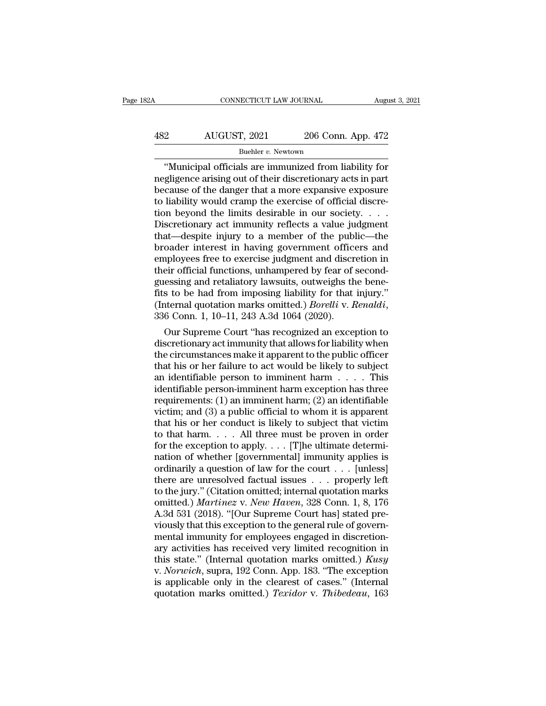### CONNECTICUT LAW JOURNAL August 3, 2021<br>482 AUGUST, 2021 206 Conn. App. 472<br>Buehler v. Newtown Buehler *v*. Newtown

CONNECTICUT LAW JOURNAL August 3, 2021<br>
206 Conn. App. 472<br>
Buehler v. Newtown<br>
"Municipal officials are immunized from liability for<br>
gligence arising out of their discretionary acts in part<br>
cause of the danger that a mo AUGUST, 2021 206 Conn. App. 472<br>
Buehler v. Newtown<br>
"Municipal officials are immunized from liability for<br>
negligence arising out of their discretionary acts in part<br>
because of the danger that a more expansive exposure<br>  $\begin{array}{c|c} \text{AUGUST, 2021} & \text{206 Conn. App. 472} \\ \hline \text{Buehler } v. \text{Newton} \\ \hline \text{``Municipal officials are immunized from liability for  
negligence arising out of their discretionary acts in part  
because of the danger that a more expensive exposure  
to liability would cramp the exercise of official discre-  
tion beyond the limits desirable in our society.} \end{array}$ AUGUST, 2021 206 Conn. App. 472<br>
Buehler v. Newtown<br>
"Municipal officials are immunized from liability for<br>
negligence arising out of their discretionary acts in part<br>
because of the danger that a more expansive exposure<br> Buehler v. Newtown<br>
"Municipal officials are immunized from liability for<br>
megligence arising out of their discretionary acts in part<br>
because of the danger that a more expansive exposure<br>
to liability would cramp the exe Buehler v. Newtown<br>
"Municipal officials are immunized from liability for<br>
negligence arising out of their discretionary acts in part<br>
because of the danger that a more expansive exposure<br>
to liability would cramp the exe "Municipal officials are immunized from liability for<br>negligence arising out of their discretionary acts in part<br>because of the danger that a more expansive exposure<br>to liability would cramp the exercise of official discr negligence arising out of their discretionary acts in part<br>because of the danger that a more expansive exposure<br>to liability would cramp the exercise of official discre-<br>tion beyond the limits desirable in our society. . . because of the danger that a more expansive exposure<br>to liability would cramp the exercise of official discre-<br>tion beyond the limits desirable in our society. . . . .<br>Discretionary act immunity reflects a value judgment<br> to liability would cramp the exercise of official discretion beyond the limits desirable in our society. . . . . Discretionary act immunity reflects a value judgment that—despite injury to a member of the public—the broad tion beyond the limits desirable in our society. . . . Discretionary act immunity reflects a value judgment<br>that—despite injury to a member of the public—the<br>broader interest in having government officers and<br>employees fr Discretionary act immunity reflects a value judgment<br>that—despite injury to a member of the public—the<br>broader interest in having government officers and<br>employees free to exercise judgment and discretion in<br>their official that—despite injury to a member of the public—the<br>broader interest in having government officers and<br>employees free to exercise judgment and discretion in<br>their official functions, unhampered by fear of second-<br>guessing an ployees free to exercise judgment and discretion in<br>eir official functions, unhampered by fear of second-<br>essing and retaliatory lawsuits, outweighs the bene-<br>s to be had from imposing liability for that injury."<br>iternal q their official functions, unhampered by fear of second-<br>guessing and retaliatory lawsuits, outweighs the bene-<br>fits to be had from imposing liability for that injury."<br>(Internal quotation marks omitted.) *Borelli* v. *Rena* 

guessing and retainatory lawsuits, outweigns the bene-<br>fits to be had from imposing liability for that injury."<br>(Internal quotation marks omitted.) *Borelli* v. *Renaldi*,<br>336 Conn. 1, 10–11, 243 A.3d 1064 (2020).<br>Our Supr fits to be had from imposing liability for that injury."<br>(Internal quotation marks omitted.) *Borelli* v. *Renaldi*,<br>336 Conn. 1, 10–11, 243 A.3d 1064 (2020).<br>Our Supreme Court "has recognized an exception to<br>discretionar (Internal quotation marks omitted.) *Borelli v. Renalai*,<br>336 Conn. 1, 10–11, 243 A.3d 1064 (2020).<br>Our Supreme Court "has recognized an exception to<br>discretionary act immunity that allows for liability when<br>the circumsta 336 Conn. 1, 10–11, 243 A.3d 1064 (2020).<br>
Our Supreme Court "has recognized an exception to<br>
discretionary act immunity that allows for liability when<br>
the circumstances make it apparent to the public officer<br>
that his o Our Supreme Court "has recognized an exception to<br>discretionary act immunity that allows for liability when<br>the circumstances make it apparent to the public officer<br>that his or her failure to act would be likely to subjec discretionary act immunity that allows for liability when<br>the circumstances make it apparent to the public officer<br>that his or her failure to act would be likely to subject<br>an identifiable person to imminent harm  $\dots$ . Th the circumstances make it apparent to the public officer<br>that his or her failure to act would be likely to subject<br>an identifiable person to imminent harm . . . . . This<br>identifiable person-imminent harm exception has thr that his or her failure to act would be likely to subject<br>an identifiable person to imminent harm . . . . This<br>identifiable person-imminent harm exception has three<br>requirements: (1) an imminent harm; (2) an identifiable<br> an identifiable person to imminent harm . . . . . This<br>identifiable person-imminent harm exception has three<br>requirements: (1) an imminent harm; (2) an identifiable<br>victim; and (3) a public official to whom it is apparent identifiable person-imminent harm exception has three<br>requirements: (1) an imminent harm; (2) an identifiable<br>victim; and (3) a public official to whom it is apparent<br>that his or her conduct is likely to subject that vict requirements: (1) an imminent harm; (2) an identifiable<br>victim; and (3) a public official to whom it is apparent<br>that his or her conduct is likely to subject that victim<br>to that harm.... All three must be proven in order<br> victim; and (3) a public official to whom it is apparent<br>that his or her conduct is likely to subject that victim<br>to that harm.... All three must be proven in order<br>for the exception to apply.... [T]he ultimate determi-<br>n that his or her conduct is likely to subject that victim<br>to that harm.... All three must be proven in order<br>for the exception to apply.... [T]he ultimate determi-<br>nation of whether [governmental] immunity applies is<br>ordin to that harm.  $\dots$  All three must be proven in order<br>for the exception to apply.  $\dots$  [T]he ultimate determi-<br>nation of whether [governmental] immunity applies is<br>ordinarily a question of law for the court  $\dots$  [unless]<br>t for the exception to apply. . . . [T]he ultimate determination of whether [governmental] immunity applies is ordinarily a question of law for the court . . . [unless] there are unresolved factual issues . . . properly lef mation of whether [governmental] immunity applies is<br>ordinarily a question of law for the court . . . [unless]<br>there are unresolved factual issues . . . properly left<br>to the jury." (Citation omitted; internal quotation ma ordinarily a question of law for the court . . . [unless]<br>there are unresolved factual issues . . . properly left<br>to the jury." (Citation omitted; internal quotation marks<br>omitted.) *Martinez* v. *New Haven*, 328 Conn. 1, there are unresolved factual issues . . . properly left<br>to the jury." (Citation omitted; internal quotation marks<br>omitted.) *Martinez* v. *New Haven*, 328 Conn. 1, 8, 176<br>A.3d 531 (2018). "[Our Supreme Court has] stated p to the jury." (Citation omitted; internal quotation marks<br>
omitted.) *Martinez* v. *New Haven*, 328 Conn. 1, 8, 176<br>
A.3d 531 (2018). "[Our Supreme Court has] stated pre-<br>
viously that this exception to the general rule of omitted.) *Martinez* v. *New Haven*, 328 Conn. 1, 8, 176<br>A.3d 531 (2018). "[Our Supreme Court has] stated pre-<br>viously that this exception to the general rule of govern-<br>mental immunity for employees engaged in discretion-A.3d 531 (2018). "[Our Supreme Court has] stated previously that this exception to the general rule of governmental immunity for employees engaged in discretionary activities has received very limited recognition in this s viously that this exception to the general rule of governmental immunity for employees engaged in discretionary activities has received very limited recognition in this state." (Internal quotation marks omitted.) *Kusy* v.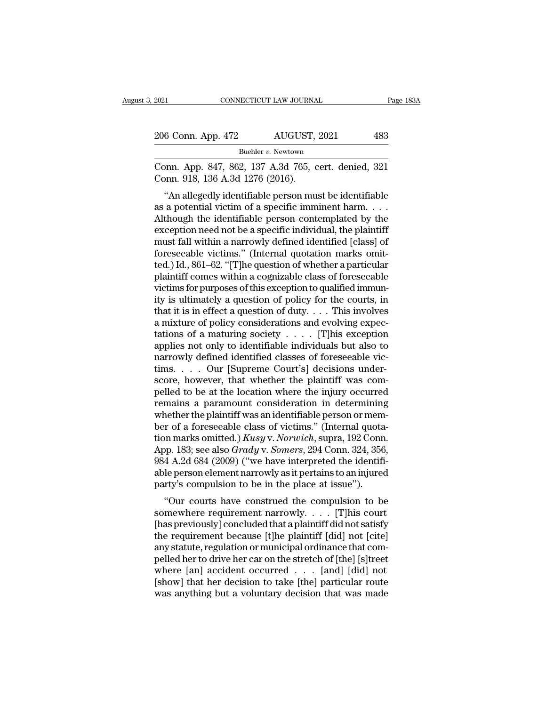| 2021               | CONNECTICUT LAW JOURNAL | Page 183A |  |
|--------------------|-------------------------|-----------|--|
|                    |                         |           |  |
| 206 Conn. App. 472 | AUGUST, 2021            | 483       |  |
|                    | Buehler v. Newtown      |           |  |

CONNECTICUT LAW JOURNAL Page 183A<br>
206 Conn. App. 472 AUGUST, 2021 483<br>
Buehler v. Newtown<br>
Conn. App. 847, 862, 137 A.3d 765, cert. denied, 321<br>
Conn. 918, 136 A.3d 1276 (2016). 206 Conn. App. 472 AUGUST,<br>Buehler v. Newtown<br>Conn. App. 847, 862, 137 A.3d 765, c<br>Conn. 918, 136 A.3d 1276 (2016).<br>"An allegedly identifiable person mu

''An allegedly identifiable person must be identifiable 206 Conn. App. 472 AUGUST, 2021 483<br>
Buehler v. Newtown<br>
Conn. App. 847, 862, 137 A.3d 765, cert. denied, 321<br>
Conn. 918, 136 A.3d 1276 (2016).<br>
"An allegedly identifiable person must be identifiable as a potential victim Buehler v. Newtown<br>
Conn. App. 847, 862, 137 A.3d 765, cert. denied, 321<br>
Conn. 918, 136 A.3d 1276 (2016).<br>
"An allegedly identifiable person must be identifiable<br>
as a potential victim of a specific imminent harm....<br>
Al Conn. App. 847, 862, 137 A.3d 765, cert. denied, 321<br>Conn. 918, 136 A.3d 1276 (2016).<br>"An allegedly identifiable person must be identifiable<br>as a potential victim of a specific imminent harm....<br>Although the identifiable Conn. App. 847, 862, 137 A.5d 765, cert. denied, 321<br>Conn. 918, 136 A.3d 1276 (2016).<br>
"An allegedly identifiable person must be identifiable<br>
as a potential victim of a specific imminent harm....<br>
Although the identifiab Form.  $\frac{1}{2}$  for  $\frac{1}{2}$  for  $\frac{1}{2}$  for  $\frac{1}{2}$  for  $\frac{1}{2}$  for  $\frac{1}{2}$  for  $\frac{1}{2}$  for  $\frac{1}{2}$  for  $\frac{1}{2}$  for  $\frac{1}{2}$  for  $\frac{1}{2}$  for  $\frac{1}{2}$  for  $\frac{1}{2}$  for  $\frac{1}{2}$  for exception need not "An allegedly identifiable person must be identifiable<br>as a potential victim of a specific imminent harm....<br>Although the identifiable person contemplated by the<br>exception need not be a specific individual, the plaintiff<br> as a potential victim of a specific imminent harm. . . . .<br>Although the identifiable person contemplated by the<br>exception need not be a specific individual, the plaintiff<br>must fall within a narrowly defined identified [cla Although the identifiable person contemplated by the exception need not be a specific individual, the plaintiff must fall within a narrowly defined identified [class] of foreseeable victims." (Internal quotation marks omit exception need not be a specific individual, the plaintiff<br>must fall within a narrowly defined identified [class] of<br>foreseeable victims." (Internal quotation marks omit-<br>ted.) Id., 861–62. "[T]he question of whether a par must fall within a narrowly defined identified [class] of<br>foreseeable victims." (Internal quotation marks omit-<br>ted.) Id., 861–62. "[T]he question of whether a particular<br>plaintiff comes within a cognizable class of forese foreseeable victims." (Internal quotation marks omitted.) Id., 861–62. "[T]he question of whether a particular plaintiff comes within a cognizable class of foreseeable victims for purposes of this exception to qualified i ted.) Id., 861–62. "[T]he question of whether a particular plaintiff comes within a cognizable class of foreseeable victims for purposes of this exception to qualified immunity is ultimately a question of policy for the c plaintiff comes within a cognizable class of foreseeable<br>victims for purposes of this exception to qualified immun-<br>ity is ultimately a question of policy for the courts, in<br>that it is in effect a question of duty. . . . victims for purposes of this exception to qualified immunity is ultimately a question of policy for the courts, in that it is in effect a question of duty. . . . This involves a mixture of policy considerations and evolvi ity is ultimately a question of policy for the courts, in that it is in effect a question of duty. . . . This involves a mixture of policy considerations and evolving expectations of a maturing society . . . . [T]his exce that it is in effect a question of duty. . . . This involves<br>a mixture of policy considerations and evolving expectations of a maturing society . . . . . [T]his exception<br>applies not only to identifiable individuals but a a mixture of policy considerations and evolving expectations of a maturing society  $\ldots$ . [T]his exception<br>applies not only to identifiable individuals but also to<br>narrowly defined identified classes of foreseeable vic-<br>t tations of a maturing society  $\ldots$ . [T]his exception<br>applies not only to identifiable individuals but also to<br>narrowly defined identified classes of foreseeable vic-<br>tims.  $\ldots$  Our [Supreme Court's] decisions under-<br>sco applies not only to identifiable individuals but also to<br>narrowly defined identified classes of foreseeable vic-<br>tims. . . . Our [Supreme Court's] decisions under-<br>score, however, that whether the plaintiff was com-<br>pelle narrowly defined identified classes of foreseeable victims. . . . Our [Supreme Court's] decisions underscore, however, that whether the plaintiff was compelled to be at the location where the injury occurred remains a par tims. . . . Our [Supreme Court's] decisions under-<br>score, however, that whether the plaintiff was com-<br>pelled to be at the location where the injury occurred<br>remains a paramount consideration in determining<br>whether the pla score, however, that whether the plaintiff was compelled to be at the location where the injury occurred<br>remains a paramount consideration in determining<br>whether the plaintiff was an identifiable person or mem-<br>ber of a fo pelled to be at the location where the injury occurred<br>remains a paramount consideration in determining<br>whether the plaintiff was an identifiable person or mem-<br>ber of a foreseeable class of victims." (Internal quota-<br>tion remains a paramount consideration in determining<br>whether the plaintiff was an identifiable person or mem-<br>ber of a foreseeable class of victims." (Internal quota-<br>tion marks omitted.) *Kusy v. Norwich*, supra, 192 Conn.<br>Ap whether the plaintiff was an identifiable person or mem<br>ber of a foreseeable class of victims." (Internal quota<br>tion marks omitted.)  $Kusy$  v. Norwich, supra, 192 Conn<br>App. 183; see also  $Grady$  v. Somers, 294 Conn. 324, 356<br> The dividend of the construction marks omitted.) Kusy v. Norwich, supra, 192 Conn.<br>
Sp. 183; see also *Grady v. Somers*, 294 Conn. 324, 356,<br>
4 A.2d 684 (2009) ("we have interpreted the identifi-<br>
le person element narrow some as some that  $\lambda$  is a set of  $\alpha$  is a subset of  $\alpha$  is a set of  $\alpha$  is a set of  $\alpha$  is a set of  $\alpha$  is a set of  $\alpha$  is a set of  $\alpha$  is a set of  $\alpha$  is a set of  $\alpha$  is a set of  $\alpha$  is a set of  $\alpha$  is a set

Expp. 188, see also Grady v. Somers, 294 Collit. 324, 350, 984 A.2d 684 (2009) ("we have interpreted the identifi-<br>able person element narrowly as it pertains to an injured<br>party's compulsion to be in the place at issue")  $\frac{1}{2009}$  and  $\frac{1}{2009}$  (we have interpreted the identificable person element narrowly as it pertains to an injured party's compulsion to be in the place at issue").<br>
"Our courts have construed the compulsion to be able person element narrowly as it pertains to an injured<br>party's compulsion to be in the place at issue").<br>"Our courts have construed the compulsion to be<br>somewhere requirement narrowly.... [T]his court<br>[has previously] c party s compusion to be in the place at issue ).<br>
"Our courts have construed the compulsion to be<br>
somewhere requirement narrowly.... [T]his court<br>
[has previously] concluded that a plaintiff did not satisfy<br>
the requirem "Our courts have construed the compulsion to be<br>somewhere requirement narrowly. . . . [T]his court<br>[has previously] concluded that a plaintiff did not satisfy<br>the requirement because [t]he plaintiff [did] not [cite]<br>any s somewhere requirement narrowly. . . . [T]his court<br>[has previously] concluded that a plaintiff did not satisfy<br>the requirement because [t]he plaintiff [did] not [cite]<br>any statute, regulation or municipal ordinance that c [has previously] concluded that a plaintiff did not satisfy<br>the requirement because [t]he plaintiff [did] not [cite]<br>any statute, regulation or municipal ordinance that com-<br>pelled her to drive her car on the stretch of [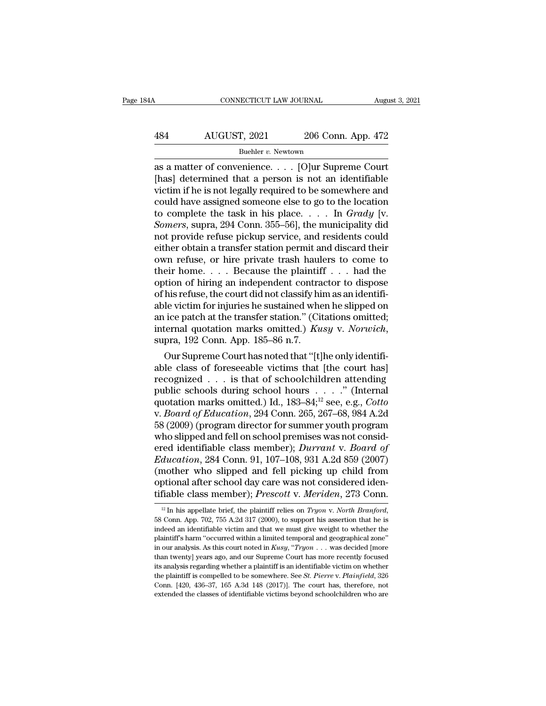# CONNECTICUT LAW JOURNAL August 3, 2021<br>484 AUGUST, 2021 206 Conn. App. 472<br>Buehler v. Newtown

### Buehler *v*. Newtown

CONNECTICUT LAW JOURNAL August 3, 202<br>
AUGUST, 2021 206 Conn. App. 472<br>
Buehler v. Newtown<br>
as a matter of convenience. . . . [O]ur Supreme Court<br>
[has] determined that a person is not an identifiable<br>
victim if he is not  $\begin{array}{r} \hbox{AUGUST, 2021} \qquad \quad \ \ \text{206 Conn. App. 472} \[2ex] \hline \end{array}$  Buehler v. Newtown<br>as a matter of convenience. . . . [O]ur Supreme Court<br>[has] determined that a person is not an identifiable<br>victim if he is not legally requi 484 AUGUST, 2021 206 Conn. App. 472<br>
Buehler v. Newtown<br>
as a matter of convenience. . . . [O]ur Supreme Court<br>
[has] determined that a person is not an identifiable<br>
victim if he is not legally required to be somewhere a 484 AUGUST, 2021 206 Conn. App. 472<br>
Buehler v. Newtown<br>
as a matter of convenience. . . . [O]ur Supreme Court<br>
[has] determined that a person is not an identifiable<br>
victim if he is not legally required to be somewhere a Buehler v. Newtown<br>Buehler v. Newtown<br>as a matter of convenience. . . . [O]ur Supreme Court<br>[has] determined that a person is not an identifiable<br>victim if he is not legally required to be somewhere and<br>could have assigned *Buehler v. Newtown*<br>
as a matter of convenience. . . . [O]ur Supreme Court<br>
[has] determined that a person is not an identifiable<br>
victim if he is not legally required to be somewhere and<br>
could have assigned someone else as a matter of convenience. . . . [O]ur Supreme Court<br>[has] determined that a person is not an identifiable<br>victim if he is not legally required to be somewhere and<br>could have assigned someone else to go to the location<br>t [has] determined that a person is not an identifiable<br>victim if he is not legally required to be somewhere and<br>could have assigned someone else to go to the location<br>to complete the task in his place.... In  $Grady$  [v.<br>Somer victim if he is not legally required to be somewhere and<br>could have assigned someone else to go to the location<br>to complete the task in his place.... In  $Grady$  [v.<br>Somers, supra, 294 Conn. 355–56], the municipality did<br>not could have assigned someone else to go to the location<br>to complete the task in his place. . . . In  $Grady$  [v.<br>Somers, supra, 294 Conn. 355–56], the municipality did<br>not provide refuse pickup service, and residents could<br>eit to complete the task in his place. . . . In  $Grady$  [v.<br> *Somers*, supra, 294 Conn. 355–56], the municipality did<br>
not provide refuse pickup service, and residents could<br>
either obtain a transfer station permit and discard t Somers, supra, 294 Conn. 355–56], the municipality did<br>not provide refuse pickup service, and residents could<br>either obtain a transfer station permit and discard their<br>own refuse, or hire private trash haulers to come to<br> not provide refuse pickup service, and residents could<br>either obtain a transfer station permit and discard their<br>own refuse, or hire private trash haulers to come to<br>their home....Because the plaintiff ... had the<br>option either obtain a transfer station permit and discard their<br>own refuse, or hire private trash haulers to come to<br>their home....Because the plaintiff ... had the<br>option of hiring an independent contractor to dispose<br>of his r own refuse, or hire private trash haulers to come to<br>their home.... Because the plaintiff ... had the<br>option of hiring an independent contractor to dispose<br>of his refuse, the court did not classify him as an identifi-<br>able Nuon of furing an independent contractor to dispose<br>his refuse, the court did not classify him as an identifi-<br>le victim for injuries he sustained when he slipped on<br>ice patch at the transfer station." (Citations omitted; or nis reruse, the court did not classify nim as an identifiable victim for injuries he sustained when he slipped on<br>an ice patch at the transfer station." (Citations omitted;<br>internal quotation marks omitted.) Kusy v. Nor

able victim for injuries he sustained when he supped on<br>an ice patch at the transfer station." (Citations omitted;<br>internal quotation marks omitted.) *Kusy v. Norwich*,<br>supra, 192 Conn. App. 185–86 n.7.<br>Our Supreme Court an ice patch at the transfer station. (Chations onlited;<br>internal quotation marks omitted.) *Kusy v. Norwich*,<br>supra, 192 Conn. App. 185–86 n.7.<br>Our Supreme Court has noted that "[t]he only identifi-<br>able class of foresee mternal quotation marks omitted.) *Kusy V. Norwich*,<br>supra, 192 Conn. App. 185–86 n.7.<br>Our Supreme Court has noted that "[t]he only identifi-<br>able class of foreseeable victims that [the court has]<br>recognized . . . is that supra, 192 Conn. App. 185–86 n.7.<br>
Our Supreme Court has noted that "[t]he only identifi-<br>
able class of foreseeable victims that [the court has]<br>
recognized . . . is that of schoolchildren attending<br>
public schools during Our Supreme Court has noted that "[t]he only identifiable class of foreseeable victims that [the court has]<br>recognized . . . is that of schoolchildren attending<br>public schools during school hours . . . . . " (Internal<br>quo able class of foreseeable victims that [the court has] recognized . . . is that of schoolchildren attending public schools during school hours . . . . " (Internal quotation marks omitted.) Id., 183–84;<sup>12</sup> see, e.g., *Cot* recognized . . . is that of schoolchildren attending<br>public schools during school hours . . . . ." (Internal<br>quotation marks omitted.) Id., 183–84;<sup>12</sup> see, e.g., *Cotto*<br>v. *Board of Education*, 294 Conn. 265, 267–68, 984 public schools during school hours . . . . . " (Internal<br>quotation marks omitted.) Id., 183–84;<sup>12</sup> see, e.g., *Cotto*<br>v. *Board of Education*, 294 Conn. 265, 267–68, 984 A.2d<br>58 (2009) (program director for summer youth p quotation marks omitted.) Id.,  $183-84; ^{12}$  see, e.g., *Cotto*<br>v. *Board of Education*, 294 Conn. 265, 267–68, 984 A.2d<br>58 (2009) (program director for summer youth program<br>who slipped and fell on school premises was no v. *Board of Education*, 294 Conn. 265, 267–68, 984 A.2d<br>58 (2009) (program director for summer youth program<br>who slipped and fell on school premises was not consid-<br>ered identifiable class member); *Durrant v. Board of<br>Ed* 58 (2009) (program director for summer youth program<br>who slipped and fell on school premises was not consid-<br>ered identifiable class member); *Durrant* v. *Board of*<br>*Education*, 284 Conn. 91, 107–108, 931 A.2d 859 (2007)<br> (mother who slipped and fell picking up child from optional after school day care was not considered identifiable class member); *Prescott v. Meriden*, 273 Conn. <sup>12</sup> In his appellate brief, the plaintiff relies on *Tryon* 

optional after school day care was not considered identifiable class member); *Prescott* v. *Meriden*, 273 Conn.<br><sup>12</sup> In his appellate brief, the plaintiff relies on *Tryon v. North Branford*, 58 Conn. App. 702, 755 A.2d tifiable class member); *Prescott v. Meriden*, 273 Conn.<br>
<sup>12</sup> In his appellate brief, the plaintiff relies on *Tryon v. North Branford*,<br>
58 Conn. App. 702, 755 A.2d 317 (2000), to support his assertion that he is<br>
indee <sup>12</sup> In his appellate brief, the plaintiff relies on *Tryon* v. *North Branford*,<br><sup>12</sup> In his appellate brief, the plaintiff relies on *Tryon* v. *North Branford*,<br>58 Conn. App. 702, 755 A.2d 317 (2000), to support his ass <sup>12</sup> In his appellate brief, the plaintiff relies on *Tryon v. North Branford*, 58 Conn. App. 702, 755 A.2d 317 (2000), to support his assertion that he is indeed an identifiable victim and that we must give weight to whe 58 Conn. App. 702, 755 A.2d 317 (2000), to support his assertion that he is indeed an identifiable victim and that we must give weight to whether the plaintiff's harm "occurred within a limited temporal and geographical z is competed an identifiable victim and that we must give weight to whether the plaintiff's harm "occurred within a limited temporal and geographical zone" in our analysis. As this court noted in *Kusy*, "*Tryon* . . . was plaintiff's harm "occurred within a limited temporal and geographical zone"<br>in our analysis. As this court noted in  $Kusy$ , " $Tryon \dots$  was decided [more<br>than twenty] years ago, and our Supreme Court has more recently focused<br> in our analysis. As this court noted in  $Kusy$ , "Tryon  $\ldots$  was decided [more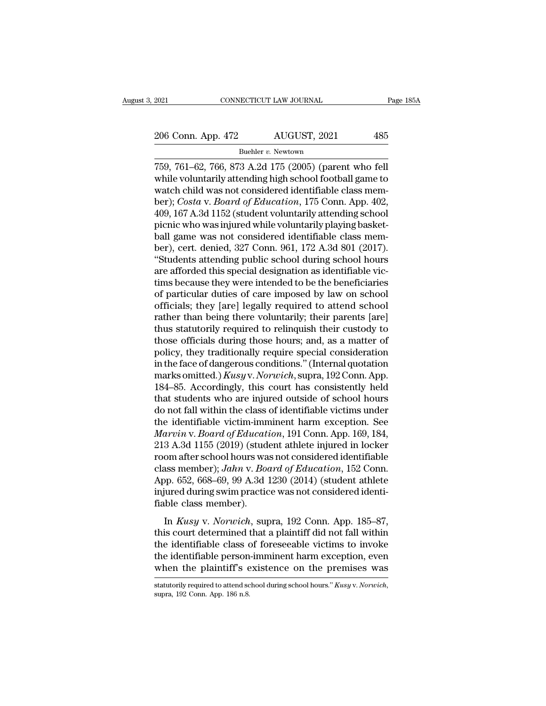2021 CONNECTICUT LAW JOURNAL Page 185A<br>
206 Conn. App. 472 AUGUST, 2021 485<br>
Buehler v. Newtown

Buehler *v*. Newtown

2021 CONNECTICUT LAW JOURNAL Page 18<br>
206 Conn. App. 472 AUGUST, 2021 485<br>
<sup>Buehler</sup> v. Newtown<br>
759, 761–62, 766, 873 A.2d 175 (2005) (parent who fell<br>
while voluntarily attending high school football game to 206 Conn. App. 472 AUGUST, 2021 485<br>Buehler v. Newtown<br>759, 761–62, 766, 873 A.2d 175 (2005) (parent who fell<br>while voluntarily attending high school football game to<br>watch child was not considered identifiable class mem-<br> 206 Conn. App. 472 AUGUST, 2021 485<br>
Buehler v. Newtown<br>
759, 761–62, 766, 873 A.2d 175 (2005) (parent who fell<br>
while voluntarily attending high school football game to<br>
watch child was not considered identifiable class 206 Conn. App. 472 AUGUST, 2021 485<br>
Buehler v. Newtown<br>
759, 761–62, 766, 873 A.2d 175 (2005) (parent who fell<br>
while voluntarily attending high school football game to<br>
watch child was not considered identifiable class m Buehler v. Newtown<br>
Buehler v. Newtown<br>
759, 761–62, 766, 873 A.2d 175 (2005) (parent who fell<br>
while voluntarily attending high school football game to<br>
watch child was not considered identifiable class mem-<br>
ber); *Cost* Buehler v. Newtown<br>
199, 761–62, 766, 873 A.2d 175 (2005) (parent who fell<br>
while voluntarily attending high school football game to<br>
watch child was not considered identifiable class mem-<br>
ber); *Costa* v. *Board of Educ* 759, 761–62, 766, 873 A.2d 175 (2005) (parent who fell<br>while voluntarily attending high school football game to<br>watch child was not considered identifiable class mem-<br>ber); *Costa v. Board of Education*, 175 Conn. App. 40 while voluntarily attending high school football game to<br>watch child was not considered identifiable class mem-<br>ber); *Costa v. Board of Education*, 175 Conn. App. 402,<br>409, 167 A.3d 1152 (student voluntarily attending sch watch child was not considered identifiable class member); *Costa v. Board of Education*, 175 Conn. App. 402, 409, 167 A.3d 1152 (student voluntarily attending school picnic who was injured while voluntarily playing basket ber); *Costa v. Board of Education*, 175 Conn. App. 402, 409, 167 A.3d 1152 (student voluntarily attending school picnic who was injured while voluntarily playing basket-<br>ball game was not considered identifiable class mem 409, 167 A.3d 1152 (student voluntarily attending school<br>picnic who was injured while voluntarily playing basket-<br>ball game was not considered identifiable class mem-<br>ber), cert. denied, 327 Conn. 961, 172 A.3d 801 (2017). picnic who was injured while voluntarily playing basket-<br>ball game was not considered identifiable class mem-<br>ber), cert. denied, 327 Conn. 961, 172 A.3d 801 (2017).<br>"Students attending public school during school hours<br>ar ball game was not considered identifiable class member), cert. denied, 327 Conn. 961, 172 A.3d 801 (2017).<br>"Students attending public school during school hours<br>are afforded this special designation as identifiable vic-<br>ti ber), cert. denied, 327 Conn. 961, 172 A.3d 801 (2017).<br>
"Students attending public school during school hours<br>
are afforded this special designation as identifiable vic-<br>
tims because they were intended to be the benefici "Students attending public school during school hours<br>are afforded this special designation as identifiable vic-<br>tims because they were intended to be the beneficiaries<br>of particular duties of care imposed by law on school are afforded this special designation as identifiable victims because they were intended to be the beneficiaries<br>of particular duties of care imposed by law on school<br>officials; they [are] legally required to attend school tims because they were intended to be the beneficiaries<br>of particular duties of care imposed by law on school<br>officials; they [are] legally required to attend school<br>rather than being there voluntarily; their parents [are] of particular duties of care imposed by law on school<br>officials; they [are] legally required to attend school<br>rather than being there voluntarily; their parents [are]<br>thus statutorily required to relinquish their custody t officials; they [are] legally required to attend school<br>rather than being there voluntarily; their parents [are]<br>thus statutorily required to relinquish their custody to<br>those officials during those hours; and, as a matter rather than being there voluntarily; their parents [are]<br>thus statutorily required to relinquish their custody to<br>those officials during those hours; and, as a matter of<br>policy, they traditionally require special considera thus statutorily required to relinquish their custody to<br>those officials during those hours; and, as a matter of<br>policy, they traditionally require special consideration<br>in the face of dangerous conditions." (Internal quot those officials during those hours; and, as a matter of<br>policy, they traditionally require special consideration<br>in the face of dangerous conditions." (Internal quotation<br>marks omitted.) *Kusyv. Norwich*, supra, 192 Conn. policy, they traditionally require special consideration<br>in the face of dangerous conditions." (Internal quotation<br>marks omitted.) *Kusyv. Norwich*, supra, 192 Conn. App.<br>184–85. Accordingly, this court has consistently he in the face of dangerous conditions." (Internal quotation<br>marks omitted.) *Kusyv. Norwich*, supra, 192 Conn. App.<br>184–85. Accordingly, this court has consistently held<br>that students who are injured outside of school hours<br> marks omitted.) *Kusy* v. *Norwich*, supra, 192 Conn. App.<br>184–85. Accordingly, this court has consistently held<br>that students who are injured outside of school hours<br>do not fall within the class of identifiable victims un 184–85. Accordingly, this court has consistently held<br>that students who are injured outside of school hours<br>do not fall within the class of identifiable victims under<br>the identifiable victim-imminent harm exception. See<br> that students who are injured outside of school hours<br>do not fall within the class of identifiable victims under<br>the identifiable victim-imminent harm exception. See<br>*Marvin* v. *Board of Education*, 191 Conn. App. 169, 18 do not fall within the class of identifiable victims under<br>the identifiable victim-imminent harm exception. See<br>*Marvin* v. *Board of Education*, 191 Conn. App. 169, 184,<br>213 A.3d 1155 (2019) (student athlete injured in lo the identifiable victim-imminent harm exception. See<br>Marvin v. Board of Education, 191 Conn. App. 169, 184,<br>213 A.3d 1155 (2019) (student athlete injured in locker<br>room after school hours was not considered identifiable<br>cl Marvin v. Board of Education, 191 Conn. App. 169, 184, 213 A.3d 1155 (2019) (student athlete injured in locker room after school hours was not considered identifiable class member); Jahn v. Board of Education, 152 Conn. Ap In *Kusy* v. *Norwich*, superal state in the section after school hours was not considered identifiable ass member); *Jahn v. Board of Education*, 152 Conn. pp. 652, 668–69, 99 A.3d 1230 (2014) (student athlete jured durin class member); *Jahn* v. *Board of Education*, 152 Conn.<br>App. 652, 668–69, 99 A.3d 1230 (2014) (student athlete<br>injured during swim practice was not considered identi-<br>fiable class member).<br>In *Kusy v. Norwich*, supra, 19

App. 652, 668–69, 99 A.3d 1230 (2014) (student athlete<br>injured during swim practice was not considered identi-<br>fiable class member).<br>In *Kusy v. Norwich*, supra, 192 Conn. App. 185–87,<br>this court determined that a plainti the identifiable class member).<br>
In Kusy v. Norwich, supra, 192 Conn. App. 185–87,<br>
this court determined that a plaintiff did not fall within<br>
the identifiable class of foreseeable victims to invoke<br>
the identifiable per fiable class member).<br>
In *Kusy v. Norwich*, supra, 192 Conn. App. 185–87,<br>
this court determined that a plaintiff did not fall within<br>
the identifiable class of foreseeable victims to invoke<br>
the identifiable person-immi this court determined that a plaintiff did not fall within<br>the identifiable class of foreseeable victims to invoke<br>the identifiable person-imminent harm exception, even<br>when the plaintiff's existence on the premises was<br>st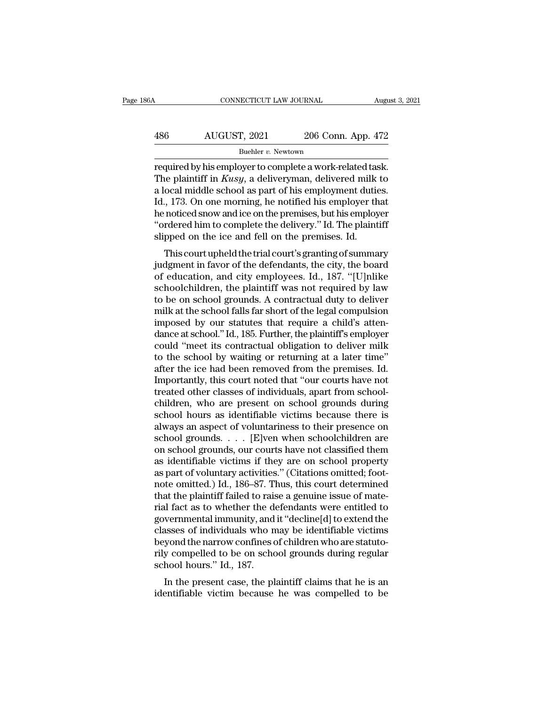# CONNECTICUT LAW JOURNAL August 3, 2021<br>486 AUGUST, 2021 206 Conn. App. 472<br>Buehler v. Newtown

### Buehler *v*. Newtown

CONNECTICUT LAW JOURNAL August 3, 2<br>
AUGUST, 2021 206 Conn. App. 472<br>
Buehler v. Newtown<br>
required by his employer to complete a work-related task.<br>
The plaintiff in *Kusy*, a deliveryman, delivered milk to AUGUST, 2021 206 Conn. App. 472<br>
<sup>Buehler v. Newtown</sup><br>
Tequired by his employer to complete a work-related task.<br>
The plaintiff in *Kusy*, a deliveryman, delivered milk to<br>
a local middle school as part of his employment d 486 AUGUST, 2021 206 Conn. App. 472<br>
Buehler v. Newtown<br>
required by his employer to complete a work-related task.<br>
The plaintiff in *Kusy*, a deliveryman, delivered milk to<br>
a local middle school as part of his employmen  $\frac{486}{200}$  AUGUST, 2021 206 Conn. App. 472<br>
Buehler v. Newtown<br>
required by his employer to complete a work-related task.<br>
The plaintiff in *Kusy*, a deliveryman, delivered milk to<br>
a local middle school as part of his Buehler v. Newtown<br>
required by his employer to complete a work-related task.<br>
The plaintiff in *Kusy*, a deliveryman, delivered milk to<br>
a local middle school as part of his employment duties.<br>
Id., 173. On one morning, Buehler v. Newtown<br>
required by his employer to complete a work-related task.<br>
The plaintiff in *Kusy*, a deliveryman, delivered milk to<br>
a local middle school as part of his employment duties.<br>
Id., 173. On one morning, required by his employer to complete a work-related tas<br>The plaintiff in *Kusy*, a deliveryman, delivered milk<br>a local middle school as part of his employment dutie<br>Id., 173. On one morning, he notified his employer th<br>he is painting in *Kasy*, a denveryinal, denvered nink to<br>ocal middle school as part of his employment duties.<br>., 173. On one morning, he notified his employer that<br>noticed snow and ice on the premises, but his employer<br>rdere a local inique school as part of its employment duties.<br>Id., 173. On one morning, he notified his employer that<br>he noticed snow and ice on the premises, but his employer<br>"ordered him to complete the delivery." Id. The plai

id., 175. On one morning, he notined his employer that<br>he noticed snow and ice on the premises, but his employer<br>"ordered him to complete the delivery." Id. The plaintiff<br>slipped on the ice and fell on the premises. Id.<br>Th reflorded show and ree of the pentises, but its employer<br>"ordered him to complete the delivery." Id. The plaintiff<br>slipped on the ice and fell on the premises. Id.<br>This court upheld the trial court's granting of summary<br>ju ordered nint to complete the denvery. That in Figure is a slipped on the ice and fell on the premises. Id.<br>This court upheld the trial court's granting of summary<br>judgment in favor of the defendants, the city, the board<br>of supped on the ree and fell on the premises. Id.<br>This court upheld the trial court's granting of summary<br>judgment in favor of the defendants, the city, the board<br>of education, and city employees. Id., 187. "[U]nlike<br>schoolc This court upheld the trial court's granting of summary<br>judgment in favor of the defendants, the city, the board<br>of education, and city employees. Id., 187. "[U]nlike<br>schoolchildren, the plaintiff was not required by law<br>t judgment in favor of the defendants, the city, the board<br>of education, and city employees. Id., 187. "[U]nlike<br>schoolchildren, the plaintiff was not required by law<br>to be on school grounds. A contractual duty to deliver<br>mi of education, and city employees. Id., 187. "[U]nlike<br>schoolchildren, the plaintiff was not required by law<br>to be on school grounds. A contractual duty to deliver<br>milk at the school falls far short of the legal compulsion<br> schoolchildren, the plaintiff was not required by law<br>to be on school grounds. A contractual duty to deliver<br>milk at the school falls far short of the legal compulsion<br>imposed by our statutes that require a child's atten-<br> to be on school grounds. A contractual duty to deliver<br>milk at the school falls far short of the legal compulsion<br>imposed by our statutes that require a child's atten-<br>dance at school." Id., 185. Further, the plaintiff's e milk at the school falls far short of the legal compulsion<br>imposed by our statutes that require a child's atten-<br>dance at school." Id., 185. Further, the plaintiff's employer<br>could "meet its contractual obligation to deliv imposed by our statutes that require a child's atten-<br>dance at school." Id., 185. Further, the plaintiff's employer<br>could "meet its contractual obligation to deliver milk<br>to the school by waiting or returning at a later ti dance at school." Id., 185. Further, the plaintiff's employer<br>could "meet its contractual obligation to deliver milk<br>to the school by waiting or returning at a later time"<br>after the ice had been removed from the premises. could "meet its contractual obligation to deliver milk<br>to the school by waiting or returning at a later time"<br>after the ice had been removed from the premises. Id.<br>Importantly, this court noted that "our courts have not<br>tr to the school by waiting or returning at a later time"<br>after the ice had been removed from the premises. Id.<br>Importantly, this court noted that "our courts have not<br>treated other classes of individuals, apart from school-<br> after the ice had been removed from the premises. Id.<br>Importantly, this court noted that "our courts have not<br>treated other classes of individuals, apart from school-<br>children, who are present on school grounds during<br>scho Importantly, this court noted that "our courts have not<br>treated other classes of individuals, apart from school-<br>children, who are present on school grounds during<br>school hours as identifiable victims because there is<br>alwa treated other classes of individuals, apart from school-<br>children, who are present on school grounds during<br>school hours as identifiable victims because there is<br>always an aspect of voluntariness to their presence on<br>schoo children, who are present on school grounds during<br>school hours as identifiable victims because there is<br>always an aspect of voluntariness to their presence on<br>school grounds. . . . [E]ven when schoolchildren are<br>on school school hours as identifiable victims because there is<br>always an aspect of voluntariness to their presence on<br>school grounds.  $\dots$  [E]ven when schoolchildren are<br>on school grounds, our courts have not classified them<br>as id always an aspect of voluntariness to their presence on school grounds. . . . [E]ven when schoolchildren are on school grounds, our courts have not classified them as identifiable victims if they are on school property as school grounds. . . . [E]ven when schoolchildren are<br>on school grounds, our courts have not classified them<br>as identifiable victims if they are on school property<br>as part of voluntary activities." (Citations omitted; foot on school grounds, our courts have not classified them<br>as identifiable victims if they are on school property<br>as part of voluntary activities." (Citations omitted; foot-<br>note omitted.) Id., 186–87. Thus, this court determi as identifiable victims if they are on school property<br>as part of voluntary activities." (Citations omitted; foot-<br>note omitted.) Id., 186–87. Thus, this court determined<br>that the plaintiff failed to raise a genuine issue as part of voluntary activities." (Citations omitted; foot-<br>note omitted.) Id., 186–87. Thus, this court determined<br>that the plaintiff failed to raise a genuine issue of mate-<br>rial fact as to whether the defendants were en note omitted.) Id., 186–87. Thus, this court determined<br>that the plaintiff failed to raise a genuine issue of mate-<br>rial fact as to whether the defendants were entitled to<br>governmental immunity, and it "decline[d] to exten that the plaintiff failed to rais<br>
rial fact as to whether the de<br>
governmental immunity, and<br>
classes of individuals who n<br>
beyond the narrow confines of<br>
rily compelled to be on scho<br>
school hours." Id., 187.<br>
In the pre In fact as to whether the defendants were entitied to<br>vernmental immunity, and it "decline[d] to extend the<br>asses of individuals who may be identifiable victims<br>yond the narrow confines of children who are statuto-<br>y compe governmental infinitity, and it decline<br>plusted classes of individuals who may be identifiable victims<br>beyond the narrow confines of children who are statuto-<br>rily compelled to be on school grounds during regular<br>school ho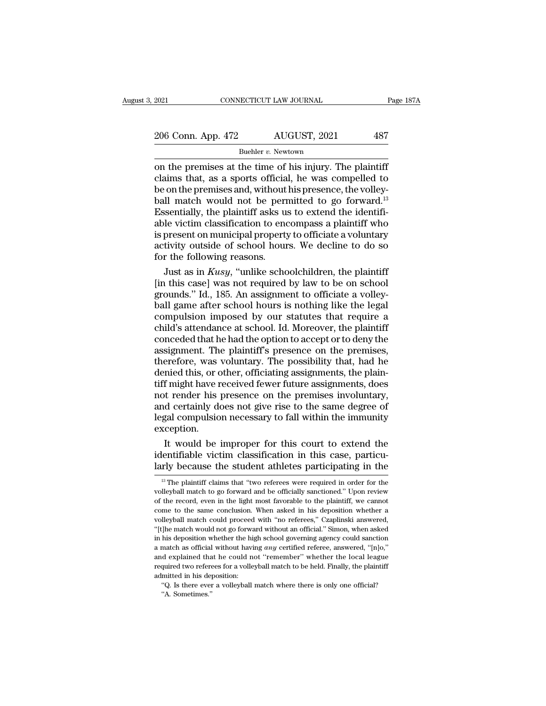### Buehler *v.*Newtown

 $\frac{2021}{206}$  Conn. App. 472 AUGUST, 2021 487<br>
Buehler v. Newtown<br>
on the premises at the time of his injury. The plaintiff<br>
claims that, as a sports official, he was compelled to<br>
be on the premises and without his pres 206 Conn. App. 472 AUGUST, 2021 487<br>Buehler v. Newtown<br>
on the premises at the time of his injury. The plaintiff<br>
claims that, as a sports official, he was compelled to<br>
be on the premises and, without his presence, the v 206 Conn. App. 472 AUGUST, 2021 487<br>
Buehler v. Newtown<br>
on the premises at the time of his injury. The plaintiff<br>
claims that, as a sports official, he was compelled to<br>
be on the premises and, without his presence, the 206 Conn. App. 472 AUGUST, 2021 487<br>
Buehler v. Newtown<br>
on the premises at the time of his injury. The plaintiff<br>
claims that, as a sports official, he was compelled to<br>
be on the premises and, without his presence, the Buehler v. Newtown<br>
Buehler v. Newtown<br>
on the premises at the time of his injury. The plaintiff<br>
claims that, as a sports official, he was compelled to<br>
be on the premises and, without his presence, the volley-<br>
ball mat Buehler v. Newtown<br>
on the premises at the time of his injury. The plaintiff<br>
claims that, as a sports official, he was compelled to<br>
be on the premises and, without his presence, the volley-<br>
ball match would not be perm on the premises at the time of his injury. The plaintiff<br>claims that, as a sports official, he was compelled to<br>be on the premises and, without his presence, the volley-<br>ball match would not be permitted to go forward.<sup>13</sup> claims that, as a sports official, he was compelled to<br>be on the premises and, without his presence, the volley-<br>ball match would not be permitted to go forward.<sup>13</sup><br>Essentially, the plaintiff asks us to extend the identif be on the premises and, without<br>ball match would not be pern<br>Essentially, the plaintiff asks us<br>able victim classification to end<br>is present on municipal property<br>activity outside of school hour<br>for the following reasons.<br> Il match would not be permitted to go forward.<sup>13</sup><br>sentially, the plaintiff asks us to extend the identifi-<br>le victim classification to encompass a plaintiff who<br>present on municipal property to officiate a voluntary<br>tivit Essentially, the plaintiff asks us to extend the identifiable victim classification to encompass a plaintiff who is present on municipal property to officiate a voluntary activity outside of school hours. We decline to do

able victim classification to encompass a plaintiff who<br>is present on municipal property to officiate a voluntary<br>activity outside of school hours. We decline to do so<br>for the following reasons.<br>Just as in  $Kusy$ , "unlike is present on municipal property to officiate a voluntary<br>activity outside of school hours. We decline to do so<br>for the following reasons.<br>Just as in *Kusy*, "unlike schoolchildren, the plaintiff<br>[in this case] was not req activity outside of school hours. We decline to do so<br>for the following reasons.<br>Just as in *Kusy*, "unlike schoolchildren, the plaintiff<br>[in this case] was not required by law to be on school<br>grounds." Id., 185. An assign for the following reasons.<br>
Just as in *Kusy*, "unlike schoolchildren, the plaintiff<br>
[in this case] was not required by law to be on school<br>
grounds." Id., 185. An assignment to officiate a volley-<br>
ball game after schoo Just as in *Kusy*, "unlike schoolchildren, the plaintiff<br>[in this case] was not required by law to be on school<br>grounds." Id., 185. An assignment to officiate a volley-<br>ball game after school hours is nothing like the lega [in this case] was not required by law to be on school grounds." Id., 185. An assignment to officiate a volley-<br>ball game after school hours is nothing like the legal<br>compulsion imposed by our statutes that require a<br>child grounds." Id., 185. An assignment to officiate a volley-<br>ball game after school hours is nothing like the legal<br>compulsion imposed by our statutes that require a<br>child's attendance at school. Id. Moreover, the plaintiff<br>co ball game after school hours is nothing like the legal<br>compulsion imposed by our statutes that require a<br>child's attendance at school. Id. Moreover, the plaintiff<br>conceded that he had the option to accept or to deny the<br>as compulsion imposed by our statutes that require a<br>child's attendance at school. Id. Moreover, the plaintiff<br>conceded that he had the option to accept or to deny the<br>assignment. The plaintiff's presence on the premises,<br>the child's attendance at school. Id. Moreover, the plaintiff<br>conceded that he had the option to accept or to deny the<br>assignment. The plaintiff's presence on the premises,<br>therefore, was voluntary. The possibility that, had h conceded that he had the option to accept or to deny the<br>assignment. The plaintiff's presence on the premises,<br>therefore, was voluntary. The possibility that, had he<br>denied this, or other, officiating assignments, the plai assignment. The plaintiff's presence on the premises,<br>therefore, was voluntary. The possibility that, had he<br>denied this, or other, officiating assignments, the plain-<br>tiff might have received fewer future assignments, doe exception. inity of the plain-<br>Inity that the plain-<br>If might have received fewer future assignments, does<br>to render his presence on the premises involuntary,<br>detertainly does not give rise to the same degree of<br>gal compulsion necess tiff might have received fewer future assignments, does<br>not render his presence on the premises involuntary,<br>and certainly does not give rise to the same degree of<br>legal compulsion necessary to fall within the immunity<br>exc not render his presence on the premises involuntary,<br>and certainly does not give rise to the same degree of<br>legal compulsion necessary to fall within the immunity<br>exception.<br>It would be improper for this court to extend th

It would be improper for this court to extend the<br>lentifiable victim classification in this case, particu-<br>rly because the student athletes participating in the<br><sup>13</sup> The plaintiff claims that "two referees were required in It would be improper for this court to extend the identifiable victim classification in this case, particularly because the student athletes participating in the  $\frac{13}{12}$  The plaintiff claims that "two referees were re

identifiable victim classification in this case, particularly because the student athletes participating in the  $\frac{18}{10}$  The plaintiff claims that "two referees were required in order for the volleyball match to go for larly because the student athletes participating in the  $\frac{1}{18}$  The plaintiff claims that "two referees were required in order for the volleyball match to go forward and be officially sanctioned." Upon review of the re Example 18 The plaintiff claims that "two referees were required in order for the volleyball match to go forward and be officially sanctioned." Upon review of the record, even in the light most favorable to the plaintiff, <sup>13</sup> The plaintiff claims that "two referees were required in order for the volleyball match to go forward and be officially sanctioned." Upon review of the record, even in the light most favorable to the plaintiff, we ca volleyball match to go forward and be officially sanctioned." Upon review<br>of the record, even in the light most favorable to the plaintiff, we cannot<br>come to the same conclusion. When asked in his deposition whether a<br>voll of the record, even in the light most favorable to the plaintiff, we cannot come to the same conclusion. When asked in his deposition whether a volleyball match could proceed with "no referees," Czaplinski answered, "[t]he come to the same conclusion. When asked in his deposition whether a volleyball match could proceed with "no referees," Czaplinski answered, "[t]he match would not go forward without an official." Simon, when asked in his d volleyball match could proceed with "no referees," Czaplinski answered, "[t]he match would not go forward without an official." Simon, when asked in his deposition whether the high school governing agency could sanction a "[t]<br>he match would not go forward without an official." Simon, when as<br>ked in his deposition whether the high school governing agency could sanction<br>a match as official without having *any* certified referee, answered, " in his deposition whether the high school governing agency could sanction a match as official without having any certified referee, answered, "[n]o,"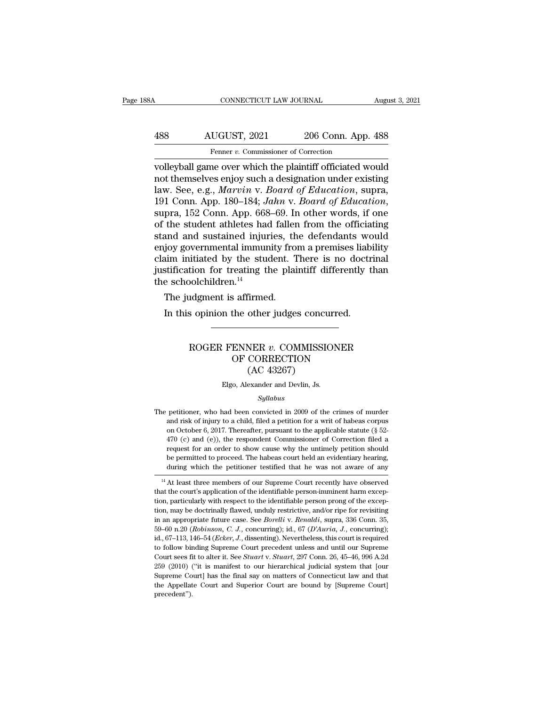| 38A | CONNECTICUT LAW JOURNAL                                   |                    | August 3, 2021 |
|-----|-----------------------------------------------------------|--------------------|----------------|
| 488 | AUGUST, 2021                                              | 206 Conn. App. 488 |                |
|     | Fenner v. Commissioner of Correction                      |                    |                |
|     | volleyball game over which the plaintiff officiated would |                    |                |

CONNECTICUT LAW JOURNAL August 3, 2021<br>
488 AUGUST, 2021 206 Conn. App. 488<br>
Fenner v. Commissioner of Correction<br>
volleyball game over which the plaintiff officiated would<br>
not themselves enjoy such a designation under ex 188 AUGUST, 2021 206 Conn. App. 488<br>
Fenner v. Commissioner of Correction<br>
volleyball game over which the plaintiff officiated would<br>
not themselves enjoy such a designation under existing<br>
law. See, e.g., *Marvin* v. *Boa* 188 AUGUST, 2021 206 Conn. App. 488<br>
Fenner v. Commissioner of Correction<br>
volleyball game over which the plaintiff officiated would<br>
not themselves enjoy such a designation under existing<br>
law. See, e.g., *Marvin* v. *Boa* 1918 AUGUST, 2021 206 Conn. App. 488<br>
Fenner v. Commissioner of Correction<br>
volleyball game over which the plaintiff officiated would<br>
not themselves enjoy such a designation under existing<br>
law. See, e.g., *Marvin* v. *Bo* Fenner v. Commissioner of Correction<br>volleyball game over which the plaintiff officiated would<br>not themselves enjoy such a designation under existing<br>law. See, e.g., *Marvin* v. *Board of Education*, supra,<br>191 Conn. App. volleyball game over which the plaintiff officiated would<br>not themselves enjoy such a designation under existing<br>law. See, e.g., *Marvin v. Board of Education*, supra,<br>191 Conn. App. 180–184; *Jahn v. Board of Education*,<br> not themselves enjoy such a designation under existing<br>law. See, e.g., *Marvin v. Board of Education*, supra,<br>191 Conn. App. 180–184; *Jahn v. Board of Education*,<br>supra, 152 Conn. App. 668–69. In other words, if one<br>of th law. See, e.g., *Marvin v. Board of Education*, supra,<br>191 Conn. App. 180–184; *Jahn v. Board of Education*,<br>supra, 152 Conn. App. 668–69. In other words, if one<br>of the student athletes had fallen from the officiating<br>stan 191 Conn. App. 180–184; *Jahn v. Board of Education*,<br>supra, 152 Conn. App. 668–69. In other words, if one<br>of the student athletes had fallen from the officiating<br>stand and sustained injuries, the defendants would<br>enjoy g supra, 152 Conn. App. 668<br>of the student athletes had<br>stand and sustained injur<br>enjoy governmental immur<br>claim initiated by the studenting the<br>schoolchildren.<sup>14</sup><br>The judgment is affirmed the student athletes had railer<br>and and sustained injuries, the<br>joy governmental immunity from<br>im initiated by the student. T<br>stification for treating the plainer<br>schoolchildren.<sup>14</sup><br>The judgment is affirmed.<br>In this opini In this oppresented immunity from a premises liabiaim initiated by the student. There is no doctrestification for treating the plaintiff differently to schoolchildren.<sup>14</sup><br>The judgment is affirmed.<br>In this opinion the othe

### Molchildren.<sup>14</sup><br>
Indian is affirmed.<br>
s opinion the other judges concurred.<br>
ROGER FENNER *v.* COMMISSIONER<br>
OF CORRECTION<br>
(AC 43967) Formal<br>
Saffirmed.<br>
the other judges concurred.<br>
ENNER v. COMMISSIONER<br>
OF CORRECTION<br>
(AC 43267) tirmed.<br>
other judges concu<br>
NER v. COMMISSI<br>
CORRECTION<br>
(AC 43267)<br>
exander and Devlin, Js. ROGER FENNER v. COMMISSIONER<br>OF CORRECTION<br>(AC 43267)<br>Elgo, Alexander and Devlin, Js.

### *Syllabus*

OF CORRECTION<br>
(AC 43267)<br>
Elgo, Alexander and Devlin, Js.<br>
Syllabus<br>
The petitioner, who had been convicted in 2009 of the crimes of murder<br>
and risk of injury to a child, filed a petition for a writ of habeas corpus<br>
Syl (AC 43267)<br>Elgo, Alexander and Devlin, Js.<br>Syllabus<br>petitioner, who had been convicted in 2009 of the crimes of murder<br>and risk of injury to a child, filed a petition for a writ of habeas corpus<br>on October 6, 2017. Therea Elgo, Alexander and Devlin, Js.<br>  $Syllabus$ <br>
petitioner, who had been convicted in 2009 of the crimes of murder<br>
and risk of injury to a child, filed a petition for a writ of habeas corpus<br>
on October 6, 2017. Thereafter, pur *Syllabus*<br> *Syllabus*<br>
petitioner, who had been convicted in 2009 of the crimes of murder<br>
and risk of injury to a child, filed a petition for a writ of habeas corpus<br>
on October 6, 2017. Thereafter, pursuant to the appl *Syllabus*<br> *Syllabus*<br>
petitioner, who had been convicted in 2009 of the crimes of murder<br>
and risk of injury to a child, filed a petition for a writ of habeas corpus<br>
on October 6, 2017. Thereafter, pursuant to the appl pertitioner, who had been convicted in 2009 of the crimes of murder<br>and risk of injury to a child, filed a petition for a writ of habeas corpus<br>on October 6, 2017. Thereafter, pursuant to the applicable statute ( $\S$  52-<br>4 and risk of injury to a child, filed a petition for a writ of habeas corpus<br>on October 6, 2017. Thereafter, pursuant to the applicable statute (§ 52-<br>470 (c) and (e)), the respondent Commissioner of Correction filed a<br>requ on October 6, 2017. Thereafter, pursuant to the applicable statute (§ 52-470 (c) and (e)), the respondent Commissioner of Correction filed a request for an order to show cause why the untimely petition should be permitted  $470$  (c) and (e)), the respondent Commissioner of Correction filed a request for an order to show cause why the untimely petition should be permitted to proceed. The habeas court held an evidentiary hearing, during which

request for an order to show cause why the untimely petition should<br>be permitted to proceed. The habeas court held an evidentiary hearing,<br>during which the petitioner testified that he was not aware of any<br><sup>14</sup> At least th be permitted to proceed. The habeas court held an evidentiary hearing,<br>during which the petitioner testified that he was not aware of any<br> $^{14}$  At least three members of our Supreme Court recently have observed<br>that the during which the petitioner testined that he was not aware of any<br><sup>14</sup> At least three members of our Supreme Court recently have observed<br>that the court's application of the identifiable person-imminent harm excep-<br>tion, p <sup>14</sup> At least three members of our Supreme Court recently have observed that the court's application of the identifiable person-imminent harm exception, particularly with respect to the identifiable person prong of the ex that the court's application of the identifiable person-imment harm exception, particularly with respect to the identifiable person prong of the exception, may be doctrinally flawed, unduly restrictive, and/or ripe for rev tion, particularly with respect to the identifiable person prong of the exception, may be doctrinally flawed, unduly restrictive, and/or ripe for revisiting in an appropriate future case. See *Borelli v. Renaldi*, supra, Low, may be doctrinally flawed, unduly restrictive, and/or ripe for revisiting in an appropriate future case. See *Borelli v. Renaldi*, supra, 336 Conn. 35, 59–60 n.20 (*Robinson, C. J.*, concurring); id., 67 (*D'Auria*, tion, may be doctrinally flawed, unduly restrictive, and/or ripe for revisiting<br>in an appropriate future case. See *Borelli* v. *Renaldi*, supra, 336 Conn. 35,<br>59–60 n.20 (*Robinson, C. J.*, concurring); id., 67 (*D'Auria*  $59-60$  n.20 (Robinson, C. J., concurring); id.,  $67$  (D'Auria, J., concurring); id., 67-113, 146-54 (Ecker, J., dissenting). Nevertheless, this court is required precedent'').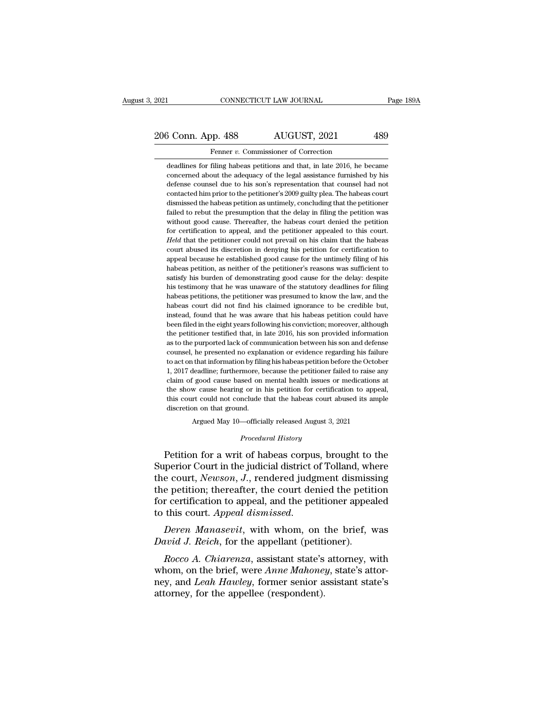# 2021 CONNECTICUT LAW JOURNAL Page 189A<br>206 Conn. App. 488 AUGUST, 2021 489<br>Fenner v. Commissioner of Correction Fenner *v.* Commissioner of Correction<br>deadlines for filing habeas petitions and that, in late 2016, he became

3 Conn. App. 488 AUGUST, 2021 489<br>Fenner v. Commissioner of Correction<br>deadlines for filing habeas petitions and that, in late 2016, he became<br>concerned about the adequacy of the legal assistance furnished by his Conn. App. 488 AUGUST, 2021 489<br>
Fenner v. Commissioner of Correction<br>
deadlines for filing habeas petitions and that, in late 2016, he became<br>
concerned about the adequacy of the legal assistance furnished by his<br>
defense  $\frac{3 \text{ Conn. App. 488}}{\text{Ferner } v.}$  Commissioner of Correction<br>deadlines for filing habeas petitions and that, in late 2016, he became<br>concerned about the adequacy of the legal assistance furnished by his<br>defense counsel due to h Framer v. Commissioner of Correction<br>deadlines for filing habeas petitions and that, in late 2016, he became<br>concerned about the adequacy of the legal assistance furnished by his<br>defense counsel due to his son's represent Fenner  $v$ . Commissioner of Correction<br>deadlines for filing habeas petitions and that, in late 2016, he became<br>concerned about the adequacy of the legal assistance furnished by his<br>defense counsel due to his son's represe deadlines for filing habeas petitions and that, in late 2016, he became concerned about the adequacy of the legal assistance furnished by his defense counsel due to his son's representation that counsel had not contacted h concerned about the adequacy of the legal assistance furnished by his defense coursel due to his son's representation that counsel had not contacted him prior to the petitioner's 2009 guilty plea. The habeas court dismisse defense counsel due to his son's representation that counsel had not contacted him prior to the petitioner's 2009 guilty plea. The habeas court dismissed the habeas petition as untimely, concluding that the petitioner fail contacted him prior to the petitioner's 2009 guilty plea. The habeas court<br>dismissed the habeas petition as untimely, concluding that the petitioner<br>failed to rebut the presumption that the delay in filing the petition was dismissed the habeas petition as untimely, concluding that the petitioner failed to rebut the presumption that the delay in filing the petition was without good cause. Thereafter, the habeas court denied the petition for c failed to rebut the presumption that the delay in filing the petition was without good cause. Thereafter, the habeas court denied the petition for certification to appeal, and the petitioner appealed to this court. *Held* without good cause. Thereafter, the habeas court denied the petition for certification to appeal, and the petitioner appealed to this court. Held that the petitioner could not prevail on his claim that the habeas court abu for certification to appeal, and the petitioner appealed to this court.<br>Held that the petitioner could not prevail on his claim that the habeas court abused its discretion in denying his petition for certification to appea Held that the petitioner could not prevail on his claim that the habeas court abused its discretion in denying his petition for certification to appeal because he established good cause for the untimely filing of his habea From the absolute that discretion in denying his petition for certification to appeal because he established good cause for the untimely filing of his habeas petition, as neither of the petitioner's reasons was sufficient appeal because he established good cause for the untimely filing of his appeal because he established good cause for the untimely filing of his habeas petition, as neither of the petitioner's reasons was sufficient to sati in the habeas petition, as neither of the petitioner's reasons was sufficient to satisfy his burden of demonstrating good cause for the delay: despite his testimony that he was unaware of the statutory deadlines for filing satisfy his burden of demonstrating good cause for the delay: despite his testimony that he was unaware of the statutory deadlines for filing habeas petitions, the petitioner was presumed to know the law, and the habeas co busing the business weak that the was unaware of the statutory deadlines for filing habeas petitions, the petitioner was presumed to know the law, and the habeas court did not find his claimed ignorance to be credible but, habeas petitions, the petitioner was presumed to know the law, and the habeas court did not find his claimed ignorance to be credible but, instead, found that he was aware that his habeas petition could have been filed in habeas court did not find his claimed ignorance to be credible but, instead, found that he was aware that his habeas petition could have been filed in the eight years following his conviction; moreover, although the petiti habeas court did not find his claimed ignorance to be credible but, instead, found that he was aware that his habeas petition could have been filed in the eight years following his conviction; moreover, although the petiti been filed in the eight years following his conviction; moreover, although the petitioner testified that, in late 2016, his son provided information as to the purported lack of communication between his son and defense cou the petitioner testified that, in late 2016, his son provided information as to the purported lack of communication between his son and defense counsel, he presented no explanation or evidence regarding his failure to act as to the purported lack of communication between his son and defense counsel, he presented no explanation or evidence regarding his failure to act on that information by filing his habeas petition before the October 1, 20 counsel, he presented no explanation or evidence regarding his failure to act on that information by filing his habeas petition before the October 1, 2017 deadline; furthermore, because the petitioner failed to raise any c to act on that information by filing his habeas petition before the October % claim of good cause based on mental health issues or medications at the show cause hearing or in his petition for certification to appeal, this court could not conclude that the habeas court abused its ample discretion Exam of good cause based on mental health issues of medications at<br>the show cause hearing or in his petition for certification to appeal,<br>this court could not conclude that the habeas court abused its ample<br>discretion on t

Argued May 10—officially released August 3, 2021<br>*Procedural History*<br>Petition for a writ of habeas corpus, brought to the this court could not conclude that the habeas court abused its ample<br>discretion on that ground.<br>Argued May 10—officially released August 3, 2021<br>*Procedural History*<br>Petition for a writ of habeas corpus, brought to the<br>Sup discretion on that ground.<br>
Argued May 10—officially released August 3, 2021<br> *Procedural History*<br>
Petition for a writ of habeas corpus, brought to the<br>
Superior Court in the judicial district of Tolland, where<br>
the court Argued May 10—officially released August 3, 2021<br>
Procedural History<br>
Petition for a writ of habeas corpus, brought to the<br>
Superior Court in the judicial district of Tolland, where<br>
the court, Newson, J., rendered judgmen *Procedural History*<br>Petition for a writ of habeas corpus, brought to the<br>Superior Court in the judicial district of Tolland, where<br>the court, *Newson*, *J*., rendered judgment dismissing<br>the petition; thereafter, the cour Froceaural History<br>
Petition for a writ of habeas corpus, brought to the<br>
Superior Court in the judicial district of Tolland, where<br>
the court, *Newson*, *J*., rendered judgment dismissing<br>
the petition; thereafter, the co *David J. Reich, for the appellant (perior court mitter dismiss*<br>*Derention*; thereafter, the court denied the petition certification to appeal, and the petitioner appear to this court. *Appeal dismissed.*<br>*Deren Manasevit* r certification to appeal, and the petitioner appealed<br> *Roccorting A. Appeal dismissed.*<br> *Rocco A. Chiarenza*, assistant state's attorney, with<br> *Rocco A. Chiarenza*, assistant state's attorney, with<br>
atom, on the brief,

for certification to appeal, and the petitioner appealed<br>to this court. *Appeal dismissed.*<br>Deren Manasevit, with whom, on the brief, was<br>David J. Reich, for the appellant (petitioner).<br>Rocco A. Chiarenza, assistant state' to this court. Appeal dismissed.<br>
Deren Manasevit, with whom, on the brief, was<br>
David J. Reich, for the appellant (petitioner).<br>
Rocco A. Chiarenza, assistant state's attorney, with<br>
whom, on the brief, were Anne Mahoney, Deren Manasevit, with whom, on the David J. Reich, for the appellant (petiti Rocco A. Chiarenza, assistant state's whom, on the brief, were Anne Mahoneg ney, and Leah Hawley, former senior a attorney, for the appellee (res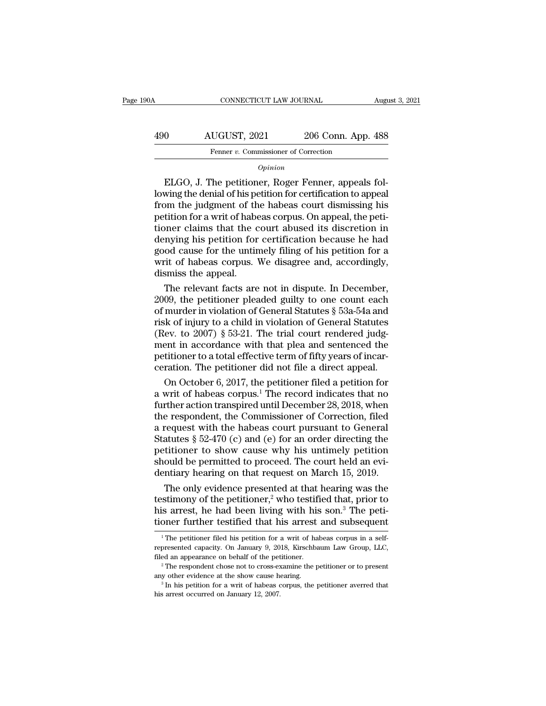| 190A | CONNECTICUT LAW JOURNAL              |                    | August 3, 2021 |
|------|--------------------------------------|--------------------|----------------|
| 490  | AUGUST, 2021                         | 206 Conn. App. 488 |                |
|      | Fenner v. Commissioner of Correction |                    |                |
|      | Opinion                              |                    |                |

### *Opinion*

AUGUST, 2021 206 Conn. App. 488<br>
Fenner v. Commissioner of Correction<br>  $\overline{Opinion}$ <br>
ELGO, J. The petitioner, Roger Fenner, appeals fol-<br>
lowing the denial of his petition for certification to appeal<br>
from the judgment of t 490 AUGUST, 2021 206 Conn. App. 488<br>
Fenner v. Commissioner of Correction<br>  $Opinion$ <br>
ELGO, J. The petitioner, Roger Fenner, appeals fol-<br>
lowing the denial of his petition for certification to appeal<br>
from the judgment of th Fenner v. Commissioner of Correction<br> *Opinion*<br>
ELGO, J. The petitioner, Roger Fenner, appeals fol-<br>
lowing the denial of his petition for certification to appeal<br>
from the judgment of the habeas court dismissing his<br>
pet opinion<br>
opinion<br>
ELGO, J. The petitioner, Roger Fenner, appeals fol-<br>
lowing the denial of his petition for certification to appeal<br>
from the judgment of the habeas court dismissing his<br>
petition for a writ of habeas corp  $opinion$ <br>ELGO, J. The petitioner, Roger Fenner, appeals fol-<br>lowing the denial of his petition for certification to appeal<br>from the judgment of the habeas court dismissing his<br>petition for a writ of habeas corpus. On appeal, ELGO, J. The petitioner, Roger Fenner, appeals following the denial of his petition for certification to appeal from the judgment of the habeas court dismissing his petition for a writ of habeas corpus. On appeal, the peti lowing the denial of his petition for certification to appeal<br>from the judgment of the habeas court dismissing his<br>petition for a writ of habeas corpus. On appeal, the peti-<br>tioner claims that the court abused its discreti from the judgment of the<br>petition for a writ of habe<br>tioner claims that the c<br>denying his petition for<br>good cause for the untin<br>writ of habeas corpus.<br>dismiss the appeal.<br>The relevant facts are tition for a writ of habeas corpus. On appeal, the peti-<br>pner claims that the court abused its discretion in<br>mying his petition for certification because he had<br>od cause for the untimely filing of his petition for a<br>rit of tioner claims that the court abused its discretion in<br>denying his petition for certification because he had<br>good cause for the untimely filing of his petition for a<br>writ of habeas corpus. We disagree and, accordingly,<br>dis

denying his petition for certification because he had<br>good cause for the untimely filing of his petition for a<br>writ of habeas corpus. We disagree and, accordingly,<br>dismiss the appeal.<br>The relevant facts are not in dispute. good cause for the untimely filing of his petition for a<br>writ of habeas corpus. We disagree and, accordingly,<br>dismiss the appeal.<br>The relevant facts are not in dispute. In December,<br>2009, the petitioner pleaded guilty to o writ of habeas corpus. We disagree and, accordingly,<br>dismiss the appeal.<br>The relevant facts are not in dispute. In December,<br>2009, the petitioner pleaded guilty to one count each<br>of murder in violation of General Statutes dismiss the appeal.<br>
The relevant facts are not in dispute. In December,<br>
2009, the petitioner pleaded guilty to one count each<br>
of murder in violation of General Statutes § 53a-54a and<br>
risk of injury to a child in viola The relevant facts are not in dispute. In December, 2009, the petitioner pleaded guilty to one count each of murder in violation of General Statutes  $\S$  53a-54a and risk of injury to a child in violation of General Statut 2009, the petitioner pleaded guilty to one count each of murder in violation of General Statutes  $\S$  53a-54a and risk of injury to a child in violation of General Statutes (Rev. to 2007)  $\S$  53-21. The trial court rendere murder in violation of General Statutes § 53a-54a and<br>ik of injury to a child in violation of General Statutes<br>ev. to 2007) § 53-21. The trial court rendered judg-<br>ent in accordance with that plea and sentenced the<br>tition risk of injury to a child in violation of General Statutes<br>(Rev. to 2007) § 53-21. The trial court rendered judg-<br>ment in accordance with that plea and sentenced the<br>petitioner to a total effective term of fifty years of

(Rev. to 2007) § 53-21. The trial court rendered judgment in accordance with that plea and sentenced the petitioner to a total effective term of fifty years of incarceration. The petitioner did not file a direct appeal.<br>O ment in accordance with that plea and sentenced the<br>petitioner to a total effective term of fifty years of incar-<br>ceration. The petitioner did not file a direct appeal.<br>On October 6, 2017, the petitioner filed a petition petitioner to a total effective term of fifty years of incar-<br>ceration. The petitioner did not file a direct appeal.<br>On October 6, 2017, the petitioner filed a petition for<br>a writ of habeas corpus.<sup>1</sup> The record indicates ceration. The petitioner did not file a direct appeal.<br>
On October 6, 2017, the petitioner filed a petition for<br>
a writ of habeas corpus.<sup>1</sup> The record indicates that no<br>
further action transpired until December 28, 2018, On October 6, 2017, the petitioner filed a petition for<br>a writ of habeas corpus.<sup>1</sup> The record indicates that no<br>further action transpired until December 28, 2018, when<br>the respondent, the Commissioner of Correction, file a writ of habeas corpus.<sup>1</sup> The record indicates that no further action transpired until December 28, 2018, when the respondent, the Commissioner of Correction, filed a request with the habeas court pursuant to General St further action transpired until December 28, 2018, when<br>the respondent, the Commissioner of Correction, filed<br>a request with the habeas court pursuant to General<br>Statutes § 52-470 (c) and (e) for an order directing the<br>pet e respondent, the Commissioner of Correction, filed<br>request with the habeas court pursuant to General<br>atutes § 52-470 (c) and (e) for an order directing the<br>titioner to show cause why his untimely petition<br>ould be permitt a request with the habeas court pursuant to General<br>Statutes § 52-470 (c) and (e) for an order directing the<br>petitioner to show cause why his untimely petition<br>should be permitted to proceed. The court held an evi-<br>dentia

Statutes § 52-470 (c) and (e) for an order directing the petitioner to show cause why his untimely petition should be permitted to proceed. The court held an evidentiary hearing on that request on March 15, 2019. The only petitioner to show cause why his untimely petition<br>should be permitted to proceed. The court held an evi-<br>dentiary hearing on that request on March 15, 2019.<br>The only evidence presented at that hearing was the<br>testimony o The only evidence presented at that hearing was the sitimony of the petitioner,<sup>2</sup> who testified that, prior to is arrest, he had been living with his son.<sup>3</sup> The petioner further testified that his arrest and subsequent testimony of the petitioner,<sup>2</sup> who testified that, prior to<br>his arrest, he had been living with his son.<sup>3</sup> The peti-<br>tioner further testified that his arrest and subsequent<br> $\frac{1}{1}$  The petitioner filed his petition fo

his arrest, he had been living with his son.<sup>3</sup> The petitioner further testified that his arrest and subsequent  $\frac{1}{1}$  The petitioner filed his petition for a writ of habeas corpus in a self-<br>represented capacity. On J The petitioner filed his petition for a writ of habeas corpus in a self-<br>represented capacity. On January 9, 2018, Kirschbaum Law Group, LLC,<br>filed an appearance on behalf of the petitioner.<br><sup>2</sup> The respondent chose not t <sup>1</sup> The petitioner filed his petition for a writ of habeas corpus in a self-<br>represented capacity. On January 9, 2018, Kirschbaum Law Group, LLC,<br>filed an appearance on behalf of the petitioner.<br><sup>2</sup> The respondent chose n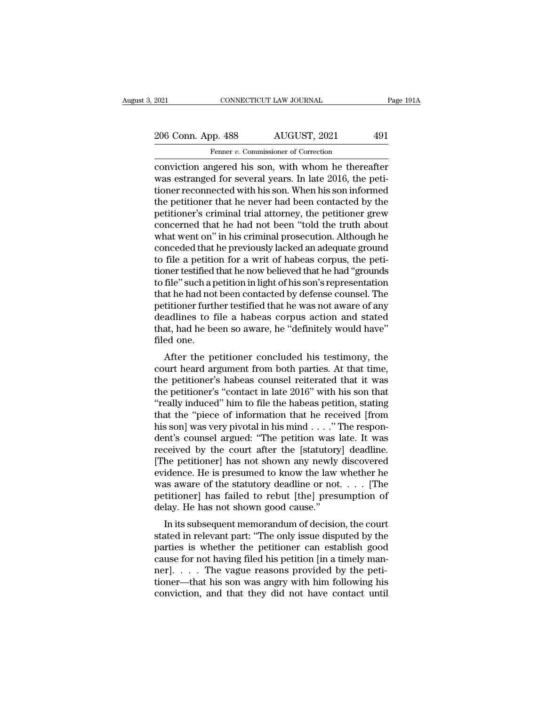# 2021 CONNECTICUT LAW JOURNAL Page 191A<br>
206 Conn. App. 488 AUGUST, 2021 491<br>
Fenner v. Commissioner of Correction Fenner *v.* Commissioner of Correction

conviction angered his son, with whom he thereafter<br>was estranged for several years. In late 2016, the peti-<br>tionar reconnected with his son, With whom he thereafter<br>was estranged for several years. In late 2016, the peti-206 Conn. App. 488 AUGUST, 2021 491<br>
Fenner v. Commissioner of Correction<br>
conviction angered his son, with whom he thereafter<br>
was estranged for several years. In late 2016, the peti-<br>
tioner reconnected with his son. Whe 206 Conn. App. 488 AUGUST, 2021 491<br>
Fenner v. Commissioner of Correction<br>
conviction angered his son, with whom he thereafter<br>
was estranged for several years. In late 2016, the peti-<br>
tioner reconnected with his son. Wh 206 Conn. App. 488  $\overline{\phantom{0}}$  AUGUST, 2021  $\overline{\phantom{0}}$  491<br>
Fenner v. Commissioner of Correction<br>
conviction angered his son, with whom he thereafter<br>
was estranged for several years. In late 2016, the peti-<br>
tioner reco Framer v. Commissioner of Correction<br>
conviction angered his son, with whom he thereafter<br>
was estranged for several years. In late 2016, the peti-<br>
tioner reconnected with his son. When his son informed<br>
the petitioner's Fenner v. Commissioner of Correction<br>conviction angered his son, with whom he thereafter<br>was estranged for several years. In late 2016, the peti-<br>tioner reconnected with his son. When his son informed<br>the petitioner that h conviction angered his son, with whom he thereafter<br>was estranged for several years. In late 2016, the peti-<br>tioner reconnected with his son. When his son informed<br>the petitioner that he never had been contacted by the<br>pet was estranged for several years. In late 2016, the petitioner reconnected with his son. When his son informed<br>the petitioner that he never had been contacted by the<br>petitioner's criminal trial attorney, the petitioner grew tioner reconnected with his son. When his son informed<br>the petitioner that he never had been contacted by the<br>petitioner's criminal trial attorney, the petitioner grew<br>concerned that he had not been "told the truth about<br>w the petitioner that he never had been contacted by the petitioner's criminal trial attorney, the petitioner grew concerned that he had not been "told the truth about what went on" in his criminal prosecution. Although he c petitioner's criminal trial attorney, the petitioner grew<br>concerned that he had not been "told the truth about<br>what went on" in his criminal prosecution. Although he<br>conceded that he previously lacked an adequate ground<br>to concerned that he had not been "told the truth about<br>what went on" in his criminal prosecution. Although he<br>conceded that he previously lacked an adequate ground<br>to file a petition for a writ of habeas corpus, the peti-<br>ti what went on" in his criminal prosecution. Although he conceded that he previously lacked an adequate ground to file a petition for a writ of habeas corpus, the petitioner testified that he now believed that he had "ground conceded that he previously lacked an adequate ground<br>to file a petition for a writ of habeas corpus, the peti-<br>tioner testified that he now believed that he had "grounds<br>to file" such a petition in light of his son's repr to file a petition for a writ of habeas corpus, the petitioner testified that he now believed that he had "grounds to file" such a petition in light of his son's representation that he had not been contacted by defense cou tioner testified<br>to file" such a p<br>that he had not<br>petitioner furth<br>deadlines to f<br>that, had he be<br>filed one.<br>After the pe The such a petition in fight of its son's representation<br>at he had not been contacted by defense counsel. The<br>titioner further testified that he was not aware of any<br>addines to file a habeas corpus action and stated<br>at, ha that he had not been contacted by defense counsel. The<br>petitioner further testified that he was not aware of any<br>deadlines to file a habeas corpus action and stated<br>that, had he been so aware, he "definitely would have"<br>fi

petitioner further testined that he was not aware of any<br>deadlines to file a habeas corpus action and stated<br>that, had he been so aware, he "definitely would have"<br>filed one.<br>After the petitioner concluded his testimony, t deadlines to the a habeas corpus action and stated<br>that, had he been so aware, he "definitely would have"<br>filed one.<br>After the petitioner concluded his testimony, the<br>court heard argument from both parties. At that time,<br>t that, had he been so aware, he demntery would have<br>
filed one.<br>
After the petitioner concluded his testimony, the<br>
court heard argument from both parties. At that time,<br>
the petitioner's habeas counsel reiterated that it w After the petitioner concluded his testimony, the<br>court heard argument from both parties. At that time,<br>the petitioner's habeas counsel reiterated that it was<br>the petitioner's "contact in late 2016" with his son that<br>"rea After the petitioner concluded his testimony, the court heard argument from both parties. At that time, the petitioner's habeas counsel reiterated that it was the petitioner's "contact in late 2016" with his son that "rea court heard argument from both parties. At that time,<br>the petitioner's habeas counsel reiterated that it was<br>the petitioner's "contact in late 2016" with his son that<br>"really induced" him to file the habeas petition, stati the petitioner's habeas counsel reiterated that it was<br>the petitioner's "contact in late 2016" with his son that<br>"really induced" him to file the habeas petition, stating<br>that the "piece of information that he received [fr the petitioner's "contact in late 2016" with his son that<br>"really induced" him to file the habeas petition, stating<br>that the "piece of information that he received [from<br>his son] was very pivotal in his mind . . . . "The r "really induced" him to file the habeas petition, stating<br>that the "piece of information that he received [from<br>his son] was very pivotal in his mind . . . . "The respon-<br>dent's counsel argued: "The petition was late. It that the "piece of information that he received [from<br>his son] was very pivotal in his mind . . . ." The respon-<br>dent's counsel argued: "The petition was late. It was<br>received by the court after the [statutory] deadline.<br> his son] was very pivotal in his mind . . . ." The respondent's counsel argued: "The petition was late. It was received by the court after the [statutory] deadline. [The petitioner] has not shown any newly discovered evid dent's counsel argued: "The petition was i<br>received by the court after the [statutory<br>[The petitioner] has not shown any newly<br>evidence. He is presumed to know the law<br>was aware of the statutory deadline or not<br>petitioner] Leived by the court after the [statutory] deadline.<br>
the petitioner] has not shown any newly discovered<br>
idence. He is presumed to know the law whether he<br>
as aware of the statutory deadline or not. . . . [The<br>
titioner] The petholer] has not shown any hewry discovered<br>evidence. He is presumed to know the law whether he<br>was aware of the statutory deadline or not.  $\dots$  [The<br>petitioner] has failed to rebut [the] presumption of<br>delay. He has

evidence. He is presulted to know the law whether he<br>was aware of the statutory deadline or not. . . . [The<br>petitioner] has failed to rebut [the] presumption of<br>delay. He has not shown good cause."<br>In its subsequent memor was aware of the statutory deadline of not.  $\ldots$  [The petitioner] has failed to rebut [the] presumption of delay. He has not shown good cause."<br>In its subsequent memorandum of decision, the court stated in relevant part: petrioner] has raned to rebut [the] presumption of<br>delay. He has not shown good cause."<br>In its subsequent memorandum of decision, the court<br>stated in relevant part: "The only issue disputed by the<br>parties is whether the pe In its subsequent memorandum of decision, the court<br>stated in relevant part: "The only issue disputed by the<br>parties is whether the petitioner can establish good<br>cause for not having filed his petition [in a timely man-<br>n In its subsequent memorandum of decision, the court<br>stated in relevant part: "The only issue disputed by the<br>parties is whether the petitioner can establish good<br>cause for not having filed his petition [in a timely man-<br>n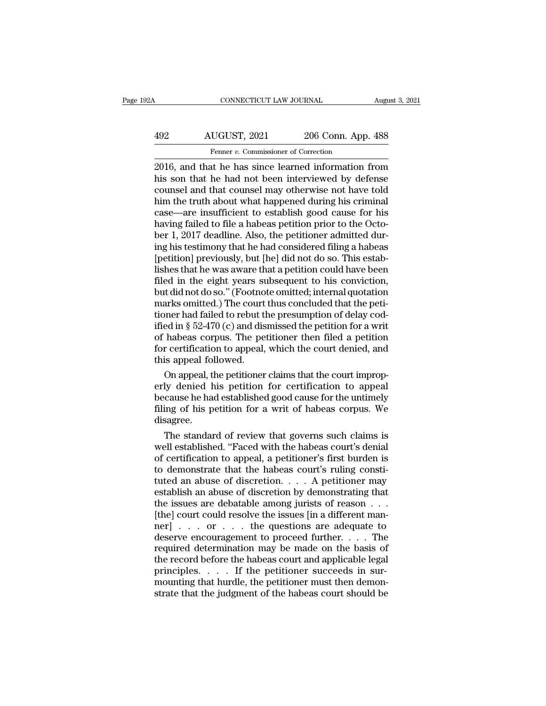# CONNECTICUT LAW JOURNAL August 3, 2021<br>492 AUGUST, 2021 206 Conn. App. 488<br>Fenner v. Commissioner of Correction Fenner *v.* Commissioner of Correction<br>Fenner *v.* Commissioner of Correction<br>at he has since learned information

CONNECTICUT LAW JOURNAL August 3, 2021<br>
2021 206 Conn. App. 488<br>
2016, and that he has since learned information from<br>
this son that he had not been interviewed by defense<br>
counsel and that counsel may otherwise not have t AUGUST, 2021 206 Conn. App. 488<br>
Fenner v. Commissioner of Correction<br>
2016, and that he has since learned information from<br>
his son that he had not been interviewed by defense<br>
counsel and that counsel may otherwise not h AUGUST, 2021 206 Conn. App. 488<br>
Fenner v. Commissioner of Correction<br>
2016, and that he has since learned information from<br>
his son that he had not been interviewed by defense<br>
counsel and that counsel may otherwise not  $\frac{492}{206}$  AUGUST, 2021 206 Conn. App. 488<br>
Fenner v. Commissioner of Correction<br>
2016, and that he has since learned information from<br>
his son that he had not been interviewed by defense<br>
counsel and that counsel may Fenner v. Commissioner of Correction<br>
2016, and that he has since learned information from<br>
his son that he had not been interviewed by defense<br>
counsel and that counsel may otherwise not have told<br>
him the truth about wh Fenner  $v$ . Commissioner of Correction<br>2016, and that he has since learned information from<br>his son that he had not been interviewed by defense<br>counsel and that counsel may otherwise not have told<br>him the truth about what 2016, and that he has since learned information from<br>his son that he had not been interviewed by defense<br>counsel and that counsel may otherwise not have told<br>him the truth about what happened during his criminal<br>case—are i his son that he had not been interviewed by defense<br>counsel and that counsel may otherwise not have told<br>him the truth about what happened during his criminal<br>case—are insufficient to establish good cause for his<br>having fa counsel and that counsel may otherwise not have told<br>him the truth about what happened during his criminal<br>case—are insufficient to establish good cause for his<br>having failed to file a habeas petition prior to the Octo-<br>be him the truth about what happened during his criminal<br>case—are insufficient to establish good cause for his<br>having failed to file a habeas petition prior to the Octo-<br>ber 1, 2017 deadline. Also, the petitioner admitted dur case—are insufficient to establish good cause for his<br>having failed to file a habeas petition prior to the Octo-<br>ber 1, 2017 deadline. Also, the petitioner admitted dur-<br>ing his testimony that he had considered filing a ha having failed to file a habeas petition prior to the October 1, 2017 deadline. Also, the petitioner admitted during his testimony that he had considered filing a habeas [petition] previously, but [he] did not do so. This e ber 1, 2017 deadline. Also, the petitioner admitted during his testimony that he had considered filing a habeas [petition] previously, but [he] did not do so. This establishes that he was aware that a petition could have ing his testimony that he had considered filing a habeas<br>[petition] previously, but [he] did not do so. This estab-<br>lishes that he was aware that a petition could have been<br>filed in the eight years subsequent to his convic [petition] previously, but [he] did not do so. This establishes that he was aware that a petition could have been<br>filed in the eight years subsequent to his conviction,<br>but did not do so." (Footnote omitted; internal quota lishes that he was aware that a petition could have been<br>filed in the eight years subsequent to his conviction,<br>but did not do so." (Footnote omitted; internal quotation<br>marks omitted.) The court thus concluded that the pe filed in the eight years subsequent to his conviction,<br>but did not do so." (Footnote omitted; internal quotation<br>marks omitted.) The court thus concluded that the peti-<br>tioner had failed to rebut the presumption of delay c but did not do so." (Footno<br>marks omitted.) The court<br>tioner had failed to rebut tl<br>ified in § 52-470 (c) and dis<br>of habeas corpus. The pe<br>for certification to appeal,<br>this appeal followed.<br>On appeal, the petitioner arks omitted.) The court thus concluded that the peti-<br>oner had failed to rebut the presumption of delay cod-<br>ed in § 52-470 (c) and dismissed the petition for a writ<br>habeas corpus. The petitioner then filed a petition<br>r c tioner had failed to rebut the presumption of delay cod-<br>ified in § 52-470 (c) and dismissed the petition for a writ<br>of habeas corpus. The petitioner then filed a petition<br>for certification to appeal, which the court deni

ified in § 52-470 (c) and dismissed the petition for a writ<br>of habeas corpus. The petitioner then filed a petition<br>for certification to appeal, which the court denied, and<br>this appeal followed.<br>On appeal, the petitioner cl of habeas corpus. The petitioner then filed a petition<br>for certification to appeal, which the court denied, and<br>this appeal followed.<br>On appeal, the petitioner claims that the court improp-<br>erly denied his petition for cer disagree. On appeal to bowed.<br>
On appeal, the petitioner claims that the court improp-<br>
ly denied his petition for certification to appeal<br>
cause he had established good cause for the untimely<br>
ing of his petition for a writ of habe On appeal, the petitioner claims that the court improperly denied his petition for certification to appeal<br>because he had established good cause for the untimely<br>filing of his petition for a writ of habeas corpus. We<br>disag

erly denied his petition for certification to appeal<br>because he had established good cause for the untimely<br>filing of his petition for a writ of habeas corpus. We<br>disagree.<br>The standard of review that governs such claims i because he had established good cause for the untimely<br>filing of his petition for a writ of habeas corpus. We<br>disagree.<br>The standard of review that governs such claims is<br>well established. "Faced with the habeas court's de filing of his petition for a writ of habeas corpus. We<br>disagree.<br>The standard of review that governs such claims is<br>well established. "Faced with the habeas court's denial<br>of certification to appeal, a petitioner's first b disagree.<br>
The standard of review that governs such claims is<br>
well established. "Faced with the habeas court's denial<br>
of certification to appeal, a petitioner's first burden is<br>
to demonstrate that the habeas court's rul The standard of review that governs such claims is<br>well established. "Faced with the habeas court's denial<br>of certification to appeal, a petitioner's first burden is<br>to demonstrate that the habeas court's ruling consti-<br>t well established. "Faced with the habeas court's denial of certification to appeal, a petitioner's first burden is to demonstrate that the habeas court's ruling constituted an abuse of discretion. . . . A petitioner may e of certification to appeal, a petitioner's first burden is<br>to demonstrate that the habeas court's ruling consti-<br>tuted an abuse of discretion  $\ldots$ . A petitioner may<br>establish an abuse of discretion by demonstrating that<br> to demonstrate that the habeas court's ruling constituted an abuse of discretion. . . . A petitioner may<br>establish an abuse of discretion by demonstrating that<br>the issues are debatable among jurists of reason . . .<br>[the] tuted an abuse of discretion. . . . A petitioner may<br>establish an abuse of discretion by demonstrating that<br>the issues are debatable among jurists of reason . . .<br>[the] court could resolve the issues [in a different man-<br> establish an abuse of discretion by demonstrating that<br>the issues are debatable among jurists of reason  $\dots$ <br>[the] court could resolve the issues [in a different man-<br>ner]  $\dots$  or  $\dots$  the questions are adequate to<br>deserv the issues are debatable among jurists of reason...<br>
[the] court could resolve the issues [in a different manner] . . . . or . . . the questions are adequate to<br>
deserve encouragement to proceed further. . . . The<br>
requir [the] court could resolve the issues [in a different manner]  $\dots$  or  $\dots$  the questions are adequate to deserve encouragement to proceed further.  $\dots$  The required determination may be made on the basis of the record befo strategy in the strategy of the questions are adequate to deserve encouragement to proceed further. . . . The required determination may be made on the basis of the record before the habeas court and applicable legal prin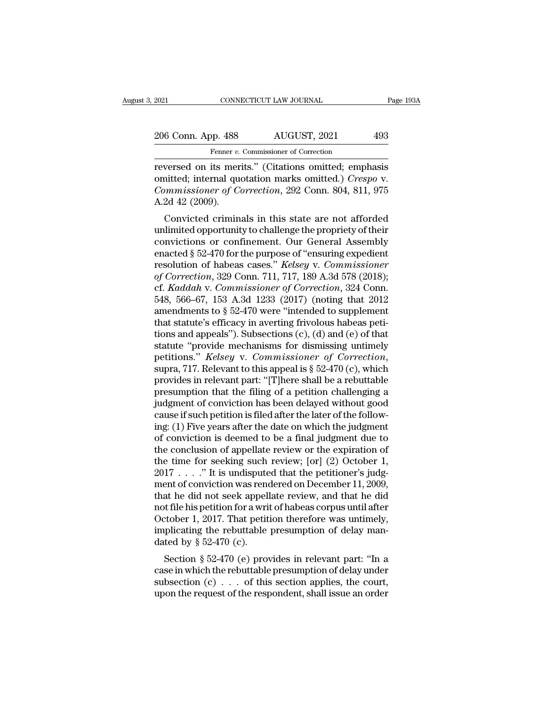| 2021               | CONNECTICUT LAW JOURNAL                              | Page 193A |
|--------------------|------------------------------------------------------|-----------|
| 206 Conn. App. 488 | AUGUST, 2021                                         | 493       |
|                    | Fenner v. Commissioner of Correction                 |           |
|                    | reversed on its merits" (Citations omitted: emphasis |           |

reversed on its merits.'' (Citations omitted; emphasis<br>
Tenner v. Commissioner of Correction<br>
Tenner v. Commissioner of Correction<br>
Tenner v. Commissioner of Corrections omitted; emphasis<br>
commissioner of Correction 202 Co 206 Conn. App. 488 AUGUST, 2021 493<br>
Fenner v. Commissioner of Correction<br>
reversed on its merits." (Citations omitted; emphasis<br>
omitted; internal quotation marks omitted.) *Crespo* v.<br> *Commissioner of Correction*, 292 C *Commissioner of Correction*, 292 Conn. 804, 811, 975 206 Conn. App. 488<br>
Fenner v.<br>
Teversed on its mer<br>
omitted; internal que<br>
Commissioner of Co<br>
A.2d 42 (2009).<br>
Convicted crimin Fenner v. Commissioner of Correction<br>
versed on its merits." (Citations omitted; emphasis<br>
nitted; internal quotation marks omitted.) *Crespo* v.<br>
mumissioner of Correction, 292 Conn. 804, 811, 975<br>
2d 42 (2009).<br>
Convicte reversed on its merits." (Citations omitted; emphasis<br>omitted; internal quotation marks omitted.) *Crespo v.*<br>*Commissioner of Correction*, 292 Conn. 804, 811, 975<br>A.2d 42 (2009).<br>Convicted criminals in this state are not

reversed on its ments. (Chanons omitted, emphasis<br>omitted; internal quotation marks omitted.) *Crespo v.*<br>*Commissioner of Correction*, 292 Conn. 804, 811, 975<br>A.2d 42 (2009).<br>Convicted criminals in this state are not affo Formissioner of Correction, 292 Conn. 804, 811, 975<br>A.2d 42 (2009).<br>Convicted criminals in this state are not afforded<br>unlimited opportunity to challenge the propriety of their<br>convictions or confinement. Our General Assem commissioner of Correction, 292 Contr. 804, 811, 975<br>A.2d 42 (2009).<br>Convicted criminals in this state are not afforded<br>unlimited opportunity to challenge the propriety of their<br>convictions or confinement. Our General Asse *A.2d 42 (2009).*<br> *Convicted criminals in this state are not afforded*<br>
unlimited opportunity to challenge the propriety of their<br>
convictions or confinement. Our General Assembly<br>
enacted § 52-470 for the purpose of "ens Convicted criminals in this state are not afforded<br>unlimited opportunity to challenge the propriety of their<br>convictions or confinement. Our General Assembly<br>enacted § 52-470 for the purpose of "ensuring expedient<br>resoluti unlimited opportunity to challenge the propriety of their<br>convictions or confinement. Our General Assembly<br>enacted § 52-470 for the purpose of "ensuring expedient<br>resolution of habeas cases." *Kelsey v. Commissioner*<br>of Co convictions or confinement. Our General Assembly<br>enacted § 52-470 for the purpose of "ensuring expedient<br>resolution of habeas cases." *Kelsey v. Commissioner*<br>of Correction, 329 Conn. 711, 717, 189 A.3d 578 (2018);<br>cf. *K* enacted § 52-470 for the purpose of "ensuring expedient<br>resolution of habeas cases." *Kelsey v. Commissioner*<br>of Correction, 329 Conn. 711, 717, 189 A.3d 578 (2018);<br>cf. *Kaddah v. Commissioner of Correction*, 324 Conn.<br>5 resolution of habeas cases." *Kelsey v. Commissioner*<br>of Correction, 329 Conn. 711, 717, 189 A.3d 578 (2018);<br>cf. *Kaddah v. Commissioner of Correction*, 324 Conn.<br>548, 566–67, 153 A.3d 1233 (2017) (noting that 2012<br>amend of Correction, 329 Conn. 711, 717, 189 A.3d 578 (2018);<br>cf. *Kaddah v. Commissioner of Correction*, 324 Conn.<br>548, 566–67, 153 A.3d 1233 (2017) (noting that 2012<br>amendments to § 52-470 were "intended to supplement<br>that st cf. *Kaddah* v. *Commissioner of Correction*, 324 Conn.<br>548, 566–67, 153 A.3d 1233 (2017) (noting that 2012<br>amendments to § 52-470 were "intended to supplement<br>that statute's efficacy in averting frivolous habeas peti-<br>tio amendments to § 52-470 were "intended to supplement<br>that statute's efficacy in averting frivolous habeas peti-<br>tions and appeals"). Subsections  $(c)$ ,  $(d)$  and  $(e)$  of that<br>statute "provide mechanisms for dismissing untime that statute's efficacy in averting frivolous habeas petitions and appeals"). Subsections  $(c)$ ,  $(d)$  and  $(e)$  of that statute "provide mechanisms for dismissing untimely petitions." *Kelsey v. Commissioner of Correction*, tions and appeals"). Subsections (c), (d) and (e) of that<br>statute "provide mechanisms for dismissing untimely<br>petitions." *Kelsey* v. *Commissioner of Correction*,<br>supra, 717. Relevant to this appeal is § 52-470 (c), whic statute "provide mechanisms for dismissing untimely<br>petitions." *Kelsey* v. *Commissioner of Correction*,<br>supra, 717. Relevant to this appeal is § 52-470 (c), which<br>provides in relevant part: "[T]here shall be a rebuttable petitions." *Kelsey* v. *Commissioner of Correction*,<br>supra, 717. Relevant to this appeal is § 52-470 (c), which<br>provides in relevant part: "[T]here shall be a rebuttable<br>presumption that the filing of a petition challengi supra, 717. Relevant to this appeal is § 52-470 (c), which<br>provides in relevant part: "[T]here shall be a rebuttable<br>presumption that the filing of a petition challenging a<br>judgment of conviction has been delayed without provides in relevant part: "[T]here shall be a rebuttable<br>presumption that the filing of a petition challenging a<br>judgment of conviction has been delayed without good<br>cause if such petition is filed after the later of the presumption that the filing of a petition challenging a<br>judgment of conviction has been delayed without good<br>cause if such petition is filed after the later of the follow-<br>ing: (1) Five years after the date on which the j judgment of conviction has been delayed without good<br>cause if such petition is filed after the later of the follow-<br>ing: (1) Five years after the date on which the judgment<br>of conviction is deemed to be a final judgment du cause if such petition is filed after the later of the following: (1) Five years after the date on which the judgment<br>of conviction is deemed to be a final judgment due to<br>the conclusion of appellate review or the expirati ing: (1) Five years after the date on which the judgment<br>of conviction is deemed to be a final judgment due to<br>the conclusion of appellate review or the expiration of<br>the time for seeking such review; [or] (2) October 1,<br> of conviction is deemed to be a final judgment due to<br>the conclusion of appellate review or the expiration of<br>the time for seeking such review; [or] (2) October 1,<br> $2017...$  "It is undisputed that the petitioner's judg-<br>men the conclusion of appellate review or the expiration of<br>the time for seeking such review; [or] (2) October 1,<br>2017....." It is undisputed that the petitioner's judg-<br>ment of conviction was rendered on December 11, 2009,<br>t the time for seeking such review; [or] (2) October 1,  $2017...$  "..." It is undisputed that the petitioner's judgment of conviction was rendered on December 11, 2009, that he did not seek appellate review, and that he did n 2017 . . . . ." It is undispute<br>ment of conviction was rend<br>that he did not seek appell<br>not file his petition for a wri<br>October 1, 2017. That petit<br>implicating the rebuttable<br>dated by  $\S 52-470$  (c).<br>Section  $\S 52-470$  (e EXECTE IN CONVICUON WAS FERGETED OF DECEMBET 11, 2009,<br>at he did not seek appellate review, and that he did<br>t file his petition for a writ of habeas corpus until after<br>tober 1, 2017. That petition therefore was untimely,<br>p case in which the researched presumption of delay mandated by § 52-470 (c).<br>Section for a writ of habeas corpus until after October 1, 2017. That petition therefore was untimely, implicating the rebuttable presumption of

subsection (c) and the mass corpus until after<br>October 1, 2017. That petition therefore was untimely,<br>implicating the rebuttable presumption of delay man-<br>dated by § 52-470 (e) provides in relevant part: "In a<br>case in whi Unitary, implicating the rebuttable presumption of delay mandated by  $\S$  52-470 (c).<br>Section  $\S$  52-470 (e) provides in relevant part: "In a case in which the rebuttable presumption of delay under subsection (c) . . . of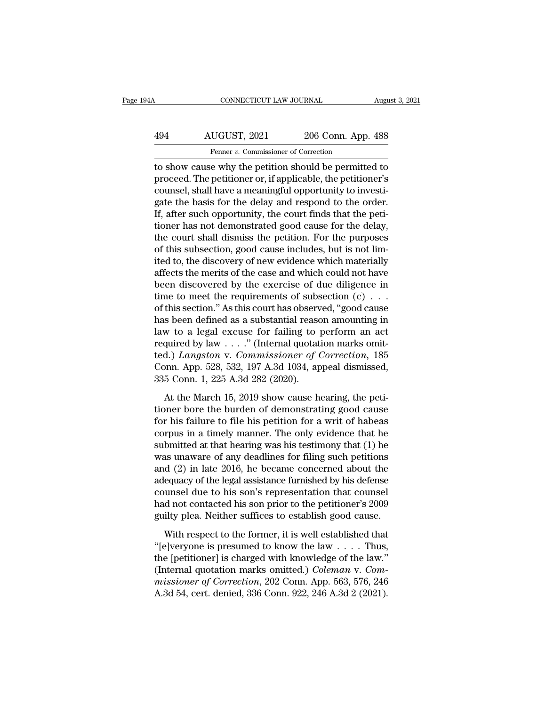# CONNECTICUT LAW JOURNAL August 3, 2021<br>494 AUGUST, 2021 206 Conn. App. 488<br>Fenner v. Commissioner of Correction Fenner *v.* Commissioner of Correction<br>Fenner *v.* Commissioner of Correction<br>Fenner *v.* Commissioner of Correction<br>P. Why the netition should be nermitted

CONNECTICUT LAW JOURNAL August 3, 2021<br>
494 AUGUST, 2021 206 Conn. App. 488<br>
Fenner v. Commissioner of Correction<br>
to show cause why the petition should be permitted to<br>
proceed. The petitioner or, if applicable, the petit AUGUST, 2021 206 Conn. App. 488<br>
Fenner v. Commissioner of Correction<br>
to show cause why the petition should be permitted to<br>
proceed. The petitioner or, if applicable, the petitioner's<br>
counsel, shall have a meaningful op  $\frac{494}{\text{Femer } v. \text{ Commissioner of Correction}}$ <br>  $\frac{488}{\text{Femer } v. \text{ Commissioner of Correction}}$ <br>
to show cause why the petition should be permitted to proceed. The petitioner or, if applicable, the petitioner's counsel, shall have a meaningful opportunity to inv  $\frac{\text{AUGUST, 2021}}{\text{Ferner } v. \text{ Commissioner of Correction}}$ <br>to show cause why the petition should be permitted to<br>proceed. The petitioner or, if applicable, the petitioner's<br>counsel, shall have a meaningful opportunity to investi-<br>gate the basis f Framer v. Commissioner of Correction<br>to show cause why the petition should be permitted to<br>proceed. The petitioner or, if applicable, the petitioner's<br>counsel, shall have a meaningful opportunity to investi-<br>gate the basi Femer  $v$ . Commissioner of correction<br>to show cause why the petition should be permitted to<br>proceed. The petitioner or, if applicable, the petitioner's<br>counsel, shall have a meaningful opportunity to investi-<br>gate the bas to show cause why the petition should be permitted to<br>proceed. The petitioner or, if applicable, the petitioner's<br>counsel, shall have a meaningful opportunity to investi-<br>gate the basis for the delay and respond to the ord proceed. The petitioner or, if applicable, the petitioner's counsel, shall have a meaningful opportunity to investigate the basis for the delay and respond to the order. If, after such opportunity, the court finds that the counsel, shall have a meaningful opportunity to investigate the basis for the delay and respond to the order.<br>If, after such opportunity, the court finds that the petitioner has not demonstrated good cause for the delay,<br>t gate the basis for the delay and respond to the order.<br>If, after such opportunity, the court finds that the peti-<br>tioner has not demonstrated good cause for the delay,<br>the court shall dismiss the petition. For the purposes If, after such opportunity, the court finds that the petitioner has not demonstrated good cause for the delay,<br>the court shall dismiss the petition. For the purposes<br>of this subsection, good cause includes, but is not lim tioner has not demonstrated good cause for the delay,<br>the court shall dismiss the petition. For the purposes<br>of this subsection, good cause includes, but is not lim-<br>ited to, the discovery of new evidence which materially the court shall dismiss the petition. For the purposes<br>of this subsection, good cause includes, but is not lim-<br>ited to, the discovery of new evidence which materially<br>affects the merits of the case and which could not hav of this subsection, good cause includes, but is not limited to, the discovery of new evidence which materially affects the merits of the case and which could not have been discovered by the exercise of due diligence in ti ited to, the discovery of new evidence which materially<br>affects the merits of the case and which could not have<br>been discovered by the exercise of due diligence in<br>time to meet the requirements of subsection  $(c) \ldots$ <br>of th affects the merits of the case and which could not have<br>been discovered by the exercise of due diligence in<br>time to meet the requirements of subsection  $(c) \dots$ <br>of this section." As this court has observed, "good cause<br>has been discovered by the exercise of due diligence in<br>time to meet the requirements of subsection  $(c) \ldots$ <br>of this section." As this court has observed, "good cause<br>has been defined as a substantial reason amounting in<br>law t time to meet the requirements of subsection  $(c) \dots$ <br>of this section." As this court has observed, "good cause<br>has been defined as a substantial reason amounting in<br>law to a legal excuse for failing to perform an act<br>requir of this section." As this court has observ<br>has been defined as a substantial reasc<br>law to a legal excuse for failing to prequired by law . . . ." (Internal quotat<br>ted.) *Langston* v. *Commissioner of* (<br>Conn. App. 528, 53 w to a legal excuse for failing to perform an act<br>quired by law  $\ldots$ ." (Internal quotation marks omit-<br>d.) *Langston* v. *Commissioner of Correction*, 185<br>pnn. App. 528, 532, 197 A.3d 1034, appeal dismissed,<br>5 Conn. 1, 2 required by law  $\ldots$ ." (Internal quotation marks omitted.) *Langston v. Commissioner of Correction*, 185<br>Conn. App. 528, 532, 197 A.3d 1034, appeal dismissed,<br>335 Conn. 1, 225 A.3d 282 (2020).<br>At the March 15, 2019 show

ted.) *Langston* v. *Commissioner of Correction*, 185<br>Conn. App. 528, 532, 197 A.3d 1034, appeal dismissed,<br>335 Conn. 1, 225 A.3d 282 (2020).<br>At the March 15, 2019 show cause hearing, the peti-<br>tioner bore the burden of de Conn. App. 528, 532, 197 A.3d 1034, appeal dismissed,<br>335 Conn. 1, 225 A.3d 282 (2020).<br>At the March 15, 2019 show cause hearing, the peti-<br>tioner bore the burden of demonstrating good cause<br>for his failure to file his pe 335 Conn. 1, 225 A.3d 282 (2020).<br>At the March 15, 2019 show cause hearing, the petitioner bore the burden of demonstrating good cause<br>for his failure to file his petition for a writ of habeas<br>corpus in a timely manner. T At the March 15, 2019 show cause hearing, the petitioner bore the burden of demonstrating good cause<br>for his failure to file his petition for a writ of habeas<br>corpus in a timely manner. The only evidence that he<br>submitted At the March 15, 2019 show cause hearing, the peti-<br>tioner bore the burden of demonstrating good cause<br>for his failure to file his petition for a writ of habeas<br>corpus in a timely manner. The only evidence that he<br>submitte tioner bore the burden of demonstrating good cause<br>for his failure to file his petition for a writ of habeas<br>corpus in a timely manner. The only evidence that he<br>submitted at that hearing was his testimony that (1) he<br>was for his failure to file his petition for a writ of habeas<br>corpus in a timely manner. The only evidence that he<br>submitted at that hearing was his testimony that (1) he<br>was unaware of any deadlines for filing such petitions<br> corpus in a timely manner. The only evidence that he<br>submitted at that hearing was his testimony that (1) he<br>was unaware of any deadlines for filing such petitions<br>and (2) in late 2016, he became concerned about the<br>adequa submitted at that hearing was his testimony that (1) he was unaware of any deadlines for filing such petitions and (2) in late 2016, he became concerned about the adequacy of the legal assistance furnished by his defense c d (2) in late 2016, he became concerned about the equacy of the legal assistance furnished by his defense unsel due to his son's representation that counsel d not contacted his son prior to the petitioner's 2009 ilty plea adequacy of the legal assistance furnished by his defense<br>
counsel due to his son's representation that counsel<br>
had not contacted his son prior to the petitioner's 2009<br>
guilty plea. Neither suffices to establish good ca

counsel due to his son's representation that counsel<br>had not contacted his son prior to the petitioner's 2009<br>guilty plea. Neither suffices to establish good cause.<br>With respect to the former, it is well established that<br> had not contacted his son prior to the petitioner's 2009<br>guilty plea. Neither suffices to establish good cause.<br>With respect to the former, it is well established that<br>"[e]veryone is presumed to know the law . . . . Thus,<br> *missioner* of Correction and Supplem Control of Correction<br> *missioner* of the former, it is well established that<br> *"*[e]veryone is presumed to know the law . . . . Thus,<br>
the [petitioner] is charged with knowledge of th With respect to the former, it is well established that "[e]veryone is presumed to know the law . . . . Thus, the [petitioner] is charged with knowledge of the law."<br>(Internal quotation marks omitted.) *Coleman v. Commiss*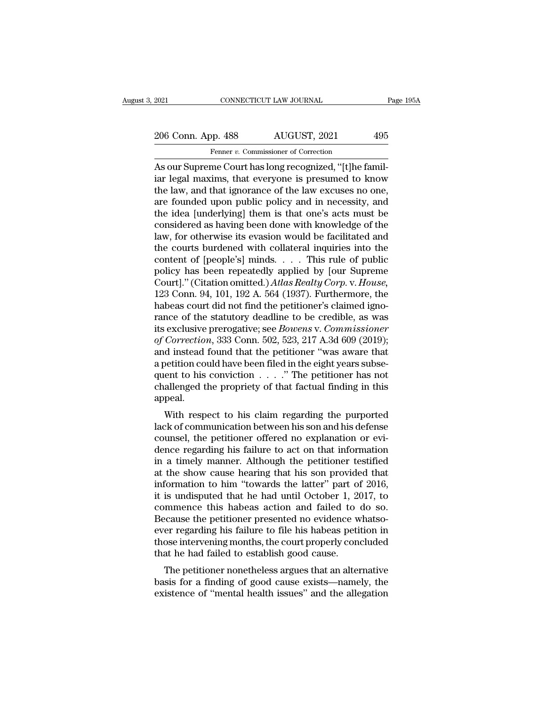2021 CONNECTICUT LAW JOURNAL Page 195A<br>
206 Conn. App. 488 AUGUST, 2021 495<br>
Fenner v. Commissioner of Correction Fenner *v.* Commissioner of Correction

EXECUTE 2021<br>
2006 Conn. App. 488 AUGUST, 2021 495<br>
2006 Conn. App. 488 AUGUST, 2021 495<br>
2006 Conn. App. 488 AUGUST, 2021 495<br>
2016 Fenner v. Commissioner of Correction<br>
As our Supreme Court has long recognized, "[t]he fa 206 Conn. App. 488 AUGUST, 2021 495<br>
Fenner v. Commissioner of Correction<br>
As our Supreme Court has long recognized, "[t]he familiar legal maxims, that everyone is presumed to know<br>
the law, and that ignorance of the law e 206 Conn. App. 488 AUGUST, 2021 495<br>
Fenner v. Commissioner of Correction<br>
As our Supreme Court has long recognized, "[t]he familiar legal maxims, that everyone is presumed to know<br>
the law, and that ignorance of the law 206 Conn. App. 488 AUGUST, 2021 495<br>
Fenner v. Commissioner of Correction<br>
As our Supreme Court has long recognized, "[t]he familiar legal maxims, that everyone is presumed to know<br>
the law, and that ignorance of the law France *Research* **Excess, 2011 Excess, 2012 Excess, 2012 Excess, 2012 Excess, 2012 Excess, 2013 Excess, 2013 Excession Excession Excession Excession Excession Excession Excession Excession Ex** Fenner v. Commissioner of Correction<br>As our Supreme Court has long recognized, "[t]he famil-<br>iar legal maxims, that everyone is presumed to know<br>the law, and that ignorance of the law excuses no one,<br>are founded upon publ As our Supreme Court has long recognized, "[t]he familiar legal maxims, that everyone is presumed to know<br>the law, and that ignorance of the law excuses no one,<br>are founded upon public policy and in necessity, and<br>the idea iar legal maxims, that everyone is presumed to know<br>the law, and that ignorance of the law excuses no one,<br>are founded upon public policy and in necessity, and<br>the idea [underlying] them is that one's acts must be<br>consider the law, and that ignorance of the law excuses no one,<br>are founded upon public policy and in necessity, and<br>the idea [underlying] them is that one's acts must be<br>considered as having been done with knowledge of the<br>law, f are founded upon public policy and in necessity, and<br>the idea [underlying] them is that one's acts must be<br>considered as having been done with knowledge of the<br>law, for otherwise its evasion would be facilitated and<br>the c the idea [underlying] them is that one's acts must be considered as having been done with knowledge of the law, for otherwise its evasion would be facilitated and the courts burdened with collateral inquiries into the cont considered as having been done with knowledge of the<br>law, for otherwise its evasion would be facilitated and<br>the courts burdened with collateral inquiries into the<br>content of [people's] minds. . . . This rule of public<br>po law, for otherwise its evasion would be facilitated and<br>the courts burdened with collateral inquiries into the<br>content of [people's] minds. . . . This rule of public<br>policy has been repeatedly applied by [our Supreme<br>Cour the courts burdened with collateral inquiries into the content of [people's] minds. . . . This rule of public policy has been repeatedly applied by [our Supreme Court]." (Citation omitted.) Atlas Realty Corp. v. House, 12 content of [people's] minds. . . . This rule of public<br>policy has been repeatedly applied by [our Supreme<br>Court]." (Citation omitted.) *Atlas Realty Corp.* v. *House*,<br>123 Conn. 94, 101, 192 A. 564 (1937). Furthermore, the policy has been repeatedly applied by [our Supreme Court]." (Citation omitted.) *Atlas Realty Corp. v. House*, 123 Conn. 94, 101, 192 A. 564 (1937). Furthermore, the habeas court did not find the petitioner's claimed ignor Court]." (Citation omitted.) Atlas Realty Corp. v. House,<br>123 Conn. 94, 101, 192 A. 564 (1937). Furthermore, the<br>habeas court did not find the petitioner's claimed igno-<br>rance of the statutory deadline to be credible, as w 123 Conn. 94, 101, 192 A. 564 (1937). Furthermore, the habeas court did not find the petitioner's claimed ignorance of the statutory deadline to be credible, as was its exclusive prerogative; see *Bowens* v. *Commissioner* habeas court did not find the petitioner's claimed ignorance of the statutory deadline to be credible, as was<br>its exclusive prerogative; see *Bowens* v. *Commissioner*<br>of Correction, 333 Conn. 502, 523, 217 A.3d 609 (2019 rance of the statutory deadline to be credible, as was<br>its exclusive prerogative; see *Bowens* v. *Commissioner*<br>of *Correction*, 333 Conn. 502, 523, 217 A.3d 609 (2019);<br>and instead found that the petitioner "was aware t appeal. Correction, 333 Collin. 302, 323, 217 A.3d 009 (2019),<br>d instead found that the petitioner "was aware that<br>betition could have been filed in the eight years subse-<br>ent to his conviction  $\ldots$ ." The petitioner has not<br>alle and instead found that the petrioner was aware that<br>a petition could have been filed in the eight years subsequent to his conviction  $\ldots$ ." The petitioner has not<br>challenged the propriety of that factual finding in this<br>

 $\alpha$  petition could have been fied in the eight years subsequent to his conviction  $\ldots$ ." The petitioner has not challenged the propriety of that factual finding in this appeal.<br>With respect to his claim regarding the pu duent to ins conviction  $\ldots$  . The petritorer has not challenged the propriety of that factual finding in this appeal.<br>With respect to his claim regarding the purported lack of communication between his son and his defen in a timeliar the prophety of that factual finding in this<br>appeal.<br>With respect to his claim regarding the purported<br>lack of communication between his son and his defense<br>counsel, the petitioner offered no explanation or e with respect to his claim regarding the purported<br>lack of communication between his son and his defense<br>counsel, the petitioner offered no explanation or evi-<br>dence regarding his failure to act on that information<br>in a ti With respect to his claim regarding the purported<br>lack of communication between his son and his defense<br>counsel, the petitioner offered no explanation or evi-<br>dence regarding his failure to act on that information<br>in a tim lack of communication between his son and his defense<br>counsel, the petitioner offered no explanation or evi-<br>dence regarding his failure to act on that information<br>in a timely manner. Although the petitioner testified<br>at t counsel, the petitioner offered no explanation or evi-<br>dence regarding his failure to act on that information<br>in a timely manner. Although the petitioner testified<br>at the show cause hearing that his son provided that<br>infor dence regarding his failure to act on that information<br>in a timely manner. Although the petitioner testified<br>at the show cause hearing that his son provided that<br>information to him "towards the latter" part of 2016,<br>it is in a timely manner. Although the petitioner testified<br>at the show cause hearing that his son provided that<br>information to him "towards the latter" part of 2016,<br>it is undisputed that he had until October 1, 2017, to<br>commen at the show cause hearing that his son provided that<br>information to him "towards the latter" part of 2016,<br>it is undisputed that he had until October 1, 2017, to<br>commence this habeas action and failed to do so.<br>Because the information to him "towards the latter" part of<br>it is undisputed that he had until October 1, 20<br>commence this habeas action and failed to<br>Because the petitioner presented no evidence w<br>ever regarding his failure to file h Is undisplued that he had untin October 1, 2017, to<br>mmence this habeas action and failed to do so.<br>ccause the petitioner presented no evidence whatso-<br>er regarding his failure to file his habeas petition in<br>ose intervening because the petitioner presented no evidence whatso-<br>ever regarding his failure to file his habeas petition in<br>those intervening months, the court properly concluded<br>that he had failed to establish good cause.<br>The petition because the petholier presented no evidence whatso-<br>ever regarding his failure to file his habeas petition in<br>those intervening months, the court properly concluded<br>that he had failed to establish good cause.<br>The petitione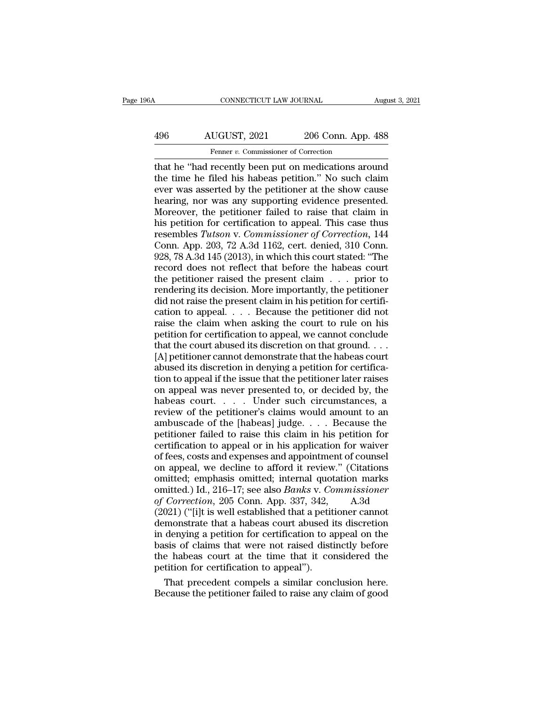# CONNECTICUT LAW JOURNAL August 3, 2021<br>496 AUGUST, 2021 206 Conn. App. 488<br>Fenner v. Commissioner of Correction EXECTICUT LAW JOURNAL<br>IUGUST, 2021 206 Conn. App<br>Fenner *v.* Commissioner of Correction<br>Fecently been put on medications are

CONNECTICUT LAW JOURNAL August 3, 2021<br>
AUGUST, 2021 206 Conn. App. 488<br>
Fenner v. Commissioner of Correction<br>
that he "had recently been put on medications around<br>
the time he filed his habeas petition." No such claim<br>
ev AUGUST, 2021 206 Conn. App. 488<br>
Fenner v. Commissioner of Correction<br>
that he "had recently been put on medications around<br>
the time he filed his habeas petition.'' No such claim<br>
ever was asserted by the petitioner at th 496  $\overline{AUGUST}$ , 2021  $\overline{AUGUST}$ , 2021  $\overline{A}$  206 Conn. App. 488<br>  $\overline{P}$   $\overline{P}$   $\overline{P}$   $\overline{P}$   $\overline{P}$   $\overline{P}$   $\overline{P}$   $\overline{P}$   $\overline{P}$   $\overline{P}$   $\overline{P}$   $\overline{P}$   $\overline{P}$   $\overline{P}$   $\overline{P}$   $\overline{P}$   $\overline{P}$   $\frac{\text{AUGUST, 2021}}{\text{Ferner } v. \text{ Commissioner of Correction}}$ <br>
that he "had recently been put on medications around<br>
the time he filed his habeas petition." No such claim<br>
ever was asserted by the petitioner at the show cause<br>
hearing, nor was any s From the petitioner of Correction<br>
That he "had recently been put on medications around<br>
the time he filed his habeas petition." No such claim<br>
ever was asserted by the petitioner at the show cause<br>
hearing, nor was any s Fenner v. Commissioner of Correction<br>that he "had recently been put on medications around<br>the time he filed his habeas petition." No such claim<br>ever was asserted by the petitioner at the show cause<br>hearing, nor was any su that he "had recently been put on medications around<br>the time he filed his habeas petition." No such claim<br>ever was asserted by the petitioner at the show cause<br>hearing, nor was any supporting evidence presented.<br>Moreover, the time he filed his habeas petition." No such claim<br>ever was asserted by the petitioner at the show cause<br>hearing, nor was any supporting evidence presented.<br>Moreover, the petitioner failed to raise that claim in<br>his pet ever was asserted by the petitioner at the show cause<br>hearing, nor was any supporting evidence presented.<br>Moreover, the petitioner failed to raise that claim in<br>his petition for certification to appeal. This case thus<br>rese hearing, nor was any supporting evidence presented.<br>Moreover, the petitioner failed to raise that claim in<br>his petition for certification to appeal. This case thus<br>resembles Tutson v. Commissioner of Correction, 144<br>Conn. Moreover, the petitioner failed to raise that claim in<br>his petition for certification to appeal. This case thus<br>resembles *Tutson* v. *Commissioner of Correction*, 144<br>Conn. App. 203, 72 A.3d 1162, cert. denied, 310 Conn. his petition for certification to appeal. This case thus<br>resembles *Tutson v. Commissioner of Correction*, 144<br>Conn. App. 203, 72 A.3d 1162, cert. denied, 310 Conn.<br>928, 78 A.3d 145 (2013), in which this court stated: "The resembles Tutson v. Commissioner of Correction, 144<br>Conn. App. 203, 72 A.3d 1162, cert. denied, 310 Conn.<br>928, 78 A.3d 145 (2013), in which this court stated: "The<br>record does not reflect that before the habeas court<br>the Conn. App. 203, 72 A.3d 1162, cert. denied, 310 Conn.<br>928, 78 A.3d 145 (2013), in which this court stated: "The<br>record does not reflect that before the habeas court<br>the petitioner raised the present claim  $\dots$  prior to<br>re 928, 78 A.3d 145 (2013), in which this court stated: "The record does not reflect that before the habeas court<br>the petitioner raised the present claim  $\dots$  prior to<br>rendering its decision. More importantly, the petitioner record does not reflect that before the habeas court<br>the petitioner raised the present claim  $\dots$  prior to<br>rendering its decision. More importantly, the petitioner<br>did not raise the present claim in his petition for certi the petitioner raised the present claim  $\ldots$  prior to rendering its decision. More importantly, the petitioner did not raise the present claim in his petition for certification to appeal.  $\ldots$  Because the petitioner did rendering its decision. More importantly, the petitioner<br>did not raise the present claim in his petition for certifi-<br>cation to appeal.  $\ldots$  Because the petitioner did not<br>raise the claim when asking the court to rule on did not raise the present claim in his petition for certification to appeal.  $\ldots$  Because the petitioner did not raise the claim when asking the court to rule on his petition for certification to appeal, we cannot conclu cation to appeal.  $\ldots$  Because the petitioner did not<br>raise the claim when asking the court to rule on his<br>petition for certification to appeal, we cannot conclude<br>that the court abused its discretion on that ground.  $\ld$ raise the claim when asking the court to rule on his<br>petition for certification to appeal, we cannot conclude<br>that the court abused its discretion on that ground. . . .<br>[A] petitioner cannot demonstrate that the habeas co petition for certification to appeal, we cannot conclude<br>that the court abused its discretion on that ground. . . .<br>[A] petitioner cannot demonstrate that the habeas court<br>abused its discretion in denying a petition for ce that the court abused its discretion on that ground....<br>
[A] petitioner cannot demonstrate that the habeas court<br>
abused its discretion in denying a petition for certifica-<br>
tion to appeal if the issue that the petitioner [A] petitioner cannot demonstrate that the habeas court<br>abused its discretion in denying a petition for certifica-<br>tion to appeal if the issue that the petitioner later raises<br>on appeal was never presented to, or decided petition in denying a petition for certifica-<br>tion to appeal if the issue that the petitioner later raises<br>on appeal was never presented to, or decided by, the<br>habeas court.... Under such circumstances, a<br>review of the pe tion to appeal if the issue that the petitioner later raises<br>on appeal was never presented to, or decided by, the<br>habeas court. . . . . Under such circumstances, a<br>review of the petitioner's claims would amount to an<br>ambu on appeal was never presented to, or decided by, the<br>habeas court. . . . . Under such circumstances, a<br>review of the petitioner's claims would amount to an<br>ambuscade of the [habeas] judge. . . . Because the<br>petitioner fai habeas court. . . . . Under such circumstances, a<br>review of the petitioner's claims would amount to an<br>ambuscade of the [habeas] judge. . . . Because the<br>petitioner failed to raise this claim in his petition for<br>certifica review of the petitioner's claims would amount to an ambuscade of the [habeas] judge. . . . Because the petitioner failed to raise this claim in his petition for certification to appeal or in his application for waiver of ambuscade of the [habeas] judge. . . . Because the<br>petitioner failed to raise this claim in his petition for<br>certification to appeal or in his application for waiver<br>of fees, costs and expenses and appointment of counsel<br>o petitioner failed to raise this claim in his petition for<br>certification to appeal or in his application for waiver<br>of fees, costs and expenses and appointment of counsel<br>on appeal, we decline to afford it review." (Citatio certification to appeal or in his application for waiver<br>of fees, costs and expenses and appointment of counsel<br>on appeal, we decline to afford it review." (Citations<br>omitted; emphasis omitted; internal quotation marks<br>omi of fees, costs and expenses and appointment of counsel<br>on appeal, we decline to afford it review." (Citations<br>omitted; emphasis omitted; internal quotation marks<br>omitted.) Id., 216–17; see also *Banks* v. *Commissioner*<br>o on appeal, we decline to afford it review." (Citations<br>omitted; emphasis omitted; internal quotation marks<br>omitted.) Id., 216–17; see also *Banks v. Commissioner*<br>of *Correction*, 205 Conn. App. 337, 342, A.3d<br>(2021) ("[i] omitted; emphasis omitted; internal quotation marks<br>omitted.) Id., 216–17; see also *Banks* v. *Commissioner*<br>of *Correction*, 205 Conn. App. 337, 342, A.3d<br>(2021) ("[i]t is well established that a petitioner cannot<br>demons omitted.) Id., 216–17; see also *Banks v. Commissioner*<br>of *Correction*, 205 Conn. App. 337, 342, A.3d<br>(2021) ("[i]t is well established that a petitioner cannot<br>demonstrate that a habeas court abused its discretion<br>in den of Correction, 205 Conn. App. 337, 342, (2021) ("[i]t is well established that a petit demonstrate that a habeas court abused in denying a petition for certification to a basis of claims that were not raised distitute habe 021) ("[i]t is well established that a petitioner cannot<br>monstrate that a habeas court abused its discretion<br>denying a petition for certification to appeal on the<br>sis of claims that were not raised distinctly before<br>e habe demonstrate that a habeas court abused its discretion<br>in denying a petition for certification to appeal on the<br>basis of claims that were not raised distinctly before<br>the habeas court at the time that it considered the<br>peti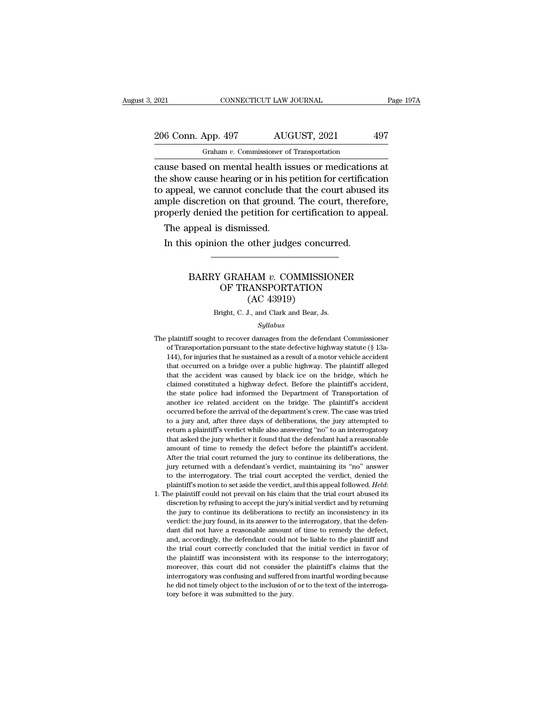# 2021 CONNECTICUT LAW JOURNAL Page 197A<br>
206 Conn. App. 497 AUGUST, 2021 497<br>
Graham v. Commissioner of Transportation Graham *v.* Commissioner of Transportation

connectricut LAW JOURNAL Page 1974<br>
206 Conn. App. 497 AUGUST, 2021 497<br>
Graham v. Commissioner of Transportation<br>
cause based on mental health issues or medications at<br>
the show cause hearing or in his petition for certif 206 Conn. App. 497 AUGUST, 2021 497<br>
Graham v. Commissioner of Transportation<br>
cause based on mental health issues or medications at<br>
the show cause hearing or in his petition for certification<br>
to appeal, we cannot conclu 206 Conn. App. 497 AUGUST, 2021 497<br>
Graham v. Commissioner of Transportation<br>
cause based on mental health issues or medications at<br>
the show cause hearing or in his petition for certification<br>
to appeal, we cannot concl 206 Conn. App. 497 AUGUST, 2021 497<br>
Graham *v*. Commissioner of Transportation<br>
cause based on mental health issues or medications at<br>
the show cause hearing or in his petition for certification<br>
to appeal, we cannot conc For example the second,  $\frac{1}{2}$  and  $\frac{1}{2}$   $\frac{1}{2}$   $\frac{1}{2}$   $\frac{1}{2}$   $\frac{1}{2}$   $\frac{1}{2}$   $\frac{1}{2}$   $\frac{1}{2}$   $\frac{1}{2}$   $\frac{1}{2}$   $\frac{1}{2}$   $\frac{1}{2}$   $\frac{1}{2}$   $\frac{1}{2}$   $\frac{1}{2}$   $\frac{1}{2}$   $\frac{1}{2}$   $\frac{1}{2}$   $\frac$ The appeal of mental health is<br>also also a mental health is<br>appeal, we cannot conclude the<br>peal, we cannot conclude the<br>peal is dismissed.<br>The appeal is dismissed.<br>In this opinion the other judg Example show cause hearing or in his petition for certifical<br>appeal, we cannot conclude that the court abused<br>uple discretion on that ground. The court, therefore operly denied the petition for certification to app<br>The app

### Secretion of that ground. The court, therefore,<br>
denied the petition for certification to appeal.<br>
ppeal is dismissed.<br>
sopinion the other judges concurred.<br> **BARRY GRAHAM** *v***. COMMISSIONER**<br>
OF TRANSPORTATION<br>
(AC 43919) Factor for Certification to appear<br>
Scheinissed.<br>
OF TRANSPORTATION<br>
(AC 43919) issed.<br>
other judges concu<br>
HAM v. COMMISSI(<br>
LANSPORTATION<br>
(AC 43919)<br>
J., and Clark and Bear, Js. BARRY GRAHAM v. COMMISSIONER<br>OF TRANSPORTATION<br>(AC 43919)<br>Bright, C. J., and Clark and Bear, Js.

### *Syllabus*

OF TRANSPORTATION<br>
(AC 43919)<br>
Bright, C. J., and Clark and Bear, Js.<br>
Syllabus<br>
The plaintiff sought to recover damages from the defendant Commissioner<br>
of Transportation pursuant to the state defective highway statute (§ (AC 43919)<br>Bright, C. J., and Clark and Bear, Js.<br>Syllabus<br>plaintiff sought to recover damages from the defendant Commissioner<br>of Transportation pursuant to the state defective highway statute (§ 13a-<br>144), for injuries t 144), for injuries that he sustained as a result of a motor vehicle accident<br>144), for injuries that he sustained as a result of a motor vehicle accident<br>144), for injuries that he sustained as a result of a motor vehicle Example 1. S., and Clark and Bear, Js.<br>Syllabus<br>plaintiff sought to recover damages from the defendant Commissioner<br>of Transportation pursuant to the state defective highway statute (§ 13a-<br>144), for injuries that he susta  $Syllabus$ <br>
plaintiff sought to recover damages from the defendant Commissioner<br>
of Transportation pursuant to the state defective highway statute (§ 13a-<br>
144), for injuries that he sustained as a result of a motor vehicle ac plaintiff sought to recover damages from the defendant Commissioner of Transportation pursuant to the state defective highway statute ( $\S$  13a-144), for injuries that he sustained as a result of a motor vehicle accident t of Transportation pursuant to the state defective highway statute (§ 13a-144), for injuries that he sustained as a result of a motor vehicle accident that occurred on a bridge over a public highway. The plaintiff alleged that occurred on a bridge over a public highway. The plaintiff alleged<br>that the accident was caused by black ice on the bridge, which he<br>claimed constituted a highway defect. Before the plaintiff's accident,<br>the state poli For the arrival of a substantial of a holder velocity that the accident that occurred on a bridge over a public highway. The plaintiff alleged that the accident was caused by black ice on the bridge, which he claimed const that the accident was caused by black ice on the bridge, which he claimed constituted a highway defect. Before the plaintiff's accident, the state police had informed the Department of Transportation of another ice related return a plaintiff's verdict while also answering ''no'' to an interrogator of another ice related accident on the bridge. The plaintiff's accident, the state police had informed the Department of Transportation of another trained constanted a nightway detect. Before the plantin's accident,<br>the state police had informed the Department of Transportation of<br>another ice related accident on the bridge. The plaintiff's accident<br>to a jury and, aft occurred before the arrival of the department's crew. The case was tried<br>to a jury and, after three days of deliberations, the jury attempted to<br>return a plaintiff's verdict while also answering "no" to an interrogatory<br>th another the trial divertible of the department's crew. The paintin's accrited of our of the department's crew. The case was tried to a jury and, after three days of deliberations, the jury attempted to return a plaintiff's becarried before the arrival of the department serew. The case was thet<br>to a jury and, after three days of deliberations, the jury attempted to<br>return a plaintiff's verdict while also answering "no" to an interrogatory<br>tha to a jury and, and three tays of denotialisms, the jury and preturn a plaintiff's verdict while also answering "no" to an interrogatory<br>that asked the jury whether it found that the defendant had a reasonable<br>amount of ti plantiff state the set aside the defect before the plaintiff's accident.<br>After the trial court returned the jury to continue its deliberations, the<br>jury returned with a defendant's verdict, maintaining its "no" answer<br>to t all discretion by refusing the jury's continue its deliberations, the jury returned with a defendant's verdict, maintaining its "no" answer to the interrogatory. The trial court accepted the verdict, denied the plaintiff's

Figure 1 and court returned the jury to continue its democrations, the jury returned with a defendant's verdict, maintaining its "no" answer<br>to the interrogatory. The trial court accepted the verdict, denied the<br>plaintiff' yary returned with a defendant s vertict, manufalling its and suswer<br>to the interrogatory. The trial court accepted the verdict, denied the<br>plaintiff's motion to set aside the verdict, and this appeal followed. Held:<br>the p do the matriogatory. The that could accepted the vertice, usined the plaintiff's motion to set aside the verdict, and this appeal followed. *Held*: the plaintiff could not prevail on his claim that the trial court abused i plantant is inotion to set asket the vertict, and this appear followed. Treat.<br>he plaintiff could not prevail on his claim that the trial court abused its<br>discretion by refusing to accept the jury's initial verdict and by the plantial court for prevail on this claim that the trial court abused its<br>discretion by refusing to accept the jury's initial verdict and by returning<br>the jury to continue its deliberations to rectify an inconsistency i the plant of plaintiff was inconsistent with its response to the interrogatory; that the defendant did not have a reasonable amount of time to remedy the defect, and, accordingly, the defendant could not be liable to the p and y to contride its denoted<br>along to cell y an inconsistency in its<br>verdict: the jury found, in its answer to the interrogatory, that the defen-<br>dant did not have a reasonable amount of time to remedy the defect,<br>and, ac vertuct: at jury found, in its answer to the interrogatory, that the defert-<br>dant did not have a reasonable amount of time to remedy the defect,<br>and, accordingly, the defendant could not be liable to the plaintiff and<br>the dant did not have a reasonable amount of time to remedy the defect, and, accordingly, the defendant could not be liable to the plaintiff and the trial court correctly concluded that the initial verdict in favor of the plai the trial court correctly concluded that the initial verdict in favor of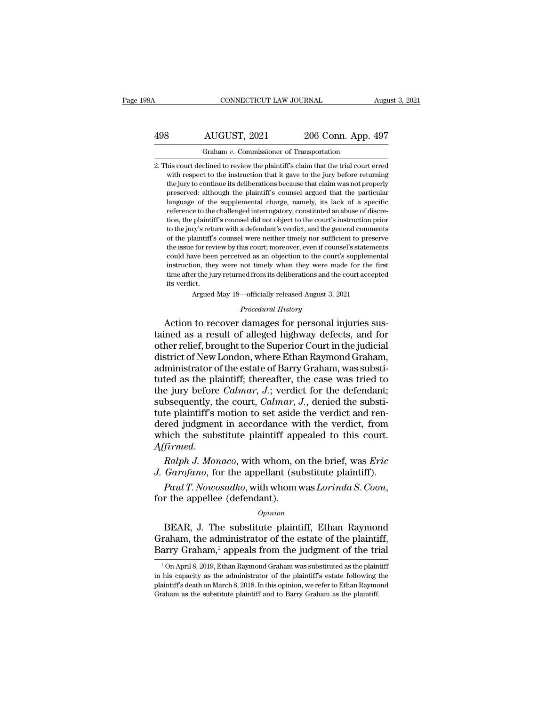### CONNECTICUT LAW JOURNAL August 3, 2021<br>
498 AUGUST, 2021 206 Conn. App. 497<br>
Graham v. Commissioner of Transportation CONNECTICUT LAW JOURNAL August 3, 2021<br>498 AUGUST, 2021 206 Conn. App. 497<br>Graham *v*. Commissioner of Transportation<br>2. This court declined to review the plaintiff's claim that the trial court erred 208 AUGUST, 2021 206 Conn. App. 497<br>
3. This court declined to review the plaintiff's claim that the trial court erred<br>
2. This court declined to review the plaintiff's claim that the trial court erred<br>
2. With respect to

AUGUST, 2021 206 Conn. App. 497<br>
Graham v. Commissioner of Transportation<br>
his court declined to review the plaintiff's claim that the trial court erred<br>
with respect to the instruction that it gave to the jury before retu AUGUST, 2021 206 Conn. App. 497<br>
Graham v. Commissioner of Transportation<br>
his court declined to review the plaintiff's claim that the trial court erred<br>
with respect to the instruction that it gave to the jury before retu Free COURT 1-pp. 100<br>
Graham v. Commissioner of Transportation<br>
his court declined to review the plaintiff's claim that the trial court erred<br>
with respect to the instruction that it gave to the jury before returning<br>
the Graham v. Commissioner of Transportation<br>his court declined to review the plaintiff's claim that the trial court erred<br>with respect to the instruction that it gave to the jury before returning<br>the jury to continue its deli his court declined to review the plaintiff's claim that the trial court erred with respect to the instruction that it gave to the jury before returning the jury to continue its deliberations because that claim was not prop the plaintiff's counsel and the court of the plaintiff is countered with respect to the instruction that it gave to the jury before returning the jury to continue its deliberations because that claim was not properly prese what respect to the instantion that it gave to the jury before returning<br>the jury to continue its deliberations because that claim was not properly<br>preserved: although the plaintiff's counsel argued that the particular<br>lan the jury to columne its demoterations because that claim was not property<br>preserved: although the plaintiff's counsel argued that the particular<br>language of the supplemental charge, namely, its lack of a specific<br>reference Implemental charge, namely, its lack of a specific<br>danguage of the supplemental charge, namely, its lack of a specific<br>reference to the challenged interrogatory, constituted an abuse of discre-<br>tion, the plaintiff's counse anguage of the supplemental charge, hamely, its lack of a specific<br>reference to the challenged interrogatory, constituted an abuse of discre-<br>tion, the plaintiff's counsel did not object to the court's instruction prior<br>to reference to the chaneinged interrogatory, constituted an abuse of uscretion, the plaintiff's counsel did not object to the court's instruction prior to the jury's return with a defendant's verdict, and the general comment time, the plantim is counser and not object to the court's instruction prior<br>to the jury's return with a defendant's verdict, and the general comments<br>of the plaintiff's counsel were neither timely nor sufficient to preser for the plaintiff's<br>the issue for rev.<br>could have been<br>instruction, the<br>time after the junits verdict.<br>Argued For review by this court; moreover, even if counsel's statement are for review by this court; moreover, even if counsel's statement we been perceived as an objection to the court's supplement on, they were not timely when *Procedural as an objection to the cournot timely when they were mand from its deliberations and th*<br>*Procedural History*<br>*Procedural History*<br>*Procedural History*<br>*Procedural History* Action to recover damages for personal injuries sus-<br>
could have been perceived as an objection to the court's supplemental<br>
instruction, they were not timely when they were made for the first<br>
time after the jury returned

instruction, they were not timely when they were made for the first<br>time after the jury returned from its deliberations and the court accepted<br>its verdict.<br>Argued May 18—officially released August 3, 2021<br>*Procedural Histo* time after the jury returned from its deliberations and the court accepted<br>its verdict.<br>Argued May 18—officially released August 3, 2021<br>*Procedural History*<br>Action to recover damages for personal injuries sus-<br>tained as a Its veract.<br>
Argued May 18—officially released August 3, 2021<br>
Procedural History<br>
Action to recover damages for personal injuries sus-<br>
tained as a result of alleged highway defects, and for<br>
other relief, brought to the *Procedural History*<br>*Procedural History*<br>Action to recover damages for personal injuries sus-<br>tained as a result of alleged highway defects, and for<br>other relief, brought to the Superior Court in the judicial<br>district of *Procedural History*<br>Action to recover damages for personal injuries sus-<br>tained as a result of alleged highway defects, and for<br>other relief, brought to the Superior Court in the judicial<br>district of New London, where Eth Action to recover damages for personal injuries sus-<br>tained as a result of alleged highway defects, and for<br>other relief, brought to the Superior Court in the judicial<br>district of New London, where Ethan Raymond Graham,<br>ad tained as a result of alleged highway defects, and for other relief, brought to the Superior Court in the judicial district of New London, where Ethan Raymond Graham, administrator of the estate of Barry Graham, was substi other relief, brought to the Superior Court in the judicial<br>district of New London, where Ethan Raymond Graham,<br>administrator of the estate of Barry Graham, was substi-<br>tuted as the plaintiff; thereafter, the case was trie district of New London, where Ethan Raymond Graham,<br>administrator of the estate of Barry Graham, was substituted as the plaintiff; thereafter, the case was tried to<br>the jury before *Calmar*, J.; verdict for the defendant;<br> administrator of the estate of Barry Graham, was substituted as the plaintiff; thereafter, the case was tried to the jury before *Calmar*, *J*.; verdict for the defendant; subsequently, the court, *Calmar*, *J*., denied th *Affirmed* in the jury before *Calmar*, *J.*; verdict for the defendant; subsequently, the court, *Calmar*, *J.*, denied the substitute plaintiff's motion to set aside the verdict and rendered judgment in accordance with t subsequently, the court, *Calmar*, *J.*, denied the substitute plaintiff's motion to set aside the verdict and rendered judgment in accordance with the verdict, from which the substitute plaintiff appealed to this court.<br>A *Paul T. Nowosadko*, with whom was *Lorinda S. Coon*, for the appellee (defendant).<br> *Paul T. Nonaco*, with whom, on the brief, was *Eric* J. Garofano, for the appellant (substitute plaintiff).<br> *Paul T. Nowosadko*, with w

### *Opinion*

Ralph J. Monaco, with whom, on the brief, was Eric<br>
Garofano, for the appellant (substitute plaintiff).<br>
Paul T. Nowosadko, with whom was Lorinda S. Coon,<br>
r the appellee (defendant).<br>
Opinion<br>
BEAR, J. The substitute plai *J. Garofano*, for the appellant (substitute plaintiff).<br> *Paul T. Nowosadko*, with whom was *Lorinda S. Coon*,<br>
for the appellee (defendant).<br> *Opinion*<br>
BEAR, J. The substitute plaintiff, Ethan Raymond<br>
Graham, the admi Paul T. Nowosadko, with whom was Lorinda S. Coon,<br>for the appellee (defendant).<br> $opinion$ <br>BEAR, J. The substitute plaintiff, Ethan Raymond<br>Graham, the administrator of the estate of the plaintiff,<br>Barry Graham,<sup>1</sup> appeals from *Opmion*<br>
1 Opmion<br>
1 On April 8, 2019, Ethan Raymond Graham was substituted as the plaintiff,<br>
1 On April 8, 2019, Ethan Raymond Graham was substituted as the plaintiff<br>
his capacity as the administrator of the plaintiff BEAR, J. The substitute plaintiff, Ethan Raymond<br>Graham, the administrator of the estate of the plaintiff,<br>Barry Graham,<sup>1</sup> appeals from the judgment of the trial<br> $\frac{1}{100}$  April 8, 2019, Ethan Raymond Graham was substi

Graham, the administrator of the estate of the plaintiff,<br>Barry Graham,<sup>1</sup> appeals from the judgment of the trial<br> $\frac{1}{100}$  April 8, 2019, Ethan Raymond Graham was substituted as the plaintiff<br>in his capacity as the adm Barry Graham,<sup>1</sup> appeals from the judgment of the trial  $\frac{1}{100}$  April 8, 2019, Ethan Raymond Graham was substituted as the plaintiff in his capacity as the administrator of the plaintiff's estate following the plainti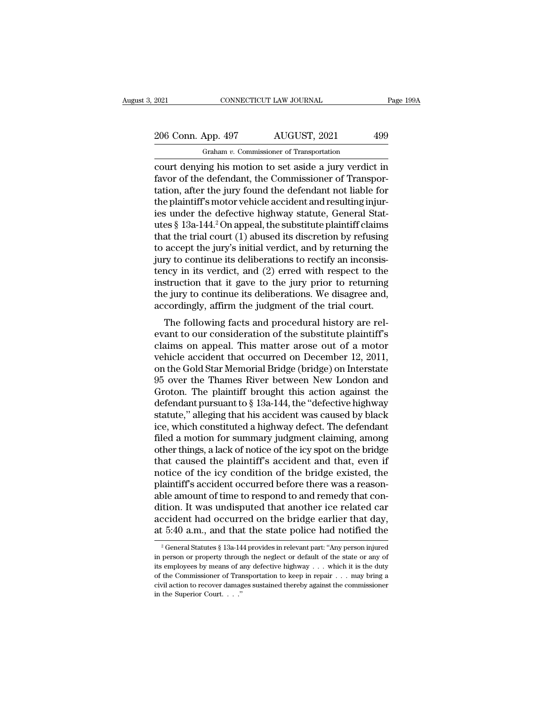2021 CONNECTICUT LAW JOURNAL Page 199A<br>
206 Conn. App. 497 AUGUST, 2021 499<br>
Graham v. Commissioner of Transportation Graham *v.* Commissioner of Transportation

connectricut LAW JOURNAL Page 199A<br>
206 Conn. App. 497 AUGUST, 2021 499<br>
Graham v. Commissioner of Transportation<br>
court denying his motion to set aside a jury verdict in<br>
favor of the defendant, the Commissioner of Transp  $\frac{206}{200}$  Conn. App. 497 AUGUST, 2021 499<br>  $\frac{499}{200}$  Graham v. Commissioner of Transportation<br>
court denying his motion to set aside a jury verdict in<br>
favor of the defendant, the Commissioner of Transpor-<br>
tation 206 Conn. App. 497 AUGUST, 2021 499<br>
Graham v. Commissioner of Transportation<br>
court denying his motion to set aside a jury verdict in<br>
favor of the defendant, the Commissioner of Transportation, after the jury found the 206 Conn. App. 497 AUGUST, 2021 499<br>
Graham *v*. Commissioner of Transportation<br>
court denying his motion to set aside a jury verdict in<br>
favor of the defendant, the Commissioner of Transpor-<br>
tation, after the jury found Graham v. Commissioner of Transportation<br>
court denying his motion to set aside a jury verdict in<br>
favor of the defendant, the Commissioner of Transpor-<br>
tation, after the jury found the defendant not liable for<br>
the plai Graham v. Commissioner of Transportation<br>
court denying his motion to set aside a jury verdict in<br>
favor of the defendant, the Commissioner of Transpor-<br>
tation, after the jury found the defendant not liable for<br>
the plai court denying his motion to set aside a jury verdict in<br>favor of the defendant, the Commissioner of Transpor-<br>tation, after the jury found the defendant not liable for<br>the plaintiff's motor vehicle accident and resulting i favor of the defendant, the Commissioner of Transportation, after the jury found the defendant not liable for the plaintiff's motor vehicle accident and resulting injuries under the defective highway statute, General Stat tation, after the jury found the defendant not liable for<br>the plaintiff's motor vehicle accident and resulting injur-<br>ies under the defective highway statute, General Stat-<br>utes § 13a-144.<sup>2</sup> On appeal, the substitute plai the plaintiff's motor vehicle accident and resulting injur-<br>ies under the defective highway statute, General Stat-<br>utes § 13a-144.<sup>2</sup> On appeal, the substitute plaintiff claims<br>that the trial court (1) abused its discretio ies under the defective highway statute, General Statutes § 13a-144.<sup>2</sup> On appeal, the substitute plaintiff claims<br>that the trial court (1) abused its discretion by refusing<br>to accept the jury's initial verdict, and by ret utes § 13a-144.<sup>2</sup> On appeal, the substitute plaintiff claims<br>that the trial court (1) abused its discretion by refusing<br>to accept the jury's initial verdict, and by returning the<br>jury to continue its deliberations to rect that the trial court (1) abused its discretion by refusing<br>to accept the jury's initial verdict, and by returning the<br>jury to continue its deliberations to rectify an inconsis-<br>tency in its verdict, and (2) erred with resp accept the jury's find a vertict, and by returning the<br>ry to continue its deliberations to rectify an inconsis-<br>ncy in its verdict, and (2) erred with respect to the<br>struction that it gave to the jury prior to returning<br>e yary to continue its demoerations to rectify an inconsistency in its verdict, and (2) erred with respect to the instruction that it gave to the jury prior to returning the jury to continue its deliberations. We disagree an

claims on appeal. This matter are out of a motor<br>which that it gave to the jury prior to returning<br>the jury to continue its deliberations. We disagree and,<br>accordingly, affirm the judgment of the trial court.<br>The followin mstruction that it gave to the jury prior to returning<br>the jury to continue its deliberations. We disagree and,<br>accordingly, affirm the judgment of the trial court.<br>The following facts and procedural history are rel-<br>evant the Jury to continue its democrations. We disagree and,<br>accordingly, affirm the judgment of the trial court.<br>The following facts and procedural history are rel-<br>evant to our consideration of the substitute plaintiff's<br>clai accordingly, affirm the judgment of the that court.<br>The following facts and procedural history are relevant to our consideration of the substitute plaintiff's<br>claims on appeal. This matter arose out of a motor<br>vehicle acci The following facts and procedural history are relevant to our consideration of the substitute plaintiff's<br>claims on appeal. This matter arose out of a motor<br>vehicle accident that occurred on December 12, 2011,<br>on the Gol evant to our consideration of the substitute plaintiff's<br>claims on appeal. This matter arose out of a motor<br>vehicle accident that occurred on December 12, 2011,<br>on the Gold Star Memorial Bridge (bridge) on Interstate<br>95 ov claims on appeal. This matter arose out of a motor<br>vehicle accident that occurred on December 12, 2011,<br>on the Gold Star Memorial Bridge (bridge) on Interstate<br>95 over the Thames River between New London and<br>Groton. The pl vehicle accident that occurred on December 12, 2011,<br>on the Gold Star Memorial Bridge (bridge) on Interstate<br>95 over the Thames River between New London and<br>Groton. The plaintiff brought this action against the<br>defendant p on the Gold Star Memorial Bridge (bridge) on Interstate<br>95 over the Thames River between New London and<br>Groton. The plaintiff brought this action against the<br>defendant pursuant to § 13a-144, the "defective highway<br>statute, 95 over the Thames River between New London and<br>Groton. The plaintiff brought this action against the<br>defendant pursuant to  $\S$  13a-144, the "defective highway<br>statute," alleging that his accident was caused by black<br>ice, Groton. The plaintiff brought this action against the<br>defendant pursuant to  $\S$  13a-144, the "defective highway<br>statute," alleging that his accident was caused by black<br>ice, which constituted a highway defect. The defenda defendant pursuant to § 13a-144, the "defective highway<br>statute," alleging that his accident was caused by black<br>ice, which constituted a highway defect. The defendant<br>filed a motion for summary judgment claiming, among<br>ot statute," alleging that his accident was caused by black<br>ice, which constituted a highway defect. The defendant<br>filed a motion for summary judgment claiming, among<br>other things, a lack of notice of the icy spot on the brid ice, which constituted a highway defect. The defendant<br>filed a motion for summary judgment claiming, among<br>other things, a lack of notice of the icy spot on the bridge<br>that caused the plaintiff's accident and that, even if filed a motion for summary judgment claiming, among<br>other things, a lack of notice of the icy spot on the bridge<br>that caused the plaintiff's accident and that, even if<br>notice of the icy condition of the bridge existed, the other things, a lack of notice of the icy spot on the bridge<br>that caused the plaintiff's accident and that, even if<br>notice of the icy condition of the bridge existed, the<br>plaintiff's accident occurred before there was a re that caused the plaintiff's accident and that, even if<br>notice of the icy condition of the bridge existed, the<br>plaintiff's accident occurred before there was a reason-<br>able amount of time to respond to and remedy that conble amount of time to respond to and remedy that contrivants. It was undisputed that another ice related care cident had occurred on the bridge earlier that day,  $5.40$  a.m., and that the state police had notified the  $\frac$ dition. It was undisputed that another ice related car<br>accident had occurred on the bridge earlier that day,<br>at 5:40 a.m., and that the state police had notified the<br> $\frac{1}{2}$  General Statutes § 13a-144 provides in releva

accident had occurred on the bridge earlier that day,<br>at 5:40 a.m., and that the state police had notified the<br> $\frac{1}{2}$  General Statutes § 13a-144 provides in relevant part: "Any person injured<br>in person or property thro at 5:40 a.m., and that the state police had notified the<br>
<sup>2</sup> General Statutes § 13a-144 provides in relevant part: "Any person injured<br>
in person or property through the neglect or default of the state or any of<br>
its emp at 5.40 a.m., and that the state poince had nother the<br>
<sup>2</sup> General Statutes § 13a-144 provides in relevant part: "Any person injured<br>
in person or property through the neglect or default of the state or any of<br>
its emplo <sup>2</sup> General Statutes § 13a-14<br>in person or property throughts employees by means of a<br>of the Commissioner of Trancivil action to recover damag<br>in the Superior Court......"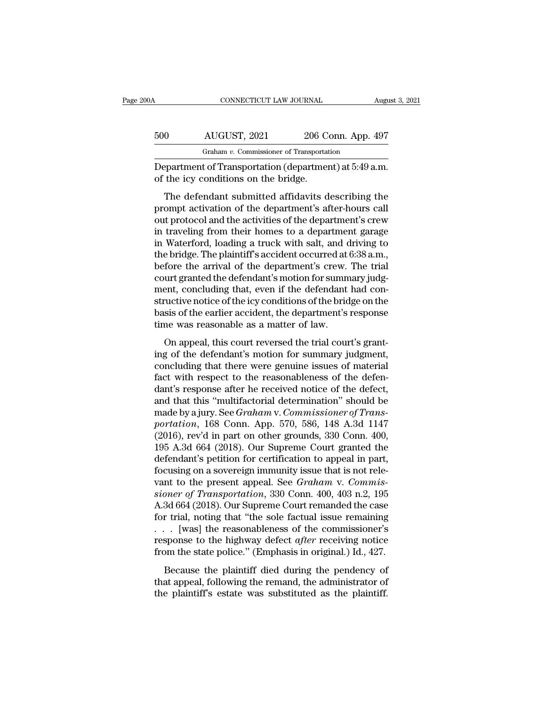| )OA | CONNECTICUT LAW JOURNAL                                                                        |                    | August 3, 2021 |
|-----|------------------------------------------------------------------------------------------------|--------------------|----------------|
| 500 | AUGUST, 2021                                                                                   | 206 Conn. App. 497 |                |
|     | Graham v. Commissioner of Transportation                                                       |                    |                |
|     | Department of Transportation (department) at 5:49 a.m.<br>of the icy conditions on the bridge. |                    |                |
|     | The defendant submitted affidavits describing the                                              |                    |                |

 $\frac{\text{d}UGUST, 2021}{\text{Graham } v. \text{ Commissioner of Transportation}}$ <br>
Expansion of Transportation<br>  $\frac{\text{d}UGUT, 2021}{\text{d}U}$ <br>  $\frac{\text{d}UGUT, 2021}{\text{d}U}$ <br>  $\frac{\text{d}UGUT, 2021}{\text{d}UG}$ <br>  $\frac{\text{d}UGUT, 2021}{\text{d}UG}$ <br>  $\frac{\text{d}UGUT, 2021}{\text{d}UG}$ <br>  $\frac{\text{d}UGUT,$ b00 AUGUST, 2021 206 Conn. App. 497<br>  $\frac{1}{206}$  Graham v. Commissioner of Transportation<br>
Department of Transportation (department) at 5:49 a.m.<br>
of the icy conditions on the bridge.<br>
The defendant submitted affidavits d Graham  $v$ . Commissioner of Transportation<br>
Department of Transportation (department) at 5:49 a.m.<br>
of the icy conditions on the bridge.<br>
The defendant submitted affidavits describing the<br>
prompt activition of the departm Department of Transportation (department) at 5:49 a.m.<br>
of the icy conditions on the bridge.<br>
The defendant submitted affidavits describing the<br>
prompt activation of the department's after-hours call<br>
out protocol and the Expansion of Transportation (department) at 9.45 a.m.<br>
of the icy conditions on the bridge.<br>
The defendant submitted affidavits describing the<br>
prompt activation of the department's after-hours call<br>
out protocol and the The defendant submitted affidavits describing the<br>prompt activation of the department's after-hours call<br>out protocol and the activities of the department's crew<br>in traveling from their homes to a department garage<br>in Wate The defendant submitted affidavits describing the<br>prompt activation of the department's after-hours call<br>out protocol and the activities of the department's crew<br>in traveling from their homes to a department garage<br>in Wate prompt activation of the department's after-hours call<br>out protocol and the activities of the department's crew<br>in traveling from their homes to a department garage<br>in Waterford, loading a truck with salt, and driving to<br>t out protocol and the activities of the department's crew<br>in traveling from their homes to a department garage<br>in Waterford, loading a truck with salt, and driving to<br>the bridge. The plaintiff's accident occurred at 6:38 a. in traveling from their homes to a department garage<br>in Waterford, loading a truck with salt, and driving to<br>the bridge. The plaintiff's accident occurred at 6:38 a.m.,<br>before the arrival of the department's crew. The tria in Waterford, loading a truck with salt, and driving to<br>the bridge. The plaintiff's accident occurred at 6:38 a.m.,<br>before the arrival of the department's crew. The trial<br>court granted the defendant's motion for summary ju the bridge. The plaintiff's accident occurred at before the arrival of the department's crew.<br>court granted the defendant's motion for summ<br>ment, concluding that, even if the defendant<br>structive notice of the icy condition Force are arrival of are deparations crew. The and<br>urt granted the defendant's motion for summary judg-<br>ent, concluding that, even if the defendant had con-<br>uctive notice of the icy conditions of the bridge on the<br>sis of t Example in the defendant since it of summary judgement, concluding that, even if the defendant had constructive notice of the icy conditions of the bridge on the basis of the earlier accident, the department's response tim

Exercistive notice of the icy conditions of the bridge on the<br>basis of the earlier accident, the department's response<br>time was reasonable as a matter of law.<br>On appeal, this court reversed the trial court's grant-<br>ing of basis of the earlier accident, the department's response<br>time was reasonable as a matter of law.<br>On appeal, this court reversed the trial court's grant-<br>ing of the defendant's motion for summary judgment,<br>concluding that t dank of the carnet accretion, the departments response<br>time was reasonable as a matter of law.<br>On appeal, this court reversed the trial court's grant-<br>ing of the defendant's motion for summary judgment,<br>concluding that th On appeal, this court reversed the trial court's granting of the defendant's motion for summary judgment, concluding that there were genuine issues of material fact with respect to the reasonableness of the defendant's re On appeal, this court reversed the trial court's granting of the defendant's motion for summary judgment, concluding that there were genuine issues of material fact with respect to the reasonableness of the defendant's res ing of the defendant's motion for summary judgment,<br>concluding that there were genuine issues of material<br>fact with respect to the reasonableness of the defen-<br>dant's response after he received notice of the defect,<br>and th concluding that there were genuine issues of material<br>fact with respect to the reasonableness of the defen-<br>dant's response after he received notice of the defect,<br>and that this "multifactorial determination" should be<br>mad fact with respect to the reasonableness of the defendant's response after he received notice of the defect, and that this "multifactorial determination" should be made by a jury. See *Graham v. Commissioner of Transportati* dant's response after he received notice of the defect,<br>and that this "multifactorial determination" should be<br>made by a jury. See *Graham* v. *Commissioner of Trans-*<br>portation, 168 Conn. App. 570, 586, 148 A.3d 1147<br>(201 and that this "multifactorial determination" should be<br>made by a jury. See *Graham* v. *Commissioner of Trans-*<br>portation, 168 Conn. App. 570, 586, 148 A.3d 1147<br>(2016), rev'd in part on other grounds, 330 Conn. 400,<br>195 made by a jury. See *Graham* v. *Commissioner of Trans-*<br>portation, 168 Conn. App. 570, 586, 148 A.3d 1147<br>(2016), rev'd in part on other grounds, 330 Conn. 400,<br>195 A.3d 664 (2018). Our Supreme Court granted the<br>defendant portation, 168 Conn. App. 570, 586, 148 A.3d 1147<br>(2016), rev'd in part on other grounds, 330 Conn. 400,<br>195 A.3d 664 (2018). Our Supreme Court granted the<br>defendant's petition for certification to appeal in part,<br>focusing (2016), rev'd in part on other grounds, 330 Conn. 400, 195 A.3d 664 (2018). Our Supreme Court granted the defendant's petition for certification to appeal in part, focusing on a sovereign immunity issue that is not releva 195 A.3d 664 (2018). Our Supreme Court granted the<br>defendant's petition for certification to appeal in part,<br>focusing on a sovereign immunity issue that is not rele-<br>vant to the present appeal. See *Graham v. Commis-*<br>sio defendant's petition for certification to appeal in part,<br>focusing on a sovereign immunity issue that is not rele-<br>vant to the present appeal. See *Graham* v. *Commis-<br>sioner of Transportation*, 330 Conn. 400, 403 n.2, 19 focusing on a sovereign immunity issue that is not relevant to the present appeal. See *Graham* v. *Commissioner of Transportation*, 330 Conn. 400, 403 n.2, 195 A.3d 664 (2018). Our Supreme Court remanded the case for tria vant to the present appeal. See *Graham* v. *Commissioner of Transportation*, 330 Conn. 400, 403 n.2, 195<br>A.3d 664 (2018). Our Supreme Court remanded the case<br>for trial, noting that "the sole factual issue remaining<br> $\ldots$ Because the plaintiff died during the administrator of a plaintiff's extate was substituted as the plaintiff's extate was substituted as the plaintiff's extate was substituted as the plaintiff's extate was substituted as that appears of (2010). Our suppreme court remainance are case<br>for trial, noting that "the sole factual issue remaining<br>response to the highway defect *after* receiving notice<br>from the state police." (Emphasis in original to that, noting that the sole factual issue formaling.<br>  $\ldots$  [was] the reasonableness of the commissioner's<br>
response to the highway defect *after* receiving notice<br>
from the state police." (Emphasis in original.) Id., 4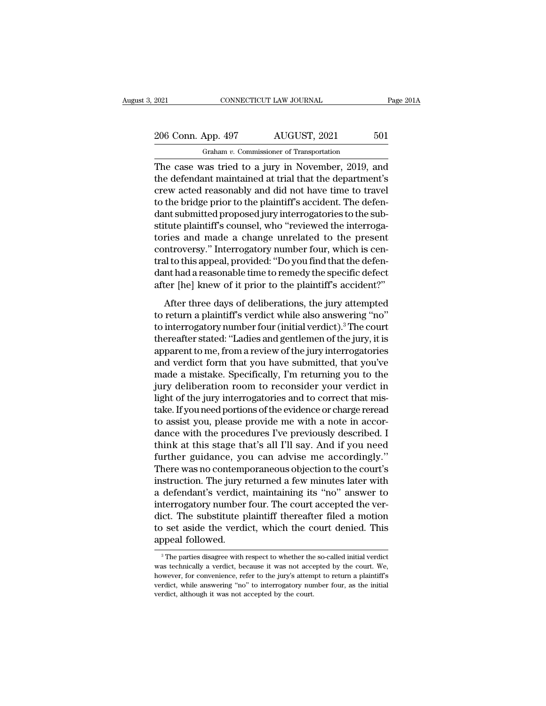# 2021 CONNECTICUT LAW JOURNAL Page 201A<br>
206 Conn. App. 497 AUGUST, 2021 501<br>
Graham v. Commissioner of Transportation Graham *v.* Commissioner of Transportation

CONNECTICUT LAW JOURNAL Page 2014<br>
206 Conn. App. 497 AUGUST, 2021 501<br>
6 Graham v. Commissioner of Transportation<br>
The case was tried to a jury in November, 2019, and<br>
the defendant maintained at trial that the department 206 Conn. App. 497 AUGUST, 2021 501<br>
Graham v. Commissioner of Transportation<br>
The case was tried to a jury in November, 2019, and<br>
the defendant maintained at trial that the department's<br>
crew acted reasonably and did not 206 Conn. App. 497 AUGUST, 2021 501<br>
Graham v. Commissioner of Transportation<br>
The case was tried to a jury in November, 2019, and<br>
the defendant maintained at trial that the department's<br>
crew acted reasonably and did no 206 Conn. App. 497 AUGUST, 2021 501<br>
Graham v. Commissioner of Transportation<br>
The case was tried to a jury in November, 2019, and<br>
the defendant maintained at trial that the department's<br>
crew acted reasonably and did no Graham v. Commissioner of Transportation<br>The case was tried to a jury in November, 2019, and<br>the defendant maintained at trial that the department's<br>crew acted reasonably and did not have time to travel<br>to the bridge prio Granam v. Commissioner of Fransportation<br>The case was tried to a jury in November, 2019, and<br>the defendant maintained at trial that the department's<br>crew acted reasonably and did not have time to travel<br>to the bridge prior The case was tried to a jury in November, 2019, and<br>the defendant maintained at trial that the department's<br>crew acted reasonably and did not have time to travel<br>to the bridge prior to the plaintiff's accident. The defen-<br> the defendant maintained at trial that the department's<br>crew acted reasonably and did not have time to travel<br>to the bridge prior to the plaintiff's accident. The defen-<br>dant submitted proposed jury interrogatories to the crew acted reasonably and did not have time to travel<br>to the bridge prior to the plaintiff's accident. The defen-<br>dant submitted proposed jury interrogatories to the sub-<br>stitute plaintiff's counsel, who "reviewed the inte to the bridge prior to the plaintiff's accident. The defendant submitted proposed jury interrogatories to the substitute plaintiff's counsel, who "reviewed the interrogatories and made a change unrelated to the present con dant submitted proposed jury interrogatories to the substitute plaintiff's counsel, who "reviewed the interrogatories and made a change unrelated to the present controversy." Interrogatory number four, which is central to ries and made a change unrelated to the present<br>ntroversy." Interrogatory number four, which is cen-<br>al to this appeal, provided: "Do you find that the defen-<br>nt had a reasonable time to remedy the specific defect<br>ter [he] controversy." Interrogatory number four, which is central to this appeal, provided: "Do you find that the defendant had a reasonable time to remedy the specific defect after [he] knew of it prior to the plaintiff's acciden

tral to this appeal, provided: "Do you find that the defendant had a reasonable time to remedy the specific defect<br>after [he] knew of it prior to the plaintiff's accident?"<br>After three days of deliberations, the jury attem dant had a reasonable time to remedy the specific defect<br>after [he] knew of it prior to the plaintiff's accident?"<br>After three days of deliberations, the jury attempted<br>to return a plaintiff's verdict while also answering after [he] knew of it prior to the plaintiff's accident?"<br>After three days of deliberations, the jury attempted<br>to return a plaintiff's verdict while also answering "no"<br>to interrogatory number four (initial verdict).<sup>3</sup> T After three days of deliberations, the jury attempted<br>to return a plaintiff's verdict while also answering "no"<br>to interrogatory number four (initial verdict).<sup>3</sup> The court<br>thereafter stated: "Ladies and gentlemen of the j After three days of deliberations, the jury attempted<br>to return a plaintiff's verdict while also answering "no"<br>to interrogatory number four (initial verdict).<sup>3</sup> The court<br>thereafter stated: "Ladies and gentlemen of the j to return a plaintiff's verdict while also answering "no"<br>to interrogatory number four (initial verdict).<sup>3</sup> The court<br>thereafter stated: "Ladies and gentlemen of the jury, it is<br>apparent to me, from a review of the jury i to interrogatory number four (initial verdict).<sup>3</sup> The court<br>thereafter stated: "Ladies and gentlemen of the jury, it is<br>apparent to me, from a review of the jury interrogatories<br>and verdict form that you have submitted, t thereafter stated: "Ladies and gentlemen of the jury, it is<br>apparent to me, from a review of the jury interrogatories<br>and verdict form that you have submitted, that you've<br>made a mistake. Specifically, I'm returning you to apparent to me, from a review of the jury interrogatories<br>and verdict form that you have submitted, that you've<br>made a mistake. Specifically, I'm returning you to the<br>jury deliberation room to reconsider your verdict in<br>li and verdict form that you have submitted, that you've<br>made a mistake. Specifically, I'm returning you to the<br>jury deliberation room to reconsider your verdict in<br>light of the jury interrogatories and to correct that mis-<br>t made a mistake. Specifically, I'm returning you to the<br>jury deliberation room to reconsider your verdict in<br>light of the jury interrogatories and to correct that mis-<br>take. If you need portions of the evidence or charge re jury deliberation room to reconsider your verdict in<br>light of the jury interrogatories and to correct that mis-<br>take. If you need portions of the evidence or charge reread<br>to assist you, please provide me with a note in ac light of the jury interrogatories and to correct that mis-<br>take. If you need portions of the evidence or charge reread<br>to assist you, please provide me with a note in accor-<br>dance with the procedures I've previously descri take. If you need portions of the evidence or charge reread<br>to assist you, please provide me with a note in accor-<br>dance with the procedures I've previously described. I<br>think at this stage that's all I'll say. And if you to assist you, please provide me with a note in accordance with the procedures I've previously described. I<br>think at this stage that's all I'll say. And if you need<br>further guidance, you can advise me accordingly."<br>There w dance with the procedures I've previously described. I<br>think at this stage that's all I'll say. And if you need<br>further guidance, you can advise me accordingly."<br>There was no contemporaneous objection to the court's<br>instru think at this stage that's all I'll say. And if you need<br>further guidance, you can advise me accordingly."<br>There was no contemporaneous objection to the court's<br>instruction. The jury returned a few minutes later with<br>a def further guidance, you can advise me accordingly."<br>There was no contemporaneous objection to the court's<br>instruction. The jury returned a few minutes later with<br>a defendant's verdict, maintaining its "no" answer to<br>interrog There was no contemp<br>instruction. The jury r<br>a defendant's verdict,<br>interrogatory number<br>dict. The substitute p<br>to set aside the verdi<br>appeal followed. terrogatory number rour. The court accepted the ver-<br>ict. The substitute plaintiff thereafter filed a motion<br>of set aside the verdict, which the court denied. This<br>ppeal followed.<br><sup>3</sup>The parties disagree with respect to wh dict. The substitute plaintiff thereafter filed a motion<br>to set aside the verdict, which the court denied. This<br>appeal followed.<br><sup>3</sup>The parties disagree with respect to whether the so-called initial verdict<br>was technically

to set aside the verdict, which the court denied. This<br>appeal followed.<br><sup>3</sup>The parties disagree with respect to whether the so-called initial verdict<br>was technically a verdict, because it was not accepted by the court. We, appeal followed.<br>
<sup>3</sup> The parties disagree with respect to whether the so-called initial verdict<br>
was technically a verdict, because it was not accepted by the court. We,<br>
however, for convenience, refer to the jury's atte  $\frac{3}{10}$  The parties disagree with respect to whether the was technically a verdict, because it was not acce<br>however, for convenience, refer to the jury's attem<br>verdict, while answering "no" to interrogatory nur<br>verdict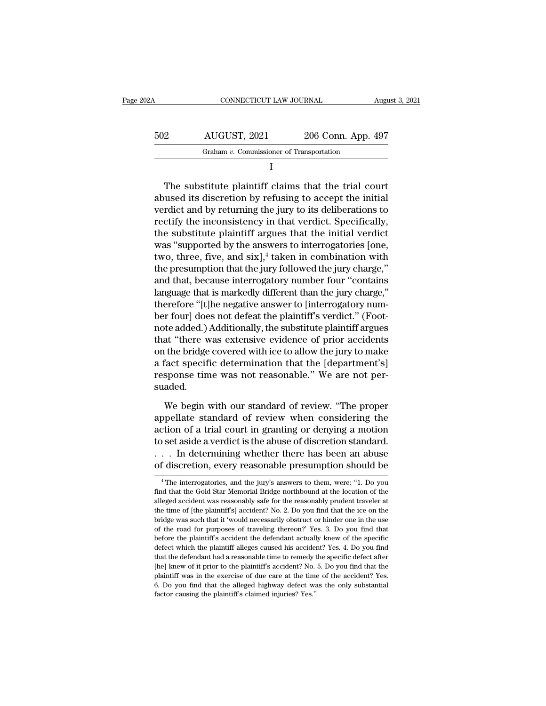| 202A | CONNECTICUT LAW JOURNAL                  |                    | August 3, 2021 |
|------|------------------------------------------|--------------------|----------------|
| 502  | AUGUST, 2021                             | 206 Conn. App. 497 |                |
|      | Graham v. Commissioner of Transportation |                    |                |
|      |                                          |                    |                |

 $\begin{array}{r} \text{502} & \text{AUGUST, 2021} & \text{206 Conn. App. 497} \\ \hline \text{Graham } v. \text{ Commissioner of Transportation} \\ \text{I} \end{array}$ <br>
The substitute plaintiff claims that the trial court<br>
abused its discretion by refusing to accept the initial<br>
verdict and by returning the ju  $\frac{202}{\text{Graham } v. \text{ Commissioner of Transportation}}$ <br>
The substitute plaintiff claims that the trial court<br>
abused its discretion by refusing to accept the initial<br>
verdict and by returning the jury to its deliberations to<br>
rectify the inconsistenc Graham  $v$ . Commissioner of Transportation<br>  $I$ <br>
The substitute plaintiff claims that the trial court<br>
abused its discretion by refusing to accept the initial<br>
verdict and by returning the jury to its deliberations to<br>
re I<br>
The substitute plaintiff claims that the trial court<br>
abused its discretion by refusing to accept the initial<br>
verdict and by returning the jury to its deliberations to<br>
rectify the inconsistency in that verdict. Specif The substitute plaintiff claims that the trial court<br>abused its discretion by refusing to accept the initial<br>verdict and by returning the jury to its deliberations to<br>rectify the inconsistency in that verdict. Specificall The substitute plaintiff claims that the trial court<br>abused its discretion by refusing to accept the initial<br>verdict and by returning the jury to its deliberations to<br>rectify the inconsistency in that verdict. Specifically abused its discretion by refusing to accept the initial<br>verdict and by returning the jury to its deliberations to<br>rectify the inconsistency in that verdict. Specifically,<br>the substitute plaintiff argues that the initial ve verdict and by returning the jury to its deliberations to<br>rectify the inconsistency in that verdict. Specifically,<br>the substitute plaintiff argues that the initial verdict<br>was "supported by the answers to interrogatories [ rectify the inconsistency in that verdict. Specifically,<br>the substitute plaintiff argues that the initial verdict<br>was "supported by the answers to interrogatories [one,<br>two, three, five, and six],<sup>4</sup> taken in combination w the substitute plaintiff argues that the initial verdict<br>was "supported by the answers to interrogatories [one,<br>two, three, five, and six],<sup>4</sup> taken in combination with<br>the presumption that the jury followed the jury charg was "supported by the answers to interrogatories [one,<br>two, three, five, and six],<sup>4</sup> taken in combination with<br>the presumption that the jury followed the jury charge,"<br>and that, because interrogatory number four "contains two, three, five, and six],<sup>4</sup> taken in combination with<br>the presumption that the jury followed the jury charge,"<br>and that, because interrogatory number four "contains<br>language that is markedly different than the jury char the presumption that the jury followed the jury charge,"<br>and that, because interrogatory number four "contains<br>language that is markedly different than the jury charge,"<br>therefore "[t]he negative answer to [interrogatory n and that, because interrogatory number four "contains<br>language that is markedly different than the jury charge,"<br>therefore "[t]he negative answer to [interrogatory num-<br>ber four] does not defeat the plaintiff's verdict." ( language that is markedly different than the jury charge,"<br>therefore "[t]he negative answer to [interrogatory num-<br>ber four] does not defeat the plaintiff's verdict." (Foot-<br>note added.) Additionally, the substitute plaint therefore "[t]he negative answer to [interrogatory num-<br>ber four] does not defeat the plaintiff's verdict." (Foot-<br>note added.) Additionally, the substitute plaintiff argues<br>that "there was extensive evidence of prior acci suaded. at "there was extensive evidence of prior accidents<br>the bridge covered with ice to allow the jury to make<br>fact specific determination that the [department's]<br>sponse time was not reasonable." We are not per-<br>aded.<br>We begin on the bridge covered with ice to allow the jury to make<br>a fact specific determination that the [department's]<br>response time was not reasonable." We are not per-<br>suaded.<br>We begin with our standard of review. "The proper<br>ap

a fact specific determination that the [department's]<br>response time was not reasonable." We are not per-<br>suaded.<br>We begin with our standard of review. "The proper<br>appellate standard of review when considering the<br>action of response time was not reasonable." We are not per-<br>suaded.<br>We begin with our standard of review. "The proper<br>appellate standard of review when considering the<br>action of a trial court in granting or denying a motion<br>to set suaded.<br>We begin with our standard of review. "The proper<br>appellate standard of review when considering the<br>action of a trial court in granting or denying a motion<br>to set aside a verdict is the abuse of discretion standard We begin with our standard of review. "The proper<br>appellate standard of review when considering the<br>action of a trial court in granting or denying a motion<br>to set aside a verdict is the abuse of discretion standard.<br> $\dots$  action of a trial court in granting or denying a motion<br>to set aside a verdict is the abuse of discretion standard.<br> $\dots$  In determining whether there has been an abuse<br>of discretion, every reasonable presumption should be for set aside a verdict is the abuse of discretion standard.<br>  $\ldots$  In determining whether there has been an abuse<br>
of discretion, every reasonable presumption should be<br>  $\overline{ }^4$ The interrogatories, and the jury's answe

<sup>. . .</sup> In determining whether there has been an abuse<br>of discretion, every reasonable presumption should be<br> $^{4}$ The interrogatories, and the jury's answers to them, were: "1. Do you<br>find that the Gold Star Memorial Bridge of discretion, every reasonable presumption should be<br>
<sup>4</sup> The interrogatories, and the jury's answers to them, were: "1. Do you<br>
find that the Gold Star Memorial Bridge northbound at the location of the<br>
alleged accident bridge was such that it 'would necessarily obstruction', every reasonable presumption should be<br>
<sup>4</sup> The interrogatories, and the jury's answers to them, were: "1. Do you<br>
find that the Gold Star Memorial Bridge northbound alleged accident was reasonably safe for the reasonably prudent traveler at<br>the time of [the plaintiff's] accident? No. 2. Do you find that the ice on the<br>bridge was such that it 'would necessarily obstruct or hinder one i find that the Gold Star Memorial Bridge northbound at the location of the alleged accident was reasonably safe for the reasonably prudent traveler at the time of [the plaintiff's] accident? No. 2. Do you find that the ice alleged accident was reasonably safe for the reasonably prudent traveler at the time of [the plaintiff's] accident? No. 2. Do you find that the ice on the bridge was such that it 'would necessarily obstruct or hinder one i the time of [the plaintiff's] accident? No. 2. Do you find that the ice on the bridge was such that it 'would necessarily obstruct or hinder one in the use of the road for purposes of traveling thereon?' Yes. 3. Do you fin are were functionally discussed by the plaintiff's accident of the pair of the road for purposes of traveling thereon?' Yes. 3. Do you find that before the plaintiff's accident the defendant actually knew of the specific d of the road for purposes of traveling thereon?' Yes. 3. Do you find that before the plaintiff's accident the defendant actually knew of the specific defect which the plaintiff alleges caused his accident? Yes. 4. Do you fi before the plaintiff's accident the defendant actually knew of the specific defect which the plaintiff alleges caused his accident? Yes. 4. Do you find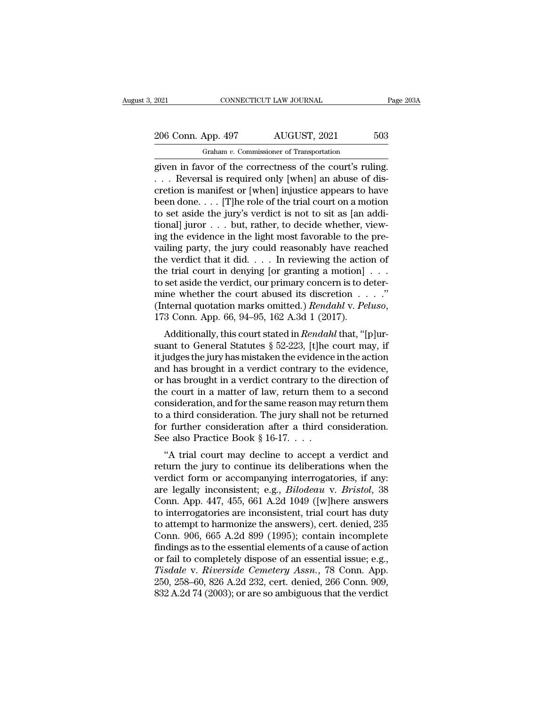2021 CONNECTICUT LAW JOURNAL Page 203A<br>
206 Conn. App. 497 AUGUST, 2021 503<br>
Graham v. Commissioner of Transportation Graham *v.* Commissioner of Transportation

EXECT 2021 CONNECTICUT LAW JOURNAL Page 20<br>
206 Conn. App. 497 AUGUST, 2021 503<br>
Graham v. Commissioner of Transportation<br>
given in favor of the correctness of the court's ruling.<br>
. . . Reversal is required only [when] an 206 Conn. App. 497 AUGUST, 2021 503<br>
Graham *v*. Commissioner of Transportation<br>
given in favor of the correctness of the court's ruling.<br>
. . . Reversal is required only [when] an abuse of dis-<br>
cretion is manifest or [wh 206 Conn. App. 497 AUGUST, 2021 503<br>
Graham v. Commissioner of Transportation<br>
given in favor of the correctness of the court's ruling.<br>
... Reversal is required only [when] an abuse of discretion is manifest or [when] in 206 Conn. App. 497 AUGUST, 2021 503<br>
Graham v. Commissioner of Transportation<br>
given in favor of the correctness of the court's ruling.<br>
... Reversal is required only [when] an abuse of dis-<br>
cretion is manifest or [when] Graham v. Commissioner of Transportation<br>given in favor of the correctness of the court's ruling.<br> $\ldots$  Reversal is required only [when] an abuse of dis-<br>cretion is manifest or [when] injustice appears to have<br>been done.. Graham v. Commissioner of Transportation<br>given in favor of the correctness of the court's ruling.<br>... Reversal is required only [when] an abuse of dis-<br>cretion is manifest or [when] injustice appears to have<br>been done.... given in favor of the correctness of the court's ruling.<br>  $\ldots$  Reversal is required only [when] an abuse of discretion is manifest or [when] injustice appears to have<br>
been done.... [T]he role of the trial court on a mot . . . Reversal is required only [when] an abuse of discretion is manifest or [when] injustice appears to have been done. . . . [T]he role of the trial court on a motion to set aside the jury's verdict is not to sit as [an cretion is manifest or [when] injustice appears to have<br>been done. . . . [T]he role of the trial court on a motion<br>to set aside the jury's verdict is not to sit as [an addi-<br>tional] juror . . . but, rather, to decide whet been done. . . . [T]he role of the trial court on a motion<br>to set aside the jury's verdict is not to sit as [an addi-<br>tional] juror . . . but, rather, to decide whether, view-<br>ing the evidence in the light most favorable to set aside the jury's verdict is not to sit as [an additional] juror . . . but, rather, to decide whether, viewing the evidence in the light most favorable to the prevailing party, the jury could reasonably have reached tional] juror . . . but, rather, to decide whether, view-<br>ing the evidence in the light most favorable to the pre-<br>vailing party, the jury could reasonably have reached<br>the verdict that it did. . . . In reviewing the acti ing the evidence in the light most favorable to the prevailing party, the jury could reasonably have reached<br>the verdict that it did. . . . In reviewing the action of<br>the trial court in denying [or granting a motion] . . . e vertuct that it did. . . . . In reviewing the action of<br>e trial court in denying [or granting a motion] . . . .<br>set aside the verdict, our primary concern is to deter-<br>ine whether the court abused its discretion . . . . the trial court in deriying [or granting a motion]  $\ldots$  to set aside the verdict, our primary concern is to deter-<br>mine whether the court abused its discretion  $\ldots$ ."<br>(Internal quotation marks omitted.) *Rendahl* v. *Pe* 

to set aside the vertuct, our printary concern is to deter-<br>mine whether the court abused its discretion . . . ."<br>(Internal quotation marks omitted.) *Rendahl* v. *Peluso*,<br>173 Conn. App. 66, 94–95, 162 A.3d 1 (2017).<br>Add Finne whether the court abused its discretion  $\ldots$  (Internal quotation marks omitted.) *Rendahl* v. *Peluso*, 173 Conn. App. 66, 94–95, 162 A.3d 1 (2017).<br>Additionally, this court stated in *Rendahl* that, "[p]ursuant to (internal quotation marks onlited.) *Rehataht v. 1 etaso*,<br>173 Conn. App. 66, 94–95, 162 A.3d 1 (2017).<br>Additionally, this court stated in *Rendahl* that, "[p]ur-<br>suant to General Statutes § 52-223, [t]he court may, if<br>it 175 Colul. App. 00, 94–95, 102 A.5d 1 (2017).<br>
Additionally, this court stated in *Rendahl* that, "[p]ur-<br>
suant to General Statutes § 52-223, [t]he court may, if<br>
it judges the jury has mistaken the evidence in the actio Additionally, this court stated in *Rendahl* that, "[p]ursuant to General Statutes  $\S$  52-223, [t]he court may, if it judges the jury has mistaken the evidence in the action and has brought in a verdict contrary to the ev suant to General Statutes  $\S$  52-223, [t]he court may, if<br>it judges the jury has mistaken the evidence in the action<br>and has brought in a verdict contrary to the evidence,<br>or has brought in a verdict contrary to the direc it judges the jury has mistaken the evidence in the action<br>and has brought in a verdict contrary to the evidence,<br>or has brought in a verdict contrary to the direction of<br>the court in a matter of law, return them to a sec and has brought in a verdict contrary to the<br>or has brought in a verdict contrary to the<br>the court in a matter of law, return them<br>consideration, and for the same reason may<br>to a third consideration. The jury shall not<br>fo Thus brought in a vertuct contrary to the unection of<br>
e court in a matter of law, return them to a second<br>
msideration, and for the same reason may return them<br>
a third consideration. The jury shall not be returned<br>
r fu return the fourth a matter of law, return them to a second<br>consideration, and for the same reason may return them<br>to a third consideration. The jury shall not be returned<br>for further consideration after a third considerat

consideration, and for the same reason may return them<br>to a third consideration. The jury shall not be returned<br>for further consideration after a third consideration.<br>See also Practice Book § 16-17...<br>"A trial court may d are legally inconsideration. The Jury shall not be returned<br>See also Practice Book § 16-17. . . .<br>"A trial court may decline to accept a verdict and<br>return the jury to continue its deliberations when the<br>verdict form or ac See also Practice Book § 16-17. . . .<br>
"A trial court may decline to accept a verdict and<br>
return the jury to continue its deliberations when the<br>
verdict form or accompanying interrogatories, if any:<br>
are legally inconsi See also I ractice Book  $S$  10-17. . . . .<br>
"A trial court may decline to accept a verdict and<br>
return the jury to continue its deliberations when the<br>
verdict form or accompanying interrogatories, if any:<br>
are legally in "A trial court may decline to accept a verdict and<br>return the jury to continue its deliberations when the<br>verdict form or accompanying interrogatories, if any:<br>are legally inconsistent; e.g.,  $Bilodeau$  v.  $Bristol$ , 38<br>Conn. App return the jury to continue its deliberations when the<br>verdict form or accompanying interrogatories, if any:<br>are legally inconsistent; e.g., *Bilodeau* v. *Bristol*, 38<br>Conn. App. 447, 455, 661 A.2d 1049 ([w]here answers<br>t verdict form or accompanying interrogatories, if any:<br>are legally inconsistent; e.g., *Bilodeau* v. *Bristol*, 38<br>Conn. App. 447, 455, 661 A.2d 1049 ([w]here answers<br>to interrogatories are inconsistent, trial court has dut are legally inconsistent; e.g., *Bilodeau* v. *Bristol*, 38<br>Conn. App. 447, 455, 661 A.2d 1049 ([w]here answers<br>to interrogatories are inconsistent, trial court has duty<br>to attempt to harmonize the answers), cert. denied, Conn. App. 447, 455, 661 A.2d 1049 ([w]here answers<br>to interrogatories are inconsistent, trial court has duty<br>to attempt to harmonize the answers), cert. denied, 235<br>Conn. 906, 665 A.2d 899 (1995); contain incomplete<br>findi to interrogatories are inconsistent, trial court has duty<br>to attempt to harmonize the answers), cert. denied, 235<br>Conn. 906, 665 A.2d 899 (1995); contain incomplete<br>findings as to the essential elements of a cause of actio to attempt to harmonize the answers), cert. denied, 235<br>Conn. 906, 665 A.2d 899 (1995); contain incomplete<br>findings as to the essential elements of a cause of action<br>or fail to completely dispose of an essential issue; e.g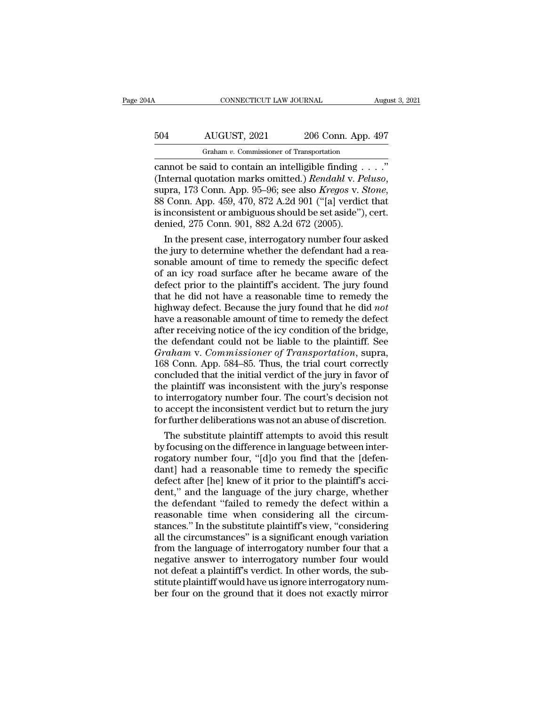# CONNECTICUT LAW JOURNAL August 3, 2021<br>504 AUGUST, 2021 206 Conn. App. 497<br>Graham v. Commissioner of Transportation

CONNECTICUT LAW JOURNAL August 3, 2<br>
FORE CONNECTICUT AND SUGARD AND AUGUST, 2021 206 Conn. App. 497<br>
Cannot be said to contain an intelligible finding . . . ."<br>
(Internal quotation marks omitted.) Rendahl v. Peluso,<br>
supr (Internal quotation marks omitted.) *Rendahl* v. *Peluso*, supra, 173 Conn. App. 95–96; see also *Kregos* v. *Stone*, 88 Conn. App. 459, 470, 872 A.2d 901 ("[a] verdict that is inconsistent or ambiguous should be set aside Graham v. Commissioner of Transportation<br>
cannot be said to contain an intelligible finding . . . ."<br>
(Internal quotation marks omitted.) *Rendahl v. Peluso*,<br>
supra, 173 Conn. App. 95–96; see also *Kregos v. Stone*,<br>
88 Graham v. Commissioner of Transportation<br>
cannot be said to contain an intelligible finding .<br>
(Internal quotation marks omitted.) *Rendahl* v. Pe<br>
supra, 173 Conn. App. 95–96; see also *Kregos* v. 8<br>
88 Conn. App. 459, 4 nnot be said to contain an intelligible finding . . . ."<br>
iternal quotation marks omitted.) *Rendahl v. Peluso*,<br>
pra, 173 Conn. App. 95–96; see also *Kregos v. Stone,*<br>
Conn. App. 459, 470, 872 A.2d 901 ("[a] verdict tha (Internal quotation marks omitted.) *Rendahl v. Peluso*,<br>supra, 173 Conn. App. 95–96; see also *Kregos v. Stone*,<br>88 Conn. App. 459, 470, 872 A.2d 901 ("[a] verdict that<br>is inconsistent or ambiguous should be set aside"),

supra,  $1/3$  Conn. App.  $95-96$ ; see also *Kregos v. Stone*,<br>88 Conn. App.  $459$ ,  $470$ ,  $872$  A.2d  $901$  ("[a] verdict that<br>is inconsistent or ambiguous should be set aside"), cert.<br>denied,  $275$  Conn.  $901$ ,  $882$  A.2d 88 Conn. App. 459, 470, 872 A.2d 901 ("[a] verdict that<br>is inconsistent or ambiguous should be set aside"), cert.<br>denied, 275 Conn. 901, 882 A.2d 672 (2005).<br>In the present case, interrogatory number four asked<br>the jury t is inconsistent or ambiguous should be set aside"), cert.<br>denied, 275 Conn. 901, 882 A.2d 672 (2005).<br>In the present case, interrogatory number four asked<br>the jury to determine whether the defendant had a rea-<br>sonable amou denied, 275 Conn. 901, 882 A.2d  $672$  (2005).<br>In the present case, interrogatory number four asked<br>the jury to determine whether the defendant had a reasonable amount of time to remedy the specific defect<br>of an icy road s In the present case, interrogatory number four asked<br>the jury to determine whether the defendant had a rea-<br>sonable amount of time to remedy the specific defect<br>of an icy road surface after he became aware of the<br>defect pr the jury to determine whether the defendant had a reasonable amount of time to remedy the specific defect of an icy road surface after he became aware of the defect prior to the plaintiff's accident. The jury found that he sonable amount of time to remedy the specific defect<br>of an icy road surface after he became aware of the<br>defect prior to the plaintiff's accident. The jury found<br>that he did not have a reasonable time to remedy the<br>highway of an icy road surface after he became aware of the<br>defect prior to the plaintiff's accident. The jury found<br>that he did not have a reasonable time to remedy the<br>highway defect. Because the jury found that he did *not*<br>hav defect prior to the plaintiff's accident. The jury found<br>that he did not have a reasonable time to remedy the<br>highway defect. Because the jury found that he did *not*<br>have a reasonable amount of time to remedy the defect<br>a that he did not have a reasonable time to remedy the<br>highway defect. Because the jury found that he did *not*<br>have a reasonable amount of time to remedy the defect<br>after receiving notice of the icy condition of the bridge, highway defect. Because the jury found that he did *not*<br>have a reasonable amount of time to remedy the defect<br>after receiving notice of the icy condition of the bridge,<br>the defendant could not be liable to the plaintiff. have a reasonable amount of time to remedy the defect<br>after receiving notice of the icy condition of the bridge,<br>the defendant could not be liable to the plaintiff. See<br>*Graham v. Commissioner of Transportation*, supra,<br>16 after receiving notice of the icy condition of the bridge,<br>the defendant could not be liable to the plaintiff. See<br>*Graham v. Commissioner of Transportation*, supra,<br>168 Conn. App. 584–85. Thus, the trial court correctly<br>c the defendant could not be liable to the plaintiff. See<br>Graham v. Commissioner of Transportation, supra,<br>168 Conn. App. 584–85. Thus, the trial court correctly<br>concluded that the initial verdict of the jury in favor of<br>the Graham v. Commissioner of Transportation, supra, 168 Conn. App. 584–85. Thus, the trial court correctly concluded that the initial verdict of the jury in favor of the plaintiff was inconsistent with the jury's response to 8 Conn. App. 584–85. Thus, the trial court correctly<br>ncluded that the initial verdict of the jury in favor of<br>e plaintiff was inconsistent with the jury's response<br>interrogatory number four. The court's decision not<br>accept concluded that the initial verdict of the jury in favor of<br>the plaintiff was inconsistent with the jury's response<br>to interrogatory number four. The court's decision not<br>to accept the inconsistent verdict but to return the

the plaintiff was inconsistent with the jury's response<br>to interrogatory number four. The court's decision not<br>to accept the inconsistent verdict but to return the jury<br>for further deliberations was not an abuse of discret to interrogatory number four. The court's decision not<br>to accept the inconsistent verdict but to return the jury<br>for further deliberations was not an abuse of discretion.<br>The substitute plaintiff attempts to avoid this res to accept the inconsistent verdict but to return the jury<br>for further deliberations was not an abuse of discretion.<br>The substitute plaintiff attempts to avoid this result<br>by focusing on the difference in language between i for further deliberations was not an abuse of discretion.<br>The substitute plaintiff attempts to avoid this result<br>by focusing on the difference in language between inter-<br>rogatory number four, "[d]o you find that the [defen The substitute plaintiff attempts to avoid this result<br>by focusing on the difference in language between inter-<br>rogatory number four, "[d]o you find that the [defen-<br>dant] had a reasonable time to remedy the specific<br>defec by focusing on the difference in language between inter-<br>rogatory number four, "[d]o you find that the [defen-<br>dant] had a reasonable time to remedy the specific<br>defect after [he] knew of it prior to the plaintiff's acci-<br> rogatory number four, "[d]o you find that the [defen-<br>dant] had a reasonable time to remedy the specific<br>defect after [he] knew of it prior to the plaintiff's acci-<br>dent," and the language of the jury charge, whether<br>the d dant] had a reasonable time to remedy the specific<br>defect after [he] knew of it prior to the plaintiff's acci-<br>dent," and the language of the jury charge, whether<br>the defendant "failed to remedy the defect within a<br>reasona defect after [he] knew of it prior to the plaintiff's accident," and the language of the jury charge, whether<br>the defendant "failed to remedy the defect within a<br>reasonable time when considering all the circum-<br>stances." I dent," and the language of the jury charge, whether<br>the defendant "failed to remedy the defect within a<br>reasonable time when considering all the circum-<br>stances." In the substitute plaintiff's view, "considering<br>all the ci the defendant "failed to remedy the defect within a<br>reasonable time when considering all the circum-<br>stances." In the substitute plaintiff's view, "considering<br>all the circumstances" is a significant enough variation<br>from reasonable time when considering all the circum-<br>stances." In the substitute plaintiff's view, "considering<br>all the circumstances" is a significant enough variation<br>from the language of interrogatory number four that a<br>neg stances." In the substitute plaintiff's view, "considering<br>all the circumstances" is a significant enough variation<br>from the language of interrogatory number four that a<br>negative answer to interrogatory number four would<br>n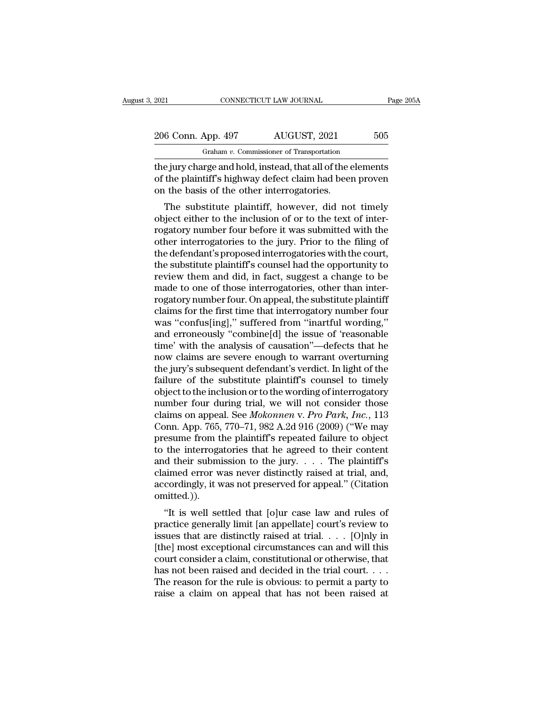Graham *v.* Commissioner of Transportation The gas connective connective transportance and the jury charge and hold, instead, that all of the elements<br>of the plaintiff's highway defect claim had been proven<br>on the basis of the other interrestories 206 Conn. App. 497 AUGUST, 2021 505<br>
Graham v. Commissioner of Transportation<br>
the jury charge and hold, instead, that all of the elements<br>
of the plaintiff's highway defect claim had been proven<br>
on the basis of the other 206 Conn. App. 497 AUGUST, 2021<br>
Graham v. Commissioner of Transportation<br>
the jury charge and hold, instead, that all of the  $\epsilon$ <br>
of the plaintiff's highway defect claim had been<br>
on the basis of the other interrogatori  $\frac{6 \text{ Conn. App. } 497}$  AUGUST, 2021 505<br>
Graham v. Commissioner of Transportation<br>
e jury charge and hold, instead, that all of the elements<br>
the plaintiff's highway defect claim had been proven<br>
the basis of the other inter

Graham  $v$ . Commissioner of Transportation<br>the jury charge and hold, instead, that all of the elements<br>of the plaintiff's highway defect claim had been proven<br>on the basis of the other interrogatories.<br>The substitute plai the jury charge and hold, instead, that all of the elements<br>of the plaintiff's highway defect claim had been proven<br>on the basis of the other interrogatories.<br>The substitute plaintiff, however, did not timely<br>object either the jury charge and notd, instead, that an of the elements<br>of the plaintiff's highway defect claim had been proven<br>on the basis of the other interrogatories.<br>The substitute plaintiff, however, did not timely<br>object either or the plantin's highway defect claim had been proven<br>on the basis of the other interrogatories.<br>The substitute plaintiff, however, did not timely<br>object either to the inclusion of or to the text of inter-<br>rogatory number on the basis of the other interrogatories.<br>The substitute plaintiff, however, did not timely<br>object either to the inclusion of or to the text of inter-<br>rogatory number four before it was submitted with the<br>other interrogat The substitute plaintiff, however, did not timely<br>object either to the inclusion of or to the text of inter-<br>rogatory number four before it was submitted with the<br>other interrogatories to the jury. Prior to the filing of<br>t object either to the inclusion of or to the text of inter-<br>rogatory number four before it was submitted with the<br>other interrogatories to the jury. Prior to the filing of<br>the defendant's proposed interrogatories with the c rogatory number four before it was submitted with the<br>other interrogatories to the jury. Prior to the filing of<br>the defendant's proposed interrogatories with the court,<br>the substitute plaintiff's counsel had the opportunit other interrogatories to the jury. Prior to the filing of<br>the defendant's proposed interrogatories with the court,<br>the substitute plaintiff's counsel had the opportunity to<br>review them and did, in fact, suggest a change to the defendant's proposed interrogatories with the court,<br>the substitute plaintiff's counsel had the opportunity to<br>review them and did, in fact, suggest a change to be<br>made to one of those interrogatories, other than inter the substitute plaintiff's counsel had the opportunity to<br>review them and did, in fact, suggest a change to be<br>made to one of those interrogatories, other than inter-<br>rogatory number four. On appeal, the substitute plainti review them and did, in fact, suggest a change to be<br>made to one of those interrogatories, other than inter-<br>rogatory number four. On appeal, the substitute plaintiff<br>claims for the first time that interrogatory number fou made to one of those interrogatories, other than inter-<br>rogatory number four. On appeal, the substitute plaintiff<br>claims for the first time that interrogatory number four<br>was "confus[ing]," suffered from "inartful wording, rogatory number four. On appeal, the substitute plaintiff<br>claims for the first time that interrogatory number four<br>was "confus[ing]," suffered from "inartful wording,"<br>and erroneously "combine[d] the issue of 'reasonable<br>t claims for the first time that interrogatory number four<br>was "confus[ing]," suffered from "inartful wording,"<br>and erroneously "combine[d] the issue of 'reasonable<br>time' with the analysis of causation"—defects that he<br>now c was "confus[ing]," suffered from "inartful wording,"<br>and erroneously "combine[d] the issue of 'reasonable<br>time' with the analysis of causation"—defects that he<br>now claims are severe enough to warrant overturning<br>the jury' and erroneously "combine[d] the issue of 'reasonable<br>time' with the analysis of causation"—defects that he<br>now claims are severe enough to warrant overturning<br>the jury's subsequent defendant's verdict. In light of the<br>fai time' with the analysis of causation"—defects that he<br>now claims are severe enough to warrant overturning<br>the jury's subsequent defendant's verdict. In light of the<br>failure of the substitute plaintiff's counsel to timely<br>o now claims are severe enough to warrant overturning<br>the jury's subsequent defendant's verdict. In light of the<br>failure of the substitute plaintiff's counsel to timely<br>object to the inclusion or to the wording of interrogat the jury's subsequent defendant's verdict. In light of the failure of the substitute plaintiff's counsel to timely<br>object to the inclusion or to the wording of interrogatory<br>number four during trial, we will not consider t failure of the substitute plaintiff's counsel to timely<br>object to the inclusion or to the wording of interrogatory<br>number four during trial, we will not consider those<br>claims on appeal. See *Mokonnen* v. Pro Park, Inc., 1 object to the inclusion or to the wording of interrogatory<br>number four during trial, we will not consider those<br>claims on appeal. See *Mokonnen* v. *Pro Park*, *Inc.*, 113<br>Conn. App. 765, 770–71, 982 A.2d 916 (2009) ("We number four during trial, we will not consider those claims on appeal. See *Mokonnen* v. *Pro Park*, *Inc.*, 113 Conn. App. 765, 770–71, 982 A.2d 916 (2009) ("We may presume from the plaintiff's repeated failure to object claims on appeal. See *Mokonnen* v. *Pro Park*, *Inc.*, 113<br>Conn. App. 765, 770–71, 982 A.2d 916 (2009) ("We may<br>presume from the plaintiff's repeated failure to object<br>to the interrogatories that he agreed to their conte omitted.)). Esume from the plantin's repeated randre to object<br>
the interrogatories that he agreed to their content<br>
d their submission to the jury. . . . The plaintiff's<br>
simed error was never distinctly raised at trial, and,<br>
cordi by the interrogatories that he agreed to their content<br>and their submission to the jury. . . . The plaintiff's<br>claimed error was never distinctly raised at trial, and,<br>accordingly, it was not preserved for appeal." (Citat

and their subhission to the jury.  $\ldots$  The plaintin is<br>claimed error was never distinctly raised at trial, and,<br>accordingly, it was not preserved for appeal." (Citation<br>omitted.)).<br>"It is well settled that [o]ur case law claimed error was never unstinctly raised at trial, and,<br>accordingly, it was not preserved for appeal." (Citation<br>omitted.)).<br>"It is well settled that [o]ur case law and rules of<br>practice generally limit [an appellate] co accordingly, it was not preserved for appear. (Citation<br>omitted.)).<br>"It is well settled that [o]ur case law and rules of<br>practice generally limit [an appellate] court's review to<br>issues that are distinctly raised at trial. "It is well settled that [o]ur case law and rules of<br>practice generally limit [an appellate] court's review to<br>issues that are distinctly raised at trial. . . . [O]nly in<br>[the] most exceptional circumstances can and will "It is well settled that [o]ur case law and rules of<br>practice generally limit [an appellate] court's review to<br>issues that are distinctly raised at trial. . . . [O]nly in<br>[the] most exceptional circumstances can and will practice generally limit [an appellate] court's review to<br>issues that are distinctly raised at trial. . . . [O]nly in<br>[the] most exceptional circumstances can and will this<br>court consider a claim, constitutional or otherw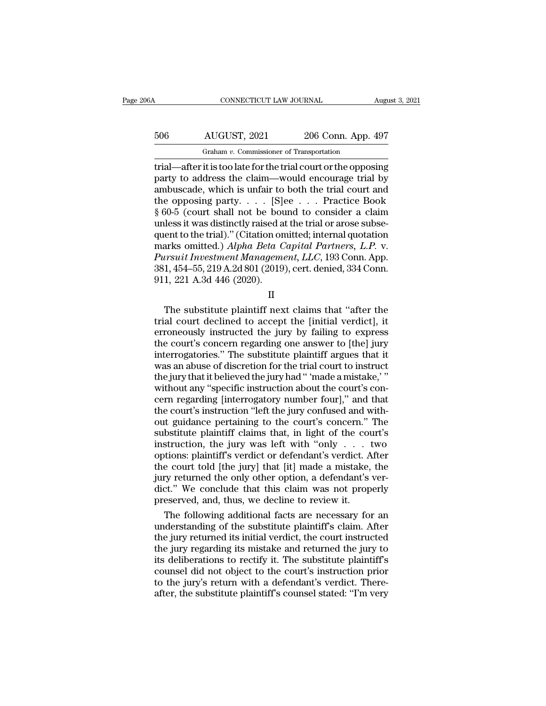# CONNECTICUT LAW JOURNAL August 3, 2021<br>506 AUGUST, 2021 206 Conn. App. 497<br>Graham v. Commissioner of Transportation CONNECTICUT LAW JOURNAL<br>AUGUST, 2021 206 Conn. App. 4<br>Graham *v.* Commissioner of Transportation<br>it is too late for the trial court or the oppos

CONNECTICUT LAW JOURNAL August 3, 2021<br>
506 AUGUST, 2021 206 Conn. App. 497<br>
67 Graham v. Commissioner of Transportation<br>
197 Graham v. Commissioner of Transportation<br>
197 Graham v. Commissioner of Transportation<br>
197 Grah For the control of the control of the control of the control of the control of the control of the control of the control of the control of the control of the control of the control of the control of the control of the cont 506 AUGUST, 2021 206 Conn. App. 497<br>
Graham v. Commissioner of Transportation<br>
trial—after it is too late for the trial court or the opposing<br>
party to address the claim—would encourage trial by<br>
ambuscade, which is unfai 506 AUGUST, 2021 206 Conn. App. 497<br>
Graham *v*. Commissioner of Transportation<br>
trial—after it is too late for the trial court or the opposing<br>
party to address the claim—would encourage trial by<br>
ambuscade, which is unf Graham v. Commissioner of Transportation<br>
Trial—after it is too late for the trial court or the opposing<br>
party to address the claim—would encourage trial by<br>
ambuscade, which is unfair to both the trial court and<br>
the op Graham v. Commissioner of Transportation<br>
trial—after it is too late for the trial court or the opposing<br>
party to address the claim—would encourage trial by<br>
ambuscade, which is unfair to both the trial court and<br>
the op trial—after it is too late for the trial court or the opposing<br>party to address the claim—would encourage trial by<br>ambuscade, which is unfair to both the trial court and<br>the opposing party. . . . . [S]ee . . . Practice Bo party to address the claim—would encourage trial by<br>ambuscade, which is unfair to both the trial court and<br>the opposing party. . . . . [S]ee . . . Practice Book<br>§ 60-5 (court shall not be bound to consider a claim<br>unless ambuscade, which is unfair to both the trial court and<br>the opposing party. . . . . [S]ee . . . Practice Book<br>§ 60-5 (court shall not be bound to consider a claim<br>unless it was distinctly raised at the trial or arose subsethe opposing party. . . . . [S]ee . . . Practice Book § 60-5 (court shall not be bound to consider a claim unless it was distinctly raised at the trial or arose subsequent to the trial)." (Citation omitted; internal quotat  $\S~60-5$  (court shall not be boused unless it was distinctly raised a quent to the trial)." (Citation on marks omitted.) Alpha Beta C<br>Pursuit Investment Managema<br>381, 454–55, 219 A.2d 801 (2019 911, 221 A.3d 446 (2020). Final quotation<br>arks omitted.) Alpha Beta Capital Partners, L.P. v.<br>ursuit Investment Management, LLC, 193 Conn. App.<br>1, 454–55, 219 A.2d 801 (2019), cert. denied, 334 Conn.<br>1, 221 A.3d 446 (2020).<br>II<br>The substitute plaint

II

trial court declined to accept the [initial verdict], it erroneously instructed the jury by failing to express<br>the court's concern regarding one answer to [the] invariance of the court's concern regarding one answer to [t Farsatt Hoestment Management, EEC, 155 Coluit. App.<br>
381, 454–55, 219 A.2d 801 (2019), cert. denied, 334 Conn.<br>
911, 221 A.3d 446 (2020).<br>
II<br>
The substitute plaintiff next claims that "after the<br>
trial court declined to 301, 454–55, 215 A.2d 301 (2015), cert. defined, 554 Court.<br>911, 221 A.3d 446 (2020).<br>II<br>The substitute plaintiff next claims that "after the<br>trial court declined to accept the [initial verdict], it<br>erroneously instructed II<br>II<br>The substitute plaintiff next claims that "after the<br>trial court declined to accept the [initial verdict], it<br>erroneously instructed the jury by failing to express<br>the court's concern regarding one answer to [the] j II<br>The substitute plaintiff next claims that "after the<br>trial court declined to accept the [initial verdict], it<br>erroneously instructed the jury by failing to express<br>the court's concern regarding one answer to [the] jury<br> The substitute plaintiff next claims that "after the trial court declined to accept the [initial verdict], it erroneously instructed the jury by failing to express the court's concern regarding one answer to [the] jury int trial court declined to accept the [initial verdict], it<br>erroneously instructed the jury by failing to express<br>the court's concern regarding one answer to [the] jury<br>interrogatories." The substitute plaintiff argues that i erroneously instructed the jury by failing to express<br>the court's concern regarding one answer to [the] jury<br>interrogatories." The substitute plaintiff argues that it<br>was an abuse of discretion for the trial court to instr the court's concern regarding one answer to [the] jury<br>interrogatories." The substitute plaintiff argues that it<br>was an abuse of discretion for the trial court to instruct<br>the jury that it believed the jury had " 'made a m interrogatories." The substitute plaintiff argues that it<br>was an abuse of discretion for the trial court to instruct<br>the jury that it believed the jury had " made a mistake,"<br>without any "specific instruction about the cou was an abuse of discretion for the trial court to instruct<br>the jury that it believed the jury had " 'made a mistake,' "<br>without any "specific instruction about the court's con-<br>cern regarding [interrogatory number four]," the jury that it believed the jury had " 'made a mistake,' "<br>without any "specific instruction about the court's con-<br>cern regarding [interrogatory number four]," and that<br>the court's instruction "left the jury confused an without any "specific instruction about the court's concern regarding [interrogatory number four]," and that<br>the court's instruction "left the jury confused and with-<br>out guidance pertaining to the court's concern." The<br>su cern regarding [interrogatory number four]," and that<br>the court's instruction "left the jury confused and with-<br>out guidance pertaining to the court's concern." The<br>substitute plaintiff claims that, in light of the court's the court's instruction "left the jury confused and with-<br>out guidance pertaining to the court's concern." The<br>substitute plaintiff claims that, in light of the court's<br>instruction, the jury was left with "only  $\ldots$  two<br> out guidance pertaining to the court's concern." The<br>substitute plaintiff claims that, in light of the court's<br>instruction, the jury was left with "only . . . two<br>options: plaintiff's verdict or defendant's verdict. After<br> substitute plaintiff claims that, in light of the counstruction, the jury was left with "only  $\ldots$  to options: plaintiff's verdict or defendant's verdict. A the court told [the jury] that [it] made a mistake, jury return struction, the jury was left with "only . . . two<br>tions: plaintiff's verdict or defendant's verdict. After<br>e court told [the jury] that [it] made a mistake, the<br>ry returned the only other option, a defendant's ver-<br>ct." We options: plaintiff's verdict or defendant's verdict. After<br>the court told [the jury] that [it] made a mistake, the<br>jury returned the only other option, a defendant's ver-<br>dict." We conclude that this claim was not properly

the court told [the jury] that [it] made a mistake, the<br>jury returned the only other option, a defendant's ver-<br>dict." We conclude that this claim was not properly<br>preserved, and, thus, we decline to review it.<br>The followi jury returned the only other option, a defendant's ver-<br>dict." We conclude that this claim was not properly<br>preserved, and, thus, we decline to review it.<br>The following additional facts are necessary for an<br>understanding o dict." We conclude that this claim was not properly<br>preserved, and, thus, we decline to review it.<br>The following additional facts are necessary for an<br>understanding of the substitute plaintiff's claim. After<br>the jury retur preserved, and, thus, we decline to review it.<br>
The following additional facts are necessary for an<br>
understanding of the substitute plaintiff's claim. After<br>
the jury returned its initial verdict, the court instructed<br>
th The following additional facts are necessary for an understanding of the substitute plaintiff's claim. After the jury returned its initial verdict, the court instructed the jury regarding its mistake and returned the jury understanding of the substitute plaintiff's claim. After<br>the jury returned its initial verdict, the court instructed<br>the jury regarding its mistake and returned the jury to<br>its deliberations to rectify it. The substitute p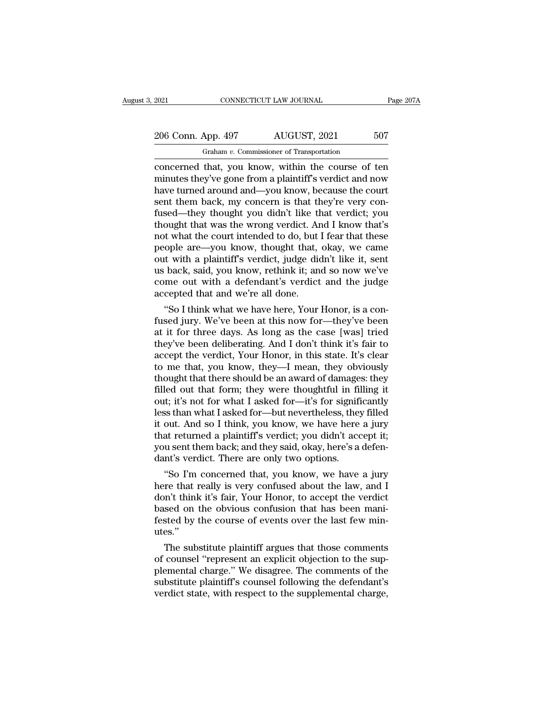# 2021 CONNECTICUT LAW JOURNAL Page 207A<br>
206 Conn. App. 497 AUGUST, 2021 507<br>
Graham v. Commissioner of Transportation Graham *v.* Commissioner of Transportation

connectricut LAW JOURNAL Page 207A<br>
206 Conn. App. 497 AUGUST, 2021 507<br>
Graham v. Commissioner of Transportation<br>
concerned that, you know, within the course of ten<br>
minutes they've gone from a plaintiff's verdict and now 206 Conn. App. 497 AUGUST, 2021 507<br>
Graham v. Commissioner of Transportation<br>
concerned that, you know, within the course of ten<br>
minutes they've gone from a plaintiff's verdict and now<br>
have turned around and—you know, b 206 Conn. App. 497 AUGUST, 2021 507<br>
Graham v. Commissioner of Transportation<br>
concerned that, you know, within the course of ten<br>
minutes they've gone from a plaintiff's verdict and now<br>
have turned around and—you know, 206 Conn. App. 497 AUGUST, 2021 507<br>
Graham *v*. Commissioner of Transportation<br>
concerned that, you know, within the course of ten<br>
minutes they've gone from a plaintiff's verdict and now<br>
have turned around and—you know Fused Collar  $F_{\text{FP}}$ , 2018. The Cocoup, 2018.<br>
Concerned that, you know, within the course of ten<br>
minutes they've gone from a plaintiff's verdict and now<br>
have turned around and—you know, because the court<br>
sent them b Graham v. Commissioner of Transportation<br>
concerned that, you know, within the course of ten<br>
minutes they've gone from a plaintiff's verdict and now<br>
have turned around and—you know, because the court<br>
sent them back, my concerned that, you know, within the course of ten<br>minutes they've gone from a plaintiff's verdict and now<br>have turned around and—you know, because the court<br>sent them back, my concern is that they're very con-<br>fused—they minutes they've gone from a plaintiff's verdict and now<br>have turned around and—you know, because the court<br>sent them back, my concern is that they're very con-<br>fused—they thought you didn't like that verdict; you<br>thought t have turned around and—you know, because the court<br>sent them back, my concern is that they're very con-<br>fused—they thought you didn't like that verdict; you<br>thought that was the wrong verdict. And I know that's<br>not what th sent them back, my concern is that they're very con-<br>fused—they thought you didn't like that verdict; you<br>thought that was the wrong verdict. And I know that's<br>not what the court intended to do, but I fear that these<br>peopl fused—they thought you didn't like that verdict; you<br>thought that was the wrong verdict. And I know that's<br>not what the court intended to do, but I fear that these<br>people are—you know, thought that, okay, we came<br>out with thought that was the wrong verdict. An<br>not what the court intended to do, but<br>people are—you know, thought that,<br>out with a plaintiff's verdict, judge dia<br>us back, said, you know, rethink it; an<br>come out with a defendant's or I that what the court intended to do, but I fear that these<br>
ople are—you know, thought that, okay, we came<br>
t with a plaintiff's verdict, judge didn't like it, sent<br>
back, said, you know, rethink it; and so now we've<br> people are—you know, thought that, okay, we came<br>out with a plaintiff's verdict, judge didn't like it, sent<br>us back, said, you know, rethink it; and so now we've<br>come out with a defendant's verdict and the judge<br>accepted t

out with a plaintiff s verdict, judge didn't like it, sent<br>us back, said, you know, rethink it; and so now we've<br>come out with a defendant's verdict and the judge<br>accepted that and we're all done.<br>"So I think what we have us back, said, you know, rethink it; and so now we ve<br>come out with a defendant's verdict and the judge<br>accepted that and we're all done.<br>"So I think what we have here, Your Honor, is a con-<br>fused jury. We've been at this come out with a defendant s verdict and the judge<br>accepted that and we're all done.<br>"So I think what we have here, Your Honor, is a con-<br>fused jury. We've been at this now for—they've been<br>at it for three days. As long as accepted that and we're all done.<br>
"So I think what we have here, Your Honor, is a con-<br>
fused jury. We've been at this now for—they've been<br>
at it for three days. As long as the case [was] tried<br>
they've been deliberating "So I think what we have here, Your Honor, is a confused jury. We've been at this now for—they've been at it for three days. As long as the case [was] tried they've been deliberating. And I don't think it's fair to accept fused jury. We've been at this now for—they've been<br>at it for three days. As long as the case [was] tried<br>they've been deliberating. And I don't think it's fair to<br>accept the verdict, Your Honor, in this state. It's clear<br> at it for three days. As long as the case [was] tried<br>they've been deliberating. And I don't think it's fair to<br>accept the verdict, Your Honor, in this state. It's clear<br>to me that, you know, they—I mean, they obviously<br>th they've been deliberating. And I don't think it's fair to<br>accept the verdict, Your Honor, in this state. It's clear<br>to me that, you know, they—I mean, they obviously<br>thought that there should be an award of damages: they<br>f accept the verdict, Your Honor, in this state. It's clear<br>to me that, you know, they—I mean, they obviously<br>thought that there should be an award of damages: they<br>filled out that form; they were thoughtful in filling it<br>ou to me that, you know, they—I mean, they obviously<br>thought that there should be an award of damages: they<br>filled out that form; they were thoughtful in filling it<br>out; it's not for what I asked for—it's for significantly<br>le thought that there should be an award of damages: they<br>filled out that form; they were thoughtful in filling it<br>out; it's not for what I asked for—it's for significantly<br>less than what I asked for—but nevertheless, they fi filled out that form; they were thoughtful in fil<br>out; it's not for what I asked for—it's for signifi<br>less than what I asked for—but nevertheless, they<br>it out. And so I think, you know, we have here<br>that returned a plainti It; it's not for what I asked for—it's for significantly<br>
ss than what I asked for—but nevertheless, they filled<br>
out. And so I think, you know, we have here a jury<br>
at returned a plaintiff's verdict; you didn't accept it; ress than what I asked for—but nevertheless, they filled<br>it out. And so I think, you know, we have here a jury<br>that returned a plaintiff's verdict; you didn't accept it;<br>you sent them back; and they said, okay, here's a de

It out. And so I think, you know, we have here a jury<br>that returned a plaintiff's verdict; you didn't accept it;<br>you sent them back; and they said, okay, here's a defen-<br>dant's verdict. There are only two options.<br>"So I'm that returned a plaintiff s verdict; you didn't accept it;<br>you sent them back; and they said, okay, here's a defen-<br>dant's verdict. There are only two options.<br>"So I'm concerned that, you know, we have a jury<br>here that rea you sent them back; and they said, okay, here s a defendant's verdict. There are only two options.<br>"So I'm concerned that, you know, we have a jury<br>here that really is very confused about the law, and I<br>don't think it's fa utes.'' So I m concerned that, you know, we have a jury<br>re that really is very confused about the law, and I<br>m't think it's fair, Your Honor, to accept the verdict<br>sed on the obvious confusion that has been mani-<br>sted by the cours nere that really is very contused about the law, and I<br>don't think it's fair, Your Honor, to accept the verdict<br>based on the obvious confusion that has been mani-<br>fested by the course of events over the last few min-<br>utes.

don't think it's fair, Your Honor, to accept the verdict<br>based on the obvious confusion that has been mani-<br>fested by the course of events over the last few min-<br>utes."<br>The substitute plaintiff argues that those comments<br>o based on the obvious confusion that has been manifested by the course of events over the last few minutes."<br>The substitute plaintiff argues that those comments<br>of counsel "represent an explicit objection to the sup-<br>plemen rested by the course of events over the last few minutes."<br>The substitute plaintiff argues that those comments<br>of counsel "represent an explicit objection to the sup-<br>plemental charge." We disagree. The comments of the<br>sub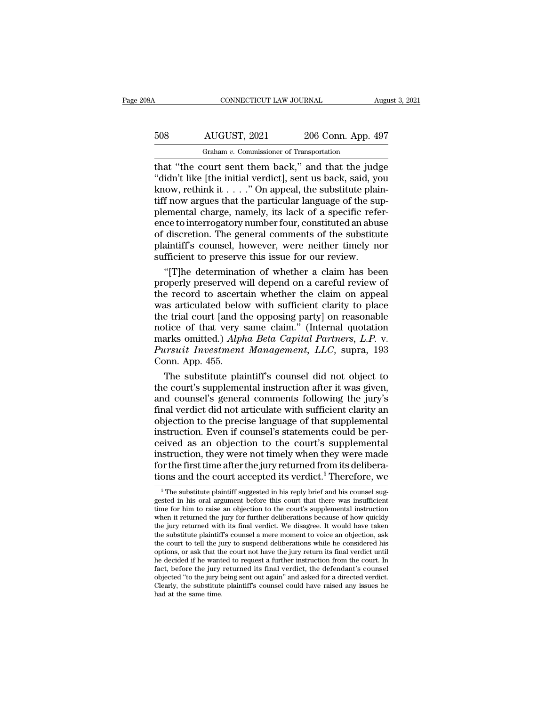# CONNECTICUT LAW JOURNAL August 3, 2021<br>508 AUGUST, 2021 206 Conn. App. 497<br>Graham v. Commissioner of Transportation CONNECTICUT LAW JOURNAL<br>
AUGUST, 2021 206 Conn. App. 4<br>
Graham *v.* Commissioner of Transportation<br>
ourt. sent. them. back ", and. that. the. jud

CONNECTICUT LAW JOURNAL August 3, 2021<br>
SOB AUGUST, 2021 206 Conn. App. 497<br>
Graham v. Commissioner of Transportation<br>
that "the court sent them back," and that the judge<br>
"didn't like [the initial verdict], sent us back,  $\begin{array}{c|c} \text{508} & \text{AUGUST, 2021} & \text{206 Conn. App. 497} \\ \hline \text{Graham } v. \text{ Commissioner of Transportation} \\ \text{that "the court sent them back," and that the judge "didndi't like [the initial verdict], sent us back, said, you know, rethink it . . . " On appeal, the substitute plain-  
tiff now argues that the particular language of the sun-$ 508 AUGUST, 2021 206 Conn. App. 497<br>  $\frac{1}{2}$  Graham v. Commissioner of Transportation<br>
that "the court sent them back," and that the judge<br>
"didn't like [the initial verdict], sent us back, said, you<br>
know, rethink it . 508 AUGUST, 2021 206 Conn. App. 497<br>
Graham *v*. Commissioner of Transportation<br>
that "the court sent them back," and that the judge<br>
"didn't like [the initial verdict], sent us back, said, you<br>
know, rethink it . . . ." Frequency of Transportation<br>
Theorem v. Commissioner of Transportation<br>
that "the court sent them back," and that the judge<br>
"didn't like [the initial verdict], sent us back, said, you<br>
know, rethink it . . . ." On appeal Graham v. Commissioner of Transportation<br>
that "the court sent them back," and that the judge<br>
"didn't like [the initial verdict], sent us back, said, you<br>
know, rethink it . . . ." On appeal, the substitute plain-<br>
tiff that "the court sent them back," and that the judge "didn't like [the initial verdict], sent us back, said, you<br>know, rethink it  $\dots$ ." On appeal, the substitute plain-<br>tiff now argues that the particular language of the "didn't like [the initial verdict], sent us back, said, you<br>know, rethink it . . . ." On appeal, the substitute plain-<br>tiff now argues that the particular language of the sup-<br>plemental charge, namely, its lack of a speci know, rethink it  $\ldots$  ." On appeal, the substitute plaitiff now argues that the particular language of the suplemental charge, namely, its lack of a specific reference to interrogatory number four, constituted an abus of f now argues that the particular language of the sup-<br>emental charge, namely, its lack of a specific refer-<br>ce to interrogatory number four, constituted an abuse<br>discretion. The general comments of the substitute<br>aintiff's plemental charge, namely, its lack of a specific reference to interrogatory number four, constituted an abuse<br>of discretion. The general comments of the substitute<br>plaintiff's counsel, however, were neither timely nor<br>suff

ence to interrogatory number four, constituted an abuse<br>of discretion. The general comments of the substitute<br>plaintiff's counsel, however, were neither timely nor<br>sufficient to preserve this issue for our review.<br>"[T]he d of discretion. The general comments of the substitute<br>plaintiff's counsel, however, were neither timely nor<br>sufficient to preserve this issue for our review.<br>"[T]he determination of whether a claim has been<br>properly preser plaintiff's counsel, however, were neither timely nor<br>sufficient to preserve this issue for our review.<br>"[T]he determination of whether a claim has been<br>properly preserved will depend on a careful review of<br>the record to a sufficient to preserve this issue for our review.<br>
"[T]he determination of whether a claim has been<br>
properly preserved will depend on a careful review of<br>
the record to ascertain whether the claim on appeal<br>
was articulat "[T]he determination of whether a claim has been<br>properly preserved will depend on a careful review of<br>the record to ascertain whether the claim on appeal<br>was articulated below with sufficient clarity to place<br>the trial co properly preserved will depend on a careful review of<br>the record to ascertain whether the claim on appeal<br>was articulated below with sufficient clarity to place<br>the trial court [and the opposing party] on reasonable<br>notice the record to ascertain whether the claim on appeal<br>was articulated below with sufficient clarity to place<br>the trial court [and the opposing party] on reasonable<br>notice of that very same claim." (Internal quotation<br>marks o as articulated below with sufficient clarity to place<br>e trial court [and the opposing party] on reasonable<br>tice of that very same claim." (Internal quotation<br>arks omitted.) Alpha Beta Capital Partners, L.P. v.<br>ursuit Inves the trial court [and the opposing party] on reasonable<br>notice of that very same claim." (Internal quotation<br>marks omitted.) Alpha Beta Capital Partners, L.P. v.<br>Pursuit Investment Management, LLC, supra, 193<br>Conn. App. 455

notice of that very same claim." (Internal quotation<br>marks omitted.) Alpha Beta Capital Partners, L.P. v.<br>Pursuit Investment Management, LLC, supra, 193<br>Conn. App. 455.<br>The substitute plaintiff's counsel did not object to<br> marks omitted.) Alpha Beta Capital Partners, L.P. v.<br>Pursuit Investment Management, LLC, supra, 193<br>Conn. App. 455.<br>The substitute plaintiff's counsel did not object to<br>the court's supplemental instruction after it was giv Pursuit Investment Management, LLC, supra, 193<br>Conn. App. 455.<br>The substitute plaintiff's counsel did not object to<br>the court's supplemental instruction after it was given,<br>and counsel's general comments following the jury Conn. App. 455.<br>The substitute plaintiff's counsel did not object to<br>the court's supplemental instruction after it was given,<br>and counsel's general comments following the jury's<br>final verdict did not articulate with suffic The substitute plaintiff's counsel did not object to<br>the court's supplemental instruction after it was given,<br>and counsel's general comments following the jury's<br>final verdict did not articulate with sufficient clarity an<br> the court's supplemental instruction after it was given,<br>and counsel's general comments following the jury's<br>final verdict did not articulate with sufficient clarity an<br>objection to the precise language of that supplement and counsel's general comments following the jury's<br>final verdict did not articulate with sufficient clarity an<br>objection to the precise language of that supplemental<br>instruction. Even if counsel's statements could be per final verdict did not articulate with sufficient clarity an objection to the precise language of that supplemental instruction. Even if counsel's statements could be perceived as an objection to the court's supplemental i ceived as an objection to the court's supplemental<br>instruction, they were not timely when they were made<br>for the first time after the jury returned from its delibera-<br>tions and the court accepted its verdict.<sup>5</sup> Therefore instruction, they were not timely when they were made<br>for the first time after the jury returned from its delibera-<br>tions and the court accepted its verdict.<sup>5</sup> Therefore, we<br> $\frac{1}{100}$  The substitute plaintiff suggested

The first time after the jury returned from its delibera-<br>tions and the court accepted its verdict.<sup>5</sup> Therefore, we<br> $\frac{1}{\sqrt{2}}$  The substitute plaintiff suggested in his reply brief and his coursel suggested in his oral tions and the court accepted its verdict.<sup>5</sup> Therefore, we  $\frac{1}{100}$   $\frac{1}{100}$   $\frac{1}{100}$   $\frac{1}{100}$   $\frac{1}{100}$   $\frac{1}{100}$   $\frac{1}{100}$   $\frac{1}{100}$   $\frac{1}{100}$   $\frac{1}{100}$   $\frac{1}{100}$   $\frac{1}{100}$   $\frac{1}{100}$   $\frac{1}{$ tions and the court accepted its verdict.<sup>5</sup> Therefore, we<br>  $\frac{1}{2}$  The substitute plaintiff suggested in his reply brief and his counsel suggested in his oral argument before this court that there was insufficient<br>
tim The substitute plaintiff suggested in his reply brief and his counsel suggested in his oral argument before this court that there was insufficient time for him to raise an objection to the court's supplemental instruction <sup>5</sup> The substitute plaintiff suggested in his reply brief and his counsel suggested in his oral argument before this court that there was insufficient time for him to raise an objection to the court's supplemental instruc gested in his oral argument before this court that there was insufficient<br>time for him to raise an objection to the court's supplemental instruction<br>when it returned the jury for further deliberations because of how quickl time for him to raise an objection to the court's supplemental instruction<br>when it returned the jury for further deliberations because of how quickly<br>the jury returned with its final verdict. We disagree. It would have tak when it returned the jury for further deliberations because of how quickly<br>the jury returned with its final verdict. We disagree. It would have taken<br>the substitute plaintiff's counsel a mere moment to voice an objection, the jury returned with its final verdict. We disagree. It would have taken<br>the substitute plaintiff's counsel a mere moment to voice an objection, ask<br>the court to tell the jury to suspend deliberations while he considered the substitute plaintiff's counsel a mere moment to voice an objection, ask<br>the court to tell the jury to suspend deliberations while he considered his<br>options, or ask that the court not have the jury return its final verd options, or ask that the court not have the jury return its final verdict until<br>he decided if he wanted to request a further instruction from the court. In<br>fact, before the jury returned its final verdict, the defendant's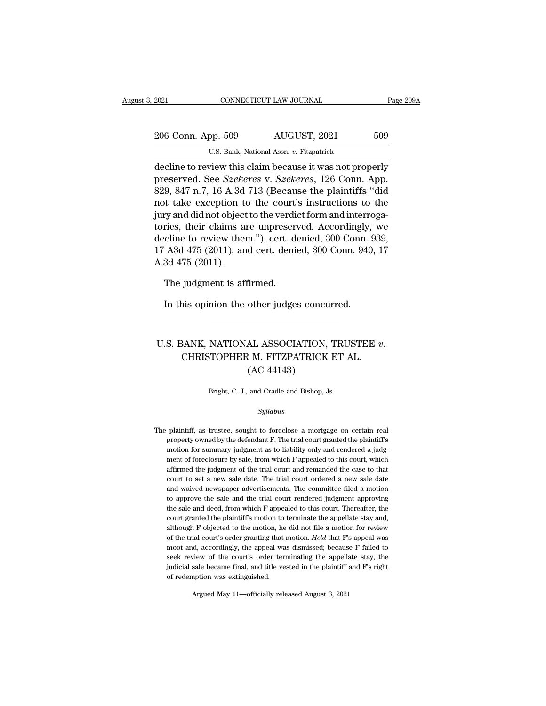| 2021               | CONNECTICUT LAW JOURNAL                                  | Page 209A |
|--------------------|----------------------------------------------------------|-----------|
|                    |                                                          |           |
| 206 Conn. App. 509 | AUGUST, 2021                                             | 509       |
|                    | U.S. Bank, National Assn. v. Fitzpatrick                 |           |
|                    | decline to review this claim because it was not properly |           |

CONNECTICUT LAW JOURNAL Page 209A<br>
206 Conn. App. 509 AUGUST, 2021 509<br>
U.S. Bank, National Assn. v. Fitzpatrick<br>
decline to review this claim because it was not properly<br>
preserved. See Szekeres v. Szekeres, 126 Conn. App 206 Conn. App. 509 AUGUST, 2021 509<br>U.S. Bank, National Assn. v. Fitzpatrick<br>decline to review this claim because it was not properly<br>preserved. See *Szekeres* v. *Szekeres*, 126 Conn. App.<br>829, 847 n.7, 16 A.3d 713 (Becau 206 Conn. App. 509 AUGUST, 2021 509<br>
U.S. Bank, National Assn. v. Fitzpatrick<br>
decline to review this claim because it was not properly<br>
preserved. See *Szekeres* v. *Szekeres*, 126 Conn. App.<br>
829, 847 n.7, 16 A.3d 713 (B 206 Conn. App. 509 AUGUST, 2021 509<br>
U.S. Bank, National Assn. v. Fitzpatrick<br>
decline to review this claim because it was not properly<br>
preserved. See *Szekeres* v. *Szekeres*, 126 Conn. App.<br>
829, 847 n.7, 16 A.3d 713 (B U.S. Bank, National Assn. v. Fitzpatrick<br>
decline to review this claim because it was not properly<br>
preserved. See *Szekeres* v. *Szekeres*, 126 Conn. App.<br>
829, 847 n.7, 16 A.3d 713 (Because the plaintiffs "did<br>
not take **EXAMPLE 18.** EXAMPLE THE CONDINGTONDED AND A SSET OF THE DECISION of the SZER of the SZER COMPANY and all not take exception to the court's instructions to the jury and did not object to the verdict form and interrogator decline to review this claim because it was not properly<br>preserved. See *Szekeres* v. *Szekeres*, 126 Conn. App.<br>829, 847 n.7, 16 A.3d 713 (Because the plaintiffs "did<br>not take exception to the court's instructions to the<br> preserved. See *Szekeres* v. *Szekeres*, 126 Conn. App.<br>829, 847 n.7, 16 A.3d 713 (Because the plaintiffs "did<br>not take exception to the court's instructions to the<br>jury and did not object to the verdict form and interroga 829, 847 n.7, 16 A.3d<br>not take exception t<br>jury and did not object<br>tories, their claims a<br>decline to review thei<br>17 A3d 475 (2011), an<br>A.3d 475 (2011). ry and did not object to the verdivent<br>ries, their claims are unpreserveline to review them."), cert. denialed.<br>A3d 475 (2011), and cert. denialed.<br>3d 475 (2011).<br>The judgment is affirmed.<br>In this opinion the other judge: In this opinion the other judges concurred.<br>
In this opinion the other judges concurred.<br>
In this opinion the other judges concurred.

### The judgment is affirmed.<br>
In this opinion the other judges concurred.<br>
U.S. BANK, NATIONAL ASSOCIATION, TRUSTEE *v.*<br>
CHRISTOPHER M. FITZPATRICK ET AL. Judgment is animied.<br>
anis opinion the other judges concurred.<br>
CHRISTOPHER M. FITZPATRICK ET AL.<br>
(AC 44143) other judges concu<br>
<br>
AL ASSOCIATION,<br>
R. M. FITZPATRICK<br>
(AC 44143)<br>
<br>
and Cradle and Bishop, J. U.S. BANK, NATIONAL ASSOCIATION, TRUSTEE  $v$ .<br>CHRISTOPHER M. FITZPATRICK ET AL.<br>(AC 44143)<br>Bright, C. J., and Cradle and Bishop, Js.

### *Syllabus*

Bright, C. J., and Cradle and Bishop, Js.<br>
Syllabus<br>
The plaintiff, as trustee, sought to foreclose a mortgage on certain real<br>
property owned by the defendant F. The trial court granted the plaintiff's Bright, C. J., and Cradle and Bishop, Js.<br>
Syllabus<br>
plaintiff, as trustee, sought to foreclose a mortgage on certain real<br>
property owned by the defendant F. The trial court granted the plaintiff's<br>
motion for summary jud Syllabus<br>plaintiff, as trustee, sought to foreclose a mortgage on certain real<br>property owned by the defendant F. The trial court granted the plaintiff's<br>motion for summary judgment as to liability only and rendered a judg  $Syllabus$ <br>plaintiff, as trustee, sought to foreclose a mortgage on certain real<br>property owned by the defendant F. The trial court granted the plaintiff's<br>motion for summary judgment as to liability only and rendered a judgplaintiff, as trustee, sought to foreclose a mortgage on certain real<br>property owned by the defendant F. The trial court granted the plaintiff's<br>motion for summary judgment as to liability only and rendered a judg-<br>ment of plaintiff, as trustee, sought to foreclose a mortgage on certain real<br>property owned by the defendant F. The trial court granted the plaintiff's<br>motion for summary judgment as to liability only and rendered a judg-<br>ment of property owned by the defendant F. The trial court granted the plaintiff's<br>motion for summary judgment as to liability only and rendered a judg-<br>ment of foreclosure by sale, from which F appealed to this court, which<br>affir motion for summary judgment as to liability only and rendered a judgment of foreclosure by sale, from which F appealed to this court, which affirmed the judgment of the trial court and remanded the case to that court to se ment of foreclosure by sale, from which F appealed to this court, which affirmed the judgment of the trial court and remanded the case to that court to set a new sale date. The trial court ordered a new sale date and waive affirmed the judgment of the trial court and remanded the case to that court to set a new sale date. The trial court ordered a new sale date and waived newspaper advertisements. The committee filed a motion to approve the court to set a new sale date. The trial court ordered a new sale date<br>and waived newspaper advertisements. The committee filed a motion<br>to approve the sale and the trial court rendered judgment approving<br>the sale and deed, and waived newspaper advertisements. The committee filed a motion<br>to approve the sale and the trial court rendered judgment approving<br>the sale and deed, from which F appealed to this court. Thereafter, the<br>court granted th to approve the sale and the trial court rendered judgment approving<br>the sale and deed, from which F appealed to this court. Thereafter, the<br>court granted the plaintiff's motion to terminate the appellate stay and,<br>although the sale and deed, from which F appealed to this court. Thereafter, the court granted the plaintiff's motion to terminate the appellate stay and, although F objected to the motion, he did not file a motion for review of th court granted the plaintiff's motion to terminate the appellate stay and, although F objected to the motion, he did not file a motion for review of the trial court's order granting that motion. *Held* that F's appeal was m although F objected to the motion, he<br>of the trial court's order granting that<br>moot and, accordingly, the appeal wa<br>seek review of the court's order ter-<br>judicial sale became final, and title ve<br>of redemption was extinguis moot and, accordingly, the appeal was dismissed; because F failed to seek review of the court's order terminating the appellate stay, the judicial sale became final, and title vested in the plaintiff and F's right of rede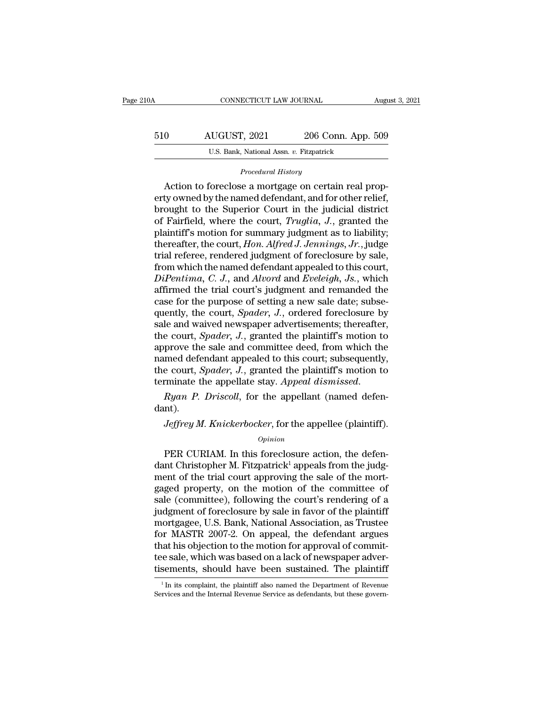| 210A | CONNECTICUT LAW JOURNAL                  |                    | August 3, 2021 |
|------|------------------------------------------|--------------------|----------------|
| 510  | AUGUST, 2021                             | 206 Conn. App. 509 |                |
|      | U.S. Bank, National Assn. v. Fitzpatrick |                    |                |

*Procedural History*<br>Action to foreclose a mortgage on certain real prop-<sup>0</sup> AUGUST, 2021 206 Conn. App. 509<br>
<sup>U.S. Bank, National Assn. *v.* Fitzpatrick<br> *Procedural History*<br>
Action to foreclose a mortgage on certain real prop-<br>
ty owned by the named defendant, and for other relief,<br>
ought to</sup> ERECT:  $\frac{100}{100}$  AUGUST, 2021 206 Conn. App. 509<br>
U.S. Bank, National Assn. v. Fitzpatrick<br>
Procedural History<br>
Action to foreclose a mortgage on certain real property owned by the named defendant, and for other relie  $\begin{array}{r} \text{BIO} \end{array}$  AUGUS1, 2021 200 Conn. App. 509<br>U.S. Bank, National Assn. v. Fitzpatrick<br>Procedural History<br>Action to foreclose a mortgage on certain real property owned by the named defendant, and for other relief,<br> U.S. Bank, National Assn. *v.* Fitzpatrick<br>
Procedural History<br>
Action to foreclose a mortgage on certain real prop-<br>
erty owned by the named defendant, and for other relief,<br>
brought to the Superior Court in the judicial Procedural History<br>
Action to foreclose a mortgage on certain real prop-<br>
erty owned by the named defendant, and for other relief,<br>
brought to the Superior Court in the judicial district<br>
of Fairfield, where the court, Tru *Procedural History*<br>Action to foreclose a mortgage on certain real prop-<br>erty owned by the named defendant, and for other relief,<br>brought to the Superior Court in the judicial district<br>of Fairfield, where the court, *Trug* Action to foreclose a mortgage on certain real property owned by the named defendant, and for other relief, brought to the Superior Court in the judicial district of Fairfield, where the court, *Truglia*, *J.*, granted th erty owned by the named defendant, and for other relief,<br>brought to the Superior Court in the judicial district<br>of Fairfield, where the court, *Truglia*, *J*., granted the<br>plaintiff's motion for summary judgment as to liab *Die is a perior court in the judicial district*<br>of Fairfield, where the court, *Truglia*, *J.*, granted the<br>plaintiff's motion for summary judgment as to liability;<br>thereafter, the court, *Hon. Alfred J. Jennings*, *Jr.*, of Fairfield, where the court, *Truglia*, *J*., granted the<br>plaintiff's motion for summary judgment as to liability;<br>thereafter, the court, *Hon. Alfred J. Jennings*, *Jr.*, judge<br>trial referee, rendered judgment of forecl plaintiff's motion for summary judgment as to liability;<br>thereafter, the court, *Hon. Alfred J. Jennings*, *Jr.*, judge<br>trial referee, rendered judgment of foreclosure by sale,<br>from which the named defendant appealed to th thereafter, the court, *Hon. Alfred J. Jennings, Jr.*, judge<br>trial referee, rendered judgment of foreclosure by sale,<br>from which the named defendant appealed to this court,<br>*DiPentima*, *C. J.*, and *Alvord* and *Eveleigh* trial referee, rendered judgment of foreclosure by sale,<br>from which the named defendant appealed to this court,<br>*DiPentima*, *C. J.*, and *Alvord* and *Eveleigh*, *Js.*, which<br>affirmed the trial court's judgment and remand from which the named defendant appealed to this court,<br> *DiPentima*, *C. J.*, and *Alvord* and *Eveleigh*, *Js.*, which<br>
affirmed the trial court's judgment and remanded the<br>
case for the purpose of setting a new sale date DiPentima, C. J., and Alvord and Eveleigh, Js., which<br>affirmed the trial court's judgment and remanded the<br>case for the purpose of setting a new sale date; subse-<br>quently, the court, *Spader*, J., ordered foreclosure by<br>sa affirmed the trial court's judgment and remanded the case for the purpose of setting a new sale date; subsequently, the court, *Spader*, *J*., ordered foreclosure by sale and waived newspaper advertisements; thereafter, t case for the purpose of setting a new sale date; subsequently, the court, *Spader*, *J.*, ordered foreclosure by sale and waived newspaper advertisements; thereafter, the court, *Spader*, *J.*, granted the plaintiff's moti quently, the court, *Spader*, *J.*, ordered foreclosure by sale and waived newspaper advertisements; thereafter, the court, *Spader*, *J.*, granted the plaintiff's motion to approve the sale and committee deed, from which prove are state and commuted accd, from which are<br>med defendant appealed to this court; subsequently,<br>e court, *Spader*, *J*., granted the plaintiff's motion to<br>minate the appellate stay. *Appeal dismissed.*<br>Ryan P. Drisco

dant).

### *Opinion*

munate the appellate stay. Appeal dismissed.<br>  $Ryan$  P. Driscoll, for the appellant (named defen-<br>  $n!$ ).<br>  $Jeffrey$  M. Knickerbocker, for the appellee (plaintiff).<br>  $Opinion$ <br>
PER CURIAM. In this foreclosure action, the defen-<br>  $n!$ Ryan P. Driscoll, for the appellant (named defendant).<br>
Jeffrey M. Knickerbocker, for the appellee (plaintiff).<br>  $\frac{Opinion}{1}$ <br>
PER CURIAM. In this foreclosure action, the defendant Christopher M. Fitzpatrick<sup>1</sup> appeals fro dant).<br> *Jeffrey M. Knickerbocker*, for the appellee (plaintiff).<br> *Opinion*<br>
PER CURIAM. In this foreclosure action, the defendant Christopher M. Fitzpatrick<sup>1</sup> appeals from the judg-<br>
ment of the trial court approving th Jeffrey M. Knickerbocker, for the appellee (plaintiff).<br>
opinion<br>
PER CURIAM. In this foreclosure action, the defen-<br>
dant Christopher M. Fitzpatrick<sup>1</sup> appeals from the judg-<br>
ment of the trial court approving the sale of  $o_{pinion}$ <br>
PER CURIAM. In this foreclosure action, the defendant Christopher M. Fitzpatrick<sup>1</sup> appeals from the judgment of the trial court approving the sale of the mortgaged property, on the motion of the committee of sal *Opinion*<br>
PER CURIAM. In this foreclosure action, the defen-<br>
dant Christopher M. Fitzpatrick<sup>1</sup> appeals from the judg-<br>
ment of the trial court approving the sale of the mort-<br>
gaged property, on the motion of the commi PER CURIAM. In this foreclosure action, the defendant Christopher M. Fitzpatrick<sup>1</sup> appeals from the judgment of the trial court approving the sale of the mortgaged property, on the motion of the committee of sale (commit dant Christopher M. Fitzpatrick<sup>1</sup> appeals from the judgment of the trial court approving the sale of the mortgaged property, on the motion of the committee of sale (committee), following the court's rendering of a judgmen ment of the trial court approving the sale of the mortgaged property, on the motion of the committee of sale (committee), following the court's rendering of a judgment of foreclosure by sale in favor of the plaintiff mortg gaged property, on the motion of the committee of<br>sale (committee), following the court's rendering of a<br>judgment of foreclosure by sale in favor of the plaintiff<br>mortgagee, U.S. Bank, National Association, as Trustee<br>for sale (committee), following the court's rendering of a<br>judgment of foreclosure by sale in favor of the plaintiff<br>mortgagee, U.S. Bank, National Association, as Trustee<br>for MASTR 2007-2. On appeal, the defendant argues<br>that In MASTR 2007-2. On appeal, the defendant argues<br>aat his objection to the motion for approval of commit-<br>e sale, which was based on a lack of newspaper adver-<br>sements, should have been sustained. The plaintiff<br> $\frac{1}{1}$ In that his objection to the motion for approval of commit-<br>tee sale, which was based on a lack of newspaper adver-<br>tisements, should have been sustained. The plaintiff<br> $\frac{1}{1}$  In its complaint, the plaintiff also named th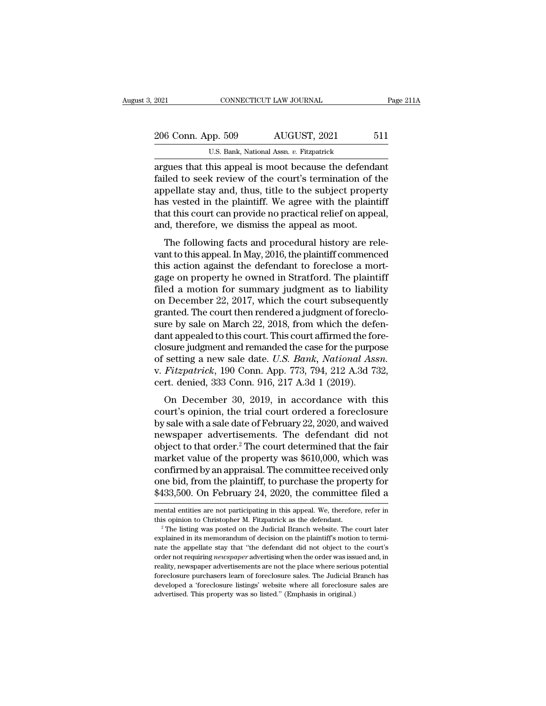| 2021               | CONNECTICUT LAW JOURNAL                               | Page 211A |
|--------------------|-------------------------------------------------------|-----------|
|                    |                                                       |           |
| 206 Conn. App. 509 | AUGUST, 2021                                          | 511       |
|                    | U.S. Bank, National Assn. v. Fitzpatrick              |           |
|                    | arques that this anneal is moot because the defendant |           |

2021 CONNECTICUT LAW JOURNAL Page 211/2<br>
206 Conn. App. 509 AUGUST, 2021 511<br>
U.S. Bank, National Assn. v. Fitzpatrick<br>
argues that this appeal is moot because the defendant<br>
failed to seek review of the court's terminatio 206 Conn. App. 509 AUGUST, 2021 511<br>U.S. Bank, National Assn. v. Fitzpatrick<br>argues that this appeal is moot because the defendant<br>failed to seek review of the court's termination of the<br>appellate stay and, thus, title to 206 Conn. App. 509 AUGUST, 2021 511<br>U.S. Bank, National Assn. v. Fitzpatrick<br>argues that this appeal is moot because the defendant<br>failed to seek review of the court's termination of the<br>appellate stay and, thus, title to 206 Conn. App. 509 AUGUST, 2021 511<br>U.S. Bank, National Assn.  $v$ . Fitzpatrick<br>argues that this appeal is moot because the defendant<br>failed to seek review of the court's termination of the<br>appellate stay and, thus, title U.S. Bank, National Assn. *v.* Fitzpatrick<br>argues that this appeal is moot because the defendant<br>failed to seek review of the court's termination of the<br>appellate stay and, thus, title to the subject property<br>has vested in U.S. Bank, National Assn.  $v$ . Fitzpatrick<br>argues that this appeal is moot because the defenda<br>failed to seek review of the court's termination of the<br>appellate stay and, thus, title to the subject proper<br>has vested in th ded to seek review of the court's termination of the pellate stay and, thus, title to the subject property so vested in the plaintiff. We agree with the plaintiff at this court can provide no practical relief on appeal, d, rancu to seek review of the coart's termination of the<br>appellate stay and, thus, title to the subject property<br>has vested in the plaintiff. We agree with the plaintiff<br>that this court can provide no practical relief on app

appenate stay and, thus, the to the subject property<br>has vested in the plaintiff. We agree with the plaintiff<br>that this court can provide no practical relief on appeal,<br>and, therefore, we dismiss the appeal as moot.<br>The fo mas vested in the plaint... We agree what the plaint...<br>that this court can provide no practical relief on appeal,<br>and, therefore, we dismiss the appeal as moot.<br>The following facts and procedural history are rele-<br>vant to and, therefore, we dismiss the appeal as moot.<br>The following facts and procedural history are relevant to this appeal. In May, 2016, the plaintiff commenced<br>this action against the defendant to foreclose a mort-<br>gage on pr The following facts and procedural history are relevant to this appeal. In May, 2016, the plaintiff commenced<br>this action against the defendant to foreclose a mortgage on property he owned in Stratford. The plaintiff<br>file The following facts and procedural history are relevant to this appeal. In May, 2016, the plaintiff commenced<br>this action against the defendant to foreclose a mort-<br>gage on property he owned in Stratford. The plaintiff<br>fil vant to this appeal. In May, 2016, the plaintiff commenced<br>this action against the defendant to foreclose a mort-<br>gage on property he owned in Stratford. The plaintiff<br>filed a motion for summary judgment as to liability<br>on this action against the defendant to foreclose a mortgage on property he owned in Stratford. The plaintiff filed a motion for summary judgment as to liability on December 22, 2017, which the court subsequently granted. Th gage on property he owned in Stratford. The plaintiff<br>filed a motion for summary judgment as to liability<br>on December 22, 2017, which the court subsequently<br>granted. The court then rendered a judgment of foreclo-<br>sure by filed a motion for summary judgment as to liability<br>on December 22, 2017, which the court subsequently<br>granted. The court then rendered a judgment of foreclo-<br>sure by sale on March 22, 2018, from which the defen-<br>dant appe on December 22, 2017, which the court subsequently<br>granted. The court then rendered a judgment of foreclo-<br>sure by sale on March 22, 2018, from which the defen-<br>dant appealed to this court. This court affirmed the fore-<br>cl granted. The court then rendered a judgment of forec<br>sure by sale on March 22, 2018, from which the defe<br>dant appealed to this court. This court affirmed the for<br>closure judgment and remanded the case for the purpo<br>of sett The by sale of Malen 22, 2010, from which the determ<br>interpretent and remanded the case for the purpose<br>setting a new sale date. U.S. Bank, National Assn.<br>Fitzpatrick, 190 Conn. App. 773, 794, 212 A.3d 732,<br>rt. denied, 33 dance appeared to this court. This court antified are forced control and remanded the case for the purpose of setting a new sale date. U.S. Bank, National Assn. v. Fitzpatrick, 190 Conn. App. 773, 794, 212 A.3d 732, cert.

by sale yalgebra and remarked are case for are parpose<br>of setting a new sale date. U.S. Bank, National Assn.<br>v. Fitzpatrick, 190 Conn. App. 773, 794, 212 A.3d 732,<br>cert. denied, 333 Conn. 916, 217 A.3d 1 (2019).<br>On Decemb v. Fitzpatrick, 190 Conn. App. 773, 794, 212 A.3d 732,<br>cert. denied, 333 Conn. 916, 217 A.3d 1 (2019).<br>On December 30, 2019, in accordance with this<br>court's opinion, the trial court ordered a foreclosure<br>by sale with a sa object to that order. The court determined that the fair<br>narrow space with this court's opinion, the trial court ordered a foreclosure<br>by sale with a sale date of February 22, 2020, and waived<br>newspaper advertisements. Th On December 30, 2019, in accordance with this<br>court's opinion, the trial court ordered a foreclosure<br>by sale with a sale date of February 22, 2020, and waived<br>newspaper advertisements. The defendant did not<br>object to that On December 30, 2019, in accordance with this<br>court's opinion, the trial court ordered a foreclosure<br>by sale with a sale date of February 22, 2020, and waived<br>newspaper advertisements. The defendant did not<br>object to that court's opinion, the trial court ordered a foreclosure<br>by sale with a sale date of February 22, 2020, and waived<br>newspaper advertisements. The defendant did not<br>object to that order.<sup>2</sup> The court determined that the fair<br>m by sale with a sale date of February 22, 2020, and waived<br>newspaper advertisements. The defendant did not<br>object to that order.<sup>2</sup> The court determined that the fair<br>market value of the property was \$610,000, which was<br>con market value of the property was \$610,000, which was confirmed by an appraisal. The committee received only one bid, from the plaintiff, to purchase the property for \$433,500. On February 24, 2020, the committee filed a m confirmed by an appraisal. The committee received only<br>one bid, from the plaintiff, to purchase the property for<br>\$433,500. On February 24, 2020, the committee filed a<br>mental entities are not participating in this appeal. W

<sup>\$433,500.</sup> On February 24, 2020, the committee filed a<br>mental entities are not participating in this appeal. We, therefore, refer in<br>this opinion to Christopher M. Fitzpatrick as the defendant.<br><sup>2</sup> The listing was posted o mental entities are not participating in this appeal. We, therefore, refer in<br>mental entities are not participating in this appeal. We, therefore, refer in<br>this opinion to Christopher M. Fitzpatrick as the defendant.<br> $2^{\$ mental entities are not participating in this appeal. We, therefore, refer in<br>this opinion to Christopher M. Fitzpatrick as the defendant.<br><sup>2</sup> The listing was posted on the Judicial Branch website. The court later<br>explaine this opinion to Christopher M. Fitzpatrick as the defendant.<br>
<sup>2</sup> The listing was posted on the Judicial Branch website. The court later<br>
<sup>2</sup> The listing was posted on the Judicial Branch website. The court later<br>
explaine <sup>2</sup> The listing was posted on the Judicial Branch website. The court later<br><sup>2</sup> The listing was posted on the Judicial Branch website. The court later<br>explained in its memorandum of decision on the plaintiff's motion to ter explained in its memorandum of decision on the plaintiff's motion to termi-<br>nate the appellate stay that "the defendant did not object to the court's<br>order not requiring *newspaper* advertising when the order was issued an any and the appellate stay that "the defendant did not object to to the pace the appellate stay that "the defendant did not object to to to order not requiring *newspaper* advertisements are not the place where serious for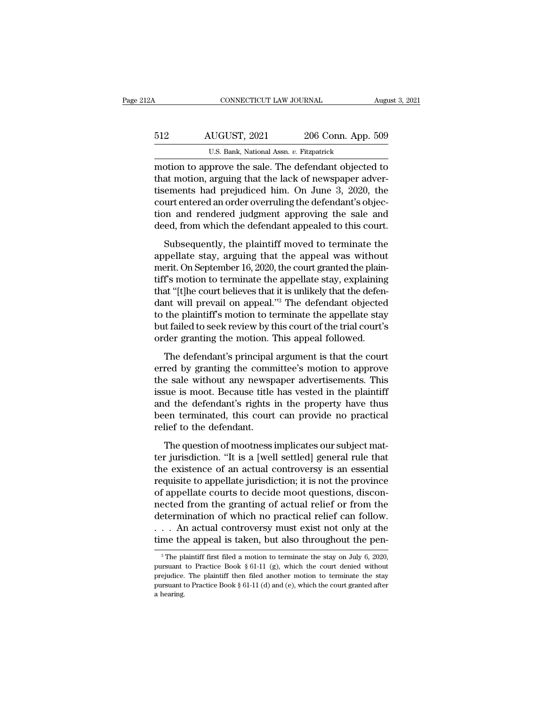| 12A | CONNECTICUT LAW JOURNAL                                                                                                                                               |                    | August 3, 2021 |
|-----|-----------------------------------------------------------------------------------------------------------------------------------------------------------------------|--------------------|----------------|
| 512 | AUGUST, 2021                                                                                                                                                          | 206 Conn. App. 509 |                |
|     | U.S. Bank, National Assn. v. Fitzpatrick                                                                                                                              |                    |                |
|     | motion to approve the sale. The defendant objected to<br>that motion, arguing that the lack of newspaper adver-<br>ticoments had projudiced him. On June 2, 2000, the |                    |                |

512 AUGUST, 2021 206 Conn. App. 509<br>U.S. Bank, National Assn. v. Fitzpatrick<br>motion to approve the sale. The defendant objected to<br>that motion, arguing that the lack of newspaper adver-<br>tisements had prejudiced him. On Jun 512 AUGUST, 2021 206 Conn. App. 509<br>U.S. Bank, National Assn. v. Fitzpatrick<br>motion to approve the sale. The defendant objected to<br>that motion, arguing that the lack of newspaper adver-<br>tisements had prejudiced him. On Ju 512 AUGUST, 2021 206 Conn. App. 509<br>U.S. Bank, National Assn. v. Fitzpatrick<br>motion to approve the sale. The defendant objected to<br>that motion, arguing that the lack of newspaper adver-<br>tisements had prejudiced him. On Jun U.S. Bank, National Assn.  $v$ . Fitzpatrick<br>
motion to approve the sale. The defendant objected to<br>
that motion, arguing that the lack of newspaper adver-<br>
tisements had prejudiced him. On June 3, 2020, the<br>
court entered  $\frac{0.5}{0.5}$  Bank, National Assn.  $v$ . Fitzpartick<br>motion to approve the sale. The defendant objected to<br>that motion, arguing that the lack of newspaper adver-<br>tisements had prejudiced him. On June 3, 2020, the<br>court ent at motion, arguing that the lack of newspaper adver-<br>at motion, arguing that the lack of newspaper adver-<br>ements had prejudiced him. On June 3, 2020, the<br>urt entered an order overruling the defendant's objec-<br>on and render rata modes, arguing and the last of the mappelper and the distribution<br>tisements had prejudiced him. On June 3, 2020, the<br>court entered an order overruling the defendant's objec-<br>tion and rendered judgment approving the sa

merit and prejudiced rand of state by 2020, the<br>court entered an order overruling the defendant's objec-<br>tion and rendered judgment approving the sale and<br>deed, from which the defendant appealed to this court.<br>Subsequently tion and rendered judgment approving the sale and<br>deed, from which the defendant appealed to this court.<br>Subsequently, the plaintiff moved to terminate the<br>appellate stay, arguing that the appeal was without<br>merit. On Sept that 'that is algorithe approach of this court.<br>
Subsequently, the plaintiff moved to terminate the<br>
appellate stay, arguing that the appeal was without<br>
merit. On September 16, 2020, the court granted the plain-<br>
tiff's m Subsequently, the plaintiff moved to terminate the<br>appellate stay, arguing that the appeal was without<br>merit. On September 16, 2020, the court granted the plain-<br>tiff's motion to terminate the appellate stay, explaining<br>t Subsequently, the plaintiff moved to terminate the<br>appellate stay, arguing that the appeal was without<br>merit. On September 16, 2020, the court granted the plain-<br>tiff's motion to terminate the appellate stay, explaining<br>th appellate stay, arguing that the appeal was without<br>merit. On September 16, 2020, the court granted the plain-<br>tiff's motion to terminate the appellate stay, explaining<br>that "[t]he court believes that it is unlikely that t merit. On September 16, 2020, the court granted the plain-<br>tiff's motion to terminate the appellate stay, explaining<br>that "[t]he court believes that it is unlikely that the defen-<br>dant will prevail on appeal."<sup>3</sup> The defen The defendant's principal argument is that the defendant will prevail on appeal."<sup>3</sup> The defendant objected the plaintiff's motion to terminate the appellate stay at failed to seek review by this court of the trial court's erred to the plaintiff's motion to terminate the appellate stay<br>but failed to seek review by this court of the trial court's<br>order granting the motion. This appeal followed.<br>The defendant's principal argument is that the c

to the plaintiff's motion to terminate the appellate stay<br>but failed to seek review by this court of the trial court's<br>order granting the motion. This appeal followed.<br>The defendant's principal argument is that the court<br>e is the plant of seek review by this court of the trial court's<br>order granting the motion. This appeal followed.<br>The defendant's principal argument is that the court<br>erred by granting the committee's motion to approve<br>the s and the defendant's principal argument is that the court<br>are defendant's principal argument is that the court<br>erred by granting the committee's motion to approve<br>the sale without any newspaper advertisements. This<br>issue is The defendant's principal argument is that the court<br>erred by granting the committee's motion to approve<br>the sale without any newspaper advertisements. This<br>issue is moot. Because title has vested in the plaintiff<br>and the The defendant's principal<br>erred by granting the comm<br>the sale without any newsp<br>issue is moot. Because title<br>and the defendant's rights i<br>been terminated, this court<br>relief to the defendant.<br>The question of mootness i The sale without any newspaper advertisements. This<br>are sale without any newspaper advertisements. This<br>sue is moot. Because title has vested in the plaintiff<br>d the defendant's rights in the property have thus<br>een terminat The same intribute any nonly perfect and characteristic ring<br>issue is moot. Because title has vested in the plaintiff<br>and the defendant's rights in the property have thus<br>been terminated, this court can provide no practica

the defendant's rights in the property have thus<br>been terminated, this court can provide no practical<br>relief to the defendant.<br>The question of mootness implicates our subject mat-<br>ter jurisdiction. "It is a [well settled] requisite to the defendant.<br>
The question of mootness implicates our subject matter jurisdiction. "It is a [well settled] general rule that<br>
the existence of an actual controversy is an essential<br>
requisite to appellate ju relief to the defendant.<br>The question of mootness implicates our subject matter jurisdiction. "It is a [well settled] general rule that<br>the existence of an actual controversy is an essential<br>requisite to appellate jurisdic The question of mootness implicates our subject matter jurisdiction. "It is a [well settled] general rule that<br>the existence of an actual controversy is an essential<br>requisite to appellate jurisdiction; it is not the provi The question of mootness implicates our subject matter jurisdiction. "It is a [well settled] general rule that<br>the existence of an actual controversy is an essential<br>requisite to appellate jurisdiction; it is not the prov ter jurisdiction. "It is a [well settled] general rule that<br>the existence of an actual controversy is an essential<br>requisite to appellate jurisdiction; it is not the province<br>of appellate courts to decide moot questions, d the existence of an actual controversy is an essential<br>requisite to appellate jurisdiction; it is not the province<br>of appellate courts to decide moot questions, discon-<br>nected from the granting of actual relief or from th ected from the granting of actual relief or from the<br>etermination of which no practical relief can follow.<br>. . An actual controversy must exist not only at the<br>me the appeal is taken, but also throughout the pen-<br> $\frac{3}{10$ determination of which no practical relief can follow.<br>  $\ldots$  An actual controversy must exist not only at the<br>
time the appeal is taken, but also throughout the pen-<br>
<sup>3</sup>The plaintiff first filed a motion to terminate th

<sup>...</sup> An actual controversy must exist not only at the time the appeal is taken, but also throughout the pen-<br><sup>3</sup>The plaintiff first filed a motion to terminate the stay on July 6, 2020, pursuant to Practice Book § 61-11 (g time the appeal is taken, but also throughout the pen-<br>
<sup>3</sup> The plaintiff first filed a motion to terminate the stay on July 6, 2020, pursuant to Practice Book § 61-11 (g), which the court denied without prejudice. The pl <sup>3</sup> The plaintiff first filed a motion to terminate the stay on July 6, 2020, pursuant to Practice Book § 61-11 (g), which the court denied without prejudice. The plaintiff then filed another motion to terminate the stay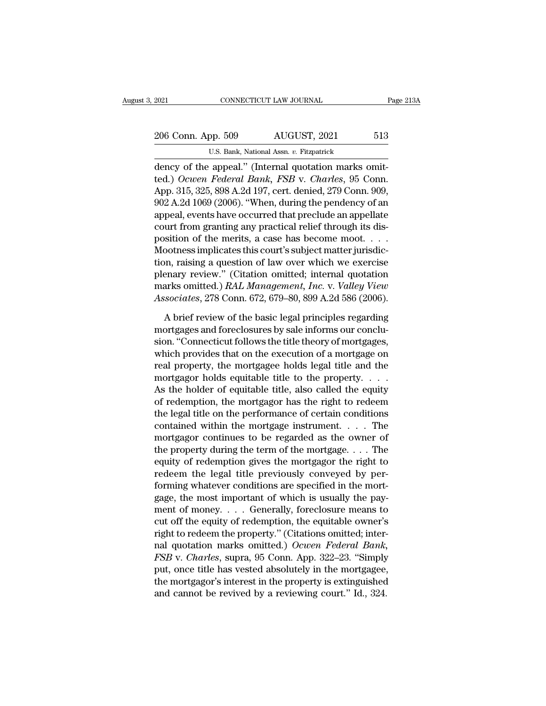EXECUTE 2021<br>
2006 Conn. App. 509 AUGUST, 2021 513<br>
2006 Conn. App. 509 AUGUST, 2021 513<br>
2016 U.S. Bank, National Assn. v. Fitzpatrick<br>
2016 Conn. App. 215, 225, 909, A 24, 107, cant, donied, 270 Conn. 2009 206 Conn. App. 509 AUGUST, 2021 513<br>U.S. Bank, National Assn. v. Fitzpatrick<br>dency of the appeal." (Internal quotation marks omit-<br>ted.) *Ocwen Federal Bank*, *FSB* v. *Charles*, 95 Conn.<br>App. 315, 325, 898 A.2d 197, cert. 206 Conn. App. 509 AUGUST, 2021 513<br>U.S. Bank, National Assn. v. Fitzpatrick<br>dency of the appeal." (Internal quotation marks omit-<br>ted.) Ocwen Federal Bank, FSB v. Charles, 95 Conn.<br>App. 315, 325, 898 A.2d 197, cert. denie 206 Conn. App. 509 AUGUST, 2021 513<br>U.S. Bank, National Assn. v. Fitzpatrick<br>dency of the appeal." (Internal quotation marks omit-<br>ted.) Ocwen Federal Bank, FSB v. Charles, 95 Conn.<br>App. 315, 325, 898 A.2d 197, cert. denie U.S. Bank, National Assn. v. Fitzpatrick<br>
dency of the appeal." (Internal quotation marks omit-<br>
ted.) Ocwen Federal Bank, FSB v. Charles, 95 Conn.<br>
App. 315, 325, 898 A.2d 197, cert. denied, 279 Conn. 909,<br>
902 A.2d 1069 C.S. Bank, National Assn. *b.* Fuzpatrick<br>dency of the appeal." (Internal quotation marks omit-<br>ted.) *Ocwen Federal Bank*, *FSB* v. *Charles*, 95 Conn.<br>App. 315, 325, 898 A.2d 197, cert. denied, 279 Conn. 909,<br>902 A.2d 1 dency of the appeal." (Internal quotation marks omit-<br>ted.) Ocwen Federal Bank, FSB v. Charles, 95 Conn.<br>App. 315, 325, 898 A.2d 197, cert. denied, 279 Conn. 909,<br>902 A.2d 1069 (2006). "When, during the pendency of an<br>appe ted.) Ocwen Federal Bank, FSB v. Charles, 95 Conn.<br>App. 315, 325, 898 A.2d 197, cert. denied, 279 Conn. 909,<br>902 A.2d 1069 (2006). "When, during the pendency of an<br>appeal, events have occurred that preclude an appellate<br>co App. 315, 325, 898 A.2d 197, cert. denied, 279 Conn. 909,<br>902 A.2d 1069 (2006). "When, during the pendency of an<br>appeal, events have occurred that preclude an appellate<br>court from granting any practical relief through its 902 A.2d 1069 (2006). "When, during the pendency of an appeal, events have occurred that preclude an appellate court from granting any practical relief through its disposition of the merits, a case has become moot. . . . appeal, events have occurred that preclude an appellate<br>court from granting any practical relief through its dis-<br>position of the merits, a case has become moot. . . .<br>Mootness implicates this court's subject matter jurisd court from granting any practical relief through its dis-<br>position of the merits, a case has become moot. . . .<br>Mootness implicates this court's subject matter jurisdic-<br>tion, raising a question of law over which we exerci bootness implicates this court's subject matter jurisdic-<br>
In, raising a question of law over which we exercise<br>
enary review." (Citation omitted; internal quotation<br>
arks omitted.) *RAL Management*, *Inc.* v. *Valley View* tion, raising a question of law over which we exercise<br>plenary review." (Citation omitted; internal quotation<br>marks omitted.) *RAL Management, Inc.* v. *Valley View<br>Associates*, 278 Conn. 672, 679–80, 899 A.2d 586 (2006).<br>

plenary review." (Citation omitted; internal quotation<br>marks omitted.) *RAL Management*, *Inc.* v. *Valley View*<br>Associates, 278 Conn. 672, 679–80, 899 A.2d 586 (2006).<br>A brief review of the basic legal principles regardin marks omitted.) *RAL Management*, *Inc.* v. *Valley View*<br>Associates, 278 Conn. 672, 679–80, 899 A.2d 586 (2006).<br>A brief review of the basic legal principles regarding<br>mortgages and foreclosures by sale informs our conclu Associates, 278 Conn. 672, 679–80, 899 A.2d 586 (2006).<br>
A brief review of the basic legal principles regarding<br>
mortgages and foreclosures by sale informs our conclu-<br>
sion. "Connecticut follows the title theory of mortg A brief review of the basic legal principles regarding<br>mortgages and foreclosures by sale informs our conclu-<br>sion. "Connecticut follows the title theory of mortgages,<br>which provides that on the execution of a mortgage on A brief review of the basic legal principles regarding<br>mortgages and foreclosures by sale informs our conclu-<br>sion. "Connecticut follows the title theory of mortgages,<br>which provides that on the execution of a mortgage on<br> mortgages and foreclosures by sale informs our conclusion. "Connecticut follows the title theory of mortgages,<br>which provides that on the execution of a mortgage on<br>real property, the mortgagee holds legal title and the<br>mo sion. "Connecticut follows the title theory of mortgages,<br>which provides that on the execution of a mortgage on<br>real property, the mortgagee holds legal title and the<br>mortgagor holds equitable title to the property.  $\dots$ <br> which provides that on the execution of a mortgage on<br>real property, the mortgagee holds legal title and the<br>mortgagor holds equitable title to the property. . . .<br>As the holder of equitable title, also called the equity<br> real property, the mortgagee holds legal title and the<br>mortgagor holds equitable title to the property. . . .<br>As the holder of equitable title, also called the equity<br>of redemption, the mortgagor has the right to redeem<br>t mortgagor holds equitable title to the property. . . . .<br>As the holder of equitable title, also called the equity<br>of redemption, the mortgagor has the right to redeem<br>the legal title on the performance of certain conditio As the holder of equitable title, also called the equity<br>of redemption, the mortgagor has the right to redeem<br>the legal title on the performance of certain conditions<br>contained within the mortgage instrument. . . . . The<br> of redemption, the mortgagor has the right to redeem<br>the legal title on the performance of certain conditions<br>contained within the mortgage instrument. . . . . The<br>mortgagor continues to be regarded as the owner of<br>the pr the legal title on the performance of certain conditions<br>contained within the mortgage instrument.  $\dots$  The<br>mortgagor continues to be regarded as the owner of<br>the property during the term of the mortgage.  $\dots$  The<br>equity contained within the mortgage instrument. . . . . The<br>mortgagor continues to be regarded as the owner of<br>the property during the term of the mortgage. . . . The<br>equity of redemption gives the mortgagor the right to<br>redeem mortgagor continues to be regarded as the owner of<br>the property during the term of the mortgage. . . . The<br>equity of redemption gives the mortgagor the right to<br>redeem the legal title previously conveyed by per-<br>forming w the property during the term of the mortgage. . . . The<br>equity of redemption gives the mortgagor the right to<br>redeem the legal title previously conveyed by per-<br>forming whatever conditions are specified in the mort-<br>gage, equity of redemption gives the mortgagor the right to<br>redeem the legal title previously conveyed by per-<br>forming whatever conditions are specified in the mort-<br>gage, the most important of which is usually the pay-<br>ment of redeem the legal title previously conveyed by per-<br>forming whatever conditions are specified in the mort-<br>gage, the most important of which is usually the pay-<br>ment of money. . . . Generally, foreclosure means to<br>cut off t *Forming whatever conditions are specified in the mortgage, the most important of which is usually the payment of money.... Generally, foreclosure means to cut off the equity of redemption, the equitable owner's right to r* gage, the most important of which is usually the payment of money. . . . Generally, foreclosure means to cut off the equity of redemption, the equitable owner's right to redeem the property." (Citations omitted; internal ment of money. . . . Generally, foreclosure means to<br>cut off the equity of redemption, the equitable owner's<br>right to redeem the property." (Citations omitted; inter-<br>nal quotation marks omitted.) Ocwen Federal Bank,<br>FSB cut off the equity of redemption, the equitable owner's<br>right to redeem the property." (Citations omitted; inter-<br>nal quotation marks omitted.) Ocwen Federal Bank,<br>FSB v. Charles, supra, 95 Conn. App. 322–23. "Simply<br>put,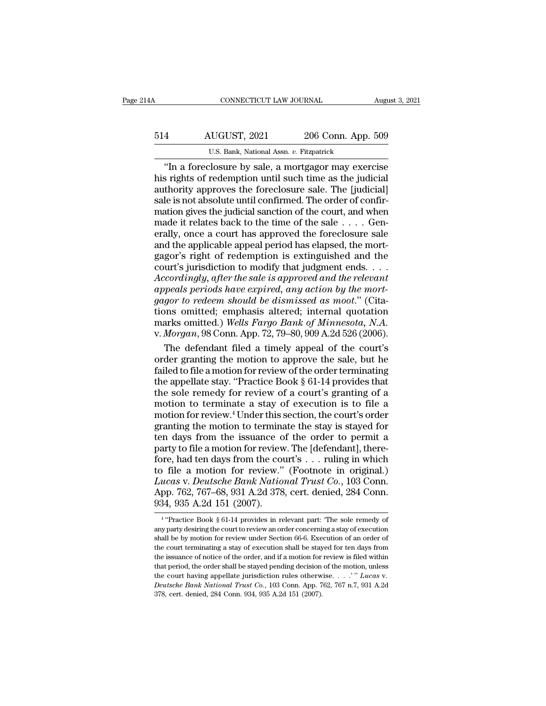| l4A | CONNECTICUT LAW JOURNAL                                                                                                                                                    |                    | August 3, 2021 |
|-----|----------------------------------------------------------------------------------------------------------------------------------------------------------------------------|--------------------|----------------|
| 514 | AUGUST, 2021                                                                                                                                                               | 206 Conn. App. 509 |                |
|     | U.S. Bank, National Assn. v. Fitzpatrick                                                                                                                                   |                    |                |
|     | "In a foreclosure by sale, a mortgagor may exercise<br>his rights of redemption until such time as the judicial<br>authority approves the foreclosure sale. The [indicial] |                    |                |

https://www.assett.com/his-2021 and 206 Conn. App. 509<br>U.S. Bank, National Assn. v. Fitzpatrick<br>
The a foreclosure by sale, a mortgagor may exercise<br>
this rights of redemption until such time as the judicial<br>
the is not ab  $\begin{array}{r} \text{AUGUST, 2021} \\ \text{U.S. Bank, National Assn. } v. \text{ Fitzpatrick} \\ \hline \end{array}$  "In a foreclosure by sale, a mortgagor may exercise his rights of redemption until such time as the judicial authority approves the foreclosure sale. The [judicial] sa 514 AUGUST, 2021 206 Conn. App. 509<br>U.S. Bank, National Assn. v. Fitzpatrick<br>
"In a foreclosure by sale, a mortgagor may exercise<br>
his rights of redemption until such time as the judicial<br>
authority approves the foreclosur matrix and the judicial sanction and the foreclosure sale.<br>
The a foreclosure by sale, a mortgagor may exercise<br>
his rights of redemption until such time as the judicial<br>
authority approves the foreclosure sale. The [judi U.S. Bank, National Assn.  $v$ . Fitzpatrick<br>
"In a foreclosure by sale, a mortgagor may exercise<br>
his rights of redemption until such time as the judicial<br>
authority approves the foreclosure sale. The [judicial]<br>
sale is n "In a foreclosure by sale, a mortgagor may exercise<br>his rights of redemption until such time as the judicial<br>authority approves the foreclosure sale. The [judicial]<br>sale is not absolute until confirmed. The order of confi his rights of redemption until such time as the judicial authority approves the foreclosure sale. The [judicial] sale is not absolute until confirmed. The order of confirmation gives the judicial sanction of the court, an authority approves the foreclosure sale. The [judicial]<br>sale is not absolute until confirmed. The order of confirmation gives the judicial sanction of the court, and when<br>made it relates back to the time of the sale  $\dots$ . sale is not absolute until confirmed. The order of confirmation gives the judicial sanction of the court, and when made it relates back to the time of the sale  $\dots$ . Generally, once a court has approved the foreclosure sa mation gives the judicial sanction of the court, and when<br>made it relates back to the time of the sale . . . . Gen-<br>erally, once a court has approved the foreclosure sale<br>and the applicable appeal period has elapsed, the m *a*<br> **a** is the time of the sale . . . . Generally, once a court has approved the foreclosure sale<br>
and the applicable appeal period has elapsed, the mort-<br>
gagor's right of redemption is extinguished and the<br>
court's juri erally, once a court has approved the foreclosure sale<br>erally, once a court has approved the foreclosure sale<br>and the applicable appeal period has elapsed, the mort-<br>gagor's right of redemption is extinguished and the<br>cour and the applicable appeal period has elapsed, the mort-<br>gagor's right of redemption is extinguished and the<br>court's jurisdiction to modify that judgment ends....<br>Accordingly, after the sale is approved and the relevant<br>ap gagor's right of redemption is extinguished and the<br>court's jurisdiction to modify that judgment ends. . . .<br>Accordingly, after the sale is approved and the relevant<br>appeals periods have expired, any action by the mort-<br>ga v. *Accordingly, after the sale is approved and the relevant* appeals periods have expired, any action by the mortgagor to redeem should be dismissed as moot." (Citations omitted; emphasis altered; internal quotation marks cordingly, after the sale is approved and the relevant<br>peals periods have expired, any action by the mort-<br>gor to redeem should be dismissed as moot." (Cita-<br>nns omitted; emphasis altered; internal quotation<br>arks omitted.) appeals periods have expired, any action by the mort-<br>gagor to redeem should be dismissed as moot." (Cita-<br>tions omitted; emphasis altered; internal quotation<br>marks omitted.) Wells Fargo Bank of Minnesota, N.A.<br>v. Morgan,

gagor to redeem should be dismissed as moot." (Citations omitted; emphasis altered; internal quotation marks omitted.) Wells Fargo Bank of Minnesota, N.A.<br>v. Morgan, 98 Conn. App. 72, 79–80, 909 A.2d 526 (2006).<br>The defend tions omitted; emphasis altered; internal quotation<br>marks omitted.) Wells Fargo Bank of Minnesota, N.A.<br>v. Morgan, 98 Conn. App. 72, 79–80, 909 A.2d 526 (2006).<br>The defendant filed a timely appeal of the court's<br>order gra marks omitted.) Wells Fargo Bank of Minnesota, N.A.<br>v. Morgan, 98 Conn. App. 72, 79–80, 909 A.2d 526 (2006).<br>The defendant filed a timely appeal of the court's<br>order granting the motion to approve the sale, but he<br>failed v. *Morgan*, 98 Conn. App. 72, 79–80, 909 A.2d 526 (2006).<br>
The defendant filed a timely appeal of the court's<br>
order granting the motion to approve the sale, but he<br>
failed to file a motion for review of the order termin The defendant filed a timely appeal of the court's<br>order granting the motion to approve the sale, but he<br>failed to file a motion for review of the order terminating<br>the appellate stay. "Practice Book § 61-14 provides that<br> order granting the motion to approve the sale, but he failed to file a motion for review of the order terminating the appellate stay. "Practice Book  $\S$  61-14 provides that the sole remedy for review of a court's granting failed to file a motion for review of the order terminating<br>the appellate stay. "Practice Book  $\S$  61-14 provides that<br>the sole remedy for review of a court's granting of a<br>motion to terminate a stay of execution is to fi the appellate stay. "Practice Book § 61-14 provides that<br>the sole remedy for review of a court's granting of a<br>motion to terminate a stay of execution is to file a<br>motion for review.<sup>4</sup> Under this section, the court's ord the sole remedy for review of a court's granting of a<br>motion to terminate a stay of execution is to file a<br>motion for review.<sup>4</sup> Under this section, the court's order<br>granting the motion to terminate the stay is stayed fo Interior for terminate a stay of execution is to file a<br>motion for review.<sup>4</sup> Under this section, the court's order<br>granting the motion to terminate the stay is stayed for<br>ten days from the issuance of the order to permit *Lucas* v. *Deutscheres* v. *Deutscheres in the court's order*<br>granting the motion to terminate the stay is stayed for<br>ten days from the issuance of the order to permit a<br>party to file a motion for review. The [defendant], granting the motion to terminate the stay is stayed for<br>granting the motion to terminate the stay is stayed for<br>ten days from the issuance of the order to permit a<br>party to file a motion for review. The [defendant], thereden days from the issuance of party to file a motion for review<br>fore, had ten days from the count of the count of the a motion for review."<br>Lucas v. Deutsche Bank Natio<br>App. 762, 767–68, 931 A.2d 378<br>934, 935 A.2d 151 (200 file a motion for review." (Footnote in original.)<br>
ccas v. Deutsche Bank National Trust Co., 103 Conn.<br>
p. 762, 767–68, 931 A.2d 378, cert. denied, 284 Conn.<br>
4, 935 A.2d 151 (2007).<br>
"Practice Book § 61-14 provides in re Lucas v. Deutsche Bank National Trust Co., 103 Conn.<br>App. 762, 767–68, 931 A.2d 378, cert. denied, 284 Conn.<br>934, 935 A.2d 151 (2007).<br><sup>4</sup> "Practice Book § 61-14 provides in relevant part: "The sole remedy of<br>any party des

<sup>&</sup>lt;sup>4</sup> "Practice Book § 61-14 provides in relevant part: "The sole remedy of App. 762, 767–68, 931 A.2d 378, cert. denied, 284 Conn.<br>
934, 935 A.2d 151 (2007).<br>
<sup>4</sup> "Practice Book § 61-14 provides in relevant part: "The sole remedy of any party desiring the court to review an order concerning a sta  $934, 935$  A.2d 151 (2007).<br> $4$  "Practice Book § 61-14 provides in relevant part: "The sole remedy of any party desiring the court to review an order concerning a stay of execution shall be by motion for review under Sect  $354$ ,  $355$  A.2d  $151$  ( $2007$ ).<br>
<sup>4</sup> "Practice Book § 61-14 provides in relevant part: "The sole remedy of any party desiring the court to review an order concerning a stay of execution for review inder Section 66-6. Ex any party desiring the court to review an order concerning a stay of execution shall be by motion for review under Section 66-6. Execution of an order of the court terminating a stay of execution shall be stayed for ten d appellate in the court having a stay of execution shall be by motion for review an order concerning a stay of execution shall be by motion for review under Section 66-6. Execution of an order of the court terminating a sta the court terminating a stay of execution shall be stayed for ten days from<br>the issuance of notice of the order, and if a motion for review is filed within<br>that period, the order shall be stayed pending decision of the mo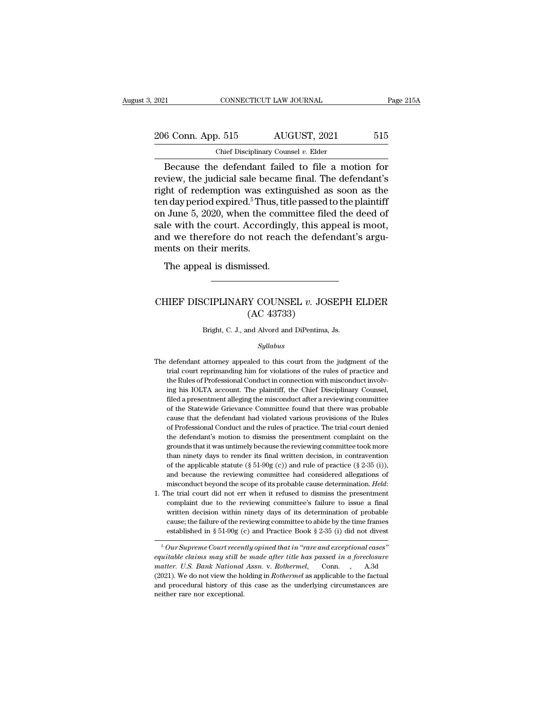| 2021               | CONNECTICUT LAW JOURNAL                           | Page 215A |
|--------------------|---------------------------------------------------|-----------|
| 206 Conn. App. 515 | AUGUST, 2021                                      | 515       |
|                    | Chief Disciplinary Counsel $v$ . Elder            |           |
|                    | Because the defendant failed to file a motion for |           |

 $\begin{array}{r|l} \text{R3} & \text{COMNETICUT LAW JOURNAL} & \text{Page 215A} \ \hline \text{6 Conn. App. 515} & \text{AUGUST, 2021} & \text{515} \ \hline \text{Chief Disciplinary Counds } v. \text{ Elder} \ \hline \text{Because the defendant failed to file a motion for view, the judicial sale became final. The defendant's that of redemption was estimated as soon as the.} \end{array}$ 206 Conn. App. 515 AUGUST, 2021 515<br>
Chief Disciplinary Counsel v. Elder<br>
Because the defendant failed to file a motion for<br>
review, the judicial sale became final. The defendant's<br>
right of redemption was extinguished as 206 Conn. App. 515 AUGUST, 2021 515<br>
Chief Disciplinary Counsel v. Elder<br>
Because the defendant failed to file a motion for<br>
review, the judicial sale became final. The defendant's<br>
right of redemption was extinguished as 206 Conn. App. 515 AUGUST, 2021 515<br>
Chief Disciplinary Counsel v. Elder<br>
Because the defendant failed to file a motion for<br>
review, the judicial sale became final. The defendant's<br>
right of redemption was extinguished as Chief Disciplinary Counsel v. Elder<br>
Because the defendant failed to file a motion for<br>
review, the judicial sale became final. The defendant's<br>
right of redemption was extinguished as soon as the<br>
ten day period expired.<sup></sup> Solution Disciplinary Coursel v. Elder<br>Because the defendant failed to file a motion for<br>review, the judicial sale became final. The defendant's<br>right of redemption was extinguished as soon as the<br>ten day period expired.<sup></sup> Because the defendant failed to file a motion for<br>review, the judicial sale became final. The defendant's<br>right of redemption was extinguished as soon as the<br>ten day period expired.<sup>5</sup> Thus, title passed to the plaintiff<br> review, the judicial sale bec<br>right of redemption was ex<br>ten day period expired.<sup>5</sup> Thu:<br>on June 5, 2020, when the c<br>sale with the court. Accord<br>and we therefore do not re<br>ments on their merits.<br>The appeal is dismissed. and day period expired.<sup>5</sup> Thus, titled in day period expired.<sup>5</sup> Thus, titled in June 5, 2020, when the community density of weather the court. Accordingly deventured in the appeal is dismissed. Example with the estate research research, and we therefore do not reach the defendant's arguments on their merits.<br>The appeal is dismissed.<br>CHIEF DISCIPLINARY COUNSEL *v*. JOSEPH ELDER (AC 43733)

## issed.<br>
We COUNSEL v. JOS<br>
(AC 43733)<br>
Ma Alvord and DiPentima, CHIEF DISCIPLINARY COUNSEL  $v$ . JOSEPH ELDER<br>(AC 43733)<br>Bright, C. J., and Alvord and DiPentima, Js.

*Syllabus*

- $(AC 43733)$ <br>Bright, C. J., and Alvord and DiPentima, Js.<br> $Syllabus$ <br>The defendant attorney appealed to this court from the judgment of the<br>trial court reprimanding him for violations of the rules of practice and Bright, C. J., and Alvord and DiPentima, Js.<br>
Syllabus<br>
defendant attorney appealed to this court from the judgment of the<br>
trial court reprimanding him for violations of the rules of practice and<br>
the Rules of Professiona Bright, C. J., and Alvord and DiPentima, Js.<br>
Syllabus<br>
defendant attorney appealed to this court from the judgment of the<br>
trial court reprimanding him for violations of the rules of practice and<br>
the Rules of Professiona Syllabus<br>defendant attorney appealed to this court from the judgment of the<br>trial court reprimanding him for violations of the rules of practice and<br>the Rules of Professional Conduct in connection with misconduct involv-<br>i Syuabus<br>defendant attorney appealed to this court from the judgment of the<br>trial court reprimanding him for violations of the rules of practice and<br>the Rules of Professional Conduct in connection with misconduct involv-<br>in defendant attorney appealed to this court from the judgment of the trial court reprimanding him for violations of the rules of practice and the Rules of Professional Conduct in connection with misconduct involving his IOLT trial court reprimanding him for violations of the rules of practice and the Rules of Professional Conduct in connection with misconduct involving his IOLTA account. The plaintiff, the Chief Disciplinary Counsel, filed a p the Rules of Professional Conduct in connection with misconduct involving his IOLTA account. The plaintiff, the Chief Disciplinary Counsel, filed a presentment alleging the misconduct after a reviewing committee of the Sta ing his IOLTA account. The plaintiff, the Chief Disciplinary Counsel, filed a presentment alleging the misconduct after a reviewing committee of the Statewide Grievance Committee found that there was probable cause that th filed a presentment alleging the misconduct after a reviewing committee of the Statewide Grievance Committee found that there was probable cause that the defendant had violated various provisions of the Rules of Profession of the Statewide Grievance Committee found that there was probable cause that the defendant had violated various provisions of the Rules of Professional Conduct and the rules of practice. The trial court denied the defend cause that the defendant had violated various provisions of the Rules<br>of Professional Conduct and the rules of practice. The trial court denied<br>the defendant's motion to dismiss the presentment complaint on the<br>grounds th of Professional Conduct and the rules of practice. The trial court denied the defendant's motion to dismiss the presentment complaint on the grounds that it was untimely because the reviewing committee took more than nine the defendant's motion to dismiss the presentment complaint on the grounds that it was untimely because the reviewing committee took more than ninety days to render its final written decision, in contravention of the appl than ninety days to render its final written decision, in contravention<br>of the applicable statute (§ 51-90g (c)) and rule of practice (§ 2-35 (i)),<br>and because the reviewing committee had considered allegations of<br>miscond
- of the applicable statute (§ 51-90g (c)) and rule of practice (§ 2-35 (i)), and because the reviewing committee had considered allegations of misconduct beyond the scope of its probable cause determination. *Held*: he tri and because the reviewing committee had considered allegations of misconduct beyond the scope of its probable cause determination. *Held*: he trial court did not err when it refused to dismiss the presentment complaint du misconduct beyond the scope of its probable cause determination. *Held*:<br>the trial court did not err when it refused to dismiss the presentment<br>complaint due to the reviewing committee's failure to issue a final<br>written d Ine that court during the reviewing committee's failure to issue a final<br>complaint due to the reviewing committee's failure to issue a final<br>written decision within ninety days of its determination of probable<br>cause; the f *equitable claims may still be made after title has passed in a foreclosure matter.* U.S. *Bank National Assn. v. Rothermel,* Conn. , A3d Connumentation of *title has passed in a foreclosure matter.* U.S. *Bank National*

*matter. Matter is the failure of the reviewing committee to abide by the time frames* established in § 51-90g (c) and Practice Book § 2-35 (i) did not divest  $\frac{1}{\sqrt{2}}$  four Supreme Court recently opined that in "rare cause; the rande of the reviewing commutee to abide by the time frames<br>established in § 51-90g (c) and Practice Book § 2-35 (i) did not divest<br>four Supreme Court recently opined that in "rare and exceptional cases"<br>equitab Established in § 51-90g (c) and Practice Book § 2-55 (f) did not divest<br>
<sup>5</sup> Our Supreme Court recently opined that in "rare and exceptional cases"<br>
equitable claims may still be made after title has passed in a foreclosu <sup>5</sup> Our Supreme Court recenee equitable claims may still by matter. U.S. Bank National (2021). We do not view the hand procedural history of the neither rare nor exceptional.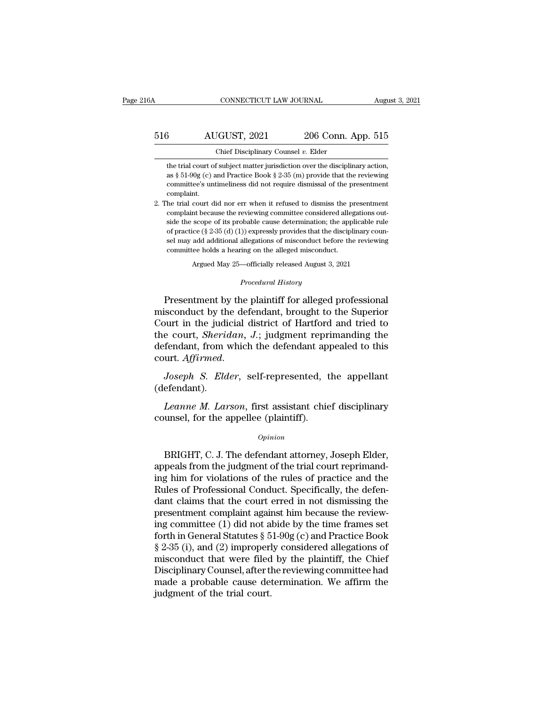# $\begin{tabular}{ll} \multicolumn{2}{l}{{\text{COMNECTICUT LAW JOURNAL}}} \smallskip \multicolumn{2}{l}{\text{August 3, 2021}}\\ \hline \rule{0pt}{2.2ex} \text{516} \smallskip \hspace{1.25ex} \text{AUGUST, 2021} \smallskip \hspace{1.25ex} \text{206 Conn. App. 515} \\ \multicolumn{2}{l}{\text{Chief Discipling Counsel $v$. Elder} } \end{tabular}$ CONNECTICUT LAW JOURNAL Augu<br>
AUGUST, 2021 206 Conn. App. 515<br>
Chief Disciplinary Counsel *v.* Elder<br>
the trial court of subject matter jurisdiction over the disciplinary action.

 $\frac{\text{AUGUST, 2021}}{\text{Chief Disciplinary Counds}}$  206 Conn. App. 515<br>
the trial court of subject matter jurisdiction over the disciplinary action,<br>
as § 51-90g (c) and Practice Book § 2-35 (m) provide that the reviewing 3<br> **as Solution AUGUST, 2021** 206 Conn. App. 515<br>
Chief Disciplinary Counsel v. Elder<br>
the trial court of subject matter jurisdiction over the disciplinary action,<br>
as § 51-90g (c) and Practice Book § 2-35 (m) provide tha **EXECUTE:**  $\frac{2021}{206}$  Conn. App. 515<br>
Chief Disciplinary Counsel v. Elder<br>
the trial court of subject matter jurisdiction over the disciplinary action,<br>
as § 51-90g (c) and Practice Book § 2-35 (m) provide that the re complaint. 2. The trial court did nor err when it refused to dismiss the present<br>mental court of subject matter jurisdiction over the disciplinary action,<br>as  $\S 51-90g$  (c) and Practice Book  $\S 2-35$  (m) provide that the reviewing<br>c the trial court of subject matter jurisdiction over the disciplinary action, as  $\S 51-90g$  (c) and Practice Book  $\S 2-35$  (m) provide that the reviewing committee's untimeliness did not require dismissal of the presentmen

as § 51-90g (c) and Practice Book § 2-35 (m) provide that the reviewing committee's untimeliness did not require dismissal of the presentment complaint.<br>he trial court did nor err when it refused to dismiss the presentmen committee's untimeliness did not require dismissal of the presentment committee's untimeliness did not require dismissal of the presentment complaint.<br>he trial court did nor err when it refused to dismiss the presentment complaint.<br>
he trial court did nor err when it refused to dismiss the presentment<br>
complaint because the reviewing committee considered allegations out-<br>
side the scope of its probable cause determination; the applicable be trial court did nor err when it refused to dismiss the proplaint because the reviewing committee considered alleged misconduct be apply of practice ( $\S 2-35$  (d) (1)) expressly provides that the disciplier sell may add % complaint because the reviewing committee considered allegations outside the scope of its probable cause determination; the applicable rule of practice (§ 2-35 (d) (1)) expressly provides that the disciplinary counsel m committee holds a hearing on the alleged misconduct.<br>Argued May 25—officially released August 3, 2021<br>*Procedural History*<br>Presentment by the plaintiff for alleged professional % of practice (§ 2-35 (d) (1)) expressly provides that the disciplinary counsel may add additional allegations of misconduct before the reviewing<br>committee holds a hearing on the alleged misconduct.<br>Argued May 25—official

sel may add additional allegations of misconduct before the reviewing<br>committee holds a hearing on the alleged misconduct.<br>Argued May 25—officially released August 3, 2021<br>Procedural History<br>Presentment by the plaintiff fo commutee noids a nearing on the alleged misconduct.<br>Argued May 25—officially released August 3, 2021<br>*Procedural History*<br>Presentment by the plaintiff for alleged professional<br>misconduct by the defendant, brought to the Su Argued May 25—officially released August 3, 2021<br> *Procedural History*<br> **Presentment by the plaintiff for alleged professional**<br>
misconduct by the defendant, brought to the Superior<br>
Court in the judicial district of Hartf Procedural History<br>
Presentment by the plaintiff for alleged professional<br>
misconduct by the defendant, brought to the Superior<br>
Court in the judicial district of Hartford and tried to<br>
the court, *Sheridan*, J.; judgment misconduct by the defendant, brought to the Superior<br>Court in the judicial district of Hartford and tried to<br>the court, *Sheridan*, J.; judgment reprimanding the<br>defendant, from which the defendant appealed to this<br>court. *Leanner, Sheridan, J.*; judgment reprimanding the fendant, from which the defendant appealed to this urt. Affirmed.<br>*Joseph S. Elder*, self-represented, the appellant efendant).<br>*Leanne M. Larson*, first assistant chief d

(defendant). defendant, from which the defendant appedunt. Affirmed.<br>
Joseph S. Elder, self-represented, the (defendant).<br>
Leanne M. Larson, first assistant chie counsel, for the appellee (plaintiff).<br>  $Opinion$ 

### *Opinion*

Exame *M. Larson*, first assistant chief disciplinary<br>
unsel, for the appellee (plaintiff).<br>  $opinion$ <br>
BRIGHT, C. J. The defendant attorney, Joseph Elder,<br>
peals from the judgment of the trial court reprimand-<br>
thin for viola Leanne M. Larson, first assistant chief disciplinary<br>counsel, for the appellee (plaintiff).<br> $\frac{opinion}{opinion}$ <br>BRIGHT, C. J. The defendant attorney, Joseph Elder,<br>appeals from the judgment of the trial court reprimand-<br>ing him fo Leanne M. Larson, first assistant chief disciplinary<br>counsel, for the appellee (plaintiff).<br> $o$ <sub>pinion</sub><br>BRIGHT, C. J. The defendant attorney, Joseph Elder,<br>appeals from the judgment of the trial court reprimand-<br>ing him fo counsel, for the appellee (plaintiff).<br>
opinion<br>
BRIGHT, C. J. The defendant attorney, Joseph Elder,<br>
appeals from the judgment of the trial court reprimand-<br>
ing him for violations of the rules of practice and the<br>
Rules Opinion<br>
Dans Communisty Court erred and the pudgment of the trial court reprimand-<br>
ing him for violations of the rules of practice and the<br>
Rules of Professional Conduct. Specifically, the defen-<br>
dant claims that the co BRIGHT, C. J. The defendant attorney, Joseph Elder,<br>appeals from the judgment of the trial court reprimand-<br>ing him for violations of the rules of practice and the<br>Rules of Professional Conduct. Specifically, the defen-<br>d BRIGHT, C. J. The defendant attorney, Joseph Elder,<br>appeals from the judgment of the trial court reprimand-<br>ing him for violations of the rules of practice and the<br>Rules of Professional Conduct. Specifically, the defen-<br>d appeals from the judgment of the trial court reprimand-<br>ing him for violations of the rules of practice and the<br>Rules of Professional Conduct. Specifically, the defen-<br>dant claims that the court erred in not dismissing the ing him for violations of the rules of practice and the<br>Rules of Professional Conduct. Specifically, the defen-<br>dant claims that the court erred in not dismissing the<br>presentment complaint against him because the review-<br>i Rules of Professional Conduct. Specifically, the defendant claims that the court erred in not dismissing the presentment complaint against him because the reviewing committee (1) did not abide by the time frames set forth dant claims that the court erred in not dismissing the<br>presentment complaint against him because the review-<br>ing committee (1) did not abide by the time frames set<br>forth in General Statutes § 51-90g (c) and Practice Book<br>§ presentment complaint against him because the reviewing committee (1) did not abide by the time frames set forth in General Statutes  $\S 51-90g(c)$  and Practice Book  $\S 2-35$  (i), and (2) improperly considered allegations o ing committee (1) did not a<br>forth in General Statutes § 5<br>§ 2-35 (i), and (2) improperl<br>misconduct that were filed<br>Disciplinary Counsel, after tl<br>made a probable cause dei<br>judgment of the trial court.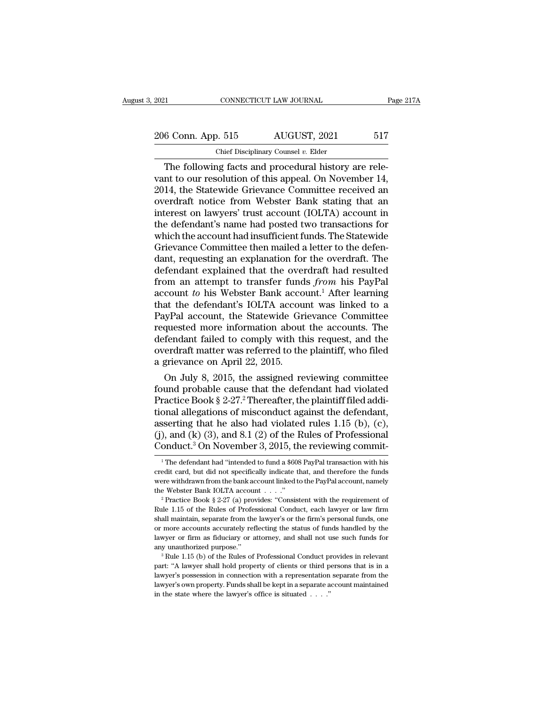# 2021 CONNECTICUT LAW JOURNAL Page 217A<br>
206 Conn. App. 515 AUGUST, 2021 517<br>
Chief Disciplinary Counsel v. Elder EXECUTE 2021 CONNECTICUT LAW JOURNAL<br>
206 Conn. App. 515 AUGUST, 2021 517<br>
Chief Disciplinary Counsel *v*. Elder<br>
The following facts and procedural history are rele-

CONNECTICUT LAW JOURNAL<br>
6 Conn. App. 515 AUGUST, 2021 517<br>
Chief Disciplinary Counsel v. Elder<br>
The following facts and procedural history are rele-<br>
nt to our resolution of this appeal. On November 14,<br>
14 the Statewide 206 Conn. App. 515 AUGUST, 2021 517<br>
Chief Disciplinary Counsel v. Elder<br>
The following facts and procedural history are relevant to our resolution of this appeal. On November 14,<br>
2014, the Statewide Grievance Committee 206 Conn. App. 515 AUGUST, 2021 517<br>
Chief Disciplinary Counsel v. Elder<br>
The following facts and procedural history are relevant to our resolution of this appeal. On November 14,<br>
2014, the Statewide Grievance Committee 206 Conn. App. 515 AUGUST, 2021 517<br>
Chief Disciplinary Counsel v. Elder<br>
The following facts and procedural history are relevant to our resolution of this appeal. On November 14,<br>
2014, the Statewide Grievance Committee The following facts and procedural history are relevant to our resolution of this appeal. On November 14, 2014, the Statewide Grievance Committee received an overdraft notice from Webster Bank stating that an interest on Chief Disciplinary Counsel v. Elder<br>The following facts and procedural history are rele-<br>vant to our resolution of this appeal. On November 14,<br>2014, the Statewide Grievance Committee received an<br>overdraft notice from Webs The following facts and procedural history are relevant to our resolution of this appeal. On November 14, 2014, the Statewide Grievance Committee received an overdraft notice from Webster Bank stating that an interest on l vant to our resolution of this appeal. On November 14, 2014, the Statewide Grievance Committee received an overdraft notice from Webster Bank stating that an interest on lawyers' trust account (IOLTA) account in the defend 2014, the Statewide Grievance Committee received an overdraft notice from Webster Bank stating that an interest on lawyers' trust account (IOLTA) account in the defendant's name had posted two transactions for which the ac overdraft notice from Webster Bank stating that an<br>interest on lawyers' trust account (IOLTA) account in<br>the defendant's name had posted two transactions for<br>which the account had insufficient funds. The Statewide<br>Grievanc interest on lawyers' trust account (IOLTA) account in<br>the defendant's name had posted two transactions for<br>which the account had insufficient funds. The Statewide<br>Grievance Committee then mailed a letter to the defen-<br>dant the defendant's name had posted two transactions for<br>which the account had insufficient funds. The Statewide<br>Grievance Committee then mailed a letter to the defen-<br>dant, requesting an explanation for the overdraft. The<br>def which the account had insufficient funds. The Statewide<br>Grievance Committee then mailed a letter to the defendant, requesting an explanation for the overdraft. The<br>defendant explained that the overdraft had resulted<br>from a Grievance Committee then mailed a letter to the defendant, requesting an explanation for the overdraft. The defendant explained that the overdraft had resulted from an attempt to transfer funds *from* his PayPal account to dant, requesting an explanation for the overdraft. The<br>defendant explained that the overdraft had resulted<br>from an attempt to transfer funds *from* his PayPal<br>account to his Webster Bank account.<sup>1</sup> After learning<br>that the defendant explained that the overdraft had resulted<br>from an attempt to transfer funds *from* his PayPal<br>account to his Webster Bank account.<sup>1</sup> After learning<br>that the defendant's IOLTA account was linked to a<br>PayPal accou from an attempt to transfer funds *from* his PayPal<br>account to his Webster Bank account.<sup>1</sup> After learning<br>that the defendant's IOLTA account was linked to a<br>PayPal account, the Statewide Grievance Committee<br>requested mor account to his Webster Bank acco<br>that the defendant's IOLTA accou<br>PayPal account, the Statewide Gr.<br>requested more information about<br>defendant failed to comply with th<br>overdraft matter was referred to the<br>a grievance on Ap at the defendant's TOLTA account was inked to a<br>iyPal account, the Statewide Grievance Committee<br>quested more information about the accounts. The<br>fendant failed to comply with this request, and the<br>erdraft matter was refer FayPal account, the Statewide Grievance Committee<br>requested more information about the accounts. The<br>defendant failed to comply with this request, and the<br>overdraft matter was referred to the plaintiff, who filed<br>a grieva

requested more information about the accounts. The<br>defendant failed to comply with this request, and the<br>overdraft matter was referred to the plaintiff, who filed<br>a grievance on April 22, 2015.<br>On July 8, 2015, the assigne defendant ration to comply with this request, and the overdraft matter was referred to the plaintiff, who filed a grievance on April 22, 2015.<br>
On July 8, 2015, the assigned reviewing committee found probable cause that t overdraft matter was referred to the plaintiff, who filed<br>a grievance on April 22, 2015.<br>On July 8, 2015, the assigned reviewing committee<br>found probable cause that the defendant had violated<br>Practice Book § 2-27.<sup>2</sup> There a grievance on April 22, 2015.<br>
On July 8, 2015, the assigned reviewing committee<br>
found probable cause that the defendant had violated<br>
Practice Book § 2-27.<sup>2</sup> Thereafter, the plaintiff filed addi-<br>
tional allegations o On July 8, 2015, the assigned reviewing committee<br>found probable cause that the defendant had violated<br>Practice Book § 2-27.<sup>2</sup> Thereafter, the plaintiff filed addi-<br>tional allegations of misconduct against the defendant, onal allegations of misconduct against the defendant,<br>sserting that he also had violated rules 1.15 (b), (c),<br>), and (k) (3), and 8.1 (2) of the Rules of Professional<br>onduct.<sup>3</sup> On November 3, 2015, the reviewing commit-<br> asserting that he also had violated rules 1.15 (b), (c), (j), and (k) (3), and 8.1 (2) of the Rules of Professional Conduct.<sup>3</sup> On November 3, 2015, the reviewing commit-<br><sup>1</sup>The defendant had "intended to fund a \$608 PayP

<sup>(</sup>j), and (k) (3), and 8.1 (2) of the Rules of Professional Conduct.<sup>3</sup> On November 3, 2015, the reviewing commit-<br><sup>1</sup>The defendant had "intended to fund a \$608 PayPal transaction with his credit card, but did not specific Conduct.<sup>3</sup> On November 3, 2015, the reviewing commit-<br>
<sup>1</sup> The defendant had "intended to fund a \$608 PayPal transaction with his<br>
credit card, but did not specifically indicate that, and therefore the funds<br>
were withdr <sup>1</sup> The defendant had "intended to fund a \$608 PayPal transaction with his credit card, but did not specifically indicate that, and therefore the funds were withdrawn from the bank account linked to the PayPal account, na

credit card, but did not specifically indicate that, and therefore the funds<br>were withdrawn from the bank account linked to the PayPal account, namely<br>the Webster Bank IOLTA account . . . ."<br> $2$  Practice Book § 2-27 (a) p were withdrawn from the bank account linked to the PayPal account, namely<br>the Webster Bank IOLTA account . . . ."<br> $^2$  Practice Book § 2-27 (a) provides: "Consistent with the requirement of<br>Rule 1.15 of the Rules of Profe were withdrawn from the bank account linked to the PayPal account, namely<br>the Webster Bank IOLTA account . . . ."<br> $\cdot$  Practice Book § 2-27 (a) provides: "Consistent with the requirement of<br>Rule 1.15 of the Rules of Profe <sup>2</sup> Practice Book § 2-27 (a) provides: "Consistent with the requirement of Rule 1.15 of the Rules of Professional Conduct, each lawyer or law firm shall maintain, separate from the lawyer's or the firm's personal funds, o shall maintain, separate from the lawyer's or the firm's personal funds, one<br>or more accounts accurately reflecting the status of funds handled by the<br>lawyer or firm as fiduciary or attorney, and shall not use such funds f

or more accounts accurately reflecting the status of funds handled by the lawyer or firm as fiduciary or attorney, and shall not use such funds for any unauthorized purpose."<br><sup>3</sup> Rule 1.15 (b) of the Rules of Professional lawyer or firm as fiduciary or attorney, and shall not use such funds for any unauthorized purpose."<br>
<sup>3</sup> Rule 1.15 (b) of the Rules of Professional Conduct provides in relevant part: "A lawyer shall hold property of clie part: "A lawyer shall hold property of clients or third persons that is in a lawyer's possession in connection with a representation separate from the lawyer's own property. Funds shall be kept in a separate account maint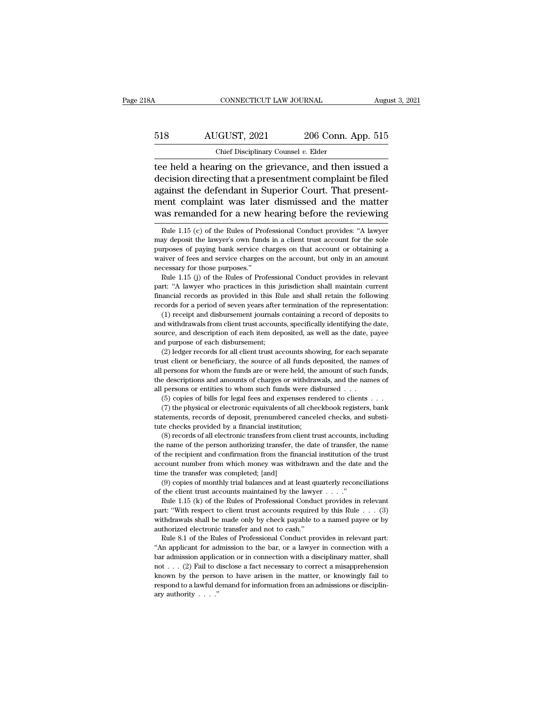# $\begin{array}{lll}\n\text{COMNECTICUT LAW JOURNAL}\text{\hspace{1cm}August 3, 2021}\n\hline\n518 & \text{AUGUST, 2021} & \text{206 Conn. App. 515}\n\hline\n\text{Chief Disciplinary Council $v$. Elder}\n\end{array}$ CONNECTICUT LAW JOURNAL Augu<br>
518 AUGUST, 2021 206 Conn. App. 515<br>
Chief Disciplinary Counsel *v.* Elder<br>
tee held a hearing on the grievance, and then issued a

CONNECTICUT LAW JOURNAL August 3, 2021<br>
AUGUST, 2021 206 Conn. App. 515<br>
Chief Disciplinary Counsel v. Elder<br>
The held a hearing on the grievance, and then issued a<br>
decision directing that a presentment complaint be filed  $\begin{array}{r} \text{AUGUST, 2021} \qquad \text{206 Conn. App. 515} \ \text{Chief Disiplinary Counsel } v. \text{ Elder} \ \end{array}$ <br>tee held a hearing on the grievance, and then issued a decision directing that a presentment complaint be filed against the defendant in Superior Court. 518 AUGUST, 2021 206 Conn. App. 515<br>
Chief Disciplinary Counsel v. Elder<br>
tee held a hearing on the grievance, and then issued a<br>
decision directing that a presentment complaint be filed<br>
against the defendant in Superior  $\frac{518}{\text{Chief Disciplinary Counsel } v. \text{ Elder}}$ <br>
Lee held a hearing on the grievance, and then issued a<br>
decision directing that a presentment complaint be filed<br>
against the defendant in Superior Court. That present-<br>
ment complaint was Chief Disciplinary Counsel v. Elder<br>tee held a hearing on the grievance, and then issued a<br>decision directing that a presentment complaint be filed<br>against the defendant in Superior Court. That present-<br>ment complaint was decision directing that a presentment complaint be filed<br>against the defendant in Superior Court. That present-<br>ment complaint was later dismissed and the matter<br>was remanded for a new hearing before the reviewing<br> $\frac{Rule 1$ against the defendant in Superior Court. That present-<br>ment complaint was later dismissed and the matter<br>was remanded for a new hearing before the reviewing<br>Rule 1.15 (c) of the Rules of Professional Conduct provides: "A l

finally depend of paying bank service charges on that account or obtaining a waiver of fees and service charges on the account, but only in an amount necessary for those purposes."<br>Rule 1.15 (j) of the Rules of Professiona waiver of fees and service charges on the account, but only in an amount necessary for those purposes."<br>
Rule 1.15 (j) of the Rules of Professional Conduct provides in relevant<br>
part: "A lawyer who practices in this jurisd cessary for those purposes."<br>
Rule 1.15 (j) of the Rules of Professional Conduct provides in relevant<br>
rt: "A lawyer who practices in this jurisdiction shall maintain current<br>
rancial records as provided in this Rule and s From Calco Eule 1.15 (j) of the Rules of Professional Conduct provides in relevant part: "A lawyer who practices in this jurisdiction shall maintain current financial records as provided in this Rule and shall retain the

part: "A lawyer who practices in this jurisdiction shall maintain current financial records as provided in this Rule and shall retain the following records for a period of seven years after termination of the representatio records for a period of seven years after termination of the representation:<br>
(1) receipt and disbursement journals containing a record of deposits to<br>
and withdrawals from client trust accounts, specifically identifying cords for a period of seven years after termination of the representation:<br>(1) receipt and disbursement journals containing a record of deposits to<br>d withdrawals from client trust accounts, specifically identifying the dat (1) receipt and disbursement journals containing a record of deposits to (1) receipt and disbursement journals containing a record of deposits to and withdrawals from client trust accounts, specifically identifying the da

all persons for whom the funds are or were held, the amount of such the amount of each disbursement;<br>all persons of each disbursement;<br>(2) ledger records for all client trust accounts showing, for each separate<br>trust clien source, and description of each item deposited, as well as the date, payee and purpose of each disbursement;<br>(2) ledger records for all client trust accounts showing, for each separate trust client or beneficiary, the sour % trust client or beneficiary, the source of all funds deposited, the names of all persons for whom the funds are or were held, the amount of such funds, the descriptions and amounts of charges or withdrawals, and the nam (2) ledger records for all client trust accounts showing, for each separate ust client or beneficiary, the source of all funds deposited, the names of persons for whom the funds are or were held, the amount of such funds, (1) the physical or electronic equivalents of all funds deposited, the names of persons for whom the funds are or were held, the amount of such funds, elescriptions and amounts of charges or withdrawals, and the names of p the descriptions and amounts of charges or withdrawals, and the names of

% all persons for whom the funds are or were held, the amount of such funds, the descriptions and amounts of charges or withdrawals, and the names of all persons or entities to whom such funds were disbursed  $\ldots$  (5) cop persons or entities to whom such funds were disbursed . . .<br>(5) copies of bills for legal fees and expenses rendered to clients . . .<br>(7) the physical or electronic equivalents of all checkbook registers, bank<br>atements, re

(5) copies of bills for legal fees and expenses rendered to clients  $\cdot \cdot \cdot$  (7) the physical or electronic equivalents of all checkbook registers, bank statements, records of deposit, prenumbered canceled checks, and sub (7) the physical or electronic equivalents of all checkbook registers, bank statements, records of deposit, prenumbered canceled checks, and substitute checks provided by a financial institution;<br>(8) records of all electr account number from which money was withdrawn and the date and the date and the correlation;<br>(8) records of all electronic transfers from client trust accounts, including<br>the name of the person authorizing transfer, the da tute checks provided by a financial institution;<br>(8) records of all electronic transfers from client trust accounts, including<br>the name of the person authorizing transfer, the date of transfer, the name<br>of the recipient a (8) records of all electronic transfers from client trust accounts, including e name of the person authorizing transfer, the date of transfer, the name the recipient and confirmation from the financial institution of the the name of the person authorizing transfer, the date of transfer, the name of the recipient and confirmation from the financial institution of the trust account number from which money was withdrawn and the date and the The recipient and confirmation from the financial institution of the trust<br>count number from which money was withdrawn and the date and the<br>ne the transfer was completed; [and]<br>(9) copies of monthly trial balances and at

with drawals shall be made only by check payable to a named payee or by authorized electronic transfer and not to cash." time the transfer was completed; [and]<br>
(9) copies of monthly trial balances and at least quarterly reconciliations<br>
of the client trust accounts maintained by the lawyer  $\dots$ ."<br>
Rule 1.15 (k) of the Rules of Professional (9) copies of monthly trial balances and at least quorities (9) copies of monthly trial balances and at least quorities. The case of the case of Professional Conduct part: "With respect to client trust accounts required w the client trust accounts maintained by the lawyer  $\dots$ ."<br>Rule 1.15 (k) of the Rules of Professional Conduct provides in relevant<br>rt: "With respect to client trust accounts required by this Rule  $\dots$  (3)<br>thdrawals shall b Fig. 2. Fig. 2. Fig. 2. Fig. 2. Fig. 2. Fig. 2. Fig. 2. Fig. 2. Fig. 2. Fig. 2. Fig. 2. Fig. 2. Fig. 2. Fig. 2. Fig. 2. Fig. 2. Fig. 2. Fig. 2. Fig. 2. Fig. 2. Fig. 2. Fig. 2. Fig. 2. Fig. 2. Fig. 2. Fig. 2. Fig. 2. Fig.

part: "With respect to client trust accounts required by this Rule . . . (3) withdrawals shall be made only by check payable to a named payee or by authorized electronic transfer and not to cash."<br>Rule 8.1 of the Rules of parameter and not to cash."<br>
withdrawals shall be made only by check payable to a named payee or by<br>
authorized electronic transfer and not to cash."<br>
Rule 8.1 of the Rules of Professional Conduct provides in relevant par Analytorized electronic transfer and not to cash."<br>
Rule 8.1 of the Rules of Professional Conduct provides in relevant part:<br>
"An applicant for admission to the bar, or a lawyer in connection with a<br>
bar admission applica Rule 8.1 of the Rules of Professional Conduct provides in relevant part:<br>"An applicant for admission to the bar, or a lawyer in connection with a<br>bar admission application or in connection with a disciplinary matter, shal "An applicant for admission to the bar, or a lawyer in connection with a<br>bar admission application or in connection with a disciplinary matter, shall<br>not . . . (2) Fail to disclose a fact necessary to correct a misapprehe

ment complaint was later dismissed and the matter was remanded for a new hearing before the reviewing Rule 1.15 (c) of the Rules of Professional Conduct provides: "A lawyer may deposit the lawyer's own funds in a client tr was remanded for a new hearing before the reviewing<br>
Rule 1.15 (c) of the Rules of Professional Conduct provides: "A lawyer<br>
may deposit the lawyer's own funds in a client trust account for the sole<br>
purposes of paying ba was remained for a flew if<br>
Rule 1.15 (c) of the Rules of Pro<br>
may deposit the lawyer's own fund<br>
purposes of paying bank service c<br>
waiver of fees and service charges<br>
necessary for those purposes."<br>
Rule 1.15 (j) of the Rule 1.15 (c) of the Rules of Professional Conduct provides: "A lawyer may deposit the lawyer's own funds in a client trust account for the sole purposes of paying bank service charges on that account or obtaining a waiver may deposit the lawyer's own funds in a client trust account for the sole purposes of paying bank service charges on that account or obtaining a waiver of fees and service charges on the account, but only in an amount nece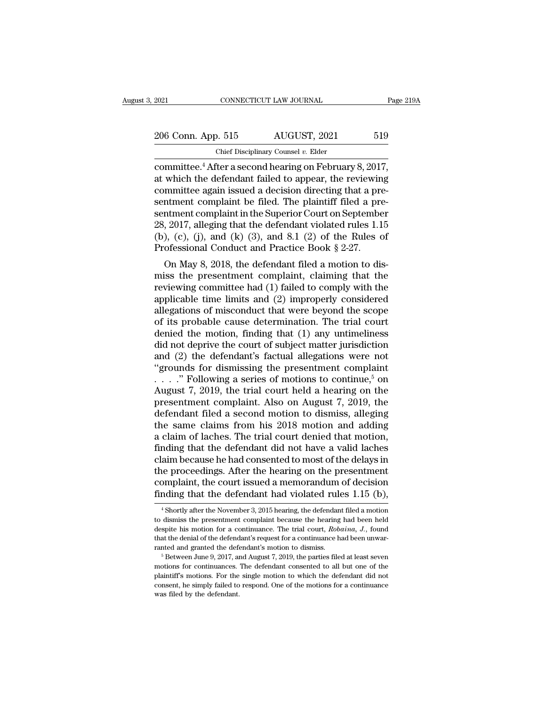| 2021               | CONNECTICUT LAW JOURNAL                                             | Page 219A |  |
|--------------------|---------------------------------------------------------------------|-----------|--|
| 206 Conn. App. 515 | AUGUST, 2021                                                        | 519       |  |
|                    | Chief Disciplinary Counsel $v$ . Elder                              |           |  |
|                    | committee. <sup>4</sup> After a second hearing on February 8, 2017, |           |  |

commeter committee.<sup>4</sup> After a second hearing on February 8, 2017,<br>at which the defendant failed to appear, the reviewing<br>committee.<sup>4</sup> After a second hearing on February 8, 2017,<br>at which the defendant failed to appear, t 206 Conn. App. 515 AUGUST, 2021 519<br>
Chief Disciplinary Counsel v. Elder<br>
committee.<sup>4</sup> After a second hearing on February 8, 2017,<br>
at which the defendant failed to appear, the reviewing<br>
committee again issued a decision 206 Conn. App. 515 AUGUST, 2021 519<br>
Chief Disciplinary Counsel v. Elder<br>
committee.<sup>4</sup> After a second hearing on February 8, 2017,<br>
at which the defendant failed to appear, the reviewing<br>
committee again issued a decisio 206 Conn. App. 515 AUGUST, 2021 519<br>
Chief Disciplinary Counsel v. Elder<br>
committee.<sup>4</sup> After a second hearing on February 8, 2017,<br>
at which the defendant failed to appear, the reviewing<br>
committee again issued a decisio Chief Disciplinary Coursel v. Elder<br>
committee.<sup>4</sup> After a second hearing on February 8, 2017,<br>
at which the defendant failed to appear, the reviewing<br>
committee again issued a decision directing that a pre-<br>
sentment com Chef Disciplinary Counsel v. Elder<br>
committee.<sup>4</sup> After a second hearing on February 8, 2017,<br>
at which the defendant failed to appear, the reviewing<br>
committee again issued a decision directing that a pre-<br>
sentment comp committee.<sup>4</sup> After a second hearing on February 8, 2017,<br>at which the defendant failed to appear, the reviewing<br>committee again issued a decision directing that a pre-<br>sentment complaint be filed. The plaintiff filed a p at which the defendant failed to appear, the reviewin<br>committee again issued a decision directing that a pre-<br>sentment complaint be filed. The plaintiff filed a pre-<br>sentment complaint in the Superior Court on Septembe<br>28 minutee again issued a decision directing that a pre-<br>ntment complaint be filed. The plaintiff filed a pre-<br>ntment complaint in the Superior Court on September<br>, 2017, alleging that the defendant violated rules 1.15<br>), (c sentment complaint be fired. The plaintiff lifed a presentment complaint in the Superior Court on September 28, 2017, alleging that the defendant violated rules 1.15 (b), (c), (j), and (k) (3), and 8.1 (2) of the Rules of

sentment complaint in the superior Court on september<br>28, 2017, alleging that the defendant violated rules 1.15<br>(b), (c), (j), and (k) (3), and 8.1 (2) of the Rules of<br>Professional Conduct and Practice Book § 2-27.<br>On May 28, 2017, aneging that the defendant violated rules 1.15<br>
(b), (c), (j), and (k) (3), and 8.1 (2) of the Rules of<br>
Professional Conduct and Practice Book § 2-27.<br>
On May 8, 2018, the defendant filed a motion to dis-<br>
miss (b), (c), (j), and (k) (3), and 8.1 (2) of the kules of<br>Professional Conduct and Practice Book § 2-27.<br>On May 8, 2018, the defendant filed a motion to dis-<br>miss the presentment complaint, claiming that the<br>reviewing commi Froiessional Conduct and Fractice Book  $\S 2-2i$ .<br>
On May 8, 2018, the defendant filed a motion to dis-<br>
miss the presentment complaint, claiming that the<br>
reviewing committee had (1) failed to comply with the<br>
applicable On May 8, 2018, the defendant filed a motion to dis-<br>miss the presentment complaint, claiming that the<br>reviewing committee had (1) failed to comply with the<br>applicable time limits and (2) improperly considered<br>allegations miss the presentment complaint, claiming that the<br>reviewing committee had (1) failed to comply with the<br>applicable time limits and (2) improperly considered<br>allegations of misconduct that were beyond the scope<br>of its proba reviewing committee had (1) failed to comply with the<br>applicable time limits and (2) improperly considered<br>allegations of misconduct that were beyond the scope<br>of its probable cause determination. The trial court<br>denied t applicable time limits and (2) improperly considered<br>allegations of misconduct that were beyond the scope<br>of its probable cause determination. The trial court<br>denied the motion, finding that (1) any untimeliness<br>did not d allegations of misconduct that were beyond the scope<br>of its probable cause determination. The trial court<br>denied the motion, finding that (1) any untimeliness<br>did not deprive the court of subject matter jurisdiction<br>and ( of its probable cause determination. The trial court<br>denied the motion, finding that (1) any untimeliness<br>did not deprive the court of subject matter jurisdiction<br>and (2) the defendant's factual allegations were not<br>"grou denied the motion, finding that (1) any untimeliness<br>did not deprive the court of subject matter jurisdiction<br>and (2) the defendant's factual allegations were not<br>"grounds for dismissing the presentment complaint<br> $\dots$ ." F did not deprive the court of subject matter jurisdiction<br>and (2) the defendant's factual allegations were not<br>"grounds for dismissing the presentment complaint<br>...." Following a series of motions to continue,<sup>5</sup> on<br>August and (2) the defendant's factual allegations were not<br>
"grounds for dismissing the presentment complaint<br>  $\ldots$ ." Following a series of motions to continue,<sup>5</sup> on<br>
August 7, 2019, the trial court held a hearing on the<br>
pre "grounds for dismissing the presentment complaint<br>  $\ldots$ ." Following a series of motions to continue,<sup>5</sup> on<br>
August 7, 2019, the trial court held a hearing on the<br>
presentment complaint. Also on August 7, 2019, the<br>
defen ...." Following a series of motions to continue,<sup>5</sup> on<br>August 7, 2019, the trial court held a hearing on the<br>presentment complaint. Also on August 7, 2019, the<br>defendant filed a second motion to dismiss, alleging<br>the same August 7, 2019, the trial court held a hearing on the<br>presentment complaint. Also on August 7, 2019, the<br>defendant filed a second motion to dismiss, alleging<br>the same claims from his 2018 motion and adding<br>a claim of lache presentment complaint. Also on August 7, 2019, the<br>defendant filed a second motion to dismiss, alleging<br>the same claims from his 2018 motion and adding<br>a claim of laches. The trial court denied that motion,<br>finding that th defendant filed a second motion to dismiss, alleging<br>the same claims from his 2018 motion and adding<br>a claim of laches. The trial court denied that motion,<br>finding that the defendant did not have a valid laches<br>claim becau the same claims from his 2018 motion and adding<br>a claim of laches. The trial court denied that motion,<br>finding that the defendant did not have a valid laches<br>claim because he had consented to most of the delays in<br>the proc aim because he had consented to most of the delays in<br>the proceedings. After the hearing on the presentment<br>omplaint, the court issued a memorandum of decision<br>mding that the defendant had violated rules 1.15 (b),<br><sup>4</sup>Short the proceedings. After the hearing on the presentment<br>complaint, the court issued a memorandum of decision<br>finding that the defendant had violated rules 1.15 (b),<br> $\frac{4 \text{ Shortly after the November 3, 2015 hearing, the defendant filed a motion}}{4 \text{ to dismiss the presentment complaint because the hearing had been held}}$ <br>despite

complaint, the court issued a memorandum of decision<br>finding that the defendant had violated rules 1.15 (b),<br><sup>4</sup>Shortly after the November 3, 2015 hearing, the defendant filed a motion<br>to dismiss the presentment complaint complaint, the court issued a memorandum of decision<br>finding that the defendant had violated rules 1.15 (b),<br> $\frac{1}{15}$  (s),<br> $\frac{1}{15}$  (s),  $\frac{1}{15}$  (s),  $\frac{1}{15}$  (s) absorber 3, 2015 hearing, the defendant filed a m Finding that the defendant fiad violated rules 1.15 (b),<br>  $^{4}$  Shortly after the November 3, 2015 hearing, the defendant filed a motion<br>
to dismiss the presentment complaint because the hearing had been held<br>
despite his to dismiss the presentment complaint because the hearing had been held despite his motion for a continuance. The trial court, *Robaina*, *J*., found that the definial of the defendant's request for a continuance had been ranted and granted the defendant's motion to dismiss.

despite his motion for a continuance. The trial court, *Robaina*, *J.*, found that the denial of the defendant's request for a continuance had been unwarranted and granted the defendant's motion to dismiss.<br><sup>5</sup> Between Ju Example the denial of the defendant's request for a continuance had been unwarranted and granted the defendant's motion to dismiss.<br>
<sup>5</sup> Between June 9, 2017, and August 7, 2019, the parties filed at least seven motions fo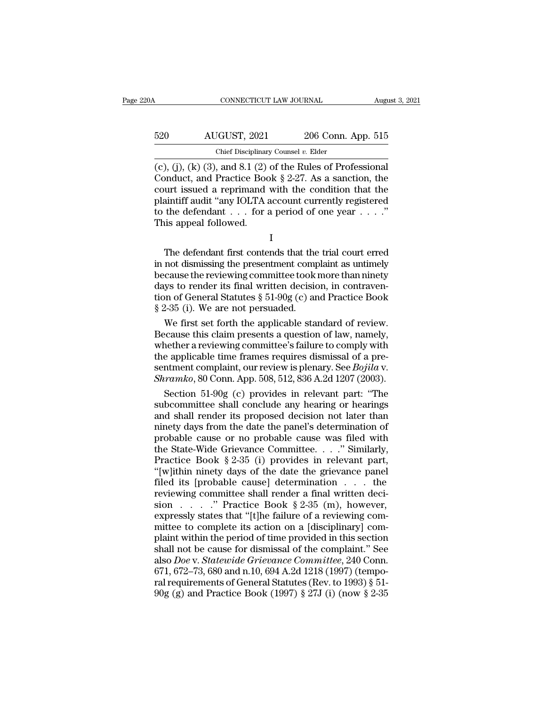| 20A | CONNECTICUT LAW JOURNAL                                                                                                                                                             |                    | August 3, 2021 |
|-----|-------------------------------------------------------------------------------------------------------------------------------------------------------------------------------------|--------------------|----------------|
| 520 | AUGUST, 2021                                                                                                                                                                        | 206 Conn. App. 515 |                |
|     | Chief Disciplinary Counsel $v$ . Elder                                                                                                                                              |                    |                |
|     | $(c)$ , (j), (k) (3), and 8.1 (2) of the Rules of Professional<br>Conduct, and Practice Book $\S 2-27$ . As a sanction, the<br>court issued a reprimand with the condition that the |                    |                |

520 AUGUST, 2021 206 Conn. App. 515<br>
Chief Disciplinary Counsel v. Elder<br>
(c), (j), (k) (3), and 8.1 (2) of the Rules of Professional<br>
Conduct, and Practice Book § 2-27. As a sanction, the<br>
court issued a reprimand with t 520 AUGUST, 2021 206 Conn. App. 515<br>
Chief Disciplinary Counsel v. Elder<br>
(c), (j), (k) (3), and 8.1 (2) of the Rules of Professional<br>
Conduct, and Practice Book § 2-27. As a sanction, the<br>
court issued a reprimand with t 520 AUGUST, 2021 206 Conn. App. 515<br>
Chief Disciplinary Counsel v. Elder<br>
(c), (j), (k) (3), and 8.1 (2) of the Rules of Professional<br>
Conduct, and Practice Book § 2-27. As a sanction, the<br>
court issued a reprimand with t Chief Disciplinary Counsel v. Elder<br>
(c), (j), (k) (3), and 8.1 (2) of the Rules of Professional<br>
Conduct, and Practice Book § 2-27. As a sanction, the<br>
court issued a reprimand with the condition that the<br>
plaintiff audi Chief Disciplinar<br>
(c), (j), (k) (3), and 8.1 (2)<br>
Conduct, and Practice Boc<br>
court issued a reprimand<br>
plaintiff audit "any IOLTA a<br>
to the defendant . . . for a<br>
This appeal followed. matter, and Fractice Book  $\S 2-27$ . As a salection, the<br>urt issued a reprimand with the condition that the<br>aintiff audit "any IOLTA account currently registered<br>the defendant  $\dots$  for a period of one year  $\dots$ ."<br>is appeal

I

Franchissing the principle in control and the plaintiff audit "any IOLTA account currently registered<br>to the defendant . . . for a period of one year . . . ."<br>This appeal followed.<br>I<br>the defendant first contends that the t plantificant and the reviewing committee to the defendant  $\ldots$  for a period of one year  $\ldots$ ."<br>This appeal followed.<br>I<br>The defendant first contends that the trial court erred<br>in not dismissing the presentment complaint do the defendant  $\cdot \cdot \cdot$  for a period of one year  $\cdot \cdot \cdot$ .<br>This appeal followed.<br>I<br>The defendant first contends that the trial court erred<br>in not dismissing the presentment complaint as untimely<br>because the reviewing co This appear followed.<br>
I<br>
The defendant first contends that the trial court erred<br>
in not dismissing the presentment complaint as untimely<br>
because the reviewing committee took more than ninety<br>
days to render its final w I<br>The defendant first contends that the<br>in not dismissing the presentment comp<br>because the reviewing committee took:<br>days to render its final written decisic<br>tion of General Statutes  $\S 51-90g(c)$  ar<br> $\S 2-35$  (i). We are n The defendant first contends that the trial court erred<br>not dismissing the presentment complaint as untimely<br>cause the reviewing committee took more than ninety<br>ys to render its final written decision, in contraven-<br>n of G in not dismissing the presentment complaint as untimely<br>because the reviewing committee took more than ninety<br>days to render its final written decision, in contraven-<br>tion of General Statutes  $\S 51-90g$  (c) and Practice B

because the reviewing committee took more than ninety<br>days to render its final written decision, in contraven-<br>tion of General Statutes  $\S 51-90g$  (c) and Practice Book<br> $\S 2-35$  (i). We are not persuaded.<br>We first set for days to render its final written decision, in contravention of General Statutes  $\S 51-90g$  (c) and Practice Book  $\S 2-35$  (i). We are not persuaded.<br>We first set forth the applicable standard of review.<br>Because this claim tion of General Statutes § 51-90g (c) and Practice Book<br>§ 2-35 (i). We are not persuaded.<br>We first set forth the applicable standard of review.<br>Because this claim presents a question of law, namely,<br>whether a reviewing co § 2-35 (i). We are not persuaded.<br>We first set forth the applicable standard of review.<br>Because this claim presents a question of law, namely,<br>whether a reviewing committee's failure to comply with<br>the applicable time fram We first set forth the applicable standard of review.<br>
ecause this claim presents a question of law, namely,<br>
nether a reviewing committee's failure to comply with<br>
e applicable time frames requires dismissal of a pre-<br>
nt Because this claim presents a question of law, namely,<br>whether a reviewing committee's failure to comply with<br>the applicable time frames requires dismissal of a pre-<br>sentment complaint, our review is plenary. See *Bojila*

whether a reviewing committee's failure to comply with<br>the applicable time frames requires dismissal of a pre-<br>sentment complaint, our review is plenary. See *Bojila* v.<br>*Shramko*, 80 Conn. App. 508, 512, 836 A.2d 1207 (2 the applicable time frames requires dismissal of a pre-<br>sentment complaint, our review is plenary. See *Bojila* v.<br>*Shramko*, 80 Conn. App. 508, 512, 836 A.2d 1207 (2003).<br>Section 51-90g (c) provides in relevant part: "The sentment complaint, our review is plenary. See *Bojila* v.<br> *Shramko*, 80 Conn. App. 508, 512, 836 A.2d 1207 (2003).<br>
Section 51-90g (c) provides in relevant part: "The<br>
subcommittee shall conclude any hearing or hearings<br> Shramko, 80 Conn. App. 508, 512, 836 A.2d 1207 (2003).<br>
Section 51-90g (c) provides in relevant part: "The<br>
subcommittee shall conclude any hearing or hearings<br>
and shall render its proposed decision not later than<br>
ninet Section 51-90g (c) provides in relevant part: "The<br>subcommittee shall conclude any hearing or hearings<br>and shall render its proposed decision not later than<br>ninety days from the date the panel's determination of<br>probable subcommittee shall conclude any hearing or hearings<br>and shall render its proposed decision not later than<br>ninety days from the date the panel's determination of<br>probable cause or no probable cause was filed with<br>the Stateand shall render its proposed decision not later than<br>minety days from the date the panel's determination of<br>probable cause or no probable cause was filed with<br>the State-Wide Grievance Committee. . . . . " Similarly,<br>Prac minety days from the date the panel's determination of<br>probable cause or no probable cause was filed with<br>the State-Wide Grievance Committee. . . ." Similarly,<br>Practice Book § 2-35 (i) provides in relevant part,<br>"[w]ithin probable cause or no probable cause was filed with<br>the State-Wide Grievance Committee. . . ." Similarly,<br>Practice Book § 2-35 (i) provides in relevant part,<br>"[w]ithin ninety days of the date the grievance panel<br>filed its the State-Wide Grievance Committee. . . ." Similarly,<br>Practice Book § 2-35 (i) provides in relevant part,<br>"[w]ithin ninety days of the date the grievance panel<br>filed its [probable cause] determination . . . the<br>reviewing Practice Book § 2-35 (i) provides in relevant part,<br>
"[w]ithin ninety days of the date the grievance panel<br>
filed its [probable cause] determination  $\dots$  the<br>
reviewing committee shall render a final written deci-<br>
sion "[w]ithin ninety days of the date the grievance panel<br>filed its [probable cause] determination . . . the<br>reviewing committee shall render a final written deci-<br>sion . . . . " Practice Book § 2-35 (m), however,<br>expressly s filed its [probable cause] determination . . . the<br>reviewing committee shall render a final written deci-<br>sion . . . . . " Practice Book § 2-35 (m), however,<br>expressly states that "[t]he failure of a reviewing com-<br>mittee reviewing committee shall render a final written decision . . . . ." Practice Book § 2-35 (m), however, expressly states that "[t]he failure of a reviewing committee to complete its action on a [disciplinary] complaint wit sion . . . . . " Practice Book § 2-35 (m), however,<br>expressly states that "[t]he failure of a reviewing com-<br>mittee to complete its action on a [disciplinary] com-<br>plaint within the period of time provided in this section expressly states that "[t]he failure of a reviewing committee to complete its action on a [disciplinary] complaint within the period of time provided in this section shall not be cause for dismissal of the complaint." See mittee to complete its action on a [disciplinary] complaint within the period of time provided in this section shall not be cause for dismissal of the complaint." See also *Doe* v. *Statewide Grievance Committee*, 240 Con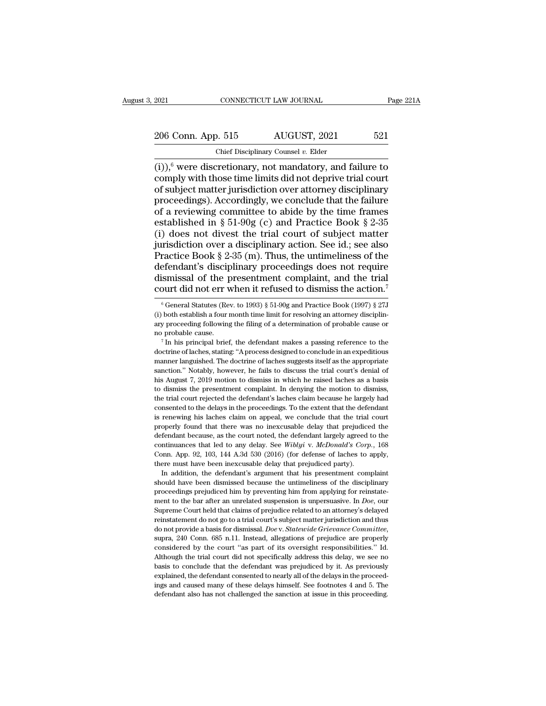2021 CONNECTICUT LAW JOURNAL Page 221A<br>206 Conn. App. 515 AUGUST, 2021 521<br>Chief Disciplinary Counsel v. Elder

EXECUTE 2021 CONNECTICUT LAW JOURNAL<br>
206 Conn. App. 515 AUGUST, 2021 521<br>
Chief Disciplinary Counsel *v*. Elder<br>
(i)),<sup>6</sup> were discretionary, not mandatory, and failure to (i)),<sup>6</sup> were discretionary, not mandatory, and failure to 206 Conn. App. 515 AUGUST, 2021 521<br>
Chief Disciplinary Counsel v. Elder<br>
(i)),<sup>6</sup> were discretionary, not mandatory, and failure to<br>
comply with those time limits did not deprive trial court<br>
of subject matter jurisdicti 206 Conn. App. 515 AUGUST, 2021 521<br>
Chief Disciplinary Counsel v. Elder<br>
(i)),<sup>6</sup> were discretionary, not mandatory, and failure to<br>
comply with those time limits did not deprive trial court<br>
of subject matter jurisdicti 206 Conn. App. 515 AUGUST, 2021 521<br>
Chief Disciplinary Counsel v. Elder<br>
(i)),<sup>6</sup> were discretionary, not mandatory, and failure to<br>
comply with those time limits did not deprive trial court<br>
of subject matter jurisdicti Coordination of a reviewing committee to abide by the time frames established in § 51-90g (c) and Practice Book § 2-35<br>
(i) does not divert the time frames established in § 51-90g (c) and Practice Book § 2-35<br>
(i) does no Chief Disciplinary Counsel v. Elder<br>
(i)),<sup>6</sup> were discretionary, not mandatory, and failure to<br>
comply with those time limits did not deprive trial court<br>
of subject matter jurisdiction over attorney disciplinary<br>
procee (i)),<sup>6</sup> were discretionary, not mandatory, and failure to comply with those time limits did not deprive trial court of subject matter jurisdiction over attorney disciplinary proceedings). Accordingly, we conclude that th (s), with those time limits did not deprive trial court<br>of subject matter jurisdiction over attorney disciplinary<br>proceedings). Accordingly, we conclude that the failure<br>of a reviewing committee to abide by the time frame of subject matter jurisdiction over attorney disciplinary<br>proceedings). Accordingly, we conclude that the failure<br>of a reviewing committee to abide by the time frames<br>established in § 51-90g (c) and Practice Book § 2-35<br>( proceedings). Accordingly, we conclude that the failure<br>of a reviewing committee to abide by the time frames<br>established in § 51-90g (c) and Practice Book § 2-35<br>(i) does not divest the trial court of subject matter<br>juris of a reviewing committee to abide by the time frames established in § 51-90g (c) and Practice Book § 2-35 (i) does not divest the trial court of subject matter jurisdiction over a disciplinary action. See id.; see also Pr established in § 51-90g (c) and Practice Book § 2-35<br>(i) does not divest the trial court of subject matter<br>jurisdiction over a disciplinary action. See id.; see also<br>Practice Book § 2-35 (m). Thus, the untimeliness of the ractice Book § 2-35 (m). Thus, the untimeliness of the efendant's disciplinary proceedings does not require is smissal of the presentment complaint, and the trial pourt did not err when it refused to dismiss the action.<sup>7</sup> defendant's disciplinary proceedings does not require<br>dismissal of the presentment complaint, and the trial<br>court did not err when it refused to dismiss the action.<sup>7</sup><br><sup>6</sup> General Statutes (Rev. to 1993) § 51-90g and Prac

dismissal of the presentment complaint, and the trial<br>court did not err when it refused to dismiss the action.<sup>7</sup><br><sup>6</sup> General Statutes (Rev. to 1993) § 51-90g and Practice Book (1997) § 27J<br>(i) both establish a four month court did not err when it refused to dismiss the action.<sup>7</sup><br>
<sup>6</sup> General Statutes (Rev. to 1993) § 51-90g and Practice Book (1997) § 27J<br>
(i) both establish a four month time limit for resolving an attorney disciplin-<br>
ar  $^6$  General Statutes (Rev. to 1993) § 51-90g and Practice Book (1997) § 27J (i) both establish a four month time limit for resolving an attorney disciplinary proceeding following the filing of a determination of probable

(i) both establish a four nonth time limit for resolving an attorney disciplinary proceeding following the filing of a determination of probable cause or no probable cause.<br>The doctrine of laches suggests itself as the ap sanction.'' Notably, however, he fails to discuss the trial court's denial of a determination of probable cause or no probable cause.<br>
<sup>7</sup> In his principal brief, the defendant makes a passing reference to the doctrine of has probable cause.<br>
The his principal brief, the defendant makes a passing reference to the doctrine of laches, stating: "A process designed to conclude in an expeditious manner languished. The doctrine of laches suggests The issue of the defendant makes a passing reference to the doctrine of laches, stating: "A process designed to conclude in an expeditious manner languished. The doctrine of laches suggests itself as the appropriate sanct doctrine of laches, stating: "A process designed to conclude in an expeditious manner languished. The doctrine of laches suggests itself as the appropriate sanction." Notably, however, he fails to discuss the trial court's manner languished. The doctrine of laches suggests itself as the appropriate sanction." Notably, however, he fails to discuss the trial court's denial of his August 7, 2019 motion to dismiss in which he raised laches as a is a sanction." Notably, however, he fails to discuss the trial court's denial of his August 7, 2019 motion to dismiss in which he raised laches as a basis to dismiss the presentment complaint. In denying the motion to dis between the raised laches as a basis<br>his August 7, 2019 motion to dismiss in which he raised laches as a basis<br>to dismiss the presentment complaint. In denying the motion to dismiss,<br>the trial court rejected the defendant' to dismiss the presentment complaint. In denying the motion to dismiss, the trial court rejected the defendant's laches claim because he largely had consented to the delays in the proceedings. To the extent that the defen the trial court rejected the defendant's laches claim because he largely had consented to the delays in the proceedings. To the extent that the defendant is renewing his laches claim on appeal, we conclude that the trial c consented to the delays in the proceedings. To the extent that the defendant is renewing his laches claim on appeal, we conclude that the trial court properly found that there was no inexcusable delay that prejudiced the d consented to the delays in the proceedings. To the extent that the defendant is renewing his laches claim on appeal, we conclude that the trial court properly found that there was no inexcusable delay that prejudiced the From the defendant because, as the court noted, the defendant largely agreed to the fendant because, as the court noted, the defendant largely agreed to the ntinuances that led to any delay. See *Wiblyi v. McDonald's Corp.* showled the cause, as the court noted, the defendant largely agreed to the continuances that led to any delay. See *Wiblyi* v. *McDonald's Corp.*, 168 Conn. App. 92, 103, 144 A.3d 530 (2016) (for defense of laches to apply

continuances that led to any delay. See *Wiblyi* v. *McDonald's Corp.*, 168 Conn. App. 92, 103, 144 A.3d 530 (2016) (for defense of laches to apply, there must have been inexcusable delay that prejudiced party). In additi Conn. App. 92, 103, 144 A.3d 530 (2016) (for defense of laches to apply, there must have been inexcusable delay that prejudiced party). In addition, the defendant's argument that his presentment complaint should have been There must have been inexcusable delay that prejudiced party).<br>
In addition, the defendant's argument that his presentment complaint<br>
should have been dismissed because the untimeliness of the disciplinary<br>
proceedings pr In addition, the defendant's argument that his presentment complaint should have been dismissed because the untimeliness of the disciplinary proceedings prejudiced him by preventing him from applying for reinstatement to should have been dismissed because the untimeliness of the disciplinary<br>proceedings prejudiced him by preventing him from applying for reinstate-<br>ment to the bar after an unrelated suspension is unpersuasive. In *Doe*, our ment to the bar after an unrelated suspension is unpersuasive. In *Doe*, our Supreme Court held that claims of prejudice related to an attorney's delayed reinstatement do not go to a trial court's subject matter jurisdicti Supreme Court held that claims of prejudice related to an attorney's delayed<br>reinstatement do not go to a trial court's subject matter jurisdiction and thus<br>do not provide a basis for dismissal. *Doe* v. *Statewide Grievan* beginstatement do not go to a trial court's subject matter jurisdiction and hus<br>do not provide a basis for dismissal. *Doe* v. *Statewide Grievance Committee*,<br>supra, 240 Conn. 685 n.11. Instead, allegations of prejudice a reinstatement do not go to a trial court's subject matter jurisdiction and thus<br>do not provide a basis for dismissal. *Doe* v. *Statewide Grievance Committee*,<br>supra, 240 Conn. 685 n.11. Instead, allegations of prejudice supra, 240 Conn. 685 n.11. Instead, allegations of prejudice are properly considered by the court "as part of its oversight responsibilities." Id. Although the trial court did not specifically address this delay, we see no considered by the court "as part of its oversight responsibilities." Id.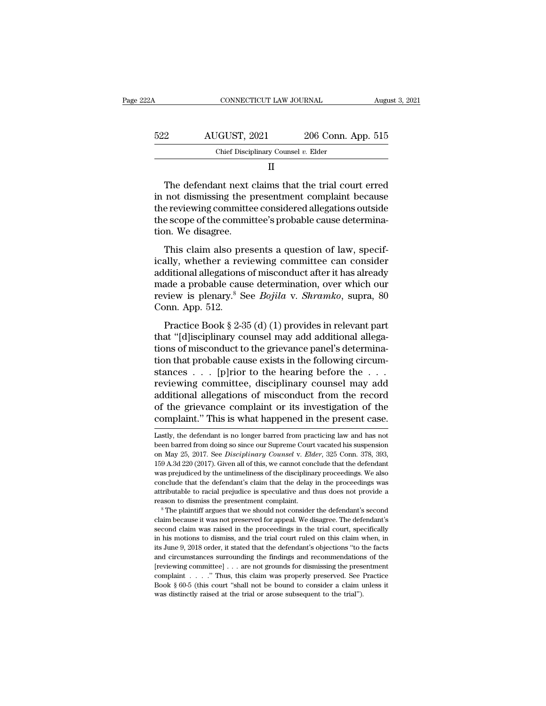| 22A | CONNECTICUT LAW JOURNAL                                                                                                                                               |                    | August 3, 2021 |
|-----|-----------------------------------------------------------------------------------------------------------------------------------------------------------------------|--------------------|----------------|
|     |                                                                                                                                                                       |                    |                |
| 522 | AUGUST, 2021                                                                                                                                                          | 206 Conn. App. 515 |                |
|     | Chief Disciplinary Counsel $v$ . Elder                                                                                                                                |                    |                |
|     | Н                                                                                                                                                                     |                    |                |
|     | The defendant next claims that the trial court erred<br>in not dismissing the presentment complaint because<br>the reviewing committee considered allocations outside |                    |                |

 $\begin{array}{r} \text{522} & \text{AUGUST, 2021} & \text{206 Conn. App. 515} \\ \text{Chief Discrimary Counds } v. \text{ Elder} \\ \hline & \text{II} \end{array}$ <br>
The defendant next claims that the trial court erred<br>
in not dismissing the presentment complaint because<br>
the reviewing committee's probabl  $\begin{array}{r|l} \text{522} & \text{AUGUST, 2021} & \text{206 Conn. App. 515} \ \hline \text{Chief Disciplinary Counds } v. \text{ Elder} & \text{II} \ \end{array}$ <br>
The defendant next claims that the trial court erred in not dismissing the presentment complaint because the reviewing committee conside  $\begin{tabular}{ll} \multicolumn{2}{l}{{\bf{C}N}} & {\bf{C}N} & {\bf{C}N} & {\bf{C}N} \\ \multicolumn{2}{l}{{\bf{C}N}} & {\bf{C}N} & {\bf{C}N} \\ \multicolumn{2}{l}{{\bf{C}N}} & {\bf{C}N} & {\bf{C}N} & {\bf{C}N} \\ \multicolumn{2}{l}{{\bf{C}N}} & {\bf{D}N} & {\bf{D}N} & {\bf{D}N} \\ \multicolumn{2}{l}{{\bf{C}N}} & {\bf{D}N} & {\bf{D}N} & {\bf{D}N} \\ \multicolumn{2}{l}{{$ The defendant next of<br>in not dismissing the p<br>the reviewing committe<br>the scope of the commit<br>tion. We disagree.<br>This claim also pres The defendant next claims that the trial court erred<br>not dismissing the presentment complaint because<br>e reviewing committee considered allegations outside<br>e scope of the committee's probable cause determina-<br>n. We disagree In not dismissing the presentment complaint because<br>the reviewing committee considered allegations outside<br>the scope of the committee's probable cause determina-<br>tion. We disagree.<br>This claim also presents a question of la

and the reviewing committee considered allegations outside<br>the scope of the committee's probable cause determina-<br>tion. We disagree.<br>This claim also presents a question of law, specif-<br>ically, whether a reviewing committe the scope of the committee's probable cause determina-<br>tion. We disagree.<br>This claim also presents a question of law, specif-<br>ically, whether a reviewing committee can consider<br>additional allegations of misconduct after it review is claim also presents a question of law, specifically, whether a reviewing committee can consider additional allegations of misconduct after it has already made a probable cause determination, over which our review This claim also pr<br>ically, whether a rev<br>additional allegations<br>made a probable cau<br>review is plenary.<sup>8</sup> S<br>Conn. App. 512.<br>Practice Book § 2-5 This claim also presents a question of faw, speen<br>ally, whether a reviewing committee can consider<br>ditional allegations of misconduct after it has already<br>ade a probable cause determination, over which our<br>view is plenary. teamy, whence a reviewing commuted can consider<br>additional allegations of misconduct after it has already<br>made a probable cause determination, over which our<br>review is plenary.<sup>8</sup> See *Bojila* v. *Shramko*, supra, 80<br>Conn.

tions of misconduct and the the anteaty<br>made a probable cause determination, over which our<br>review is plenary.<sup>8</sup> See *Bojila* v. *Shramko*, supra, 80<br>Conn. App. 512.<br>Practice Book § 2-35 (d) (1) provides in relevant part<br> that a probable cause determination, over which our review is plenary.<sup>8</sup> See *Bojila* v. *Shramko*, supra, 80 Conn. App. 512.<br>
Practice Book § 2-35 (d) (1) provides in relevant part that "[d]isciplinary counsel may add a Fractice Book § 2-35 (d) (1) provides in relevant part<br>that "[d]isciplinary counsel may add additional allega-<br>tions of misconduct to the grievance panel's determina-<br>tion that probable cause exists in the following circu Practice Book § 2-35 (d) (1) provides in relevant part<br>that "[d]isciplinary counsel may add additional allega-<br>tions of misconduct to the grievance panel's determina-<br>tion that probable cause exists in the following circu Practice Book § 2-35 (d) (1) provides in relevant part<br>that "[d]isciplinary counsel may add additional allega-<br>tions of misconduct to the grievance panel's determina-<br>tion that probable cause exists in the following circu that "[d]isciplinary counsel may add additional allegations of misconduct to the grievance panel's determination that probable cause exists in the following circumstances . . . [p]rior to the hearing before the . . .<br>revie tions of misconduct to the grievance panel's determination that probable cause exists in the following circumstances  $\ldots$  [p]rior to the hearing before the  $\ldots$  reviewing committee, disciplinary counsel may add addition reviewing committee, disciplinary counsel may add<br>additional allegations of misconduct from the record<br>of the grievance complaint or its investigation of the<br>complaint." This is what happened in the present case.<br>Lastly, t additional allegations of misconduct from the record<br>of the grievance complaint or its investigation of the<br>complaint." This is what happened in the present case.<br>Lastly, the defendant is no longer barred from practicing l

of the grievance complaint or its investigation of the complaint." This is what happened in the present case.<br>Lastly, the defendant is no longer barred from practicing law and has not been barred from doing so since our Su complaint." This is what happened in the present case.<br>Lastly, the defendant is no longer barred from practicing law and has not<br>been barred from doing so since our Supreme Court vacated his suspension<br>on May 25, 2017. See Lastly, the defendant is no longer barred from practicing law and has not<br>Lastly, the defendant is no longer barred from practicing law and has not<br>been barred from doing so since our Supreme Court vacated his suspension<br>o Lastly, the defendant is no longer barred from practicing law and has not been barred from doing so since our Supreme Court vacated his suspension on May 25, 2017. See *Disciplinary Counsel* v. *Elder*, 325 Conn. 378, 393 attain been barred from doing so since our Supreme Court vacated his suspension<br>on May 25, 2017. See *Disciplinary Counsel* v. *Elder*, 325 Conn. 378, 393,<br>159 A.3d 220 (2017). Given all of this, we cannot conclude that th For May 25, 2017. See *Disciplinary Counsel* v. *Elder*, 325 Conn. 378, 393, 159 A.3d 220 (2017). Given all of this, we cannot conclude that the defendant was prejudiced by the untimeliness of the disciplinary proceedings. rest was prejudiced by the untimeliness of the disciplinary proceedings. We also<br>conclude that the defendant's claim that the delay in the proceedings was<br>attributable to racial prejudice is speculative and thus does not p

conclude that the defendant's claim that the delay in the proceedings was attributable to racial prejudice is speculative and thus does not provide a reason to dismiss the presentment complaint.<br>
<sup>8</sup> The plaintiff argues t attributable to racial prejudice is speculative and thus does not provide a<br>reason to dismiss the presentment complaint.<br><sup>8</sup> The plaintiff argues that we should not consider the defendant's second<br>claim because it was not reason to dismiss the presentment complaint.<br>
<sup>8</sup> The plaintiff argues that we should not consider the defendant's second<br>
claim because it was not preserved for appeal. We disagree. The defendant's<br>
second claim was raise <sup>2</sup> as The plaintiff argues that we should not consider the defendant's second claim because it was not preserved for appeal. We disagree. The defendant's second claim was raised in the proceedings in the trial court, spe claim because it was not preserved for appeal. We disagree. The defendant's second claim was raised in the proceedings in the trial court, specifically in his motions to dismiss, and the trial court ruled on this claim wh second claim was raised in the proceedings in the trial court, specifically<br>in his motions to dismiss, and the trial court ruled on this claim when, in<br>its June 9, 2018 order, it stated that the defendant's objections "to second claim was raised in the proceedings in the trial court, specifically in his motions to dismiss, and the trial court ruled on this claim when, in its June 9, 2018 order, it stated that the defendant's objections "to and circumstances surrounding the findings and recommendations of the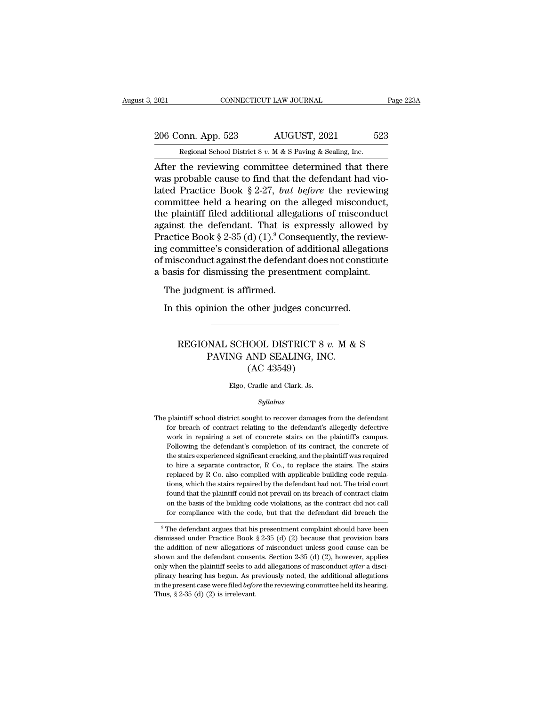## 2021 CONNECTICUT LAW JOURNAL Page 223A<br>
206 Conn. App. 523 AUGUST, 2021 523<br>
Regional School District 8 v. M & S Paving & Sealing, Inc. EXECUTE 2021 CONNECTICUT LAW JOURNAL<br>206 Conn. App. 523 AUGUST, 2021 523<br>Regional School District 8 *v.* M & S Paving & Sealing, Inc.<br>After the reviewing committee determined that there

2021 CONNECTICUT LAW JOURNAL Page 223A<br>
206 Conn. App. 523 AUGUST, 2021 523<br>
Regional School District 8 v. M & S Paving & Sealing, Inc.<br>
After the reviewing committee determined that there<br>
was probable cause to find that 206 Conn. App. 523 AUGUST, 2021 523<br>
Regional School District 8 v. M & S Paving & Sealing, Inc.<br>
After the reviewing committee determined that there<br>
was probable cause to find that the defendant had vio-<br>
lated Practice 206 Conn. App. 523 AUGUST, 2021 523<br>
Regional School District 8 v. M & S Paving & Sealing, Inc.<br>
After the reviewing committee determined that there<br>
was probable cause to find that the defendant had vio-<br>
lated Practice 206 Conn. App. 523 AUGUST, 2021 523<br>
Regional School District 8 v. M & S Paving & Sealing, Inc.<br>
After the reviewing committee determined that there<br>
was probable cause to find that the defendant had vio-<br>
lated Practice Regional School District 8 v. M & S Paving & Sealing, Inc.<br>
After the reviewing committee determined that there<br>
was probable cause to find that the defendant had vio-<br>
lated Practice Book § 2-27, but before the reviewing regional school District 8 v. M & S Paving & Sealing, Inc.<br>
After the reviewing committee determined that there<br>
was probable cause to find that the defendant had vio-<br>
lated Practice Book § 2-27, but before the reviewing After the reviewing committee determined that there<br>was probable cause to find that the defendant had vio-<br>lated Practice Book § 2-27, *but before* the reviewing<br>committee held a hearing on the alleged misconduct,<br>the pla was probable cause to find that the defendant had vio-<br>lated Practice Book § 2-27, *but before* the reviewing<br>committee held a hearing on the alleged misconduct,<br>the plaintiff filed additional allegations of misconduct<br>ag lated Practice Book § 2-27, *but before* the reviewing<br>committee held a hearing on the alleged misconduct,<br>the plaintiff filed additional allegations of misconduct<br>against the defendant. That is expressly allowed by<br>Pract committee held a hearing on the alleged misconduct,<br>the plaintiff filed additional allegations of misconduct<br>against the defendant. That is expressly allowed by<br>Practice Book § 2-35 (d) (1).<sup>9</sup> Consequently, the review-<br>i Framm med additional andges<br>ainst the defendant. That is e<br>actice Book § 2-35 (d)  $(1)^9$  Cons<br>g committee's consideration of i<br>misconduct against the defenda<br>basis for dismissing the present<br>The judgment is affirmed.<br>In t actice Book § 2-35 (d)  $(1)$ .<sup>9</sup> Consequently, the revised committee's consideration of additional allegation misconduct against the defendant does not constitions for dismissing the presentment complaint.<br>The judgment is

#### is for dismissing the presentment complaint.<br>
e judgment is affirmed.<br>
this opinion the other judges concurred.<br>
REGIONAL SCHOOL DISTRICT 8 *v*. M & S<br>
PAVING AND SEALING, INC.<br>
CAC 42549. Next is affirmed.<br>
inion the other judges concurred.<br>
NAL SCHOOL DISTRICT 8  $v$ . M &<br>
PAVING AND SEALING, INC.<br>
(AC 43549) other judges concu<br>
IOOL DISTRICT 8 *u*<br>
AND SEALING, INC<br>
(AC 43549)<br>
Cradle and Clark, Js. REGIONAL SCHOOL DISTRICT 8  $v$ . M & S<br>PAVING AND SEALING, INC.<br>(AC 43549)<br>Elgo, Cradle and Clark, Js.

#### *Syllabus*

 $(AC 43549)$ <br>Elgo, Cradle and Clark, Js.<br>Syllabus<br>The plaintiff school district sought to recover damages from the defendant<br>for breach of contract relating to the defendant's allegedly defective Elgo, Cradle and Clark, Js.<br>
Syllabus<br>
plaintiff school district sought to recover damages from the defendant<br>
for breach of contract relating to the defendant's allegedly defective<br>
work in repairing a set of concrete sta Elgo, Cradle and Clark, Js.<br>
Syllabus<br>
plaintiff school district sought to recover damages from the defendant<br>
for breach of contract relating to the defendant's allegedly defective<br>
work in repairing a set of concrete sta Syllabus<br>plaintiff school district sought to recover damages from the defendant<br>for breach of contract relating to the defendant's allegedly defective<br>work in repairing a set of concrete stairs on the plaintiff's campus.<br>F symmus<br>plaintiff school district sought to recover damages from the defendant<br>for breach of contract relating to the defendant's allegedly defective<br>work in repairing a set of concrete stairs on the plaintiff's campus.<br>Fol plaintiff school district sought to recover damages from the defendant<br>for breach of contract relating to the defendant's allegedly defective<br>work in repairing a set of concrete stairs on the plaintiff's campus.<br>Following for breach of contract relating to the defendant's allegedly defective work in repairing a set of concrete stairs on the plaintiff's campus. Following the defendant's completion of its contract, the concrete of the stairs work in repairing a set of concrete stairs on the plaintiff's campus.<br>Following the defendant's completion of its contract, the concrete of<br>the stairs experienced significant cracking, and the plaintiff was required<br>to hir Following the defendant's completion of its contract, the concrete of<br>the stairs experienced significant cracking, and the plaintiff was required<br>to hire a separate contractor, R Co., to replace the stairs. The stairs<br>repl the stairs experienced significant cracking, and the plaintiff was required<br>to hire a separate contractor, R Co., to replace the stairs. The stairs<br>replaced by R Co. also complied with applicable building code regula-<br>tion for the asseparate contractor, R Co., to replace the stairs. The stairs replaced by R Co. also complied with applicable building code regulations, which the stairs repaired by the defendant had not. The trial court found t Feplaced by R Co. also compled will applicable building code regulations, which the stairs repaired by the defendant had not. The trial court found that the plaintiff could not prevail on its breach of contract claim on t dons, which the stans repaired by the defendant had not. The trial court<br>found that the plaintiff could not prevail on its breach of contract claim<br>on the basis of the building code violations, as the contract did not cal

from the basis of the building code violations, as the contract claim<br>on the basis of the building code violations, as the contract did not call<br>for compliance with the code, but that the defendant did breach the<br> $^9$ The on the basis of the bunding code violations, as the contract did not can<br>for compliance with the code, but that the defendant did breach the<br><sup>9</sup> The defendant argues that his presentment complaint should have been<br>dismiss or computate with the code, but that the detendant did breach the<br>
<sup>9</sup> The defendant argues that his presentment complaint should have been<br>
dismissed under Practice Book § 2-35 (d) (2) because that provision bars<br>
the ad <sup>9</sup> The defendant argues that his presentment complaint should have been dismissed under Practice Book § 2-35 (d) (2) because that provision bars the addition of new allegations of misconduct unless good cause can be show dismissed under Practice Book § 2-35 (d) (2) because that provision bars<br>the addition of new allegations of misconduct unless good cause can be<br>shown and the defendant consents. Section 2-35 (d) (2), however, applies<br>only the addition of new allegations of misconduct unless good cause can be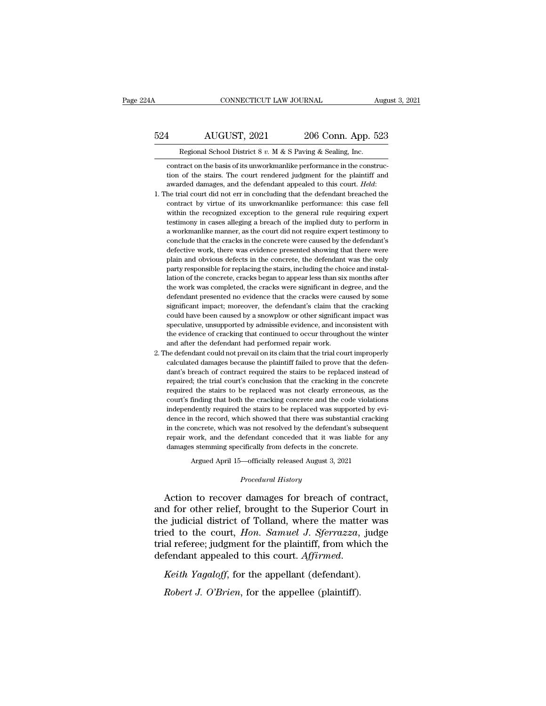### CONNECTICUT LAW JOURNAL August 3, 2021<br>524 AUGUST, 2021 206 Conn. App. 523<br>Regional School District 8 v. M & S Paving & Sealing, Inc. CONNECTICUT LAW JOURNAL August 3, 2021<br>AUGUST, 2021 206 Conn. App. 523<br>Regional School District 8 *v*. M & S Paving & Sealing, Inc.

524 AUGUST, 2021 206 Conn. App. 523<br>
Regional School District 8 v. M & S Paving & Sealing, Inc.<br>
contract on the basis of its unworkmanlike performance in the construc-<br>
tion of the stairs. The court rendered judgment for **the state of the state of the state of the state of the stairs.** The contract on the basis of its unworkmanlike performance in the construction of the stairs. The court rendered judgment for the plaintiff and awarded dam awarded damages, and the defendant appealed to this court. *Held*: 1. The trial court did not err in concluding that the defendant breached the contract by virtue of its unworkmanlike performance in the contract of the sco

- Regional School District 8 v. M & S Paving & Sealing, Inc.<br>contract on the basis of its unworkmanlike performance in the construc-<br>tion of the stairs. The court rendered judgment for the plaintiff and<br>awarded damages, and contract on the basis of its unworkmanlike performance in the construction of the stairs. The court rendered judgment for the plaintiff and awarded damages, and the defendant appealed to this court. *Held*: the trial court tion of the stairs. The court rendered judgment for the plaintiff and awarded damages, and the defendant appealed to this court. *Held*: he trial court did not err in concluding that the defendant breached the contract by a warded damages, and the defendant appealed to this court. *Held*:<br>he trial court did not err in concluding that the defendant breached the<br>contract by virtue of its unworkmanlike performance: this case fell<br>within the re he trial court did not err in concluding that the defendant breached the contract by virtue of its unworkmanlike performance: this case fell within the recognized exception to the general rule requiring expert testimony in contract by virtue of its unworkmanlike performance: this case fell within the recognized exception to the general rule requiring expert testimony in cases alleging a breach of the implied duty to perform in a workmanlike within the recognized exception to the general rule requiring expert testimony in cases alleging a breach of the implied duty to perform in a workmanlike manner, as the court did not require expert testimony to conclude th meant are destimony in cases alleging a breach of the implied duty to perform in a workmanlike manner, as the court did not require expert testimony to conclude that the cracks in the concrete were caused by the defendant' a workmanlike manner, as the court did not require expert testimony to conclude that the cracks in the concrete were caused by the defendant's defective work, there was evidence presented showing that there were plain and conclude that the cracks in the concrete were caused by the defendant's defective work, there was evidence presented showing that there were plain and obvious defects in the concrete, the defendant was the only party respo defective work, there was evidence presented showing that there were<br>plain and obvious defects in the concrete, the defendant was the only<br>party responsible for replacing the stairs, including the choice and instal-<br>lation plain and obvious defects in the concrete, the defendant was the only party responsible for replacing the stairs, including the choice and installation of the concrete, cracks began to appear less than six months after the party responsible for replacing the stairs, including the choice and installation of the concrete, cracks began to appear less than six months after the work was completed, the cracks were significant in degree, and the de put, the concrete, cracks began to appear less than six months after<br>the work was completed, the cracks were significant in degree, and the<br>defendant presented no evidence that the cracks were caused by some<br>significant im the work was completed, the cracks were significant in degree, and the defendant presented no evidence that the cracks were caused by some significant impact; moreover, the defendant's claim that the cracking could have be defendant presented no evidence that the cracks were calculated defendant presented no evidence that the cracks were calculation is exignificant impact; moreover, the defendant's claim that could have been caused by a snow is experiment impact; moreover, the defendant's claim that the cracking could have been caused by a snowplow or other significant impact was speculative, unsupported by admissible evidence, and inconsistent with the eviden could have been caused by a snowplow or other significant impact was speculative, unsupported by admissible evidence, and inconsistent with the evidence of cracking that continued to occur throughout the winter and after t
- speculative, unsupported by admissible evidence, and inconsistent with the evidence of cracking that continued to occur throughout the winter and after the defendant had performed repair work. The defendant could not preva the evidence of cracking that continued to occur throughout the winter and after the defendant had performed repair work.<br>
he defendant could not prevail on its claim that the trial court improperly<br>
calculated damages bec and after the defendant had performed repair work.<br>
the defendant could not prevail on its claim that the trial court improperly<br>
calculated damages because the plaintiff failed to prove that the defen-<br>
dant's breach of c he defendant could not prevail on its claim that the trial court improperly calculated damages because the plaintiff failed to prove that the defendant's breach of contract required the stairs to be replaced instead of rep 2. The defendant could not prevail on its claim that the trial court improperly calculated damages because the plaintiff failed to prove that the defendant's breach of contract required the stairs to be replaced instead o dant's breach of contract required the stairs to be replaced instead of repaired; the trial court's conclusion that the cracking in the concrete required the stairs to be replaced was not clearly erroneous, as the court's repaired; the trial court's conclusion that the cracking in the concrete required the stairs to be replaced was not clearly erroneous, as the court's finding that both the cracking concrete and the code violations independ required the stairs to be replaced was not clearly erroneous, as the court's finding that both the cracking concrete and the code violations independently required the stairs to be replaced was supported by evidence in the court's finding that both the cracking concrete and the code violation-<br>independently required the stairs to be replaced was supported by<br>dence in the record, which showed that there was substantial cracking<br>in the concret dently required the stairs to be replaced was supported by evaluated that there was substantial crackin oncrete, which was not resolved by the defendant's subsequent work, and the defendant conceded that it was liable for repair work, and the defendant conceded that it was liable for any<br>damages stemming specifically from defects in the concrete.<br>Argued April 15—officially released August 3, 2021<br>*Procedural History*<br>Action to recover damag in the concrete, which was not resolved by the defendant's subsequent<br>repair work, and the defendant conceded that it was liable for any<br>damages stemming specifically from defects in the concrete.<br>Argued April 15—officiall

repair work, and the defendant conceded that it was liable for any<br>damages stemming specifically from defects in the concrete.<br>Argued April 15—officially released August 3, 2021<br>*Procedural History*<br>Action to recover damag transitionally specifically released August 3, 2021<br>
Argued April 15—officially released August 3, 2021<br>
Procedural History<br>
Action to recover damages for breach of contract,<br>
and for other relief, brought to the Superior Argued April 15—officially released August 3, 2021<br> *Procedural History*<br>
Action to recover damages for breach of contract,<br>
and for other relief, brought to the Superior Court in<br>
the judicial district of Tolland, where t Procedural History<br>Action to recover damages for breach of contract,<br>and for other relief, brought to the Superior Court in<br>the judicial district of Tolland, where the matter was<br>tried to the court, *Hon. Samuel J. Sferraz* Action to recover damages for breach of contract and for other relief, brought to the Superior Court if the judicial district of Tolland, where the matter was tried to the court, *Hon. Samuel J. Sferrazza*, judg trial refe *Robert J. O'Brien, for the appellee (plaintiff)*. *Robert J. O'Brien*, for the appellant *Robert J. O'Brien*, for the appellee (plaintiff). *Robert J. O'Brien*, for the appellee (plaintiff).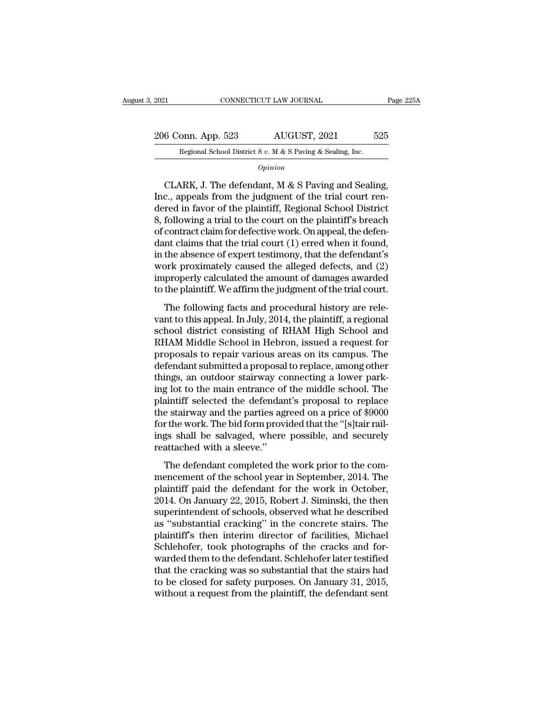| 2021               | CONNECTICUT LAW JOURNAL                                    | Page 225A |
|--------------------|------------------------------------------------------------|-----------|
| 206 Conn. App. 523 | AUGUST, 2021                                               | 525       |
|                    | Regional School District 8 v. M & S Paving & Sealing, Inc. |           |

*Opinion*

6 Conn. App. 523 AUGUST, 2021 525<br>
Regional School District 8 v. M & S Paving & Sealing, Inc.<br> *Opinion*<br>
CLARK, J. The defendant, M & S Paving and Sealing,<br>
c., appeals from the judgment of the trial court ren-206 Conn. App. 523 AUGUST, 2021 525<br>
Regional School District 8 v. M & S Paving & Sealing, Inc.<br>  $\frac{1}{\text{Option}}$ <br>
CLARK, J. The defendant, M & S Paving and Sealing,<br>
Inc., appeals from the judgment of the trial court ren-<br>
d 206 Conn. App. 523 AUGUST, 2021 525<br>
Regional School District 8 v. M & S Paving & Sealing, Inc.<br> *Opinion*<br>
CLARK, J. The defendant, M & S Paving and Sealing,<br>
Inc., appeals from the judgment of the trial court ren-<br>
dere Regional School District 8 v. M & S Paving & Sealing, Inc.<br>  $\overline{Opinion}$ <br>
CLARK, J. The defendant, M & S Paving and Sealing,<br>
Inc., appeals from the judgment of the trial court ren-<br>
dered in favor of the plaintiff, Regiona  $\frac{Option}{print}$ <br>CLARK, J. The defendant, M & S Paving and Sealing,<br>Inc., appeals from the judgment of the trial court ren-<br>dered in favor of the plaintiff, Regional School District<br>8, following a trial to the court on the plain CLARK, J. The defendant, M & S Paving and Sealing,<br>Inc., appeals from the judgment of the trial court ren-<br>dered in favor of the plaintiff, Regional School District<br>8, following a trial to the court on the plaintiff's bre CLARK, J. The defendant, M & S Paving and Sealing,<br>Inc., appeals from the judgment of the trial court ren-<br>dered in favor of the plaintiff, Regional School District<br>8, following a trial to the court on the plaintiff's brea Inc., appeals from the judgment of the trial court rendered in favor of the plaintiff, Regional School District<br>8, following a trial to the court on the plaintiff's breach<br>of contract claim for defective work. On appeal, t dered in favor of the plaintiff, Regional School District<br>8, following a trial to the court on the plaintiff's breach<br>of contract claim for defective work. On appeal, the defen-<br>dant claims that the trial court (1) erred w 8, following a trial to the court on the plaintiff's breach<br>of contract claim for defective work. On appeal, the defen-<br>dant claims that the trial court (1) erred when it found,<br>in the absence of expert testimony, that the Edition is that the trial court (1) erred when it found,<br>the absence of expert testimony, that the defendant's<br>privately caused the alleged defects, and (2)<br>properly calculated the amount of damages awarded<br>the plaintiff. vant to this and the this court (1) effect when a round,<br>in the absence of expert testimony, that the defendant's<br>work proximately caused the alleged defects, and (2)<br>improperly calculated the amount of damages awarded<br>to

m are assence of expert testandary, and are determinated work proximately caused the alleged defects, and (2) improperly calculated the amount of damages awarded to the plaintiff. We affirm the judgment of the trial court. Work prominately classed are angled detects, and (2)<br>improperly calculated the amount of damages awarded<br>to the plaintiff. We affirm the judgment of the trial court.<br>The following facts and procedural history are rele-<br>van maproperry calculated are amount of damages amataca<br>to the plaintiff. We affirm the judgment of the trial court.<br>The following facts and procedural history are rele-<br>vant to this appeal. In July, 2014, the plaintiff, a reg The following facts and procedural history are relevant to this appeal. In July, 2014, the plaintiff, a regional school district consisting of RHAM High School and RHAM Middle School in Hebron, issued a request for proposa The following facts and procedural history are relevant to this appeal. In July, 2014, the plaintiff, a regional school district consisting of RHAM High School and RHAM Middle School in Hebron, issued a request for proposa vant to this appeal. In July, 2014, the plaintiff, a regional<br>school district consisting of RHAM High School and<br>RHAM Middle School in Hebron, issued a request for<br>proposals to repair various areas on its campus. The<br>defen school district consisting of RHAM High School and<br>RHAM Middle School in Hebron, issued a request for<br>proposals to repair various areas on its campus. The<br>defendant submitted a proposal to replace, among other<br>things, an o RHAM Middle School in Hebron, issued a request for<br>proposals to repair various areas on its campus. The<br>defendant submitted a proposal to replace, among other<br>things, an outdoor stairway connecting a lower park-<br>ing lot to proposals to repair various areas on its campus. The<br>defendant submitted a proposal to replace, among other<br>things, an outdoor stairway connecting a lower park-<br>ing lot to the main entrance of the middle school. The<br>plaint defendant submitted a proposal to replace, among other<br>things, an outdoor stairway connecting a lower park-<br>ing lot to the main entrance of the middle school. The<br>plaintiff selected the defendant's proposal to replace<br>the things, an outdoor stairway complements of plaintiff selected the defendant the stairway and the parties age for the work. The bid form provings shall be salvaged, where reattached with a sleeve."<br>The defendant completed t in the defendant completed the work prior. The defendant's proposal to replace<br>a stairway and the parties agreed on a price of \$9000<br>or the work. The bid form provided that the "[s]tair rail-<br>gs shall be salvaged, where po plantant selected are determined by proposar to Teplace<br>the stairway and the parties agreed on a price of \$9000<br>for the work. The bid form provided that the "[s]tair rail-<br>ings shall be salvaged, where possible, and secure

For the work. The bid form provided that the "[s]tair rail-<br>ings shall be salvaged, where possible, and securely<br>reattached with a sleeve."<br>The defendant completed the work prior to the com-<br>mencement of the school year in Extra work. The stationary<br>
ings shall be salvaged, where possible, and securely<br>
reattached with a sleeve."<br>
The defendant completed the work prior to the com-<br>
mencement of the school year in September, 2014. The<br>
plaint reattached with a sleeve."<br>
The defendant completed the work prior to the com-<br>
mencement of the school year in September, 2014. The<br>
plaintiff paid the defendant for the work in October,<br>
2014. On January 22, 2015, Robert The defendant completed the work prior to the com-<br>mencement of the school year in September, 2014. The<br>plaintiff paid the defendant for the work in October,<br>2014. On January 22, 2015, Robert J. Siminski, the then<br>superint The defendant completed the work prior to the com-<br>mencement of the school year in September, 2014. The<br>plaintiff paid the defendant for the work in October,<br>2014. On January 22, 2015, Robert J. Siminski, the then<br>superint mencement of the school year in September, 2014. The plaintiff paid the defendant for the work in October, 2014. On January 22, 2015, Robert J. Siminski, the then superintendent of schools, observed what he described as "s plaintiff paid the defendant for the work in October,<br>2014. On January 22, 2015, Robert J. Siminski, the then<br>superintendent of schools, observed what he described<br>as "substantial cracking" in the concrete stairs. The<br>plai 2014. On January 22, 2015, Robert J. Siminski, the then<br>superintendent of schools, observed what he described<br>as "substantial cracking" in the concrete stairs. The<br>plaintiff's then interim director of facilities, Michael<br>S superintendent of schools, observed what he described<br>as "substantial cracking" in the concrete stairs. The<br>plaintiff's then interim director of facilities, Michael<br>Schlehofer, took photographs of the cracks and for-<br>warde as "substantial cracking" in the concrete stairs. The plaintiff's then interim director of facilities, Michael Schlehofer, took photographs of the cracks and forwarded them to the defendant. Schlehofer later testified that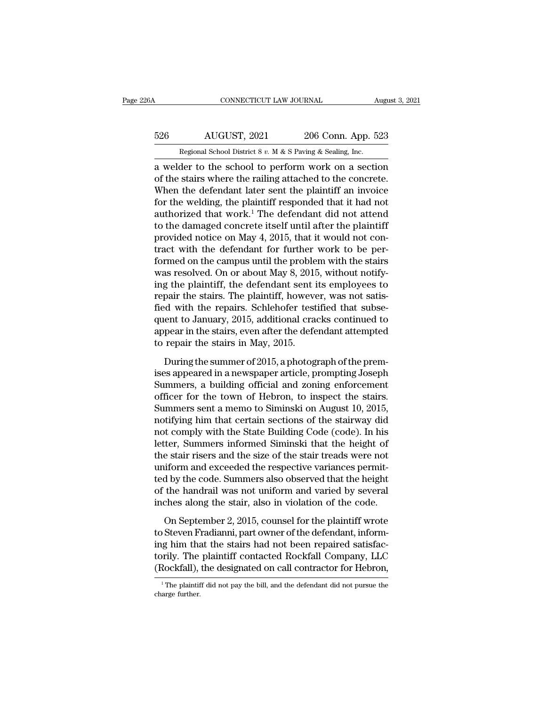## CONNECTICUT LAW JOURNAL August 3, 2021<br>526 AUGUST, 2021 206 Conn. App. 523<br>Regional School District 8 v. M & S Paving & Sealing, Inc. CONNECTICUT LAW JOURNAL August 3, 2021<br>526 AUGUST, 2021 206 Conn. App. 523<br>Regional School District 8 *v.* M & S Paving & Sealing, Inc.<br>a welder to the school to perform work on a section

CONNECTICUT LAW JOURNAL August 3, 2021<br>  $\frac{526}{\text{Regular School District 8 } v. \text{ M} \& \text{S Paving} \& \text{Sealing, Inc.}}$ <br>
a welder to the school to perform work on a section<br>
of the stairs where the railing attached to the concrete. 526 AUGUST, 2021 206 Conn. App. 523<br>
Regional School District 8 v. M & S Paving & Sealing, Inc.<br>
a welder to the school to perform work on a section<br>
of the stairs where the railing attached to the concrete.<br>
When the def 526 AUGUST, 2021 206 Conn. App. 523<br>
Regional School District 8 v. M & S Paving & Sealing, Inc.<br>
a welder to the school to perform work on a section<br>
of the stairs where the railing attached to the concrete.<br>
When the def 526 AUGUST, 2021 206 Conn. App. 523<br>
Regional School District 8 v. M & S Paving & Sealing, Inc.<br>
a welder to the school to perform work on a section<br>
of the stairs where the railing attached to the concrete.<br>
When the def Regional School District 8 v. M & S Paving & Sealing, Inc.<br>
a welder to the school to perform work on a section<br>
of the stairs where the railing attached to the concrete.<br>
When the defendant later sent the plaintiff an in regional school District 8 v. M & S Paving & sealing, inc.<br>
a welder to the school to perform work on a section<br>
of the stairs where the railing attached to the concrete.<br>
When the defendant later sent the plaintiff an in a welder to the school to perform work on a section<br>of the stairs where the railing attached to the concrete.<br>When the defendant later sent the plaintiff an invoice<br>for the welding, the plaintiff responded that it had not<br> of the stairs where the railing attached to the concrete.<br>When the defendant later sent the plaintiff an invoice<br>for the welding, the plaintiff responded that it had not<br>authorized that work.<sup>1</sup> The defendant did not atte When the defendant later sent the plaintiff an invoice<br>for the welding, the plaintiff responded that it had not<br>authorized that work.<sup>1</sup> The defendant did not attend<br>to the damaged concrete itself until after the plaintif for the welding, the plaintiff responded that it had not authorized that work.<sup>1</sup> The defendant did not attend to the damaged concrete itself until after the plaintiff provided notice on May 4, 2015, that it would not con authorized that work.<sup>1</sup> The defendant did not attend<br>to the damaged concrete itself until after the plaintiff<br>provided notice on May 4, 2015, that it would not con-<br>tract with the defendant for further work to be per-<br>for to the damaged concrete itself until after the plaintiff<br>provided notice on May 4, 2015, that it would not con-<br>tract with the defendant for further work to be per-<br>formed on the campus until the problem with the stairs<br>wa provided notice on May 4, 2015, that it would not contract with the defendant for further work to be performed on the campus until the problem with the stairs was resolved. On or about May 8, 2015, without notifying the pl tract with the defendant for further work to be per-<br>formed on the campus until the problem with the stairs<br>was resolved. On or about May 8, 2015, without notify-<br>ing the plaintiff, the defendant sent its employees to<br>repa formed on the campus until the problem with the stairs<br>was resolved. On or about May 8, 2015, without notify-<br>ing the plaintiff, the defendant sent its employees to<br>repair the stairs. The plaintiff, however, was not satiswas resolved. On or about May 8, 2015<br>ing the plaintiff, the defendant sent i<br>repair the stairs. The plaintiff, howeve<br>fied with the repairs. Schlehofer test<br>quent to January, 2015, additional cra<br>appear in the stairs, eve pair the stairs. The plaintiff, however, was not satis-<br>pair the stairs. The plaintiff, however, was not satis-<br>ent to January, 2015, additional cracks continued to<br>pear in the stairs, even after the defendant attempted<br>re Field with the repairs. Schlehofer testified that subsequent to January, 2015, additional cracks continued to appear in the stairs, even after the defendant attempted to repair the stairs in May, 2015.<br>
During the summer o

From the Teperator Conditional cracks continued to<br>quent to January, 2015, additional cracks continued to<br>appear in the stairs in May, 2015.<br>During the summer of 2015, a photograph of the prem-<br>ises appeared in a newspaper quent to standary, 2010, dalatesian cracks continued to<br>appear in the stairs in May, 2015.<br>During the summer of 2015, a photograph of the prem-<br>ises appeared in a newspaper article, prompting Joseph<br>Summers, a building off Experiment and stairs, eventuated and accordinate anomy-production repair the stairs in May, 2015.<br>
During the summer of 2015, a photograph of the premises appeared in a newspaper article, prompting Joseph<br>
Summers, a buil During the summer of 2015, a photograph of the premises appeared in a newspaper article, prompting Joseph<br>Summers, a building official and zoning enforcement<br>officer for the town of Hebron, to inspect the stairs.<br>Summers During the summer of 2015, a photograph of the premises appeared in a newspaper article, prompting Joseph<br>Summers, a building official and zoning enforcement<br>officer for the town of Hebron, to inspect the stairs.<br>Summers s ises appeared in a newspaper article, prompting Joseph<br>Summers, a building official and zoning enforcement<br>officer for the town of Hebron, to inspect the stairs.<br>Summers sent a memo to Siminski on August 10, 2015,<br>notifyin Summers, a building official and zoning enforcement<br>officer for the town of Hebron, to inspect the stairs.<br>Summers sent a memo to Siminski on August 10, 2015,<br>notifying him that certain sections of the stairway did<br>not com officer for the town of Hebron, to inspect the stairs.<br>Summers sent a memo to Siminski on August 10, 2015,<br>notifying him that certain sections of the stairway did<br>not comply with the State Building Code (code). In his<br>lett Summers sent a memo to Siminski on August 10, 2015,<br>notifying him that certain sections of the stairway did<br>not comply with the State Building Code (code). In his<br>letter, Summers informed Siminski that the height of<br>the st notifying him that certain sections of the stairway did<br>not comply with the State Building Code (code). In his<br>letter, Summers informed Siminski that the height of<br>the stair risers and the size of the stair treads were not not comply with the State Building Code (code). In his letter, Summers informed Siminski that the height of the stair risers and the size of the stair treads were not uniform and exceeded the respective variances permitted Example 2, 2015, counsel for the plaintiff wrote<br>Stair risers and the size of the stair treads were not<br>iform and exceeded the respective variances permit-<br>d by the code. Summers also observed that the height<br>the handrail the star fibers and the size of the star freeds were not<br>uniform and exceeded the respective variances permit-<br>ted by the code. Summers also observed that the height<br>of the handrail was not uniform and varied by several<br>in

ing the state in the state of the height<br>ted by the code. Summers also observed that the height<br>of the handrail was not uniform and varied by several<br>inches along the stair, also in violation of the code.<br>On September 2, 2 torily the bandrall was not uniform and varied by several<br>inches along the stair, also in violation of the code.<br>On September 2, 2015, counsel for the plaintiff wrote<br>to Steven Fradianni, part owner of the defendant, infor The Matter and the designation of the code.<br>
On September 2, 2015, counsel for the plaintiff wrote<br>
to Steven Fradianni, part owner of the defendant, inform-<br>
ing him that the stairs had not been repaired satisfac-<br>
torily to Steven Fradianni, part owner of the defendant, informing him that the stairs had not been repaired satisfactorily. The plaintiff contacted Rockfall Company, LLC (Rockfall), the designated on call contractor for Hebron,<br> (Rockfall), the designated on call contractor for Hebron,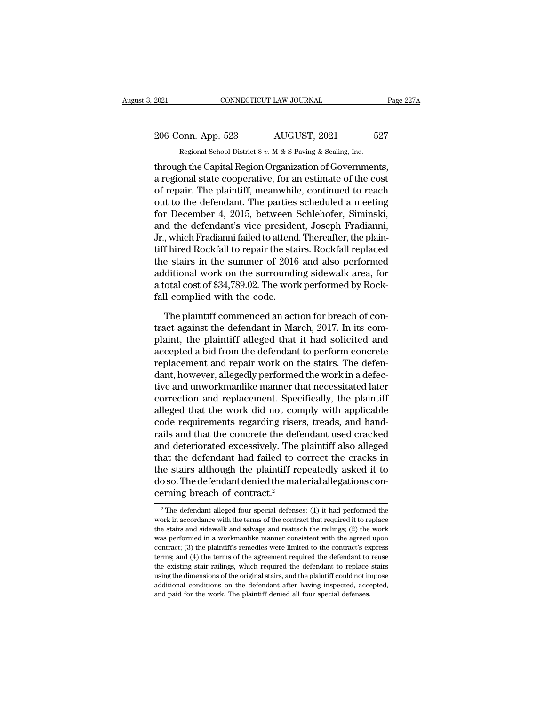# 2021 CONNECTICUT LAW JOURNAL Page 227A<br>
206 Conn. App. 523 AUGUST, 2021 527<br>
Regional School District 8 v. M & S Paving & Sealing, Inc.

Equal CONNECTICUT LAW JOURNAL<br>206 Conn. App. 523 AUGUST, 2021 527<br>Regional School District 8 *v.* M & S Paving & Sealing, Inc.<br>Through the Capital Region Organization of Governments, The Capital Regional School District Section of Governments,<br>
2006 Conn. App. 523 AUGUST, 2021 527<br>
Regional School District 8 v. M & S Paving & Sealing, Inc.<br>
1991 The Capital Region Organization of Governments,<br>
2015 The 206 Conn. App. 523 AUGUST, 2021 527<br>
Regional School District 8 v. M & S Paving & Sealing, Inc.<br>
through the Capital Region Organization of Governments,<br>
a regional state cooperative, for an estimate of the cost<br>
of repai 206 Conn. App. 523 AUGUST, 2021 527<br>
Regional School District 8 v. M & S Paving & Sealing, Inc.<br>
through the Capital Region Organization of Governments,<br>
a regional state cooperative, for an estimate of the cost<br>
of repai 206 Conn. App. 523 AUGUST, 2021 527<br>
Regional School District 8 v. M & S Paving & Sealing, Inc.<br>
through the Capital Region Organization of Governments,<br>
a regional state cooperative, for an estimate of the cost<br>
of repai Regional School District 8 v. M & S Paving & Sealing, Inc.<br>
through the Capital Region Organization of Governments,<br>
a regional state cooperative, for an estimate of the cost<br>
of repair. The plaintiff, meanwhile, continue regional school District 8 v.  $M \propto S$  Paving  $\propto$  Sealing, inc.<br>through the Capital Region Organization of Governments,<br>a regional state cooperative, for an estimate of the cost<br>of repair. The plaintiff, meanwhile, conti through the Capital Region Organization of Governments,<br>a regional state cooperative, for an estimate of the cost<br>of repair. The plaintiff, meanwhile, continued to reach<br>out to the defendant. The parties scheduled a meetin a regional state cooperative, for an estimate of the cost<br>of repair. The plaintiff, meanwhile, continued to reach<br>out to the defendant. The parties scheduled a meeting<br>for December 4, 2015, between Schlehofer, Siminski,<br>an of repair. The plaintiff, meanwhile, continued to reach<br>out to the defendant. The parties scheduled a meeting<br>for December 4, 2015, between Schlehofer, Siminski,<br>and the defendant's vice president, Joseph Fradianni,<br>Jr., w out to the defendant. The parties scheduled a meeting<br>for December 4, 2015, between Schlehofer, Siminski,<br>and the defendant's vice president, Joseph Fradianni,<br>Jr., which Fradianni failed to attend. Thereafter, the plain-<br> for December 4, 2015, between Schlehofer, Siminski, and the defendant's vice president, Joseph Fradianni, Jr., which Fradianni failed to attend. Thereafter, the plaintiff hired Rockfall to repair the stairs. Rockfall repla and the defendant's vice presidently.<br>Jr., which Fradianni failed to attend<br>tiff hired Rockfall to repair the sta<br>the stairs in the summer of 2016<br>additional work on the surroundi<br>a total cost of \$34,789.02. The worl<br>fall f hired Rockfall to repair the stairs. Rockfall replaced<br>e stairs in the summer of 2016 and also performed<br>ditional work on the surrounding sidewalk area, for<br>otal cost of \$34,789.02. The work performed by Rock-<br>ll complie the stairs in the summer of 2016 and also performed<br>additional work on the surrounding sidewalk area, for<br>a total cost of \$34,789.02. The work performed by Rock-<br>fall complied with the code.<br>The plaintiff commenced an acti

additional work on the surrounding sidewalk area, for<br>a total cost of \$34,789.02. The work performed by Rock-<br>fall complied with the code.<br>The plaintiff commenced an action for breach of con-<br>tract against the defendant in a total cost of \$34,789.02. The work performed by Rock-<br>fall complied with the code.<br>The plaintiff commenced an action for breach of con-<br>tract against the defendant in March, 2017. In its com-<br>plaint, the plaintiff allege fall complied with the code.<br>The plaintiff commenced an action for breach of contract against the defendant in March, 2017. In its complaint, the plaintiff alleged that it had solicited and accepted a bid from the defendan The plaintiff commenced an action for breach of contract against the defendant in March, 2017. In its complaint, the plaintiff alleged that it had solicited and accepted a bid from the defendant to perform concrete replace The plaintiff commenced an action for breach of contract against the defendant in March, 2017. In its complaint, the plaintiff alleged that it had solicited and accepted a bid from the defendant to perform concrete replace tract against the defendant in March, 2017. In its complaint, the plaintiff alleged that it had solicited and accepted a bid from the defendant to perform concrete replacement and repair work on the stairs. The defendant, plaint, the plaintiff alleged that it had solicited and<br>accepted a bid from the defendant to perform concrete<br>replacement and repair work on the stairs. The defen-<br>dant, however, allegedly performed the work in a defec-<br>ti accepted a bid from the defendant to perform concrete<br>replacement and repair work on the stairs. The defen-<br>dant, however, allegedly performed the work in a defec-<br>tive and unworkmanlike manner that necessitated later<br>corr replacement and repair work on the stairs. The defen-<br>dant, however, allegedly performed the work in a defec-<br>tive and unworkmanlike manner that necessitated later<br>correction and replacement. Specifically, the plaintiff<br>al dant, however, allegedly performed the work in a defective and unworkmanlike manner that necessitated later correction and replacement. Specifically, the plaintiff alleged that the work did not comply with applicable code tive and unworkmanlike manner that necessitated later<br>correction and replacement. Specifically, the plaintiff<br>alleged that the work did not comply with applicable<br>code requirements regarding risers, treads, and hand-<br>rails correction and replacement. Specifically, the plaintiff<br>alleged that the work did not comply with applicable<br>code requirements regarding risers, treads, and hand-<br>rails and that the concrete the defendant used cracked<br>and alleged that the work did not comply with applicable<br>code requirements regarding risers, treads, and hand-<br>rails and that the concrete the defendant used cracked<br>and deteriorated excessively. The plaintiff also alleged<br>tha code requirements regarding riser<br>rails and that the concrete the defe<br>and deteriorated excessively. The<br>that the defendant had failed to c<br>the stairs although the plaintiff re<br>do so. The defendant denied the mat<br>cerning b that the defendant had failed to correct the cracks in<br>the stairs although the plaintiff repeatedly asked it to<br>do so. The defendant denied the material allegations con-<br>cerning breach of contract.<sup>2</sup><br> $\frac{1}{2}$ The defenda the stairs although the plaintiff repeatedly asked it to do so. The defendant denied the material allegations concerning breach of contract.<sup>2</sup><br><sup>2</sup> The defendant alleged four special defenses: (1) it had performed the wor

do so. The defendant denied the material allegations concerning breach of contract.<sup>2</sup><br> $^2$ The defendant alleged four special defenses: (1) it had performed the work in accordance with the terms of the contract that requi cerning breach of contract.<sup>2</sup><br>
<sup>2</sup> The defendant alleged four special defenses: (1) it had performed the work in accordance with the terms of the contract that required it to replace the stairs and sidewalk and salvage a The defendant alleged four special defenses: (1) it had performed the work in accordance with the terms of the contract that required it to replace the stairs and sidewalk and salvage and reattach the railings; (2) the wo <sup>2</sup> The defendant alleged four special defenses: (1) it had performed the work in accordance with the terms of the contract that required it to replace the stairs and sidewalk and salvage and reattach the railings; (2) th work in accordance with the terms of the contract that required it to replace the stairs and sidewalk and salvage and reattach the railings; (2) the work was performed in a workmanlike manner consistent with the agreed up the stairs and sidewalk and salvage and reattach the railings; (2) the work was performed in a workmanlike manner consistent with the agreed upon contract; (3) the plaintiff's remedies were limited to the contract's expres was performed in a workmanlike manner consistent with the agreed upon contract; (3) the plaintiff's remedies were limited to the contract's express terms; and (4) the terms of the agreement required the defendant to reuse contract; (3) the plaintiff's remedies were limited to the contract's express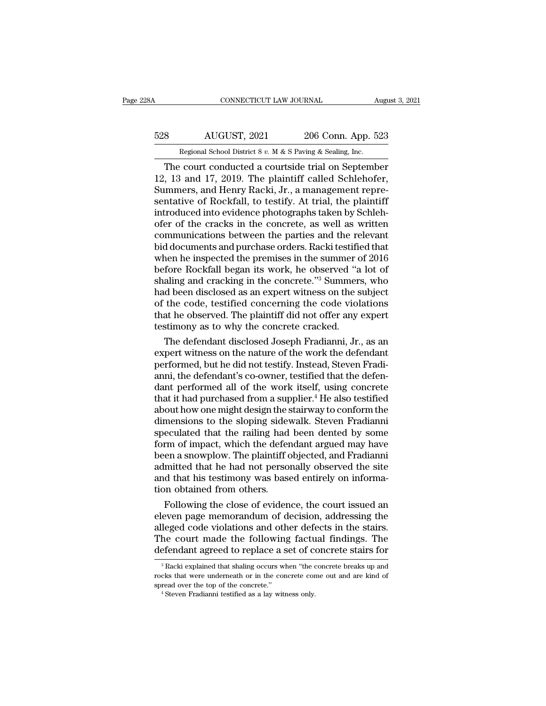## CONNECTICUT LAW JOURNAL August 3, 2021<br>528 AUGUST, 2021 206 Conn. App. 523<br>Regional School District 8 v. M & S Paving & Sealing, Inc. CONNECTICUT LAW JOURNAL August 3, 2021<br>
Regional School District 8 *v.* M & S Paving & Sealing, Inc.<br>
The court conducted a courtside trial on September

CONNECTICUT LAW JOURNAL August 3, 2021<br>
8 AUGUST, 2021 206 Conn. App. 523<br>
Regional School District 8 v. M & S Paving & Sealing, Inc.<br>
The court conducted a courtside trial on September<br>
13 and 17, 2019. The plaintiff call 528 AUGUST, 2021 206 Conn. App. 523<br>
Regional School District 8 v. M & S Paving & Sealing, Inc.<br>
The court conducted a courtside trial on September<br>
12, 13 and 17, 2019. The plaintiff called Schlehofer,<br>
Summers, and Henr 528 AUGUST, 2021 206 Conn. App. 523<br>
Regional School District 8 v. M & S Paving & Sealing, Inc.<br>
The court conducted a courtside trial on September<br>
12, 13 and 17, 2019. The plaintiff called Schlehofer,<br>
Summers, and Henr 528 AUGUST, 2021 206 Conn. App. 523<br>
Regional School District 8 v. M & S Paving & Sealing, Inc.<br>
The court conducted a courtside trial on September<br>
12, 13 and 17, 2019. The plaintiff called Schlehofer,<br>
Summers, and Henr Regional School District 8 v. M & S Paving & Sealing, Inc.<br>
The court conducted a courtside trial on September<br>
12, 13 and 17, 2019. The plaintiff called Schlehofer,<br>
Summers, and Henry Racki, Jr., a management repre-<br>
se Regional School District 8 v. M & S Paving & Sealing, Inc.<br>
The court conducted a courtside trial on September<br>
12, 13 and 17, 2019. The plaintiff called Schlehofer,<br>
Summers, and Henry Racki, Jr., a management repre-<br>
se The court conducted a courtside trial on September<br>12, 13 and 17, 2019. The plaintiff called Schlehofer,<br>Summers, and Henry Racki, Jr., a management repre-<br>sentative of Rockfall, to testify. At trial, the plaintiff<br>introdu 12, 13 and 17, 2019. The plaintiff called Schlehofer,<br>Summers, and Henry Racki, Jr., a management repre-<br>sentative of Rockfall, to testify. At trial, the plaintiff<br>introduced into evidence photographs taken by Schleh-<br>ofer Summers, and Henry Racki, Jr., a management representative of Rockfall, to testify. At trial, the plaintiff<br>introduced into evidence photographs taken by Schleh-<br>ofer of the cracks in the concrete, as well as written<br>commu sentative of Rockfall, to testify. At trial, the plaintiff<br>introduced into evidence photographs taken by Schleh-<br>ofer of the cracks in the concrete, as well as written<br>communications between the parties and the relevant<br>bi introduced into evidence photographs taken by Schleh-<br>ofer of the cracks in the concrete, as well as written<br>communications between the parties and the relevant<br>bid documents and purchase orders. Racki testified that<br>when of the cracks in the concrete, as well as written<br>communications between the parties and the relevant<br>bid documents and purchase orders. Racki testified that<br>when he inspected the premises in the summer of 2016<br>before Rock communications between the parties and the relevant<br>bid documents and purchase orders. Racki testified that<br>when he inspected the premises in the summer of 2016<br>before Rockfall began its work, he observed "a lot of<br>shaling bid documents and purchase orders. Racki testified that<br>when he inspected the premises in the summer of 2016<br>before Rockfall began its work, he observed "a lot of<br>shaling and cracking in the concrete."<sup>3</sup> Summers, who<br>had when he inspected the premises in the summer of 2016<br>before Rockfall began its work, he observed "a lot of<br>shaling and cracking in the concrete."<sup>3</sup> Summers, who<br>had been disclosed as an expert witness on the subject<br>of th fore Rockfall began its work, he observed "a lot of<br>aling and cracking in the concrete."<sup>3</sup> Summers, who<br>d been disclosed as an expert witness on the subject<br>the code, testified concerning the code violations<br>at he observe shaling and cracking in the concrete."" Summers, who<br>had been disclosed as an expert witness on the subject<br>of the code, testified concerning the code violations<br>that he observed. The plaintiff did not offer any expert<br>tes

had been disclosed as an expert witness on the subject<br>of the code, testified concerning the code violations<br>that he observed. The plaintiff did not offer any expert<br>testimony as to why the concrete cracked.<br>The defendant of the code, testified concerning the code violations<br>that he observed. The plaintiff did not offer any expert<br>testimony as to why the concrete cracked.<br>The defendant disclosed Joseph Fradianni, Jr., as an<br>expert witness o that he observed. The plaintiff did not offer any expert<br>testimony as to why the concrete cracked.<br>The defendant disclosed Joseph Fradianni, Jr., as an<br>expert witness on the nature of the work the defendant<br>performed, but testimony as to why the concrete cracked.<br>
The defendant disclosed Joseph Fradianni, Jr., as an<br>
expert witness on the nature of the work the defendant<br>
performed, but he did not testify. Instead, Steven Fradi-<br>
anni, the The defendant disclosed Joseph Fradianni, Jr., as an expert witness on the nature of the work the defendant performed, but he did not testify. Instead, Steven Fradianni, the defendant's co-owner, testified that the defenda expert witness on the nature of the work the defendant<br>performed, but he did not testify. Instead, Steven Fradi-<br>anni, the defendant's co-owner, testified that the defen-<br>dant performed all of the work itself, using concre performed, but he did not testify. Instead, Steven Fradianni, the defendant's co-owner, testified that the defendant performed all of the work itself, using concrete that it had purchased from a supplier.<sup>4</sup> He also testif anni, the defendant's co-owner, testified that the defendant performed all of the work itself, using concrete<br>that it had purchased from a supplier.<sup>4</sup> He also testified<br>about how one might design the stairway to conform t dant performed all of the work itself, using concrete<br>that it had purchased from a supplier.<sup>4</sup> He also testified<br>about how one might design the stairway to conform the<br>dimensions to the sloping sidewalk. Steven Fradianni<br> that it had purchased from a supplier.<sup>4</sup> He also testified<br>about how one might design the stairway to conform the<br>dimensions to the sloping sidewalk. Steven Fradianni<br>speculated that the railing had been dented by some<br>fo about how one might design the stairway to conform the<br>dimensions to the sloping sidewalk. Steven Fradianni<br>speculated that the railing had been dented by some<br>form of impact, which the defendant argued may have<br>been a sno dimensions to the sloping sides<br>speculated that the railing had<br>form of impact, which the defer<br>been a snowplow. The plaintiff d<br>admitted that he had not perso:<br>and that his testimony was base<br>tion obtained from others.<br>Fo eculated that the railing had been dented by some<br>rm of impact, which the defendant argued may have<br>en a snowplow. The plaintiff objected, and Fradianni<br>mitted that he had not personally observed the site<br>d that his testim form of impact, which the defendant argued may have<br>been a snowplow. The plaintiff objected, and Fradianni<br>admitted that he had not personally observed the site<br>and that his testimony was based entirely on informa-<br>tion ob

been a snowplow. The plaintiff objected, and Fradianni<br>admitted that he had not personally observed the site<br>and that his testimony was based entirely on informa-<br>tion obtained from others.<br>Following the close of evidence, admitted that he had not personally observed the site<br>and that his testimony was based entirely on informa-<br>tion obtained from others.<br>Following the close of evidence, the court issued an<br>eleven page memorandum of decision and that his testimony was based entirely on information obtained from others.<br>Following the close of evidence, the court issued an eleven page memorandum of decision, addressing the alleged code violations and other defec even page memorandum of decision, addressing the<br>leged code violations and other defects in the stairs.<br>he court made the following factual findings. The<br>efendant agreed to replace a set of concrete stairs for<br><sup>3</sup>Racki exp alleged code violations and other defects in the stairs.<br>The court made the following factual findings. The<br>defendant agreed to replace a set of concrete stairs for<br><sup>3</sup> Racki explained that shaling occurs when "the concret

The court made the following factu<br>defendant agreed to replace a set of concrete.''<br> $\frac{1}{3}$ Racki explained that shaling occurs when "the concrets that were underneath or in the concrete cor<br>spread over the top of the co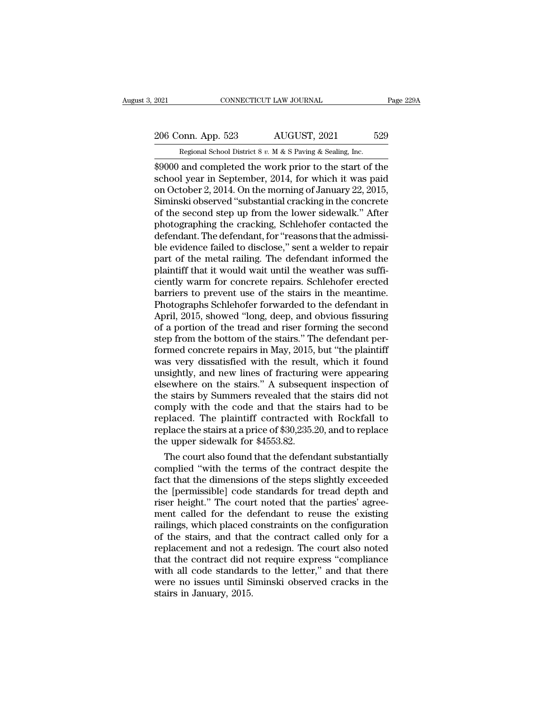# 2021 CONNECTICUT LAW JOURNAL Page 229A<br>
206 Conn. App. 523 AUGUST, 2021 529<br>
Regional School District 8 v. M & S Paving & Sealing, Inc.

Equal CONNECTICUT LAW JOURNAL<br>206 Conn. App. 523 AUGUST, 2021 529<br>Regional School District 8 *v.* M & S Paving & Sealing, Inc.<br>\$9000 and completed the work prior to the start of the EXERCTING 2021<br>
2006 Conn. App. 523 AUGUST, 2021 529<br>
2006 Conn. App. 523 AUGUST, 2021 529<br>
2000 and completed the work prior to the start of the<br>
39000 and completed the work prior to the start of the<br>
3000 year in Septem 206 Conn. App. 523 AUGUST, 2021 529<br>
Regional School District 8 v. M & S Paving & Sealing, Inc.<br>
\$9000 and completed the work prior to the start of the<br>
school year in September, 2014, for which it was paid<br>
on October 2, 206 Conn. App. 523 AUGUST, 2021 529<br>
Regional School District 8 v. M & S Paving & Sealing, Inc.<br>
\$9000 and completed the work prior to the start of the<br>
school year in September, 2014, for which it was paid<br>
on October 2, 206 Conn. App. 523 AUGUST, 2021 529<br>
Regional School District 8 v. M & S Paving & Sealing, Inc.<br>
\$9000 and completed the work prior to the start of the<br>
school year in September, 2014, for which it was paid<br>
on October 2, Regional School District 8 v. M & S Paving & Sealing, Inc.<br>
\$9000 and completed the work prior to the start of the<br>
school year in September, 2014, for which it was paid<br>
on October 2, 2014. On the morning of January 22, Regional School District 8 v. M & S Paving & Sealing, Inc.<br>
\$9000 and completed the work prior to the start of the<br>
school year in September, 2014, for which it was paid<br>
on October 2, 2014. On the morning of January 22, \$9000 and completed the work prior to the start of the school year in September, 2014, for which it was paid<br>on October 2, 2014. On the morning of January 22, 2015,<br>Siminski observed "substantial cracking in the concrete<br>o school year in September, 2014, for which it was paid<br>on October 2, 2014. On the morning of January 22, 2015,<br>Siminski observed "substantial cracking in the concrete<br>of the second step up from the lower sidewalk." After<br>ph on October 2, 2014. On the morning of January 22, 2015,<br>Siminski observed "substantial cracking in the concrete<br>of the second step up from the lower sidewalk." After<br>photographing the cracking, Schlehofer contacted the<br>def Siminski observed "substantial cracking in the concrete<br>of the second step up from the lower sidewalk." After<br>photographing the cracking, Schlehofer contacted the<br>defendant. The defendant, for "reasons that the admissi-<br>bl of the second step up from the lower sidewalk." After<br>photographing the cracking, Schlehofer contacted the<br>defendant. The defendant, for "reasons that the admissi-<br>ble evidence failed to disclose," sent a welder to repair<br> photographing the cracking, Schlehofer contacted the<br>defendant. The defendant, for "reasons that the admissi-<br>ble evidence failed to disclose," sent a welder to repair<br>part of the metal railing. The defendant informed the<br> defendant. The defendant, for "reasons that the admissible evidence failed to disclose," sent a welder to repair<br>part of the metal railing. The defendant informed the<br>plaintiff that it would wait until the weather was suff ble evidence failed to disclose," sent a welder to repair<br>part of the metal railing. The defendant informed the<br>plaintiff that it would wait until the weather was suffi-<br>ciently warm for concrete repairs. Schlehofer erecte part of the metal railing. The defendant informed the<br>plaintiff that it would wait until the weather was suffi-<br>ciently warm for concrete repairs. Schlehofer erected<br>barriers to prevent use of the stairs in the meantime.<br>P plaintiff that it would wait until the weather was sufficiently warm for concrete repairs. Schlehofer erected<br>barriers to prevent use of the stairs in the meantime.<br>Photographs Schlehofer forwarded to the defendant in<br>Apri ciently warm for concrete repairs. Schlehofer erected<br>barriers to prevent use of the stairs in the meantime.<br>Photographs Schlehofer forwarded to the defendant in<br>April, 2015, showed "long, deep, and obvious fissuring<br>of a barriers to prevent use of the stairs in the meantime.<br>Photographs Schlehofer forwarded to the defendant in<br>April, 2015, showed "long, deep, and obvious fissuring<br>of a portion of the tread and riser forming the second<br>step Photographs Schlehofer forwarded to the defendant in<br>April, 2015, showed "long, deep, and obvious fissuring<br>of a portion of the tread and riser forming the second<br>step from the bottom of the stairs." The defendant per-<br>for April, 2015, showed "long, deep, and obvious fissuring<br>of a portion of the tread and riser forming the second<br>step from the bottom of the stairs." The defendant per-<br>formed concrete repairs in May, 2015, but "the plaintiff of a portion of the tread and riser forming the second<br>step from the bottom of the stairs." The defendant per-<br>formed concrete repairs in May, 2015, but "the plaintiff<br>was very dissatisfied with the result, which it found<br> step from the bottom of the stairs." The defendant per-<br>formed concrete repairs in May, 2015, but "the plaintiff<br>was very dissatisfied with the result, which it found<br>unsightly, and new lines of fracturing were appearing<br>e formed concrete repairs in May, 2015, but "the plaintiff<br>was very dissatisfied with the result, which it found<br>unsightly, and new lines of fracturing were appearing<br>elsewhere on the stairs." A subsequent inspection of<br>the was very dissatisfied with the result, which it found<br>unsightly, and new lines of fracturing were appearing<br>elsewhere on the stairs." A subsequent inspection of<br>the stairs by Summers revealed that the stairs did not<br>comply unsightly, and new lines of fracturing<br>elsewhere on the stairs." A subseque<br>the stairs by Summers revealed that t<br>comply with the code and that the :<br>replaced. The plaintiff contracted v<br>replace the stairs at a price of \$ sewhere on the stairs." A subsequent inspection of<br>e stairs by Summers revealed that the stairs did not<br>mply with the code and that the stairs had to be<br>placed. The plaintiff contracted with Rockfall to<br>place the stairs at the stairs by Summers revealed that the stairs did not<br>comply with the code and that the stairs had to be<br>replaced. The plaintiff contracted with Rockfall to<br>replace the stairs at a price of \$30,235.20, and to replace<br>the

comply with the code and that the stairs had to be<br>replaced. The plaintiff contracted with Rockfall to<br>replace the stairs at a price of \$30,235.20, and to replace<br>the upper sidewalk for \$4553.82.<br>The court also found that replaced. The plaintiff contracted with Rockfall to<br>replace the stairs at a price of \$30,235.20, and to replace<br>the upper sidewalk for \$4553.82.<br>The court also found that the defendant substantially<br>complied "with the term replace the stairs at a price of \$30,235.20, and to replace<br>the upper sidewalk for \$4553.82.<br>The court also found that the defendant substantially<br>complied "with the terms of the contract despite the<br>fact that the dimensio the upper sidewalk for \$4553.82.<br>The court also found that the defendant substantially<br>complied "with the terms of the contract despite the<br>fact that the dimensions of the steps slightly exceeded<br>the [permissible] code sta The court also found that the defendant substantially<br>complied "with the terms of the contract despite the<br>fact that the dimensions of the steps slightly exceeded<br>the [permissible] code standards for tread depth and<br>riser complied "with the terms of the contract despite the<br>fact that the dimensions of the steps slightly exceeded<br>the [permissible] code standards for tread depth and<br>riser height." The court noted that the parties' agree-<br>ment fact that the dimensions of the steps slightly exceeded<br>the [permissible] code standards for tread depth and<br>riser height." The court noted that the parties' agree-<br>ment called for the defendant to reuse the existing<br>raili the [permissible] code standards for tread depth and<br>riser height." The court noted that the parties' agree-<br>ment called for the defendant to reuse the existing<br>railings, which placed constraints on the configuration<br>of th riser height." The court noted that the parties' agreement called for the defendant to reuse the existing<br>railings, which placed constraints on the configuration<br>of the stairs, and that the contract called only for a<br>repla ment called for the defendant to reuse the existing<br>railings, which placed constraints on the configuration<br>of the stairs, and that the contract called only for a<br>replacement and not a redesign. The court also noted<br>that t railings, which placed cof the stairs, and that<br>replacement and not a<br>that the contract did n<br>with all code standard<br>were no issues until S<br>stairs in January, 2015.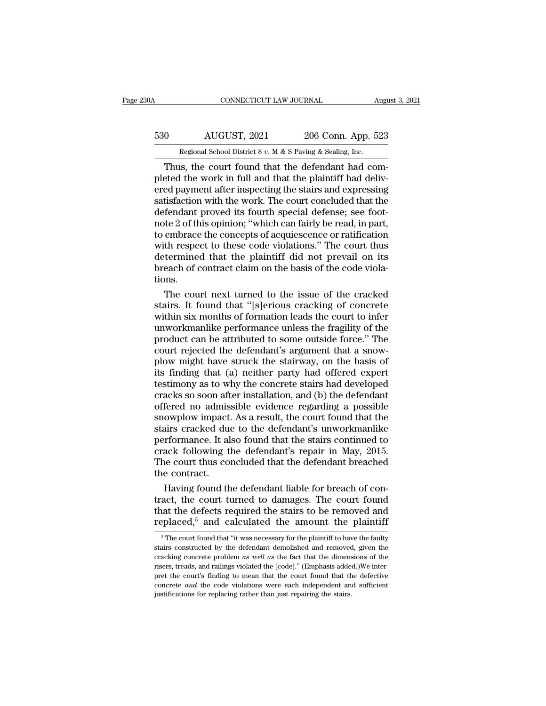## CONNECTICUT LAW JOURNAL August 3, 2021<br>530 AUGUST, 2021 206 Conn. App. 523<br>Regional School District 8 v. M & S Paving & Sealing, Inc. CONNECTICUT LAW JOURNAL August 3, 2021<br>
Regional School District 8 *v.* M & S Paving & Sealing, Inc.<br>
Thus, the court found that the defendant had com-

CONNECTICUT LAW JOURNAL<br>
O AUGUST, 2021 206 Conn. App. 523<br>
Regional School District 8 v. M & S Paving & Sealing, Inc.<br>
Thus, the court found that the defendant had com-<br>
Eted the work in full and that the plaintiff had de 530 MUGUST, 2021 206 Conn. App. 523<br>
Regional School District 8 v. M & S Paving & Sealing, Inc.<br>
Thus, the court found that the defendant had completed the work in full and that the plaintiff had deliv-<br>
ered payment afte 530 AUGUST, 2021 206 Conn. App. 523<br>
Regional School District 8 v. M & S Paving & Sealing, Inc.<br>
Thus, the court found that the defendant had completed the work in full and that the plaintiff had delivered payment after i 530 AUGUST, 2021 206 Conn. App. 523<br>
Regional School District 8 v. M & S Paving & Sealing, Inc.<br>
Thus, the court found that the defendant had completed the work in full and that the plaintiff had delivered payment after i Regional School District 8 v. M & S Paving & Sealing, Inc.<br>Thus, the court found that the defendant had completed the work in full and that the plaintiff had delivered payment after inspecting the stairs and expressing sa Regional School District 8 v. M & S Paving & Sealing, Inc.<br>
Thus, the court found that the defendant had completed the work in full and that the plaintiff had delivered payment after inspecting the stairs and expressing s Thus, the court found that the defendant had completed the work in full and that the plaintiff had delivered payment after inspecting the stairs and expressing satisfaction with the work. The court concluded that the defen pleted the work in full and that the plaintiff had delivered payment after inspecting the stairs and expressing<br>satisfaction with the work. The court concluded that the<br>defendant proved its fourth special defense; see foot ered payment after inspecting the stairs and expressing<br>satisfaction with the work. The court concluded that the<br>defendant proved its fourth special defense; see foot-<br>note 2 of this opinion; "which can fairly be read, in satisfaction with the work. The court concluded that the<br>defendant proved its fourth special defense; see foot-<br>note 2 of this opinion; "which can fairly be read, in part,<br>to embrace the concepts of acquiescence or ratific tions. the 2 of this opinion; "which can fairly be read, in part,<br>embrace the concepts of acquiescence or ratification<br>th respect to these code violations." The court thus<br>termined that the plaintiff did not prevail on its<br>each o to embrace the concepts of acquiescence or ratification<br>with respect to these code violations." The court thus<br>determined that the plaintiff did not prevail on its<br>breach of contract claim on the basis of the code viola-<br>t

with respect to these code violations." The court thus<br>determined that the plaintiff did not prevail on its<br>breach of contract claim on the basis of the code viola-<br>tions.<br>The court next turned to the issue of the cracked<br> determined that the plaintiff did not prevail on its<br>breach of contract claim on the basis of the code viola-<br>tions.<br>The court next turned to the issue of the cracked<br>stairs. It found that "[s]erious cracking of concrete<br>w breach of contract claim on the basis of the code violations.<br>The court next turned to the issue of the cracked<br>stairs. It found that "[s]erious cracking of concrete<br>within six months of formation leads the court to infer<br> tions.<br>The court next turned to the issue of the cracked<br>stairs. It found that "[s]erious cracking of concrete<br>within six months of formation leads the court to infer<br>unworkmanlike performance unless the fragility of the<br>p The court next turned to the issue of the cracked<br>stairs. It found that "[s]erious cracking of concrete<br>within six months of formation leads the court to infer<br>unworkmanlike performance unless the fragility of the<br>product stairs. It found that "[s]erious cracking of concrete<br>within six months of formation leads the court to infer<br>unworkmanlike performance unless the fragility of the<br>product can be attributed to some outside force." The<br>cour within six months of formation leads the court to infer<br>unworkmanlike performance unless the fragility of the<br>product can be attributed to some outside force." The<br>court rejected the defendant's argument that a snow-<br>plow unworkmanlike performance unless the fragility of the<br>product can be attributed to some outside force." The<br>court rejected the defendant's argument that a snow-<br>plow might have struck the stairway, on the basis of<br>its find product can be attributed to some outside force." The<br>court rejected the defendant's argument that a snow-<br>plow might have struck the stairway, on the basis of<br>its finding that (a) neither party had offered expert<br>testimon court rejected the defendant's argument that a snow-<br>plow might have struck the stairway, on the basis of<br>its finding that (a) neither party had offered expert<br>testimony as to why the concrete stairs had developed<br>cracks s plow might have struck the stairway, on the basis of<br>its finding that (a) neither party had offered expert<br>testimony as to why the concrete stairs had developed<br>cracks so soon after installation, and (b) the defendant<br>offe its finding that (a) neither party had offered expert<br>testimony as to why the concrete stairs had developed<br>cracks so soon after installation, and (b) the defendant<br>offered no admissible evidence regarding a possible<br>snowp testimony as to why the concrete stairs had developed<br>cracks so soon after installation, and (b) the defendant<br>offered no admissible evidence regarding a possible<br>snowplow impact. As a result, the court found that the<br>stai cracks so soon after installation, and (b) the defendant<br>offered no admissible evidence regarding a possible<br>snowplow impact. As a result, the court found that the<br>stairs cracked due to the defendant's unworkmanlike<br>perfor offered no admiss<br>snowplow impact.<br>stairs cracked due<br>performance. It al<br>crack following ti<br>The court thus co<br>the contract.<br>Having found th owplow impact. As a result, the court found that the<br>airs cracked due to the defendant's unworkmanlike<br>rformance. It also found that the stairs continued to<br>ack following the defendant's repair in May, 2015.<br>le court thus stairs cracked due to the defendant's unworkmanlike<br>performance. It also found that the stairs continued to<br>crack following the defendant's repair in May, 2015.<br>The court thus concluded that the defendant breached<br>the cont

performance. It also found that the stairs continued to<br>crack following the defendant's repair in May, 2015.<br>The court thus concluded that the defendant breached<br>the contract.<br>Having found the defendant liable for breach o crack following the defendant's repair in May, 2015.<br>The court thus concluded that the defendant breached<br>the contract.<br>Having found the defendant liable for breach of con-<br>tract, the court turned to damages. The court fo Having found the defendant liable for breach of con-<br>act, the court turned to damages. The court found<br>at the defects required the stairs to be removed and<br> $\text{placed,}^5$  and calculated the amount the plaintiff<br> $\text{p}^5$ The tract, the court turned to damages. The court found<br>that the defects required the stairs to be removed and<br>replaced,<sup>5</sup> and calculated the amount the plaintiff<br> $\frac{1}{100}$ <br> $\frac{1}{100}$ <br>stairs constructed by the defendant d

that the defects required the stairs to be removed and replaced,<sup>5</sup> and calculated the amount the plaintiff  $\frac{1}{\pi}$  <sup>5</sup>The court found that "it was necessary for the plaintiff to have the faulty stairs constructed by t replaced,<sup>5</sup> and calculated the amount the plaintiff<br> $\frac{1}{100}$   $\frac{1}{100}$   $\frac{1}{100}$   $\frac{1}{100}$  and calculated the amount the plaintiff<br>stairs constructed by the defendant demolished and removed, given the<br>cracking c repraced, and carcurated the amount the praintiff<br>
<sup>5</sup> The court found that "it was necessary for the plaintiff to have the faulty<br>
stairs constructed by the defendant demolished and removed, given the<br>
cracking concrete <sup>5</sup> The court found that "it was necessary for the plaintiff to have the faulty stairs constructed by the defendant demolished and removed, given the cracking concrete problem *as well as* the fact that the dimensions of stairs constructed by the defendant demolished and removed, given the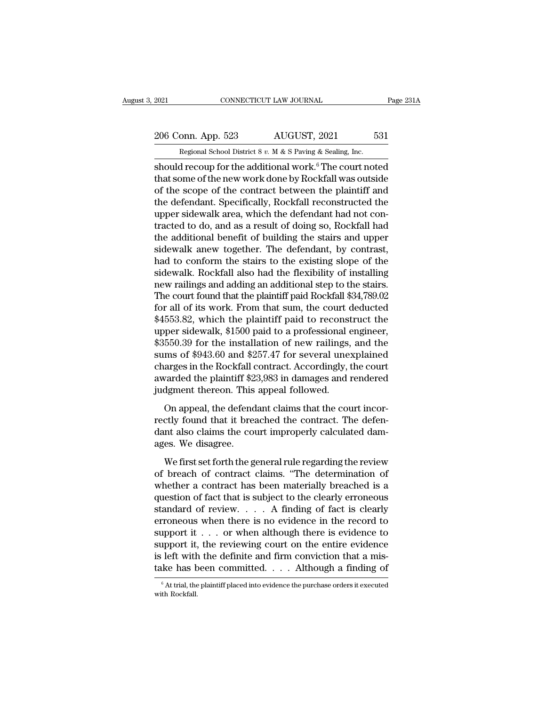# 2021 CONNECTICUT LAW JOURNAL Page 231A<br>
206 Conn. App. 523 AUGUST, 2021 531<br>
Regional School District 8 v. M & S Paving & Sealing, Inc.

Equal CONNECTICUT LAW JOURNAL<br>206 Conn. App. 523 AUGUST, 2021 531<br>Regional School District 8 *v.* M & S Paving & Sealing, Inc.<br>528 Regional School District 8 *v.* M & S Paving & Sealing, Inc. should recoup for the additional work.<sup>6</sup> The court noted<br>of the second School District 8 v. M & S Paving & Sealing, Inc.<br>should recoup for the additional work.<sup>6</sup> The court noted<br>that some of the new work done by Rockfall 206 Conn. App. 523 AUGUST, 2021 531<br>
Regional School District 8 v. M & S Paving & Sealing, Inc.<br>
should recoup for the additional work.<sup>6</sup> The court noted<br>
that some of the new work done by Rockfall was outside<br>
of the sc 206 Conn. App. 523 AUGUST, 2021 531<br>
Regional School District 8 v. M & S Paving & Sealing, Inc.<br>
should recoup for the additional work.<sup>6</sup> The court noted<br>
that some of the new work done by Rockfall was outside<br>
of the sc 206 Conn. App. 523 AUGUST, 2021 531<br>
Regional School District 8 v. M & S Paving & Sealing, Inc.<br>
should recoup for the additional work.<sup>6</sup> The court noted<br>
that some of the new work done by Rockfall was outside<br>
of the sc Regional School District 8  $v$ . M & S Paving & Sealing, Inc.<br>
should recoup for the additional work.<sup>6</sup> The court noted<br>
that some of the new work done by Rockfall was outside<br>
of the scope of the contract between the pla regional school District 8  $v$ .  $M \propto S$  Paving  $\propto$  Sealing, inc.<br>should recoup for the additional work.<sup>6</sup> The court noted<br>that some of the new work done by Rockfall was outside<br>of the scope of the contract between the should recoup for the additional work.<sup>6</sup> The court noted<br>that some of the new work done by Rockfall was outside<br>of the scope of the contract between the plaintiff and<br>the defendant. Specifically, Rockfall reconstructed th that some of the new work done by Rockfall was outside<br>of the scope of the contract between the plaintiff and<br>the defendant. Specifically, Rockfall reconstructed the<br>upper sidewalk area, which the defendant had not con-<br>tr of the scope of the contract between the plaintiff and<br>the defendant. Specifically, Rockfall reconstructed the<br>upper sidewalk area, which the defendant had not con-<br>tracted to do, and as a result of doing so, Rockfall had<br> the defendant. Specifically, Rockfall reconstructed the<br>upper sidewalk area, which the defendant had not con-<br>tracted to do, and as a result of doing so, Rockfall had<br>the additional benefit of building the stairs and upper upper sidewalk area, which the defendant had not contracted to do, and as a result of doing so, Rockfall had<br>the additional benefit of building the stairs and upper<br>sidewalk anew together. The defendant, by contrast,<br>had t tracted to do, and as a result of doing so, Rockfall had<br>the additional benefit of building the stairs and upper<br>sidewalk anew together. The defendant, by contrast,<br>had to conform the stairs to the existing slope of the<br>si the additional benefit of building the stairs and upper<br>sidewalk anew together. The defendant, by contrast,<br>had to conform the stairs to the existing slope of the<br>sidewalk. Rockfall also had the flexibility of installing<br>n sidewalk anew together. The defendant, by contrast,<br>had to conform the stairs to the existing slope of the<br>sidewalk. Rockfall also had the flexibility of installing<br>new railings and adding an additional step to the stairs. had to conform the stairs to the existing slope of the sidewalk. Rockfall also had the flexibility of installing new railings and adding an additional step to the stairs. The court found that the plaintiff paid Rockfall sidewalk. Rockfall also had the flexibility of installing<br>new railings and adding an additional step to the stairs.<br>The court found that the plaintiff paid Rockfall \$34,789.02<br>for all of its work. From that sum, the court new railings and adding an additional step to the stairs.<br>The court found that the plaintiff paid Rockfall \$34,789.02<br>for all of its work. From that sum, the court deducted<br>\$4553.82, which the plaintiff paid to reconstruct The court found that the plaintiff paid Rockfall \$34,789.02<br>for all of its work. From that sum, the court deducted<br>\$4553.82, which the plaintiff paid to reconstruct the<br>upper sidewalk, \$1500 paid to a professional engineer for all of its work. From that sum, the court deducted  $$4553.82$ , which the plaintiff paid to reconstruct the upper sidewalk,  $$1500$  paid to a professional engineer,  $$3550.39$  for the installation of new railings, and \$4553.82, which the plaintiff paid to reconst<br>upper sidewalk, \$1500 paid to a professional  $\epsilon$ <br>\$3550.39 for the installation of new railings,<br>sums of \$943.60 and \$257.47 for several une:<br>charges in the Rockfall contract. For six hand, these pair of a precessional eigence,<br>550.39 for the installation of new railings, and the<br>ms of \$943.60 and \$257.47 for several unexplained<br>arges in the Rockfall contract. Accordingly, the court<br>varded the p recession \$943.60 and \$257.47 for several unexplained<br>sums of \$943.60 and \$257.47 for several unexplained<br>charges in the Rockfall contract. Accordingly, the court<br>awarded the plaintiff \$23,983 in damages and rendered<br>judgm

dant also claims of the court and the court incorplants charges in the Rockfall contract. Accordingly, the court awarded the plaintiff \$23,983 in damages and rendered judgment thereon. This appeal followed.<br>On appeal, the awarded the plaintiff \$2<br>judgment thereon. This<br>On appeal, the defend<br>rectly found that it breach<br>dant also claims the conflages. We disagree.<br>We first set forth the g dgment thereon. This appeal followed.<br>On appeal, the defendant claims that the court incor-<br>ctly found that it breached the contract. The defen-<br>nt also claims the court improperly calculated dam-<br>es. We disagree.<br>We first On appeal, the defendant claims that the court incorrectly found that it breached the contract. The defendant also claims the court improperly calculated damages. We disagree.<br>We first set forth the general rule regarding

example in the defendant of the contract. The defendant also claims the court improperly calculated damages. We disagree.<br>We first set forth the general rule regarding the review of breach of contract claims. "The determi dant also claims the court improperly calculated dam-<br>ages. We disagree.<br>We first set forth the general rule regarding the review<br>of breach of contract claims. "The determination of<br>whether a contract has been materially standard and the court improperty subcluded and<br>ages. We disagree.<br>We first set forth the general rule regarding the review<br>of breach of contract claims. "The determination of<br>whether a contract has been materially breache We first set forth the general rule regarding the review<br>of breach of contract claims. "The determination of<br>whether a contract has been materially breached is a<br>question of fact that is subject to the clearly erroneous<br>s We first set forth the general rule regarding the review<br>of breach of contract claims. "The determination of<br>whether a contract has been materially breached is a<br>question of fact that is subject to the clearly erroneous<br>s of breach of contract claims. "The determination of<br>whether a contract has been materially breached is a<br>question of fact that is subject to the clearly erroneous<br>standard of review. . . . A finding of fact is clearly<br>err whether a contract has been materially breached is a question of fact that is subject to the clearly erroneous standard of review.  $\ldots$  A finding of fact is clearly erroneous when there is no evidence in the record to su question of fact that is subject to the clearly erroneous<br>standard of review. . . . A finding of fact is clearly<br>erroneous when there is no evidence in the record to<br>support it . . . or when although there is evidence to<br> upport it . . . or when although there is evidence to<br>upport it, the reviewing court on the entire evidence<br>left with the definite and firm conviction that a mis-<br>ke has been committed. . . . Although a finding of<br> $\frac{6}{6$ support it,<br>is left with<br>take has b<br> $\frac{1}{6}$  At trial, the<br>with Rockfall.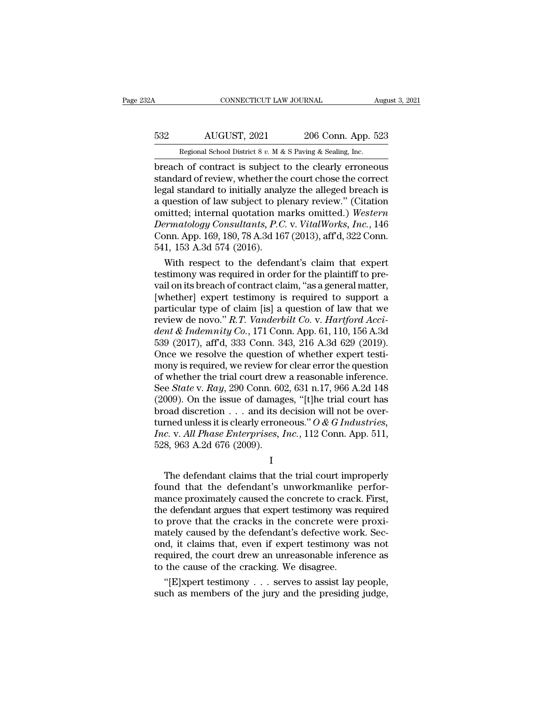## CONNECTICUT LAW JOURNAL August 3, 2021<br>532 AUGUST, 2021 206 Conn. App. 523<br>Regional School District 8 v. M & S Paving & Sealing, Inc. CONNECTICUT LAW JOURNAL August 3, 2021<br>
Regional School District 8 *v.* M & S Paving & Sealing, Inc.<br>
Denote of contract is subject to the clearly erroneous

**branch of contract is subject to the clearly erroneous**<br> **breach of contract is subject to the clearly erroneous**<br> **breach of contract is subject to the clearly erroneous**<br> **breach of review, whether the court chose the** 532 AUGUST, 2021 206 Conn. App. 523<br>
Regional School District 8 v. M & S Paving & Sealing, Inc.<br>
breach of contract is subject to the clearly erroneous<br>
standard of review, whether the court chose the correct<br>
legal stand MUGUST, 2021 206 Conn. App. 523<br>
Regional School District 8 v. M & S Paving & Sealing, Inc.<br>
breach of contract is subject to the clearly erroneous<br>
standard of review, whether the court chose the correct<br>
legal standard  $\frac{532}{200}$  AUGUST, 2021 206 Conn. App. 523<br>
Regional School District 8 v. M & S Paving & Sealing, Inc.<br>
breach of contract is subject to the clearly erroneous<br>
standard of review, whether the court chose the correct<br>
l Regional School District 8 v. M & S Paving & Sealing, Inc.<br>
breach of contract is subject to the clearly erroneous<br>
standard of review, whether the court chose the correct<br>
legal standard to initially analyze the alleged b Regional School District 8 v. *M* & S Paving & Sealing, Inc.<br> **Derach of contract is subject to the clearly erroneous**<br> **Standard of review, whether the court chose the correct**<br> **legal standard to initially analyze the al** breach of contract is subject to the clearly erroneous<br>standard of review, whether the court chose the correct<br>legal standard to initially analyze the alleged breach is<br>a question of law subject to plenary review." (Citati standard of review, whether the<br>legal standard to initially analy<br>a question of law subject to pl<br>omitted; internal quotation m<br>*Dermatology Consultants*, *P.C*<br>Conn. App. 169, 180, 78 A.3d 16<br>541, 153 A.3d 574 (2016).<br>Wit gal standard to initially analyze the alleged breach is<br>question of law subject to plenary review." (Citation<br>nitted; internal quotation marks omitted.) Western<br>rematology Consultants, P.C. v. VitalWorks, Inc., 146<br>pnn. Ap a question of law subject to pienary review." (Citation<br>omitted; internal quotation marks omitted.) Western<br>Dermatology Consultants, P.C. v. VitalWorks, Inc., 146<br>Conn. App. 169, 180, 78 A.3d 167 (2013), aff'd, 322 Conn.<br>5

omitted; internal quotation marks omitted.) Western<br>
Dermatology Consultants, P.C. v. VitalWorks, Inc., 146<br>
Conn. App. 169, 180, 78 A.3d 167 (2013), aff'd, 322 Conn.<br>
541, 153 A.3d 574 (2016).<br>
With respect to the defenda Dermatology Consultants, P.C. v. VitalWorks, Inc., 146<br>Conn. App. 169, 180, 78 A.3d 167 (2013), aff<sup>d</sup>, 322 Conn.<br>541, 153 A.3d 574 (2016).<br>With respect to the defendant's claim that expert<br>testimony was required in order Conn. App. 169, 180, 78 A.3d 167 (2013), afr d, 322 Conn.<br>541, 153 A.3d 574 (2016).<br>With respect to the defendant's claim that expert<br>testimony was required in order for the plaintiff to pre-<br>vail on its breach of contrac b41, 1b3 A.3d b74 (2016).<br>With respect to the defendant's claim that expert<br>testimony was required in order for the plaintiff to pre-<br>vail on its breach of contract claim, "as a general matter,<br>[whether] expert testimony i With respect to the defendant's claim that expert<br>testimony was required in order for the plaintiff to pre-<br>vail on its breach of contract claim, "as a general matter,<br>[whether] expert testimony is required to support a<br>pa testimony was required in order for the plaintiff to prevail on its breach of contract claim, "as a general matter, [whether] expert testimony is required to support a particular type of claim [is] a question of law that w vail on its breach of contract claim, "as a general matter,<br>[whether] expert testimony is required to support a<br>particular type of claim [is] a question of law that we<br>review de novo."  $R.T.$  Vanderbilt Co. v. Hartford Acc [whether] expert testimony is required to support a<br>particular type of claim [is] a question of law that we<br>review de novo." R.T. Vanderbilt Co. v. Hartford Acci-<br>dent & Indemnity Co., 171 Conn. App. 61, 110, 156 A.3d<br>539 particular type of claim [is] a question of law that we<br>review de novo." R.T. Vanderbilt Co. v. Hartford Acci-<br>dent & Indemnity Co., 171 Conn. App. 61, 110, 156 A.3d<br>539 (2017), aff<sup>1</sup>d, 333 Conn. 343, 216 A.3d 629 (2019). review de novo." *R.T. Vanderbilt Co.* v. *Hartford Accident & Indemnity Co.*, 171 Conn. App. 61, 110, 156 A.3d 539 (2017), aff'd, 333 Conn. 343, 216 A.3d 629 (2019).<br>Once we resolve the question of whether expert testimon dent & Indemnity Co., 171 Conn. App. 61, 110, 156 A.3d<br>539 (2017), aff'd, 333 Conn. 343, 216 A.3d 629 (2019).<br>Once we resolve the question of whether expert testi-<br>mony is required, we review for clear error the question<br> 539 (2017), aff'd, 333 Conn. 343, 216 A.3d 629 (2019).<br>Once we resolve the question of whether expert testi-<br>mony is required, we review for clear error the question<br>of whether the trial court drew a reasonable inference. Once we resolve the question of whether expert testi-<br>mony is required, we review for clear error the question<br>of whether the trial court drew a reasonable inference.<br>See *State* v. *Ray*, 290 Conn. 602, 631 n.17, 966 A.2 mony is required, we review for clear error the question<br>of whether the trial court drew a reasonable inference.<br>See *State* v. *Ray*, 290 Conn. 602, 631 n.17, 966 A.2d 148<br>(2009). On the issue of damages, "[t]he trial cou of whether the trial court drew<br>See *State* v. Ray, 290 Conn. 60<br>(2009). On the issue of damag<br>broad discretion . . . and its d<br>turned unless it is clearly erron<br>Inc. v. All Phase Enterprises, 1<br>528, 963 A.2d 676 (2009). oad discretion  $\ldots$  and its decision will not be over-<br>rned unless it is clearly erroneous." O & G Industries,<br>c. v. All Phase Enterprises, Inc., 112 Conn. App. 511,<br>8, 963 A.2d 676 (2009).<br>I<br>The defendant claims that th

I

found that the defendant of the defendant of the defendant claims that the trial court improperly<br>found that the defendant claims that the trial court improperly<br>found that the defendant's unworkmanlike perfor-<br>mance prox Finc. v. All Phase Enterprises, Inc., 112 Conn. App. 511,<br>  $\frac{1}{288}$ , 963 A.2d 676 (2009).<br>  $\frac{1}{1000}$ <br>
The defendant claims that the trial court improperly<br>
found that the defendant's unworkmanlike perfor-<br>
mance pro The defendant claims that the trial court improperly<br>
The defendant claims that the trial court improperly<br>
found that the defendant's unworkmanlike perfor-<br>
mance proximately caused the concrete to crack. First,<br>
the def I<br>I<br>The defendant claims that the trial court improperly<br>found that the defendant's unworkmanlike perfor-<br>mance proximately caused the concrete to crack. First,<br>the defendant argues that expert testimony was required<br>to pr I<br>The defendant claims that the trial court improperly<br>found that the defendant's unworkmanlike perfor-<br>mance proximately caused the concrete to crack. First,<br>the defendant argues that expert testimony was required<br>to prov The defendant claims that the trial court improperly<br>found that the defendant's unworkmanlike perfor-<br>mance proximately caused the concrete to crack. First,<br>the defendant argues that expert testimony was required<br>to prove found that the defendant's unworkmanlike perfor-<br>mance proximately caused the concrete to crack. First,<br>the defendant argues that expert testimony was required<br>to prove that the cracks in the concrete were proxi-<br>mately ca mance proximately caused the concrete to crack<br>the defendant argues that expert testimony was r<br>to prove that the cracks in the concrete were<br>mately caused by the defendant's defective wor<br>ond, it claims that, even if expe e detendant argues that expert testimony was required<br>prove that the cracks in the concrete were proxi-<br>ately caused by the defendant's defective work. Sec-<br>d, it claims that, even if expert testimony was not<br>quired, the c to prove that the cracks in the concrete were proximately caused by the defendant's defective work. Second, it claims that, even if expert testimony was not required, the court drew an unreasonable inference as to the caus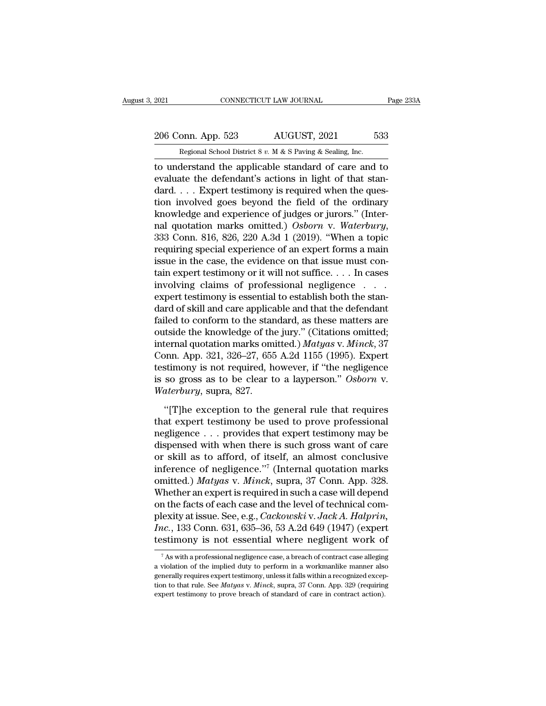# 2021 CONNECTICUT LAW JOURNAL Page 233A<br>
206 Conn. App. 523 AUGUST, 2021 533<br>
Regional School District 8 v. M & S Paving & Sealing, Inc.

EXECUTE 2021 CONNECTICUT LAW JOURNAL<br>206 Conn. App. 523 AUGUST, 2021 533<br>Regional School District 8 *v.* M & S Paving & Sealing, Inc.<br>to understand the applicable standard of care and to The 2021 CONNECTICUT LAW JOURNAL Page 233A<br>
206 Conn. App. 523 AUGUST, 2021 533<br>
Regional School District 8 v. M & S Paving & Sealing, Inc.<br>
to understand the applicable standard of care and to<br>
evaluate the defendant's ac 206 Conn. App. 523 AUGUST, 2021 533<br>
Regional School District 8 v. M & S Paving & Sealing, Inc.<br>
to understand the applicable standard of care and to<br>
evaluate the defendant's actions in light of that stan-<br>
dard.... Expe 206 Conn. App. 523 AUGUST, 2021 533<br>
Regional School District 8 v. M & S Paving & Sealing, Inc.<br>
to understand the applicable standard of care and to<br>
evaluate the defendant's actions in light of that stan-<br>
dard.... Expe 206 Conn. App. 523 AUGUST, 2021 533<br>
Regional School District 8 v. M & S Paving & Sealing, Inc.<br>
to understand the applicable standard of care and to<br>
evaluate the defendant's actions in light of that stan-<br>
dard.... Expe Regional School District 8 v. M & S Paving & Sealing, Inc.<br>
to understand the applicable standard of care and to<br>
evaluate the defendant's actions in light of that stan-<br>
dard.... Expert testimony is required when the que nal sensor bisinet *s v. M & S Paving & Seamig, mc.*<br>
to understand the applicable standard of care and to<br>
evaluate the defendant's actions in light of that stan-<br>
dard.... Expert testimony is required when the ques-<br>
tio evaluate the defendant's actions in light of that stan-<br>dard.... Expert testimony is required when the ques-<br>tion involved goes beyond the field of the ordinary<br>knowledge and experience of judges or jurors." (Inter-<br>nal q dard. . . . Expert testimony is required when the question involved goes beyond the field of the ordinary knowledge and experience of judges or jurors." (Internal quotation marks omitted.) Osborn v. Waterbury, 333 Conn. 8 tion involved goes beyond the field of the ordinary<br>knowledge and experience of judges or jurors." (Inter-<br>nal quotation marks omitted.) Osborn v. Waterbury,<br>333 Conn. 816, 826, 220 A.3d 1 (2019). "When a topic<br>requiring knowledge and experience of judges or jurors." (Inter-<br>nal quotation marks omitted.) Osborn v. Waterbury,<br>333 Conn. 816, 826, 220 A.3d 1 (2019). "When a topic<br>requiring special experience of an expert forms a main<br>issue i nal quotation marks omitted.) Osborn v. Waterbury,<br>333 Conn. 816, 826, 220 A.3d 1 (2019). "When a topic<br>requiring special experience of an expert forms a main<br>issue in the case, the evidence on that issue must con-<br>tain e 333 Conn. 816, 826, 220 A.3d 1 (2019). "When a topic<br>requiring special experience of an expert forms a main<br>issue in the case, the evidence on that issue must con-<br>tain expert testimony or it will not suffice.... In cases requiring special experience of an expert forms a main<br>issue in the case, the evidence on that issue must con-<br>tain expert testimony or it will not suffice. . . . In cases<br>involving claims of professional negligence . . . issue in the case, the evidence on that issue must contain expert testimony or it will not suffice. . . . In cases<br>involving claims of professional negligence . . . .<br>expert testimony is essential to establish both the st tain expert testimony or it will not suffice. . . . In cases<br>involving claims of professional negligence . . . .<br>expert testimony is essential to establish both the stan-<br>dard of skill and care applicable and that the defe involving claims of professional negligence . . . .<br>expert testimony is essential to establish both the stan-<br>dard of skill and care applicable and that the defendant<br>failed to conform to the standard, as these matters ar expert testimony is essential to establish both the stan-<br>dard of skill and care applicable and that the defendant<br>failed to conform to the standard, as these matters are<br>outside the knowledge of the jury." (Citations omit dard of skill and care applicable and that the defendant<br>failed to conform to the standard, as these matters are<br>outside the knowledge of the jury." (Citations omitted;<br>internal quotation marks omitted.) *Matyas* v. *Minck* failed to conform to the standard, as these matters are outside the knowledge of the jury." (Citations omitted; internal quotation marks omitted.) *Matyas v. Minck*, 37 Conn. App. 321, 326–27, 655 A.2d 1155 (1995). Expert ternal quotation marks omitted.) *Matyas v. Minck*, 37<br>
pnn. App. 321, 326–27, 655 A.2d 1155 (1995). Expert<br>
stimony is not required, however, if "the negligence<br>
so gross as to be clear to a layperson." *Osborn v.*<br> *ater* Conn. App. 321, 326–27, 655 A.2d 1155 (1995). Expert<br>testimony is not required, however, if "the negligence<br>is so gross as to be clear to a layperson." Osborn v.<br>Waterbury, supra, 827.<br>"[T]he exception to the general rule

testimony is not required, however, if "the negligence<br>is so gross as to be clear to a layperson." Osborn v.<br>Waterbury, supra, 827.<br>"[T]he exception to the general rule that requires<br>that expert testimony be used to prove is so gross as to be clear to a layperson." Osborn v.<br>Waterbury, supra, 827.<br>"[T]he exception to the general rule that requires<br>that expert testimony be used to prove professional<br>negligence . . . provides that expert tes *Waterbury*, supra, 827.<br>
"[T]he exception to the general rule that requires<br>
that expert testimony be used to prove professional<br>
negligence . . . provides that expert testimony may be<br>
dispensed with when there is such "[T]he exception to the general rule that requires<br>that expert testimony be used to prove professional<br>negligence... provides that expert testimony may be<br>dispensed with when there is such gross want of care<br>or skill as t "[T]he exception to the general rule that requires<br>that expert testimony be used to prove professional<br>negligence . . . provides that expert testimony may be<br>dispensed with when there is such gross want of care<br>or skill a that expert testimony be used to prove professional<br>negligence . . . provides that expert testimony may be<br>dispensed with when there is such gross want of care<br>or skill as to afford, of itself, an almost conclusive<br>infere negligence . . . provides that expert testimony may be dispensed with when there is such gross want of care or skill as to afford, of itself, an almost conclusive inference of negligence."<sup>7</sup> (Internal quotation marks omi dispensed with when there is such gross want of care<br>or skill as to afford, of itself, an almost conclusive<br>inference of negligence."<sup>7</sup> (Internal quotation marks<br>omitted.) *Matyas* v. *Minck*, supra, 37 Conn. App. 328.<br>Wh or skill as to afford, of itself, an almost conclusive<br>inference of negligence."<sup>7</sup> (Internal quotation marks<br>omitted.) *Matyas* v. *Minck*, supra, 37 Conn. App. 328.<br>Whether an expert is required in such a case will depen inference of negligence."" (Internal quotation marks<br>omitted.) *Matyas* v. *Minck*, supra, 37 Conn. App. 328.<br>Whether an expert is required in such a case will depend<br>on the facts of each case and the level of technical c In the facts of each case and the level of technical com-<br>lexity at issue. See, e.g., *Cackowski* v. *Jack A. Halprin,*<br> $ac$ , 133 Conn. 631, 635–36, 53 A.2d 649 (1947) (expert<br>stimony is not essential where negligent work plexity at issue. See, e.g., *Cackowski* v. *Jack A. Halprin*,<br> *Inc.*, 133 Conn. 631, 635–36, 53 A.2d 649 (1947) (expert<br>
testimony is not essential where negligent work of<br>
<sup>7</sup> As with a professional negligence case, a

*Inc.*, 133 Conn. 631, 635–36, 53 A.2d 649 (1947) (expert testimony is not essential where negligent work of  $\frac{1}{4}$  as with a professional negligence case, a breach of contract case alleging a violation of the implied testimony is not essential where negligent work of<br>The visible of the implied duty to perform in a workmanlike manner also<br>generally requires expert testimony, unless it falls within a recognized excep-<br>tion to that rule.  $^7$  As with a professional negligence case, a breach of contract case alleging a violation of the implied duty to perform in a workmanlike manner also generally requires expert testimony, unless it falls within a recogni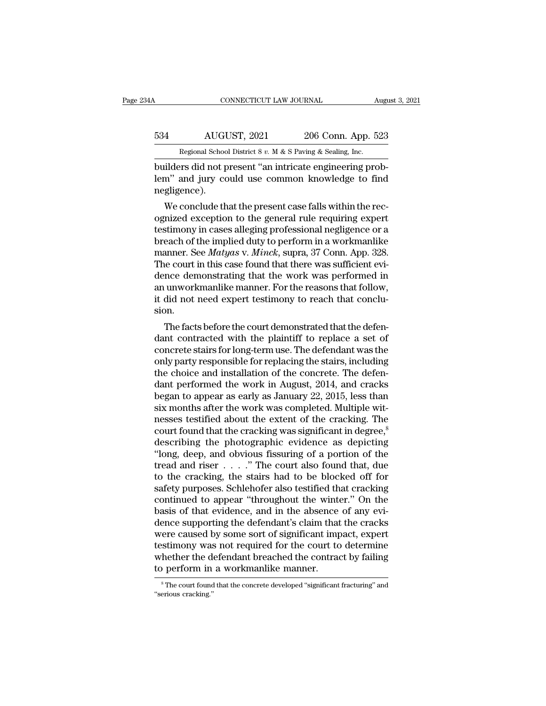## CONNECTICUT LAW JOURNAL August 3, 2021<br>534 AUGUST, 2021 206 Conn. App. 523<br>Regional School District 8 v. M & S Paving & Sealing, Inc. CONNECTICUT LAW JOURNAL August 3, 2021<br>534 AUGUST, 2021 206 Conn. App. 523<br>Regional School District 8 *v.* M & S Paving & Sealing, Inc.<br>builders did not present "an intricate engineering prob-

CONNECTICUT LAW JOURNAL August AUGUST, 2021 206 Conn. App. 523<br>
Regional School District 8 v. M & S Paving & Sealing, Inc.<br>
builders did not present "an intricate engineering prob-<br>
lem" and jury could use common knowledge AUGUST, 2021 206 Conn. App. 523<br>
Regional School District 8 v. M & S Paving & Sealing, Inc.<br>
builders did not present "an intricate engineering prob-<br>
lem" and jury could use common knowledge to find<br>
negligence). negligence).  $\frac{4}{\text{Regular area}}$  AUGUST, 2021 206 Conn. App. 523<br>
Regional School District 8 v. M & S Paving & Sealing, Inc.<br>
illders did not present "an intricate engineering prob-<br>
m" and jury could use common knowledge to find<br>
gligence)

Regional School District 8  $v$ . M & S Paving & Sealing, Inc.<br>
builders did not present "an intricate engineering prob-<br>
lem" and jury could use common knowledge to find<br>
negligence).<br>
We conclude that the present case fal builders did not present "an intricate engineering problem" and jury could use common knowledge to find<br>negligence).<br>We conclude that the present case falls within the rec-<br>ognized exception to the general rule requiring e bunders did not present an intricate engineering problem" and jury could use common knowledge to find<br>negligence).<br>We conclude that the present case falls within the rec-<br>ognized exception to the general rule requiring ex ment and jury could use common knowledge to find<br>negligence).<br>We conclude that the present case falls within the rec-<br>ognized exception to the general rule requiring expert<br>testimony in cases alleging professional negligen We conclude that the present case falls within the recognized exception to the general rule requiring expert<br>testimony in cases alleging professional negligence or a<br>breach of the implied duty to perform in a workmanlike<br>m We conclude that the present case falls within the rec-<br>ognized exception to the general rule requiring expert<br>testimony in cases alleging professional negligence or a<br>breach of the implied duty to perform in a workmanlik ognized exception to the general rule requiring expert<br>testimony in cases alleging professional negligence or a<br>breach of the implied duty to perform in a workmanlike<br>manner. See *Matyas* v. *Minck*, supra, 37 Conn. App. 3 testimony in cases alleging professional negligence or a<br>breach of the implied duty to perform in a workmanlike<br>manner. See *Matyas* v. *Minck*, supra, 37 Conn. App. 328.<br>The court in this case found that there was suffici sion. Facts before the court demonstrated that the defendence demonstrating that the work was performed in unworkmanlike manner. For the reasons that follow, did not need expert testimony to reach that conclu-<br>on.<br>The facts befo The court in this case found that there was sufficient evidence demonstrating that the work was performed in<br>an unworkmanlike manner. For the reasons that follow,<br>it did not need expert testimony to reach that conclu-<br>sion

dence demonstrating that the work was performed in<br>an unworkmanlike manner. For the reasons that follow,<br>it did not need expert testimony to reach that conclu-<br>sion.<br>The facts before the court demonstrated that the defen-<br> an unworkmanike manner. For the reasons that ronow,<br>it did not need expert testimony to reach that conclu-<br>sion.<br>The facts before the court demonstrated that the defen-<br>dant contracted with the plaintiff to replace a set o the choice and installation of the concrete<br>sion.<br>The facts before the court demonstrated that the defen-<br>dant contracted with the plaintiff to replace a set of<br>concrete stairs for long-term use. The defendant was the<br>only Sion.<br>The facts before the court demonstrated that the defendant contracted with the plaintiff to replace a set of<br>concrete stairs for long-term use. The defendant was the<br>only party responsible for replacing the stairs, i The facts before the court demonstrated that the defen-<br>dant contracted with the plaintiff to replace a set of<br>concrete stairs for long-term use. The defendant was the<br>only party responsible for replacing the stairs, inclu dant contracted with the plaintiff to replace a set of concrete stairs for long-term use. The defendant was the only party responsible for replacing the stairs, including the choice and installation of the concrete. The de concrete stairs for long-term use. The defendant was the<br>only party responsible for replacing the stairs, including<br>the choice and installation of the concrete. The defen-<br>dant performed the work in August, 2014, and crack only party responsible for replacing the stairs, including<br>the choice and installation of the concrete. The defen-<br>dant performed the work in August, 2014, and cracks<br>began to appear as early as January 22, 2015, less than the choice and installation of the concrete. The defen-<br>dant performed the work in August, 2014, and cracks<br>began to appear as early as January 22, 2015, less than<br>six months after the work was completed. Multiple wit-<br>nes dant performed the work in August, 2014, and cracks<br>began to appear as early as January 22, 2015, less than<br>six months after the work was completed. Multiple wit-<br>nesses testified about the extent of the cracking. The<br>cour began to appear as early as January 22, 2015, less than<br>six months after the work was completed. Multiple wit-<br>nesses testified about the extent of the cracking. The<br>court found that the cracking was significant in degree, six months after the work was completed. Multiple witnesses testified about the extent of the cracking. The court found that the cracking was significant in degree,<sup>8</sup> describing the photographic evidence as depicting "lo nesses testified about the extent of the cracking. The<br>court found that the cracking was significant in degree,<sup>8</sup><br>describing the photographic evidence as depicting<br>"long, deep, and obvious fissuring of a portion of the<br>tr court found that the cracking was significant in degree,<sup>8</sup><br>describing the photographic evidence as depicting<br>"long, deep, and obvious fissuring of a portion of the<br>tread and riser  $\dots$ ." The court also found that, due<br>to describing the photographic evidence as depicting "long, deep, and obvious fissuring of a portion of the tread and riser  $\ldots$ ." The court also found that, due to the cracking, the stairs had to be blocked off for safety "long, deep, and obvious fissuring of a portion of the<br>tread and riser  $\ldots$ ." The court also found that, due<br>to the cracking, the stairs had to be blocked off for<br>safety purposes. Schlehofer also testified that cracking<br> tread and riser  $\dots$  ." The court also found that, due<br>to the cracking, the stairs had to be blocked off for<br>safety purposes. Schlehofer also testified that cracking<br>continued to appear "throughout the winter." On the<br>bas to the cracking, the stairs had to be blocked off for<br>safety purposes. Schlehofer also testified that cracking<br>continued to appear "throughout the winter." On the<br>basis of that evidence, and in the absence of any evi-<br>denc safety purposes. Schlehofer also testified that cracking<br>continued to appear "throughout the winter." On the<br>basis of that evidence, and in the absence of any evi-<br>dence supporting the defendant's claim that the cracks<br>wer continued to appear "throughout the wint<br>basis of that evidence, and in the absence<br>dence supporting the defendant's claim that<br>were caused by some sort of significant imp<br>testimony was not required for the court to<br>whethe ere caused by some sort of significant impact, expert<br>stimony was not required for the court to determine<br>hether the defendant breached the contract by failing<br>perform in a workmanlike manner.<br><sup>8</sup>The court found that the c testimony was not required for the court to determine<br>
whether the defendant breached the contract by failing<br>
to perform in a workmanlike manner.<br>
The court found that the concrete developed "significant fracturing" and<br>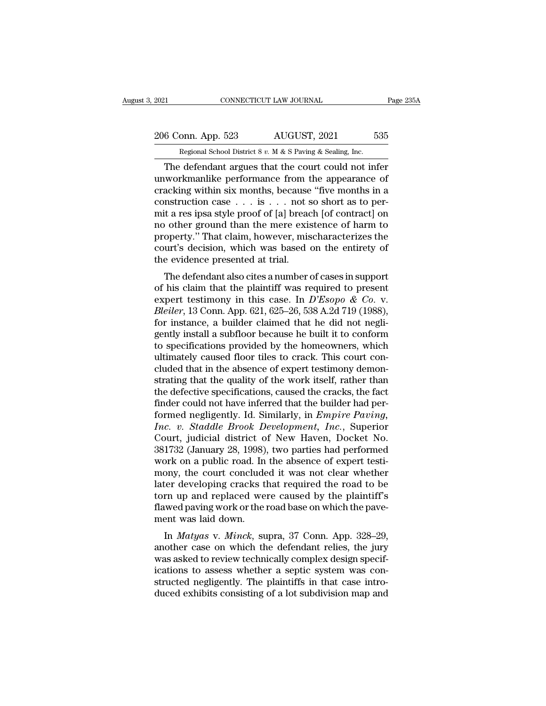## 2021 CONNECTICUT LAW JOURNAL Page 235A<br>
206 Conn. App. 523 AUGUST, 2021 535<br>
Regional School District 8 v. M & S Paving & Sealing, Inc. Equal CONNECTICUT LAW JOURNAL<br>206 Conn. App. 523 AUGUST, 2021 535<br>Regional School District 8 *v.* M & S Paving & Sealing, Inc.<br>The defendant argues that the court could not infer

CONNECTICUT LAW JOURNAL Page 235A<br>
6 Conn. App. 523 AUGUST, 2021 535<br>
Regional School District 8 v. M & S Paving & Sealing, Inc.<br>
The defendant argues that the court could not infer<br>
workmanlike performance from the appea 206 Conn. App. 523 AUGUST, 2021 535<br>
Regional School District 8 v. M & S Paving & Sealing, Inc.<br>
The defendant argues that the court could not infer<br>
unworkmanlike performance from the appearance of<br>
cracking within six m 206 Conn. App. 523 AUGUST, 2021 535<br>
Regional School District 8 v. M & S Paving & Sealing, Inc.<br>
The defendant argues that the court could not infer<br>
unworkmanlike performance from the appearance of<br>
cracking within six m 206 Conn. App. 523 AUGUST, 2021 535<br>
Regional School District 8 v. M & S Paving & Sealing, Inc.<br>
The defendant argues that the court could not infer<br>
unworkmanlike performance from the appearance of<br>
cracking within six m Regional School District 8 v. M & S Paving & Sealing, Inc.<br>
The defendant argues that the court could not infer<br>
unworkmanlike performance from the appearance of<br>
cracking within six months, because "five months in a<br>
con Regional School District 8 v. M & S Paving & Sealing, Inc.<br>
The defendant argues that the court could not infer<br>
unworkmanlike performance from the appearance of<br>
cracking within six months, because "five months in a<br>
con The defendant argues that the court could not infer<br>unworkmanlike performance from the appearance of<br>cracking within six months, because "five months in a<br>construction case  $\dots$  is  $\dots$  not so short as to per-<br>mit a res i unworkmanlike performance from the appearance of<br>cracking within six months, because "five months in a<br>construction case  $\dots$  is  $\dots$  not so short as to per-<br>mit a res ipsa style proof of [a] breach [of contract] on<br>no ot cracking within six months, because<br>construction case  $\dots$  is  $\dots$  not s<br>mit a res ipsa style proof of [a] bread<br>no other ground than the mere exis<br>property.'' That claim, however, mis<br>court's decision, which was based<br>th The defendant also cites a number of cases in support<br>the defendant also contract are significantly." That claim, however, mischaracterizes the<br>urt's decision, which was based on the entirety of<br>e evidence presented at tr of the plaintiff was required to present<br>property." That claim, however, mischaracterizes the<br>court's decision, which was based on the entirety of<br>the evidence presented at trial.<br>The defendant also cites a number of case

no other ground than the mere existence of harm to<br>property." That claim, however, mischaracterizes the<br>court's decision, which was based on the entirety of<br>the evidence presented at trial.<br>The defendant also cites a numbe property. That claim, nowever, iniscritated the court's decision, which was based on the entirety of the evidence presented at trial.<br>The defendant also cites a number of cases in support of his claim that the plaintiff wa for the evidence presented at trial.<br>The defendant also cites a number of cases in support<br>of his claim that the plaintiff was required to present<br>expert testimony in this case. In  $D'Esopo \& Co. v.$ <br>Bleiler, 13 Conn. App. 621, The defendant also cites a number of cases in support<br>of his claim that the plaintiff was required to present<br>expert testimony in this case. In  $D'Esopo \& Co. v.$ <br> $Bleiler, 13 Conn. App. 621, 625-26, 538 A.2d 719 (1988),$ <br>for instance, a bui The defendant also cites a number of cases in support<br>of his claim that the plaintiff was required to present<br>expert testimony in this case. In  $D'Esopo \& Co. v.$ <br> $Bleiler, 13$  Conn. App. 621, 625–26, 538 A.2d 719 (1988),<br>for insta of his claim that the plaintiff was required to present expert testimony in this case. In  $D'Esopo \& Co. v.$  *Bleiler*, 13 Conn. App. 621, 625–26, 538 A.2d 719 (1988), for instance, a builder claimed that he did not negligently expert testimony in this case. In  $D'Esopo \& Co.$  v.<br>Bleiler, 13 Conn. App. 621, 625–26, 538 A.2d 719 (1988),<br>for instance, a builder claimed that he did not negli-<br>gently install a subfloor because he built it to conform<br>to s Bleiler, 13 Conn. App. 621, 625–26, 538 A.2d 719 (1988),<br>for instance, a builder claimed that he did not negli-<br>gently install a subfloor because he built it to conform<br>to specifications provided by the homeowners, which<br>u for instance, a builder claimed that he did not negligently install a subfloor because he built it to conform<br>to specifications provided by the homeowners, which<br>ultimately caused floor tiles to crack. This court con-<br>clud gently install a subfloor because he built it to conform<br>to specifications provided by the homeowners, which<br>ultimately caused floor tiles to crack. This court con-<br>cluded that in the absence of expert testimony demon-<br>str to specifications provided by the homeowners, which<br>ultimately caused floor tiles to crack. This court con-<br>cluded that in the absence of expert testimony demon-<br>strating that the quality of the work itself, rather than<br>th Inc. ultimately caused floor tiles to crack. This court concluded that in the absence of expert testimony demonstrating that the quality of the work itself, rather than the defective specifications, caused the cracks, the cluded that in the absence of expert testimony demonstrating that the quality of the work itself, rather than<br>the defective specifications, caused the cracks, the fact<br>finder could not have inferred that the builder had pe strating that the quality of the work itself, rather than<br>the defective specifications, caused the cracks, the fact<br>finder could not have inferred that the builder had per-<br>formed negligently. Id. Similarly, in *Empire Pav* the defective specifications, caused the cracks, the fact<br>finder could not have inferred that the builder had per-<br>formed negligently. Id. Similarly, in *Empire Paving,*<br>Inc. v. Staddle Brook Development, Inc., Superior<br>Co finder could not have inferred that the builder had performed negligently. Id. Similarly, in *Empire Paving,*<br>*Inc. v. Staddle Brook Development, Inc.*, Superior<br>Court, judicial district of New Haven, Docket No.<br>381732 (Ja formed negligently. Id. Similarly, in *Empire Paving,*<br> *Inc. v. Staddle Brook Development, Inc.*, Superior<br>
Court, judicial district of New Haven, Docket No.<br>
381732 (January 28, 1998), two parties had performed<br>
work on Inc. v. Staddle Brook Development, Inc., Superior<br>Court, judicial district of New Haven, Docket No.<br>381732 (January 28, 1998), two parties had performed<br>work on a public road. In the absence of expert testi-<br>mony, the cour Court, judicial district of New Haven, Docket No.<br>381732 (January 28, 1998), two parties had performed<br>work on a public road. In the absence of expert testi-<br>mony, the court concluded it was not clear whether<br>later develop 381732 (January 28, 1998)<br>work on a public road. In<br>mony, the court conclude<br>later developing cracks ti<br>torn up and replaced we<br>flawed paving work or the ment was laid down.<br>In *Matyas* v. *Minck*, su In *K* on *a* public road. In the absence of expert tesu-<br>bony, the court concluded it was not clear whether<br>ter developing cracks that required the road to be<br>rn up and replaced were caused by the plaintiff's<br>wed paving w mony, the court concluded it was not clear whether<br>later developing cracks that required the road to be<br>torn up and replaced were caused by the plaintiff's<br>flawed paving work or the road base on which the pave-<br>ment was la

rater developing cracks that required the road to be<br>torn up and replaced were caused by the plaintiff's<br>flawed paving work or the road base on which the pave-<br>ment was laid down.<br>In *Matyas* v. *Minck*, supra, 37 Conn. Ap flawed paving work or the road base on which the pave-<br>ment was laid down.<br>In *Matyas* v. *Minck*, supra, 37 Conn. App. 328–29,<br>another case on which the defendant relies, the jury<br>was asked to review technically complex d structure paying work of the road base on which the payement was laid down.<br>In *Matyas* v. *Minck*, supra, 37 Conn. App. 328–29, another case on which the defendant relies, the jury was asked to review technically complex In *Matyas* v. *Minck*, supra, 37 Conn. App. 328–29, another case on which the defendant relies, the jury was asked to review technically complex design specifications to assess whether a septic system was constructed negl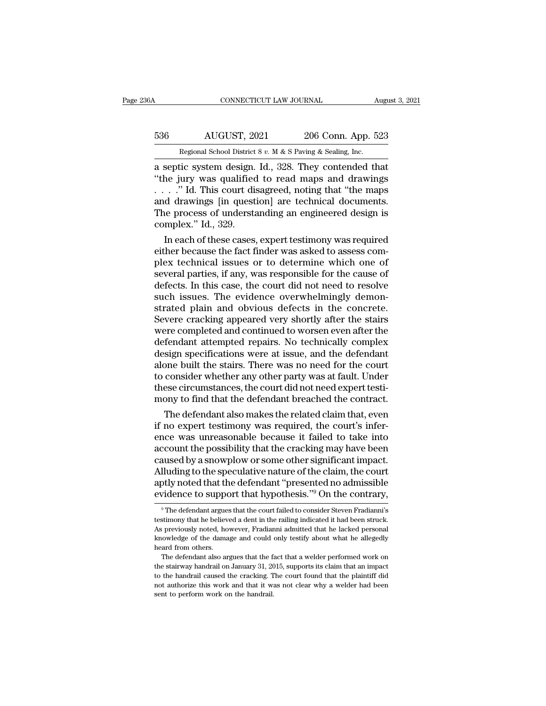## CONNECTICUT LAW JOURNAL August 3, 2021<br>536 AUGUST, 2021 206 Conn. App. 523<br>Regional School District 8 v. M & S Paving & Sealing, Inc. CONNECTICUT LAW JOURNAL August 3, 2021<br>536 AUGUST, 2021 206 Conn. App. 523<br>Regional School District 8 *v.* M & S Paving & Sealing, Inc.<br>a septic system design. Id., 328. They contended that

CONNECTICUT LAW JOURNAL August 3, 202<br>
536 AUGUST, 2021 206 Conn. App. 523<br>
Regional School District 8 v. M & S Paving & Sealing, Inc.<br>
a septic system design. Id., 328. They contended that<br>
"the jury was qualified to read 536 AUGUST, 2021 206 Conn. App. 523<br>
Regional School District 8 v. M & S Paving & Sealing, Inc.<br>
a septic system design. Id., 328. They contended that<br>
"the jury was qualified to read maps and drawings<br>
. . . ." Id. This 536 AUGUST, 2021 206 Conn. App. 523<br>
Regional School District 8 v. M & S Paving & Sealing, Inc.<br>
a septic system design. Id., 328. They contended that<br>
"the jury was qualified to read maps and drawings<br>
...." Id. This cou 536 AUGUST, 2021 206 Conn. App. 523<br>
Regional School District 8 v. M & S Paving & Sealing, Inc.<br>
a septic system design. Id., 328. They contended that<br>
"the jury was qualified to read maps and drawings<br>
...." Id. This cou Regional School District 8 v. M & S Paving & Sealing, Inc.<br>
a septic system design. Id., 328. They contended that<br>
"the jury was qualified to read maps and drawings<br>
...." Id. This court disagreed, noting that "the maps<br> Regional School District<br>
a septic system design.<br>
"the jury was qualified<br>
...." Id. This court distand drawings [in quest]<br>
The process of understa<br>
complex." Id., 329.<br>
In each of these cases, Septic system design. Id., 328. They contended that<br>he jury was qualified to read maps and drawings<br>. ." Id. This court disagreed, noting that "the maps<br>d drawings [in question] are technical documents.<br>ne process of under "the jury was qualitied to read maps and drawings".<br>  $\ldots$ " Id. This court disagreed, noting that "the maps<br>
and drawings [in question] are technical documents.<br>
The process of understanding an engineered design is<br>
compl

 $\ldots$  ... ... That is thus court disagreed, noting that "the maps<br>and drawings [in question] are technical documents.<br>The process of understanding an engineered design is<br>complex." Id., 329.<br>In each of these cases, expert and drawings [in question] are technical documents.<br>The process of understanding an engineered design is<br>complex." Id., 329.<br>In each of these cases, expert testimony was required<br>either because the fact finder was asked to The process of understanding an engineered design is<br>complex." Id., 329.<br>In each of these cases, expert testimony was required<br>either because the fact finder was asked to assess com-<br>plex technical issues or to determine w complex." Id., 329.<br>In each of these cases, expert testimony was required<br>either because the fact finder was asked to assess com-<br>plex technical issues or to determine which one of<br>several parties, if any, was responsible In each of these cases, expert testimony was required<br>either because the fact finder was asked to assess com-<br>plex technical issues or to determine which one of<br>several parties, if any, was responsible for the cause of<br>def either because the fact finder was asked to assess complex technical issues or to determine which one of<br>several parties, if any, was responsible for the cause of<br>defects. In this case, the court did not need to resolve<br>su plex technical issues or to determine which one of<br>several parties, if any, was responsible for the cause of<br>defects. In this case, the court did not need to resolve<br>such issues. The evidence overwhelmingly demon-<br>strated several parties, if any, was responsible for the cause of<br>defects. In this case, the court did not need to resolve<br>such issues. The evidence overwhelmingly demon-<br>strated plain and obvious defects in the concrete.<br>Severe c defects. In this case, the court did not need to resolve<br>such issues. The evidence overwhelmingly demon-<br>strated plain and obvious defects in the concrete.<br>Severe cracking appeared very shortly after the stairs<br>were comple such issues. The evidence overwhelmingly demonstrated plain and obvious defects in the concrete.<br>Severe cracking appeared very shortly after the stairs<br>were completed and continued to worsen even after the<br>defendant attemp strated plain and obvious defects in the concrete.<br>Severe cracking appeared very shortly after the stairs<br>were completed and continued to worsen even after the<br>defendant attempted repairs. No technically complex<br>design spe Severe cracking appeared very shortly after the stairs<br>were completed and continued to worsen even after the<br>defendant attempted repairs. No technically complex<br>design specifications were at issue, and the defendant<br>alone were completed and continued to worsen even after the defendant attempted repairs. No technically complex design specifications were at issue, and the defendant alone built the stairs. There was no need for the court to co Fendant attempted repairs. No technically complex<br>sign specifications were at issue, and the defendant<br>one built the stairs. There was no need for the court<br>consider whether any other party was at fault. Under<br>ese circumst design specifications were at issue, and the defendant<br>alone built the stairs. There was no need for the court<br>to consider whether any other party was at fault. Under<br>these circumstances, the court did not need expert test

alone built the stairs. There was no need for the court<br>to consider whether any other party was at fault. Under<br>these circumstances, the court did not need expert testi-<br>mony to find that the defendant breached the contrac to consider whether any other party was at fault. Under<br>these circumstances, the court did not need expert testi-<br>mony to find that the defendant breached the contract.<br>The defendant also makes the related claim that, even these circumstances, the court did not need expert testi-<br>mony to find that the defendant breached the contract.<br>The defendant also makes the related claim that, even<br>if no expert testimony was required, the court's infermony to find that the defendant breached the contract.<br>The defendant also makes the related claim that, even<br>if no expert testimony was required, the court's infer-<br>ence was unreasonable because it failed to take into<br>acco The defendant also makes the related claim that, even<br>if no expert testimony was required, the court's infer-<br>ence was unreasonable because it failed to take into<br>account the possibility that the cracking may have been<br>cau if no expert testimony was required, the court's inference was unreasonable because it failed to take into account the possibility that the cracking may have been caused by a snowplow or some other significant impact. All aused by a snowplow or some other significant impact.<br>Iluding to the speculative nature of the claim, the court<br>otly noted that the defendant "presented no admissible<br>vidence to support that hypothesis."<sup>9</sup> On the contrary Alluding to the speculative nature of the claim, the court<br>aptly noted that the defendant "presented no admissible<br>evidence to support that hypothesis."<sup>9</sup> On the contrary,<br><sup>9</sup> The defendant argues that the court failed to

aptly noted that the defendant "presented no admissible evidence to support that hypothesis."<sup>9</sup> On the contrary,<br><sup>9</sup> The defendant argues that the court failed to consider Steven Fradianni's testimony that he believed a d evidence to support that hypothesis."<sup>9</sup> On the contrary,<br>
<sup>9</sup> The defendant argues that the court failed to consider Steven Fradianni's<br>
testimony that he believed a dent in the railing indicated it had been struck.<br>
As p evidence to support<br>
<sup>9</sup> The defendant argues<br>
testimony that he believides<br>
As previously noted, ho<br>
knowledge of the dama<br>
heard from others.<br>
The defendant also ar <sup>9</sup> The defendant argues that the court failed to consider Steven Fradianni's<br>stimony that he believed a dent in the railing indicated it had been struck.<br>previously noted, however, Fradianni admitted that he lacked person testimony that he believed a dent in the railing indicated it had been struck.<br>As previously noted, however, Fradianni admitted that he lacked personal<br>knowledge of the damage and could only testify about what he allegedly

As previously noted, however, Fradianni admitted that he lacked personal knowledge of the damage and could only testify about what he allegedly heard from others.<br>The defendant also argues that the fact that a welder perfo not all the damage and could only testify about what he allegedly<br>heard from others.<br>The defendant also argues that the fact that a welder performed work on<br>the stairway handrail on January 31, 2015, supports its claim tha the stairway handrail on January 31, 2015, supports its claim that an impact<br>to the handrail caused the cracking. The court found that the plaintiff did<br>not authorize this work and that it was not clear why a welder had be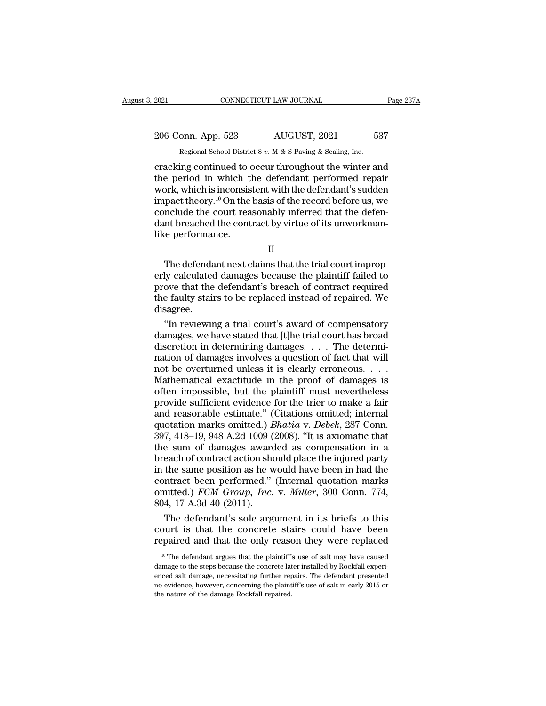2021 CONNECTICUT LAW JOURNAL Page 237A<br>
206 Conn. App. 523 AUGUST, 2021 537<br>
Regional School District 8 v. M & S Paving & Sealing, Inc.

EXECUTE 2021 CONNECTICUT LAW JOURNAL<br>206 Conn. App. 523 AUGUST, 2021 537<br>Regional School District 8 *v.* M & S Paving & Sealing, Inc.<br>cracking continued to occur throughout the winter and connectricut LAW JOURNAL Page 237A<br>
206 Conn. App. 523 AUGUST, 2021 537<br>
Regional School District 8 v. M & S Paving & Sealing, Inc.<br>
cracking continued to occur throughout the winter and<br>
the period in which the defendant 206 Conn. App. 523 AUGUST, 2021 537<br>
Regional School District 8 v. M & S Paving & Sealing, Inc.<br>
cracking continued to occur throughout the winter and<br>
the period in which the defendant performed repair<br>
work, which is in 206 Conn. App. 523 AUGUST, 2021 537<br>
Regional School District 8 v. M & S Paving & Sealing, Inc.<br>
cracking continued to occur throughout the winter and<br>
the period in which the defendant performed repair<br>
work, which is in 206 Conn. App. 523 AUGUST, 2021 537<br>
Regional School District 8 v. M & S Paving & Sealing, Inc.<br>
cracking continued to occur throughout the winter and<br>
the period in which the defendant performed repair<br>
work, which is in Regional School District 8 v. M & S Paving & Sealing, Inc.<br>
cracking continued to occur throughout the winter and<br>
the period in which the defendant performed repair<br>
work, which is inconsistent with the defendant's sudde Regional School District 8 v. M & S Paving & Sealing, Inc.<br>cracking continued to occur throughout the winter and<br>the period in which the defendant performed repair<br>work, which is inconsistent with the defendant's sudden<br>i cracking continued to the period in which the period in which the work, which is inconsisted.<br>In work, which is inconsisted.<br>In the conclude the court readant breached the continue on the performance. Fix, which is inconsistent with the defendant s sudden<br>pact theory.<sup>10</sup> On the basis of the record before us, we<br>nclude the court reasonably inferred that the defen-<br>int breached the contract by virtue of its unworkman-<br>re

II

mipact theory. On the basis of the record before us, we<br>conclude the court reasonably inferred that the defen-<br>dant breached the contract by virtue of its unworkman-<br>like performance.<br> $II$ <br>The defendant next claims that th proved the contract by virtue of its unworkman-<br>like performance.<br>II<br>The defendant next claims that the trial court improp-<br>erly calculated damages because the plaintiff failed to<br>prove that the defendant's breach of contr The defendant next claims that the trial court improperly calculated damages because the plaintiff failed to prove that the defendant's breach of contract required the faulty stairs to be replaced instead of repaired. We d disagree. The defendant next claims that the trial court improp-<br>ly calculated damages because the plaintiff failed to<br>ove that the defendant's breach of contract required<br>e faulty stairs to be replaced instead of repaired. We<br>sagre The defendant next claims that the trial court improperly calculated damages because the plaintiff failed to<br>prove that the defendant's breach of contract required<br>the faulty stairs to be replaced instead of repaired. We<br>

erly calculated damages because the plaintiff failed to<br>prove that the defendant's breach of contract required<br>the faulty stairs to be replaced instead of repaired. We<br>disagree.<br>"In reviewing a trial court's award of compe prove that the defendant's breach of contract required<br>the faulty stairs to be replaced instead of repaired. We<br>disagree.<br>"In reviewing a trial court's award of compensatory<br>damages, we have stated that [t]he trial court h the faulty stairs to be replaced instead of repaired. We<br>disagree.<br>"In reviewing a trial court's award of compensatory<br>damages, we have stated that [t]he trial court has broad<br>discretion in determining damages. . . . The d disagree.<br>
"In reviewing a trial court's award of compensatory<br>
damages, we have stated that [t]he trial court has broad<br>
discretion in determining damages. . . . The determi-<br>
nation of damages involves a question of fact "In reviewing a trial court's award of compensatory<br>damages, we have stated that [t]he trial court has broad<br>discretion in determining damages. . . . The determi-<br>nation of damages involves a question of fact that will<br>no damages, we have stated that [t]he trial court has broad discretion in determining damages. . . . The determination of damages involves a question of fact that will not be overturned unless it is clearly erroneous. . . . discretion in determining damages.... The determination of damages involves a question of fact that will not be overturned unless it is clearly erroneous.....<br>Mathematical exactitude in the proof of damages is often impos nation of damages involves a question of fact that will<br>not be overturned unless it is clearly erroneous. . . .<br>Mathematical exactitude in the proof of damages is<br>often impossible, but the plaintiff must nevertheless<br>provi not be overturned unless it is clearly erroneous. . . . .<br>Mathematical exactitude in the proof of damages is<br>often impossible, but the plaintiff must nevertheless<br>provide sufficient evidence for the trier to make a fair<br>an Mathematical exactitude in the proof of damages is<br>often impossible, but the plaintiff must nevertheless<br>provide sufficient evidence for the trier to make a fair<br>and reasonable estimate." (Citations omitted; internal<br>quota often impossible, but the plaintiff must nevertheless<br>provide sufficient evidence for the trier to make a fair<br>and reasonable estimate." (Citations omitted; internal<br>quotation marks omitted.) *Bhatia* v. *Debek*, 287 Conn. provide sufficient evidence for the trier to make a fair<br>and reasonable estimate." (Citations omitted; internal<br>quotation marks omitted.) *Bhatia* v. *Debek*, 287 Conn.<br>397, 418–19, 948 A.2d 1009 (2008). "It is axiomatic and reasonable estimate." (Citations omitted; internal quotation marks omitted.) *Bhatia* v. *Debek*, 287 Conn. 397, 418–19, 948 A.2d 1009 (2008). "It is axiomatic that the sum of damages awarded as compensation in a brea quotation marks omitted.) *Bhatia v. Debek*, 287 Conn.<br>397, 418–19, 948 A.2d 1009 (2008). "It is axiomatic that<br>the sum of damages awarded as compensation in a<br>breach of contract action should place the injured party<br>in th  $397, 418-19, 948$  A.2d  $1009$  (<br>the sum of damages award<br>breach of contract action she<br>in the same position as he w<br>contract been performed."<br>omitted.)  $FCM$  Group, Inc.<br> $804, 17$  A.3d  $40$  (2011).<br>The defendant's sole ar is example as compensation in a<br>each of contract action should place the injured party<br>the same position as he would have been in had the<br>ntract been performed." (Internal quotation marks<br>aitted.) *FCM Group, Inc.* v. *Mi* breach of contract action should place the injured party<br>in the same position as he would have been in had the<br>contract been performed." (Internal quotation marks<br>omitted.) FCM Group, Inc. v. Miller, 300 Conn. 774,<br>804, 17 in the same position as he would have been in had the contract been performed." (Internal quotation marks omitted.) *FCM Group, Inc.* v. *Miller*, 300 Conn. 774, 804, 17 A.3d 40 (2011).<br>The defendant's sole argument in it

The defendant's sole argument in its briefs to this burt is that the concrete stairs could have been paired and that the only reason they were replaced  $\frac{10}{10}$  The defendant argues that the plaintiff's use of salt may The defendant's sole argument in its briefs to this court is that the concrete stairs could have been repaired and that the only reason they were replaced  $\frac{10}{10}$  The defendant argues that the plaintiff's use of salt

court is that the concrete stairs could have been repaired and that the only reason they were replaced  $\frac{10 \text{ T}}{10 \text{ T}}$  The defendant argues that the plaintiff's use of salt may have caused damage to the steps because repaired and that the only reason they were replaced<br><sup>10</sup> The defendant argues that the plaintiff's use of salt may have caused<br>damage to the steps because the concrete later installed by Rockfall experi-<br>enced salt damage repaired and that the only reason they were replaced<br>
<sup>10</sup> The defendant argues that the plaintiff's use of salt may have caused<br>
damage to the steps because the concrete later installed by Rockfall experi-<br>
enced salt dam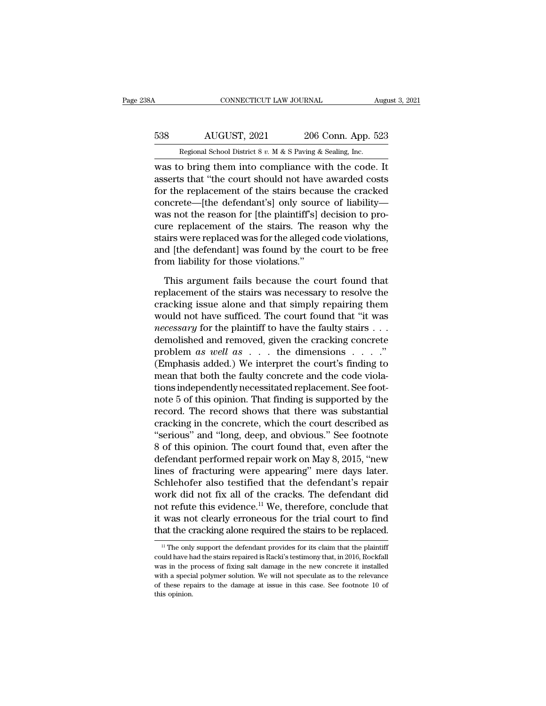## CONNECTICUT LAW JOURNAL August 3, 2021<br>538 AUGUST, 2021 206 Conn. App. 523<br>Regional School District 8 v. M & S Paving & Sealing, Inc. CONNECTICUT LAW JOURNAL August 3, 2021<br>
Regional School District 8 *v.* M & S Paving & Sealing, Inc.<br>
Was to bring them into compliance with the code. It

CONNECTICUT LAW JOURNAL August 3, 202<br>
S38 AUGUST, 2021 206 Conn. App. 523<br>
Regional School District 8 v. M & S Paving & Sealing, Inc.<br>
was to bring them into compliance with the code. It<br>
asserts that "the court should n 538 AUGUST, 2021 206 Conn. App. 523<br>
Regional School District 8 v. M & S Paving & Sealing, Inc.<br>
was to bring them into compliance with the code. It<br>
asserts that "the court should not have awarded costs<br>
for the replacem 538 AUGUST, 2021 206 Conn. App. 523<br>
Regional School District 8 v. M & S Paving & Sealing, Inc.<br>
was to bring them into compliance with the code. It<br>
asserts that "the court should not have awarded costs<br>
for the replacem 538 AUGUST, 2021 206 Conn. App. 523<br>
Regional School District 8 v. M & S Paving & Sealing, Inc.<br>
was to bring them into compliance with the code. It<br>
asserts that "the court should not have awarded costs<br>
for the replacem Regional School District 8  $v$ . M & S Paving & Sealing, Inc.<br>was to bring them into compliance with the code. It<br>asserts that "the court should not have awarded costs<br>for the replacement of the stairs because the cracked<br> regional sensor District 8 v.  $M \propto S$  Paving  $\propto$  Sealing, inc.<br>was to bring them into compliance with the code. It<br>asserts that "the court should not have awarded costs<br>for the replacement of the stairs because the crac was to bring them into compliance with the code. It<br>asserts that "the court should not have awarded costs<br>for the replacement of the stairs because the cracked<br>concrete—[the defendant's] only source of liability—<br>was not t asserts that "the court should not have awarded costs<br>for the replacement of the stairs because the cracked<br>concrete—[the defendant's] only source of liability—<br>was not the reason for [the plaintiff's] decision to pro-<br>cur for the replacement of the stairs becau<br>concrete—[the defendant's] only sourc<br>was not the reason for [the plaintiff's] c<br>cure replacement of the stairs. The r<br>stairs were replaced was for the alleged o<br>and [the defendant] as not the reason for [the plaintiff's] decision to pro-<br>re replacement of the stairs. The reason why the<br>airs were replaced was for the alleged code violations,<br>d [the defendant] was found by the court to be free<br>pom liab cure replacement of the stairs. The reason why the<br>stairs were replaced was for the alleged code violations,<br>and [the defendant] was found by the court to be free<br>from liability for those violations."<br>This argument fails b

stairs were replaced was for the alleged code violations,<br>and [the defendant] was found by the court to be free<br>from liability for those violations."<br>This argument fails because the court found that<br>replacement of the stai and [the defendant] was found by the court to be free<br>from liability for those violations."<br>This argument fails because the court found that<br>replacement of the stairs was necessary to resolve the<br>cracking issue alone and t from liability for those violations."<br>
This argument fails because the court found that<br>
replacement of the stairs was necessary to resolve the<br>
cracking issue alone and that simply repairing them<br>
would not have sufficed. This argument fails because the court found that<br>replacement of the stairs was necessary to resolve the<br>cracking issue alone and that simply repairing them<br>would not have sufficed. The court found that "it was<br>*necessary* This argument fails because the court found that<br>replacement of the stairs was necessary to resolve the<br>cracking issue alone and that simply repairing them<br>would not have sufficed. The court found that "it was<br>*necessary* replacement of the stairs was necessary to resolve the<br>cracking issue alone and that simply repairing them<br>would not have sufficed. The court found that "it was<br>*necessary* for the plaintiff to have the faulty stairs . . cracking issue alone and that simply repairing them<br>would not have sufficed. The court found that "it was<br>*necessary* for the plaintiff to have the faulty stairs . . .<br>demolished and removed, given the cracking concrete<br>p would not have sufficed. The court found that "it was<br>*necessary* for the plaintiff to have the faulty stairs . . .<br>demolished and removed, given the cracking concrete<br>problem as well as . . . the dimensions . . . . ."<br>(E mecessary for the plaintiff to have the faulty stairs . . .<br>demolished and removed, given the cracking concrete<br>problem as well as . . . the dimensions . . . ."<br>(Emphasis added.) We interpret the court's finding to<br>mean t demolished and removed, given the cracking concrete<br>problem as well as  $\ldots$  the dimensions  $\ldots$ ."<br>(Emphasis added.) We interpret the court's finding to<br>mean that both the faulty concrete and the code viola-<br>tions indepe problem *as well as* . . . the dimensions . . . ."<br>(Emphasis added.) We interpret the court's finding to<br>mean that both the faulty concrete and the code viola-<br>tions independently necessitated replacement. See foot-<br>note (Emphasis added.) We interpret the court's finding to<br>
mean that both the faulty concrete and the code viola-<br>
tions independently necessitated replacement. See foot-<br>
note 5 of this opinion. That finding is supported by mean that both the faulty concrete and the code violations independently necessitated replacement. See footnote 5 of this opinion. That finding is supported by the record. The record shows that there was substantial cracki tions independently necessitated replacement. See foot-<br>note 5 of this opinion. That finding is supported by the<br>record. The record shows that there was substantial<br>cracking in the concrete, which the court described as<br>"s note 5 of this opinion. That finding is supported by the<br>record. The record shows that there was substantial<br>cracking in the concrete, which the court described as<br>"serious" and "long, deep, and obvious." See footnote<br>8 of record. The record shows that there was substantial<br>cracking in the concrete, which the court described as<br>"serious" and "long, deep, and obvious." See footnote<br>8 of this opinion. The court found that, even after the<br>defen cracking in the concrete, which the court described as<br>
"serious" and "long, deep, and obvious." See footnote<br>
8 of this opinion. The court found that, even after the<br>
defendant performed repair work on May 8, 2015, "new<br> "serious" and "long, deep, and obvious." See footnote<br>8 of this opinion. The court found that, even after the<br>defendant performed repair work on May 8, 2015, "new<br>lines of fracturing were appearing" mere days later.<br>Schleh 8 of this opinion. The court found that, even after the<br>defendant performed repair work on May 8, 2015, "new<br>lines of fracturing were appearing" mere days later.<br>Schlehofer also testified that the defendant's repair<br>work d defendant performed repair work on May 8, 2015, "new<br>lines of fracturing were appearing" mere days later.<br>Schlehofer also testified that the defendant's repair<br>work did not fix all of the cracks. The defendant did<br>not refu work did not fix all of the cracks. The defendant did<br>not refute this evidence.<sup>11</sup> We, therefore, conclude that<br>it was not clearly erroneous for the trial court to find<br>that the cracking alone required the stairs to be r not refute this evidence.<sup>11</sup> We, therefore, conclude that<br>it was not clearly erroneous for the trial court to find<br>that the cracking alone required the stairs to be replaced.<br><sup>11</sup> The only support the defendant provides

it was not clearly erroneous for the trial court to find<br>that the cracking alone required the stairs to be replaced.<br> $\frac{11}{11}$  The only support the defendant provides for its claim that the plaintiff<br>could have had the that the cracking alone required the stairs to be replaced.<br>
The only support the defendant provides for its claim that the plaintiff<br>
could have had the stairs repaired is Racki's testimony that, in 2016, Rockfall<br>
was i The only support the defendant provides for its claim that the plaintiff could have had the stains repaired is Racki's testimony that, in 2016, Rockfall was in the process of fixing salt damage in the new concrete it inst <sup>11</sup> The only<br>could have h<br>was in the p<br>with a special<br>of these rep<br>this opinion.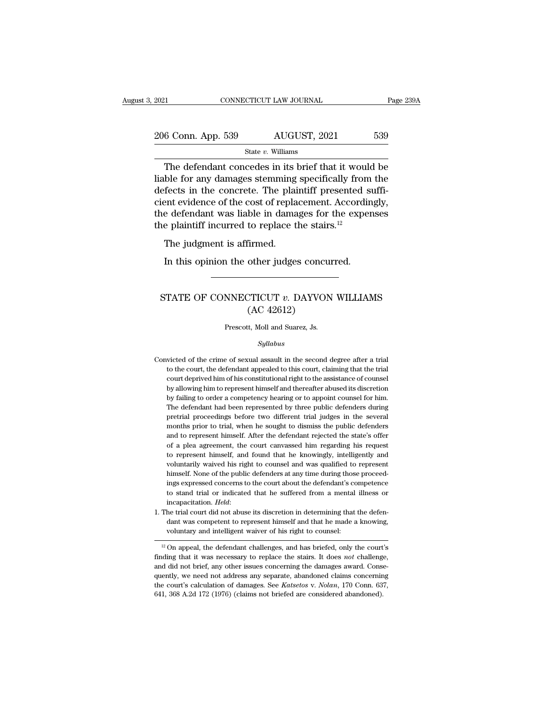| 2021                                                                                                                                                                     |                      | CONNECTICUT LAW JOURNAL | Page 239A |
|--------------------------------------------------------------------------------------------------------------------------------------------------------------------------|----------------------|-------------------------|-----------|
| 206 Conn. App. 539                                                                                                                                                       |                      | AUGUST, 2021            | 539       |
|                                                                                                                                                                          | State $v$ . Williams |                         |           |
| The defendant concedes in its brief that it would be<br>liable for any damages stemming specifically from the<br>defects in the concrete. The plaintiff presented suffi- |                      |                         |           |

206 Conn. App. 539  $\overline{\phantom{0}}$  AUGUST, 2021 539<br>State v. Williams<br>The defendant concedes in its brief that it would be<br>liable for any damages stemming specifically from the<br>defects in the concrete. The plaintiff presented  $\frac{206 \text{ Conn. App. 539}}{\text{State } v. \text{ Williams}}$ <br>
The defendant concedes in its brief that it would be liable for any damages stemming specifically from the defects in the concrete. The plaintiff presented sufficient evidence of the cost 206 Conn. App. 539 AUGUST, 2021 539<br>
State v. Williams<br>
The defendant concedes in its brief that it would be<br>
liable for any damages stemming specifically from the<br>
defects in the concrete. The plaintiff presented suffi-<br> The defendant concedes in its brief that it would be<br>liable for any damages stemming specifically from the<br>defects in the concrete. The plaintiff presented suffi-<br>cient evidence of the cost of replacement. Accordingly,<br>th State v. Williams<br>The defendant concedes in its brief that it woulliable for any damages stemming specifically from<br>defects in the concrete. The plaintiff presented s<br>cient evidence of the cost of replacement. Accordi<br>the The detendant concedes in not<br>ble for any damages stemming<br>fects in the concrete. The plain<br>ender defendant was liable in damage<br>plaintiff incurred to replace t<br>The judgment is affirmed.<br>In this opinion the other judge: fects in the concrete. The plaintiff presented signal text end to the cost of replacement. Accordine defendant was liable in damages for the experies plaintiff incurred to replace the stairs.<sup>12</sup> The judgment is affirmed.

#### The judgment is affirmed.<br>
In this opinion the other judges concurred.<br>
STATE OF CONNECTICUT *v*. DAYVON WILLIAMS<br>
(AC 42612) Firmed.<br>
other judges concu<br>
TTICUT v. DAYVON<br>
(AC 42612)<br>
tt, Moll and Suarez, Js. STATE OF CONNECTICUT  $v$ . DAYVON WILLIAMS<br>(AC 42612)<br>Prescott, Moll and Suarez, Js.

#### *Syllabus*

- $(AC 42612)$ <br>Prescott, Moll and Suarez, Js.<br> $Syllabus$ <br>Convicted of the crime of sexual assault in the second degree after a trial<br>to the court, the defendant appealed to this court, claiming that the trial Frescott, Moll and Suarez, Js.<br>Syllabus<br>victed of the crime of sexual assault in the second degree after a trial<br>to the court, the defendant appealed to this court, claiming that the trial<br>court deprived him of his constit Prescott, Moll and Suarez, Js.<br>
Syllabus<br>
victed of the crime of sexual assault in the second degree after a trial<br>
to the court, the defendant appealed to this court, claiming that the trial<br>
court deprived him of his con Syllabus<br>
sixted of the crime of sexual assault in the second degree after a trial<br>
to the court, the defendant appealed to this court, claiming that the trial<br>
court deprived him of his constitutional right to the assista by failures wicted of the crime of sexual assault in the second degree after a trial to the court, the defendant appealed to this court, claiming that the trial court deprived him of his constitutional right to the assista victed of the crime of sexual assault in the second degree after a trial<br>to the court, the defendant appealed to this court, claiming that the trial<br>court deprived him of his constitutional right to the assistance of couns to the court, the defendant appealed to this court, claiming that the trial court deprived him of his constitutional right to the assistance of counsel by allowing him to represent himself and thereafter abused its discret court deprived him of his constitutional right to the assistance of counsel<br>by allowing him to represent himself and thereafter abused its discretion<br>by failing to order a competency hearing or to appoint counsel for him.<br> by allowing him to represent himself and thereafter abused its discretion<br>by failing to order a competency hearing or to appoint counsel for him.<br>The defendant had been represented by three public defenders during<br>pretrial by failing to order a competency hearing or to appoint counsel for him.<br>The defendant had been represented by three public defenders during<br>pretrial proceedings before two different trial judges in the several<br>months prior The defendant had been represented by three public defenders during<br>pretrial proceedings before two different trial judges in the several<br>months prior to trial, when he sought to dismiss the public defenders<br>and to represe pretrial proceedings before two different trial judges in the several months prior to trial, when he sought to dismiss the public defenders and to represent himself. After the defendant rejected the state's offer of a plea months prior to trial, when he sought to dismiss the public defenders<br>and to represent himself. After the defendant rejected the state's offer<br>of a plea agreement, the court canvassed him regarding his request<br>to represent and to represent himself. After the defendant rejected the state's offer of a plea agreement, the court canvassed him regarding his request to represent himself, and found that he knowingly, intelligently and voluntarily w of a plea agreement, the court canvassed him regarding his request<br>to represent himself, and found that he knowingly, intelligently and<br>voluntarily waived his right to counsel and was qualified to represent<br>himself. None o % voluntarily waived his right to counsel and was qualified to represent himself. None of the public defenders at any time during those proceedings expressed concerns to the court about the defendant's competence to stand himself. None of the public defenders at any time during those proceedings expressed concerns to the court about the defendant's competence to stand trial or indicated that he suffered from a mental illness or incapacitati ings expressed concerns to the court about the defendant's competence<br>to stand trial or indicated that he suffered from a mental illness or<br>incapacitation. *Held*:<br>The trial court did not abuse its discretion in determini
- 

finding that the defendant was competent to represent himself and that he made a knowing, voluntary and intelligent waiver of his right to counsel:<br><sup>12</sup> On appeal, the defendant challenges, and has briefed, only the court' Friend did not all not abuse its uscretion in determining that the defendant was competent to represent himself and that he made a knowing, voluntary and intelligent waiver of his right to counsel:<br> $\frac{12 \text{ On appeal, the defendant challenges, and has briefed, only the$ dant was competent to represent innsen and that he made a knowing,<br>voluntary and intelligent waiver of his right to counsel:<br> $\frac{12}{12}$  On appeal, the defendant challenges, and has briefed, only the court's<br>finding that voluntary and inteingent warver of his right to counser.<br><sup>12</sup> On appeal, the defendant challenges, and has briefed, only the court's finding that it was necessary to replace the stairs. It does *not* challenge, and did not <sup>12</sup> On appeal, the defendant challenges, and has briefed, only the court finding that it was necessary to replace the stairs. It does *not* challeng and did not brief, any other issues concerning the damages award. Consi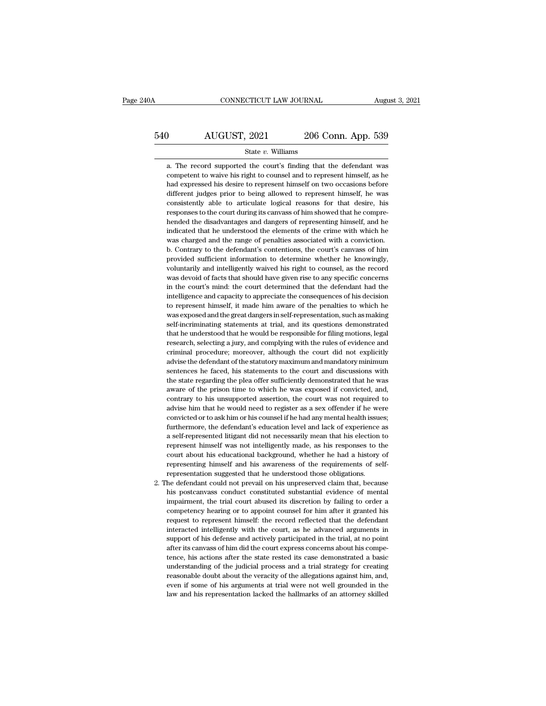# CONNECTICUT LAW JOURNAL August 3, 2021<br>540 AUGUST, 2021 206 Conn. App. 539<br>5tate v. Williams

#### State *v.* Williams

AUGUST, 2021 206 Conn. App. 539<br>
State v. Williams<br>
a. The record supported the court's finding that the defendant was<br>
competent to waive his right to counsel and to represent himself, as he **competent to waive his right to counsel and to represent himself, as he** had expressed his desire to represent himself on two occasions before **had expressed his desire to represent himself** on two occasions before different judges prior to being allowed to represent himself, as he different judges prior to being allowed to represent himself, he was State v. Williams<br>
a. The record supported the court's finding that the defendant was<br>
competent to waive his right to counsel and to represent himself, as he<br>
had expressed his desire to represent himself on two occasions State  $v$ . Williams<br>a. The record supported the court's finding that the defendant was<br>competent to waive his right to counsel and to represent himself, as he<br>had expressed his desire to represent himself on two occasions a. The record supported the court's finding that the defendant was competent to waive his right to counsel and to represent himself, as he had expressed his desire to represent himself on two occasions before different jud competent to waive his right to counsel and to represent himself, as he<br>had expressed his desire to represent himself on two occasions before<br>different judges prior to being allowed to represent himself, he was<br>consistentl bad expressed his desire to represent himself on two occasions before different judges prior to being allowed to represent himself, he was consistently able to articulate logical reasons for that desire, his responses to t different judges prior to being allowed to represent himself, he was consistently able to articulate logical reasons for that desire, his responses to the court during its canvass of him showed that he comprehended the dis consistently able to articulate logical reasons for that desire, his responses to the court during its canvass of him showed that he comprehended the disadvantages and dangers of representing himself, and he indicated that presponses to the court during its canvass of him showed that he comprehended the disadvantages and dangers of representing himself, and he indicated that he understood the elements of the crime with which he was charged a hended the disadvantages and dangers of representing himself, and he indicated that he understood the elements of the crime with which he was charged and the range of penalties associated with a conviction.<br>b. Contrary to imdicated that he understood the elements of the crime with which he was charged and the range of penalties associated with a conviction.<br>b. Contrary to the defendant's contentions, the court's canvass of him provided suff was charged and the range of penalties associated with a conviction.<br>
b. Contrary to the defendant's contentions, the court's canvass of him<br>
provided sufficient information to determine whether he knowingly,<br>
voluntarily intelligence and contrations, the court's canvass of him b. Contrary to the defendant's contentions, the court's canvass of him provided sufficient information to determine whether he knowingly, voluntarily and intelligent between the mether he knowingly, provided sufficient information to determine whether he knowingly, voluntarily and intelligently waived his right to counsel, as the record was devoid of facts that should have given rise t From tariful and intelligently waived his right to counsel, as the record was devoid of facts that should have given rise to any specific concerns in the court's mind: the court determined that the defendant had the intell vas devoid of facts that should have given rise to any specific concerns in the court's mind: the court determined that the defendant had the intelligence and capacity to appreciate the consequences of his decision to repr was devoid of facts that should have given rise to any specific concerns in the court's mind: the court determined that the defendant had the intelligence and capacity to appreciate the consequences of his decision to rep in telligence and capacity to appreciate the consequences of his decision to represent himself, it made him aware of the penalties to which he was exposed and the great dangers in self-representation, such as making self-i the represent himself, it made him aware of the penalties to which he was exposed and the great dangers in self-representation, such as making self-incriminating statements at trial, and its questions demonstrated that he was exposed and the great dangers in self-representation, such as making self-incriminating statements at trial, and its questions demonstrated that he understood that he would be responsible for filing motions, legal rese self-incriminating statements at trial, and its questions demonstrated that he understood that he would be responsible for filing motions, legal research, selecting a jury, and complying with the rules of evidence and crim that he understood that he would be responsible for filing motions, legal research, selecting a jury, and complying with the rules of evidence and criminal procedure; moreover, although the court did not explicitly advise research, selecting a jury, and complying with the rules of evidence and criminal procedure; moreover, although the court did not explicitly advise the defendant of the statutory maximum and mandatory minimum sentences he cominal procedure; moreover, although the court did not explicitly eriminal procedure; moreover, although the court did not explicitly advise the defendant of the staturery maximum and mandatory minimum sentences he faced, advise the defendant of the statutory maximum and mandatory minimum<br>advise the defendant of the statutory maximum and mandatory minimum<br>sentences he faced, his statements to the court and discussions with<br>the state regardi sentences he faced, his statements to the court and discussions with<br>the state regarding the plea offer sufficiently demonstrated that he was<br>aware of the prison time to which he was exposed if convicted, and,<br>contrary to the state regarding the plea offer sufficiently demonstrated that he was aware of the prison time to which he was exposed if convicted, and, contrary to his unsupported assertion, the court was not required to advise him t a self-represent of the prison time to which he was exposed if convicted, and, contrary to his unsupported assertion, the court was not required to advise him that he would need to register as a sex offender if he were con contrary to his unsupported assertion, the court was not required to advise him that he would need to register as a sex offender if he were convicted or to ask him or his counsel if he had any mental health issues; further advise him that he would need to register as a sex offender if he were convicted or to ask him or his counsel if he had any mental health issues; furthermore, the defendant's education level and lack of experience as a sel convicted or to ask him or his counsel if he had any mental health issues;<br>furthermore, the defendant's education level and lack of experience as<br>a self-represented litigant did not necessarily mean that his election to<br>re furthermore, the defendant's education level and lack of experience a self-represented litigant did not necessarily mean that his election represent himself was not intelligently made, as his responses to the court about h 2. The defendant could not prevail on his uppreserved claim that his election to represent himself was not intelligently made, as his responses to the court about his educational background, whether he had a history of rep represent himself was not intelligently made, as his responses to the court about his educational background, whether he had a history of representing himself and his awareness of the requirements of self-<br>representation s

represention this educational background, whether he had a history of representing himself and his awareness of the requirements of self-<br>representation suggested that he understood those obligations.<br>he defendant could no representing himself and his awareness of the requirements of self-<br>representation suggested that he understood those obligations.<br>he defendant could not prevail on his unpreserved claim that, because<br>his postcanvass condu representation suggested that he understood those obligations.<br>The defendant could not prevail on his unpreserved claim that, because<br>his postcanvass conduct constituted substantial evidence of mental<br>impairment, the trial interacted intelligently with the court, as he defendant could not prevail on his unpreserved claim that, because his postcanvass conduct constituted substantial evidence of mental impairment, the trial court abused its di his postcanvass conduct constituted substantial evidence of mental impairment, the trial court abused its discretion by failing to order a competency hearing or to appoint counsel for him after it granted his request to re impairment, the trial court abused its discretion by failing to order a competency hearing or to appoint counsel for him after it granted his request to represent himself: the record reflected that the defendant interacted my pearing or to appoint counsel for him after it granted his request to represent himself: the record reflected that the defendant interacted intelligently with the court, as he advanced arguments in support of his defens request to represent himself: the record reflected that the defendant interacted intelligently with the court, as he advanced arguments in support of his defense and actively participated in the trial, at no point after it reasonable different method in the court, as he advanced arguments in support of his defense and actively participated in the trial, at no point after its canvass of him did the court express concerns about his competence, even if some of his arguments at trial were not well grounded in the solution of his defense and actively participated in the trial, at no point after its canvass of him did the court express concerns about his competence, support of the activity paracipated in the trans, at no point<br>after its canvass of him did the court express concerns about his compe-<br>tence, his actions after the state rested its case demonstrated a basic<br>understanding o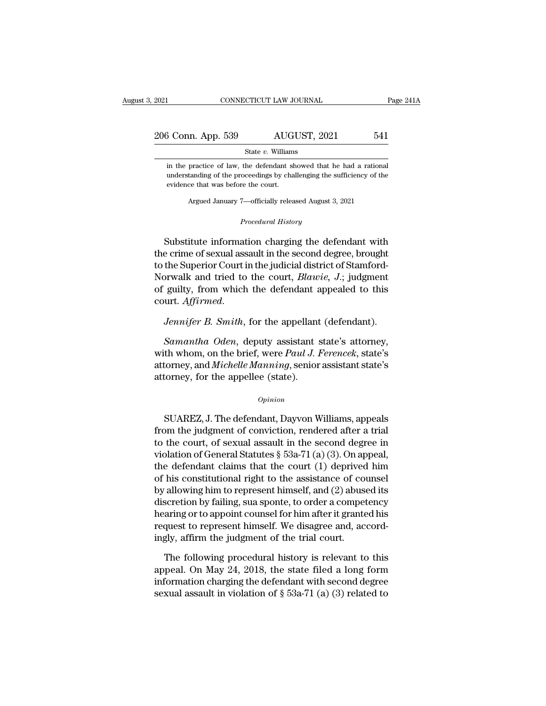| 2021               |                      | CONNECTICUT LAW JOURNAL | Page 241A |  |
|--------------------|----------------------|-------------------------|-----------|--|
|                    |                      |                         |           |  |
| 206 Conn. App. 539 |                      | AUGUST, 2021            | 541       |  |
|                    | State $v$ . Williams |                         |           |  |

 $\frac{3 \text{ Conn. App. 539}}{\text{State } v. \text{ Williams}}$  MUGUST, 2021 541  $\frac{3 \text{ Conn. App. 539}}{\text{State } v. \text{ Williams}}$ <br>
in the practice of law, the defendant showed that he had a rational understanding of the proceedings by challenging the sufficiency of the evidence that was before the court.  $\frac{1}{2}$  Conn. App. 539 AUG<br>
State v. William<br>
in the practice of law, the defendant sk<br>
understanding of the proceedings by cha<br>
evidence that was before the court.<br>
Argued January 7—officially relea State  $v$ . Williams<br>practice of law, the defendant showed that he had a rational tanding of the proceedings by challenging the sufficiency of the<br>ce that was before the court.<br>Argued January 7—officially released August 3 understanding of the proceedings by challenging the sufficiency of the evidence that was before the court.<br> *Procedural History*<br> *Procedural History*<br> **Procedural History**<br> **Procedural History**<br> **Procedural History** 

In the proceedings by challenging the sufficiency of the<br>evidence that was before the court.<br>Argued January 7—officially released August 3, 2021<br>*Procedural History*<br>Substitute information charging the defendant with<br>e cri evidence that was before the court.<br>
Argued January 7—officially released August 3, 2021<br>
Procedural History<br>
Substitute information charging the defendant with<br>
the crime of sexual assault in the second degree, brought<br>
t Argued January 7—officially released August 3, 2021<br>
Procedural History<br>
Substitute information charging the defendant with<br>
the crime of sexual assault in the second degree, brought<br>
to the Superior Court in the judicial Procedural History<br>Procedural History<br>Substitute information charging the defendant with<br>the crime of sexual assault in the second degree, brought<br>to the Superior Court in the judicial district of Stamford-<br>Norwalk and tri Procedural History<br>Substitute information charging the defendant with<br>the crime of sexual assault in the second degree, brought<br>to the Superior Court in the judicial district of Stamford-<br>Norwalk and tried to the court, *B* the crime of sexual assault in the second degree, brought<br>to the Superior Court in the judicial district of Stamford-<br>Norwalk and tried to the court, *Blawie*, *J*.; judgment<br>of guilty, from which the defendant appealed to *Samantha Oden*, deputy assistant state's attorney, J.; judgment guilty, from which the defendant appealed to this urt. *Affirmed.*<br>*Jennifer B. Smith*, for the appellant (defendant).<br>*Samantha Oden*, deputy assistant stat

From want and arcu to the court, *Diawie, 9.*, *Judgment*<br>of guilty, from which the defendant appealed to this<br>court. *Affirmed.*<br>*Jennifer B. Smith*, for the appellant (defendant).<br>*Samantha Oden*, deputy assistant state' of gancy, nont which are determinated ppedical to this<br>court. Affirmed.<br>*Samantha Oden*, deputy assistant state's attorney,<br>with whom, on the brief, were Paul J. Ferencek, state's<br>attorney, and Michelle Manning, senior ass *Jennifer B. Smith*, for the appellant<br>*Samantha Oden*, deputy assistant s<br>with whom, on the brief, were Paul J. i<br>attorney, and *Michelle Manning*, senior<br>attorney, for the appellee (state). Examinated State, depath State State State State State State State State State State State State State State State State State State State State State State State State State State State State State State State State State

#### *Opinion*

From the *Manning*, senior assistant state's<br>attorney, and *Michelle Manning*, senior assistant state's<br>attorney, for the appellee (state).<br>*Opinion*<br>SUAREZ, J. The defendant, Dayvon Williams, appeals<br>from the judgment of attorney, for the appellee (state).<br>  $\frac{Option}{1}$ <br>
SUAREZ, J. The defendant, Dayvon Williams, appeals<br>
from the judgment of conviction, rendered after a trial<br>
to the court, of sexual assault in the second degree in<br>
violati opinion<br>
success, see the tep cases.<br>
SUAREZ, J. The defendant, Dayvon Williams, appeals<br>
from the judgment of conviction, rendered after a trial<br>
to the court, of sexual assault in the second degree in<br>
violation of Gene opinion<br>SUAREZ, J. The defendant, Dayvon Williams, appeals<br>from the judgment of conviction, rendered after a trial<br>to the court, of sexual assault in the second degree in<br>violation of General Statutes § 53a-71 (a) (3). On SUAREZ, J. The defendant, Dayvon Williams, appeals<br>from the judgment of conviction, rendered after a trial<br>to the court, of sexual assault in the second degree in<br>violation of General Statutes § 53a-71 (a) (3). On appeal, SUAREZ, J. The defendant, Dayvon Williams, appeals<br>from the judgment of conviction, rendered after a trial<br>to the court, of sexual assault in the second degree in<br>violation of General Statutes § 53a-71 (a) (3). On appeal, from the judgment of conviction, rendered after a trial<br>to the court, of sexual assault in the second degree in<br>violation of General Statutes § 53a-71 (a) (3). On appeal,<br>the defendant claims that the court (1) deprived h to the court, of sexual assault in the second degree in<br>violation of General Statutes  $\S$  53a-71 (a) (3). On appeal,<br>the defendant claims that the court (1) deprived him<br>of his constitutional right to the assistance of co violation of General Statutes  $\S$  53a-71 (a) (3). On appeal, the defendant claims that the court (1) deprived him of his constitutional right to the assistance of counsel by allowing him to represent himself, and (2) abus the defendant claims that the court (1) deprived<br>of his constitutional right to the assistance of co<br>by allowing him to represent himself, and (2) abuse<br>discretion by failing, sua sponte, to order a compet<br>hearing or to ap relative historical himself, and (2) abused its<br>scretion by failing, sua sponte, to order a competency<br>aring or to appoint counsel for him after it granted his<br>quest to represent himself. We disagree and, accord-<br>gly, affi discretion by failing, sua sponte, to order a competency<br>hearing or to appoint counsel for him after it granted his<br>request to represent himself. We disagree and, accord-<br>ingly, affirm the judgment of the trial court.<br>The

hearing or to appoint counsel for him after it granted his<br>request to represent himself. We disagree and, accord-<br>ingly, affirm the judgment of the trial court.<br>The following procedural history is relevant to this<br>appeal. The following procedural history is relevant to this appeal. On May 24, 2018, the state filed a long form information charging the defendant with second degree sexual assault in violation of  $\S$  53a-71 (a) (3) related to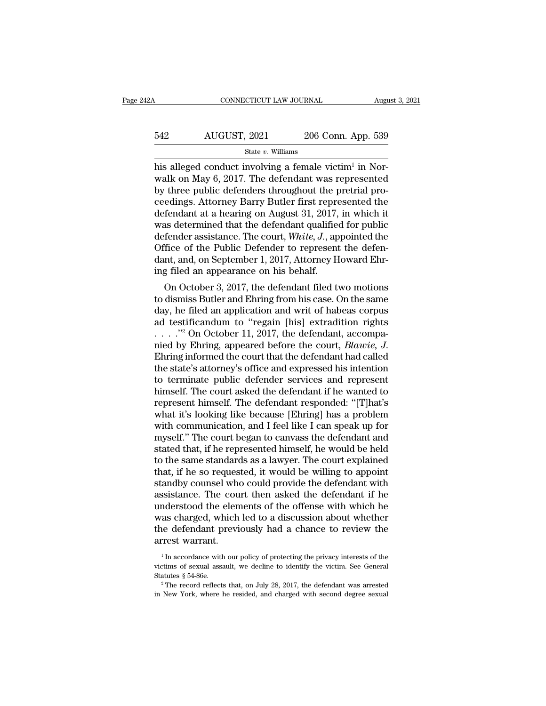### CONNECTICUT LAW JOURNAL August 3, 2021<br>542 AUGUST, 2021 206 Conn. App. 539<br>5tate v. Williams State *v.* Williams

 $\begin{array}{l|l} \hline \text{COMRECTICUT LAW JOURNAL} & \text{At} \\\\ \hline \text{542} & \text{AUGUST, 2021} & \text{206 Conn. App. 53} \\\\ \hline \text{State } v. \text{ Williams} \\\\ \hline \text{his alleged conduct involving a female victim}^1 \text{ in No} \\\\ \text{walk on May 6, 2017. The defendant was represent} \\\\ \hline \text{by three public defenders throughout the material.} \end{array}$ Augu<br>pp. 539<br>in Nor-<br>sented<br>isl pro  $\begin{array}{r} \text{AUGUST, 2021} \text{206 Conn. App. 539} \ \text{State } v. \text{ Williams} \end{array}$ <br>
his alleged conduct involving a female victim<sup>1</sup> in Norwalk on May 6, 2017. The defendant was represented by three public defenders throughout the pretrial proceedi  $\begin{array}{r} \text{542} & \text{AUGUST, 2021} & \text{206 Conn. App. 539} \\ \text{State } v. \text{ Williams} \end{array}$ <br>his alleged conduct involving a female victim<sup>1</sup> in Norwalk on May 6, 2017. The defendant was represented by three public defenders throughout the pretrial 542 AUGUST, 2021 206 Conn. App. 539<br>  $\frac{\text{State } v. \text{ Williams}}{\text{hist}}$ <br>
his alleged conduct involving a female victim<sup>1</sup> in Nor-<br>
walk on May 6, 2017. The defendant was represented<br>
by three public defenders throughout the pretrial p State v. Williams<br>
State v. Williams<br>
his alleged conduct involving a female victim<sup>1</sup> in Nor-<br>
walk on May 6, 2017. The defendant was represented<br>
by three public defenders throughout the pretrial pro-<br>
ceedings. Attorne state v. Williams<br>his alleged conduct involving a female victim<sup>1</sup> in Nor-<br>walk on May 6, 2017. The defendant was represented<br>by three public defenders throughout the pretrial pro-<br>ceedings. Attorney Barry Butler first re his alleged conduct involving a female victim<sup>1</sup> in Norwalk on May 6, 2017. The defendant was represented<br>by three public defenders throughout the pretrial pro-<br>ceedings. Attorney Barry Butler first represented the<br>defenda walk on May 6, 2017. The defendant was represented<br>by three public defenders throughout the pretrial pro-<br>ceedings. Attorney Barry Butler first represented the<br>defendant at a hearing on August 31, 2017, in which it<br>was de by three public defenders throughout the pretrial proceedings. Attorney Barry Butler first represented the defendant at a hearing on August 31, 2017, in which it was determined that the defendant qualified for public defen ceedings. Attorney Barry Butler first repre<br>defendant at a hearing on August 31, 2017,<br>was determined that the defendant qualified<br>defender assistance. The court, White, J., ap<br>Office of the Public Defender to represent<br>da rendant at a nearing on August 31, 2017, in which it<br>as determined that the defendant qualified for public<br>fender assistance. The court, *White*, *J*., appointed the<br>fice of the Public Defender to represent the defen-<br>nt, was determined that the detendant qualitied for public<br>defender assistance. The court, *White*, *J*., appointed the<br>Office of the Public Defender to represent the defen-<br>dant, and, on September 1, 2017, Attorney Howard Eh

defender assistance. The court, *white, J.*, appointed the<br>Office of the Public Defender to represent the defen-<br>dant, and, on September 1, 2017, Attorney Howard Ehr-<br>ing filed an appearance on his behalf.<br>On October 3, 2 of the Fubic Defender to represent the defendant, and, on September 1, 2017, Attorney Howard Ehring filed an appearance on his behalf.<br>
On October 3, 2017, the defendant filed two motions to dismiss Butler and Ehring from dant, and, on September 1, 2017, Attorney Howard Ehring filed an appearance on his behalf.<br>
On October 3, 2017, the defendant filed two motions<br>
to dismiss Butler and Ehring from his case. On the same<br>
day, he filed an ap Ing med an appearance on his benan.<br>
On October 3, 2017, the defendant filed two motions<br>
to dismiss Butler and Ehring from his case. On the same<br>
day, he filed an application and writ of habeas corpus<br>
ad testificandum to to dismiss Butler and Ehring from his case. On the same<br>day, he filed an application and writ of habeas corpus<br>ad testificandum to "regain [his] extradition rights<br> $\ldots$ ."<sup>2</sup> On October 11, 2017, the defendant, accompa-<br>n day, he filed an application and writ of habeas corpus<br>ad testificandum to "regain [his] extradition rights<br>......"<sup>2</sup> On October 11, 2017, the defendant, accompa-<br>nied by Ehring, appeared before the court, *Blawie*, *J*. ad testificandum to "regain [his] extradition rights<br>  $\ldots$  ."<sup>2</sup> On October 11, 2017, the defendant, accompa-<br>
nied by Ehring, appeared before the court, *Blawie, J.*<br>
Ehring informed the court that the defendant had cal represent himself. The defendant responded: ''[T]hat's nied by Ehring, appeared before the court, *Blawie, J.*<br>Ehring informed the court that the defendant had called<br>the state's attorney's office and expressed his intention<br>to terminate public defender services and represent<br> Ehring informed the court that the defendant had called<br>the state's attorney's office and expressed his intention<br>to terminate public defender services and represent<br>himself. The court asked the defendant if he wanted to<br>r the state's attorney's office and expressed his intention<br>to terminate public defender services and represent<br>himself. The court asked the defendant if he wanted to<br>represent himself. The defendant responded: "[T]hat's<br>wha to terminate public defender services and represent<br>himself. The court asked the defendant if he wanted to<br>represent himself. The defendant responded: "[T]hat's<br>what it's looking like because [Ehring] has a problem<br>with co himself. The court asked the defendant if he wanted to<br>represent himself. The defendant responded: "[T]hat's<br>what it's looking like because [Ehring] has a problem<br>with communication, and I feel like I can speak up for<br>myse represent himself. The defendant responded: "[T]hat's what it's looking like because [Ehring] has a problem with communication, and I feel like I can speak up for myself." The court began to canvass the defendant and state what it's looking like because [Ehring] has a problem<br>with communication, and I feel like I can speak up for<br>myself." The court began to canvass the defendant and<br>stated that, if he represented himself, he would be held<br>to with communication, and I feel like I can speak up for<br>myself." The court began to canvass the defendant and<br>stated that, if he represented himself, he would be held<br>to the same standards as a lawyer. The court explained<br>t myself." The court began to canvass the defendant and<br>stated that, if he represented himself, he would be held<br>to the same standards as a lawyer. The court explained<br>that, if he so requested, it would be willing to appoint stated that, if he represented himself, he would be held<br>to the same standards as a lawyer. The court explained<br>that, if he so requested, it would be willing to appoint<br>standby counsel who could provide the defendant with<br> to the same standards as a lawyer. The court explained<br>that, if he so requested, it would be willing to appoint<br>standby counsel who could provide the defendant with<br>assistance. The court then asked the defendant if he<br>unde that, if he so requested, it would be willing to appoint standby counsel who could provide the defendant with assistance. The court then asked the defendant if he understood the elements of the offense with which he was c mderstood the elements of the offense with which he<br>as charged, which led to a discussion about whether<br>rest defendant previously had a chance to review the<br>rest warrant.<br><sup>1</sup> In accordance with our policy of protecting the was charged, which led to a discussion about whether<br>the defendant previously had a chance to review the<br>arrest warrant.<br><sup>1</sup> In accordance with our policy of protecting the privacy interests of the<br>victims of sexual assaul

the defendant previously had a chance to review the arrest warrant.<br>
<sup>1</sup>In accordance with our policy of protecting the privacy interests of the victims of sexual assault, we decline to identify the victim. See General St <sup>1</sup> In accordance with our policy of protecting the privacy interests of the victims of sexual assault, we decline to identify the victim. See General Statutes  $§ 54-86e$ .<br><sup>2</sup> The record reflects that, on July 28, 2017, t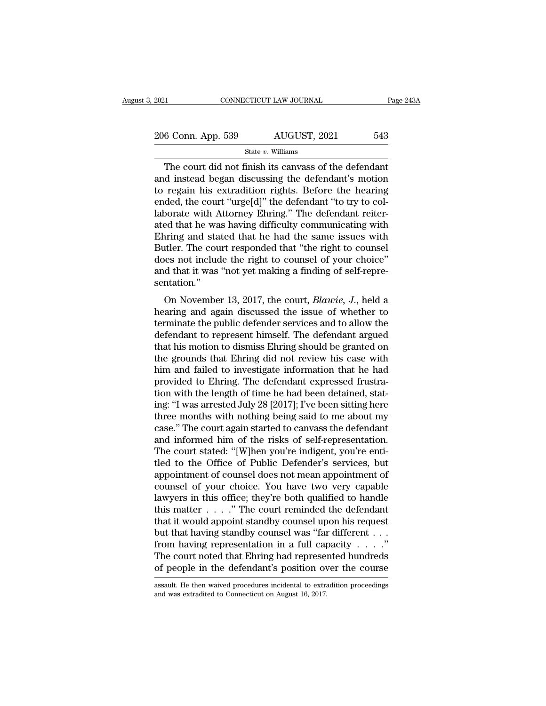| 2021               | CONNECTICUT LAW JOURNAL | Page 243A |
|--------------------|-------------------------|-----------|
| 206 Conn. App. 539 | AUGUST, 2021            | 543       |
|                    | State $v$ . Williams    |           |

CONNECTICUT LAW JOURNAL Page  $243/$ <br>
6 Conn. App. 539 AUGUST, 2021 543<br>
State v. Williams<br>
The court did not finish its canvass of the defendant<br>
d instead began discussing the defendant's motion<br>
rogain his oxtradition r 206 Conn. App. 539 AUGUST, 2021 543<br>
State v. Williams<br>
The court did not finish its canvass of the defendant<br>
and instead began discussing the defendant's motion<br>
to regain his extradition rights. Before the hearing<br>
and 206 Conn. App. 539 AUGUST, 2021 543<br>
State v. Williams<br>
The court did not finish its canvass of the defendant<br>
and instead began discussing the defendant's motion<br>
to regain his extradition rights. Before the hearing<br>
end 206 Conn. App. 539 AUGUST, 2021 543<br>
State v. Williams<br>
The court did not finish its canvass of the defendant<br>
and instead began discussing the defendant's motion<br>
to regain his extradition rights. Before the hearing<br>
end State v. Williams<br>
The court did not finish its canvass of the defendant<br>
and instead began discussing the defendant's motion<br>
to regain his extradition rights. Before the hearing<br>
ended, the court "urge[d]" the defendant state v. Williams<br>
The court did not finish its canvass of the defendant<br>
and instead began discussing the defendant's motion<br>
to regain his extradition rights. Before the hearing<br>
ended, the court "urge[d]" the defendant The court did not finish its canvass of the defendant<br>and instead began discussing the defendant's motion<br>to regain his extradition rights. Before the hearing<br>ended, the court "urge[d]" the defendant "to try to col-<br>labora and instead began discussing the defendant's motion<br>to regain his extradition rights. Before the hearing<br>ended, the court "urge[d]" the defendant "to try to col-<br>laborate with Attorney Ehring." The defendant reiter-<br>ated t to regain his extradition rights. Before the hearing<br>ended, the court "urge[d]" the defendant "to try to col-<br>laborate with Attorney Ehring." The defendant reiter-<br>ated that he was having difficulty communicating with<br>Ehri ended, the court "urge[d]" the defendant "to try to collaborate with Attorney Ehring." The defendant reiterated that he was having difficulty communicating with Ehring and stated that he had the same issues with Butler. Th sentation.'' ordinate was having unitedity communicating with<br>tring and stated that he had the same issues with<br>tiler. The court responded that "the right to counsel<br>les not include the right to counsel of your choice"<br>d that it was "n Enting and stated that it in fact the same issues with<br>Butler. The court responded that "the right to counsel<br>does not include the right to counsel of your choice"<br>and that it was "not yet making a finding of self-repre-<br>s

Batter. The court responded that the right to counsel<br>does not include the right to counsel of your choice"<br>and that it was "not yet making a finding of self-repre-<br>sentation."<br>On November 13, 2017, the court, *Blawie*, defendant it was "not yet making a finding of self-repre-<br>sentation."<br>On November 13, 2017, the court, *Blawie*, *J*., held a<br>hearing and again discussed the issue of whether to<br>terminate the public defender services and t on November 13, 2017, the court, *Blawie*, *J*., held a<br>hearing and again discussed the issue of whether to<br>terminate the public defender services and to allow the<br>defendant to represent himself. The defendant argued<br>that On November 13, 2017, the court, *Blawie*, *J*., held a<br>hearing and again discussed the issue of whether to<br>terminate the public defender services and to allow the<br>defendant to represent himself. The defendant argued<br>that On November 13, 2017, the court, *Blawie*, *J*., held a<br>hearing and again discussed the issue of whether to<br>terminate the public defender services and to allow the<br>defendant to represent himself. The defendant argued<br>that hearing and again discussed the issue of whether to<br>terminate the public defender services and to allow the<br>defendant to represent himself. The defendant argued<br>that his motion to dismiss Ehring should be granted on<br>the gr terminate the public defender services and to allow the<br>defendant to represent himself. The defendant argued<br>that his motion to dismiss Ehring should be granted on<br>the grounds that Ehring did not review his case with<br>him a defendant to represent himself. The defendant argued<br>that his motion to dismiss Ehring should be granted on<br>the grounds that Ehring did not review his case with<br>him and failed to investigate information that he had<br>provide that his motion to dismiss Ehring should be granted on<br>the grounds that Ehring did not review his case with<br>him and failed to investigate information that he had<br>provided to Ehring. The defendant expressed frustra-<br>tion wi the grounds that Ehring did not review his case with<br>him and failed to investigate information that he had<br>provided to Ehring. The defendant expressed frustra-<br>tion with the length of time he had been detained, stat-<br>ing: him and failed to investigate information that he had<br>provided to Ehring. The defendant expressed frustra-<br>tion with the length of time he had been detained, stat-<br>ing: "I was arrested July 28 [2017]; I've been sitting her provided to Ehring. The defendant expressed frustration with the length of time he had been detained, stating: "I was arrested July 28 [2017]; I've been sitting here three months with nothing being said to me about my case tion with the length of time he had been detained, stat-<br>ing: "I was arrested July 28 [2017]; I've been sitting here<br>three months with nothing being said to me about my<br>case." The court again started to canvass the defenda ing: "I was arrested July 28 [2017]; I've been sitting here<br>three months with nothing being said to me about my<br>case." The court again started to canvass the defendant<br>and informed him of the risks of self-representation.<br> three months with nothing being said to me about my<br>case." The court again started to canvass the defendant<br>and informed him of the risks of self-representation.<br>The court stated: "[W]hen you're indigent, you're enti-<br>tled case." The court again started to canvass the defendant<br>and informed him of the risks of self-representation.<br>The court stated: "[W]hen you're indigent, you're enti-<br>tled to the Office of Public Defender's services, but<br>a and informed him of the risks of self-representation.<br>The court stated: "[W]hen you're indigent, you're enti-<br>tled to the Office of Public Defender's services, but<br>appointment of counsel does not mean appointment of<br>counse The court stated: "[W]hen you're indigent, you're enti-<br>tled to the Office of Public Defender's services, but<br>appointment of counsel does not mean appointment of<br>counsel of your choice. You have two very capable<br>lawyers i tled to the Office of Public Defender's services, but<br>appointment of counsel does not mean appointment of<br>counsel of your choice. You have two very capable<br>lawyers in this office; they're both qualified to handle<br>this mat appointment of counsel does not mean appointment of<br>counsel of your choice. You have two very capable<br>lawyers in this office; they're both qualified to handle<br>this matter . . . . ." The court reminded the defendant<br>that i counsel of your choice. You have two very capable<br>lawyers in this office; they're both qualified to handle<br>this matter . . . . ." The court reminded the defendant<br>that it would appoint standby counsel upon his request<br>but lawyers in this office; they're both qualified to handle<br>this matter . . . . ." The court reminded the defendant<br>that it would appoint standby counsel upon his request<br>but that having standby counsel was "far different . but that having standby counsel was "far different  $\dots$ "<br>from having representation in a full capacity  $\dots$ ."<br>The court noted that Ehring had represented hundreds<br>of people in the defendant's position over the course<br>assa of people in the defendant's position over the course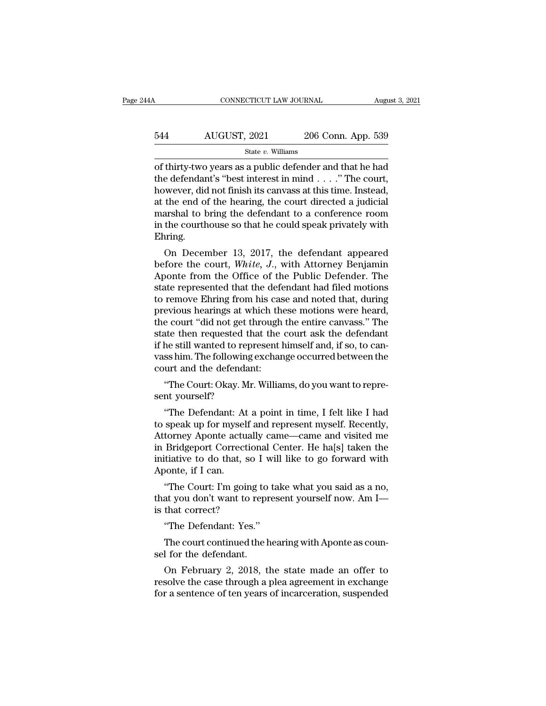### CONNECTICUT LAW JOURNAL August 3, 2021<br>544 AUGUST, 2021 206 Conn. App. 539<br>5tate v. Williams State *v.* Williams

CONNECTICUT LAW JOURNAL August 3, 2021<br>
State v. Williams<br>
State v. Williams<br>
of thirty-two years as a public defender and that he had<br>
the defendant's "best interest in mind . . . ." The court,<br>
however did not finish its 544 AUGUST, 2021 206 Conn. App. 539<br>  $\frac{\text{State } v. \text{ Williams}}{\text{State } v. \text{ Williams}}$ <br>
of thirty-two years as a public defender and that he had<br>
the defendant's "best interest in mind . . . ." The court,<br>
however, did not finish its canvass  $\frac{544}{\text{MGGUST, 2021}}$  206 Conn. App. 539<br>
State v. Williams<br>
of thirty-two years as a public defender and that he had<br>
the defendant's "best interest in mind . . . ." The court,<br>
however, did not finish its canvass at th 544 AUGUST, 2021 206 Conn. App. 539<br>  $\frac{\text{State } v. \text{ Williams}}{\text{State } v. \text{ Williams}}$ <br>
of thirty-two years as a public defender and that he had<br>
the defendant's "best interest in mind . . . ." The court,<br>
however, did not finish its canvass State v. Williams<br>
of thirty-two years as a public defender and that he had<br>
the defendant's "best interest in mind . . . . " The court,<br>
however, did not finish its canvass at this time. Instead,<br>
at the end of the heari state v. Williams<br>of thirty-two years as a public defender and that he had<br>the defendant's "best interest in mind  $\dots$ ." The court,<br>however, did not finish its canvass at this time. Instead,<br>at the end of the hearing, the Ehring. be definited a spear in the court,<br>wever, did not finish its canvass at this time. Instead,<br>the end of the hearing, the court directed a judicial<br>arshal to bring the defendant to a conference room<br>the courthouse so that h however, and not linish its canvass at this time. Instead,<br>at the end of the hearing, the court directed a judicial<br>marshal to bring the defendant to a conference room<br>in the courthouse so that he could speak privately wit

at the end of the hearing, the court unected a judicial<br>marshal to bring the defendant to a conference room<br>in the courthouse so that he could speak privately with<br>Ehring.<br>On December 13, 2017, the defendant appeared<br>befor marshal to bring the defendant to a conference room<br>in the courthouse so that he could speak privately with<br>Ehring.<br>On December 13, 2017, the defendant appeared<br>before the court, *White*, J., with Attorney Benjamin<br>Aponte In the courtrouse so that he could speak privately with<br>Ehring.<br>On December 13, 2017, the defendant appeared<br>before the court, *White*, J., with Attorney Benjamin<br>Aponte from the Office of the Public Defender. The<br>state re Enting.<br>
On December 13, 2017, the defendant appeared<br>
before the court, *White, J.*, with Attorney Benjamin<br>
Aponte from the Office of the Public Defender. The<br>
state represented that the defendant had filed motions<br>
to r On December 13, 2017, the defendant appeared<br>before the court, *White*, *J*., with Attorney Benjamin<br>Aponte from the Office of the Public Defender. The<br>state represented that the defendant had filed motions<br>to remove Ehrin before the court, *White*, *J*., with Attorney Benjamin<br>Aponte from the Office of the Public Defender. The<br>state represented that the defendant had filed motions<br>to remove Ehring from his case and noted that, during<br>previo Aponte from the Office of the Public Defender. The<br>state represented that the defendant had filed motions<br>to remove Ehring from his case and noted that, during<br>previous hearings at which these motions were heard,<br>the court state represented that the defendant had filed motions<br>to remove Ehring from his case and noted that, during<br>previous hearings at which these motions were heard,<br>the court "did not get through the entire canvass." The<br>stat to remove Ehring from his case<br>previous hearings at which the<br>the court "did not get through<br>state then requested that the<br>if he still wanted to represent l<br>vass him. The following exchar<br>court and the defendant:<br>"The Cour evious hearings at which these motions were heard,<br>e court "did not get through the entire canvass." The<br>ate then requested that the court ask the defendant<br>he still wanted to represent himself and, if so, to can-<br>ss him. dia not get a<br>state then requested the<br>if he still wanted to rep<br>vass him. The following<br>court and the defendar<br>"The Court: Okay. Mr<br>sent yourself?"<br>"The Defendant: At a he still wanted to represent himself and, if so, to canss him. The following exchange occurred between the urt and the defendant:<br>
"The Court: Okay. Mr. Williams, do you want to repre-<br>
nt yourself?"<br>
"The Defendant: At a

vass him. The following exchange occurred between the<br>court and the defendant:<br>"The Court: Okay. Mr. Williams, do you want to repre-<br>sent yourself?<br>"The Defendant: At a point in time, I felt like I had<br>to speak up for myse court and the defendant:<br>
"The Court: Okay. Mr. Williams, do you want to represent yourself?<br>
"The Defendant: At a point in time, I felt like I had<br>
to speak up for myself and represent myself. Recently,<br>
Attorney Aponte a "The Court: Okay. Mr. Williams, do you want to represent yourself?"<br>
"The Defendant: At a point in time, I felt like I had<br>
to speak up for myself and represent myself. Recently,<br>
Attorney Aponte actually came—came and vis Ine Court: Okay. Mr. Williams, do you want to represent yourself?<br>
"The Defendant: At a point in time, I felt like I had<br>
to speak up for myself and represent myself. Recently,<br>
Attorney Aponte actually came—came and visit sent yoursen?<br>
"The Defendant: At<br>
to speak up for mysel<br>
Attorney Aponte actu<br>
in Bridgeport Correct<br>
initiative to do that,<br>
Aponte, if I can.<br>
"The Court: I'm goi The Detendant: At a point in time, I felt like I had<br>speak up for myself and represent myself. Recently,<br>torney Aponte actually came—came and visited me<br>Bridgeport Correctional Center. He ha[s] taken the<br>titative to do tha to speak up for hiysen and represent hiysen. Recently,<br>Attorney Aponte actually came—came and visited me<br>in Bridgeport Correctional Center. He ha[s] taken the<br>initiative to do that, so I will like to go forward with<br>Aponte Attorney Aponte actuan;<br>in Bridgeport Correction<br>initiative to do that, so<br>Aponte, if I can.<br>"The Court: I'm going<br>that you don't want to re<br>is that correct?<br>"The Defendant: Yes."

itiative to do that, so I will<br>
bonte, if I can.<br>
"The Court: I'm going to ta<br>
at you don't want to repres<br>
that correct?<br>
"The Defendant: Yes."<br>
The court continued the hea bonte, if I can.<br>
"The Court: I'm going to take what you said as a no,<br>
at you don't want to represent yourself now. Am I—<br>
that correct?<br>
"The Defendant: Yes."<br>
The court continued the hearing with Aponte as coun-<br>
I for "The Court: I'm going to<br>that you don't want to repr<br>is that correct?<br>"The Defendant: Yes."<br>The court continued the h<br>sel for the defendant.<br>On February 2, 2018, t

at you don't want to represent yourself now. Am I—<br>that correct?<br>"The Defendant: Yes."<br>The court continued the hearing with Aponte as coun-<br>I for the defendant.<br>On February 2, 2018, the state made an offer to<br>solve the cas is that correct?<br>
"The Defendant: Yes."<br>
The court continued the hearing with Aponte as counsel for the defendant.<br>
On February 2, 2018, the state made an offer to<br>
resolve the case through a plea agreement in exchange<br>
fo "The Defendant: Yes."<br>The court continued the hearing with Aponte as counsel for the defendant.<br>On February 2, 2018, the state made an offer to<br>resolve the case through a plea agreement in exchange<br>for a sentence of ten ye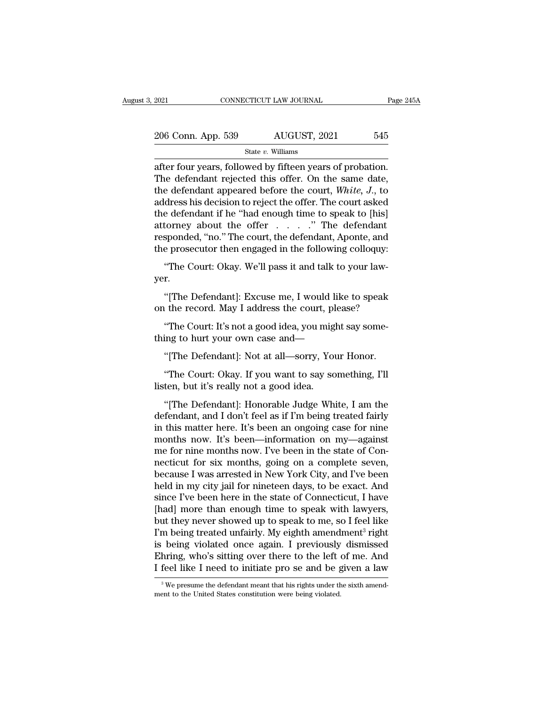| 2021               | CONNECTICUT LAW JOURNAL | Page 245A |
|--------------------|-------------------------|-----------|
| 206 Conn. App. 539 | AUGUST, 2021            | 545       |
|                    | State $v$ . Williams    |           |

2021 CONNECTICUT LAW JOURNAL Page 24<br>
206 Conn. App. 539 AUGUST, 2021 545<br>
31 State v. Williams<br>
21 State v. Williams<br>
21 State v. Williams<br>
21 The defendant rejected this offer. On the same date,<br>
21 Hotel defendant appea 206 Conn. App. 539 AUGUST, 2021 545<br>
State v. Williams<br>
after four years, followed by fifteen years of probation.<br>
The defendant rejected this offer. On the same date,<br>
the defendant appeared before the court, *White*, *J* 206 Conn. App. 539 AUGUST, 2021 545<br>
State v. Williams<br>
after four years, followed by fifteen years of probation.<br>
The defendant rejected this offer. On the same date,<br>
the defendant appeared before the court, *White, J.* 206 Conn. App. 539 AUGUST, 2021 545<br>
State v. Williams<br>
after four years, followed by fifteen years of probation.<br>
The defendant rejected this offer. On the same date,<br>
the defendant appeared before the court, *White*, *J* State v. Williams<br>
after four years, followed by fifteen years of probation.<br>
The defendant rejected this offer. On the same date,<br>
the defendant appeared before the court, *White*, *J*., to<br>
address his decision to rejec state v. Williams<br>after four years, followed by fifteen years of probation.<br>The defendant rejected this offer. On the same date,<br>the defendant appeared before the court, *White*, *J*., to<br>address his decision to reject th after four years, followed by fifteen years of probation.<br>The defendant rejected this offer. On the same date,<br>the defendant appeared before the court, *White*, *J*., to<br>address his decision to reject the offer. The court The defendant rejected this offer. On the same date,<br>the defendant appeared before the court, *White*, *J*., to<br>address his decision to reject the offer. The court asked<br>the defendant if he "had enough time to speak to [h It is designated before the court, *mine*, *b*<sub>1</sub>, to dress his decision to reject the offer. The court asked e defendant if he "had enough time to speak to [his] torney about the offer which is appooned, "no." The court, torney about the offer . . . . ." The defendant<br>sponded, "no." The court, the defendant, Aponte, and<br>e prosecutor then engaged in the following colloquy:<br>"The Court: Okay. We'll pass it and talk to your law-<br>r.<br>"[The Defen

yer. responded, "no." The court, the defendant, Aponte, and<br>the prosecutor then engaged in the following colloquy:<br>"The Court: Okay. We'll pass it and talk to your law-<br>yer.<br>"[The Defendant]: Excuse me, I would like to speak<br>on The Court: Okay. We'll pass it and talk to your law-<br>r.<br>"[The Defendant]: Excuse me, I would like to speak<br>a the record. May I address the court, please?<br>"The Court: It's not a good idea, you might say some-<br>ing to hurt yo

"The Court: Okay. We'll pass it and talk to your law-<br>yer.<br>"[The Defendant]: Excuse me, I would like to speak<br>on the record. May I address the court, please?<br>"The Court: It's not a good idea, you might say some-<br>thing to h "[The Defendant]: Excuse me, I would like to speak<br>"the record. May I address the court, please?"<br>"The Court: It's not a good idea, you might say some-<br>ing to hurt your own case and—"<br>[The Defendant]: Not at all—sorry, You

The record. May I address the court, please?<br>
"The Court: It's not a good idea, you might say some-<br>
ing to hurt your own case and—<br>
"[The Defendant]: Not at all—sorry, Your Honor.<br>
"The Court: Okay. If you want to say som on the record. May I address the court, please?<br>
"The Court: It's not a good idea, you might say some-<br>
thing to hurt your own case and—<br>
"[The Defendant]: Not at all—sorry, Your Honor.<br>
"The Court: Okay. If you want to sa

"<br>
"[The Defendant]: Not at all—sorry, Your Honor.<br>
"The Court: Okay. If you want to say something, I'll<br>
ten, but it's really not a good idea.<br>
"[The Defendant]: Honorable Judge White, I am the<br>
fendant, and I don't feel "[The Defendant]: Not at all—sorry, Your Honor.<br>"The Court: Okay. If you want to say something, I'll<br>listen, but it's really not a good idea.<br>"[The Defendant]: Honorable Judge White, I am the<br>defendant, and I don't feel as "[The Defendant]: Not at all—sorry, Your Honor.<br>"The Court: Okay. If you want to say something, I'll<br>listen, but it's really not a good idea.<br>"[The Defendant]: Honorable Judge White, I am the<br>defendant, and I don't feel as "The Court: Okay. If you want to say something, I'll<br>listen, but it's really not a good idea.<br>"[The Defendant]: Honorable Judge White, I am the<br>defendant, and I don't feel as if I'm being treated fairly<br>in this matter here Intertually not a good idea.<br>
"[The Defendant]: Honorable Judge White, I am the<br>
defendant, and I don't feel as if I'm being treated fairly<br>
in this matter here. It's been an ongoing case for nine<br>
months now. It's been—in "The Defendant]: Honorable Judge White, I am the defendant, and I don't feel as if I'm being treated fairly in this matter here. It's been an ongoing case for nine months now. It's been—information on my—against me for ni "[The Defendant]: Honorable Judge White, I am the<br>defendant, and I don't feel as if I'm being treated fairly<br>in this matter here. It's been an ongoing case for nine<br>months now. It's been—information on my—against<br>me for ni defendant, and I don't feel as if I'm being treated fairly<br>in this matter here. It's been an ongoing case for nine<br>months now. It's been—information on my—against<br>me for nine months now. I've been in the state of Con-<br>nect in this matter here. It's been an ongoing case for nine<br>months now. It's been—information on my—against<br>me for nine months now. I've been in the state of Con-<br>necticut for six months, going on a complete seven,<br>because I w months now. It's been—information on my—against<br>me for nine months now. I've been in the state of Con-<br>necticut for six months, going on a complete seven,<br>because I was arrested in New York City, and I've been<br>held in my c me for nine months now. I've been in the state of Connecticut for six months, going on a complete seven,<br>because I was arrested in New York City, and I've been<br>held in my city jail for nineteen days, to be exact. And<br>since necticut for six months, going on a complete seven,<br>because I was arrested in New York City, and I've been<br>held in my city jail for nineteen days, to be exact. And<br>since I've been here in the state of Connecticut, I have<br>[ because I was arrested in New York City, and I've been<br>held in my city jail for nineteen days, to be exact. And<br>since I've been here in the state of Connecticut, I have<br>[had] more than enough time to speak with lawyers,<br>bu held in my city jail for nineteen days, to be exact. And<br>since I've been here in the state of Connecticut, I have<br>[had] more than enough time to speak with lawyers,<br>but they never showed up to speak to me, so I feel like<br>I since I've been here in the state of Connecticut, I have<br>[had] more than enough time to speak with lawyers,<br>but they never showed up to speak to me, so I feel like<br>I'm being treated unfairly. My eighth amendment<sup>3</sup> right<br> I'm being treated unfairly. My eighth amendment<sup>3</sup> right<br>is being violated once again. I previously dismissed<br>Ehring, who's sitting over there to the left of me. And<br>I feel like I need to initiate pro se and be given a la I feel like I need to initiate pro se and be given a law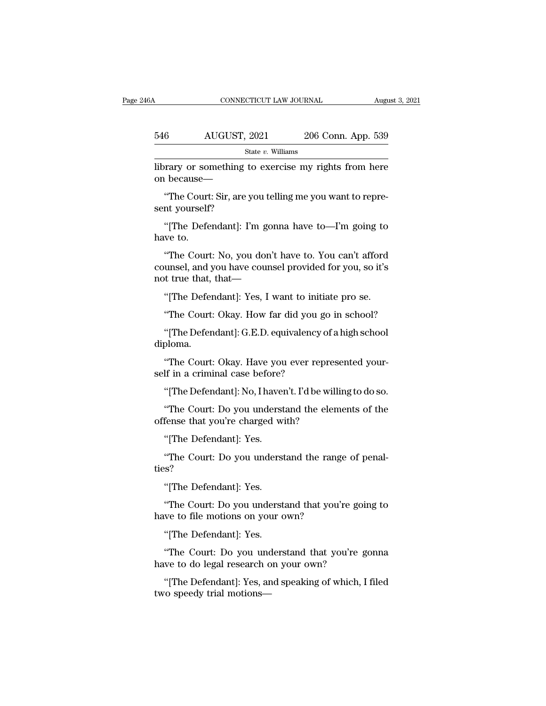#### CONNECTICUT LAW JOURNAL August 3, 2021<br>546 AUGUST, 2021 206 Conn. App. 539<br>5tate v. Williams State *v.* Williams CONNECTICUT LAW JOURNAL August 3, 2021<br>
S46 AUGUST, 2021 206 Conn. App. 539<br>
State v. Williams<br>
State v. Williams<br>
State v. Williams<br>
On because— 546 AUGUST, 2021<br>
<sup>State v. Williams</sup><br>
library or something to exercise<br>
on because—<br>
"The Court: Sir, are you telling m  $\frac{6}{\text{State } v. \text{ Williams}}$ <br>
State *v*. Williams<br>
Frary or something to exercise my rights from here<br>  $\frac{1}{\text{because}}$ <br>
"The Court: Sir, are you telling me you want to repre-<br>
"The Court: Sir, are you telling me you want to repre-<br>
"  $\begin{array}{ll} \text{546} & \text{AUGUST, 2} \ \text{546} & \text{Stz} \ \text{library or something to} \ \text{on because} \ \text{``The Court: Sir, are y} \ \text{sent yourself?} \ \text{``[The Defendant]: I''} \end{array}$

State *v*. Williams<br>
I because—<br>
"The Court: Sir, are you telling me you want to repre-<br>
"The Court: Sir, are you telling me you want to repre-<br>
"[The Defendant]: I'm gonna have to—I'm going to<br>
we to. library or som<br>on because—<br>"The Court<br>sent yourself<br>"[The Defe<br>have to.<br>"The Court

"The Court: Sir, are you telling me you want to repre-<br>nt yourself?<br>"[The Defendant]: I'm gonna have to—I'm going to<br>we to.<br>"The Court: No, you don't have to. You can't afford<br>unsel, and you have counsel provided for you, "The Court: Sir, are you telling me you want to represent yourself?<br>"[The Defendant]: I'm gonna have to—I'm going to<br>have to.<br>"The Court: No, you don't have to. You can't afford<br>counsel, and you have counsel provided for y sent yourself?<br>
"[The Defendant]: I'm gonna have to-<br>
have to.<br>
"The Court: No, you don't have to. Yo<br>
counsel, and you have counsel provided i<br>
not true that, that—<br>
"[The Defendant]: Yes, I want to initia "[The Defendant]: I'm gonna have to—I'm going to<br>we to.<br>"The Court: No, you don't have to. You can't afford<br>unsel, and you have counsel provided for you, so it's<br>of true that, that—<br>"[The Defendant]: Yes, I want to initiat "The Court: No, you don't have to. You can't afford<br>"The Court: No, you don't have to. You can't afford<br>"It true that, that—"<br>"[The Defendant]: Yes, I want to initiate pro se.<br>"The Court: Okay. How far did you go in school The Josta Fro, you as the flatte to Four of a high school<br>unsel, and you have counsel provided for you, so it's<br>it true that, that—<br>"[The Defendant]: Yes, I want to initiate pro se.<br>"The Court: Okay. How far did you go in

diploma.

"[The Defendant]: Yes, I want to initiate pro se.<br>"The Court: Okay. How far did you go in school?<br>"[The Defendant]: G.E.D. equivalency of a high school<br>ploma.<br>"The Court: Okay. Have you ever represented your-<br>If in a crimi "The Defendant]: G.E.D. equivalency<br>
"The Defendant]: G.E.D. equivalency<br>
diploma.<br>
"The Court: Okay. Have you ever rep<br>
self in a criminal case before?<br>
"[The Defendant]: No, I haven't. I'd be "[The Defendant]: G.E.D. equivalency of a high school<br>ploma.<br>"The Court: Okay. Have you ever represented your-<br>If in a criminal case before?<br>"[The Defendant]: No, I haven't. I'd be willing to do so.<br>"The Court: Do you unde ploma.<br>
"The Court: Okay. Have you ever represented your-<br>
If in a criminal case before?<br>
"[The Defendant]: No, I haven't. I'd be willing to do so.<br>
"The Court: Do you understand the elements of the<br>
fense that you're char "The Court: Okay. Have you ever repres<br>self in a criminal case before?<br>"[The Defendant]: No, I haven't. I'd be will<br>"The Court: Do you understand the elem<br>offense that you're charged with?<br>"[The Defendant]: Yes.

If in a criminal case before?<br>
"[The Defendant]: No, I have:<br>
"The Court: Do you underst<br>
fense that you're charged w<br>
"[The Defendant]: Yes.<br>
"The Court: Do you unders!" "[The Defendant]: No, I haven't. I'd be willing to do so.<br>"The Court: Do you understand the elements of the<br>fense that you're charged with?<br>"[The Defendant]: Yes.<br>"The Court: Do you understand the range of penal-<br>s?

ties? offense that you're charged with?<br>
"[The Defendant]: Yes.<br>
"The Court: Do you understand the range of penal-<br>
ties?<br>
"[The Defendant]: Yes. "[The Defendant]: Yes.<br>"The Court: Do you understand the range of penal-<br>s?<br>"[The Defendant]: Yes.<br>"The Court: Do you understand that you're going to<br>we to file motions on your own?

"The Court: Do you understand the range<br>ties?<br>"[The Defendant]: Yes.<br>"The Court: Do you understand that you'l<br>have to file motions on your own?<br>"[The Defendant]: Yes. "The Court: Do you understand that you're going to<br>have to file motions on your own?<br>"[The Defendant]: Yes.<br>"The Court: Do you understand that you're gonna "The Court: Do you understand that you're goi<br>have to file motions on your own?<br>"[The Defendant]: Yes.<br>"The Court: Do you understand that you're g<br>have to do legal research on your own?<br>"[The Defendant]: Yes, and speaking

"[The Defendant]: Yes.<br>"The Court: Do you understand that you're going to<br>we to file motions on your own?<br>"[The Defendant]: Yes.<br>"The Court: Do you understand that you're gonna<br>we to do legal research on your own?

The Josta 20 you and speaking that you're going to<br>
"[The Defendant]: Yes.<br>
"The Court: Do you understand that you're gonna<br>
we to do legal research on your own?<br>"[The Defendant]: Yes, and speaking of which, I filed<br>
to sp have to do legal research on your own?<br>
"[The Defendant]: Yes, and speaking of which, I filed<br>
two speedy trial motions—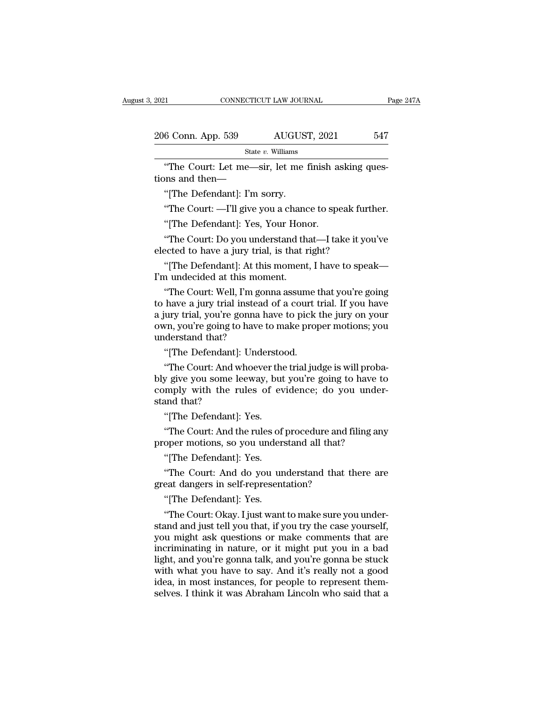| 2021                               | CONNECTICUT LAW JOURNAL                               | Page 247A |
|------------------------------------|-------------------------------------------------------|-----------|
|                                    |                                                       |           |
| 206 Conn. App. 539                 | AUGUST, 2021                                          | 547       |
|                                    | State $v$ . Williams                                  |           |
| tions and then—                    | "The Court: Let me—sir, let me finish asking ques-    |           |
| "[The Defendant]: I'm sorry.       |                                                       |           |
|                                    | "The Court: —I'll give you a chance to speak further. |           |
| "[The Defendant]: Yes, Your Honor. |                                                       |           |
|                                    |                                                       |           |

"The Court: Let me—sir, let me finish asking questions and then—<br>"[The Defendant]: I'm sorry.<br>"The Court: —I'll give you a chance to speak further.<br>"[The Defendant]: Yes, Your Honor.<br>"The Court: Do you understand that—I ta

"The Court: Let me—sir, let me finish asking ques-<br>"[The Defendant]: I'm sorry.<br>"The Court: —I'll give you a chance to speak further.<br>"[The Defendant]: Yes, Your Honor.<br>"The Court: Do you understand that—I take it you've<br>e tions and then—<br>
"[The Defendant]: I'm sorry.<br>
"The Court: —I'll give you a chance to speak fur<br>
"[The Defendant]: Yes, Your Honor.<br>
"The Court: Do you understand that—I take it you<br>
elected to have a jury trial, is that r "[The Defendant]: I'm sorry.<br>"The Court: —I'll give you a chance to speak further.<br>"[The Defendant]: Yes, Your Honor.<br>"The Court: Do you understand that—I take it you've<br>ected to have a jury trial, is that right?<br>"[The Def "The Court: —I'll give you a chanc"<br>[The Defendant]: Yes, Your Hone"<br>The Court: Do you understand the<br>lected to have a jury trial, is that r<br>"[The Defendant]: At this moment<br>I'm undecided at this moment."<br>The Court: Well,

"[The Defendant]: Yes, Your Honor.<br>"The Court: Do you understand that—I take it you've<br>ected to have a jury trial, is that right?<br>"[The Defendant]: At this moment, I have to speak—<br>"The Court: Well, I'm gonna assume that y "The Court: Do you understand that—I take it you've<br>elected to have a jury trial, is that right?<br>"[The Defendant]: At this moment, I have to speak—I'm undecided at this moment.<br>"The Court: Well, I'm gonna assume that you'r The Court. Do you understand that Trake it you're<br>elected to have a jury trial, is that right?<br>"[The Defendant]: At this moment, I have to speak—<br>I'm undecided at this moment.<br>"The Court: Well, I'm gonna assume that you're "[The Defendant]: At this moment, I have to speak—<br>I'm undecided at this moment.<br>"The Court: Well, I'm gonna assume that you're going<br>to have a jury trial instead of a court trial. If you have<br>a jury trial, you're gonna ha "[The Defendant]: At thi"<br>I'm undecided at this mor"<br>"The Court: Well, I'm goto<br>to have a jury trial instead<br>a jury trial, you're gonna h<br>own, you're going to have<br>understand that?<br>"[The Defendant]: Unde "The Court: Well, I'm gonna assume thave a jury trial instead of a court thave a jury trial instead of a court than you're going to have to make proplerstand that?<br>"The Defendant]: Understood. "The Court: And whoever the t The Court: Wen, I'll gonna assume that you're going<br>have a jury trial instead of a court trial. If you have<br>ury trial, you're going to have to pick the jury on your<br>who, you're going to have to make proper motions; you<br>der

b have a jury trial instead or a court trial. If you have<br>a jury trial, you're gonna have to pick the jury on your<br>own, you're going to have to make proper motions; you<br>understand that?<br>"The Court: And whoever the trial ju comply that, you're goint have to pick the jury of your down, you're going to have to make proper motions; you<br>understand that?<br>"[The Defendant]: Understood.<br>"The Court: And whoever the trial judge is will probably give yo own, you're going to<br>
understand that?<br>
"[The Defendant]:<br>
"The Court: And w<br>
bly give you some le<br>
comply with the ristand that?<br>
"[The Defendant]: "[The Defendant]: Understo"<br>The Court: And whoever the<br>y give you some leeway, but<br>mply with the rules of evand that?<br>"[The Defendant]: Yes.<br>"The Court: And the rules of "The Court: And whoever the trial judge is will proba-<br>y give you some leeway, but you're going to have to<br>mply with the rules of evidence; do you under-<br>and that?<br>"[The Defendant]: Yes.<br>"The Court: And the rules of proced Fire Court. And whoever the tharjudge is win probably give you some leeway, but you're going to have to comply with the rules of evidence; do you under stand that?<br>"[The Defendant]: Yes. "The Court: And the rules of proced mply with the rules of event<br>and that?<br>"[The Defendant]: Yes.<br>"The Court: And the rules of<br>oper motions, so you under."<br>[The Defendant]: Yes.<br>"The Court: And do you ur

and that?<br>"[The Defendant]: Yes.<br>"The Court: And the rules of procedure and filing any<br>oper motions, so you understand all that?<br>"[The Defendant]: Yes.<br>"The Court: And do you understand that there are<br>eat dangers in self-r "[The Defendant]: Yes.<br>"The Court: And the rules of procedure and filing any<br>proper motions, so you understand all that?<br>"[The Defendant]: Yes.<br>"The Court: And do you understand that there are<br>great dangers in self-represe "The Court: And the rules of<br>oper motions, so you under."<br>"[The Defendant]: Yes.<br>"The Court: And do you un<br>eat dangers in self-represent"<br>[The Defendant]: Yes.<br>"The Court: Okay. I just want

"The Court: Okay. I just want to make sure you under-<br>stand and just tell you that, if you try the case yourself,<br>you might ask questions or make comments that are "[The Defendant]: Yes.<br>"The Court: And do you understand that there are<br>great dangers in self-representation?<br>"[The Defendant]: Yes.<br>"The Court: Okay. I just want to make sure you under-<br>stand and just tell you that, if yo "The Court: And do you understand that there are<br>great dangers in self-representation?<br>"[The Defendant]: Yes.<br>"The Court: Okay. I just want to make sure you under-<br>stand and just tell you that, if you try the case yourself incrimination?<br>
increase dangers in self-representation?<br>
"The Defendant]: Yes.<br>
"The Court: Okay. I just want to make sure you under-<br>
stand and just tell you that, if you try the case yourself,<br>
you might ask questions o "[The Defendant]: Yes.<br>"The Court: Okay. I just want to make sure you understand and just tell you that, if you try the case yourself,<br>you might ask questions or make comments that are<br>incriminating in nature, or it might "[The Defendant]: Yes.<br>"The Court: Okay. I just want to make sure you understand and just tell you that, if you try the case yourself,<br>you might ask questions or make comments that are<br>incriminating in nature, or it might "The Court: Okay. I just want to make sure you understand and just tell you that, if you try the case yourself, you might ask questions or make comments that are incriminating in nature, or it might put you in a bad light, stand and just tell you that, if you try the case yourself, you might ask questions or make comments that are incriminating in nature, or it might put you in a bad light, and you're gonna talk, and you're gonna be stuck wi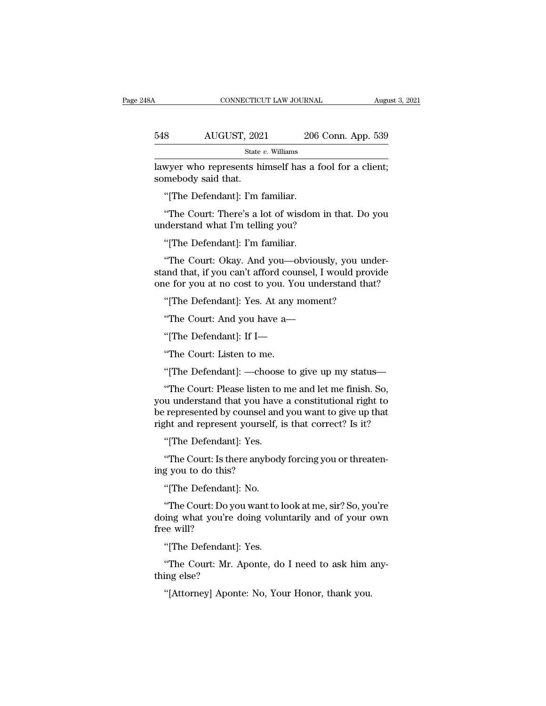CONNECTICUT LAW JOURNAL August 3, 2021<br>548 AUGUST, 2021 206 Conn. App. 539<br>5tate v. Williams State *v.* Williams CONNECTICUT LAW JOURNAL August 3, 2<br>
348 AUGUST, 2021 206 Conn. App. 539<br>
348 State v. Williams<br>
348 State v. Williams<br>
348 State v. Williams<br>
36 State v. Williams<br>
36 State v. Williams<br>
36 State in Somebody said that. 548 AUGUST, 202<br>
<sup>State</sup><br>
lawyer who represents his<br>
somebody said that.<br>
"[The Defendant]: I'm 1 <sup>8</sup>
MUGUST, 2021
<sup>206</sup><br>
<sup>State v. Williams<br>
Myer who represents himself has a<br>
imebody said that.<br>
"The Defendant]: I'm familiar.<br>
"The Court: There's a lot of wisdom</sup>

State v. Williams<br>
When when represents himself has a fool for a client;<br>
mebody said that.<br>
"The Defendant]: I'm familiar.<br>
"The Court: There's a lot of wisdom in that. Do you<br>
derstand what I'm telling you? state  $v$ . Williams<br>
lawyer who represents himself has a fool<br>
somebody said that.<br>
"[The Defendant]: I'm familiar.<br>
"The Court: There's a lot of wisdom in the understand what I'm telling you?<br>"[The Defendant]: I'm famili Wycr who represents finisch has a limetal mebody said that.<br>
"[The Defendant]: I'm familiar.<br>
"The Court: There's a lot of wisdom<br>
derstand what I'm telling you?<br>
"[The Defendant]: I'm familiar.<br>"The Court: Okay. And you—o

"[The Defendant]: I'm familiar.<br>"The Court: There's a lot of wisdom in that. Do you<br>derstand what I'm telling you?<br>"[The Defendant]: I'm familiar.<br>"The Court: Okay. And you—obviously, you under-<br>and that, if you can't affo "The Court: There's a lot of wisdom in that. Do you<br>"The Court: There's a lot of wisdom in that. Do you<br>"[The Defendant]: I'm familiar.<br>"The Court: Okay. And you—obviously, you under-<br>stand that, if you can't afford counse "The Court: There's a lot of wisdom in that. Do you<br>understand what I'm telling you?<br>"[The Defendant]: I'm familiar.<br>"The Court: Okay. And you—obviously, you under-<br>stand that, if you can't afford counsel, I would provide<br> "[The Defendant]: I'm familiar.<br>"The Court: Okay. And you—obviously, you und<br>and that, if you can't afford counsel, I would prove<br>the for you at no cost to you. You understand that<br>"[The Defendant]: Yes. At any moment?<br>"Th "The Court: Okay. And you—obviously, you under<br>
"The Court: Okay. And you—obviously, you under<br>
and that, if you can't afford counsel, I would provid<br>
"I'The Defendant]: Yes. At any moment?<br>
"The Court: And you have a—<br>"[T The Court. Only. That you Coviolally, you<br>and that, if you can't afford counsel, I would<br>le for you at no cost to you. You understand<br>"[The Defendant]: If I—<br>"The Defendant]: If I—<br>"The Court: Listen to me. one for you at no cost to you. You understand that?<br>
"[The Defendant]: Yes. At any moment?<br>
"The Court: And you have a—<br>
"[The Defendant]: If I—<br>
"The Court: Listen to me.<br>
"[The Defendant]: —choose to give up my status—

"[The Defendant]: Yes. At any moment?<br>"The Court: And you have a—<br>"[The Defendant]: If I—<br>"The Court: Listen to me.<br>"[The Defendant]: —choose to give up my status—<br>"The Court: Please listen to me and let me finish. So, "The Court: And you have a—<br>"[The Defendant]: If I—<br>"The Court: Listen to me.<br>"[The Defendant]: —choose to give up my status—<br>"The Court: Please listen to me and let me finish. So,<br>u understand that you have a constitution "[The Defendant]: If I—<br>"The Court: Listen to me.<br>"[The Defendant]: —choose to give up my status—<br>"The Court: Please listen to me and let me finish. So,<br>you understand that you have a constitutional right to<br>be represented "The Court: Listen to me.<br>
"The Court: Listen to me.<br>
"The Court: Please listen to me and let me finish. So,<br>
you understand that you have a constitutional right to<br>
be represented by counsel and you want to give up that<br> "The Court: Listen to me.<br>"[The Defendant]: —choose to give up my status—<br>"The Court: Please listen to me and let me finish. So,<br>you understand that you have a constitutional right to<br>be represented by counsel and you want "[The Defendant]: —choose<br>"The Court: Please listen to<br>u understand that you have<br>represented by counsel and<br>ght and represent yourself, is<br>"[The Defendant]: Yes.<br>"The Court: Is there anybody "The Court: Please listen to me and let me finish. So, u understand that you have a constitutional right to represented by counsel and you want to give up that that and represent yourself, is that correct? Is it? "[The Def you understand that you have<br>be represented by counsel and<br>right and represent yourself<br>"[The Defendant]: Yes.<br>"The Court: Is there anybo<br>ing you to do this?<br>"[The Defendant]: No.

Tepteschied by counser and<br>the and represent yourself,<br>"[The Defendant]: Yes.<br>"The Court: Is there anybodg you to do this?<br>"[The Defendant]: No.<br>"The Court: Do you want to!

"[The Defendant]: Yes.<br>"The Court: Is there anybody forcing you or threateng<br>you to do this?<br>"[The Defendant]: No.<br>"The Court: Do you want to look at me, sir? So, you're<br>ing what you're doing voluntarily and of your own<br>no "The Court: Is there anybody forcing you or threatening you to do this?"<br>"[The Defendant]: No.<br>"The Court: Do you want to look at me, sir? So, you're doing what you're doing voluntarily and of your own<br>free will? "The Court: Is th"<br>ing you to do this"<br>"[The Defendant"<br>The Court: Do y<br>doing what you're<br>free will?<br>"[The Defendant" "[The Defendant]: No.<br>"The Court: Do you want to l<br>ing what you're doing volu:<br>ee will?<br>"[The Defendant]: Yes.<br>"The Court: Mr. Aponte, do "The Court: Do you want to look at me, sir? So, you're<br>"The Court: Do you want to look at me, sir? So, you're<br>being what you're doing voluntarily and of your own<br>"The Defendant]: Yes.<br>"The Court: Mr. Aponte, do I need to a "The Court: Do yo"<br>doing what you're<br>free will?<br>"[The Defendant]<br>"The Court: Mr. 4<br>thing else?<br>"[Attorney] Apon! doing what you're doing voluntarily and of your own<br>free will?<br>"[The Defendant]: Yes.<br>"The Court: Mr. Aponte, do I need to ask him any-<br>thing else?<br>"[Attorney] Aponte: No, Your Honor, thank you.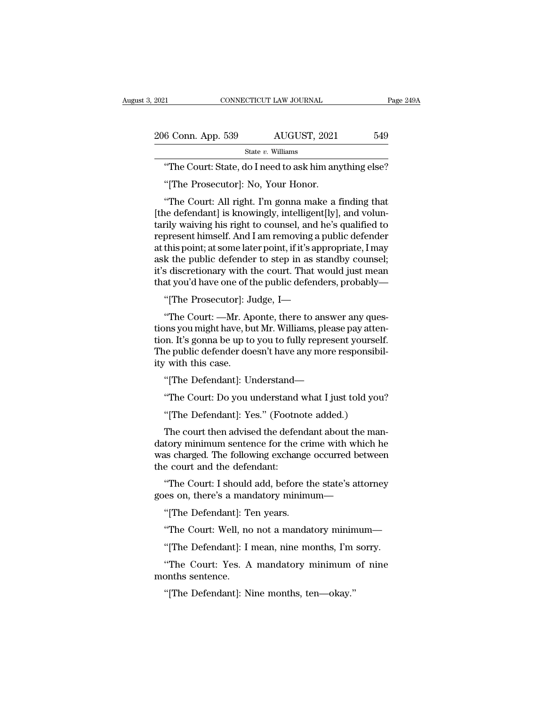| 2021                                                   |                      | CONNECTICUT LAW JOURNAL |     | Page 249A |
|--------------------------------------------------------|----------------------|-------------------------|-----|-----------|
| 206 Conn. App. 539                                     |                      | AUGUST, 2021            | 549 |           |
|                                                        | State $v$ . Williams |                         |     |           |
| "The Court: State, do I need to ask him anything else? |                      |                         |     |           |
| "The Prosecutor]: No, Your Honor.                      |                      |                         |     |           |
| "The Court: All right. I'm gonna make a finding that   |                      |                         |     |           |

 $\frac{6 \text{ Conn. App. 539}}{\text{State } v. \text{ Williams}}$ <br>
"The Court: State, do I need to ask him anything else?<br>
"[The Prosecutor]: No, Your Honor.<br>
"The Court: All right. I'm gonna make a finding that<br>
the defendant] is knowingly, intelligent[ly State v. Williams<br>
The Court: State, do I need to ask him anything else?<br>
"The Prosecutor]: No, Your Honor.<br>
"The Court: All right. I'm gonna make a finding that<br>
[the defendant] is knowingly, intelligent[ly], and volun-<br> State v. Williams<br>
"The Court: State, do I need to ask him anything else?<br>
"[The Prosecutor]: No, Your Honor.<br>
"The Court: All right. I'm gonna make a finding that<br>
[the defendant] is knowingly, intelligent[ly], and volun-"The Court: State, do I need to ask him anything else?<br>"[The Prosecutor]: No, Your Honor.<br>"The Court: All right. I'm gonna make a finding that<br>[the defendant] is knowingly, intelligent[ly], and volun-<br>tarily waiving his ri "[The Prosecutor]: No, Your Honor.<br>"The Court: All right. I'm gonna make a finding that<br>[the defendant] is knowingly, intelligent[ly], and volun-<br>tarily waiving his right to counsel, and he's qualified to<br>represent himself The Tosecutor]. No, Tour Hohot.<br>
"The Court: All right. I'm gonna make a finding that<br>
[the defendant] is knowingly, intelligent[ly], and volun-<br>
tarily waiving his right to counsel, and he's qualified to<br>
represent himsel "The Court: All right. I'm gonna make a finding that<br>[the defendant] is knowingly, intelligent[ly], and volun-<br>tarily waiving his right to counsel, and he's qualified to<br>represent himself. And I am removing a public defend [the defendant] is knowingly, intelligent[ly], and voluntarily waiving his right to counsel, and he's qualified to represent himself. And I am removing a public defender at this point; at some later point, if it's appropri ''[The Prosecutor]: Judge, I—"The Court: —Mr. Aponte, there to answer any questionary with the court. That would just mean at you'd have one of the public defenders, probably "[The Prosecutor]: Judge, I—"The Court: —Mr. Ap this point; at some later point, if it's appropriate, I may<br>k the public defender to step in as standby counsel;<br>s discretionary with the court. That would just mean<br>at you'd have one of the public defenders, probably—<br>"[T

ask the public defender to step in as standby counsel;<br>it's discretionary with the court. That would just mean<br>that you'd have one of the public defenders, probably—<br>"[The Prosecutor]: Judge, I—<br>"The Court: —Mr. Aponte, th it's discretionary with the court. That would just mean<br>that you'd have one of the public defenders, probably—<br>"[The Prosecutor]: Judge, I—<br>"The Court: —Mr. Aponte, there to answer any ques-<br>tions you might have, but Mr. W that you'd have one of the public defenders, probably—<br>"[The Prosecutor]: Judge, I—<br>"The Court: —Mr. Aponte, there to answer any questions you might have, but Mr. Williams, please pay attention. It's gonna be up to you to "[The Prosecutor]: Ju"<br>"The Court: —Mr. Applies with the University of the public defender do<br>"The public defender do"<br>"It with this case."<br>"[The Defendant]: Un "The Court: —Mr. Aponte, there to answer any ques-<br>ons you might have, but Mr. Williams, please pay atten-<br>on. It's gonna be up to you to fully represent yourself.<br>the public defender doesn't have any more responsibil-<br>wit ons you might have, but Mr. Williams, please pay atten-<br>
In It's gonna be up to you to fully represent yourself.<br>
He public defender doesn't have any more responsibil-<br>
"The Defendant]: Understand—<br>
"The Court: Do you unde In: it s gonna be up to you to funy represent yourser<br>
e public defender doesn't have any more responsibi<br>
"The Defendant]: Understand—<br>
"The Court: Do you understand what I just told you<br>
"[The Defendant]: Yes." (Footnote

with this case.<br>
"[The Defendant]: Understand—<br>
"The Court: Do you understand what I just told you?<br>
"[The Defendant]: Yes." (Footnote added.)<br>
The court then advised the defendant about the man-<br>
tory minimum sentence for "[The Defendant]: Understand—<br>"The Court: Do you understand what I just told you?<br>"[The Defendant]: Yes." (Footnote added.)<br>The court then advised the defendant about the man-<br>datory minimum sentence for the crime with whi "The Detendant]. Understand—<br>"The Court: Do you understand what I just told you?<br>"[The Defendant]: Yes." (Footnote added.)<br>The court then advised the defendant about the man-<br>datory minimum sentence for the crime with whic "The Court: Do you understand<br>"[The Defendant]: Yes." (Footne<br>The court then advised the defer<br>datory minimum sentence for the<br>was charged. The following exchan<br>the court and the defendant:<br>"The Court: I should add, before "[The Defendant]: Yes." (Footnote added.)<br>The court then advised the defendant about the man-<br>tory minimum sentence for the crime with which he<br>as charged. The following exchange occurred between<br>e court and the defendant: The court then advised the defendant about the mandatory minimum sentence for the crime with which he was charged. The following exchange occurred between the court and the defendant:<br>"The Court: I should add, before the s tory minimum sentence for the crist<br>as charged. The following exchange<br>e court and the defendant:<br>"The Court: I should add, before tl<br>es on, there's a mandatory minim<br>"[The Defendant]: Ten years.<br>"The Court: Well, no not a

s charged. The following excharge occurred between<br>
e court and the defendant:<br>
"The Court: I should add, before the state's attorney<br>
es on, there's a mandatory minimum—<br>
"[The Defendant]: I mean, nine months, I'm sorry. "The Court: I should add, before the state's attorney<br>es on, there's a mandatory minimum—<br>"[The Defendant]: Ten years.<br>"The Court: Well, no not a mandatory minimum—<br>"[The Defendant]: I mean, nine months, I'm sorry.<br>"The Co

es on, there's a mandatory minimum—<br>"[The Defendant]: Ten years.<br>"The Court: Well, no not a mandatory minimum—<br>"[The Defendant]: I mean, nine months, I'm sorry.<br>"The Court: Yes. A mandatory minimum of nine<br>onths sentence. "[The Defendant]: To<br>"The Court: Well, no<br>"[The Defendant]: I<br>"The Court: Yes. A<br>months sentence.<br>"[The Defendant]: N "The Court: Well, no not a mandatory minimum—<br>"[The Defendant]: I mean, nine months, I'm sorry.<br>"The Court: Yes. A mandatory minimum of nine<br>months sentence.<br>"[The Defendant]: Nine months, ten—okay."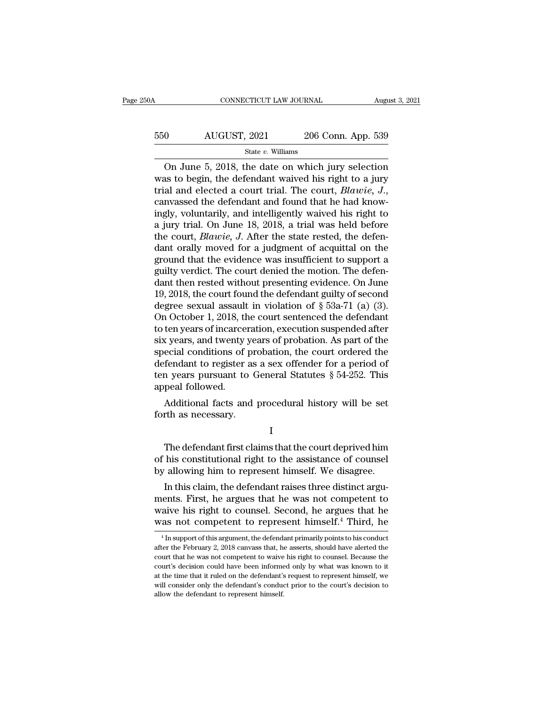### CONNECTICUT LAW JOURNAL August 3, 2021<br>550 AUGUST, 2021 206 Conn. App. 539<br>5tate v. Williams State *v.* Williams

CONNECTICUT LAW JOURNAL August 3, 2021<br>
On AUGUST, 2021 206 Conn. App. 539<br>
State v. Williams<br>
On June 5, 2018, the date on which jury selection<br>
as to begin, the defendant waived his right to a jury<br>
al and closted a sou  $\begin{array}{r} \text{550} & \text{AUGUST, 2021} & \text{206 Conn. App. 539} \\ \text{State } v. \text{ Williams} \end{array}$ <br>On June 5, 2018, the date on which jury selection was to begin, the defendant waived his right to a jury trial and elected a court trial. The court, *Blawie* trial and elected a court trial. The court, *Blawie, J.*, canvassed the defendant and found that he had know-<br>ingly, voluntarily, and intelligently waived his right to a jury trial and elected a court trial. The court, *B* Solution 1992, 1992, 1992, 1993, 1993, 1993, 1993, 1994, 1995, 1996, 1997, 1997, 1997, 1998, 1998, 1999, 1999, 1999, 1999, 1999, 1999, 1999, 1999, 1999, 1999, 1999, 1999, 1999, 1999, 1999, 1999, 1999, 1999, 1999, 1999, 19 state v. Williams<br>
On June 5, 2018, the date on which jury selection<br>
was to begin, the defendant waived his right to a jury<br>
trial and elected a court trial. The court, *Blawie*, *J.*,<br>
canvassed the defendant and found On June 5, 2018, the date on which jury selection<br>was to begin, the defendant waived his right to a jury<br>trial and elected a court trial. The court, *Blawie*, *J.*,<br>canvassed the defendant and found that he had know-<br>ingly was to begin, the defendant waived his right to a jury<br>trial and elected a court trial. The court, *Blawie*, *J.*,<br>canvassed the defendant and found that he had know-<br>ingly, voluntarily, and intelligently waived his right trial and elected a court trial. The court, *Blawie*,  $J$ ., canvassed the defendant and found that he had knowingly, voluntarily, and intelligently waived his right to a jury trial. On June 18, 2018, a trial was held befo canvassed the defendant and found that he had know-<br>ingly, voluntarily, and intelligently waived his right to<br>a jury trial. On June 18, 2018, a trial was held before<br>the court, *Blawie*, *J*. After the state rested, the de ingly, voluntarily, and intelligently waived his right to<br>a jury trial. On June 18, 2018, a trial was held before<br>the court, *Blawie*, *J*. After the state rested, the defen-<br>dant orally moved for a judgment of acquittal a jury trial. On June 18, 2018, a trial was held before<br>the court, *Blawie*, *J*. After the state rested, the defen-<br>dant orally moved for a judgment of acquittal on the<br>ground that the evidence was insufficient to suppor the court, *Blawie*, *J*. After the state rested, the defendant orally moved for a judgment of acquittal on the ground that the evidence was insufficient to support a guilty verdict. The court denied the motion. The defen dant orally moved for a judgment of acquittal on the<br>ground that the evidence was insufficient to support a<br>guilty verdict. The court denied the motion. The defen-<br>dant then rested without presenting evidence. On June<br>19, ground that the evidence was insufficient to support a<br>guilty verdict. The court denied the motion. The defen-<br>dant then rested without presenting evidence. On June<br>19, 2018, the court found the defendant guilty of second<br> guilty verdict. The court denied the motion. The defendant then rested without presenting evidence. On June 19, 2018, the court found the defendant guilty of second degree sexual assault in violation of § 53a-71 (a) (3). O dant then rested without presenting evidence. On June 19, 2018, the court found the defendant guilty of second degree sexual assault in violation of  $\S$  53a-71 (a) (3). On October 1, 2018, the court sentenced the defendan 19, 2018, the court found the defendant guilty of second<br>degree sexual assault in violation of § 53a-71 (a) (3).<br>On October 1, 2018, the court sentenced the defendant<br>to ten years of incarceration, execution suspended aft degree sexual assault in violation of  $\S$  53a-71 (a) (3).<br>On October 1, 2018, the court sentenced the defendant<br>to ten years of incarceration, execution suspended after<br>six years, and twenty years of probation. As part of On October 1, 2018, the to ten years of incarce<br>six years, and twenty<br>special conditions of<br>defendant to register<br>ten years pursuant to<br>appeal followed.<br>Additional facts an Express of incarceration, execution suspended after  $x$  years, and twenty years of probation. As part of the ecial conditions of probation, the court ordered the fendant to register as a sex offender for a period of n yea six years, and twenty years<br>special conditions of prodefendant to register as<br>ten years pursuant to C<br>appeal followed.<br>Additional facts and j<br>forth as necessary.

I

In years pursuant to General Statutes § 54-252. This<br>peal followed.<br>Additional facts and procedural history will be set<br>rth as necessary.<br>I<br>The defendant first claims that the court deprived him<br>his constitutional right to appeal followed.<br>
Additional facts and procedural history will be set<br>
forth as necessary.<br>
I<br>
The defendant first claims that the court deprived him<br>
of his constitutional right to the assistance of counsel<br>
by allowing h Additional facts and procedural history will be set<br>forth as necessary.<br>I<br>The defendant first claims that the court deprived him<br>of his constitutional right to the assistance of counsel<br>by allowing him to represent himself I<br>I<br>The defendant first claims that the court deprived him<br>his constitutional right to the assistance of counsel<br>allowing him to represent himself. We disagree.<br>In this claim, the defendant raises three distinct argu-<br>ents

I<br>
The defendant first claims that the court deprived him<br>
of his constitutional right to the assistance of counsel<br>
by allowing him to represent himself. We disagree.<br>
In this claim, the defendant raises three distinct ar The defendant first claims that the court deprived him<br>of his constitutional right to the assistance of counsel<br>by allowing him to represent himself. We disagree.<br>In this claim, the defendant raises three distinct argu-<br>me The defendant first claims that the court deprived fillm<br>of his constitutional right to the assistance of counsel<br>by allowing him to represent himself. We disagree.<br>In this claim, the defendant raises three distinct argu-<br> In this claim, the defendant raises three distinct arguents. First, he argues that he was not competent to aive his right to counsel. Second, he argues that he as not competent to represent himself.<sup>4</sup> Third, he  $\frac{4 \text{ In$ ments. First, he argues that he was not competent to waive his right to counsel. Second, he argues that he was not competent to represent himself.<sup>4</sup> Third, he  $\frac{4 \text{ In support of this argument, the defendant primarily points to his conduct after the February 2, 2018 canvas that, he asserts, should have a a a a a a a a a a a a a a a a a a a a a$ 

court that he was not competent to waive his right to counsel. Because the was not competent to represent himself.<sup>4</sup> Third, he<br>
<sup>4</sup> Insupport of this argument, the defendant primarily points to his conduct<br>
after the February 2, 2018 canvass that, he asserts, should have alerted the<br>
court that was TiOt Competent to represent finitisen. Third, he<br>  $^{4}$  In support of this argument, the defendant primarily points to his conduct<br>
after the February 2, 2018 canvass that, he asserts, should have alerted the<br>
court t <sup>4</sup> In support of this argument, the defendant primarily points to his conduct after the February 2, 2018 canvass that, he asserts, should have alerted the court that he was not competent to waive his right to counsel. Be after the February 2, 2018 canvass that, he asserts, should have alerted the court that he was not competent to waive his right to counsel. Because the court's decision could have been informed only by what was known to it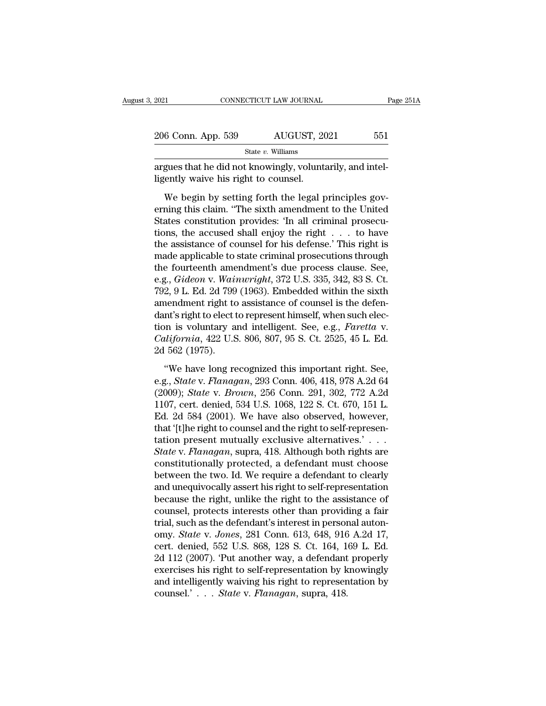| 2021                                 | CONNECTICUT LAW JOURNAL                                   | Page 251A |
|--------------------------------------|-----------------------------------------------------------|-----------|
| 206 Conn. App. 539                   | AUGUST, 2021                                              | 551       |
|                                      | State $v$ . Williams                                      |           |
| ligently waive his right to counsel. | argues that he did not knowingly, voluntarily, and intel- |           |
|                                      | We begin by setting forth the legal principles gov-       |           |

 $\frac{6 \text{ Conn. App. } 539}{\text{State } v. \text{ Williams}}$ <br>
State v. Williams<br>
gues that he did not knowingly, voluntarily, and intel-<br>
ently waive his right to counsel.<br>
We begin by setting forth the legal principles gov-<br>
ning this claim. "The si 206 Conn. App. 539 AUGUST, 2021 551<br>
State v. Williams<br>
argues that he did not knowingly, voluntarily, and intel-<br>
ligently waive his right to counsel.<br>
We begin by setting forth the legal principles gov-<br>
erning this cla State v. Williams<br>
State v. Williams<br>
States constitution provides: 'In all criminal prosecu-<br>
States constitution provides: 'In all criminal prosecu-<br>
tions, the accused shall enjoy the right  $\ldots$  to have<br>
the accidence argues that he did not knowingly, voluntarily, and intel-<br>ligently waive his right to counsel.<br>We begin by setting forth the legal principles gov-<br>erning this claim. "The sixth amendment to the United<br>States constitution p ligently waive his right to counsel.<br>We begin by setting forth the legal principles governing this claim. "The sixth amendment to the United<br>States constitution provides: 'In all criminal prosecu-<br>tions, the accused shall We begin by setting forth the legal principles governing this claim. "The sixth amendment to the United States constitution provides: 'In all criminal prosecutions, the accused shall enjoy the right  $\dots$  to have the assis We begin by setting forth the legal principles governing this claim. "The sixth amendment to the United States constitution provides: 'In all criminal prosecutions, the accused shall enjoy the right  $\dots$  to have the assis erning this claim. "The sixth amendment to the United<br>States constitution provides: 'In all criminal prosecu-<br>tions, the accused shall enjoy the right . . . to have<br>the assistance of counsel for his defense.' This right is States constitution provides: 'In all criminal prosecutions, the accused shall enjoy the right . . . to have the assistance of counsel for his defense.' This right is made applicable to state criminal prosecutions through tions, the accused shall enjoy the right  $\ldots$  to have<br>the assistance of counsel for his defense.' This right is<br>made applicable to state criminal prosecutions through<br>the fourteenth amendment's due process clause. See,<br>e the assistance of counsel for his defense.' This right is<br>
made applicable to state criminal prosecutions through<br>
the fourteenth amendment's due process clause. See,<br>
e.g., *Gideon* v. *Wainwright*, 372 U.S. 335, 342, 83 made applicable to state criminal prosecutions through<br>the fourteenth amendment's due process clause. See,<br>e.g., *Gideon v. Wainwright*, 372 U.S. 335, 342, 83 S. Ct.<br>792, 9 L. Ed. 2d 799 (1963). Embedded within the sixth<br>a the fourteenth amendment's due process clause. See, e.g., *Gideon v. Wainwright*, 372 U.S. 335, 342, 83 S. Ct. 792, 9 L. Ed. 2d 799 (1963). Embedded within the sixth amendment right to assistance of counsel is the defendan e.g., *Gideon* v. Wair<br>792, 9 L. Ed. 2d 799<br>amendment right tc<br>dant's right to elect t<br>tion is voluntary a<br>*California*, 422 U.S<br>2d 562 (1975).<br>"We have long re nendment right to assistance of counsel is the defen-<br>
n's right to elect to represent himself, when such elec-<br>
n is voluntary and intelligent. See, e.g., *Faretta v.*<br> *ulifornia*, 422 U.S. 806, 807, 95 S. Ct. 2525, 45 L dant's right to elect to represent himself, when such election is voluntary and intelligent. See, e.g., *Faretta v.*<br> *California*, 422 U.S. 806, 807, 95 S. Ct. 2525, 45 L. Ed.<br>
2d 562 (1975).<br>
"We have long recognized thi

tion is voluntary and intelligent. See, e.g., *Faretta v.*<br> *California*, 422 U.S. 806, 807, 95 S. Ct. 2525, 45 L. Ed.<br>
2d 562 (1975).<br>
"We have long recognized this important right. See,<br>
e.g., *State v. Flanagan*, 293 Co California, 422 U.S. 806, 807, 95 S. Ct. 2525, 45 L. Ed.<br>2d 562 (1975).<br>"We have long recognized this important right. See,<br>e.g., *State v. Flanagan*, 293 Conn. 406, 418, 978 A.2d 64<br>(2009); *State v. Brown*, 256 Conn. 29 2d 562 (1975).<br>
"We have long recognized this important right. See,<br>
e.g., *State* v. *Flanagan*, 293 Conn. 406, 418, 978 A.2d 64<br>
(2009); *State* v. *Brown*, 256 Conn. 291, 302, 772 A.2d<br>
1107, cert. denied, 534 U.S. 106 "We have long recognized this important right. See, e.g., *State v. Flanagan*, 293 Conn. 406, 418, 978 A.2d 64 (2009); *State v. Brown*, 256 Conn. 291, 302, 772 A.2d 1107, cert. denied, 534 U.S. 1068, 122 S. Ct. 670, 151 "We have long recognized this important right. See,<br>e.g., *State v. Flanagan*, 293 Conn. 406, 418, 978 A.2d 64<br>(2009); *State v. Brown*, 256 Conn. 291, 302, 772 A.2d<br>1107, cert. denied, 534 U.S. 1068, 122 S. Ct. 670, 151 e.g., *State* v. *Flanagan*, 293 Conn. 406, 418, 978 A.2d 64 (2009); *State* v. *Brown*, 256 Conn. 291, 302, 772 A.2d 1107, cert. denied, 534 U.S. 1068, 122 S. Ct. 670, 151 L.<br>Ed. 2d 584 (2001). We have also observed, howe (2009); *State v. Brown*, 256 Conn. 291, 302, 772 A.2d<br>1107, cert. denied, 534 U.S. 1068, 122 S. Ct. 670, 151 L.<br>Ed. 2d 584 (2001). We have also observed, however,<br>that '[t]he right to counsel and the right to self-repres 1107, cert. denied, 534 U.S. 1068, 122 S. Ct. 670, 151 L.<br>Ed. 2d 584 (2001). We have also observed, however,<br>that '[t]he right to counsel and the right to self-represen-<br>tation present mutually exclusive alternatives.' . Ed. 2d 584 (2001). We have also observed, however,<br>that '[t]he right to counsel and the right to self-represen-<br>tation present mutually exclusive alternatives.'  $\ldots$ <br>*State* v. *Flanagan*, supra, 418. Although both right that '[t]he right to counsel and the right to self-representation present mutually exclusive alternatives.'  $\ldots$  State v. Flanagan, supra, 418. Although both rights are constitutionally protected, a defendant must choose tation present mutually exclusive alternatives.' . . . .<br> *State* v. *Flanagan*, supra, 418. Although both rights are<br>
constitutionally protected, a defendant must choose<br>
between the two. Id. We require a defendant to cl *State* v. *Flanagan*, supra, 418. Although both rights are constitutionally protected, a defendant must choose between the two. Id. We require a defendant to clearly and unequivocally assert his right to self-representat constitutionally protected, a defendant must choose<br>between the two. Id. We require a defendant to clearly<br>and unequivocally assert his right to self-representation<br>because the right, unlike the right to the assistance of<br> between the two. Id. We require a defendant to clearly<br>and unequivocally assert his right to self-representation<br>because the right, unlike the right to the assistance of<br>counsel, protects interests other than providing a f and unequivocally assert his right to self-representation<br>because the right, unlike the right to the assistance of<br>counsel, protects interests other than providing a fair<br>trial, such as the defendant's interest in personal because the right, unlike the right to the assistance of<br>counsel, protects interests other than providing a fair<br>trial, such as the defendant's interest in personal auton-<br>omy. *State* v. *Jones*, 281 Conn. 613, 648, 916 counsel, protects interests other than providing a fair<br>trial, such as the defendant's interest in personal auton-<br>omy. *State* v. *Jones*, 281 Conn. 613, 648, 916 A.2d 17,<br>cert. denied, 552 U.S. 868, 128 S. Ct. 164, 169 trial, such as the defendant's interest in person<br>omy. *State* v. *Jones*, 281 Conn. 613, 648, 916<br>cert. denied, 552 U.S. 868, 128 S. Ct. 164, 1<br>2d 112 (2007). 'Put another way, a defendant<br>exercises his right to self-repr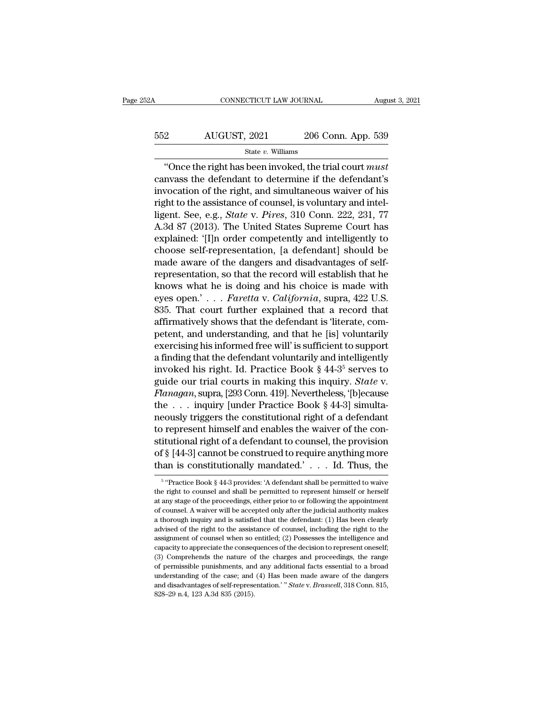| 252A | CONNECTICUT LAW JOURNAL |                    | August 3, 2021 |
|------|-------------------------|--------------------|----------------|
| 552  | AUGUST, 2021            | 206 Conn. App. 539 |                |
|      | State $v$ . Williams    |                    |                |

CONNECTICUT LAW JOURNAL August 3, 202<br>
2<br>
206 Conn. App. 539<br>
<sup>539</sup><br>
<sup>539</sup><br>
<sup>6</sup> Conce the right has been invoked, the trial court *must*<br>
invass the defendant to determine if the defendant's Example 352 AUGUST, 2021 206 Conn. App. 539<br>  $\frac{\text{State } v. \text{ Williams}}{\text{`Once the right has been invoked, the trial court must}$ <br>
canvass the defendant to determine if the defendant's<br>
invocation of the right, and simultaneous waiver of his<br>
right to the escistance of cou  $\frac{\text{552}}{\text{State } v. \text{ Williams}}$ <br>  $\frac{\text{State } v. \text{ Williams}}{\text{`Once the right has been invoked, the trial court } must}$ <br>
canvass the defendant to determine if the defendant's<br>
invocation of the right, and simultaneous waiver of his<br>
right to the assistance of counsel, is voluntary For a state v. Williams<br>
For a state v. Williams<br>  $\frac{3200 \text{ Conn. App. 539}}{400 \text{ Inc}}$ <br>  $\frac{3200 \text{ Conn. App. 539}}{400 \text{ Inc.}}$ <br>  $\frac{3200 \text{ Conn. Top. 539}}{400 \text{ Inc.}}$ <br>  $\frac{3200 \text{ Conn. Top. 539}}{400 \text{ Inc.}}$ <br>  $\frac{3200 \text{ Tr } \text{m} \times \text{m} \times \text{m} \times \text{m} \$ State v. Williams<br>
"Once the right has been invoked, the trial court *must*<br>
canvass the defendant to determine if the defendant's<br>
invocation of the right, and simultaneous waiver of his<br>
right to the assistance of counse <sup>Slate *b*. Williams<br>
"Once the right has been invoked, the trial court *must*<br>
canvass the defendant to determine if the defendant's<br>
invocation of the right, and simultaneous waiver of his<br>
right to the assistance of co</sup> "Once the right has been invoked, the trial court *must*<br>canvass the defendant to determine if the defendant's<br>invocation of the right, and simultaneous waiver of his<br>right to the assistance of counsel, is voluntary and i canvass the defendant to determine if the defendant's<br>invocation of the right, and simultaneous waiver of his<br>right to the assistance of counsel, is voluntary and intel-<br>ligent. See, e.g., *State* v. *Pires*, 310 Conn. 222 invocation of the right, and simultaneous waiver of his<br>right to the assistance of counsel, is voluntary and intel-<br>ligent. See, e.g., *State v. Pires*, 310 Conn. 222, 231, 77<br>A.3d 87 (2013). The United States Supreme Cour right to the assistance of counsel, is voluntary and intel-<br>ligent. See, e.g., *State v. Pires*, 310 Conn. 222, 231, 77<br>A.3d 87 (2013). The United States Supreme Court has<br>explained: '[I]n order competently and intelligen ligent. See, e.g., *State v. Pires*, 310 Conn. 222, 231, 77<br>A.3d 87 (2013). The United States Supreme Court has<br>explained: '[I]n order competently and intelligently to<br>choose self-representation, [a defendant] should be<br>m A.3d 87 (2013). The United States Supreme Court has<br>explained: '[I]n order competently and intelligently to<br>choose self-representation, [a defendant] should be<br>made aware of the dangers and disadvantages of self-<br>represent explained: '[I]n order competently and intelligently to<br>choose self-representation, [a defendant] should be<br>made aware of the dangers and disadvantages of self-<br>representation, so that the record will establish that he<br>kno choose self-representation, [a defendant] should be<br>made aware of the dangers and disadvantages of self-<br>representation, so that the record will establish that he<br>knows what he is doing and his choice is made with<br>eyes op made aware of the dangers and disadvantages of self-<br>representation, so that the record will establish that he<br>knows what he is doing and his choice is made with<br>eyes open.'...Faretta v. California, supra, 422 U.S.<br>835. T representation, so that the record will establish that he<br>knows what he is doing and his choice is made with<br>eyes open.'... *Faretta* v. *California*, supra, 422 U.S.<br>835. That court further explained that a record that<br>a knows what he is doing and his choice is made with<br>eyes open.'... *Faretta* v. *California*, supra, 422 U.S.<br>835. That court further explained that a record that<br>affirmatively shows that the defendant is 'literate, com-<br>p eyes open.' . . . . *Faretta* v. *California*, supra, 422 U.S.<br>835. That court further explained that a record that<br>affirmatively shows that the defendant is 'literate, com-<br>petent, and understanding, and that he [is] vol 835. That court further explained that a record that<br>affirmatively shows that the defendant is 'literate, com-<br>petent, and understanding, and that he [is] voluntarily<br>exercising his informed free will' is sufficient to sup affirmatively shows that the defendant is 'literate, competent, and understanding, and that he [is] voluntarily<br>exercising his informed free will' is sufficient to support<br>a finding that the defendant voluntarily and intel petent, and understanding, and that he [is] voluntarily<br>exercising his informed free will' is sufficient to support<br>a finding that the defendant voluntarily and intelligently<br>invoked his right. Id. Practice Book § 44-3<sup>5</sup> exercising his informed free will' is sufficient to support<br>a finding that the defendant voluntarily and intelligently<br>invoked his right. Id. Practice Book § 44-3<sup>5</sup> serves to<br>guide our trial courts in making this inquiry a finding that the defendant voluntarily and intelligently<br>invoked his right. Id. Practice Book § 44-3<sup>5</sup> serves to<br>guide our trial courts in making this inquiry. *State* v.<br>*Flanagan*, supra, [293 Conn. 419]. Nevertheles invoked his right. Id. Practice Book § 44-3° serves to<br>guide our trial courts in making this inquiry. *State* v.<br>*Flanagan*, supra, [293 Conn. 419]. Nevertheless, '[b]ecause<br>the . . . inquiry [under Practice Book § 44-3] guide our trial courts in making this inquiry. *State v.*<br>Flanagan, supra, [293 Conn. 419]. Nevertheless, '[b]ecause<br>the  $\ldots$  inquiry [under Practice Book § 44-3] simulta-<br>neously triggers the constitutional right of a d *Flanagan*, supra, [293 Conn. 419]. Nevertheless, '[b]ecause<br>the . . . inquiry [under Practice Book § 44-3] simulta-<br>neously triggers the constitutional right of a defendant<br>to represent himself and enables the waiver of to represent himself and enables the waiver of the constitutional right of a defendant to counsel, the provision of  $\S [44-3]$  cannot be construed to require anything more than is constitutionally mandated.'... Id. Thus, t stitutional right of a defendant to counsel, the provision<br>of § [44-3] cannot be construed to require anything more<br>than is constitutionally mandated.' . . . Id. Thus, the<br> $\frac{1}{5}$  "Practice Book § 44-3 provides: 'A defe

<sup>&</sup>lt;sup>5</sup> "Practice Book § 44-3 provides: 'A defendant shall be permitted to waive of § [44-3] cannot be construed to require anything more<br>than is constitutionally mandated.' . . . Id. Thus, the<br> $\frac{1}{\frac{5}{\cdot} \cdot \text{Practice Book § 44-3 provides: 'A defendant shall be permitted to wave}}$ <br>the right to counsel and shall be permitted to represent himself or than is constitutionally mandated.'... Id. Thus, the<br>  $\frac{1}{5}$  "Practice Book § 44-3 provides: 'A defendant shall be permitted to waive<br>
the right to counsel and shall be permitted to represent himself or herself<br>
at any <sup>5</sup> "Practice Book § 44-3 provides: 'A defendant shall be permitted to waive the right to counsel and shall be permitted to represent himself or herself at any stage of the proceedings, either prior to or following the ap <sup>5</sup> "Practice Book § 44-3 provides: 'A defendant shall be permitted to vaive<br>the right to counsel and shall be permitted to represent himself or herself<br>at any stage of the proceedings, either prior to or following the ap the right to counsel and shall be permitted to represent himself or herself at any stage of the proceedings, either prior to or following the appointment of counsel. A waiver will be accepted only after the judicial author of counsel. A waiver will be accepted only after the judicial authority makes<br>a thorough inquiry and is satisfied that the defendant: (1) Has been clearly<br>advised of the right to the assistance of counsel, including the r at any suage of counsel. A waiver will be accepted only after the judicial authority makes a thorough inquiry and is satisfied that the defendant: (1) Has been clearly advised of the right to the assistance of counsel, inc a thorough inquiry and is satisfied that the defendant: (1) Has been clearly advised of the right to the assistance of counsel, including the right to the assignment of counsel when so entitled; (2) Possesses the intellige advised of the right to the assistance of counsel, including the right to the assignment of counsel when so entitled; (2) Possesses the intelligence and capacity to appreciate the consequences of the decision to represent assignment of counsel when so entitled; (2) Possesses the intelligence and capacity to appreciate the consequences of the decision to represent oneself;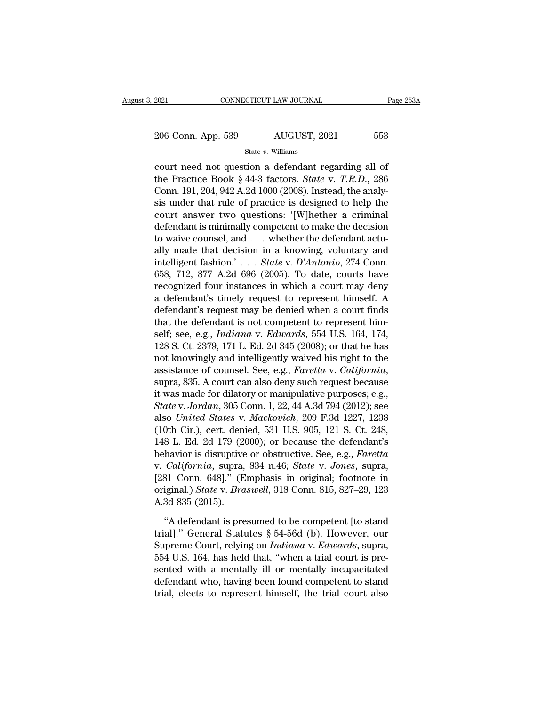# 2021 CONNECTICUT LAW JOURNAL Page 253A<br>
206 Conn. App. 539 AUGUST, 2021 553<br>
State v. Williams

State *v.* Williams

connecticut LAW JOURNAL Page 2534<br>
206 Conn. App. 539 AUGUST, 2021 553<br>
State v. Williams<br>
court need not question a defendant regarding all of<br>
the Practice Book § 44-3 factors. *State v. T.R.D.*, 286<br>
Conn. 101, 204, 042 206 Conn. App. 539 AUGUST, 2021 553<br>
State v. Williams<br>
court need not question a defendant regarding all of<br>
the Practice Book § 44-3 factors. *State* v. *T.R.D.*, 286<br>
Conn. 191, 204, 942 A.2d 1000 (2008). Instead, the a 206 Conn. App. 539 AUGUST, 2021 553<br>
State v. Williams<br>
court need not question a defendant regarding all of<br>
the Practice Book § 44-3 factors. *State* v. *T.R.D.*, 286<br>
Conn. 191, 204, 942 A.2d 1000 (2008). Instead, the 206 Conn. App. 539 AUGUST, 2021 553<br>
State v. Williams<br>
court need not question a defendant regarding all of<br>
the Practice Book § 44-3 factors. *State* v. *T.R.D.*, 286<br>
Conn. 191, 204, 942 A.2d 1000 (2008). Instead, the State v. Williams<br>
court need not question a defendant regarding all of<br>
the Practice Book § 44-3 factors. *State* v. *T.R.D.*, 286<br>
Conn. 191, 204, 942 A.2d 1000 (2008). Instead, the analy-<br>
sis under that rule of practi state *t*. Williams<br>
court need not question a defendant regarding all of<br>
the Practice Book § 44-3 factors. *State* v. *T.R.D.*, 286<br>
Conn. 191, 204, 942 A.2d 1000 (2008). Instead, the analy-<br>
sis under that rule of prac court need not question a defendant regarding all of<br>the Practice Book § 44-3 factors. *State* v. *T.R.D.*, 286<br>Conn. 191, 204, 942 A.2d 1000 (2008). Instead, the analy-<br>sis under that rule of practice is designed to help the Practice Book § 44-3 factors. *State* v. *T.R.D.*, 286<br>Conn. 191, 204, 942 A.2d 1000 (2008). Instead, the analy-<br>sis under that rule of practice is designed to help the<br>court answer two questions: '[W]hether a crimina Conn. 191, 204, 942 A.2d 1000 (2008). Instead, the analysis under that rule of practice is designed to help the court answer two questions: '[W]hether a criminal defendant is minimally competent to make the decision to wai sis under that rule of practice is designed to help the<br>court answer two questions: '[W]hether a criminal<br>defendant is minimally competent to make the decision<br>to waive counsel, and . . . whether the defendant actu-<br>ally court answer two questions: '[W]hether a criminal<br>defendant is minimally competent to make the decision<br>to waive counsel, and . . . whether the defendant actu-<br>ally made that decision in a knowing, voluntary and<br>intellige defendant is minimally competent to make the decision<br>to waive counsel, and . . . whether the defendant actu-<br>ally made that decision in a knowing, voluntary and<br>intelligent fashion.' . . . *State v. D'Antonio*, 274 Conn. to waive counsel, and . . . whether the defendant actually made that decision in a knowing, voluntary and intelligent fashion.' . . . *State v. D'Antonio*, 274 Conn. 658, 712, 877 A.2d 696 (2005). To date, courts have rec ally made that decision in a knowing, voluntary and<br>intelligent fashion.'... *State v. D'Antonio*, 274 Conn.<br>658, 712, 877 A.2d 696 (2005). To date, courts have<br>recognized four instances in which a court may deny<br>a defend intelligent fashion.'... *State v. D'Antonio*, 274 Conn.<br>658, 712, 877 A.2d 696 (2005). To date, courts have<br>recognized four instances in which a court may deny<br>a defendant's timely request to represent himself. A<br>defendan 658, 712, 877 A.2d 696 (2005). To date, courts have<br>recognized four instances in which a court may deny<br>a defendant's timely request to represent himself. A<br>defendant's request may be denied when a court finds<br>that the de recognized four instances in which a court may deny<br>a defendant's timely request to represent himself. A<br>defendant's request may be denied when a court finds<br>that the defendant is not competent to represent him-<br>self; see, a defendant's timely request to represent himself. A<br>defendant's request may be denied when a court finds<br>that the defendant is not competent to represent him-<br>self; see, e.g., *Indiana* v. *Edwards*, 554 U.S. 164, 174,<br>12 that the defendant is not competent to represent himself; see, e.g., *Indiana v. Edwards*, 554 U.S. 164, 174, 128 S. Ct. 2379, 171 L. Ed. 2d 345 (2008); or that he has not knowingly and intelligently waived his right to t **State** is see, e.g., *Indiana v. Edwards*, 554 U.S. 164, 174, 128 S. Ct. 2379, 171 L. Ed. 2d 345 (2008); or that he has not knowingly and intelligently waived his right to the assistance of counsel. See, e.g., *Faretta v.* 128 S. Ct. 2379, 171 L. Ed. 2d 345 (2008); or that he has<br>not knowingly and intelligently waived his right to the<br>assistance of counsel. See, e.g., *Faretta v. California*,<br>supra, 835. A court can also deny such request be not knowingly and intelligently waived his right to the<br>assistance of counsel. See, e.g., *Faretta v. California*,<br>supra, 835. A court can also deny such request because<br>it was made for dilatory or manipulative purposes; e assistance of counsel. See, e.g., *Faretta* v. *California*,<br>supra, 835. A court can also deny such request because<br>it was made for dilatory or manipulative purposes; e.g.,<br>*State* v. *Jordan*, 305 Conn. 1, 22, 44 A.3d 79 supra, 835. A court can also deny such request because<br>it was made for dilatory or manipulative purposes; e.g.,<br>*State v. Jordan*, 305 Conn. 1, 22, 44 A.3d 794 (2012); see<br>also *United States v. Mackovich*, 209 F.3d 1227, it was made for dilatory or manipulative purposes; e.g.,<br> *State* v. *Jordan*, 305 Conn. 1, 22, 44 A.3d 794 (2012); see<br>
also *United States* v. *Mackovich*, 209 F.3d 1227, 1238<br>
(10th Cir.), cert. denied, 531 U.S. 905, 12 State v. Jordan, 305 Conn. 1, 22, 44 A.3d 794 (2012); see<br>also United States v. Mackovich, 209 F.3d 1227, 1238<br>(10th Cir.), cert. denied, 531 U.S. 905, 121 S. Ct. 248,<br>148 L. Ed. 2d 179 (2000); or because the defendant's<br>b also United States v. Mackovich, 209 F.3d 1227, 1238<br>(10th Cir.), cert. denied, 531 U.S. 905, 121 S. Ct. 248,<br>148 L. Ed. 2d 179 (2000); or because the defendant's<br>behavior is disruptive or obstructive. See, e.g., *Faretta* (10th Cir.), cert. deni<br>148 L. Ed. 2d 179 (20)<br>behavior is disruptive<br>v. *California*, supra,<br>[281 Conn. 648]." (E<br>original.) *State* v. *Bra*<br>A.3d 835 (2015).<br>"A defendant is pre havior is disruptive or obstructive. See, e.g., Faretta<br>
California, supra, 834 n.46; State v. Jones, supra,<br>
81 Conn. 648]." (Emphasis in original; footnote in<br>
iginal.) State v. Braswell, 318 Conn. 815, 827–29, 123<br>
3d 8 v. *California*, supra, 834 n.46; *State v. Jones*, supra, [281 Conn. 648]." (Emphasis in original; footnote in original.) *State v. Braswell*, 318 Conn. 815, 827–29, 123<br>A.3d 835 (2015).<br>"A defendant is presumed to be com

[281 Conn. 648]." (Emphasis in original; footnote in original.) *State* v. *Braswell*, 318 Conn. 815, 827–29, 123<br>A.3d 835 (2015).<br>"A defendant is presumed to be competent [to stand<br>trial]." General Statutes § 54-56d (b). original.) *State* v. *Braswell*, 318 Conn. 815, 827–29, 123<br>A.3d 835 (2015).<br>"A defendant is presumed to be competent [to stand<br>trial]." General Statutes § 54-56d (b). However, our<br>Supreme Court, relying on *Indiana* v. A.3d 835 (2015).<br>
"A defendant is presumed to be competent [to stand<br>
trial]." General Statutes § 54-56d (b). However, our<br>
Supreme Court, relying on *Indiana* v. *Edwards*, supra,<br>
554 U.S. 164, has held that, "when a tr "A defendant is presumed to be competent [to stand<br>trial]." General Statutes  $\S 54-56d$  (b). However, our<br>Supreme Court, relying on *Indiana* v. *Edwards*, supra,<br>554 U.S. 164, has held that, "when a trial court is pre-<br>s "A defendant is presumed to be competent [to stand<br>trial]." General Statutes § 54-56d (b). However, our<br>Supreme Court, relying on *Indiana* v. *Edwards*, supra,<br>554 U.S. 164, has held that, "when a trial court is pre-<br>sent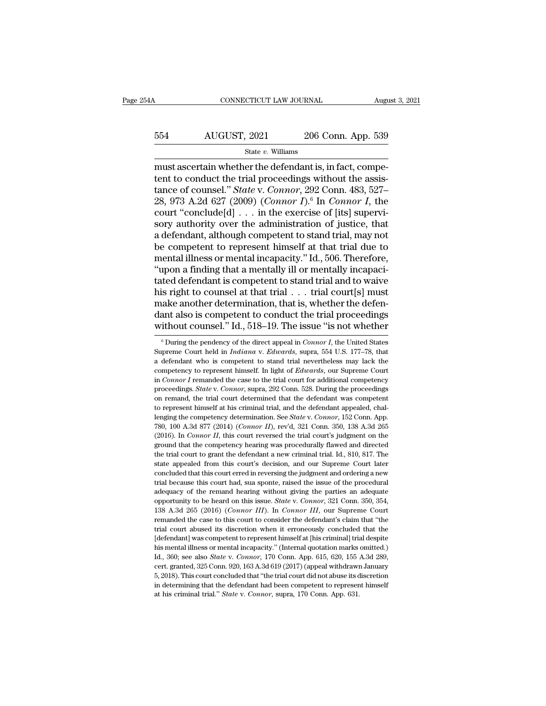# CONNECTICUT LAW JOURNAL August 3, 2021<br>554 AUGUST, 2021 206 Conn. App. 539<br>5tate v. Williams

#### State *v.* Williams

CONNECTICUT LAW JOURNAL August 206 Conn. App. 539<br>
State v. Williams<br>
must ascertain whether the defendant is, in fact, compe-<br>
tent to conduct the trial proceedings without the assis-<br>
tance of counsel " State v. Connect 554 AUGUST, 2021 206 Conn. App. 539<br>
State v. Williams<br>
must ascertain whether the defendant is, in fact, competent to conduct the trial proceedings without the assis-<br>
tance of counsel." *State v. Connor*, 292 Conn. 483, AUGUST, 2021 206 Conn. App. 539<br>
<sup>State v. Williams<br>
must ascertain whether the defendant is, in fact, competent to conduct the trial proceedings without the assistance of counsel." *State* v. *Connor*, 292 Conn. 483, 527–</sup> AUGUST, 2021 206 Conn. App. 539<br>
<sup>State v.</sup> Williams<br>
must ascertain whether the defendant is, in fact, competent to conduct the trial proceedings without the assis-<br>
tance of counsel." *State v. Connor*, 292 Conn. 483, 52 State v. Williams<br>
State v. Williams<br>
must ascertain whether the defendant is, in fact, competent to conduct the trial proceedings without the assistance of counsel." *State v. Connor*, 292 Conn. 483, 527–28, 973 A.2d 627 state v. Williams<br>
state v. Williams<br>
stance to conduct the trial proceedings without the assis-<br>
tance of counsel." *State v. Connor*, 292 Conn. 483, 527–<br>
28, 973 A.2d 627 (2009) (*Connor I*).<sup>6</sup> In *Connor I*, the<br>
cou must ascertain whether the defendant is, in fact, competent to conduct the trial proceedings without the assistance of counsel." *State v. Connor*, 292 Conn. 483, 527–28, 973 A.2d 627 (2009) (*Connor I*).<sup>6</sup> In *Connor I* tent to conduct the trial proceedings without the assis-<br>tance of counsel." *State* v. *Connor*, 292 Conn. 483, 527–<br>28, 973 A.2d 627 (2009) (*Connor I*).<sup>6</sup> In *Connor I*, the<br>court "conclude[d] . . . in the exercise of tance of counsel." *State* v. *Connor*, 292 Conn. 483, 527–28, 973 A.2d 627 (2009) (*Connor I*).<sup>6</sup> In *Connor I*, the court "conclude[d] . . . in the exercise of [its] supervisory authority over the administration of jus 28, 973 A.2d 627 (2009) (*Connor I*).<sup>6</sup> In *Connor I*, the court "conclude[d] . . . in the exercise of [its] supervisory authority over the administration of justice, that a defendant, although competent to stand trial, court "conclude[d]  $\ldots$  in the exercise of [its] supervisory authority over the administration of justice, that<br>a defendant, although competent to stand trial, may not<br>be competent to represent himself at that trial due sory authority over the administration of justice, that<br>a defendant, although competent to stand trial, may not<br>be competent to represent himself at that trial due to<br>mental illness or mental incapacity." Id., 506. Therefo a defendant, although competent to stand trial, may not<br>be competent to represent himself at that trial due to<br>mental illness or mental incapacity." Id., 506. Therefore,<br>"upon a finding that a mentally ill or mentally inc be competent to represent himself at that trial due to<br>mental illness or mental incapacity." Id., 506. Therefore,<br>"upon a finding that a mentally ill or mentally incapaci-<br>tated defendant is competent to stand trial and to mental illness or mental incapacity." Id., 506. Therefore,<br>
"upon a finding that a mentally ill or mentally incapacitated defendant is competent to stand trial and to waive<br>
his right to counsel at that trial  $\ldots$  trial is right to counsel at that trial  $\ldots$  trial court[s] must<br>ake another determination, that is, whether the defen-<br>ant also is competent to conduct the trial proceedings<br>ithout counsel." Id., 518–19. The issue "is not whe make another determination, that is, whether the defendant also is competent to conduct the trial proceedings without counsel." Id., 518–19. The issue "is not whether  $\frac{1}{\pi}$  During the pendency of the direct appeal in

dant also is competent to conduct the trial proceedings<br>without counsel." Id., 518–19. The issue "is not whether<br> $\overline{\phantom{a}}^{\,\,6}$  During the pendency of the direct appeal in *Connor I*, the United States<br>Supreme Court he without counsel." Id., 518–19. The issue "is not whether<br>
<sup>6</sup> During the pendency of the direct appeal in *Connor I*, the United States<br>
Supreme Court held in *Indiana* v. *Edwards*, supra, 554 U.S. 177–78, that<br>
a defenda WILHOUL COULTSEL.  $10, 318-19$ . The ESSUE IS HOU WHELHET<br>
<sup>6</sup> During the pendency of the direct appeal in *Connor I*, the United States<br>
Supreme Court held in *Indiana* v. *Edwards*, supra, 554 U.S. 177–78, that<br>
a defend <sup>6</sup> During the pendency of the direct appeal in *Connor I*, the United States Supreme Court held in *Indiana* v. *Edwards*, supra, 554 U.S. 177–78, that a defendant who is competent to stand trial nevertheless may lack th Supreme Court held in *Indiana* v. *Edwards*, supra, 554 U.S. 177–78, that a defendant who is competent to stand trial nevertheless may lack the competency to represent himself. In light of *Edwards*, our Supreme Court in a defendant who is competent to stand trial nevertheless may lack the competency to represent himself. In light of *Edwards*, our Supreme Court in *Connor I* remanded the case to the trial court for additional competency competency to represent himself. In light of *Edwards*, our Supreme Court<br>in *Connor I* remanded the case to the trial court for additional competency<br>proceedings. *State* v. *Connor*, supra, 292 Conn. 528. During the proc component *Connor I* remanded the case to the trial court for additional competency proceedings. *State v. Connor*, supra, 292 Conn. 528. During the proceedings on remand, the trial court determined that the defendant was moveedings. *State v. Connor*, supra, 292 Conn. 528. During the proceedings on remand, the trial court determined that the defendant was competent to represent himself at his criminal trial, and the defendant appealed, cha for the competency determined that the defendant was competent to represent himself at his criminal trial, and the defendant appealed, challenging the competency determination. See *State v. Connor*, 152 Conn. App. 780, 1 to represent himself at his criminal trial, and the defendant appealed, challenging the competency determination. See *State* v. *Connor*, 152 Conn. App. 780, 100 A.3d 877 (2014) (*Connor II*), rev'd, 321 Conn. 350, 138 A is the competency determination. See *State v. Connor*, 152 Conn. App. 1890, 100 A.3d 877 (2014) (*Connor II*), rev'd, 321 Conn. 350, 138 A.3d 265 (2016). In *Connor II*, this court reversed the trial court's judgment on concluded that this court is concluded that this court had, suary provided the indicated the trial court's judgment on the ground that the competency hearing was procedurally flawed and directed the trial court to grant t (2016). In *Connor II*, this court reversed the trial court's judgment on the ground that the competency hearing was procedurally flawed and directed the trial court to grant the defendant a new criminal trial. Id., 810, (ground that the competency hearing was procedurally flawed and directed the trial court to grant the defendant a new criminal trial. Id., 810, 817. The state appealed from this court's decision, and our Supreme Court lat be trial court to grant the defendant a new criminal trial. Id., 810, 817. The state appealed from this court's decision, and our Supreme Court later concluded that this court erred in reversing the judgment and ordering a state appealed from this court's decision, and our Supreme Court later<br>concluded that this court erred in reversing the judgment and ordering a new<br>trial because this court had, sua sponte, raised the issue of the procedur concluded that this court erred in reversing the judgment and ordering a new trial because this court had, sua sponte, raised the issue of the procedural adequacy of the remand hearing without giving the parties an adequa trial because this court had, sua sponte, raised the issue of the procedural adequacy of the remand hearing without giving the parties an adequate opportunity to be heard on this issue. *State v. Connor*, 321 Conn. 350, 3 adequacy of the remand hearing without giving the parties an adequate opportunity to be heard on this issue. *State v. Connor*, 321 Conn. 350, 354, 138 A.3d 265 (2016) (*Connor III*). In *Connor III*, our Supreme Court rem expectively to be heard on this issue. *State v. Connor*, 321 Conn. 350, 354, 138 A.3d 265 (2016) (*Connor III*). In *Connor III*, our Supreme Court remanded the case to this court to consider the defendant's claim that " 138 A.3d 265 (2016) (*Connor III*). In *Connor III*, our Supreme Court remanded the case to this court to consider the defendant's claim that "the trial court abused its discretion when it erroneously concluded that the [d remanded the case to this court to consider the defendant's claim that "the trial court abused its discretion when it erroneously concluded that the [defendant] was competent to represent himself at [his criminal] trial de trial court abused its discretion when it erroneously concluded that the [defendant] was competent to represent himself at [his criminal] trial despite his mental illness or mental incapacity." (Internal quotation marks o [defendant] was competent to represent himself at [his criminal] trial despite his mental illness or mental incapacity." (Internal quotation marks omitted.) Id., 360; see also *State v. Connor*, 170 Conn. App. 615, 620, 1 his mental illness or mental incapacity." (Internal quotation marks omitted.)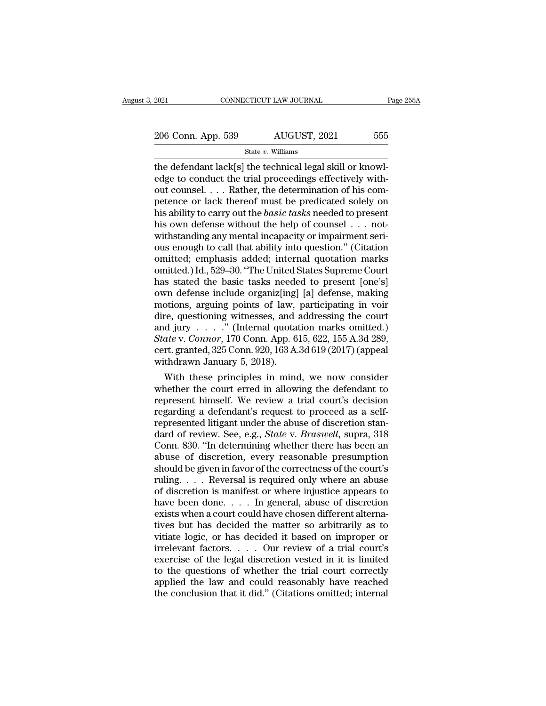2021 CONNECTICUT LAW JOURNAL Page 255A<br>
206 Conn. App. 539 AUGUST, 2021 555<br>
State v. Williams

State *v.* Williams

The defendant lack[s] the defendant lack[s] the technical legal skill or knowledge to conduct the trial proceedings effectively with-206 Conn. App. 539  $\frac{\text{AUGUST, 2021}}{\text{State } v. \text{ Williams}}$ <br>the defendant lack[s] the technical legal skill or knowledge to conduct the trial proceedings effectively with-<br>out counsel. . . . Rather, the determination of his com-<br>net 206 Conn. App. 539 AUGUST, 2021 555<br>
State v. Williams<br>
the defendant lack[s] the technical legal skill or knowl-<br>
edge to conduct the trial proceedings effectively with-<br>
out counsel. . . . Rather, the determination of h 206 Conn. App. 539 AUGUST, 2021 555<br>
State v. Williams<br>
the defendant lack [s] the technical legal skill or knowl-<br>
edge to conduct the trial proceedings effectively with-<br>
out counsel. . . . Rather, the determination of State *v*. Williams<br>
the defendant lack[s] the technical legal skill or knowl-<br>
edge to conduct the trial proceedings effectively with-<br>
out counsel. . . . Rather, the determination of his com-<br>
petence or lack thereof mus state v. Williams<br>the defendant lack[s] the technical legal skill or knowl-<br>edge to conduct the trial proceedings effectively with-<br>out counsel. . . . Rather, the determination of his com-<br>petence or lack thereof must be the defendant lack[s] the technical legal skill or knowledge to conduct the trial proceedings effectively without counsel. . . . Rather, the determination of his competence or lack thereof must be predicated solely on his edge to conduct the trial proceedings effectively with-<br>out counsel. . . . Rather, the determination of his com-<br>petence or lack thereof must be predicated solely on<br>his ability to carry out the *basic tasks* needed to pr out counsel. . . . Rather, the determination of his competence or lack thereof must be predicated solely on<br>his ability to carry out the *basic tasks* needed to present<br>his own defense without the help of counsel . . . not petence or lack thereof must be predicated solely on<br>his ability to carry out the *basic tasks* needed to present<br>his own defense without the help of counsel . . . not-<br>withstanding any mental incapacity or impairment seri his ability to carry out the *basic tasks* needed to present<br>his own defense without the help of counsel  $\ldots$  not-<br>withstanding any mental incapacity or impairment seri-<br>ous enough to call that ability into question." (C his own defense without the help of counsel . . . not-<br>withstanding any mental incapacity or impairment seri-<br>ous enough to call that ability into question." (Citation<br>omitted, emphasis added; internal quotation marks<br>omit withstanding any mental incapacity or impairment seri-<br>ous enough to call that ability into question." (Citation<br>omitted; emphasis added; internal quotation marks<br>omitted.) Id., 529–30. "The United States Supreme Court<br>has ous enough to call that ability into question." (Citation<br>omitted; emphasis added; internal quotation marks<br>omitted.) Id., 529–30. "The United States Supreme Court<br>has stated the basic tasks needed to present [one's]<br>own omitted; emphasis added; internal quotation marks<br>omitted.) Id., 529–30. "The United States Supreme Court<br>has stated the basic tasks needed to present [one's]<br>own defense include organiz[ing] [a] defense, making<br>motions, a omitted.) Id., 529–30. "The United States Supreme Court<br>has stated the basic tasks needed to present [one's]<br>own defense include organiz[ing] [a] defense, making<br>motions, arguing points of law, participating in voir<br>dire, has stated the basic tasks needed to present [one's]<br>own defense include organiz[ing] [a] defense, making<br>motions, arguing points of law, participating in voir<br>dire, questioning witnesses, and addressing the court<br>and jur own defense include organiz[ing]<br>motions, arguing points of law,<br>dire, questioning witnesses, and and jury  $\ldots$ ." (Internal quota<br>*State* v. *Connor*, 170 Conn. App. 6<br>cert. granted, 325 Conn. 920, 163 A.<br>withdrawn Janua bottons, argung points of law, participating in voir<br>re, questioning witnesses, and addressing the court<br>d jury . . . ." (Internal quotation marks omitted.)<br>*ate* v. *Connor*, 170 Conn. App. 615, 622, 155 A.3d 289,<br>rt. gr dire, questioning witnesses, and addressing the court<br>and jury . . . ." (Internal quotation marks omitted.)<br>State v. Connor, 170 Conn. App. 615, 622, 155 A.3d 289,<br>cert. granted, 325 Conn. 920, 163 A.3d 619 (2017) (appeal

and jury  $\ldots$   $\ldots$  (internal quotation marks omitted.)<br> *State* v. *Connor*, 170 Conn. App. 615, 622, 155 A.3d 289,<br>
cert. granted, 325 Conn. 920, 163 A.3d 619 (2017) (appeal<br>
withdrawn January 5, 2018).<br>
With these pri State v. Connor, 170 Conn. App. 615, 622, 155 A.3d 289,<br>cert. granted, 325 Conn. 920, 163 A.3d 619 (2017) (appeal<br>withdrawn January 5, 2018).<br>With these principles in mind, we now consider<br>whether the court erred in allow cert. granted, 325 Conn. 920, 163 A.3d 619 (2017) (appeal<br>withdrawn January 5, 2018).<br>With these principles in mind, we now consider<br>whether the court erred in allowing the defendant to<br>represent himself. We review a trial withdrawn January 5, 2018).<br>With these principles in mind, we now consider<br>whether the court erred in allowing the defendant to<br>represent himself. We review a trial court's decision<br>regarding a defendant's request to proce With these principles in mind, we now consider<br>whether the court erred in allowing the defendant to<br>represent himself. We review a trial court's decision<br>regarding a defendant's request to proceed as a self-<br>represented li whether the court erred in allowing the defendant to<br>represent himself. We review a trial court's decision<br>regarding a defendant's request to proceed as a self-<br>represented litigant under the abuse of discretion stan-<br>dard represent himself. We review a trial court's decision<br>regarding a defendant's request to proceed as a self-<br>represented litigant under the abuse of discretion stan-<br>dard of review. See, e.g., *State* v. *Braswell*, supra, regarding a defendant's request to proceed as a self-<br>represented litigant under the abuse of discretion stan-<br>dard of review. See, e.g., *State* v. *Braswell*, supra, 318<br>Conn. 830. "In determining whether there has been represented litigant under the abuse of discretion standard of review. See, e.g., *State* v. *Braswell*, supra, 318<br>Conn. 830. "In determining whether there has been an<br>abuse of discretion, every reasonable presumption<br>sho dard of review. See, e.g., *State* v. *Braswell*, supra, 318<br>Conn. 830. "In determining whether there has been an<br>abuse of discretion, every reasonable presumption<br>should be given in favor of the correctness of the court's Conn. 830. "In determining whether there has been an abuse of discretion, every reasonable presumption should be given in favor of the correctness of the court's ruling. . . . Reversal is required only where an abuse of d abuse of discretion, every reasonable presumption<br>should be given in favor of the correctness of the court's<br>ruling. . . . Reversal is required only where an abuse<br>of discretion is manifest or where injustice appears to<br>h should be given in favor of the correctness of the court's<br>ruling. . . . Reversal is required only where an abuse<br>of discretion is manifest or where injustice appears to<br>have been done. . . . In general, abuse of discreti ruling. . . . Reversal is required only where an abuse<br>of discretion is manifest or where injustice appears to<br>have been done. . . . In general, abuse of discretion<br>exists when a court could have chosen different alterna-<br> of discretion is manifest or where injustice appears to<br>have been done. . . . In general, abuse of discretion<br>exists when a court could have chosen different alterna-<br>tives but has decided the matter so arbitrarily as to<br> have been done. . . . In general, abuse of discretion<br>exists when a court could have chosen different alterna-<br>tives but has decided the matter so arbitrarily as to<br>vitiate logic, or has decided it based on improper or<br>ir exists when a court could have chosen different alternatives but has decided the matter so arbitrarily as to vitiate logic, or has decided it based on improper or irrelevant factors.  $\dots$  Our review of a trial court's exe tives but has decided the matter so arbitrarily as to vitiate logic, or has decided it based on improper or irrelevant factors.  $\dots$  Our review of a trial court's exercise of the legal discretion vested in it is limited t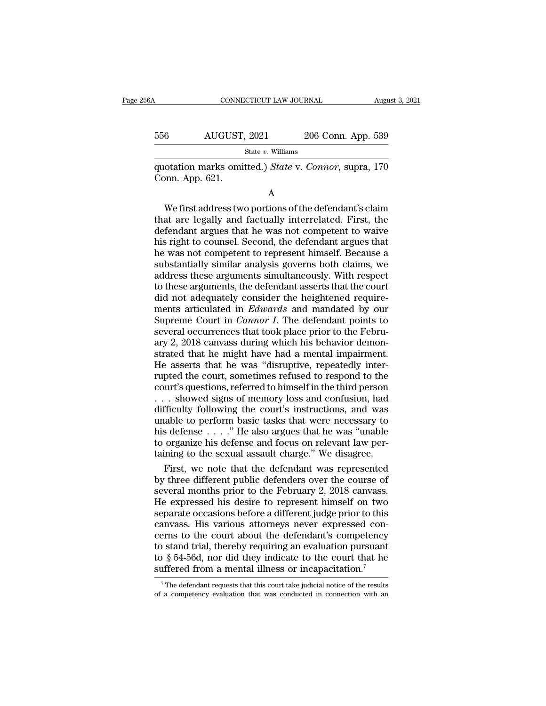| 6A  | CONNECTICUT LAW JOURNAL                                                  |                    | August 3, 2021 |
|-----|--------------------------------------------------------------------------|--------------------|----------------|
| 556 | AUGUST, 2021                                                             | 206 Conn. App. 539 |                |
|     | State $v$ . Williams                                                     |                    |                |
|     | quotation marks omitted.) State v. Connor, supra, 170<br>Conn. App. 621. |                    |                |
|     | А                                                                        |                    |                |

 $\begin{array}{r} \text{AUGUST, 2021} \quad \text{206 Conn. App. 539} \ \text{State } v. \text{ Williams} \end{array}$ <br>
otation marks omitted.) State v. Connor, supra, 170<br>
onn. App. 621.<br>
A<br>
We first address two portions of the defendant's claim<br>
at are legally and factually inter State v. Williams<br>
quotation marks omitted.) State v. Connor, supra, 170<br>
Conn. App. 621.<br>
A<br>
We first address two portions of the defendant's claim<br>
that are legally and factually interrelated. First, the<br>
defendant argu quotation marks omitted.) *State* v. *Connor*, supra, 170<br>
Conn. App. 621.<br>
A<br>
We first address two portions of the defendant's claim<br>
that are legally and factually interrelated. First, the<br>
defendant argues that he was n duotation marks omitted.) *State* v. Commor, supra, 170<br>Conn. App. 621.<br>A<br>We first address two portions of the defendant's claim<br>that are legally and factually interrelated. First, the<br>defendant argues that he was not coun A<br>
We first address two portions of the defendant's claim<br>
that are legally and factually interrelated. First, the<br>
defendant argues that he was not competent to waive<br>
his right to counsel. Second, the defendant argues th A<br>We first address two portions of the defendant's claim<br>that are legally and factually interrelated. First, the<br>defendant argues that he was not competent to waive<br>his right to counsel. Second, the defendant argues that<br>h We first address two portions of the defendant's claim<br>that are legally and factually interrelated. First, the<br>defendant argues that he was not competent to waive<br>his right to counsel. Second, the defendant argues that<br>he that are legally and factually interrelated. First, the defendant argues that he was not competent to waive his right to counsel. Second, the defendant argues that he was not competent to represent himself. Because a subst defendant argues that he was not competent to waive<br>his right to counsel. Second, the defendant argues that<br>he was not competent to represent himself. Because a<br>substantially similar analysis governs both claims, we<br>addres his right to counsel. Second, the defendant argues that<br>he was not competent to represent himself. Because a<br>substantially similar analysis governs both claims, we<br>address these arguments simultaneously. With respect<br>to th he was not competent to represent himself. Because a<br>substantially similar analysis governs both claims, we<br>address these arguments simultaneously. With respect<br>to these arguments, the defendant asserts that the court<br>did substantially similar analysis governs both claims, we<br>address these arguments simultaneously. With respect<br>to these arguments, the defendant asserts that the court<br>did not adequately consider the heightened require-<br>ments address these arguments simultaneously. With respect<br>to these arguments, the defendant asserts that the court<br>did not adequately consider the heightened require-<br>ments articulated in *Edwards* and mandated by our<br>Supreme C to these arguments, the defendant asserts that the court<br>did not adequately consider the heightened require-<br>ments articulated in *Edwards* and mandated by our<br>Supreme Court in *Connor I*. The defendant points to<br>several o did not adequately consider the heightened requirements articulated in *Edwards* and mandated by our Supreme Court in *Connor I*. The defendant points to several occurrences that took place prior to the February 2, 2018 ca ments articulated in *Edwards* and mandated by our<br>Supreme Court in *Connor I*. The defendant points to<br>several occurrences that took place prior to the Febru-<br>ary 2, 2018 canvass during which his behavior demon-<br>strated t Supreme Court in *Connor I*. The defendant points to<br>several occurrences that took place prior to the Febru-<br>ary 2, 2018 canvass during which his behavior demon-<br>strated that he might have had a mental impairment.<br>He asse several occurrences that took place prior to the February 2, 2018 canvass during which his behavior demonstrated that he might have had a mental impairment.<br>He asserts that he was "disruptive, repeatedly inter-<br>rupted the ary 2, 2018 canvass during which his behavior demonstrated that he might have had a mental impairment.<br>He asserts that he was "disruptive, repeatedly inter-<br>rupted the court, sometimes refused to respond to the<br>court's que strated that he might have had a mental impairment.<br>He asserts that he was "disruptive, repeatedly inter-<br>rupted the court, sometimes refused to respond to the<br>court's questions, referred to himself in the third person<br> $\d$ He asserts that he was "disruptive, repeatedly inter-<br>rupted the court, sometimes refused to respond to the<br>court's questions, referred to himself in the third person<br>... showed signs of memory loss and confusion, had<br>diff rupted the court, sometimes refused to respond to the court's questions, referred to himself in the third person . . . showed signs of memory loss and confusion, had difficulty following the court's instructions, and was u court's questions, referred to himself in the third person  $\ldots$  showed signs of memory loss and confusion, had difficulty following the court's instructions, and was unable to perform basic tasks that were necessary to h First, we note that the Rebruary 2 2018 canvasses were the court's instructions, and was able to perform basic tasks that were necessary to safelense  $\ldots$ ." He also argues that he was "unable organize his defense and foc difficulty following the court's instructions, and was<br>unable to perform basic tasks that were necessary to<br>his defense  $\ldots$ ." He also argues that he was "unable<br>to organize his defense and focus on relevant law per-<br>tai

unable to perform basic tasks that were necessary to<br>his defense  $\ldots$ ." He also argues that he was "unable<br>to organize his defense and focus on relevant law per-<br>taining to the sexual assault charge." We disagree.<br>First, his defense  $\ldots$  ." He also argues that he was "unable<br>to organize his defense and focus on relevant law per-<br>taining to the sexual assault charge." We disagree.<br>First, we note that the defendant was represented<br>by three to organize his defense and focus on relevant law per-<br>taining to the sexual assault charge." We disagree.<br>First, we note that the defendant was represented<br>by three different public defenders over the course of<br>several mo taining to the sexual assault charge." We disagree.<br>First, we note that the defendant was represented<br>by three different public defenders over the course of<br>several months prior to the February 2, 2018 canvass.<br>He expresse First, we note that the defendant was represented<br>by three different public defenders over the course of<br>several months prior to the February 2, 2018 canvass.<br>He expressed his desire to represent himself on two<br>separate oc by three different public defenders over the course of<br>several months prior to the February 2, 2018 canvass.<br>He expressed his desire to represent himself on two<br>separate occasions before a different judge prior to this<br>ca several months prior to the February 2, 2018 canvass.<br>He expressed his desire to represent himself on two<br>separate occasions before a different judge prior to this<br>canvass. His various attorneys never expressed con-<br>cerns He expressed his desire to represent himself on two separate occasions before a different judge prior to this canvass. His various attorneys never expressed concerns to the court about the defendant's competency to stand erns to the court about the defendant's competency<br>o stand trial, thereby requiring an evaluation pursuant<br> $\frac{8}{5}$  54-56d, nor did they indicate to the court that he<br>affered from a mental illness or incapacitation.<sup>7</sup><br>T to stand trial, thereby requiring an evaluation pursuant to  $\S 54-56d$ , nor did they indicate to the court that he suffered from a mental illness or incapacitation.<sup>7</sup><br><sup>7</sup>The defendant requests that this court take judici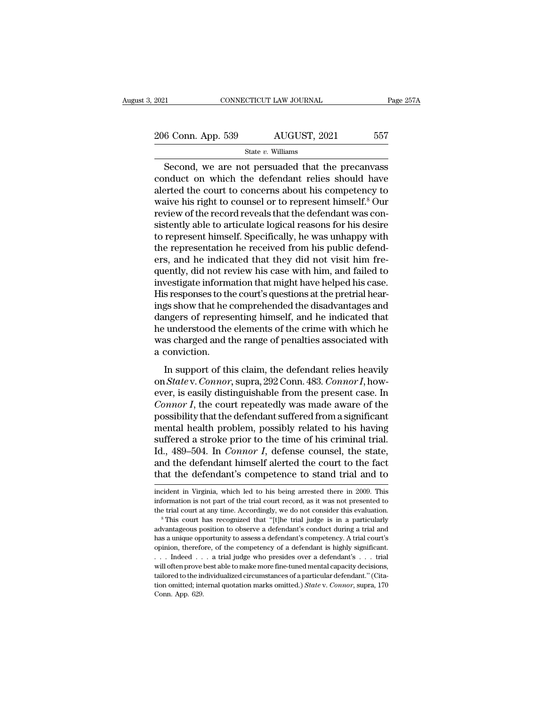2021 CONNECTICUT LAW JOURNAL Page 257A<br>
206 Conn. App. 539 AUGUST, 2021 557<br>
State v. Williams

State *v.* Williams

 $\begin{array}{ccc}\n\text{Ric} & \text{COMRECTICUT LAW JOURNAL} & \text{Page 257A} \\
\hline\n\text{6 Conn. App. 539} & \text{AUGUST, 2021} & \text{557} \\
\text{State } v. \text{ Williams} & \text{Second, we are not persuaded that the precanvass} \\
\text{induct on which the defendant relies should have} & \text{seted the court to concerns about his componentary to} & \text{seted the current of the caronors.} \end{array}$ 206 Conn. App. 539 AUGUST, 2021 557<br>State v. Williams<br>Second, we are not persuaded that the precanvass<br>conduct on which the defendant relies should have<br>alerted the court to concerns about his competency to<br>waive his righ 206 Conn. App. 539 AUGUST, 2021 557<br>
State v. Williams<br>
Second, we are not persuaded that the precanvass<br>
conduct on which the defendant relies should have<br>
alerted the court to concerns about his competency to<br>
waive his 206 Conn. App. 539 AUGUST, 2021 557<br>
State v. Williams<br>
Second, we are not persuaded that the precanvass<br>
conduct on which the defendant relies should have<br>
alerted the court to concerns about his competency to<br>
waive his State *v*. Williams<br>Second, we are not persuaded that the precanvass<br>conduct on which the defendant relies should have<br>alerted the court to concerns about his competency to<br>waive his right to counsel or to represent himse State v. Williams<br>
Second, we are not persuaded that the precanvass<br>
conduct on which the defendant relies should have<br>
alerted the court to concerns about his competency to<br>
waive his right to counsel or to represent him Second, we are not persuaded that the precanvass<br>conduct on which the defendant relies should have<br>alerted the court to concerns about his competency to<br>waive his right to counsel or to represent himself.<sup>8</sup> Our<br>review of conduct on which the defendant relies should have<br>alerted the court to concerns about his competency to<br>waive his right to counsel or to represent himself.<sup>8</sup> Our<br>review of the record reveals that the defendant was con-<br>si alerted the court to concerns about his competency to waive his right to counsel or to represent himself.<sup>8</sup> Our review of the record reveals that the defendant was consistently able to articulate logical reasons for his d waive his right to counsel or to represent himself.<sup>8</sup> Our<br>review of the record reveals that the defendant was con-<br>sistently able to articulate logical reasons for his desire<br>to represent himself. Specifically, he was unh review of the record reveals that the defendant was consistently able to articulate logical reasons for his desire<br>to represent himself. Specifically, he was unhappy with<br>the representation he received from his public defe sistently able to articulate logical reasons for his desire<br>to represent himself. Specifically, he was unhappy with<br>the representation he received from his public defend-<br>ers, and he indicated that they did not visit him f to represent himself. Specifically, he was unhappy with<br>the representation he received from his public defend-<br>ers, and he indicated that they did not visit him fre-<br>quently, did not review his case with him, and failed to the representation he received from his public defenders, and he indicated that they did not visit him frequently, did not review his case with him, and failed to investigate information that might have helped his case.<br>Hi ers, and he indicated that they did not visit him frequently, did not review his case with him, and failed to investigate information that might have helped his case.<br>His responses to the court's questions at the pretrial quently, did not review his case with him, and failed to<br>investigate information that might have helped his case.<br>His responses to the court's questions at the pretrial hear-<br>ings show that he comprehended the disadvantage investigate inform<br>His responses to th<br>ings show that he c<br>dangers of represe<br>he understood the<br>was charged and t<br>a conviction.<br>In support of th is responses to the court's questions at the pretrial near-<br>gs show that he comprehended the disadvantages and<br>ngers of representing himself, and he indicated that<br>understood the elements of the crime with which he<br>as char only a show that he comprehended the usadvantages and<br>dangers of representing himself, and he indicated that<br>he understood the elements of the crime with which he<br>was charged and the range of penalties associated with<br>a co

dangers of representing minsel, and it indicated that<br>he understood the elements of the crime with which he<br>was charged and the range of penalties associated with<br>a conviction.<br>In support of this claim, the defendant relie *Connor I,* the connors are elements of the connormal was charged and the range of penalties associated with a conviction.<br>
In support of this claim, the defendant relies heavily<br>
on *State* v. *Connor*, supra, 292 Conn. 4 a conviction.<br>
In support of this claim, the defendant relies heavily<br>
on *Statev. Connor*, supra, 292 Conn. 483. *Connor I*, how-<br>
ever, is easily distinguishable from the present case. In<br> *Connor I*, the court repeated In support of this claim, the defendant relies heavily<br>on *State* v. *Connor*, supra, 292 Conn. 483. *Connor I*, how-<br>ever, is easily distinguishable from the present case. In<br>*Connor I*, the court repeatedly was made awa In support of this claim, the defendant relies heavily<br>on *Statev. Connor*, supra, 292 Conn. 483. *Connor I*, how-<br>ever, is easily distinguishable from the present case. In<br>*Connor I*, the court repeatedly was made aware o on *Statev. Connor*, supra, 292 Conn. 483. *Connor I*, how-<br>ever, is easily distinguishable from the present case. In<br>*Connor I*, the court repeatedly was made aware of the<br>possibility that the defendant suffered from a si ever, is easily distinguishable from the present case. In *Connor I*, the court repeatedly was made aware of the possibility that the defendant suffered from a significant mental health problem, possibly related to his hav Connor I, the court repeatedly was made aware of the possibility that the defendant suffered from a significant mental health problem, possibly related to his having suffered a stroke prior to the time of his criminal tri suffered a stroke prior to the time of his criminal trial.<br>Id., 489–504. In *Connor I*, defense counsel, the state, and the defendant himself alerted the court to the fact<br>that the defendant's competence to stand trial an

that the defendant's competence to stand trial and to<br>incident in Virginia, which led to his being arrested there in 2009. This<br>information is not part of the trial court record, as it was not presented to<br>the trial court and the defendant himself alerted the court to the fact<br>that the defendant's competence to stand trial and to<br>incident in Virginia, which led to his being arrested there in 2009. This<br>information is not part of the trial c

and the defendant S Competence to Stand that and to<br>incident in Virginia, which led to his being arrested there in 2009. This<br>information is not part of the trial court record, as it was not presented to<br>the trial court at incident in Virginia, which led to his being arrested there in 2009. This<br>information is not part of the trial court record, as it was not presented to<br>the trial court at any time. Accordingly, we do not consider this eval information is not part of the trial court record, as it was not presented to the trial court at any time. Accordingly, we do not consider this evaluation.<br><sup>8</sup> This court has recognized that "[t]he trial judge is in a part the trial court at any time. Accordingly, we do not consider this evaluation.<br>
<sup>8</sup> This court has recognized that "[t]he trial judge is in a particularly advantageous position to observe a defendant's conduct during a tria <sup>s</sup> This court has recognized that "[t]he trial judge is in a particularly advantageous position to observe a defendant's conduct during a trial and has a unique opportunity to assess a defendant's competency. A trial cou advantageous position to observe a defendant's conduct during a trial and<br>has a unique opportunity to assess a defendant's competency. A trial court's<br>opinion, therefore, of the competency of a defendant is highly signifi and analytical computation of the competency of a defendant's competency. A trial court's opinion, therefore, of the competency of a defendant is highly significant.<br>
... Indeed ... a trial judge who presides over a defend has a unique opportunity to assess a defendant's competency. A trial court's opinion, therefore, of the competency of a defendant is highly significant.<br>
. . . . Indeed . . . a trial judge who presides over a defendant's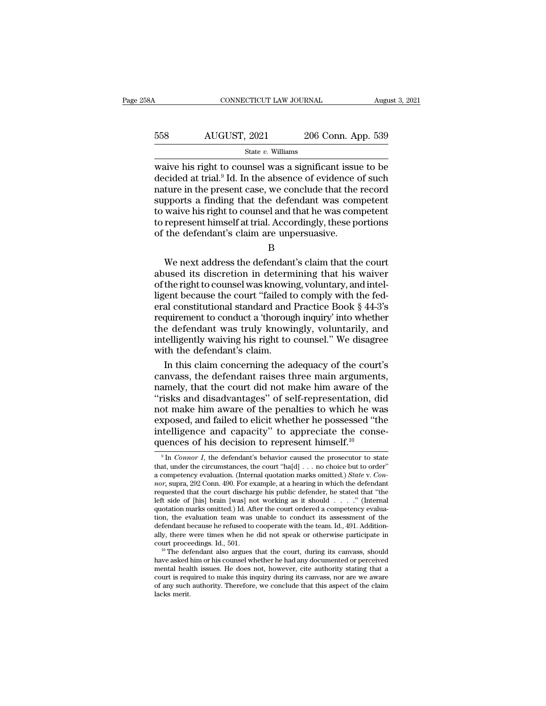| 58A | CONNECTICUT LAW JOURNAL |                    | August 3, 2021 |
|-----|-------------------------|--------------------|----------------|
| 558 | AUGUST, 2021            | 206 Conn. App. 539 |                |
|     | State $v$ . Williams    |                    |                |

CONNECTICUT LAW JOURNAL August 3, 2021<br>
State v. Williams<br>
Waive his right to counsel was a significant issue to be<br>
decided at trial.<sup>9</sup> Id. In the absence of evidence of such<br>
mature in the present case, we conclude tha  $\begin{array}{r} \hline \text{4UGUST, 2021} \text{206 Conn. App. 539} \\ \text{State } v. \text{ Williams} \end{array}$  waive his right to counsel was a significant issue to be decided at trial.<sup>9</sup> Id. In the absence of evidence of such nature in the present case, we conclude that For the present case, we conclude that the wave bis right to counsel was a significant issue to be decided at trial.<sup>9</sup> Id. In the absence of evidence of such nature in the present case, we conclude that the record suppor  $\begin{array}{r} \text{558} & \text{AUGUST, 2021} & \text{206 Conn. App. 539} \\ \text{State } v. \text{ Williams} \end{array}$  waive his right to counsel was a significant issue to be decided at trial.<sup>9</sup> Id. In the absence of evidence of such nature in the present case, we conclude Solution and the wave his right to counsel was a significant issue to be<br>decided at trial.<sup>9</sup> Id. In the absence of evidence of such<br>nature in the present case, we conclude that the record<br>supports a finding that the defe State  $v$ . Williams<br>waive his right to counsel was a significant issue to be<br>decided at trial.<sup>9</sup> Id. In the absence of evidence of such<br>nature in the present case, we conclude that the record<br>supports a finding that the waive his right to counsel was a significant issue<br>decided at trial.<sup>9</sup> Id. In the absence of evidence of<br>nature in the present case, we conclude that the<br>supports a finding that the defendant was com<br>to waive his right to ture in the present case, we conclude that the record<br>pports a finding that the defendant was competent<br>waive his right to counsel and that he was competent<br>represent himself at trial. Accordingly, these portions<br>the defen supports a maing that the defendant was competent<br>to waive his right to counsel and that he was competent<br>to represent himself at trial. Accordingly, these portions<br>of the defendant's claim are unpersuasive.<br>B<br>We next addr

B

to waive his right to counsel and that he was competent<br>to represent himself at trial. Accordingly, these portions<br>of the defendant's claim are unpersuasive.<br>B<br>We next address the defendant's claim that the court<br>abused it to represent nimself at trial. Accordingly, these portions<br>of the defendant's claim are unpersuasive.<br>B<br>We next address the defendant's claim that the court<br>abused its discretion in determining that his waiver<br>of the right B<br>B<br>We next address the defendant's claim that the court<br>abused its discretion in determining that his waiver<br>of the right to counsel was knowing, voluntary, and intel-<br>ligent because the court "failed to comply with the f B<br>We next address the defendant's claim that the court<br>abused its discretion in determining that his waiver<br>of the right to counsel was knowing, voluntary, and intel-<br>ligent because the court "failed to comply with the fed We next address the defendant's claim that the court<br>abused its discretion in determining that his waiver<br>of the right to counsel was knowing, voluntary, and intel-<br>ligent because the court "failed to comply with the fed-<br> abused its discretion in determining that his waiver<br>of the right to counsel was knowing, voluntary, and intel-<br>ligent because the court "failed to comply with the fed-<br>eral constitutional standard and Practice Book § 44-3 we use the discussion in a second<br>of the right to counsel was knowing<br>tigent because the court "failed to eral constitutional standard and<br>requirement to conduct a "thoroug<br>the defendant was truly knowing the with the defe In the court "failed to comply with the fed-<br>al constitutional standard and Practice Book § 44-3's<br>quirement to conduct a "thorough inquiry" into whether<br>e defendant was truly knowingly, voluntarily, and<br>telligently waivin eral constitutional standard and Practice Book § 44-3's<br>requirement to conduct a 'thorough inquiry' into whether<br>the defendant was truly knowingly, voluntarily, and<br>intelligently waiving his right to counsel." We disagree<br>

requirement to conduct a 'thorough inquiry' into whether<br>the defendant was truly knowingly, voluntarily, and<br>intelligently waiving his right to counsel." We disagree<br>with the defendant's claim.<br>In this claim concerning the the defendant was truly knowingly, voluntarily, and<br>
intelligently waiving his right to counsel." We disagree<br>
with the defendant's claim.<br>
In this claim concerning the adequacy of the court's<br>
canvass, the defendant raise intelligently waiving his right to counsel." We disagree<br>with the defendant's claim.<br>In this claim concerning the adequacy of the court's<br>canvass, the defendant raises three main arguments,<br>namely, that the court did not m with the defendant's claim.<br>
In this claim concerning the adequacy of the court's<br>
canvass, the defendant raises three main arguments,<br>
namely, that the court did not make him aware of the<br>
"risks and disadvantages" of sel In this claim concerning the adequacy of the court's canvass, the defendant raises three main arguments, namely, that the court did not make him aware of the "risks and disadvantages" of self-representation, did not make canvass, the defendant raises three main argument<br>namely, that the court did not make him aware of the<br>"risks and disadvantages" of self-representation, di<br>not make him aware of the penalties to which he was<br>exposed, and of make him aware of the penalties to which he was<br>sposed, and failed to elicit whether he possessed "the<br>telligence and capacity" to appreciate the conse-<br>gences of his decision to represent himself.<sup>10</sup><br> $\frac{9 \text{ In } Connor I$ , t exposed, and failed to elicit whether he possessed "the intelligence and capacity" to appreciate the consequences of his decision to represent himself.<sup>10</sup><br>
<sup>9</sup> In *Connor I*, the defendant's behavior caused the prosecuto

Exposed, and raned to encirc whether he possessed the<br>intelligence and capacity" to appreciate the conse-<br>quences of his decision to represent himself.<sup>10</sup><br><sup>9</sup> In *Connor I*, the defendant's behavior caused the prosecutor Intelligence and capacity" to appreciate the consequences of his decision to represent himself.<sup>10</sup><br>
<sup>9</sup> In *Connor I*, the defendant's behavior caused the prosecutor to state that, under the circumstances, the court "ha[ quences of his decision to represent himself.<sup>10</sup><br><sup>9</sup> In *Connor I*, the defendant's behavior caused the prosecutor to state<br>that, under the circumstances, the court "ha[d] . . . no choice but to order"<br>a competency evalu <sup>9</sup> In *Connor I*, the defendant's behavior caused the prosecutor to state that, under the circumstances, the court "ha[d] . . . no choice but to order" a competency evaluation. (Internal quotation marks omitted.) *State* <sup>9</sup> In *Connor I*, the defendant's behavior caused the prosecutor to state that, under the circumstances, the court "ha[d] . . . no choice but to order" a competency evaluation. (Internal quotation marks omitted.) *State* that, under the circumstances, the court "ha[d] . . . no choice but to order" a competency evaluation. (Internal quotation marks omitted.) *State* v. *Connor*, supra, 292 Conn. 490. For example, at a hearing in which the a competency evaluation. (Internal quotation marks omitted.) State v. Connor, supra, 292 Conn. 490. For example, at a hearing in which the defendant requested that the court discharge his public defender, he stated that " *nor*, supra, 292 Conn. 490. For example, at a hearing in which the defendant requested that the court discharge his public defender, he stated that "the left side of [his] brain [was] not working as it should . . . ." (I requested that the court discharge his public defender, he stated that "the left side of [his] brain [was] not working as it should . . . . " (Internal quotation marks omitted.) Id. After the court ordered a competency ev quotation marks omitted.) Id. After the court ordered a competency evaluation, the evaluation team was unable to conduct its assessment of the defendant because he refused to cooperate with the team. Id., 491. Additionally

tion, the evaluation team was unable to conduct its assessment of the defendant because he refused to cooperate with the team. Id., 491. Additionally, there were times when he did not speak or otherwise participate in cou defendant because he refused to cooperate with the team. Id., 491. Additionally, there were times when he did not speak or otherwise participate in court proceedings. Id., 501.<br><sup>10</sup> The defendant also argues that the court ally, there were times when he did not speak or otherwise participate in court proceedings. Id., 501.<br><sup>10</sup> The defendant also argues that the court, during its canvass, should have asked him or his counsel whether he had a have asked him or his counsel whether he had any documented or perceived mental health issues. He does not, however, cite authority stating that a court is required to make this inquiry during its canvass, nor are we aware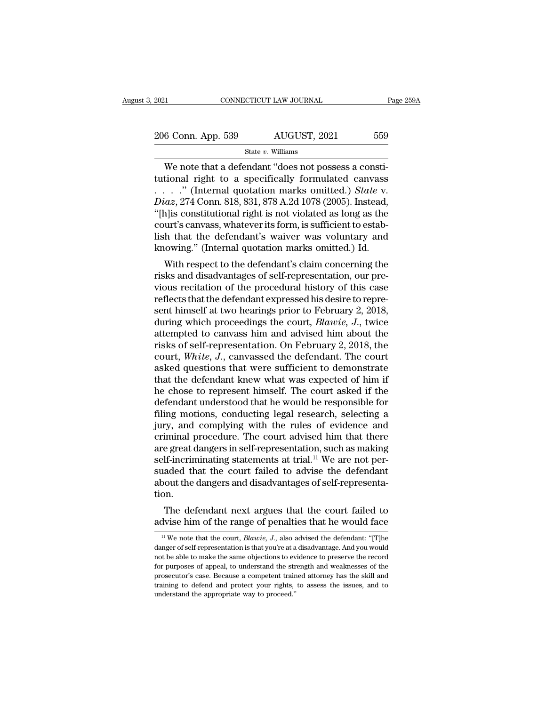| 2021               | CONNECTICUT LAW JOURNAL | Page 259A |
|--------------------|-------------------------|-----------|
| 206 Conn. App. 539 | AUGUST, 2021            | 559       |
|                    | State $v$ . Williams    |           |

CONNECTICUT LAW JOURNAL<br>
6 Conn. App. 539 AUGUST, 2021 559<br>
State v. Williams<br>
We note that a defendant "does not possess a consti-<br>
tional right to a specifically formulated canvass<br>
" (Internal quotation marks emitted) S 206 Conn. App. 539 AUGUST, 2021 559<br>
State v. Williams<br>
We note that a defendant "does not possess a constitutional right to a specifically formulated canvass<br>
. . . . . " (Internal quotation marks omitted.) *State* v.<br>
D . . . .'' (Internal quotation marks omitted.) *State* v. 206 Conn. App. 539 AUGUST, 2021 559<br> *State v. Williams*<br> *We note that a defendant "does not possess a constitutional right to a specifically formulated canvass*<br> *Diaz*, 274 Conn. 818, 831, 878 A.2d 1078 (2005). Instead, State v. Williams<br>
We note that a defendant "does not possess a constitutional right to a specifically formulated canvass<br>
. . . . . " (Internal quotation marks omitted.) *State v.*<br>
Diaz, 274 Conn. 818, 831, 878 A.2d 107 State v. Williams<br>
We note that a defendant "does not possess a constitutional right to a specifically formulated canvass<br>
. . . . . " (Internal quotation marks omitted.) *State v.*<br>
Diaz, 274 Conn. 818, 831, 878 A.2d 107 We note that a defendant "does not possess a constitutional right to a specifically formulated canvass . . . . ." (Internal quotation marks omitted.) *State* v. *Diaz*, 274 Conn. 818, 831, 878 A.2d 1078 (2005). Instead, " tutional right to a specifically formulated canvass<br>
. . . . " (Internal quotation marks omitted.) *State* v.<br> *Diaz*, 274 Conn. 818, 831, 878 A.2d 1078 (2005). Instead,<br>
"[h]is constitutional right is not violated as lon  $iaz$ , 274 Conn. 818, 831, 878 A.2d 1078 (2005). Instead,<br>nlis constitutional right is not violated as long as the<br>urt's canvass, whatever its form, is sufficient to estab-<br>h that the defendant's waiver was voluntary and<br>n  $\mu$ iaz, 214 Conit. 518, 851, 818 A.2d 1078 (2005). Instead,<br>"[h]is constitutional right is not violated as long as the<br>court's canvass, whatever its form, is sufficient to estab-<br>lish that the defendant's waiver was volu

particular fight is not violated as long as the<br>court's canvass, whatever its form, is sufficient to estab-<br>lish that the defendant's waiver was voluntary and<br>knowing." (Internal quotation marks omitted.) Id.<br>With respect Figure 1.1 Scalvass, whatever its form, is sufficient to establish that the defendant's waiver was voluntary and knowing." (Internal quotation marks omitted.) Id.<br>With respect to the defendant's claim concerning the risks shifted at the defendant status waiver was voluntary and knowing." (Internal quotation marks omitted.) Id.<br>With respect to the defendant's claim concerning the risks and disadvantages of self-representation, our previous Knowing. (Internal quotation marks ontitied.) id.<br>With respect to the defendant's claim concerning the<br>risks and disadvantages of self-representation, our pre-<br>vious recitation of the procedural history of this case<br>reflec With respect to the defendant's claim concerning the<br>risks and disadvantages of self-representation, our pre-<br>vious recitation of the procedural history of this case<br>reflects that the defendant expressed his desire to rep risks and disadvantages of self-representation, our previous recitation of the procedural history of this case<br>reflects that the defendant expressed his desire to repre-<br>sent himself at two hearings prior to February 2, 20 vious recitation of the procedural history of this case<br>reflects that the defendant expressed his desire to repre-<br>sent himself at two hearings prior to February 2, 2018,<br>during which proceedings the court, *Blawie*, *J*., reflects that the defendant expressed his desire to represent himself at two hearings prior to February 2, 2018,<br>during which proceedings the court, *Blawie*, *J*., twice<br>attempted to canvass him and advised him about the<br> sent himself at two hearings prior to February 2, 2018,<br>during which proceedings the court, *Blawie*, *J*., twice<br>attempted to canvass him and advised him about the<br>risks of self-representation. On February 2, 2018, the<br>c during which proceedings the court, *Blawie*, *J*., twice<br>attempted to canvass him and advised him about the<br>risks of self-representation. On February 2, 2018, the<br>court, *White*, *J*., canvassed the defendant. The court<br>a attempted to canvass him and advised him about the<br>risks of self-representation. On February 2, 2018, the<br>court, *White*, *J*., canvassed the defendant. The court<br>asked questions that were sufficient to demonstrate<br>that th risks of self-representation. On February 2, 2018, the<br>court, *White*, *J*., canvassed the defendant. The court<br>asked questions that were sufficient to demonstrate<br>that the defendant knew what was expected of him if<br>he cho court, White, J., canvassed the defendant. The court<br>asked questions that were sufficient to demonstrate<br>that the defendant knew what was expected of him if<br>he chose to represent himself. The court asked if the<br>defendant u asked questions that were sufficient to demonstrate<br>that the defendant knew what was expected of him if<br>he chose to represent himself. The court asked if the<br>defendant understood that he would be responsible for<br>filing mo that the defendant knew what was expected of him if<br>he chose to represent himself. The court asked if the<br>defendant understood that he would be responsible for<br>filing motions, conducting legal research, selecting a<br>jury, a he chose to represent himself. The court asked if the defendant understood that he would be responsible for filing motions, conducting legal research, selecting a jury, and complying with the rules of evidence and criminal defendant understood that he would be responsible for<br>filing motions, conducting legal research, selecting a<br>jury, and complying with the rules of evidence and<br>criminal procedure. The court advised him that there<br>are great filing motions, conducting legal research, selecting a<br>jury, and complying with the rules of evidence and<br>criminal procedure. The court advised him that there<br>are great dangers in self-representation, such as making<br>self-i tion. Initial procedure. The court advised film that there<br>e great dangers in self-representation, such as making<br>If-incriminating statements at trial.<sup>11</sup> We are not per-<br>aded that the court failed to advise the defendant<br>out t are great dangers in sein-representation, such as making<br>self-incriminating statements at trial.<sup>11</sup> We are not per-<br>suaded that the court failed to advise the defendant<br>about the dangers and disadvantages of self-represe

on.<br>
11 The defendant next argues that the court failed to<br>
11 We note that the court, *Blawie*, *J.*, also advised the defendant: "[T]he<br>
11 We note that the court, *Blawie*, *J.*, also advised the defendant: "[T]he<br>
11 M

The defendant next argues that the court failed to advise him of the range of penalties that he would face<br> $\frac{11}{11}$  We note that the court, *Blawie*, *J*., also advised the defendant: "[T]he danger of self-representati The defendant next argues that the court failed to advise him of the range of penalties that he would face  $\frac{11}{10}$  We note that the court, *Blawie*, *J*., also advised the defendant: "[T]he danger of self-representati for the contribution of the range of penalties that he would face<br> $\frac{1}{11}$  We note that the court, *Blawie*, *J*., also advised the defendant: "[T]he danger of self-representation is that you're at a disadvantage. And y advise fulfi of the range of perfattles that he would face.<br>
<sup>11</sup> We note that the court, *Blawie*, *J*., also advised the defendant: "[T]he danger of self-representation is that you're at a disadvantage. And you would no <sup>11</sup> We note that the court, *Blawie*,  $J$ ., also advised the defendant: "[T]he danger of self-representation is that you're at a disadvantage. And you would not be able to make the same objections to evidence to preserve danger of self-representation is that you're at a disadvantage. And you would not be able to make the same objections to evidence to preserve the record for purposes of appeal, to understand the strength and weaknesses of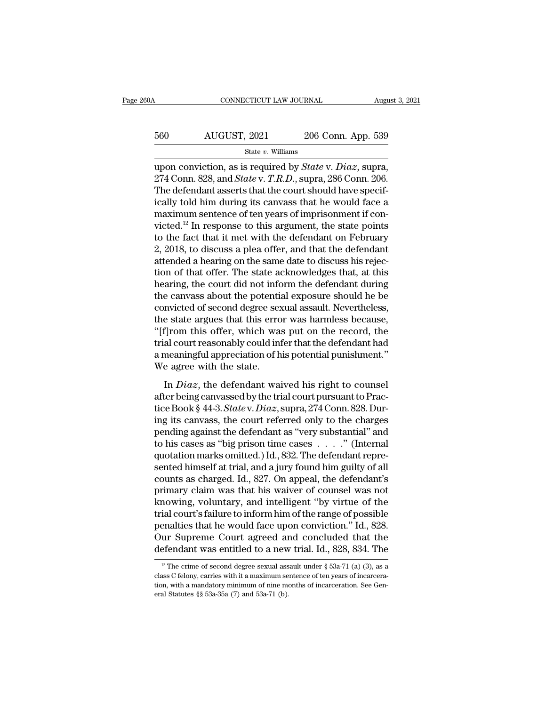## CONNECTICUT LAW JOURNAL August 3, 2021<br>560 AUGUST, 2021 206 Conn. App. 539<br>5tate v. Williams State *v.* Williams

CONNECTICUT LAW JOURNAL August 3, 2<br>
560 AUGUST, 2021 206 Conn. App. 539<br>
<sup>State v. Williams</sup><br>
upon conviction, as is required by *State* v. *Diaz*, supra,<br>274 Conn. 828, and *State* v. *T.R.D.*, supra, 286 Conn. 206.<br>
The 206 Conn. App. 539<br>
206 Conn. App. 539<br>
<sup>274</sup> Conn. 828, and *State* v. *T.R.D.*, supra, 286 Conn. 206.<br>
274 Conn. 828, and *State* v. *T.R.D.*, supra, 286 Conn. 206.<br>
The defendant asserts that the court should have speci  $\frac{560}{\text{State } v. \text{ Williams}}$ <br>
State v. Williams<br>
upon conviction, as is required by *State* v. *Diaz*, supra,<br>
274 Conn. 828, and *State* v. *T.R.D.*, supra, 286 Conn. 206.<br>
The defendant asserts that the court should have speci 560 AUGUST, 2021 206 Conn. App. 539<br>
state v. Williams<br>
upon conviction, as is required by *State v. Diaz*, supra,<br>
274 Conn. 828, and *State v. T.R.D.*, supra, 286 Conn. 206.<br>
The defendant asserts that the court should State v. Williams<br>
upon conviction, as is required by *State v. Diaz*, supra,<br>
274 Conn. 828, and *State v. T.R.D.*, supra, 286 Conn. 206.<br>
The defendant asserts that the court should have specifically told him during its state v. Williams<br>upon conviction, as is required by *State* v. *Diaz*, supra,<br>274 Conn. 828, and *State* v. *T.R.D.*, supra, 286 Conn. 206.<br>The defendant asserts that the court should have specif-<br>ically told him during upon conviction, as is required by *State* v. *Diaz*, supra, 274 Conn. 828, and *State* v. *T.R.D.*, supra, 286 Conn. 206.<br>The defendant asserts that the court should have specifically told him during its canvass that he 274 Conn. 828, and *State* v. *T.R.D.*, supra, 286 Conn. 206.<br>The defendant asserts that the court should have specifically told him during its canvass that he would face a<br>maximum sentence of ten years of imprisonment if The defendant asserts that the court should have specifically told him during its canvass that he would face a maximum sentence of ten years of imprisonment if convicted.<sup>12</sup> In response to this argument, the state points ically told him during its canvass that he would face a<br>maximum sentence of ten years of imprisonment if con-<br>victed.<sup>12</sup> In response to this argument, the state points<br>to the fact that it met with the defendant on Februar maximum sentence of ten years of imprisonment if convicted.<sup>12</sup> In response to this argument, the state points to the fact that it met with the defendant on February 2, 2018, to discuss a plea offer, and that the defendant victed.<sup>12</sup> In response to this argument, the state points<br>to the fact that it met with the defendant on February<br>2, 2018, to discuss a plea offer, and that the defendant<br>attended a hearing on the same date to discuss his to the fact that it met with the defendant on February<br>2, 2018, to discuss a plea offer, and that the defendant<br>attended a hearing on the same date to discuss his rejec-<br>tion of that offer. The state acknowledges that, at 2, 2018, to discuss a plea offer, and that the defendant<br>attended a hearing on the same date to discuss his rejec-<br>tion of that offer. The state acknowledges that, at this<br>hearing, the court did not inform the defendant du attended a hearing on the same date to discuss his rejection of that offer. The state acknowledges that, at this hearing, the court did not inform the defendant during the canvass about the potential exposure should he be tion of that offer. The state acknowledges that, at this<br>hearing, the court did not inform the defendant during<br>the canvass about the potential exposure should he be<br>convicted of second degree sexual assault. Nevertheless, hearing, the court did not inform the defendant during<br>the canvass about the potential exposure should he be<br>convicted of second degree sexual assault. Nevertheless,<br>the state argues that this error was harmless because,<br>" the canvass about the potenti:<br>convicted of second degree sex<br>the state argues that this erro<br>"[f]rom this offer, which was<br>trial court reasonably could int<br>a meaningful appreciation of h<br>We agree with the state.<br>In *Diaz* Extra a Present angles error was harmless because,<br>
f]rom this offer, which was put on the record, the<br>
al court reasonably could infer that the defendant had<br>
meaningful appreciation of his potential punishment."<br>
e agree "[f]rom this offer, which was put on the record, the<br>trial court reasonably could infer that the defendant had<br>a meaningful appreciation of his potential punishment."<br>We agree with the state.<br>In *Diaz*, the defendant waiv

trial court reasonably could infer that the defendant had<br>a meaningful appreciation of his potential punishment."<br>We agree with the state.<br>In *Diaz*, the defendant waived his right to counsel<br>after being canvassed by the t a meaningful appreciation of his potential punishment."<br>We agree with the state.<br>In  $Diaz$ , the defendant waived his right to counsel<br>after being canvassed by the trial court pursuant to Prac-<br>tice Book § 44-3. State v. Dia We agree with the state.<br>
In *Diaz*, the defendant waived his right to counsel<br>
after being canvassed by the trial court pursuant to Prac-<br>
tice Book § 44-3. *State* v. *Diaz*, supra, 274 Conn. 828. Dur-<br>
ing its canvass, In *Diaz*, the defendant waived his right to counsel<br>after being canvassed by the trial court pursuant to Prac-<br>tice Book § 44-3. *Statev. Diaz*, supra, 274 Conn. 828. Dur-<br>ing its canvass, the court referred only to the In *Diaz*, the defendant waived his right to counsel<br>after being canvassed by the trial court pursuant to Prac-<br>tice Book § 44-3. *State* v. *Diaz*, supra, 274 Conn. 828. Dur-<br>ing its canvass, the court referred only to t after being canvassed by the trial court pursuant to Practice Book § 44-3. *State* v. *Diaz*, supra, 274 Conn. 828. During its canvass, the court referred only to the charges pending against the defendant as "very substant tice Book § 44-3. *State* v. *Diaz*, supra, 274 Conn. 828. During its canvass, the court referred only to the charges<br>pending against the defendant as "very substantial" and<br>to his cases as "big prison time cases . . . . . ing its canvass, the court referred only to the charges<br>pending against the defendant as "very substantial" and<br>to his cases as "big prison time cases . . . . ." (Internal<br>quotation marks omitted.) Id., 832. The defendant pending against the defendant as "very substantial" and<br>to his cases as "big prison time cases  $\ldots$ ." (Internal<br>quotation marks omitted.) Id., 832. The defendant repre-<br>sented himself at trial, and a jury found him guilt to his cases as "big prison time cases  $\ldots$  ." (Internal quotation marks omitted.) Id., 832. The defendant represented himself at trial, and a jury found him guilty of all counts as charged. Id., 827. On appeal, the defe quotation marks omitted.) Id., 832. The defendant represented himself at trial, and a jury found him guilty of all<br>counts as charged. Id., 827. On appeal, the defendant's<br>primary claim was that his waiver of counsel was no sented himself at trial, and a jury found him guilty of all<br>counts as charged. Id., 827. On appeal, the defendant's<br>primary claim was that his waiver of counsel was not<br>knowing, voluntary, and intelligent "by virtue of the counts as charged. Id., 827. On appeal, the defendant's<br>primary claim was that his waiver of counsel was not<br>knowing, voluntary, and intelligent "by virtue of the<br>trial court's failure to inform him of the range of possib 12 The crime of second degree sexual assault under § 53a-71 (a) (3), as a sex C felony, carries with it a maximum sentence of ten years of incarcerations. penalties that he would face upon conviction." Id., 828.<br>Our Supreme Court agreed and concluded that the<br>defendant was entitled to a new trial. Id., 828, 834. The<br> $\frac{12}{12}$  The crime of second degree sexual assault unde

Our Supreme Court agreed and concluded that the defendant was entitled to a new trial. Id., 828, 834. The  $\frac{12}{12}$  The crime of second degree sexual assault under § 53a-71 (a) (3), as a class C felony, carries with it defendant was entitled to a new<br>
<sup>12</sup> The crime of second degree sexual ass<br>
class C felony, carries with it a maximum se<br>
tion, with a mandatory minimum of nine m<br>
eral Statutes §§ 53a-35a (7) and 53a-71 (b).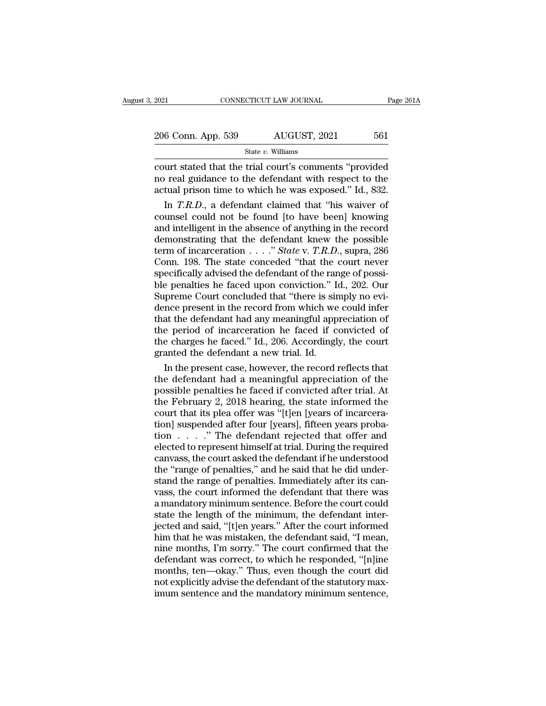| 2021               | CONNECTICUT LAW JOURNAL | Page 261A |  |
|--------------------|-------------------------|-----------|--|
|                    |                         |           |  |
| 206 Conn. App. 539 | AUGUST, 2021            | 561       |  |
|                    | State $v$ . Williams    |           |  |

 $\begin{array}{ccc}\n 2021 & \text{CONPECTICUT LAW JOURNAL} & \text{Page 261A} \\
 \hline\n 206 & \text{Conn. App. 539} & \text{AUGUST, 2021} & 561 \\
 \hline\n 844 & \text{out of the 2648} & \text{in of the 6448} & \text{in of the 6488} \\
 \text{not real guidance to the defendant with respect to the actual prison time to which be was exposed? If 832\n\end{array}$ 206 Conn. App. 539 AUGUST, 2021 561<br>State v. Williams<br>court stated that the trial court's comments "provided<br>no real guidance to the defendant with respect to the<br>actual prison time to which he was exposed." Id., 832. 206 Conn. App. 539 AUGUST, 2021 561<br>
State v. Williams<br>
court stated that the trial court's comments "provided<br>
no real guidance to the defendant with respect to the<br>
actual prison time to which he was exposed.'' Id., 832 6 Conn. App. 539 AUGUST, 2021 561<br>
State *v*. Williams<br>
urt stated that the trial court's comments "provided<br>
i real guidance to the defendant with respect to the<br>
tual prison time to which he was exposed." Id., 832.<br>
In

State v. Williams<br>
court stated that the trial court's comments "provided<br>
no real guidance to the defendant with respect to the<br>
actual prison time to which he was exposed." Id., 832.<br>
In  $T.R.D.,$  a defendant claimed that Figure 1. What we wanted that the trial court's comments "provided<br>no real guidance to the defendant with respect to the<br>actual prison time to which he was exposed." Id., 832.<br>In  $T.R.D.,$  a defendant claimed that "his waive court stated that the trial court's comments "provided<br>no real guidance to the defendant with respect to the<br>actual prison time to which he was exposed." Id., 832.<br>In *T.R.D.*, a defendant claimed that "his waiver of<br>coun no real guidance to the defendant with respect to the actual prison time to which he was exposed." Id., 832.<br>
In *T.R.D.*, a defendant claimed that "his waiver of counsel could not be found [to have been] knowing<br>
and int actual prison time to which he was exposed." Id., 832.<br>
In *T.R.D.*, a defendant claimed that "his waiver of<br>
counsel could not be found [to have been] knowing<br>
and intelligent in the absence of anything in the record<br>
de In *T.R.D.*, a defendant claimed that "his waiver of counsel could not be found [to have been] knowing<br>and intelligent in the absence of anything in the record<br>demonstrating that the defendant knew the possible<br>term of in counsel could not be found [to have been] knowing<br>and intelligent in the absence of anything in the record<br>demonstrating that the defendant knew the possible<br>term of incarceration  $\ldots$ ." *State* v. *T.R.D.*, supra, 286<br>C and intelligent in the absence of anything in the record demonstrating that the defendant knew the possible term of incarceration  $\ldots$  " State v. T.R.D., supra, 286 Conn. 198. The state conceded "that the court never spe demonstrating that the defendant knew the possible<br>term of incarceration  $\ldots$ ." State v. T.R.D., supra, 286<br>Conn. 198. The state conceded "that the court never<br>specifically advised the defendant of the range of possi-<br>bl term of incarceration  $\ldots$  " *State* v. *T.R.D.*, supra, 286<br>Conn. 198. The state conceded "that the court never<br>specifically advised the defendant of the range of possi-<br>ble penalties he faced upon conviction." Id., 202 Conn. 198. The state conceded "that the court never<br>specifically advised the defendant of the range of possi-<br>ble penalties he faced upon conviction." Id., 202. Our<br>Supreme Court concluded that "there is simply no evi-<br>den specifically advised the defendant of the range of possible penalties he faced upon conviction." Id., 202. Our Supreme Court concluded that "there is simply no evidence present in the record from which we could infer that ble penalties he faced upon conviction." I<br>Supreme Court concluded that "there is sin<br>dence present in the record from which we<br>that the defendant had any meaningful app<br>the period of incarceration he faced if c<br>the charge preme Court concluded that "there is simply no evi-<br>nce present in the record from which we could infer<br>at the defendant had any meaningful appreciation of<br>e period of incarceration he faced if convicted of<br>e charges he fa dence present in the record from which we could infer<br>that the defendant had any meaningful appreciation of<br>the period of incarceration he faced if convicted of<br>the charges he faced." Id., 206. Accordingly, the court<br>grant

that the defendant had any meaningful appreciation of<br>the period of incarceration he faced if convicted of<br>the charges he faced." Id., 206. Accordingly, the court<br>granted the defendant a new trial. Id.<br>In the present case, the period of incarceration he faced if convicted of<br>the charges he faced." Id., 206. Accordingly, the court<br>granted the defendant a new trial. Id.<br>In the present case, however, the record reflects that<br>the defendant had a the charges he faced." Id., 206. Accordingly, the court<br>granted the defendant a new trial. Id.<br>In the present case, however, the record reflects that<br>the defendant had a meaningful appreciation of the<br>possible penalties he granted the defendant a new trial. Id.<br>
In the present case, however, the record reflects that<br>
the defendant had a meaningful appreciation of the<br>
possible penalties he faced if convicted after trial. At<br>
the February 2, In the present case, however, the record reflects that<br>the defendant had a meaningful appreciation of the<br>possible penalties he faced if convicted after trial. At<br>the February 2, 2018 hearing, the state informed the<br>court the defendant had a meaningful appreciation of the<br>possible penalties he faced if convicted after trial. At<br>the February 2, 2018 hearing, the state informed the<br>court that its plea offer was "[t]en [years of incarcera-<br>tio possible penalties he faced if convicted after trial. At<br>the February 2, 2018 hearing, the state informed the<br>court that its plea offer was "[t]en [years of incarcera-<br>tion] suspended after four [years], fifteen years prob the February 2, 2018 hearing, the state informed the court that its plea offer was "[t]en [years of incarceration] suspended after four [years], fifteen years probation  $\ldots$  ." The defendant rejected that offer and elect court that its plea offer was "[t]en [years of incarceration] suspended after four [years], fifteen years probation  $\ldots$  . " The defendant rejected that offer and elected to represent himself at trial. During the require tion] suspended after four [years], fifteen years probation  $\ldots$   $\ldots$  " The defendant rejected that offer and elected to represent himself at trial. During the required canvass, the court asked the defendant if he under tion . . . . . " The defendant rejected that offer and<br>elected to represent himself at trial. During the required<br>canvass, the court asked the defendant if he understood<br>the "range of penalties," and he said that he did un elected to represent himself at trial. During the required canvass, the court asked the defendant if he understood<br>the "range of penalties," and he said that he did under-<br>stand the range of penalties. Immediately after it canvass, the court asked the defendant if he understood<br>the "range of penalties," and he said that he did under-<br>stand the range of penalties. Immediately after its can-<br>vass, the court informed the defendant that there wa the "range of penalties," and he said that he did understand the range of penalties. Immediately after its can-<br>vass, the court informed the defendant that there was<br>a mandatory minimum sentence. Before the court could<br>sta stand the range of penalties. Immediately after its can-<br>vass, the court informed the defendant that there was<br>a mandatory minimum sentence. Before the court could<br>state the length of the minimum, the defendant inter-<br>ject vass, the court informed the defendant that there was<br>a mandatory minimum sentence. Before the court could<br>state the length of the minimum, the defendant inter-<br>jected and said, "[t]en years." After the court informed<br>him a mandatory minimum sentence. Before the court could<br>state the length of the minimum, the defendant inter-<br>jected and said, "[t]en years." After the court informed<br>him that he was mistaken, the defendant said, "I mean,<br>nin state the length of the minimum, the defendant inter-<br>jected and said, "[t]en years." After the court informed<br>him that he was mistaken, the defendant said, "I mean,<br>nine months, I'm sorry." The court confirmed that the<br>de jected and said, "[t]en years." After the court informed<br>him that he was mistaken, the defendant said, "I mean,<br>nine months, I'm sorry." The court confirmed that the<br>defendant was correct, to which he responded, "[n]ine<br>mo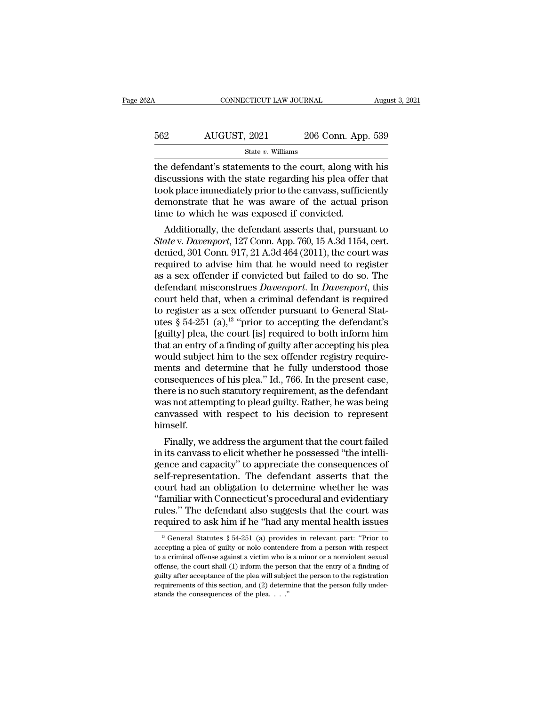| 62A | CONNECTICUT LAW JOURNAL |                    | August 3, 2021 |
|-----|-------------------------|--------------------|----------------|
| 562 | AUGUST, 2021            | 206 Conn. App. 539 |                |
|     | State $v$ . Williams    |                    |                |

 $\begin{array}{r|l} \hline \text{COMRECTICUT LAW JOURNAL} \qquad \text{August 3, 2021} \ \hline \end{array}$ <br>562  $\begin{array}{r|l} \hline \text{AUGUST, 2021} & \text{206 Conn. App. 539} \ \hline \text{State } v. \text{ Williams} \ \hline \end{array}$ <br>the defendant's statements to the court, along with his discussions with the state regarding h  $\begin{array}{r} \text{4UGUST, 2021} \text{206 Conn. App. 539} \\ \text{562} \text{544} \text{Nilliams} \end{array}$ <br>
the defendant's statements to the court, along with his discussions with the state regarding his plea offer that took place immediately prior to the canva 562 AUGUST, 2021 206 Conn. App. 539<br>  $\frac{\text{State } v. \text{ Williams}}{\text{the defendant's statements to the court, along with his  
\ndiscussions with the state regarding his pla offer that  
\ntook place immediately prior to the canvas, sufficiently  
\ndemonstrate that he was aware of the actual prison  
\ntime to which he was exposed if convinced$  $\frac{\text{562}}{\text{State } v. \text{ Williams}}$ <br>  $\frac{\text{State } v. \text{ Williams}}{\text{the defendant's statements to the court, along with his discussions with the state regarding his pla offer that took place immediately prior to the canvas, sufficiently demonstrate that he was aware of the actual prison time to which he was exposed if convicted.}$ State v. Williams<br>State v. Williams<br>the defendant's statements to the court, along with<br>discussions with the state regarding his plea offer<br>took place immediately prior to the canvass, suffici<br>demonstrate that he was aware e defendant's statements to the court, along with his<br>scussions with the state regarding his plea offer that<br>ok place immediately prior to the canvass, sufficiently<br>monstrate that he was aware of the actual prison<br>ne to wh re detendant s statements to the court, along whit his<br>discussions with the state regarding his plea offer that<br>took place immediately prior to the canvass, sufficiently<br>demonstrate that he was exposed if convicted.<br>Additi

discussions with the state regarding his piea oner that<br>took place immediately prior to the canvass, sufficiently<br>demonstrate that he was aware of the actual prison<br>time to which he was exposed if convicted.<br>Additionally, required to advise him that he was aware of the actual prison<br>time to which he was exposed if convicted.<br>Additionally, the defendant asserts that, pursuant to<br>*State* v. *Davenport*, 127 Conn. App. 760, 15 A.3d 1154, cert. demonstrate that he was aware of the actual prison<br>time to which he was exposed if convicted.<br>Additionally, the defendant asserts that, pursuant to<br>State v. Davenport, 127 Conn. App. 760, 15 A.3d 1154, cert.<br>denied, 301 Co defendant asserts that, pursuant to<br>Additionally, the defendant asserts that, pursuant to<br>State v. Davenport, 127 Conn. App. 760, 15 A.3d 1154, cert.<br>denied, 301 Conn. 917, 21 A.3d 464 (2011), the court was<br>required to adv Additionally, the defendant asserts that, pursuant to<br> *State* v. *Davenport*, 127 Conn. App. 760, 15 A.3d 1154, cert.<br>
denied, 301 Conn. 917, 21 A.3d 464 (2011), the court was<br>
required to advise him that he would need t State v. Davenport, 127 Conn. App. 760, 15 A.3d 1154, cert.<br>denied, 301 Conn. 917, 21 A.3d 464 (2011), the court was<br>required to advise him that he would need to register<br>as a sex offender if convicted but failed to do so denied, 301 Conn. 917, 21 A.3d 464 (2011), the court was<br>required to advise him that he would need to register<br>as a sex offender if convicted but failed to do so. The<br>defendant misconstrues *Davenport*. In *Davenport*, thi required to advise him that he would need to register<br>as a sex offender if convicted but failed to do so. The<br>defendant misconstrues *Davenport*. In *Davenport*, this<br>court held that, when a criminal defendant is required<br> as a sex offender if convicted but failed to do so. The<br>defendant misconstrues *Davenport*. In *Davenport*, this<br>court held that, when a criminal defendant is required<br>to register as a sex offender pursuant to General Sta defendant misconstrues *Davenport*. In *Davenport*, this court held that, when a criminal defendant is required to register as a sex offender pursuant to General Statutes § 54-251 (a),<sup>13</sup> "prior to accepting the defendan court held that, when a criminal defendant is required<br>to register as a sex offender pursuant to General Stat-<br>utes  $\S 54-251$  (a),<sup>13</sup> "prior to accepting the defendant's<br>[guilty] plea, the court [is] required to both in to register as a sex offender pursuant to General Stat-<br>utes  $\S$  54-251 (a),<sup>13</sup> "prior to accepting the defendant's<br>[guilty] plea, the court [is] required to both inform him<br>that an entry of a finding of guilty after acc utes § 54-251 (a),<sup>13</sup> "prior to accepting the defendant's<br>[guilty] plea, the court [is] required to both inform him<br>that an entry of a finding of guilty after accepting his plea<br>would subject him to the sex offender regis [guilty] plea, the court [is] required to both inform him<br>that an entry of a finding of guilty after accepting his plea<br>would subject him to the sex offender registry require-<br>ments and determine that he fully understood t that an entry of a finding of guilty after accepting his plea<br>would subject him to the sex offender registry require-<br>ments and determine that he fully understood those<br>consequences of his plea." Id., 766. In the present c himself. Finally, we address the argument that the consequences of his plea." Id., 766. In the present case, ere is no such statutory requirement, as the defendant as not attempting to plead guilty. Rather, he was being nyassed wit consequences or his piea. Id., 700. In the present case,<br>there is no such statutory requirement, as the defendant<br>was not attempting to plead guilty. Rather, he was being<br>canvassed with respect to his decision to represent

there is no such statutory requirement, as the defendant<br>was not attempting to plead guilty. Rather, he was being<br>canvassed with respect to his decision to represent<br>himself.<br>Finally, we address the argument that the court was not attempting to piead guitty. Rather, he was being<br>canvassed with respect to his decision to represent<br>himself.<br>Finally, we address the argument that the court failed<br>in its canvass to elicit whether he possessed "th canvassed with respect to his decision to represent<br>himself.<br>Finally, we address the argument that the court failed<br>in its canvass to elicit whether he possessed "the intelli-<br>gence and capacity" to appreciate the conseque Finally, we address the argument that the court failed<br>in its canvass to elicit whether he possessed "the intelli-<br>gence and capacity" to appreciate the consequences of<br>self-representation. The defendant asserts that the<br>c Finally, we address the argument that the court failed<br>in its canvass to elicit whether he possessed "the intelli-<br>gence and capacity" to appreciate the consequences of<br>self-representation. The defendant asserts that the<br>c in its canvass to elicit whether he possessed "the intelligence and capacity" to appreciate the consequences of self-representation. The defendant asserts that the court had an obligation to determine whether he was "fami burt had an obligation to determine whether he was<br>
familiar with Connecticut's procedural and evidentiary<br>
lles." The defendant also suggests that the court was<br>
equired to ask him if he "had any mental health issues<br>
<sup>13</sup> "familiar with Connecticut's procedural and evidentiary<br>rules." The defendant also suggests that the court was<br>required to ask him if he "had any mental health issues<br> $\frac{13}{13}$  General Statutes § 54-251 (a) provides in

rules." The defendant also suggests that the court was<br>required to ask him if he "had any mental health issues<br> $\frac{13}{13}$  General Statutes § 54-251 (a) provides in relevant part: "Prior to<br>accepting a plea of guilty or n required to ask him if he "had any mental health issues<br>
<sup>13</sup> General Statutes § 54-251 (a) provides in relevant part: "Prior to<br>
accepting a plea of guilty or nolo contendere from a person with respect<br>
to a criminal off required to ask film if the fiad any intential fieadth issues<br>
<sup>13</sup> General Statutes § 54-251 (a) provides in relevant part: "Prior to<br>
accepting a plea of guilty or nolo contendere from a person with respect<br>
to a crimin <sup>13</sup> General Statutes § 54-251 (a) provides in relevant part: "Prior to accepting a plea of guilty or nolo contendere from a person with respect to a criminal offense against a victim who is a minor or a nonviolent sexual accepting a plea of guilty or nolo contendere from a person with respect to a criminal offense against a victim who is a minor or a nonviolent sexual offense, the court shall (1) inform the person that the entry of a find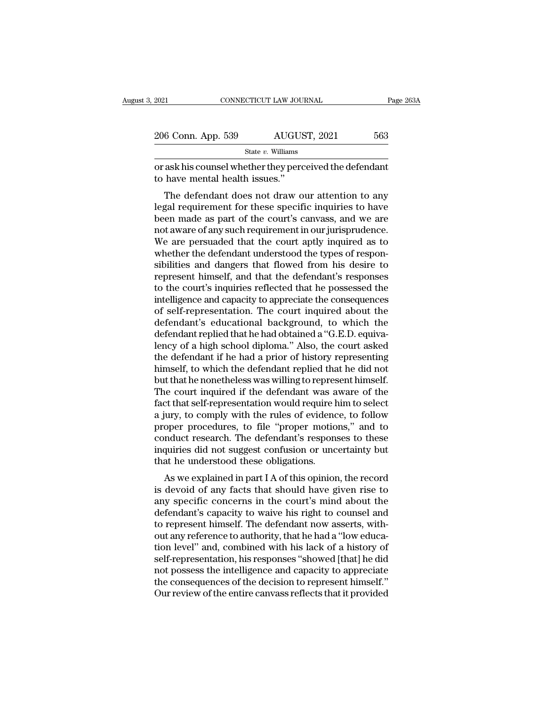| 2021               | CONNECTICUT LAW JOURNAL | Page 263A |  |
|--------------------|-------------------------|-----------|--|
|                    |                         |           |  |
| 206 Conn. App. 539 | AUGUST, 2021            | 563       |  |
|                    | State $v$ . Williams    |           |  |

or ask his counsel whether they perceived the defendant<br>
to have mental health issues."<br>
Notice whether they perceived the defendant<br>
to have mental health issues." 206 Conn. App. 539 AUGUS<br>
State v. Williams<br>
or ask his counsel whether they perce<br>
to have mental health issues.''<br>
The defendant does not draw o

 $\frac{6 \text{ Conn. App. 539}}{\text{State } v. \text{ Williams}}$ <br>
ask his counsel whether they perceived the defendant<br>
have mental health issues."<br>
The defendant does not draw our attention to any<br>
gal requirement for these specific inquiries to have<br>
on 206 Conn. App. 539 AUGUST, 2021 563<br>
State v. Williams<br>
or ask his counsel whether they perceived the defendant<br>
to have mental health issues."<br>
The defendant does not draw our attention to any<br>
legal requirement for thes State  $v$ . Williams<br>
or ask his counsel whether they perceived the defendant<br>
to have mental health issues."<br>
The defendant does not draw our attention to any<br>
legal requirement for these specific inquiries to have<br>
been or ask his counsel whether they perceived the defendant<br>to have mental health issues."<br>The defendant does not draw our attention to any<br>legal requirement for these specific inquiries to have<br>been made as part of the court' or ask his counser whether they perceived the defendant<br>to have mental health issues."<br>The defendant does not draw our attention to any<br>legal requirement for these specific inquiries to have<br>been made as part of the court' Whete inental relations issues.<br>The defendant does not draw our attention to any legal requirement for these specific inquiries to have<br>been made as part of the court's canvass, and we are<br>not aware of any such requirement The defendant does not draw our attention to any<br>legal requirement for these specific inquiries to have<br>been made as part of the court's canvass, and we are<br>not aware of any such requirement in our jurisprudence.<br>We are pe legal requirement for these specific inquiries to have<br>been made as part of the court's canvass, and we are<br>not aware of any such requirement in our jurisprudence.<br>We are persuaded that the court aptly inquired as to<br>wheth been made as part of the court's canvass, and we are<br>not aware of any such requirement in our jurisprudence.<br>We are persuaded that the court aptly inquired as to<br>whether the defendant understood the types of respon-<br>sibili not aware of any such requirement in our jurisprudence.<br>We are persuaded that the court aptly inquired as to<br>whether the defendant understood the types of respon-<br>sibilities and dangers that flowed from his desire to<br>repre We are persuaded that the court aptly inquired as to<br>whether the defendant understood the types of respon-<br>sibilities and dangers that flowed from his desire to<br>represent himself, and that the defendant's responses<br>to the whether the defendant understood the types of responsibilities and dangers that flowed from his desire to represent himself, and that the defendant's responses to the court's inquiries reflected that he possessed the intel sibilities and dangers that flowed from his desire to<br>represent himself, and that the defendant's responses<br>to the court's inquiries reflected that he possessed the<br>intelligence and capacity to appreciate the consequences<br> represent himself, and that the defendant's responses<br>to the court's inquiries reflected that he possessed the<br>intelligence and capacity to appreciate the consequences<br>of self-representation. The court inquired about the<br>d to the court's inquiries reflected that he possessed the<br>intelligence and capacity to appreciate the consequences<br>of self-representation. The court inquired about the<br>defendant's educational background, to which the<br>defend intelligence and capacity to appreciate the consequences<br>of self-representation. The court inquired about the<br>defendant's educational background, to which the<br>defendant replied that he had obtained a "G.E.D. equiva-<br>lency of self-representation. The court inquired about the<br>defendant's educational background, to which the<br>defendant replied that he had obtained a "G.E.D. equiva-<br>lency of a high school diploma." Also, the court asked<br>the defe defendant's educational background, to which the<br>defendant replied that he had obtained a "G.E.D. equiva-<br>lency of a high school diploma." Also, the court asked<br>the defendant if he had a prior of history representing<br>himse defendant replied that he had obtained a "G.E.D. equivalency of a high school diploma." Also, the court asked<br>the defendant if he had a prior of history representing<br>himself, to which the defendant replied that he did not<br> lency of a high school diploma." Also, the court asked<br>the defendant if he had a prior of history representing<br>himself, to which the defendant replied that he did not<br>but that he nonetheless was willing to represent himsel the defendant if he had a prior of history representing<br>himself, to which the defendant replied that he did not<br>but that he nonetheless was willing to represent himself.<br>The court inquired if the defendant was aware of the himself, to which the defendant replied that he did not<br>but that he nonetheless was willing to represent himself.<br>The court inquired if the defendant was aware of the<br>fact that self-representation would require him to sele but that he nonetheless was willing to represent himself.<br>The court inquired if the defendant was aware of the<br>fact that self-representation would require him to select<br>a jury, to comply with the rules of evidence, to foll The court inquired if the defendant was a<br>fact that self-representation would require h<br>a jury, to comply with the rules of evidenc<br>proper procedures, to file "proper motio<br>conduct research. The defendant's respon-<br>inquiri For that sen-representation would require film to sefect<br>lury, to comply with the rules of evidence, to follow<br>oper procedures, to file "proper motions," and to<br>nduct research. The defendant's responses to these<br>quiries di a jury, to comply whil the rules of evidence, to follow<br>proper procedures, to file "proper motions," and to<br>conduct research. The defendant's responses to these<br>inquiries did not suggest confusion or uncertainty but<br>that h

proper procedures, to the proper motions, and to<br>conduct research. The defendant's responses to these<br>inquiries did not suggest confusion or uncertainty but<br>that he understood these obligations.<br>As we explained in part I A conduct research. The defendant's responses to diese<br>inquiries did not suggest confusion or uncertainty but<br>that he understood these obligations.<br>As we explained in part I A of this opinion, the record<br>is devoid of any fac In that he understood these obligations.<br>
As we explained in part I A of this opinion, the record<br>
is devoid of any facts that should have given rise to<br>
any specific concerns in the court's mind about the<br>
defendant's cap As we explained in part I A of this opinion, the record<br>is devoid of any facts that should have given rise to<br>any specific concerns in the court's mind about the<br>defendant's capacity to waive his right to counsel and<br>to re As we explained in part I A of this opinion, the record<br>is devoid of any facts that should have given rise to<br>any specific concerns in the court's mind about the<br>defendant's capacity to waive his right to counsel and<br>to re is devoid of any facts that should have given rise to<br>any specific concerns in the court's mind about the<br>defendant's capacity to waive his right to counsel and<br>to represent himself. The defendant now asserts, with-<br>out an any specific concerns in the court's mind about the<br>defendant's capacity to waive his right to counsel and<br>to represent himself. The defendant now asserts, with-<br>out any reference to authority, that he had a "low educa-<br>ti defendant's capacity to waive his right to counsel and<br>to represent himself. The defendant now asserts, with-<br>out any reference to authority, that he had a "low educa-<br>tion level" and, combined with his lack of a history o to represent himself. The defendant now asserts, without any reference to authority, that he had a "low education level" and, combined with his lack of a history of self-representation, his responses "showed [that] he did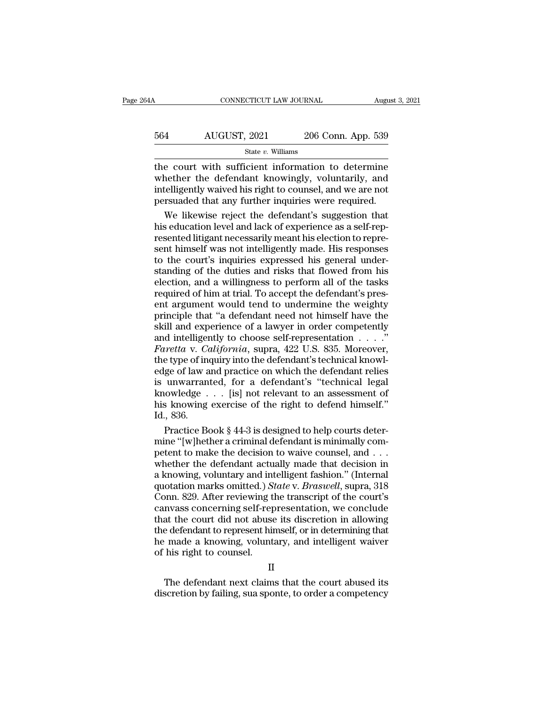| 54A | CONNECTICUT LAW JOURNAL |                    | August 3, 2021 |
|-----|-------------------------|--------------------|----------------|
| 564 | AUGUST, 2021            | 206 Conn. App. 539 |                |
|     | State v. Williams       |                    |                |

 $\begin{tabular}{ll} \multicolumn{2}{l}{{\text{COMRECTICUT LAW JOURNAL}}}&\text{August 3, 2021}\\ \hline \multicolumn{2}{l}{\text{S64}}&\text{AUGUST, 2021}&\text{206 Conn. App. 539} \\ & \text{State $v$. Williams} \\ \hline \multicolumn{2}{l}{\text{the court with sufficient information to determine}} \\ \text{whether the defendant knowingly, voluntary, and} \\ \hline \multicolumn{2}{l}{\text{intalligently, wayed his right to cousel and we are not}} \end{tabular}$ MUGUST, 2021 206 Conn. App. 539<br>
State v. Williams<br>
the court with sufficient information to determine<br>
whether the defendant knowingly, voluntarily, and<br>
intelligently waived his right to counsel, and we are not<br>
persuade  $\frac{\text{AUGUST, 2021}}{\text{State } v. \text{ Williams}}$ <br>
the court with sufficient information to determine<br>
whether the defendant knowingly, voluntarily, and<br>
intelligently waived his right to counsel, and we are not<br>
persuaded that any further i  $\frac{\text{AUGUST, 2021}}{\text{State } v. \text{ Williams}}$ <br>  $\frac{\text{State } v. \text{ Williams}}{\text{the court with sufficient information to determine}}$ <br>
whether the defendant knowingly, voluntarily, and<br>
intelligently waived his right to counsel, and we are not<br>
persuaded that any further inquiries were required. State  $v$ . Williams<br>
e court with sufficient information to determine<br>
hether the defendant knowingly, voluntarily, and<br>
telligently waived his right to counsel, and we are not<br>
rsuaded that any further inquiries were req state *v*. while whether the defendant knowingly, voluntarily, and intelligently waived his right to counsel, and we are not persuaded that any further inquiries were required.<br>We likewise reject the defendant's suggestio

the court with sufficient information to determine<br>whether the defendant knowingly, voluntarily, and<br>intelligently waived his right to counsel, and we are not<br>persuaded that any further inquiries were required.<br>We likewise whether the defendant knowingly, voluntarily, and<br>intelligently waived his right to counsel, and we are not<br>persuaded that any further inquiries were required.<br>We likewise reject the defendant's suggestion that<br>his educati intelligently waived his right to counsel, and we are not<br>persuaded that any further inquiries were required.<br>We likewise reject the defendant's suggestion that<br>his education level and lack of experience as a self-rep-<br>res persuaded that any further inquiries were required.<br>We likewise reject the defendant's suggestion that<br>his education level and lack of experience as a self-rep-<br>resented litigant necessarily meant his election to repre-<br>se We likewise reject the defendant's suggestion that<br>his education level and lack of experience as a self-rep-<br>resented litigant necessarily meant his election to repre-<br>sent himself was not intelligently made. His responses his education level and lack of experience as a self-rep-<br>resented litigant necessarily meant his election to repre-<br>sent himself was not intelligently made. His responses<br>to the court's inquiries expressed his general und resented litigant necessarily meant his election to represent himself was not intelligently made. His responses<br>to the court's inquiries expressed his general under-<br>standing of the duties and risks that flowed from his<br>el sent himself was not intelligently made. His responses<br>to the court's inquiries expressed his general under-<br>standing of the duties and risks that flowed from his<br>election, and a willingness to perform all of the tasks<br>req to the court's inquiries expressed his general under-<br>standing of the duties and risks that flowed from his<br>election, and a willingness to perform all of the tasks<br>required of him at trial. To accept the defendant's presstanding of the duties and risks that flowed from his<br>election, and a willingness to perform all of the tasks<br>required of him at trial. To accept the defendant's pres-<br>ent argument would tend to undermine the weighty<br>prin election, and a willingness to perform all of the tasks<br>required of him at trial. To accept the defendant's pres-<br>ent argument would tend to undermine the weighty<br>principle that "a defendant need not himself have the<br>skill required of him at trial. To accept the defendant's present argument would tend to undermine the weighty<br>principle that "a defendant need not himself have the<br>skill and experience of a lawyer in order competently<br>and intel ent argument would tend to undermine the weighty<br>principle that "a defendant need not himself have the<br>skill and experience of a lawyer in order competently<br>and intelligently to choose self-representation  $\dots$ ."<br>Faretta v principle that "a defendant need not himself have the<br>skill and experience of a lawyer in order competently<br>and intelligently to choose self-representation  $\dots$ ."<br>Faretta v. California, supra, 422 U.S. 835. Moreover,<br>the skill and experience of a lawyer in order competently<br>and intelligently to choose self-representation . . . ."<br>Faretta v. California, supra, 422 U.S. 835. Moreover,<br>the type of inquiry into the defendant's technical knowl and intelligently to choose self-representation  $\ldots$ ."<br>
Faretta v. California, supra, 422 U.S. 835. Moreover,<br>
the type of inquiry into the defendant's technical knowl-<br>
edge of law and practice on which the defendant re Faretta v. Co<br>the type of inv<br>edge of law a<br>is unwarran<br>knowledge<br>his knowing<br>Id., 836.<br>Practice Bo e type of inquiry into the defendant's technical knowl-<br>ge of law and practice on which the defendant relies<br>unwarranted, for a defendant's "technical legal<br>lowledge . . . [is] not relevant to an assessment of<br>s knowing ex edge of law and practice on which the defendant relies<br>is unwarranted, for a defendant's "technical legal<br>knowledge . . . [is] not relevant to an assessment of<br>his knowing exercise of the right to defend himself."<br>Id., 836

is unwarranted, for a defendant's "technical legal<br>knowledge  $\ldots$  [is] not relevant to an assessment of<br>his knowing exercise of the right to defend himself."<br>Id., 836.<br>Practice Book § 44-3 is designed to help courts dete knowledge  $\ldots$  [is] not relevant to an assessment of<br>his knowing exercise of the right to defend himself."<br>Id., 836.<br>Practice Book § 44-3 is designed to help courts deter-<br>mine "[w]hether a criminal defendant is minimall his knowing exercise of the right to defend himself."<br>Id., 836.<br>Practice Book § 44-3 is designed to help courts deter-<br>mine "[w]hether a criminal defendant is minimally com-<br>petent to make the decision to waive counsel, a Id., 836.<br>
Practice Book § 44-3 is designed to help courts deter-<br>
mine "[w]hether a criminal defendant is minimally com-<br>
petent to make the decision to waive counsel, and . . .<br>
whether the defendant actually made that d Practice Book § 44-3 is designed to help courts determine "[w]hether a criminal defendant is minimally competent to make the decision to waive counsel, and . . . whether the defendant actually made that decision in a knowi mine "[w]hether a criminal defendant is minimally competent to make the decision to waive counsel, and  $\ldots$ <br>whether the defendant actually made that decision in<br>a knowing, voluntary and intelligent fashion." (Internal<br>qu petent to make the decision to waive counsel, and  $\dots$ <br>whether the defendant actually made that decision in<br>a knowing, voluntary and intelligent fashion." (Internal<br>quotation marks omitted.) State v. Braswell, supra, 318<br> whether the defendant actually made that decision in<br>a knowing, voluntary and intelligent fashion." (Internal<br>quotation marks omitted.) *State* v. *Braswell*, supra, 318<br>Conn. 829. After reviewing the transcript of the cou a knowing, voluntary and intelligent fashion." (Internal quotation marks omitted.) *State* v. *Braswell*, supra, 318 Conn. 829. After reviewing the transcript of the court's canvass concerning self-representation, we concl quotation marks omitted.) S<br>Conn. 829. After reviewing t<br>canvass concerning self-rep<br>that the court did not abuse<br>the defendant to represent hin<br>he made a knowing, volunt<br>of his right to counsel. The defendant or ephramical state court did not abuse its discretion in allowing<br>that the court did not abuse its discretion in allowing<br>that the court abused its made a knowing, voluntary, and intelligent waiver<br>his right diat the court did not abuse its discretion in allowing<br>the defendant to represent himself, or in determining that<br>he made a knowing, voluntary, and intelligent waiver<br>of his right to counsel.<br>II<br>The defendant next claims

## II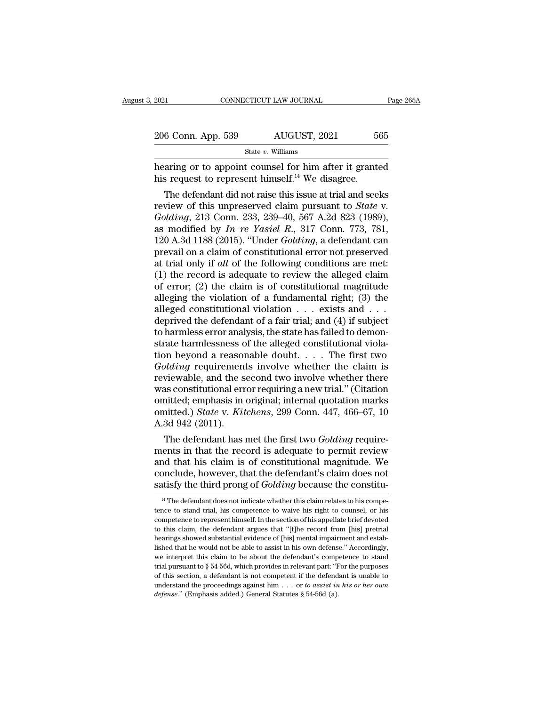| 2021               | CONNECTICUT LAW JOURNAL | Page 265A |
|--------------------|-------------------------|-----------|
| 206 Conn. App. 539 | AUGUST, 2021            | 565       |
|                    | State $v$ . Williams    |           |

EXERCTIFY 2021 CONNECTICUT LAW JOURNAL Page 265A<br>
206 Conn. App. 539 AUGUST, 2021 565<br>
State v. Williams<br>
hearing or to appoint counsel for him after it granted<br>
his request to represent himself.<sup>14</sup> We disagree. 206 Conn. App. 539 AUGUST, 2021 56<br>
state v. Williams<br>
hearing or to appoint counsel for him after it grante<br>
his request to represent himself.<sup>14</sup> We disagree.<br>
The defendant did not raise this issue at trial and see

6 Conn. App. 539 AUGUST, 2021 565<br>
State v. Williams<br>
aring or to appoint counsel for him after it granted<br>
s request to represent himself.<sup>14</sup> We disagree.<br>
The defendant did not raise this issue at trial and seeks<br>
view 206 Conn. App. 539 AUGUST, 2021 565<br>
State *v*. Williams<br>
hearing or to appoint counsel for him after it granted<br>
his request to represent himself.<sup>14</sup> We disagree.<br>
The defendant did not raise this issue at trial and seek *State v. Williams*<br> *Golding* or to appoint counsel for him after it granted<br>
his request to represent himself.<sup>14</sup> We disagree.<br> *The defendant did not raise this issue at trial and seeks*<br> *review of this unpreserved cl* hearing or to appoint counsel for him after it granted<br>his request to represent himself.<sup>14</sup> We disagree.<br>The defendant did not raise this issue at trial and seeks<br>review of this unpreserved claim pursuant to *State* v.<br>*G* nearing or to appoint counsel for nim after it granted<br>his request to represent himself.<sup>14</sup> We disagree.<br>The defendant did not raise this issue at trial and seeks<br>review of this unpreserved claim pursuant to *State* v.<br>*G* ms request to represent nimsen." we disagree.<br>
The defendant did not raise this issue at trial and seeks<br>
review of this unpreserved claim pursuant to *State* v.<br> *Golding*, 213 Conn. 233, 239–40, 567 A.2d 823 (1989),<br>
as The defendant did not raise this issue at trial and seeks<br>review of this unpreserved claim pursuant to *State* v.<br>*Golding*, 213 Conn. 233, 239–40, 567 A.2d 823 (1989),<br>as modified by *In re Yasiel R.*, 317 Conn. 773, 781, review of this unpreserved claim pursuant to *State* v.<br> *Golding*, 213 Conn. 233, 239–40, 567 A.2d 823 (1989),<br>
as modified by *In re Yasiel R.*, 317 Conn. 773, 781,<br>
120 A.3d 1188 (2015). "Under *Golding*, a defendant c Golding, 213 Conn. 233, 239–40, 567 A.2d 823 (1989), as modified by *In re Yasiel R.*, 317 Conn. 773, 781, 120 A.3d 1188 (2015). "Under *Golding*, a defendant can prevail on a claim of constitutional error not preserved a as modified by *In re Yasiel R.*, 317 Conn. 773, 781, 120 A.3d 1188 (2015). "Under *Golding*, a defendant can prevail on a claim of constitutional error not preserved at trial only if *all* of the following conditions are 120 A.3d 1188 (2015). "Under *Golding*, a defendant can<br>prevail on a claim of constitutional error not preserved<br>at trial only if *all* of the following conditions are met:<br>(1) the record is adequate to review the alleged prevail on a claim of constitutional error not preserved<br>at trial only if *all* of the following conditions are met:<br>(1) the record is adequate to review the alleged claim<br>of error; (2) the claim is of constitutional magn at trial only if *all* of the following conditions are met:<br>(1) the record is adequate to review the alleged claim<br>of error; (2) the claim is of constitutional magnitude<br>alleging the violation of a fundamental right; (3) (1) the record is adequate to review the alleged claim<br>of error; (2) the claim is of constitutional magnitude<br>alleging the violation of a fundamental right; (3) the<br>alleged constitutional violation  $\dots$  exists and  $\dots$ <br>de of error; (2) the claim is of constitutional magnitude<br>alleging the violation of a fundamental right; (3) the<br>alleged constitutional violation  $\dots$  exists and  $\dots$ <br>deprived the defendant of a fair trial; and (4) if subjec alleging the violation of a fundamental right; (3) the alleged constitutional violation  $\ldots$  exists and  $\ldots$  deprived the defendant of a fair trial; and (4) if subject to harmless error analysis, the state has failed to alleged constitutional violation . . . exists and . . .<br>deprived the defendant of a fair trial; and (4) if subject<br>to harmless error analysis, the state has failed to demon-<br>strate harmlessness of the alleged constitutiona deprived the defendant of a fair trial; and (4) if subject<br>to harmless error analysis, the state has failed to demon-<br>strate harmlessness of the alleged constitutional viola-<br>tion beyond a reasonable doubt.... The first t to harmless error analysis, the state has failed to demonstrate harmlessness of the alleged constitutional violation beyond a reasonable doubt. . . . The first two  $Golding$  requirements involve whether the claim is reviewable strate harmlessness of the alleged constitutional violation beyond a reasonable doubt. . . . The first two *Golding* requirements involve whether the claim is reviewable, and the second two involve whether there was consti tion beyond a reasor<br>Golding requirement<br>reviewable, and the s<br>was constitutional err<br>omitted; emphasis in<br>omitted.) State v. Kit<br>A.3d 942 (2011).<br>The defendant has betwable, and the second two involve whether the claim is<br>viewable, and the second two involve whether there<br>as constitutional error requiring a new trial." (Citation<br>intted; emphasis in original; internal quotation marks<br> reviewable, and the second two involve whether there<br>was constitutional error requiring a new trial." (Citation<br>omitted; emphasis in original; internal quotation marks<br>omitted.) *State* v. *Kitchens*, 299 Conn. 447, 466–67

was constitutional error requiring a new trial." (Citation<br>omitted, emphasis in original; internal quotation marks<br>omitted.) *State v. Kitchens*, 299 Conn. 447, 466–67, 10<br>A.3d 942 (2011).<br>The defendant has met the first t omitted, emphasis in original; internal quotation marks<br>omitted.) *State v. Kitchens*, 299 Conn. 447, 466–67, 10<br>A.3d 942 (2011).<br>The defendant has met the first two *Golding* require-<br>ments in that the record is adequate omitted.) *State* v. *Kitchens*, 299 Conn. 447, 466–67, 10<br>A.3d 942 (2011).<br>The defendant has met the first two *Golding* require-<br>ments in that the record is adequate to permit review<br>and that his claim is of constitution ients in that the record is adequate to permit review<br>not that his claim is of constitutional magnitude. We<br>onclude, however, that the defendant's claim does not<br>this displant does not indicate whether this claim relates t and that his claim is of constitutional magnitude. We<br>conclude, however, that the defendant's claim does not<br>satisfy the third prong of *Golding* because the constitu-<br><sup>14</sup> The defendant does not indicate whether this clai

conclude, however, that the defendant's claim does not satisfy the third prong of  $Golding$  because the constitu-<br><sup>14</sup> The defendant does not indicate whether this claim relates to his competence to stand trial, his competence satisfy the third prong of  $Golding$  because the constitu-<br><sup>14</sup> The defendant does not indicate whether this claim relates to his competence to stand trial, his competence to waive his right to counsel, or his competence to re Satisfy the tring prong of *Gottering* because the constitu-<br><sup>14</sup> The defendant does not indicate whether this claim relates to his competence to stand trial, his competence to waive his right to counsel, or his competenc <sup>14</sup> The defendant does not indicate whether this claim relates to his competence to stand trial, his competence to waive his right to counsel, or his competence to represent himself. In the section of his appellate brief tence to stand trial, his competence to waive his right to counsel, or his competence to represent himself. In the section of his appellate brief devoted to this claim, the defendant argues that "[t]he record from [his] p competence to represent himself. In the section of his appellate brief devoted to this claim, the defendant argues that "[t]he record from [his] pretrial hearings showed substantial evidence of [his] mental impairment and to this claim, the defendant argues that "[t]he record from [his] pretrial hearings showed substantial evidence of [his] mental impairment and established that he would not be able to assist in his own defense." According hearings showed substantial evidence of [his] mental impairment and established that he would not be able to assist in his own defense." Accordingly, we interpret this claim to be about the defendant's competence to stand *hearings* showed substantial evidence of [his] mental impairment and established that he would not be able to assist in his own defense." Accordingly, we interpret this claim to be about the defendant's competence to sta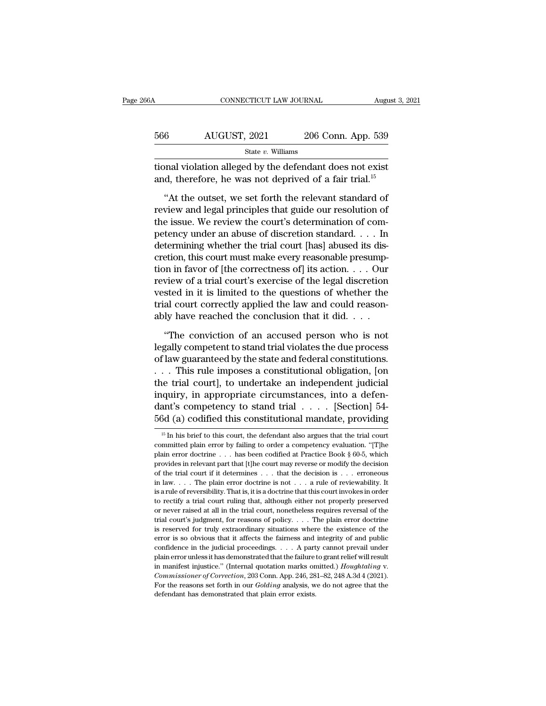| 66A | CONNECTICUT LAW JOURNAL                                                                                                        |                    | August 3, 2021 |
|-----|--------------------------------------------------------------------------------------------------------------------------------|--------------------|----------------|
|     |                                                                                                                                |                    |                |
| 566 | AUGUST, 2021                                                                                                                   | 206 Conn. App. 539 |                |
|     | State $v$ . Williams                                                                                                           |                    |                |
|     | tional violation alleged by the defendant does not exist<br>and, therefore, he was not deprived of a fair trial. <sup>15</sup> |                    |                |
|     | "At the outset, we set forth the relevant standard of                                                                          |                    |                |
|     | review and legal principles that guide our resolution of<br>the igns We review the court's determination of com-               |                    |                |

 $r_{\text{total}}$  and  $r_{\text{total}}$  and  $r_{\text{total}}$  and  $r_{\text{total}}$  and  $r_{\text{total}}$  and  $r_{\text{total}}$  and  $r_{\text{total}}$  the defendant does not exist and, therefore, he was not deprived of a fair trial.<sup>15</sup> <br>
"At the outset, we set forth the releva State v. Williams<br>tional violation alleged by the defendant does not exist<br>and, therefore, he was not deprived of a fair trial.<sup>15</sup><br>"At the outset, we set forth the relevant standard of<br>review and legal principles that gu tional violation alleged by the defendant does not exist<br>and, therefore, he was not deprived of a fair trial.<sup>15</sup><br>"At the outset, we set forth the relevant standard of<br>review and legal principles that guide our resolution and, therefore, he was not deprived of a fair trial.<sup>15</sup><br>
"At the outset, we set forth the relevant standard of<br>
review and legal principles that guide our resolution of<br>
the issue. We review the court's determination of "At the outset, we set forth the relevant standard of<br>review and legal principles that guide our resolution of<br>the issue. We review the court's determination of com-<br>petency under an abuse of discretion standard. . . . In "At the outset, we set forth the relevant standard of<br>review and legal principles that guide our resolution of<br>the issue. We review the court's determination of com-<br>petency under an abuse of discretion standard. . . . In review and legal principles that guide our resolution of<br>the issue. We review the court's determination of com-<br>petency under an abuse of discretion standard. . . . In<br>determining whether the trial court [has] abused its d the issue. We review the court's determination of competency under an abuse of discretion standard. . . . In determining whether the trial court [has] abused its discretion, this court must make every reasonable presumpti petency under an abuse of discretion standard. . . . In<br>determining whether the trial court [has] abused its dis-<br>cretion, this court must make every reasonable presump-<br>tion in favor of [the correctness of] its action. . determining whether the trial court [has] abused its discretion, this court must make every reasonable presumption in favor of [the correctness of] its action. . . . Our review of a trial court's exercise of the legal disc on in favor of [the correctness of] its action. . . . Our view of a trial court's exercise of the legal discretion<br>sted in it is limited to the questions of whether the<br>al court correctly applied the law and could reasonreview of a trial court's exercise of the legal discretion<br>vested in it is limited to the questions of whether the<br>trial court correctly applied the law and could reason-<br>ably have reached the conclusion that it did. . . .

vested in it is limited to the questions of whether the<br>trial court correctly applied the law and could reason-<br>ably have reached the conclusion that it did. . . .<br>"The conviction of an accused person who is not<br>legally co trial court correctly applied the law and could reasonably have reached the conclusion that it did. . . .<br>"The conviction of an accused person who is not legally competent to stand trial violates the due process of law gua ably have reached the conclusion that it did. . . .<br>
"The conviction of an accused person who is not<br>
legally competent to stand trial violates the due process<br>
of law guaranteed by the state and federal constitutions.<br>
. "The conviction of an accused person who is not<br>legally competent to stand trial violates the due process<br>of law guaranteed by the state and federal constitutions.<br> $\dots$  This rule imposes a constitutional obligation, [on<br>t "The conviction of an accused person who is not<br>legally competent to stand trial violates the due process<br>of law guaranteed by the state and federal constitutions.<br>. . . This rule imposes a constitutional obligation, [on<br> legally competent to stand trial violates the due process<br>of law guaranteed by the state and federal constitutions.<br>... This rule imposes a constitutional obligation, [on<br>the trial court], to undertake an independent judi 16 In his brief to this court, the defendant also argues that the trial court of this competency to stand trial  $\ldots$ . [Section] 54-<br>  $\frac{3d}{d}$  (a) codified this constitutional mandate, providing<br>  $\frac{15}{d}$  In his brief inquiry, in appropriate circumstances, into a defendant's competency to stand trial . . . . [Section] 54-<br>56d (a) codified this constitutional mandate, providing<br> $\frac{15 \text{ In his brief to this court, the defendant also argues that the trial court  
committed plain error by failing to order a competing evaluation. "[T]he  
plain error doctrine . . . has been codified at Practice Book §$ 

dant's competency to stand trial . . . . . [Section] 54-<br>56d (a) codified this constitutional mandate, providing<br> $\frac{15 \text{ In his brief to this court, the defendant also argues that the trial court  
committed plain error by failing to order a competing evaluation. "[The  
plain error doctrine . . . has been codified at Practice Book § 60-5, which  
provides in relevant part that [the court may reverse or modify the decision$  $\frac{15}{15}$  In his brief to this constitutional mandate, providing<br>  $\frac{15}{15}$  In his brief to this court, the defendant also argues that the trial court<br>
committed plain error by failing to order a competency evaluation bod (a) Courted this Constitutional manuate, providing<br>
<sup>15</sup> In his brief to this court, the defendant also argues that the trial court<br>
committed plain error by failing to order a competency evaluation. "[T]<br>
plain error <sup>15</sup> In his brief to this court, the defendant also argues that the trial court committed plain error by failing to order a competency evaluation. "[T]he plain error doctrine . . . has been codified at Practice Book § 60committed plain error by failing to order a competency evaluation. "[T]he plain error doctrine . . . has been codified at Practice Book § 60-5, which provides in relevant part that [t]he court may reverse or modify the de plain error doctrine . . . has been codified at Practice Book § 60-5, which provides in relevant part that [t]he court may reverse or modify the decision of the trial court if it determines . . . that the decision is . . provides in relevant part that [t]he court may reverse or modify the decision<br>of the trial court if it determines . . . that the decision is . . . erroneous<br>in law. . . . The plain error doctrine is not . . . a rule of re for the trial court if it determines . . . . that the decision is . . . erroneous in law. . . . The plain error doctrine is not . . . a rule of reviewability. It is a rule of reversibility. That is, it is a doctrine that in law. . . . The plain error doctrine is not . . . a rule of reviewability. It is a rule of reversibility. That is, it is a doctrine that this court invokes in order to rectify a trial court ruling that, although either is a rule of reversibility. That is, it is a doctrine that this court invokes in order to rectify a trial court ruling that, although either not properly preserved or never raised at all in the trial court, nonetheless re confidence in the judicial proceedings. . . . . The plain error of the proceeding is reserved or never raised at all in the trial court, nonetheless requires reversal of the trial court's judgment, for reasons of policy. be on the raised at all in the trial court, nonetheless requires reversal of the trial court's judgment, for reasons of policy.  $\ldots$  The plain error doctrine is reserved for truly extraordinary situations where the exist in manifest injustice.'' (Internal quotation marks omitted.) *Commissioner of the existence of the error is so obvious that it affects the fairness and integrity of and public confidence in the judicial proceedings. . . .* For the reasons set forth in our *Golding* analysis, we do not agree that the defendant has demonstrated that the failure to grant relief will result in manifest injustice." (Internal quotation marks omitted.) *Houghtaling* confidence in the judicial proceedings. . . . . A party cannot prevail under plain error unless it has demonstrated that the failure to grant relief will result in manifest injustice." (Internal quotation marks omitted.)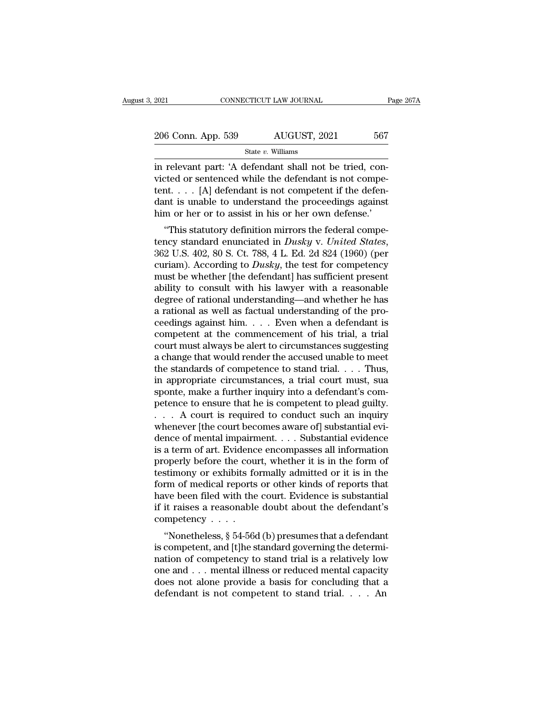| 2021               | CONNECTICUT LAW JOURNAL | Page 267A |
|--------------------|-------------------------|-----------|
| 206 Conn. App. 539 | AUGUST, 2021            | 567       |
|                    | State $v$ . Williams    |           |

EXECUTE 2021<br>
2006 Conn. App. 539 AUGUST, 2021 567<br>
31 State v. Williams<br>
2016 Conn. App. 539 AUGUST, 2021 567<br>
31 State v. Williams<br>
21 State v. Williams<br>
21 All defendant shall not be tried, con-<br>
21 Al defendant is not 206 Conn. App. 539  $\overline{\phantom{0}}$  AUGUST, 2021 567<br>  $\overline{\phantom{0}}$  State v. Williams<br>
in relevant part: 'A defendant shall not be tried, convicted or sentenced while the defendant is not compe-<br>
tent.... [A] defendant is not co 206 Conn. App. 539 AUGUST, 2021 567<br>
State v. Williams<br>
in relevant part: 'A defendant shall not be tried, convicted or sentenced while the defendant is not competent.<br>  $\therefore$  [A] defendant is not competent if the defendan 206 Conn. App. 539 AUGUST, 2021 567<br>
State v. Williams<br>
in relevant part: 'A defendant shall not be tried, convicted or sentenced while the defendant is not competent.<br>
. . . . [A] defendant is not competent if the defend State v. Williams<br>
in relevant part: 'A defendant shall not be tried, convicted or sentenced while the defendant is not competent.... [A] defendant is not competent if the defendant is unable to understand the proceedings relevant part: 'A defendant shall not be tried, concred or sentenced while the defendant is not competent if the defendant is unable to understand the proceedings against m or her or to assist in his or her own defense.'<br> In relevant part: A defendant shall not be tried, convicted or sentenced while the defendant is not competent.<br>
Let us to understand the proceedings against him or her or to assist in his or her own defense.'<br>
"This statut

curiam). According to *Dusky*, the test for competency standard enunciated in *Dusky* v. *United States*, 362 U.S. 402, 80 S. Ct. 788, 4 L. Ed. 2d 824 (1960) (per curiam). According to *Dusky*, the test for competency must must be wheteral in this or her own defense.<br>
"This statutory definition mirrors the federal competency standard enunciated in *Dusky* v. United States,<br>
362 U.S. 402, 80 S. Ct. 788, 4 L. Ed. 2d 824 (1960) (per<br>
curiam). Finiti of the form of assist in fits of the town defense.<br>
"This statutory definition mirrors the federal competency standard enunciated in *Dusky* v. *United States*, 362 U.S. 402, 80 S. Ct. 788, 4 L. Ed. 2d 824 (1960) ( "This statutory definition mirrors the federal competency standard enunciated in *Dusky* v. *United States*, 362 U.S. 402, 80 S. Ct. 788, 4 L. Ed. 2d 824 (1960) (per curiam). According to *Dusky*, the test for competency tency standard enunciated in *Dusky* v. *United States*, 362 U.S. 402, 80 S. Ct. 788, 4 L. Ed. 2d 824 (1960) (per curiam). According to *Dusky*, the test for competency must be whether [the defendant] has sufficient prese 362 U.S. 402, 80 S. Ct. 788, 4 L. Ed. 2d 824 (1960) (per curiam). According to *Dusky*, the test for competency must be whether [the defendant] has sufficient present ability to consult with his lawyer with a reasonable d curiam). According to *Dusky*, the test for competency<br>must be whether [the defendant] has sufficient present<br>ability to consult with his lawyer with a reasonable<br>degree of rational understanding—and whether he has<br>a rati must be whether [the defendant] has sufficient present<br>ability to consult with his lawyer with a reasonable<br>degree of rational understanding—and whether he has<br>a rational as well as factual understanding of the pro-<br>ceedin ability to consult with his lawyer with a reasonable<br>degree of rational understanding—and whether he has<br>a rational as well as factual understanding of the pro-<br>ceedings against him. . . . Even when a defendant is<br>compete degree of rational understanding—and whether he has<br>a rational as well as factual understanding of the pro-<br>ceedings against him. . . . Even when a defendant is<br>competent at the commencement of his trial, a trial<br>court mus a rational as well as factual understanding of the proceedings against him. . . . Even when a defendant is<br>competent at the commencement of his trial, a trial<br>court must always be alert to circumstances suggesting<br>a chang ceedings against him. . . . . Even when a defendant is<br>competent at the commencement of his trial, a trial<br>court must always be alert to circumstances suggesting<br>a change that would render the accused unable to meet<br>the s competent at the commencement of his trial, a trial<br>court must always be alert to circumstances suggesting<br>a change that would render the accused unable to meet<br>the standards of competence to stand trial. . . . Thus,<br>in a court must always be alert to circumstances suggesting<br>a change that would render the accused unable to meet<br>the standards of competence to stand trial. . . . Thus,<br>in appropriate circumstances, a trial court must, sua<br>spo a change that would render the accused unable to meet<br>the standards of competence to stand trial. . . . Thus,<br>in appropriate circumstances, a trial court must, sua<br>sponte, make a further inquiry into a defendant's com-<br>pe the standards of competence to stand trial. . . . Thus,<br>in appropriate circumstances, a trial court must, sua<br>sponte, make a further inquiry into a defendant's com-<br>petence to ensure that he is competent to plead guilty.<br> in appropriate circumstances, a trial court must, sua<br>sponte, make a further inquiry into a defendant's com-<br>petence to ensure that he is competent to plead guilty.<br> $\ldots$  A court is required to conduct such an inquiry<br>whe sponte, make a further inquiry into a defendant's competence to ensure that he is competent to plead guilty.<br>  $\ldots$  A court is required to conduct such an inquiry<br>
whenever [the court becomes aware of] substantial evi-<br>
d petence to ensure that he is competent to plead guilty.<br>
. . . . A court is required to conduct such an inquiry<br>
whenever [the court becomes aware of] substantial evi-<br>
dence of mental impairment. . . . Substantial evidenc Form of mediator of mediator and inquiry<br>whenever [the court becomes aware of] substantial evi-<br>dence of mental impairment. . . . Substantial evidence<br>is a term of art. Evidence encompasses all information<br>properly before whenever [the court becomes aware of] substantial evidence of mental impairment. . . . Substantial evidence is a term of art. Evidence encompasses all information properly before the court, whether it is in the form of te dence of mental impairment. . . . Substantial evidence<br>is a term of art. Evidence encompasses all information<br>properly before the court, whether it is in the form of<br>testimony or exhibits formally admitted or it is in the is a term of art. Evidence<br>properly before the countestimony or exhibits form of medical reports<br>have been filed with the<br>if it raises a reasonable<br>competency . . . . .<br>"Nonetheless,  $\S 54-566$ operly before the court, whether it is in the form of<br>stimony or exhibits formally admitted or it is in the<br>rm of medical reports or other kinds of reports that<br>we been filed with the court. Evidence is substantial<br>it rais destinony of exilibris formally additived of it is in the<br>form of medical reports or other kinds of reports that<br>have been filed with the court. Evidence is substantial<br>if it raises a reasonable doubt about the defendant's

norm of medical reports of other kinds of reports that<br>have been filed with the court. Evidence is substantial<br>if it raises a reasonable doubt about the defendant's<br>competency . . . .<br>"Nonetheless, § 54-56d (b) presumes t raise been med with the court. Evidence is substantiat<br>if it raises a reasonable doubt about the defendant's<br>competency . . . .<br>"Nonetheless, § 54-56d (b) presumes that a defendant<br>is competent, and [t]he standard governi does a reasonable doubt about the defendant is competency . . . .<br>
"Nonetheless, § 54-56d (b) presumes that a defendant<br>
is competent, and [t]he standard governing the determi-<br>
nation of competency to stand trial is a re "Nonetheless,  $\S$  54-56d (b) presumes that a defendant<br>is competent, and [t]he standard governing the determi-<br>nation of competency to stand trial is a relatively low<br>one and . . . mental illness or reduced mental capacit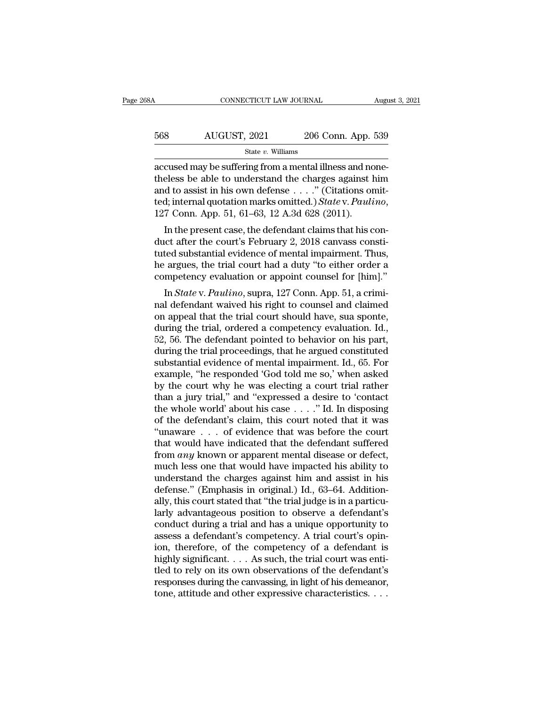| 68A | CONNECTICUT LAW JOURNAL |                    | August 3, 2021 |
|-----|-------------------------|--------------------|----------------|
| 568 | AUGUST, 2021            | 206 Conn. App. 539 |                |
|     | State $v$ . Williams    |                    |                |

CONNECTICUT LAW JOURNAL Augu<br>
State v. Williams<br>
accused may be suffering from a mental illness and none-<br>
theless be able to understand the charges against him<br>
and to assist in his own defense. " (Citations omit 568 AUGUST, 2021 206 Conn. App. 539<br>
state v. Williams<br>
accused may be suffering from a mental illness and none-<br>
theless be able to understand the charges against him<br>
and to assist in his own defense . . . . " (Citation 568 AUGUST, 2021 206 Conn. App. 539<br>  $\frac{\text{State } v. \text{ Williams}}{\text{accessed may be suffering from a mental illness and none-  
theless be able to understand the charges against him and to assist in his own defense . . . .'' (Citations omitted; internal quotation marks omitted.) *State v. Paulino*, 127 Com, Ann, 51, 61, 63, 12, A, 3d, 628 (2011).$ AUGUST, 2021 206 Conn. App. 539<br>
<sup>State v. Williams</sup><br>
accused may be suffering from a mental illness and none-<br>
theless be able to understand the charges against him<br>
and to assist in his own defense . . . . " (Citations o cused may be suffering from a mental illness and none-<br>eless be able to understand the charges against him<br>d to assist in his own defense  $\dots$ ." (Citations omit-<br>d; internal quotation marks omitted.) *State* v. *Paulino*, accused may be suffering from a mentar liness and none-<br>theless be able to understand the charges against him<br>and to assist in his own defense  $\dots$ ." (Citations omit-<br>ted; internal quotation marks omitted.) State v. Pauli

theress be able to understand the charges against film<br>and to assist in his own defense  $\dots$ ." (Citations omit-<br>ted; internal quotation marks omitted.) State v. Paulino,<br>127 Conn. App. 51, 61–63, 12 A.3d 628 (2011).<br>In th and to assist in fils own defense  $\ldots$  (Citations onlited; internal quotation marks omitted.) State v. Paulino, 127 Conn. App. 51, 61–63, 12 A.3d 628 (2011).<br>In the present case, the defendant claims that his conduct aft competency evaluation or appoint counsel for  $R$  and  $\overline{R}$ . In the present case, the defendant claims that his conduct after the court's February 2, 2018 canvass constituted substantial evidence of mental impairment. T In the present case, the defendant claims that his concreted substantial evidence of mental impairment. Thus, argues, the trial court had a duty "to either order a mpetency evaluation or appoint counsel for [him]."<br>In *Sta* In the present case, the defendant claims that his con-<br>duct after the court's February 2, 2018 canvass consti-<br>tuted substantial evidence of mental impairment. Thus,<br>he argues, the trial court had a duty "to either order

duct after the Court's February 2, 2018 canvass consult<br>tuted substantial evidence of mental impairment. Thus,<br>he argues, the trial court had a duty "to either order a<br>competency evaluation or appoint counsel for [him]."<br> tuted substantial evidence of mentar impairment. Thus,<br>he argues, the trial court had a duty "to either order a<br>competency evaluation or appoint counsel for [him]."<br>In *State* v. *Paulino*, supra, 127 Conn. App. 51, a crim The argues, the trial court had a duty to entier order a<br>competency evaluation or appoint counsel for [him]."<br>In *State* v. *Paulino*, supra, 127 Conn. App. 51, a crimi-<br>nal defendant waived his right to counsel and claim In *State v. Paulino*, supra, 127 Conn. App. 51, a criminal defendant waived his right to counsel and claimed<br>on appeal that the trial court should have, sua sponte,<br>during the trial, ordered a competency evaluation. Id., In *State* v. *Paulino*, supra, 127 Conn. App. 51, a criminal defendant waived his right to counsel and claimed<br>on appeal that the trial court should have, sua sponte,<br>during the trial, ordered a competency evaluation. Id. nal defendant waived his right to counsel and claimed<br>on appeal that the trial court should have, sua sponte,<br>during the trial, ordered a competency evaluation. Id.,<br>52, 56. The defendant pointed to behavior on his part,<br>d on appeal that the trial court should have, sua sponte,<br>during the trial, ordered a competency evaluation. Id.,<br>52, 56. The defendant pointed to behavior on his part,<br>during the trial proceedings, that he argued constitute during the trial, ordered a competency evaluation. Id.,<br>52, 56. The defendant pointed to behavior on his part,<br>during the trial proceedings, that he argued constituted<br>substantial evidence of mental impairment. Id., 65. Fo 52, 56. The defendant pointed to behavior on his part,<br>during the trial proceedings, that he argued constituted<br>substantial evidence of mental impairment. Id., 65. For<br>example, "he responded 'God told me so,' when asked<br>b during the trial proceedings, that he argued constituted<br>substantial evidence of mental impairment. Id., 65. For<br>example, "he responded 'God told me so,' when asked<br>by the court why he was electing a court trial rather<br>tha substantial evidence of mental impairment. Id., 65. For<br>example, "he responded 'God told me so,' when asked<br>by the court why he was electing a court trial rather<br>than a jury trial," and "expressed a desire to 'contact<br>the example, "he responded 'God told me so,' when asked<br>by the court why he was electing a court trial rather<br>than a jury trial," and "expressed a desire to 'contact<br>the whole world' about his case  $\ldots$ ." Id. In disposing<br>of by the court why he was electing a court trial rather<br>than a jury trial," and "expressed a desire to 'contact<br>the whole world' about his case  $\ldots$ ." Id. In disposing<br>of the defendant's claim, this court noted that it was than a jury trial," and "expressed a desire to 'contact<br>the whole world' about his case . . . ." Id. In disposing<br>of the defendant's claim, this court noted that it was<br>"unaware . . . of evidence that was before the court the whole world' about his case  $\dots$  ." Id. In disposing<br>of the defendant's claim, this court noted that it was<br>"unaware  $\dots$  of evidence that was before the court<br>that would have indicated that the defendant suffered<br>fro % of the defendant's claim, this court noted that it was<br>
"unaware . . . of evidence that was before the court<br>
that would have indicated that the defendant suffered<br>
from *any* known or apparent mental disease or defect, "unaware . . . of evidence that was before the court<br>that would have indicated that the defendant suffered<br>from *any* known or apparent mental disease or defect,<br>much less one that would have impacted his ability to<br>under that would have indicated that the defendant suffered<br>from  $any$  known or apparent mental disease or defect,<br>much less one that would have impacted his ability to<br>understand the charges against him and assist in his<br>defense from *any* known or apparent mental disease or defect,<br>much less one that would have impacted his ability to<br>understand the charges against him and assist in his<br>defense." (Emphasis in original.) Id., 63–64. Addition-<br>all much less one that would have impacted his ability to<br>understand the charges against him and assist in his<br>defense." (Emphasis in original.) Id., 63–64. Addition-<br>ally, this court stated that "the trial judge is in a parti understand the charges against him and assist in his<br>defense." (Emphasis in original.) Id., 63–64. Addition-<br>ally, this court stated that "the trial judge is in a particu-<br>larly advantageous position to observe a defendant defense." (Emphasis in original.) Id., 63–64. Additionally, this court stated that "the trial judge is in a particularly advantageous position to observe a defendant's conduct during a trial and has a unique opportunity to ally, this court stated that "the trial judge is in a particularly advantageous position to observe a defendant's conduct during a trial and has a unique opportunity to assess a defendant's competency. A trial court's opin larly advantageous position to observe a defendant's<br>conduct during a trial and has a unique opportunity to<br>assess a defendant's competency. A trial court's opin-<br>ion, therefore, of the competency of a defendant is<br>highly conduct during a trial and has a unique opportunity to<br>assess a defendant's competency. A trial court's opin-<br>ion, therefore, of the competency of a defendant is<br>highly significant. . . . As such, the trial court was enti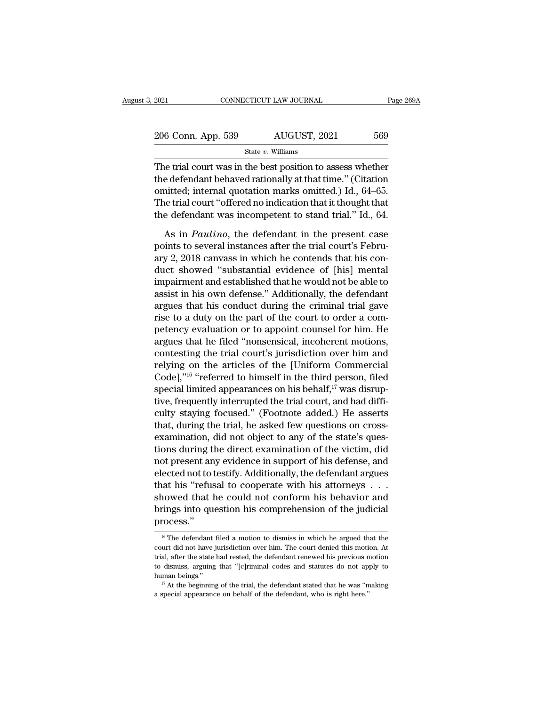| 2021               | CONNECTICUT LAW JOURNAL | Page 269A |
|--------------------|-------------------------|-----------|
| 206 Conn. App. 539 | AUGUST, 2021            | 569       |
|                    | State $v$ . Williams    |           |

 $\frac{2021}{206}$  Conn. App. 539 AUGUST, 2021 569<br>
State v. Williams<br>
The trial court was in the best position to assess whether<br>
the defendant behaved rationally at that time." (Citation<br>
emitted, internal custorian merits 206 Conn. App. 539 AUGUST, 2021 569<br>State v. Williams<br>The trial court was in the best position to assess whether<br>the defendant behaved rationally at that time." (Citation<br>omitted; internal quotation marks omitted.) Id., 6 206 Conn. App. 539 AUGUST, 2021 569<br>
State v. Williams<br>
The trial court was in the best position to assess whether<br>
the defendant behaved rationally at that time." (Citation<br>
omitted; internal quotation marks omitted.) Id 206 Conn. App. 539 AUGUST, 2021 569<br>
State v. Williams<br>
The trial court was in the best position to assess whether<br>
the defendant behaved rationally at that time." (Citation<br>
omitted; internal quotation marks omitted.) Id State v. Williams<br>The trial court was in the best position to assess whether<br>the defendant behaved rationally at that time." (Citation<br>omitted; internal quotation marks omitted.) Id., 64–65.<br>The trial court "offered no in is the best position to assess whether<br>
e defendant behaved rationally at that time." (Citation<br>
initted; internal quotation marks omitted.) Id., 64–65.<br>
he trial court "offered no indication that it thought that<br>
e defend the defendant behaved rationally at that time." (Citation<br>omitted; internal quotation marks omitted.) Id., 64–65.<br>The trial court "offered no indication that it thought that<br>the defendant was incompetent to stand trial." I

omitted; internal quotation marks omitted.) Id., 64–65.<br>The trial court "offered no indication that it thought that<br>the defendant was incompetent to stand trial." Id., 64.<br>As in *Paulino*, the defendant in the present case The trial court "offered no indication that it thought that<br>the defendant was incompetent to stand trial." Id., 64.<br>As in *Paulino*, the defendant in the present case<br>points to several instances after the trial court's Feb the defendant was incompetent to stand trial." Id., 64.<br>As in *Paulino*, the defendant in the present case<br>points to several instances after the trial court's Febru-<br>ary 2, 2018 canvass in which he contends that his con-<br>d As in *Paulino*, the defendant in the present case<br>points to several instances after the trial court's Febru-<br>ary 2, 2018 canvass in which he contends that his con-<br>duct showed "substantial evidence of [his] mental<br>impairm As in *Paulino*, the defendant in the present case<br>points to several instances after the trial court's Febru-<br>ary 2, 2018 canvass in which he contends that his con-<br>duct showed "substantial evidence of [his] mental<br>impair points to several instances after the trial court's February 2, 2018 canvass in which he contends that his conduct showed "substantial evidence of [his] mental impairment and established that he would not be able to assist ary 2, 2018 canvass in which he contends that his conduct showed "substantial evidence of [his] mental<br>impairment and established that he would not be able to<br>assist in his own defense." Additionally, the defendant<br>argues duct showed "substantial evidence of [his] mental<br>impairment and established that he would not be able to<br>assist in his own defense." Additionally, the defendant<br>argues that his conduct during the criminal trial gave<br>rise impairment and established that he would not be able to<br>assist in his own defense." Additionally, the defendant<br>argues that his conduct during the criminal trial gave<br>rise to a duty on the part of the court to order a comassist in his own defense." Additionally, the defendant<br>argues that his conduct during the criminal trial gave<br>rise to a duty on the part of the court to order a com-<br>petency evaluation or to appoint counsel for him. He<br>a argues that his conduct during the criminal trial gave<br>rise to a duty on the part of the court to order a com-<br>petency evaluation or to appoint counsel for him. He<br>argues that he filed "nonsensical, incoherent motions,<br>con rise to a duty on the part of the court to order a com-<br>petency evaluation or to appoint counsel for him. He<br>argues that he filed "nonsensical, incoherent motions,<br>contesting the trial court's jurisdiction over him and<br>rel petency evaluation or to appoint counsel for him. He<br>argues that he filed "nonsensical, incoherent motions,<br>contesting the trial court's jurisdiction over him and<br>relying on the articles of the [Uniform Commercial<br>Code],"<sup></sup> argues that he filed "nonsensical, incoherent motions,<br>contesting the trial court's jurisdiction over him and<br>relying on the articles of the [Uniform Commercial<br>Code],"<sup>16</sup> "referred to himself in the third person, filed<br>s contesting the trial court's jurisdiction over him and<br>relying on the articles of the [Uniform Commercial<br>Code],"<sup>16</sup> "referred to himself in the third person, filed<br>special limited appearances on his behalf,<sup>17</sup> was disru relying on the articles of the [Uniform Commercial Code],"<sup>16</sup> "referred to himself in the third person, filed special limited appearances on his behalf,<sup>17</sup> was disruptive, frequently interrupted the trial court, and had Code],  $^{710}$  "referred to himself in the third person, filed<br>special limited appearances on his behalf,<sup>17</sup> was disrup-<br>tive, frequently interrupted the trial court, and had diffi-<br>culty staying focused." (Footnote adde special limited appearances on his behalf," was disruptive, frequently interrupted the trial court, and had difficulty staying focused." (Footnote added.) He asserts that, during the trial, he asked few questions on crosstive, frequently interrupted the trial court, and had difficulty staying focused." (Footnote added.) He asserts<br>that, during the trial, he asked few questions on cross-<br>examination, did not object to any of the state's que culty staying focused." (Footnote added.) He asserts<br>that, during the trial, he asked few questions on cross-<br>examination, did not object to any of the state's ques-<br>tions during the direct examination of the victim, did<br>n that, during the trial, he asked few questions on cross-<br>examination, did not object to any of the state's ques-<br>tions during the direct examination of the victim, did<br>not present any evidence in support of his defense, an examination, did not object to any of the state's questions during the direct examination of the victim, did<br>not present any evidence in support of his defense, and<br>elected not to testify. Additionally, the defendant argue process.'' 16 The defendant filed a motion to dismiss in which he argued that the defendant filed a motion to dismiss in which he argued that the urt did not have jurisdiction over him. The court denied this motion. At showed that he could not conform his behavior and<br>brings into question his comprehension of the judicial<br>process."<br> $\frac{16}{16}$  The defendant filed a motion to dismiss in which he argued that the<br>court did not have jurisdi

brings into question his comprehension of the judicial<br>process."<br><sup>16</sup> The defendant filed a motion to dismiss in which he argued that the<br>court did not have jurisdiction over him. The court denied this motion. At<br>trial, af <sup>16</sup> The defendant filed a motion to dismiss in which he argued that the court did not have jurisdiction over him. The court denied this motion. At trial, after the state had rested, the defendant renewed his previous mot  $\frac{16 \text{ T}}{16}$  The defendant filed a motion to dismiss in which he argued that the court did not have jurisdiction over him. The court denied this motion. At trial, after the state had rested, the defendant renewed his court did not have jurisdiction over him. The court denied this motion. At trial, after the state had rested, the defendant renewed his previous motion to dismiss, arguing that "[c]riminal codes and statutes do not apply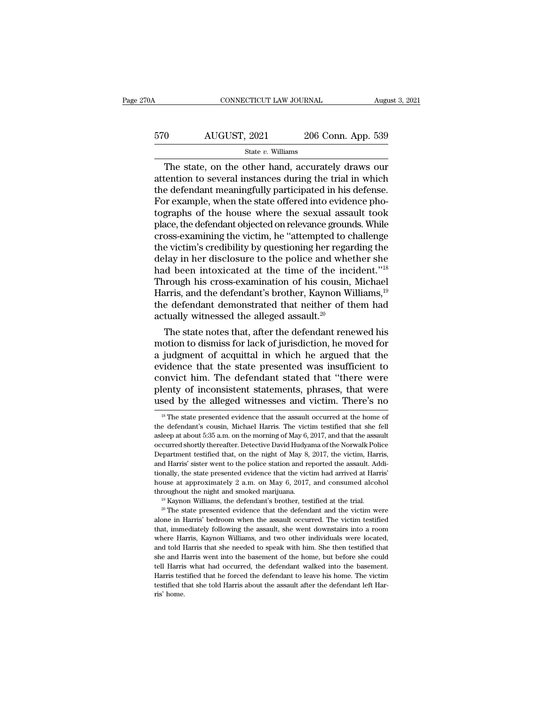## CONNECTICUT LAW JOURNAL August 3, 2021<br>570 AUGUST, 2021 206 Conn. App. 539<br>5tate v. Williams State *v.* Williams

CONNECTICUT LAW JOURNAL August 3, 2021<br>
O AUGUST, 2021 206 Conn. App. 539<br>
State v. Williams<br>
The state, on the other hand, accurately draws our<br>
tention to several instances during the trial in which<br>
a defendant meaningf  $\begin{array}{r} \text{AUGUST, 2021} \text{206 Conn. App. 539} \\ \text{State } v. \text{ Williams} \end{array}$ <br>
The state, on the other hand, accurately draws our attention to several instances during the trial in which the defendant meaningfully participated in his defense.<br> 570 AUGUST, 2021 206 Conn. App. 539<br>  $\frac{\text{State } v. \text{ Williams}}{\text{The state, on the other hand, accurately draws our attention to several instances during the trial in which the defendant meaningfully participated in his defense. For example, when the state offered into evidence photorphs of the house, when the sound result took.$  $\frac{\text{570}}{\text{State } v. \text{ Williams}}$ <br>
The state, on the other hand, accurately draws our<br>
attention to several instances during the trial in which<br>
the defendant meaningfully participated in his defense.<br>
For example, when the state o The state v. Williams<br>
The state, on the other hand, accurately draws our<br>
attention to several instances during the trial in which<br>
the defendant meaningfully participated in his defense.<br>
For example, when the state off State v. Williams<br>
The state, on the other hand, accurately draws our<br>
attention to several instances during the trial in which<br>
the defendant meaningfully participated in his defense.<br>
For example, when the state offered The state, on the other hand, accurately draws our<br>attention to several instances during the trial in which<br>the defendant meaningfully participated in his defense.<br>For example, when the state offered into evidence pho-<br>tog attention to several instances during the trial in which<br>the defendant meaningfully participated in his defense.<br>For example, when the state offered into evidence pho-<br>tographs of the house where the sexual assault took<br>pl the defendant meaningfully participated in his defense.<br>For example, when the state offered into evidence photographs of the house where the sexual assault took<br>place, the defendant objected on relevance grounds. While<br>cro For example, when the state offered into evidence photographs of the house where the sexual assault took<br>place, the defendant objected on relevance grounds. While<br>cross-examining the victim, he "attempted to challenge<br>the tographs of the house where the sexual assault took<br>place, the defendant objected on relevance grounds. While<br>cross-examining the victim, he "attempted to challenge<br>the victim's credibility by questioning her regarding the place, the defendant objected on relevance grounds. While<br>cross-examining the victim, he "attempted to challenge<br>the victim's credibility by questioning her regarding the<br>delay in her disclosure to the police and whether s cross-examining the victim, he "attempted to challenge<br>the victim's credibility by questioning her regarding the<br>delay in her disclosure to the police and whether she<br>had been intoxicated at the time of the incident."<sup>18</sup> the victim's credibility by questioning her regardelay in her disclosure to the police and whe had been intoxicated at the time of the incertained has cross-examination of his cousin, Harris, and the defendant's brother, The state intoxicated at the time of the incident."<br>In the state of the incident."<br>In this cross-examination of his cousin, Michael<br>In this, and the defendant's brother, Kaynon Williams, <sup>19</sup><br>The defendant demonstrated th mad been intoxicated at the time of the incluent. <sup>26</sup><br>Through his cross-examination of his cousin, Michael<br>Harris, and the defendant's brother, Kaynon Williams,<sup>19</sup><br>the defendant demonstrated that neither of them had<br>actu

Through his cross-examination of his cousin, Michael<br>Harris, and the defendant's brother, Kaynon Williams,<sup>19</sup><br>the defendant demonstrated that neither of them had<br>actually witnessed the alleged assault.<sup>20</sup><br>The state note Harris, and the defendant s brother, Kaynon Williams,<sup>20</sup><br>the defendant demonstrated that neither of them had<br>actually witnessed the alleged assault.<sup>20</sup><br>The state notes that, after the defendant renewed his<br>motion to dism the defendant demonstrated that helther of them had<br>actually witnessed the alleged assault.<sup>20</sup><br>The state notes that, after the defendant renewed his<br>motion to dismiss for lack of jurisdiction, he moved for<br>a judgment of actually witnessed the alleged assault.<sup>25</sup><br>The state notes that, after the defendant renewed his<br>motion to dismiss for lack of jurisdiction, he moved for<br>a judgment of acquittal in which he argued that the<br>evidence that t The state notes that, after the defendant renewed his<br>motion to dismiss for lack of jurisdiction, he moved for<br>a judgment of acquittal in which he argued that the<br>evidence that the state presented was insufficient to<br>convi vidence that the state presented was insufficient to<br>onvict him. The defendant stated that "there were<br>lenty of inconsistent statements, phrases, that were<br>sed by the alleged witnesses and victim. There's no<br><sup>18</sup> The state convict him. The defendant stated that "there were plenty of inconsistent statements, phrases, that were used by the alleged witnesses and victim. There's no  $\frac{18}{16}$  The state presented evidence that the assault occur

plenty of inconsistent statements, phrases, that were<br>used by the alleged witnesses and victim. There's no<br><sup>18</sup> The state presented evidence that the assault occurred at the home of<br>the defendant's cousin, Michael Harris. used by the alleged witnesses and victim. There's no<br>
<sup>18</sup> The state presented evidence that the assault occurred at the home of<br>
the defendant's cousin, Michael Harris. The victim testified that she fell<br>
asleep at about used by the alleged Withesses and Victim. There S how<br>
<sup>18</sup> The state presented evidence that the assault occurred at the home of<br>
the defendant's cousin, Michael Harris. The victim testified that she fell<br>
asleep at about the defendant's cousin, Michael Harris. The victim testified that she fell as<br>leep at about 5:35 a.m. on the morning of May 6, 2017, and that the assault occurred shortly thereafter. Detective David Hudyama of the Norwalk the defendant's cousin, Michael Harris. The victim testified that she fell asleep at about 5:35 a.m. on the morning of May 6, 2017, and that the assault occurred shortly thereafter. Detective David Hudyama of the Norwalk P asleep at about 5:35 a.m. on the morning of May 6, 2017, and that the assault occurred shortly thereafter. Detective David Hudyama of the Norwalk Police Department testified that, on the night of May 8, 2017, the victim, H occurred shortly thereafter. Detective David Hudyama of the Norwalk Police Department testified that, on the night of May 8, 2017, the victim, Harris, and Harris' sister went to the police station and reported the assault

alone in Harris' bedroom when the assault, she went downstains in Arris'<br>tionally, the state presented evidence that the victim had arrived at Harris'<br>house at approximately 2 a.m. on May 6, 2017, and consumed alcohol<br>thr house at approximately 2 a.m. on May 6, 2017, and consumed alcohol throughout the night and smoked marijuana.<br><sup>19</sup> Kaynon Williams, the defendant's brother, testified at the trial.<br><sup>29</sup> The state presented evidence that t throughout the night and smoked marijuana.<br><sup>19</sup> Kaynon Williams, the defendant's brother, testified at the trial.<br><sup>20</sup> The state presented evidence that the defendant and the victim were<br>alone in Harris' bedroom when the a <sup>19</sup> Kaynon Williams, the defendant's brother, testified at the trial.<br><sup>20</sup> The state presented evidence that the defendant and the victim were<br>alone in Harris' bedroom when the assault occurred. The victim testified<br>that <sup>20</sup> The state presented evidence that the defendant and the victim were alone in Harris' bedroom when the assault occurred. The victim testified that, immediately following the assault, she went downstairs into a room whe alone in Harris' bedroom when the assault occurred. The victim testified that, immediately following the assault, she went downstairs into a room where Harris, Kaynon Williams, and two other individuals were located, and t that, immediately following the assault, she went downstairs into a room where Harris, Kaynon Williams, and two other individuals were located, and told Harris that she needed to speak with him. She then testified that she the Harris, Kaynon Williams, and two other individuals were located, and told Harris that she needed to speak with him. She then testified that she and Harris went into the basement of the home, but before she could tell H riste<br>
and told I<br>
she and H<br>
tell Harris<br>
Harris tes<br>
testified tl<br>
ris' home.